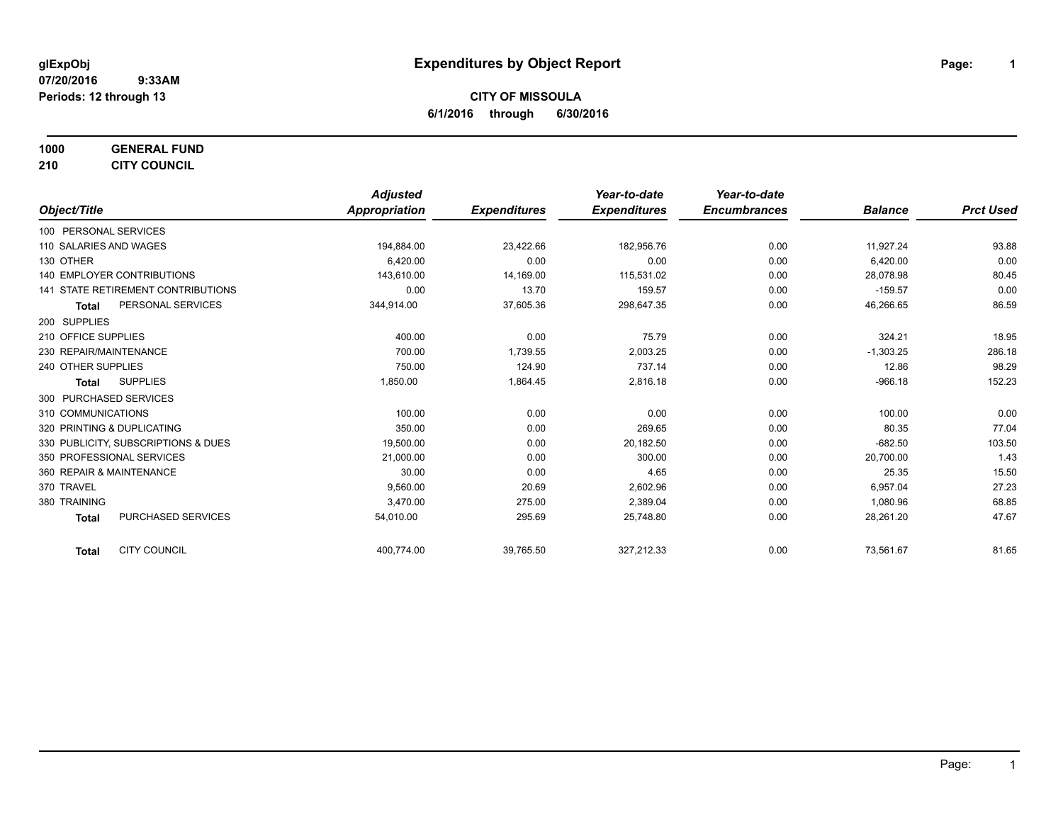**1000 GENERAL FUND**

**210 CITY COUNCIL**

|                                           | <b>Adjusted</b> |                     | Year-to-date        | Year-to-date        |                |                  |
|-------------------------------------------|-----------------|---------------------|---------------------|---------------------|----------------|------------------|
| Object/Title                              | Appropriation   | <b>Expenditures</b> | <b>Expenditures</b> | <b>Encumbrances</b> | <b>Balance</b> | <b>Prct Used</b> |
| 100 PERSONAL SERVICES                     |                 |                     |                     |                     |                |                  |
| 110 SALARIES AND WAGES                    | 194,884.00      | 23,422.66           | 182,956.76          | 0.00                | 11,927.24      | 93.88            |
| 130 OTHER                                 | 6,420.00        | 0.00                | 0.00                | 0.00                | 6,420.00       | 0.00             |
| <b>140 EMPLOYER CONTRIBUTIONS</b>         | 143,610.00      | 14,169.00           | 115,531.02          | 0.00                | 28,078.98      | 80.45            |
| <b>141 STATE RETIREMENT CONTRIBUTIONS</b> | 0.00            | 13.70               | 159.57              | 0.00                | $-159.57$      | 0.00             |
| PERSONAL SERVICES<br><b>Total</b>         | 344,914.00      | 37,605.36           | 298,647.35          | 0.00                | 46,266.65      | 86.59            |
| 200 SUPPLIES                              |                 |                     |                     |                     |                |                  |
| 210 OFFICE SUPPLIES                       | 400.00          | 0.00                | 75.79               | 0.00                | 324.21         | 18.95            |
| 230 REPAIR/MAINTENANCE                    | 700.00          | 1,739.55            | 2,003.25            | 0.00                | $-1,303.25$    | 286.18           |
| 240 OTHER SUPPLIES                        | 750.00          | 124.90              | 737.14              | 0.00                | 12.86          | 98.29            |
| <b>SUPPLIES</b><br>Total                  | 1,850.00        | 1,864.45            | 2,816.18            | 0.00                | $-966.18$      | 152.23           |
| 300 PURCHASED SERVICES                    |                 |                     |                     |                     |                |                  |
| 310 COMMUNICATIONS                        | 100.00          | 0.00                | 0.00                | 0.00                | 100.00         | 0.00             |
| 320 PRINTING & DUPLICATING                | 350.00          | 0.00                | 269.65              | 0.00                | 80.35          | 77.04            |
| 330 PUBLICITY, SUBSCRIPTIONS & DUES       | 19,500.00       | 0.00                | 20,182.50           | 0.00                | $-682.50$      | 103.50           |
| 350 PROFESSIONAL SERVICES                 | 21,000.00       | 0.00                | 300.00              | 0.00                | 20,700.00      | 1.43             |
| 360 REPAIR & MAINTENANCE                  | 30.00           | 0.00                | 4.65                | 0.00                | 25.35          | 15.50            |
| 370 TRAVEL                                | 9,560.00        | 20.69               | 2,602.96            | 0.00                | 6,957.04       | 27.23            |
| 380 TRAINING                              | 3,470.00        | 275.00              | 2,389.04            | 0.00                | 1,080.96       | 68.85            |
| <b>PURCHASED SERVICES</b><br><b>Total</b> | 54,010.00       | 295.69              | 25,748.80           | 0.00                | 28,261.20      | 47.67            |
| <b>CITY COUNCIL</b><br><b>Total</b>       | 400,774.00      | 39,765.50           | 327,212.33          | 0.00                | 73,561.67      | 81.65            |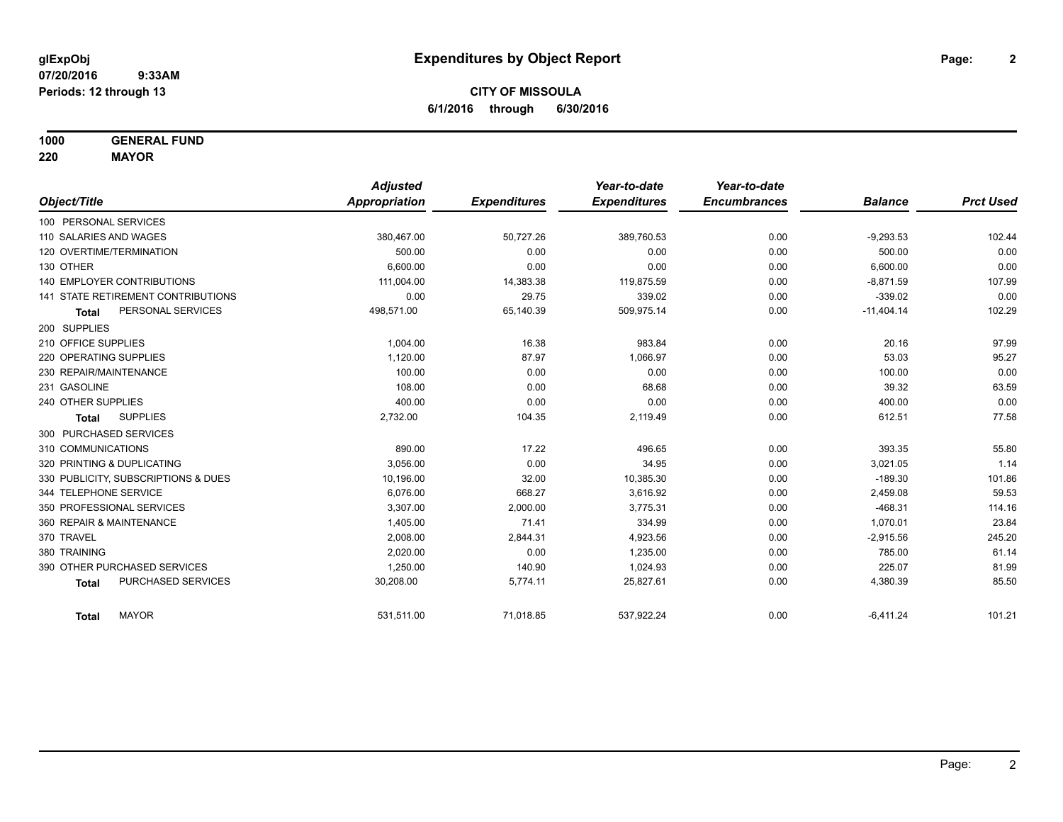**1000 GENERAL FUND**

**220 MAYOR**

|                                     | <b>Adjusted</b> |                     | Year-to-date        | Year-to-date        |                |                  |
|-------------------------------------|-----------------|---------------------|---------------------|---------------------|----------------|------------------|
| Object/Title                        | Appropriation   | <b>Expenditures</b> | <b>Expenditures</b> | <b>Encumbrances</b> | <b>Balance</b> | <b>Prct Used</b> |
| 100 PERSONAL SERVICES               |                 |                     |                     |                     |                |                  |
| 110 SALARIES AND WAGES              | 380,467.00      | 50,727.26           | 389,760.53          | 0.00                | $-9,293.53$    | 102.44           |
| 120 OVERTIME/TERMINATION            | 500.00          | 0.00                | 0.00                | 0.00                | 500.00         | 0.00             |
| 130 OTHER                           | 6.600.00        | 0.00                | 0.00                | 0.00                | 6,600.00       | 0.00             |
| <b>140 EMPLOYER CONTRIBUTIONS</b>   | 111,004.00      | 14,383.38           | 119,875.59          | 0.00                | $-8,871.59$    | 107.99           |
| 141 STATE RETIREMENT CONTRIBUTIONS  | 0.00            | 29.75               | 339.02              | 0.00                | $-339.02$      | 0.00             |
| PERSONAL SERVICES<br><b>Total</b>   | 498,571.00      | 65,140.39           | 509,975.14          | 0.00                | $-11,404.14$   | 102.29           |
| 200 SUPPLIES                        |                 |                     |                     |                     |                |                  |
| 210 OFFICE SUPPLIES                 | 1.004.00        | 16.38               | 983.84              | 0.00                | 20.16          | 97.99            |
| 220 OPERATING SUPPLIES              | 1,120.00        | 87.97               | 1,066.97            | 0.00                | 53.03          | 95.27            |
| 230 REPAIR/MAINTENANCE              | 100.00          | 0.00                | 0.00                | 0.00                | 100.00         | 0.00             |
| 231 GASOLINE                        | 108.00          | 0.00                | 68.68               | 0.00                | 39.32          | 63.59            |
| 240 OTHER SUPPLIES                  | 400.00          | 0.00                | 0.00                | 0.00                | 400.00         | 0.00             |
| <b>SUPPLIES</b><br>Total            | 2,732.00        | 104.35              | 2,119.49            | 0.00                | 612.51         | 77.58            |
| 300 PURCHASED SERVICES              |                 |                     |                     |                     |                |                  |
| 310 COMMUNICATIONS                  | 890.00          | 17.22               | 496.65              | 0.00                | 393.35         | 55.80            |
| 320 PRINTING & DUPLICATING          | 3,056.00        | 0.00                | 34.95               | 0.00                | 3,021.05       | 1.14             |
| 330 PUBLICITY, SUBSCRIPTIONS & DUES | 10,196.00       | 32.00               | 10,385.30           | 0.00                | $-189.30$      | 101.86           |
| 344 TELEPHONE SERVICE               | 6,076.00        | 668.27              | 3,616.92            | 0.00                | 2,459.08       | 59.53            |
| 350 PROFESSIONAL SERVICES           | 3,307.00        | 2,000.00            | 3,775.31            | 0.00                | $-468.31$      | 114.16           |
| 360 REPAIR & MAINTENANCE            | 1,405.00        | 71.41               | 334.99              | 0.00                | 1,070.01       | 23.84            |
| 370 TRAVEL                          | 2,008.00        | 2,844.31            | 4,923.56            | 0.00                | $-2,915.56$    | 245.20           |
| 380 TRAINING                        | 2,020.00        | 0.00                | 1,235.00            | 0.00                | 785.00         | 61.14            |
| 390 OTHER PURCHASED SERVICES        | 1,250.00        | 140.90              | 1,024.93            | 0.00                | 225.07         | 81.99            |
| PURCHASED SERVICES<br><b>Total</b>  | 30,208.00       | 5,774.11            | 25,827.61           | 0.00                | 4,380.39       | 85.50            |
| <b>MAYOR</b><br><b>Total</b>        | 531,511.00      | 71,018.85           | 537,922.24          | 0.00                | $-6,411.24$    | 101.21           |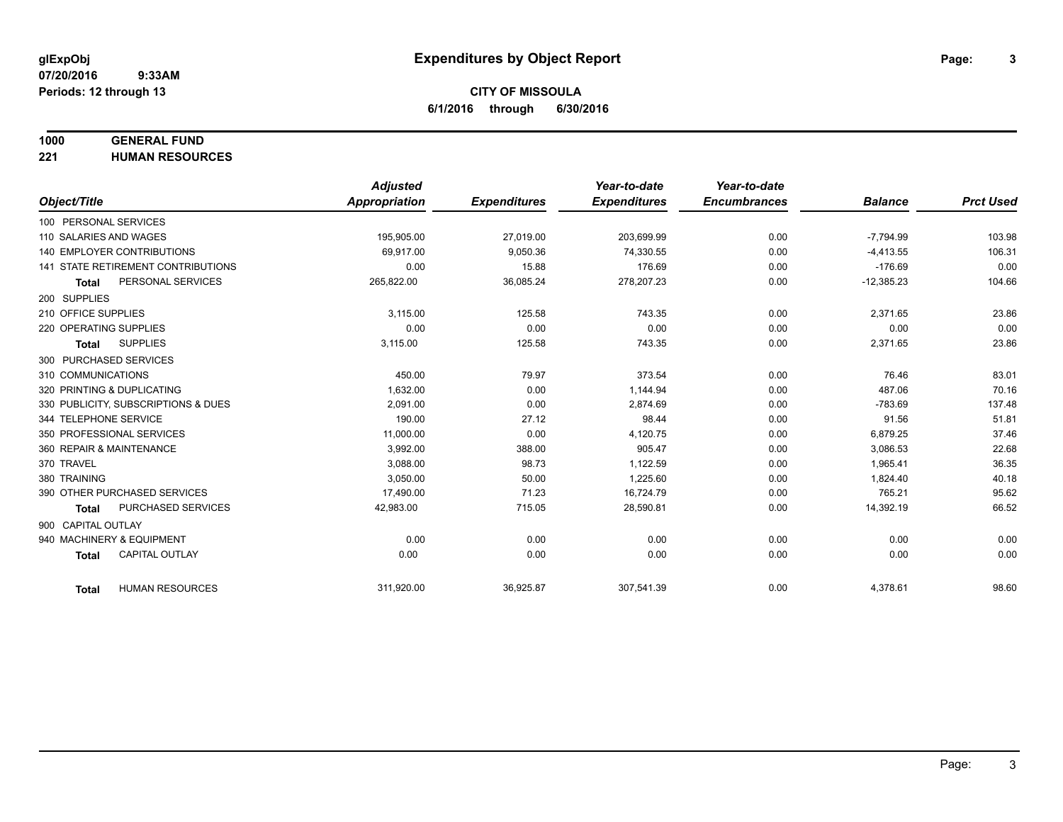#### **1000 GENERAL FUND**

**221 HUMAN RESOURCES**

|                                     | <b>Adjusted</b>      |                     | Year-to-date        | Year-to-date        |                |                  |
|-------------------------------------|----------------------|---------------------|---------------------|---------------------|----------------|------------------|
| Object/Title                        | <b>Appropriation</b> | <b>Expenditures</b> | <b>Expenditures</b> | <b>Encumbrances</b> | <b>Balance</b> | <b>Prct Used</b> |
| 100 PERSONAL SERVICES               |                      |                     |                     |                     |                |                  |
| 110 SALARIES AND WAGES              | 195,905.00           | 27.019.00           | 203.699.99          | 0.00                | $-7,794.99$    | 103.98           |
| <b>140 EMPLOYER CONTRIBUTIONS</b>   | 69,917.00            | 9,050.36            | 74,330.55           | 0.00                | $-4,413.55$    | 106.31           |
| 141 STATE RETIREMENT CONTRIBUTIONS  | 0.00                 | 15.88               | 176.69              | 0.00                | $-176.69$      | 0.00             |
| PERSONAL SERVICES<br><b>Total</b>   | 265,822.00           | 36,085.24           | 278,207.23          | 0.00                | $-12,385.23$   | 104.66           |
| 200 SUPPLIES                        |                      |                     |                     |                     |                |                  |
| 210 OFFICE SUPPLIES                 | 3,115.00             | 125.58              | 743.35              | 0.00                | 2,371.65       | 23.86            |
| 220 OPERATING SUPPLIES              | 0.00                 | 0.00                | 0.00                | 0.00                | 0.00           | 0.00             |
| <b>SUPPLIES</b><br><b>Total</b>     | 3,115.00             | 125.58              | 743.35              | 0.00                | 2,371.65       | 23.86            |
| 300 PURCHASED SERVICES              |                      |                     |                     |                     |                |                  |
| 310 COMMUNICATIONS                  | 450.00               | 79.97               | 373.54              | 0.00                | 76.46          | 83.01            |
| 320 PRINTING & DUPLICATING          | 1,632.00             | 0.00                | 1,144.94            | 0.00                | 487.06         | 70.16            |
| 330 PUBLICITY, SUBSCRIPTIONS & DUES | 2.091.00             | 0.00                | 2,874.69            | 0.00                | $-783.69$      | 137.48           |
| 344 TELEPHONE SERVICE               | 190.00               | 27.12               | 98.44               | 0.00                | 91.56          | 51.81            |
| 350 PROFESSIONAL SERVICES           | 11,000.00            | 0.00                | 4,120.75            | 0.00                | 6,879.25       | 37.46            |
| 360 REPAIR & MAINTENANCE            | 3,992.00             | 388.00              | 905.47              | 0.00                | 3,086.53       | 22.68            |
| 370 TRAVEL                          | 3,088.00             | 98.73               | 1,122.59            | 0.00                | 1,965.41       | 36.35            |
| 380 TRAINING                        | 3,050.00             | 50.00               | 1,225.60            | 0.00                | 1,824.40       | 40.18            |
| 390 OTHER PURCHASED SERVICES        | 17,490.00            | 71.23               | 16,724.79           | 0.00                | 765.21         | 95.62            |
| PURCHASED SERVICES<br><b>Total</b>  | 42,983.00            | 715.05              | 28,590.81           | 0.00                | 14,392.19      | 66.52            |
| 900 CAPITAL OUTLAY                  |                      |                     |                     |                     |                |                  |
| 940 MACHINERY & EQUIPMENT           | 0.00                 | 0.00                | 0.00                | 0.00                | 0.00           | 0.00             |
| CAPITAL OUTLAY<br><b>Total</b>      | 0.00                 | 0.00                | 0.00                | 0.00                | 0.00           | 0.00             |
|                                     |                      |                     |                     |                     |                |                  |
| <b>HUMAN RESOURCES</b><br>Total     | 311,920.00           | 36,925.87           | 307,541.39          | 0.00                | 4,378.61       | 98.60            |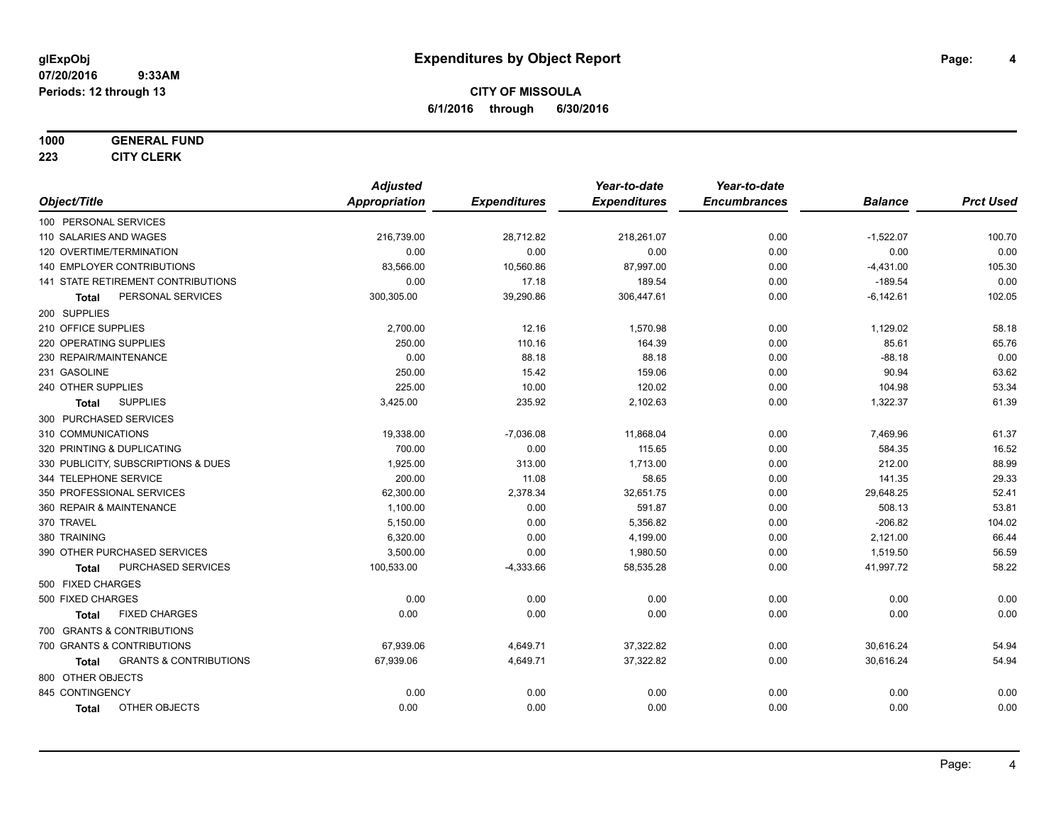#### **1000 GENERAL FUND**

**223 CITY CLERK**

|                                                   | <b>Adjusted</b>      |                     | Year-to-date        | Year-to-date        |                |                  |
|---------------------------------------------------|----------------------|---------------------|---------------------|---------------------|----------------|------------------|
| Object/Title                                      | <b>Appropriation</b> | <b>Expenditures</b> | <b>Expenditures</b> | <b>Encumbrances</b> | <b>Balance</b> | <b>Prct Used</b> |
| 100 PERSONAL SERVICES                             |                      |                     |                     |                     |                |                  |
| 110 SALARIES AND WAGES                            | 216,739.00           | 28,712.82           | 218,261.07          | 0.00                | $-1,522.07$    | 100.70           |
| 120 OVERTIME/TERMINATION                          | 0.00                 | 0.00                | 0.00                | 0.00                | 0.00           | 0.00             |
| 140 EMPLOYER CONTRIBUTIONS                        | 83,566.00            | 10,560.86           | 87,997.00           | 0.00                | $-4,431.00$    | 105.30           |
| 141 STATE RETIREMENT CONTRIBUTIONS                | 0.00                 | 17.18               | 189.54              | 0.00                | $-189.54$      | 0.00             |
| PERSONAL SERVICES<br>Total                        | 300,305.00           | 39,290.86           | 306,447.61          | 0.00                | $-6,142.61$    | 102.05           |
| 200 SUPPLIES                                      |                      |                     |                     |                     |                |                  |
| 210 OFFICE SUPPLIES                               | 2,700.00             | 12.16               | 1,570.98            | 0.00                | 1,129.02       | 58.18            |
| 220 OPERATING SUPPLIES                            | 250.00               | 110.16              | 164.39              | 0.00                | 85.61          | 65.76            |
| 230 REPAIR/MAINTENANCE                            | 0.00                 | 88.18               | 88.18               | 0.00                | $-88.18$       | 0.00             |
| 231 GASOLINE                                      | 250.00               | 15.42               | 159.06              | 0.00                | 90.94          | 63.62            |
| 240 OTHER SUPPLIES                                | 225.00               | 10.00               | 120.02              | 0.00                | 104.98         | 53.34            |
| <b>SUPPLIES</b><br><b>Total</b>                   | 3,425.00             | 235.92              | 2,102.63            | 0.00                | 1,322.37       | 61.39            |
| 300 PURCHASED SERVICES                            |                      |                     |                     |                     |                |                  |
| 310 COMMUNICATIONS                                | 19,338.00            | $-7,036.08$         | 11,868.04           | 0.00                | 7,469.96       | 61.37            |
| 320 PRINTING & DUPLICATING                        | 700.00               | 0.00                | 115.65              | 0.00                | 584.35         | 16.52            |
| 330 PUBLICITY, SUBSCRIPTIONS & DUES               | 1,925.00             | 313.00              | 1,713.00            | 0.00                | 212.00         | 88.99            |
| 344 TELEPHONE SERVICE                             | 200.00               | 11.08               | 58.65               | 0.00                | 141.35         | 29.33            |
| 350 PROFESSIONAL SERVICES                         | 62,300.00            | 2,378.34            | 32,651.75           | 0.00                | 29,648.25      | 52.41            |
| 360 REPAIR & MAINTENANCE                          | 1,100.00             | 0.00                | 591.87              | 0.00                | 508.13         | 53.81            |
| 370 TRAVEL                                        | 5,150.00             | 0.00                | 5,356.82            | 0.00                | $-206.82$      | 104.02           |
| 380 TRAINING                                      | 6,320.00             | 0.00                | 4,199.00            | 0.00                | 2,121.00       | 66.44            |
| 390 OTHER PURCHASED SERVICES                      | 3,500.00             | 0.00                | 1,980.50            | 0.00                | 1,519.50       | 56.59            |
| PURCHASED SERVICES<br><b>Total</b>                | 100,533.00           | $-4,333.66$         | 58,535.28           | 0.00                | 41,997.72      | 58.22            |
| 500 FIXED CHARGES                                 |                      |                     |                     |                     |                |                  |
| 500 FIXED CHARGES                                 | 0.00                 | 0.00                | 0.00                | 0.00                | 0.00           | 0.00             |
| <b>FIXED CHARGES</b><br><b>Total</b>              | 0.00                 | 0.00                | 0.00                | 0.00                | 0.00           | 0.00             |
| 700 GRANTS & CONTRIBUTIONS                        |                      |                     |                     |                     |                |                  |
| 700 GRANTS & CONTRIBUTIONS                        | 67,939.06            | 4,649.71            | 37,322.82           | 0.00                | 30,616.24      | 54.94            |
| <b>GRANTS &amp; CONTRIBUTIONS</b><br><b>Total</b> | 67,939.06            | 4,649.71            | 37,322.82           | 0.00                | 30,616.24      | 54.94            |
| 800 OTHER OBJECTS                                 |                      |                     |                     |                     |                |                  |
| 845 CONTINGENCY                                   | 0.00                 | 0.00                | 0.00                | 0.00                | 0.00           | 0.00             |
| OTHER OBJECTS<br><b>Total</b>                     | 0.00                 | 0.00                | 0.00                | 0.00                | 0.00           | 0.00             |
|                                                   |                      |                     |                     |                     |                |                  |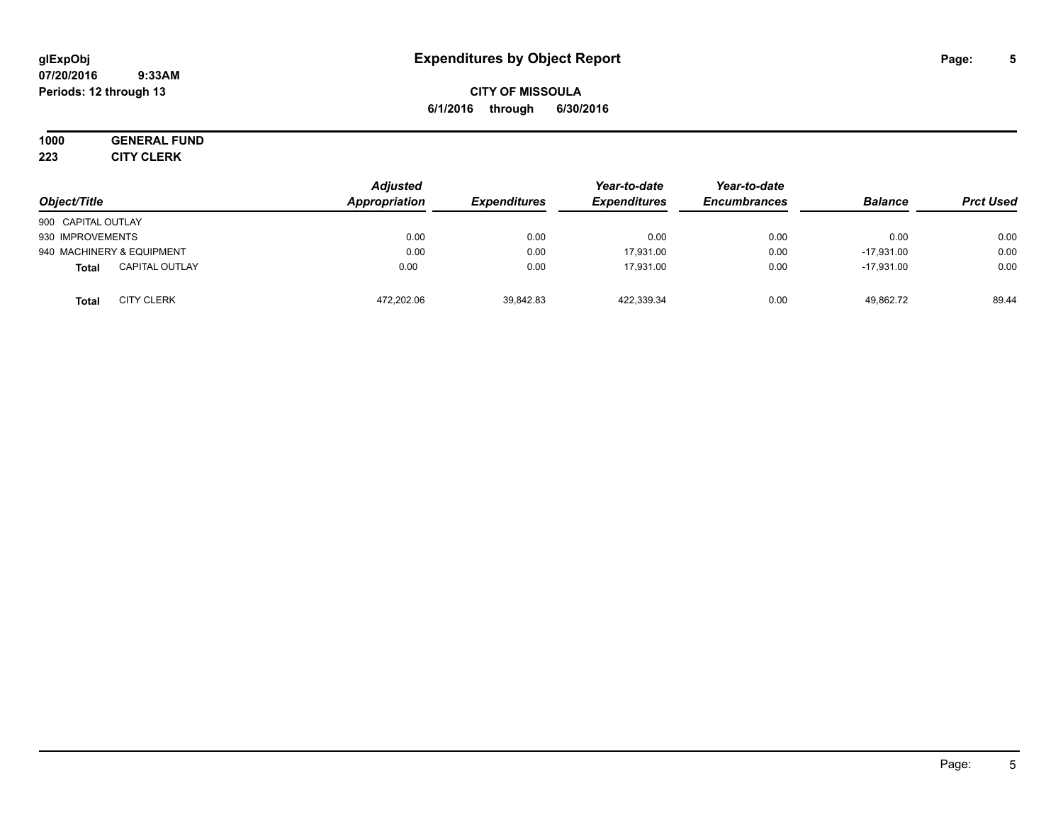# **CITY OF MISSOULA 6/1/2016 through 6/30/2016**

# **1000 GENERAL FUND**

**223 CITY CLERK**

| Object/Title                          | <b>Adjusted</b><br><b>Appropriation</b> | <b>Expenditures</b> | Year-to-date<br><b>Expenditures</b> | Year-to-date<br><b>Encumbrances</b> | <b>Balance</b> | <b>Prct Used</b> |
|---------------------------------------|-----------------------------------------|---------------------|-------------------------------------|-------------------------------------|----------------|------------------|
| 900 CAPITAL OUTLAY                    |                                         |                     |                                     |                                     |                |                  |
| 930 IMPROVEMENTS                      | 0.00                                    | 0.00                | 0.00                                | 0.00                                | 0.00           | 0.00             |
| 940 MACHINERY & EQUIPMENT             | 0.00                                    | 0.00                | 17.931.00                           | 0.00                                | $-17.931.00$   | 0.00             |
| <b>CAPITAL OUTLAY</b><br><b>Total</b> | 0.00                                    | 0.00                | 17.931.00                           | 0.00                                | $-17.931.00$   | 0.00             |
| <b>CITY CLERK</b><br>Total            | 472.202.06                              | 39,842.83           | 422.339.34                          | 0.00                                | 49.862.72      | 89.44            |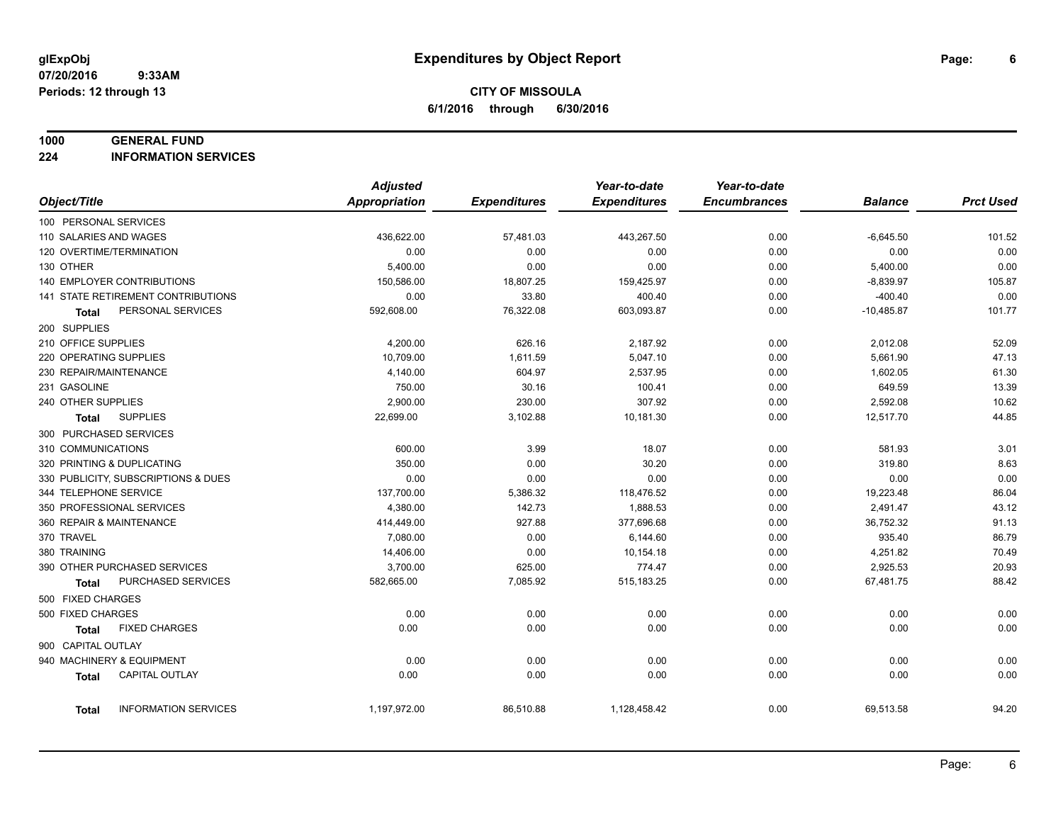#### **1000 GENERAL FUND**

**224 INFORMATION SERVICES**

|                                      | <b>Adjusted</b>      |                     | Year-to-date        | Year-to-date        |                |                  |
|--------------------------------------|----------------------|---------------------|---------------------|---------------------|----------------|------------------|
| Object/Title                         | <b>Appropriation</b> | <b>Expenditures</b> | <b>Expenditures</b> | <b>Encumbrances</b> | <b>Balance</b> | <b>Prct Used</b> |
| 100 PERSONAL SERVICES                |                      |                     |                     |                     |                |                  |
| 110 SALARIES AND WAGES               | 436,622.00           | 57,481.03           | 443,267.50          | 0.00                | $-6,645.50$    | 101.52           |
| 120 OVERTIME/TERMINATION             | 0.00                 | 0.00                | 0.00                | 0.00                | 0.00           | 0.00             |
| 130 OTHER                            | 5,400.00             | 0.00                | 0.00                | 0.00                | 5,400.00       | 0.00             |
| <b>140 EMPLOYER CONTRIBUTIONS</b>    | 150,586.00           | 18,807.25           | 159,425.97          | 0.00                | $-8,839.97$    | 105.87           |
| 141 STATE RETIREMENT CONTRIBUTIONS   | 0.00                 | 33.80               | 400.40              | 0.00                | $-400.40$      | 0.00             |
| PERSONAL SERVICES<br>Total           | 592,608.00           | 76,322.08           | 603,093.87          | 0.00                | $-10,485.87$   | 101.77           |
| 200 SUPPLIES                         |                      |                     |                     |                     |                |                  |
| 210 OFFICE SUPPLIES                  | 4,200.00             | 626.16              | 2,187.92            | 0.00                | 2,012.08       | 52.09            |
| 220 OPERATING SUPPLIES               | 10,709.00            | 1,611.59            | 5,047.10            | 0.00                | 5,661.90       | 47.13            |
| 230 REPAIR/MAINTENANCE               | 4,140.00             | 604.97              | 2,537.95            | 0.00                | 1,602.05       | 61.30            |
| 231 GASOLINE                         | 750.00               | 30.16               | 100.41              | 0.00                | 649.59         | 13.39            |
| 240 OTHER SUPPLIES                   | 2,900.00             | 230.00              | 307.92              | 0.00                | 2,592.08       | 10.62            |
| <b>SUPPLIES</b><br><b>Total</b>      | 22,699.00            | 3,102.88            | 10,181.30           | 0.00                | 12,517.70      | 44.85            |
| 300 PURCHASED SERVICES               |                      |                     |                     |                     |                |                  |
| 310 COMMUNICATIONS                   | 600.00               | 3.99                | 18.07               | 0.00                | 581.93         | 3.01             |
| 320 PRINTING & DUPLICATING           | 350.00               | 0.00                | 30.20               | 0.00                | 319.80         | 8.63             |
| 330 PUBLICITY, SUBSCRIPTIONS & DUES  | 0.00                 | 0.00                | 0.00                | 0.00                | 0.00           | 0.00             |
| 344 TELEPHONE SERVICE                | 137,700.00           | 5,386.32            | 118,476.52          | 0.00                | 19,223.48      | 86.04            |
| 350 PROFESSIONAL SERVICES            | 4,380.00             | 142.73              | 1,888.53            | 0.00                | 2,491.47       | 43.12            |
| 360 REPAIR & MAINTENANCE             | 414,449.00           | 927.88              | 377.696.68          | 0.00                | 36,752.32      | 91.13            |
| 370 TRAVEL                           | 7,080.00             | 0.00                | 6,144.60            | 0.00                | 935.40         | 86.79            |
| 380 TRAINING                         | 14,406.00            | 0.00                | 10,154.18           | 0.00                | 4,251.82       | 70.49            |
| 390 OTHER PURCHASED SERVICES         | 3,700.00             | 625.00              | 774.47              | 0.00                | 2,925.53       | 20.93            |
| PURCHASED SERVICES<br><b>Total</b>   | 582,665.00           | 7,085.92            | 515, 183.25         | 0.00                | 67,481.75      | 88.42            |
| 500 FIXED CHARGES                    |                      |                     |                     |                     |                |                  |
| 500 FIXED CHARGES                    | 0.00                 | 0.00                | 0.00                | 0.00                | 0.00           | 0.00             |
| <b>FIXED CHARGES</b><br>Total        | 0.00                 | 0.00                | 0.00                | 0.00                | 0.00           | 0.00             |
| 900 CAPITAL OUTLAY                   |                      |                     |                     |                     |                |                  |
| 940 MACHINERY & EQUIPMENT            | 0.00                 | 0.00                | 0.00                | 0.00                | 0.00           | 0.00             |
| CAPITAL OUTLAY<br><b>Total</b>       | 0.00                 | 0.00                | 0.00                | 0.00                | 0.00           | 0.00             |
|                                      |                      |                     |                     |                     |                |                  |
| <b>INFORMATION SERVICES</b><br>Total | 1,197,972.00         | 86,510.88           | 1,128,458.42        | 0.00                | 69,513.58      | 94.20            |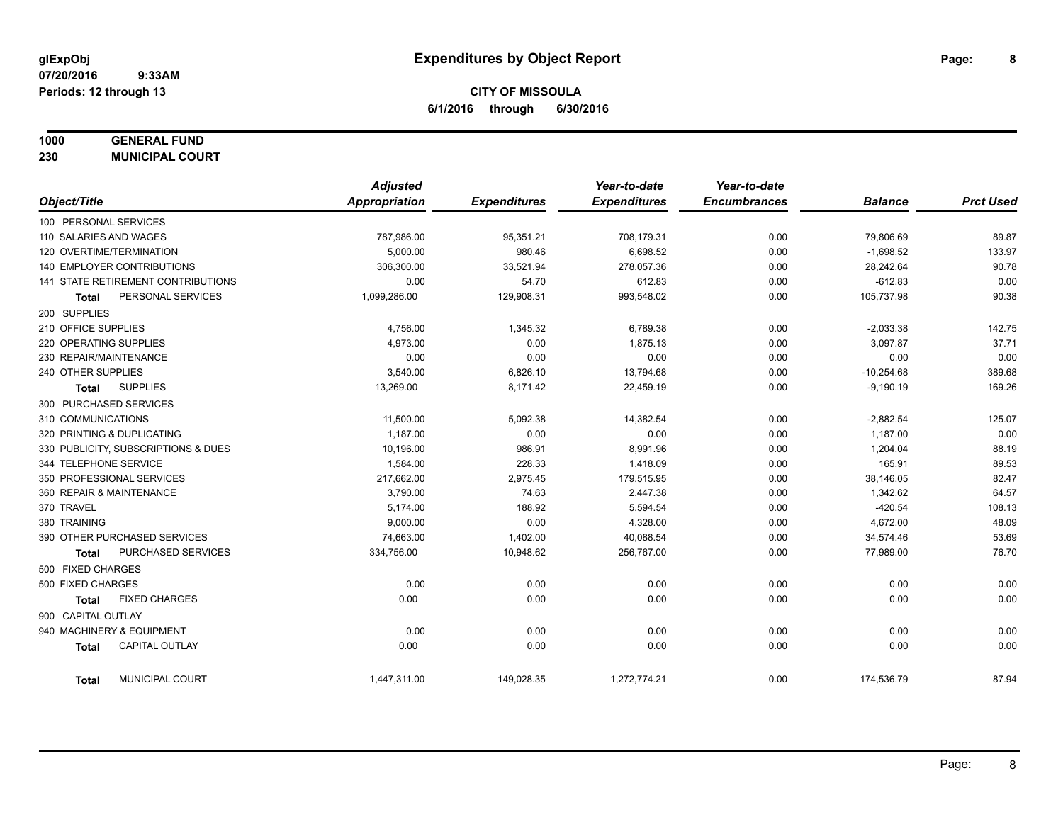**CITY OF MISSOULA 6/1/2016 through 6/30/2016**

#### **1000 GENERAL FUND**

**230 MUNICIPAL COURT**

|                                           | <b>Adjusted</b>      |                     | Year-to-date        | Year-to-date        |                |                  |
|-------------------------------------------|----------------------|---------------------|---------------------|---------------------|----------------|------------------|
| Object/Title                              | <b>Appropriation</b> | <b>Expenditures</b> | <b>Expenditures</b> | <b>Encumbrances</b> | <b>Balance</b> | <b>Prct Used</b> |
| 100 PERSONAL SERVICES                     |                      |                     |                     |                     |                |                  |
| 110 SALARIES AND WAGES                    | 787,986.00           | 95,351.21           | 708,179.31          | 0.00                | 79,806.69      | 89.87            |
| 120 OVERTIME/TERMINATION                  | 5,000.00             | 980.46              | 6,698.52            | 0.00                | $-1,698.52$    | 133.97           |
| 140 EMPLOYER CONTRIBUTIONS                | 306,300.00           | 33,521.94           | 278,057.36          | 0.00                | 28,242.64      | 90.78            |
| <b>141 STATE RETIREMENT CONTRIBUTIONS</b> | 0.00                 | 54.70               | 612.83              | 0.00                | $-612.83$      | 0.00             |
| PERSONAL SERVICES<br><b>Total</b>         | 1,099,286.00         | 129,908.31          | 993,548.02          | 0.00                | 105,737.98     | 90.38            |
| 200 SUPPLIES                              |                      |                     |                     |                     |                |                  |
| 210 OFFICE SUPPLIES                       | 4,756.00             | 1,345.32            | 6,789.38            | 0.00                | $-2,033.38$    | 142.75           |
| 220 OPERATING SUPPLIES                    | 4,973.00             | 0.00                | 1,875.13            | 0.00                | 3,097.87       | 37.71            |
| 230 REPAIR/MAINTENANCE                    | 0.00                 | 0.00                | 0.00                | 0.00                | 0.00           | 0.00             |
| 240 OTHER SUPPLIES                        | 3,540.00             | 6,826.10            | 13,794.68           | 0.00                | $-10,254.68$   | 389.68           |
| <b>SUPPLIES</b><br>Total                  | 13,269.00            | 8,171.42            | 22,459.19           | 0.00                | $-9,190.19$    | 169.26           |
| 300 PURCHASED SERVICES                    |                      |                     |                     |                     |                |                  |
| 310 COMMUNICATIONS                        | 11,500.00            | 5,092.38            | 14,382.54           | 0.00                | $-2,882.54$    | 125.07           |
| 320 PRINTING & DUPLICATING                | 1.187.00             | 0.00                | 0.00                | 0.00                | 1,187.00       | 0.00             |
| 330 PUBLICITY, SUBSCRIPTIONS & DUES       | 10,196.00            | 986.91              | 8,991.96            | 0.00                | 1,204.04       | 88.19            |
| 344 TELEPHONE SERVICE                     | 1,584.00             | 228.33              | 1,418.09            | 0.00                | 165.91         | 89.53            |
| 350 PROFESSIONAL SERVICES                 | 217,662.00           | 2,975.45            | 179,515.95          | 0.00                | 38,146.05      | 82.47            |
| 360 REPAIR & MAINTENANCE                  | 3,790.00             | 74.63               | 2,447.38            | 0.00                | 1,342.62       | 64.57            |
| 370 TRAVEL                                | 5,174.00             | 188.92              | 5,594.54            | 0.00                | $-420.54$      | 108.13           |
| 380 TRAINING                              | 9,000.00             | 0.00                | 4,328.00            | 0.00                | 4,672.00       | 48.09            |
| 390 OTHER PURCHASED SERVICES              | 74,663.00            | 1,402.00            | 40.088.54           | 0.00                | 34,574.46      | 53.69            |
| PURCHASED SERVICES<br><b>Total</b>        | 334,756.00           | 10,948.62           | 256,767.00          | 0.00                | 77,989.00      | 76.70            |
| 500 FIXED CHARGES                         |                      |                     |                     |                     |                |                  |
| 500 FIXED CHARGES                         | 0.00                 | 0.00                | 0.00                | 0.00                | 0.00           | 0.00             |
| <b>FIXED CHARGES</b><br><b>Total</b>      | 0.00                 | 0.00                | 0.00                | 0.00                | 0.00           | 0.00             |
| 900 CAPITAL OUTLAY                        |                      |                     |                     |                     |                |                  |
| 940 MACHINERY & EQUIPMENT                 | 0.00                 | 0.00                | 0.00                | 0.00                | 0.00           | 0.00             |
| <b>CAPITAL OUTLAY</b><br><b>Total</b>     | 0.00                 | 0.00                | 0.00                | 0.00                | 0.00           | 0.00             |
| MUNICIPAL COURT<br><b>Total</b>           | 1,447,311.00         | 149,028.35          | 1,272,774.21        | 0.00                | 174,536.79     | 87.94            |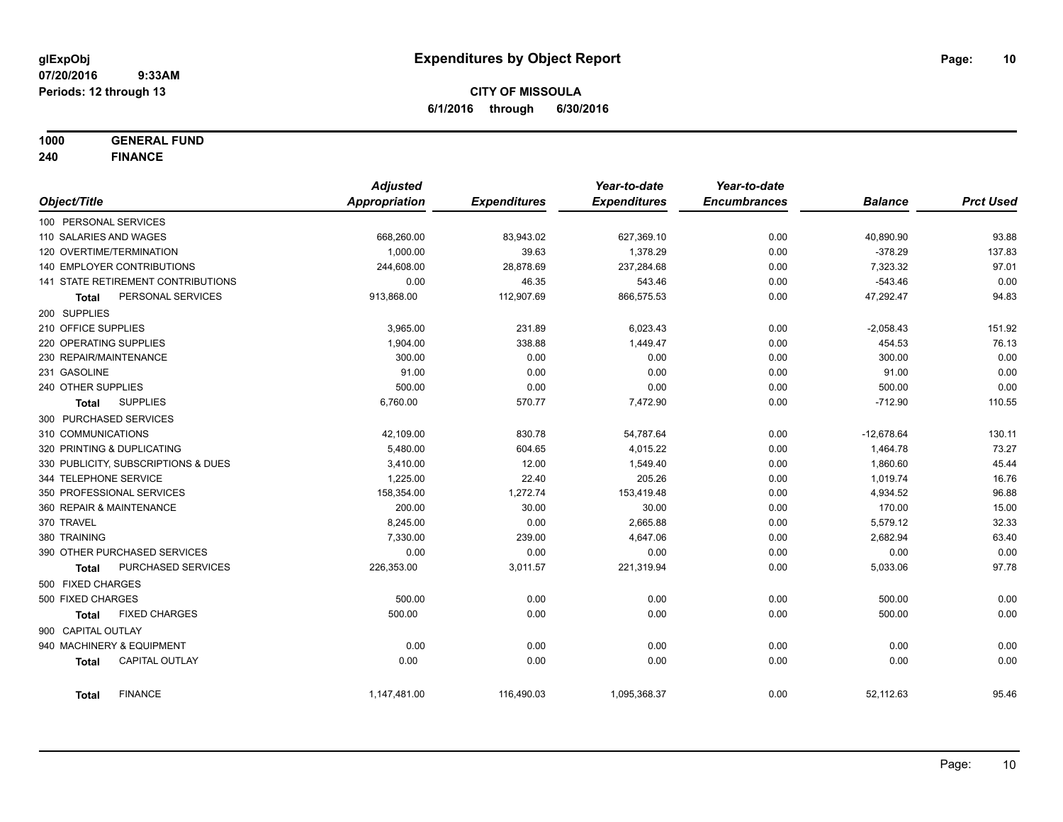**1000 GENERAL FUND**

**240 FINANCE**

|                            |                                     | <b>Adjusted</b>      |                     | Year-to-date        | Year-to-date        |                |                  |
|----------------------------|-------------------------------------|----------------------|---------------------|---------------------|---------------------|----------------|------------------|
| Object/Title               |                                     | <b>Appropriation</b> | <b>Expenditures</b> | <b>Expenditures</b> | <b>Encumbrances</b> | <b>Balance</b> | <b>Prct Used</b> |
| 100 PERSONAL SERVICES      |                                     |                      |                     |                     |                     |                |                  |
| 110 SALARIES AND WAGES     |                                     | 668,260.00           | 83,943.02           | 627,369.10          | 0.00                | 40,890.90      | 93.88            |
| 120 OVERTIME/TERMINATION   |                                     | 1,000.00             | 39.63               | 1,378.29            | 0.00                | $-378.29$      | 137.83           |
| 140 EMPLOYER CONTRIBUTIONS |                                     | 244,608.00           | 28,878.69           | 237,284.68          | 0.00                | 7,323.32       | 97.01            |
|                            | 141 STATE RETIREMENT CONTRIBUTIONS  | 0.00                 | 46.35               | 543.46              | 0.00                | $-543.46$      | 0.00             |
| <b>Total</b>               | PERSONAL SERVICES                   | 913,868.00           | 112,907.69          | 866,575.53          | 0.00                | 47,292.47      | 94.83            |
| 200 SUPPLIES               |                                     |                      |                     |                     |                     |                |                  |
| 210 OFFICE SUPPLIES        |                                     | 3,965.00             | 231.89              | 6,023.43            | 0.00                | $-2,058.43$    | 151.92           |
| 220 OPERATING SUPPLIES     |                                     | 1,904.00             | 338.88              | 1,449.47            | 0.00                | 454.53         | 76.13            |
| 230 REPAIR/MAINTENANCE     |                                     | 300.00               | 0.00                | 0.00                | 0.00                | 300.00         | 0.00             |
| 231 GASOLINE               |                                     | 91.00                | 0.00                | 0.00                | 0.00                | 91.00          | 0.00             |
| 240 OTHER SUPPLIES         |                                     | 500.00               | 0.00                | 0.00                | 0.00                | 500.00         | 0.00             |
| Total                      | <b>SUPPLIES</b>                     | 6,760.00             | 570.77              | 7,472.90            | 0.00                | $-712.90$      | 110.55           |
| 300 PURCHASED SERVICES     |                                     |                      |                     |                     |                     |                |                  |
| 310 COMMUNICATIONS         |                                     | 42,109.00            | 830.78              | 54,787.64           | 0.00                | $-12,678.64$   | 130.11           |
| 320 PRINTING & DUPLICATING |                                     | 5,480.00             | 604.65              | 4,015.22            | 0.00                | 1,464.78       | 73.27            |
|                            | 330 PUBLICITY, SUBSCRIPTIONS & DUES | 3,410.00             | 12.00               | 1,549.40            | 0.00                | 1,860.60       | 45.44            |
| 344 TELEPHONE SERVICE      |                                     | 1,225.00             | 22.40               | 205.26              | 0.00                | 1,019.74       | 16.76            |
| 350 PROFESSIONAL SERVICES  |                                     | 158,354.00           | 1,272.74            | 153,419.48          | 0.00                | 4,934.52       | 96.88            |
| 360 REPAIR & MAINTENANCE   |                                     | 200.00               | 30.00               | 30.00               | 0.00                | 170.00         | 15.00            |
| 370 TRAVEL                 |                                     | 8,245.00             | 0.00                | 2,665.88            | 0.00                | 5,579.12       | 32.33            |
| 380 TRAINING               |                                     | 7,330.00             | 239.00              | 4,647.06            | 0.00                | 2,682.94       | 63.40            |
|                            | 390 OTHER PURCHASED SERVICES        | 0.00                 | 0.00                | 0.00                | 0.00                | 0.00           | 0.00             |
| <b>Total</b>               | PURCHASED SERVICES                  | 226,353.00           | 3,011.57            | 221,319.94          | 0.00                | 5,033.06       | 97.78            |
| 500 FIXED CHARGES          |                                     |                      |                     |                     |                     |                |                  |
| 500 FIXED CHARGES          |                                     | 500.00               | 0.00                | 0.00                | 0.00                | 500.00         | 0.00             |
| <b>Total</b>               | <b>FIXED CHARGES</b>                | 500.00               | 0.00                | 0.00                | 0.00                | 500.00         | 0.00             |
| 900 CAPITAL OUTLAY         |                                     |                      |                     |                     |                     |                |                  |
| 940 MACHINERY & EQUIPMENT  |                                     | 0.00                 | 0.00                | 0.00                | 0.00                | 0.00           | 0.00             |
| <b>Total</b>               | <b>CAPITAL OUTLAY</b>               | 0.00                 | 0.00                | 0.00                | 0.00                | 0.00           | 0.00             |
| <b>Total</b>               | <b>FINANCE</b>                      | 1,147,481.00         | 116,490.03          | 1,095,368.37        | 0.00                | 52,112.63      | 95.46            |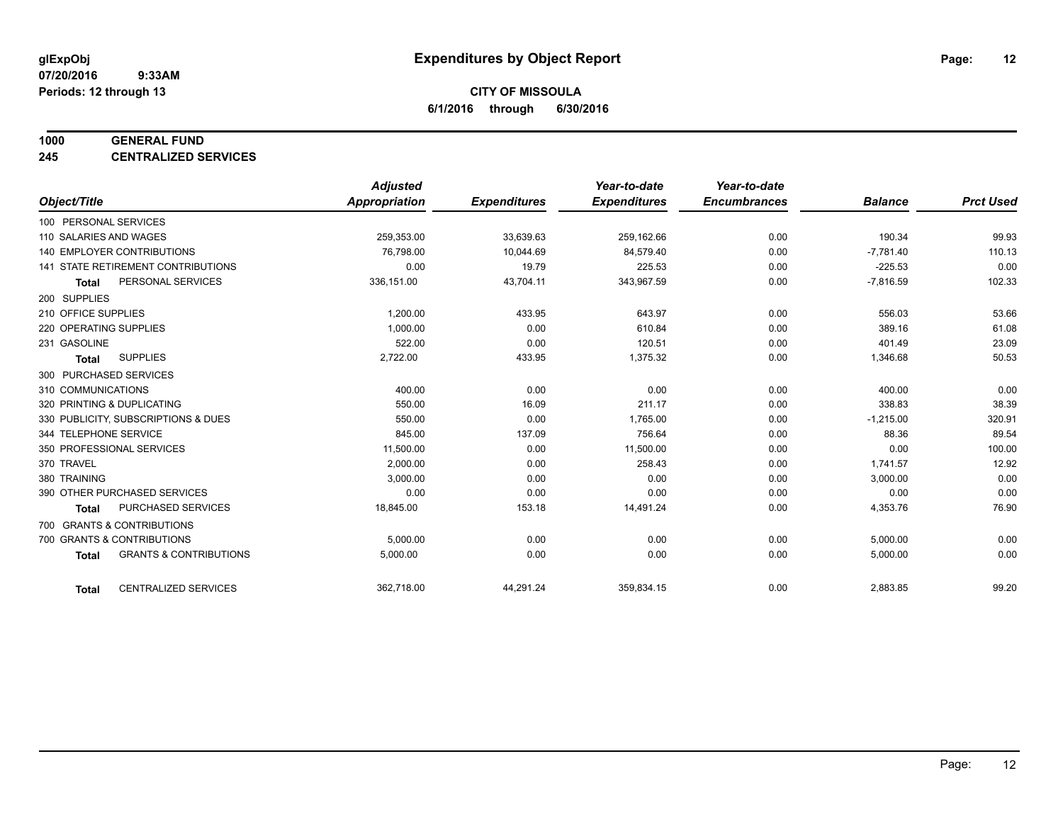#### **1000 GENERAL FUND**

**245 CENTRALIZED SERVICES**

|                                                   | <b>Adjusted</b> |                     | Year-to-date        | Year-to-date        |                |                  |
|---------------------------------------------------|-----------------|---------------------|---------------------|---------------------|----------------|------------------|
| Object/Title                                      | Appropriation   | <b>Expenditures</b> | <b>Expenditures</b> | <b>Encumbrances</b> | <b>Balance</b> | <b>Prct Used</b> |
| 100 PERSONAL SERVICES                             |                 |                     |                     |                     |                |                  |
| 110 SALARIES AND WAGES                            | 259,353.00      | 33,639.63           | 259,162.66          | 0.00                | 190.34         | 99.93            |
| 140 EMPLOYER CONTRIBUTIONS                        | 76.798.00       | 10,044.69           | 84.579.40           | 0.00                | $-7,781.40$    | 110.13           |
| 141 STATE RETIREMENT CONTRIBUTIONS                | 0.00            | 19.79               | 225.53              | 0.00                | $-225.53$      | 0.00             |
| PERSONAL SERVICES<br><b>Total</b>                 | 336,151.00      | 43,704.11           | 343,967.59          | 0.00                | $-7,816.59$    | 102.33           |
| 200 SUPPLIES                                      |                 |                     |                     |                     |                |                  |
| 210 OFFICE SUPPLIES                               | 1,200.00        | 433.95              | 643.97              | 0.00                | 556.03         | 53.66            |
| 220 OPERATING SUPPLIES                            | 1.000.00        | 0.00                | 610.84              | 0.00                | 389.16         | 61.08            |
| 231 GASOLINE                                      | 522.00          | 0.00                | 120.51              | 0.00                | 401.49         | 23.09            |
| <b>SUPPLIES</b><br><b>Total</b>                   | 2,722.00        | 433.95              | 1,375.32            | 0.00                | 1,346.68       | 50.53            |
| 300 PURCHASED SERVICES                            |                 |                     |                     |                     |                |                  |
| 310 COMMUNICATIONS                                | 400.00          | 0.00                | 0.00                | 0.00                | 400.00         | 0.00             |
| 320 PRINTING & DUPLICATING                        | 550.00          | 16.09               | 211.17              | 0.00                | 338.83         | 38.39            |
| 330 PUBLICITY, SUBSCRIPTIONS & DUES               | 550.00          | 0.00                | 1,765.00            | 0.00                | $-1,215.00$    | 320.91           |
| 344 TELEPHONE SERVICE                             | 845.00          | 137.09              | 756.64              | 0.00                | 88.36          | 89.54            |
| 350 PROFESSIONAL SERVICES                         | 11,500.00       | 0.00                | 11,500.00           | 0.00                | 0.00           | 100.00           |
| 370 TRAVEL                                        | 2,000.00        | 0.00                | 258.43              | 0.00                | 1,741.57       | 12.92            |
| 380 TRAINING                                      | 3,000.00        | 0.00                | 0.00                | 0.00                | 3,000.00       | 0.00             |
| 390 OTHER PURCHASED SERVICES                      | 0.00            | 0.00                | 0.00                | 0.00                | 0.00           | 0.00             |
| <b>PURCHASED SERVICES</b><br><b>Total</b>         | 18,845.00       | 153.18              | 14,491.24           | 0.00                | 4,353.76       | 76.90            |
| 700 GRANTS & CONTRIBUTIONS                        |                 |                     |                     |                     |                |                  |
| 700 GRANTS & CONTRIBUTIONS                        | 5,000.00        | 0.00                | 0.00                | 0.00                | 5,000.00       | 0.00             |
| <b>GRANTS &amp; CONTRIBUTIONS</b><br><b>Total</b> | 5,000.00        | 0.00                | 0.00                | 0.00                | 5,000.00       | 0.00             |
|                                                   |                 |                     |                     |                     |                |                  |
| <b>CENTRALIZED SERVICES</b><br><b>Total</b>       | 362,718.00      | 44,291.24           | 359,834.15          | 0.00                | 2,883.85       | 99.20            |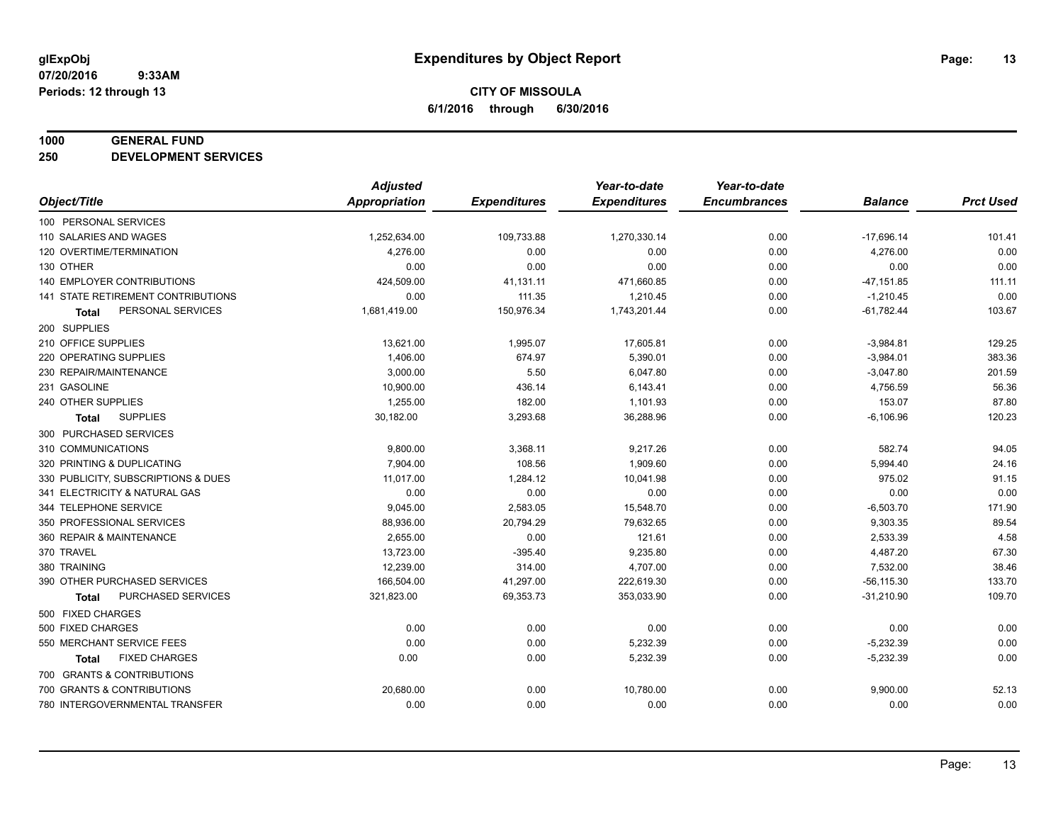#### **1000 GENERAL FUND**

**250 DEVELOPMENT SERVICES**

|                                           | <b>Adjusted</b>      |                     | Year-to-date        | Year-to-date        |                |                  |
|-------------------------------------------|----------------------|---------------------|---------------------|---------------------|----------------|------------------|
| Object/Title                              | <b>Appropriation</b> | <b>Expenditures</b> | <b>Expenditures</b> | <b>Encumbrances</b> | <b>Balance</b> | <b>Prct Used</b> |
| 100 PERSONAL SERVICES                     |                      |                     |                     |                     |                |                  |
| 110 SALARIES AND WAGES                    | 1,252,634.00         | 109,733.88          | 1,270,330.14        | 0.00                | $-17,696.14$   | 101.41           |
| 120 OVERTIME/TERMINATION                  | 4,276.00             | 0.00                | 0.00                | 0.00                | 4,276.00       | 0.00             |
| 130 OTHER                                 | 0.00                 | 0.00                | 0.00                | 0.00                | 0.00           | 0.00             |
| 140 EMPLOYER CONTRIBUTIONS                | 424,509.00           | 41,131.11           | 471,660.85          | 0.00                | $-47, 151.85$  | 111.11           |
| <b>141 STATE RETIREMENT CONTRIBUTIONS</b> | 0.00                 | 111.35              | 1,210.45            | 0.00                | $-1,210.45$    | 0.00             |
| PERSONAL SERVICES<br>Total                | 1,681,419.00         | 150,976.34          | 1,743,201.44        | 0.00                | $-61,782.44$   | 103.67           |
| 200 SUPPLIES                              |                      |                     |                     |                     |                |                  |
| 210 OFFICE SUPPLIES                       | 13,621.00            | 1,995.07            | 17,605.81           | 0.00                | $-3,984.81$    | 129.25           |
| 220 OPERATING SUPPLIES                    | 1,406.00             | 674.97              | 5,390.01            | 0.00                | $-3,984.01$    | 383.36           |
| 230 REPAIR/MAINTENANCE                    | 3,000.00             | 5.50                | 6,047.80            | 0.00                | $-3,047.80$    | 201.59           |
| 231 GASOLINE                              | 10,900.00            | 436.14              | 6,143.41            | 0.00                | 4,756.59       | 56.36            |
| 240 OTHER SUPPLIES                        | 1,255.00             | 182.00              | 1,101.93            | 0.00                | 153.07         | 87.80            |
| <b>SUPPLIES</b><br>Total                  | 30,182.00            | 3,293.68            | 36,288.96           | 0.00                | $-6,106.96$    | 120.23           |
| 300 PURCHASED SERVICES                    |                      |                     |                     |                     |                |                  |
| 310 COMMUNICATIONS                        | 9,800.00             | 3,368.11            | 9,217.26            | 0.00                | 582.74         | 94.05            |
| 320 PRINTING & DUPLICATING                | 7,904.00             | 108.56              | 1,909.60            | 0.00                | 5,994.40       | 24.16            |
| 330 PUBLICITY, SUBSCRIPTIONS & DUES       | 11,017.00            | 1,284.12            | 10,041.98           | 0.00                | 975.02         | 91.15            |
| 341 ELECTRICITY & NATURAL GAS             | 0.00                 | 0.00                | 0.00                | 0.00                | 0.00           | 0.00             |
| 344 TELEPHONE SERVICE                     | 9,045.00             | 2,583.05            | 15,548.70           | 0.00                | $-6,503.70$    | 171.90           |
| 350 PROFESSIONAL SERVICES                 | 88,936.00            | 20,794.29           | 79,632.65           | 0.00                | 9,303.35       | 89.54            |
| 360 REPAIR & MAINTENANCE                  | 2,655.00             | 0.00                | 121.61              | 0.00                | 2,533.39       | 4.58             |
| 370 TRAVEL                                | 13,723.00            | $-395.40$           | 9,235.80            | 0.00                | 4,487.20       | 67.30            |
| 380 TRAINING                              | 12,239.00            | 314.00              | 4,707.00            | 0.00                | 7,532.00       | 38.46            |
| 390 OTHER PURCHASED SERVICES              | 166,504.00           | 41,297.00           | 222,619.30          | 0.00                | $-56, 115.30$  | 133.70           |
| PURCHASED SERVICES<br>Total               | 321,823.00           | 69,353.73           | 353,033.90          | 0.00                | $-31,210.90$   | 109.70           |
| 500 FIXED CHARGES                         |                      |                     |                     |                     |                |                  |
| 500 FIXED CHARGES                         | 0.00                 | 0.00                | 0.00                | 0.00                | 0.00           | 0.00             |
| 550 MERCHANT SERVICE FEES                 | 0.00                 | 0.00                | 5,232.39            | 0.00                | $-5,232.39$    | 0.00             |
| <b>FIXED CHARGES</b><br>Total             | 0.00                 | 0.00                | 5,232.39            | 0.00                | $-5,232.39$    | 0.00             |
| 700 GRANTS & CONTRIBUTIONS                |                      |                     |                     |                     |                |                  |
| 700 GRANTS & CONTRIBUTIONS                | 20,680.00            | 0.00                | 10,780.00           | 0.00                | 9,900.00       | 52.13            |
| 780 INTERGOVERNMENTAL TRANSFER            | 0.00                 | 0.00                | 0.00                | 0.00                | 0.00           | 0.00             |
|                                           |                      |                     |                     |                     |                |                  |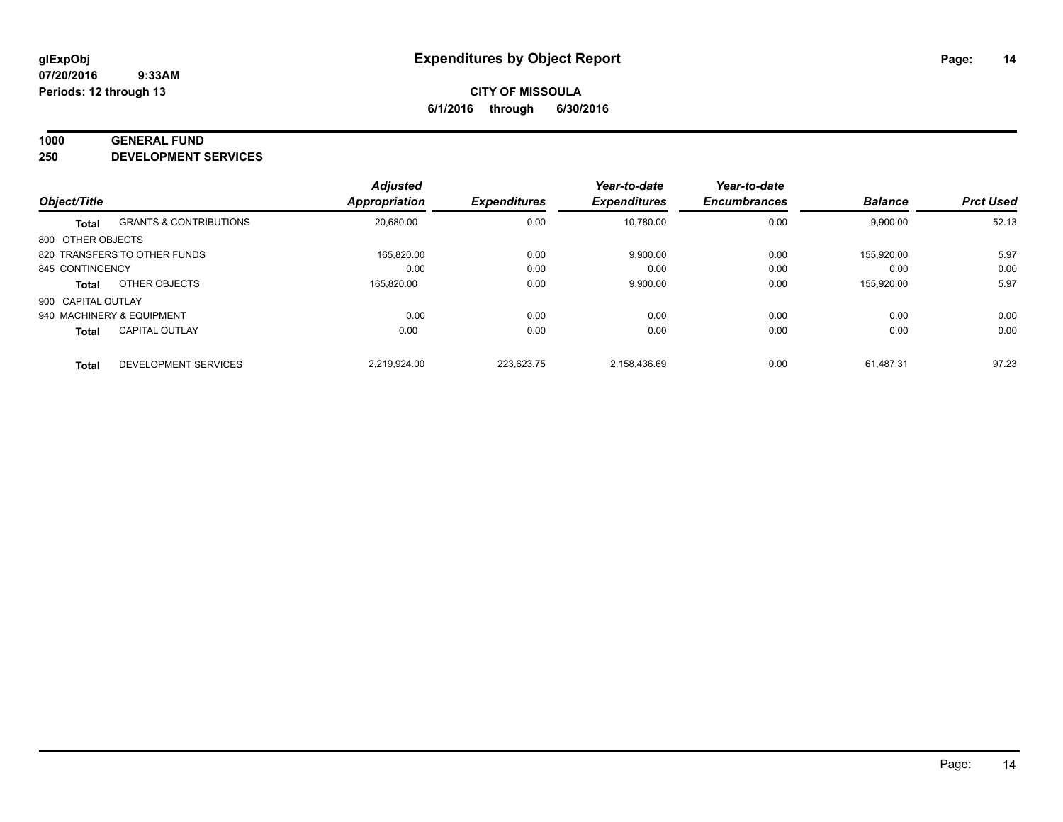#### **1000 GENERAL FUND**

**250 DEVELOPMENT SERVICES**

|                    |                                   | <b>Adjusted</b>      |                     | Year-to-date        | Year-to-date        |                |                  |
|--------------------|-----------------------------------|----------------------|---------------------|---------------------|---------------------|----------------|------------------|
| Object/Title       |                                   | <b>Appropriation</b> | <b>Expenditures</b> | <b>Expenditures</b> | <b>Encumbrances</b> | <b>Balance</b> | <b>Prct Used</b> |
| <b>Total</b>       | <b>GRANTS &amp; CONTRIBUTIONS</b> | 20,680.00            | 0.00                | 10.780.00           | 0.00                | 9,900.00       | 52.13            |
| 800 OTHER OBJECTS  |                                   |                      |                     |                     |                     |                |                  |
|                    | 820 TRANSFERS TO OTHER FUNDS      | 165.820.00           | 0.00                | 9,900.00            | 0.00                | 155.920.00     | 5.97             |
| 845 CONTINGENCY    |                                   | 0.00                 | 0.00                | 0.00                | 0.00                | 0.00           | 0.00             |
| <b>Total</b>       | OTHER OBJECTS                     | 165,820.00           | 0.00                | 9,900.00            | 0.00                | 155,920.00     | 5.97             |
| 900 CAPITAL OUTLAY |                                   |                      |                     |                     |                     |                |                  |
|                    | 940 MACHINERY & EQUIPMENT         | 0.00                 | 0.00                | 0.00                | 0.00                | 0.00           | 0.00             |
| <b>Total</b>       | <b>CAPITAL OUTLAY</b>             | 0.00                 | 0.00                | 0.00                | 0.00                | 0.00           | 0.00             |
| <b>Total</b>       | DEVELOPMENT SERVICES              | 2.219.924.00         | 223.623.75          | 2,158,436.69        | 0.00                | 61.487.31      | 97.23            |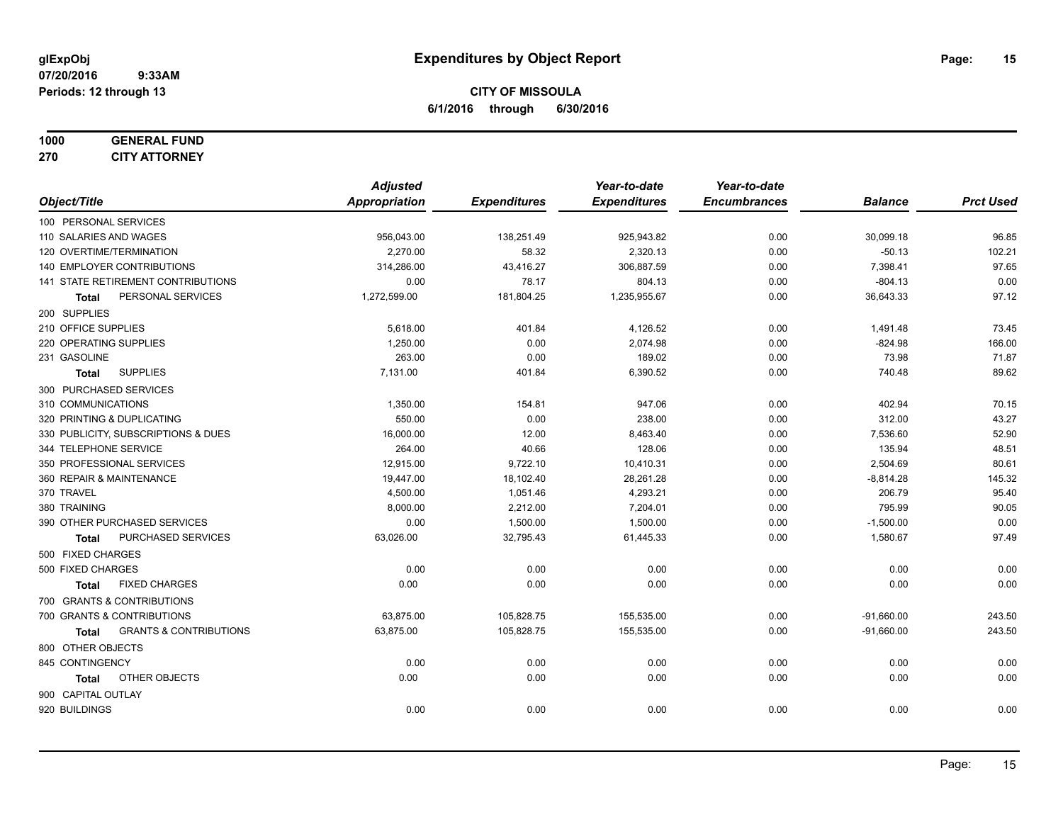# **1000 GENERAL FUND**

**270 CITY ATTORNEY**

|                                            | <b>Adjusted</b> |                     | Year-to-date        | Year-to-date        |                |                  |
|--------------------------------------------|-----------------|---------------------|---------------------|---------------------|----------------|------------------|
| Object/Title                               | Appropriation   | <b>Expenditures</b> | <b>Expenditures</b> | <b>Encumbrances</b> | <b>Balance</b> | <b>Prct Used</b> |
| 100 PERSONAL SERVICES                      |                 |                     |                     |                     |                |                  |
| 110 SALARIES AND WAGES                     | 956,043.00      | 138,251.49          | 925,943.82          | 0.00                | 30,099.18      | 96.85            |
| 120 OVERTIME/TERMINATION                   | 2,270.00        | 58.32               | 2,320.13            | 0.00                | $-50.13$       | 102.21           |
| 140 EMPLOYER CONTRIBUTIONS                 | 314,286.00      | 43,416.27           | 306,887.59          | 0.00                | 7,398.41       | 97.65            |
| 141 STATE RETIREMENT CONTRIBUTIONS         | 0.00            | 78.17               | 804.13              | 0.00                | $-804.13$      | 0.00             |
| PERSONAL SERVICES<br>Total                 | 1,272,599.00    | 181,804.25          | 1,235,955.67        | 0.00                | 36,643.33      | 97.12            |
| 200 SUPPLIES                               |                 |                     |                     |                     |                |                  |
| 210 OFFICE SUPPLIES                        | 5,618.00        | 401.84              | 4,126.52            | 0.00                | 1,491.48       | 73.45            |
| 220 OPERATING SUPPLIES                     | 1,250.00        | 0.00                | 2,074.98            | 0.00                | $-824.98$      | 166.00           |
| 231 GASOLINE                               | 263.00          | 0.00                | 189.02              | 0.00                | 73.98          | 71.87            |
| <b>SUPPLIES</b><br><b>Total</b>            | 7,131.00        | 401.84              | 6,390.52            | 0.00                | 740.48         | 89.62            |
| 300 PURCHASED SERVICES                     |                 |                     |                     |                     |                |                  |
| 310 COMMUNICATIONS                         | 1,350.00        | 154.81              | 947.06              | 0.00                | 402.94         | 70.15            |
| 320 PRINTING & DUPLICATING                 | 550.00          | 0.00                | 238.00              | 0.00                | 312.00         | 43.27            |
| 330 PUBLICITY, SUBSCRIPTIONS & DUES        | 16,000.00       | 12.00               | 8,463.40            | 0.00                | 7,536.60       | 52.90            |
| 344 TELEPHONE SERVICE                      | 264.00          | 40.66               | 128.06              | 0.00                | 135.94         | 48.51            |
| 350 PROFESSIONAL SERVICES                  | 12,915.00       | 9,722.10            | 10,410.31           | 0.00                | 2,504.69       | 80.61            |
| 360 REPAIR & MAINTENANCE                   | 19,447.00       | 18,102.40           | 28,261.28           | 0.00                | $-8,814.28$    | 145.32           |
| 370 TRAVEL                                 | 4,500.00        | 1,051.46            | 4,293.21            | 0.00                | 206.79         | 95.40            |
| 380 TRAINING                               | 8,000.00        | 2,212.00            | 7,204.01            | 0.00                | 795.99         | 90.05            |
| 390 OTHER PURCHASED SERVICES               | 0.00            | 1,500.00            | 1,500.00            | 0.00                | $-1,500.00$    | 0.00             |
| PURCHASED SERVICES<br>Total                | 63,026.00       | 32,795.43           | 61,445.33           | 0.00                | 1,580.67       | 97.49            |
| 500 FIXED CHARGES                          |                 |                     |                     |                     |                |                  |
| 500 FIXED CHARGES                          | 0.00            | 0.00                | 0.00                | 0.00                | 0.00           | 0.00             |
| <b>FIXED CHARGES</b><br><b>Total</b>       | 0.00            | 0.00                | 0.00                | 0.00                | 0.00           | 0.00             |
| 700 GRANTS & CONTRIBUTIONS                 |                 |                     |                     |                     |                |                  |
| 700 GRANTS & CONTRIBUTIONS                 | 63,875.00       | 105,828.75          | 155,535.00          | 0.00                | $-91,660.00$   | 243.50           |
| <b>GRANTS &amp; CONTRIBUTIONS</b><br>Total | 63,875.00       | 105,828.75          | 155,535.00          | 0.00                | $-91,660.00$   | 243.50           |
| 800 OTHER OBJECTS                          |                 |                     |                     |                     |                |                  |
| 845 CONTINGENCY                            | 0.00            | 0.00                | 0.00                | 0.00                | 0.00           | 0.00             |
| <b>OTHER OBJECTS</b><br><b>Total</b>       | 0.00            | 0.00                | 0.00                | 0.00                | 0.00           | 0.00             |
| 900 CAPITAL OUTLAY                         |                 |                     |                     |                     |                |                  |
| 920 BUILDINGS                              | 0.00            | 0.00                | 0.00                | 0.00                | 0.00           | 0.00             |
|                                            |                 |                     |                     |                     |                |                  |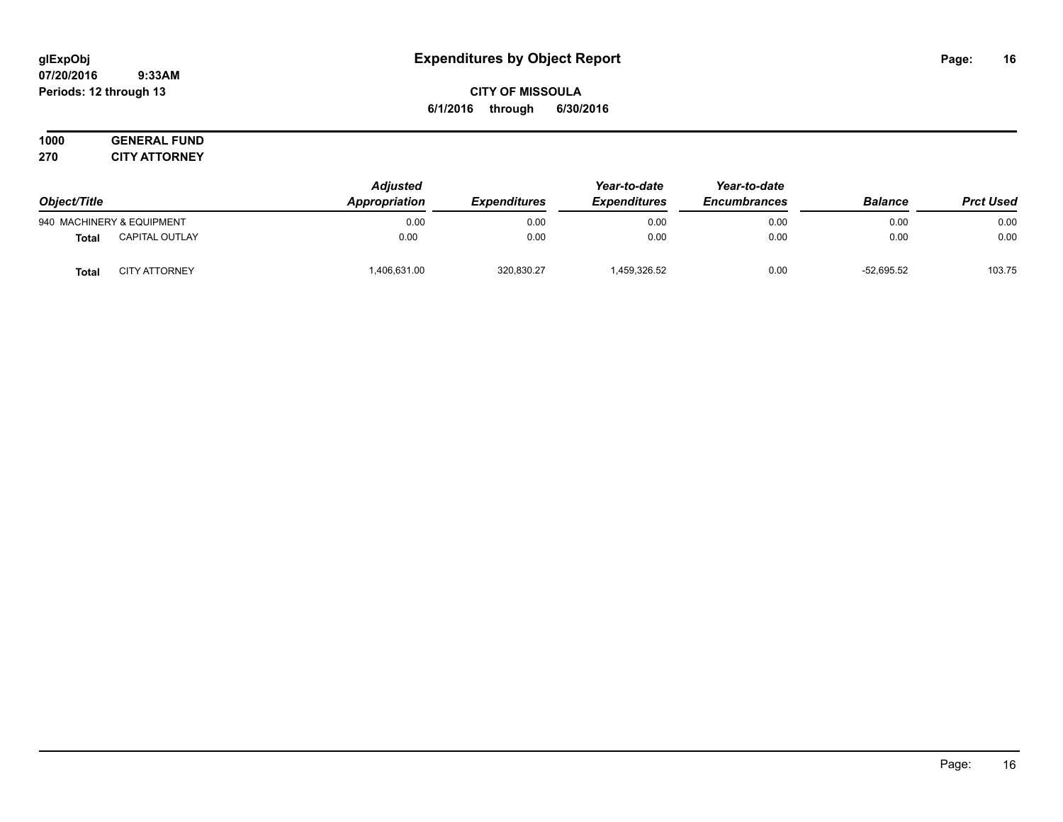**CITY OF MISSOULA 6/1/2016 through 6/30/2016**

**1000 GENERAL FUND 270 CITY ATTORNEY**

| Object/Title |                           | <b>Adjusted</b><br>Appropriation | <b>Expenditures</b> | Year-to-date<br><b>Expenditures</b> | Year-to-date<br><b>Encumbrances</b> | <b>Balance</b> | <b>Prct Used</b> |
|--------------|---------------------------|----------------------------------|---------------------|-------------------------------------|-------------------------------------|----------------|------------------|
|              | 940 MACHINERY & EQUIPMENT | 0.00                             | 0.00                | 0.00                                | 0.00                                | 0.00           | 0.00             |
| <b>Total</b> | <b>CAPITAL OUTLAY</b>     | 0.00                             | 0.00                | 0.00                                | 0.00                                | 0.00           | 0.00             |
| Total        | <b>CITY ATTORNEY</b>      | 406,631.00                       | 320,830.27          | 1,459,326.52                        | 0.00                                | $-52.695.52$   | 103.75           |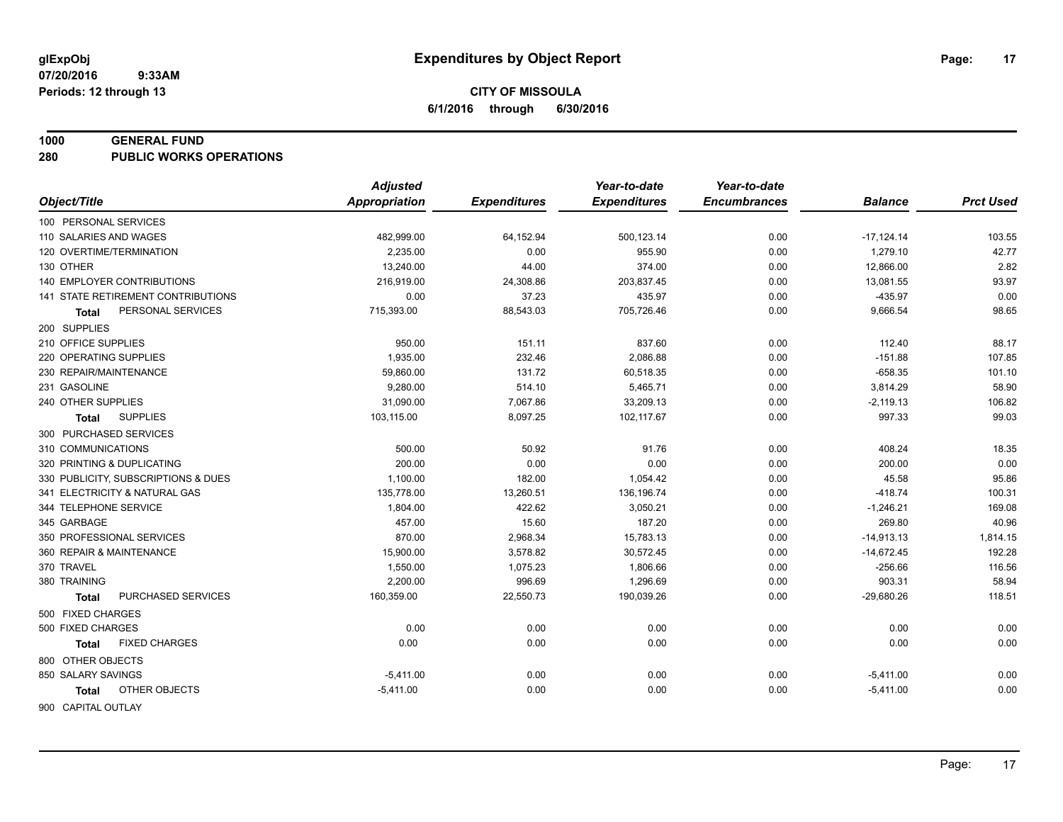#### **1000 GENERAL FUND**

**280 PUBLIC WORKS OPERATIONS**

|                                     | <b>Adjusted</b>      |                     | Year-to-date        | Year-to-date        |                |                  |
|-------------------------------------|----------------------|---------------------|---------------------|---------------------|----------------|------------------|
| Object/Title                        | <b>Appropriation</b> | <b>Expenditures</b> | <b>Expenditures</b> | <b>Encumbrances</b> | <b>Balance</b> | <b>Prct Used</b> |
| 100 PERSONAL SERVICES               |                      |                     |                     |                     |                |                  |
| 110 SALARIES AND WAGES              | 482,999.00           | 64,152.94           | 500,123.14          | 0.00                | $-17, 124.14$  | 103.55           |
| 120 OVERTIME/TERMINATION            | 2.235.00             | 0.00                | 955.90              | 0.00                | 1,279.10       | 42.77            |
| 130 OTHER                           | 13,240.00            | 44.00               | 374.00              | 0.00                | 12,866.00      | 2.82             |
| <b>140 EMPLOYER CONTRIBUTIONS</b>   | 216,919.00           | 24,308.86           | 203,837.45          | 0.00                | 13,081.55      | 93.97            |
| 141 STATE RETIREMENT CONTRIBUTIONS  | 0.00                 | 37.23               | 435.97              | 0.00                | $-435.97$      | 0.00             |
| PERSONAL SERVICES<br><b>Total</b>   | 715,393.00           | 88,543.03           | 705,726.46          | 0.00                | 9,666.54       | 98.65            |
| 200 SUPPLIES                        |                      |                     |                     |                     |                |                  |
| 210 OFFICE SUPPLIES                 | 950.00               | 151.11              | 837.60              | 0.00                | 112.40         | 88.17            |
| 220 OPERATING SUPPLIES              | 1,935.00             | 232.46              | 2,086.88            | 0.00                | $-151.88$      | 107.85           |
| 230 REPAIR/MAINTENANCE              | 59,860.00            | 131.72              | 60,518.35           | 0.00                | $-658.35$      | 101.10           |
| 231 GASOLINE                        | 9,280.00             | 514.10              | 5,465.71            | 0.00                | 3,814.29       | 58.90            |
| 240 OTHER SUPPLIES                  | 31,090.00            | 7,067.86            | 33,209.13           | 0.00                | $-2,119.13$    | 106.82           |
| <b>SUPPLIES</b><br><b>Total</b>     | 103,115.00           | 8,097.25            | 102,117.67          | 0.00                | 997.33         | 99.03            |
| 300 PURCHASED SERVICES              |                      |                     |                     |                     |                |                  |
| 310 COMMUNICATIONS                  | 500.00               | 50.92               | 91.76               | 0.00                | 408.24         | 18.35            |
| 320 PRINTING & DUPLICATING          | 200.00               | 0.00                | 0.00                | 0.00                | 200.00         | 0.00             |
| 330 PUBLICITY, SUBSCRIPTIONS & DUES | 1,100.00             | 182.00              | 1,054.42            | 0.00                | 45.58          | 95.86            |
| 341 ELECTRICITY & NATURAL GAS       | 135,778.00           | 13,260.51           | 136,196.74          | 0.00                | $-418.74$      | 100.31           |
| 344 TELEPHONE SERVICE               | 1,804.00             | 422.62              | 3,050.21            | 0.00                | $-1,246.21$    | 169.08           |
| 345 GARBAGE                         | 457.00               | 15.60               | 187.20              | 0.00                | 269.80         | 40.96            |
| 350 PROFESSIONAL SERVICES           | 870.00               | 2,968.34            | 15,783.13           | 0.00                | $-14,913.13$   | 1,814.15         |
| 360 REPAIR & MAINTENANCE            | 15,900.00            | 3,578.82            | 30,572.45           | 0.00                | $-14,672.45$   | 192.28           |
| 370 TRAVEL                          | 1,550.00             | 1,075.23            | 1,806.66            | 0.00                | $-256.66$      | 116.56           |
| 380 TRAINING                        | 2,200.00             | 996.69              | 1,296.69            | 0.00                | 903.31         | 58.94            |
| PURCHASED SERVICES<br><b>Total</b>  | 160,359.00           | 22,550.73           | 190,039.26          | 0.00                | $-29,680.26$   | 118.51           |
| 500 FIXED CHARGES                   |                      |                     |                     |                     |                |                  |
| 500 FIXED CHARGES                   | 0.00                 | 0.00                | 0.00                | 0.00                | 0.00           | 0.00             |
| <b>FIXED CHARGES</b><br>Total       | 0.00                 | 0.00                | 0.00                | 0.00                | 0.00           | 0.00             |
| 800 OTHER OBJECTS                   |                      |                     |                     |                     |                |                  |
| 850 SALARY SAVINGS                  | $-5,411.00$          | 0.00                | 0.00                | 0.00                | $-5,411.00$    | 0.00             |
| OTHER OBJECTS<br>Total              | $-5,411.00$          | 0.00                | 0.00                | 0.00                | $-5,411.00$    | 0.00             |
| 900 CAPITAL OUTLAY                  |                      |                     |                     |                     |                |                  |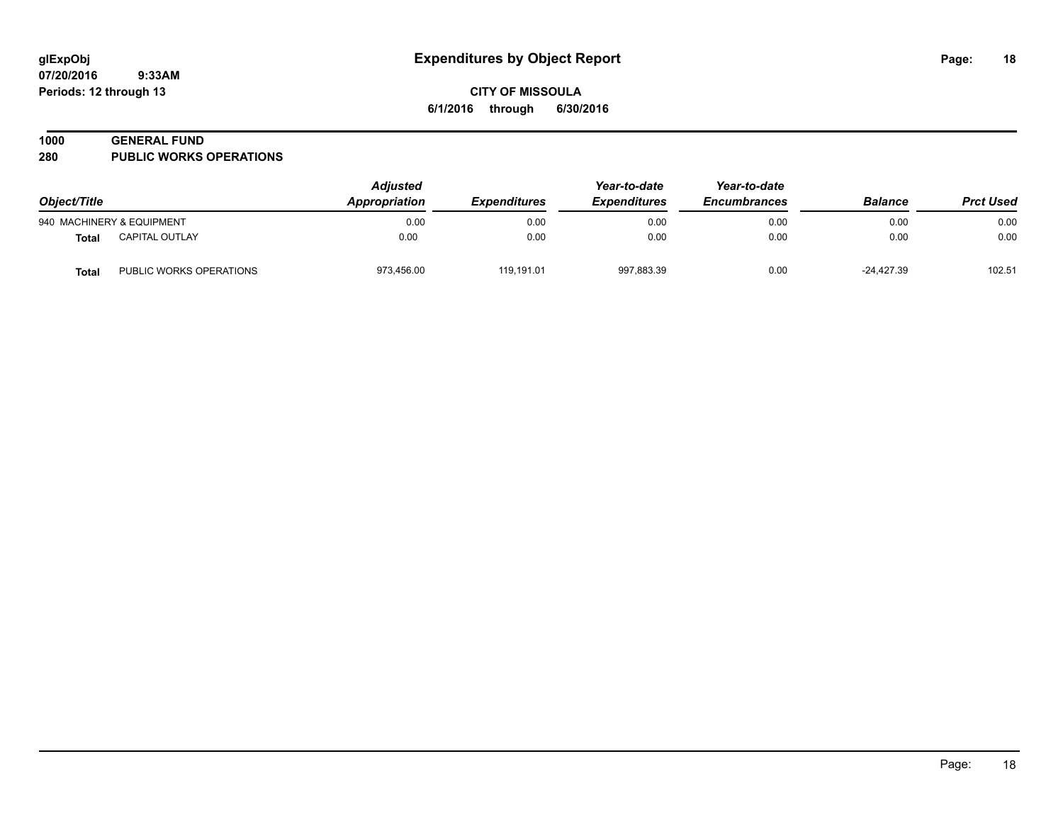#### **1000 GENERAL FUND**

**280 PUBLIC WORKS OPERATIONS**

| Object/Title |                           | <b>Adjusted</b><br>Appropriation | <i><b>Expenditures</b></i> | Year-to-date<br><b>Expenditures</b> | Year-to-date<br><b>Encumbrances</b> | <b>Balance</b> | <b>Prct Used</b> |
|--------------|---------------------------|----------------------------------|----------------------------|-------------------------------------|-------------------------------------|----------------|------------------|
|              | 940 MACHINERY & EQUIPMENT | 0.00                             | 0.00                       | 0.00                                | 0.00                                | 0.00           | 0.00             |
| Total        | CAPITAL OUTLAY            | 0.00                             | 0.00                       | 0.00                                | 0.00                                | 0.00           | 0.00             |
| Total        | PUBLIC WORKS OPERATIONS   | 973,456.00                       | 119,191.01                 | 997,883.39                          | 0.00                                | -24,427.39     | 102.51           |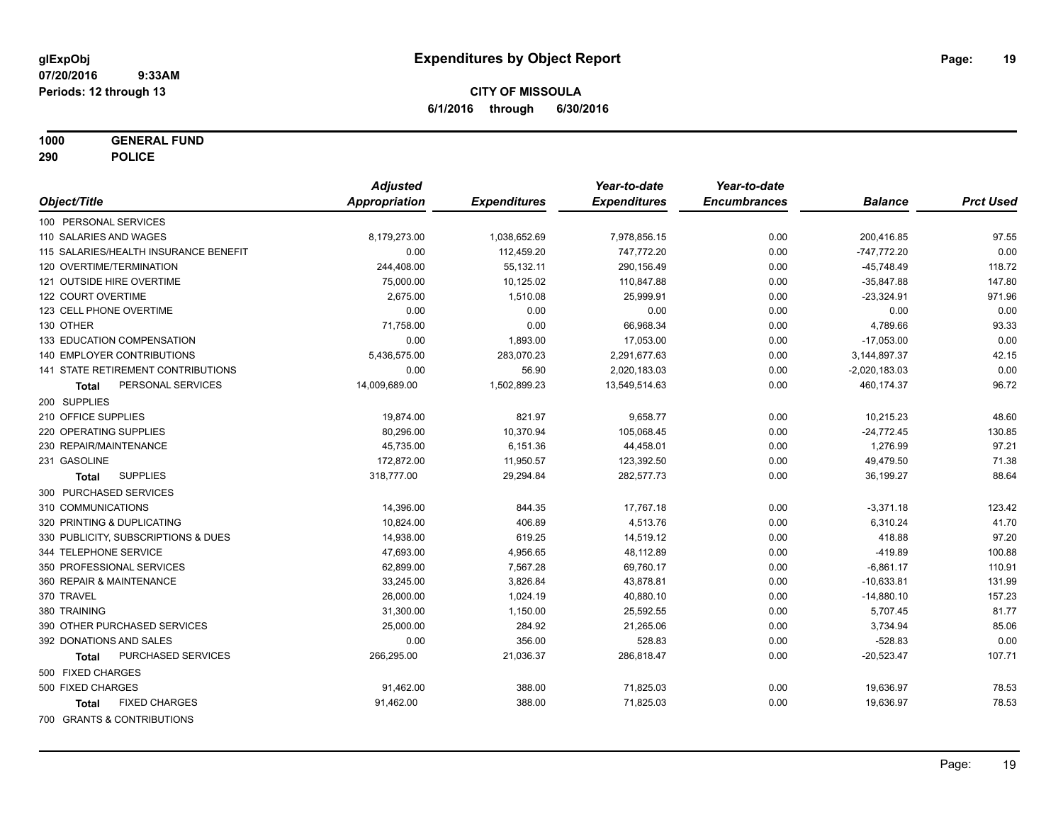**1000 GENERAL FUND**

**290 POLICE**

|                                       | <b>Adjusted</b> |                     | Year-to-date        | Year-to-date        |                 |                  |
|---------------------------------------|-----------------|---------------------|---------------------|---------------------|-----------------|------------------|
| Object/Title                          | Appropriation   | <b>Expenditures</b> | <b>Expenditures</b> | <b>Encumbrances</b> | <b>Balance</b>  | <b>Prct Used</b> |
| 100 PERSONAL SERVICES                 |                 |                     |                     |                     |                 |                  |
| 110 SALARIES AND WAGES                | 8,179,273.00    | 1,038,652.69        | 7,978,856.15        | 0.00                | 200,416.85      | 97.55            |
| 115 SALARIES/HEALTH INSURANCE BENEFIT | 0.00            | 112,459.20          | 747,772.20          | 0.00                | $-747,772.20$   | 0.00             |
| 120 OVERTIME/TERMINATION              | 244,408.00      | 55,132.11           | 290,156.49          | 0.00                | $-45,748.49$    | 118.72           |
| 121 OUTSIDE HIRE OVERTIME             | 75,000.00       | 10,125.02           | 110,847.88          | 0.00                | $-35,847.88$    | 147.80           |
| 122 COURT OVERTIME                    | 2,675.00        | 1,510.08            | 25,999.91           | 0.00                | $-23,324.91$    | 971.96           |
| 123 CELL PHONE OVERTIME               | 0.00            | 0.00                | 0.00                | 0.00                | 0.00            | 0.00             |
| 130 OTHER                             | 71,758.00       | 0.00                | 66,968.34           | 0.00                | 4,789.66        | 93.33            |
| 133 EDUCATION COMPENSATION            | 0.00            | 1,893.00            | 17,053.00           | 0.00                | $-17,053.00$    | 0.00             |
| 140 EMPLOYER CONTRIBUTIONS            | 5,436,575.00    | 283,070.23          | 2,291,677.63        | 0.00                | 3,144,897.37    | 42.15            |
| 141 STATE RETIREMENT CONTRIBUTIONS    | 0.00            | 56.90               | 2,020,183.03        | 0.00                | $-2,020,183.03$ | 0.00             |
| PERSONAL SERVICES<br>Total            | 14,009,689.00   | 1,502,899.23        | 13,549,514.63       | 0.00                | 460,174.37      | 96.72            |
| 200 SUPPLIES                          |                 |                     |                     |                     |                 |                  |
| 210 OFFICE SUPPLIES                   | 19,874.00       | 821.97              | 9,658.77            | 0.00                | 10,215.23       | 48.60            |
| 220 OPERATING SUPPLIES                | 80,296.00       | 10,370.94           | 105,068.45          | 0.00                | $-24,772.45$    | 130.85           |
| 230 REPAIR/MAINTENANCE                | 45,735.00       | 6,151.36            | 44,458.01           | 0.00                | 1,276.99        | 97.21            |
| 231 GASOLINE                          | 172,872.00      | 11,950.57           | 123,392.50          | 0.00                | 49,479.50       | 71.38            |
| <b>SUPPLIES</b><br>Total              | 318,777.00      | 29,294.84           | 282,577.73          | 0.00                | 36,199.27       | 88.64            |
| 300 PURCHASED SERVICES                |                 |                     |                     |                     |                 |                  |
| 310 COMMUNICATIONS                    | 14,396.00       | 844.35              | 17,767.18           | 0.00                | $-3,371.18$     | 123.42           |
| 320 PRINTING & DUPLICATING            | 10,824.00       | 406.89              | 4,513.76            | 0.00                | 6,310.24        | 41.70            |
| 330 PUBLICITY, SUBSCRIPTIONS & DUES   | 14,938.00       | 619.25              | 14,519.12           | 0.00                | 418.88          | 97.20            |
| 344 TELEPHONE SERVICE                 | 47,693.00       | 4,956.65            | 48,112.89           | 0.00                | $-419.89$       | 100.88           |
| 350 PROFESSIONAL SERVICES             | 62,899.00       | 7,567.28            | 69,760.17           | 0.00                | $-6,861.17$     | 110.91           |
| 360 REPAIR & MAINTENANCE              | 33,245.00       | 3,826.84            | 43,878.81           | 0.00                | $-10,633.81$    | 131.99           |
| 370 TRAVEL                            | 26,000.00       | 1,024.19            | 40,880.10           | 0.00                | $-14,880.10$    | 157.23           |
| 380 TRAINING                          | 31,300.00       | 1,150.00            | 25,592.55           | 0.00                | 5,707.45        | 81.77            |
| 390 OTHER PURCHASED SERVICES          | 25,000.00       | 284.92              | 21,265.06           | 0.00                | 3,734.94        | 85.06            |
| 392 DONATIONS AND SALES               | 0.00            | 356.00              | 528.83              | 0.00                | $-528.83$       | 0.00             |
| PURCHASED SERVICES<br><b>Total</b>    | 266,295.00      | 21,036.37           | 286,818.47          | 0.00                | $-20,523.47$    | 107.71           |
| 500 FIXED CHARGES                     |                 |                     |                     |                     |                 |                  |
| 500 FIXED CHARGES                     | 91,462.00       | 388.00              | 71,825.03           | 0.00                | 19,636.97       | 78.53            |
| <b>FIXED CHARGES</b><br><b>Total</b>  | 91.462.00       | 388.00              | 71.825.03           | 0.00                | 19,636.97       | 78.53            |
| 700 GRANTS & CONTRIBUTIONS            |                 |                     |                     |                     |                 |                  |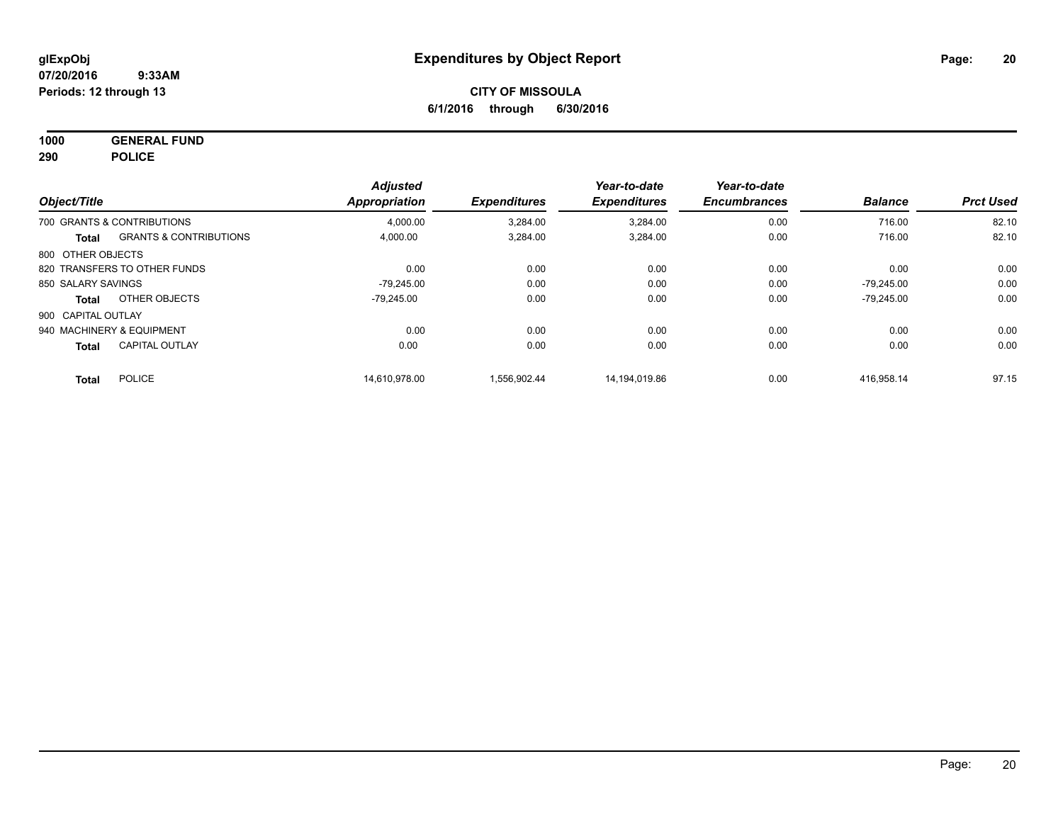**1000 GENERAL FUND 290 POLICE**

| Object/Title       |                                   | <b>Adjusted</b>      | <b>Expenditures</b> | Year-to-date<br><b>Expenditures</b> | Year-to-date<br><b>Encumbrances</b> | <b>Balance</b> | <b>Prct Used</b> |
|--------------------|-----------------------------------|----------------------|---------------------|-------------------------------------|-------------------------------------|----------------|------------------|
|                    |                                   | <b>Appropriation</b> |                     |                                     |                                     |                |                  |
|                    | 700 GRANTS & CONTRIBUTIONS        | 4,000.00             | 3,284.00            | 3,284.00                            | 0.00                                | 716.00         | 82.10            |
| Total              | <b>GRANTS &amp; CONTRIBUTIONS</b> | 4,000.00             | 3,284.00            | 3,284.00                            | 0.00                                | 716.00         | 82.10            |
| 800 OTHER OBJECTS  |                                   |                      |                     |                                     |                                     |                |                  |
|                    | 820 TRANSFERS TO OTHER FUNDS      | 0.00                 | 0.00                | 0.00                                | 0.00                                | 0.00           | 0.00             |
| 850 SALARY SAVINGS |                                   | -79.245.00           | 0.00                | 0.00                                | 0.00                                | $-79.245.00$   | 0.00             |
| Total              | OTHER OBJECTS                     | $-79.245.00$         | 0.00                | 0.00                                | 0.00                                | $-79.245.00$   | 0.00             |
| 900 CAPITAL OUTLAY |                                   |                      |                     |                                     |                                     |                |                  |
|                    | 940 MACHINERY & EQUIPMENT         | 0.00                 | 0.00                | 0.00                                | 0.00                                | 0.00           | 0.00             |
| <b>Total</b>       | <b>CAPITAL OUTLAY</b>             | 0.00                 | 0.00                | 0.00                                | 0.00                                | 0.00           | 0.00             |
| <b>Total</b>       | <b>POLICE</b>                     | 14.610.978.00        | 1.556.902.44        | 14.194.019.86                       | 0.00                                | 416.958.14     | 97.15            |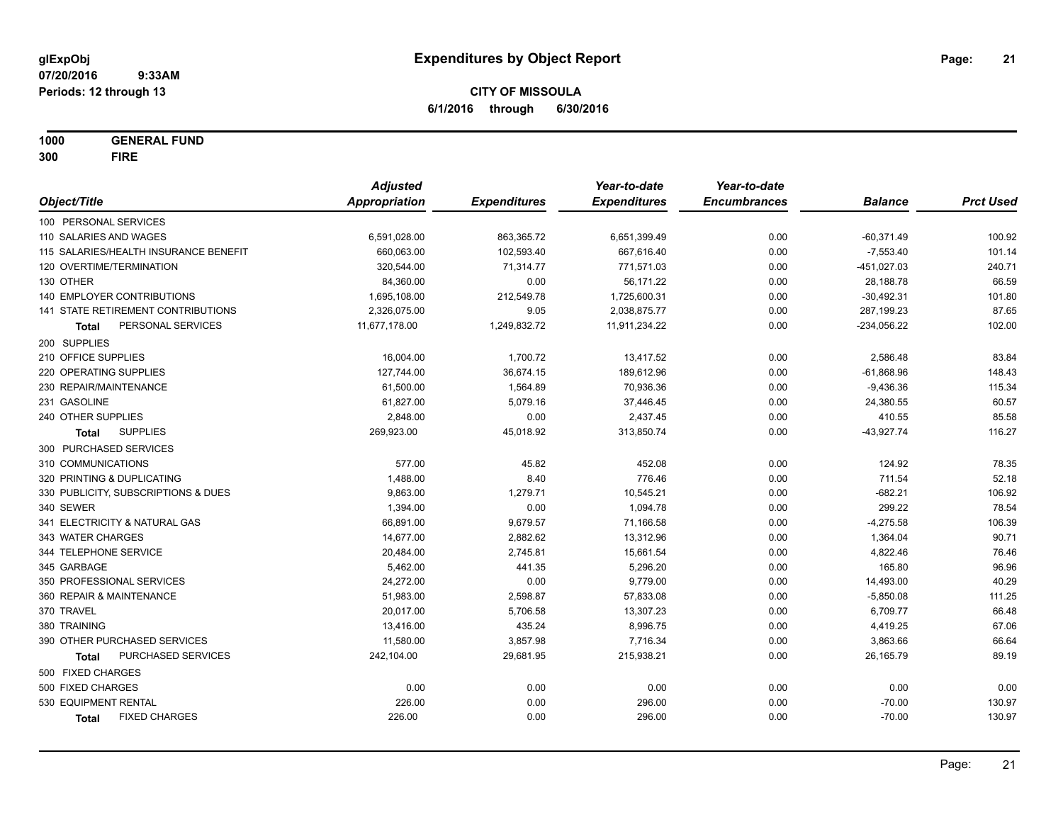**1000 GENERAL FUND**

**300 FIRE**

|                                       | <b>Adjusted</b>      |                     | Year-to-date        | Year-to-date        |                |                  |
|---------------------------------------|----------------------|---------------------|---------------------|---------------------|----------------|------------------|
| Object/Title                          | <b>Appropriation</b> | <b>Expenditures</b> | <b>Expenditures</b> | <b>Encumbrances</b> | <b>Balance</b> | <b>Prct Used</b> |
| 100 PERSONAL SERVICES                 |                      |                     |                     |                     |                |                  |
| 110 SALARIES AND WAGES                | 6,591,028.00         | 863,365.72          | 6,651,399.49        | 0.00                | $-60,371.49$   | 100.92           |
| 115 SALARIES/HEALTH INSURANCE BENEFIT | 660,063.00           | 102,593.40          | 667,616.40          | 0.00                | $-7,553.40$    | 101.14           |
| 120 OVERTIME/TERMINATION              | 320,544.00           | 71,314.77           | 771,571.03          | 0.00                | $-451,027.03$  | 240.71           |
| 130 OTHER                             | 84,360.00            | 0.00                | 56,171.22           | 0.00                | 28,188.78      | 66.59            |
| 140 EMPLOYER CONTRIBUTIONS            | 1,695,108.00         | 212,549.78          | 1,725,600.31        | 0.00                | $-30,492.31$   | 101.80           |
| 141 STATE RETIREMENT CONTRIBUTIONS    | 2,326,075.00         | 9.05                | 2,038,875.77        | 0.00                | 287,199.23     | 87.65            |
| PERSONAL SERVICES<br><b>Total</b>     | 11,677,178.00        | 1,249,832.72        | 11,911,234.22       | 0.00                | $-234,056.22$  | 102.00           |
| 200 SUPPLIES                          |                      |                     |                     |                     |                |                  |
| 210 OFFICE SUPPLIES                   | 16,004.00            | 1,700.72            | 13,417.52           | 0.00                | 2,586.48       | 83.84            |
| 220 OPERATING SUPPLIES                | 127,744.00           | 36,674.15           | 189,612.96          | 0.00                | $-61,868.96$   | 148.43           |
| 230 REPAIR/MAINTENANCE                | 61,500.00            | 1,564.89            | 70,936.36           | 0.00                | $-9,436.36$    | 115.34           |
| 231 GASOLINE                          | 61,827.00            | 5,079.16            | 37,446.45           | 0.00                | 24,380.55      | 60.57            |
| 240 OTHER SUPPLIES                    | 2,848.00             | 0.00                | 2,437.45            | 0.00                | 410.55         | 85.58            |
| <b>SUPPLIES</b><br><b>Total</b>       | 269,923.00           | 45,018.92           | 313,850.74          | 0.00                | $-43,927.74$   | 116.27           |
| 300 PURCHASED SERVICES                |                      |                     |                     |                     |                |                  |
| 310 COMMUNICATIONS                    | 577.00               | 45.82               | 452.08              | 0.00                | 124.92         | 78.35            |
| 320 PRINTING & DUPLICATING            | 1,488.00             | 8.40                | 776.46              | 0.00                | 711.54         | 52.18            |
| 330 PUBLICITY, SUBSCRIPTIONS & DUES   | 9,863.00             | 1,279.71            | 10,545.21           | 0.00                | $-682.21$      | 106.92           |
| 340 SEWER                             | 1,394.00             | 0.00                | 1,094.78            | 0.00                | 299.22         | 78.54            |
| 341 ELECTRICITY & NATURAL GAS         | 66,891.00            | 9,679.57            | 71,166.58           | 0.00                | $-4,275.58$    | 106.39           |
| 343 WATER CHARGES                     | 14,677.00            | 2,882.62            | 13,312.96           | 0.00                | 1,364.04       | 90.71            |
| 344 TELEPHONE SERVICE                 | 20,484.00            | 2,745.81            | 15,661.54           | 0.00                | 4,822.46       | 76.46            |
| 345 GARBAGE                           | 5,462.00             | 441.35              | 5,296.20            | 0.00                | 165.80         | 96.96            |
| 350 PROFESSIONAL SERVICES             | 24,272.00            | 0.00                | 9,779.00            | 0.00                | 14,493.00      | 40.29            |
| 360 REPAIR & MAINTENANCE              | 51,983.00            | 2,598.87            | 57,833.08           | 0.00                | $-5,850.08$    | 111.25           |
| 370 TRAVEL                            | 20,017.00            | 5,706.58            | 13,307.23           | 0.00                | 6,709.77       | 66.48            |
| 380 TRAINING                          | 13,416.00            | 435.24              | 8,996.75            | 0.00                | 4,419.25       | 67.06            |
| 390 OTHER PURCHASED SERVICES          | 11,580.00            | 3,857.98            | 7,716.34            | 0.00                | 3,863.66       | 66.64            |
| PURCHASED SERVICES<br><b>Total</b>    | 242,104.00           | 29,681.95           | 215,938.21          | 0.00                | 26,165.79      | 89.19            |
| 500 FIXED CHARGES                     |                      |                     |                     |                     |                |                  |
| 500 FIXED CHARGES                     | 0.00                 | 0.00                | 0.00                | 0.00                | 0.00           | 0.00             |
| 530 EQUIPMENT RENTAL                  | 226.00               | 0.00                | 296.00              | 0.00                | $-70.00$       | 130.97           |
| <b>FIXED CHARGES</b><br><b>Total</b>  | 226.00               | 0.00                | 296.00              | 0.00                | $-70.00$       | 130.97           |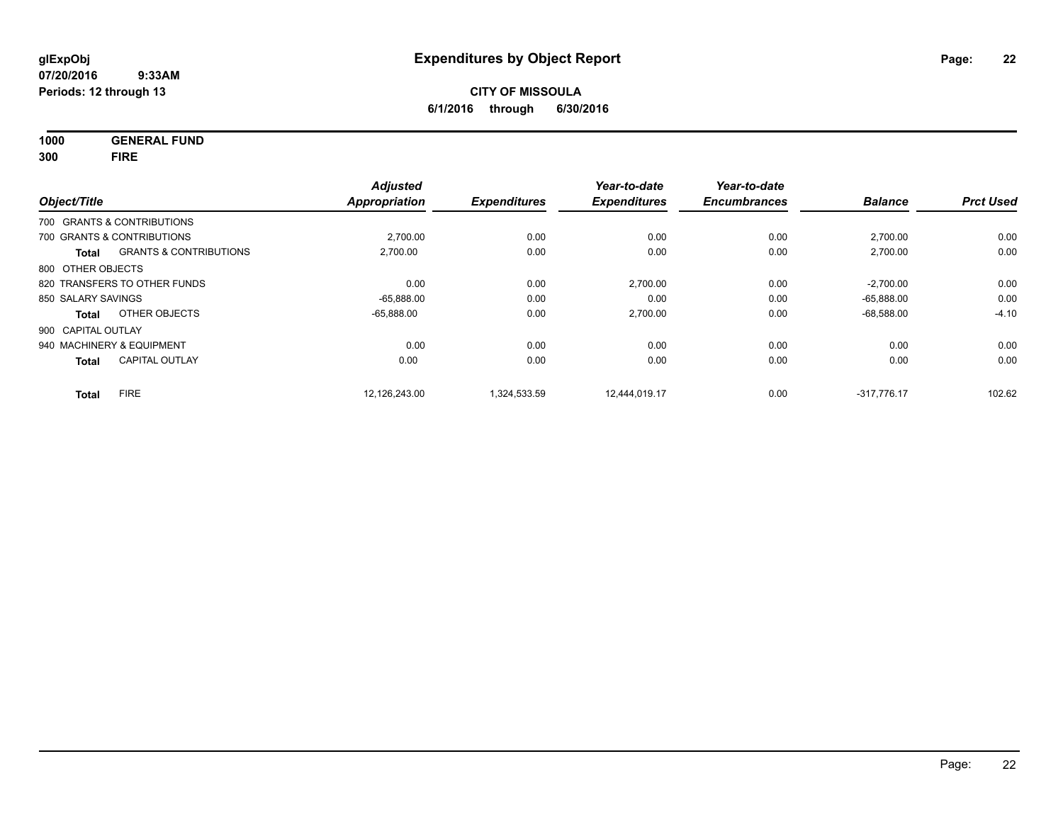**1000 GENERAL FUND**

**300 FIRE**

|                    |                                   | <b>Adjusted</b>      |                     | Year-to-date        | Year-to-date        |                |                  |
|--------------------|-----------------------------------|----------------------|---------------------|---------------------|---------------------|----------------|------------------|
| Object/Title       |                                   | <b>Appropriation</b> | <b>Expenditures</b> | <b>Expenditures</b> | <b>Encumbrances</b> | <b>Balance</b> | <b>Prct Used</b> |
|                    | 700 GRANTS & CONTRIBUTIONS        |                      |                     |                     |                     |                |                  |
|                    | 700 GRANTS & CONTRIBUTIONS        | 2,700.00             | 0.00                | 0.00                | 0.00                | 2,700.00       | 0.00             |
| <b>Total</b>       | <b>GRANTS &amp; CONTRIBUTIONS</b> | 2,700.00             | 0.00                | 0.00                | 0.00                | 2,700.00       | 0.00             |
| 800 OTHER OBJECTS  |                                   |                      |                     |                     |                     |                |                  |
|                    | 820 TRANSFERS TO OTHER FUNDS      | 0.00                 | 0.00                | 2,700.00            | 0.00                | $-2,700.00$    | 0.00             |
| 850 SALARY SAVINGS |                                   | $-65.888.00$         | 0.00                | 0.00                | 0.00                | $-65.888.00$   | 0.00             |
| Total              | OTHER OBJECTS                     | $-65,888.00$         | 0.00                | 2,700.00            | 0.00                | $-68,588.00$   | $-4.10$          |
| 900 CAPITAL OUTLAY |                                   |                      |                     |                     |                     |                |                  |
|                    | 940 MACHINERY & EQUIPMENT         | 0.00                 | 0.00                | 0.00                | 0.00                | 0.00           | 0.00             |
| <b>Total</b>       | <b>CAPITAL OUTLAY</b>             | 0.00                 | 0.00                | 0.00                | 0.00                | 0.00           | 0.00             |
| <b>Total</b>       | <b>FIRE</b>                       | 12.126.243.00        | 1.324.533.59        | 12.444.019.17       | 0.00                | $-317.776.17$  | 102.62           |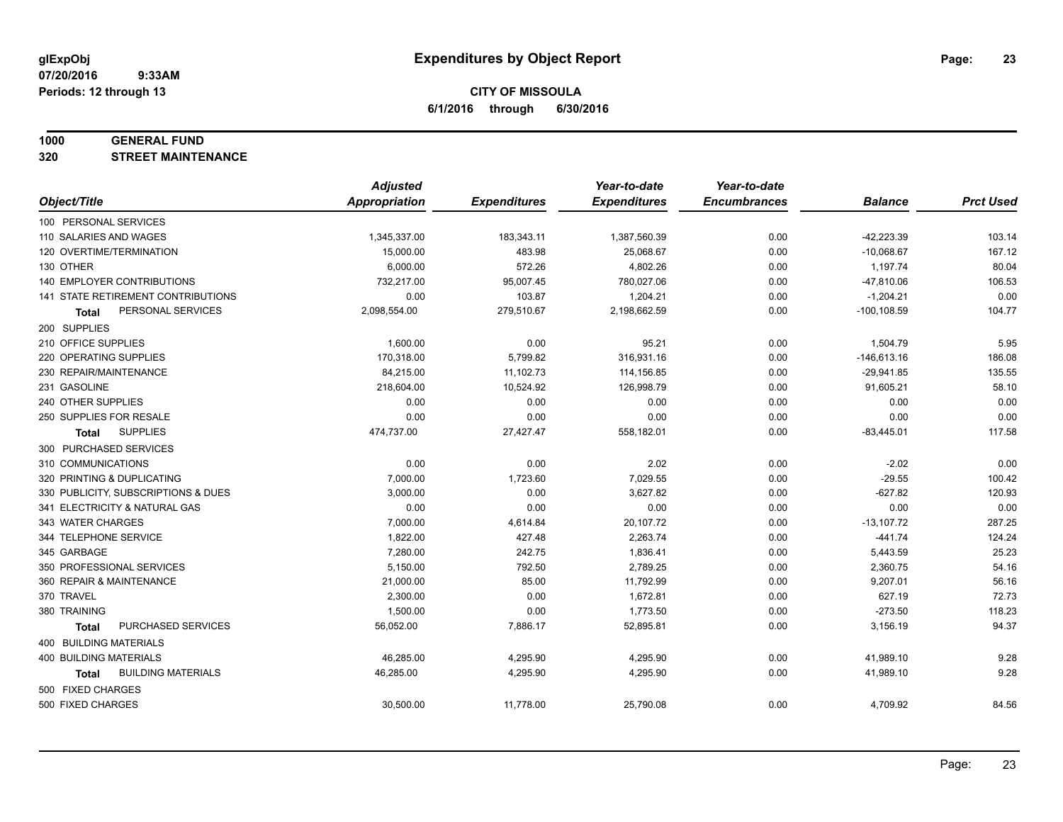#### **1000 GENERAL FUND**

**320 STREET MAINTENANCE**

|                                     | <b>Adjusted</b>      |                     | Year-to-date        | Year-to-date        |                |                  |
|-------------------------------------|----------------------|---------------------|---------------------|---------------------|----------------|------------------|
| Object/Title                        | <b>Appropriation</b> | <b>Expenditures</b> | <b>Expenditures</b> | <b>Encumbrances</b> | <b>Balance</b> | <b>Prct Used</b> |
| 100 PERSONAL SERVICES               |                      |                     |                     |                     |                |                  |
| 110 SALARIES AND WAGES              | 1,345,337.00         | 183,343.11          | 1,387,560.39        | 0.00                | $-42,223.39$   | 103.14           |
| 120 OVERTIME/TERMINATION            | 15,000.00            | 483.98              | 25,068.67           | 0.00                | $-10,068.67$   | 167.12           |
| 130 OTHER                           | 6,000.00             | 572.26              | 4,802.26            | 0.00                | 1,197.74       | 80.04            |
| 140 EMPLOYER CONTRIBUTIONS          | 732,217.00           | 95,007.45           | 780,027.06          | 0.00                | $-47,810.06$   | 106.53           |
| 141 STATE RETIREMENT CONTRIBUTIONS  | 0.00                 | 103.87              | 1,204.21            | 0.00                | $-1,204.21$    | 0.00             |
| PERSONAL SERVICES<br>Total          | 2,098,554.00         | 279,510.67          | 2,198,662.59        | 0.00                | $-100, 108.59$ | 104.77           |
| 200 SUPPLIES                        |                      |                     |                     |                     |                |                  |
| 210 OFFICE SUPPLIES                 | 1,600.00             | 0.00                | 95.21               | 0.00                | 1,504.79       | 5.95             |
| 220 OPERATING SUPPLIES              | 170,318.00           | 5,799.82            | 316,931.16          | 0.00                | $-146,613.16$  | 186.08           |
| 230 REPAIR/MAINTENANCE              | 84,215.00            | 11,102.73           | 114,156.85          | 0.00                | $-29,941.85$   | 135.55           |
| 231 GASOLINE                        | 218,604.00           | 10,524.92           | 126,998.79          | 0.00                | 91,605.21      | 58.10            |
| 240 OTHER SUPPLIES                  | 0.00                 | 0.00                | 0.00                | 0.00                | 0.00           | 0.00             |
| 250 SUPPLIES FOR RESALE             | 0.00                 | 0.00                | 0.00                | 0.00                | 0.00           | 0.00             |
| <b>SUPPLIES</b><br>Total            | 474,737.00           | 27,427.47           | 558,182.01          | 0.00                | $-83,445.01$   | 117.58           |
| 300 PURCHASED SERVICES              |                      |                     |                     |                     |                |                  |
| 310 COMMUNICATIONS                  | 0.00                 | 0.00                | 2.02                | 0.00                | $-2.02$        | 0.00             |
| 320 PRINTING & DUPLICATING          | 7,000.00             | 1,723.60            | 7,029.55            | 0.00                | $-29.55$       | 100.42           |
| 330 PUBLICITY, SUBSCRIPTIONS & DUES | 3,000.00             | 0.00                | 3,627.82            | 0.00                | $-627.82$      | 120.93           |
| 341 ELECTRICITY & NATURAL GAS       | 0.00                 | 0.00                | 0.00                | 0.00                | 0.00           | 0.00             |
| 343 WATER CHARGES                   | 7,000.00             | 4,614.84            | 20,107.72           | 0.00                | $-13,107.72$   | 287.25           |
| 344 TELEPHONE SERVICE               | 1,822.00             | 427.48              | 2,263.74            | 0.00                | $-441.74$      | 124.24           |
| 345 GARBAGE                         | 7,280.00             | 242.75              | 1,836.41            | 0.00                | 5,443.59       | 25.23            |
| 350 PROFESSIONAL SERVICES           | 5,150.00             | 792.50              | 2,789.25            | 0.00                | 2,360.75       | 54.16            |
| 360 REPAIR & MAINTENANCE            | 21,000.00            | 85.00               | 11,792.99           | 0.00                | 9,207.01       | 56.16            |
| 370 TRAVEL                          | 2,300.00             | 0.00                | 1,672.81            | 0.00                | 627.19         | 72.73            |
| 380 TRAINING                        | 1,500.00             | 0.00                | 1,773.50            | 0.00                | $-273.50$      | 118.23           |
| PURCHASED SERVICES<br><b>Total</b>  | 56,052.00            | 7,886.17            | 52,895.81           | 0.00                | 3,156.19       | 94.37            |
| 400 BUILDING MATERIALS              |                      |                     |                     |                     |                |                  |
| 400 BUILDING MATERIALS              | 46,285.00            | 4,295.90            | 4,295.90            | 0.00                | 41,989.10      | 9.28             |
| <b>BUILDING MATERIALS</b><br>Total  | 46,285.00            | 4,295.90            | 4,295.90            | 0.00                | 41,989.10      | 9.28             |
| 500 FIXED CHARGES                   |                      |                     |                     |                     |                |                  |
| 500 FIXED CHARGES                   | 30,500.00            | 11,778.00           | 25,790.08           | 0.00                | 4,709.92       | 84.56            |
|                                     |                      |                     |                     |                     |                |                  |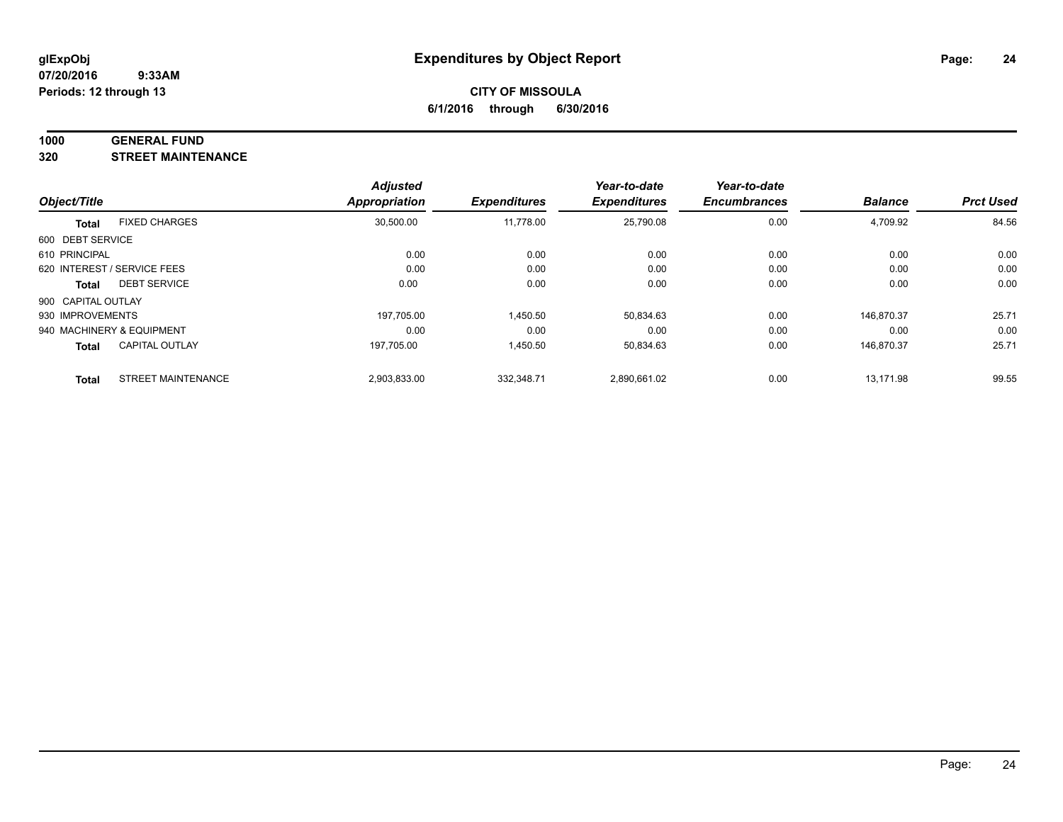#### **1000 GENERAL FUND**

**320 STREET MAINTENANCE**

| Object/Title       |                             | <b>Adjusted</b><br>Appropriation | <b>Expenditures</b> | Year-to-date<br><b>Expenditures</b> | Year-to-date<br><b>Encumbrances</b> | <b>Balance</b> | <b>Prct Used</b> |
|--------------------|-----------------------------|----------------------------------|---------------------|-------------------------------------|-------------------------------------|----------------|------------------|
|                    |                             |                                  |                     |                                     |                                     |                |                  |
| 600 DEBT SERVICE   |                             |                                  |                     |                                     |                                     |                |                  |
| 610 PRINCIPAL      |                             | 0.00                             | 0.00                | 0.00                                | 0.00                                | 0.00           | 0.00             |
|                    | 620 INTEREST / SERVICE FEES | 0.00                             | 0.00                | 0.00                                | 0.00                                | 0.00           | 0.00             |
| Total              | <b>DEBT SERVICE</b>         | 0.00                             | 0.00                | 0.00                                | 0.00                                | 0.00           | 0.00             |
| 900 CAPITAL OUTLAY |                             |                                  |                     |                                     |                                     |                |                  |
| 930 IMPROVEMENTS   |                             | 197.705.00                       | 1,450.50            | 50,834.63                           | 0.00                                | 146.870.37     | 25.71            |
|                    | 940 MACHINERY & EQUIPMENT   | 0.00                             | 0.00                | 0.00                                | 0.00                                | 0.00           | 0.00             |
| <b>Total</b>       | <b>CAPITAL OUTLAY</b>       | 197.705.00                       | 1,450.50            | 50,834.63                           | 0.00                                | 146.870.37     | 25.71            |
| <b>Total</b>       | <b>STREET MAINTENANCE</b>   | 2,903,833.00                     | 332,348.71          | 2,890,661.02                        | 0.00                                | 13.171.98      | 99.55            |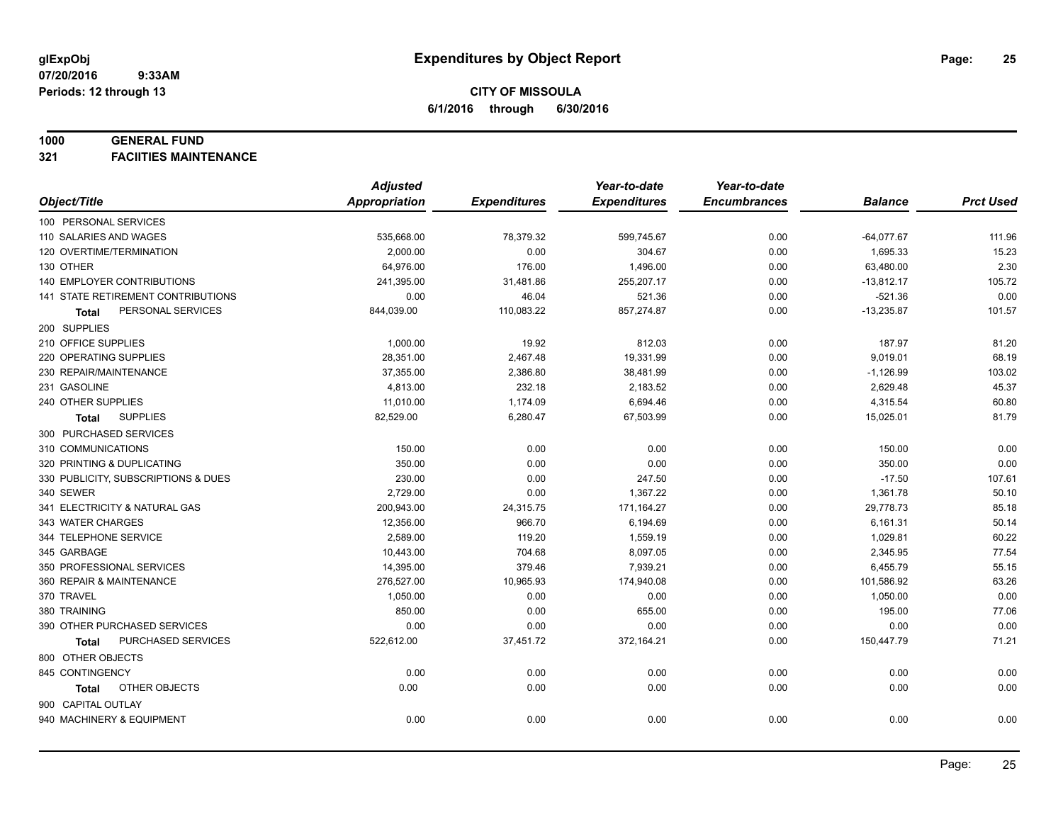#### **1000 GENERAL FUND**

**321 FACIITIES MAINTENANCE**

|                                           | <b>Adjusted</b>      |                     | Year-to-date        | Year-to-date        |                |                  |
|-------------------------------------------|----------------------|---------------------|---------------------|---------------------|----------------|------------------|
| Object/Title                              | <b>Appropriation</b> | <b>Expenditures</b> | <b>Expenditures</b> | <b>Encumbrances</b> | <b>Balance</b> | <b>Prct Used</b> |
| 100 PERSONAL SERVICES                     |                      |                     |                     |                     |                |                  |
| 110 SALARIES AND WAGES                    | 535,668.00           | 78,379.32           | 599,745.67          | 0.00                | $-64,077.67$   | 111.96           |
| 120 OVERTIME/TERMINATION                  | 2,000.00             | 0.00                | 304.67              | 0.00                | 1,695.33       | 15.23            |
| 130 OTHER                                 | 64,976.00            | 176.00              | 1,496.00            | 0.00                | 63,480.00      | 2.30             |
| 140 EMPLOYER CONTRIBUTIONS                | 241,395.00           | 31,481.86           | 255,207.17          | 0.00                | $-13,812.17$   | 105.72           |
| <b>141 STATE RETIREMENT CONTRIBUTIONS</b> | 0.00                 | 46.04               | 521.36              | 0.00                | $-521.36$      | 0.00             |
| PERSONAL SERVICES<br>Total                | 844,039.00           | 110,083.22          | 857,274.87          | 0.00                | $-13,235.87$   | 101.57           |
| 200 SUPPLIES                              |                      |                     |                     |                     |                |                  |
| 210 OFFICE SUPPLIES                       | 1,000.00             | 19.92               | 812.03              | 0.00                | 187.97         | 81.20            |
| 220 OPERATING SUPPLIES                    | 28,351.00            | 2,467.48            | 19,331.99           | 0.00                | 9,019.01       | 68.19            |
| 230 REPAIR/MAINTENANCE                    | 37,355.00            | 2,386.80            | 38,481.99           | 0.00                | $-1,126.99$    | 103.02           |
| 231 GASOLINE                              | 4,813.00             | 232.18              | 2,183.52            | 0.00                | 2,629.48       | 45.37            |
| 240 OTHER SUPPLIES                        | 11,010.00            | 1,174.09            | 6,694.46            | 0.00                | 4,315.54       | 60.80            |
| <b>SUPPLIES</b><br>Total                  | 82,529.00            | 6,280.47            | 67,503.99           | 0.00                | 15,025.01      | 81.79            |
| 300 PURCHASED SERVICES                    |                      |                     |                     |                     |                |                  |
| 310 COMMUNICATIONS                        | 150.00               | 0.00                | 0.00                | 0.00                | 150.00         | 0.00             |
| 320 PRINTING & DUPLICATING                | 350.00               | 0.00                | 0.00                | 0.00                | 350.00         | 0.00             |
| 330 PUBLICITY, SUBSCRIPTIONS & DUES       | 230.00               | 0.00                | 247.50              | 0.00                | $-17.50$       | 107.61           |
| 340 SEWER                                 | 2,729.00             | 0.00                | 1,367.22            | 0.00                | 1,361.78       | 50.10            |
| 341 ELECTRICITY & NATURAL GAS             | 200,943.00           | 24,315.75           | 171,164.27          | 0.00                | 29,778.73      | 85.18            |
| 343 WATER CHARGES                         | 12,356.00            | 966.70              | 6,194.69            | 0.00                | 6,161.31       | 50.14            |
| 344 TELEPHONE SERVICE                     | 2,589.00             | 119.20              | 1,559.19            | 0.00                | 1,029.81       | 60.22            |
| 345 GARBAGE                               | 10,443.00            | 704.68              | 8,097.05            | 0.00                | 2,345.95       | 77.54            |
| 350 PROFESSIONAL SERVICES                 | 14,395.00            | 379.46              | 7,939.21            | 0.00                | 6,455.79       | 55.15            |
| 360 REPAIR & MAINTENANCE                  | 276,527.00           | 10,965.93           | 174,940.08          | 0.00                | 101,586.92     | 63.26            |
| 370 TRAVEL                                | 1,050.00             | 0.00                | 0.00                | 0.00                | 1,050.00       | 0.00             |
| 380 TRAINING                              | 850.00               | 0.00                | 655.00              | 0.00                | 195.00         | 77.06            |
| 390 OTHER PURCHASED SERVICES              | 0.00                 | 0.00                | 0.00                | 0.00                | 0.00           | 0.00             |
| PURCHASED SERVICES<br>Total               | 522,612.00           | 37,451.72           | 372,164.21          | 0.00                | 150,447.79     | 71.21            |
| 800 OTHER OBJECTS                         |                      |                     |                     |                     |                |                  |
| 845 CONTINGENCY                           | 0.00                 | 0.00                | 0.00                | 0.00                | 0.00           | 0.00             |
| OTHER OBJECTS<br>Total                    | 0.00                 | 0.00                | 0.00                | 0.00                | 0.00           | 0.00             |
| 900 CAPITAL OUTLAY                        |                      |                     |                     |                     |                |                  |
| 940 MACHINERY & EQUIPMENT                 | 0.00                 | 0.00                | 0.00                | 0.00                | 0.00           | 0.00             |
|                                           |                      |                     |                     |                     |                |                  |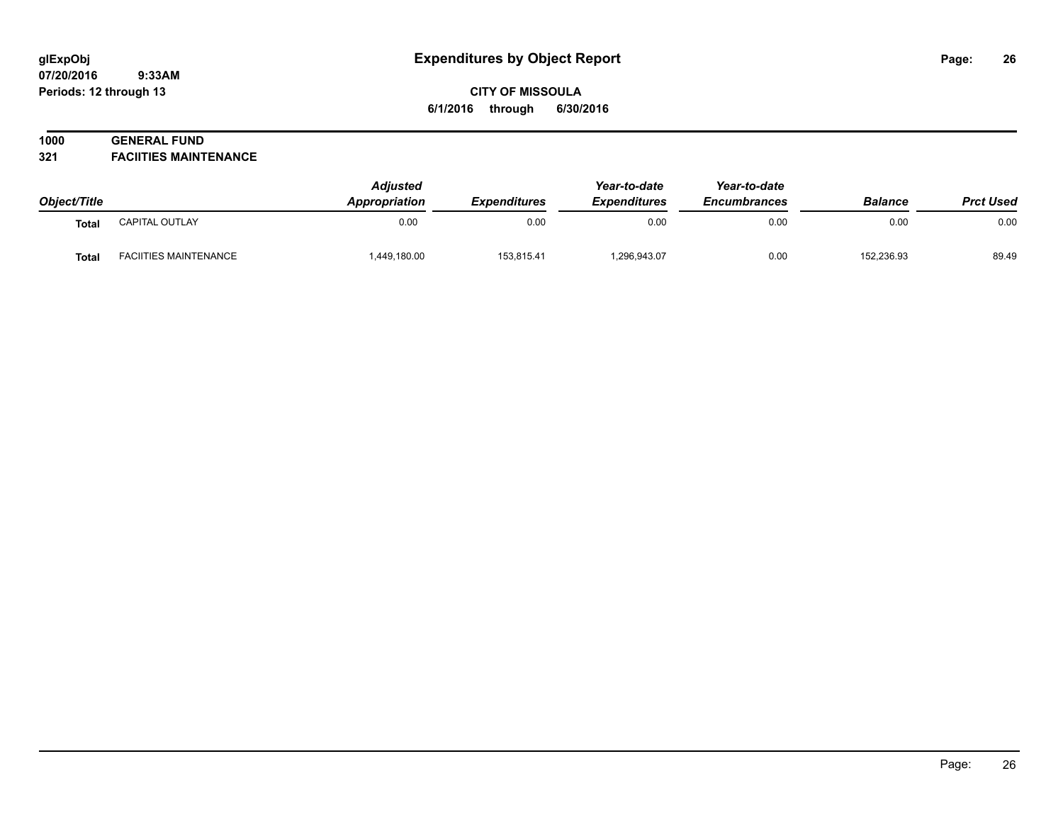# **CITY OF MISSOULA 6/1/2016 through 6/30/2016**

# **1000 GENERAL FUND**

**321 FACIITIES MAINTENANCE**

| Object/Title |                              | <b>Adjusted</b><br>Appropriation | <b>Expenditures</b> | Year-to-date<br><b>Expenditures</b> | Year-to-date<br><b>Encumbrances</b> | <b>Balance</b> | <b>Prct Used</b> |
|--------------|------------------------------|----------------------------------|---------------------|-------------------------------------|-------------------------------------|----------------|------------------|
| <b>Total</b> | CAPITAL OUTLAY               | 0.00                             | 0.00                | 0.00                                | 0.00                                | 0.00           | 0.00             |
| Total        | <b>FACIITIES MAINTENANCE</b> | 1,449,180.00                     | 153,815.41          | 296,943.07                          | 0.00                                | 152,236.93     | 89.49            |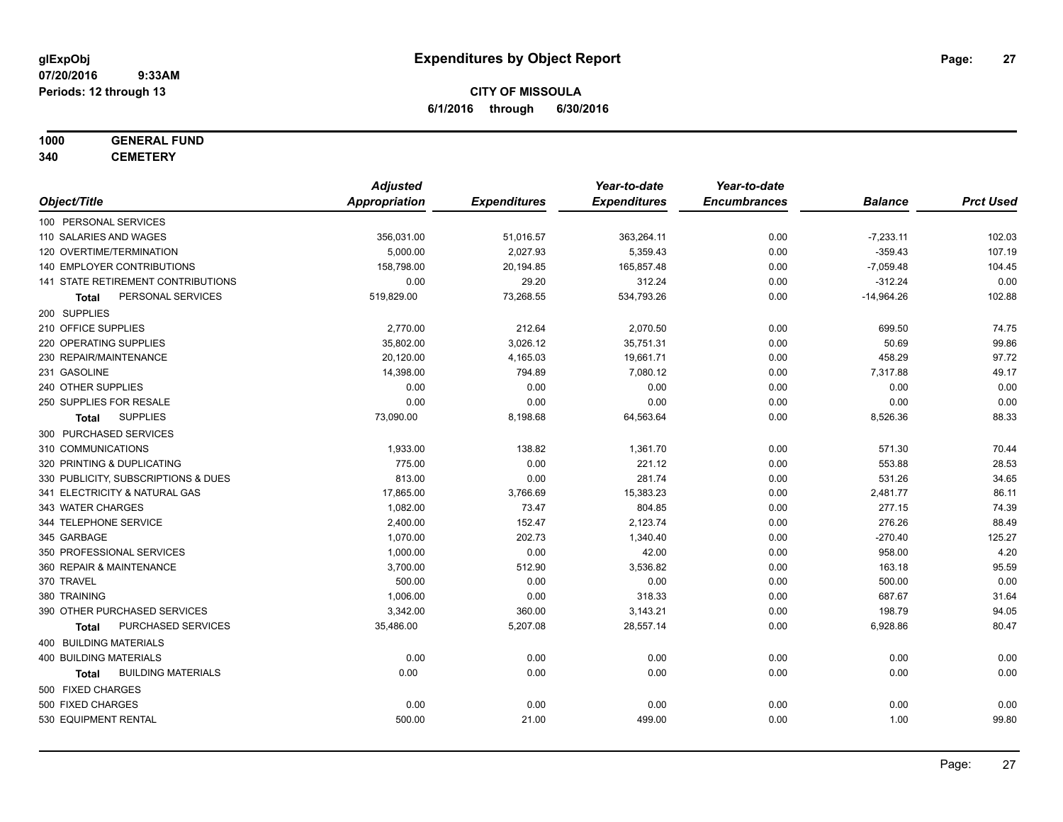# **1000 GENERAL FUND**

**340 CEMETERY**

|                                           | <b>Adjusted</b>      |                     | Year-to-date        | Year-to-date        |                |                  |
|-------------------------------------------|----------------------|---------------------|---------------------|---------------------|----------------|------------------|
| Object/Title                              | <b>Appropriation</b> | <b>Expenditures</b> | <b>Expenditures</b> | <b>Encumbrances</b> | <b>Balance</b> | <b>Prct Used</b> |
| 100 PERSONAL SERVICES                     |                      |                     |                     |                     |                |                  |
| 110 SALARIES AND WAGES                    | 356,031.00           | 51,016.57           | 363,264.11          | 0.00                | $-7,233.11$    | 102.03           |
| 120 OVERTIME/TERMINATION                  | 5,000.00             | 2,027.93            | 5,359.43            | 0.00                | $-359.43$      | 107.19           |
| 140 EMPLOYER CONTRIBUTIONS                | 158,798.00           | 20,194.85           | 165,857.48          | 0.00                | $-7,059.48$    | 104.45           |
| 141 STATE RETIREMENT CONTRIBUTIONS        | 0.00                 | 29.20               | 312.24              | 0.00                | $-312.24$      | 0.00             |
| PERSONAL SERVICES<br>Total                | 519,829.00           | 73,268.55           | 534,793.26          | 0.00                | $-14,964.26$   | 102.88           |
| 200 SUPPLIES                              |                      |                     |                     |                     |                |                  |
| 210 OFFICE SUPPLIES                       | 2,770.00             | 212.64              | 2,070.50            | 0.00                | 699.50         | 74.75            |
| 220 OPERATING SUPPLIES                    | 35,802.00            | 3,026.12            | 35,751.31           | 0.00                | 50.69          | 99.86            |
| 230 REPAIR/MAINTENANCE                    | 20,120.00            | 4,165.03            | 19,661.71           | 0.00                | 458.29         | 97.72            |
| 231 GASOLINE                              | 14,398.00            | 794.89              | 7,080.12            | 0.00                | 7,317.88       | 49.17            |
| 240 OTHER SUPPLIES                        | 0.00                 | 0.00                | 0.00                | 0.00                | 0.00           | 0.00             |
| 250 SUPPLIES FOR RESALE                   | 0.00                 | 0.00                | 0.00                | 0.00                | 0.00           | 0.00             |
| <b>SUPPLIES</b><br>Total                  | 73,090.00            | 8,198.68            | 64,563.64           | 0.00                | 8,526.36       | 88.33            |
| 300 PURCHASED SERVICES                    |                      |                     |                     |                     |                |                  |
| 310 COMMUNICATIONS                        | 1,933.00             | 138.82              | 1,361.70            | 0.00                | 571.30         | 70.44            |
| 320 PRINTING & DUPLICATING                | 775.00               | 0.00                | 221.12              | 0.00                | 553.88         | 28.53            |
| 330 PUBLICITY, SUBSCRIPTIONS & DUES       | 813.00               | 0.00                | 281.74              | 0.00                | 531.26         | 34.65            |
| 341 ELECTRICITY & NATURAL GAS             | 17,865.00            | 3,766.69            | 15,383.23           | 0.00                | 2,481.77       | 86.11            |
| 343 WATER CHARGES                         | 1,082.00             | 73.47               | 804.85              | 0.00                | 277.15         | 74.39            |
| 344 TELEPHONE SERVICE                     | 2,400.00             | 152.47              | 2,123.74            | 0.00                | 276.26         | 88.49            |
| 345 GARBAGE                               | 1,070.00             | 202.73              | 1,340.40            | 0.00                | $-270.40$      | 125.27           |
| 350 PROFESSIONAL SERVICES                 | 1,000.00             | 0.00                | 42.00               | 0.00                | 958.00         | 4.20             |
| 360 REPAIR & MAINTENANCE                  | 3,700.00             | 512.90              | 3,536.82            | 0.00                | 163.18         | 95.59            |
| 370 TRAVEL                                | 500.00               | 0.00                | 0.00                | 0.00                | 500.00         | 0.00             |
| 380 TRAINING                              | 1,006.00             | 0.00                | 318.33              | 0.00                | 687.67         | 31.64            |
| 390 OTHER PURCHASED SERVICES              | 3,342.00             | 360.00              | 3,143.21            | 0.00                | 198.79         | 94.05            |
| PURCHASED SERVICES<br>Total               | 35,486.00            | 5,207.08            | 28,557.14           | 0.00                | 6,928.86       | 80.47            |
| 400 BUILDING MATERIALS                    |                      |                     |                     |                     |                |                  |
| <b>400 BUILDING MATERIALS</b>             | 0.00                 | 0.00                | 0.00                | 0.00                | 0.00           | 0.00             |
| <b>BUILDING MATERIALS</b><br><b>Total</b> | 0.00                 | 0.00                | 0.00                | 0.00                | 0.00           | 0.00             |
| 500 FIXED CHARGES                         |                      |                     |                     |                     |                |                  |
| 500 FIXED CHARGES                         | 0.00                 | 0.00                | 0.00                | 0.00                | 0.00           | 0.00             |
| 530 EQUIPMENT RENTAL                      | 500.00               | 21.00               | 499.00              | 0.00                | 1.00           | 99.80            |
|                                           |                      |                     |                     |                     |                |                  |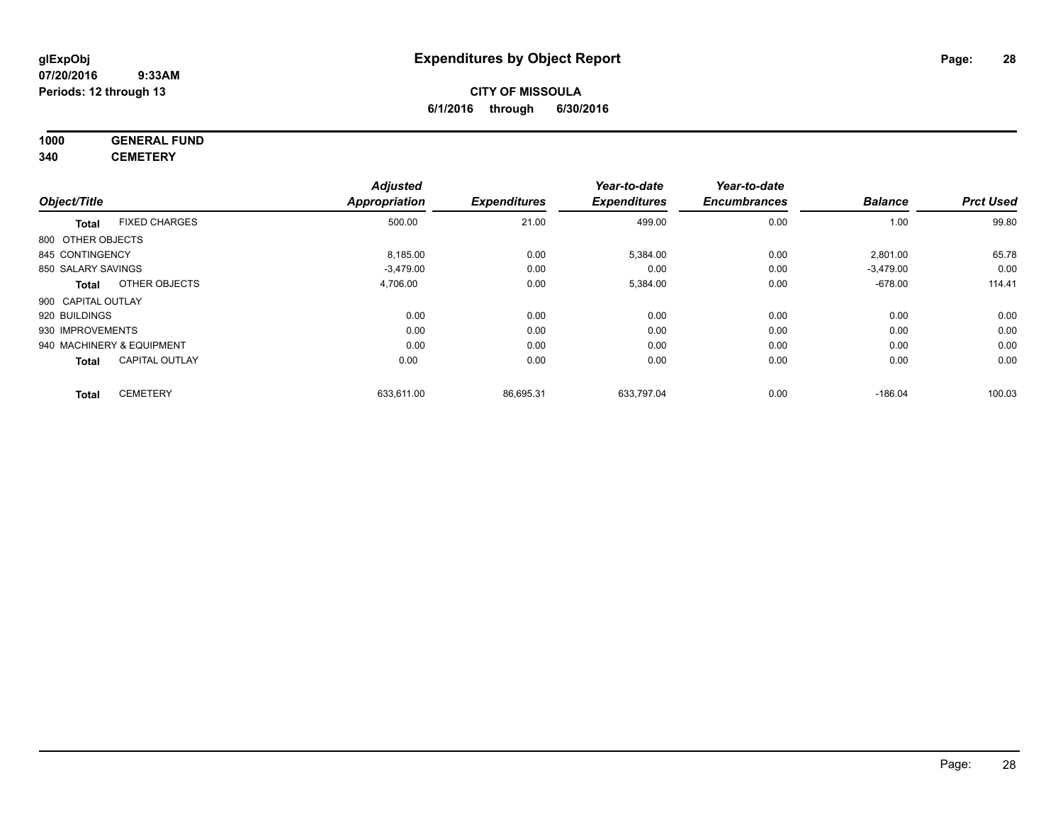# **CITY OF MISSOULA 6/1/2016 through 6/30/2016**

# **1000 GENERAL FUND**

**340 CEMETERY**

|                           |                       | <b>Adjusted</b>      |                     | Year-to-date        | Year-to-date        |                |                  |
|---------------------------|-----------------------|----------------------|---------------------|---------------------|---------------------|----------------|------------------|
| Object/Title              |                       | <b>Appropriation</b> | <b>Expenditures</b> | <b>Expenditures</b> | <b>Encumbrances</b> | <b>Balance</b> | <b>Prct Used</b> |
| <b>Total</b>              | <b>FIXED CHARGES</b>  | 500.00               | 21.00               | 499.00              | 0.00                | 1.00           | 99.80            |
| 800 OTHER OBJECTS         |                       |                      |                     |                     |                     |                |                  |
| 845 CONTINGENCY           |                       | 8,185.00             | 0.00                | 5,384.00            | 0.00                | 2,801.00       | 65.78            |
| 850 SALARY SAVINGS        |                       | $-3,479.00$          | 0.00                | 0.00                | 0.00                | $-3,479.00$    | 0.00             |
| <b>Total</b>              | OTHER OBJECTS         | 4,706.00             | 0.00                | 5,384.00            | 0.00                | $-678.00$      | 114.41           |
| 900 CAPITAL OUTLAY        |                       |                      |                     |                     |                     |                |                  |
| 920 BUILDINGS             |                       | 0.00                 | 0.00                | 0.00                | 0.00                | 0.00           | 0.00             |
| 930 IMPROVEMENTS          |                       | 0.00                 | 0.00                | 0.00                | 0.00                | 0.00           | 0.00             |
| 940 MACHINERY & EQUIPMENT |                       | 0.00                 | 0.00                | 0.00                | 0.00                | 0.00           | 0.00             |
| <b>Total</b>              | <b>CAPITAL OUTLAY</b> | 0.00                 | 0.00                | 0.00                | 0.00                | 0.00           | 0.00             |
| <b>Total</b>              | <b>CEMETERY</b>       | 633,611.00           | 86,695.31           | 633,797.04          | 0.00                | $-186.04$      | 100.03           |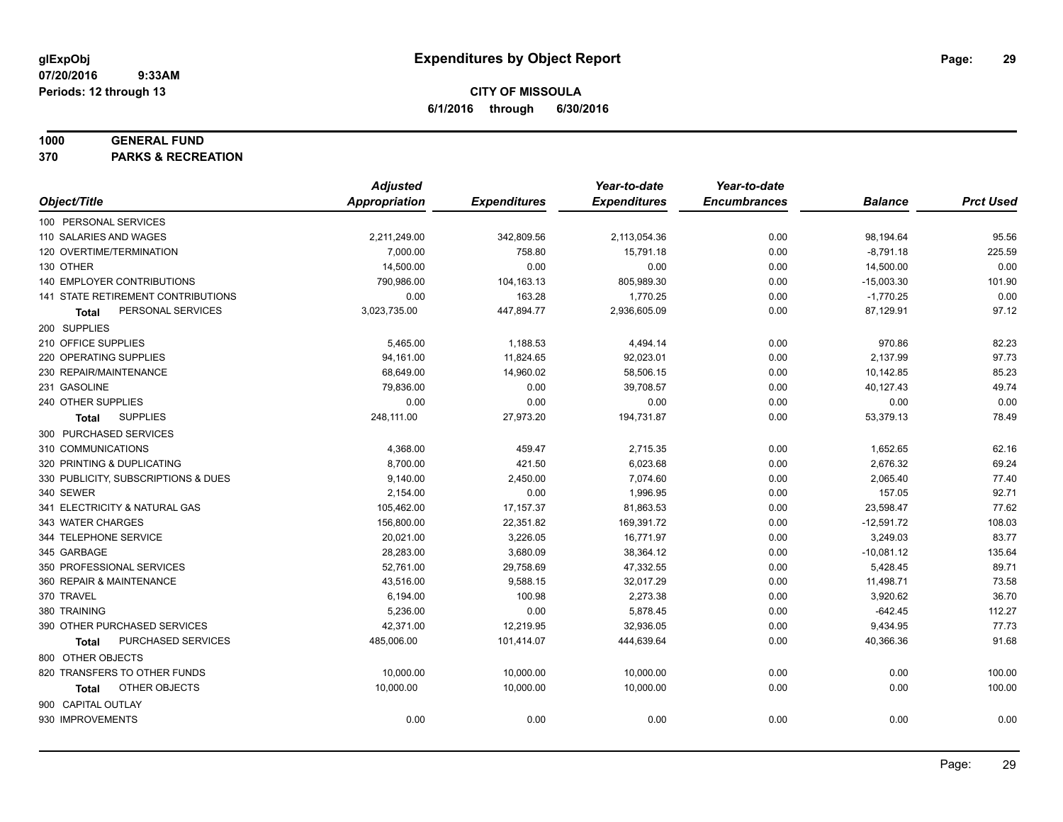#### **1000 GENERAL FUND**

**370 PARKS & RECREATION**

|                                           | <b>Adjusted</b>      |                     | Year-to-date        | Year-to-date        |                |                  |
|-------------------------------------------|----------------------|---------------------|---------------------|---------------------|----------------|------------------|
| Object/Title                              | <b>Appropriation</b> | <b>Expenditures</b> | <b>Expenditures</b> | <b>Encumbrances</b> | <b>Balance</b> | <b>Prct Used</b> |
| 100 PERSONAL SERVICES                     |                      |                     |                     |                     |                |                  |
| 110 SALARIES AND WAGES                    | 2,211,249.00         | 342,809.56          | 2,113,054.36        | 0.00                | 98,194.64      | 95.56            |
| 120 OVERTIME/TERMINATION                  | 7,000.00             | 758.80              | 15,791.18           | 0.00                | $-8,791.18$    | 225.59           |
| 130 OTHER                                 | 14,500.00            | 0.00                | 0.00                | 0.00                | 14,500.00      | 0.00             |
| 140 EMPLOYER CONTRIBUTIONS                | 790,986.00           | 104,163.13          | 805,989.30          | 0.00                | $-15,003.30$   | 101.90           |
| <b>141 STATE RETIREMENT CONTRIBUTIONS</b> | 0.00                 | 163.28              | 1,770.25            | 0.00                | $-1,770.25$    | 0.00             |
| PERSONAL SERVICES<br>Total                | 3,023,735.00         | 447,894.77          | 2,936,605.09        | 0.00                | 87,129.91      | 97.12            |
| 200 SUPPLIES                              |                      |                     |                     |                     |                |                  |
| 210 OFFICE SUPPLIES                       | 5,465.00             | 1,188.53            | 4,494.14            | 0.00                | 970.86         | 82.23            |
| 220 OPERATING SUPPLIES                    | 94,161.00            | 11,824.65           | 92,023.01           | 0.00                | 2,137.99       | 97.73            |
| 230 REPAIR/MAINTENANCE                    | 68,649.00            | 14,960.02           | 58,506.15           | 0.00                | 10,142.85      | 85.23            |
| 231 GASOLINE                              | 79,836.00            | 0.00                | 39,708.57           | 0.00                | 40,127.43      | 49.74            |
| 240 OTHER SUPPLIES                        | 0.00                 | 0.00                | 0.00                | 0.00                | 0.00           | 0.00             |
| <b>SUPPLIES</b><br>Total                  | 248,111.00           | 27,973.20           | 194,731.87          | 0.00                | 53,379.13      | 78.49            |
| 300 PURCHASED SERVICES                    |                      |                     |                     |                     |                |                  |
| 310 COMMUNICATIONS                        | 4,368.00             | 459.47              | 2,715.35            | 0.00                | 1,652.65       | 62.16            |
| 320 PRINTING & DUPLICATING                | 8,700.00             | 421.50              | 6,023.68            | 0.00                | 2,676.32       | 69.24            |
| 330 PUBLICITY, SUBSCRIPTIONS & DUES       | 9,140.00             | 2,450.00            | 7,074.60            | 0.00                | 2,065.40       | 77.40            |
| 340 SEWER                                 | 2,154.00             | 0.00                | 1,996.95            | 0.00                | 157.05         | 92.71            |
| 341 ELECTRICITY & NATURAL GAS             | 105,462.00           | 17,157.37           | 81,863.53           | 0.00                | 23,598.47      | 77.62            |
| 343 WATER CHARGES                         | 156,800.00           | 22,351.82           | 169,391.72          | 0.00                | $-12,591.72$   | 108.03           |
| 344 TELEPHONE SERVICE                     | 20,021.00            | 3,226.05            | 16,771.97           | 0.00                | 3,249.03       | 83.77            |
| 345 GARBAGE                               | 28,283.00            | 3,680.09            | 38,364.12           | 0.00                | $-10,081.12$   | 135.64           |
| 350 PROFESSIONAL SERVICES                 | 52,761.00            | 29,758.69           | 47,332.55           | 0.00                | 5,428.45       | 89.71            |
| 360 REPAIR & MAINTENANCE                  | 43,516.00            | 9,588.15            | 32,017.29           | 0.00                | 11,498.71      | 73.58            |
| 370 TRAVEL                                | 6,194.00             | 100.98              | 2,273.38            | 0.00                | 3,920.62       | 36.70            |
| 380 TRAINING                              | 5,236.00             | 0.00                | 5,878.45            | 0.00                | $-642.45$      | 112.27           |
| 390 OTHER PURCHASED SERVICES              | 42,371.00            | 12,219.95           | 32,936.05           | 0.00                | 9,434.95       | 77.73            |
| PURCHASED SERVICES<br><b>Total</b>        | 485,006.00           | 101,414.07          | 444,639.64          | 0.00                | 40,366.36      | 91.68            |
| 800 OTHER OBJECTS                         |                      |                     |                     |                     |                |                  |
| 820 TRANSFERS TO OTHER FUNDS              | 10,000.00            | 10,000.00           | 10,000.00           | 0.00                | 0.00           | 100.00           |
| OTHER OBJECTS<br>Total                    | 10,000.00            | 10,000.00           | 10,000.00           | 0.00                | 0.00           | 100.00           |
| 900 CAPITAL OUTLAY                        |                      |                     |                     |                     |                |                  |
| 930 IMPROVEMENTS                          | 0.00                 | 0.00                | 0.00                | 0.00                | 0.00           | 0.00             |
|                                           |                      |                     |                     |                     |                |                  |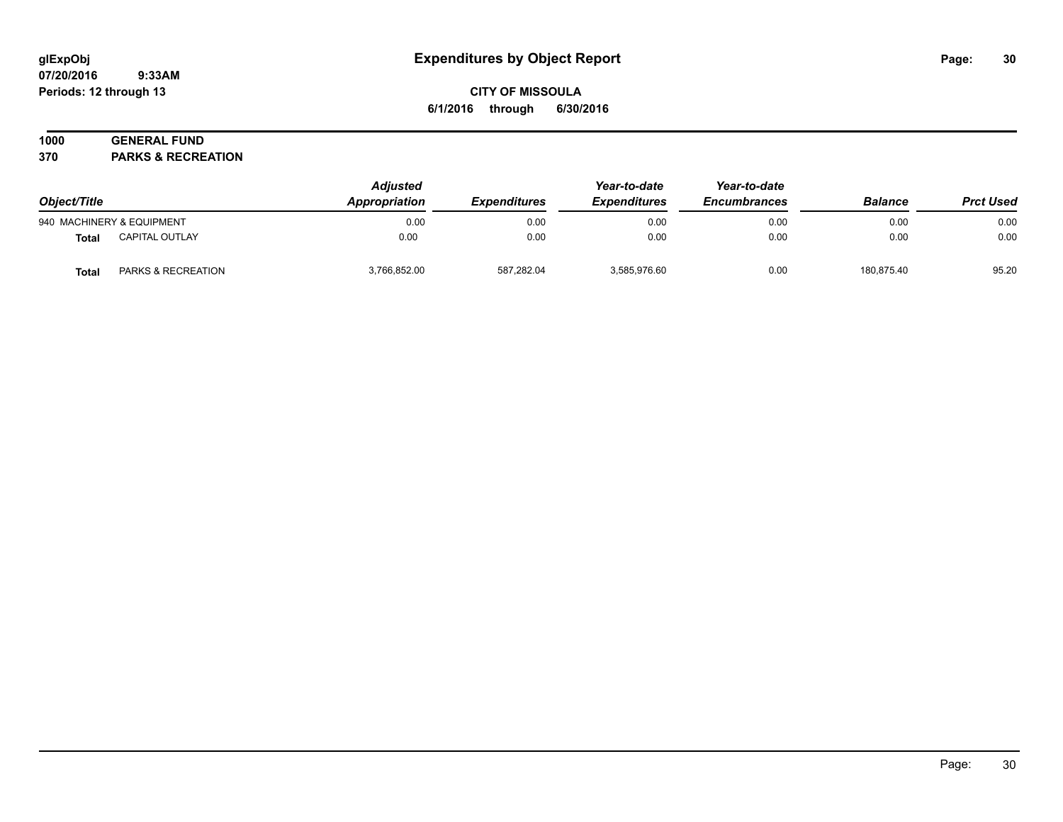# **CITY OF MISSOULA 6/1/2016 through 6/30/2016**

# **1000 GENERAL FUND**

**370 PARKS & RECREATION**

| Object/Title |                           | <b>Adjusted</b><br>Appropriation | <i><b>Expenditures</b></i> | Year-to-date<br><b>Expenditures</b> | Year-to-date<br><b>Encumbrances</b> | <b>Balance</b> | <b>Prct Used</b> |
|--------------|---------------------------|----------------------------------|----------------------------|-------------------------------------|-------------------------------------|----------------|------------------|
|              | 940 MACHINERY & EQUIPMENT | 0.00                             | 0.00                       | 0.00                                | 0.00                                | 0.00           | 0.00             |
| <b>Total</b> | <b>CAPITAL OUTLAY</b>     | 0.00                             | 0.00                       | 0.00                                | 0.00                                | 0.00           | 0.00             |
| <b>Total</b> | PARKS & RECREATION        | 3,766,852.00                     | 587,282.04                 | 3,585,976.60                        | 0.00                                | 180,875.40     | 95.20            |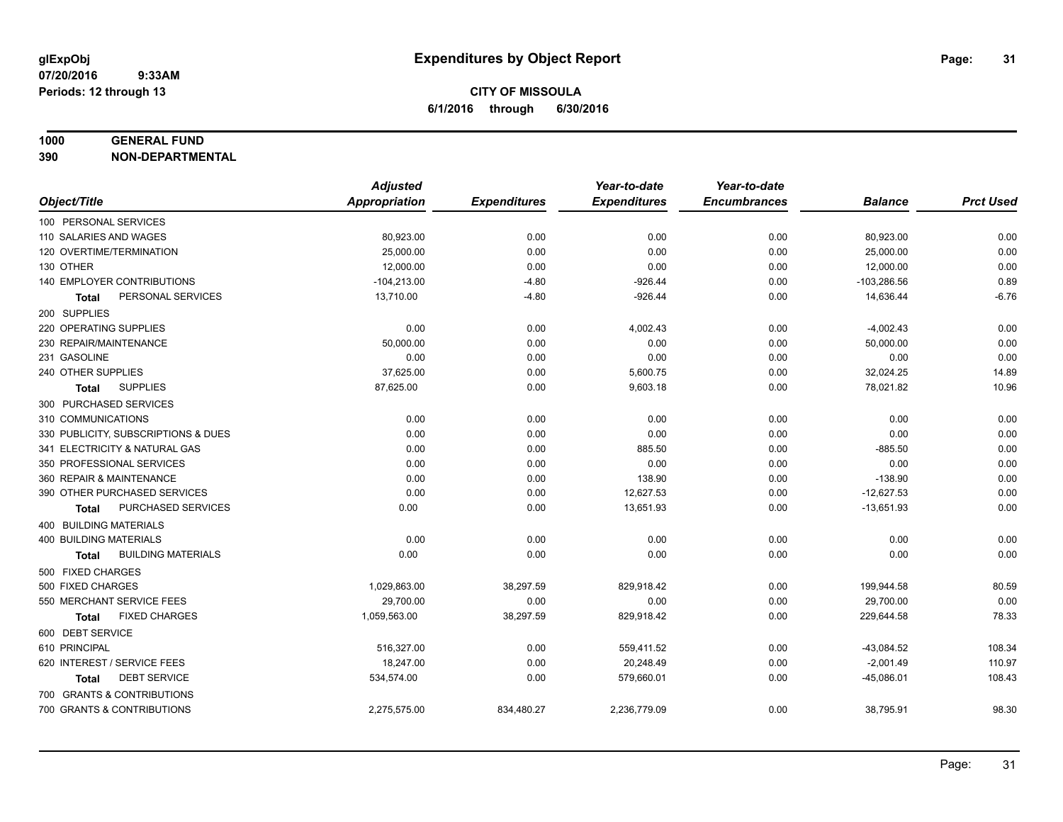#### **1000 GENERAL FUND**

**390 NON-DEPARTMENTAL**

|                                           | <b>Adjusted</b>      |                     | Year-to-date        | Year-to-date        |                |                  |
|-------------------------------------------|----------------------|---------------------|---------------------|---------------------|----------------|------------------|
| Object/Title                              | <b>Appropriation</b> | <b>Expenditures</b> | <b>Expenditures</b> | <b>Encumbrances</b> | <b>Balance</b> | <b>Prct Used</b> |
| 100 PERSONAL SERVICES                     |                      |                     |                     |                     |                |                  |
| 110 SALARIES AND WAGES                    | 80,923.00            | 0.00                | 0.00                | 0.00                | 80,923.00      | 0.00             |
| 120 OVERTIME/TERMINATION                  | 25,000.00            | 0.00                | 0.00                | 0.00                | 25,000.00      | 0.00             |
| 130 OTHER                                 | 12,000.00            | 0.00                | 0.00                | 0.00                | 12,000.00      | 0.00             |
| 140 EMPLOYER CONTRIBUTIONS                | $-104,213.00$        | $-4.80$             | $-926.44$           | 0.00                | $-103,286.56$  | 0.89             |
| PERSONAL SERVICES<br><b>Total</b>         | 13,710.00            | $-4.80$             | $-926.44$           | 0.00                | 14,636.44      | $-6.76$          |
| 200 SUPPLIES                              |                      |                     |                     |                     |                |                  |
| 220 OPERATING SUPPLIES                    | 0.00                 | 0.00                | 4,002.43            | 0.00                | $-4,002.43$    | 0.00             |
| 230 REPAIR/MAINTENANCE                    | 50,000.00            | 0.00                | 0.00                | 0.00                | 50,000.00      | 0.00             |
| 231 GASOLINE                              | 0.00                 | 0.00                | 0.00                | 0.00                | 0.00           | 0.00             |
| 240 OTHER SUPPLIES                        | 37,625.00            | 0.00                | 5,600.75            | 0.00                | 32,024.25      | 14.89            |
| <b>SUPPLIES</b><br>Total                  | 87,625.00            | 0.00                | 9,603.18            | 0.00                | 78,021.82      | 10.96            |
| 300 PURCHASED SERVICES                    |                      |                     |                     |                     |                |                  |
| 310 COMMUNICATIONS                        | 0.00                 | 0.00                | 0.00                | 0.00                | 0.00           | 0.00             |
| 330 PUBLICITY, SUBSCRIPTIONS & DUES       | 0.00                 | 0.00                | 0.00                | 0.00                | 0.00           | 0.00             |
| 341 ELECTRICITY & NATURAL GAS             | 0.00                 | 0.00                | 885.50              | 0.00                | $-885.50$      | 0.00             |
| 350 PROFESSIONAL SERVICES                 | 0.00                 | 0.00                | 0.00                | 0.00                | 0.00           | 0.00             |
| 360 REPAIR & MAINTENANCE                  | 0.00                 | 0.00                | 138.90              | 0.00                | $-138.90$      | 0.00             |
| 390 OTHER PURCHASED SERVICES              | 0.00                 | 0.00                | 12,627.53           | 0.00                | $-12,627.53$   | 0.00             |
| PURCHASED SERVICES<br>Total               | 0.00                 | 0.00                | 13,651.93           | 0.00                | $-13,651.93$   | 0.00             |
| 400 BUILDING MATERIALS                    |                      |                     |                     |                     |                |                  |
| 400 BUILDING MATERIALS                    | 0.00                 | 0.00                | 0.00                | 0.00                | 0.00           | 0.00             |
| <b>BUILDING MATERIALS</b><br><b>Total</b> | 0.00                 | 0.00                | 0.00                | 0.00                | 0.00           | 0.00             |
| 500 FIXED CHARGES                         |                      |                     |                     |                     |                |                  |
| 500 FIXED CHARGES                         | 1,029,863.00         | 38,297.59           | 829,918.42          | 0.00                | 199,944.58     | 80.59            |
| 550 MERCHANT SERVICE FEES                 | 29.700.00            | 0.00                | 0.00                | 0.00                | 29,700.00      | 0.00             |
| <b>FIXED CHARGES</b><br><b>Total</b>      | 1,059,563.00         | 38,297.59           | 829,918.42          | 0.00                | 229,644.58     | 78.33            |
| 600 DEBT SERVICE                          |                      |                     |                     |                     |                |                  |
| 610 PRINCIPAL                             | 516,327.00           | 0.00                | 559,411.52          | 0.00                | $-43,084.52$   | 108.34           |
| 620 INTEREST / SERVICE FEES               | 18,247.00            | 0.00                | 20,248.49           | 0.00                | $-2,001.49$    | 110.97           |
| <b>DEBT SERVICE</b><br><b>Total</b>       | 534,574.00           | 0.00                | 579,660.01          | 0.00                | $-45,086.01$   | 108.43           |
| 700 GRANTS & CONTRIBUTIONS                |                      |                     |                     |                     |                |                  |
| 700 GRANTS & CONTRIBUTIONS                | 2,275,575.00         | 834,480.27          | 2,236,779.09        | 0.00                | 38,795.91      | 98.30            |
|                                           |                      |                     |                     |                     |                |                  |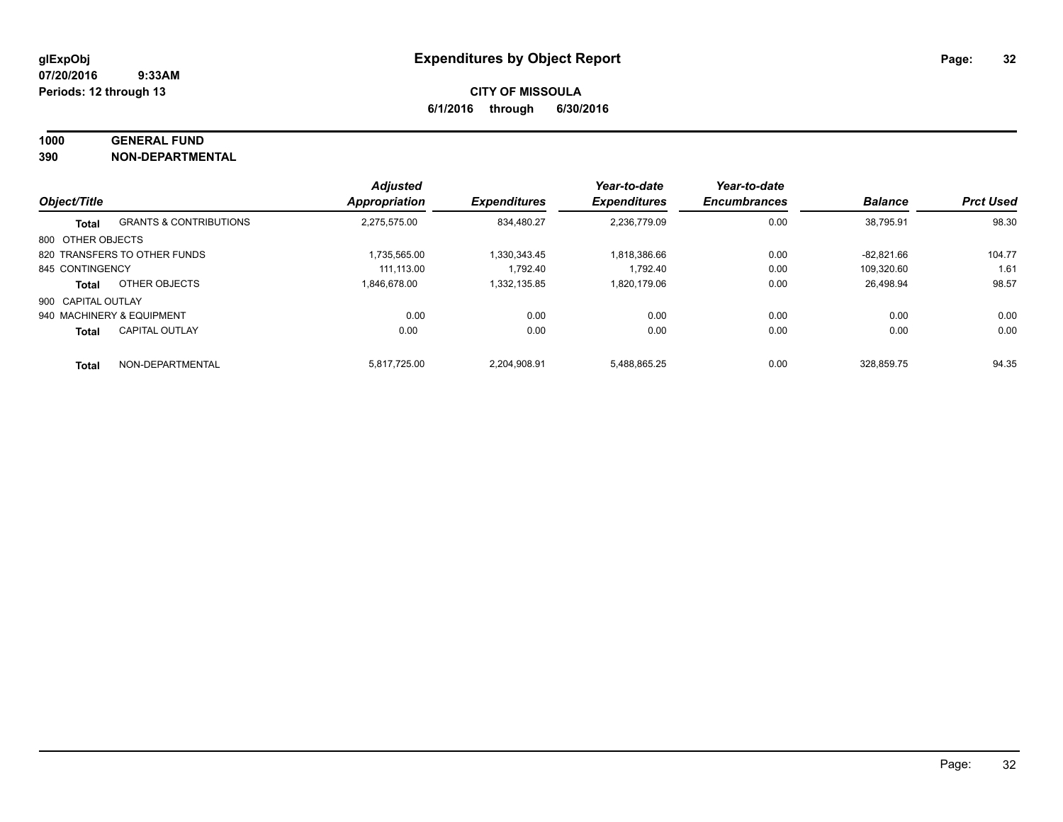#### **1000 GENERAL FUND**

**390 NON-DEPARTMENTAL**

| Object/Title       |                                   | <b>Adjusted</b>      |                     | Year-to-date<br><b>Expenditures</b> | Year-to-date<br><b>Encumbrances</b> | <b>Balance</b> | <b>Prct Used</b> |
|--------------------|-----------------------------------|----------------------|---------------------|-------------------------------------|-------------------------------------|----------------|------------------|
|                    |                                   | <b>Appropriation</b> | <b>Expenditures</b> |                                     |                                     |                |                  |
| <b>Total</b>       | <b>GRANTS &amp; CONTRIBUTIONS</b> | 2.275.575.00         | 834.480.27          | 2,236,779.09                        | 0.00                                | 38,795.91      | 98.30            |
| 800 OTHER OBJECTS  |                                   |                      |                     |                                     |                                     |                |                  |
|                    | 820 TRANSFERS TO OTHER FUNDS      | 1.735.565.00         | 1.330.343.45        | 1.818.386.66                        | 0.00                                | $-82.821.66$   | 104.77           |
| 845 CONTINGENCY    |                                   | 111.113.00           | 1.792.40            | 1.792.40                            | 0.00                                | 109.320.60     | 1.61             |
| <b>Total</b>       | OTHER OBJECTS                     | 1.846.678.00         | 1.332.135.85        | 1.820.179.06                        | 0.00                                | 26.498.94      | 98.57            |
| 900 CAPITAL OUTLAY |                                   |                      |                     |                                     |                                     |                |                  |
|                    | 940 MACHINERY & EQUIPMENT         | 0.00                 | 0.00                | 0.00                                | 0.00                                | 0.00           | 0.00             |
| <b>Total</b>       | <b>CAPITAL OUTLAY</b>             | 0.00                 | 0.00                | 0.00                                | 0.00                                | 0.00           | 0.00             |
| <b>Total</b>       | NON-DEPARTMENTAL                  | 5.817.725.00         | 2.204.908.91        | 5.488.865.25                        | 0.00                                | 328.859.75     | 94.35            |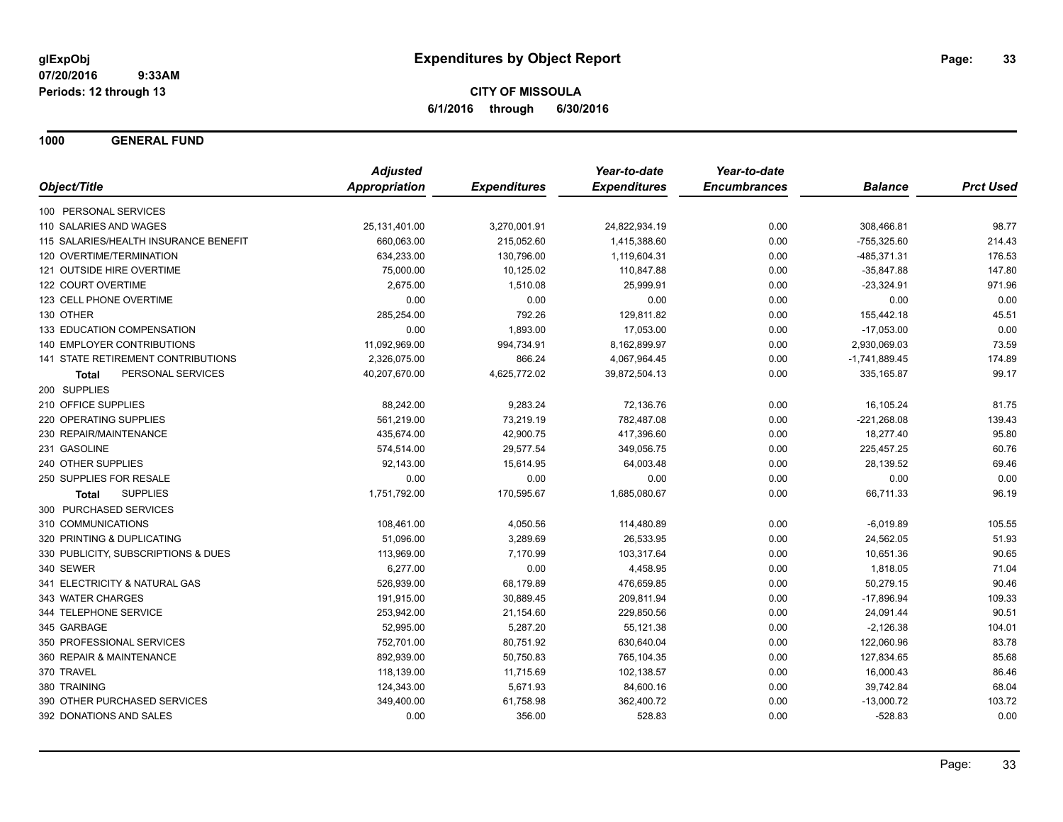**1000 GENERAL FUND**

|                                       | <b>Adjusted</b>      |                     | Year-to-date        | Year-to-date        |                 |                  |
|---------------------------------------|----------------------|---------------------|---------------------|---------------------|-----------------|------------------|
| Object/Title                          | <b>Appropriation</b> | <b>Expenditures</b> | <b>Expenditures</b> | <b>Encumbrances</b> | <b>Balance</b>  | <b>Prct Used</b> |
| 100 PERSONAL SERVICES                 |                      |                     |                     |                     |                 |                  |
| 110 SALARIES AND WAGES                | 25,131,401.00        | 3,270,001.91        | 24,822,934.19       | 0.00                | 308,466.81      | 98.77            |
| 115 SALARIES/HEALTH INSURANCE BENEFIT | 660,063.00           | 215,052.60          | 1,415,388.60        | 0.00                | $-755,325.60$   | 214.43           |
| 120 OVERTIME/TERMINATION              | 634,233.00           | 130,796.00          | 1,119,604.31        | 0.00                | $-485,371.31$   | 176.53           |
| 121 OUTSIDE HIRE OVERTIME             | 75,000.00            | 10,125.02           | 110,847.88          | 0.00                | $-35,847.88$    | 147.80           |
| 122 COURT OVERTIME                    | 2,675.00             | 1,510.08            | 25,999.91           | 0.00                | $-23,324.91$    | 971.96           |
| 123 CELL PHONE OVERTIME               | 0.00                 | 0.00                | 0.00                | 0.00                | 0.00            | 0.00             |
| 130 OTHER                             | 285,254.00           | 792.26              | 129,811.82          | 0.00                | 155,442.18      | 45.51            |
| 133 EDUCATION COMPENSATION            | 0.00                 | 1,893.00            | 17,053.00           | 0.00                | $-17,053.00$    | 0.00             |
| 140 EMPLOYER CONTRIBUTIONS            | 11,092,969.00        | 994,734.91          | 8,162,899.97        | 0.00                | 2,930,069.03    | 73.59            |
| 141 STATE RETIREMENT CONTRIBUTIONS    | 2,326,075.00         | 866.24              | 4,067,964.45        | 0.00                | $-1,741,889.45$ | 174.89           |
| PERSONAL SERVICES<br><b>Total</b>     | 40,207,670.00        | 4,625,772.02        | 39,872,504.13       | 0.00                | 335,165.87      | 99.17            |
| 200 SUPPLIES                          |                      |                     |                     |                     |                 |                  |
| 210 OFFICE SUPPLIES                   | 88,242.00            | 9,283.24            | 72,136.76           | 0.00                | 16,105.24       | 81.75            |
| 220 OPERATING SUPPLIES                | 561,219.00           | 73,219.19           | 782,487.08          | 0.00                | $-221,268.08$   | 139.43           |
| 230 REPAIR/MAINTENANCE                | 435,674.00           | 42,900.75           | 417,396.60          | 0.00                | 18,277.40       | 95.80            |
| 231 GASOLINE                          | 574,514.00           | 29,577.54           | 349,056.75          | 0.00                | 225,457.25      | 60.76            |
| 240 OTHER SUPPLIES                    | 92,143.00            | 15,614.95           | 64,003.48           | 0.00                | 28,139.52       | 69.46            |
| 250 SUPPLIES FOR RESALE               | 0.00                 | 0.00                | 0.00                | 0.00                | 0.00            | 0.00             |
| <b>SUPPLIES</b><br><b>Total</b>       | 1,751,792.00         | 170,595.67          | 1,685,080.67        | 0.00                | 66,711.33       | 96.19            |
| 300 PURCHASED SERVICES                |                      |                     |                     |                     |                 |                  |
| 310 COMMUNICATIONS                    | 108,461.00           | 4,050.56            | 114,480.89          | 0.00                | $-6,019.89$     | 105.55           |
| 320 PRINTING & DUPLICATING            | 51,096.00            | 3,289.69            | 26,533.95           | 0.00                | 24,562.05       | 51.93            |
| 330 PUBLICITY, SUBSCRIPTIONS & DUES   | 113,969.00           | 7,170.99            | 103,317.64          | 0.00                | 10,651.36       | 90.65            |
| 340 SEWER                             | 6,277.00             | 0.00                | 4,458.95            | 0.00                | 1,818.05        | 71.04            |
| 341 ELECTRICITY & NATURAL GAS         | 526,939.00           | 68,179.89           | 476,659.85          | 0.00                | 50,279.15       | 90.46            |
| 343 WATER CHARGES                     | 191,915.00           | 30,889.45           | 209,811.94          | 0.00                | $-17,896.94$    | 109.33           |
| 344 TELEPHONE SERVICE                 | 253,942.00           | 21,154.60           | 229,850.56          | 0.00                | 24,091.44       | 90.51            |
| 345 GARBAGE                           | 52,995.00            | 5,287.20            | 55,121.38           | 0.00                | $-2,126.38$     | 104.01           |
| 350 PROFESSIONAL SERVICES             | 752,701.00           | 80,751.92           | 630,640.04          | 0.00                | 122,060.96      | 83.78            |
| 360 REPAIR & MAINTENANCE              | 892,939.00           | 50,750.83           | 765,104.35          | 0.00                | 127,834.65      | 85.68            |
| 370 TRAVEL                            | 118,139.00           | 11,715.69           | 102,138.57          | 0.00                | 16,000.43       | 86.46            |
| 380 TRAINING                          | 124,343.00           | 5,671.93            | 84,600.16           | 0.00                | 39,742.84       | 68.04            |
| 390 OTHER PURCHASED SERVICES          | 349,400.00           | 61,758.98           | 362,400.72          | 0.00                | $-13,000.72$    | 103.72           |
| 392 DONATIONS AND SALES               | 0.00                 | 356.00              | 528.83              | 0.00                | $-528.83$       | 0.00             |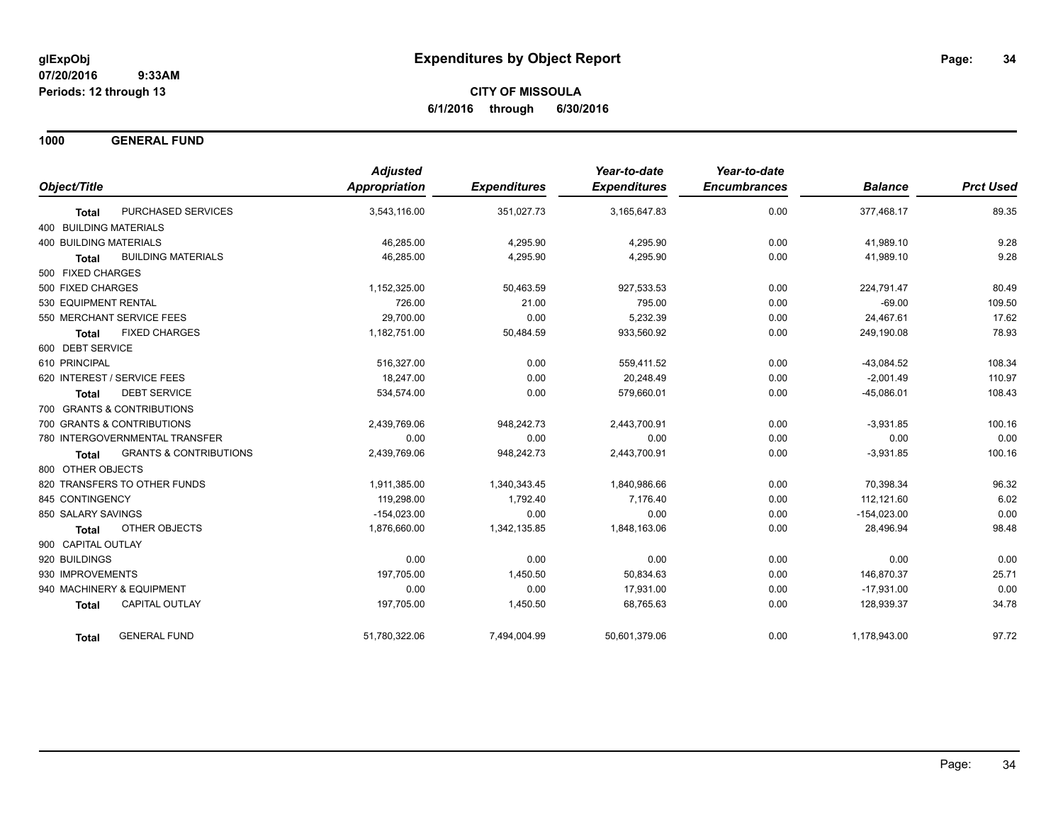**1000 GENERAL FUND**

|                                                   | <b>Adjusted</b>      |                     | Year-to-date        | Year-to-date        |                |                  |
|---------------------------------------------------|----------------------|---------------------|---------------------|---------------------|----------------|------------------|
| Object/Title                                      | <b>Appropriation</b> | <b>Expenditures</b> | <b>Expenditures</b> | <b>Encumbrances</b> | <b>Balance</b> | <b>Prct Used</b> |
| PURCHASED SERVICES<br><b>Total</b>                | 3,543,116.00         | 351,027.73          | 3,165,647.83        | 0.00                | 377,468.17     | 89.35            |
| 400 BUILDING MATERIALS                            |                      |                     |                     |                     |                |                  |
| <b>400 BUILDING MATERIALS</b>                     | 46,285.00            | 4,295.90            | 4,295.90            | 0.00                | 41,989.10      | 9.28             |
| <b>BUILDING MATERIALS</b><br><b>Total</b>         | 46,285.00            | 4,295.90            | 4,295.90            | 0.00                | 41,989.10      | 9.28             |
| 500 FIXED CHARGES                                 |                      |                     |                     |                     |                |                  |
| 500 FIXED CHARGES                                 | 1.152.325.00         | 50,463.59           | 927,533.53          | 0.00                | 224,791.47     | 80.49            |
| 530 EQUIPMENT RENTAL                              | 726.00               | 21.00               | 795.00              | 0.00                | $-69.00$       | 109.50           |
| 550 MERCHANT SERVICE FEES                         | 29,700.00            | 0.00                | 5,232.39            | 0.00                | 24,467.61      | 17.62            |
| <b>FIXED CHARGES</b><br><b>Total</b>              | 1,182,751.00         | 50,484.59           | 933,560.92          | 0.00                | 249,190.08     | 78.93            |
| 600 DEBT SERVICE                                  |                      |                     |                     |                     |                |                  |
| 610 PRINCIPAL                                     | 516,327.00           | 0.00                | 559,411.52          | 0.00                | $-43,084.52$   | 108.34           |
| 620 INTEREST / SERVICE FEES                       | 18,247.00            | 0.00                | 20,248.49           | 0.00                | $-2,001.49$    | 110.97           |
| <b>DEBT SERVICE</b><br><b>Total</b>               | 534,574.00           | 0.00                | 579,660.01          | 0.00                | $-45,086.01$   | 108.43           |
| 700 GRANTS & CONTRIBUTIONS                        |                      |                     |                     |                     |                |                  |
| 700 GRANTS & CONTRIBUTIONS                        | 2,439,769.06         | 948,242.73          | 2,443,700.91        | 0.00                | $-3,931.85$    | 100.16           |
| 780 INTERGOVERNMENTAL TRANSFER                    | 0.00                 | 0.00                | 0.00                | 0.00                | 0.00           | 0.00             |
| <b>GRANTS &amp; CONTRIBUTIONS</b><br><b>Total</b> | 2,439,769.06         | 948,242.73          | 2,443,700.91        | 0.00                | $-3,931.85$    | 100.16           |
| 800 OTHER OBJECTS                                 |                      |                     |                     |                     |                |                  |
| 820 TRANSFERS TO OTHER FUNDS                      | 1,911,385.00         | 1,340,343.45        | 1,840,986.66        | 0.00                | 70.398.34      | 96.32            |
| 845 CONTINGENCY                                   | 119,298.00           | 1,792.40            | 7,176.40            | 0.00                | 112,121.60     | 6.02             |
| 850 SALARY SAVINGS                                | $-154,023.00$        | 0.00                | 0.00                | 0.00                | $-154,023.00$  | 0.00             |
| <b>OTHER OBJECTS</b><br><b>Total</b>              | 1,876,660.00         | 1,342,135.85        | 1,848,163.06        | 0.00                | 28,496.94      | 98.48            |
| 900 CAPITAL OUTLAY                                |                      |                     |                     |                     |                |                  |
| 920 BUILDINGS                                     | 0.00                 | 0.00                | 0.00                | 0.00                | 0.00           | 0.00             |
| 930 IMPROVEMENTS                                  | 197,705.00           | 1,450.50            | 50,834.63           | 0.00                | 146,870.37     | 25.71            |
| 940 MACHINERY & EQUIPMENT                         | 0.00                 | 0.00                | 17,931.00           | 0.00                | $-17,931.00$   | 0.00             |
| <b>CAPITAL OUTLAY</b><br><b>Total</b>             | 197,705.00           | 1,450.50            | 68,765.63           | 0.00                | 128,939.37     | 34.78            |
| <b>GENERAL FUND</b><br><b>Total</b>               | 51,780,322.06        | 7,494,004.99        | 50,601,379.06       | 0.00                | 1,178,943.00   | 97.72            |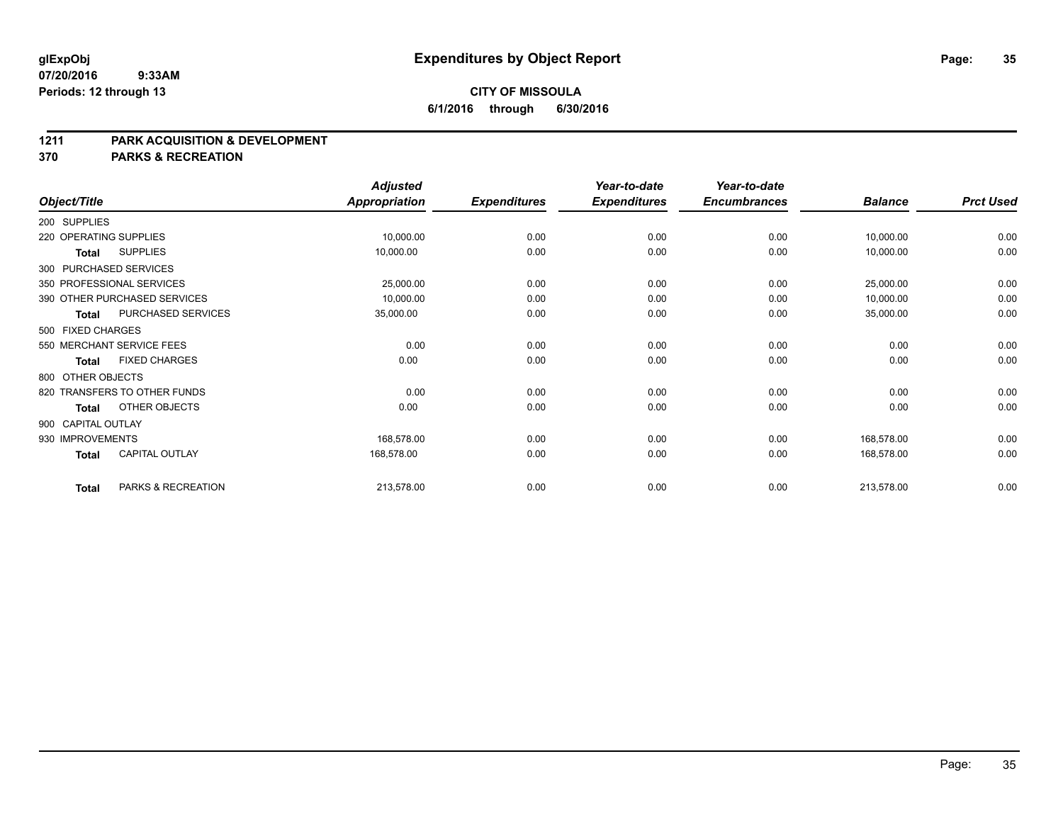# **CITY OF MISSOULA 6/1/2016 through 6/30/2016**

#### **1211 PARK ACQUISITION & DEVELOPMENT**

**370 PARKS & RECREATION**

|                        |                              | <b>Adjusted</b>      |                     | Year-to-date        | Year-to-date        |                |                  |
|------------------------|------------------------------|----------------------|---------------------|---------------------|---------------------|----------------|------------------|
| Object/Title           |                              | <b>Appropriation</b> | <b>Expenditures</b> | <b>Expenditures</b> | <b>Encumbrances</b> | <b>Balance</b> | <b>Prct Used</b> |
| 200 SUPPLIES           |                              |                      |                     |                     |                     |                |                  |
| 220 OPERATING SUPPLIES |                              | 10,000.00            | 0.00                | 0.00                | 0.00                | 10,000.00      | 0.00             |
| Total                  | <b>SUPPLIES</b>              | 10,000.00            | 0.00                | 0.00                | 0.00                | 10,000.00      | 0.00             |
| 300 PURCHASED SERVICES |                              |                      |                     |                     |                     |                |                  |
|                        | 350 PROFESSIONAL SERVICES    | 25,000.00            | 0.00                | 0.00                | 0.00                | 25,000.00      | 0.00             |
|                        | 390 OTHER PURCHASED SERVICES | 10,000.00            | 0.00                | 0.00                | 0.00                | 10,000.00      | 0.00             |
| <b>Total</b>           | PURCHASED SERVICES           | 35,000.00            | 0.00                | 0.00                | 0.00                | 35,000.00      | 0.00             |
| 500 FIXED CHARGES      |                              |                      |                     |                     |                     |                |                  |
|                        | 550 MERCHANT SERVICE FEES    | 0.00                 | 0.00                | 0.00                | 0.00                | 0.00           | 0.00             |
| <b>Total</b>           | <b>FIXED CHARGES</b>         | 0.00                 | 0.00                | 0.00                | 0.00                | 0.00           | 0.00             |
| 800 OTHER OBJECTS      |                              |                      |                     |                     |                     |                |                  |
|                        | 820 TRANSFERS TO OTHER FUNDS | 0.00                 | 0.00                | 0.00                | 0.00                | 0.00           | 0.00             |
| <b>Total</b>           | OTHER OBJECTS                | 0.00                 | 0.00                | 0.00                | 0.00                | 0.00           | 0.00             |
| 900 CAPITAL OUTLAY     |                              |                      |                     |                     |                     |                |                  |
| 930 IMPROVEMENTS       |                              | 168,578.00           | 0.00                | 0.00                | 0.00                | 168,578.00     | 0.00             |
| <b>Total</b>           | <b>CAPITAL OUTLAY</b>        | 168,578.00           | 0.00                | 0.00                | 0.00                | 168,578.00     | 0.00             |
| <b>Total</b>           | PARKS & RECREATION           | 213,578.00           | 0.00                | 0.00                | 0.00                | 213,578.00     | 0.00             |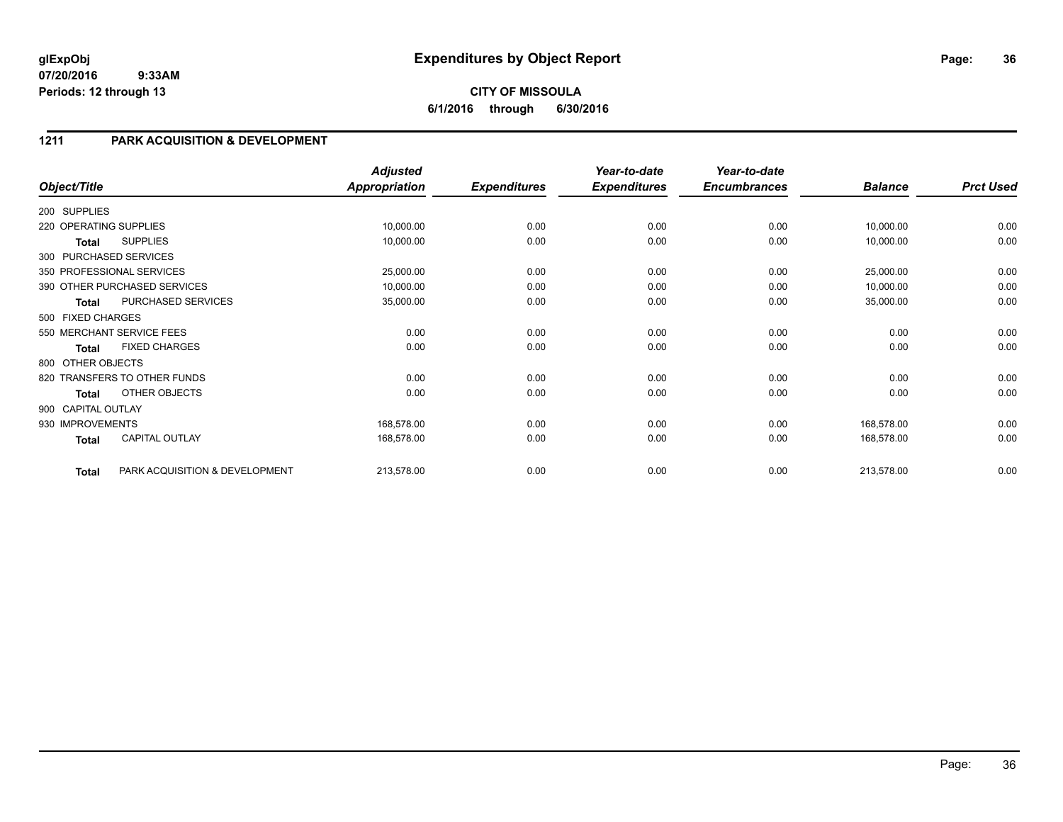# **CITY OF MISSOULA 6/1/2016 through 6/30/2016**

# **1211 PARK ACQUISITION & DEVELOPMENT**

|                        |                                | <b>Adjusted</b> |                     | Year-to-date        | Year-to-date        |                |                  |
|------------------------|--------------------------------|-----------------|---------------------|---------------------|---------------------|----------------|------------------|
| Object/Title           |                                | Appropriation   | <b>Expenditures</b> | <b>Expenditures</b> | <b>Encumbrances</b> | <b>Balance</b> | <b>Prct Used</b> |
| 200 SUPPLIES           |                                |                 |                     |                     |                     |                |                  |
| 220 OPERATING SUPPLIES |                                | 10,000.00       | 0.00                | 0.00                | 0.00                | 10,000.00      | 0.00             |
| Total                  | <b>SUPPLIES</b>                | 10,000.00       | 0.00                | 0.00                | 0.00                | 10,000.00      | 0.00             |
|                        | 300 PURCHASED SERVICES         |                 |                     |                     |                     |                |                  |
|                        | 350 PROFESSIONAL SERVICES      | 25,000.00       | 0.00                | 0.00                | 0.00                | 25,000.00      | 0.00             |
|                        | 390 OTHER PURCHASED SERVICES   | 10,000.00       | 0.00                | 0.00                | 0.00                | 10,000.00      | 0.00             |
| <b>Total</b>           | PURCHASED SERVICES             | 35,000.00       | 0.00                | 0.00                | 0.00                | 35,000.00      | 0.00             |
| 500 FIXED CHARGES      |                                |                 |                     |                     |                     |                |                  |
|                        | 550 MERCHANT SERVICE FEES      | 0.00            | 0.00                | 0.00                | 0.00                | 0.00           | 0.00             |
| <b>Total</b>           | <b>FIXED CHARGES</b>           | 0.00            | 0.00                | 0.00                | 0.00                | 0.00           | 0.00             |
| 800 OTHER OBJECTS      |                                |                 |                     |                     |                     |                |                  |
|                        | 820 TRANSFERS TO OTHER FUNDS   | 0.00            | 0.00                | 0.00                | 0.00                | 0.00           | 0.00             |
| <b>Total</b>           | OTHER OBJECTS                  | 0.00            | 0.00                | 0.00                | 0.00                | 0.00           | 0.00             |
| 900 CAPITAL OUTLAY     |                                |                 |                     |                     |                     |                |                  |
| 930 IMPROVEMENTS       |                                | 168,578.00      | 0.00                | 0.00                | 0.00                | 168,578.00     | 0.00             |
| <b>Total</b>           | CAPITAL OUTLAY                 | 168,578.00      | 0.00                | 0.00                | 0.00                | 168,578.00     | 0.00             |
| <b>Total</b>           | PARK ACQUISITION & DEVELOPMENT | 213,578.00      | 0.00                | 0.00                | 0.00                | 213,578.00     | 0.00             |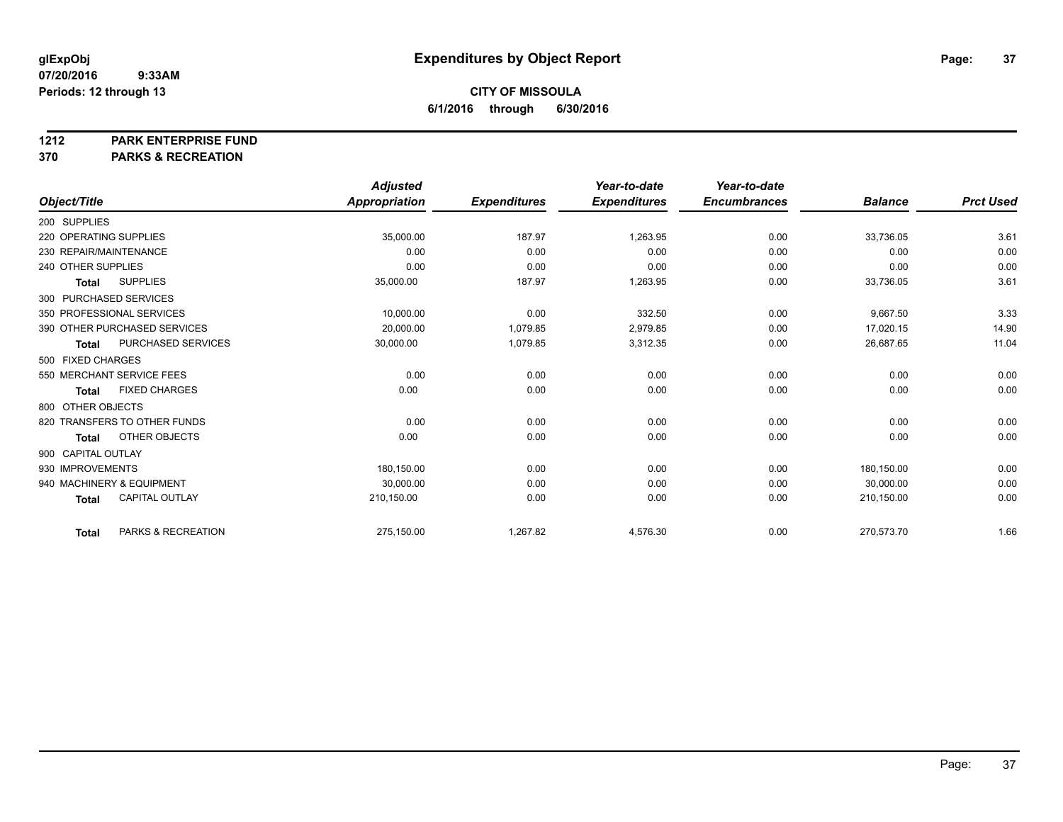#### **1212 PARK ENTERPRISE FUND**

**370 PARKS & RECREATION**

|                              |                       | <b>Adjusted</b>      |                     | Year-to-date        | Year-to-date        |                |                  |
|------------------------------|-----------------------|----------------------|---------------------|---------------------|---------------------|----------------|------------------|
| Object/Title                 |                       | <b>Appropriation</b> | <b>Expenditures</b> | <b>Expenditures</b> | <b>Encumbrances</b> | <b>Balance</b> | <b>Prct Used</b> |
| 200 SUPPLIES                 |                       |                      |                     |                     |                     |                |                  |
| 220 OPERATING SUPPLIES       |                       | 35,000.00            | 187.97              | 1,263.95            | 0.00                | 33,736.05      | 3.61             |
| 230 REPAIR/MAINTENANCE       |                       | 0.00                 | 0.00                | 0.00                | 0.00                | 0.00           | 0.00             |
| 240 OTHER SUPPLIES           |                       | 0.00                 | 0.00                | 0.00                | 0.00                | 0.00           | 0.00             |
| <b>Total</b>                 | <b>SUPPLIES</b>       | 35,000.00            | 187.97              | 1,263.95            | 0.00                | 33,736.05      | 3.61             |
| 300 PURCHASED SERVICES       |                       |                      |                     |                     |                     |                |                  |
| 350 PROFESSIONAL SERVICES    |                       | 10,000.00            | 0.00                | 332.50              | 0.00                | 9,667.50       | 3.33             |
| 390 OTHER PURCHASED SERVICES |                       | 20,000.00            | 1,079.85            | 2,979.85            | 0.00                | 17,020.15      | 14.90            |
| <b>Total</b>                 | PURCHASED SERVICES    | 30,000.00            | 1,079.85            | 3,312.35            | 0.00                | 26,687.65      | 11.04            |
| 500 FIXED CHARGES            |                       |                      |                     |                     |                     |                |                  |
| 550 MERCHANT SERVICE FEES    |                       | 0.00                 | 0.00                | 0.00                | 0.00                | 0.00           | 0.00             |
| <b>Total</b>                 | <b>FIXED CHARGES</b>  | 0.00                 | 0.00                | 0.00                | 0.00                | 0.00           | 0.00             |
| 800 OTHER OBJECTS            |                       |                      |                     |                     |                     |                |                  |
| 820 TRANSFERS TO OTHER FUNDS |                       | 0.00                 | 0.00                | 0.00                | 0.00                | 0.00           | 0.00             |
| <b>Total</b>                 | OTHER OBJECTS         | 0.00                 | 0.00                | 0.00                | 0.00                | 0.00           | 0.00             |
| 900 CAPITAL OUTLAY           |                       |                      |                     |                     |                     |                |                  |
| 930 IMPROVEMENTS             |                       | 180,150.00           | 0.00                | 0.00                | 0.00                | 180,150.00     | 0.00             |
| 940 MACHINERY & EQUIPMENT    |                       | 30,000.00            | 0.00                | 0.00                | 0.00                | 30.000.00      | 0.00             |
| <b>Total</b>                 | <b>CAPITAL OUTLAY</b> | 210,150.00           | 0.00                | 0.00                | 0.00                | 210,150.00     | 0.00             |
| Total                        | PARKS & RECREATION    | 275,150.00           | 1,267.82            | 4,576.30            | 0.00                | 270,573.70     | 1.66             |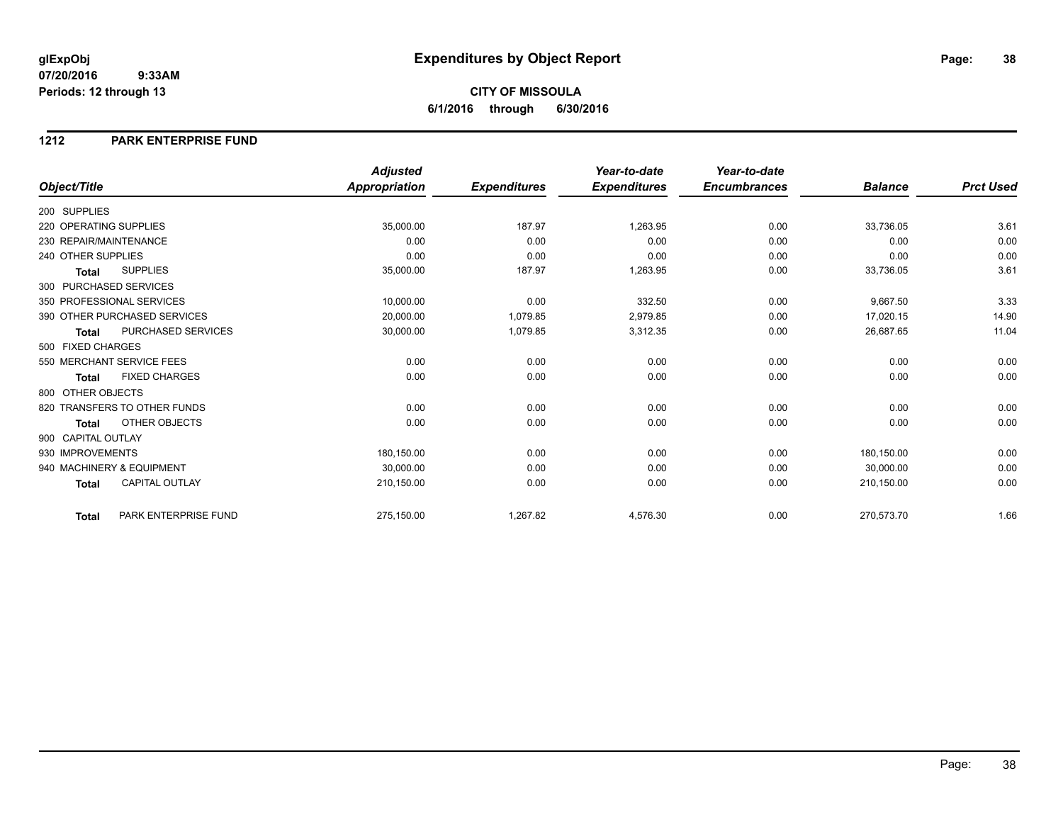## **CITY OF MISSOULA 6/1/2016 through 6/30/2016**

### **1212 PARK ENTERPRISE FUND**

|                                       | <b>Adjusted</b>      |                     | Year-to-date        | Year-to-date        |                |                  |
|---------------------------------------|----------------------|---------------------|---------------------|---------------------|----------------|------------------|
| Object/Title                          | <b>Appropriation</b> | <b>Expenditures</b> | <b>Expenditures</b> | <b>Encumbrances</b> | <b>Balance</b> | <b>Prct Used</b> |
| 200 SUPPLIES                          |                      |                     |                     |                     |                |                  |
| 220 OPERATING SUPPLIES                | 35,000.00            | 187.97              | 1,263.95            | 0.00                | 33,736.05      | 3.61             |
| 230 REPAIR/MAINTENANCE                | 0.00                 | 0.00                | 0.00                | 0.00                | 0.00           | 0.00             |
| 240 OTHER SUPPLIES                    | 0.00                 | 0.00                | 0.00                | 0.00                | 0.00           | 0.00             |
| <b>SUPPLIES</b><br><b>Total</b>       | 35,000.00            | 187.97              | 1,263.95            | 0.00                | 33,736.05      | 3.61             |
| 300 PURCHASED SERVICES                |                      |                     |                     |                     |                |                  |
| 350 PROFESSIONAL SERVICES             | 10,000.00            | 0.00                | 332.50              | 0.00                | 9,667.50       | 3.33             |
| 390 OTHER PURCHASED SERVICES          | 20,000.00            | 1,079.85            | 2,979.85            | 0.00                | 17,020.15      | 14.90            |
| PURCHASED SERVICES<br><b>Total</b>    | 30,000.00            | 1,079.85            | 3,312.35            | 0.00                | 26,687.65      | 11.04            |
| 500 FIXED CHARGES                     |                      |                     |                     |                     |                |                  |
| 550 MERCHANT SERVICE FEES             | 0.00                 | 0.00                | 0.00                | 0.00                | 0.00           | 0.00             |
| <b>FIXED CHARGES</b><br><b>Total</b>  | 0.00                 | 0.00                | 0.00                | 0.00                | 0.00           | 0.00             |
| 800 OTHER OBJECTS                     |                      |                     |                     |                     |                |                  |
| 820 TRANSFERS TO OTHER FUNDS          | 0.00                 | 0.00                | 0.00                | 0.00                | 0.00           | 0.00             |
| OTHER OBJECTS<br><b>Total</b>         | 0.00                 | 0.00                | 0.00                | 0.00                | 0.00           | 0.00             |
| 900 CAPITAL OUTLAY                    |                      |                     |                     |                     |                |                  |
| 930 IMPROVEMENTS                      | 180,150.00           | 0.00                | 0.00                | 0.00                | 180,150.00     | 0.00             |
| 940 MACHINERY & EQUIPMENT             | 30,000.00            | 0.00                | 0.00                | 0.00                | 30,000.00      | 0.00             |
| <b>CAPITAL OUTLAY</b><br><b>Total</b> | 210,150.00           | 0.00                | 0.00                | 0.00                | 210,150.00     | 0.00             |
| PARK ENTERPRISE FUND<br><b>Total</b>  | 275,150.00           | 1,267.82            | 4,576.30            | 0.00                | 270,573.70     | 1.66             |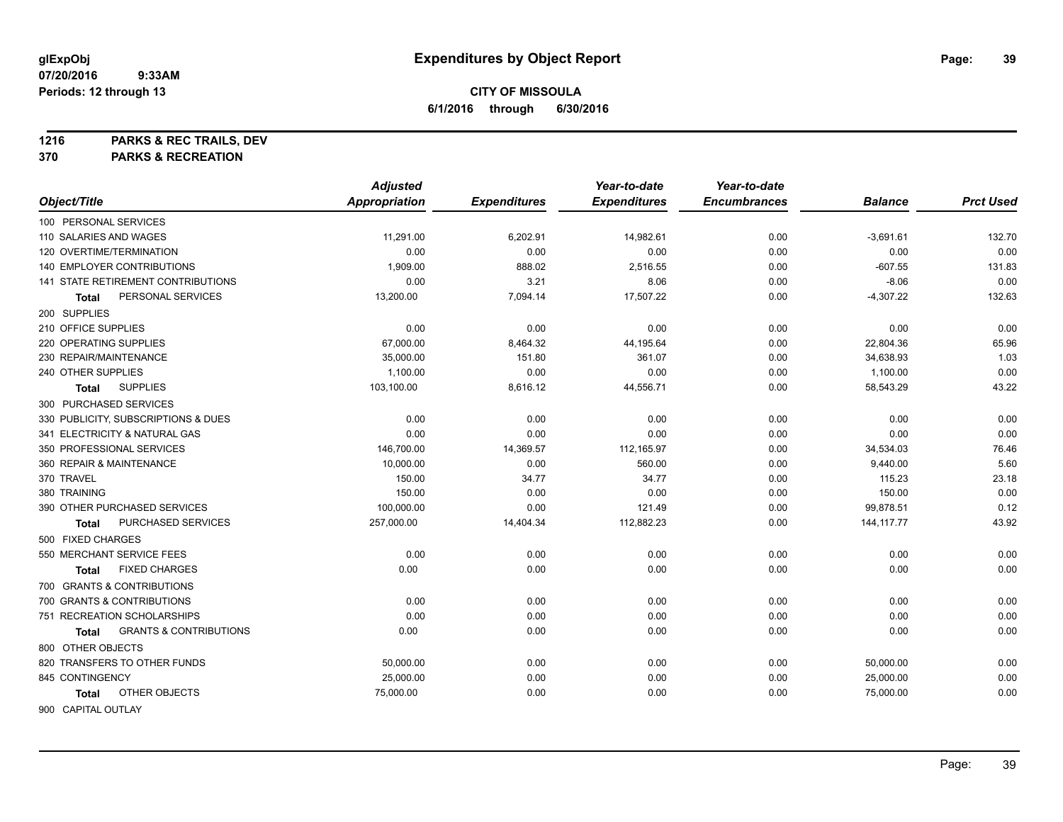**1216 PARKS & REC TRAILS, DEV**

**370 PARKS & RECREATION**

|                                            | <b>Adjusted</b> |                     | Year-to-date        | Year-to-date        |                |                  |
|--------------------------------------------|-----------------|---------------------|---------------------|---------------------|----------------|------------------|
| Object/Title                               | Appropriation   | <b>Expenditures</b> | <b>Expenditures</b> | <b>Encumbrances</b> | <b>Balance</b> | <b>Prct Used</b> |
| 100 PERSONAL SERVICES                      |                 |                     |                     |                     |                |                  |
| 110 SALARIES AND WAGES                     | 11,291.00       | 6,202.91            | 14,982.61           | 0.00                | $-3,691.61$    | 132.70           |
| 120 OVERTIME/TERMINATION                   | 0.00            | 0.00                | 0.00                | 0.00                | 0.00           | 0.00             |
| 140 EMPLOYER CONTRIBUTIONS                 | 1,909.00        | 888.02              | 2,516.55            | 0.00                | $-607.55$      | 131.83           |
| <b>141 STATE RETIREMENT CONTRIBUTIONS</b>  | 0.00            | 3.21                | 8.06                | 0.00                | $-8.06$        | 0.00             |
| PERSONAL SERVICES<br><b>Total</b>          | 13,200.00       | 7,094.14            | 17,507.22           | 0.00                | $-4,307.22$    | 132.63           |
| 200 SUPPLIES                               |                 |                     |                     |                     |                |                  |
| 210 OFFICE SUPPLIES                        | 0.00            | 0.00                | 0.00                | 0.00                | 0.00           | 0.00             |
| 220 OPERATING SUPPLIES                     | 67,000.00       | 8,464.32            | 44,195.64           | 0.00                | 22,804.36      | 65.96            |
| 230 REPAIR/MAINTENANCE                     | 35,000.00       | 151.80              | 361.07              | 0.00                | 34,638.93      | 1.03             |
| 240 OTHER SUPPLIES                         | 1,100.00        | 0.00                | 0.00                | 0.00                | 1,100.00       | 0.00             |
| <b>SUPPLIES</b><br><b>Total</b>            | 103,100.00      | 8,616.12            | 44,556.71           | 0.00                | 58,543.29      | 43.22            |
| 300 PURCHASED SERVICES                     |                 |                     |                     |                     |                |                  |
| 330 PUBLICITY, SUBSCRIPTIONS & DUES        | 0.00            | 0.00                | 0.00                | 0.00                | 0.00           | 0.00             |
| 341 ELECTRICITY & NATURAL GAS              | 0.00            | 0.00                | 0.00                | 0.00                | 0.00           | 0.00             |
| 350 PROFESSIONAL SERVICES                  | 146,700.00      | 14,369.57           | 112,165.97          | 0.00                | 34,534.03      | 76.46            |
| 360 REPAIR & MAINTENANCE                   | 10,000.00       | 0.00                | 560.00              | 0.00                | 9,440.00       | 5.60             |
| 370 TRAVEL                                 | 150.00          | 34.77               | 34.77               | 0.00                | 115.23         | 23.18            |
| 380 TRAINING                               | 150.00          | 0.00                | 0.00                | 0.00                | 150.00         | 0.00             |
| 390 OTHER PURCHASED SERVICES               | 100,000.00      | 0.00                | 121.49              | 0.00                | 99,878.51      | 0.12             |
| PURCHASED SERVICES<br><b>Total</b>         | 257,000.00      | 14,404.34           | 112,882.23          | 0.00                | 144, 117.77    | 43.92            |
| 500 FIXED CHARGES                          |                 |                     |                     |                     |                |                  |
| 550 MERCHANT SERVICE FEES                  | 0.00            | 0.00                | 0.00                | 0.00                | 0.00           | 0.00             |
| <b>FIXED CHARGES</b><br><b>Total</b>       | 0.00            | 0.00                | 0.00                | 0.00                | 0.00           | 0.00             |
| 700 GRANTS & CONTRIBUTIONS                 |                 |                     |                     |                     |                |                  |
| 700 GRANTS & CONTRIBUTIONS                 | 0.00            | 0.00                | 0.00                | 0.00                | 0.00           | 0.00             |
| 751 RECREATION SCHOLARSHIPS                | 0.00            | 0.00                | 0.00                | 0.00                | 0.00           | 0.00             |
| <b>GRANTS &amp; CONTRIBUTIONS</b><br>Total | 0.00            | 0.00                | 0.00                | 0.00                | 0.00           | 0.00             |
| 800 OTHER OBJECTS                          |                 |                     |                     |                     |                |                  |
| 820 TRANSFERS TO OTHER FUNDS               | 50,000.00       | 0.00                | 0.00                | 0.00                | 50,000.00      | 0.00             |
| 845 CONTINGENCY                            | 25,000.00       | 0.00                | 0.00                | 0.00                | 25,000.00      | 0.00             |
| OTHER OBJECTS<br>Total                     | 75,000.00       | 0.00                | 0.00                | 0.00                | 75,000.00      | 0.00             |
| 900 CAPITAL OUTLAY                         |                 |                     |                     |                     |                |                  |

Page: 39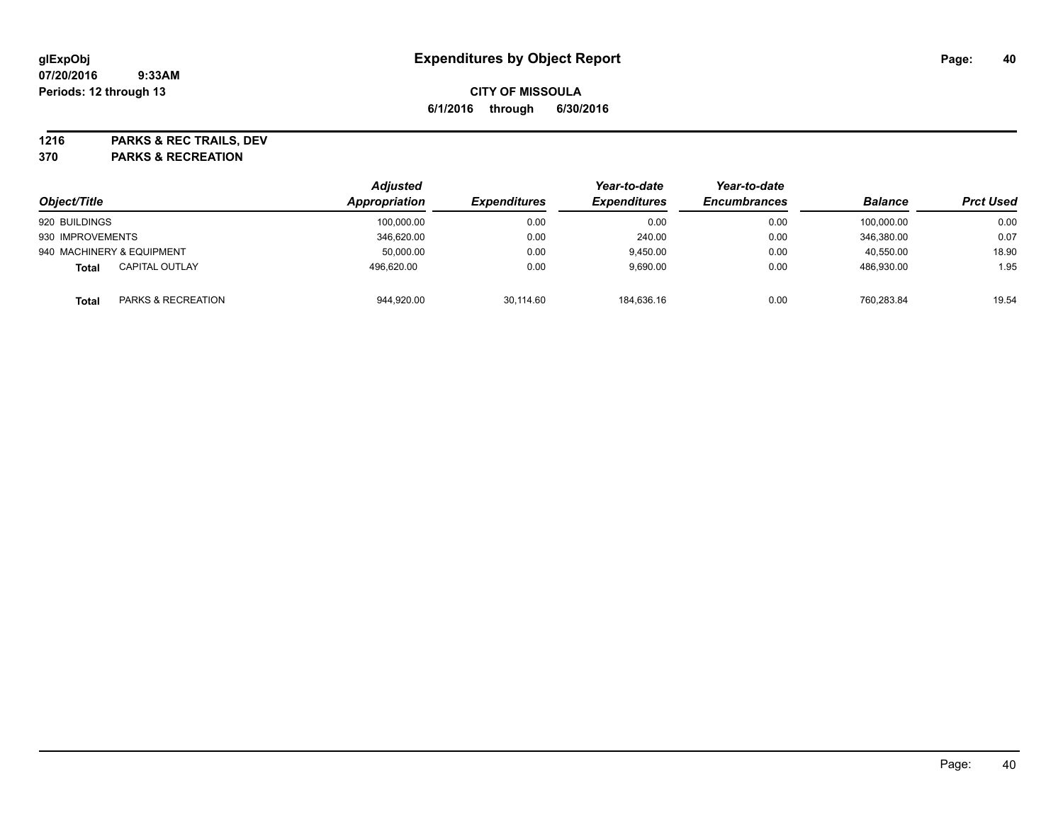**1216 PARKS & REC TRAILS, DEV**

**370 PARKS & RECREATION**

|                                               | <b>Adjusted</b> |           | Year-to-date<br><b>Expenditures</b><br><b>Expenditures</b> | Year-to-date<br><b>Encumbrances</b> | <b>Balance</b> | <b>Prct Used</b> |
|-----------------------------------------------|-----------------|-----------|------------------------------------------------------------|-------------------------------------|----------------|------------------|
| Object/Title                                  | Appropriation   |           |                                                            |                                     |                |                  |
| 920 BUILDINGS                                 | 100,000.00      | 0.00      | 0.00                                                       | 0.00                                | 100.000.00     | 0.00             |
| 930 IMPROVEMENTS                              | 346,620.00      | 0.00      | 240.00                                                     | 0.00                                | 346.380.00     | 0.07             |
| 940 MACHINERY & EQUIPMENT                     | 50,000.00       | 0.00      | 9.450.00                                                   | 0.00                                | 40.550.00      | 18.90            |
| <b>CAPITAL OUTLAY</b><br>Total                | 496.620.00      | 0.00      | 9.690.00                                                   | 0.00                                | 486.930.00     | 1.95             |
| <b>PARKS &amp; RECREATION</b><br><b>Total</b> | 944,920.00      | 30,114.60 | 184,636.16                                                 | 0.00                                | 760.283.84     | 19.54            |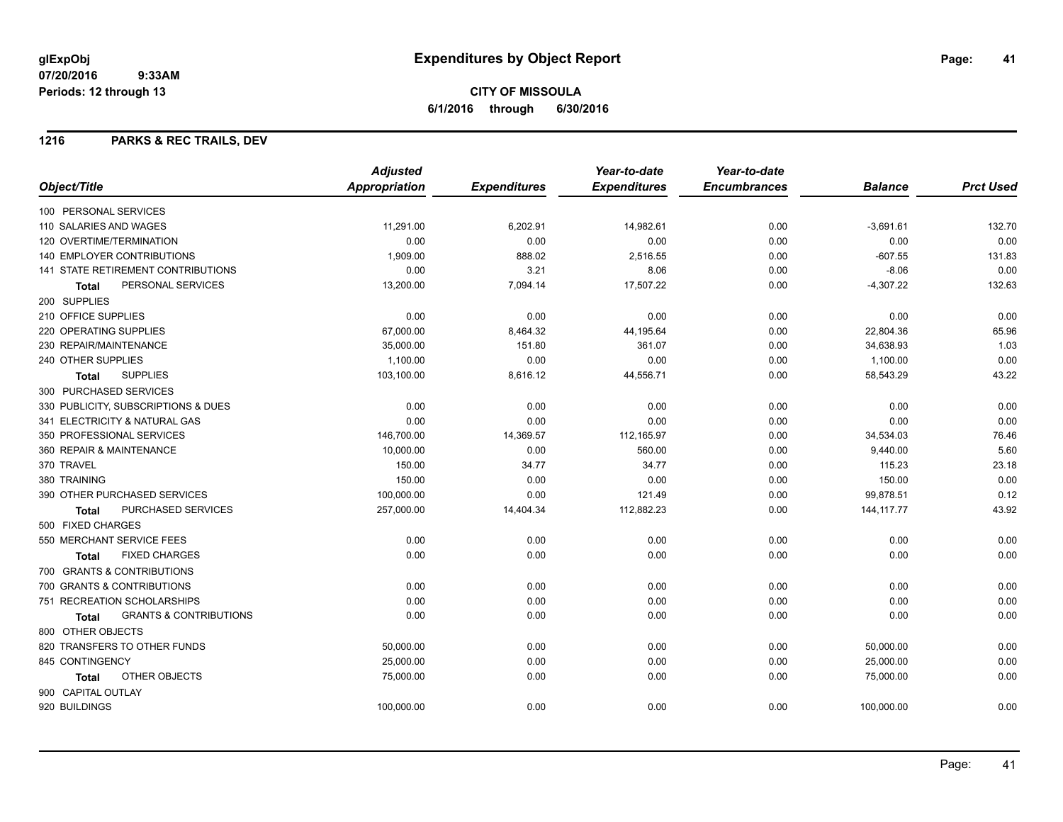## **CITY OF MISSOULA 6/1/2016 through 6/30/2016**

### **1216 PARKS & REC TRAILS, DEV**

|                                            | <b>Adjusted</b>      |                     | Year-to-date        | Year-to-date        |                |                  |
|--------------------------------------------|----------------------|---------------------|---------------------|---------------------|----------------|------------------|
| Object/Title                               | <b>Appropriation</b> | <b>Expenditures</b> | <b>Expenditures</b> | <b>Encumbrances</b> | <b>Balance</b> | <b>Prct Used</b> |
| 100 PERSONAL SERVICES                      |                      |                     |                     |                     |                |                  |
| 110 SALARIES AND WAGES                     | 11.291.00            | 6,202.91            | 14,982.61           | 0.00                | $-3,691.61$    | 132.70           |
| 120 OVERTIME/TERMINATION                   | 0.00                 | 0.00                | 0.00                | 0.00                | 0.00           | 0.00             |
| 140 EMPLOYER CONTRIBUTIONS                 | 1,909.00             | 888.02              | 2,516.55            | 0.00                | $-607.55$      | 131.83           |
| <b>141 STATE RETIREMENT CONTRIBUTIONS</b>  | 0.00                 | 3.21                | 8.06                | 0.00                | $-8.06$        | 0.00             |
| PERSONAL SERVICES<br><b>Total</b>          | 13,200.00            | 7,094.14            | 17,507.22           | 0.00                | $-4,307.22$    | 132.63           |
| 200 SUPPLIES                               |                      |                     |                     |                     |                |                  |
| 210 OFFICE SUPPLIES                        | 0.00                 | 0.00                | 0.00                | 0.00                | 0.00           | 0.00             |
| 220 OPERATING SUPPLIES                     | 67,000.00            | 8,464.32            | 44,195.64           | 0.00                | 22,804.36      | 65.96            |
| 230 REPAIR/MAINTENANCE                     | 35,000.00            | 151.80              | 361.07              | 0.00                | 34,638.93      | 1.03             |
| 240 OTHER SUPPLIES                         | 1,100.00             | 0.00                | 0.00                | 0.00                | 1,100.00       | 0.00             |
| <b>SUPPLIES</b><br><b>Total</b>            | 103,100.00           | 8,616.12            | 44,556.71           | 0.00                | 58,543.29      | 43.22            |
| 300 PURCHASED SERVICES                     |                      |                     |                     |                     |                |                  |
| 330 PUBLICITY, SUBSCRIPTIONS & DUES        | 0.00                 | 0.00                | 0.00                | 0.00                | 0.00           | 0.00             |
| 341 ELECTRICITY & NATURAL GAS              | 0.00                 | 0.00                | 0.00                | 0.00                | 0.00           | 0.00             |
| 350 PROFESSIONAL SERVICES                  | 146,700.00           | 14,369.57           | 112,165.97          | 0.00                | 34,534.03      | 76.46            |
| 360 REPAIR & MAINTENANCE                   | 10,000.00            | 0.00                | 560.00              | 0.00                | 9,440.00       | 5.60             |
| 370 TRAVEL                                 | 150.00               | 34.77               | 34.77               | 0.00                | 115.23         | 23.18            |
| 380 TRAINING                               | 150.00               | 0.00                | 0.00                | 0.00                | 150.00         | 0.00             |
| 390 OTHER PURCHASED SERVICES               | 100,000.00           | 0.00                | 121.49              | 0.00                | 99,878.51      | 0.12             |
| PURCHASED SERVICES<br><b>Total</b>         | 257,000.00           | 14,404.34           | 112,882.23          | 0.00                | 144, 117.77    | 43.92            |
| 500 FIXED CHARGES                          |                      |                     |                     |                     |                |                  |
| 550 MERCHANT SERVICE FEES                  | 0.00                 | 0.00                | 0.00                | 0.00                | 0.00           | 0.00             |
| <b>FIXED CHARGES</b><br><b>Total</b>       | 0.00                 | 0.00                | 0.00                | 0.00                | 0.00           | 0.00             |
| 700 GRANTS & CONTRIBUTIONS                 |                      |                     |                     |                     |                |                  |
| 700 GRANTS & CONTRIBUTIONS                 | 0.00                 | 0.00                | 0.00                | 0.00                | 0.00           | 0.00             |
| 751 RECREATION SCHOLARSHIPS                | 0.00                 | 0.00                | 0.00                | 0.00                | 0.00           | 0.00             |
| <b>GRANTS &amp; CONTRIBUTIONS</b><br>Total | 0.00                 | 0.00                | 0.00                | 0.00                | 0.00           | 0.00             |
| 800 OTHER OBJECTS                          |                      |                     |                     |                     |                |                  |
| 820 TRANSFERS TO OTHER FUNDS               | 50,000.00            | 0.00                | 0.00                | 0.00                | 50,000.00      | 0.00             |
| 845 CONTINGENCY                            | 25,000.00            | 0.00                | 0.00                | 0.00                | 25,000.00      | 0.00             |
| OTHER OBJECTS<br>Total                     | 75,000.00            | 0.00                | 0.00                | 0.00                | 75,000.00      | 0.00             |
| 900 CAPITAL OUTLAY                         |                      |                     |                     |                     |                |                  |
| 920 BUILDINGS                              | 100,000.00           | 0.00                | 0.00                | 0.00                | 100,000.00     | 0.00             |
|                                            |                      |                     |                     |                     |                |                  |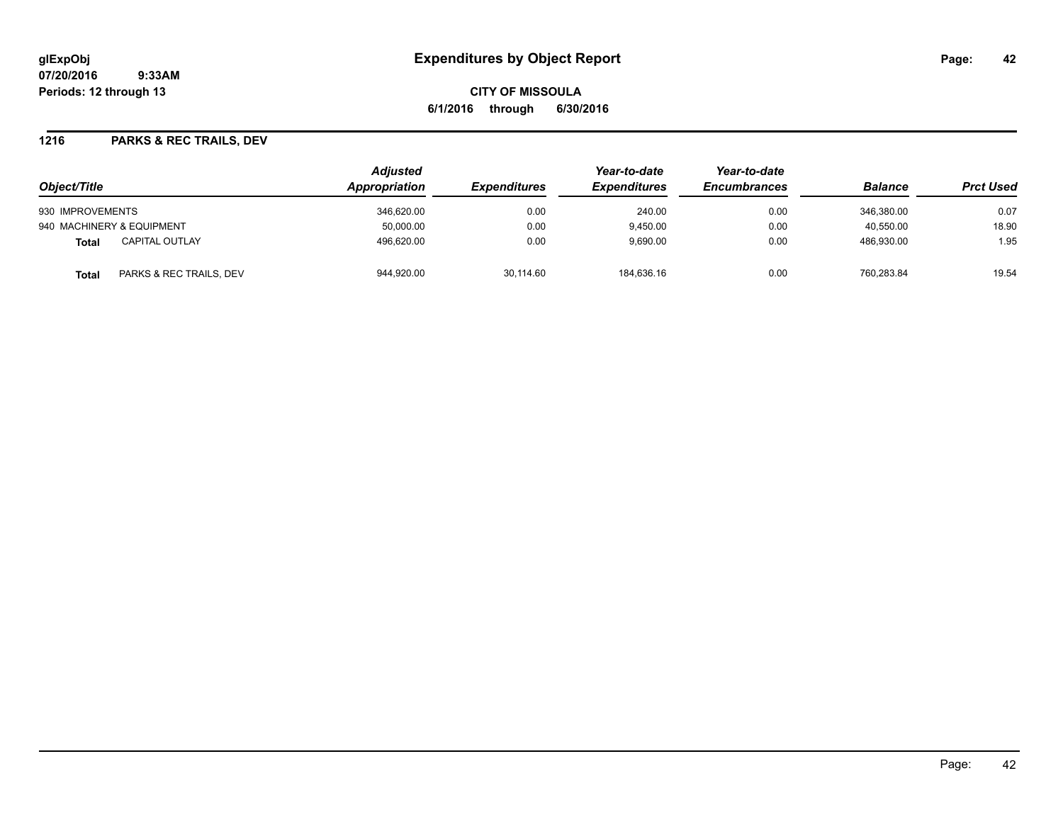**CITY OF MISSOULA 6/1/2016 through 6/30/2016**

### **1216 PARKS & REC TRAILS, DEV**

|                                  | <b>Adjusted</b><br>Appropriation |                            | Year-to-date<br><b>Expenditures</b> | Year-to-date<br><b>Encumbrances</b> | <b>Balance</b> | <b>Prct Used</b> |
|----------------------------------|----------------------------------|----------------------------|-------------------------------------|-------------------------------------|----------------|------------------|
| Object/Title                     |                                  | <i><b>Expenditures</b></i> |                                     |                                     |                |                  |
| 930 IMPROVEMENTS                 | 346.620.00                       | 0.00                       | 240.00                              | 0.00                                | 346.380.00     | 0.07             |
| 940 MACHINERY & EQUIPMENT        | 50.000.00                        | 0.00                       | 9,450.00                            | 0.00                                | 40.550.00      | 18.90            |
| <b>CAPITAL OUTLAY</b><br>Total   | 496.620.00                       | 0.00                       | 9.690.00                            | 0.00                                | 486.930.00     | 1.95             |
| PARKS & REC TRAILS, DEV<br>Total | 944,920.00                       | 30.114.60                  | 184.636.16                          | 0.00                                | 760.283.84     | 19.54            |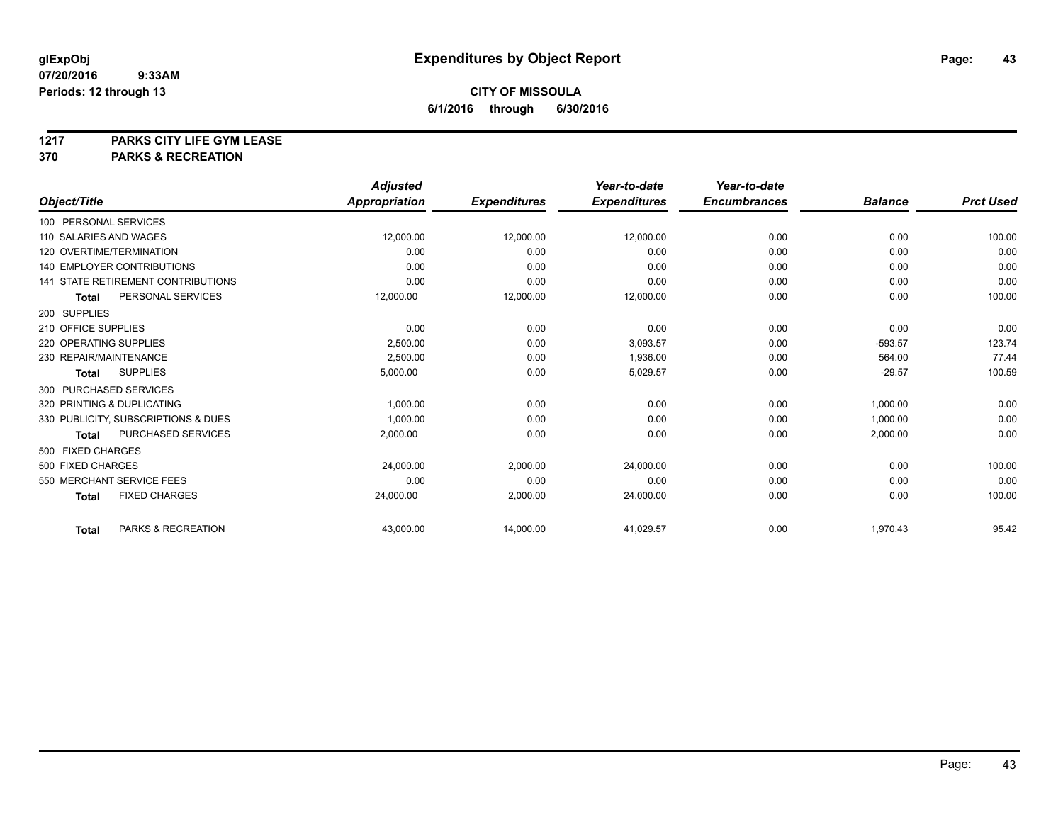# **1217 PARKS CITY LIFE GYM LEASE**

## **370 PARKS & RECREATION**

|                                           | <b>Adjusted</b>      |                     | Year-to-date        | Year-to-date        |                |                  |
|-------------------------------------------|----------------------|---------------------|---------------------|---------------------|----------------|------------------|
| Object/Title                              | <b>Appropriation</b> | <b>Expenditures</b> | <b>Expenditures</b> | <b>Encumbrances</b> | <b>Balance</b> | <b>Prct Used</b> |
| 100 PERSONAL SERVICES                     |                      |                     |                     |                     |                |                  |
| 110 SALARIES AND WAGES                    | 12,000.00            | 12,000.00           | 12,000.00           | 0.00                | 0.00           | 100.00           |
| 120 OVERTIME/TERMINATION                  | 0.00                 | 0.00                | 0.00                | 0.00                | 0.00           | 0.00             |
| <b>140 EMPLOYER CONTRIBUTIONS</b>         | 0.00                 | 0.00                | 0.00                | 0.00                | 0.00           | 0.00             |
| <b>141 STATE RETIREMENT CONTRIBUTIONS</b> | 0.00                 | 0.00                | 0.00                | 0.00                | 0.00           | 0.00             |
| PERSONAL SERVICES<br><b>Total</b>         | 12,000.00            | 12,000.00           | 12,000.00           | 0.00                | 0.00           | 100.00           |
| 200 SUPPLIES                              |                      |                     |                     |                     |                |                  |
| 210 OFFICE SUPPLIES                       | 0.00                 | 0.00                | 0.00                | 0.00                | 0.00           | 0.00             |
| 220 OPERATING SUPPLIES                    | 2,500.00             | 0.00                | 3,093.57            | 0.00                | $-593.57$      | 123.74           |
| 230 REPAIR/MAINTENANCE                    | 2,500.00             | 0.00                | 1,936.00            | 0.00                | 564.00         | 77.44            |
| <b>SUPPLIES</b><br><b>Total</b>           | 5,000.00             | 0.00                | 5,029.57            | 0.00                | $-29.57$       | 100.59           |
| 300 PURCHASED SERVICES                    |                      |                     |                     |                     |                |                  |
| 320 PRINTING & DUPLICATING                | 1,000.00             | 0.00                | 0.00                | 0.00                | 1,000.00       | 0.00             |
| 330 PUBLICITY, SUBSCRIPTIONS & DUES       | 1,000.00             | 0.00                | 0.00                | 0.00                | 1,000.00       | 0.00             |
| <b>PURCHASED SERVICES</b><br><b>Total</b> | 2,000.00             | 0.00                | 0.00                | 0.00                | 2,000.00       | 0.00             |
| 500 FIXED CHARGES                         |                      |                     |                     |                     |                |                  |
| 500 FIXED CHARGES                         | 24.000.00            | 2,000.00            | 24.000.00           | 0.00                | 0.00           | 100.00           |
| 550 MERCHANT SERVICE FEES                 | 0.00                 | 0.00                | 0.00                | 0.00                | 0.00           | 0.00             |
| <b>FIXED CHARGES</b><br><b>Total</b>      | 24,000.00            | 2,000.00            | 24,000.00           | 0.00                | 0.00           | 100.00           |
| PARKS & RECREATION<br><b>Total</b>        | 43,000.00            | 14,000.00           | 41,029.57           | 0.00                | 1,970.43       | 95.42            |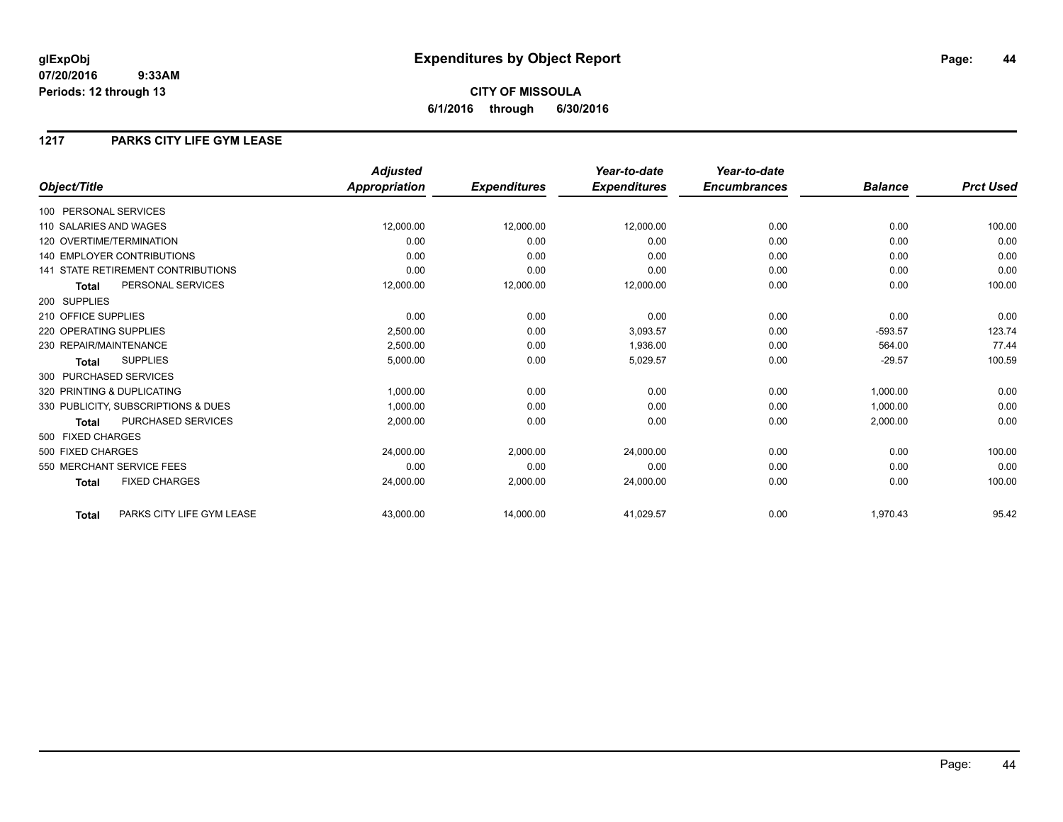### **1217 PARKS CITY LIFE GYM LEASE**

|                                           | <b>Adjusted</b>      |                     | Year-to-date        | Year-to-date        |                |                  |
|-------------------------------------------|----------------------|---------------------|---------------------|---------------------|----------------|------------------|
| Object/Title                              | <b>Appropriation</b> | <b>Expenditures</b> | <b>Expenditures</b> | <b>Encumbrances</b> | <b>Balance</b> | <b>Prct Used</b> |
| 100 PERSONAL SERVICES                     |                      |                     |                     |                     |                |                  |
| 110 SALARIES AND WAGES                    | 12,000.00            | 12,000.00           | 12,000.00           | 0.00                | 0.00           | 100.00           |
| 120 OVERTIME/TERMINATION                  | 0.00                 | 0.00                | 0.00                | 0.00                | 0.00           | 0.00             |
| <b>140 EMPLOYER CONTRIBUTIONS</b>         | 0.00                 | 0.00                | 0.00                | 0.00                | 0.00           | 0.00             |
| <b>141 STATE RETIREMENT CONTRIBUTIONS</b> | 0.00                 | 0.00                | 0.00                | 0.00                | 0.00           | 0.00             |
| PERSONAL SERVICES<br><b>Total</b>         | 12,000.00            | 12,000.00           | 12,000.00           | 0.00                | 0.00           | 100.00           |
| 200 SUPPLIES                              |                      |                     |                     |                     |                |                  |
| 210 OFFICE SUPPLIES                       | 0.00                 | 0.00                | 0.00                | 0.00                | 0.00           | 0.00             |
| 220 OPERATING SUPPLIES                    | 2,500.00             | 0.00                | 3.093.57            | 0.00                | $-593.57$      | 123.74           |
| 230 REPAIR/MAINTENANCE                    | 2.500.00             | 0.00                | 1,936.00            | 0.00                | 564.00         | 77.44            |
| <b>SUPPLIES</b><br><b>Total</b>           | 5,000.00             | 0.00                | 5,029.57            | 0.00                | $-29.57$       | 100.59           |
| 300 PURCHASED SERVICES                    |                      |                     |                     |                     |                |                  |
| 320 PRINTING & DUPLICATING                | 1,000.00             | 0.00                | 0.00                | 0.00                | 1,000.00       | 0.00             |
| 330 PUBLICITY, SUBSCRIPTIONS & DUES       | 1,000.00             | 0.00                | 0.00                | 0.00                | 1.000.00       | 0.00             |
| <b>PURCHASED SERVICES</b><br><b>Total</b> | 2,000.00             | 0.00                | 0.00                | 0.00                | 2,000.00       | 0.00             |
| 500 FIXED CHARGES                         |                      |                     |                     |                     |                |                  |
| 500 FIXED CHARGES                         | 24,000.00            | 2,000.00            | 24.000.00           | 0.00                | 0.00           | 100.00           |
| 550 MERCHANT SERVICE FEES                 | 0.00                 | 0.00                | 0.00                | 0.00                | 0.00           | 0.00             |
| <b>FIXED CHARGES</b><br><b>Total</b>      | 24,000.00            | 2,000.00            | 24,000.00           | 0.00                | 0.00           | 100.00           |
| PARKS CITY LIFE GYM LEASE<br><b>Total</b> | 43,000.00            | 14,000.00           | 41,029.57           | 0.00                | 1,970.43       | 95.42            |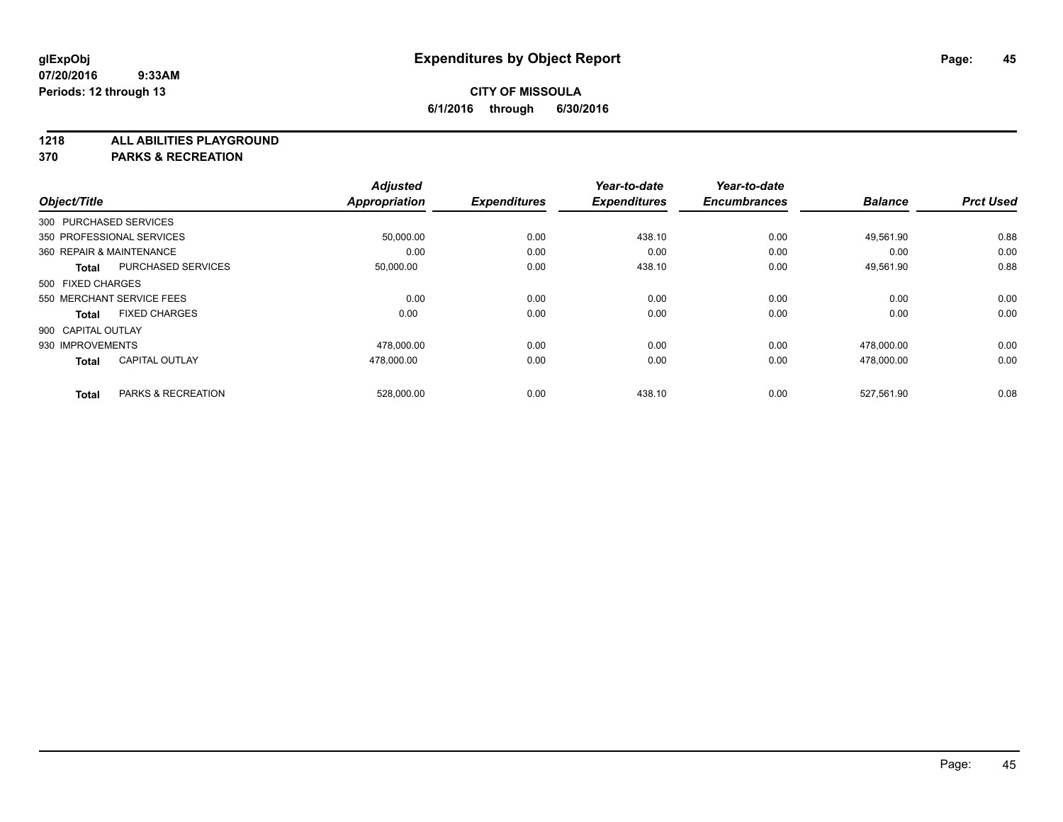**1218 ALL ABILITIES PLAYGROUND**

**370 PARKS & RECREATION**

|                          |                           | <b>Adjusted</b>      |                     | Year-to-date        | Year-to-date        |                |                  |
|--------------------------|---------------------------|----------------------|---------------------|---------------------|---------------------|----------------|------------------|
| Object/Title             |                           | <b>Appropriation</b> | <b>Expenditures</b> | <b>Expenditures</b> | <b>Encumbrances</b> | <b>Balance</b> | <b>Prct Used</b> |
| 300 PURCHASED SERVICES   |                           |                      |                     |                     |                     |                |                  |
|                          | 350 PROFESSIONAL SERVICES | 50,000.00            | 0.00                | 438.10              | 0.00                | 49.561.90      | 0.88             |
| 360 REPAIR & MAINTENANCE |                           | 0.00                 | 0.00                | 0.00                | 0.00                | 0.00           | 0.00             |
| <b>Total</b>             | <b>PURCHASED SERVICES</b> | 50,000.00            | 0.00                | 438.10              | 0.00                | 49,561.90      | 0.88             |
| 500 FIXED CHARGES        |                           |                      |                     |                     |                     |                |                  |
|                          | 550 MERCHANT SERVICE FEES | 0.00                 | 0.00                | 0.00                | 0.00                | 0.00           | 0.00             |
| <b>Total</b>             | <b>FIXED CHARGES</b>      | 0.00                 | 0.00                | 0.00                | 0.00                | 0.00           | 0.00             |
| 900 CAPITAL OUTLAY       |                           |                      |                     |                     |                     |                |                  |
| 930 IMPROVEMENTS         |                           | 478,000.00           | 0.00                | 0.00                | 0.00                | 478,000.00     | 0.00             |
| <b>Total</b>             | <b>CAPITAL OUTLAY</b>     | 478,000.00           | 0.00                | 0.00                | 0.00                | 478,000.00     | 0.00             |
|                          |                           |                      |                     |                     |                     |                |                  |
| <b>Total</b>             | PARKS & RECREATION        | 528,000.00           | 0.00                | 438.10              | 0.00                | 527,561.90     | 0.08             |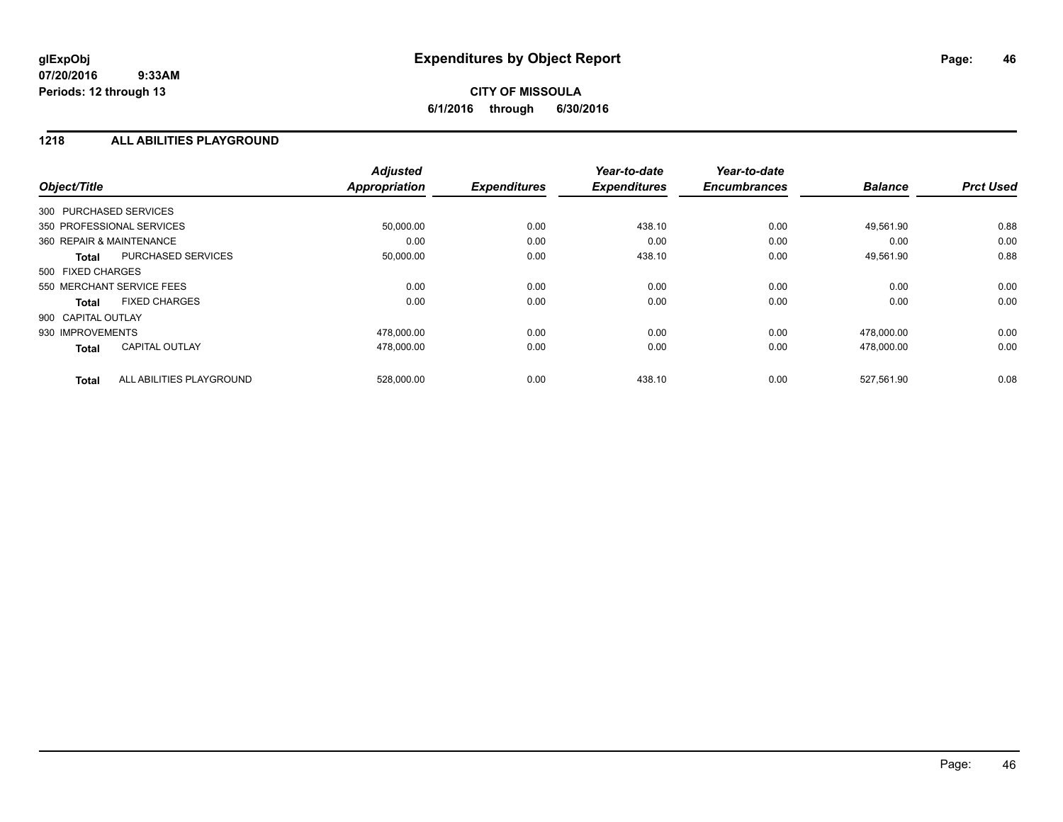## **CITY OF MISSOULA 6/1/2016 through 6/30/2016**

### **1218 ALL ABILITIES PLAYGROUND**

| Object/Title             |                           | <b>Adjusted</b><br><b>Appropriation</b> | <b>Expenditures</b> | Year-to-date<br><b>Expenditures</b> | Year-to-date<br><b>Encumbrances</b> | <b>Balance</b> | <b>Prct Used</b> |
|--------------------------|---------------------------|-----------------------------------------|---------------------|-------------------------------------|-------------------------------------|----------------|------------------|
| 300 PURCHASED SERVICES   |                           |                                         |                     |                                     |                                     |                |                  |
|                          | 350 PROFESSIONAL SERVICES | 50,000.00                               | 0.00                | 438.10                              | 0.00                                | 49,561.90      | 0.88             |
| 360 REPAIR & MAINTENANCE |                           | 0.00                                    | 0.00                | 0.00                                | 0.00                                | 0.00           | 0.00             |
| <b>Total</b>             | PURCHASED SERVICES        | 50,000.00                               | 0.00                | 438.10                              | 0.00                                | 49,561.90      | 0.88             |
| 500 FIXED CHARGES        |                           |                                         |                     |                                     |                                     |                |                  |
|                          | 550 MERCHANT SERVICE FEES | 0.00                                    | 0.00                | 0.00                                | 0.00                                | 0.00           | 0.00             |
| <b>Total</b>             | <b>FIXED CHARGES</b>      | 0.00                                    | 0.00                | 0.00                                | 0.00                                | 0.00           | 0.00             |
| 900 CAPITAL OUTLAY       |                           |                                         |                     |                                     |                                     |                |                  |
| 930 IMPROVEMENTS         |                           | 478,000.00                              | 0.00                | 0.00                                | 0.00                                | 478,000.00     | 0.00             |
| <b>Total</b>             | <b>CAPITAL OUTLAY</b>     | 478,000.00                              | 0.00                | 0.00                                | 0.00                                | 478,000.00     | 0.00             |
| <b>Total</b>             | ALL ABILITIES PLAYGROUND  | 528,000.00                              | 0.00                | 438.10                              | 0.00                                | 527,561.90     | 0.08             |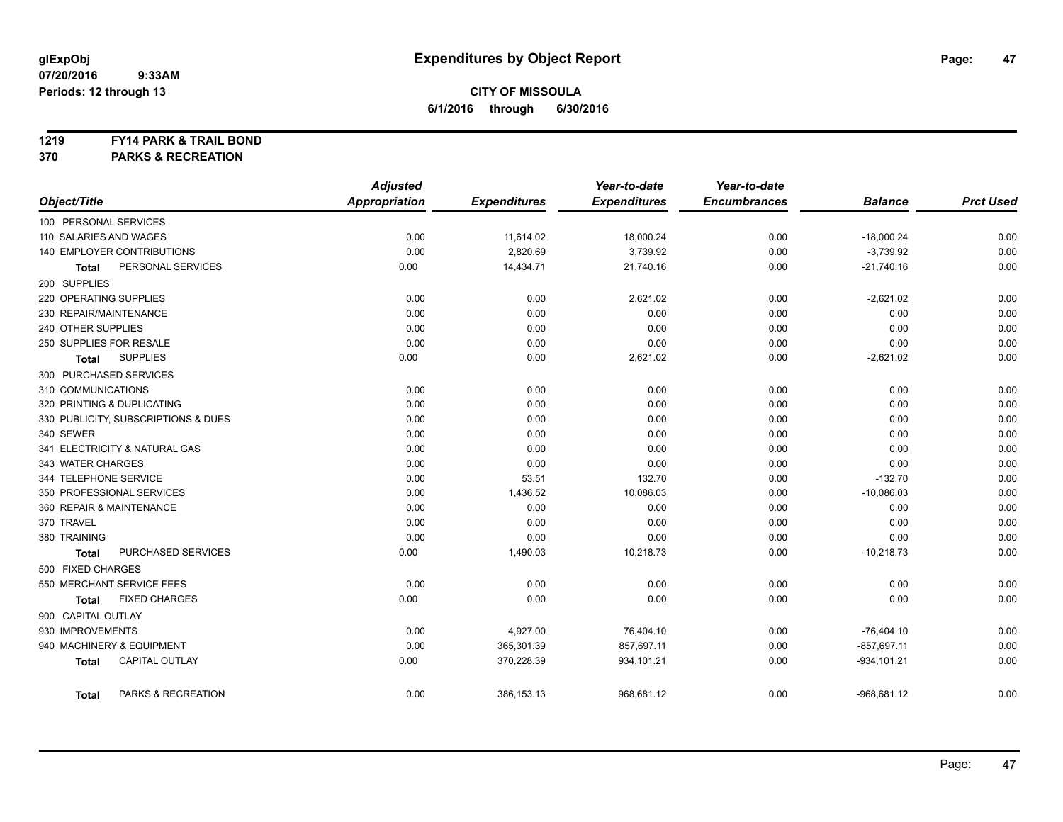#### **1219 FY14 PARK & TRAIL BOND**

**370 PARKS & RECREATION**

|                                       | <b>Adjusted</b>      |                     | Year-to-date        | Year-to-date        |                |                  |
|---------------------------------------|----------------------|---------------------|---------------------|---------------------|----------------|------------------|
| Object/Title                          | <b>Appropriation</b> | <b>Expenditures</b> | <b>Expenditures</b> | <b>Encumbrances</b> | <b>Balance</b> | <b>Prct Used</b> |
| 100 PERSONAL SERVICES                 |                      |                     |                     |                     |                |                  |
| 110 SALARIES AND WAGES                | 0.00                 | 11,614.02           | 18,000.24           | 0.00                | $-18,000.24$   | 0.00             |
| 140 EMPLOYER CONTRIBUTIONS            | 0.00                 | 2,820.69            | 3,739.92            | 0.00                | $-3,739.92$    | 0.00             |
| PERSONAL SERVICES<br><b>Total</b>     | 0.00                 | 14,434.71           | 21,740.16           | 0.00                | $-21,740.16$   | 0.00             |
| 200 SUPPLIES                          |                      |                     |                     |                     |                |                  |
| 220 OPERATING SUPPLIES                | 0.00                 | 0.00                | 2,621.02            | 0.00                | $-2,621.02$    | 0.00             |
| 230 REPAIR/MAINTENANCE                | 0.00                 | 0.00                | 0.00                | 0.00                | 0.00           | 0.00             |
| 240 OTHER SUPPLIES                    | 0.00                 | 0.00                | 0.00                | 0.00                | 0.00           | 0.00             |
| 250 SUPPLIES FOR RESALE               | 0.00                 | 0.00                | 0.00                | 0.00                | 0.00           | 0.00             |
| <b>SUPPLIES</b><br><b>Total</b>       | 0.00                 | 0.00                | 2,621.02            | 0.00                | $-2,621.02$    | 0.00             |
| 300 PURCHASED SERVICES                |                      |                     |                     |                     |                |                  |
| 310 COMMUNICATIONS                    | 0.00                 | 0.00                | 0.00                | 0.00                | 0.00           | 0.00             |
| 320 PRINTING & DUPLICATING            | 0.00                 | 0.00                | 0.00                | 0.00                | 0.00           | 0.00             |
| 330 PUBLICITY, SUBSCRIPTIONS & DUES   | 0.00                 | 0.00                | 0.00                | 0.00                | 0.00           | 0.00             |
| 340 SEWER                             | 0.00                 | 0.00                | 0.00                | 0.00                | 0.00           | 0.00             |
| 341 ELECTRICITY & NATURAL GAS         | 0.00                 | 0.00                | 0.00                | 0.00                | 0.00           | 0.00             |
| 343 WATER CHARGES                     | 0.00                 | 0.00                | 0.00                | 0.00                | 0.00           | 0.00             |
| 344 TELEPHONE SERVICE                 | 0.00                 | 53.51               | 132.70              | 0.00                | $-132.70$      | 0.00             |
| 350 PROFESSIONAL SERVICES             | 0.00                 | 1,436.52            | 10,086.03           | 0.00                | $-10,086.03$   | 0.00             |
| 360 REPAIR & MAINTENANCE              | 0.00                 | 0.00                | 0.00                | 0.00                | 0.00           | 0.00             |
| 370 TRAVEL                            | 0.00                 | 0.00                | 0.00                | 0.00                | 0.00           | 0.00             |
| 380 TRAINING                          | 0.00                 | 0.00                | 0.00                | 0.00                | 0.00           | 0.00             |
| PURCHASED SERVICES<br><b>Total</b>    | 0.00                 | 1,490.03            | 10,218.73           | 0.00                | $-10,218.73$   | 0.00             |
| 500 FIXED CHARGES                     |                      |                     |                     |                     |                |                  |
| 550 MERCHANT SERVICE FEES             | 0.00                 | 0.00                | 0.00                | 0.00                | 0.00           | 0.00             |
| <b>FIXED CHARGES</b><br><b>Total</b>  | 0.00                 | 0.00                | 0.00                | 0.00                | 0.00           | 0.00             |
| 900 CAPITAL OUTLAY                    |                      |                     |                     |                     |                |                  |
| 930 IMPROVEMENTS                      | 0.00                 | 4,927.00            | 76,404.10           | 0.00                | $-76,404.10$   | 0.00             |
| 940 MACHINERY & EQUIPMENT             | 0.00                 | 365,301.39          | 857,697.11          | 0.00                | $-857,697.11$  | 0.00             |
| <b>CAPITAL OUTLAY</b><br><b>Total</b> | 0.00                 | 370,228.39          | 934,101.21          | 0.00                | $-934, 101.21$ | 0.00             |
| PARKS & RECREATION<br><b>Total</b>    | 0.00                 | 386,153.13          | 968,681.12          | 0.00                | $-968,681.12$  | 0.00             |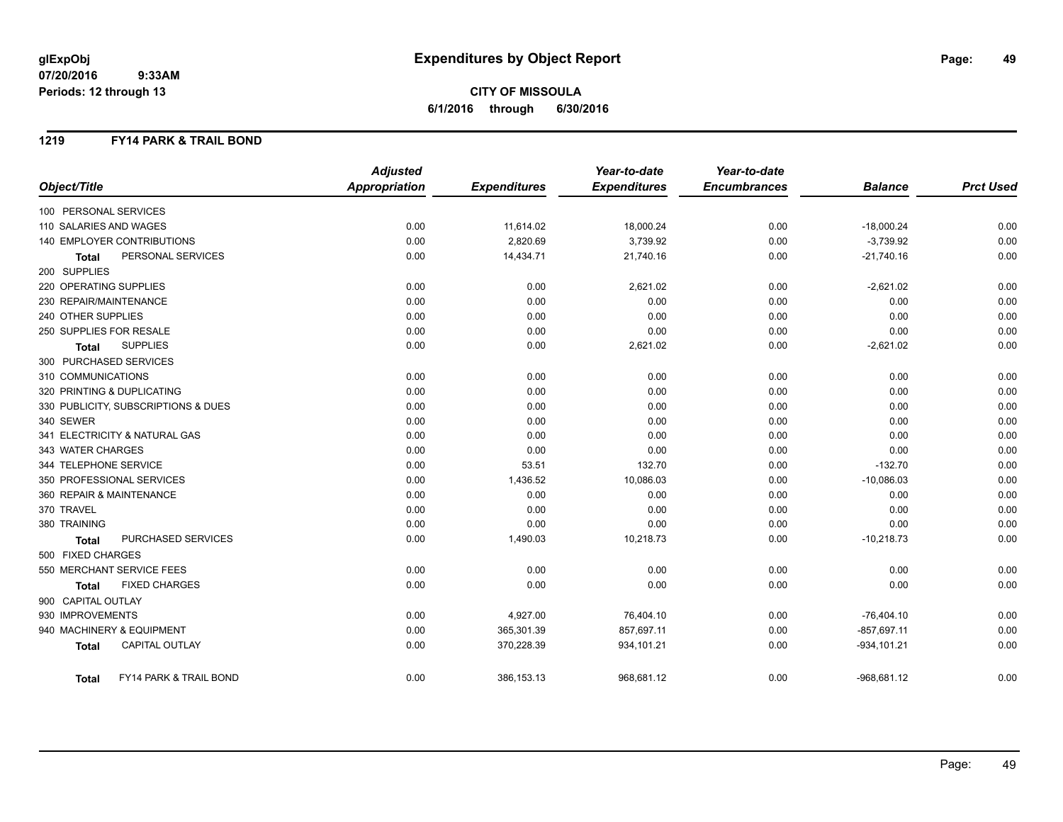**CITY OF MISSOULA 6/1/2016 through 6/30/2016**

### **1219 FY14 PARK & TRAIL BOND**

|                                        | <b>Adjusted</b>      |                     | Year-to-date        | Year-to-date        |                |                  |
|----------------------------------------|----------------------|---------------------|---------------------|---------------------|----------------|------------------|
| Object/Title                           | <b>Appropriation</b> | <b>Expenditures</b> | <b>Expenditures</b> | <b>Encumbrances</b> | <b>Balance</b> | <b>Prct Used</b> |
| 100 PERSONAL SERVICES                  |                      |                     |                     |                     |                |                  |
| 110 SALARIES AND WAGES                 | 0.00                 | 11,614.02           | 18,000.24           | 0.00                | $-18,000.24$   | 0.00             |
| 140 EMPLOYER CONTRIBUTIONS             | 0.00                 | 2,820.69            | 3,739.92            | 0.00                | $-3,739.92$    | 0.00             |
| PERSONAL SERVICES<br><b>Total</b>      | 0.00                 | 14,434.71           | 21,740.16           | 0.00                | $-21,740.16$   | 0.00             |
| 200 SUPPLIES                           |                      |                     |                     |                     |                |                  |
| 220 OPERATING SUPPLIES                 | 0.00                 | 0.00                | 2,621.02            | 0.00                | $-2,621.02$    | 0.00             |
| 230 REPAIR/MAINTENANCE                 | 0.00                 | 0.00                | 0.00                | 0.00                | 0.00           | 0.00             |
| 240 OTHER SUPPLIES                     | 0.00                 | 0.00                | 0.00                | 0.00                | 0.00           | 0.00             |
| 250 SUPPLIES FOR RESALE                | 0.00                 | 0.00                | 0.00                | 0.00                | 0.00           | 0.00             |
| <b>SUPPLIES</b><br><b>Total</b>        | 0.00                 | 0.00                | 2,621.02            | 0.00                | $-2,621.02$    | 0.00             |
| 300 PURCHASED SERVICES                 |                      |                     |                     |                     |                |                  |
| 310 COMMUNICATIONS                     | 0.00                 | 0.00                | 0.00                | 0.00                | 0.00           | 0.00             |
| 320 PRINTING & DUPLICATING             | 0.00                 | 0.00                | 0.00                | 0.00                | 0.00           | 0.00             |
| 330 PUBLICITY, SUBSCRIPTIONS & DUES    | 0.00                 | 0.00                | 0.00                | 0.00                | 0.00           | 0.00             |
| 340 SEWER                              | 0.00                 | 0.00                | 0.00                | 0.00                | 0.00           | 0.00             |
| 341 ELECTRICITY & NATURAL GAS          | 0.00                 | 0.00                | 0.00                | 0.00                | 0.00           | 0.00             |
| 343 WATER CHARGES                      | 0.00                 | 0.00                | 0.00                | 0.00                | 0.00           | 0.00             |
| 344 TELEPHONE SERVICE                  | 0.00                 | 53.51               | 132.70              | 0.00                | $-132.70$      | 0.00             |
| 350 PROFESSIONAL SERVICES              | 0.00                 | 1,436.52            | 10,086.03           | 0.00                | $-10,086.03$   | 0.00             |
| 360 REPAIR & MAINTENANCE               | 0.00                 | 0.00                | 0.00                | 0.00                | 0.00           | 0.00             |
| 370 TRAVEL                             | 0.00                 | 0.00                | 0.00                | 0.00                | 0.00           | 0.00             |
| 380 TRAINING                           | 0.00                 | 0.00                | 0.00                | 0.00                | 0.00           | 0.00             |
| PURCHASED SERVICES<br><b>Total</b>     | 0.00                 | 1,490.03            | 10,218.73           | 0.00                | $-10,218.73$   | 0.00             |
| 500 FIXED CHARGES                      |                      |                     |                     |                     |                |                  |
| 550 MERCHANT SERVICE FEES              | 0.00                 | 0.00                | 0.00                | 0.00                | 0.00           | 0.00             |
| <b>FIXED CHARGES</b><br><b>Total</b>   | 0.00                 | 0.00                | 0.00                | 0.00                | 0.00           | 0.00             |
| 900 CAPITAL OUTLAY                     |                      |                     |                     |                     |                |                  |
| 930 IMPROVEMENTS                       | 0.00                 | 4,927.00            | 76,404.10           | 0.00                | $-76,404.10$   | 0.00             |
| 940 MACHINERY & EQUIPMENT              | 0.00                 | 365,301.39          | 857,697.11          | 0.00                | $-857,697.11$  | 0.00             |
| <b>CAPITAL OUTLAY</b><br><b>Total</b>  | 0.00                 | 370,228.39          | 934,101.21          | 0.00                | $-934, 101.21$ | 0.00             |
| FY14 PARK & TRAIL BOND<br><b>Total</b> | 0.00                 | 386,153.13          | 968,681.12          | 0.00                | $-968,681.12$  | 0.00             |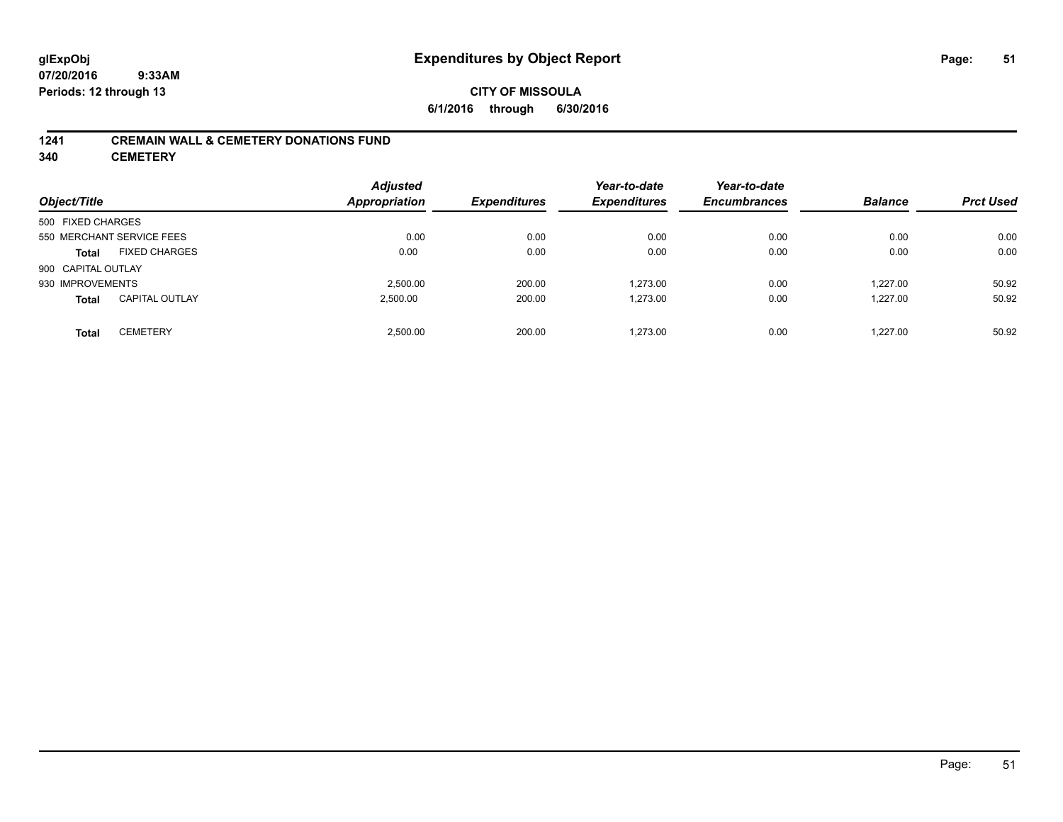### **CITY OF MISSOULA 6/1/2016 through 6/30/2016**

### **1241 CREMAIN WALL & CEMETERY DONATIONS FUND**

**340 CEMETERY**

| Object/Title                          | <b>Adjusted</b><br><b>Appropriation</b> | <b>Expenditures</b> | Year-to-date<br><b>Expenditures</b> | Year-to-date<br><b>Encumbrances</b> | <b>Balance</b> | <b>Prct Used</b> |
|---------------------------------------|-----------------------------------------|---------------------|-------------------------------------|-------------------------------------|----------------|------------------|
| 500 FIXED CHARGES                     |                                         |                     |                                     |                                     |                |                  |
| 550 MERCHANT SERVICE FEES             | 0.00                                    | 0.00                | 0.00                                | 0.00                                | 0.00           | 0.00             |
| <b>FIXED CHARGES</b><br><b>Total</b>  | 0.00                                    | 0.00                | 0.00                                | 0.00                                | 0.00           | 0.00             |
| 900 CAPITAL OUTLAY                    |                                         |                     |                                     |                                     |                |                  |
| 930 IMPROVEMENTS                      | 2.500.00                                | 200.00              | 1.273.00                            | 0.00                                | 1.227.00       | 50.92            |
| <b>CAPITAL OUTLAY</b><br><b>Total</b> | 2,500.00                                | 200.00              | 1,273.00                            | 0.00                                | 1.227.00       | 50.92            |
| <b>CEMETERY</b><br><b>Total</b>       | 2.500.00                                | 200.00              | 1.273.00                            | 0.00                                | 1.227.00       | 50.92            |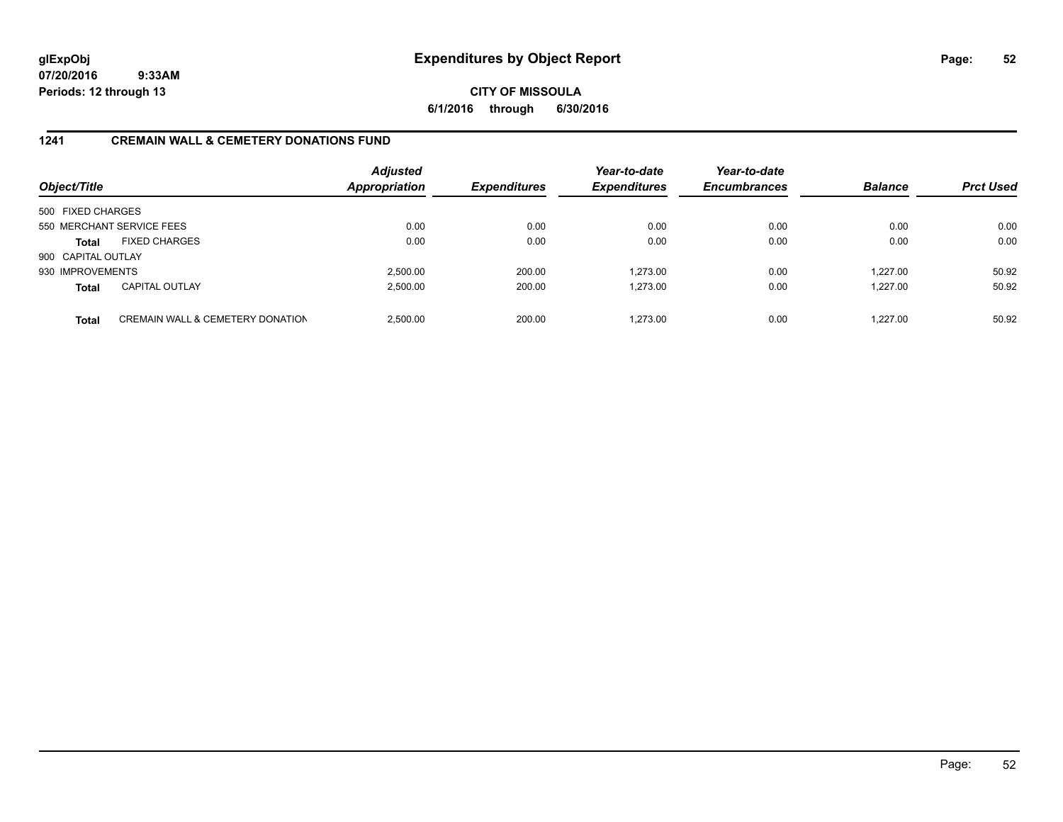## **CITY OF MISSOULA 6/1/2016 through 6/30/2016**

### **1241 CREMAIN WALL & CEMETERY DONATIONS FUND**

| Object/Title       |                                             | <b>Adjusted</b><br><b>Appropriation</b> | <b>Expenditures</b> | Year-to-date<br><b>Expenditures</b> | Year-to-date<br><b>Encumbrances</b> | <b>Balance</b> | <b>Prct Used</b> |
|--------------------|---------------------------------------------|-----------------------------------------|---------------------|-------------------------------------|-------------------------------------|----------------|------------------|
| 500 FIXED CHARGES  |                                             |                                         |                     |                                     |                                     |                |                  |
|                    | 550 MERCHANT SERVICE FEES                   | 0.00                                    | 0.00                | 0.00                                | 0.00                                | 0.00           | 0.00             |
| <b>Total</b>       | <b>FIXED CHARGES</b>                        | 0.00                                    | 0.00                | 0.00                                | 0.00                                | 0.00           | 0.00             |
| 900 CAPITAL OUTLAY |                                             |                                         |                     |                                     |                                     |                |                  |
| 930 IMPROVEMENTS   |                                             | 2,500.00                                | 200.00              | 1.273.00                            | 0.00                                | 1.227.00       | 50.92            |
| <b>Total</b>       | <b>CAPITAL OUTLAY</b>                       | 2,500.00                                | 200.00              | 1,273.00                            | 0.00                                | 1,227.00       | 50.92            |
| <b>Total</b>       | <b>CREMAIN WALL &amp; CEMETERY DONATION</b> | 2.500.00                                | 200.00              | 1.273.00                            | 0.00                                | 1.227.00       | 50.92            |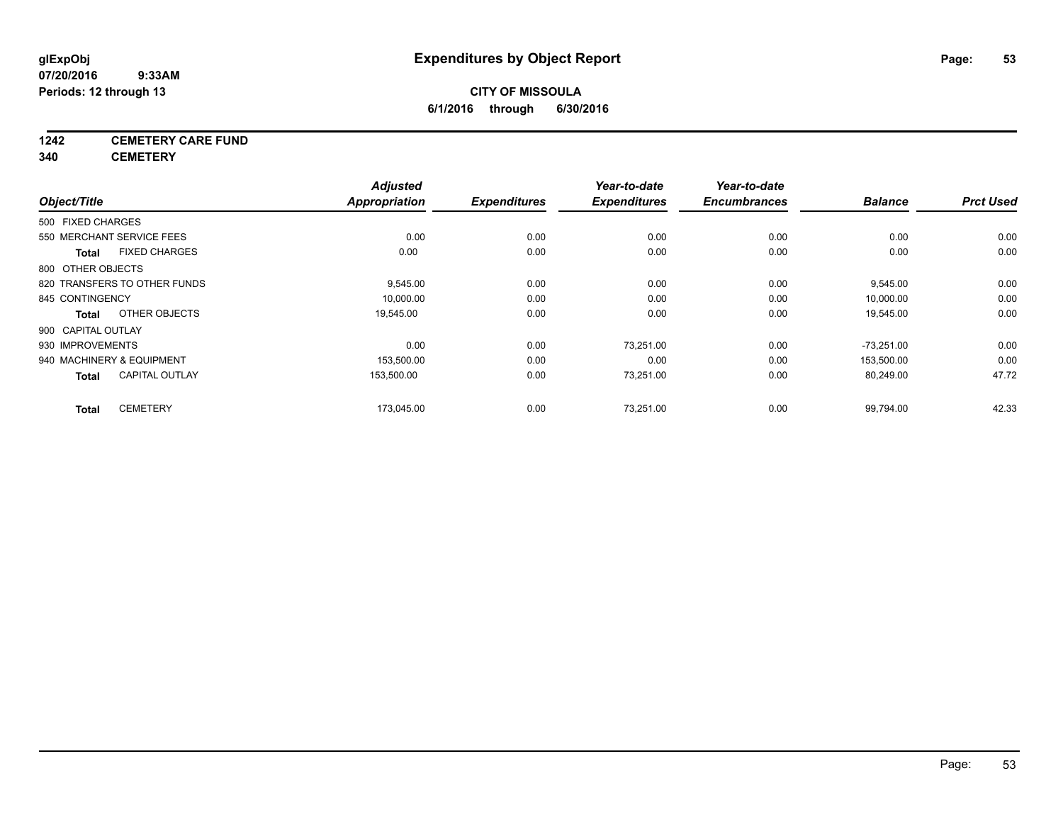## **1242 CEMETERY CARE FUND**

**340 CEMETERY**

|                    |                              | <b>Adjusted</b> |                     | Year-to-date        | Year-to-date        |                |                  |
|--------------------|------------------------------|-----------------|---------------------|---------------------|---------------------|----------------|------------------|
| Object/Title       |                              | Appropriation   | <b>Expenditures</b> | <b>Expenditures</b> | <b>Encumbrances</b> | <b>Balance</b> | <b>Prct Used</b> |
| 500 FIXED CHARGES  |                              |                 |                     |                     |                     |                |                  |
|                    | 550 MERCHANT SERVICE FEES    | 0.00            | 0.00                | 0.00                | 0.00                | 0.00           | 0.00             |
| <b>Total</b>       | <b>FIXED CHARGES</b>         | 0.00            | 0.00                | 0.00                | 0.00                | 0.00           | 0.00             |
| 800 OTHER OBJECTS  |                              |                 |                     |                     |                     |                |                  |
|                    | 820 TRANSFERS TO OTHER FUNDS | 9,545.00        | 0.00                | 0.00                | 0.00                | 9,545.00       | 0.00             |
| 845 CONTINGENCY    |                              | 10,000.00       | 0.00                | 0.00                | 0.00                | 10,000.00      | 0.00             |
| <b>Total</b>       | OTHER OBJECTS                | 19,545.00       | 0.00                | 0.00                | 0.00                | 19,545.00      | 0.00             |
| 900 CAPITAL OUTLAY |                              |                 |                     |                     |                     |                |                  |
| 930 IMPROVEMENTS   |                              | 0.00            | 0.00                | 73.251.00           | 0.00                | $-73.251.00$   | 0.00             |
|                    | 940 MACHINERY & EQUIPMENT    | 153,500.00      | 0.00                | 0.00                | 0.00                | 153.500.00     | 0.00             |
| <b>Total</b>       | <b>CAPITAL OUTLAY</b>        | 153,500.00      | 0.00                | 73,251.00           | 0.00                | 80,249.00      | 47.72            |
| <b>Total</b>       | <b>CEMETERY</b>              | 173,045.00      | 0.00                | 73,251.00           | 0.00                | 99,794.00      | 42.33            |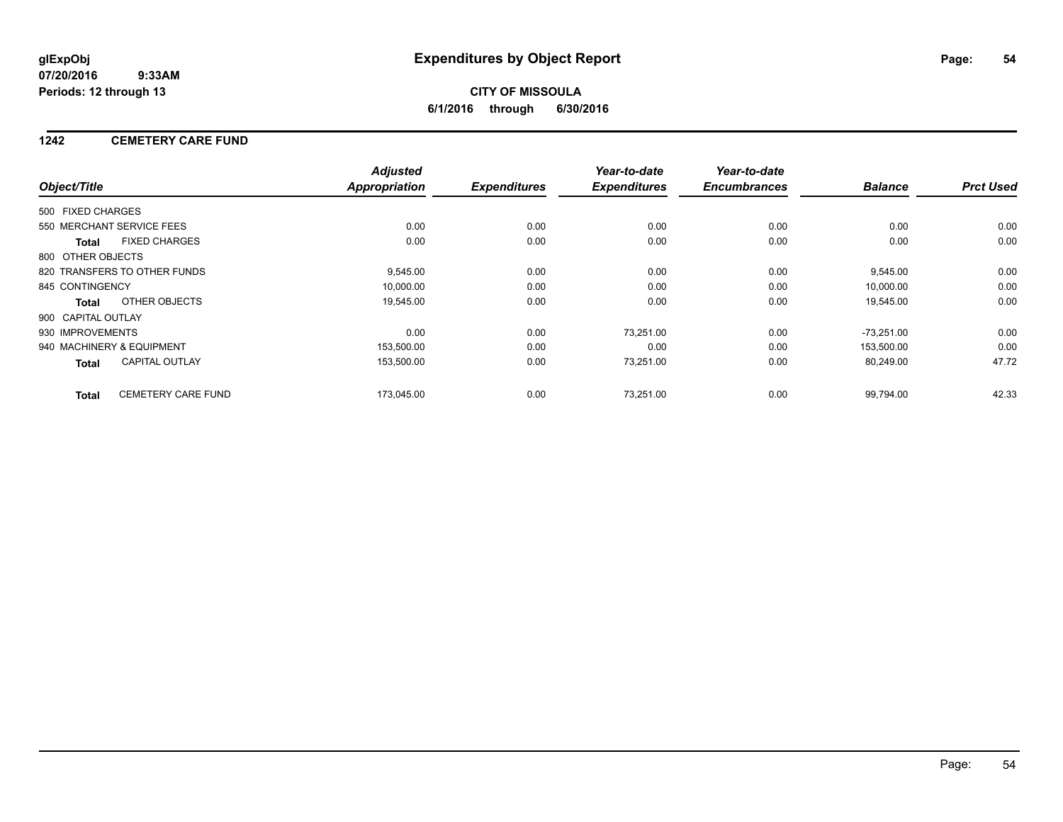## **CITY OF MISSOULA 6/1/2016 through 6/30/2016**

### **1242 CEMETERY CARE FUND**

|                    |                              | <b>Adjusted</b>      |                     | Year-to-date        | Year-to-date        |                |                  |
|--------------------|------------------------------|----------------------|---------------------|---------------------|---------------------|----------------|------------------|
| Object/Title       |                              | <b>Appropriation</b> | <b>Expenditures</b> | <b>Expenditures</b> | <b>Encumbrances</b> | <b>Balance</b> | <b>Prct Used</b> |
| 500 FIXED CHARGES  |                              |                      |                     |                     |                     |                |                  |
|                    | 550 MERCHANT SERVICE FEES    | 0.00                 | 0.00                | 0.00                | 0.00                | 0.00           | 0.00             |
| <b>Total</b>       | <b>FIXED CHARGES</b>         | 0.00                 | 0.00                | 0.00                | 0.00                | 0.00           | 0.00             |
| 800 OTHER OBJECTS  |                              |                      |                     |                     |                     |                |                  |
|                    | 820 TRANSFERS TO OTHER FUNDS | 9,545.00             | 0.00                | 0.00                | 0.00                | 9,545.00       | 0.00             |
| 845 CONTINGENCY    |                              | 10,000.00            | 0.00                | 0.00                | 0.00                | 10.000.00      | 0.00             |
| <b>Total</b>       | OTHER OBJECTS                | 19,545.00            | 0.00                | 0.00                | 0.00                | 19,545.00      | 0.00             |
| 900 CAPITAL OUTLAY |                              |                      |                     |                     |                     |                |                  |
| 930 IMPROVEMENTS   |                              | 0.00                 | 0.00                | 73,251.00           | 0.00                | $-73,251.00$   | 0.00             |
|                    | 940 MACHINERY & EQUIPMENT    | 153,500.00           | 0.00                | 0.00                | 0.00                | 153,500.00     | 0.00             |
| <b>Total</b>       | <b>CAPITAL OUTLAY</b>        | 153,500.00           | 0.00                | 73,251.00           | 0.00                | 80,249.00      | 47.72            |
| <b>Total</b>       | <b>CEMETERY CARE FUND</b>    | 173.045.00           | 0.00                | 73.251.00           | 0.00                | 99.794.00      | 42.33            |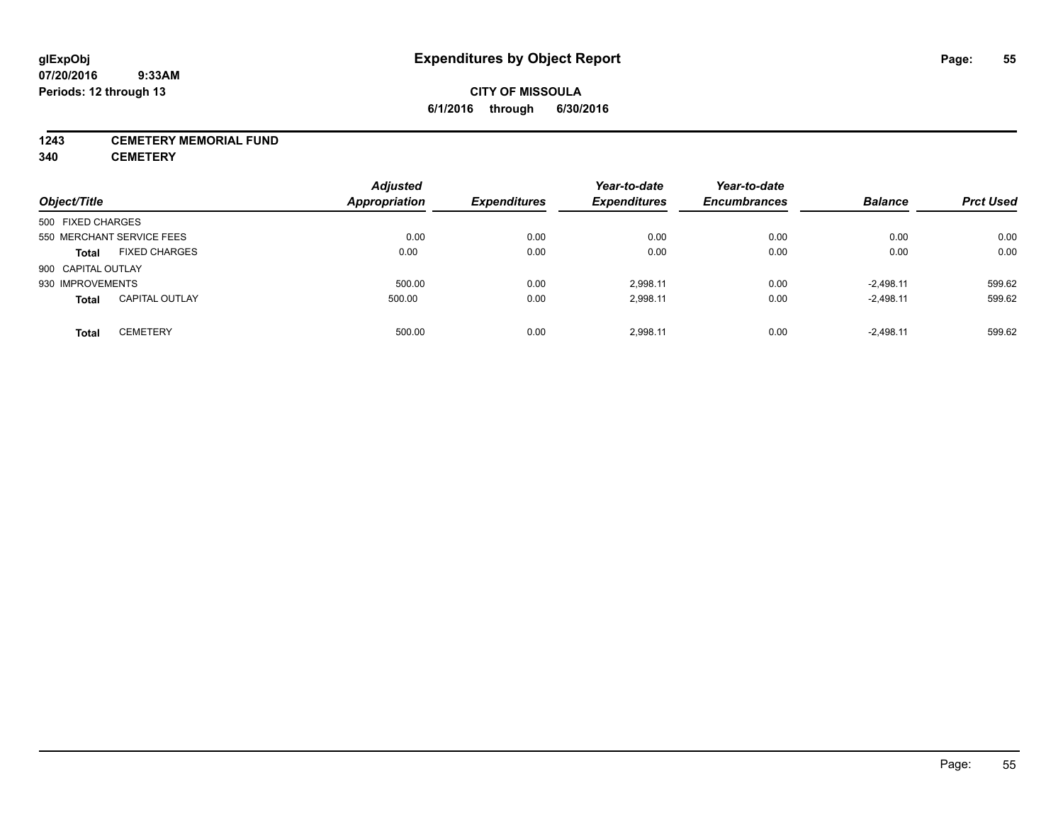## **CITY OF MISSOULA 6/1/2016 through 6/30/2016**

### **1243 CEMETERY MEMORIAL FUND**

**340 CEMETERY**

| Object/Title                          | <b>Adjusted</b><br><b>Appropriation</b> | <b>Expenditures</b> | Year-to-date<br><b>Expenditures</b> | Year-to-date<br><b>Encumbrances</b> | <b>Balance</b> | <b>Prct Used</b> |
|---------------------------------------|-----------------------------------------|---------------------|-------------------------------------|-------------------------------------|----------------|------------------|
| 500 FIXED CHARGES                     |                                         |                     |                                     |                                     |                |                  |
| 550 MERCHANT SERVICE FEES             | 0.00                                    | 0.00                | 0.00                                | 0.00                                | 0.00           | 0.00             |
|                                       |                                         |                     |                                     |                                     |                |                  |
| <b>FIXED CHARGES</b><br><b>Total</b>  | 0.00                                    | 0.00                | 0.00                                | 0.00                                | 0.00           | 0.00             |
| 900 CAPITAL OUTLAY                    |                                         |                     |                                     |                                     |                |                  |
| 930 IMPROVEMENTS                      | 500.00                                  | 0.00                | 2.998.11                            | 0.00                                | $-2.498.11$    | 599.62           |
| <b>CAPITAL OUTLAY</b><br><b>Total</b> | 500.00                                  | 0.00                | 2,998.11                            | 0.00                                | $-2,498.11$    | 599.62           |
| <b>CEMETERY</b><br><b>Total</b>       | 500.00                                  | 0.00                | 2.998.11                            | 0.00                                | $-2,498.11$    | 599.62           |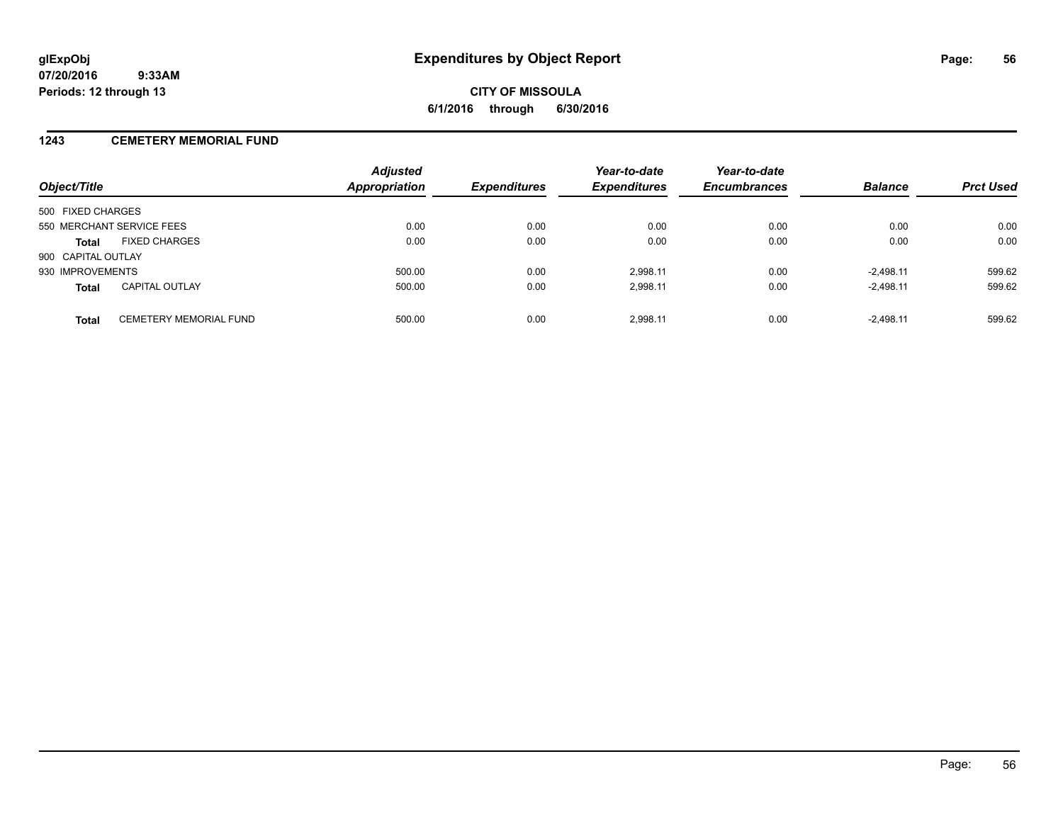### **1243 CEMETERY MEMORIAL FUND**

| Object/Title                                  | <b>Adjusted</b><br><b>Appropriation</b> | <b>Expenditures</b> | Year-to-date<br><b>Expenditures</b> | Year-to-date<br><b>Encumbrances</b> | <b>Balance</b> | <b>Prct Used</b> |
|-----------------------------------------------|-----------------------------------------|---------------------|-------------------------------------|-------------------------------------|----------------|------------------|
| 500 FIXED CHARGES                             |                                         |                     |                                     |                                     |                |                  |
| 550 MERCHANT SERVICE FEES                     | 0.00                                    | 0.00                | 0.00                                | 0.00                                | 0.00           | 0.00             |
| <b>FIXED CHARGES</b><br><b>Total</b>          | 0.00                                    | 0.00                | 0.00                                | 0.00                                | 0.00           | 0.00             |
| 900 CAPITAL OUTLAY                            |                                         |                     |                                     |                                     |                |                  |
| 930 IMPROVEMENTS                              | 500.00                                  | 0.00                | 2.998.11                            | 0.00                                | $-2.498.11$    | 599.62           |
| <b>CAPITAL OUTLAY</b><br><b>Total</b>         | 500.00                                  | 0.00                | 2,998.11                            | 0.00                                | $-2,498.11$    | 599.62           |
| <b>CEMETERY MEMORIAL FUND</b><br><b>Total</b> | 500.00                                  | 0.00                | 2.998.11                            | 0.00                                | $-2.498.11$    | 599.62           |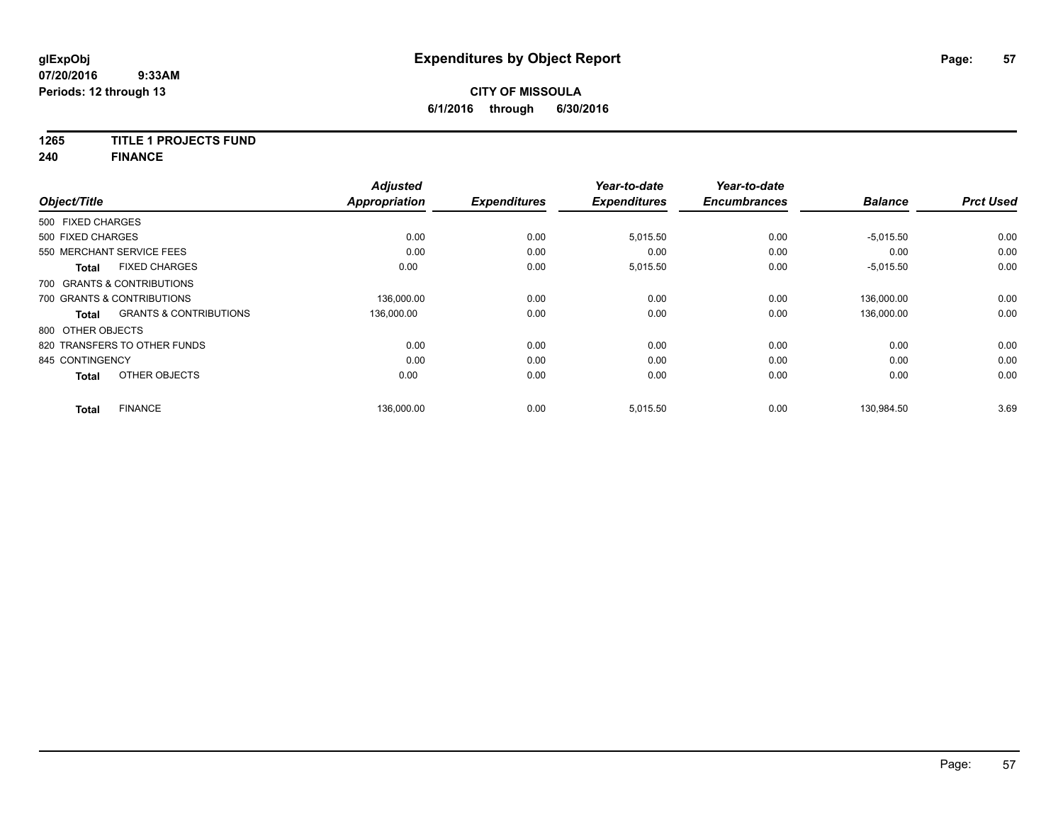### **1265 TITLE 1 PROJECTS FUND**

**240 FINANCE**

| Object/Title      |                                   | <b>Adjusted</b><br><b>Appropriation</b> | <b>Expenditures</b> | Year-to-date<br><b>Expenditures</b> | Year-to-date<br><b>Encumbrances</b> | <b>Balance</b> | <b>Prct Used</b> |
|-------------------|-----------------------------------|-----------------------------------------|---------------------|-------------------------------------|-------------------------------------|----------------|------------------|
|                   |                                   |                                         |                     |                                     |                                     |                |                  |
| 500 FIXED CHARGES |                                   |                                         |                     |                                     |                                     |                |                  |
| 500 FIXED CHARGES |                                   | 0.00                                    | 0.00                | 5,015.50                            | 0.00                                | $-5,015.50$    | 0.00             |
|                   | 550 MERCHANT SERVICE FEES         | 0.00                                    | 0.00                | 0.00                                | 0.00                                | 0.00           | 0.00             |
| <b>Total</b>      | <b>FIXED CHARGES</b>              | 0.00                                    | 0.00                | 5,015.50                            | 0.00                                | $-5,015.50$    | 0.00             |
|                   | 700 GRANTS & CONTRIBUTIONS        |                                         |                     |                                     |                                     |                |                  |
|                   | 700 GRANTS & CONTRIBUTIONS        | 136,000.00                              | 0.00                | 0.00                                | 0.00                                | 136,000.00     | 0.00             |
| <b>Total</b>      | <b>GRANTS &amp; CONTRIBUTIONS</b> | 136,000.00                              | 0.00                | 0.00                                | 0.00                                | 136.000.00     | 0.00             |
| 800 OTHER OBJECTS |                                   |                                         |                     |                                     |                                     |                |                  |
|                   | 820 TRANSFERS TO OTHER FUNDS      | 0.00                                    | 0.00                | 0.00                                | 0.00                                | 0.00           | 0.00             |
| 845 CONTINGENCY   |                                   | 0.00                                    | 0.00                | 0.00                                | 0.00                                | 0.00           | 0.00             |
| <b>Total</b>      | OTHER OBJECTS                     | 0.00                                    | 0.00                | 0.00                                | 0.00                                | 0.00           | 0.00             |
| <b>Total</b>      | <b>FINANCE</b>                    | 136,000.00                              | 0.00                | 5,015.50                            | 0.00                                | 130,984.50     | 3.69             |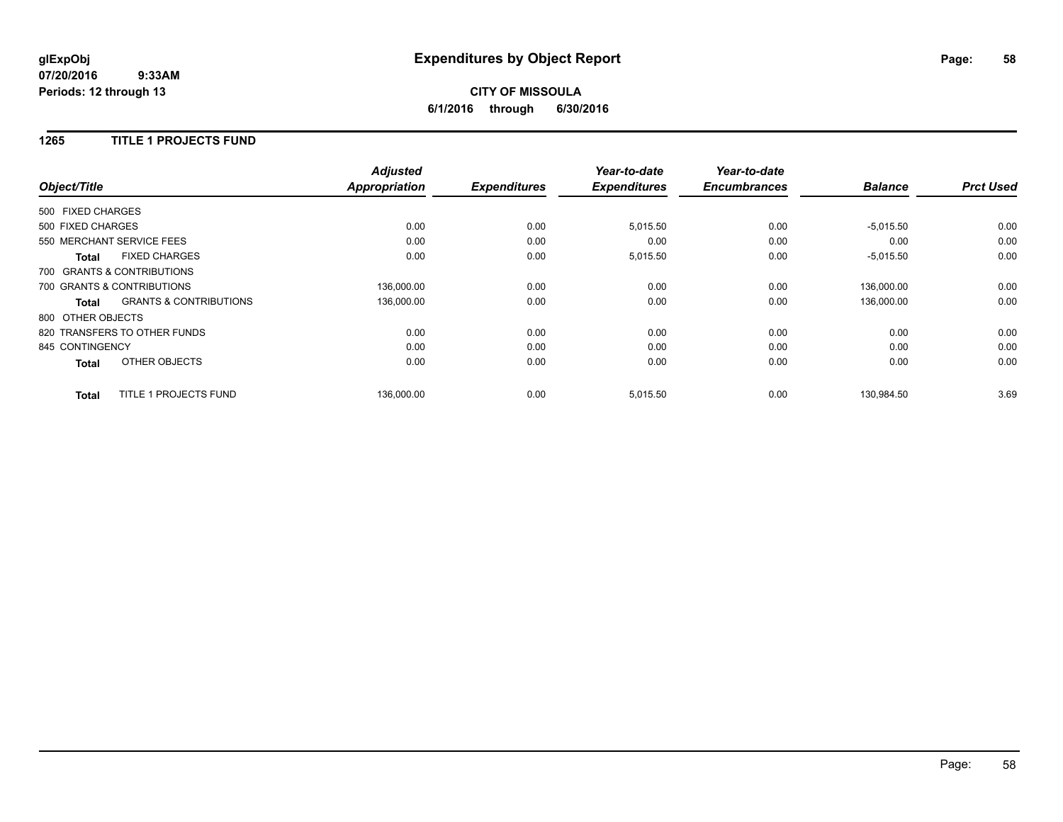## **CITY OF MISSOULA 6/1/2016 through 6/30/2016**

### **1265 TITLE 1 PROJECTS FUND**

|                   |                                   | <b>Adjusted</b>      |                     | Year-to-date        | Year-to-date<br><b>Encumbrances</b> | <b>Balance</b> | <b>Prct Used</b> |
|-------------------|-----------------------------------|----------------------|---------------------|---------------------|-------------------------------------|----------------|------------------|
| Object/Title      |                                   | <b>Appropriation</b> | <b>Expenditures</b> | <b>Expenditures</b> |                                     |                |                  |
| 500 FIXED CHARGES |                                   |                      |                     |                     |                                     |                |                  |
| 500 FIXED CHARGES |                                   | 0.00                 | 0.00                | 5,015.50            | 0.00                                | $-5,015.50$    | 0.00             |
|                   | 550 MERCHANT SERVICE FEES         | 0.00                 | 0.00                | 0.00                | 0.00                                | 0.00           | 0.00             |
| <b>Total</b>      | <b>FIXED CHARGES</b>              | 0.00                 | 0.00                | 5,015.50            | 0.00                                | $-5,015.50$    | 0.00             |
|                   | 700 GRANTS & CONTRIBUTIONS        |                      |                     |                     |                                     |                |                  |
|                   | 700 GRANTS & CONTRIBUTIONS        | 136,000.00           | 0.00                | 0.00                | 0.00                                | 136.000.00     | 0.00             |
| Total             | <b>GRANTS &amp; CONTRIBUTIONS</b> | 136,000.00           | 0.00                | 0.00                | 0.00                                | 136,000.00     | 0.00             |
| 800 OTHER OBJECTS |                                   |                      |                     |                     |                                     |                |                  |
|                   | 820 TRANSFERS TO OTHER FUNDS      | 0.00                 | 0.00                | 0.00                | 0.00                                | 0.00           | 0.00             |
| 845 CONTINGENCY   |                                   | 0.00                 | 0.00                | 0.00                | 0.00                                | 0.00           | 0.00             |
| <b>Total</b>      | OTHER OBJECTS                     | 0.00                 | 0.00                | 0.00                | 0.00                                | 0.00           | 0.00             |
| <b>Total</b>      | TITLE 1 PROJECTS FUND             | 136.000.00           | 0.00                | 5,015.50            | 0.00                                | 130.984.50     | 3.69             |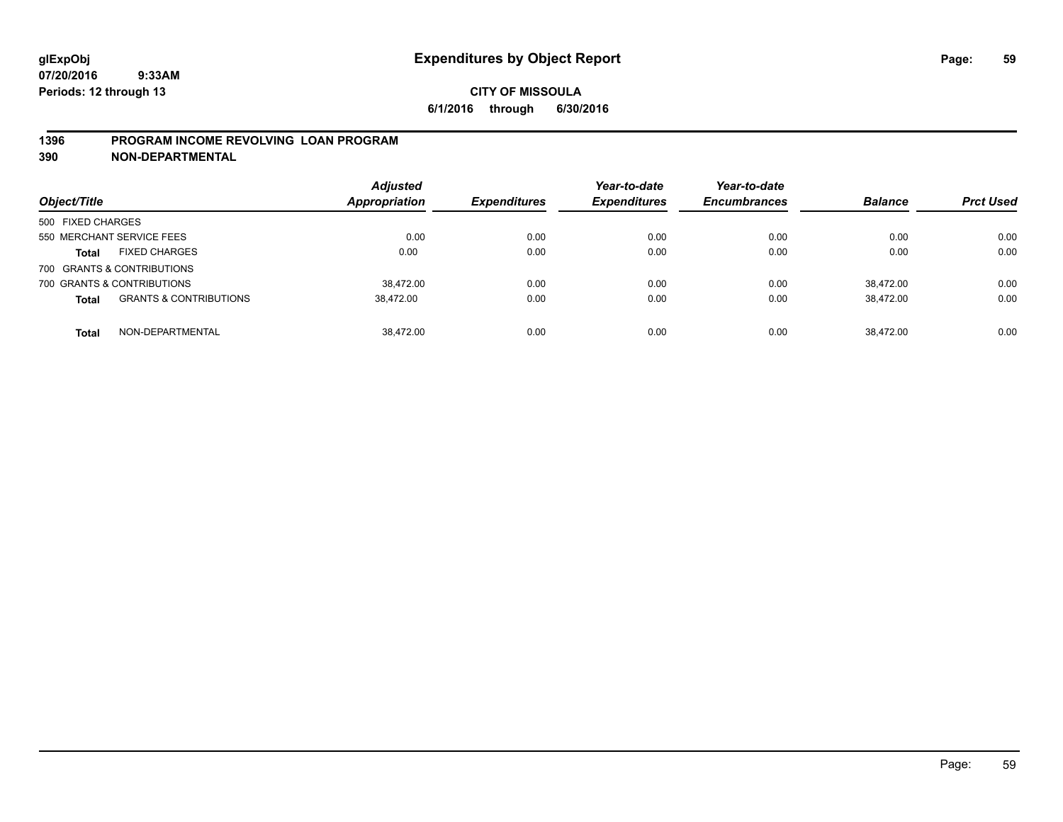### **1396 PROGRAM INCOME REVOLVING LOAN PROGRAM**

**390 NON-DEPARTMENTAL**

| Object/Title                                      | <b>Adjusted</b><br><b>Appropriation</b> | <b>Expenditures</b> | Year-to-date<br><b>Expenditures</b> | Year-to-date<br><b>Encumbrances</b> | <b>Balance</b> | <b>Prct Used</b> |
|---------------------------------------------------|-----------------------------------------|---------------------|-------------------------------------|-------------------------------------|----------------|------------------|
| 500 FIXED CHARGES                                 |                                         |                     |                                     |                                     |                |                  |
| 550 MERCHANT SERVICE FEES                         | 0.00                                    | 0.00                | 0.00                                | 0.00                                | 0.00           | 0.00             |
| <b>FIXED CHARGES</b><br><b>Total</b>              | 0.00                                    | 0.00                | 0.00                                | 0.00                                | 0.00           | 0.00             |
| 700 GRANTS & CONTRIBUTIONS                        |                                         |                     |                                     |                                     |                |                  |
| 700 GRANTS & CONTRIBUTIONS                        | 38.472.00                               | 0.00                | 0.00                                | 0.00                                | 38.472.00      | 0.00             |
| <b>GRANTS &amp; CONTRIBUTIONS</b><br><b>Total</b> | 38,472.00                               | 0.00                | 0.00                                | 0.00                                | 38.472.00      | 0.00             |
| NON-DEPARTMENTAL<br><b>Total</b>                  | 38.472.00                               | 0.00                | 0.00                                | 0.00                                | 38.472.00      | 0.00             |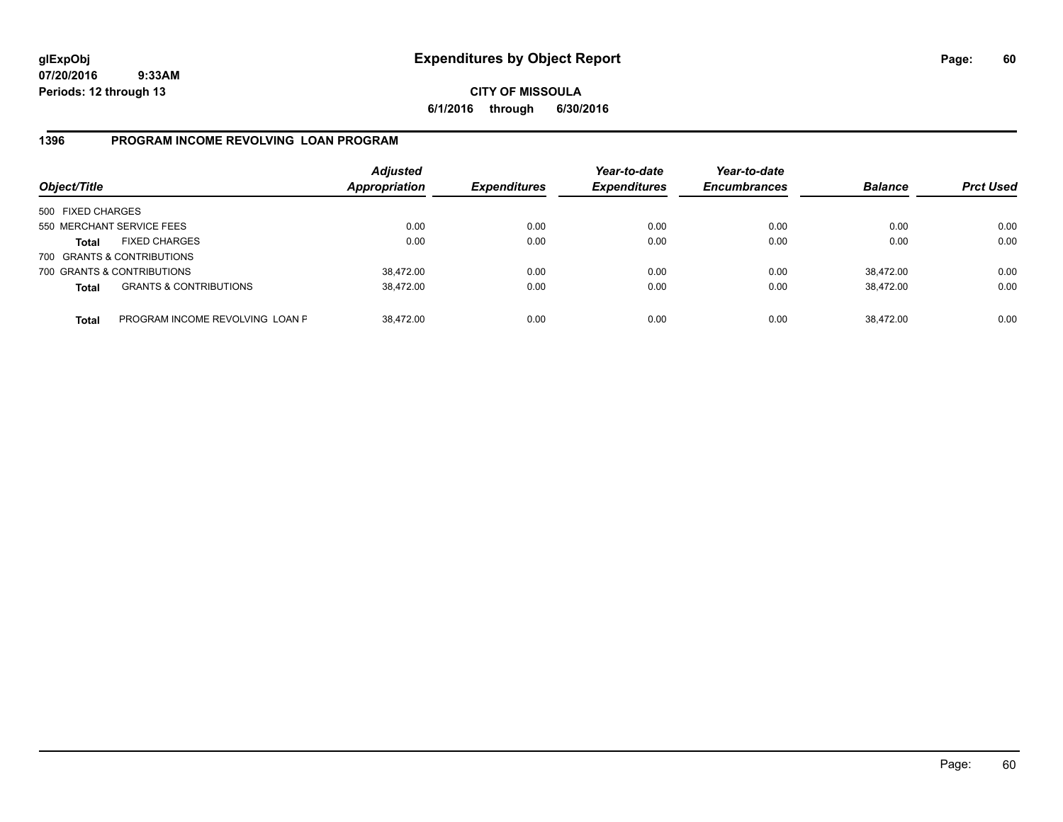**CITY OF MISSOULA 6/1/2016 through 6/30/2016**

### **1396 PROGRAM INCOME REVOLVING LOAN PROGRAM**

| Object/Title      |                                   | <b>Adjusted</b><br>Appropriation | <b>Expenditures</b> | Year-to-date<br><b>Expenditures</b> | Year-to-date<br><b>Encumbrances</b> | <b>Balance</b> | <b>Prct Used</b> |
|-------------------|-----------------------------------|----------------------------------|---------------------|-------------------------------------|-------------------------------------|----------------|------------------|
| 500 FIXED CHARGES |                                   |                                  |                     |                                     |                                     |                |                  |
|                   | 550 MERCHANT SERVICE FEES         | 0.00                             | 0.00                | 0.00                                | 0.00                                | 0.00           | 0.00             |
| Total             | <b>FIXED CHARGES</b>              | 0.00                             | 0.00                | 0.00                                | 0.00                                | 0.00           | 0.00             |
|                   | 700 GRANTS & CONTRIBUTIONS        |                                  |                     |                                     |                                     |                |                  |
|                   | 700 GRANTS & CONTRIBUTIONS        | 38,472.00                        | 0.00                | 0.00                                | 0.00                                | 38,472.00      | 0.00             |
| <b>Total</b>      | <b>GRANTS &amp; CONTRIBUTIONS</b> | 38,472.00                        | 0.00                | 0.00                                | 0.00                                | 38.472.00      | 0.00             |
| <b>Total</b>      | PROGRAM INCOME REVOLVING LOAN P   | 38,472.00                        | 0.00                | 0.00                                | 0.00                                | 38,472.00      | 0.00             |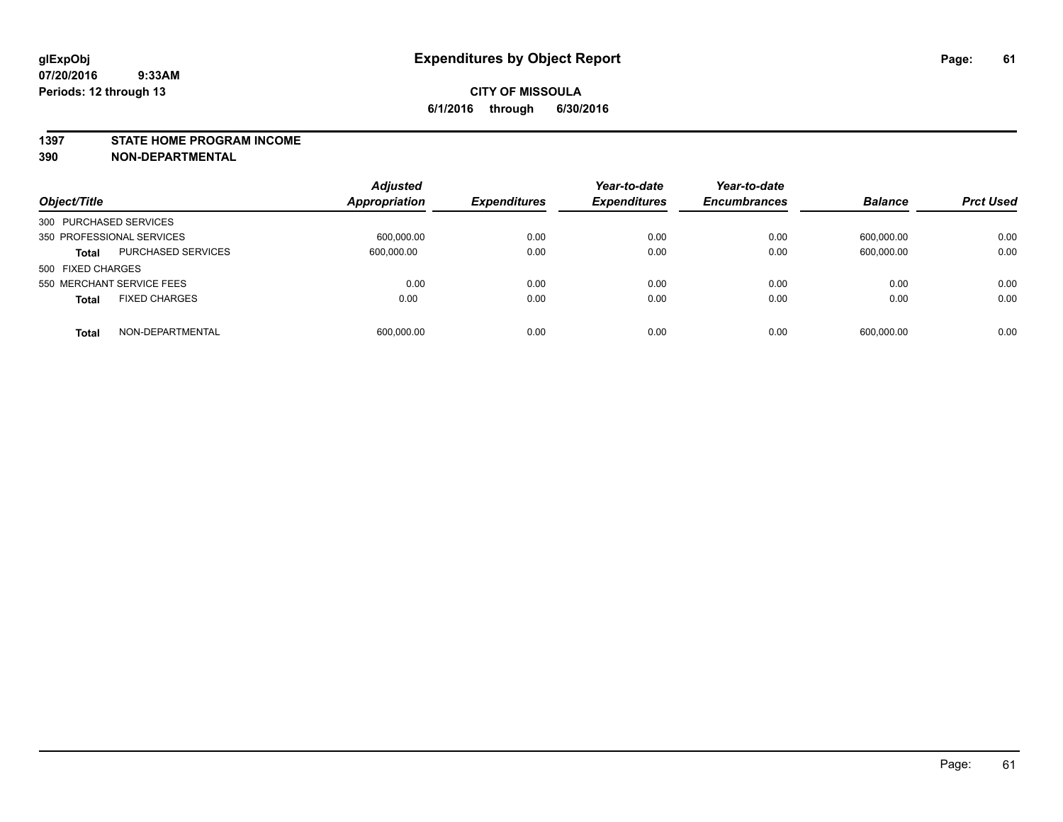#### **1397 STATE HOME PROGRAM INCOME**

**390 NON-DEPARTMENTAL**

| Object/Title                         | <b>Adjusted</b><br>Appropriation | <b>Expenditures</b> | Year-to-date<br><b>Expenditures</b> | Year-to-date<br><b>Encumbrances</b> | <b>Balance</b> | <b>Prct Used</b> |
|--------------------------------------|----------------------------------|---------------------|-------------------------------------|-------------------------------------|----------------|------------------|
| 300 PURCHASED SERVICES               |                                  |                     |                                     |                                     |                |                  |
| 350 PROFESSIONAL SERVICES            | 600,000.00                       | 0.00                | 0.00                                | 0.00                                | 600,000.00     | 0.00             |
| PURCHASED SERVICES<br><b>Total</b>   | 600,000.00                       | 0.00                | 0.00                                | 0.00                                | 600,000.00     | 0.00             |
| 500 FIXED CHARGES                    |                                  |                     |                                     |                                     |                |                  |
| 550 MERCHANT SERVICE FEES            | 0.00                             | 0.00                | 0.00                                | 0.00                                | 0.00           | 0.00             |
| <b>FIXED CHARGES</b><br><b>Total</b> | 0.00                             | 0.00                | 0.00                                | 0.00                                | 0.00           | 0.00             |
| NON-DEPARTMENTAL<br><b>Total</b>     | 600.000.00                       | 0.00                | 0.00                                | 0.00                                | 600.000.00     | 0.00             |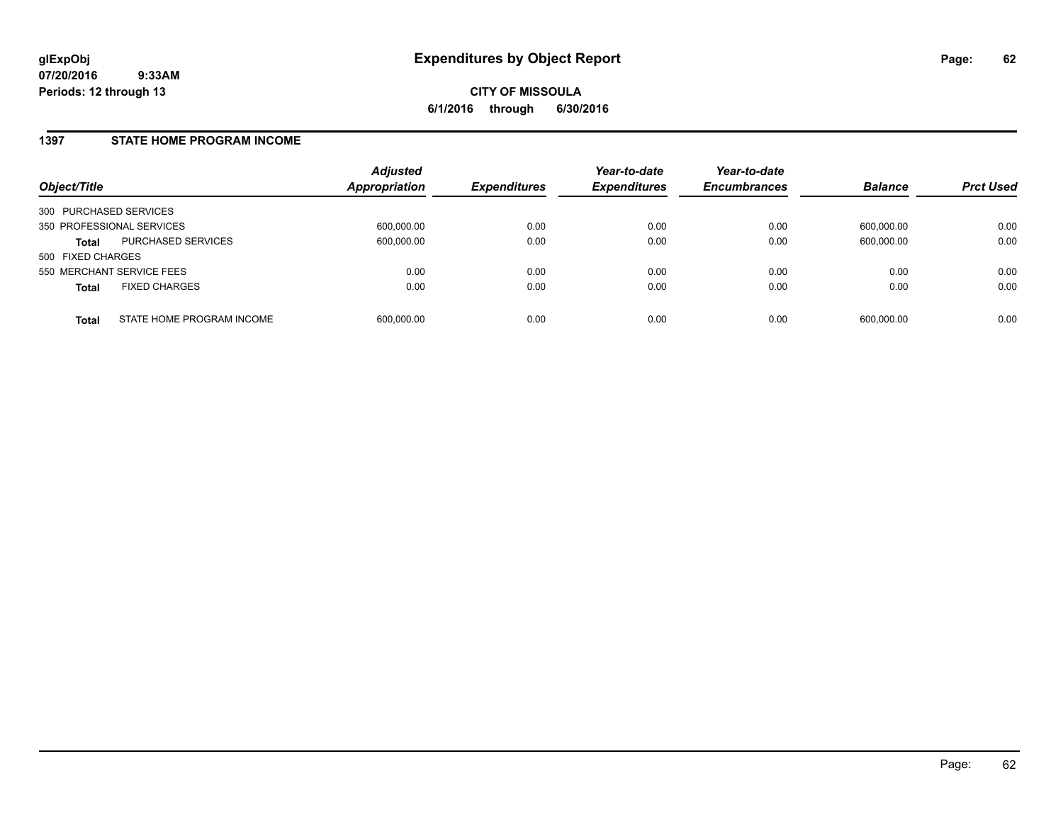### **1397 STATE HOME PROGRAM INCOME**

| Object/Title              |                           | <b>Adjusted</b><br><b>Appropriation</b> | <b>Expenditures</b> | Year-to-date<br><b>Expenditures</b> | Year-to-date<br><b>Encumbrances</b> | <b>Balance</b> | <b>Prct Used</b> |
|---------------------------|---------------------------|-----------------------------------------|---------------------|-------------------------------------|-------------------------------------|----------------|------------------|
| 300 PURCHASED SERVICES    |                           |                                         |                     |                                     |                                     |                |                  |
| 350 PROFESSIONAL SERVICES |                           | 600,000.00                              | 0.00                | 0.00                                | 0.00                                | 600,000.00     | 0.00             |
| <b>Total</b>              | <b>PURCHASED SERVICES</b> | 600,000.00                              | 0.00                | 0.00                                | 0.00                                | 600,000.00     | 0.00             |
| 500 FIXED CHARGES         |                           |                                         |                     |                                     |                                     |                |                  |
| 550 MERCHANT SERVICE FEES |                           | 0.00                                    | 0.00                | 0.00                                | 0.00                                | 0.00           | 0.00             |
| <b>Total</b>              | <b>FIXED CHARGES</b>      | 0.00                                    | 0.00                | 0.00                                | 0.00                                | 0.00           | 0.00             |
| <b>Total</b>              | STATE HOME PROGRAM INCOME | 600,000.00                              | 0.00                | 0.00                                | 0.00                                | 600,000.00     | 0.00             |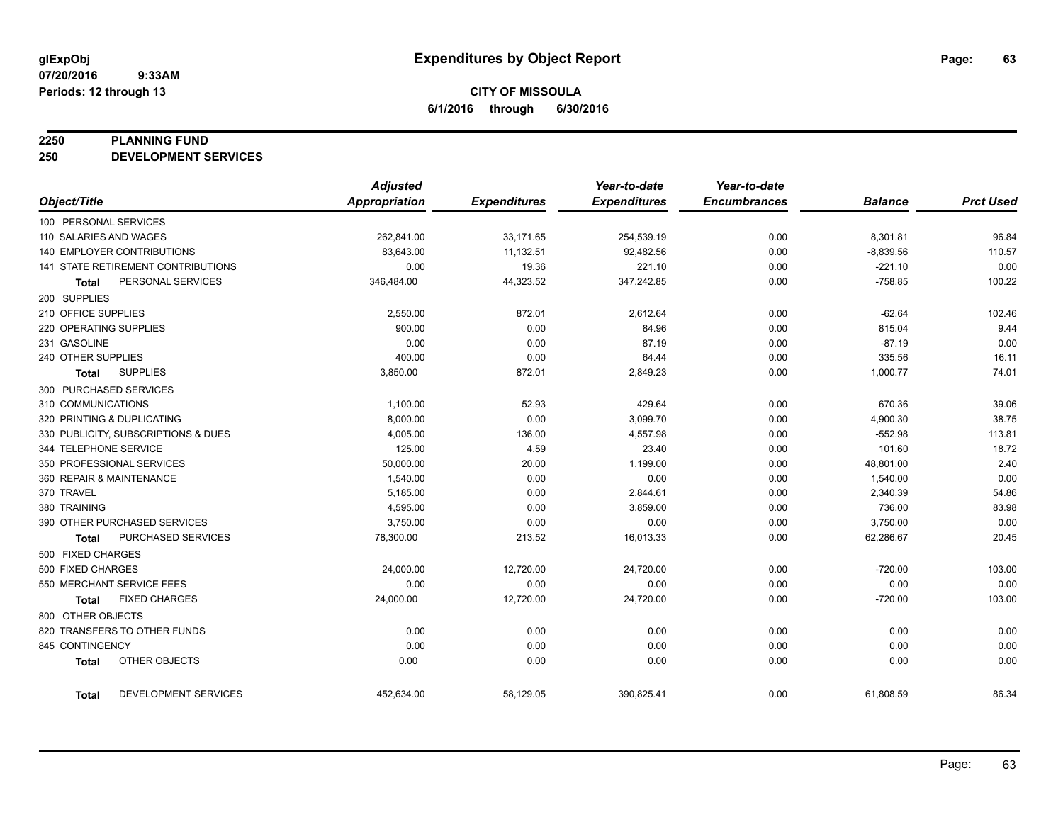#### **2250 PLANNING FUND**

**250 DEVELOPMENT SERVICES**

|                                      | <b>Adjusted</b>      |                     | Year-to-date        | Year-to-date        |                |                  |
|--------------------------------------|----------------------|---------------------|---------------------|---------------------|----------------|------------------|
| Object/Title                         | <b>Appropriation</b> | <b>Expenditures</b> | <b>Expenditures</b> | <b>Encumbrances</b> | <b>Balance</b> | <b>Prct Used</b> |
| 100 PERSONAL SERVICES                |                      |                     |                     |                     |                |                  |
| 110 SALARIES AND WAGES               | 262,841.00           | 33,171.65           | 254,539.19          | 0.00                | 8,301.81       | 96.84            |
| <b>140 EMPLOYER CONTRIBUTIONS</b>    | 83,643.00            | 11,132.51           | 92,482.56           | 0.00                | $-8,839.56$    | 110.57           |
| 141 STATE RETIREMENT CONTRIBUTIONS   | 0.00                 | 19.36               | 221.10              | 0.00                | $-221.10$      | 0.00             |
| PERSONAL SERVICES<br>Total           | 346,484.00           | 44,323.52           | 347,242.85          | 0.00                | $-758.85$      | 100.22           |
| 200 SUPPLIES                         |                      |                     |                     |                     |                |                  |
| 210 OFFICE SUPPLIES                  | 2,550.00             | 872.01              | 2,612.64            | 0.00                | $-62.64$       | 102.46           |
| 220 OPERATING SUPPLIES               | 900.00               | 0.00                | 84.96               | 0.00                | 815.04         | 9.44             |
| 231 GASOLINE                         | 0.00                 | 0.00                | 87.19               | 0.00                | $-87.19$       | 0.00             |
| 240 OTHER SUPPLIES                   | 400.00               | 0.00                | 64.44               | 0.00                | 335.56         | 16.11            |
| <b>SUPPLIES</b><br>Total             | 3,850.00             | 872.01              | 2,849.23            | 0.00                | 1,000.77       | 74.01            |
| 300 PURCHASED SERVICES               |                      |                     |                     |                     |                |                  |
| 310 COMMUNICATIONS                   | 1,100.00             | 52.93               | 429.64              | 0.00                | 670.36         | 39.06            |
| 320 PRINTING & DUPLICATING           | 8,000.00             | 0.00                | 3,099.70            | 0.00                | 4,900.30       | 38.75            |
| 330 PUBLICITY, SUBSCRIPTIONS & DUES  | 4,005.00             | 136.00              | 4,557.98            | 0.00                | $-552.98$      | 113.81           |
| 344 TELEPHONE SERVICE                | 125.00               | 4.59                | 23.40               | 0.00                | 101.60         | 18.72            |
| 350 PROFESSIONAL SERVICES            | 50,000.00            | 20.00               | 1,199.00            | 0.00                | 48,801.00      | 2.40             |
| 360 REPAIR & MAINTENANCE             | 1,540.00             | 0.00                | 0.00                | 0.00                | 1,540.00       | 0.00             |
| 370 TRAVEL                           | 5,185.00             | 0.00                | 2,844.61            | 0.00                | 2,340.39       | 54.86            |
| 380 TRAINING                         | 4,595.00             | 0.00                | 3,859.00            | 0.00                | 736.00         | 83.98            |
| 390 OTHER PURCHASED SERVICES         | 3,750.00             | 0.00                | 0.00                | 0.00                | 3,750.00       | 0.00             |
| PURCHASED SERVICES<br>Total          | 78,300.00            | 213.52              | 16,013.33           | 0.00                | 62,286.67      | 20.45            |
| 500 FIXED CHARGES                    |                      |                     |                     |                     |                |                  |
| 500 FIXED CHARGES                    | 24,000.00            | 12,720.00           | 24,720.00           | 0.00                | $-720.00$      | 103.00           |
| 550 MERCHANT SERVICE FEES            | 0.00                 | 0.00                | 0.00                | 0.00                | 0.00           | 0.00             |
| <b>FIXED CHARGES</b><br>Total        | 24,000.00            | 12,720.00           | 24,720.00           | 0.00                | $-720.00$      | 103.00           |
| 800 OTHER OBJECTS                    |                      |                     |                     |                     |                |                  |
| 820 TRANSFERS TO OTHER FUNDS         | 0.00                 | 0.00                | 0.00                | 0.00                | 0.00           | 0.00             |
| 845 CONTINGENCY                      | 0.00                 | 0.00                | 0.00                | 0.00                | 0.00           | 0.00             |
| OTHER OBJECTS<br><b>Total</b>        | 0.00                 | 0.00                | 0.00                | 0.00                | 0.00           | 0.00             |
| DEVELOPMENT SERVICES<br><b>Total</b> | 452,634.00           | 58,129.05           | 390,825.41          | 0.00                | 61,808.59      | 86.34            |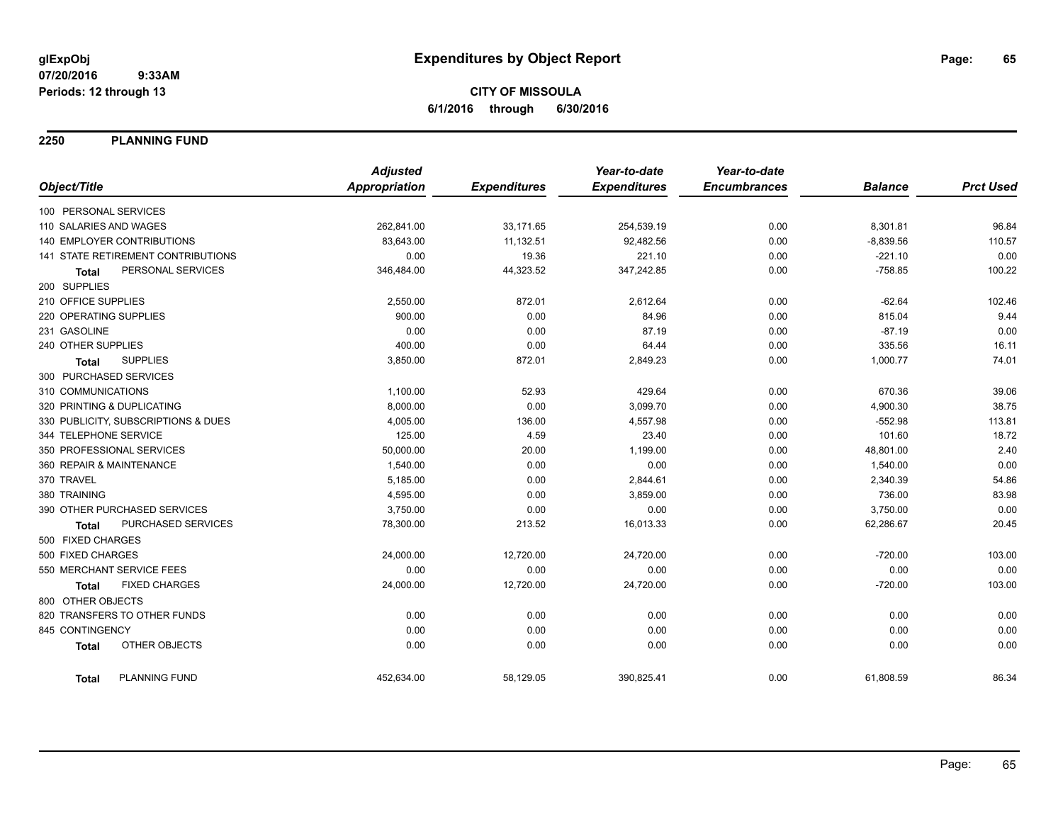**2250 PLANNING FUND**

|                                           | <b>Adjusted</b>      |                     | Year-to-date        | Year-to-date        |                |                  |
|-------------------------------------------|----------------------|---------------------|---------------------|---------------------|----------------|------------------|
| Object/Title                              | <b>Appropriation</b> | <b>Expenditures</b> | <b>Expenditures</b> | <b>Encumbrances</b> | <b>Balance</b> | <b>Prct Used</b> |
| 100 PERSONAL SERVICES                     |                      |                     |                     |                     |                |                  |
| 110 SALARIES AND WAGES                    | 262,841.00           | 33,171.65           | 254,539.19          | 0.00                | 8,301.81       | 96.84            |
| 140 EMPLOYER CONTRIBUTIONS                | 83,643.00            | 11,132.51           | 92,482.56           | 0.00                | $-8,839.56$    | 110.57           |
| <b>141 STATE RETIREMENT CONTRIBUTIONS</b> | 0.00                 | 19.36               | 221.10              | 0.00                | $-221.10$      | 0.00             |
| PERSONAL SERVICES<br><b>Total</b>         | 346,484.00           | 44,323.52           | 347,242.85          | 0.00                | $-758.85$      | 100.22           |
| 200 SUPPLIES                              |                      |                     |                     |                     |                |                  |
| 210 OFFICE SUPPLIES                       | 2,550.00             | 872.01              | 2,612.64            | 0.00                | $-62.64$       | 102.46           |
| 220 OPERATING SUPPLIES                    | 900.00               | 0.00                | 84.96               | 0.00                | 815.04         | 9.44             |
| 231 GASOLINE                              | 0.00                 | 0.00                | 87.19               | 0.00                | $-87.19$       | 0.00             |
| 240 OTHER SUPPLIES                        | 400.00               | 0.00                | 64.44               | 0.00                | 335.56         | 16.11            |
| <b>SUPPLIES</b><br><b>Total</b>           | 3,850.00             | 872.01              | 2,849.23            | 0.00                | 1,000.77       | 74.01            |
| 300 PURCHASED SERVICES                    |                      |                     |                     |                     |                |                  |
| 310 COMMUNICATIONS                        | 1,100.00             | 52.93               | 429.64              | 0.00                | 670.36         | 39.06            |
| 320 PRINTING & DUPLICATING                | 8,000.00             | 0.00                | 3,099.70            | 0.00                | 4,900.30       | 38.75            |
| 330 PUBLICITY, SUBSCRIPTIONS & DUES       | 4,005.00             | 136.00              | 4,557.98            | 0.00                | $-552.98$      | 113.81           |
| 344 TELEPHONE SERVICE                     | 125.00               | 4.59                | 23.40               | 0.00                | 101.60         | 18.72            |
| 350 PROFESSIONAL SERVICES                 | 50,000.00            | 20.00               | 1,199.00            | 0.00                | 48,801.00      | 2.40             |
| 360 REPAIR & MAINTENANCE                  | 1,540.00             | 0.00                | 0.00                | 0.00                | 1,540.00       | 0.00             |
| 370 TRAVEL                                | 5,185.00             | 0.00                | 2,844.61            | 0.00                | 2,340.39       | 54.86            |
| 380 TRAINING                              | 4,595.00             | 0.00                | 3,859.00            | 0.00                | 736.00         | 83.98            |
| 390 OTHER PURCHASED SERVICES              | 3,750.00             | 0.00                | 0.00                | 0.00                | 3,750.00       | 0.00             |
| PURCHASED SERVICES<br><b>Total</b>        | 78,300.00            | 213.52              | 16,013.33           | 0.00                | 62,286.67      | 20.45            |
| 500 FIXED CHARGES                         |                      |                     |                     |                     |                |                  |
| 500 FIXED CHARGES                         | 24,000.00            | 12,720.00           | 24,720.00           | 0.00                | $-720.00$      | 103.00           |
| 550 MERCHANT SERVICE FEES                 | 0.00                 | 0.00                | 0.00                | 0.00                | 0.00           | 0.00             |
| <b>FIXED CHARGES</b><br><b>Total</b>      | 24,000.00            | 12,720.00           | 24,720.00           | 0.00                | $-720.00$      | 103.00           |
| 800 OTHER OBJECTS                         |                      |                     |                     |                     |                |                  |
| 820 TRANSFERS TO OTHER FUNDS              | 0.00                 | 0.00                | 0.00                | 0.00                | 0.00           | 0.00             |
| 845 CONTINGENCY                           | 0.00                 | 0.00                | 0.00                | 0.00                | 0.00           | 0.00             |
| OTHER OBJECTS<br><b>Total</b>             | 0.00                 | 0.00                | 0.00                | 0.00                | 0.00           | 0.00             |
| PLANNING FUND<br><b>Total</b>             | 452,634.00           | 58,129.05           | 390,825.41          | 0.00                | 61,808.59      | 86.34            |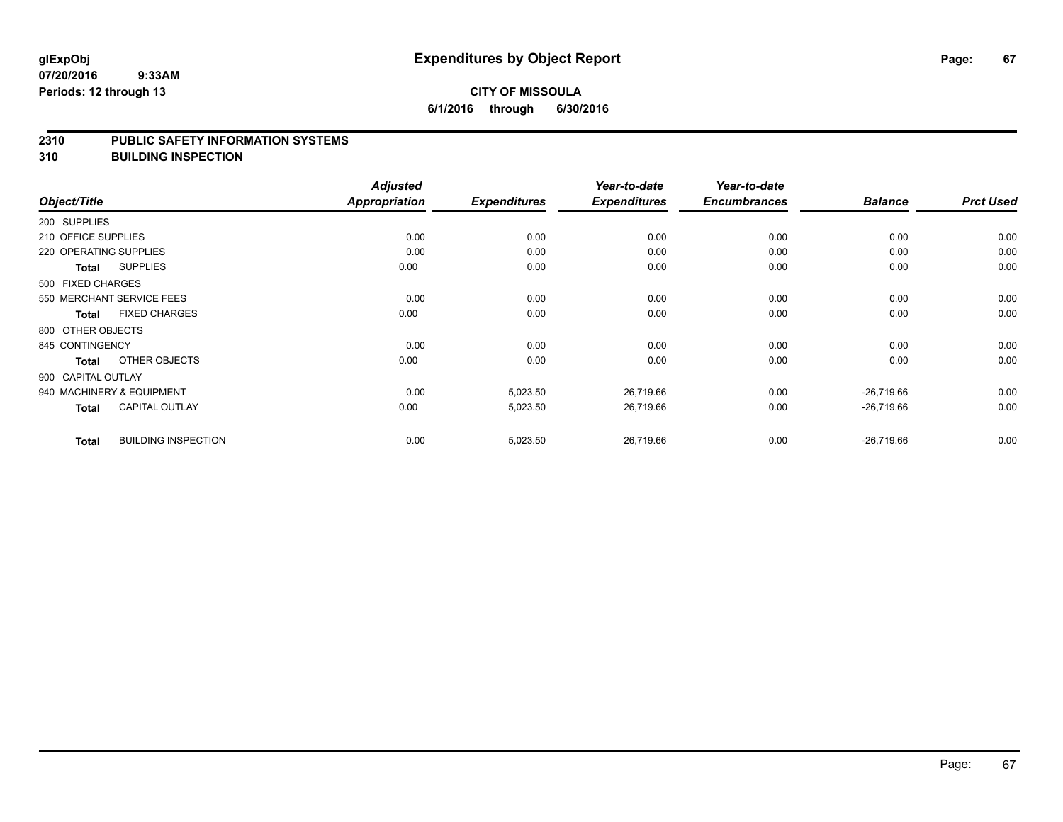### **CITY OF MISSOULA 6/1/2016 through 6/30/2016**

#### **2310 PUBLIC SAFETY INFORMATION SYSTEMS**

**310 BUILDING INSPECTION**

|                        |                            | <b>Adjusted</b>      |                     | Year-to-date        | Year-to-date        |                |                  |
|------------------------|----------------------------|----------------------|---------------------|---------------------|---------------------|----------------|------------------|
| Object/Title           |                            | <b>Appropriation</b> | <b>Expenditures</b> | <b>Expenditures</b> | <b>Encumbrances</b> | <b>Balance</b> | <b>Prct Used</b> |
| 200 SUPPLIES           |                            |                      |                     |                     |                     |                |                  |
| 210 OFFICE SUPPLIES    |                            | 0.00                 | 0.00                | 0.00                | 0.00                | 0.00           | 0.00             |
| 220 OPERATING SUPPLIES |                            | 0.00                 | 0.00                | 0.00                | 0.00                | 0.00           | 0.00             |
| Total                  | <b>SUPPLIES</b>            | 0.00                 | 0.00                | 0.00                | 0.00                | 0.00           | 0.00             |
| 500 FIXED CHARGES      |                            |                      |                     |                     |                     |                |                  |
|                        | 550 MERCHANT SERVICE FEES  | 0.00                 | 0.00                | 0.00                | 0.00                | 0.00           | 0.00             |
| Total                  | <b>FIXED CHARGES</b>       | 0.00                 | 0.00                | 0.00                | 0.00                | 0.00           | 0.00             |
| 800 OTHER OBJECTS      |                            |                      |                     |                     |                     |                |                  |
| 845 CONTINGENCY        |                            | 0.00                 | 0.00                | 0.00                | 0.00                | 0.00           | 0.00             |
| Total                  | OTHER OBJECTS              | 0.00                 | 0.00                | 0.00                | 0.00                | 0.00           | 0.00             |
| 900 CAPITAL OUTLAY     |                            |                      |                     |                     |                     |                |                  |
|                        | 940 MACHINERY & EQUIPMENT  | 0.00                 | 5,023.50            | 26,719.66           | 0.00                | $-26,719.66$   | 0.00             |
| Total                  | <b>CAPITAL OUTLAY</b>      | 0.00                 | 5,023.50            | 26,719.66           | 0.00                | $-26,719.66$   | 0.00             |
| <b>Total</b>           | <b>BUILDING INSPECTION</b> | 0.00                 | 5,023.50            | 26,719.66           | 0.00                | $-26,719.66$   | 0.00             |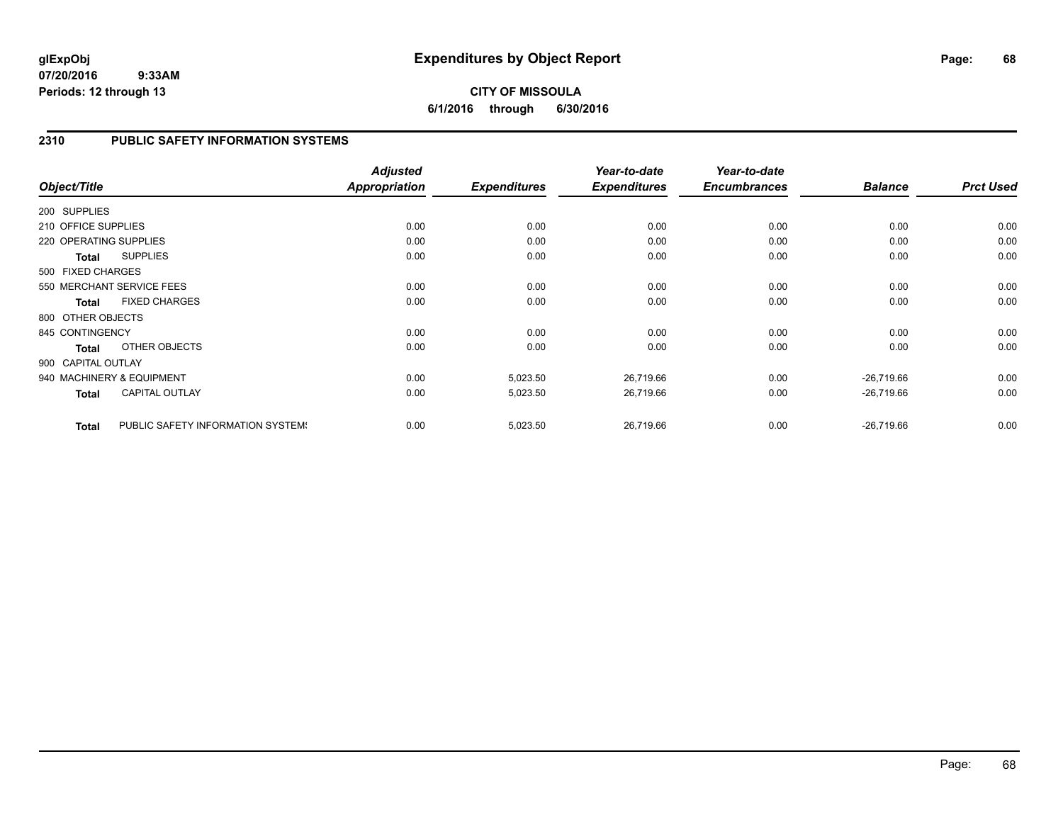## **CITY OF MISSOULA 6/1/2016 through 6/30/2016**

### **2310 PUBLIC SAFETY INFORMATION SYSTEMS**

| Object/Title           |                                   | <b>Adjusted</b><br><b>Appropriation</b> | <b>Expenditures</b> | Year-to-date<br><b>Expenditures</b> | Year-to-date<br><b>Encumbrances</b> | <b>Balance</b> | <b>Prct Used</b> |
|------------------------|-----------------------------------|-----------------------------------------|---------------------|-------------------------------------|-------------------------------------|----------------|------------------|
| 200 SUPPLIES           |                                   |                                         |                     |                                     |                                     |                |                  |
| 210 OFFICE SUPPLIES    |                                   | 0.00                                    | 0.00                | 0.00                                | 0.00                                | 0.00           | 0.00             |
| 220 OPERATING SUPPLIES |                                   | 0.00                                    | 0.00                | 0.00                                | 0.00                                | 0.00           | 0.00             |
| <b>Total</b>           | <b>SUPPLIES</b>                   | 0.00                                    | 0.00                | 0.00                                | 0.00                                | 0.00           | 0.00             |
| 500 FIXED CHARGES      |                                   |                                         |                     |                                     |                                     |                |                  |
|                        | 550 MERCHANT SERVICE FEES         | 0.00                                    | 0.00                | 0.00                                | 0.00                                | 0.00           | 0.00             |
| <b>Total</b>           | <b>FIXED CHARGES</b>              | 0.00                                    | 0.00                | 0.00                                | 0.00                                | 0.00           | 0.00             |
| 800 OTHER OBJECTS      |                                   |                                         |                     |                                     |                                     |                |                  |
| 845 CONTINGENCY        |                                   | 0.00                                    | 0.00                | 0.00                                | 0.00                                | 0.00           | 0.00             |
| <b>Total</b>           | OTHER OBJECTS                     | 0.00                                    | 0.00                | 0.00                                | 0.00                                | 0.00           | 0.00             |
| 900 CAPITAL OUTLAY     |                                   |                                         |                     |                                     |                                     |                |                  |
|                        | 940 MACHINERY & EQUIPMENT         | 0.00                                    | 5,023.50            | 26,719.66                           | 0.00                                | $-26,719.66$   | 0.00             |
| <b>Total</b>           | <b>CAPITAL OUTLAY</b>             | 0.00                                    | 5,023.50            | 26,719.66                           | 0.00                                | $-26,719.66$   | 0.00             |
| <b>Total</b>           | PUBLIC SAFETY INFORMATION SYSTEM! | 0.00                                    | 5,023.50            | 26,719.66                           | 0.00                                | $-26,719.66$   | 0.00             |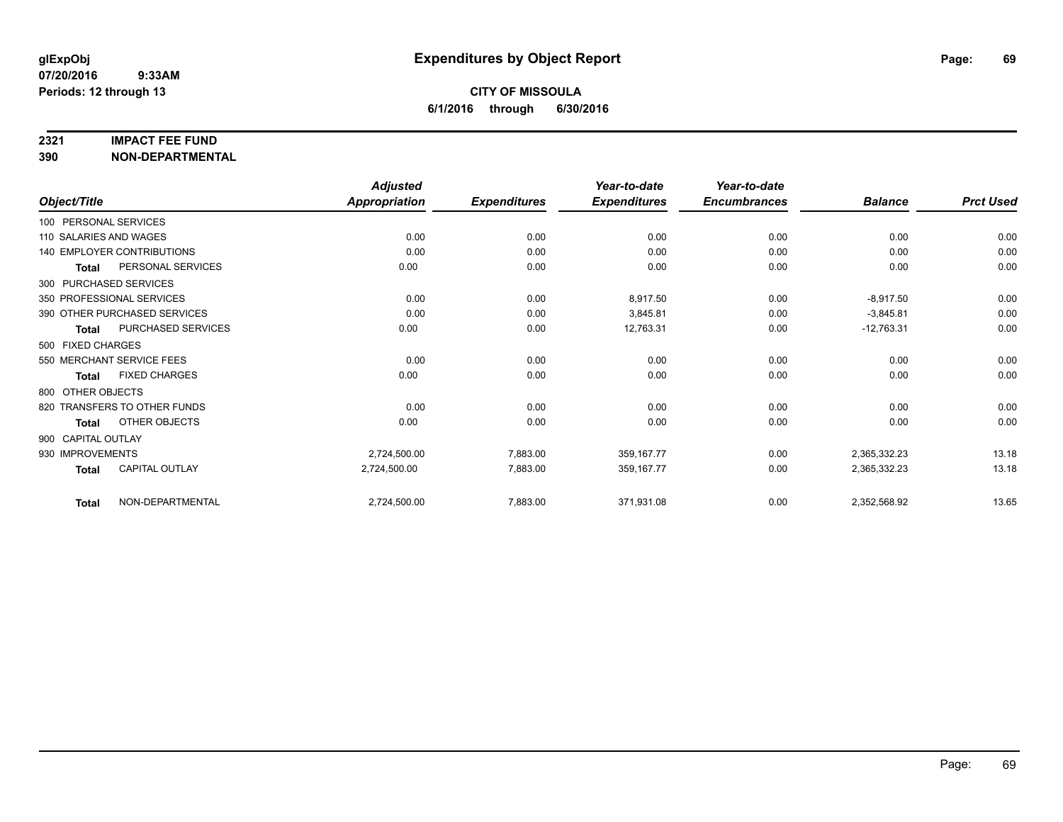#### **2321 IMPACT FEE FUND**

**390 NON-DEPARTMENTAL**

|                        |                              | <b>Adjusted</b>      |                     | Year-to-date        | Year-to-date        |                |                  |
|------------------------|------------------------------|----------------------|---------------------|---------------------|---------------------|----------------|------------------|
| Object/Title           |                              | <b>Appropriation</b> | <b>Expenditures</b> | <b>Expenditures</b> | <b>Encumbrances</b> | <b>Balance</b> | <b>Prct Used</b> |
| 100 PERSONAL SERVICES  |                              |                      |                     |                     |                     |                |                  |
| 110 SALARIES AND WAGES |                              | 0.00                 | 0.00                | 0.00                | 0.00                | 0.00           | 0.00             |
|                        | 140 EMPLOYER CONTRIBUTIONS   | 0.00                 | 0.00                | 0.00                | 0.00                | 0.00           | 0.00             |
| Total                  | PERSONAL SERVICES            | 0.00                 | 0.00                | 0.00                | 0.00                | 0.00           | 0.00             |
|                        | 300 PURCHASED SERVICES       |                      |                     |                     |                     |                |                  |
|                        | 350 PROFESSIONAL SERVICES    | 0.00                 | 0.00                | 8,917.50            | 0.00                | $-8,917.50$    | 0.00             |
|                        | 390 OTHER PURCHASED SERVICES | 0.00                 | 0.00                | 3,845.81            | 0.00                | $-3,845.81$    | 0.00             |
| <b>Total</b>           | PURCHASED SERVICES           | 0.00                 | 0.00                | 12,763.31           | 0.00                | $-12,763.31$   | 0.00             |
| 500 FIXED CHARGES      |                              |                      |                     |                     |                     |                |                  |
|                        | 550 MERCHANT SERVICE FEES    | 0.00                 | 0.00                | 0.00                | 0.00                | 0.00           | 0.00             |
| <b>Total</b>           | <b>FIXED CHARGES</b>         | 0.00                 | 0.00                | 0.00                | 0.00                | 0.00           | 0.00             |
| 800 OTHER OBJECTS      |                              |                      |                     |                     |                     |                |                  |
|                        | 820 TRANSFERS TO OTHER FUNDS | 0.00                 | 0.00                | 0.00                | 0.00                | 0.00           | 0.00             |
| <b>Total</b>           | OTHER OBJECTS                | 0.00                 | 0.00                | 0.00                | 0.00                | 0.00           | 0.00             |
| 900 CAPITAL OUTLAY     |                              |                      |                     |                     |                     |                |                  |
| 930 IMPROVEMENTS       |                              | 2,724,500.00         | 7,883.00            | 359, 167. 77        | 0.00                | 2,365,332.23   | 13.18            |
| <b>Total</b>           | <b>CAPITAL OUTLAY</b>        | 2,724,500.00         | 7,883.00            | 359,167.77          | 0.00                | 2,365,332.23   | 13.18            |
| Total                  | NON-DEPARTMENTAL             | 2,724,500.00         | 7,883.00            | 371,931.08          | 0.00                | 2,352,568.92   | 13.65            |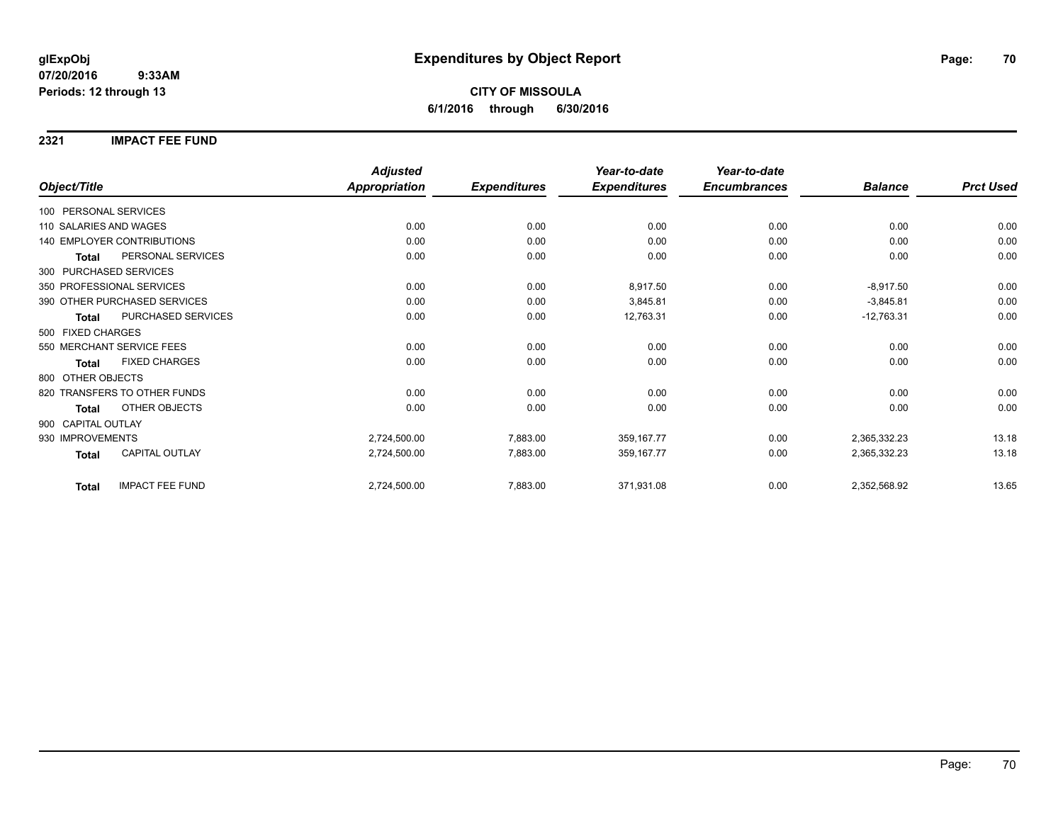## **CITY OF MISSOULA 6/1/2016 through 6/30/2016**

### **2321 IMPACT FEE FUND**

|                                        | <b>Adjusted</b>      |                     | Year-to-date        | Year-to-date        |                |                  |
|----------------------------------------|----------------------|---------------------|---------------------|---------------------|----------------|------------------|
| Object/Title                           | <b>Appropriation</b> | <b>Expenditures</b> | <b>Expenditures</b> | <b>Encumbrances</b> | <b>Balance</b> | <b>Prct Used</b> |
| 100 PERSONAL SERVICES                  |                      |                     |                     |                     |                |                  |
| 110 SALARIES AND WAGES                 | 0.00                 | 0.00                | 0.00                | 0.00                | 0.00           | 0.00             |
| 140 EMPLOYER CONTRIBUTIONS             | 0.00                 | 0.00                | 0.00                | 0.00                | 0.00           | 0.00             |
| PERSONAL SERVICES<br><b>Total</b>      | 0.00                 | 0.00                | 0.00                | 0.00                | 0.00           | 0.00             |
| 300 PURCHASED SERVICES                 |                      |                     |                     |                     |                |                  |
| 350 PROFESSIONAL SERVICES              | 0.00                 | 0.00                | 8,917.50            | 0.00                | $-8,917.50$    | 0.00             |
| 390 OTHER PURCHASED SERVICES           | 0.00                 | 0.00                | 3,845.81            | 0.00                | $-3,845.81$    | 0.00             |
| PURCHASED SERVICES<br><b>Total</b>     | 0.00                 | 0.00                | 12,763.31           | 0.00                | $-12,763.31$   | 0.00             |
| 500 FIXED CHARGES                      |                      |                     |                     |                     |                |                  |
| 550 MERCHANT SERVICE FEES              | 0.00                 | 0.00                | 0.00                | 0.00                | 0.00           | 0.00             |
| <b>FIXED CHARGES</b><br>Total          | 0.00                 | 0.00                | 0.00                | 0.00                | 0.00           | 0.00             |
| 800 OTHER OBJECTS                      |                      |                     |                     |                     |                |                  |
| 820 TRANSFERS TO OTHER FUNDS           | 0.00                 | 0.00                | 0.00                | 0.00                | 0.00           | 0.00             |
| <b>OTHER OBJECTS</b><br><b>Total</b>   | 0.00                 | 0.00                | 0.00                | 0.00                | 0.00           | 0.00             |
| 900 CAPITAL OUTLAY                     |                      |                     |                     |                     |                |                  |
| 930 IMPROVEMENTS                       | 2,724,500.00         | 7,883.00            | 359, 167. 77        | 0.00                | 2,365,332.23   | 13.18            |
| CAPITAL OUTLAY<br><b>Total</b>         | 2,724,500.00         | 7,883.00            | 359, 167. 77        | 0.00                | 2,365,332.23   | 13.18            |
| <b>IMPACT FEE FUND</b><br><b>Total</b> | 2,724,500.00         | 7,883.00            | 371,931.08          | 0.00                | 2,352,568.92   | 13.65            |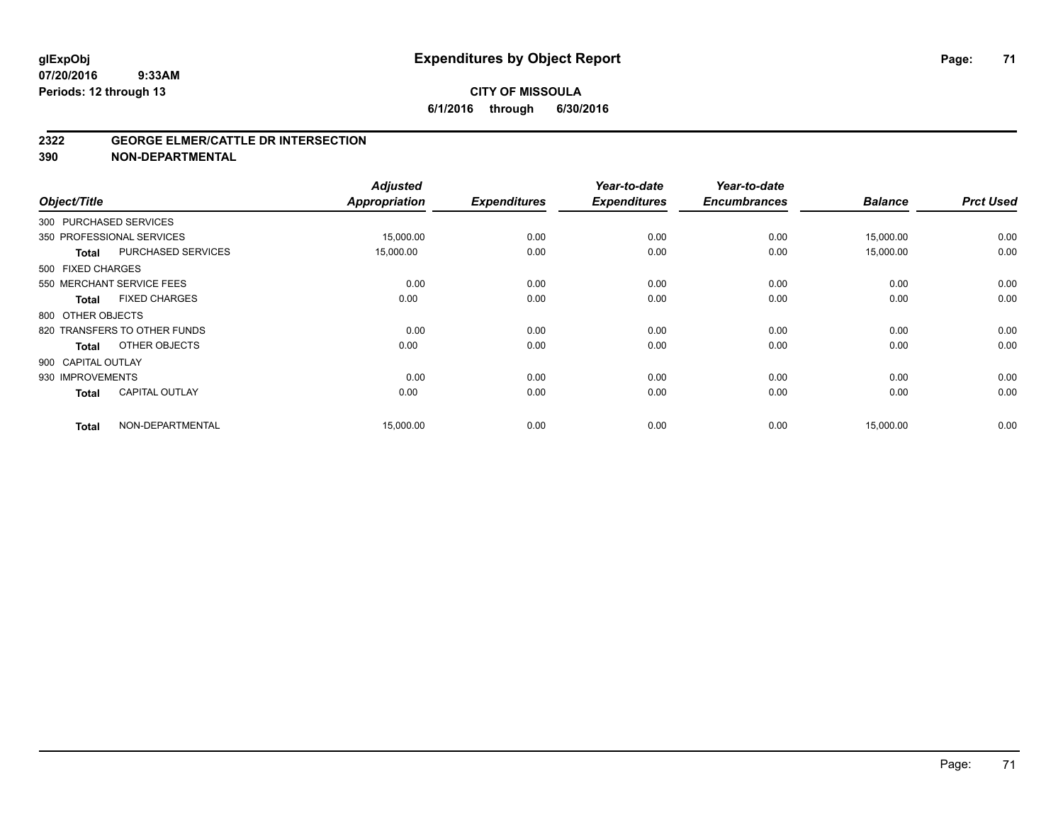#### **2322 GEORGE ELMER/CATTLE DR INTERSECTION**

**390 NON-DEPARTMENTAL**

| Object/Title       |                              | <b>Adjusted</b><br><b>Appropriation</b> | <b>Expenditures</b> | Year-to-date<br><b>Expenditures</b> | Year-to-date<br><b>Encumbrances</b> | <b>Balance</b> | <b>Prct Used</b> |
|--------------------|------------------------------|-----------------------------------------|---------------------|-------------------------------------|-------------------------------------|----------------|------------------|
|                    | 300 PURCHASED SERVICES       |                                         |                     |                                     |                                     |                |                  |
|                    | 350 PROFESSIONAL SERVICES    | 15,000.00                               | 0.00                | 0.00                                | 0.00                                | 15,000.00      | 0.00             |
| <b>Total</b>       | <b>PURCHASED SERVICES</b>    | 15,000.00                               | 0.00                | 0.00                                | 0.00                                | 15,000.00      | 0.00             |
| 500 FIXED CHARGES  |                              |                                         |                     |                                     |                                     |                |                  |
|                    | 550 MERCHANT SERVICE FEES    | 0.00                                    | 0.00                | 0.00                                | 0.00                                | 0.00           | 0.00             |
| <b>Total</b>       | <b>FIXED CHARGES</b>         | 0.00                                    | 0.00                | 0.00                                | 0.00                                | 0.00           | 0.00             |
| 800 OTHER OBJECTS  |                              |                                         |                     |                                     |                                     |                |                  |
|                    | 820 TRANSFERS TO OTHER FUNDS | 0.00                                    | 0.00                | 0.00                                | 0.00                                | 0.00           | 0.00             |
| <b>Total</b>       | OTHER OBJECTS                | 0.00                                    | 0.00                | 0.00                                | 0.00                                | 0.00           | 0.00             |
| 900 CAPITAL OUTLAY |                              |                                         |                     |                                     |                                     |                |                  |
| 930 IMPROVEMENTS   |                              | 0.00                                    | 0.00                | 0.00                                | 0.00                                | 0.00           | 0.00             |
| <b>Total</b>       | <b>CAPITAL OUTLAY</b>        | 0.00                                    | 0.00                | 0.00                                | 0.00                                | 0.00           | 0.00             |
| <b>Total</b>       | NON-DEPARTMENTAL             | 15,000.00                               | 0.00                | 0.00                                | 0.00                                | 15,000.00      | 0.00             |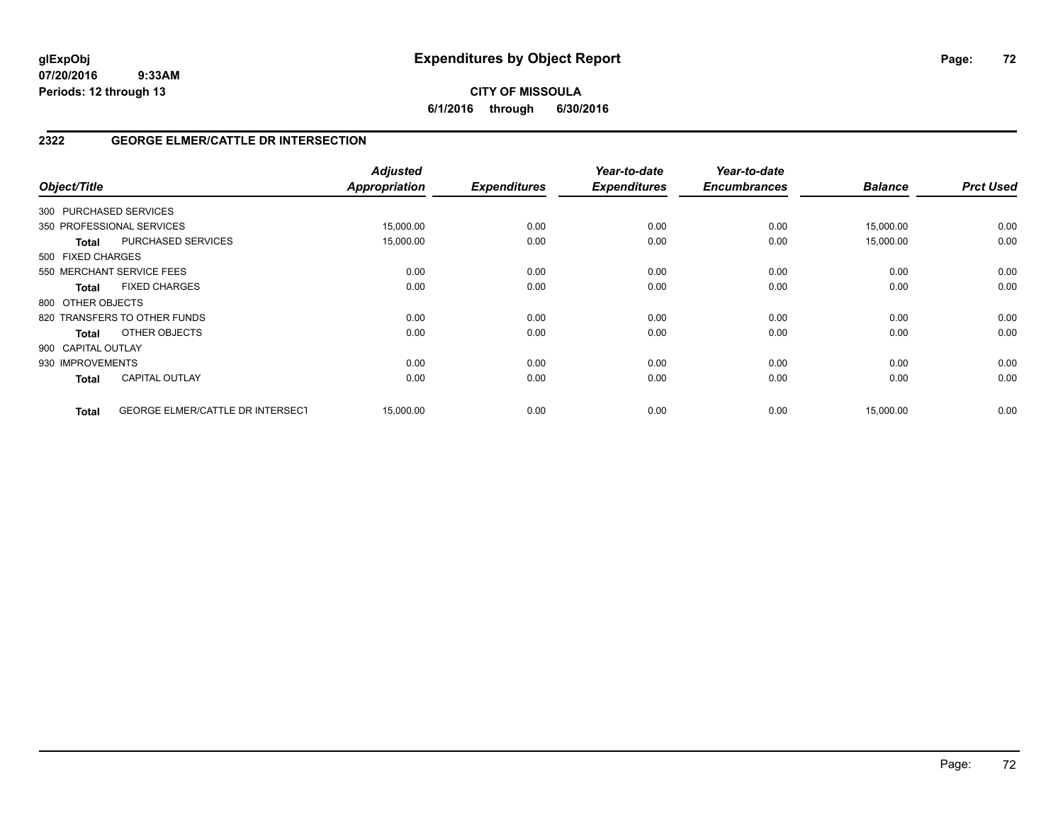## **CITY OF MISSOULA 6/1/2016 through 6/30/2016**

## **2322 GEORGE ELMER/CATTLE DR INTERSECTION**

| Object/Title              |                                         | <b>Adjusted</b><br><b>Appropriation</b> | <b>Expenditures</b> | Year-to-date<br><b>Expenditures</b> | Year-to-date<br><b>Encumbrances</b> | <b>Balance</b> | <b>Prct Used</b> |
|---------------------------|-----------------------------------------|-----------------------------------------|---------------------|-------------------------------------|-------------------------------------|----------------|------------------|
| 300 PURCHASED SERVICES    |                                         |                                         |                     |                                     |                                     |                |                  |
| 350 PROFESSIONAL SERVICES |                                         | 15,000.00                               | 0.00                | 0.00                                | 0.00                                | 15,000.00      | 0.00             |
| <b>Total</b>              | PURCHASED SERVICES                      | 15,000.00                               | 0.00                | 0.00                                | 0.00                                | 15,000.00      | 0.00             |
| 500 FIXED CHARGES         |                                         |                                         |                     |                                     |                                     |                |                  |
| 550 MERCHANT SERVICE FEES |                                         | 0.00                                    | 0.00                | 0.00                                | 0.00                                | 0.00           | 0.00             |
| <b>Total</b>              | <b>FIXED CHARGES</b>                    | 0.00                                    | 0.00                | 0.00                                | 0.00                                | 0.00           | 0.00             |
| 800 OTHER OBJECTS         |                                         |                                         |                     |                                     |                                     |                |                  |
|                           | 820 TRANSFERS TO OTHER FUNDS            | 0.00                                    | 0.00                | 0.00                                | 0.00                                | 0.00           | 0.00             |
| <b>Total</b>              | OTHER OBJECTS                           | 0.00                                    | 0.00                | 0.00                                | 0.00                                | 0.00           | 0.00             |
| 900 CAPITAL OUTLAY        |                                         |                                         |                     |                                     |                                     |                |                  |
| 930 IMPROVEMENTS          |                                         | 0.00                                    | 0.00                | 0.00                                | 0.00                                | 0.00           | 0.00             |
| <b>Total</b>              | <b>CAPITAL OUTLAY</b>                   | 0.00                                    | 0.00                | 0.00                                | 0.00                                | 0.00           | 0.00             |
| <b>Total</b>              | <b>GEORGE ELMER/CATTLE DR INTERSECT</b> | 15,000.00                               | 0.00                | 0.00                                | 0.00                                | 15,000.00      | 0.00             |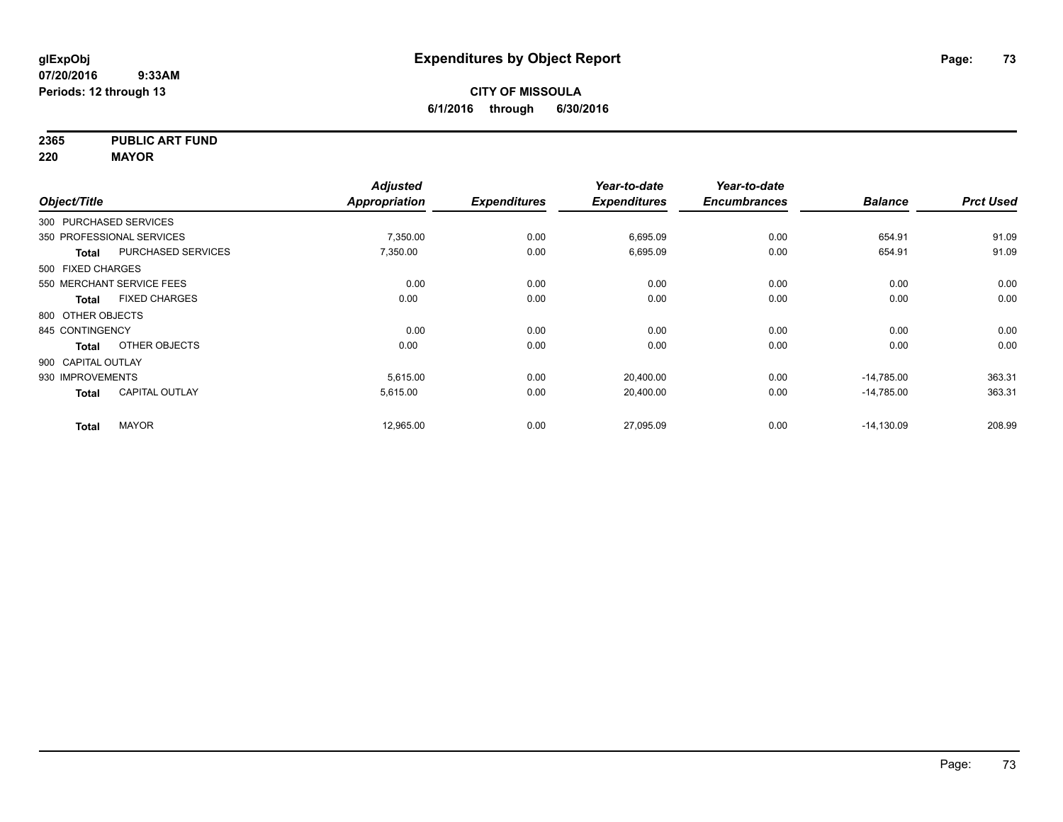**2365 PUBLIC ART FUND**

**220 MAYOR**

| Object/Title       |                           | <b>Adjusted</b><br>Appropriation | <b>Expenditures</b> | Year-to-date<br><b>Expenditures</b> | Year-to-date<br><b>Encumbrances</b> | <b>Balance</b> | <b>Prct Used</b> |
|--------------------|---------------------------|----------------------------------|---------------------|-------------------------------------|-------------------------------------|----------------|------------------|
|                    | 300 PURCHASED SERVICES    |                                  |                     |                                     |                                     |                |                  |
|                    |                           |                                  |                     |                                     |                                     |                |                  |
|                    | 350 PROFESSIONAL SERVICES | 7,350.00                         | 0.00                | 6,695.09                            | 0.00                                | 654.91         | 91.09            |
| <b>Total</b>       | <b>PURCHASED SERVICES</b> | 7,350.00                         | 0.00                | 6,695.09                            | 0.00                                | 654.91         | 91.09            |
| 500 FIXED CHARGES  |                           |                                  |                     |                                     |                                     |                |                  |
|                    | 550 MERCHANT SERVICE FEES | 0.00                             | 0.00                | 0.00                                | 0.00                                | 0.00           | 0.00             |
| Total              | <b>FIXED CHARGES</b>      | 0.00                             | 0.00                | 0.00                                | 0.00                                | 0.00           | 0.00             |
| 800 OTHER OBJECTS  |                           |                                  |                     |                                     |                                     |                |                  |
| 845 CONTINGENCY    |                           | 0.00                             | 0.00                | 0.00                                | 0.00                                | 0.00           | 0.00             |
| <b>Total</b>       | OTHER OBJECTS             | 0.00                             | 0.00                | 0.00                                | 0.00                                | 0.00           | 0.00             |
| 900 CAPITAL OUTLAY |                           |                                  |                     |                                     |                                     |                |                  |
| 930 IMPROVEMENTS   |                           | 5,615.00                         | 0.00                | 20,400.00                           | 0.00                                | $-14,785.00$   | 363.31           |
| <b>Total</b>       | <b>CAPITAL OUTLAY</b>     | 5,615.00                         | 0.00                | 20,400.00                           | 0.00                                | $-14,785.00$   | 363.31           |
| <b>Total</b>       | <b>MAYOR</b>              | 12,965.00                        | 0.00                | 27,095.09                           | 0.00                                | $-14,130.09$   | 208.99           |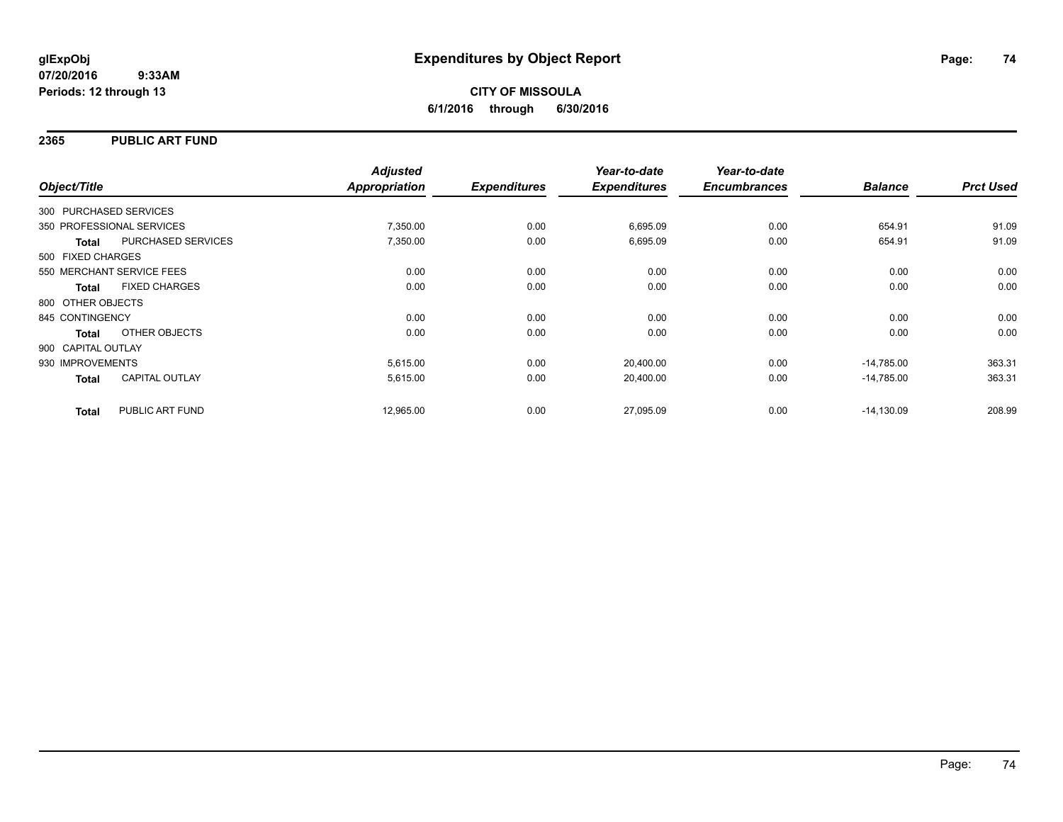### **2365 PUBLIC ART FUND**

| Object/Title           |                           | <b>Adjusted</b><br>Appropriation | <b>Expenditures</b> | Year-to-date<br><b>Expenditures</b> | Year-to-date<br><b>Encumbrances</b> | <b>Balance</b> | <b>Prct Used</b> |
|------------------------|---------------------------|----------------------------------|---------------------|-------------------------------------|-------------------------------------|----------------|------------------|
|                        |                           |                                  |                     |                                     |                                     |                |                  |
| 300 PURCHASED SERVICES |                           |                                  |                     |                                     |                                     |                |                  |
|                        | 350 PROFESSIONAL SERVICES | 7,350.00                         | 0.00                | 6,695.09                            | 0.00                                | 654.91         | 91.09            |
| <b>Total</b>           | PURCHASED SERVICES        | 7,350.00                         | 0.00                | 6,695.09                            | 0.00                                | 654.91         | 91.09            |
| 500 FIXED CHARGES      |                           |                                  |                     |                                     |                                     |                |                  |
|                        | 550 MERCHANT SERVICE FEES | 0.00                             | 0.00                | 0.00                                | 0.00                                | 0.00           | 0.00             |
| <b>Total</b>           | <b>FIXED CHARGES</b>      | 0.00                             | 0.00                | 0.00                                | 0.00                                | 0.00           | 0.00             |
| 800 OTHER OBJECTS      |                           |                                  |                     |                                     |                                     |                |                  |
| 845 CONTINGENCY        |                           | 0.00                             | 0.00                | 0.00                                | 0.00                                | 0.00           | 0.00             |
| Total                  | OTHER OBJECTS             | 0.00                             | 0.00                | 0.00                                | 0.00                                | 0.00           | 0.00             |
| 900 CAPITAL OUTLAY     |                           |                                  |                     |                                     |                                     |                |                  |
| 930 IMPROVEMENTS       |                           | 5,615.00                         | 0.00                | 20,400.00                           | 0.00                                | $-14,785.00$   | 363.31           |
| <b>Total</b>           | CAPITAL OUTLAY            | 5,615.00                         | 0.00                | 20,400.00                           | 0.00                                | $-14,785.00$   | 363.31           |
| <b>Total</b>           | PUBLIC ART FUND           | 12,965.00                        | 0.00                | 27,095.09                           | 0.00                                | $-14,130.09$   | 208.99           |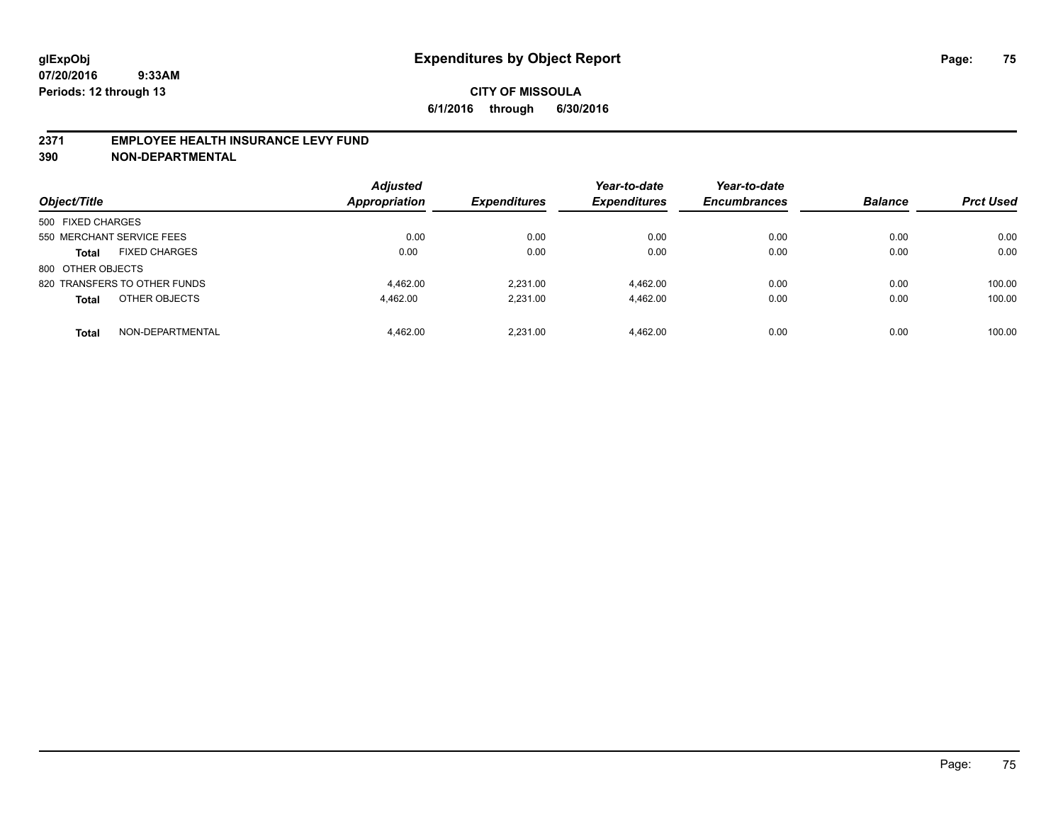### **2371 EMPLOYEE HEALTH INSURANCE LEVY FUND**

**390 NON-DEPARTMENTAL**

| Object/Title                         | <b>Adjusted</b><br><b>Appropriation</b> | <b>Expenditures</b> | Year-to-date<br><b>Expenditures</b> | Year-to-date<br><b>Encumbrances</b> | <b>Balance</b> | <b>Prct Used</b> |
|--------------------------------------|-----------------------------------------|---------------------|-------------------------------------|-------------------------------------|----------------|------------------|
| 500 FIXED CHARGES                    |                                         |                     |                                     |                                     |                |                  |
| 550 MERCHANT SERVICE FEES            | 0.00                                    | 0.00                | 0.00                                | 0.00                                | 0.00           | 0.00             |
| <b>FIXED CHARGES</b><br><b>Total</b> | 0.00                                    | 0.00                | 0.00                                | 0.00                                | 0.00           | 0.00             |
| 800 OTHER OBJECTS                    |                                         |                     |                                     |                                     |                |                  |
| 820 TRANSFERS TO OTHER FUNDS         | 4.462.00                                | 2.231.00            | 4.462.00                            | 0.00                                | 0.00           | 100.00           |
| OTHER OBJECTS<br><b>Total</b>        | 4.462.00                                | 2.231.00            | 4.462.00                            | 0.00                                | 0.00           | 100.00           |
| NON-DEPARTMENTAL<br><b>Total</b>     | 4.462.00                                | 2.231.00            | 4.462.00                            | 0.00                                | 0.00           | 100.00           |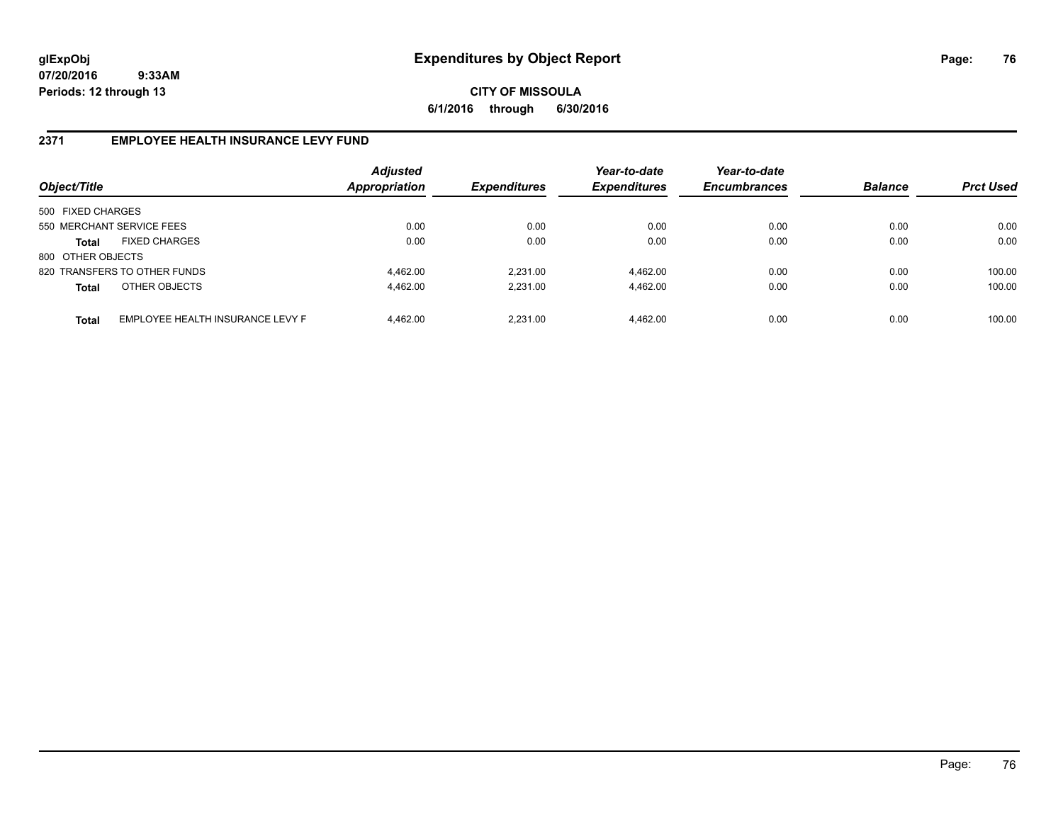**CITY OF MISSOULA 6/1/2016 through 6/30/2016**

# **2371 EMPLOYEE HEALTH INSURANCE LEVY FUND**

| Object/Title      |                                  | <b>Adjusted</b><br><b>Appropriation</b> | <b>Expenditures</b> | Year-to-date<br><b>Expenditures</b> | Year-to-date<br><b>Encumbrances</b> | <b>Balance</b> | <b>Prct Used</b> |
|-------------------|----------------------------------|-----------------------------------------|---------------------|-------------------------------------|-------------------------------------|----------------|------------------|
| 500 FIXED CHARGES |                                  |                                         |                     |                                     |                                     |                |                  |
|                   | 550 MERCHANT SERVICE FEES        | 0.00                                    | 0.00                | 0.00                                | 0.00                                | 0.00           | 0.00             |
| Total             | <b>FIXED CHARGES</b>             | 0.00                                    | 0.00                | 0.00                                | 0.00                                | 0.00           | 0.00             |
| 800 OTHER OBJECTS |                                  |                                         |                     |                                     |                                     |                |                  |
|                   | 820 TRANSFERS TO OTHER FUNDS     | 4.462.00                                | 2.231.00            | 4.462.00                            | 0.00                                | 0.00           | 100.00           |
| <b>Total</b>      | OTHER OBJECTS                    | 4.462.00                                | 2,231.00            | 4,462.00                            | 0.00                                | 0.00           | 100.00           |
| <b>Total</b>      | EMPLOYEE HEALTH INSURANCE LEVY F | 4.462.00                                | 2.231.00            | 4.462.00                            | 0.00                                | 0.00           | 100.00           |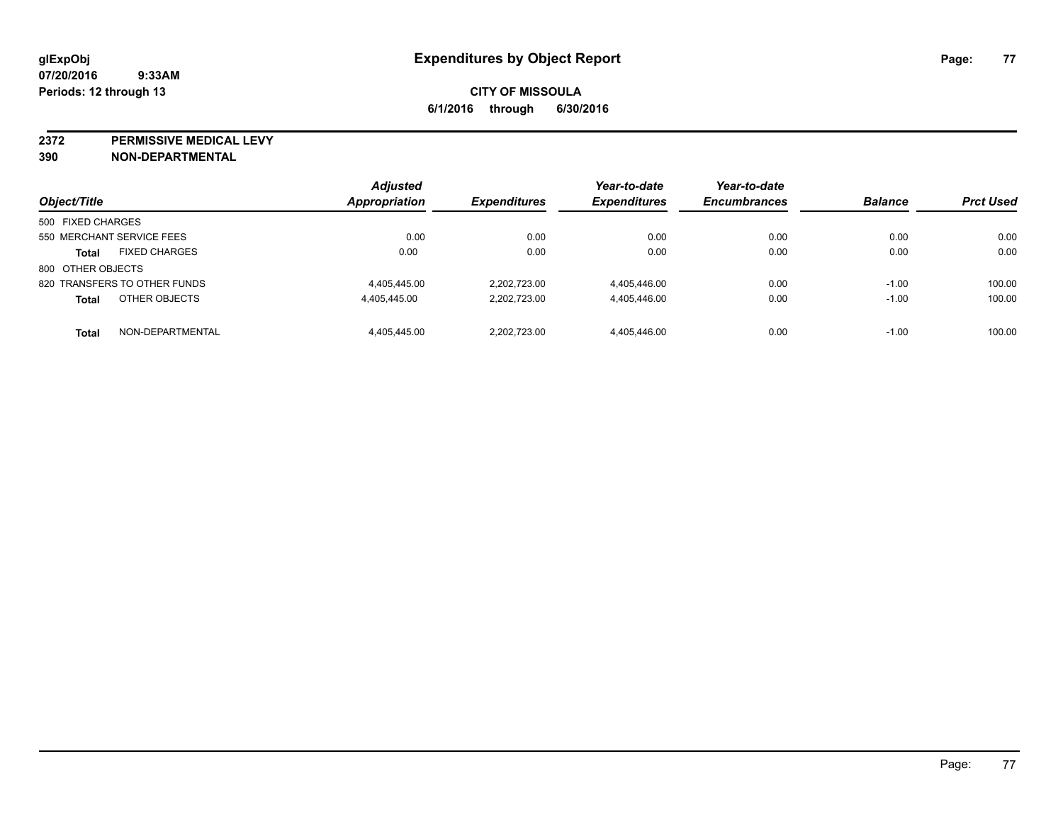**2372 PERMISSIVE MEDICAL LEVY**

**390 NON-DEPARTMENTAL**

| Object/Title                         | <b>Adjusted</b><br>Appropriation | <b>Expenditures</b> | Year-to-date<br><b>Expenditures</b> | Year-to-date<br><b>Encumbrances</b> | <b>Balance</b> | <b>Prct Used</b> |
|--------------------------------------|----------------------------------|---------------------|-------------------------------------|-------------------------------------|----------------|------------------|
| 500 FIXED CHARGES                    |                                  |                     |                                     |                                     |                |                  |
| 550 MERCHANT SERVICE FEES            | 0.00                             | 0.00                | 0.00                                | 0.00                                | 0.00           | 0.00             |
| <b>FIXED CHARGES</b><br><b>Total</b> | 0.00                             | 0.00                | 0.00                                | 0.00                                | 0.00           | 0.00             |
| 800 OTHER OBJECTS                    |                                  |                     |                                     |                                     |                |                  |
| 820 TRANSFERS TO OTHER FUNDS         | 4,405,445.00                     | 2.202.723.00        | 4,405,446.00                        | 0.00                                | $-1.00$        | 100.00           |
| OTHER OBJECTS<br><b>Total</b>        | 4.405.445.00                     | 2.202.723.00        | 4.405.446.00                        | 0.00                                | $-1.00$        | 100.00           |
| NON-DEPARTMENTAL<br><b>Total</b>     | 4.405.445.00                     | 2.202.723.00        | 4.405.446.00                        | 0.00                                | $-1.00$        | 100.00           |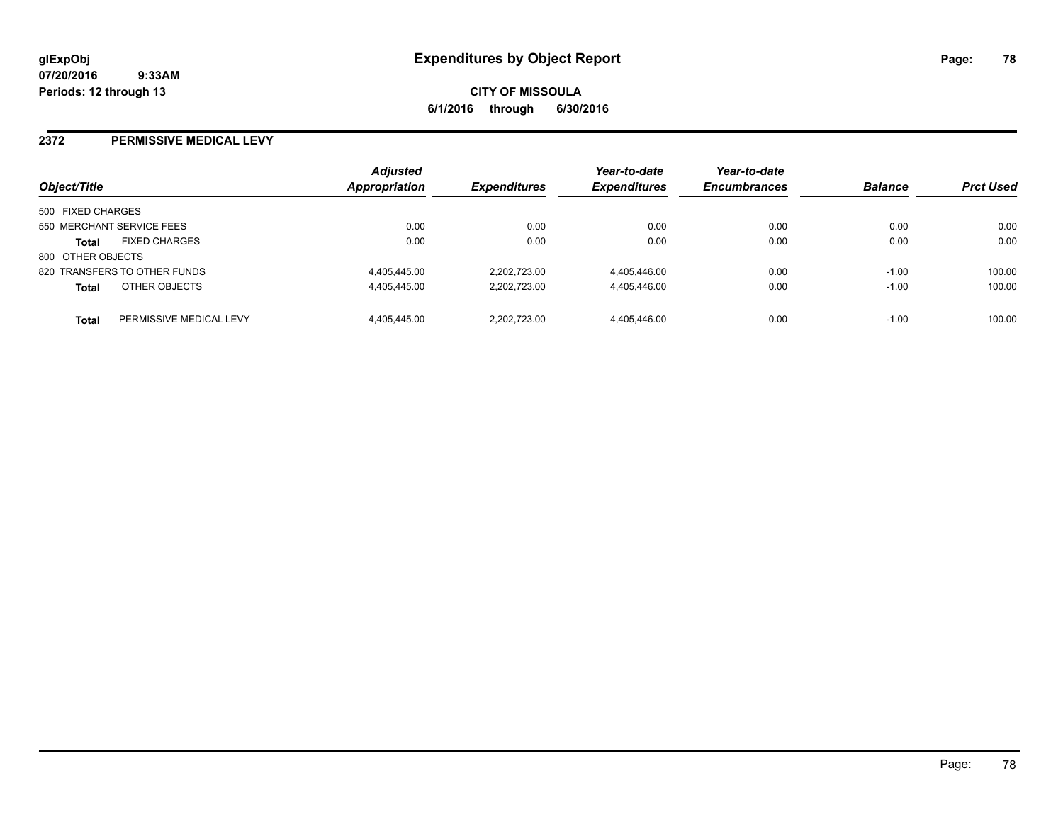**CITY OF MISSOULA 6/1/2016 through 6/30/2016**

### **2372 PERMISSIVE MEDICAL LEVY**

| Object/Title      |                              | <b>Adjusted</b><br>Appropriation | <b>Expenditures</b> | Year-to-date<br><b>Expenditures</b> | Year-to-date<br><b>Encumbrances</b> | <b>Balance</b> | <b>Prct Used</b> |
|-------------------|------------------------------|----------------------------------|---------------------|-------------------------------------|-------------------------------------|----------------|------------------|
| 500 FIXED CHARGES |                              |                                  |                     |                                     |                                     |                |                  |
|                   | 550 MERCHANT SERVICE FEES    | 0.00                             | 0.00                | 0.00                                | 0.00                                | 0.00           | 0.00             |
| <b>Total</b>      | <b>FIXED CHARGES</b>         | 0.00                             | 0.00                | 0.00                                | 0.00                                | 0.00           | 0.00             |
| 800 OTHER OBJECTS |                              |                                  |                     |                                     |                                     |                |                  |
|                   | 820 TRANSFERS TO OTHER FUNDS | 4,405,445.00                     | 2.202.723.00        | 4,405,446.00                        | 0.00                                | $-1.00$        | 100.00           |
| <b>Total</b>      | OTHER OBJECTS                | 4,405,445.00                     | 2.202.723.00        | 4,405,446.00                        | 0.00                                | $-1.00$        | 100.00           |
| Total             | PERMISSIVE MEDICAL LEVY      | 4.405.445.00                     | 2.202.723.00        | 4,405,446.00                        | 0.00                                | $-1.00$        | 100.00           |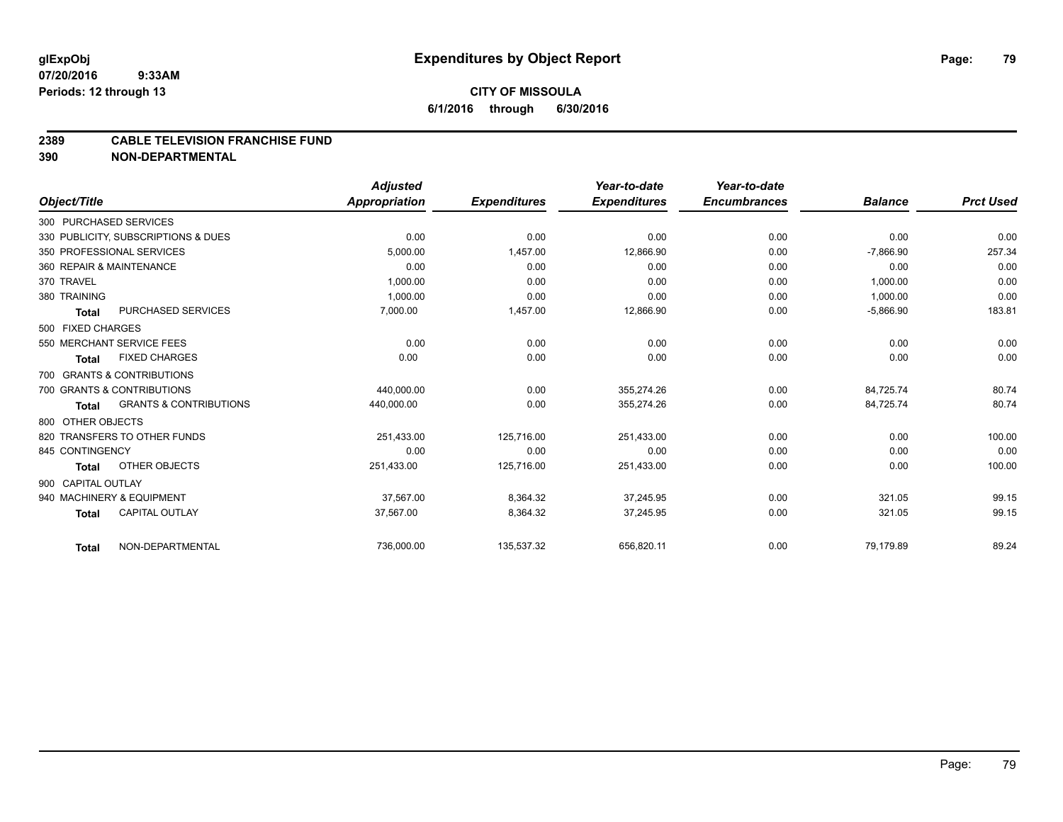# **CITY OF MISSOULA 6/1/2016 through 6/30/2016**

### **2389 CABLE TELEVISION FRANCHISE FUND**

**390 NON-DEPARTMENTAL**

|                    |                                     | <b>Adjusted</b>      |                     | Year-to-date        | Year-to-date        |                |                  |
|--------------------|-------------------------------------|----------------------|---------------------|---------------------|---------------------|----------------|------------------|
| Object/Title       |                                     | <b>Appropriation</b> | <b>Expenditures</b> | <b>Expenditures</b> | <b>Encumbrances</b> | <b>Balance</b> | <b>Prct Used</b> |
|                    | 300 PURCHASED SERVICES              |                      |                     |                     |                     |                |                  |
|                    | 330 PUBLICITY, SUBSCRIPTIONS & DUES | 0.00                 | 0.00                | 0.00                | 0.00                | 0.00           | 0.00             |
|                    | 350 PROFESSIONAL SERVICES           | 5.000.00             | 1,457.00            | 12,866.90           | 0.00                | $-7,866.90$    | 257.34           |
|                    | 360 REPAIR & MAINTENANCE            | 0.00                 | 0.00                | 0.00                | 0.00                | 0.00           | 0.00             |
| 370 TRAVEL         |                                     | 1,000.00             | 0.00                | 0.00                | 0.00                | 1,000.00       | 0.00             |
| 380 TRAINING       |                                     | 1,000.00             | 0.00                | 0.00                | 0.00                | 1,000.00       | 0.00             |
| Total              | <b>PURCHASED SERVICES</b>           | 7,000.00             | 1,457.00            | 12,866.90           | 0.00                | $-5,866.90$    | 183.81           |
| 500 FIXED CHARGES  |                                     |                      |                     |                     |                     |                |                  |
|                    | 550 MERCHANT SERVICE FEES           | 0.00                 | 0.00                | 0.00                | 0.00                | 0.00           | 0.00             |
| Total              | <b>FIXED CHARGES</b>                | 0.00                 | 0.00                | 0.00                | 0.00                | 0.00           | 0.00             |
|                    | 700 GRANTS & CONTRIBUTIONS          |                      |                     |                     |                     |                |                  |
|                    | 700 GRANTS & CONTRIBUTIONS          | 440,000.00           | 0.00                | 355,274.26          | 0.00                | 84,725.74      | 80.74            |
| Total              | <b>GRANTS &amp; CONTRIBUTIONS</b>   | 440,000.00           | 0.00                | 355,274.26          | 0.00                | 84,725.74      | 80.74            |
| 800 OTHER OBJECTS  |                                     |                      |                     |                     |                     |                |                  |
|                    | 820 TRANSFERS TO OTHER FUNDS        | 251,433.00           | 125,716.00          | 251,433.00          | 0.00                | 0.00           | 100.00           |
| 845 CONTINGENCY    |                                     | 0.00                 | 0.00                | 0.00                | 0.00                | 0.00           | 0.00             |
| <b>Total</b>       | OTHER OBJECTS                       | 251,433.00           | 125,716.00          | 251,433.00          | 0.00                | 0.00           | 100.00           |
| 900 CAPITAL OUTLAY |                                     |                      |                     |                     |                     |                |                  |
|                    | 940 MACHINERY & EQUIPMENT           | 37,567.00            | 8,364.32            | 37,245.95           | 0.00                | 321.05         | 99.15            |
| <b>Total</b>       | <b>CAPITAL OUTLAY</b>               | 37,567.00            | 8,364.32            | 37,245.95           | 0.00                | 321.05         | 99.15            |
| <b>Total</b>       | NON-DEPARTMENTAL                    | 736,000.00           | 135,537.32          | 656,820.11          | 0.00                | 79,179.89      | 89.24            |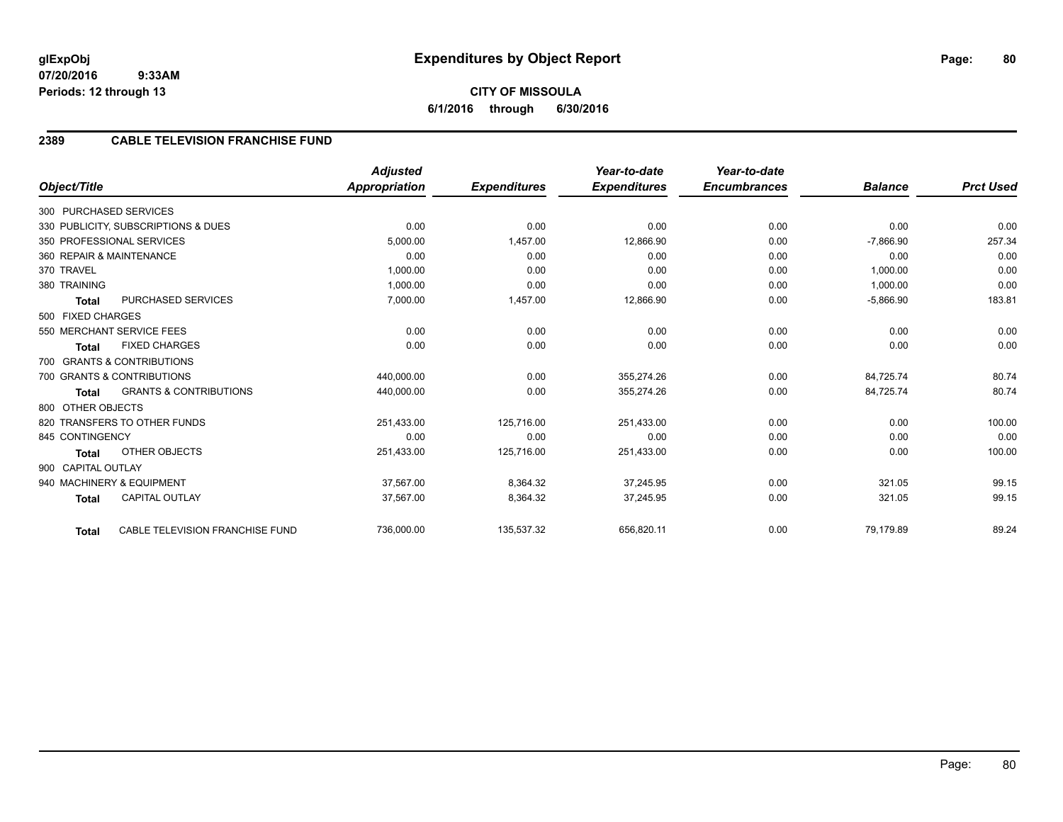# **2389 CABLE TELEVISION FRANCHISE FUND**

|                          |                                     | <b>Adjusted</b>      |                     | Year-to-date        | Year-to-date        |                |                  |
|--------------------------|-------------------------------------|----------------------|---------------------|---------------------|---------------------|----------------|------------------|
| Object/Title             |                                     | <b>Appropriation</b> | <b>Expenditures</b> | <b>Expenditures</b> | <b>Encumbrances</b> | <b>Balance</b> | <b>Prct Used</b> |
| 300 PURCHASED SERVICES   |                                     |                      |                     |                     |                     |                |                  |
|                          | 330 PUBLICITY, SUBSCRIPTIONS & DUES | 0.00                 | 0.00                | 0.00                | 0.00                | 0.00           | 0.00             |
|                          | 350 PROFESSIONAL SERVICES           | 5,000.00             | 1.457.00            | 12,866.90           | 0.00                | $-7,866.90$    | 257.34           |
| 360 REPAIR & MAINTENANCE |                                     | 0.00                 | 0.00                | 0.00                | 0.00                | 0.00           | 0.00             |
| 370 TRAVEL               |                                     | 1,000.00             | 0.00                | 0.00                | 0.00                | 1,000.00       | 0.00             |
| 380 TRAINING             |                                     | 1,000.00             | 0.00                | 0.00                | 0.00                | 1,000.00       | 0.00             |
| <b>Total</b>             | PURCHASED SERVICES                  | 7,000.00             | 1,457.00            | 12,866.90           | 0.00                | $-5,866.90$    | 183.81           |
| 500 FIXED CHARGES        |                                     |                      |                     |                     |                     |                |                  |
|                          | 550 MERCHANT SERVICE FEES           | 0.00                 | 0.00                | 0.00                | 0.00                | 0.00           | 0.00             |
| <b>Total</b>             | <b>FIXED CHARGES</b>                | 0.00                 | 0.00                | 0.00                | 0.00                | 0.00           | 0.00             |
|                          | 700 GRANTS & CONTRIBUTIONS          |                      |                     |                     |                     |                |                  |
|                          | 700 GRANTS & CONTRIBUTIONS          | 440,000.00           | 0.00                | 355,274.26          | 0.00                | 84,725.74      | 80.74            |
| <b>Total</b>             | <b>GRANTS &amp; CONTRIBUTIONS</b>   | 440,000.00           | 0.00                | 355,274.26          | 0.00                | 84,725.74      | 80.74            |
| 800 OTHER OBJECTS        |                                     |                      |                     |                     |                     |                |                  |
|                          | 820 TRANSFERS TO OTHER FUNDS        | 251,433.00           | 125,716.00          | 251,433.00          | 0.00                | 0.00           | 100.00           |
| 845 CONTINGENCY          |                                     | 0.00                 | 0.00                | 0.00                | 0.00                | 0.00           | 0.00             |
| <b>Total</b>             | <b>OTHER OBJECTS</b>                | 251,433.00           | 125,716.00          | 251,433.00          | 0.00                | 0.00           | 100.00           |
| 900 CAPITAL OUTLAY       |                                     |                      |                     |                     |                     |                |                  |
|                          | 940 MACHINERY & EQUIPMENT           | 37,567.00            | 8,364.32            | 37,245.95           | 0.00                | 321.05         | 99.15            |
| <b>Total</b>             | <b>CAPITAL OUTLAY</b>               | 37,567.00            | 8,364.32            | 37,245.95           | 0.00                | 321.05         | 99.15            |
| <b>Total</b>             | CABLE TELEVISION FRANCHISE FUND     | 736,000.00           | 135,537.32          | 656,820.11          | 0.00                | 79,179.89      | 89.24            |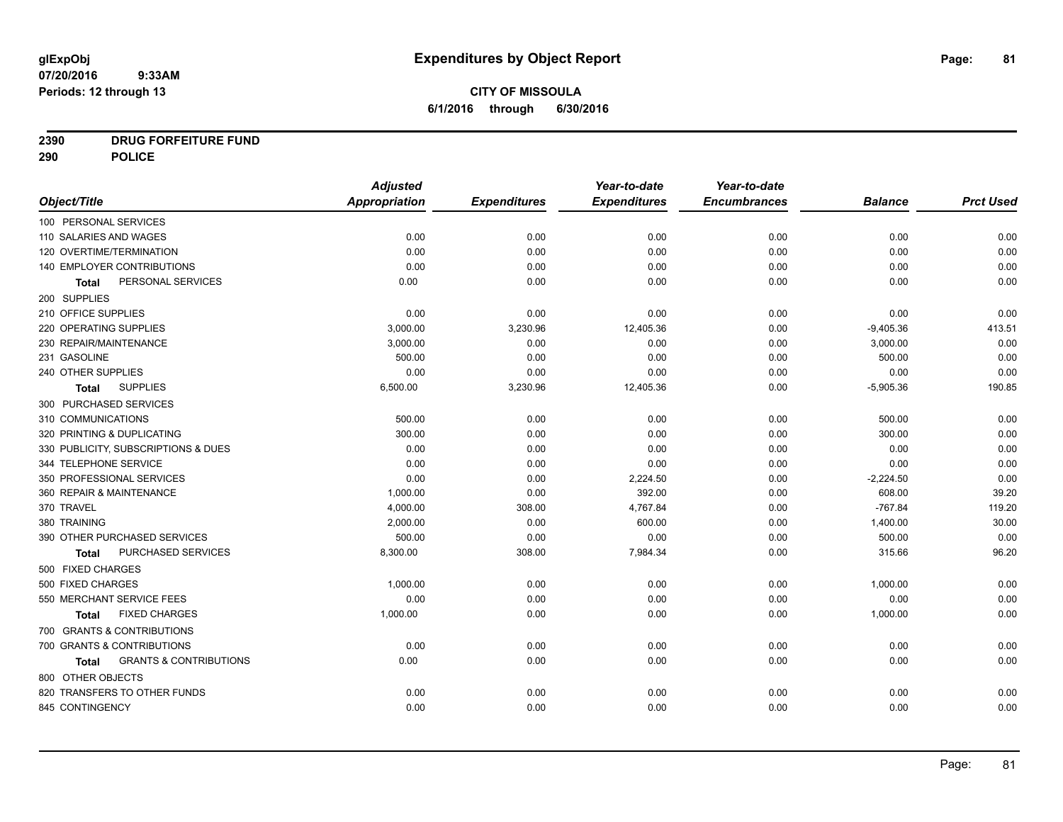# **CITY OF MISSOULA 6/1/2016 through 6/30/2016**

# **2390 DRUG FORFEITURE FUND**

**290 POLICE**

|                                            | <b>Adjusted</b> |                     | Year-to-date        | Year-to-date        |                |                  |
|--------------------------------------------|-----------------|---------------------|---------------------|---------------------|----------------|------------------|
| Object/Title                               | Appropriation   | <b>Expenditures</b> | <b>Expenditures</b> | <b>Encumbrances</b> | <b>Balance</b> | <b>Prct Used</b> |
| 100 PERSONAL SERVICES                      |                 |                     |                     |                     |                |                  |
| 110 SALARIES AND WAGES                     | 0.00            | 0.00                | 0.00                | 0.00                | 0.00           | 0.00             |
| 120 OVERTIME/TERMINATION                   | 0.00            | 0.00                | 0.00                | 0.00                | 0.00           | 0.00             |
| 140 EMPLOYER CONTRIBUTIONS                 | 0.00            | 0.00                | 0.00                | 0.00                | 0.00           | 0.00             |
| PERSONAL SERVICES<br><b>Total</b>          | 0.00            | 0.00                | 0.00                | 0.00                | 0.00           | 0.00             |
| 200 SUPPLIES                               |                 |                     |                     |                     |                |                  |
| 210 OFFICE SUPPLIES                        | 0.00            | 0.00                | 0.00                | 0.00                | 0.00           | 0.00             |
| 220 OPERATING SUPPLIES                     | 3,000.00        | 3,230.96            | 12,405.36           | 0.00                | $-9,405.36$    | 413.51           |
| 230 REPAIR/MAINTENANCE                     | 3,000.00        | 0.00                | 0.00                | 0.00                | 3,000.00       | 0.00             |
| 231 GASOLINE                               | 500.00          | 0.00                | 0.00                | 0.00                | 500.00         | 0.00             |
| 240 OTHER SUPPLIES                         | 0.00            | 0.00                | 0.00                | 0.00                | 0.00           | 0.00             |
| <b>SUPPLIES</b><br><b>Total</b>            | 6,500.00        | 3,230.96            | 12,405.36           | 0.00                | $-5,905.36$    | 190.85           |
| 300 PURCHASED SERVICES                     |                 |                     |                     |                     |                |                  |
| 310 COMMUNICATIONS                         | 500.00          | 0.00                | 0.00                | 0.00                | 500.00         | 0.00             |
| 320 PRINTING & DUPLICATING                 | 300.00          | 0.00                | 0.00                | 0.00                | 300.00         | 0.00             |
| 330 PUBLICITY, SUBSCRIPTIONS & DUES        | 0.00            | 0.00                | 0.00                | 0.00                | 0.00           | 0.00             |
| 344 TELEPHONE SERVICE                      | 0.00            | 0.00                | 0.00                | 0.00                | 0.00           | 0.00             |
| 350 PROFESSIONAL SERVICES                  | 0.00            | 0.00                | 2,224.50            | 0.00                | $-2,224.50$    | 0.00             |
| 360 REPAIR & MAINTENANCE                   | 1,000.00        | 0.00                | 392.00              | 0.00                | 608.00         | 39.20            |
| 370 TRAVEL                                 | 4,000.00        | 308.00              | 4,767.84            | 0.00                | $-767.84$      | 119.20           |
| 380 TRAINING                               | 2,000.00        | 0.00                | 600.00              | 0.00                | 1,400.00       | 30.00            |
| 390 OTHER PURCHASED SERVICES               | 500.00          | 0.00                | 0.00                | 0.00                | 500.00         | 0.00             |
| PURCHASED SERVICES<br>Total                | 8,300.00        | 308.00              | 7,984.34            | 0.00                | 315.66         | 96.20            |
| 500 FIXED CHARGES                          |                 |                     |                     |                     |                |                  |
| 500 FIXED CHARGES                          | 1,000.00        | 0.00                | 0.00                | 0.00                | 1,000.00       | 0.00             |
| 550 MERCHANT SERVICE FEES                  | 0.00            | 0.00                | 0.00                | 0.00                | 0.00           | 0.00             |
| <b>FIXED CHARGES</b><br>Total              | 1,000.00        | 0.00                | 0.00                | 0.00                | 1,000.00       | 0.00             |
| 700 GRANTS & CONTRIBUTIONS                 |                 |                     |                     |                     |                |                  |
| 700 GRANTS & CONTRIBUTIONS                 | 0.00            | 0.00                | 0.00                | 0.00                | 0.00           | 0.00             |
| <b>GRANTS &amp; CONTRIBUTIONS</b><br>Total | 0.00            | 0.00                | 0.00                | 0.00                | 0.00           | 0.00             |
| 800 OTHER OBJECTS                          |                 |                     |                     |                     |                |                  |
| 820 TRANSFERS TO OTHER FUNDS               | 0.00            | 0.00                | 0.00                | 0.00                | 0.00           | 0.00             |
| 845 CONTINGENCY                            | 0.00            | 0.00                | 0.00                | 0.00                | 0.00           | 0.00             |
|                                            |                 |                     |                     |                     |                |                  |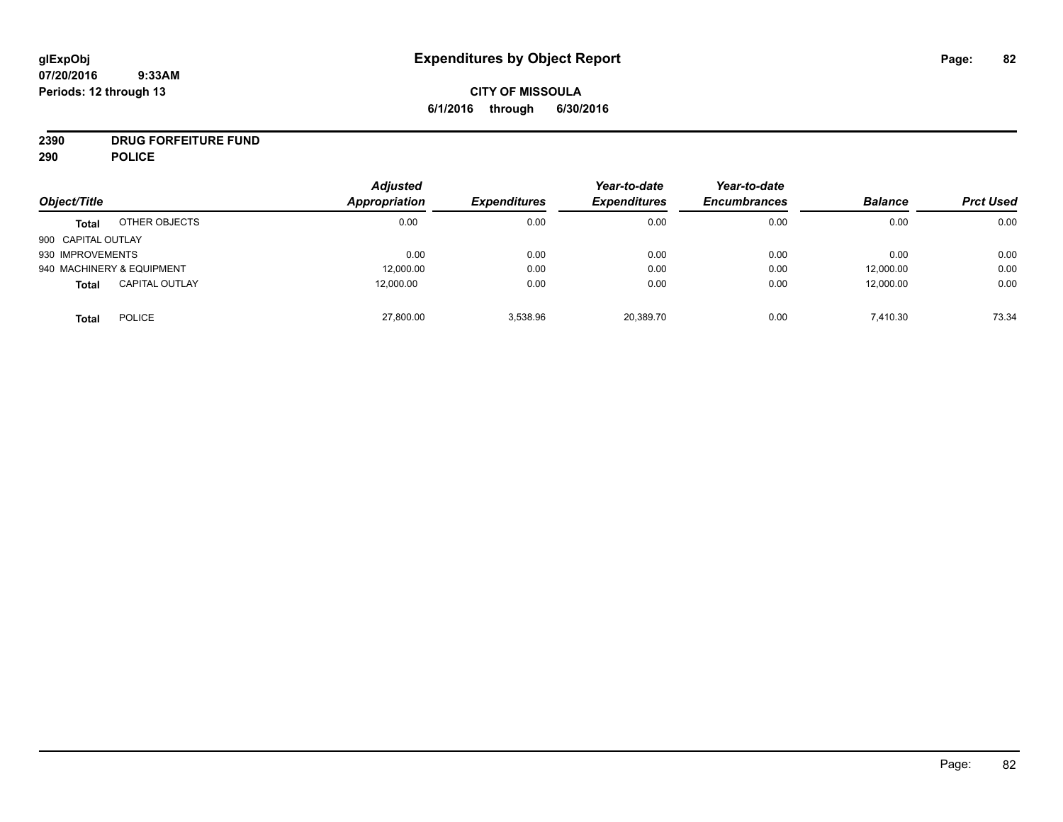# **CITY OF MISSOULA 6/1/2016 through 6/30/2016**

# **2390 DRUG FORFEITURE FUND**

**290 POLICE**

| Object/Title       |                           | <b>Adjusted</b><br>Appropriation | <b>Expenditures</b> | Year-to-date<br><b>Expenditures</b> | Year-to-date<br><b>Encumbrances</b> | <b>Balance</b> | <b>Prct Used</b> |
|--------------------|---------------------------|----------------------------------|---------------------|-------------------------------------|-------------------------------------|----------------|------------------|
|                    |                           |                                  |                     |                                     |                                     |                |                  |
| <b>Total</b>       | OTHER OBJECTS             | 0.00                             | 0.00                | 0.00                                | 0.00                                | 0.00           | 0.00             |
| 900 CAPITAL OUTLAY |                           |                                  |                     |                                     |                                     |                |                  |
| 930 IMPROVEMENTS   |                           | 0.00                             | 0.00                | 0.00                                | 0.00                                | 0.00           | 0.00             |
|                    | 940 MACHINERY & EQUIPMENT | 12,000.00                        | 0.00                | 0.00                                | 0.00                                | 12,000.00      | 0.00             |
| <b>Total</b>       | <b>CAPITAL OUTLAY</b>     | 12,000.00                        | 0.00                | 0.00                                | 0.00                                | 12,000.00      | 0.00             |
| <b>Total</b>       | <b>POLICE</b>             | 27,800.00                        | 3.538.96            | 20,389.70                           | 0.00                                | 7,410.30       | 73.34            |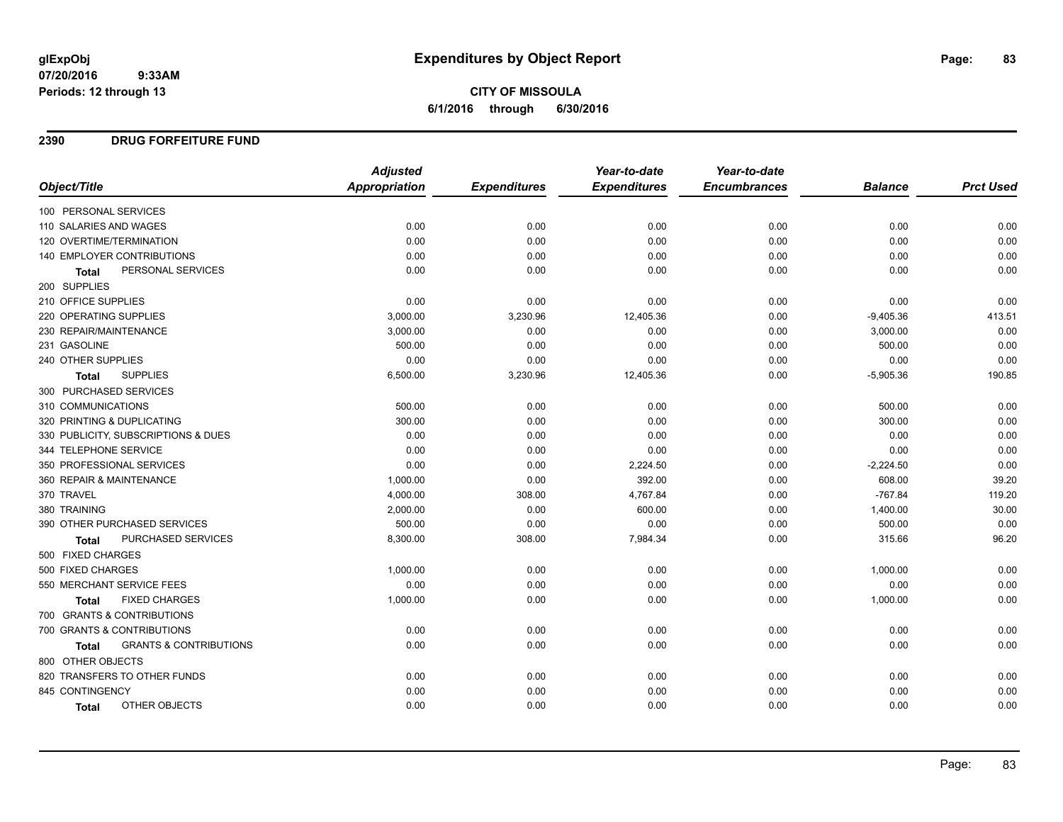# **CITY OF MISSOULA 6/1/2016 through 6/30/2016**

### **2390 DRUG FORFEITURE FUND**

|                                            | <b>Adjusted</b>      |                     | Year-to-date        | Year-to-date        |                |                  |
|--------------------------------------------|----------------------|---------------------|---------------------|---------------------|----------------|------------------|
| Object/Title                               | <b>Appropriation</b> | <b>Expenditures</b> | <b>Expenditures</b> | <b>Encumbrances</b> | <b>Balance</b> | <b>Prct Used</b> |
| 100 PERSONAL SERVICES                      |                      |                     |                     |                     |                |                  |
| 110 SALARIES AND WAGES                     | 0.00                 | 0.00                | 0.00                | 0.00                | 0.00           | 0.00             |
| 120 OVERTIME/TERMINATION                   | 0.00                 | 0.00                | 0.00                | 0.00                | 0.00           | 0.00             |
| 140 EMPLOYER CONTRIBUTIONS                 | 0.00                 | 0.00                | 0.00                | 0.00                | 0.00           | 0.00             |
| PERSONAL SERVICES<br><b>Total</b>          | 0.00                 | 0.00                | 0.00                | 0.00                | 0.00           | 0.00             |
| 200 SUPPLIES                               |                      |                     |                     |                     |                |                  |
| 210 OFFICE SUPPLIES                        | 0.00                 | 0.00                | 0.00                | 0.00                | 0.00           | 0.00             |
| 220 OPERATING SUPPLIES                     | 3,000.00             | 3,230.96            | 12,405.36           | 0.00                | $-9,405.36$    | 413.51           |
| 230 REPAIR/MAINTENANCE                     | 3,000.00             | 0.00                | 0.00                | 0.00                | 3,000.00       | 0.00             |
| 231 GASOLINE                               | 500.00               | 0.00                | 0.00                | 0.00                | 500.00         | 0.00             |
| 240 OTHER SUPPLIES                         | 0.00                 | 0.00                | 0.00                | 0.00                | 0.00           | 0.00             |
| <b>SUPPLIES</b><br><b>Total</b>            | 6,500.00             | 3,230.96            | 12,405.36           | 0.00                | $-5,905.36$    | 190.85           |
| 300 PURCHASED SERVICES                     |                      |                     |                     |                     |                |                  |
| 310 COMMUNICATIONS                         | 500.00               | 0.00                | 0.00                | 0.00                | 500.00         | 0.00             |
| 320 PRINTING & DUPLICATING                 | 300.00               | 0.00                | 0.00                | 0.00                | 300.00         | 0.00             |
| 330 PUBLICITY, SUBSCRIPTIONS & DUES        | 0.00                 | 0.00                | 0.00                | 0.00                | 0.00           | 0.00             |
| 344 TELEPHONE SERVICE                      | 0.00                 | 0.00                | 0.00                | 0.00                | 0.00           | 0.00             |
| 350 PROFESSIONAL SERVICES                  | 0.00                 | 0.00                | 2,224.50            | 0.00                | $-2,224.50$    | 0.00             |
| 360 REPAIR & MAINTENANCE                   | 1,000.00             | 0.00                | 392.00              | 0.00                | 608.00         | 39.20            |
| 370 TRAVEL                                 | 4,000.00             | 308.00              | 4,767.84            | 0.00                | $-767.84$      | 119.20           |
| 380 TRAINING                               | 2,000.00             | 0.00                | 600.00              | 0.00                | 1,400.00       | 30.00            |
| 390 OTHER PURCHASED SERVICES               | 500.00               | 0.00                | 0.00                | 0.00                | 500.00         | 0.00             |
| PURCHASED SERVICES<br>Total                | 8,300.00             | 308.00              | 7,984.34            | 0.00                | 315.66         | 96.20            |
| 500 FIXED CHARGES                          |                      |                     |                     |                     |                |                  |
| 500 FIXED CHARGES                          | 1,000.00             | 0.00                | 0.00                | 0.00                | 1,000.00       | 0.00             |
| 550 MERCHANT SERVICE FEES                  | 0.00                 | 0.00                | 0.00                | 0.00                | 0.00           | 0.00             |
| <b>FIXED CHARGES</b><br><b>Total</b>       | 1,000.00             | 0.00                | 0.00                | 0.00                | 1,000.00       | 0.00             |
| 700 GRANTS & CONTRIBUTIONS                 |                      |                     |                     |                     |                |                  |
| 700 GRANTS & CONTRIBUTIONS                 | 0.00                 | 0.00                | 0.00                | 0.00                | 0.00           | 0.00             |
| <b>GRANTS &amp; CONTRIBUTIONS</b><br>Total | 0.00                 | 0.00                | 0.00                | 0.00                | 0.00           | 0.00             |
| 800 OTHER OBJECTS                          |                      |                     |                     |                     |                |                  |
| 820 TRANSFERS TO OTHER FUNDS               | 0.00                 | 0.00                | 0.00                | 0.00                | 0.00           | 0.00             |
| 845 CONTINGENCY                            | 0.00                 | 0.00                | 0.00                | 0.00                | 0.00           | 0.00             |
| OTHER OBJECTS<br><b>Total</b>              | 0.00                 | 0.00                | 0.00                | 0.00                | 0.00           | 0.00             |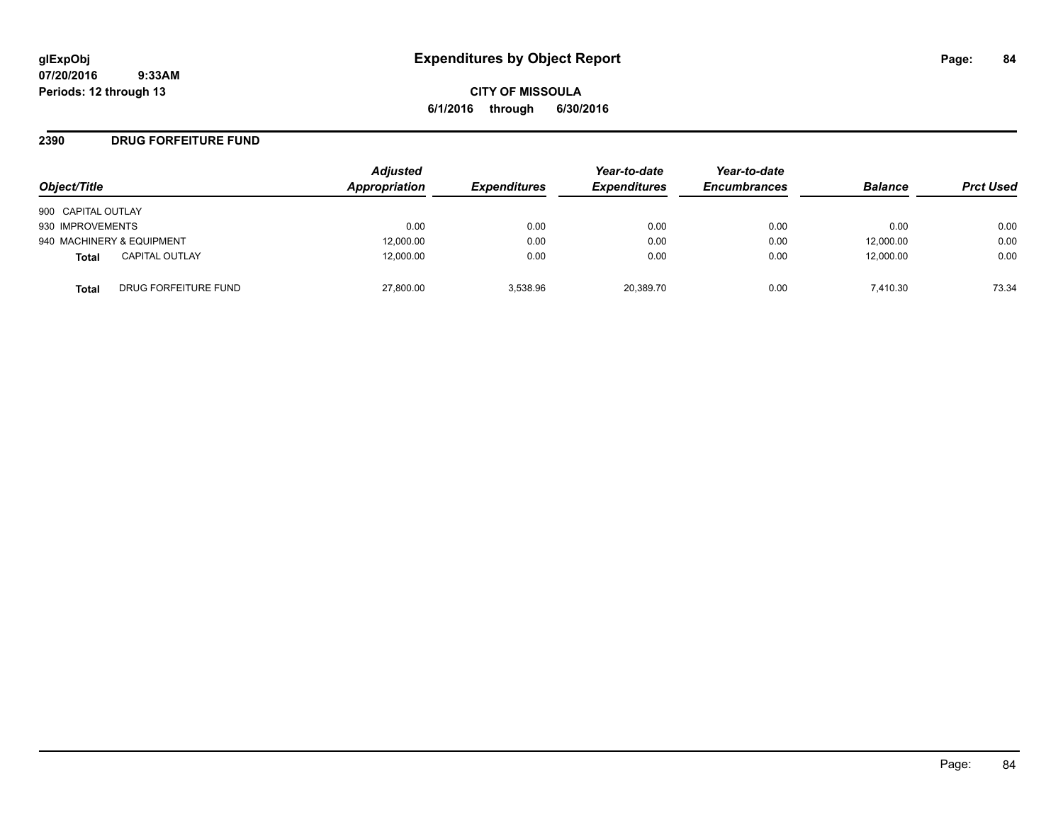**CITY OF MISSOULA 6/1/2016 through 6/30/2016**

### **2390 DRUG FORFEITURE FUND**

| Object/Title              |                       | <b>Adjusted</b><br><b>Appropriation</b> | <b>Expenditures</b> | Year-to-date<br><b>Expenditures</b> | Year-to-date<br><b>Encumbrances</b> | <b>Balance</b> | <b>Prct Used</b> |
|---------------------------|-----------------------|-----------------------------------------|---------------------|-------------------------------------|-------------------------------------|----------------|------------------|
| 900 CAPITAL OUTLAY        |                       |                                         |                     |                                     |                                     |                |                  |
| 930 IMPROVEMENTS          |                       | 0.00                                    | 0.00                | 0.00                                | 0.00                                | 0.00           | 0.00             |
| 940 MACHINERY & EQUIPMENT |                       | 12,000.00                               | 0.00                | 0.00                                | 0.00                                | 12,000.00      | 0.00             |
| Total                     | <b>CAPITAL OUTLAY</b> | 12,000.00                               | 0.00                | 0.00                                | 0.00                                | 12,000.00      | 0.00             |
| Total                     | DRUG FORFEITURE FUND  | 27,800.00                               | 3.538.96            | 20.389.70                           | 0.00                                | 7.410.30       | 73.34            |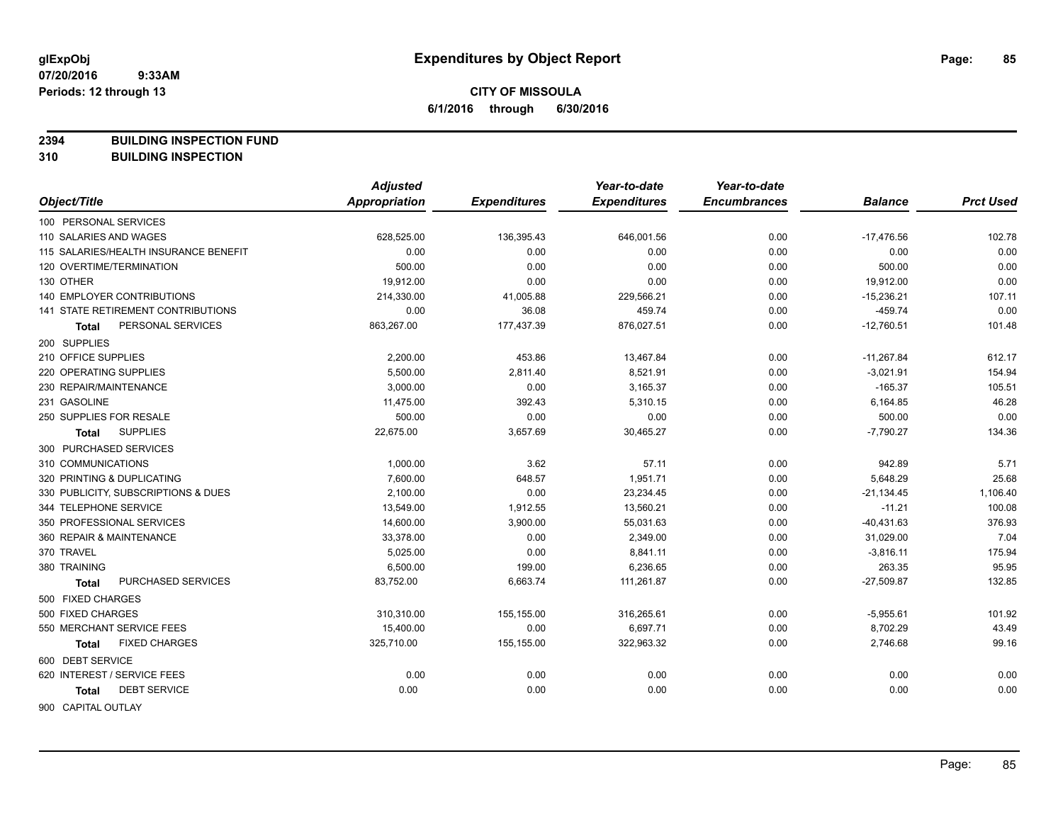**2394 BUILDING INSPECTION FUND**

**310 BUILDING INSPECTION**

|                                       | <b>Adjusted</b> |                     | Year-to-date        | Year-to-date        |                |                  |
|---------------------------------------|-----------------|---------------------|---------------------|---------------------|----------------|------------------|
| Object/Title                          | Appropriation   | <b>Expenditures</b> | <b>Expenditures</b> | <b>Encumbrances</b> | <b>Balance</b> | <b>Prct Used</b> |
| 100 PERSONAL SERVICES                 |                 |                     |                     |                     |                |                  |
| 110 SALARIES AND WAGES                | 628,525.00      | 136,395.43          | 646,001.56          | 0.00                | $-17,476.56$   | 102.78           |
| 115 SALARIES/HEALTH INSURANCE BENEFIT | 0.00            | 0.00                | 0.00                | 0.00                | 0.00           | 0.00             |
| 120 OVERTIME/TERMINATION              | 500.00          | 0.00                | 0.00                | 0.00                | 500.00         | 0.00             |
| 130 OTHER                             | 19,912.00       | 0.00                | 0.00                | 0.00                | 19,912.00      | 0.00             |
| 140 EMPLOYER CONTRIBUTIONS            | 214,330.00      | 41,005.88           | 229,566.21          | 0.00                | $-15,236.21$   | 107.11           |
| 141 STATE RETIREMENT CONTRIBUTIONS    | 0.00            | 36.08               | 459.74              | 0.00                | $-459.74$      | 0.00             |
| PERSONAL SERVICES<br><b>Total</b>     | 863,267.00      | 177,437.39          | 876,027.51          | 0.00                | $-12,760.51$   | 101.48           |
| 200 SUPPLIES                          |                 |                     |                     |                     |                |                  |
| 210 OFFICE SUPPLIES                   | 2,200.00        | 453.86              | 13,467.84           | 0.00                | $-11,267.84$   | 612.17           |
| 220 OPERATING SUPPLIES                | 5,500.00        | 2,811.40            | 8,521.91            | 0.00                | $-3,021.91$    | 154.94           |
| 230 REPAIR/MAINTENANCE                | 3,000.00        | 0.00                | 3,165.37            | 0.00                | $-165.37$      | 105.51           |
| 231 GASOLINE                          | 11,475.00       | 392.43              | 5,310.15            | 0.00                | 6,164.85       | 46.28            |
| 250 SUPPLIES FOR RESALE               | 500.00          | 0.00                | 0.00                | 0.00                | 500.00         | 0.00             |
| <b>SUPPLIES</b><br>Total              | 22,675.00       | 3,657.69            | 30,465.27           | 0.00                | $-7,790.27$    | 134.36           |
| 300 PURCHASED SERVICES                |                 |                     |                     |                     |                |                  |
| 310 COMMUNICATIONS                    | 1,000.00        | 3.62                | 57.11               | 0.00                | 942.89         | 5.71             |
| 320 PRINTING & DUPLICATING            | 7,600.00        | 648.57              | 1,951.71            | 0.00                | 5,648.29       | 25.68            |
| 330 PUBLICITY, SUBSCRIPTIONS & DUES   | 2,100.00        | 0.00                | 23,234.45           | 0.00                | $-21,134.45$   | 1,106.40         |
| 344 TELEPHONE SERVICE                 | 13,549.00       | 1,912.55            | 13,560.21           | 0.00                | $-11.21$       | 100.08           |
| 350 PROFESSIONAL SERVICES             | 14,600.00       | 3,900.00            | 55,031.63           | 0.00                | $-40,431.63$   | 376.93           |
| 360 REPAIR & MAINTENANCE              | 33,378.00       | 0.00                | 2,349.00            | 0.00                | 31,029.00      | 7.04             |
| 370 TRAVEL                            | 5,025.00        | 0.00                | 8,841.11            | 0.00                | $-3,816.11$    | 175.94           |
| 380 TRAINING                          | 6,500.00        | 199.00              | 6,236.65            | 0.00                | 263.35         | 95.95            |
| PURCHASED SERVICES<br>Total           | 83,752.00       | 6,663.74            | 111,261.87          | 0.00                | $-27,509.87$   | 132.85           |
| 500 FIXED CHARGES                     |                 |                     |                     |                     |                |                  |
| 500 FIXED CHARGES                     | 310,310.00      | 155,155.00          | 316,265.61          | 0.00                | $-5,955.61$    | 101.92           |
| 550 MERCHANT SERVICE FEES             | 15,400.00       | 0.00                | 6,697.71            | 0.00                | 8,702.29       | 43.49            |
| <b>FIXED CHARGES</b><br>Total         | 325,710.00      | 155,155.00          | 322,963.32          | 0.00                | 2,746.68       | 99.16            |
| 600 DEBT SERVICE                      |                 |                     |                     |                     |                |                  |
| 620 INTEREST / SERVICE FEES           | 0.00            | 0.00                | 0.00                | 0.00                | 0.00           | 0.00             |
| <b>DEBT SERVICE</b><br><b>Total</b>   | 0.00            | 0.00                | 0.00                | 0.00                | 0.00           | 0.00             |
| <b>OOO CADITAL OLITLAV</b>            |                 |                     |                     |                     |                |                  |

900 CAPITAL OUTLAY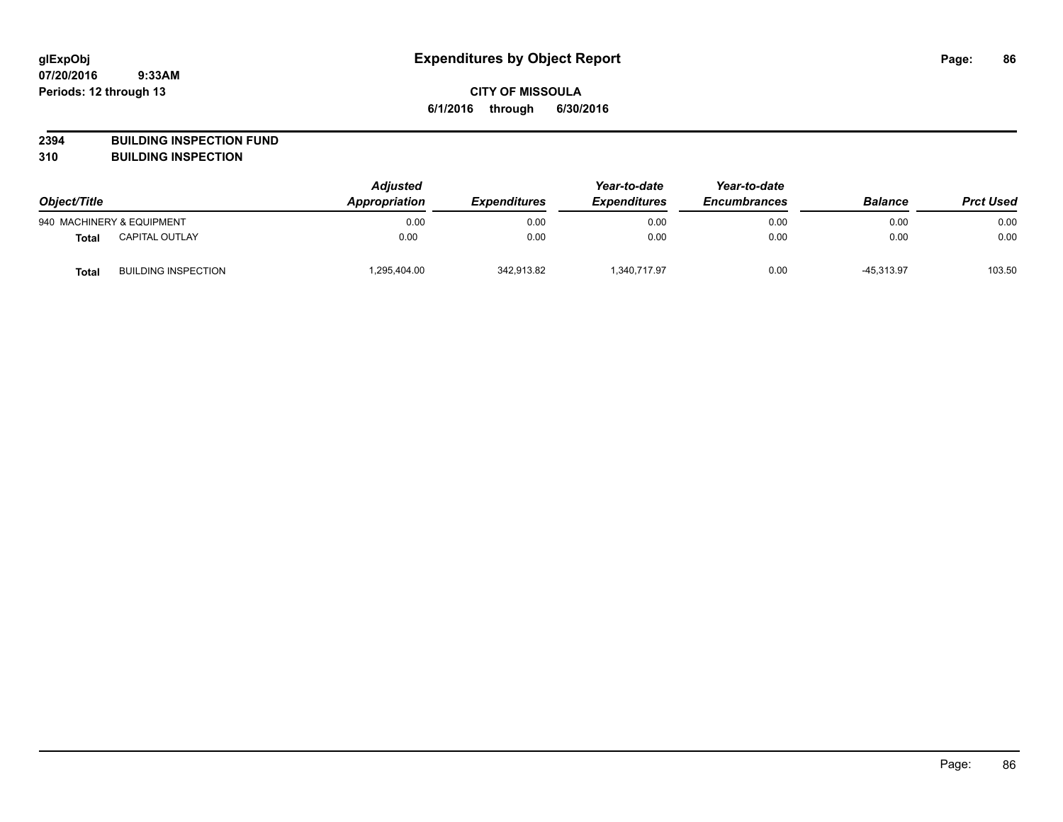**2394 BUILDING INSPECTION FUND**

**310 BUILDING INSPECTION**

| Object/Title |                            | <b>Adjusted</b><br>Appropriation<br><b>Expenditures</b> | Year-to-date<br><b>Expenditures</b> | Year-to-date<br><b>Encumbrances</b> | <b>Balance</b> | <b>Prct Used</b> |        |
|--------------|----------------------------|---------------------------------------------------------|-------------------------------------|-------------------------------------|----------------|------------------|--------|
|              | 940 MACHINERY & EQUIPMENT  | 0.00                                                    | 0.00                                | 0.00                                | 0.00           | 0.00             | 0.00   |
| <b>Total</b> | <b>CAPITAL OUTLAY</b>      | 0.00                                                    | 0.00                                | 0.00                                | 0.00           | 0.00             | 0.00   |
| <b>Total</b> | <b>BUILDING INSPECTION</b> | 1,295,404.00                                            | 342,913.82                          | 1.340.717.97                        | 0.00           | $-45.313.97$     | 103.50 |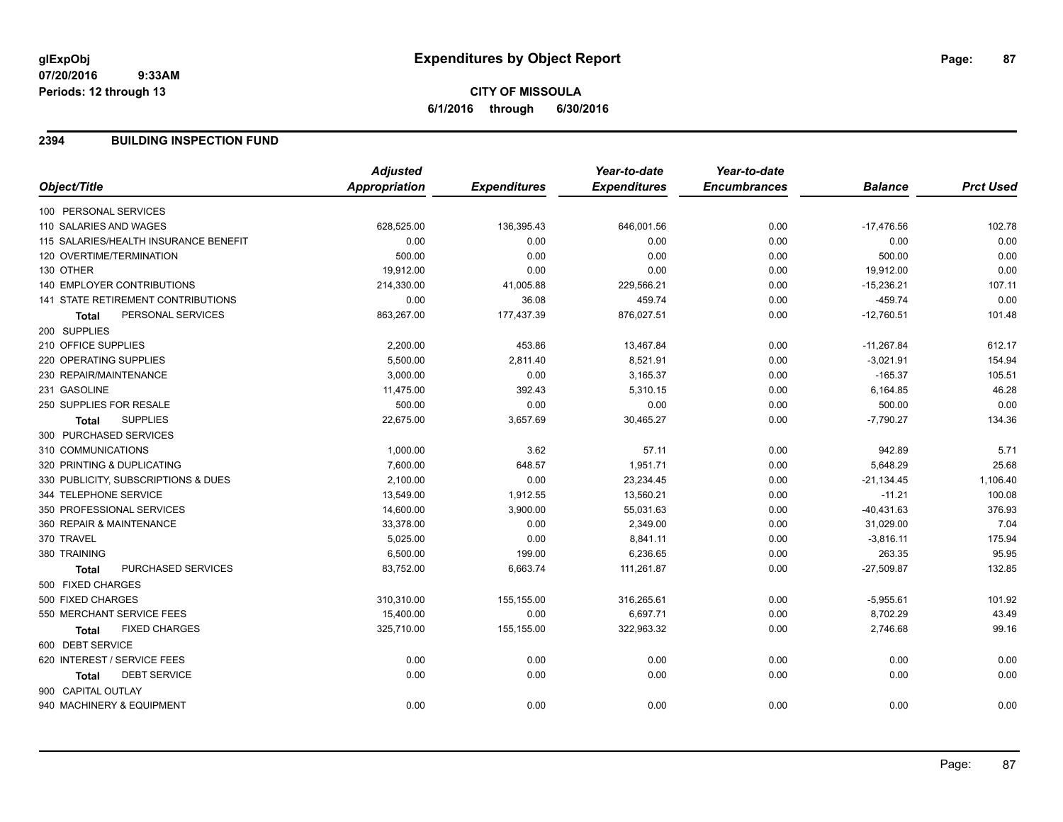# **CITY OF MISSOULA 6/1/2016 through 6/30/2016**

### **2394 BUILDING INSPECTION FUND**

|                                           | <b>Adjusted</b>      |                     | Year-to-date        | Year-to-date        |                |                  |
|-------------------------------------------|----------------------|---------------------|---------------------|---------------------|----------------|------------------|
| Object/Title                              | <b>Appropriation</b> | <b>Expenditures</b> | <b>Expenditures</b> | <b>Encumbrances</b> | <b>Balance</b> | <b>Prct Used</b> |
| 100 PERSONAL SERVICES                     |                      |                     |                     |                     |                |                  |
| 110 SALARIES AND WAGES                    | 628,525.00           | 136,395.43          | 646,001.56          | 0.00                | $-17,476.56$   | 102.78           |
| 115 SALARIES/HEALTH INSURANCE BENEFIT     | 0.00                 | 0.00                | 0.00                | 0.00                | 0.00           | 0.00             |
| 120 OVERTIME/TERMINATION                  | 500.00               | 0.00                | 0.00                | 0.00                | 500.00         | 0.00             |
| 130 OTHER                                 | 19,912.00            | 0.00                | 0.00                | 0.00                | 19,912.00      | 0.00             |
| <b>140 EMPLOYER CONTRIBUTIONS</b>         | 214,330.00           | 41,005.88           | 229,566.21          | 0.00                | $-15,236.21$   | 107.11           |
| <b>141 STATE RETIREMENT CONTRIBUTIONS</b> | 0.00                 | 36.08               | 459.74              | 0.00                | $-459.74$      | 0.00             |
| PERSONAL SERVICES<br><b>Total</b>         | 863,267.00           | 177,437.39          | 876,027.51          | 0.00                | $-12,760.51$   | 101.48           |
| 200 SUPPLIES                              |                      |                     |                     |                     |                |                  |
| 210 OFFICE SUPPLIES                       | 2,200.00             | 453.86              | 13,467.84           | 0.00                | $-11,267.84$   | 612.17           |
| 220 OPERATING SUPPLIES                    | 5,500.00             | 2,811.40            | 8,521.91            | 0.00                | $-3,021.91$    | 154.94           |
| 230 REPAIR/MAINTENANCE                    | 3,000.00             | 0.00                | 3,165.37            | 0.00                | $-165.37$      | 105.51           |
| 231 GASOLINE                              | 11,475.00            | 392.43              | 5,310.15            | 0.00                | 6,164.85       | 46.28            |
| 250 SUPPLIES FOR RESALE                   | 500.00               | 0.00                | 0.00                | 0.00                | 500.00         | 0.00             |
| <b>SUPPLIES</b><br><b>Total</b>           | 22,675.00            | 3,657.69            | 30,465.27           | 0.00                | $-7,790.27$    | 134.36           |
| 300 PURCHASED SERVICES                    |                      |                     |                     |                     |                |                  |
| 310 COMMUNICATIONS                        | 1,000.00             | 3.62                | 57.11               | 0.00                | 942.89         | 5.71             |
| 320 PRINTING & DUPLICATING                | 7,600.00             | 648.57              | 1,951.71            | 0.00                | 5,648.29       | 25.68            |
| 330 PUBLICITY, SUBSCRIPTIONS & DUES       | 2,100.00             | 0.00                | 23,234.45           | 0.00                | $-21,134.45$   | 1,106.40         |
| 344 TELEPHONE SERVICE                     | 13,549.00            | 1,912.55            | 13,560.21           | 0.00                | $-11.21$       | 100.08           |
| 350 PROFESSIONAL SERVICES                 | 14,600.00            | 3,900.00            | 55,031.63           | 0.00                | $-40,431.63$   | 376.93           |
| 360 REPAIR & MAINTENANCE                  | 33,378.00            | 0.00                | 2,349.00            | 0.00                | 31,029.00      | 7.04             |
| 370 TRAVEL                                | 5,025.00             | 0.00                | 8,841.11            | 0.00                | $-3,816.11$    | 175.94           |
| 380 TRAINING                              | 6,500.00             | 199.00              | 6,236.65            | 0.00                | 263.35         | 95.95            |
| PURCHASED SERVICES<br><b>Total</b>        | 83,752.00            | 6,663.74            | 111,261.87          | 0.00                | $-27,509.87$   | 132.85           |
| 500 FIXED CHARGES                         |                      |                     |                     |                     |                |                  |
| 500 FIXED CHARGES                         | 310,310.00           | 155,155.00          | 316,265.61          | 0.00                | $-5,955.61$    | 101.92           |
| 550 MERCHANT SERVICE FEES                 | 15,400.00            | 0.00                | 6,697.71            | 0.00                | 8,702.29       | 43.49            |
| <b>FIXED CHARGES</b><br>Total             | 325,710.00           | 155,155.00          | 322,963.32          | 0.00                | 2,746.68       | 99.16            |
| 600 DEBT SERVICE                          |                      |                     |                     |                     |                |                  |
| 620 INTEREST / SERVICE FEES               | 0.00                 | 0.00                | 0.00                | 0.00                | 0.00           | 0.00             |
| <b>DEBT SERVICE</b><br><b>Total</b>       | 0.00                 | 0.00                | 0.00                | 0.00                | 0.00           | 0.00             |
| 900 CAPITAL OUTLAY                        |                      |                     |                     |                     |                |                  |
| 940 MACHINERY & EQUIPMENT                 | 0.00                 | 0.00                | 0.00                | 0.00                | 0.00           | 0.00             |
|                                           |                      |                     |                     |                     |                |                  |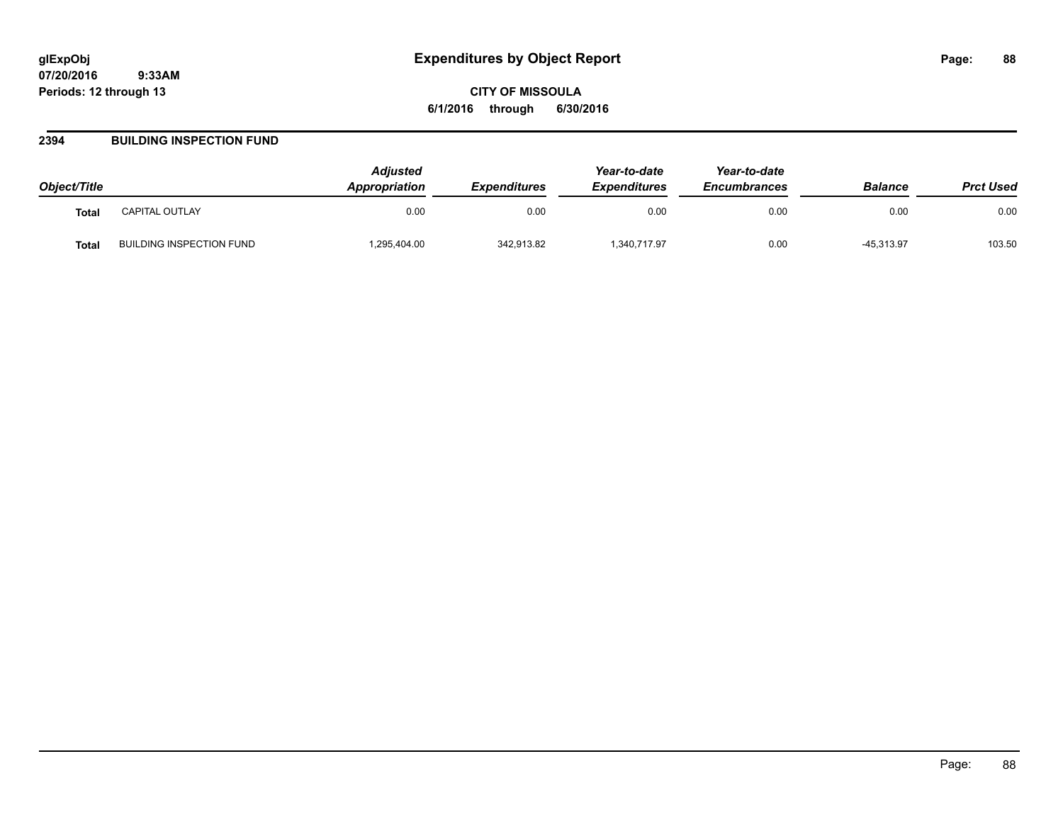**CITY OF MISSOULA 6/1/2016 through 6/30/2016**

### **2394 BUILDING INSPECTION FUND**

| Object/Title |                          | <b>Adiusted</b><br>Appropriation | <b>Expenditures</b> | Year-to-date<br><b>Expenditures</b> | Year-to-date<br><b>Encumbrances</b> | <b>Balance</b> | <b>Prct Used</b> |
|--------------|--------------------------|----------------------------------|---------------------|-------------------------------------|-------------------------------------|----------------|------------------|
| <b>Total</b> | CAPITAL OUTLAY           | 0.00                             | 0.00                | 0.00                                | 0.00                                | 0.00           | 0.00             |
| <b>Total</b> | BUILDING INSPECTION FUND | ,295,404.00                      | 342,913.82          | 1,340,717.97                        | 0.00                                | $-45,313.97$   | 103.50           |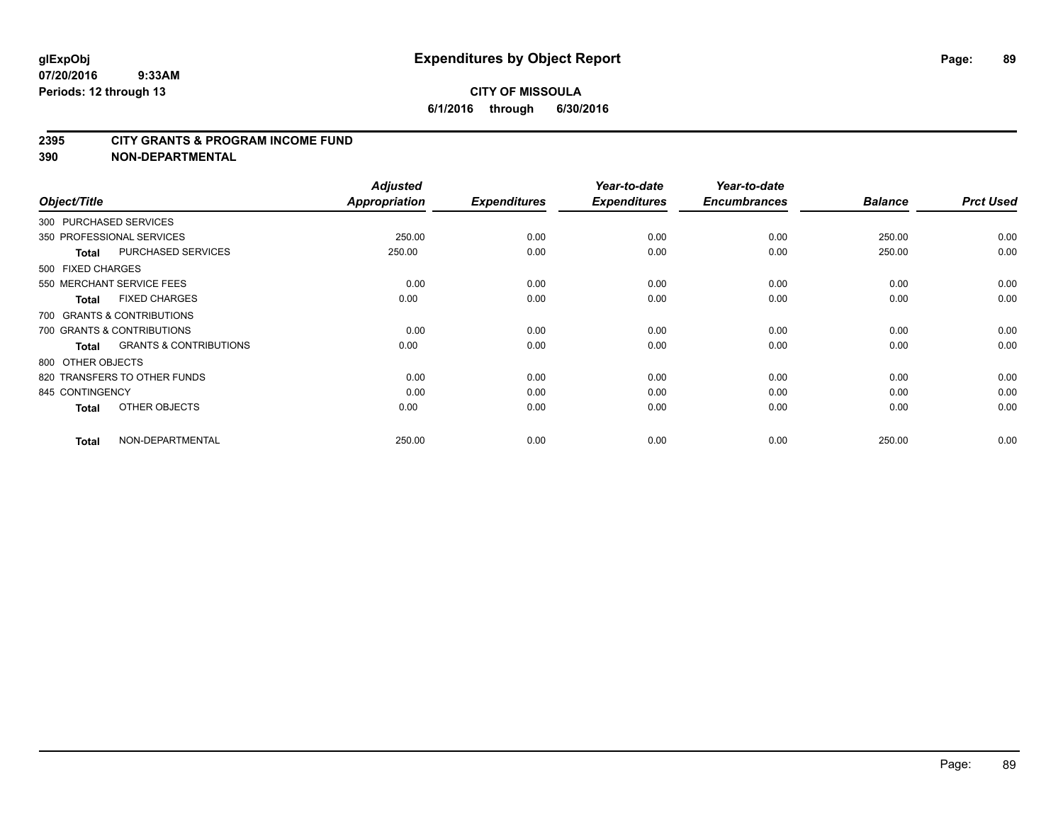### **2395 CITY GRANTS & PROGRAM INCOME FUND**

**390 NON-DEPARTMENTAL**

| Object/Title           |                                   | <b>Adjusted</b><br>Appropriation | <b>Expenditures</b> | Year-to-date<br><b>Expenditures</b> | Year-to-date<br><b>Encumbrances</b> | <b>Balance</b> | <b>Prct Used</b> |
|------------------------|-----------------------------------|----------------------------------|---------------------|-------------------------------------|-------------------------------------|----------------|------------------|
| 300 PURCHASED SERVICES |                                   |                                  |                     |                                     |                                     |                |                  |
|                        | 350 PROFESSIONAL SERVICES         | 250.00                           | 0.00                | 0.00                                | 0.00                                | 250.00         | 0.00             |
| <b>Total</b>           | <b>PURCHASED SERVICES</b>         | 250.00                           | 0.00                | 0.00                                | 0.00                                | 250.00         | 0.00             |
| 500 FIXED CHARGES      |                                   |                                  |                     |                                     |                                     |                |                  |
|                        | 550 MERCHANT SERVICE FEES         | 0.00                             | 0.00                | 0.00                                | 0.00                                | 0.00           | 0.00             |
| <b>Total</b>           | <b>FIXED CHARGES</b>              | 0.00                             | 0.00                | 0.00                                | 0.00                                | 0.00           | 0.00             |
|                        | 700 GRANTS & CONTRIBUTIONS        |                                  |                     |                                     |                                     |                |                  |
|                        | 700 GRANTS & CONTRIBUTIONS        | 0.00                             | 0.00                | 0.00                                | 0.00                                | 0.00           | 0.00             |
| <b>Total</b>           | <b>GRANTS &amp; CONTRIBUTIONS</b> | 0.00                             | 0.00                | 0.00                                | 0.00                                | 0.00           | 0.00             |
| 800 OTHER OBJECTS      |                                   |                                  |                     |                                     |                                     |                |                  |
|                        | 820 TRANSFERS TO OTHER FUNDS      | 0.00                             | 0.00                | 0.00                                | 0.00                                | 0.00           | 0.00             |
| 845 CONTINGENCY        |                                   | 0.00                             | 0.00                | 0.00                                | 0.00                                | 0.00           | 0.00             |
| <b>Total</b>           | OTHER OBJECTS                     | 0.00                             | 0.00                | 0.00                                | 0.00                                | 0.00           | 0.00             |
| <b>Total</b>           | NON-DEPARTMENTAL                  | 250.00                           | 0.00                | 0.00                                | 0.00                                | 250.00         | 0.00             |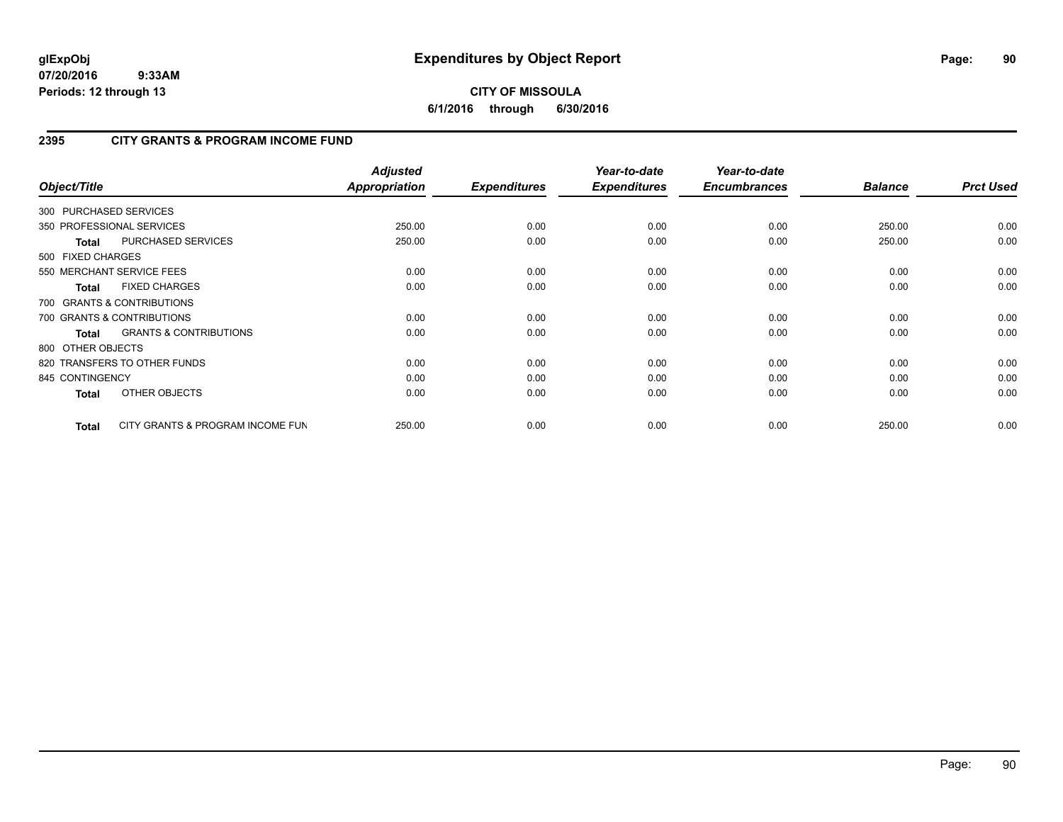# **CITY OF MISSOULA 6/1/2016 through 6/30/2016**

# **2395 CITY GRANTS & PROGRAM INCOME FUND**

| Object/Title           |                                   | <b>Adjusted</b><br>Appropriation | <b>Expenditures</b> | Year-to-date<br><b>Expenditures</b> | Year-to-date<br><b>Encumbrances</b> | <b>Balance</b> | <b>Prct Used</b> |
|------------------------|-----------------------------------|----------------------------------|---------------------|-------------------------------------|-------------------------------------|----------------|------------------|
| 300 PURCHASED SERVICES |                                   |                                  |                     |                                     |                                     |                |                  |
|                        | 350 PROFESSIONAL SERVICES         | 250.00                           | 0.00                | 0.00                                | 0.00                                | 250.00         | 0.00             |
| <b>Total</b>           | PURCHASED SERVICES                | 250.00                           | 0.00                | 0.00                                | 0.00                                | 250.00         | 0.00             |
| 500 FIXED CHARGES      |                                   |                                  |                     |                                     |                                     |                |                  |
|                        | 550 MERCHANT SERVICE FEES         | 0.00                             | 0.00                | 0.00                                | 0.00                                | 0.00           | 0.00             |
| <b>Total</b>           | <b>FIXED CHARGES</b>              | 0.00                             | 0.00                | 0.00                                | 0.00                                | 0.00           | 0.00             |
|                        | 700 GRANTS & CONTRIBUTIONS        |                                  |                     |                                     |                                     |                |                  |
|                        | 700 GRANTS & CONTRIBUTIONS        | 0.00                             | 0.00                | 0.00                                | 0.00                                | 0.00           | 0.00             |
| <b>Total</b>           | <b>GRANTS &amp; CONTRIBUTIONS</b> | 0.00                             | 0.00                | 0.00                                | 0.00                                | 0.00           | 0.00             |
| 800 OTHER OBJECTS      |                                   |                                  |                     |                                     |                                     |                |                  |
|                        | 820 TRANSFERS TO OTHER FUNDS      | 0.00                             | 0.00                | 0.00                                | 0.00                                | 0.00           | 0.00             |
| 845 CONTINGENCY        |                                   | 0.00                             | 0.00                | 0.00                                | 0.00                                | 0.00           | 0.00             |
| <b>Total</b>           | OTHER OBJECTS                     | 0.00                             | 0.00                | 0.00                                | 0.00                                | 0.00           | 0.00             |
| Total                  | CITY GRANTS & PROGRAM INCOME FUN  | 250.00                           | 0.00                | 0.00                                | 0.00                                | 250.00         | 0.00             |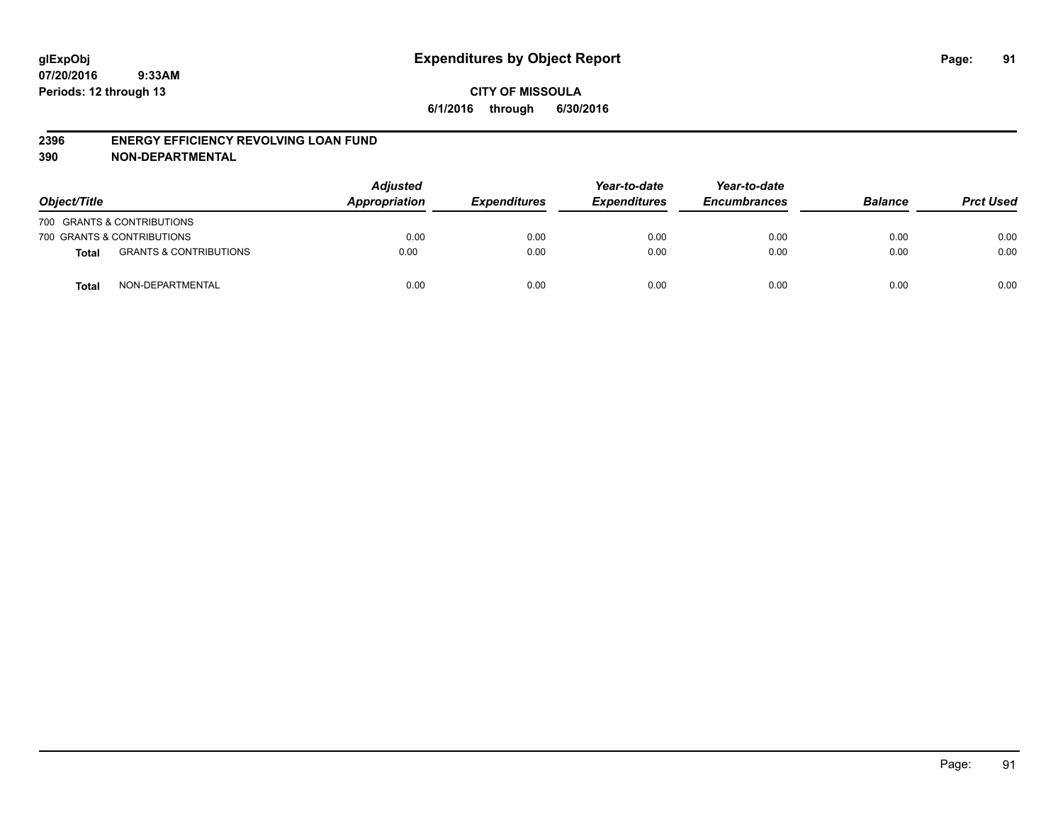### **2396 ENERGY EFFICIENCY REVOLVING LOAN FUND**

**390 NON-DEPARTMENTAL**

| Object/Title |                                   | <b>Adjusted</b><br>Appropriation | <b>Expenditures</b> | Year-to-date<br><b>Expenditures</b> | Year-to-date<br><b>Encumbrances</b> | <b>Balance</b> | <b>Prct Used</b> |
|--------------|-----------------------------------|----------------------------------|---------------------|-------------------------------------|-------------------------------------|----------------|------------------|
|              | 700 GRANTS & CONTRIBUTIONS        |                                  |                     |                                     |                                     |                |                  |
|              | 700 GRANTS & CONTRIBUTIONS        | 0.00                             | 0.00                | 0.00                                | 0.00                                | 0.00           | 0.00             |
| <b>Total</b> | <b>GRANTS &amp; CONTRIBUTIONS</b> | 0.00                             | 0.00                | 0.00                                | 0.00                                | 0.00           | 0.00             |
| <b>Total</b> | NON-DEPARTMENTAL                  | 0.00                             | 0.00                | 0.00                                | 0.00                                | 0.00           | 0.00             |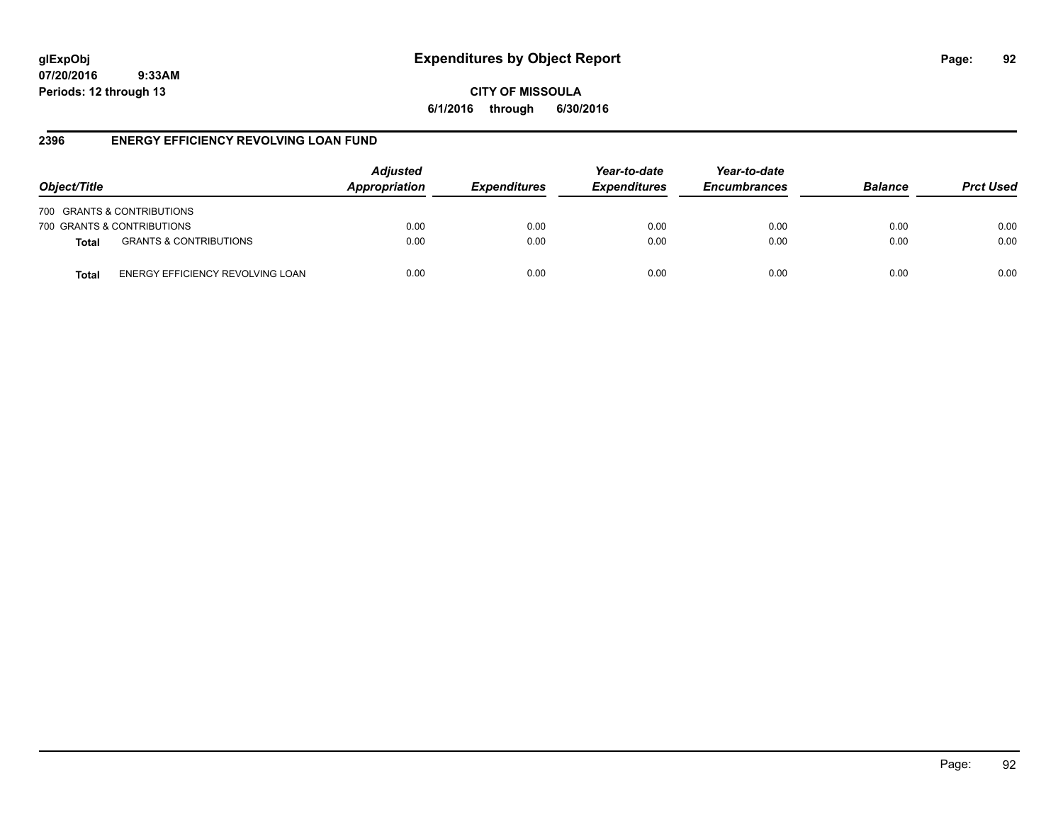# **glExpObj Expenditures by Object Report Page: 92**

**07/20/2016 9:33AM Periods: 12 through 13**

**CITY OF MISSOULA 6/1/2016 through 6/30/2016**

# **2396 ENERGY EFFICIENCY REVOLVING LOAN FUND**

| Object/Title               |                                   | <b>Adjusted</b><br>Appropriation | <b>Expenditures</b> | Year-to-date<br><b>Expenditures</b> | Year-to-date<br><b>Encumbrances</b> | <b>Balance</b> | <b>Prct Used</b> |
|----------------------------|-----------------------------------|----------------------------------|---------------------|-------------------------------------|-------------------------------------|----------------|------------------|
| 700 GRANTS & CONTRIBUTIONS |                                   |                                  |                     |                                     |                                     |                |                  |
| 700 GRANTS & CONTRIBUTIONS |                                   | 0.00                             | 0.00                | 0.00                                | 0.00                                | 0.00           | 0.00             |
| <b>Total</b>               | <b>GRANTS &amp; CONTRIBUTIONS</b> | 0.00                             | 0.00                | 0.00                                | 0.00                                | 0.00           | 0.00             |
| Total                      | ENERGY EFFICIENCY REVOLVING LOAN  | 0.00                             | 0.00                | 0.00                                | 0.00                                | 0.00           | 0.00             |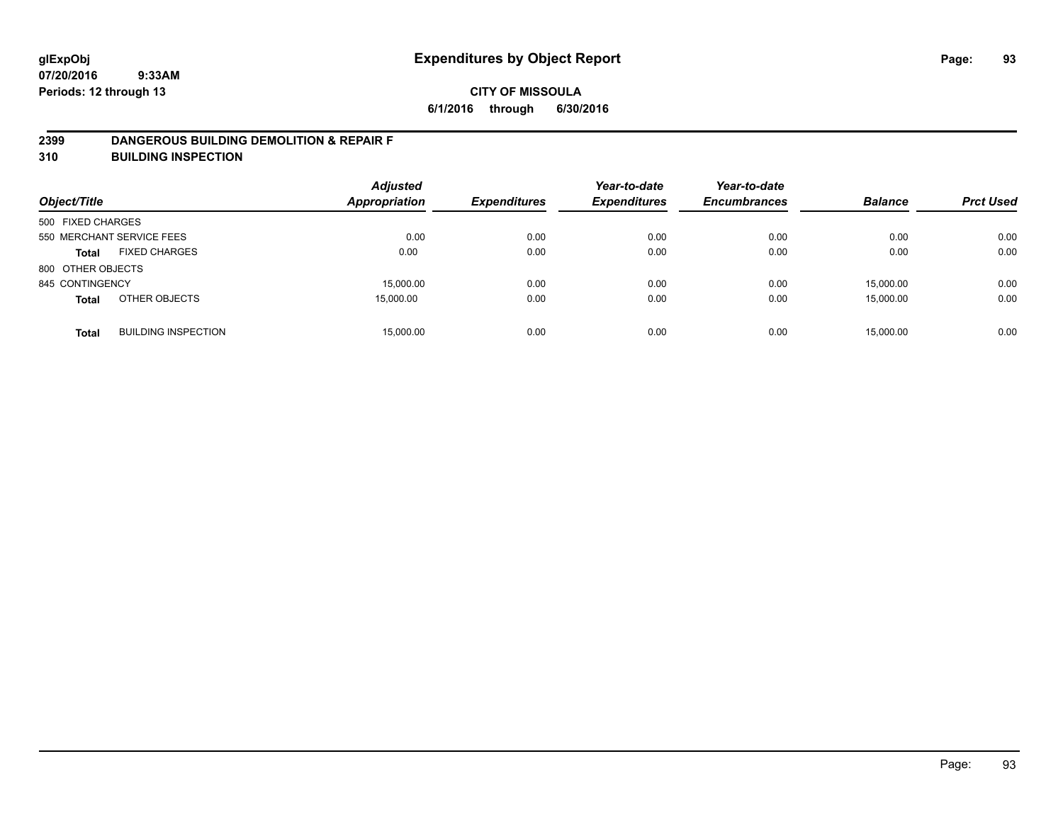### **2399 DANGEROUS BUILDING DEMOLITION & REPAIR F**

**310 BUILDING INSPECTION**

| Object/Title      |                            | <b>Adjusted</b><br><b>Appropriation</b> | <b>Expenditures</b> | Year-to-date<br><b>Expenditures</b> | Year-to-date<br><b>Encumbrances</b> | <b>Balance</b> | <b>Prct Used</b> |
|-------------------|----------------------------|-----------------------------------------|---------------------|-------------------------------------|-------------------------------------|----------------|------------------|
| 500 FIXED CHARGES |                            |                                         |                     |                                     |                                     |                |                  |
|                   | 550 MERCHANT SERVICE FEES  | 0.00                                    | 0.00                | 0.00                                | 0.00                                | 0.00           | 0.00             |
| <b>Total</b>      | <b>FIXED CHARGES</b>       | 0.00                                    | 0.00                | 0.00                                | 0.00                                | 0.00           | 0.00             |
| 800 OTHER OBJECTS |                            |                                         |                     |                                     |                                     |                |                  |
| 845 CONTINGENCY   |                            | 15,000.00                               | 0.00                | 0.00                                | 0.00                                | 15,000.00      | 0.00             |
| <b>Total</b>      | OTHER OBJECTS              | 15,000.00                               | 0.00                | 0.00                                | 0.00                                | 15,000.00      | 0.00             |
| <b>Total</b>      | <b>BUILDING INSPECTION</b> | 15,000.00                               | 0.00                | 0.00                                | 0.00                                | 15.000.00      | 0.00             |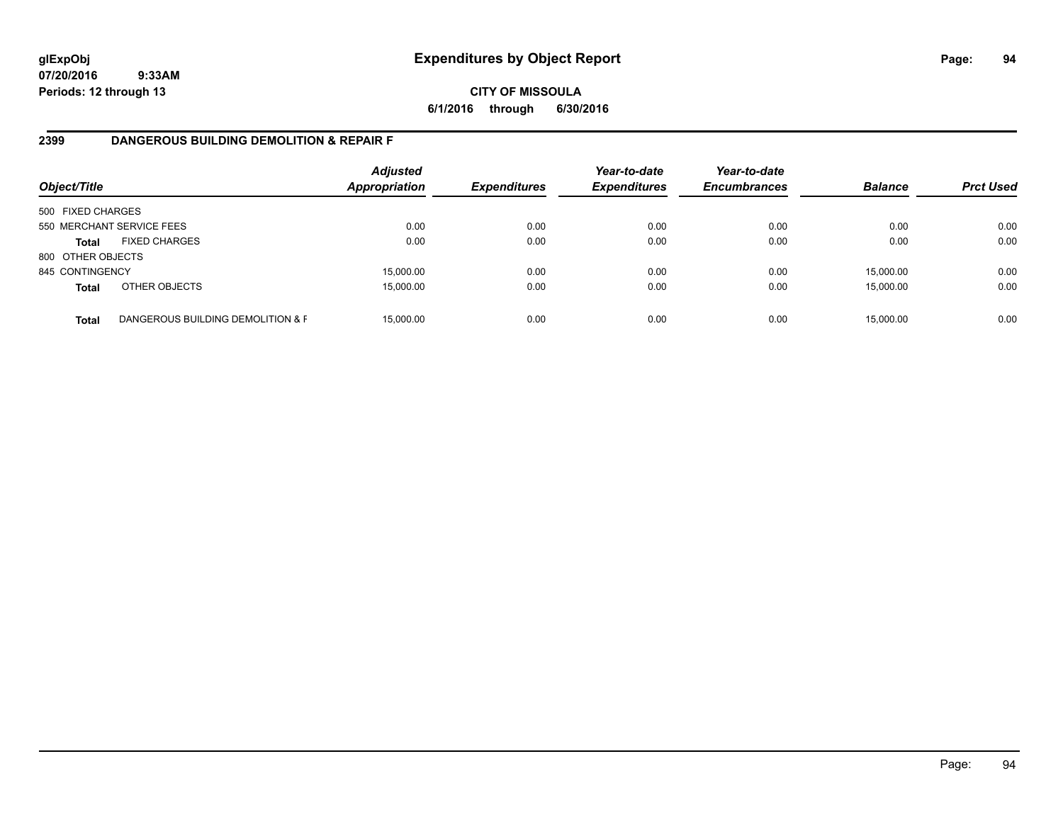# **CITY OF MISSOULA 6/1/2016 through 6/30/2016**

# **2399 DANGEROUS BUILDING DEMOLITION & REPAIR F**

| Object/Title      |                                   | <b>Adjusted</b><br><b>Appropriation</b> | <b>Expenditures</b> | Year-to-date<br><b>Expenditures</b> | Year-to-date<br><b>Encumbrances</b> | <b>Balance</b> | <b>Prct Used</b> |
|-------------------|-----------------------------------|-----------------------------------------|---------------------|-------------------------------------|-------------------------------------|----------------|------------------|
| 500 FIXED CHARGES |                                   |                                         |                     |                                     |                                     |                |                  |
|                   | 550 MERCHANT SERVICE FEES         | 0.00                                    | 0.00                | 0.00                                | 0.00                                | 0.00           | 0.00             |
| <b>Total</b>      | <b>FIXED CHARGES</b>              | 0.00                                    | 0.00                | 0.00                                | 0.00                                | 0.00           | 0.00             |
| 800 OTHER OBJECTS |                                   |                                         |                     |                                     |                                     |                |                  |
| 845 CONTINGENCY   |                                   | 15,000.00                               | 0.00                | 0.00                                | 0.00                                | 15,000.00      | 0.00             |
| <b>Total</b>      | OTHER OBJECTS                     | 15,000.00                               | 0.00                | 0.00                                | 0.00                                | 15,000.00      | 0.00             |
| <b>Total</b>      | DANGEROUS BUILDING DEMOLITION & F | 15.000.00                               | 0.00                | 0.00                                | 0.00                                | 15,000.00      | 0.00             |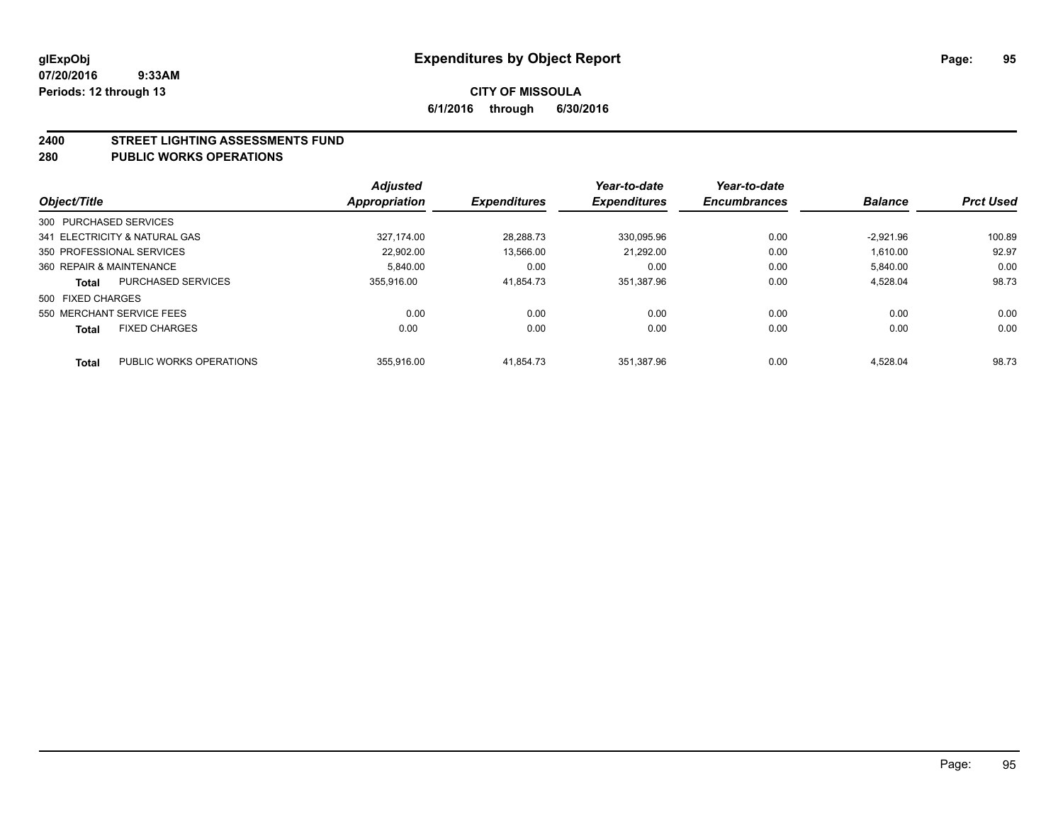### **2400 STREET LIGHTING ASSESSMENTS FUND**

### **280 PUBLIC WORKS OPERATIONS**

|                          |                               | <b>Adjusted</b>      |                     | Year-to-date        | Year-to-date        |                |                  |
|--------------------------|-------------------------------|----------------------|---------------------|---------------------|---------------------|----------------|------------------|
| Object/Title             |                               | <b>Appropriation</b> | <b>Expenditures</b> | <b>Expenditures</b> | <b>Encumbrances</b> | <b>Balance</b> | <b>Prct Used</b> |
| 300 PURCHASED SERVICES   |                               |                      |                     |                     |                     |                |                  |
|                          | 341 ELECTRICITY & NATURAL GAS | 327.174.00           | 28.288.73           | 330.095.96          | 0.00                | $-2.921.96$    | 100.89           |
|                          | 350 PROFESSIONAL SERVICES     | 22.902.00            | 13,566.00           | 21.292.00           | 0.00                | 1.610.00       | 92.97            |
| 360 REPAIR & MAINTENANCE |                               | 5.840.00             | 0.00                | 0.00                | 0.00                | 5,840.00       | 0.00             |
| <b>Total</b>             | <b>PURCHASED SERVICES</b>     | 355.916.00           | 41,854.73           | 351.387.96          | 0.00                | 4,528.04       | 98.73            |
| 500 FIXED CHARGES        |                               |                      |                     |                     |                     |                |                  |
|                          | 550 MERCHANT SERVICE FEES     | 0.00                 | 0.00                | 0.00                | 0.00                | 0.00           | 0.00             |
| <b>Total</b>             | <b>FIXED CHARGES</b>          | 0.00                 | 0.00                | 0.00                | 0.00                | 0.00           | 0.00             |
| Total                    | PUBLIC WORKS OPERATIONS       | 355.916.00           | 41.854.73           | 351.387.96          | 0.00                | 4.528.04       | 98.73            |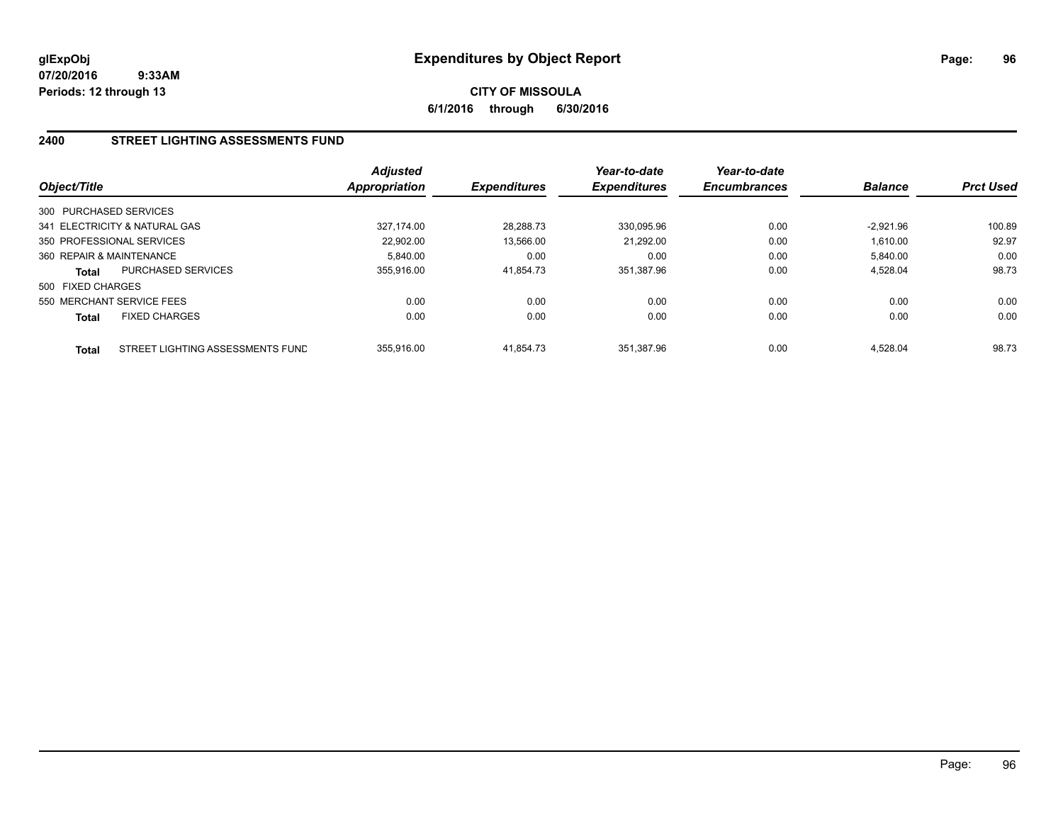**CITY OF MISSOULA 6/1/2016 through 6/30/2016**

# **2400 STREET LIGHTING ASSESSMENTS FUND**

| Object/Title             |                                  | Adjusted<br><b>Appropriation</b> | <b>Expenditures</b> | Year-to-date<br><b>Expenditures</b> | Year-to-date<br><b>Encumbrances</b> | <b>Balance</b> | <b>Prct Used</b> |
|--------------------------|----------------------------------|----------------------------------|---------------------|-------------------------------------|-------------------------------------|----------------|------------------|
| 300 PURCHASED SERVICES   |                                  |                                  |                     |                                     |                                     |                |                  |
|                          | 341 ELECTRICITY & NATURAL GAS    | 327.174.00                       | 28.288.73           | 330.095.96                          | 0.00                                | $-2.921.96$    | 100.89           |
|                          | 350 PROFESSIONAL SERVICES        | 22.902.00                        | 13,566.00           | 21.292.00                           | 0.00                                | 1.610.00       | 92.97            |
| 360 REPAIR & MAINTENANCE |                                  | 5.840.00                         | 0.00                | 0.00                                | 0.00                                | 5,840.00       | 0.00             |
| Total                    | PURCHASED SERVICES               | 355.916.00                       | 41,854.73           | 351,387.96                          | 0.00                                | 4,528.04       | 98.73            |
| 500 FIXED CHARGES        |                                  |                                  |                     |                                     |                                     |                |                  |
|                          | 550 MERCHANT SERVICE FEES        | 0.00                             | 0.00                | 0.00                                | 0.00                                | 0.00           | 0.00             |
| Total                    | <b>FIXED CHARGES</b>             | 0.00                             | 0.00                | 0.00                                | 0.00                                | 0.00           | 0.00             |
| <b>Total</b>             | STREET LIGHTING ASSESSMENTS FUND | 355.916.00                       | 41.854.73           | 351.387.96                          | 0.00                                | 4.528.04       | 98.73            |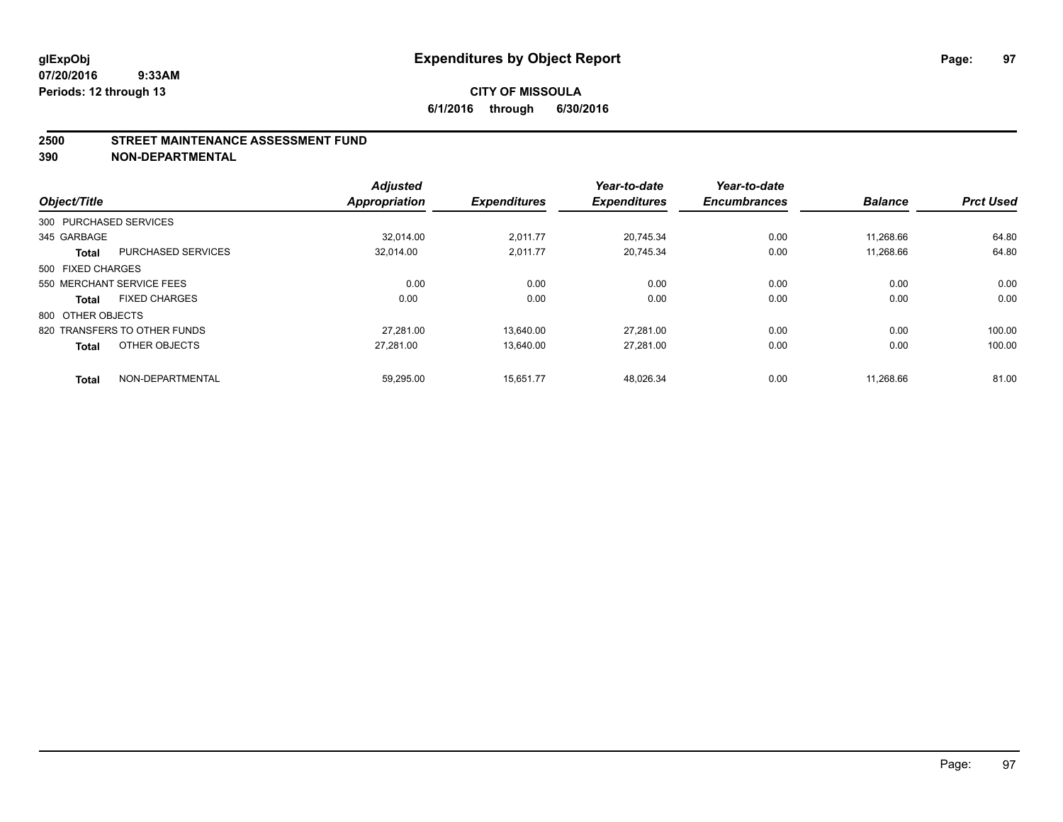### **2500 STREET MAINTENANCE ASSESSMENT FUND**

**390 NON-DEPARTMENTAL**

| Object/Title           |                              | <b>Adjusted</b><br>Appropriation | <b>Expenditures</b> | Year-to-date<br><b>Expenditures</b> | Year-to-date<br><b>Encumbrances</b> | <b>Balance</b> | <b>Prct Used</b> |
|------------------------|------------------------------|----------------------------------|---------------------|-------------------------------------|-------------------------------------|----------------|------------------|
| 300 PURCHASED SERVICES |                              |                                  |                     |                                     |                                     |                |                  |
|                        |                              |                                  |                     |                                     |                                     |                |                  |
| 345 GARBAGE            |                              | 32.014.00                        | 2,011.77            | 20,745.34                           | 0.00                                | 11,268.66      | 64.80            |
| <b>Total</b>           | <b>PURCHASED SERVICES</b>    | 32,014.00                        | 2,011.77            | 20,745.34                           | 0.00                                | 11,268.66      | 64.80            |
| 500 FIXED CHARGES      |                              |                                  |                     |                                     |                                     |                |                  |
|                        | 550 MERCHANT SERVICE FEES    | 0.00                             | 0.00                | 0.00                                | 0.00                                | 0.00           | 0.00             |
| <b>Total</b>           | <b>FIXED CHARGES</b>         | 0.00                             | 0.00                | 0.00                                | 0.00                                | 0.00           | 0.00             |
| 800 OTHER OBJECTS      |                              |                                  |                     |                                     |                                     |                |                  |
|                        | 820 TRANSFERS TO OTHER FUNDS | 27.281.00                        | 13.640.00           | 27.281.00                           | 0.00                                | 0.00           | 100.00           |
| <b>Total</b>           | OTHER OBJECTS                | 27.281.00                        | 13.640.00           | 27,281.00                           | 0.00                                | 0.00           | 100.00           |
|                        |                              |                                  |                     |                                     |                                     |                | 81.00            |
| <b>Total</b>           | NON-DEPARTMENTAL             | 59.295.00                        | 15.651.77           | 48.026.34                           | 0.00                                | 11.268.66      |                  |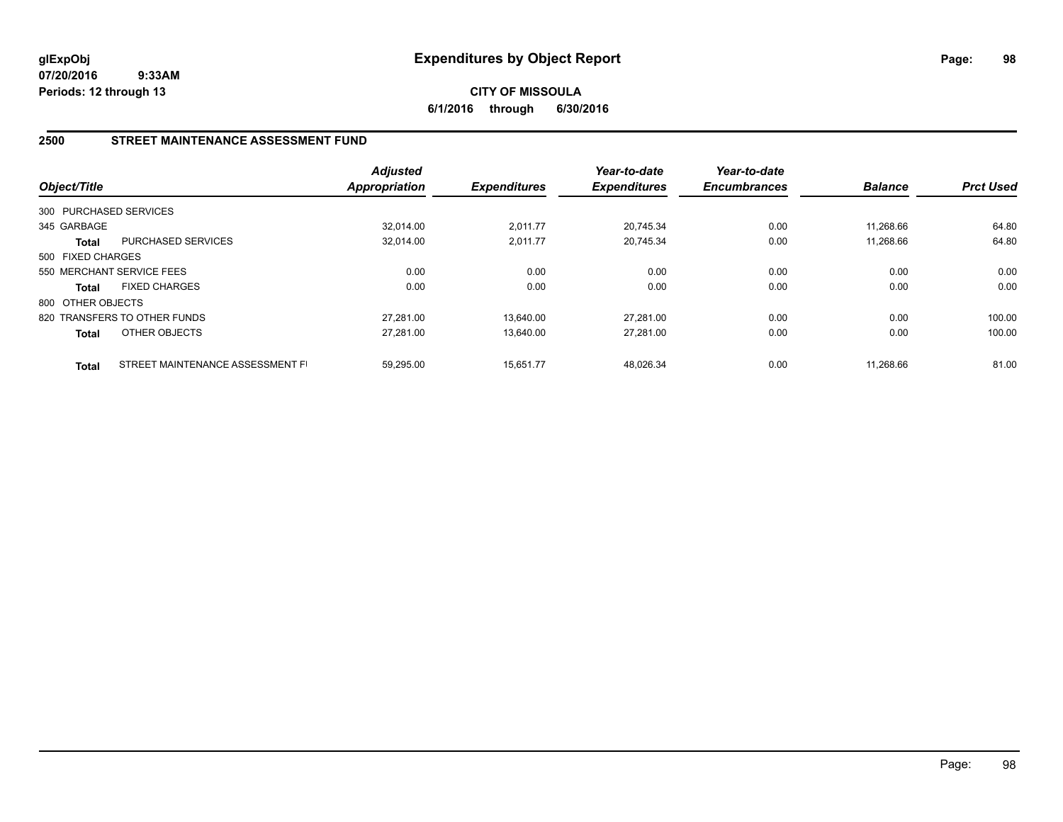**CITY OF MISSOULA 6/1/2016 through 6/30/2016**

# **2500 STREET MAINTENANCE ASSESSMENT FUND**

| Object/Title           |                                  | <b>Adjusted</b><br>Appropriation | <b>Expenditures</b> | Year-to-date<br><b>Expenditures</b> | Year-to-date<br><b>Encumbrances</b> | <b>Balance</b> | <b>Prct Used</b> |
|------------------------|----------------------------------|----------------------------------|---------------------|-------------------------------------|-------------------------------------|----------------|------------------|
| 300 PURCHASED SERVICES |                                  |                                  |                     |                                     |                                     |                |                  |
| 345 GARBAGE            |                                  | 32.014.00                        | 2,011.77            | 20.745.34                           | 0.00                                | 11.268.66      | 64.80            |
| Total                  | <b>PURCHASED SERVICES</b>        | 32.014.00                        | 2,011.77            | 20.745.34                           | 0.00                                | 11.268.66      | 64.80            |
| 500 FIXED CHARGES      |                                  |                                  |                     |                                     |                                     |                |                  |
|                        | 550 MERCHANT SERVICE FEES        | 0.00                             | 0.00                | 0.00                                | 0.00                                | 0.00           | 0.00             |
| <b>Total</b>           | <b>FIXED CHARGES</b>             | 0.00                             | 0.00                | 0.00                                | 0.00                                | 0.00           | 0.00             |
| 800 OTHER OBJECTS      |                                  |                                  |                     |                                     |                                     |                |                  |
|                        | 820 TRANSFERS TO OTHER FUNDS     | 27.281.00                        | 13.640.00           | 27.281.00                           | 0.00                                | 0.00           | 100.00           |
| <b>Total</b>           | OTHER OBJECTS                    | 27.281.00                        | 13.640.00           | 27.281.00                           | 0.00                                | 0.00           | 100.00           |
| <b>Total</b>           | STREET MAINTENANCE ASSESSMENT FI | 59.295.00                        | 15.651.77           | 48.026.34                           | 0.00                                | 11.268.66      | 81.00            |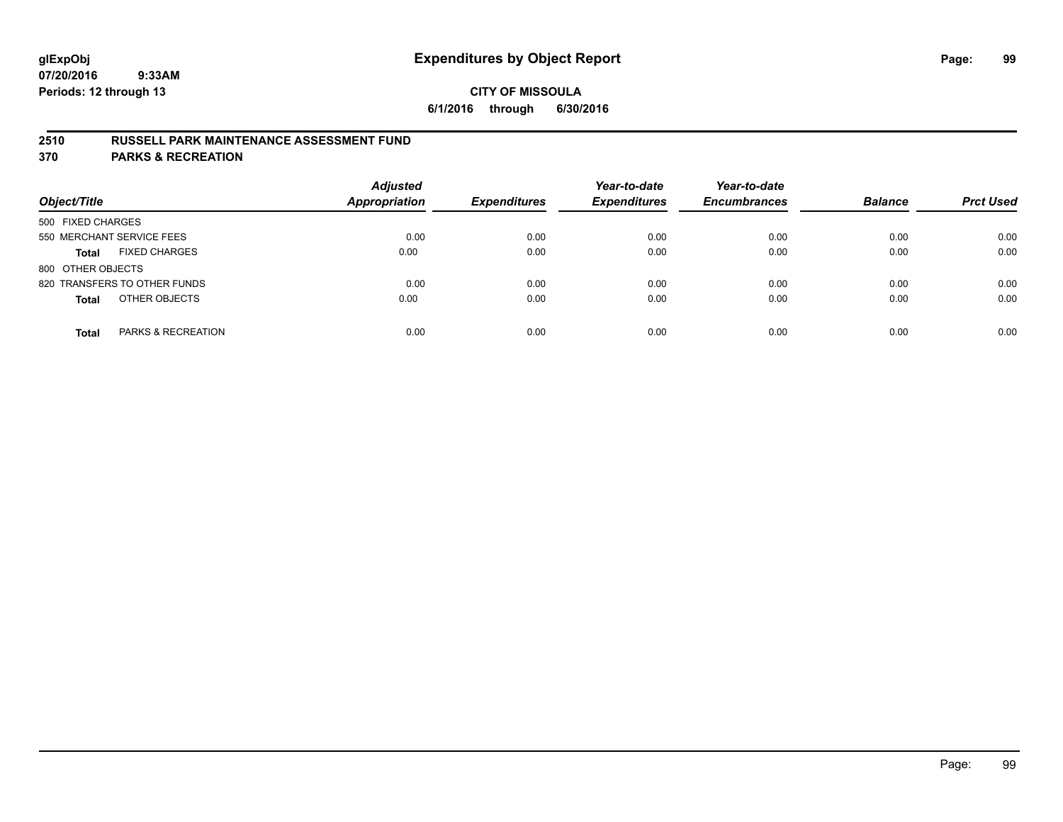# **2510 RUSSELL PARK MAINTENANCE ASSESSMENT FUND**

**370 PARKS & RECREATION**

| Object/Title                         | <b>Adjusted</b><br><b>Appropriation</b> | <b>Expenditures</b> | Year-to-date<br><b>Expenditures</b> | Year-to-date<br><b>Encumbrances</b> | <b>Balance</b> | <b>Prct Used</b> |
|--------------------------------------|-----------------------------------------|---------------------|-------------------------------------|-------------------------------------|----------------|------------------|
| 500 FIXED CHARGES                    |                                         |                     |                                     |                                     |                |                  |
| 550 MERCHANT SERVICE FEES            | 0.00                                    | 0.00                | 0.00                                | 0.00                                | 0.00           | 0.00             |
| <b>FIXED CHARGES</b><br><b>Total</b> | 0.00                                    | 0.00                | 0.00                                | 0.00                                | 0.00           | 0.00             |
| 800 OTHER OBJECTS                    |                                         |                     |                                     |                                     |                |                  |
| 820 TRANSFERS TO OTHER FUNDS         | 0.00                                    | 0.00                | 0.00                                | 0.00                                | 0.00           | 0.00             |
| OTHER OBJECTS<br><b>Total</b>        | 0.00                                    | 0.00                | 0.00                                | 0.00                                | 0.00           | 0.00             |
| PARKS & RECREATION<br><b>Total</b>   | 0.00                                    | 0.00                | 0.00                                | 0.00                                | 0.00           | 0.00             |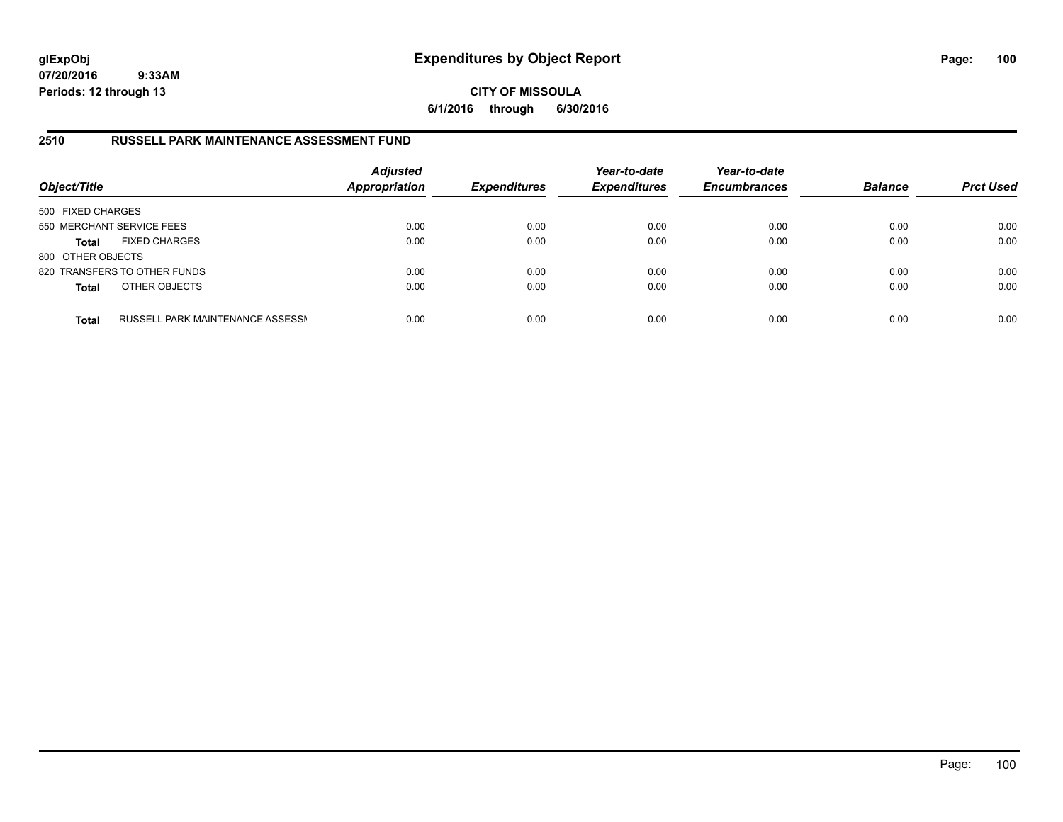**CITY OF MISSOULA 6/1/2016 through 6/30/2016**

# **2510 RUSSELL PARK MAINTENANCE ASSESSMENT FUND**

| Object/Title              |                                  | <b>Adjusted</b><br><b>Appropriation</b> | <b>Expenditures</b> | Year-to-date<br><b>Expenditures</b> | Year-to-date<br><b>Encumbrances</b> | <b>Balance</b> | <b>Prct Used</b> |
|---------------------------|----------------------------------|-----------------------------------------|---------------------|-------------------------------------|-------------------------------------|----------------|------------------|
| 500 FIXED CHARGES         |                                  |                                         |                     |                                     |                                     |                |                  |
| 550 MERCHANT SERVICE FEES |                                  | 0.00                                    | 0.00                | 0.00                                | 0.00                                | 0.00           | 0.00             |
| <b>Total</b>              | <b>FIXED CHARGES</b>             | 0.00                                    | 0.00                | 0.00                                | 0.00                                | 0.00           | 0.00             |
| 800 OTHER OBJECTS         |                                  |                                         |                     |                                     |                                     |                |                  |
|                           | 820 TRANSFERS TO OTHER FUNDS     | 0.00                                    | 0.00                | 0.00                                | 0.00                                | 0.00           | 0.00             |
| <b>Total</b>              | OTHER OBJECTS                    | 0.00                                    | 0.00                | 0.00                                | 0.00                                | 0.00           | 0.00             |
| <b>Total</b>              | RUSSELL PARK MAINTENANCE ASSESSN | 0.00                                    | 0.00                | 0.00                                | 0.00                                | 0.00           | 0.00             |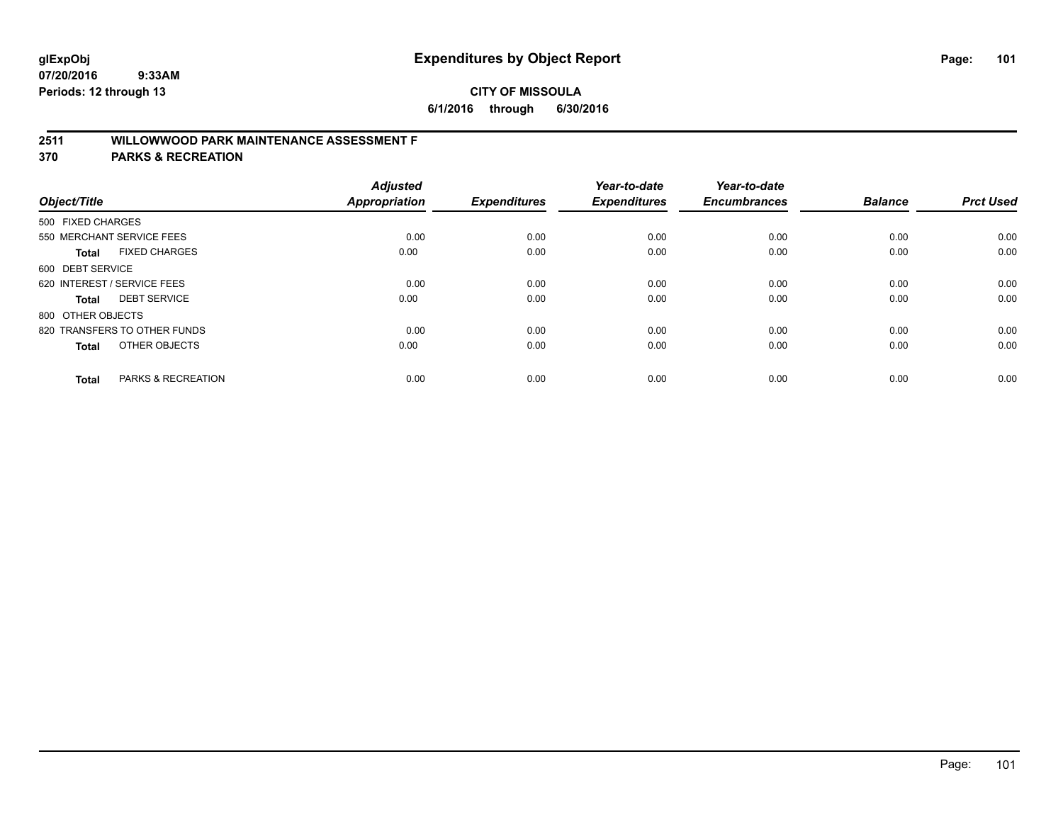# **2511 WILLOWWOOD PARK MAINTENANCE ASSESSMENT F**

**370 PARKS & RECREATION**

| Object/Title      |                              | <b>Adjusted</b><br>Appropriation | <b>Expenditures</b> | Year-to-date<br><b>Expenditures</b> | Year-to-date<br><b>Encumbrances</b> | <b>Balance</b> | <b>Prct Used</b> |
|-------------------|------------------------------|----------------------------------|---------------------|-------------------------------------|-------------------------------------|----------------|------------------|
|                   |                              |                                  |                     |                                     |                                     |                |                  |
| 500 FIXED CHARGES |                              |                                  |                     |                                     |                                     |                |                  |
|                   | 550 MERCHANT SERVICE FEES    | 0.00                             | 0.00                | 0.00                                | 0.00                                | 0.00           | 0.00             |
| <b>Total</b>      | <b>FIXED CHARGES</b>         | 0.00                             | 0.00                | 0.00                                | 0.00                                | 0.00           | 0.00             |
| 600 DEBT SERVICE  |                              |                                  |                     |                                     |                                     |                |                  |
|                   | 620 INTEREST / SERVICE FEES  | 0.00                             | 0.00                | 0.00                                | 0.00                                | 0.00           | 0.00             |
| Total             | <b>DEBT SERVICE</b>          | 0.00                             | 0.00                | 0.00                                | 0.00                                | 0.00           | 0.00             |
| 800 OTHER OBJECTS |                              |                                  |                     |                                     |                                     |                |                  |
|                   | 820 TRANSFERS TO OTHER FUNDS | 0.00                             | 0.00                | 0.00                                | 0.00                                | 0.00           | 0.00             |
| Total             | OTHER OBJECTS                | 0.00                             | 0.00                | 0.00                                | 0.00                                | 0.00           | 0.00             |
|                   |                              |                                  |                     |                                     |                                     |                |                  |
| <b>Total</b>      | PARKS & RECREATION           | 0.00                             | 0.00                | 0.00                                | 0.00                                | 0.00           | 0.00             |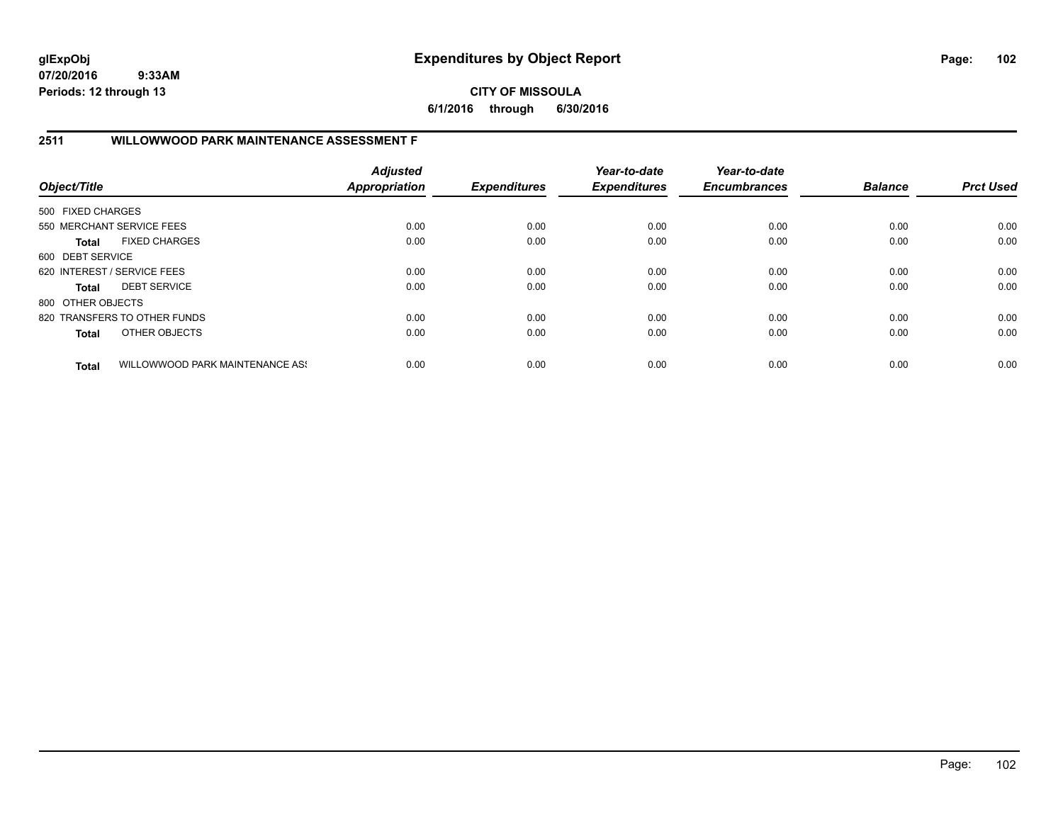**CITY OF MISSOULA 6/1/2016 through 6/30/2016**

# **2511 WILLOWWOOD PARK MAINTENANCE ASSESSMENT F**

| Object/Title      |                                 | <b>Adjusted</b><br>Appropriation | <b>Expenditures</b> | Year-to-date<br><b>Expenditures</b> | Year-to-date<br><b>Encumbrances</b> | <b>Balance</b> | <b>Prct Used</b> |
|-------------------|---------------------------------|----------------------------------|---------------------|-------------------------------------|-------------------------------------|----------------|------------------|
| 500 FIXED CHARGES |                                 |                                  |                     |                                     |                                     |                |                  |
|                   | 550 MERCHANT SERVICE FEES       | 0.00                             | 0.00                | 0.00                                | 0.00                                | 0.00           | 0.00             |
| <b>Total</b>      | <b>FIXED CHARGES</b>            | 0.00                             | 0.00                | 0.00                                | 0.00                                | 0.00           | 0.00             |
| 600 DEBT SERVICE  |                                 |                                  |                     |                                     |                                     |                |                  |
|                   | 620 INTEREST / SERVICE FEES     | 0.00                             | 0.00                | 0.00                                | 0.00                                | 0.00           | 0.00             |
| <b>Total</b>      | <b>DEBT SERVICE</b>             | 0.00                             | 0.00                | 0.00                                | 0.00                                | 0.00           | 0.00             |
| 800 OTHER OBJECTS |                                 |                                  |                     |                                     |                                     |                |                  |
|                   | 820 TRANSFERS TO OTHER FUNDS    | 0.00                             | 0.00                | 0.00                                | 0.00                                | 0.00           | 0.00             |
| <b>Total</b>      | OTHER OBJECTS                   | 0.00                             | 0.00                | 0.00                                | 0.00                                | 0.00           | 0.00             |
| <b>Total</b>      | WILLOWWOOD PARK MAINTENANCE ASS | 0.00                             | 0.00                | 0.00                                | 0.00                                | 0.00           | 0.00             |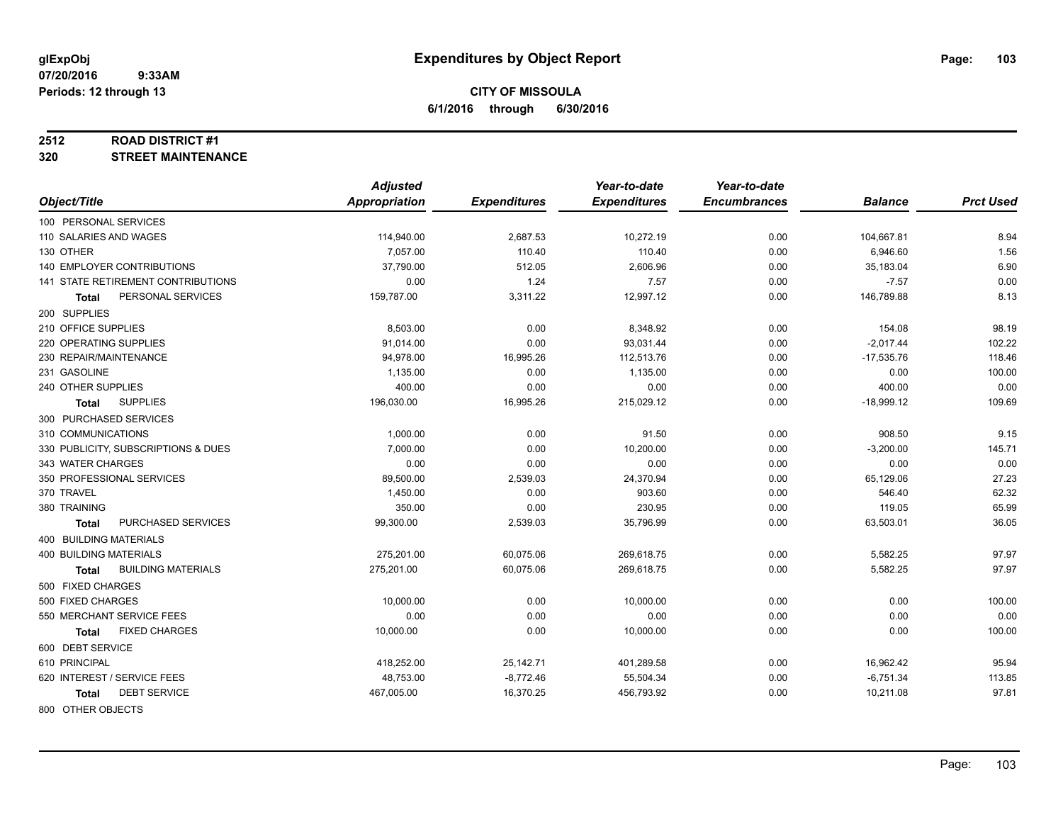### **2512 ROAD DISTRICT #1**

**320 STREET MAINTENANCE**

|                                           | <b>Adjusted</b>      |                     | Year-to-date        | Year-to-date        |                |                  |
|-------------------------------------------|----------------------|---------------------|---------------------|---------------------|----------------|------------------|
| Object/Title                              | <b>Appropriation</b> | <b>Expenditures</b> | <b>Expenditures</b> | <b>Encumbrances</b> | <b>Balance</b> | <b>Prct Used</b> |
| 100 PERSONAL SERVICES                     |                      |                     |                     |                     |                |                  |
| 110 SALARIES AND WAGES                    | 114,940.00           | 2,687.53            | 10,272.19           | 0.00                | 104,667.81     | 8.94             |
| 130 OTHER                                 | 7.057.00             | 110.40              | 110.40              | 0.00                | 6,946.60       | 1.56             |
| <b>140 EMPLOYER CONTRIBUTIONS</b>         | 37,790.00            | 512.05              | 2,606.96            | 0.00                | 35,183.04      | 6.90             |
| <b>141 STATE RETIREMENT CONTRIBUTIONS</b> | 0.00                 | 1.24                | 7.57                | 0.00                | $-7.57$        | 0.00             |
| PERSONAL SERVICES<br>Total                | 159,787.00           | 3,311.22            | 12,997.12           | 0.00                | 146,789.88     | 8.13             |
| 200 SUPPLIES                              |                      |                     |                     |                     |                |                  |
| 210 OFFICE SUPPLIES                       | 8,503.00             | 0.00                | 8,348.92            | 0.00                | 154.08         | 98.19            |
| 220 OPERATING SUPPLIES                    | 91,014.00            | 0.00                | 93,031.44           | 0.00                | $-2,017.44$    | 102.22           |
| 230 REPAIR/MAINTENANCE                    | 94,978.00            | 16,995.26           | 112,513.76          | 0.00                | $-17,535.76$   | 118.46           |
| 231 GASOLINE                              | 1,135.00             | 0.00                | 1,135.00            | 0.00                | 0.00           | 100.00           |
| 240 OTHER SUPPLIES                        | 400.00               | 0.00                | 0.00                | 0.00                | 400.00         | 0.00             |
| <b>SUPPLIES</b><br>Total                  | 196,030.00           | 16,995.26           | 215,029.12          | 0.00                | $-18,999.12$   | 109.69           |
| 300 PURCHASED SERVICES                    |                      |                     |                     |                     |                |                  |
| 310 COMMUNICATIONS                        | 1,000.00             | 0.00                | 91.50               | 0.00                | 908.50         | 9.15             |
| 330 PUBLICITY, SUBSCRIPTIONS & DUES       | 7,000.00             | 0.00                | 10,200.00           | 0.00                | $-3,200.00$    | 145.71           |
| 343 WATER CHARGES                         | 0.00                 | 0.00                | 0.00                | 0.00                | 0.00           | 0.00             |
| 350 PROFESSIONAL SERVICES                 | 89,500.00            | 2,539.03            | 24,370.94           | 0.00                | 65,129.06      | 27.23            |
| 370 TRAVEL                                | 1,450.00             | 0.00                | 903.60              | 0.00                | 546.40         | 62.32            |
| 380 TRAINING                              | 350.00               | 0.00                | 230.95              | 0.00                | 119.05         | 65.99            |
| PURCHASED SERVICES<br><b>Total</b>        | 99,300.00            | 2,539.03            | 35,796.99           | 0.00                | 63,503.01      | 36.05            |
| 400 BUILDING MATERIALS                    |                      |                     |                     |                     |                |                  |
| <b>400 BUILDING MATERIALS</b>             | 275,201.00           | 60,075.06           | 269,618.75          | 0.00                | 5,582.25       | 97.97            |
| <b>BUILDING MATERIALS</b><br><b>Total</b> | 275,201.00           | 60,075.06           | 269,618.75          | 0.00                | 5,582.25       | 97.97            |
| 500 FIXED CHARGES                         |                      |                     |                     |                     |                |                  |
| 500 FIXED CHARGES                         | 10,000.00            | 0.00                | 10,000.00           | 0.00                | 0.00           | 100.00           |
| 550 MERCHANT SERVICE FEES                 | 0.00                 | 0.00                | 0.00                | 0.00                | 0.00           | 0.00             |
| <b>FIXED CHARGES</b><br>Total             | 10,000.00            | 0.00                | 10,000.00           | 0.00                | 0.00           | 100.00           |
| 600 DEBT SERVICE                          |                      |                     |                     |                     |                |                  |
| 610 PRINCIPAL                             | 418,252.00           | 25,142.71           | 401,289.58          | 0.00                | 16,962.42      | 95.94            |
| 620 INTEREST / SERVICE FEES               | 48,753.00            | $-8,772.46$         | 55,504.34           | 0.00                | $-6,751.34$    | 113.85           |
| <b>DEBT SERVICE</b><br>Total              | 467,005.00           | 16,370.25           | 456,793.92          | 0.00                | 10,211.08      | 97.81            |
| 800 OTHER OBJECTS                         |                      |                     |                     |                     |                |                  |

Page: 103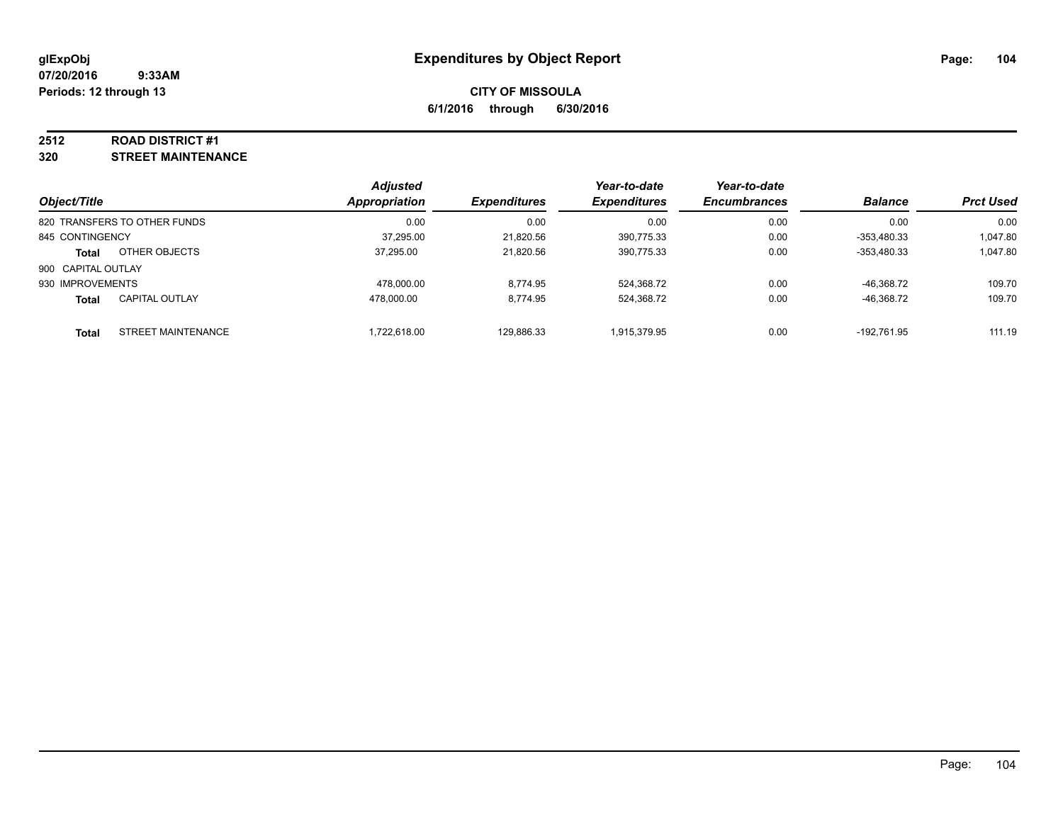### **2512 ROAD DISTRICT #1**

**320 STREET MAINTENANCE**

| Object/Title                              | <b>Adjusted</b><br><b>Appropriation</b> | <b>Expenditures</b> | Year-to-date<br><b>Expenditures</b> | Year-to-date<br><b>Encumbrances</b> | <b>Balance</b> | <b>Prct Used</b> |
|-------------------------------------------|-----------------------------------------|---------------------|-------------------------------------|-------------------------------------|----------------|------------------|
| 820 TRANSFERS TO OTHER FUNDS              | 0.00                                    | 0.00                | 0.00                                | 0.00                                | 0.00           | 0.00             |
| 845 CONTINGENCY                           | 37,295.00                               | 21,820.56           | 390,775.33                          | 0.00                                | $-353,480.33$  | 1,047.80         |
| OTHER OBJECTS<br><b>Total</b>             | 37.295.00                               | 21,820.56           | 390,775.33                          | 0.00                                | $-353,480.33$  | 1,047.80         |
| 900 CAPITAL OUTLAY                        |                                         |                     |                                     |                                     |                |                  |
| 930 IMPROVEMENTS                          | 478.000.00                              | 8.774.95            | 524,368.72                          | 0.00                                | -46.368.72     | 109.70           |
| <b>CAPITAL OUTLAY</b><br><b>Total</b>     | 478.000.00                              | 8.774.95            | 524,368.72                          | 0.00                                | -46,368.72     | 109.70           |
| <b>STREET MAINTENANCE</b><br><b>Total</b> | 1.722.618.00                            | 129,886.33          | 1,915,379.95                        | 0.00                                | -192.761.95    | 111.19           |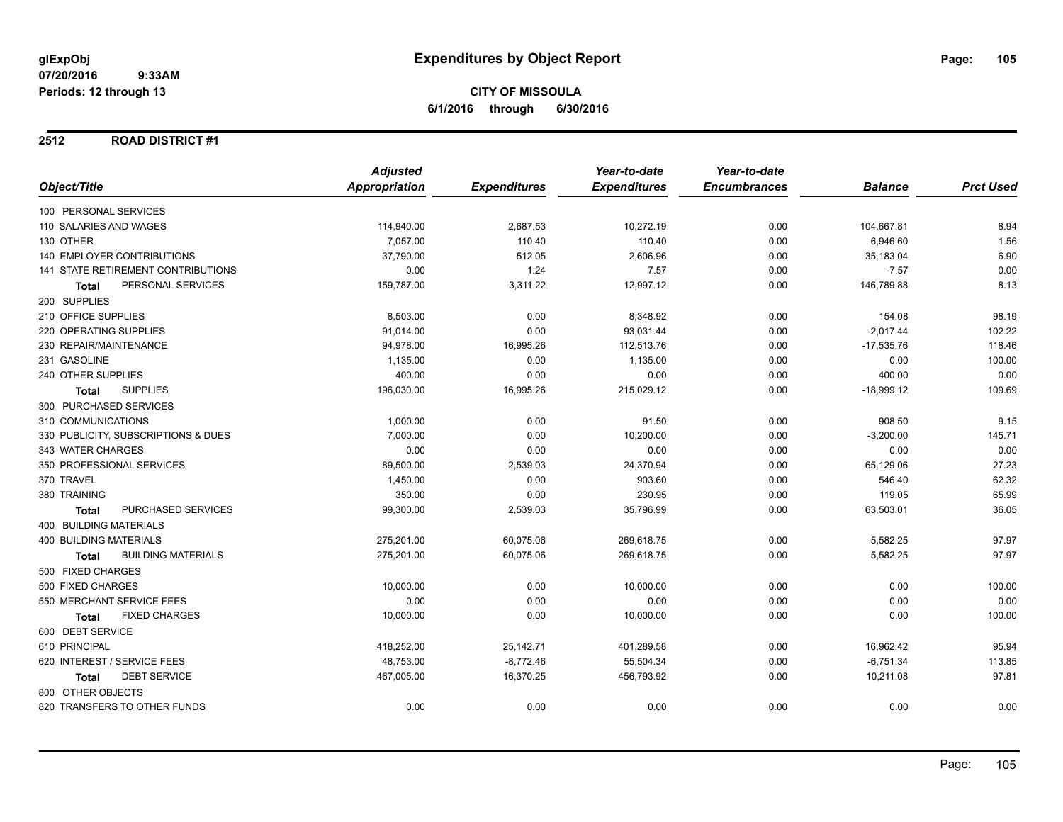### **2512 ROAD DISTRICT #1**

|                                           | <b>Adjusted</b> |                     | Year-to-date        | Year-to-date        |                |                  |
|-------------------------------------------|-----------------|---------------------|---------------------|---------------------|----------------|------------------|
| Object/Title                              | Appropriation   | <b>Expenditures</b> | <b>Expenditures</b> | <b>Encumbrances</b> | <b>Balance</b> | <b>Prct Used</b> |
| 100 PERSONAL SERVICES                     |                 |                     |                     |                     |                |                  |
| 110 SALARIES AND WAGES                    | 114,940.00      | 2,687.53            | 10,272.19           | 0.00                | 104,667.81     | 8.94             |
| 130 OTHER                                 | 7,057.00        | 110.40              | 110.40              | 0.00                | 6,946.60       | 1.56             |
| <b>140 EMPLOYER CONTRIBUTIONS</b>         | 37,790.00       | 512.05              | 2,606.96            | 0.00                | 35,183.04      | 6.90             |
| <b>141 STATE RETIREMENT CONTRIBUTIONS</b> | 0.00            | 1.24                | 7.57                | 0.00                | $-7.57$        | 0.00             |
| PERSONAL SERVICES<br><b>Total</b>         | 159,787.00      | 3,311.22            | 12,997.12           | 0.00                | 146,789.88     | 8.13             |
| 200 SUPPLIES                              |                 |                     |                     |                     |                |                  |
| 210 OFFICE SUPPLIES                       | 8,503.00        | 0.00                | 8,348.92            | 0.00                | 154.08         | 98.19            |
| 220 OPERATING SUPPLIES                    | 91,014.00       | 0.00                | 93,031.44           | 0.00                | $-2,017.44$    | 102.22           |
| 230 REPAIR/MAINTENANCE                    | 94,978.00       | 16,995.26           | 112,513.76          | 0.00                | $-17,535.76$   | 118.46           |
| 231 GASOLINE                              | 1,135.00        | 0.00                | 1,135.00            | 0.00                | 0.00           | 100.00           |
| 240 OTHER SUPPLIES                        | 400.00          | 0.00                | 0.00                | 0.00                | 400.00         | 0.00             |
| <b>SUPPLIES</b><br><b>Total</b>           | 196,030.00      | 16,995.26           | 215,029.12          | 0.00                | $-18,999.12$   | 109.69           |
| 300 PURCHASED SERVICES                    |                 |                     |                     |                     |                |                  |
| 310 COMMUNICATIONS                        | 1,000.00        | 0.00                | 91.50               | 0.00                | 908.50         | 9.15             |
| 330 PUBLICITY, SUBSCRIPTIONS & DUES       | 7,000.00        | 0.00                | 10,200.00           | 0.00                | $-3,200.00$    | 145.71           |
| 343 WATER CHARGES                         | 0.00            | 0.00                | 0.00                | 0.00                | 0.00           | 0.00             |
| 350 PROFESSIONAL SERVICES                 | 89,500.00       | 2,539.03            | 24,370.94           | 0.00                | 65,129.06      | 27.23            |
| 370 TRAVEL                                | 1,450.00        | 0.00                | 903.60              | 0.00                | 546.40         | 62.32            |
| 380 TRAINING                              | 350.00          | 0.00                | 230.95              | 0.00                | 119.05         | 65.99            |
| PURCHASED SERVICES<br><b>Total</b>        | 99,300.00       | 2,539.03            | 35,796.99           | 0.00                | 63,503.01      | 36.05            |
| <b>400 BUILDING MATERIALS</b>             |                 |                     |                     |                     |                |                  |
| <b>400 BUILDING MATERIALS</b>             | 275,201.00      | 60,075.06           | 269,618.75          | 0.00                | 5,582.25       | 97.97            |
| <b>BUILDING MATERIALS</b><br><b>Total</b> | 275,201.00      | 60,075.06           | 269,618.75          | 0.00                | 5,582.25       | 97.97            |
| 500 FIXED CHARGES                         |                 |                     |                     |                     |                |                  |
| 500 FIXED CHARGES                         | 10,000.00       | 0.00                | 10,000.00           | 0.00                | 0.00           | 100.00           |
| 550 MERCHANT SERVICE FEES                 | 0.00            | 0.00                | 0.00                | 0.00                | 0.00           | 0.00             |
| <b>FIXED CHARGES</b><br><b>Total</b>      | 10,000.00       | 0.00                | 10,000.00           | 0.00                | 0.00           | 100.00           |
| 600 DEBT SERVICE                          |                 |                     |                     |                     |                |                  |
| 610 PRINCIPAL                             | 418,252.00      | 25,142.71           | 401,289.58          | 0.00                | 16,962.42      | 95.94            |
| 620 INTEREST / SERVICE FEES               | 48,753.00       | $-8,772.46$         | 55,504.34           | 0.00                | $-6,751.34$    | 113.85           |
| <b>DEBT SERVICE</b><br><b>Total</b>       | 467,005.00      | 16,370.25           | 456,793.92          | 0.00                | 10,211.08      | 97.81            |
| 800 OTHER OBJECTS                         |                 |                     |                     |                     |                |                  |
| 820 TRANSFERS TO OTHER FUNDS              | 0.00            | 0.00                | 0.00                | 0.00                | 0.00           | 0.00             |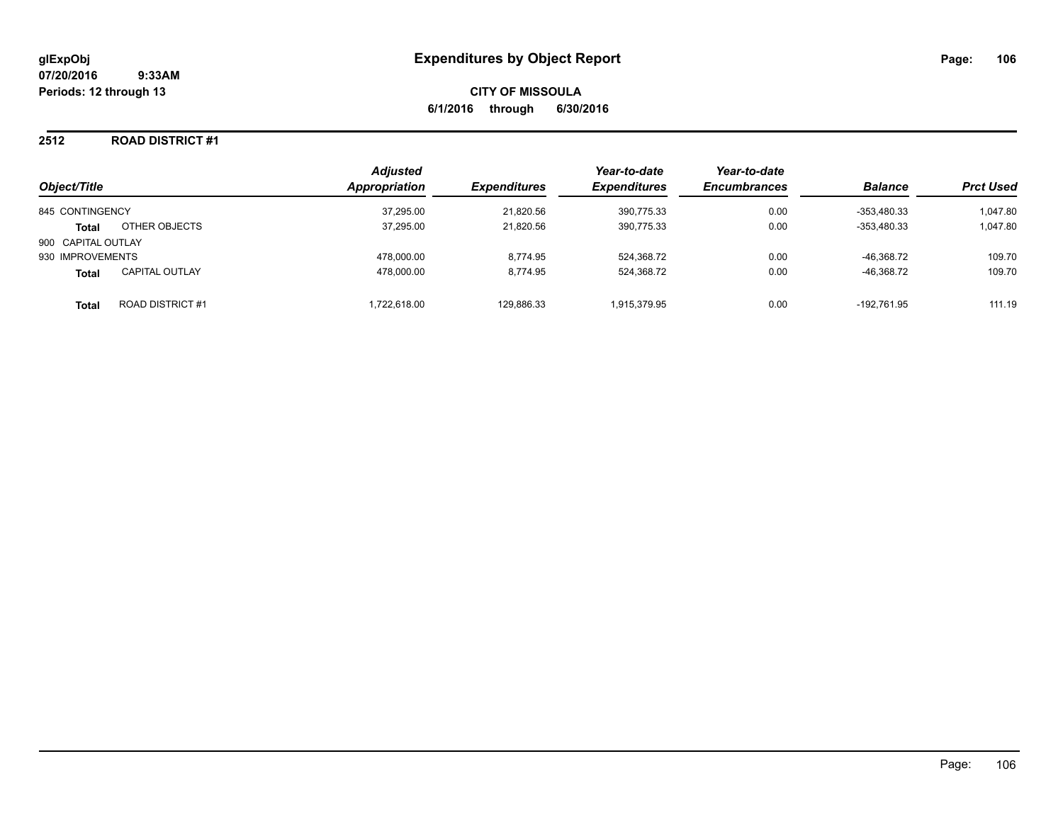### **2512 ROAD DISTRICT #1**

| Object/Title       |                         | <b>Adjusted</b><br>Appropriation | <b>Expenditures</b> | Year-to-date<br><b>Expenditures</b> | Year-to-date<br><b>Encumbrances</b> | <b>Balance</b> | <b>Prct Used</b> |
|--------------------|-------------------------|----------------------------------|---------------------|-------------------------------------|-------------------------------------|----------------|------------------|
|                    |                         |                                  |                     |                                     |                                     |                |                  |
| 845 CONTINGENCY    |                         | 37,295.00                        | 21,820.56           | 390,775.33                          | 0.00                                | $-353,480.33$  | 1,047.80         |
| <b>Total</b>       | OTHER OBJECTS           | 37,295.00                        | 21,820.56           | 390,775.33                          | 0.00                                | $-353.480.33$  | 1,047.80         |
| 900 CAPITAL OUTLAY |                         |                                  |                     |                                     |                                     |                |                  |
| 930 IMPROVEMENTS   |                         | 478.000.00                       | 8.774.95            | 524,368.72                          | 0.00                                | -46.368.72     | 109.70           |
| <b>Total</b>       | <b>CAPITAL OUTLAY</b>   | 478.000.00                       | 8.774.95            | 524.368.72                          | 0.00                                | -46.368.72     | 109.70           |
| Total              | <b>ROAD DISTRICT #1</b> | .722.618.00                      | 129,886.33          | 1.915.379.95                        | 0.00                                | -192.761.95    | 111.19           |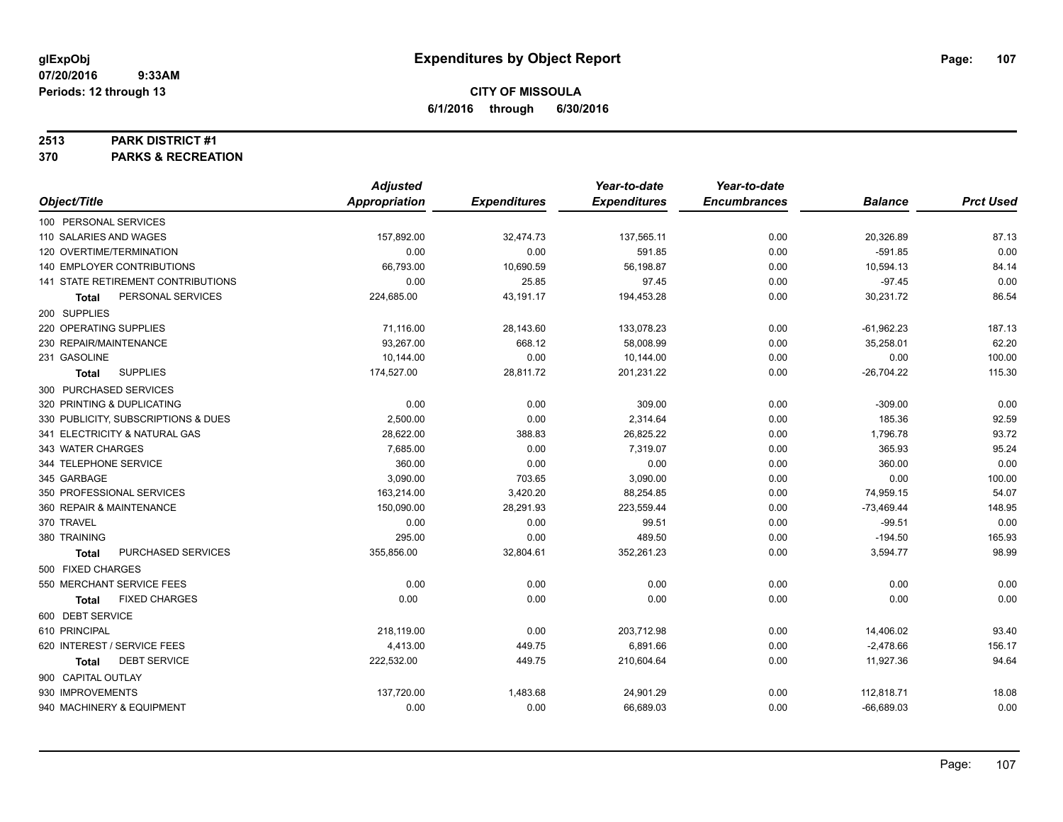### **2513 PARK DISTRICT #1**

**370 PARKS & RECREATION**

|                                      | <b>Adjusted</b>      |                     | Year-to-date        | Year-to-date        |                |                  |
|--------------------------------------|----------------------|---------------------|---------------------|---------------------|----------------|------------------|
| Object/Title                         | <b>Appropriation</b> | <b>Expenditures</b> | <b>Expenditures</b> | <b>Encumbrances</b> | <b>Balance</b> | <b>Prct Used</b> |
| 100 PERSONAL SERVICES                |                      |                     |                     |                     |                |                  |
| 110 SALARIES AND WAGES               | 157,892.00           | 32,474.73           | 137,565.11          | 0.00                | 20,326.89      | 87.13            |
| 120 OVERTIME/TERMINATION             | 0.00                 | 0.00                | 591.85              | 0.00                | $-591.85$      | 0.00             |
| 140 EMPLOYER CONTRIBUTIONS           | 66,793.00            | 10,690.59           | 56,198.87           | 0.00                | 10,594.13      | 84.14            |
| 141 STATE RETIREMENT CONTRIBUTIONS   | 0.00                 | 25.85               | 97.45               | 0.00                | $-97.45$       | 0.00             |
| PERSONAL SERVICES<br><b>Total</b>    | 224,685.00           | 43,191.17           | 194,453.28          | 0.00                | 30,231.72      | 86.54            |
| 200 SUPPLIES                         |                      |                     |                     |                     |                |                  |
| 220 OPERATING SUPPLIES               | 71,116.00            | 28,143.60           | 133,078.23          | 0.00                | $-61,962.23$   | 187.13           |
| 230 REPAIR/MAINTENANCE               | 93,267.00            | 668.12              | 58,008.99           | 0.00                | 35,258.01      | 62.20            |
| 231 GASOLINE                         | 10,144.00            | 0.00                | 10,144.00           | 0.00                | 0.00           | 100.00           |
| <b>SUPPLIES</b><br><b>Total</b>      | 174,527.00           | 28,811.72           | 201,231.22          | 0.00                | $-26,704.22$   | 115.30           |
| 300 PURCHASED SERVICES               |                      |                     |                     |                     |                |                  |
| 320 PRINTING & DUPLICATING           | 0.00                 | 0.00                | 309.00              | 0.00                | $-309.00$      | 0.00             |
| 330 PUBLICITY, SUBSCRIPTIONS & DUES  | 2,500.00             | 0.00                | 2,314.64            | 0.00                | 185.36         | 92.59            |
| 341 ELECTRICITY & NATURAL GAS        | 28,622.00            | 388.83              | 26,825.22           | 0.00                | 1,796.78       | 93.72            |
| 343 WATER CHARGES                    | 7,685.00             | 0.00                | 7,319.07            | 0.00                | 365.93         | 95.24            |
| 344 TELEPHONE SERVICE                | 360.00               | 0.00                | 0.00                | 0.00                | 360.00         | 0.00             |
| 345 GARBAGE                          | 3,090.00             | 703.65              | 3,090.00            | 0.00                | 0.00           | 100.00           |
| 350 PROFESSIONAL SERVICES            | 163,214.00           | 3,420.20            | 88.254.85           | 0.00                | 74,959.15      | 54.07            |
| 360 REPAIR & MAINTENANCE             | 150,090.00           | 28,291.93           | 223,559.44          | 0.00                | $-73,469.44$   | 148.95           |
| 370 TRAVEL                           | 0.00                 | 0.00                | 99.51               | 0.00                | $-99.51$       | 0.00             |
| 380 TRAINING                         | 295.00               | 0.00                | 489.50              | 0.00                | $-194.50$      | 165.93           |
| PURCHASED SERVICES<br><b>Total</b>   | 355,856.00           | 32,804.61           | 352,261.23          | 0.00                | 3,594.77       | 98.99            |
| 500 FIXED CHARGES                    |                      |                     |                     |                     |                |                  |
| 550 MERCHANT SERVICE FEES            | 0.00                 | 0.00                | 0.00                | 0.00                | 0.00           | 0.00             |
| <b>FIXED CHARGES</b><br><b>Total</b> | 0.00                 | 0.00                | 0.00                | 0.00                | 0.00           | 0.00             |
| 600 DEBT SERVICE                     |                      |                     |                     |                     |                |                  |
| 610 PRINCIPAL                        | 218,119.00           | 0.00                | 203,712.98          | 0.00                | 14,406.02      | 93.40            |
| 620 INTEREST / SERVICE FEES          | 4,413.00             | 449.75              | 6,891.66            | 0.00                | $-2,478.66$    | 156.17           |
| <b>DEBT SERVICE</b><br><b>Total</b>  | 222,532.00           | 449.75              | 210,604.64          | 0.00                | 11,927.36      | 94.64            |
| 900 CAPITAL OUTLAY                   |                      |                     |                     |                     |                |                  |
| 930 IMPROVEMENTS                     | 137,720.00           | 1,483.68            | 24,901.29           | 0.00                | 112,818.71     | 18.08            |
| 940 MACHINERY & EQUIPMENT            | 0.00                 | 0.00                | 66,689.03           | 0.00                | $-66,689.03$   | 0.00             |
|                                      |                      |                     |                     |                     |                |                  |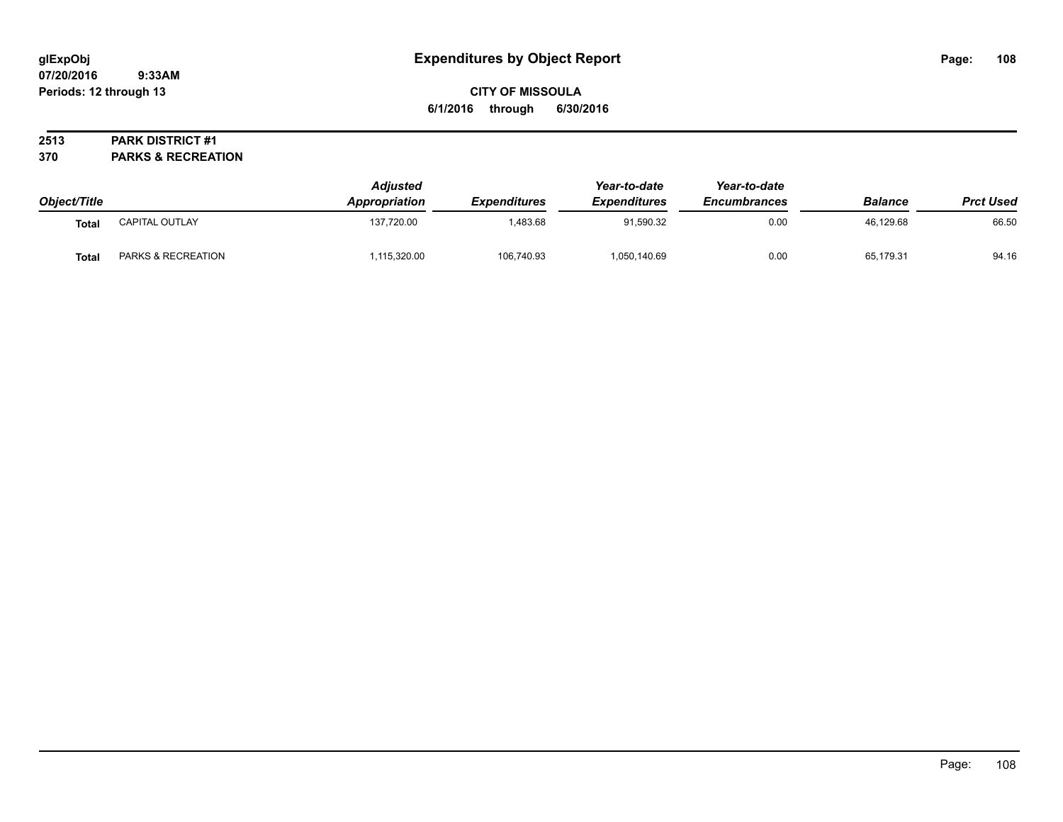# **CITY OF MISSOULA 6/1/2016 through 6/30/2016**

# **2513 PARK DISTRICT #1**

**370 PARKS & RECREATION**

| Object/Title |                    | <b>Adjusted</b><br>Appropriation | Expenditures | Year-to-date<br><b>Expenditures</b> | Year-to-date<br><b>Encumbrances</b> | <b>Balance</b> | <b>Prct Used</b> |
|--------------|--------------------|----------------------------------|--------------|-------------------------------------|-------------------------------------|----------------|------------------|
| Total        | CAPITAL OUTLAY     | 137,720.00                       | ,483.68      | 91,590.32                           | 0.00                                | 46,129.68      | 66.50            |
| Total        | PARKS & RECREATION | ,115,320.00                      | 106,740.93   | 1,050,140.69                        | 0.00                                | 65,179.31      | 94.16            |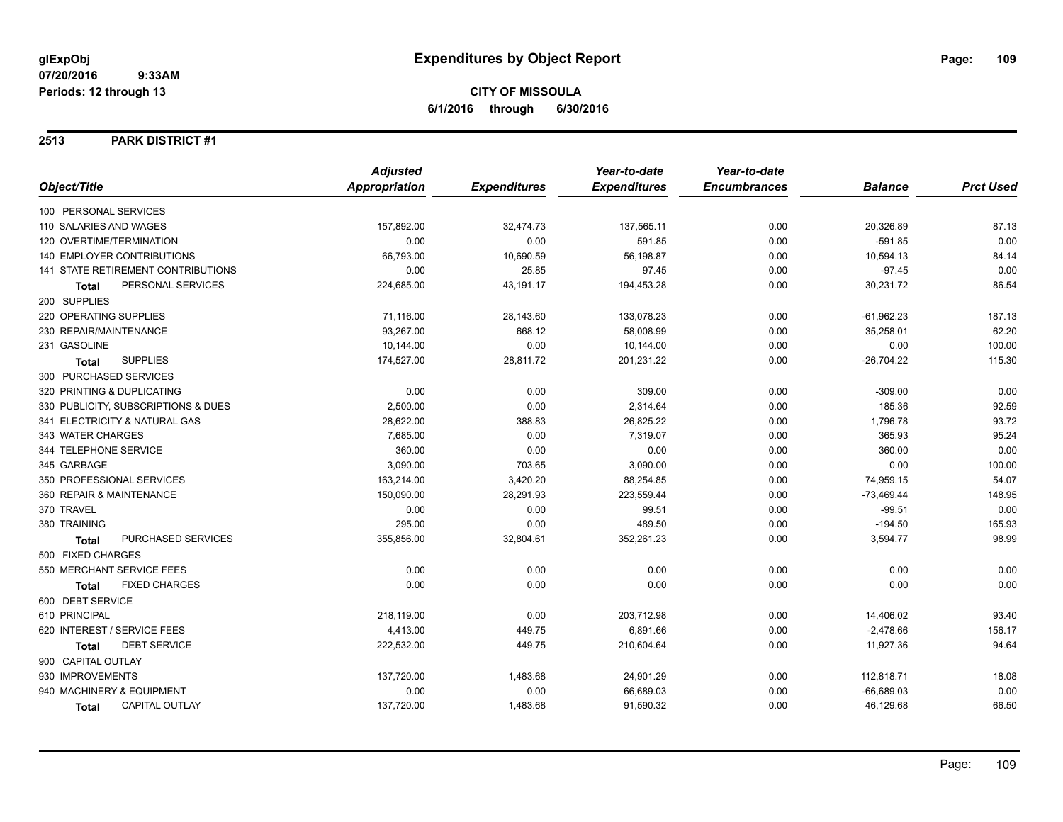## **2513 PARK DISTRICT #1**

|                                           | <b>Adjusted</b>      |                     | Year-to-date        | Year-to-date        |                |                  |
|-------------------------------------------|----------------------|---------------------|---------------------|---------------------|----------------|------------------|
| Object/Title                              | <b>Appropriation</b> | <b>Expenditures</b> | <b>Expenditures</b> | <b>Encumbrances</b> | <b>Balance</b> | <b>Prct Used</b> |
| 100 PERSONAL SERVICES                     |                      |                     |                     |                     |                |                  |
| 110 SALARIES AND WAGES                    | 157,892.00           | 32,474.73           | 137,565.11          | 0.00                | 20,326.89      | 87.13            |
| 120 OVERTIME/TERMINATION                  | 0.00                 | 0.00                | 591.85              | 0.00                | $-591.85$      | 0.00             |
| 140 EMPLOYER CONTRIBUTIONS                | 66,793.00            | 10,690.59           | 56,198.87           | 0.00                | 10,594.13      | 84.14            |
| <b>141 STATE RETIREMENT CONTRIBUTIONS</b> | 0.00                 | 25.85               | 97.45               | 0.00                | $-97.45$       | 0.00             |
| PERSONAL SERVICES<br><b>Total</b>         | 224,685.00           | 43,191.17           | 194,453.28          | 0.00                | 30,231.72      | 86.54            |
| 200 SUPPLIES                              |                      |                     |                     |                     |                |                  |
| 220 OPERATING SUPPLIES                    | 71,116.00            | 28,143.60           | 133,078.23          | 0.00                | $-61,962.23$   | 187.13           |
| 230 REPAIR/MAINTENANCE                    | 93,267.00            | 668.12              | 58,008.99           | 0.00                | 35,258.01      | 62.20            |
| 231 GASOLINE                              | 10,144.00            | 0.00                | 10,144.00           | 0.00                | 0.00           | 100.00           |
| <b>SUPPLIES</b><br><b>Total</b>           | 174,527.00           | 28,811.72           | 201,231.22          | 0.00                | $-26,704.22$   | 115.30           |
| 300 PURCHASED SERVICES                    |                      |                     |                     |                     |                |                  |
| 320 PRINTING & DUPLICATING                | 0.00                 | 0.00                | 309.00              | 0.00                | $-309.00$      | 0.00             |
| 330 PUBLICITY, SUBSCRIPTIONS & DUES       | 2,500.00             | 0.00                | 2,314.64            | 0.00                | 185.36         | 92.59            |
| 341 ELECTRICITY & NATURAL GAS             | 28,622.00            | 388.83              | 26,825.22           | 0.00                | 1,796.78       | 93.72            |
| 343 WATER CHARGES                         | 7,685.00             | 0.00                | 7,319.07            | 0.00                | 365.93         | 95.24            |
| 344 TELEPHONE SERVICE                     | 360.00               | 0.00                | 0.00                | 0.00                | 360.00         | 0.00             |
| 345 GARBAGE                               | 3,090.00             | 703.65              | 3,090.00            | 0.00                | 0.00           | 100.00           |
| 350 PROFESSIONAL SERVICES                 | 163,214.00           | 3,420.20            | 88,254.85           | 0.00                | 74,959.15      | 54.07            |
| 360 REPAIR & MAINTENANCE                  | 150,090.00           | 28,291.93           | 223,559.44          | 0.00                | $-73,469.44$   | 148.95           |
| 370 TRAVEL                                | 0.00                 | 0.00                | 99.51               | 0.00                | $-99.51$       | 0.00             |
| 380 TRAINING                              | 295.00               | 0.00                | 489.50              | 0.00                | $-194.50$      | 165.93           |
| PURCHASED SERVICES<br><b>Total</b>        | 355,856.00           | 32,804.61           | 352,261.23          | 0.00                | 3,594.77       | 98.99            |
| 500 FIXED CHARGES                         |                      |                     |                     |                     |                |                  |
| 550 MERCHANT SERVICE FEES                 | 0.00                 | 0.00                | 0.00                | 0.00                | 0.00           | 0.00             |
| <b>FIXED CHARGES</b><br><b>Total</b>      | 0.00                 | 0.00                | 0.00                | 0.00                | 0.00           | 0.00             |
| 600 DEBT SERVICE                          |                      |                     |                     |                     |                |                  |
| 610 PRINCIPAL                             | 218,119.00           | 0.00                | 203,712.98          | 0.00                | 14,406.02      | 93.40            |
| 620 INTEREST / SERVICE FEES               | 4,413.00             | 449.75              | 6,891.66            | 0.00                | $-2,478.66$    | 156.17           |
| <b>DEBT SERVICE</b><br>Total              | 222,532.00           | 449.75              | 210,604.64          | 0.00                | 11,927.36      | 94.64            |
| 900 CAPITAL OUTLAY                        |                      |                     |                     |                     |                |                  |
| 930 IMPROVEMENTS                          | 137,720.00           | 1,483.68            | 24,901.29           | 0.00                | 112,818.71     | 18.08            |
| 940 MACHINERY & EQUIPMENT                 | 0.00                 | 0.00                | 66,689.03           | 0.00                | $-66,689.03$   | 0.00             |
| <b>CAPITAL OUTLAY</b><br><b>Total</b>     | 137,720.00           | 1,483.68            | 91,590.32           | 0.00                | 46,129.68      | 66.50            |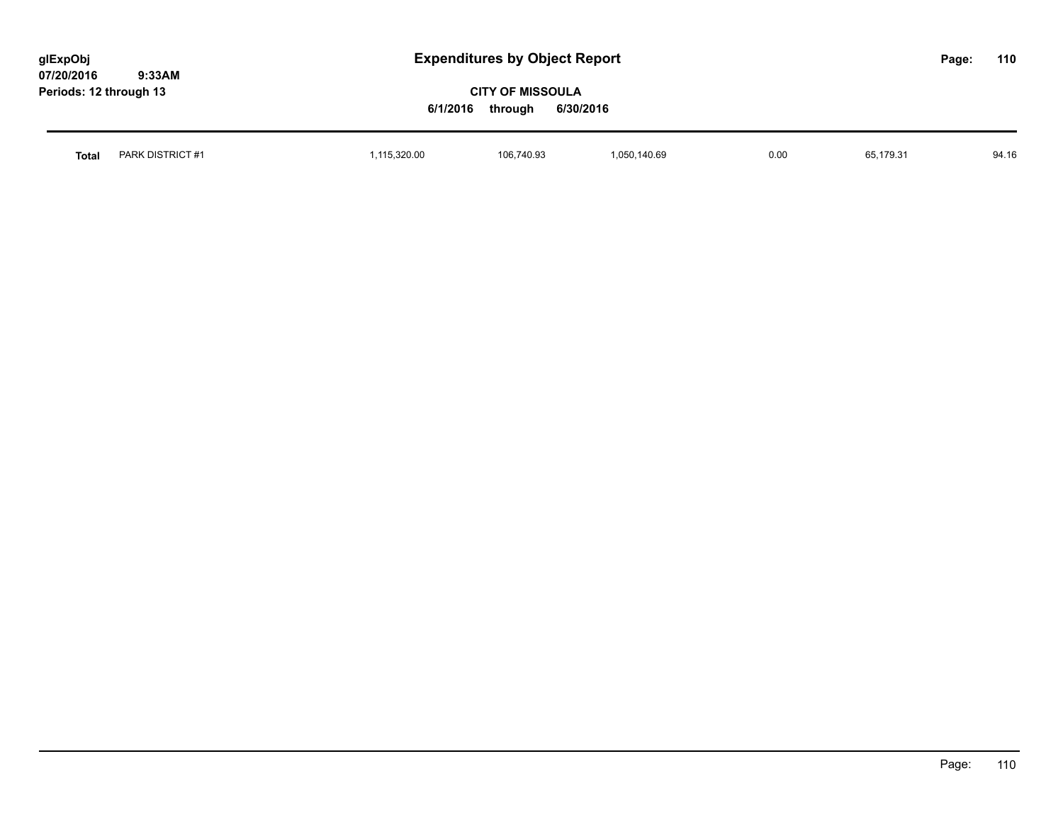| glExpObj<br>07/20/2016<br>9:33AM | <b>Expenditures by Object Report</b> |                                                             |              |      |           | Page: | 110   |
|----------------------------------|--------------------------------------|-------------------------------------------------------------|--------------|------|-----------|-------|-------|
| Periods: 12 through 13           |                                      | <b>CITY OF MISSOULA</b><br>6/1/2016<br>6/30/2016<br>through |              |      |           |       |       |
| PARK DISTRICT #1<br><b>Total</b> | 1,115,320.00                         | 106,740.93                                                  | 1,050,140.69 | 0.00 | 65.179.31 |       | 94.16 |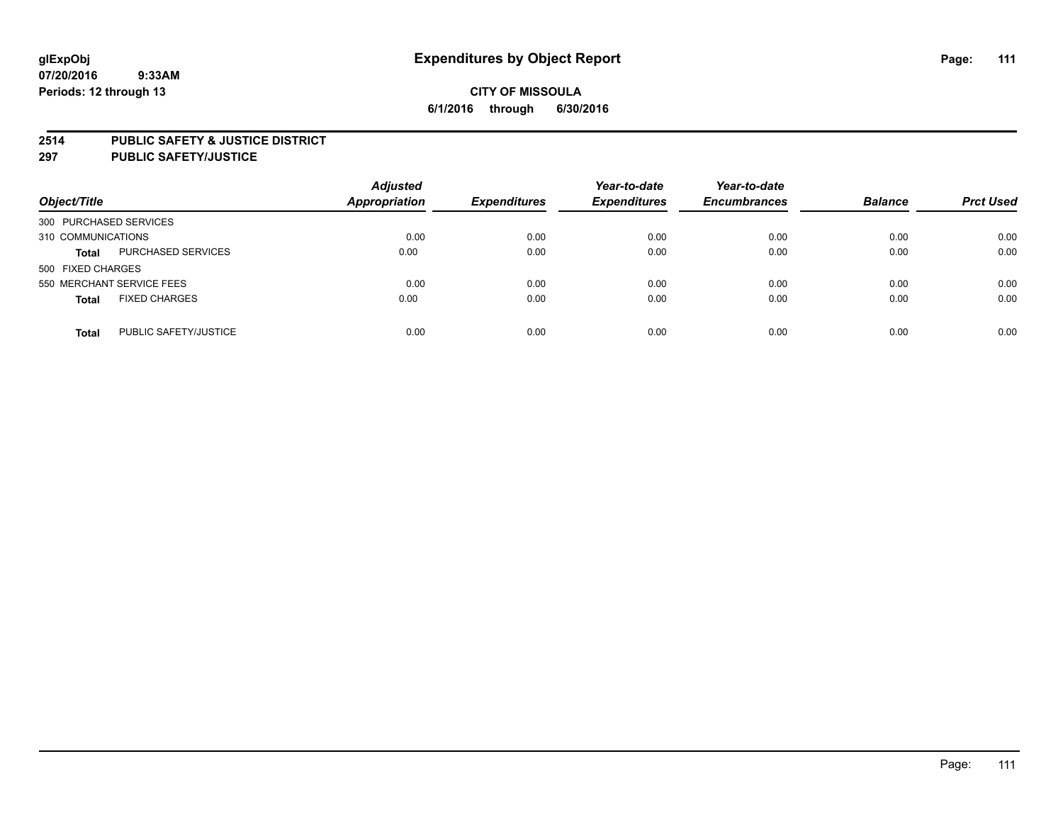### **2514 PUBLIC SAFETY & JUSTICE DISTRICT**

**297 PUBLIC SAFETY/JUSTICE**

| Object/Title                          | <b>Adjusted</b><br><b>Appropriation</b> | <b>Expenditures</b> | Year-to-date<br><b>Expenditures</b> | Year-to-date<br><b>Encumbrances</b> | <b>Balance</b> | <b>Prct Used</b> |
|---------------------------------------|-----------------------------------------|---------------------|-------------------------------------|-------------------------------------|----------------|------------------|
| 300 PURCHASED SERVICES                |                                         |                     |                                     |                                     |                |                  |
| 310 COMMUNICATIONS                    | 0.00                                    | 0.00                | 0.00                                | 0.00                                | 0.00           | 0.00             |
| PURCHASED SERVICES<br><b>Total</b>    | 0.00                                    | 0.00                | 0.00                                | 0.00                                | 0.00           | 0.00             |
| 500 FIXED CHARGES                     |                                         |                     |                                     |                                     |                |                  |
| 550 MERCHANT SERVICE FEES             | 0.00                                    | 0.00                | 0.00                                | 0.00                                | 0.00           | 0.00             |
| <b>FIXED CHARGES</b><br><b>Total</b>  | 0.00                                    | 0.00                | 0.00                                | 0.00                                | 0.00           | 0.00             |
| PUBLIC SAFETY/JUSTICE<br><b>Total</b> | 0.00                                    | 0.00                | 0.00                                | 0.00                                | 0.00           | 0.00             |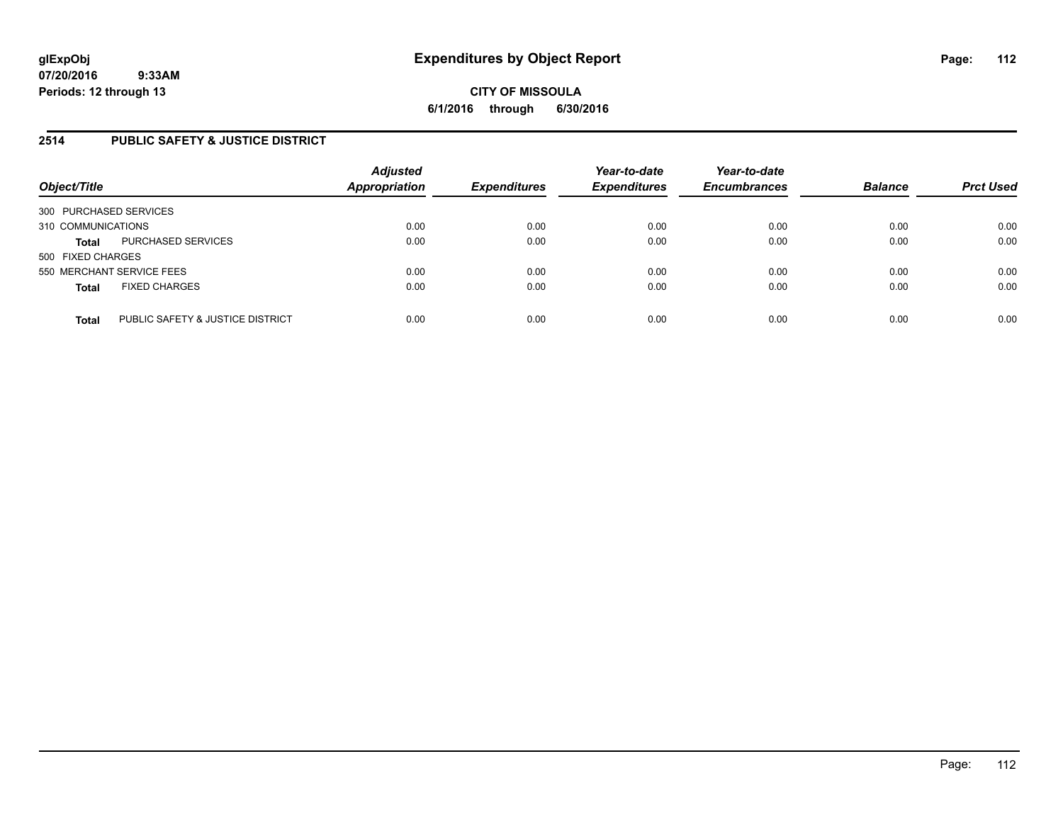## **2514 PUBLIC SAFETY & JUSTICE DISTRICT**

| Object/Title              |                                  | <b>Adjusted</b><br><b>Appropriation</b> | <b>Expenditures</b> | Year-to-date<br><b>Expenditures</b> | Year-to-date<br><b>Encumbrances</b> | <b>Balance</b> | <b>Prct Used</b> |
|---------------------------|----------------------------------|-----------------------------------------|---------------------|-------------------------------------|-------------------------------------|----------------|------------------|
| 300 PURCHASED SERVICES    |                                  |                                         |                     |                                     |                                     |                |                  |
| 310 COMMUNICATIONS        |                                  | 0.00                                    | 0.00                | 0.00                                | 0.00                                | 0.00           | 0.00             |
| <b>Total</b>              | PURCHASED SERVICES               | 0.00                                    | 0.00                | 0.00                                | 0.00                                | 0.00           | 0.00             |
| 500 FIXED CHARGES         |                                  |                                         |                     |                                     |                                     |                |                  |
| 550 MERCHANT SERVICE FEES |                                  | 0.00                                    | 0.00                | 0.00                                | 0.00                                | 0.00           | 0.00             |
| <b>Total</b>              | <b>FIXED CHARGES</b>             | 0.00                                    | 0.00                | 0.00                                | 0.00                                | 0.00           | 0.00             |
| <b>Total</b>              | PUBLIC SAFETY & JUSTICE DISTRICT | 0.00                                    | 0.00                | 0.00                                | 0.00                                | 0.00           | 0.00             |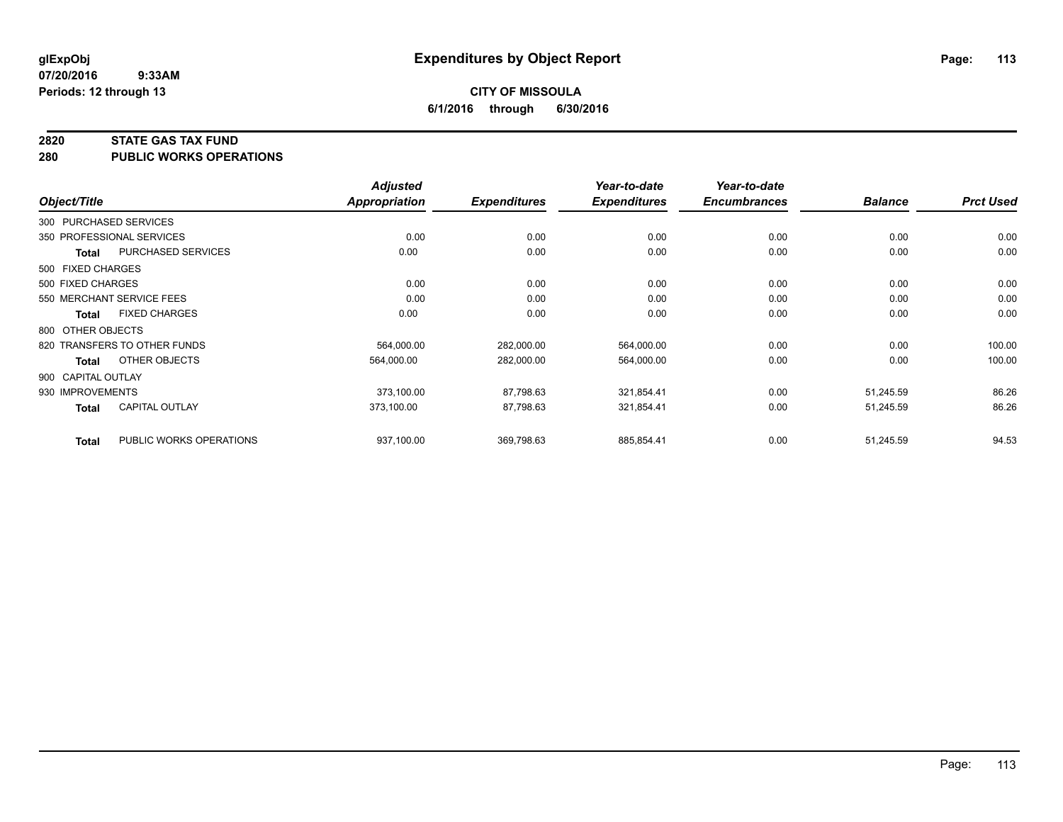#### **2820 STATE GAS TAX FUND**

**280 PUBLIC WORKS OPERATIONS**

|                    |                              | <b>Adjusted</b> |                     | Year-to-date        | Year-to-date        |                |                  |
|--------------------|------------------------------|-----------------|---------------------|---------------------|---------------------|----------------|------------------|
| Object/Title       |                              | Appropriation   | <b>Expenditures</b> | <b>Expenditures</b> | <b>Encumbrances</b> | <b>Balance</b> | <b>Prct Used</b> |
|                    | 300 PURCHASED SERVICES       |                 |                     |                     |                     |                |                  |
|                    | 350 PROFESSIONAL SERVICES    | 0.00            | 0.00                | 0.00                | 0.00                | 0.00           | 0.00             |
| Total              | PURCHASED SERVICES           | 0.00            | 0.00                | 0.00                | 0.00                | 0.00           | 0.00             |
| 500 FIXED CHARGES  |                              |                 |                     |                     |                     |                |                  |
| 500 FIXED CHARGES  |                              | 0.00            | 0.00                | 0.00                | 0.00                | 0.00           | 0.00             |
|                    | 550 MERCHANT SERVICE FEES    | 0.00            | 0.00                | 0.00                | 0.00                | 0.00           | 0.00             |
| Total              | <b>FIXED CHARGES</b>         | 0.00            | 0.00                | 0.00                | 0.00                | 0.00           | 0.00             |
| 800 OTHER OBJECTS  |                              |                 |                     |                     |                     |                |                  |
|                    | 820 TRANSFERS TO OTHER FUNDS | 564,000.00      | 282,000.00          | 564,000.00          | 0.00                | 0.00           | 100.00           |
| <b>Total</b>       | OTHER OBJECTS                | 564,000.00      | 282,000.00          | 564,000.00          | 0.00                | 0.00           | 100.00           |
| 900 CAPITAL OUTLAY |                              |                 |                     |                     |                     |                |                  |
| 930 IMPROVEMENTS   |                              | 373,100.00      | 87,798.63           | 321,854.41          | 0.00                | 51,245.59      | 86.26            |
| Total              | <b>CAPITAL OUTLAY</b>        | 373.100.00      | 87,798.63           | 321,854.41          | 0.00                | 51,245.59      | 86.26            |
| <b>Total</b>       | PUBLIC WORKS OPERATIONS      | 937,100.00      | 369,798.63          | 885,854.41          | 0.00                | 51,245.59      | 94.53            |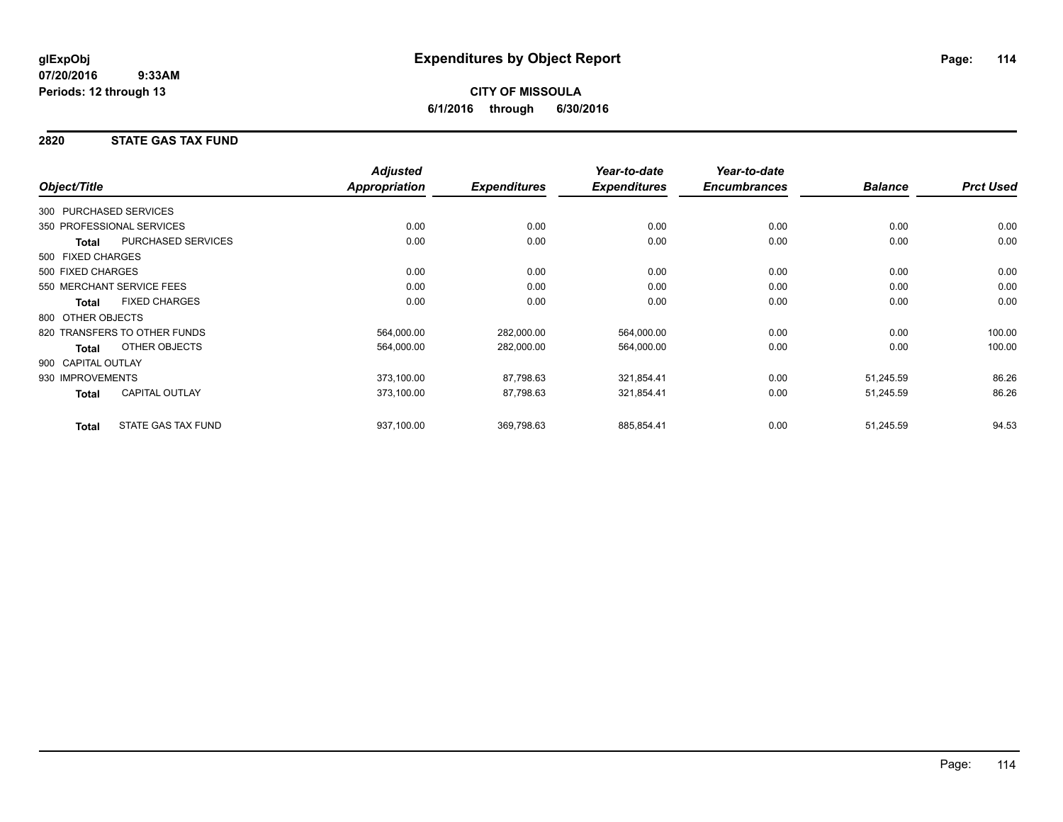# **CITY OF MISSOULA 6/1/2016 through 6/30/2016**

## **2820 STATE GAS TAX FUND**

|                           |                              | <b>Adjusted</b>      |                     | Year-to-date        | Year-to-date        |                |                  |
|---------------------------|------------------------------|----------------------|---------------------|---------------------|---------------------|----------------|------------------|
| Object/Title              |                              | <b>Appropriation</b> | <b>Expenditures</b> | <b>Expenditures</b> | <b>Encumbrances</b> | <b>Balance</b> | <b>Prct Used</b> |
| 300 PURCHASED SERVICES    |                              |                      |                     |                     |                     |                |                  |
| 350 PROFESSIONAL SERVICES |                              | 0.00                 | 0.00                | 0.00                | 0.00                | 0.00           | 0.00             |
| Total                     | PURCHASED SERVICES           | 0.00                 | 0.00                | 0.00                | 0.00                | 0.00           | 0.00             |
| 500 FIXED CHARGES         |                              |                      |                     |                     |                     |                |                  |
| 500 FIXED CHARGES         |                              | 0.00                 | 0.00                | 0.00                | 0.00                | 0.00           | 0.00             |
| 550 MERCHANT SERVICE FEES |                              | 0.00                 | 0.00                | 0.00                | 0.00                | 0.00           | 0.00             |
| <b>Total</b>              | <b>FIXED CHARGES</b>         | 0.00                 | 0.00                | 0.00                | 0.00                | 0.00           | 0.00             |
| 800 OTHER OBJECTS         |                              |                      |                     |                     |                     |                |                  |
|                           | 820 TRANSFERS TO OTHER FUNDS | 564,000.00           | 282,000.00          | 564,000.00          | 0.00                | 0.00           | 100.00           |
| <b>Total</b>              | OTHER OBJECTS                | 564,000.00           | 282,000.00          | 564,000.00          | 0.00                | 0.00           | 100.00           |
| 900 CAPITAL OUTLAY        |                              |                      |                     |                     |                     |                |                  |
| 930 IMPROVEMENTS          |                              | 373,100.00           | 87,798.63           | 321,854.41          | 0.00                | 51,245.59      | 86.26            |
| <b>Total</b>              | <b>CAPITAL OUTLAY</b>        | 373,100.00           | 87,798.63           | 321,854.41          | 0.00                | 51,245.59      | 86.26            |
| <b>Total</b>              | STATE GAS TAX FUND           | 937,100.00           | 369,798.63          | 885,854.41          | 0.00                | 51,245.59      | 94.53            |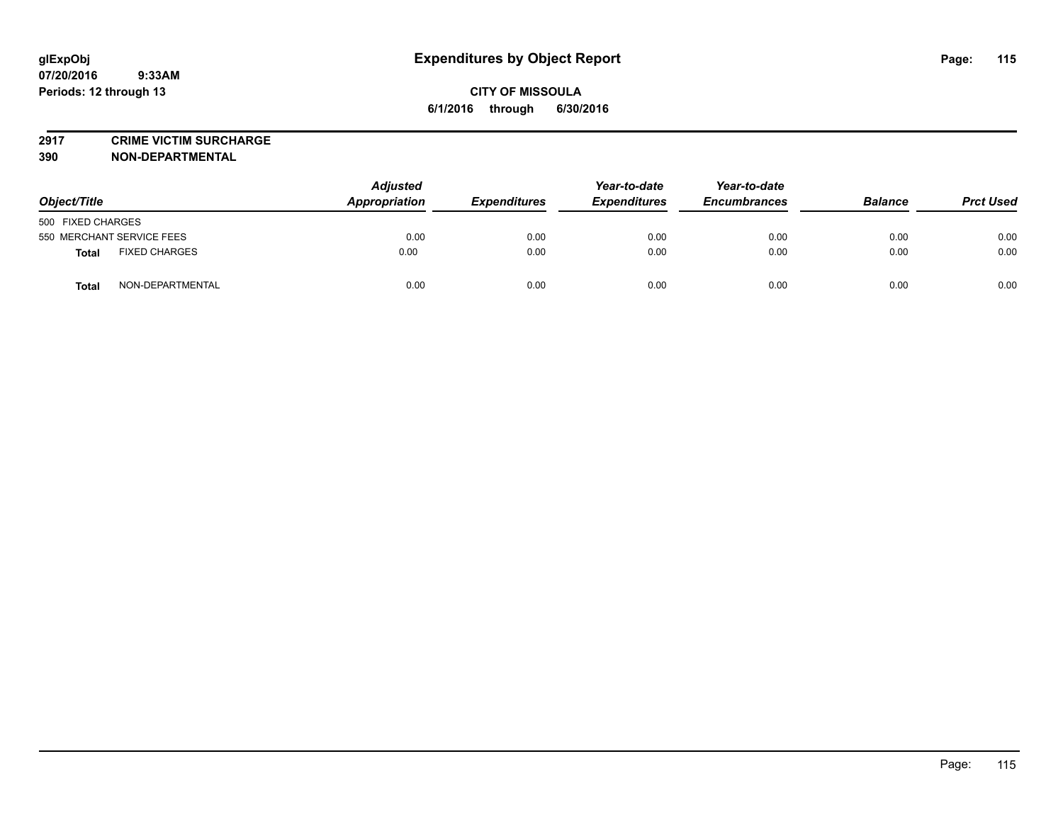**2917 CRIME VICTIM SURCHARGE**

**390 NON-DEPARTMENTAL**

| Object/Title                  | <b>Adjusted</b><br>Appropriation | <b>Expenditures</b> | Year-to-date<br><b>Expenditures</b> | Year-to-date<br><b>Encumbrances</b> | <b>Balance</b> | <b>Prct Used</b> |
|-------------------------------|----------------------------------|---------------------|-------------------------------------|-------------------------------------|----------------|------------------|
| 500 FIXED CHARGES             |                                  |                     |                                     |                                     |                |                  |
| 550 MERCHANT SERVICE FEES     | 0.00                             | 0.00                | 0.00                                | 0.00                                | 0.00           | 0.00             |
| <b>FIXED CHARGES</b><br>Total | 0.00                             | 0.00                | 0.00                                | 0.00                                | 0.00           | 0.00             |
| NON-DEPARTMENTAL<br>Total     | 0.00                             | 0.00                | 0.00                                | 0.00                                | 0.00           | 0.00             |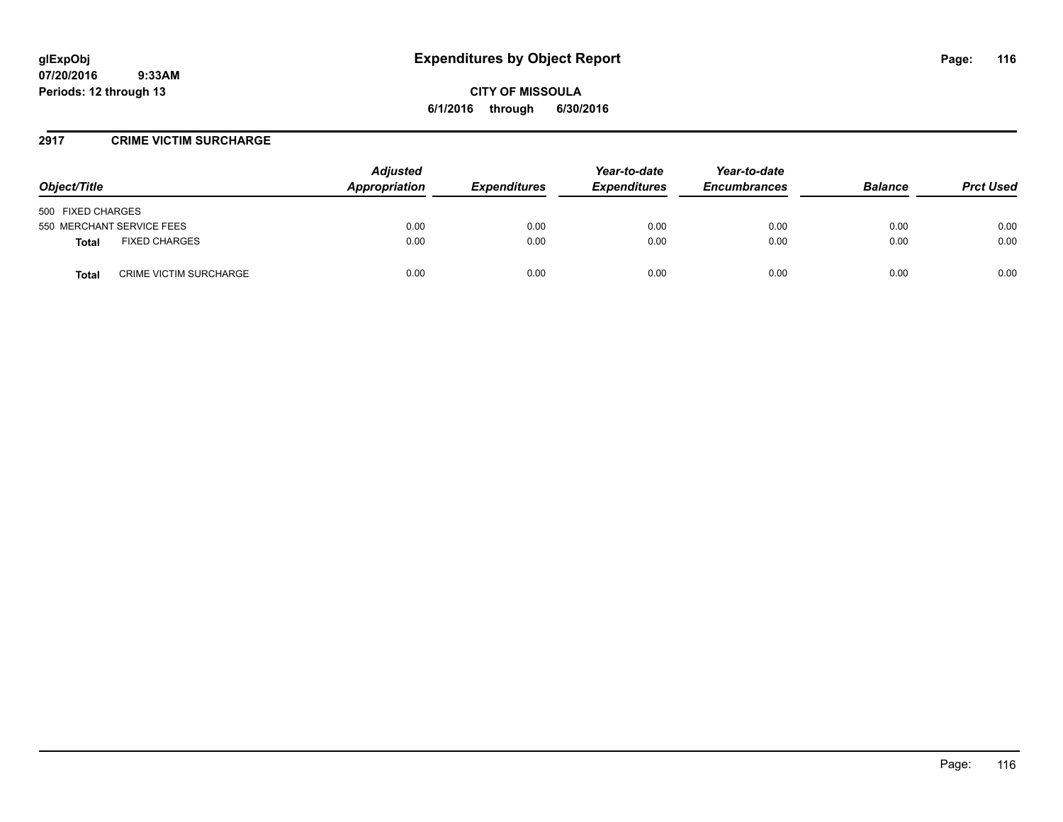### **2917 CRIME VICTIM SURCHARGE**

| Object/Title                                  | <b>Adjusted</b><br>Appropriation | <b>Expenditures</b> | Year-to-date<br><b>Expenditures</b> | Year-to-date<br><b>Encumbrances</b> | <b>Balance</b> | <b>Prct Used</b> |
|-----------------------------------------------|----------------------------------|---------------------|-------------------------------------|-------------------------------------|----------------|------------------|
| 500 FIXED CHARGES                             |                                  |                     |                                     |                                     |                |                  |
| 550 MERCHANT SERVICE FEES                     | 0.00                             | 0.00                | 0.00                                | 0.00                                | 0.00           | 0.00             |
| <b>FIXED CHARGES</b><br>Total                 | 0.00                             | 0.00                | 0.00                                | 0.00                                | 0.00           | 0.00             |
| <b>CRIME VICTIM SURCHARGE</b><br><b>Total</b> | 0.00                             | 0.00                | 0.00                                | 0.00                                | 0.00           | 0.00             |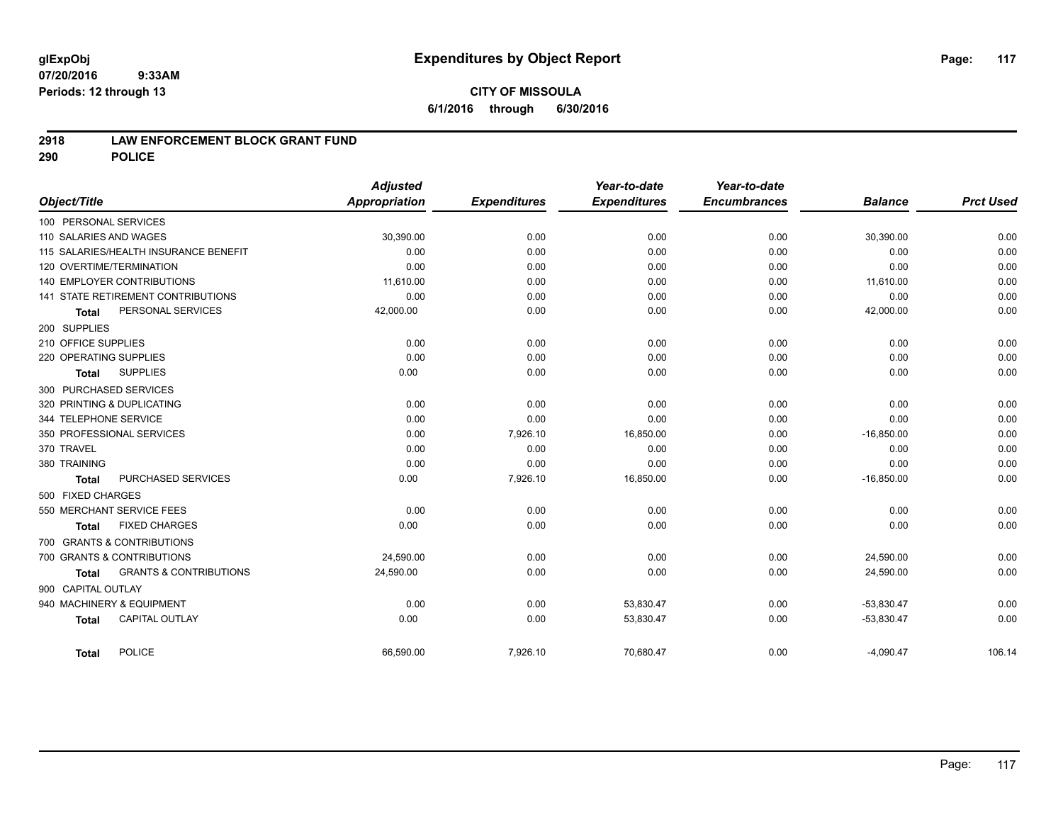## **2918 LAW ENFORCEMENT BLOCK GRANT FUND**

**290 POLICE**

|                                                   | <b>Adjusted</b>      |                     | Year-to-date        | Year-to-date        |                |                  |
|---------------------------------------------------|----------------------|---------------------|---------------------|---------------------|----------------|------------------|
| Object/Title                                      | <b>Appropriation</b> | <b>Expenditures</b> | <b>Expenditures</b> | <b>Encumbrances</b> | <b>Balance</b> | <b>Prct Used</b> |
| 100 PERSONAL SERVICES                             |                      |                     |                     |                     |                |                  |
| 110 SALARIES AND WAGES                            | 30,390.00            | 0.00                | 0.00                | 0.00                | 30,390.00      | 0.00             |
| 115 SALARIES/HEALTH INSURANCE BENEFIT             | 0.00                 | 0.00                | 0.00                | 0.00                | 0.00           | 0.00             |
| 120 OVERTIME/TERMINATION                          | 0.00                 | 0.00                | 0.00                | 0.00                | 0.00           | 0.00             |
| <b>140 EMPLOYER CONTRIBUTIONS</b>                 | 11,610.00            | 0.00                | 0.00                | 0.00                | 11,610.00      | 0.00             |
| <b>141 STATE RETIREMENT CONTRIBUTIONS</b>         | 0.00                 | 0.00                | 0.00                | 0.00                | 0.00           | 0.00             |
| PERSONAL SERVICES<br><b>Total</b>                 | 42,000.00            | 0.00                | 0.00                | 0.00                | 42,000.00      | 0.00             |
| 200 SUPPLIES                                      |                      |                     |                     |                     |                |                  |
| 210 OFFICE SUPPLIES                               | 0.00                 | 0.00                | 0.00                | 0.00                | 0.00           | 0.00             |
| 220 OPERATING SUPPLIES                            | 0.00                 | 0.00                | 0.00                | 0.00                | 0.00           | 0.00             |
| <b>SUPPLIES</b><br><b>Total</b>                   | 0.00                 | 0.00                | 0.00                | 0.00                | 0.00           | 0.00             |
| 300 PURCHASED SERVICES                            |                      |                     |                     |                     |                |                  |
| 320 PRINTING & DUPLICATING                        | 0.00                 | 0.00                | 0.00                | 0.00                | 0.00           | 0.00             |
| 344 TELEPHONE SERVICE                             | 0.00                 | 0.00                | 0.00                | 0.00                | 0.00           | 0.00             |
| 350 PROFESSIONAL SERVICES                         | 0.00                 | 7,926.10            | 16,850.00           | 0.00                | $-16,850.00$   | 0.00             |
| 370 TRAVEL                                        | 0.00                 | 0.00                | 0.00                | 0.00                | 0.00           | 0.00             |
| 380 TRAINING                                      | 0.00                 | 0.00                | 0.00                | 0.00                | 0.00           | 0.00             |
| PURCHASED SERVICES<br><b>Total</b>                | 0.00                 | 7,926.10            | 16,850.00           | 0.00                | $-16,850.00$   | 0.00             |
| 500 FIXED CHARGES                                 |                      |                     |                     |                     |                |                  |
| 550 MERCHANT SERVICE FEES                         | 0.00                 | 0.00                | 0.00                | 0.00                | 0.00           | 0.00             |
| <b>FIXED CHARGES</b><br><b>Total</b>              | 0.00                 | 0.00                | 0.00                | 0.00                | 0.00           | 0.00             |
| 700 GRANTS & CONTRIBUTIONS                        |                      |                     |                     |                     |                |                  |
| 700 GRANTS & CONTRIBUTIONS                        | 24,590.00            | 0.00                | 0.00                | 0.00                | 24,590.00      | 0.00             |
| <b>GRANTS &amp; CONTRIBUTIONS</b><br><b>Total</b> | 24,590.00            | 0.00                | 0.00                | 0.00                | 24,590.00      | 0.00             |
| 900 CAPITAL OUTLAY                                |                      |                     |                     |                     |                |                  |
| 940 MACHINERY & EQUIPMENT                         | 0.00                 | 0.00                | 53,830.47           | 0.00                | $-53,830.47$   | 0.00             |
| <b>CAPITAL OUTLAY</b><br><b>Total</b>             | 0.00                 | 0.00                | 53,830.47           | 0.00                | $-53,830.47$   | 0.00             |
| <b>POLICE</b><br><b>Total</b>                     | 66,590.00            | 7,926.10            | 70,680.47           | 0.00                | $-4,090.47$    | 106.14           |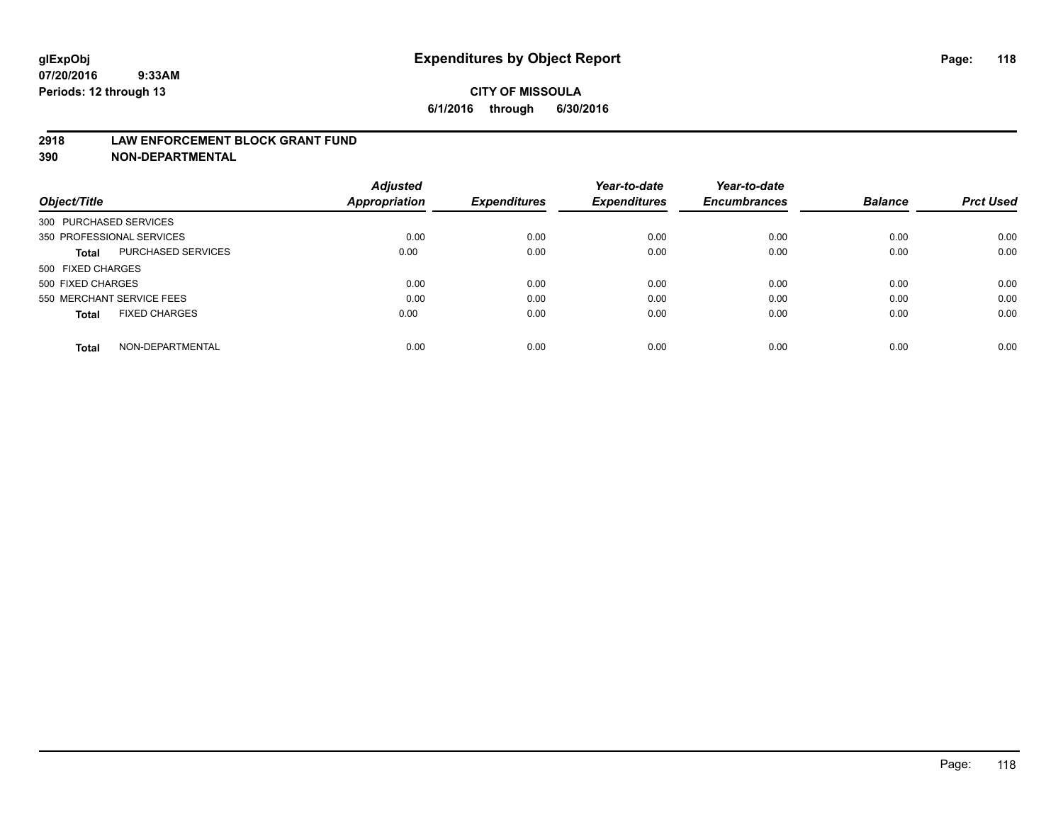#### **2918 LAW ENFORCEMENT BLOCK GRANT FUND**

**390 NON-DEPARTMENTAL**

|                           |                      | <b>Adjusted</b> |                     | Year-to-date        | Year-to-date<br><b>Encumbrances</b> | <b>Balance</b> | <b>Prct Used</b> |
|---------------------------|----------------------|-----------------|---------------------|---------------------|-------------------------------------|----------------|------------------|
| Object/Title              |                      | Appropriation   | <b>Expenditures</b> | <b>Expenditures</b> |                                     |                |                  |
| 300 PURCHASED SERVICES    |                      |                 |                     |                     |                                     |                |                  |
| 350 PROFESSIONAL SERVICES |                      | 0.00            | 0.00                | 0.00                | 0.00                                | 0.00           | 0.00             |
| Total                     | PURCHASED SERVICES   | 0.00            | 0.00                | 0.00                | 0.00                                | 0.00           | 0.00             |
| 500 FIXED CHARGES         |                      |                 |                     |                     |                                     |                |                  |
| 500 FIXED CHARGES         |                      | 0.00            | 0.00                | 0.00                | 0.00                                | 0.00           | 0.00             |
| 550 MERCHANT SERVICE FEES |                      | 0.00            | 0.00                | 0.00                | 0.00                                | 0.00           | 0.00             |
| <b>Total</b>              | <b>FIXED CHARGES</b> | 0.00            | 0.00                | 0.00                | 0.00                                | 0.00           | 0.00             |
| <b>Total</b>              | NON-DEPARTMENTAL     | 0.00            | 0.00                | 0.00                | 0.00                                | 0.00           | 0.00             |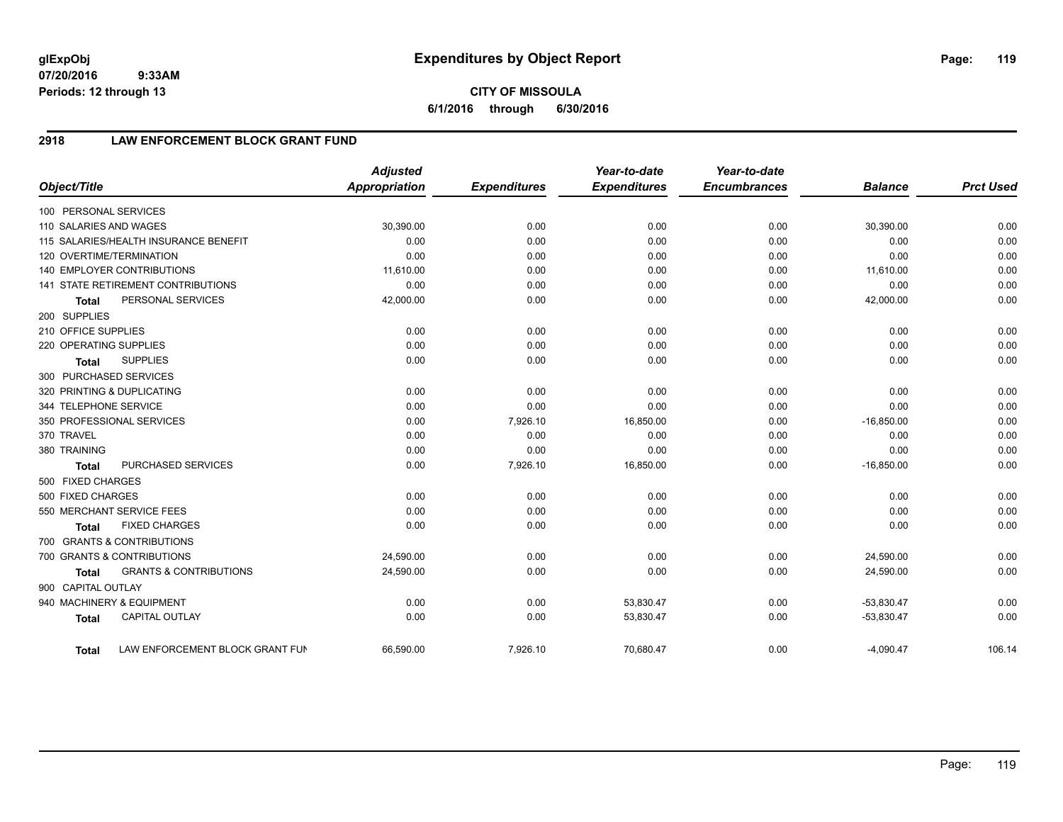# **2918 LAW ENFORCEMENT BLOCK GRANT FUND**

| Object/Title           |                                       | <b>Adjusted</b><br><b>Appropriation</b> | <b>Expenditures</b> | Year-to-date<br><b>Expenditures</b> | Year-to-date<br><b>Encumbrances</b> | <b>Balance</b> | <b>Prct Used</b> |
|------------------------|---------------------------------------|-----------------------------------------|---------------------|-------------------------------------|-------------------------------------|----------------|------------------|
|                        |                                       |                                         |                     |                                     |                                     |                |                  |
| 100 PERSONAL SERVICES  |                                       |                                         |                     |                                     |                                     |                |                  |
| 110 SALARIES AND WAGES |                                       | 30,390.00                               | 0.00                | 0.00                                | 0.00                                | 30,390.00      | 0.00             |
|                        | 115 SALARIES/HEALTH INSURANCE BENEFIT | 0.00                                    | 0.00                | 0.00                                | 0.00                                | 0.00           | 0.00             |
|                        | 120 OVERTIME/TERMINATION              | 0.00                                    | 0.00                | 0.00                                | 0.00                                | 0.00           | 0.00             |
|                        | <b>140 EMPLOYER CONTRIBUTIONS</b>     | 11,610.00                               | 0.00                | 0.00                                | 0.00                                | 11,610.00      | 0.00             |
|                        | 141 STATE RETIREMENT CONTRIBUTIONS    | 0.00                                    | 0.00                | 0.00                                | 0.00                                | 0.00           | 0.00             |
| <b>Total</b>           | PERSONAL SERVICES                     | 42,000.00                               | 0.00                | 0.00                                | 0.00                                | 42,000.00      | 0.00             |
| 200 SUPPLIES           |                                       |                                         |                     |                                     |                                     |                |                  |
| 210 OFFICE SUPPLIES    |                                       | 0.00                                    | 0.00                | 0.00                                | 0.00                                | 0.00           | 0.00             |
| 220 OPERATING SUPPLIES |                                       | 0.00                                    | 0.00                | 0.00                                | 0.00                                | 0.00           | 0.00             |
| <b>Total</b>           | <b>SUPPLIES</b>                       | 0.00                                    | 0.00                | 0.00                                | 0.00                                | 0.00           | 0.00             |
|                        | 300 PURCHASED SERVICES                |                                         |                     |                                     |                                     |                |                  |
|                        | 320 PRINTING & DUPLICATING            | 0.00                                    | 0.00                | 0.00                                | 0.00                                | 0.00           | 0.00             |
| 344 TELEPHONE SERVICE  |                                       | 0.00                                    | 0.00                | 0.00                                | 0.00                                | 0.00           | 0.00             |
|                        | 350 PROFESSIONAL SERVICES             | 0.00                                    | 7,926.10            | 16,850.00                           | 0.00                                | $-16,850.00$   | 0.00             |
| 370 TRAVEL             |                                       | 0.00                                    | 0.00                | 0.00                                | 0.00                                | 0.00           | 0.00             |
| 380 TRAINING           |                                       | 0.00                                    | 0.00                | 0.00                                | 0.00                                | 0.00           | 0.00             |
| <b>Total</b>           | PURCHASED SERVICES                    | 0.00                                    | 7,926.10            | 16,850.00                           | 0.00                                | $-16,850.00$   | 0.00             |
| 500 FIXED CHARGES      |                                       |                                         |                     |                                     |                                     |                |                  |
| 500 FIXED CHARGES      |                                       | 0.00                                    | 0.00                | 0.00                                | 0.00                                | 0.00           | 0.00             |
|                        | 550 MERCHANT SERVICE FEES             | 0.00                                    | 0.00                | 0.00                                | 0.00                                | 0.00           | 0.00             |
| <b>Total</b>           | <b>FIXED CHARGES</b>                  | 0.00                                    | 0.00                | 0.00                                | 0.00                                | 0.00           | 0.00             |
|                        | 700 GRANTS & CONTRIBUTIONS            |                                         |                     |                                     |                                     |                |                  |
|                        | 700 GRANTS & CONTRIBUTIONS            | 24,590.00                               | 0.00                | 0.00                                | 0.00                                | 24,590.00      | 0.00             |
| <b>Total</b>           | <b>GRANTS &amp; CONTRIBUTIONS</b>     | 24,590.00                               | 0.00                | 0.00                                | 0.00                                | 24,590.00      | 0.00             |
| 900 CAPITAL OUTLAY     |                                       |                                         |                     |                                     |                                     |                |                  |
|                        | 940 MACHINERY & EQUIPMENT             | 0.00                                    | 0.00                | 53,830.47                           | 0.00                                | $-53,830.47$   | 0.00             |
| <b>Total</b>           | <b>CAPITAL OUTLAY</b>                 | 0.00                                    | 0.00                | 53,830.47                           | 0.00                                | $-53,830.47$   | 0.00             |
|                        |                                       |                                         |                     |                                     |                                     |                |                  |
| Total                  | LAW ENFORCEMENT BLOCK GRANT FUN       | 66,590.00                               | 7,926.10            | 70,680.47                           | 0.00                                | $-4,090.47$    | 106.14           |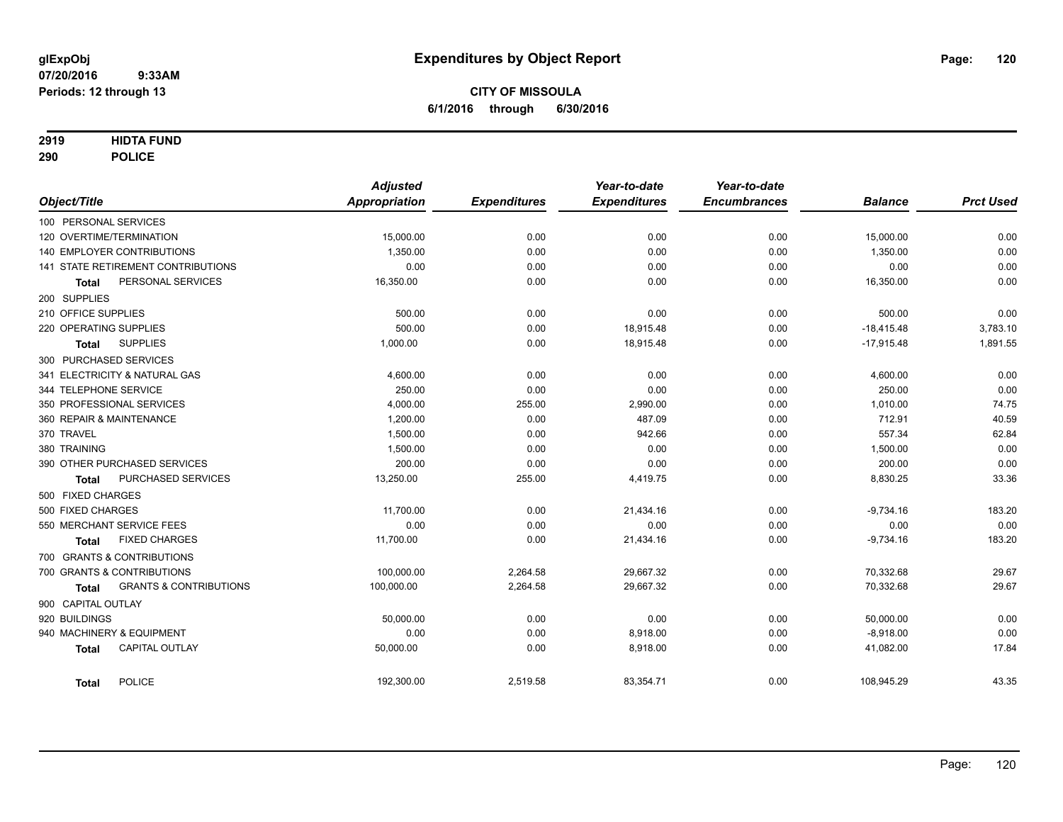## **2919 HIDTA FUND**

**290 POLICE**

|                                            | <b>Adjusted</b>      |                     | Year-to-date        | Year-to-date        |                |                  |
|--------------------------------------------|----------------------|---------------------|---------------------|---------------------|----------------|------------------|
| Object/Title                               | <b>Appropriation</b> | <b>Expenditures</b> | <b>Expenditures</b> | <b>Encumbrances</b> | <b>Balance</b> | <b>Prct Used</b> |
| 100 PERSONAL SERVICES                      |                      |                     |                     |                     |                |                  |
| 120 OVERTIME/TERMINATION                   | 15,000.00            | 0.00                | 0.00                | 0.00                | 15,000.00      | 0.00             |
| <b>140 EMPLOYER CONTRIBUTIONS</b>          | 1,350.00             | 0.00                | 0.00                | 0.00                | 1,350.00       | 0.00             |
| <b>141 STATE RETIREMENT CONTRIBUTIONS</b>  | 0.00                 | 0.00                | 0.00                | 0.00                | 0.00           | 0.00             |
| PERSONAL SERVICES<br><b>Total</b>          | 16,350.00            | 0.00                | 0.00                | 0.00                | 16,350.00      | 0.00             |
| 200 SUPPLIES                               |                      |                     |                     |                     |                |                  |
| 210 OFFICE SUPPLIES                        | 500.00               | 0.00                | 0.00                | 0.00                | 500.00         | 0.00             |
| 220 OPERATING SUPPLIES                     | 500.00               | 0.00                | 18,915.48           | 0.00                | $-18,415.48$   | 3,783.10         |
| <b>SUPPLIES</b><br><b>Total</b>            | 1,000.00             | 0.00                | 18,915.48           | 0.00                | $-17,915.48$   | 1,891.55         |
| 300 PURCHASED SERVICES                     |                      |                     |                     |                     |                |                  |
| 341 ELECTRICITY & NATURAL GAS              | 4,600.00             | 0.00                | 0.00                | 0.00                | 4,600.00       | 0.00             |
| 344 TELEPHONE SERVICE                      | 250.00               | 0.00                | 0.00                | 0.00                | 250.00         | 0.00             |
| 350 PROFESSIONAL SERVICES                  | 4,000.00             | 255.00              | 2,990.00            | 0.00                | 1,010.00       | 74.75            |
| 360 REPAIR & MAINTENANCE                   | 1,200.00             | 0.00                | 487.09              | 0.00                | 712.91         | 40.59            |
| 370 TRAVEL                                 | 1,500.00             | 0.00                | 942.66              | 0.00                | 557.34         | 62.84            |
| 380 TRAINING                               | 1,500.00             | 0.00                | 0.00                | 0.00                | 1,500.00       | 0.00             |
| 390 OTHER PURCHASED SERVICES               | 200.00               | 0.00                | 0.00                | 0.00                | 200.00         | 0.00             |
| PURCHASED SERVICES<br><b>Total</b>         | 13,250.00            | 255.00              | 4,419.75            | 0.00                | 8,830.25       | 33.36            |
| 500 FIXED CHARGES                          |                      |                     |                     |                     |                |                  |
| 500 FIXED CHARGES                          | 11,700.00            | 0.00                | 21,434.16           | 0.00                | $-9,734.16$    | 183.20           |
| 550 MERCHANT SERVICE FEES                  | 0.00                 | 0.00                | 0.00                | 0.00                | 0.00           | 0.00             |
| <b>FIXED CHARGES</b><br><b>Total</b>       | 11,700.00            | 0.00                | 21,434.16           | 0.00                | $-9,734.16$    | 183.20           |
| 700 GRANTS & CONTRIBUTIONS                 |                      |                     |                     |                     |                |                  |
| 700 GRANTS & CONTRIBUTIONS                 | 100,000.00           | 2,264.58            | 29,667.32           | 0.00                | 70,332.68      | 29.67            |
| <b>GRANTS &amp; CONTRIBUTIONS</b><br>Total | 100,000.00           | 2,264.58            | 29,667.32           | 0.00                | 70,332.68      | 29.67            |
| 900 CAPITAL OUTLAY                         |                      |                     |                     |                     |                |                  |
| 920 BUILDINGS                              | 50,000.00            | 0.00                | 0.00                | 0.00                | 50,000.00      | 0.00             |
| 940 MACHINERY & EQUIPMENT                  | 0.00                 | 0.00                | 8,918.00            | 0.00                | $-8,918.00$    | 0.00             |
| <b>CAPITAL OUTLAY</b><br><b>Total</b>      | 50,000.00            | 0.00                | 8,918.00            | 0.00                | 41,082.00      | 17.84            |
| <b>POLICE</b><br><b>Total</b>              | 192,300.00           | 2,519.58            | 83,354.71           | 0.00                | 108,945.29     | 43.35            |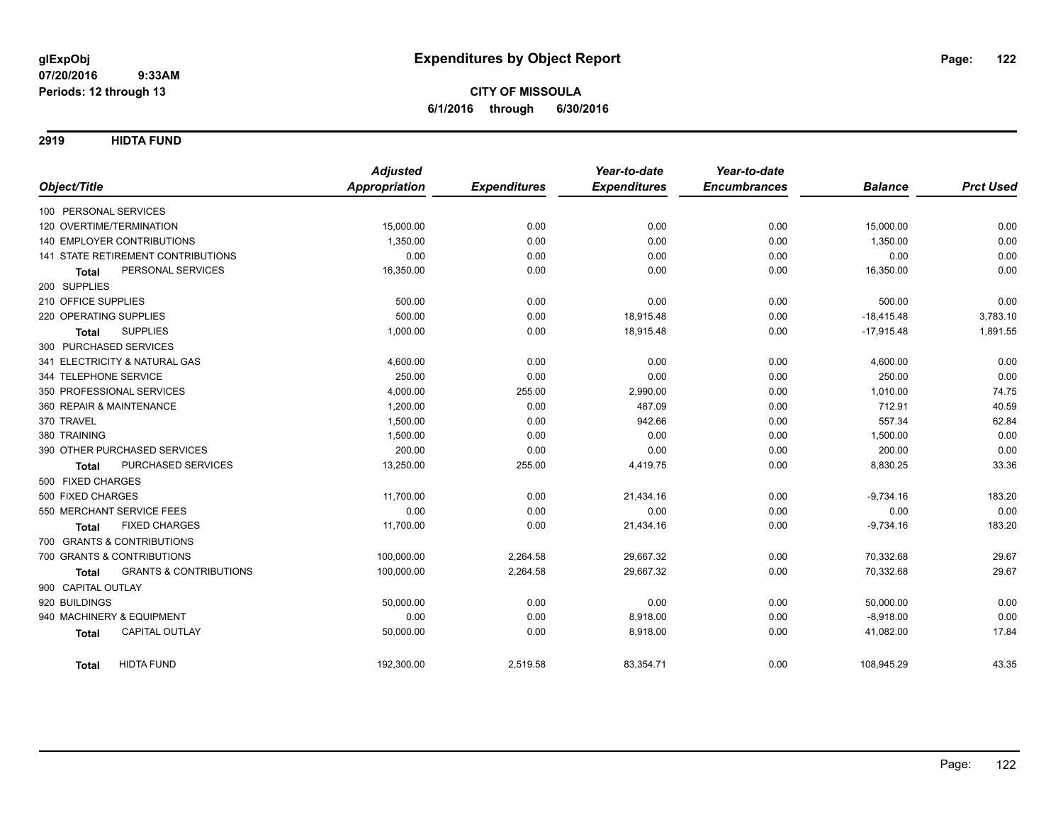**2919 HIDTA FUND**

|                                                   | <b>Adjusted</b>      |                     | Year-to-date        | Year-to-date        |                |                  |
|---------------------------------------------------|----------------------|---------------------|---------------------|---------------------|----------------|------------------|
| Object/Title                                      | <b>Appropriation</b> | <b>Expenditures</b> | <b>Expenditures</b> | <b>Encumbrances</b> | <b>Balance</b> | <b>Prct Used</b> |
| 100 PERSONAL SERVICES                             |                      |                     |                     |                     |                |                  |
| 120 OVERTIME/TERMINATION                          | 15,000.00            | 0.00                | 0.00                | 0.00                | 15,000.00      | 0.00             |
| <b>140 EMPLOYER CONTRIBUTIONS</b>                 | 1,350.00             | 0.00                | 0.00                | 0.00                | 1,350.00       | 0.00             |
| 141 STATE RETIREMENT CONTRIBUTIONS                | 0.00                 | 0.00                | 0.00                | 0.00                | 0.00           | 0.00             |
| PERSONAL SERVICES<br><b>Total</b>                 | 16,350.00            | 0.00                | 0.00                | 0.00                | 16,350.00      | 0.00             |
| 200 SUPPLIES                                      |                      |                     |                     |                     |                |                  |
| 210 OFFICE SUPPLIES                               | 500.00               | 0.00                | 0.00                | 0.00                | 500.00         | 0.00             |
| 220 OPERATING SUPPLIES                            | 500.00               | 0.00                | 18,915.48           | 0.00                | $-18,415.48$   | 3,783.10         |
| <b>SUPPLIES</b><br><b>Total</b>                   | 1,000.00             | 0.00                | 18,915.48           | 0.00                | $-17,915.48$   | 1,891.55         |
| 300 PURCHASED SERVICES                            |                      |                     |                     |                     |                |                  |
| 341 ELECTRICITY & NATURAL GAS                     | 4,600.00             | 0.00                | 0.00                | 0.00                | 4,600.00       | 0.00             |
| 344 TELEPHONE SERVICE                             | 250.00               | 0.00                | 0.00                | 0.00                | 250.00         | 0.00             |
| 350 PROFESSIONAL SERVICES                         | 4,000.00             | 255.00              | 2,990.00            | 0.00                | 1,010.00       | 74.75            |
| 360 REPAIR & MAINTENANCE                          | 1,200.00             | 0.00                | 487.09              | 0.00                | 712.91         | 40.59            |
| 370 TRAVEL                                        | 1,500.00             | 0.00                | 942.66              | 0.00                | 557.34         | 62.84            |
| 380 TRAINING                                      | 1,500.00             | 0.00                | 0.00                | 0.00                | 1,500.00       | 0.00             |
| 390 OTHER PURCHASED SERVICES                      | 200.00               | 0.00                | 0.00                | 0.00                | 200.00         | 0.00             |
| PURCHASED SERVICES<br><b>Total</b>                | 13,250.00            | 255.00              | 4,419.75            | 0.00                | 8,830.25       | 33.36            |
| 500 FIXED CHARGES                                 |                      |                     |                     |                     |                |                  |
| 500 FIXED CHARGES                                 | 11,700.00            | 0.00                | 21,434.16           | 0.00                | $-9,734.16$    | 183.20           |
| 550 MERCHANT SERVICE FEES                         | 0.00                 | 0.00                | 0.00                | 0.00                | 0.00           | 0.00             |
| <b>FIXED CHARGES</b><br><b>Total</b>              | 11,700.00            | 0.00                | 21,434.16           | 0.00                | $-9,734.16$    | 183.20           |
| 700 GRANTS & CONTRIBUTIONS                        |                      |                     |                     |                     |                |                  |
| 700 GRANTS & CONTRIBUTIONS                        | 100,000.00           | 2,264.58            | 29,667.32           | 0.00                | 70,332.68      | 29.67            |
| <b>GRANTS &amp; CONTRIBUTIONS</b><br><b>Total</b> | 100,000.00           | 2,264.58            | 29,667.32           | 0.00                | 70,332.68      | 29.67            |
| 900 CAPITAL OUTLAY                                |                      |                     |                     |                     |                |                  |
| 920 BUILDINGS                                     | 50,000.00            | 0.00                | 0.00                | 0.00                | 50,000.00      | 0.00             |
| 940 MACHINERY & EQUIPMENT                         | 0.00                 | 0.00                | 8,918.00            | 0.00                | $-8,918.00$    | 0.00             |
| <b>CAPITAL OUTLAY</b><br><b>Total</b>             | 50,000.00            | 0.00                | 8,918.00            | 0.00                | 41,082.00      | 17.84            |
| <b>HIDTA FUND</b><br><b>Total</b>                 | 192,300.00           | 2,519.58            | 83,354.71           | 0.00                | 108,945.29     | 43.35            |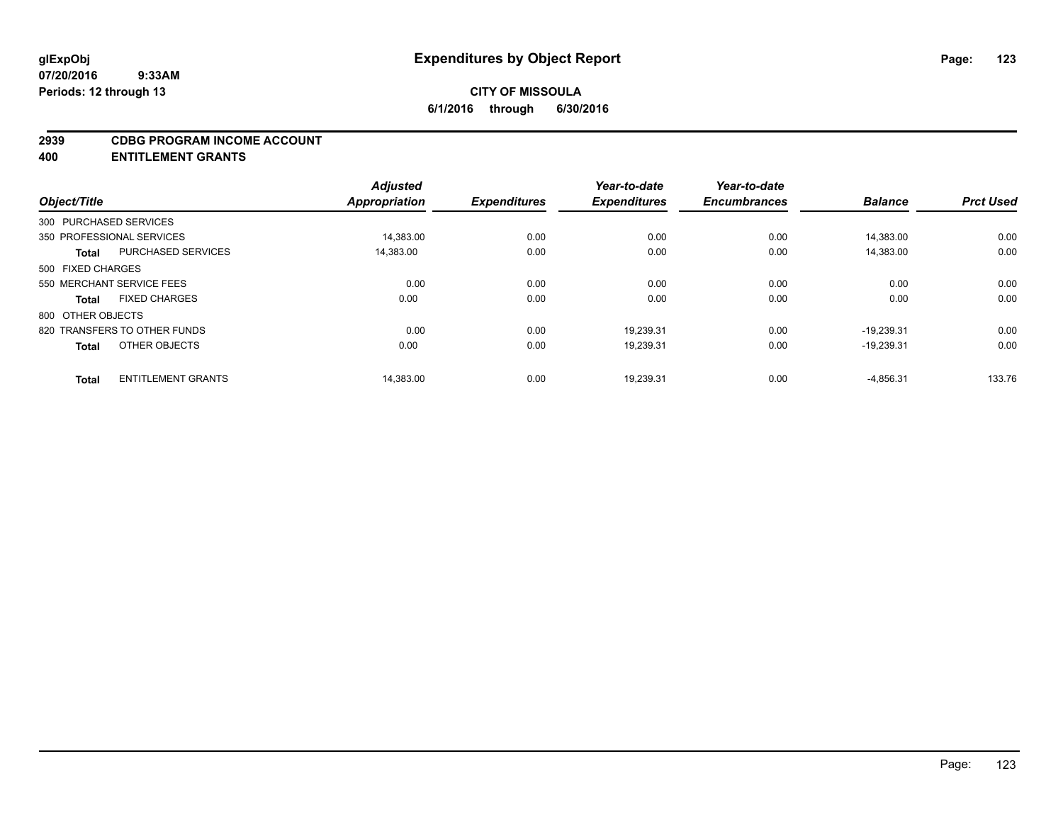#### **2939 CDBG PROGRAM INCOME ACCOUNT**

**400 ENTITLEMENT GRANTS**

| Object/Title      |                              | <b>Adjusted</b><br>Appropriation | <b>Expenditures</b> | Year-to-date<br><b>Expenditures</b> | Year-to-date<br><b>Encumbrances</b> | <b>Balance</b> | <b>Prct Used</b> |
|-------------------|------------------------------|----------------------------------|---------------------|-------------------------------------|-------------------------------------|----------------|------------------|
|                   | 300 PURCHASED SERVICES       |                                  |                     |                                     |                                     |                |                  |
|                   | 350 PROFESSIONAL SERVICES    | 14.383.00                        | 0.00                | 0.00                                | 0.00                                | 14.383.00      | 0.00             |
| <b>Total</b>      | PURCHASED SERVICES           | 14,383.00                        | 0.00                | 0.00                                | 0.00                                | 14,383.00      | 0.00             |
| 500 FIXED CHARGES |                              |                                  |                     |                                     |                                     |                |                  |
|                   | 550 MERCHANT SERVICE FEES    | 0.00                             | 0.00                | 0.00                                | 0.00                                | 0.00           | 0.00             |
| <b>Total</b>      | <b>FIXED CHARGES</b>         | 0.00                             | 0.00                | 0.00                                | 0.00                                | 0.00           | 0.00             |
| 800 OTHER OBJECTS |                              |                                  |                     |                                     |                                     |                |                  |
|                   | 820 TRANSFERS TO OTHER FUNDS | 0.00                             | 0.00                | 19.239.31                           | 0.00                                | $-19.239.31$   | 0.00             |
| <b>Total</b>      | OTHER OBJECTS                | 0.00                             | 0.00                | 19,239.31                           | 0.00                                | $-19,239.31$   | 0.00             |
| <b>Total</b>      | <b>ENTITLEMENT GRANTS</b>    | 14,383.00                        | 0.00                | 19,239.31                           | 0.00                                | $-4,856.31$    | 133.76           |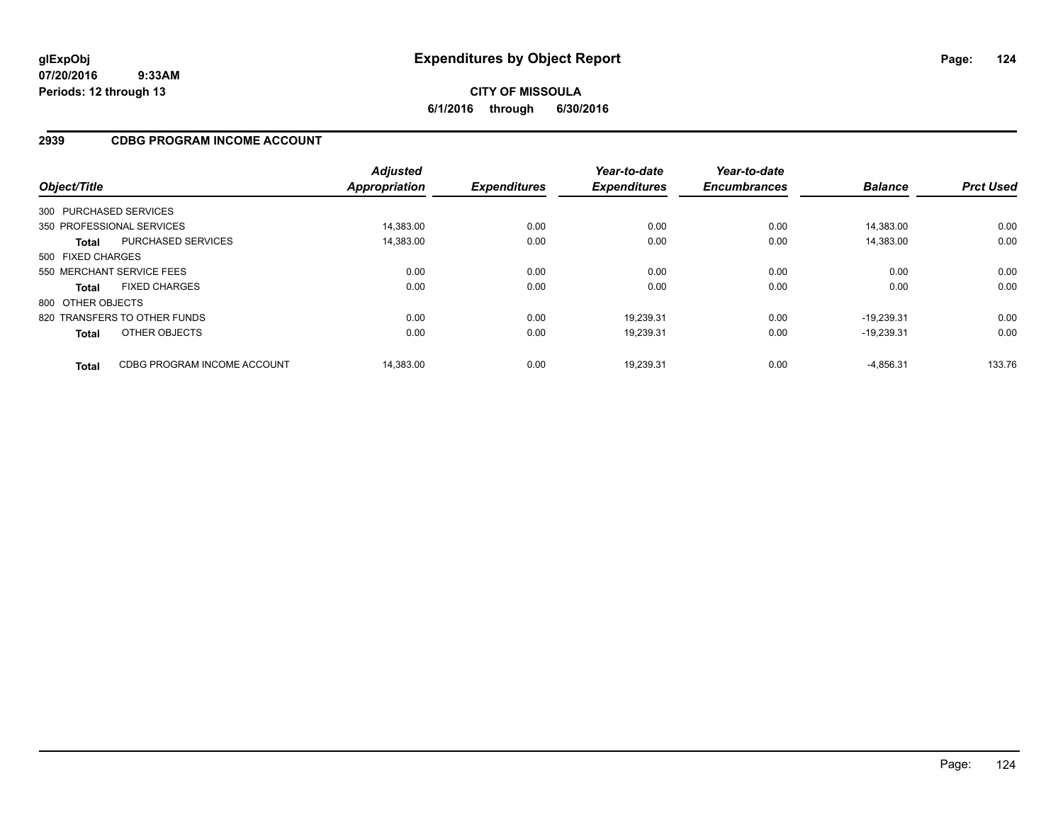## **2939 CDBG PROGRAM INCOME ACCOUNT**

| Object/Title      |                              | <b>Adjusted</b><br><b>Appropriation</b> | <b>Expenditures</b> | Year-to-date<br><b>Expenditures</b> | Year-to-date<br><b>Encumbrances</b> | <b>Balance</b> | <b>Prct Used</b> |
|-------------------|------------------------------|-----------------------------------------|---------------------|-------------------------------------|-------------------------------------|----------------|------------------|
|                   | 300 PURCHASED SERVICES       |                                         |                     |                                     |                                     |                |                  |
|                   | 350 PROFESSIONAL SERVICES    | 14.383.00                               | 0.00                | 0.00                                | 0.00                                | 14.383.00      | 0.00             |
| <b>Total</b>      | <b>PURCHASED SERVICES</b>    | 14,383.00                               | 0.00                | 0.00                                | 0.00                                | 14.383.00      | 0.00             |
| 500 FIXED CHARGES |                              |                                         |                     |                                     |                                     |                |                  |
|                   | 550 MERCHANT SERVICE FEES    | 0.00                                    | 0.00                | 0.00                                | 0.00                                | 0.00           | 0.00             |
| <b>Total</b>      | <b>FIXED CHARGES</b>         | 0.00                                    | 0.00                | 0.00                                | 0.00                                | 0.00           | 0.00             |
| 800 OTHER OBJECTS |                              |                                         |                     |                                     |                                     |                |                  |
|                   | 820 TRANSFERS TO OTHER FUNDS | 0.00                                    | 0.00                | 19,239.31                           | 0.00                                | $-19.239.31$   | 0.00             |
| <b>Total</b>      | OTHER OBJECTS                | 0.00                                    | 0.00                | 19,239.31                           | 0.00                                | $-19.239.31$   | 0.00             |
| <b>Total</b>      | CDBG PROGRAM INCOME ACCOUNT  | 14.383.00                               | 0.00                | 19.239.31                           | 0.00                                | $-4.856.31$    | 133.76           |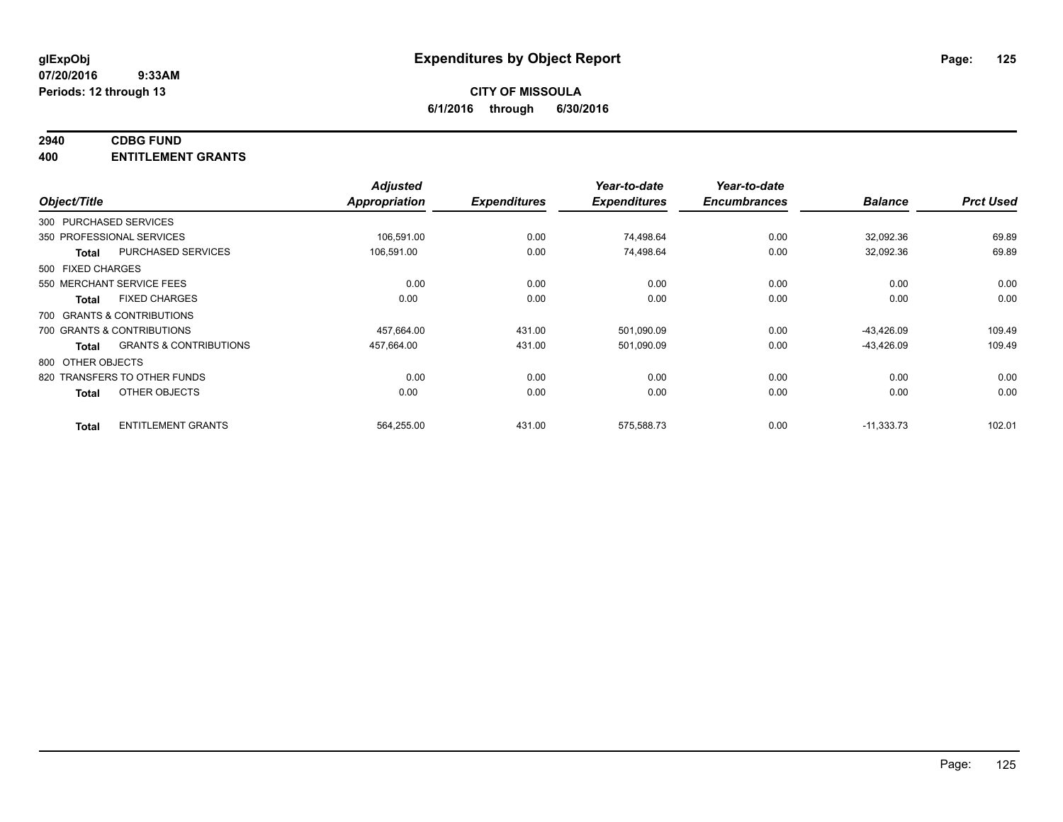## **2940 CDBG FUND**

**400 ENTITLEMENT GRANTS**

| Object/Title                 |                                   | <b>Adjusted</b><br>Appropriation | <b>Expenditures</b> | Year-to-date<br><b>Expenditures</b> | Year-to-date<br><b>Encumbrances</b> | <b>Balance</b> | <b>Prct Used</b> |
|------------------------------|-----------------------------------|----------------------------------|---------------------|-------------------------------------|-------------------------------------|----------------|------------------|
| 300 PURCHASED SERVICES       |                                   |                                  |                     |                                     |                                     |                |                  |
| 350 PROFESSIONAL SERVICES    |                                   | 106,591.00                       | 0.00                | 74,498.64                           | 0.00                                | 32,092.36      | 69.89            |
| <b>Total</b>                 | PURCHASED SERVICES                | 106,591.00                       | 0.00                | 74,498.64                           | 0.00                                | 32,092.36      | 69.89            |
| 500 FIXED CHARGES            |                                   |                                  |                     |                                     |                                     |                |                  |
| 550 MERCHANT SERVICE FEES    |                                   | 0.00                             | 0.00                | 0.00                                | 0.00                                | 0.00           | 0.00             |
| <b>Total</b>                 | <b>FIXED CHARGES</b>              | 0.00                             | 0.00                | 0.00                                | 0.00                                | 0.00           | 0.00             |
| 700 GRANTS & CONTRIBUTIONS   |                                   |                                  |                     |                                     |                                     |                |                  |
| 700 GRANTS & CONTRIBUTIONS   |                                   | 457,664.00                       | 431.00              | 501,090.09                          | 0.00                                | $-43,426.09$   | 109.49           |
| <b>Total</b>                 | <b>GRANTS &amp; CONTRIBUTIONS</b> | 457,664.00                       | 431.00              | 501,090.09                          | 0.00                                | $-43,426.09$   | 109.49           |
| 800 OTHER OBJECTS            |                                   |                                  |                     |                                     |                                     |                |                  |
| 820 TRANSFERS TO OTHER FUNDS |                                   | 0.00                             | 0.00                | 0.00                                | 0.00                                | 0.00           | 0.00             |
| <b>Total</b>                 | OTHER OBJECTS                     | 0.00                             | 0.00                | 0.00                                | 0.00                                | 0.00           | 0.00             |
| <b>Total</b>                 | <b>ENTITLEMENT GRANTS</b>         | 564,255.00                       | 431.00              | 575,588.73                          | 0.00                                | $-11,333.73$   | 102.01           |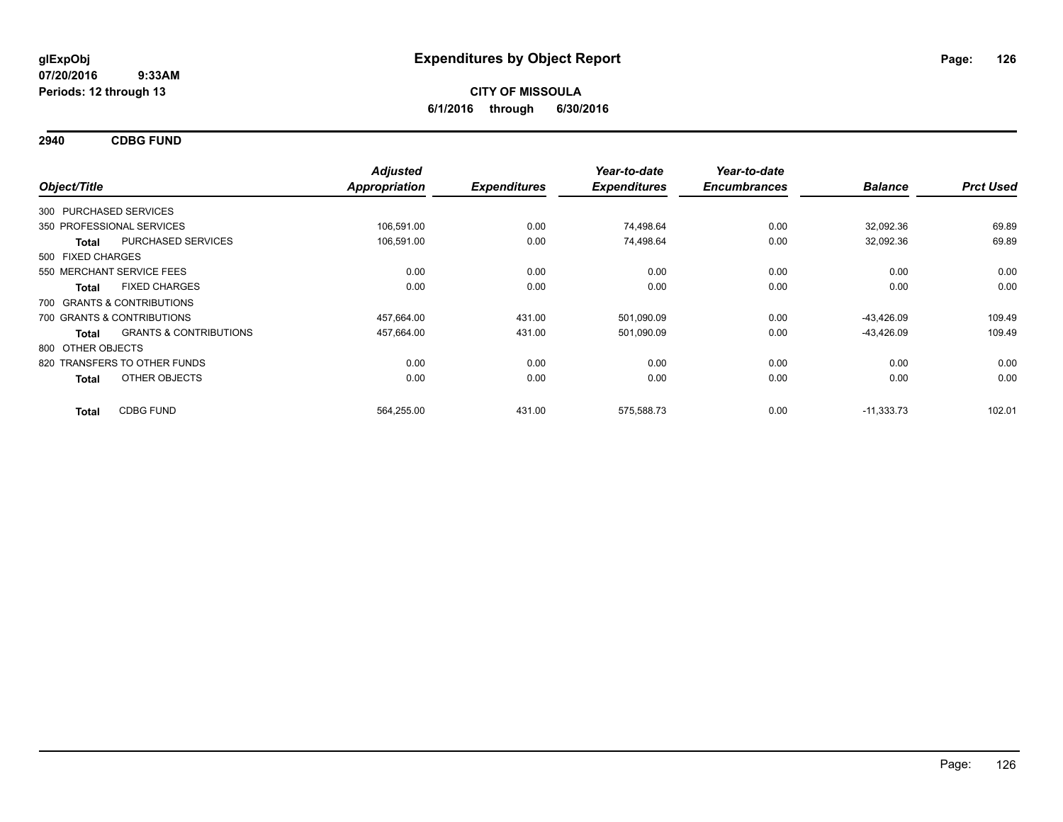**2940 CDBG FUND**

|                   |                                   | <b>Adjusted</b> |                     | Year-to-date        | Year-to-date        |                |                  |
|-------------------|-----------------------------------|-----------------|---------------------|---------------------|---------------------|----------------|------------------|
| Object/Title      |                                   | Appropriation   | <b>Expenditures</b> | <b>Expenditures</b> | <b>Encumbrances</b> | <b>Balance</b> | <b>Prct Used</b> |
|                   | 300 PURCHASED SERVICES            |                 |                     |                     |                     |                |                  |
|                   | 350 PROFESSIONAL SERVICES         | 106,591.00      | 0.00                | 74,498.64           | 0.00                | 32,092.36      | 69.89            |
| <b>Total</b>      | <b>PURCHASED SERVICES</b>         | 106,591.00      | 0.00                | 74,498.64           | 0.00                | 32,092.36      | 69.89            |
| 500 FIXED CHARGES |                                   |                 |                     |                     |                     |                |                  |
|                   | 550 MERCHANT SERVICE FEES         | 0.00            | 0.00                | 0.00                | 0.00                | 0.00           | 0.00             |
| <b>Total</b>      | <b>FIXED CHARGES</b>              | 0.00            | 0.00                | 0.00                | 0.00                | 0.00           | 0.00             |
|                   | 700 GRANTS & CONTRIBUTIONS        |                 |                     |                     |                     |                |                  |
|                   | 700 GRANTS & CONTRIBUTIONS        | 457,664.00      | 431.00              | 501,090.09          | 0.00                | $-43,426.09$   | 109.49           |
| <b>Total</b>      | <b>GRANTS &amp; CONTRIBUTIONS</b> | 457,664.00      | 431.00              | 501,090.09          | 0.00                | $-43,426.09$   | 109.49           |
| 800 OTHER OBJECTS |                                   |                 |                     |                     |                     |                |                  |
|                   | 820 TRANSFERS TO OTHER FUNDS      | 0.00            | 0.00                | 0.00                | 0.00                | 0.00           | 0.00             |
| <b>Total</b>      | OTHER OBJECTS                     | 0.00            | 0.00                | 0.00                | 0.00                | 0.00           | 0.00             |
| <b>Total</b>      | <b>CDBG FUND</b>                  | 564,255.00      | 431.00              | 575,588.73          | 0.00                | $-11,333.73$   | 102.01           |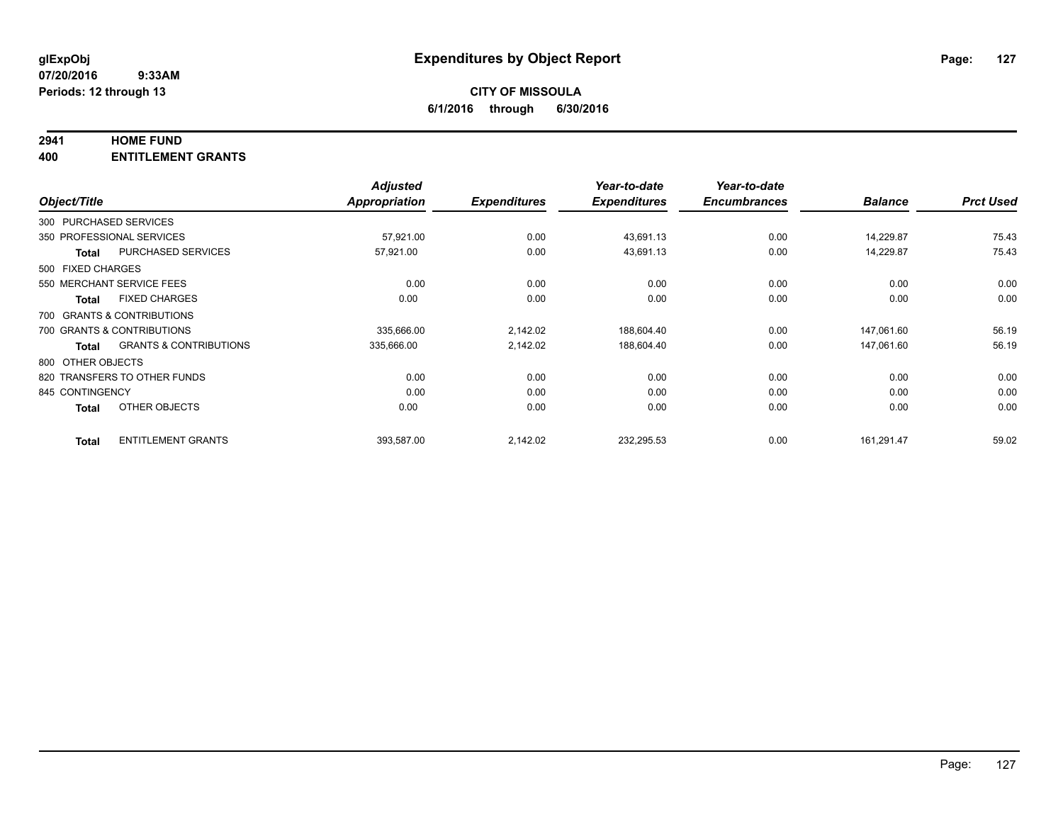#### **2941 HOME FUND**

**400 ENTITLEMENT GRANTS**

|                   |                                   | <b>Adjusted</b>      |                     | Year-to-date        | Year-to-date        |                |                  |
|-------------------|-----------------------------------|----------------------|---------------------|---------------------|---------------------|----------------|------------------|
| Object/Title      |                                   | <b>Appropriation</b> | <b>Expenditures</b> | <b>Expenditures</b> | <b>Encumbrances</b> | <b>Balance</b> | <b>Prct Used</b> |
|                   | 300 PURCHASED SERVICES            |                      |                     |                     |                     |                |                  |
|                   | 350 PROFESSIONAL SERVICES         | 57,921.00            | 0.00                | 43,691.13           | 0.00                | 14.229.87      | 75.43            |
| <b>Total</b>      | PURCHASED SERVICES                | 57,921.00            | 0.00                | 43,691.13           | 0.00                | 14,229.87      | 75.43            |
| 500 FIXED CHARGES |                                   |                      |                     |                     |                     |                |                  |
|                   | 550 MERCHANT SERVICE FEES         | 0.00                 | 0.00                | 0.00                | 0.00                | 0.00           | 0.00             |
| <b>Total</b>      | <b>FIXED CHARGES</b>              | 0.00                 | 0.00                | 0.00                | 0.00                | 0.00           | 0.00             |
|                   | 700 GRANTS & CONTRIBUTIONS        |                      |                     |                     |                     |                |                  |
|                   | 700 GRANTS & CONTRIBUTIONS        | 335,666.00           | 2,142.02            | 188,604.40          | 0.00                | 147,061.60     | 56.19            |
| Total             | <b>GRANTS &amp; CONTRIBUTIONS</b> | 335,666.00           | 2,142.02            | 188,604.40          | 0.00                | 147,061.60     | 56.19            |
| 800 OTHER OBJECTS |                                   |                      |                     |                     |                     |                |                  |
|                   | 820 TRANSFERS TO OTHER FUNDS      | 0.00                 | 0.00                | 0.00                | 0.00                | 0.00           | 0.00             |
| 845 CONTINGENCY   |                                   | 0.00                 | 0.00                | 0.00                | 0.00                | 0.00           | 0.00             |
| <b>Total</b>      | OTHER OBJECTS                     | 0.00                 | 0.00                | 0.00                | 0.00                | 0.00           | 0.00             |
| <b>Total</b>      | <b>ENTITLEMENT GRANTS</b>         | 393,587.00           | 2,142.02            | 232,295.53          | 0.00                | 161,291.47     | 59.02            |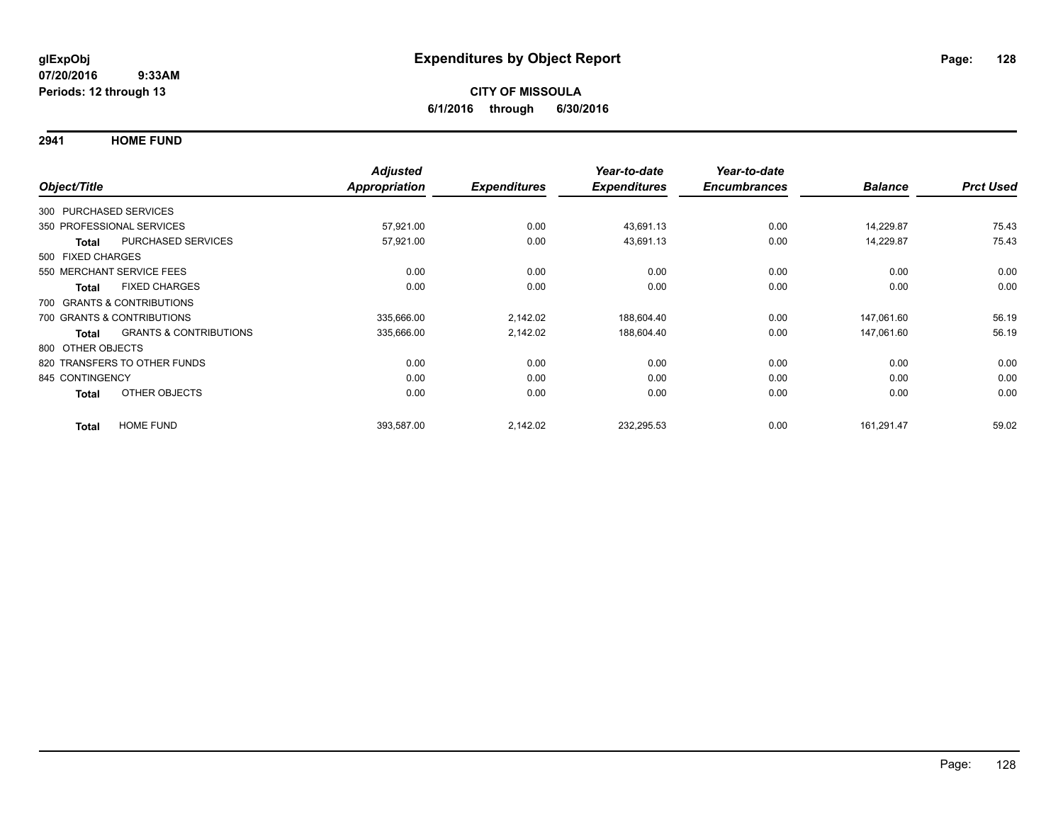**2941 HOME FUND**

|                   |                                   | <b>Adjusted</b>      |                     | Year-to-date        | Year-to-date        |                |                  |
|-------------------|-----------------------------------|----------------------|---------------------|---------------------|---------------------|----------------|------------------|
| Object/Title      |                                   | <b>Appropriation</b> | <b>Expenditures</b> | <b>Expenditures</b> | <b>Encumbrances</b> | <b>Balance</b> | <b>Prct Used</b> |
|                   | 300 PURCHASED SERVICES            |                      |                     |                     |                     |                |                  |
|                   | 350 PROFESSIONAL SERVICES         | 57,921.00            | 0.00                | 43,691.13           | 0.00                | 14,229.87      | 75.43            |
| Total             | PURCHASED SERVICES                | 57,921.00            | 0.00                | 43,691.13           | 0.00                | 14,229.87      | 75.43            |
| 500 FIXED CHARGES |                                   |                      |                     |                     |                     |                |                  |
|                   | 550 MERCHANT SERVICE FEES         | 0.00                 | 0.00                | 0.00                | 0.00                | 0.00           | 0.00             |
| <b>Total</b>      | <b>FIXED CHARGES</b>              | 0.00                 | 0.00                | 0.00                | 0.00                | 0.00           | 0.00             |
|                   | 700 GRANTS & CONTRIBUTIONS        |                      |                     |                     |                     |                |                  |
|                   | 700 GRANTS & CONTRIBUTIONS        | 335,666.00           | 2,142.02            | 188,604.40          | 0.00                | 147,061.60     | 56.19            |
| <b>Total</b>      | <b>GRANTS &amp; CONTRIBUTIONS</b> | 335,666.00           | 2,142.02            | 188,604.40          | 0.00                | 147,061.60     | 56.19            |
| 800 OTHER OBJECTS |                                   |                      |                     |                     |                     |                |                  |
|                   | 820 TRANSFERS TO OTHER FUNDS      | 0.00                 | 0.00                | 0.00                | 0.00                | 0.00           | 0.00             |
| 845 CONTINGENCY   |                                   | 0.00                 | 0.00                | 0.00                | 0.00                | 0.00           | 0.00             |
| <b>Total</b>      | OTHER OBJECTS                     | 0.00                 | 0.00                | 0.00                | 0.00                | 0.00           | 0.00             |
| <b>Total</b>      | <b>HOME FUND</b>                  | 393,587.00           | 2,142.02            | 232,295.53          | 0.00                | 161,291.47     | 59.02            |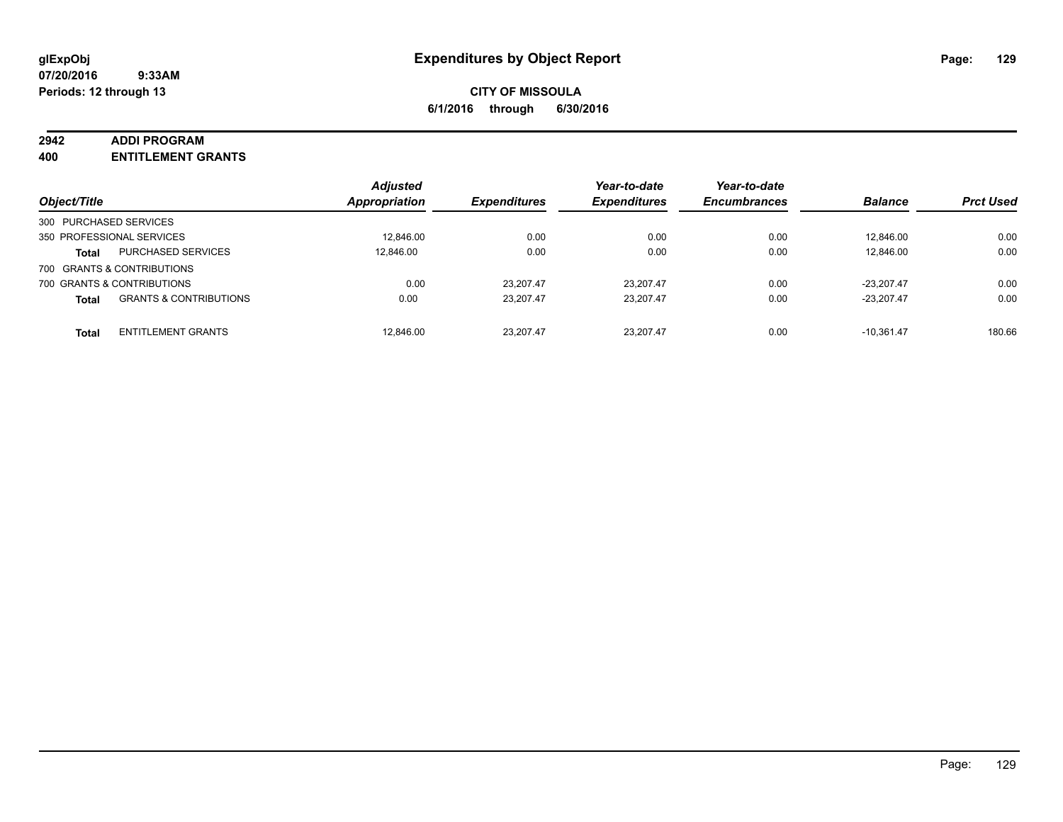#### **2942 ADDI PROGRAM**

**400 ENTITLEMENT GRANTS**

| Object/Title           |                                   | <b>Adjusted</b><br>Appropriation | <b>Expenditures</b> | Year-to-date<br><b>Expenditures</b> | Year-to-date<br><b>Encumbrances</b> | <b>Balance</b> | <b>Prct Used</b> |
|------------------------|-----------------------------------|----------------------------------|---------------------|-------------------------------------|-------------------------------------|----------------|------------------|
| 300 PURCHASED SERVICES |                                   |                                  |                     |                                     |                                     |                |                  |
|                        | 350 PROFESSIONAL SERVICES         | 12,846.00                        | 0.00                | 0.00                                | 0.00                                | 12.846.00      | 0.00             |
| <b>Total</b>           | <b>PURCHASED SERVICES</b>         | 12.846.00                        | 0.00                | 0.00                                | 0.00                                | 12,846.00      | 0.00             |
|                        | 700 GRANTS & CONTRIBUTIONS        |                                  |                     |                                     |                                     |                |                  |
|                        | 700 GRANTS & CONTRIBUTIONS        | 0.00                             | 23.207.47           | 23.207.47                           | 0.00                                | $-23.207.47$   | 0.00             |
| <b>Total</b>           | <b>GRANTS &amp; CONTRIBUTIONS</b> | 0.00                             | 23.207.47           | 23.207.47                           | 0.00                                | $-23.207.47$   | 0.00             |
| <b>Total</b>           | <b>ENTITLEMENT GRANTS</b>         | 12.846.00                        | 23.207.47           | 23.207.47                           | 0.00                                | $-10.361.47$   | 180.66           |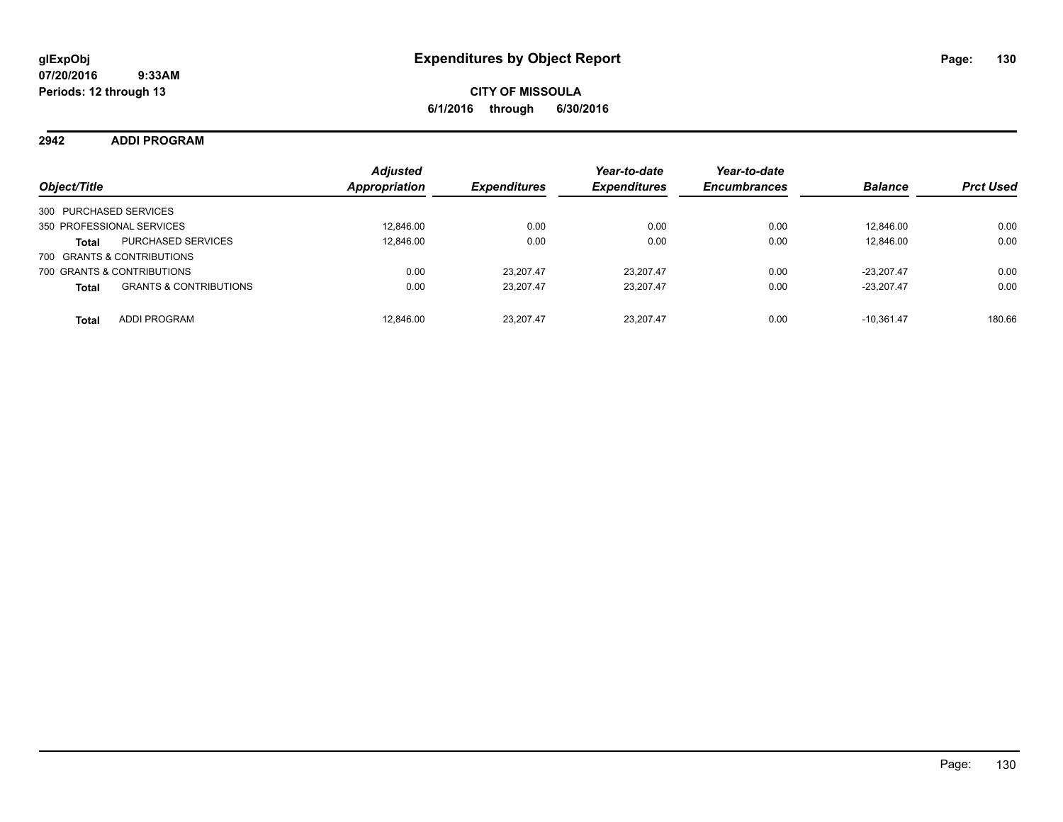**2942 ADDI PROGRAM**

| Object/Title                                      | <b>Adjusted</b><br><b>Appropriation</b> | <b>Expenditures</b> | Year-to-date<br><b>Expenditures</b> | Year-to-date<br><b>Encumbrances</b> | <b>Balance</b> | <b>Prct Used</b> |
|---------------------------------------------------|-----------------------------------------|---------------------|-------------------------------------|-------------------------------------|----------------|------------------|
| 300 PURCHASED SERVICES                            |                                         |                     |                                     |                                     |                |                  |
| 350 PROFESSIONAL SERVICES                         | 12,846.00                               | 0.00                | 0.00                                | 0.00                                | 12.846.00      | 0.00             |
| <b>PURCHASED SERVICES</b><br><b>Total</b>         | 12.846.00                               | 0.00                | 0.00                                | 0.00                                | 12.846.00      | 0.00             |
| 700 GRANTS & CONTRIBUTIONS                        |                                         |                     |                                     |                                     |                |                  |
| 700 GRANTS & CONTRIBUTIONS                        | 0.00                                    | 23.207.47           | 23.207.47                           | 0.00                                | $-23.207.47$   | 0.00             |
| <b>GRANTS &amp; CONTRIBUTIONS</b><br><b>Total</b> | 0.00                                    | 23.207.47           | 23.207.47                           | 0.00                                | $-23.207.47$   | 0.00             |
| <b>ADDI PROGRAM</b><br><b>Total</b>               | 12.846.00                               | 23.207.47           | 23.207.47                           | 0.00                                | $-10.361.47$   | 180.66           |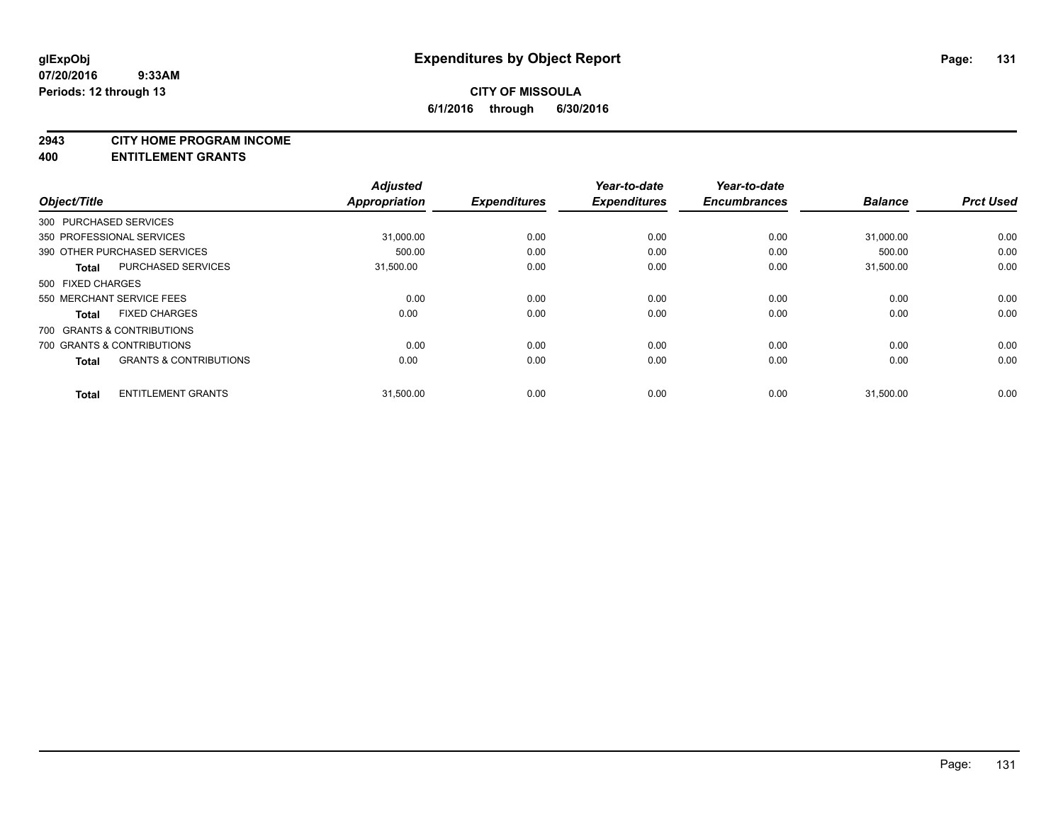#### **2943 CITY HOME PROGRAM INCOME**

#### **400 ENTITLEMENT GRANTS**

| Object/Title      |                                   | <b>Adjusted</b><br>Appropriation | <b>Expenditures</b> | Year-to-date<br><b>Expenditures</b> | Year-to-date<br><b>Encumbrances</b> | <b>Balance</b> | <b>Prct Used</b> |
|-------------------|-----------------------------------|----------------------------------|---------------------|-------------------------------------|-------------------------------------|----------------|------------------|
|                   | 300 PURCHASED SERVICES            |                                  |                     |                                     |                                     |                |                  |
|                   | 350 PROFESSIONAL SERVICES         | 31,000.00                        | 0.00                | 0.00                                | 0.00                                | 31,000.00      | 0.00             |
|                   | 390 OTHER PURCHASED SERVICES      | 500.00                           | 0.00                | 0.00                                | 0.00                                | 500.00         | 0.00             |
| <b>Total</b>      | <b>PURCHASED SERVICES</b>         | 31,500.00                        | 0.00                | 0.00                                | 0.00                                | 31,500.00      | 0.00             |
| 500 FIXED CHARGES |                                   |                                  |                     |                                     |                                     |                |                  |
|                   | 550 MERCHANT SERVICE FEES         | 0.00                             | 0.00                | 0.00                                | 0.00                                | 0.00           | 0.00             |
| <b>Total</b>      | <b>FIXED CHARGES</b>              | 0.00                             | 0.00                | 0.00                                | 0.00                                | 0.00           | 0.00             |
|                   | 700 GRANTS & CONTRIBUTIONS        |                                  |                     |                                     |                                     |                |                  |
|                   | 700 GRANTS & CONTRIBUTIONS        | 0.00                             | 0.00                | 0.00                                | 0.00                                | 0.00           | 0.00             |
| <b>Total</b>      | <b>GRANTS &amp; CONTRIBUTIONS</b> | 0.00                             | 0.00                | 0.00                                | 0.00                                | 0.00           | 0.00             |
| <b>Total</b>      | <b>ENTITLEMENT GRANTS</b>         | 31,500.00                        | 0.00                | 0.00                                | 0.00                                | 31,500.00      | 0.00             |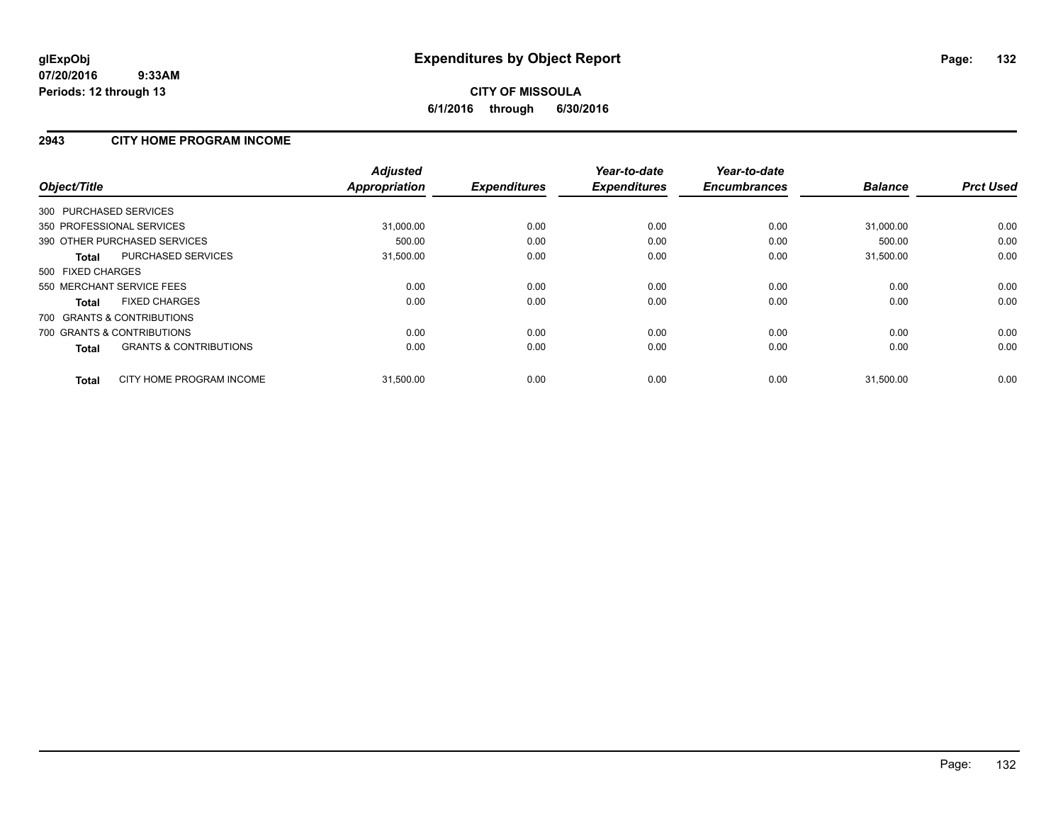### **2943 CITY HOME PROGRAM INCOME**

| Object/Title                                      | <b>Adjusted</b><br><b>Appropriation</b> | <b>Expenditures</b> | Year-to-date<br><b>Expenditures</b> | Year-to-date<br><b>Encumbrances</b> | <b>Balance</b> | <b>Prct Used</b> |
|---------------------------------------------------|-----------------------------------------|---------------------|-------------------------------------|-------------------------------------|----------------|------------------|
| 300 PURCHASED SERVICES                            |                                         |                     |                                     |                                     |                |                  |
| 350 PROFESSIONAL SERVICES                         | 31,000.00                               | 0.00                | 0.00                                | 0.00                                | 31,000.00      | 0.00             |
| 390 OTHER PURCHASED SERVICES                      | 500.00                                  | 0.00                | 0.00                                | 0.00                                | 500.00         | 0.00             |
| PURCHASED SERVICES<br>Total                       | 31,500.00                               | 0.00                | 0.00                                | 0.00                                | 31,500.00      | 0.00             |
| 500 FIXED CHARGES                                 |                                         |                     |                                     |                                     |                |                  |
| 550 MERCHANT SERVICE FEES                         | 0.00                                    | 0.00                | 0.00                                | 0.00                                | 0.00           | 0.00             |
| <b>FIXED CHARGES</b><br><b>Total</b>              | 0.00                                    | 0.00                | 0.00                                | 0.00                                | 0.00           | 0.00             |
| 700 GRANTS & CONTRIBUTIONS                        |                                         |                     |                                     |                                     |                |                  |
| 700 GRANTS & CONTRIBUTIONS                        | 0.00                                    | 0.00                | 0.00                                | 0.00                                | 0.00           | 0.00             |
| <b>GRANTS &amp; CONTRIBUTIONS</b><br><b>Total</b> | 0.00                                    | 0.00                | 0.00                                | 0.00                                | 0.00           | 0.00             |
| CITY HOME PROGRAM INCOME<br><b>Total</b>          | 31,500.00                               | 0.00                | 0.00                                | 0.00                                | 31,500.00      | 0.00             |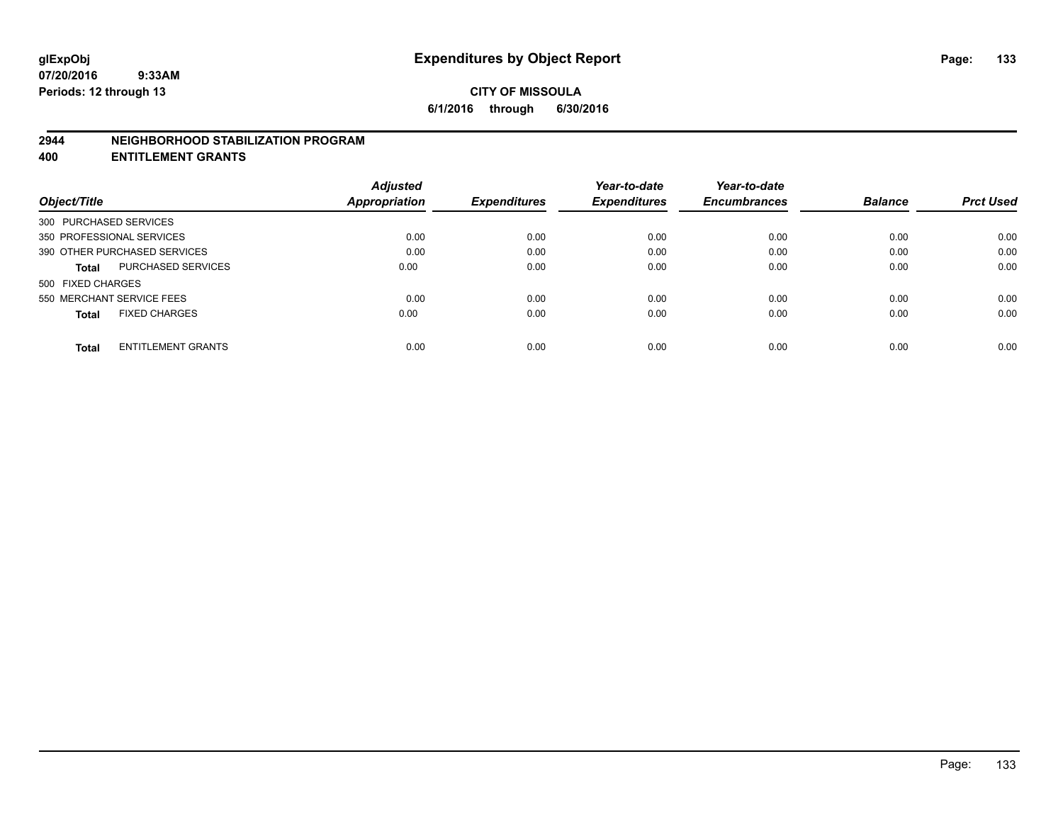#### **2944 NEIGHBORHOOD STABILIZATION PROGRAM**

**400 ENTITLEMENT GRANTS**

|                                           | <b>Adjusted</b> |                     | Year-to-date        | Year-to-date        |                |                  |
|-------------------------------------------|-----------------|---------------------|---------------------|---------------------|----------------|------------------|
| Object/Title                              | Appropriation   | <b>Expenditures</b> | <b>Expenditures</b> | <b>Encumbrances</b> | <b>Balance</b> | <b>Prct Used</b> |
| 300 PURCHASED SERVICES                    |                 |                     |                     |                     |                |                  |
| 350 PROFESSIONAL SERVICES                 | 0.00            | 0.00                | 0.00                | 0.00                | 0.00           | 0.00             |
| 390 OTHER PURCHASED SERVICES              | 0.00            | 0.00                | 0.00                | 0.00                | 0.00           | 0.00             |
| <b>PURCHASED SERVICES</b><br><b>Total</b> | 0.00            | 0.00                | 0.00                | 0.00                | 0.00           | 0.00             |
| 500 FIXED CHARGES                         |                 |                     |                     |                     |                |                  |
| 550 MERCHANT SERVICE FEES                 | 0.00            | 0.00                | 0.00                | 0.00                | 0.00           | 0.00             |
| <b>FIXED CHARGES</b><br><b>Total</b>      | 0.00            | 0.00                | 0.00                | 0.00                | 0.00           | 0.00             |
| <b>ENTITLEMENT GRANTS</b><br><b>Total</b> | 0.00            | 0.00                | 0.00                | 0.00                | 0.00           | 0.00             |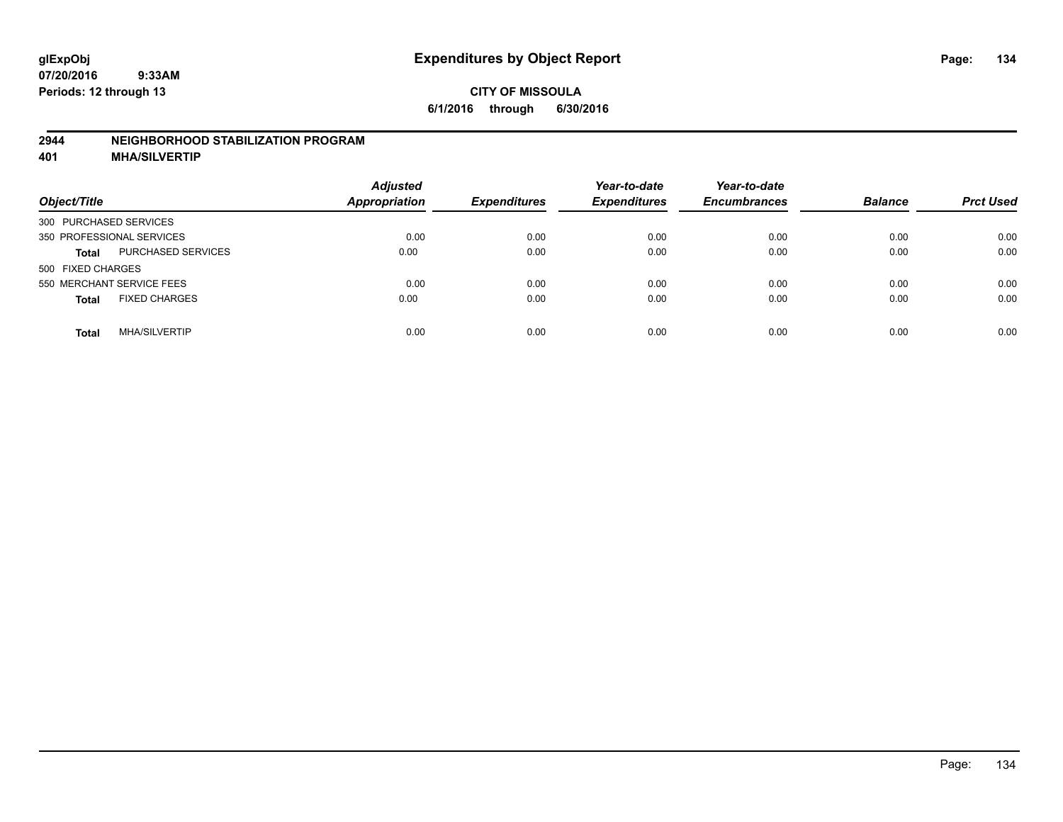### **2944 NEIGHBORHOOD STABILIZATION PROGRAM**

**401 MHA/SILVERTIP**

| Object/Title                         |                           | <b>Adjusted</b><br><b>Appropriation</b> | <b>Expenditures</b> | Year-to-date<br><b>Expenditures</b> | Year-to-date<br><b>Encumbrances</b> | <b>Balance</b> | <b>Prct Used</b> |
|--------------------------------------|---------------------------|-----------------------------------------|---------------------|-------------------------------------|-------------------------------------|----------------|------------------|
| 300 PURCHASED SERVICES               |                           |                                         |                     |                                     |                                     |                |                  |
| 350 PROFESSIONAL SERVICES            |                           | 0.00                                    | 0.00                | 0.00                                | 0.00                                | 0.00           | 0.00             |
| <b>Total</b>                         | <b>PURCHASED SERVICES</b> | 0.00                                    | 0.00                | 0.00                                | 0.00                                | 0.00           | 0.00             |
| 500 FIXED CHARGES                    |                           |                                         |                     |                                     |                                     |                |                  |
| 550 MERCHANT SERVICE FEES            |                           | 0.00                                    | 0.00                | 0.00                                | 0.00                                | 0.00           | 0.00             |
| <b>FIXED CHARGES</b><br><b>Total</b> |                           | 0.00                                    | 0.00                | 0.00                                | 0.00                                | 0.00           | 0.00             |
| <b>MHA/SILVERTIP</b><br><b>Total</b> |                           | 0.00                                    | 0.00                | 0.00                                | 0.00                                | 0.00           | 0.00             |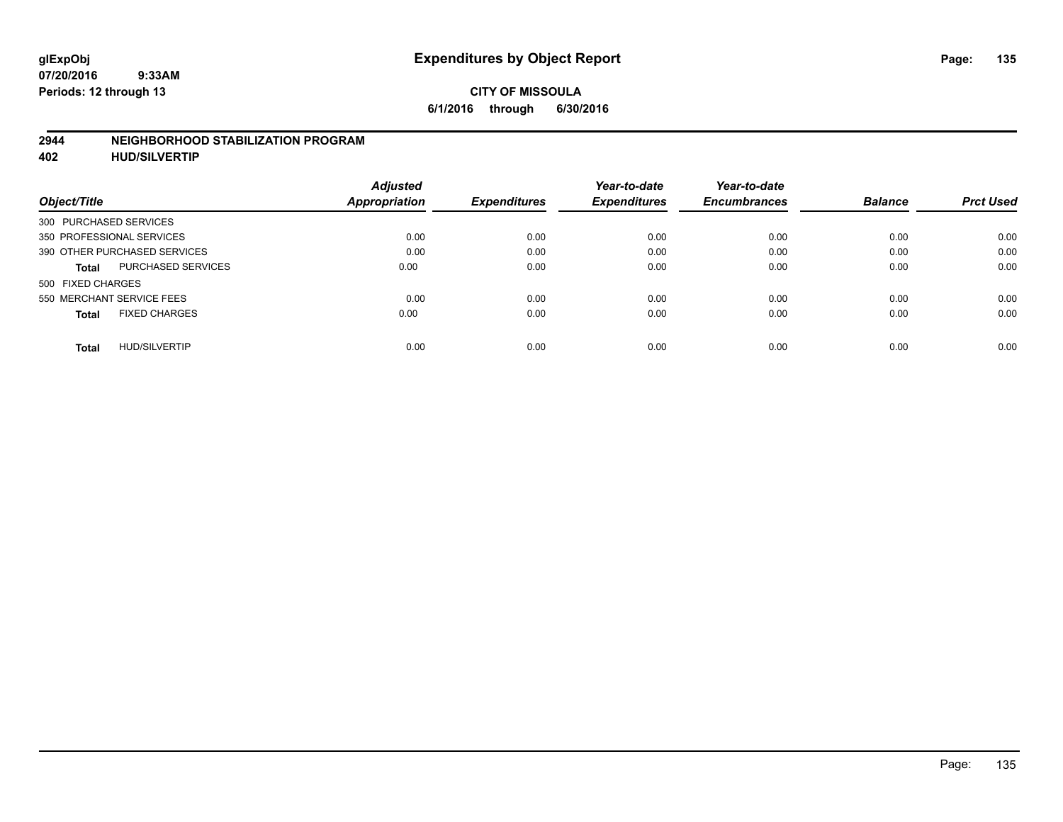#### **2944 NEIGHBORHOOD STABILIZATION PROGRAM**

**402 HUD/SILVERTIP**

|                                           | <b>Adjusted</b> |                     | Year-to-date        | Year-to-date        |                |                  |
|-------------------------------------------|-----------------|---------------------|---------------------|---------------------|----------------|------------------|
| Object/Title                              | Appropriation   | <b>Expenditures</b> | <b>Expenditures</b> | <b>Encumbrances</b> | <b>Balance</b> | <b>Prct Used</b> |
| 300 PURCHASED SERVICES                    |                 |                     |                     |                     |                |                  |
| 350 PROFESSIONAL SERVICES                 | 0.00            | 0.00                | 0.00                | 0.00                | 0.00           | 0.00             |
| 390 OTHER PURCHASED SERVICES              | 0.00            | 0.00                | 0.00                | 0.00                | 0.00           | 0.00             |
| <b>PURCHASED SERVICES</b><br><b>Total</b> | 0.00            | 0.00                | 0.00                | 0.00                | 0.00           | 0.00             |
| 500 FIXED CHARGES                         |                 |                     |                     |                     |                |                  |
| 550 MERCHANT SERVICE FEES                 | 0.00            | 0.00                | 0.00                | 0.00                | 0.00           | 0.00             |
| <b>FIXED CHARGES</b><br><b>Total</b>      | 0.00            | 0.00                | 0.00                | 0.00                | 0.00           | 0.00             |
| <b>HUD/SILVERTIP</b><br>Total             | 0.00            | 0.00                | 0.00                | 0.00                | 0.00           | 0.00             |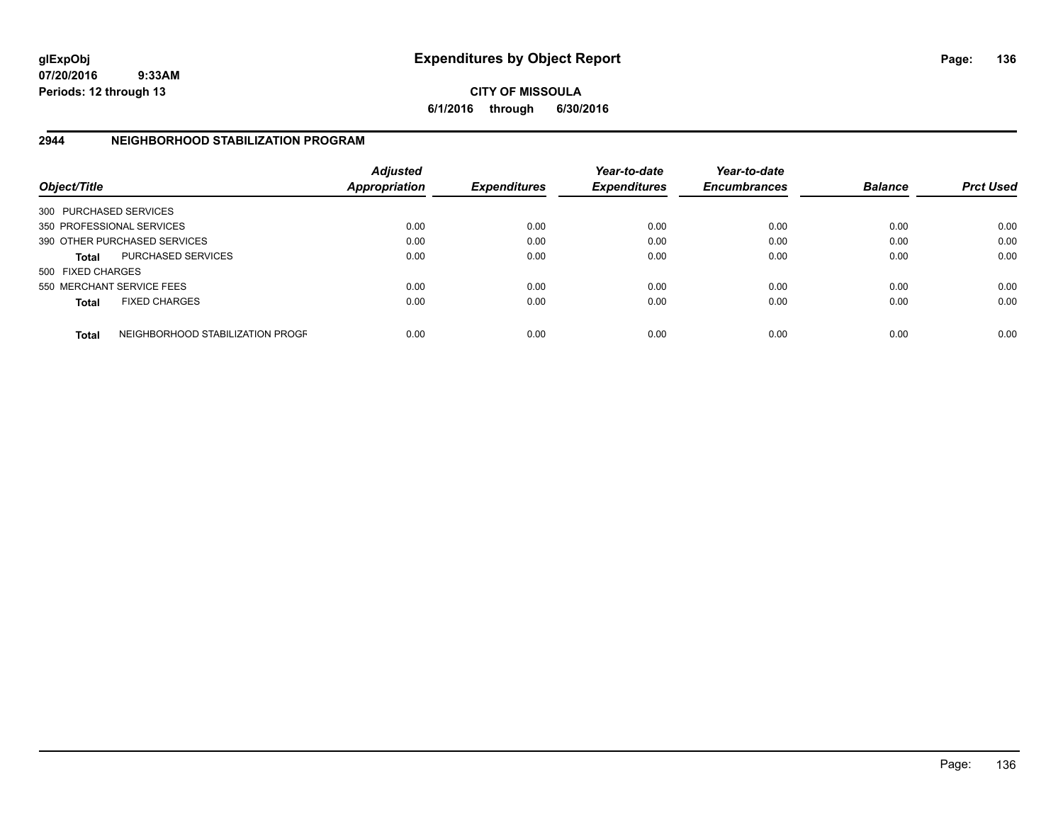**CITY OF MISSOULA 6/1/2016 through 6/30/2016**

## **2944 NEIGHBORHOOD STABILIZATION PROGRAM**

| Object/Title           |                                  | <b>Adjusted</b><br><b>Appropriation</b> | <b>Expenditures</b> | Year-to-date<br><b>Expenditures</b> | Year-to-date<br><b>Encumbrances</b> | <b>Balance</b> | <b>Prct Used</b> |
|------------------------|----------------------------------|-----------------------------------------|---------------------|-------------------------------------|-------------------------------------|----------------|------------------|
| 300 PURCHASED SERVICES |                                  |                                         |                     |                                     |                                     |                |                  |
|                        | 350 PROFESSIONAL SERVICES        | 0.00                                    | 0.00                | 0.00                                | 0.00                                | 0.00           | 0.00             |
|                        | 390 OTHER PURCHASED SERVICES     | 0.00                                    | 0.00                | 0.00                                | 0.00                                | 0.00           | 0.00             |
| <b>Total</b>           | <b>PURCHASED SERVICES</b>        | 0.00                                    | 0.00                | 0.00                                | 0.00                                | 0.00           | 0.00             |
| 500 FIXED CHARGES      |                                  |                                         |                     |                                     |                                     |                |                  |
|                        | 550 MERCHANT SERVICE FEES        | 0.00                                    | 0.00                | 0.00                                | 0.00                                | 0.00           | 0.00             |
| <b>Total</b>           | <b>FIXED CHARGES</b>             | 0.00                                    | 0.00                | 0.00                                | 0.00                                | 0.00           | 0.00             |
| <b>Total</b>           | NEIGHBORHOOD STABILIZATION PROGF | 0.00                                    | 0.00                | 0.00                                | 0.00                                | 0.00           | 0.00             |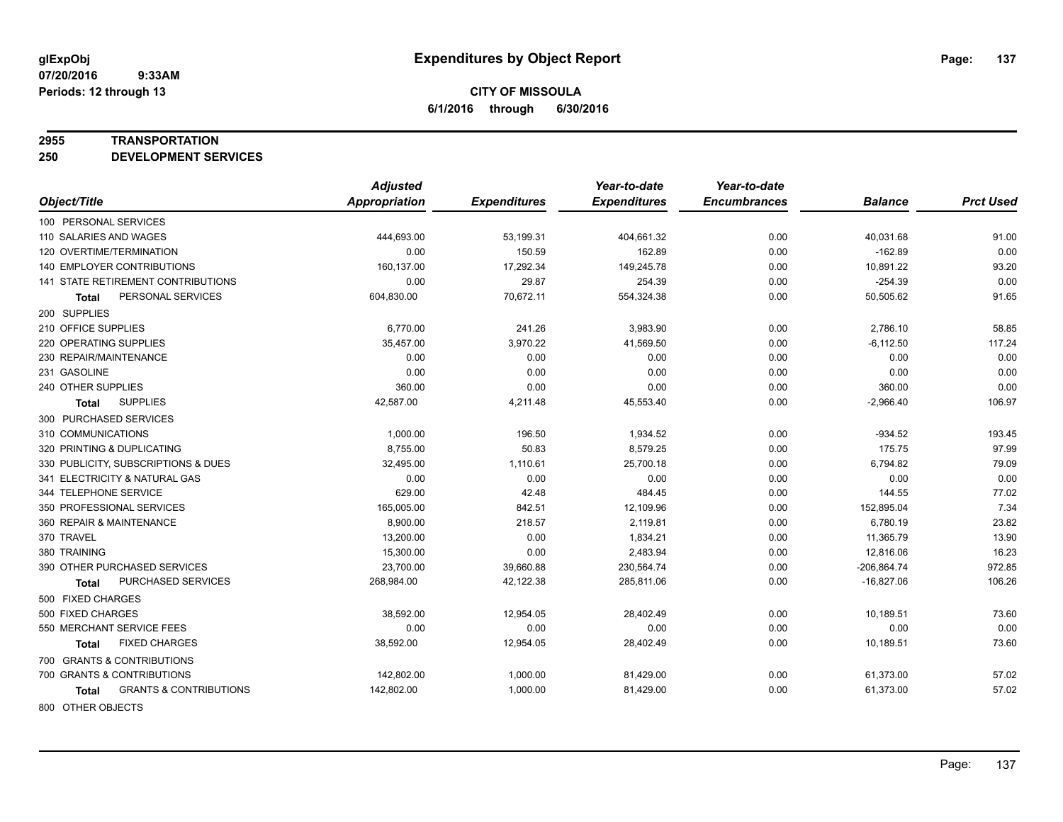#### **2955 TRANSPORTATION**

**250 DEVELOPMENT SERVICES**

|                                            | <b>Adjusted</b>      |                     | Year-to-date        | Year-to-date        |                |                  |
|--------------------------------------------|----------------------|---------------------|---------------------|---------------------|----------------|------------------|
| Object/Title                               | <b>Appropriation</b> | <b>Expenditures</b> | <b>Expenditures</b> | <b>Encumbrances</b> | <b>Balance</b> | <b>Prct Used</b> |
| 100 PERSONAL SERVICES                      |                      |                     |                     |                     |                |                  |
| 110 SALARIES AND WAGES                     | 444,693.00           | 53,199.31           | 404,661.32          | 0.00                | 40,031.68      | 91.00            |
| 120 OVERTIME/TERMINATION                   | 0.00                 | 150.59              | 162.89              | 0.00                | $-162.89$      | 0.00             |
| <b>140 EMPLOYER CONTRIBUTIONS</b>          | 160,137.00           | 17,292.34           | 149,245.78          | 0.00                | 10,891.22      | 93.20            |
| <b>141 STATE RETIREMENT CONTRIBUTIONS</b>  | 0.00                 | 29.87               | 254.39              | 0.00                | $-254.39$      | 0.00             |
| PERSONAL SERVICES<br>Total                 | 604,830.00           | 70,672.11           | 554,324.38          | 0.00                | 50,505.62      | 91.65            |
| 200 SUPPLIES                               |                      |                     |                     |                     |                |                  |
| 210 OFFICE SUPPLIES                        | 6,770.00             | 241.26              | 3,983.90            | 0.00                | 2,786.10       | 58.85            |
| 220 OPERATING SUPPLIES                     | 35,457.00            | 3,970.22            | 41,569.50           | 0.00                | $-6,112.50$    | 117.24           |
| 230 REPAIR/MAINTENANCE                     | 0.00                 | 0.00                | 0.00                | 0.00                | 0.00           | 0.00             |
| 231 GASOLINE                               | 0.00                 | 0.00                | 0.00                | 0.00                | 0.00           | 0.00             |
| 240 OTHER SUPPLIES                         | 360.00               | 0.00                | 0.00                | 0.00                | 360.00         | 0.00             |
| <b>SUPPLIES</b><br>Total                   | 42,587.00            | 4,211.48            | 45,553.40           | 0.00                | $-2,966.40$    | 106.97           |
| 300 PURCHASED SERVICES                     |                      |                     |                     |                     |                |                  |
| 310 COMMUNICATIONS                         | 1,000.00             | 196.50              | 1,934.52            | 0.00                | $-934.52$      | 193.45           |
| 320 PRINTING & DUPLICATING                 | 8,755.00             | 50.83               | 8,579.25            | 0.00                | 175.75         | 97.99            |
| 330 PUBLICITY, SUBSCRIPTIONS & DUES        | 32,495.00            | 1,110.61            | 25,700.18           | 0.00                | 6,794.82       | 79.09            |
| 341 ELECTRICITY & NATURAL GAS              | 0.00                 | 0.00                | 0.00                | 0.00                | 0.00           | 0.00             |
| 344 TELEPHONE SERVICE                      | 629.00               | 42.48               | 484.45              | 0.00                | 144.55         | 77.02            |
| 350 PROFESSIONAL SERVICES                  | 165,005.00           | 842.51              | 12,109.96           | 0.00                | 152,895.04     | 7.34             |
| 360 REPAIR & MAINTENANCE                   | 8,900.00             | 218.57              | 2,119.81            | 0.00                | 6,780.19       | 23.82            |
| 370 TRAVEL                                 | 13,200.00            | 0.00                | 1,834.21            | 0.00                | 11,365.79      | 13.90            |
| 380 TRAINING                               | 15,300.00            | 0.00                | 2,483.94            | 0.00                | 12,816.06      | 16.23            |
| 390 OTHER PURCHASED SERVICES               | 23,700.00            | 39,660.88           | 230,564.74          | 0.00                | $-206,864.74$  | 972.85           |
| PURCHASED SERVICES<br>Total                | 268,984.00           | 42,122.38           | 285,811.06          | 0.00                | $-16,827.06$   | 106.26           |
| 500 FIXED CHARGES                          |                      |                     |                     |                     |                |                  |
| 500 FIXED CHARGES                          | 38,592.00            | 12,954.05           | 28,402.49           | 0.00                | 10,189.51      | 73.60            |
| 550 MERCHANT SERVICE FEES                  | 0.00                 | 0.00                | 0.00                | 0.00                | 0.00           | 0.00             |
| <b>FIXED CHARGES</b><br>Total              | 38,592.00            | 12,954.05           | 28,402.49           | 0.00                | 10,189.51      | 73.60            |
| 700 GRANTS & CONTRIBUTIONS                 |                      |                     |                     |                     |                |                  |
| 700 GRANTS & CONTRIBUTIONS                 | 142,802.00           | 1,000.00            | 81,429.00           | 0.00                | 61,373.00      | 57.02            |
| <b>GRANTS &amp; CONTRIBUTIONS</b><br>Total | 142,802.00           | 1,000.00            | 81,429.00           | 0.00                | 61,373.00      | 57.02            |
| 000 OTHER OR IECTO                         |                      |                     |                     |                     |                |                  |

800 OTHER OBJECTS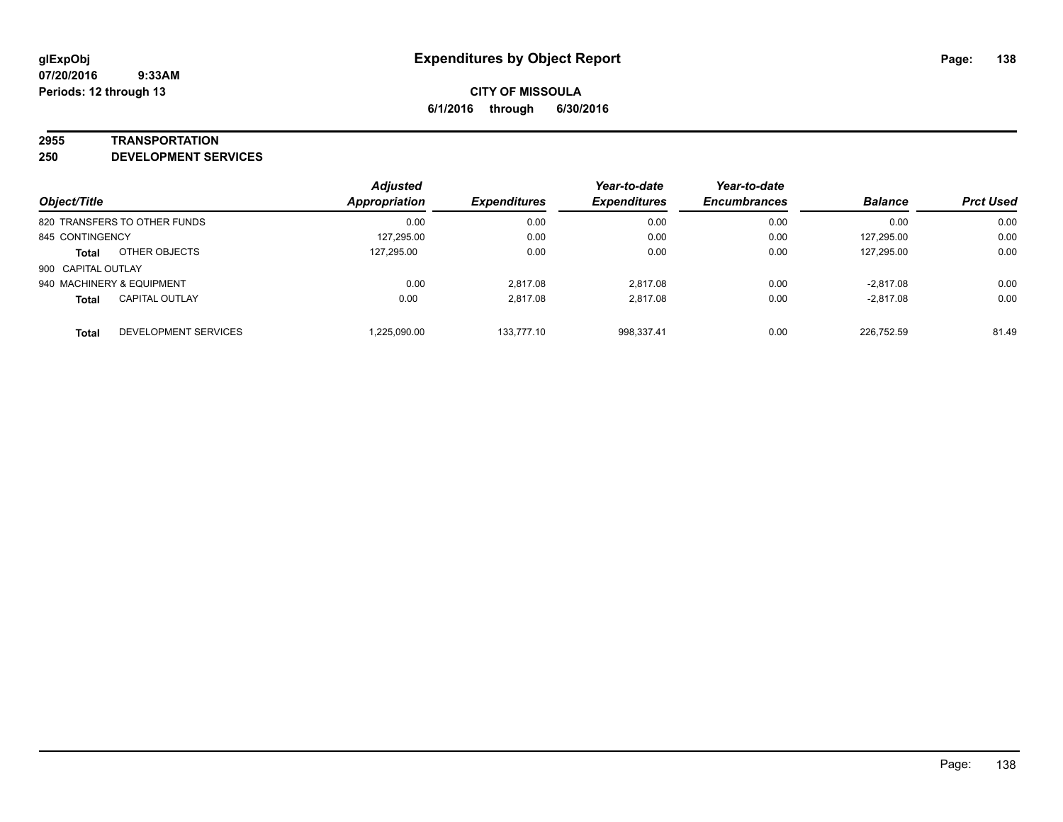#### **2955 TRANSPORTATION**

**250 DEVELOPMENT SERVICES**

| Object/Title                          | <b>Adjusted</b><br><b>Appropriation</b> | <b>Expenditures</b> | Year-to-date<br><b>Expenditures</b> | Year-to-date<br><b>Encumbrances</b> | <b>Balance</b> | <b>Prct Used</b> |
|---------------------------------------|-----------------------------------------|---------------------|-------------------------------------|-------------------------------------|----------------|------------------|
| 820 TRANSFERS TO OTHER FUNDS          | 0.00                                    | 0.00                | 0.00                                | 0.00                                | 0.00           | 0.00             |
| 845 CONTINGENCY                       | 127,295.00                              | 0.00                | 0.00                                | 0.00                                | 127,295.00     | 0.00             |
| OTHER OBJECTS<br><b>Total</b>         | 127.295.00                              | 0.00                | 0.00                                | 0.00                                | 127,295.00     | 0.00             |
| 900 CAPITAL OUTLAY                    |                                         |                     |                                     |                                     |                |                  |
| 940 MACHINERY & EQUIPMENT             | 0.00                                    | 2.817.08            | 2.817.08                            | 0.00                                | $-2.817.08$    | 0.00             |
| <b>CAPITAL OUTLAY</b><br><b>Total</b> | 0.00                                    | 2.817.08            | 2.817.08                            | 0.00                                | $-2,817.08$    | 0.00             |
| DEVELOPMENT SERVICES<br><b>Total</b>  | 1.225.090.00                            | 133.777.10          | 998.337.41                          | 0.00                                | 226.752.59     | 81.49            |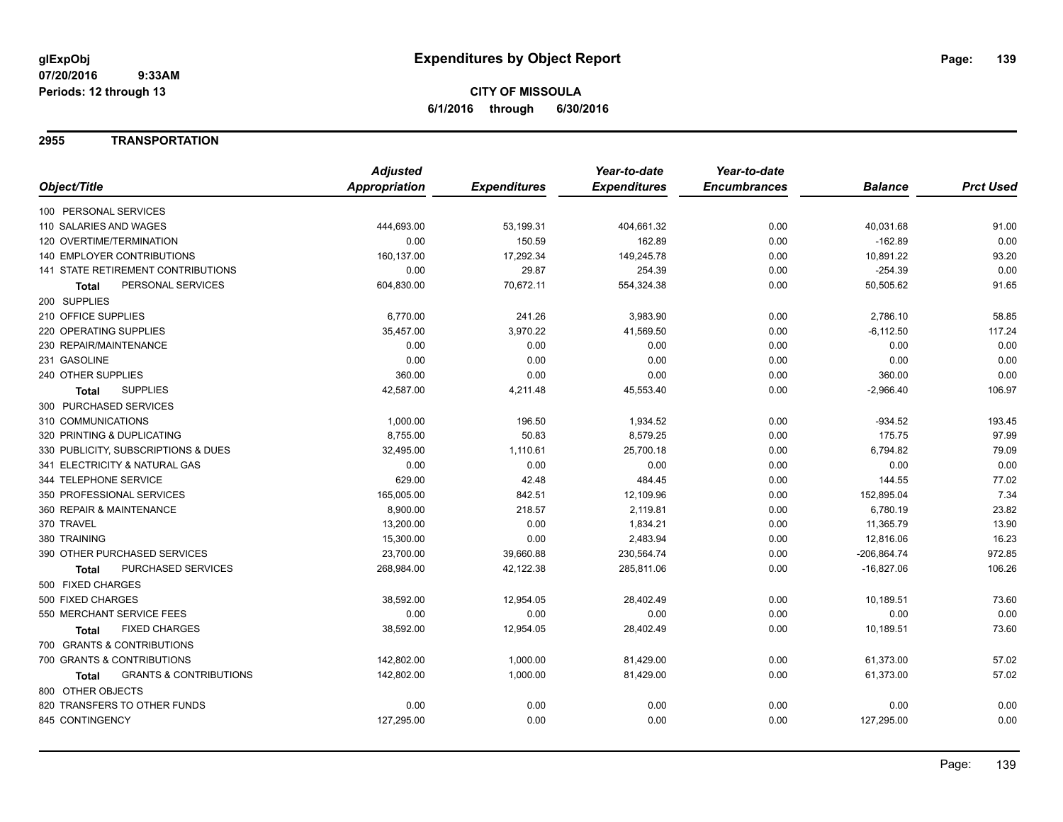## **2955 TRANSPORTATION**

|                                            | <b>Adjusted</b> |                     | Year-to-date        | Year-to-date        |                |                  |
|--------------------------------------------|-----------------|---------------------|---------------------|---------------------|----------------|------------------|
| Object/Title                               | Appropriation   | <b>Expenditures</b> | <b>Expenditures</b> | <b>Encumbrances</b> | <b>Balance</b> | <b>Prct Used</b> |
| 100 PERSONAL SERVICES                      |                 |                     |                     |                     |                |                  |
| 110 SALARIES AND WAGES                     | 444,693.00      | 53,199.31           | 404,661.32          | 0.00                | 40,031.68      | 91.00            |
| 120 OVERTIME/TERMINATION                   | 0.00            | 150.59              | 162.89              | 0.00                | $-162.89$      | 0.00             |
| 140 EMPLOYER CONTRIBUTIONS                 | 160,137.00      | 17,292.34           | 149,245.78          | 0.00                | 10,891.22      | 93.20            |
| <b>141 STATE RETIREMENT CONTRIBUTIONS</b>  | 0.00            | 29.87               | 254.39              | 0.00                | $-254.39$      | 0.00             |
| PERSONAL SERVICES<br><b>Total</b>          | 604,830.00      | 70,672.11           | 554,324.38          | 0.00                | 50,505.62      | 91.65            |
| 200 SUPPLIES                               |                 |                     |                     |                     |                |                  |
| 210 OFFICE SUPPLIES                        | 6,770.00        | 241.26              | 3,983.90            | 0.00                | 2,786.10       | 58.85            |
| 220 OPERATING SUPPLIES                     | 35,457.00       | 3,970.22            | 41,569.50           | 0.00                | $-6, 112.50$   | 117.24           |
| 230 REPAIR/MAINTENANCE                     | 0.00            | 0.00                | 0.00                | 0.00                | 0.00           | 0.00             |
| 231 GASOLINE                               | 0.00            | 0.00                | 0.00                | 0.00                | 0.00           | 0.00             |
| 240 OTHER SUPPLIES                         | 360.00          | 0.00                | 0.00                | 0.00                | 360.00         | 0.00             |
| <b>SUPPLIES</b><br><b>Total</b>            | 42,587.00       | 4,211.48            | 45,553.40           | 0.00                | $-2,966.40$    | 106.97           |
| 300 PURCHASED SERVICES                     |                 |                     |                     |                     |                |                  |
| 310 COMMUNICATIONS                         | 1,000.00        | 196.50              | 1,934.52            | 0.00                | $-934.52$      | 193.45           |
| 320 PRINTING & DUPLICATING                 | 8,755.00        | 50.83               | 8,579.25            | 0.00                | 175.75         | 97.99            |
| 330 PUBLICITY, SUBSCRIPTIONS & DUES        | 32,495.00       | 1,110.61            | 25,700.18           | 0.00                | 6,794.82       | 79.09            |
| 341 ELECTRICITY & NATURAL GAS              | 0.00            | 0.00                | 0.00                | 0.00                | 0.00           | 0.00             |
| 344 TELEPHONE SERVICE                      | 629.00          | 42.48               | 484.45              | 0.00                | 144.55         | 77.02            |
| 350 PROFESSIONAL SERVICES                  | 165,005.00      | 842.51              | 12,109.96           | 0.00                | 152,895.04     | 7.34             |
| 360 REPAIR & MAINTENANCE                   | 8,900.00        | 218.57              | 2,119.81            | 0.00                | 6,780.19       | 23.82            |
| 370 TRAVEL                                 | 13,200.00       | 0.00                | 1,834.21            | 0.00                | 11,365.79      | 13.90            |
| 380 TRAINING                               | 15,300.00       | 0.00                | 2,483.94            | 0.00                | 12,816.06      | 16.23            |
| 390 OTHER PURCHASED SERVICES               | 23,700.00       | 39,660.88           | 230,564.74          | 0.00                | $-206,864.74$  | 972.85           |
| PURCHASED SERVICES<br><b>Total</b>         | 268,984.00      | 42,122.38           | 285,811.06          | 0.00                | $-16,827.06$   | 106.26           |
| 500 FIXED CHARGES                          |                 |                     |                     |                     |                |                  |
| 500 FIXED CHARGES                          | 38,592.00       | 12,954.05           | 28,402.49           | 0.00                | 10,189.51      | 73.60            |
| 550 MERCHANT SERVICE FEES                  | 0.00            | 0.00                | 0.00                | 0.00                | 0.00           | 0.00             |
| <b>FIXED CHARGES</b><br><b>Total</b>       | 38,592.00       | 12,954.05           | 28,402.49           | 0.00                | 10,189.51      | 73.60            |
| 700 GRANTS & CONTRIBUTIONS                 |                 |                     |                     |                     |                |                  |
| 700 GRANTS & CONTRIBUTIONS                 | 142,802.00      | 1,000.00            | 81,429.00           | 0.00                | 61,373.00      | 57.02            |
| <b>GRANTS &amp; CONTRIBUTIONS</b><br>Total | 142,802.00      | 1,000.00            | 81,429.00           | 0.00                | 61,373.00      | 57.02            |
| 800 OTHER OBJECTS                          |                 |                     |                     |                     |                |                  |
| 820 TRANSFERS TO OTHER FUNDS               | 0.00            | 0.00                | 0.00                | 0.00                | 0.00           | 0.00             |
| 845 CONTINGENCY                            | 127,295.00      | 0.00                | 0.00                | 0.00                | 127,295.00     | 0.00             |
|                                            |                 |                     |                     |                     |                |                  |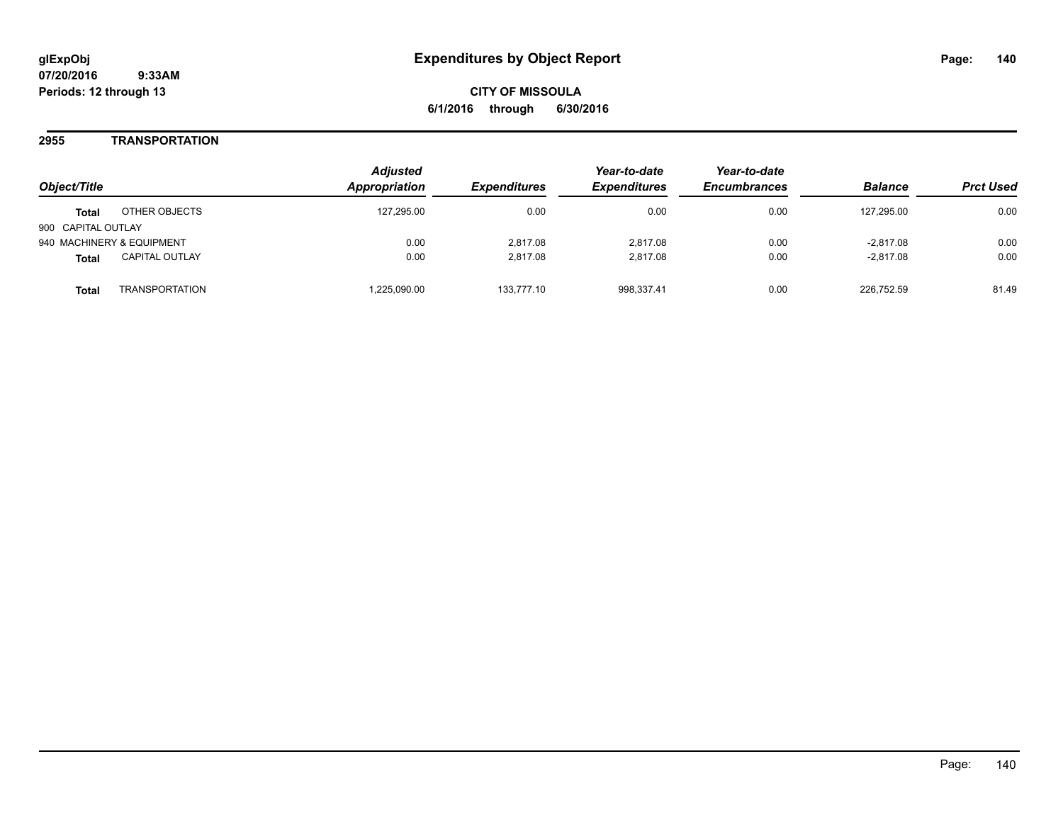**CITY OF MISSOULA 6/1/2016 through 6/30/2016**

## **2955 TRANSPORTATION**

| Object/Title                          | <b>Adjusted</b><br><b>Appropriation</b> | <i><b>Expenditures</b></i> | Year-to-date<br><b>Expenditures</b> | Year-to-date<br><b>Encumbrances</b> | <b>Balance</b> | <b>Prct Used</b> |
|---------------------------------------|-----------------------------------------|----------------------------|-------------------------------------|-------------------------------------|----------------|------------------|
| OTHER OBJECTS<br><b>Total</b>         | 127.295.00                              | 0.00                       | 0.00                                | 0.00                                | 127.295.00     | 0.00             |
| 900 CAPITAL OUTLAY                    |                                         |                            |                                     |                                     |                |                  |
| 940 MACHINERY & EQUIPMENT             | 0.00                                    | 2.817.08                   | 2.817.08                            | 0.00                                | $-2,817.08$    | 0.00             |
| <b>CAPITAL OUTLAY</b><br><b>Total</b> | 0.00                                    | 2.817.08                   | 2.817.08                            | 0.00                                | $-2,817.08$    | 0.00             |
| <b>TRANSPORTATION</b><br>Total        | .225,090.00                             | 133.777.10                 | 998,337.41                          | 0.00                                | 226.752.59     | 81.49            |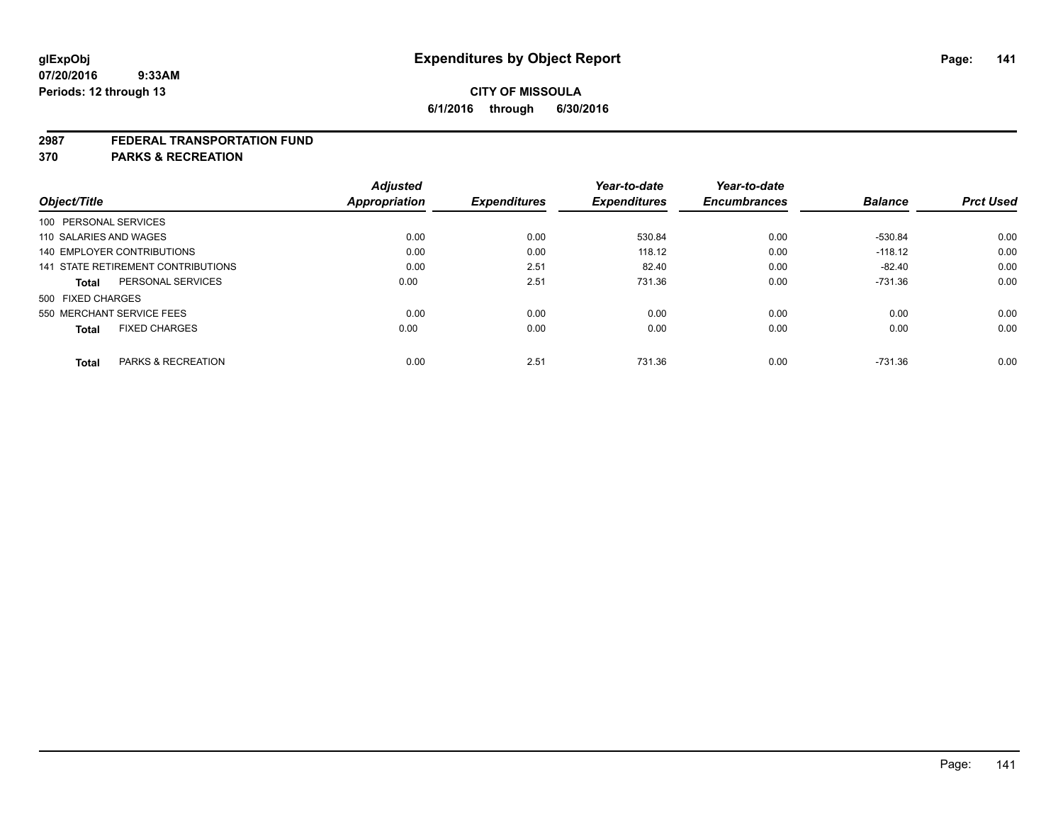#### **2987 FEDERAL TRANSPORTATION FUND**

**370 PARKS & RECREATION**

| Object/Title |                                      | <b>Adjusted</b><br><b>Appropriation</b> | <b>Expenditures</b> | Year-to-date<br><b>Expenditures</b> | Year-to-date<br><b>Encumbrances</b> | <b>Balance</b> | <b>Prct Used</b> |
|--------------|--------------------------------------|-----------------------------------------|---------------------|-------------------------------------|-------------------------------------|----------------|------------------|
|              | 100 PERSONAL SERVICES                |                                         |                     |                                     |                                     |                |                  |
|              | 110 SALARIES AND WAGES               | 0.00                                    | 0.00                | 530.84                              | 0.00                                | -530.84        | 0.00             |
|              | 140 EMPLOYER CONTRIBUTIONS           | 0.00                                    | 0.00                | 118.12                              | 0.00                                | $-118.12$      | 0.00             |
|              | 141 STATE RETIREMENT CONTRIBUTIONS   | 0.00                                    | 2.51                | 82.40                               | 0.00                                | $-82.40$       | 0.00             |
|              | PERSONAL SERVICES<br>Total           | 0.00                                    | 2.51                | 731.36                              | 0.00                                | $-731.36$      | 0.00             |
|              | 500 FIXED CHARGES                    |                                         |                     |                                     |                                     |                |                  |
|              | 550 MERCHANT SERVICE FEES            | 0.00                                    | 0.00                | 0.00                                | 0.00                                | 0.00           | 0.00             |
|              | <b>FIXED CHARGES</b><br><b>Total</b> | 0.00                                    | 0.00                | 0.00                                | 0.00                                | 0.00           | 0.00             |
|              |                                      |                                         |                     |                                     |                                     |                |                  |
|              | PARKS & RECREATION<br><b>Total</b>   | 0.00                                    | 2.51                | 731.36                              | 0.00                                | $-731.36$      | 0.00             |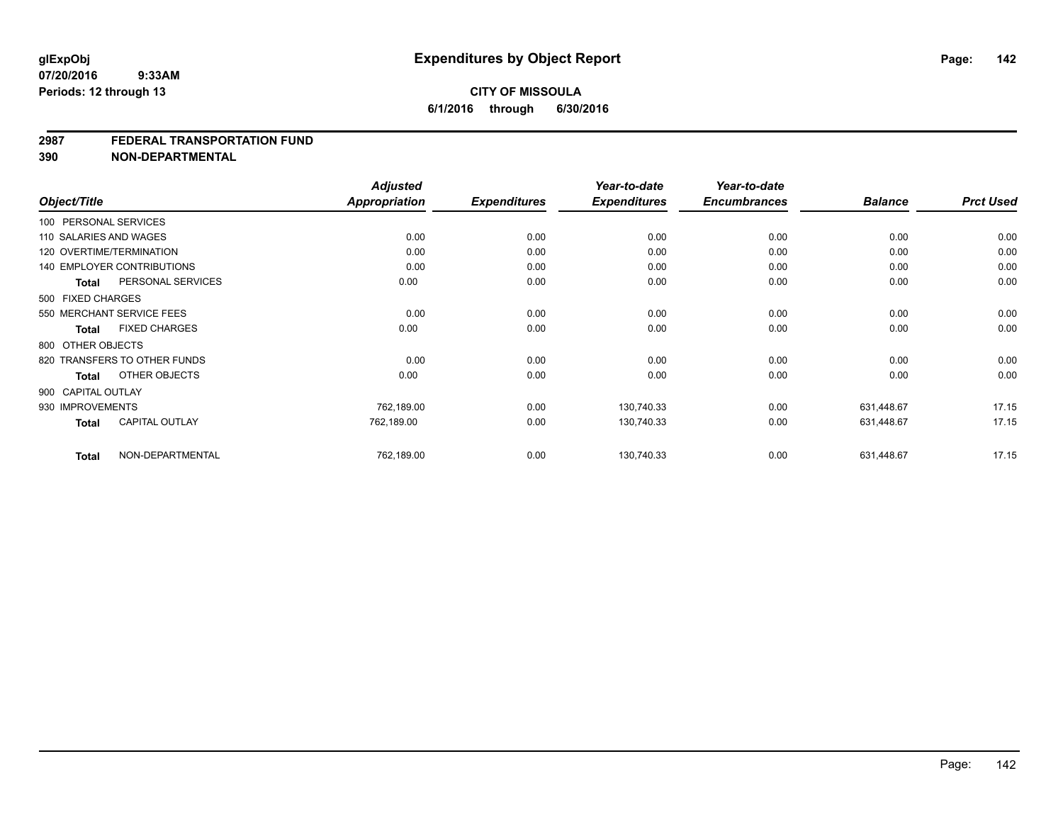#### **2987 FEDERAL TRANSPORTATION FUND**

**390 NON-DEPARTMENTAL**

|                  |                                   | <b>Adjusted</b>      |                     | Year-to-date        | Year-to-date        |                |                  |
|------------------|-----------------------------------|----------------------|---------------------|---------------------|---------------------|----------------|------------------|
| Object/Title     |                                   | <b>Appropriation</b> | <b>Expenditures</b> | <b>Expenditures</b> | <b>Encumbrances</b> | <b>Balance</b> | <b>Prct Used</b> |
|                  | 100 PERSONAL SERVICES             |                      |                     |                     |                     |                |                  |
|                  | 110 SALARIES AND WAGES            | 0.00                 | 0.00                | 0.00                | 0.00                | 0.00           | 0.00             |
|                  | 120 OVERTIME/TERMINATION          | 0.00                 | 0.00                | 0.00                | 0.00                | 0.00           | 0.00             |
|                  | <b>140 EMPLOYER CONTRIBUTIONS</b> | 0.00                 | 0.00                | 0.00                | 0.00                | 0.00           | 0.00             |
| <b>Total</b>     | PERSONAL SERVICES                 | 0.00                 | 0.00                | 0.00                | 0.00                | 0.00           | 0.00             |
|                  | 500 FIXED CHARGES                 |                      |                     |                     |                     |                |                  |
|                  | 550 MERCHANT SERVICE FEES         | 0.00                 | 0.00                | 0.00                | 0.00                | 0.00           | 0.00             |
| <b>Total</b>     | <b>FIXED CHARGES</b>              | 0.00                 | 0.00                | 0.00                | 0.00                | 0.00           | 0.00             |
|                  | 800 OTHER OBJECTS                 |                      |                     |                     |                     |                |                  |
|                  | 820 TRANSFERS TO OTHER FUNDS      | 0.00                 | 0.00                | 0.00                | 0.00                | 0.00           | 0.00             |
| Total            | OTHER OBJECTS                     | 0.00                 | 0.00                | 0.00                | 0.00                | 0.00           | 0.00             |
|                  | 900 CAPITAL OUTLAY                |                      |                     |                     |                     |                |                  |
| 930 IMPROVEMENTS |                                   | 762,189.00           | 0.00                | 130,740.33          | 0.00                | 631,448.67     | 17.15            |
| <b>Total</b>     | <b>CAPITAL OUTLAY</b>             | 762,189.00           | 0.00                | 130,740.33          | 0.00                | 631,448.67     | 17.15            |
| <b>Total</b>     | NON-DEPARTMENTAL                  | 762,189.00           | 0.00                | 130,740.33          | 0.00                | 631,448.67     | 17.15            |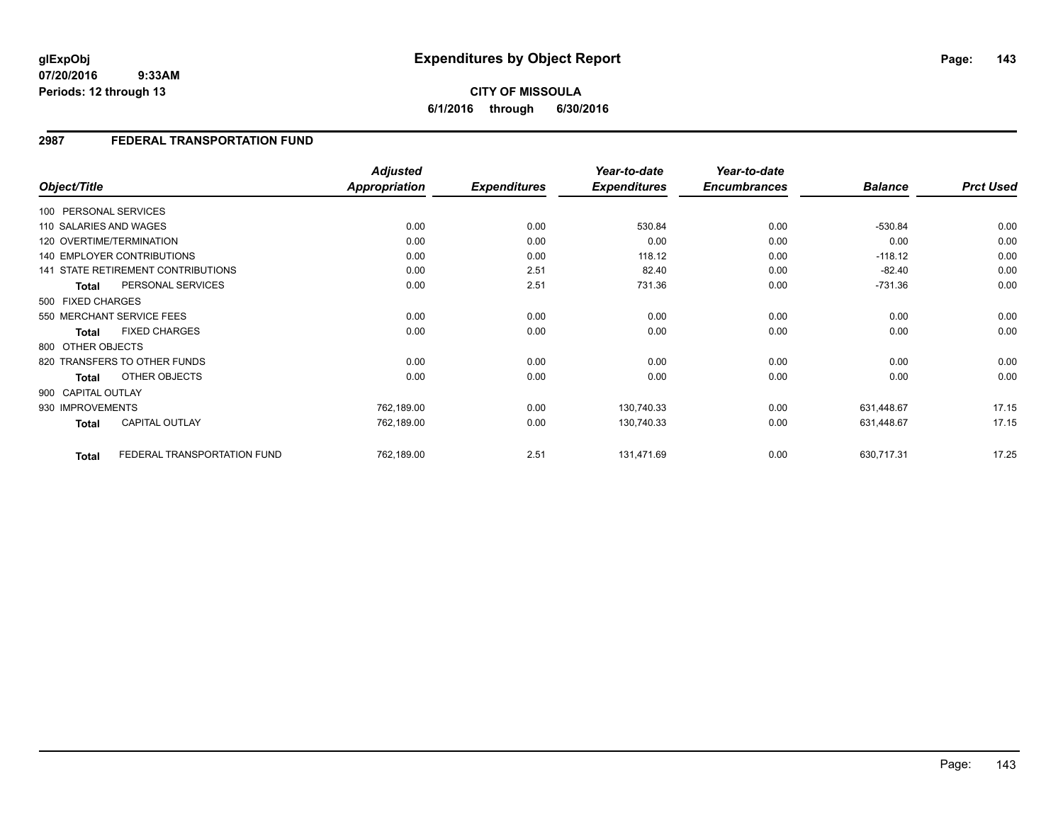**CITY OF MISSOULA 6/1/2016 through 6/30/2016**

## **2987 FEDERAL TRANSPORTATION FUND**

| Object/Title           |                                    | <b>Adjusted</b><br><b>Appropriation</b> | <b>Expenditures</b> | Year-to-date<br><b>Expenditures</b> | Year-to-date<br><b>Encumbrances</b> | <b>Balance</b> | <b>Prct Used</b> |
|------------------------|------------------------------------|-----------------------------------------|---------------------|-------------------------------------|-------------------------------------|----------------|------------------|
| 100 PERSONAL SERVICES  |                                    |                                         |                     |                                     |                                     |                |                  |
|                        |                                    |                                         |                     |                                     |                                     |                |                  |
| 110 SALARIES AND WAGES |                                    | 0.00                                    | 0.00                | 530.84                              | 0.00                                | $-530.84$      | 0.00             |
|                        | 120 OVERTIME/TERMINATION           | 0.00                                    | 0.00                | 0.00                                | 0.00                                | 0.00           | 0.00             |
|                        | <b>140 EMPLOYER CONTRIBUTIONS</b>  | 0.00                                    | 0.00                | 118.12                              | 0.00                                | $-118.12$      | 0.00             |
|                        | 141 STATE RETIREMENT CONTRIBUTIONS | 0.00                                    | 2.51                | 82.40                               | 0.00                                | $-82.40$       | 0.00             |
| <b>Total</b>           | PERSONAL SERVICES                  | 0.00                                    | 2.51                | 731.36                              | 0.00                                | $-731.36$      | 0.00             |
| 500 FIXED CHARGES      |                                    |                                         |                     |                                     |                                     |                |                  |
|                        | 550 MERCHANT SERVICE FEES          | 0.00                                    | 0.00                | 0.00                                | 0.00                                | 0.00           | 0.00             |
| <b>Total</b>           | <b>FIXED CHARGES</b>               | 0.00                                    | 0.00                | 0.00                                | 0.00                                | 0.00           | 0.00             |
| 800 OTHER OBJECTS      |                                    |                                         |                     |                                     |                                     |                |                  |
|                        | 820 TRANSFERS TO OTHER FUNDS       | 0.00                                    | 0.00                | 0.00                                | 0.00                                | 0.00           | 0.00             |
| <b>Total</b>           | OTHER OBJECTS                      | 0.00                                    | 0.00                | 0.00                                | 0.00                                | 0.00           | 0.00             |
| 900 CAPITAL OUTLAY     |                                    |                                         |                     |                                     |                                     |                |                  |
| 930 IMPROVEMENTS       |                                    | 762,189.00                              | 0.00                | 130,740.33                          | 0.00                                | 631,448.67     | 17.15            |
| <b>Total</b>           | <b>CAPITAL OUTLAY</b>              | 762,189.00                              | 0.00                | 130,740.33                          | 0.00                                | 631,448.67     | 17.15            |
| <b>Total</b>           | FEDERAL TRANSPORTATION FUND        | 762,189.00                              | 2.51                | 131,471.69                          | 0.00                                | 630,717.31     | 17.25            |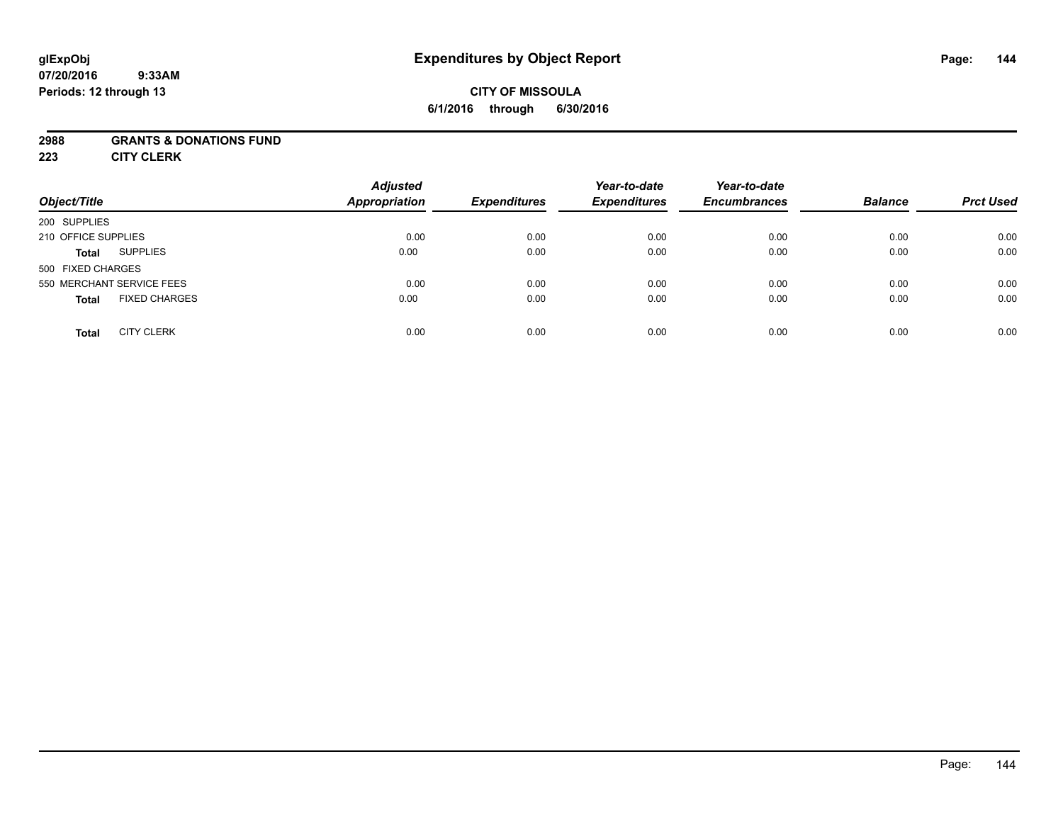# **CITY OF MISSOULA 6/1/2016 through 6/30/2016**

## **2988 GRANTS & DONATIONS FUND**

**223 CITY CLERK**

| Object/Title                         | <b>Adjusted</b><br><b>Appropriation</b> | <b>Expenditures</b> | Year-to-date<br><b>Expenditures</b> | Year-to-date<br><b>Encumbrances</b> | <b>Balance</b> | <b>Prct Used</b> |
|--------------------------------------|-----------------------------------------|---------------------|-------------------------------------|-------------------------------------|----------------|------------------|
| 200 SUPPLIES                         |                                         |                     |                                     |                                     |                |                  |
| 210 OFFICE SUPPLIES                  | 0.00                                    | 0.00                | 0.00                                | 0.00                                | 0.00           | 0.00             |
| <b>SUPPLIES</b><br><b>Total</b>      | 0.00                                    | 0.00                | 0.00                                | 0.00                                | 0.00           | 0.00             |
| 500 FIXED CHARGES                    |                                         |                     |                                     |                                     |                |                  |
| 550 MERCHANT SERVICE FEES            | 0.00                                    | 0.00                | 0.00                                | 0.00                                | 0.00           | 0.00             |
| <b>FIXED CHARGES</b><br><b>Total</b> | 0.00                                    | 0.00                | 0.00                                | 0.00                                | 0.00           | 0.00             |
| <b>CITY CLERK</b><br><b>Total</b>    | 0.00                                    | 0.00                | 0.00                                | 0.00                                | 0.00           | 0.00             |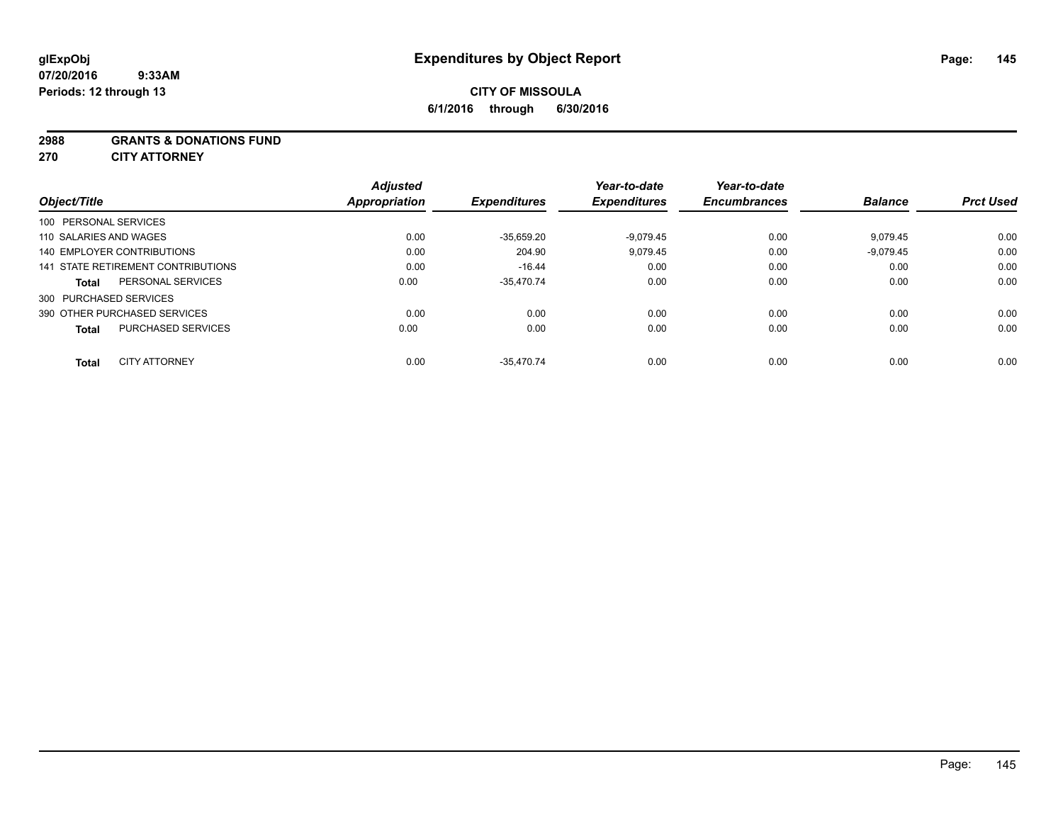#### **2988 GRANTS & DONATIONS FUND**

**270 CITY ATTORNEY**

| Object/Title                       |                           | <b>Adjusted</b><br><b>Appropriation</b> | <b>Expenditures</b> | Year-to-date<br><b>Expenditures</b> | Year-to-date<br><b>Encumbrances</b> | <b>Balance</b> | <b>Prct Used</b> |
|------------------------------------|---------------------------|-----------------------------------------|---------------------|-------------------------------------|-------------------------------------|----------------|------------------|
| 100 PERSONAL SERVICES              |                           |                                         |                     |                                     |                                     |                |                  |
| 110 SALARIES AND WAGES             |                           | 0.00                                    | $-35,659.20$        | $-9,079.45$                         | 0.00                                | 9,079.45       | 0.00             |
| 140 EMPLOYER CONTRIBUTIONS         |                           | 0.00                                    | 204.90              | 9,079.45                            | 0.00                                | $-9,079.45$    | 0.00             |
| 141 STATE RETIREMENT CONTRIBUTIONS |                           | 0.00                                    | $-16.44$            | 0.00                                | 0.00                                | 0.00           | 0.00             |
| <b>Total</b>                       | PERSONAL SERVICES         | 0.00                                    | $-35.470.74$        | 0.00                                | 0.00                                | 0.00           | 0.00             |
| 300 PURCHASED SERVICES             |                           |                                         |                     |                                     |                                     |                |                  |
| 390 OTHER PURCHASED SERVICES       |                           | 0.00                                    | 0.00                | 0.00                                | 0.00                                | 0.00           | 0.00             |
| <b>Total</b>                       | <b>PURCHASED SERVICES</b> | 0.00                                    | 0.00                | 0.00                                | 0.00                                | 0.00           | 0.00             |
| <b>Total</b>                       | <b>CITY ATTORNEY</b>      | 0.00                                    | $-35.470.74$        | 0.00                                | 0.00                                | 0.00           | 0.00             |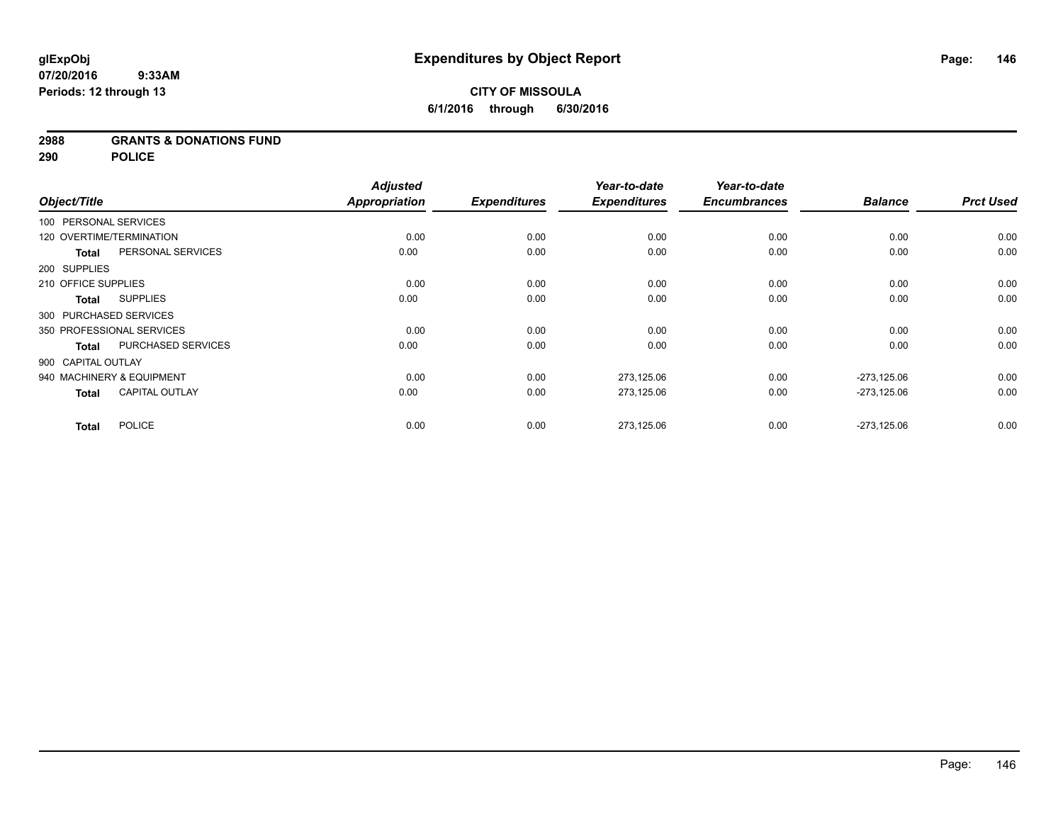#### **2988 GRANTS & DONATIONS FUND**

**290 POLICE**

|                          |                           | <b>Adjusted</b>      |                     | Year-to-date        | Year-to-date        |                |                  |
|--------------------------|---------------------------|----------------------|---------------------|---------------------|---------------------|----------------|------------------|
| Object/Title             |                           | <b>Appropriation</b> | <b>Expenditures</b> | <b>Expenditures</b> | <b>Encumbrances</b> | <b>Balance</b> | <b>Prct Used</b> |
| 100 PERSONAL SERVICES    |                           |                      |                     |                     |                     |                |                  |
| 120 OVERTIME/TERMINATION |                           | 0.00                 | 0.00                | 0.00                | 0.00                | 0.00           | 0.00             |
| <b>Total</b>             | PERSONAL SERVICES         | 0.00                 | 0.00                | 0.00                | 0.00                | 0.00           | 0.00             |
| 200 SUPPLIES             |                           |                      |                     |                     |                     |                |                  |
| 210 OFFICE SUPPLIES      |                           | 0.00                 | 0.00                | 0.00                | 0.00                | 0.00           | 0.00             |
| <b>Total</b>             | <b>SUPPLIES</b>           | 0.00                 | 0.00                | 0.00                | 0.00                | 0.00           | 0.00             |
| 300 PURCHASED SERVICES   |                           |                      |                     |                     |                     |                |                  |
|                          | 350 PROFESSIONAL SERVICES | 0.00                 | 0.00                | 0.00                | 0.00                | 0.00           | 0.00             |
| <b>Total</b>             | <b>PURCHASED SERVICES</b> | 0.00                 | 0.00                | 0.00                | 0.00                | 0.00           | 0.00             |
| 900 CAPITAL OUTLAY       |                           |                      |                     |                     |                     |                |                  |
|                          | 940 MACHINERY & EQUIPMENT | 0.00                 | 0.00                | 273,125.06          | 0.00                | $-273,125.06$  | 0.00             |
| <b>Total</b>             | <b>CAPITAL OUTLAY</b>     | 0.00                 | 0.00                | 273,125.06          | 0.00                | $-273,125.06$  | 0.00             |
| <b>Total</b>             | <b>POLICE</b>             | 0.00                 | 0.00                | 273,125.06          | 0.00                | $-273,125.06$  | 0.00             |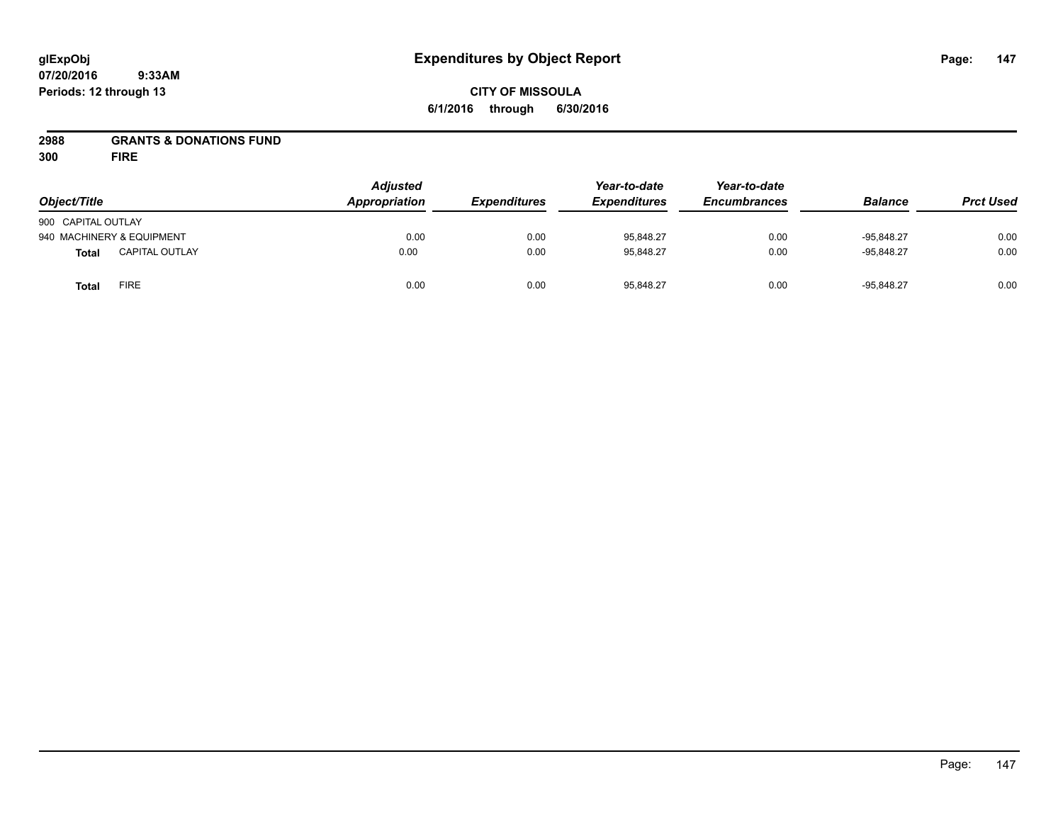## **CITY OF MISSOULA 6/1/2016 through 6/30/2016**

# **2988 GRANTS & DONATIONS FUND**

**300 FIRE**

| Object/Title              |                       | <b>Adjusted</b><br>Appropriation | <b>Expenditures</b> | Year-to-date<br><b>Expenditures</b> | Year-to-date<br><b>Encumbrances</b> | <b>Balance</b> | <b>Prct Used</b> |
|---------------------------|-----------------------|----------------------------------|---------------------|-------------------------------------|-------------------------------------|----------------|------------------|
| 900 CAPITAL OUTLAY        |                       |                                  |                     |                                     |                                     |                |                  |
| 940 MACHINERY & EQUIPMENT |                       | 0.00                             | 0.00                | 95,848.27                           | 0.00                                | $-95.848.27$   | 0.00             |
| <b>Total</b>              | <b>CAPITAL OUTLAY</b> | 0.00                             | 0.00                | 95,848.27                           | 0.00                                | $-95.848.27$   | 0.00             |
| <b>Total</b>              | FIRE                  | 0.00                             | 0.00                | 95,848.27                           | 0.00                                | $-95,848.27$   | 0.00             |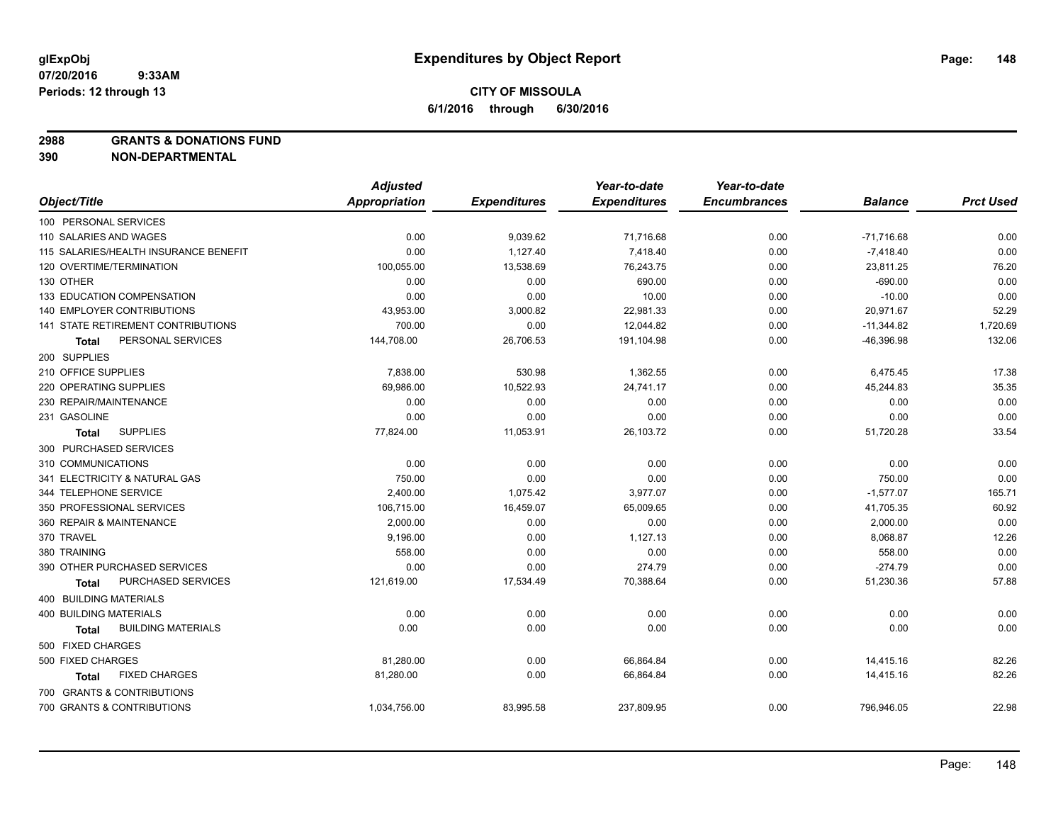**2988 GRANTS & DONATIONS FUND**

|                                           | <b>Adjusted</b>      |                     | Year-to-date        | Year-to-date        |                |                  |
|-------------------------------------------|----------------------|---------------------|---------------------|---------------------|----------------|------------------|
| Object/Title                              | <b>Appropriation</b> | <b>Expenditures</b> | <b>Expenditures</b> | <b>Encumbrances</b> | <b>Balance</b> | <b>Prct Used</b> |
| 100 PERSONAL SERVICES                     |                      |                     |                     |                     |                |                  |
| 110 SALARIES AND WAGES                    | 0.00                 | 9,039.62            | 71,716.68           | 0.00                | $-71,716.68$   | 0.00             |
| 115 SALARIES/HEALTH INSURANCE BENEFIT     | 0.00                 | 1,127.40            | 7,418.40            | 0.00                | $-7,418.40$    | 0.00             |
| 120 OVERTIME/TERMINATION                  | 100,055.00           | 13,538.69           | 76,243.75           | 0.00                | 23,811.25      | 76.20            |
| 130 OTHER                                 | 0.00                 | 0.00                | 690.00              | 0.00                | $-690.00$      | 0.00             |
| 133 EDUCATION COMPENSATION                | 0.00                 | 0.00                | 10.00               | 0.00                | $-10.00$       | 0.00             |
| <b>140 EMPLOYER CONTRIBUTIONS</b>         | 43,953.00            | 3,000.82            | 22.981.33           | 0.00                | 20,971.67      | 52.29            |
| 141 STATE RETIREMENT CONTRIBUTIONS        | 700.00               | 0.00                | 12,044.82           | 0.00                | $-11,344.82$   | 1,720.69         |
| PERSONAL SERVICES<br><b>Total</b>         | 144,708.00           | 26,706.53           | 191,104.98          | 0.00                | $-46,396.98$   | 132.06           |
| 200 SUPPLIES                              |                      |                     |                     |                     |                |                  |
| 210 OFFICE SUPPLIES                       | 7,838.00             | 530.98              | 1,362.55            | 0.00                | 6,475.45       | 17.38            |
| 220 OPERATING SUPPLIES                    | 69,986.00            | 10,522.93           | 24,741.17           | 0.00                | 45,244.83      | 35.35            |
| 230 REPAIR/MAINTENANCE                    | 0.00                 | 0.00                | 0.00                | 0.00                | 0.00           | 0.00             |
| 231 GASOLINE                              | 0.00                 | 0.00                | 0.00                | 0.00                | 0.00           | 0.00             |
| <b>SUPPLIES</b><br><b>Total</b>           | 77,824.00            | 11,053.91           | 26,103.72           | 0.00                | 51,720.28      | 33.54            |
| 300 PURCHASED SERVICES                    |                      |                     |                     |                     |                |                  |
| 310 COMMUNICATIONS                        | 0.00                 | 0.00                | 0.00                | 0.00                | 0.00           | 0.00             |
| 341 ELECTRICITY & NATURAL GAS             | 750.00               | 0.00                | 0.00                | 0.00                | 750.00         | 0.00             |
| 344 TELEPHONE SERVICE                     | 2,400.00             | 1,075.42            | 3,977.07            | 0.00                | $-1,577.07$    | 165.71           |
| 350 PROFESSIONAL SERVICES                 | 106,715.00           | 16,459.07           | 65,009.65           | 0.00                | 41,705.35      | 60.92            |
| 360 REPAIR & MAINTENANCE                  | 2,000.00             | 0.00                | 0.00                | 0.00                | 2,000.00       | 0.00             |
| 370 TRAVEL                                | 9.196.00             | 0.00                | 1,127.13            | 0.00                | 8,068.87       | 12.26            |
| 380 TRAINING                              | 558.00               | 0.00                | 0.00                | 0.00                | 558.00         | 0.00             |
| 390 OTHER PURCHASED SERVICES              | 0.00                 | 0.00                | 274.79              | 0.00                | $-274.79$      | 0.00             |
| PURCHASED SERVICES<br>Total               | 121,619.00           | 17,534.49           | 70,388.64           | 0.00                | 51,230.36      | 57.88            |
| 400 BUILDING MATERIALS                    |                      |                     |                     |                     |                |                  |
| <b>400 BUILDING MATERIALS</b>             | 0.00                 | 0.00                | 0.00                | 0.00                | 0.00           | 0.00             |
| <b>BUILDING MATERIALS</b><br><b>Total</b> | 0.00                 | 0.00                | 0.00                | 0.00                | 0.00           | 0.00             |
| 500 FIXED CHARGES                         |                      |                     |                     |                     |                |                  |
| 500 FIXED CHARGES                         | 81,280.00            | 0.00                | 66,864.84           | 0.00                | 14,415.16      | 82.26            |
| <b>FIXED CHARGES</b><br>Total             | 81,280.00            | 0.00                | 66,864.84           | 0.00                | 14,415.16      | 82.26            |
| 700 GRANTS & CONTRIBUTIONS                |                      |                     |                     |                     |                |                  |
| 700 GRANTS & CONTRIBUTIONS                | 1,034,756.00         | 83,995.58           | 237,809.95          | 0.00                | 796,946.05     | 22.98            |
|                                           |                      |                     |                     |                     |                |                  |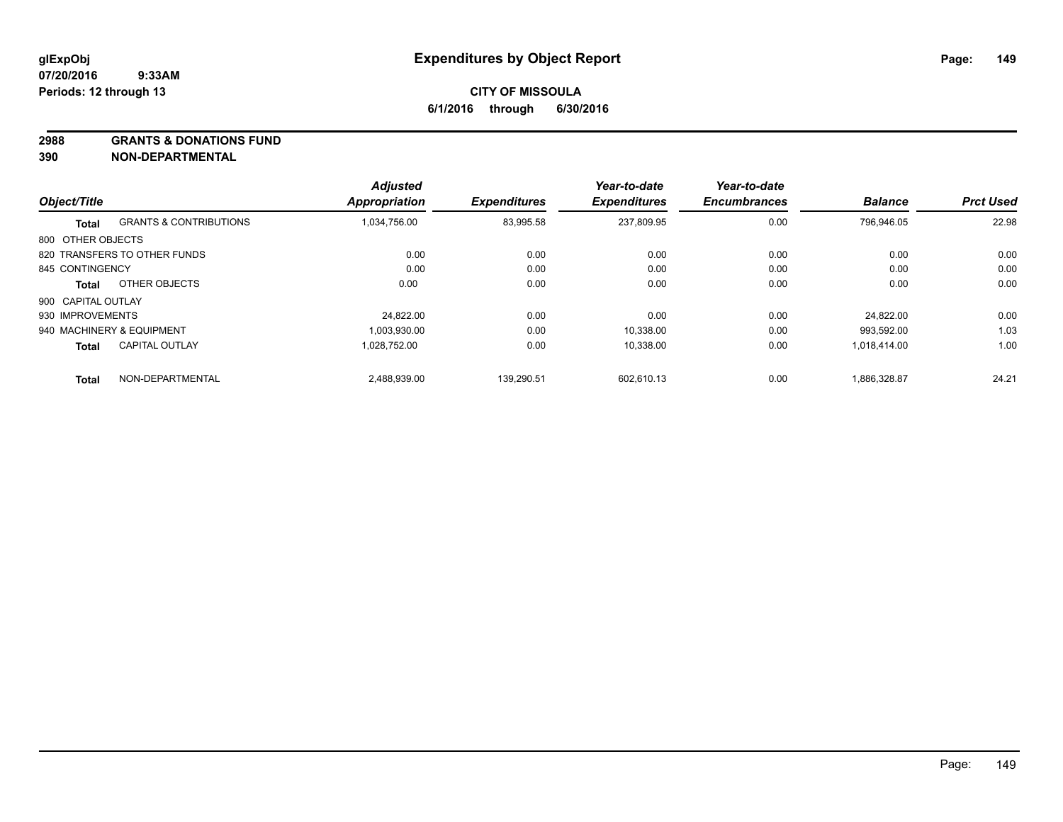#### **2988 GRANTS & DONATIONS FUND**

|                    |                                   | <b>Adjusted</b> |                     | Year-to-date        | Year-to-date        |                |                  |
|--------------------|-----------------------------------|-----------------|---------------------|---------------------|---------------------|----------------|------------------|
| Object/Title       |                                   | Appropriation   | <b>Expenditures</b> | <b>Expenditures</b> | <b>Encumbrances</b> | <b>Balance</b> | <b>Prct Used</b> |
| Total              | <b>GRANTS &amp; CONTRIBUTIONS</b> | 1,034,756.00    | 83,995.58           | 237,809.95          | 0.00                | 796.946.05     | 22.98            |
| 800 OTHER OBJECTS  |                                   |                 |                     |                     |                     |                |                  |
|                    | 820 TRANSFERS TO OTHER FUNDS      | 0.00            | 0.00                | 0.00                | 0.00                | 0.00           | 0.00             |
| 845 CONTINGENCY    |                                   | 0.00            | 0.00                | 0.00                | 0.00                | 0.00           | 0.00             |
| Total              | OTHER OBJECTS                     | 0.00            | 0.00                | 0.00                | 0.00                | 0.00           | 0.00             |
| 900 CAPITAL OUTLAY |                                   |                 |                     |                     |                     |                |                  |
| 930 IMPROVEMENTS   |                                   | 24.822.00       | 0.00                | 0.00                | 0.00                | 24.822.00      | 0.00             |
|                    | 940 MACHINERY & EQUIPMENT         | 1.003.930.00    | 0.00                | 10.338.00           | 0.00                | 993.592.00     | 1.03             |
| <b>Total</b>       | <b>CAPITAL OUTLAY</b>             | 1,028,752.00    | 0.00                | 10,338.00           | 0.00                | 1,018,414.00   | 1.00             |
| <b>Total</b>       | NON-DEPARTMENTAL                  | 2,488,939.00    | 139.290.51          | 602.610.13          | 0.00                | 1,886,328.87   | 24.21            |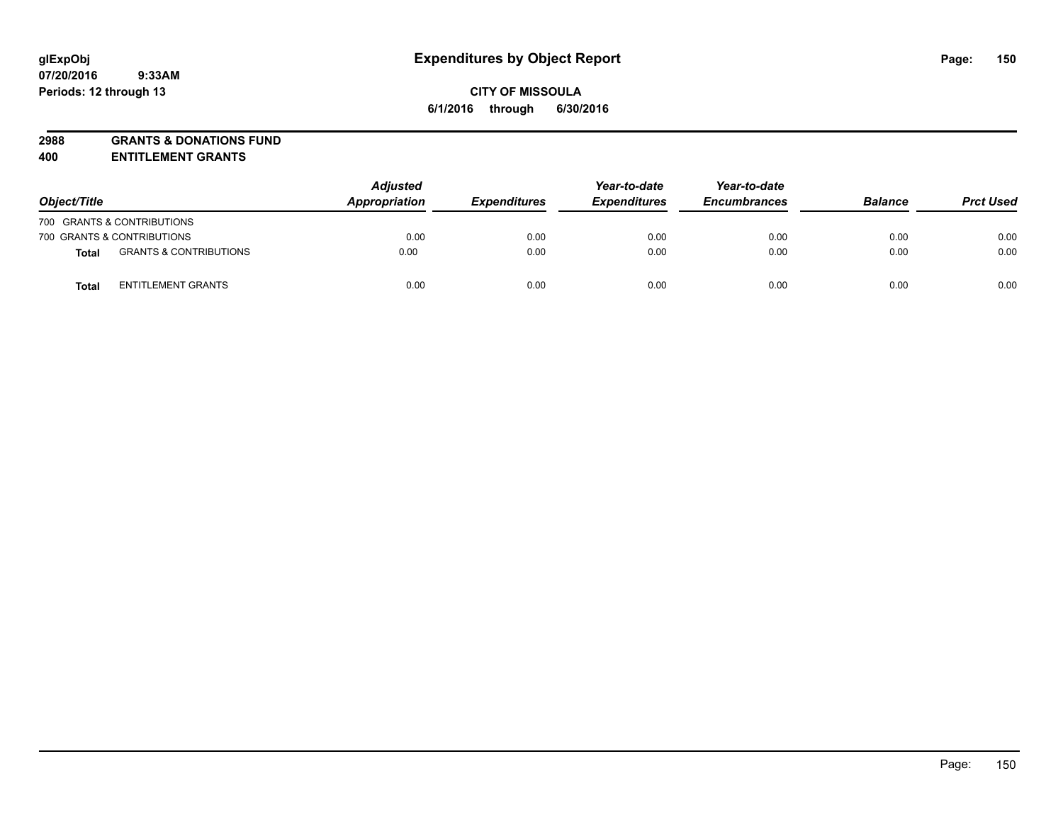# **2988 GRANTS & DONATIONS FUND**

**400 ENTITLEMENT GRANTS**

| Object/Title |                                   | <b>Adjusted</b><br>Appropriation | <b>Expenditures</b> | Year-to-date<br><b>Expenditures</b> | Year-to-date<br><b>Encumbrances</b> | <b>Balance</b> | <b>Prct Used</b> |
|--------------|-----------------------------------|----------------------------------|---------------------|-------------------------------------|-------------------------------------|----------------|------------------|
|              | 700 GRANTS & CONTRIBUTIONS        |                                  |                     |                                     |                                     |                |                  |
|              | 700 GRANTS & CONTRIBUTIONS        | 0.00                             | 0.00                | 0.00                                | 0.00                                | 0.00           | 0.00             |
| <b>Total</b> | <b>GRANTS &amp; CONTRIBUTIONS</b> | 0.00                             | 0.00                | 0.00                                | 0.00                                | 0.00           | 0.00             |
| Total        | <b>ENTITLEMENT GRANTS</b>         | 0.00                             | 0.00                | 0.00                                | 0.00                                | 0.00           | 0.00             |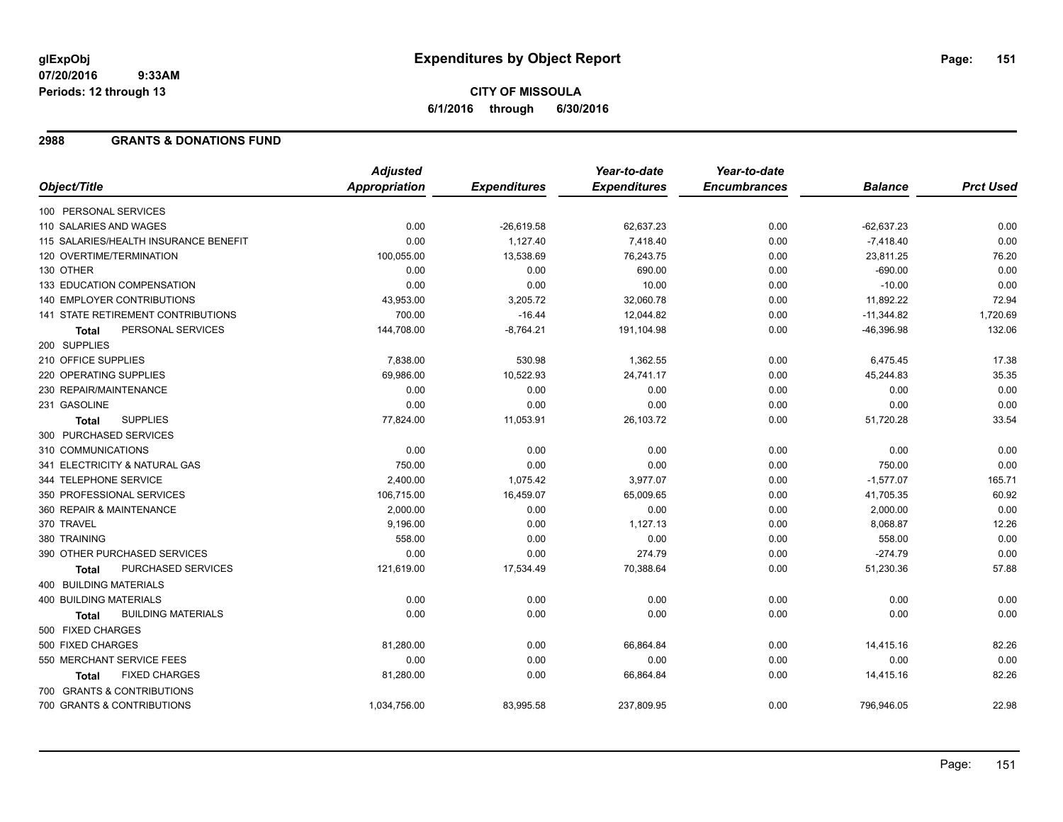# **CITY OF MISSOULA 6/1/2016 through 6/30/2016**

#### **2988 GRANTS & DONATIONS FUND**

|                                           | <b>Adjusted</b> |                     | Year-to-date        | Year-to-date        |                |                  |
|-------------------------------------------|-----------------|---------------------|---------------------|---------------------|----------------|------------------|
| Object/Title                              | Appropriation   | <b>Expenditures</b> | <b>Expenditures</b> | <b>Encumbrances</b> | <b>Balance</b> | <b>Prct Used</b> |
| 100 PERSONAL SERVICES                     |                 |                     |                     |                     |                |                  |
| 110 SALARIES AND WAGES                    | 0.00            | $-26,619.58$        | 62,637.23           | 0.00                | $-62,637.23$   | 0.00             |
| 115 SALARIES/HEALTH INSURANCE BENEFIT     | 0.00            | 1,127.40            | 7,418.40            | 0.00                | $-7,418.40$    | 0.00             |
| 120 OVERTIME/TERMINATION                  | 100,055.00      | 13,538.69           | 76,243.75           | 0.00                | 23,811.25      | 76.20            |
| 130 OTHER                                 | 0.00            | 0.00                | 690.00              | 0.00                | $-690.00$      | 0.00             |
| 133 EDUCATION COMPENSATION                | 0.00            | 0.00                | 10.00               | 0.00                | $-10.00$       | 0.00             |
| 140 EMPLOYER CONTRIBUTIONS                | 43,953.00       | 3,205.72            | 32,060.78           | 0.00                | 11,892.22      | 72.94            |
| 141 STATE RETIREMENT CONTRIBUTIONS        | 700.00          | $-16.44$            | 12,044.82           | 0.00                | $-11,344.82$   | 1,720.69         |
| PERSONAL SERVICES<br><b>Total</b>         | 144,708.00      | $-8,764.21$         | 191,104.98          | 0.00                | $-46,396.98$   | 132.06           |
| 200 SUPPLIES                              |                 |                     |                     |                     |                |                  |
| 210 OFFICE SUPPLIES                       | 7,838.00        | 530.98              | 1,362.55            | 0.00                | 6,475.45       | 17.38            |
| 220 OPERATING SUPPLIES                    | 69,986.00       | 10,522.93           | 24,741.17           | 0.00                | 45,244.83      | 35.35            |
| 230 REPAIR/MAINTENANCE                    | 0.00            | 0.00                | 0.00                | 0.00                | 0.00           | 0.00             |
| 231 GASOLINE                              | 0.00            | 0.00                | 0.00                | 0.00                | 0.00           | 0.00             |
| <b>SUPPLIES</b><br>Total                  | 77,824.00       | 11,053.91           | 26,103.72           | 0.00                | 51,720.28      | 33.54            |
| 300 PURCHASED SERVICES                    |                 |                     |                     |                     |                |                  |
| 310 COMMUNICATIONS                        | 0.00            | 0.00                | 0.00                | 0.00                | 0.00           | 0.00             |
| 341 ELECTRICITY & NATURAL GAS             | 750.00          | 0.00                | 0.00                | 0.00                | 750.00         | 0.00             |
| 344 TELEPHONE SERVICE                     | 2,400.00        | 1,075.42            | 3,977.07            | 0.00                | $-1,577.07$    | 165.71           |
| 350 PROFESSIONAL SERVICES                 | 106,715.00      | 16,459.07           | 65,009.65           | 0.00                | 41,705.35      | 60.92            |
| 360 REPAIR & MAINTENANCE                  | 2,000.00        | 0.00                | 0.00                | 0.00                | 2,000.00       | 0.00             |
| 370 TRAVEL                                | 9,196.00        | 0.00                | 1,127.13            | 0.00                | 8,068.87       | 12.26            |
| 380 TRAINING                              | 558.00          | 0.00                | 0.00                | 0.00                | 558.00         | 0.00             |
| 390 OTHER PURCHASED SERVICES              | 0.00            | 0.00                | 274.79              | 0.00                | $-274.79$      | 0.00             |
| PURCHASED SERVICES<br><b>Total</b>        | 121,619.00      | 17,534.49           | 70,388.64           | 0.00                | 51,230.36      | 57.88            |
| <b>400 BUILDING MATERIALS</b>             |                 |                     |                     |                     |                |                  |
| <b>400 BUILDING MATERIALS</b>             | 0.00            | 0.00                | 0.00                | 0.00                | 0.00           | 0.00             |
| <b>BUILDING MATERIALS</b><br><b>Total</b> | 0.00            | 0.00                | 0.00                | 0.00                | 0.00           | 0.00             |
| 500 FIXED CHARGES                         |                 |                     |                     |                     |                |                  |
| 500 FIXED CHARGES                         | 81,280.00       | 0.00                | 66,864.84           | 0.00                | 14,415.16      | 82.26            |
| 550 MERCHANT SERVICE FEES                 | 0.00            | 0.00                | 0.00                | 0.00                | 0.00           | 0.00             |
| <b>FIXED CHARGES</b><br>Total             | 81,280.00       | 0.00                | 66,864.84           | 0.00                | 14,415.16      | 82.26            |
| 700 GRANTS & CONTRIBUTIONS                |                 |                     |                     |                     |                |                  |
| 700 GRANTS & CONTRIBUTIONS                | 1,034,756.00    | 83,995.58           | 237,809.95          | 0.00                | 796,946.05     | 22.98            |

Page: 151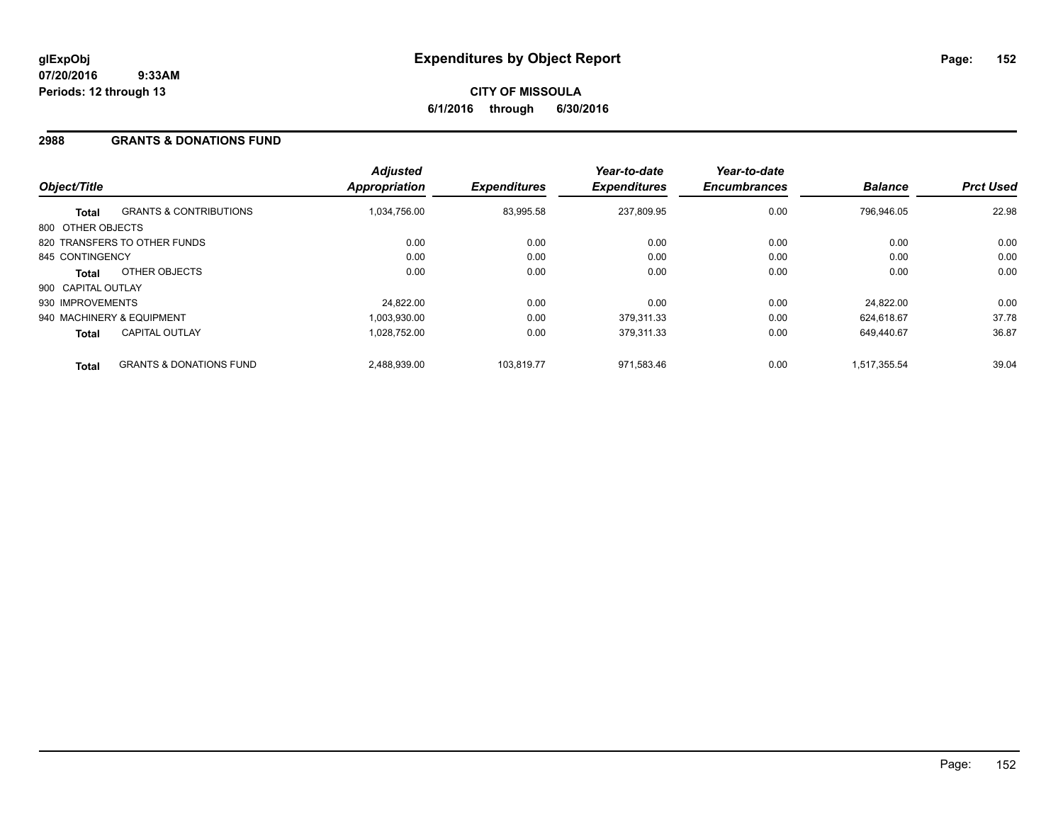## **2988 GRANTS & DONATIONS FUND**

| Object/Title       |                                    | <b>Adjusted</b><br>Appropriation | <b>Expenditures</b> | Year-to-date<br><b>Expenditures</b> | Year-to-date<br><b>Encumbrances</b> | <b>Balance</b> | <b>Prct Used</b> |
|--------------------|------------------------------------|----------------------------------|---------------------|-------------------------------------|-------------------------------------|----------------|------------------|
| <b>Total</b>       | <b>GRANTS &amp; CONTRIBUTIONS</b>  | 1.034.756.00                     | 83,995.58           | 237,809.95                          | 0.00                                | 796.946.05     | 22.98            |
| 800 OTHER OBJECTS  |                                    |                                  |                     |                                     |                                     |                |                  |
|                    | 820 TRANSFERS TO OTHER FUNDS       | 0.00                             | 0.00                | 0.00                                | 0.00                                | 0.00           | 0.00             |
| 845 CONTINGENCY    |                                    | 0.00                             | 0.00                | 0.00                                | 0.00                                | 0.00           | 0.00             |
| <b>Total</b>       | OTHER OBJECTS                      | 0.00                             | 0.00                | 0.00                                | 0.00                                | 0.00           | 0.00             |
| 900 CAPITAL OUTLAY |                                    |                                  |                     |                                     |                                     |                |                  |
| 930 IMPROVEMENTS   |                                    | 24.822.00                        | 0.00                | 0.00                                | 0.00                                | 24.822.00      | 0.00             |
|                    | 940 MACHINERY & EQUIPMENT          | 1.003.930.00                     | 0.00                | 379.311.33                          | 0.00                                | 624.618.67     | 37.78            |
| <b>Total</b>       | <b>CAPITAL OUTLAY</b>              | 1,028,752.00                     | 0.00                | 379,311.33                          | 0.00                                | 649.440.67     | 36.87            |
| <b>Total</b>       | <b>GRANTS &amp; DONATIONS FUND</b> | 2,488,939.00                     | 103.819.77          | 971.583.46                          | 0.00                                | 1,517,355.54   | 39.04            |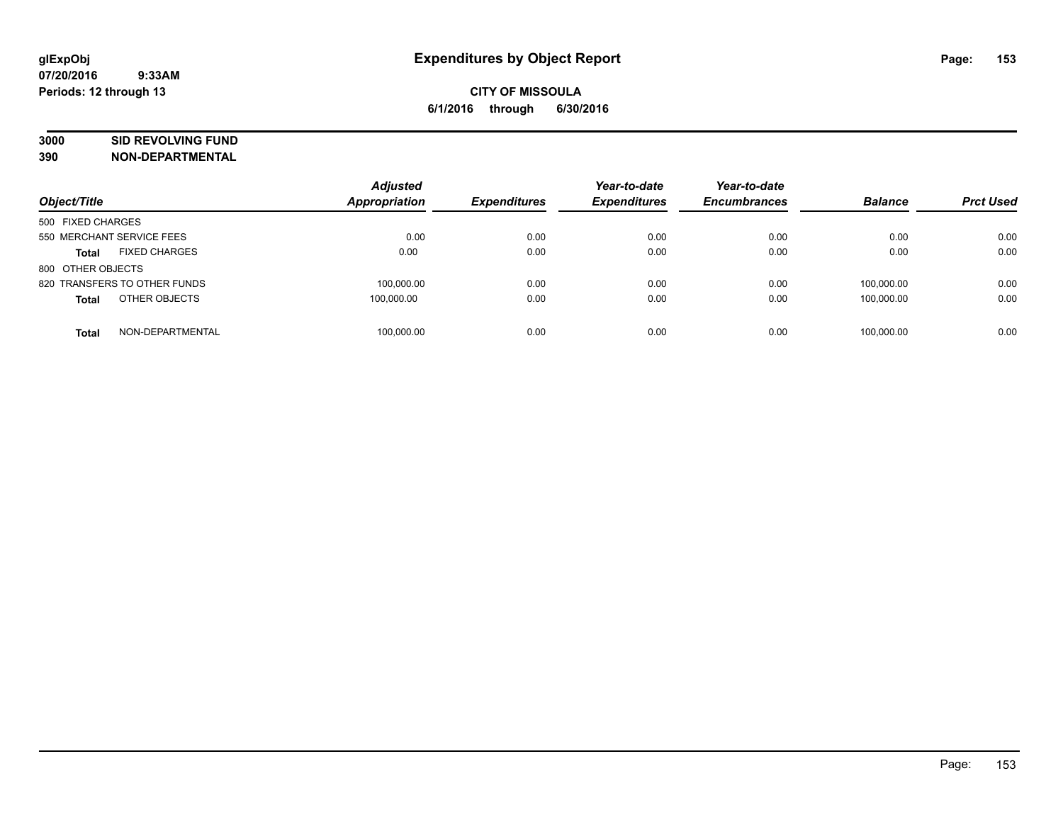# **3000 SID REVOLVING FUND**

| Object/Title                         | <b>Adjusted</b><br><b>Appropriation</b> | <b>Expenditures</b> | Year-to-date<br><b>Expenditures</b> | Year-to-date<br><b>Encumbrances</b> | <b>Balance</b> | <b>Prct Used</b> |
|--------------------------------------|-----------------------------------------|---------------------|-------------------------------------|-------------------------------------|----------------|------------------|
| 500 FIXED CHARGES                    |                                         |                     |                                     |                                     |                |                  |
| 550 MERCHANT SERVICE FEES            | 0.00                                    | 0.00                | 0.00                                | 0.00                                | 0.00           | 0.00             |
| <b>FIXED CHARGES</b><br><b>Total</b> | 0.00                                    | 0.00                | 0.00                                | 0.00                                | 0.00           | 0.00             |
| 800 OTHER OBJECTS                    |                                         |                     |                                     |                                     |                |                  |
| 820 TRANSFERS TO OTHER FUNDS         | 100,000.00                              | 0.00                | 0.00                                | 0.00                                | 100.000.00     | 0.00             |
| OTHER OBJECTS<br><b>Total</b>        | 100.000.00                              | 0.00                | 0.00                                | 0.00                                | 100.000.00     | 0.00             |
| NON-DEPARTMENTAL<br><b>Total</b>     | 100.000.00                              | 0.00                | 0.00                                | 0.00                                | 100.000.00     | 0.00             |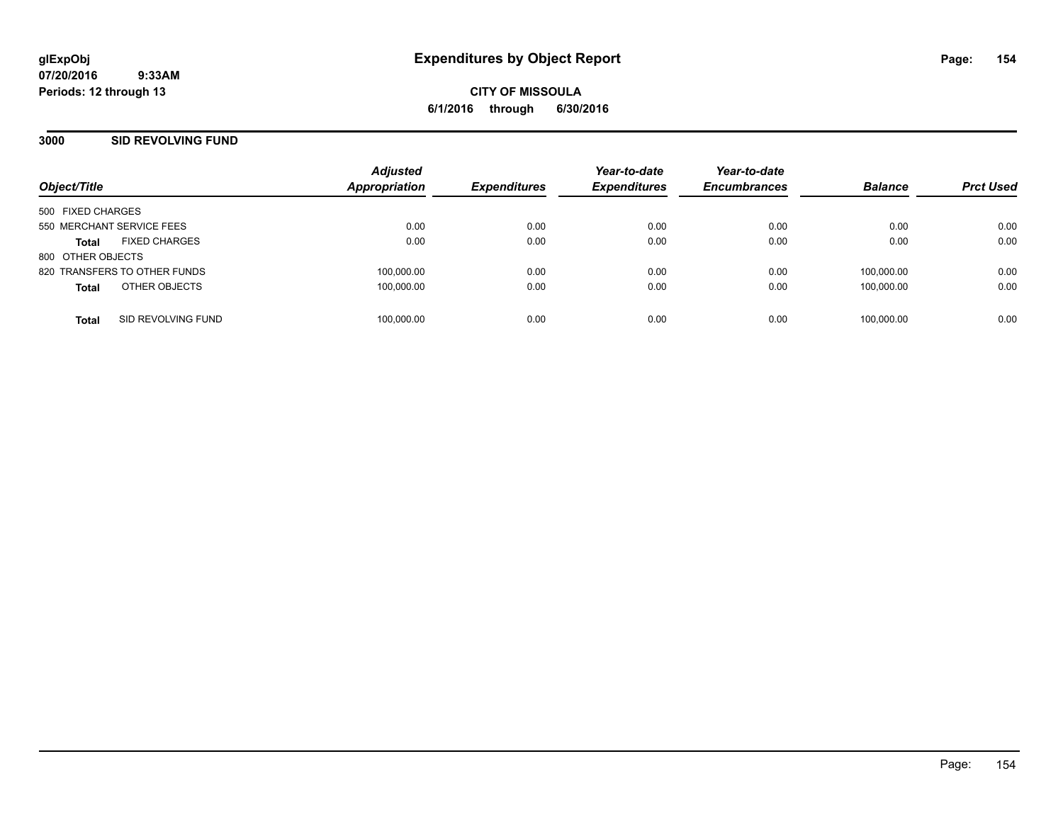**CITY OF MISSOULA 6/1/2016 through 6/30/2016**

#### **3000 SID REVOLVING FUND**

| Object/Title                         | <b>Adjusted</b><br>Appropriation | <b>Expenditures</b> | Year-to-date<br><b>Expenditures</b> | Year-to-date<br><b>Encumbrances</b> | <b>Balance</b> | <b>Prct Used</b> |
|--------------------------------------|----------------------------------|---------------------|-------------------------------------|-------------------------------------|----------------|------------------|
| 500 FIXED CHARGES                    |                                  |                     |                                     |                                     |                |                  |
| 550 MERCHANT SERVICE FEES            | 0.00                             | 0.00                | 0.00                                | 0.00                                | 0.00           | 0.00             |
| <b>FIXED CHARGES</b><br><b>Total</b> | 0.00                             | 0.00                | 0.00                                | 0.00                                | 0.00           | 0.00             |
| 800 OTHER OBJECTS                    |                                  |                     |                                     |                                     |                |                  |
| 820 TRANSFERS TO OTHER FUNDS         | 100,000.00                       | 0.00                | 0.00                                | 0.00                                | 100.000.00     | 0.00             |
| OTHER OBJECTS<br><b>Total</b>        | 100,000.00                       | 0.00                | 0.00                                | 0.00                                | 100.000.00     | 0.00             |
| SID REVOLVING FUND<br><b>Total</b>   | 100,000.00                       | 0.00                | 0.00                                | 0.00                                | 100.000.00     | 0.00             |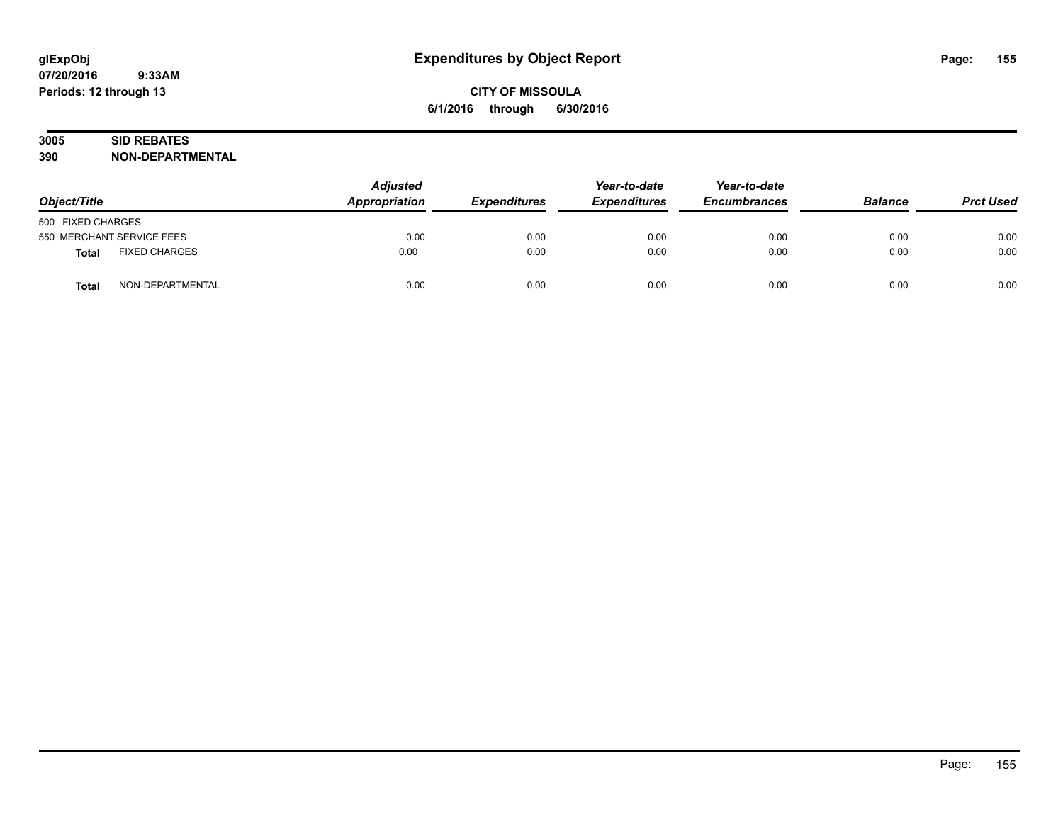# **3005 SID REBATES**

| Object/Title      |                           | <b>Adjusted</b><br>Appropriation | <b>Expenditures</b> | Year-to-date<br><b>Expenditures</b> | Year-to-date<br><b>Encumbrances</b> | <b>Balance</b> | <b>Prct Used</b> |
|-------------------|---------------------------|----------------------------------|---------------------|-------------------------------------|-------------------------------------|----------------|------------------|
| 500 FIXED CHARGES |                           |                                  |                     |                                     |                                     |                |                  |
|                   | 550 MERCHANT SERVICE FEES | 0.00                             | 0.00                | 0.00                                | 0.00                                | 0.00           | 0.00             |
| <b>Total</b>      | <b>FIXED CHARGES</b>      | 0.00                             | 0.00                | 0.00                                | 0.00                                | 0.00           | 0.00             |
| <b>Total</b>      | NON-DEPARTMENTAL          | 0.00                             | 0.00                | 0.00                                | 0.00                                | 0.00           | 0.00             |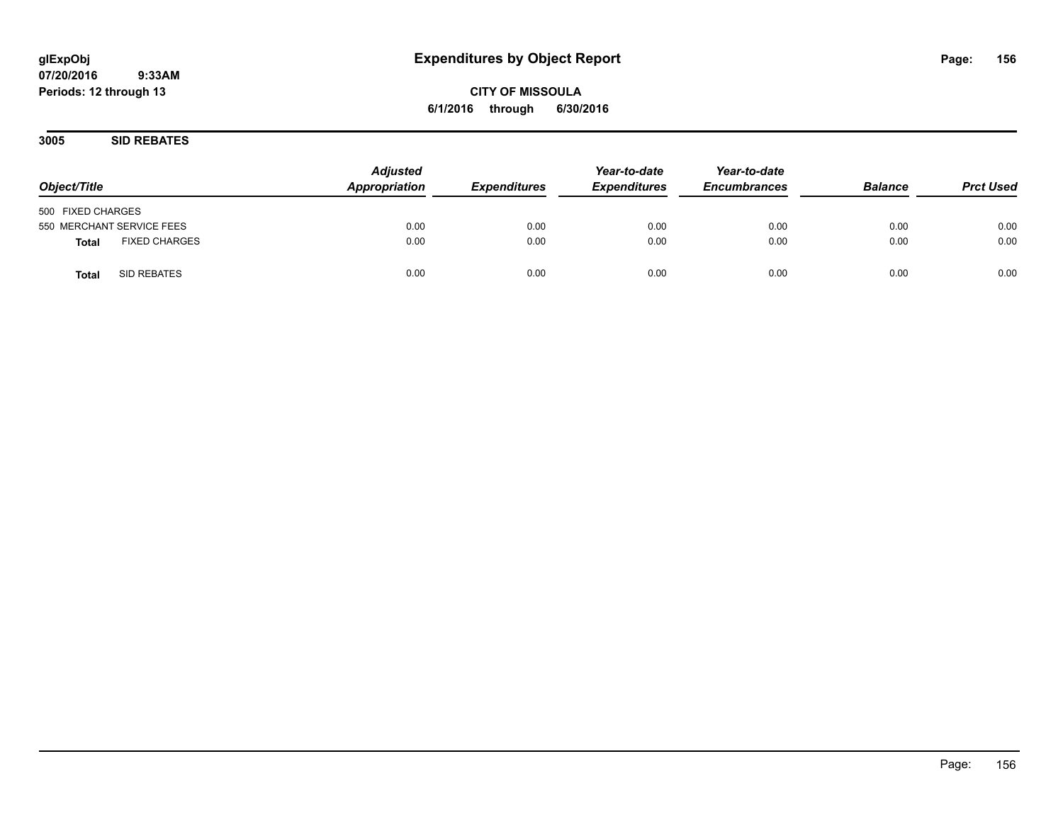# **glExpObj Expenditures by Object Report Page: 156**

**07/20/2016 9:33AM Periods: 12 through 13**

**3005 SID REBATES**

| Object/Title                         | <b>Adjusted</b><br>Appropriation | <b>Expenditures</b> | Year-to-date<br><b>Expenditures</b> | Year-to-date<br><b>Encumbrances</b> | <b>Balance</b> | <b>Prct Used</b> |
|--------------------------------------|----------------------------------|---------------------|-------------------------------------|-------------------------------------|----------------|------------------|
| 500 FIXED CHARGES                    |                                  |                     |                                     |                                     |                |                  |
| 550 MERCHANT SERVICE FEES            | 0.00                             | 0.00                | 0.00                                | 0.00                                | 0.00           | 0.00             |
| <b>FIXED CHARGES</b><br><b>Total</b> | 0.00                             | 0.00                | 0.00                                | 0.00                                | 0.00           | 0.00             |
| SID REBATES<br><b>Total</b>          | 0.00                             | 0.00                | 0.00                                | 0.00                                | 0.00           | 0.00             |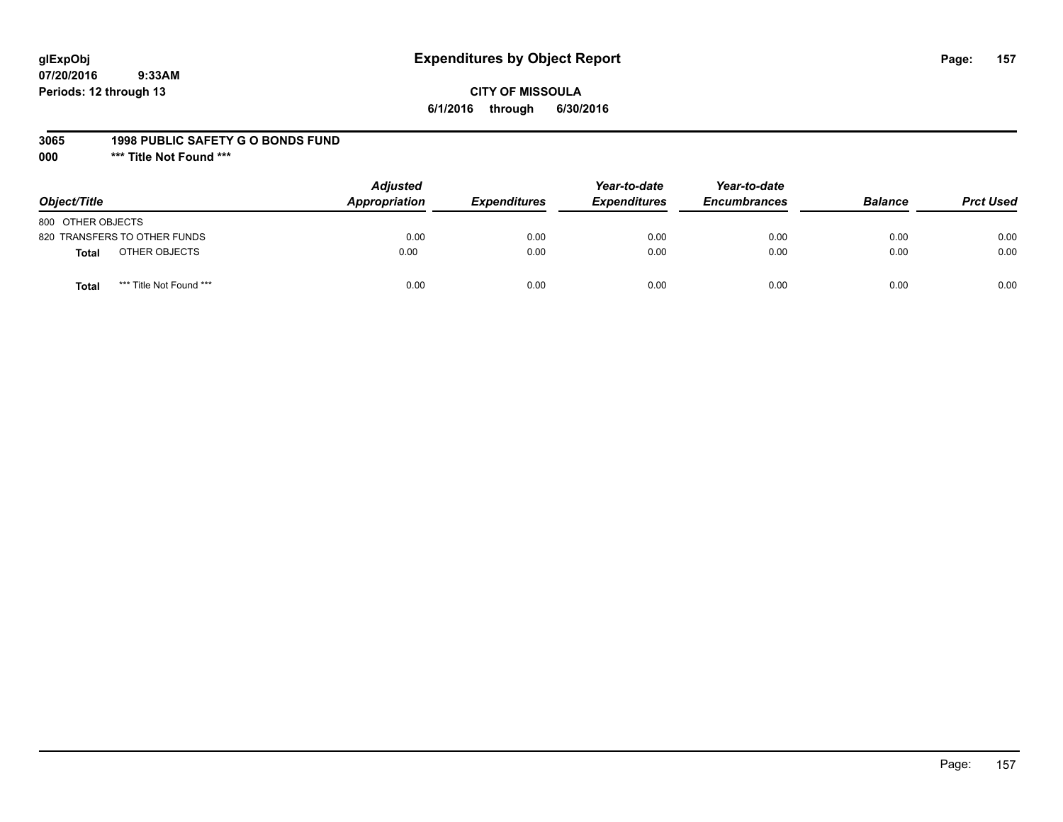# **glExpObj Expenditures by Object Report Page: 157**

# **CITY OF MISSOULA 6/1/2016 through 6/30/2016**

#### **3065 1998 PUBLIC SAFETY G O BONDS FUND**

**000 \*\*\* Title Not Found \*\*\***

| Object/Title                     | <b>Adjusted</b><br>Appropriation | <b>Expenditures</b> | Year-to-date<br><b>Expenditures</b> | Year-to-date<br><b>Encumbrances</b> | <b>Balance</b> | <b>Prct Used</b> |
|----------------------------------|----------------------------------|---------------------|-------------------------------------|-------------------------------------|----------------|------------------|
| 800 OTHER OBJECTS                |                                  |                     |                                     |                                     |                |                  |
| 820 TRANSFERS TO OTHER FUNDS     | 0.00                             | 0.00                | 0.00                                | 0.00                                | 0.00           | 0.00             |
| OTHER OBJECTS<br><b>Total</b>    | 0.00                             | 0.00                | 0.00                                | 0.00                                | 0.00           | 0.00             |
| *** Title Not Found ***<br>Total | 0.00                             | 0.00                | 0.00                                | 0.00                                | 0.00           | 0.00             |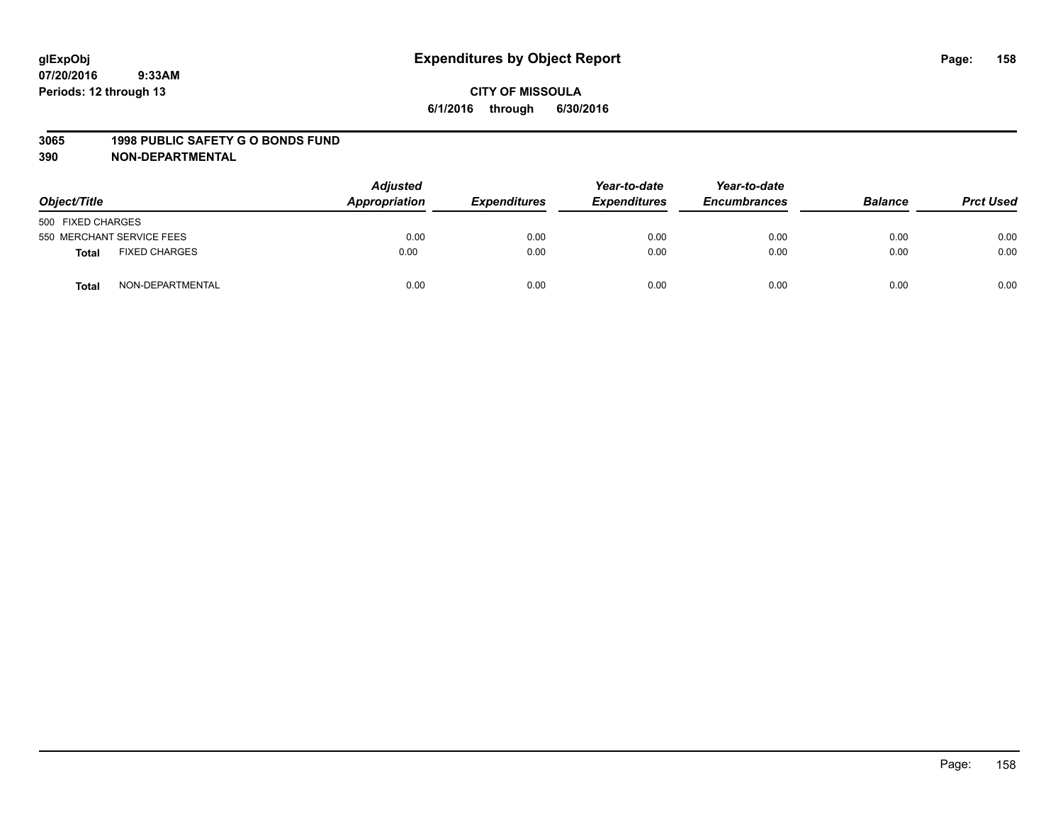#### **3065 1998 PUBLIC SAFETY G O BONDS FUND**

| Object/Title              |                      | <b>Adjusted</b><br>Appropriation | <b>Expenditures</b> | Year-to-date<br><b>Expenditures</b> | Year-to-date<br><b>Encumbrances</b> | <b>Balance</b> | <b>Prct Used</b> |
|---------------------------|----------------------|----------------------------------|---------------------|-------------------------------------|-------------------------------------|----------------|------------------|
| 500 FIXED CHARGES         |                      |                                  |                     |                                     |                                     |                |                  |
| 550 MERCHANT SERVICE FEES |                      | 0.00                             | 0.00                | 0.00                                | 0.00                                | 0.00           | 0.00             |
| <b>Total</b>              | <b>FIXED CHARGES</b> | 0.00                             | 0.00                | 0.00                                | 0.00                                | 0.00           | 0.00             |
| Total                     | NON-DEPARTMENTAL     | 0.00                             | 0.00                | 0.00                                | 0.00                                | 0.00           | 0.00             |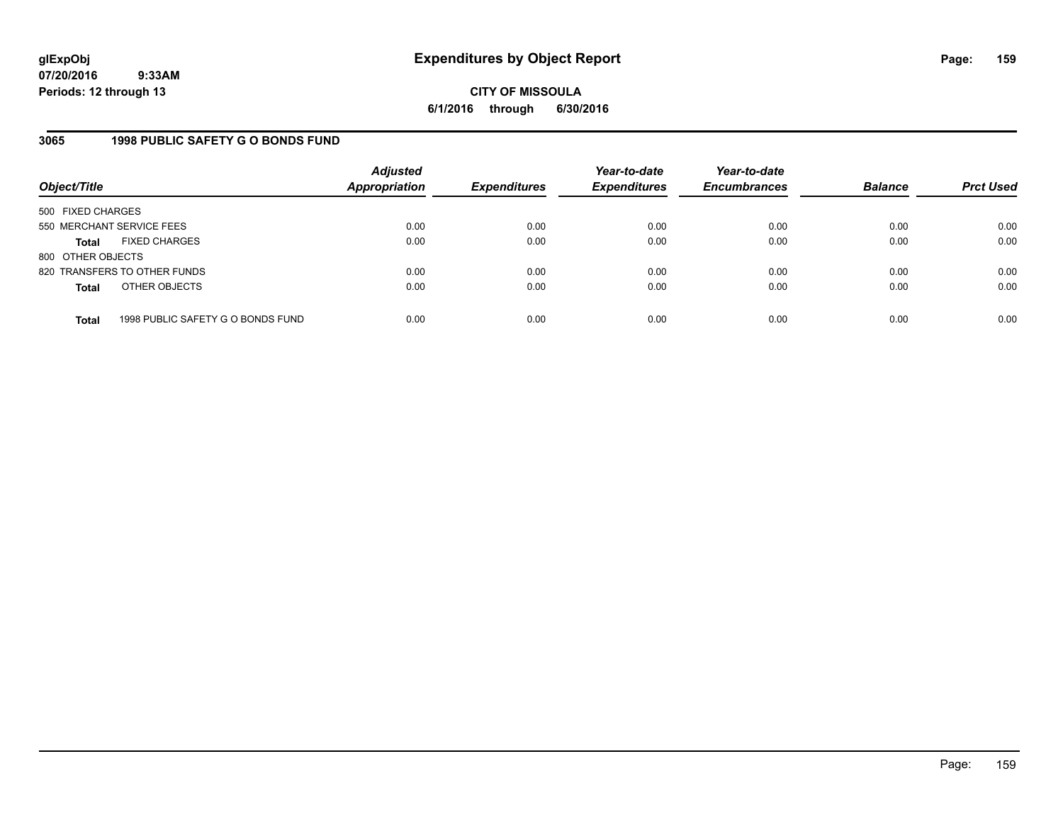**CITY OF MISSOULA 6/1/2016 through 6/30/2016**

## **3065 1998 PUBLIC SAFETY G O BONDS FUND**

| Object/Title              |                                   | <b>Adjusted</b><br>Appropriation | <b>Expenditures</b> | Year-to-date<br><b>Expenditures</b> | Year-to-date<br><b>Encumbrances</b> | <b>Balance</b> | <b>Prct Used</b> |
|---------------------------|-----------------------------------|----------------------------------|---------------------|-------------------------------------|-------------------------------------|----------------|------------------|
| 500 FIXED CHARGES         |                                   |                                  |                     |                                     |                                     |                |                  |
| 550 MERCHANT SERVICE FEES |                                   | 0.00                             | 0.00                | 0.00                                | 0.00                                | 0.00           | 0.00             |
| <b>Total</b>              | <b>FIXED CHARGES</b>              | 0.00                             | 0.00                | 0.00                                | 0.00                                | 0.00           | 0.00             |
| 800 OTHER OBJECTS         |                                   |                                  |                     |                                     |                                     |                |                  |
|                           | 820 TRANSFERS TO OTHER FUNDS      | 0.00                             | 0.00                | 0.00                                | 0.00                                | 0.00           | 0.00             |
| <b>Total</b>              | OTHER OBJECTS                     | 0.00                             | 0.00                | 0.00                                | 0.00                                | 0.00           | 0.00             |
| <b>Total</b>              | 1998 PUBLIC SAFETY G O BONDS FUND | 0.00                             | 0.00                | 0.00                                | 0.00                                | 0.00           | 0.00             |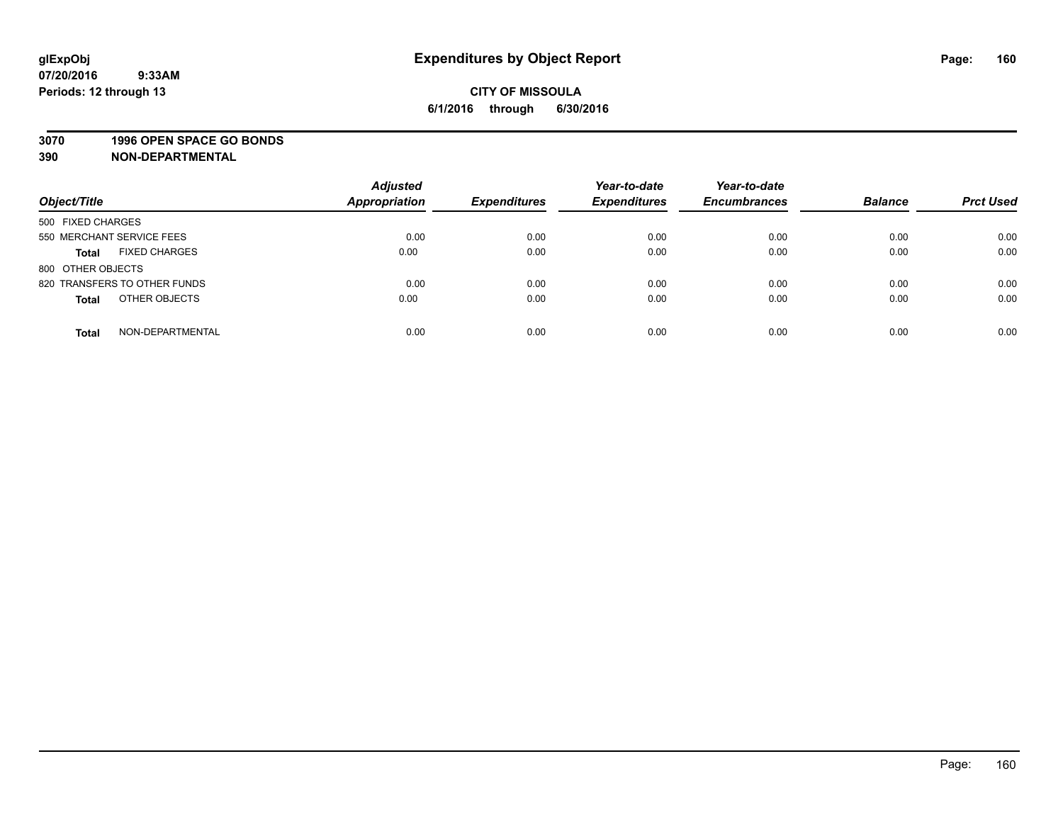#### **3070 1996 OPEN SPACE GO BONDS**

| Object/Title                         | <b>Adjusted</b><br>Appropriation | <b>Expenditures</b> | Year-to-date<br><b>Expenditures</b> | Year-to-date<br><b>Encumbrances</b> | <b>Balance</b> | <b>Prct Used</b> |
|--------------------------------------|----------------------------------|---------------------|-------------------------------------|-------------------------------------|----------------|------------------|
| 500 FIXED CHARGES                    |                                  |                     |                                     |                                     |                |                  |
| 550 MERCHANT SERVICE FEES            | 0.00                             | 0.00                | 0.00                                | 0.00                                | 0.00           | 0.00             |
| <b>FIXED CHARGES</b><br><b>Total</b> | 0.00                             | 0.00                | 0.00                                | 0.00                                | 0.00           | 0.00             |
| 800 OTHER OBJECTS                    |                                  |                     |                                     |                                     |                |                  |
| 820 TRANSFERS TO OTHER FUNDS         | 0.00                             | 0.00                | 0.00                                | 0.00                                | 0.00           | 0.00             |
| OTHER OBJECTS<br><b>Total</b>        | 0.00                             | 0.00                | 0.00                                | 0.00                                | 0.00           | 0.00             |
| NON-DEPARTMENTAL<br><b>Total</b>     | 0.00                             | 0.00                | 0.00                                | 0.00                                | 0.00           | 0.00             |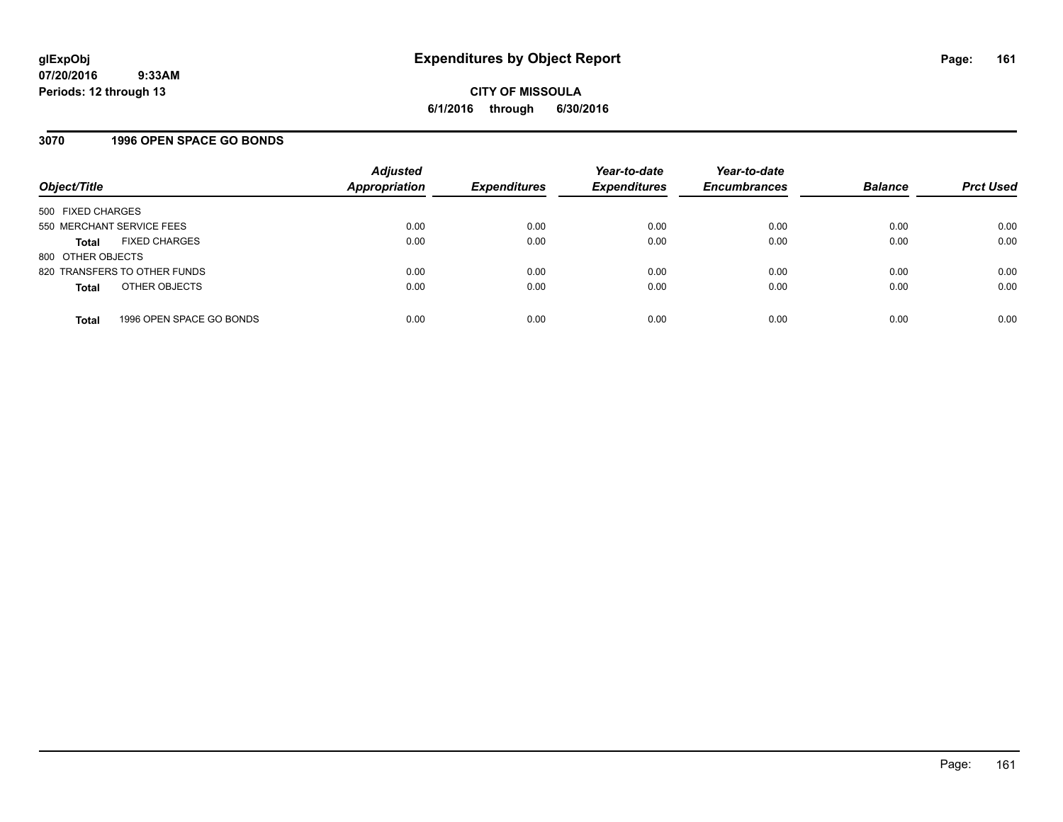### **3070 1996 OPEN SPACE GO BONDS**

| Object/Title                             | <b>Adjusted</b><br>Appropriation | <b>Expenditures</b> | Year-to-date<br><b>Expenditures</b> | Year-to-date<br><b>Encumbrances</b> | <b>Balance</b> | <b>Prct Used</b> |
|------------------------------------------|----------------------------------|---------------------|-------------------------------------|-------------------------------------|----------------|------------------|
| 500 FIXED CHARGES                        |                                  |                     |                                     |                                     |                |                  |
| 550 MERCHANT SERVICE FEES                | 0.00                             | 0.00                | 0.00                                | 0.00                                | 0.00           | 0.00             |
| <b>FIXED CHARGES</b><br><b>Total</b>     | 0.00                             | 0.00                | 0.00                                | 0.00                                | 0.00           | 0.00             |
| 800 OTHER OBJECTS                        |                                  |                     |                                     |                                     |                |                  |
| 820 TRANSFERS TO OTHER FUNDS             | 0.00                             | 0.00                | 0.00                                | 0.00                                | 0.00           | 0.00             |
| OTHER OBJECTS<br><b>Total</b>            | 0.00                             | 0.00                | 0.00                                | 0.00                                | 0.00           | 0.00             |
| 1996 OPEN SPACE GO BONDS<br><b>Total</b> | 0.00                             | 0.00                | 0.00                                | 0.00                                | 0.00           | 0.00             |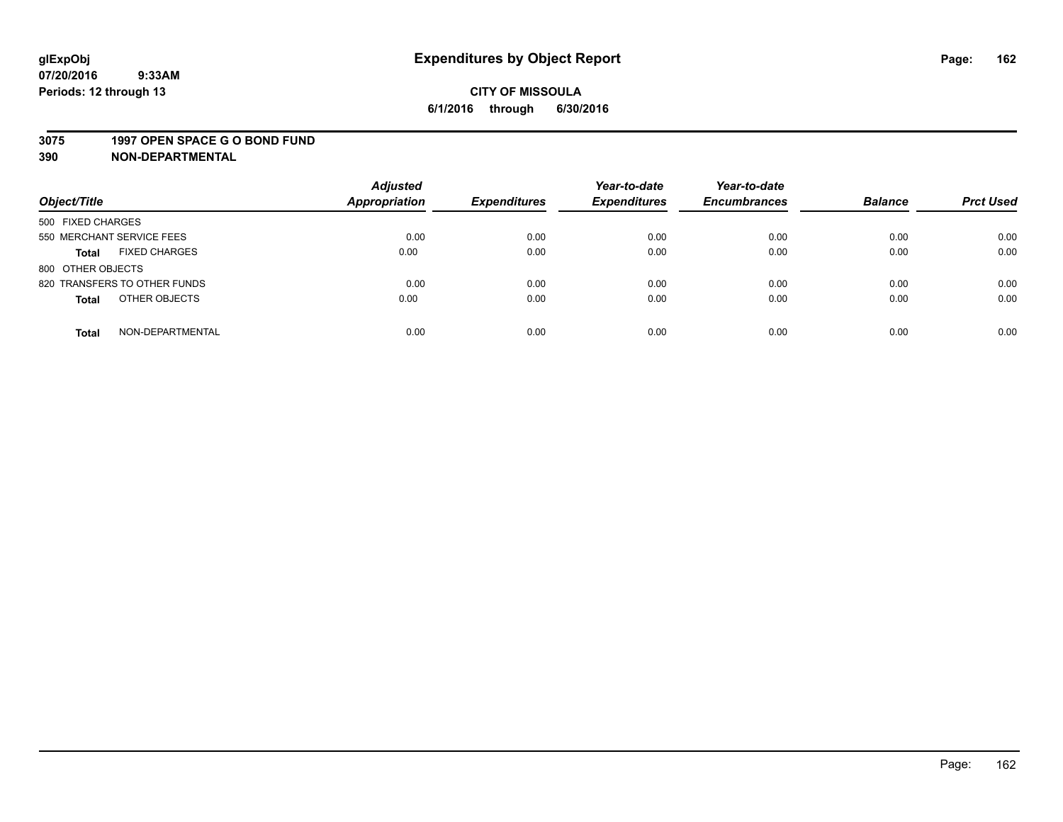#### **3075 1997 OPEN SPACE G O BOND FUND**

| Object/Title                         | <b>Adjusted</b><br><b>Appropriation</b> | <b>Expenditures</b> | Year-to-date<br><b>Expenditures</b> | Year-to-date<br><b>Encumbrances</b> | <b>Balance</b> | <b>Prct Used</b> |
|--------------------------------------|-----------------------------------------|---------------------|-------------------------------------|-------------------------------------|----------------|------------------|
|                                      |                                         |                     |                                     |                                     |                |                  |
| 500 FIXED CHARGES                    |                                         |                     |                                     |                                     |                |                  |
| 550 MERCHANT SERVICE FEES            | 0.00                                    | 0.00                | 0.00                                | 0.00                                | 0.00           | 0.00             |
| <b>FIXED CHARGES</b><br><b>Total</b> | 0.00                                    | 0.00                | 0.00                                | 0.00                                | 0.00           | 0.00             |
| 800 OTHER OBJECTS                    |                                         |                     |                                     |                                     |                |                  |
| 820 TRANSFERS TO OTHER FUNDS         | 0.00                                    | 0.00                | 0.00                                | 0.00                                | 0.00           | 0.00             |
| OTHER OBJECTS<br><b>Total</b>        | 0.00                                    | 0.00                | 0.00                                | 0.00                                | 0.00           | 0.00             |
|                                      |                                         |                     |                                     |                                     |                |                  |
| NON-DEPARTMENTAL<br><b>Total</b>     | 0.00                                    | 0.00                | 0.00                                | 0.00                                | 0.00           | 0.00             |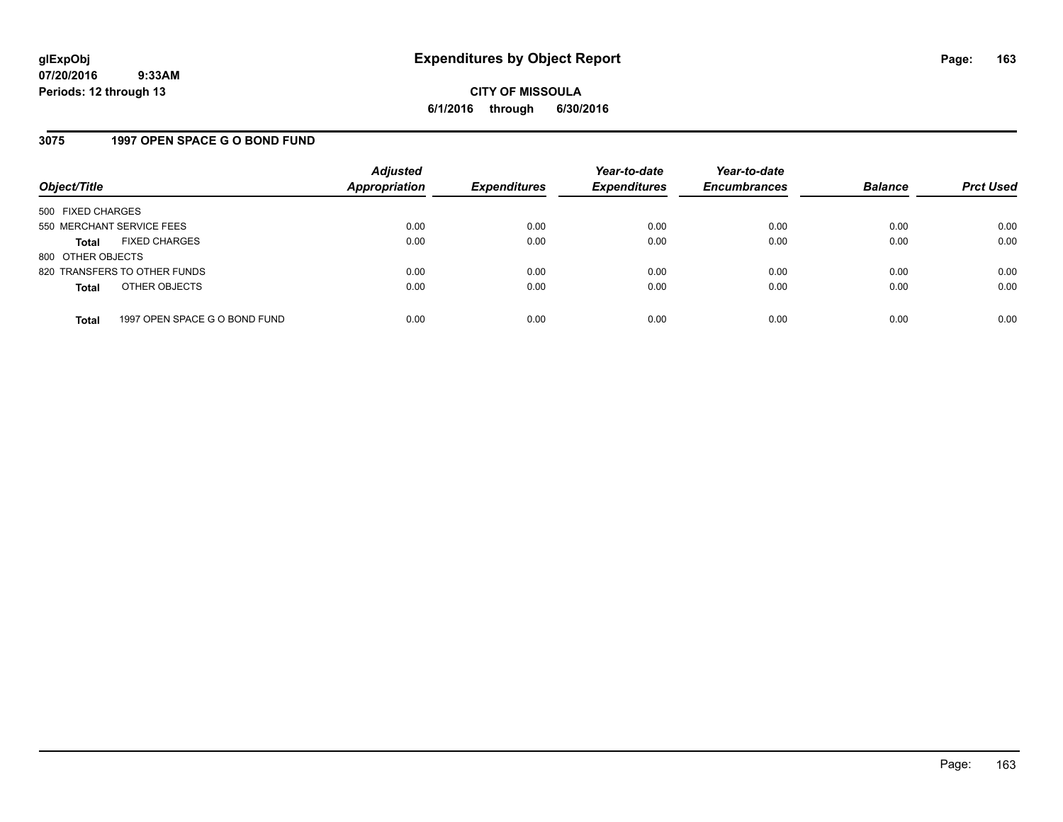### **3075 1997 OPEN SPACE G O BOND FUND**

| Object/Title                         |                               | <b>Adjusted</b><br>Appropriation | <b>Expenditures</b> | Year-to-date<br><b>Expenditures</b> | Year-to-date<br><b>Encumbrances</b> | <b>Balance</b> | <b>Prct Used</b> |
|--------------------------------------|-------------------------------|----------------------------------|---------------------|-------------------------------------|-------------------------------------|----------------|------------------|
| 500 FIXED CHARGES                    |                               |                                  |                     |                                     |                                     |                |                  |
| 550 MERCHANT SERVICE FEES            |                               | 0.00                             | 0.00                | 0.00                                | 0.00                                | 0.00           | 0.00             |
| <b>FIXED CHARGES</b><br><b>Total</b> |                               | 0.00                             | 0.00                | 0.00                                | 0.00                                | 0.00           | 0.00             |
| 800 OTHER OBJECTS                    |                               |                                  |                     |                                     |                                     |                |                  |
| 820 TRANSFERS TO OTHER FUNDS         |                               | 0.00                             | 0.00                | 0.00                                | 0.00                                | 0.00           | 0.00             |
| OTHER OBJECTS<br><b>Total</b>        |                               | 0.00                             | 0.00                | 0.00                                | 0.00                                | 0.00           | 0.00             |
|                                      |                               |                                  |                     |                                     |                                     |                |                  |
| <b>Total</b>                         | 1997 OPEN SPACE G O BOND FUND | 0.00                             | 0.00                | 0.00                                | 0.00                                | 0.00           | 0.00             |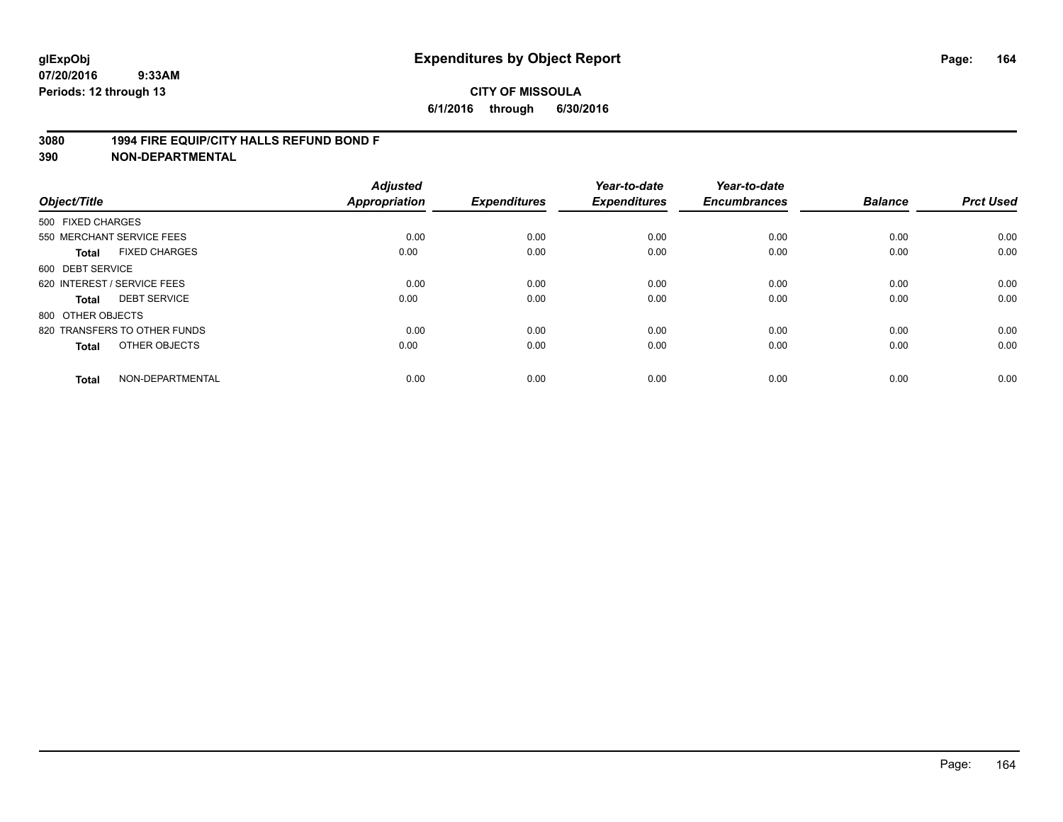#### **3080 1994 FIRE EQUIP/CITY HALLS REFUND BOND F**

| Object/Title      |                              | <b>Adjusted</b><br><b>Appropriation</b> | <b>Expenditures</b> | Year-to-date<br><b>Expenditures</b> | Year-to-date<br><b>Encumbrances</b> | <b>Balance</b> | <b>Prct Used</b> |
|-------------------|------------------------------|-----------------------------------------|---------------------|-------------------------------------|-------------------------------------|----------------|------------------|
| 500 FIXED CHARGES |                              |                                         |                     |                                     |                                     |                |                  |
|                   | 550 MERCHANT SERVICE FEES    | 0.00                                    | 0.00                | 0.00                                | 0.00                                | 0.00           | 0.00             |
| <b>Total</b>      | <b>FIXED CHARGES</b>         | 0.00                                    | 0.00                | 0.00                                | 0.00                                | 0.00           | 0.00             |
| 600 DEBT SERVICE  |                              |                                         |                     |                                     |                                     |                |                  |
|                   | 620 INTEREST / SERVICE FEES  | 0.00                                    | 0.00                | 0.00                                | 0.00                                | 0.00           | 0.00             |
| Total             | <b>DEBT SERVICE</b>          | 0.00                                    | 0.00                | 0.00                                | 0.00                                | 0.00           | 0.00             |
| 800 OTHER OBJECTS |                              |                                         |                     |                                     |                                     |                |                  |
|                   | 820 TRANSFERS TO OTHER FUNDS | 0.00                                    | 0.00                | 0.00                                | 0.00                                | 0.00           | 0.00             |
| Total             | OTHER OBJECTS                | 0.00                                    | 0.00                | 0.00                                | 0.00                                | 0.00           | 0.00             |
| <b>Total</b>      | NON-DEPARTMENTAL             | 0.00                                    | 0.00                | 0.00                                | 0.00                                | 0.00           | 0.00             |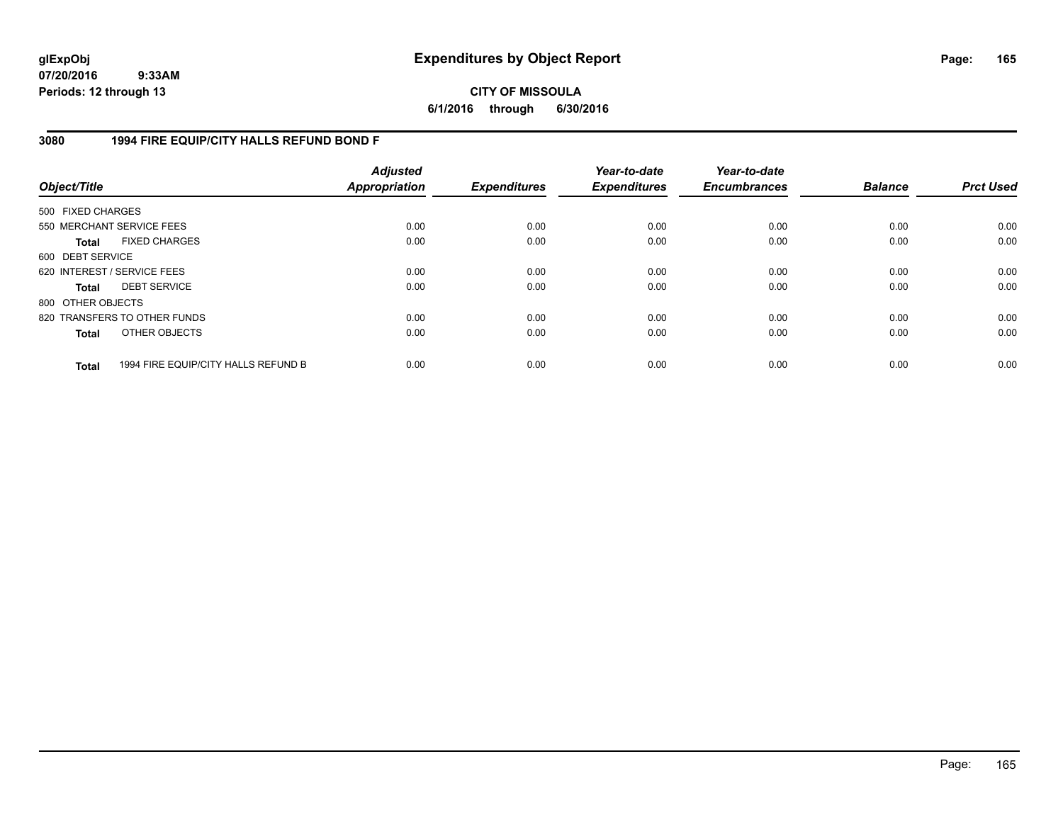**CITY OF MISSOULA 6/1/2016 through 6/30/2016**

## **3080 1994 FIRE EQUIP/CITY HALLS REFUND BOND F**

| Object/Title                |                                     | <b>Adjusted</b><br>Appropriation | <b>Expenditures</b> | Year-to-date<br><b>Expenditures</b> | Year-to-date<br><b>Encumbrances</b> | <b>Balance</b> | <b>Prct Used</b> |
|-----------------------------|-------------------------------------|----------------------------------|---------------------|-------------------------------------|-------------------------------------|----------------|------------------|
| 500 FIXED CHARGES           |                                     |                                  |                     |                                     |                                     |                |                  |
| 550 MERCHANT SERVICE FEES   |                                     | 0.00                             | 0.00                | 0.00                                | 0.00                                | 0.00           | 0.00             |
| <b>Total</b>                | <b>FIXED CHARGES</b>                | 0.00                             | 0.00                | 0.00                                | 0.00                                | 0.00           | 0.00             |
| 600 DEBT SERVICE            |                                     |                                  |                     |                                     |                                     |                |                  |
| 620 INTEREST / SERVICE FEES |                                     | 0.00                             | 0.00                | 0.00                                | 0.00                                | 0.00           | 0.00             |
| <b>Total</b>                | <b>DEBT SERVICE</b>                 | 0.00                             | 0.00                | 0.00                                | 0.00                                | 0.00           | 0.00             |
| 800 OTHER OBJECTS           |                                     |                                  |                     |                                     |                                     |                |                  |
|                             | 820 TRANSFERS TO OTHER FUNDS        | 0.00                             | 0.00                | 0.00                                | 0.00                                | 0.00           | 0.00             |
| <b>Total</b>                | OTHER OBJECTS                       | 0.00                             | 0.00                | 0.00                                | 0.00                                | 0.00           | 0.00             |
| <b>Total</b>                | 1994 FIRE EQUIP/CITY HALLS REFUND B | 0.00                             | 0.00                | 0.00                                | 0.00                                | 0.00           | 0.00             |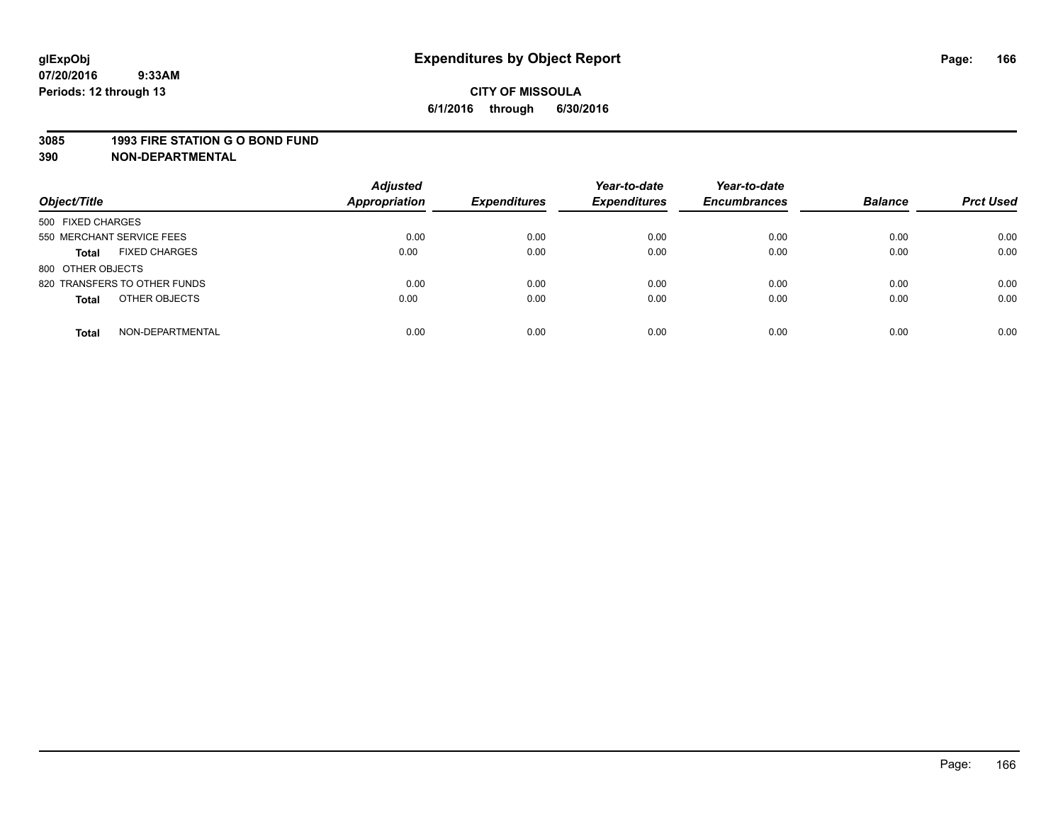#### **3085 1993 FIRE STATION G O BOND FUND**

| Object/Title                         | <b>Adjusted</b><br><b>Appropriation</b> | <b>Expenditures</b> | Year-to-date<br><b>Expenditures</b> | Year-to-date<br><b>Encumbrances</b> | <b>Balance</b> | <b>Prct Used</b> |
|--------------------------------------|-----------------------------------------|---------------------|-------------------------------------|-------------------------------------|----------------|------------------|
| 500 FIXED CHARGES                    |                                         |                     |                                     |                                     |                |                  |
| 550 MERCHANT SERVICE FEES            | 0.00                                    | 0.00                | 0.00                                | 0.00                                | 0.00           | 0.00             |
| <b>FIXED CHARGES</b><br><b>Total</b> | 0.00                                    | 0.00                | 0.00                                | 0.00                                | 0.00           | 0.00             |
| 800 OTHER OBJECTS                    |                                         |                     |                                     |                                     |                |                  |
| 820 TRANSFERS TO OTHER FUNDS         | 0.00                                    | 0.00                | 0.00                                | 0.00                                | 0.00           | 0.00             |
| OTHER OBJECTS<br><b>Total</b>        | 0.00                                    | 0.00                | 0.00                                | 0.00                                | 0.00           | 0.00             |
| NON-DEPARTMENTAL<br><b>Total</b>     | 0.00                                    | 0.00                | 0.00                                | 0.00                                | 0.00           | 0.00             |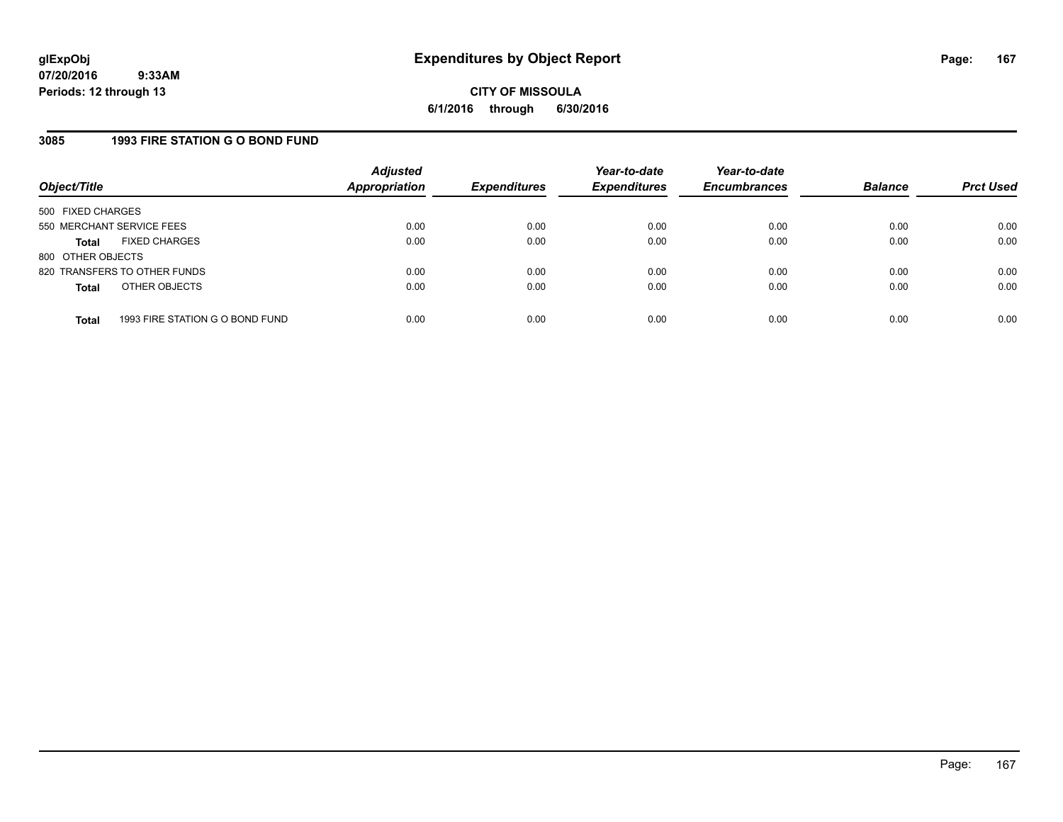## **3085 1993 FIRE STATION G O BOND FUND**

| Object/Title              |                                 | <b>Adjusted</b><br><b>Appropriation</b> | <b>Expenditures</b> | Year-to-date<br><b>Expenditures</b> | Year-to-date<br><b>Encumbrances</b> | <b>Balance</b> | <b>Prct Used</b> |
|---------------------------|---------------------------------|-----------------------------------------|---------------------|-------------------------------------|-------------------------------------|----------------|------------------|
| 500 FIXED CHARGES         |                                 |                                         |                     |                                     |                                     |                |                  |
| 550 MERCHANT SERVICE FEES |                                 | 0.00                                    | 0.00                | 0.00                                | 0.00                                | 0.00           | 0.00             |
| Total                     | <b>FIXED CHARGES</b>            | 0.00                                    | 0.00                | 0.00                                | 0.00                                | 0.00           | 0.00             |
| 800 OTHER OBJECTS         |                                 |                                         |                     |                                     |                                     |                |                  |
|                           | 820 TRANSFERS TO OTHER FUNDS    | 0.00                                    | 0.00                | 0.00                                | 0.00                                | 0.00           | 0.00             |
| <b>Total</b>              | OTHER OBJECTS                   | 0.00                                    | 0.00                | 0.00                                | 0.00                                | 0.00           | 0.00             |
|                           |                                 |                                         |                     |                                     |                                     |                |                  |
| <b>Total</b>              | 1993 FIRE STATION G O BOND FUND | 0.00                                    | 0.00                | 0.00                                | 0.00                                | 0.00           | 0.00             |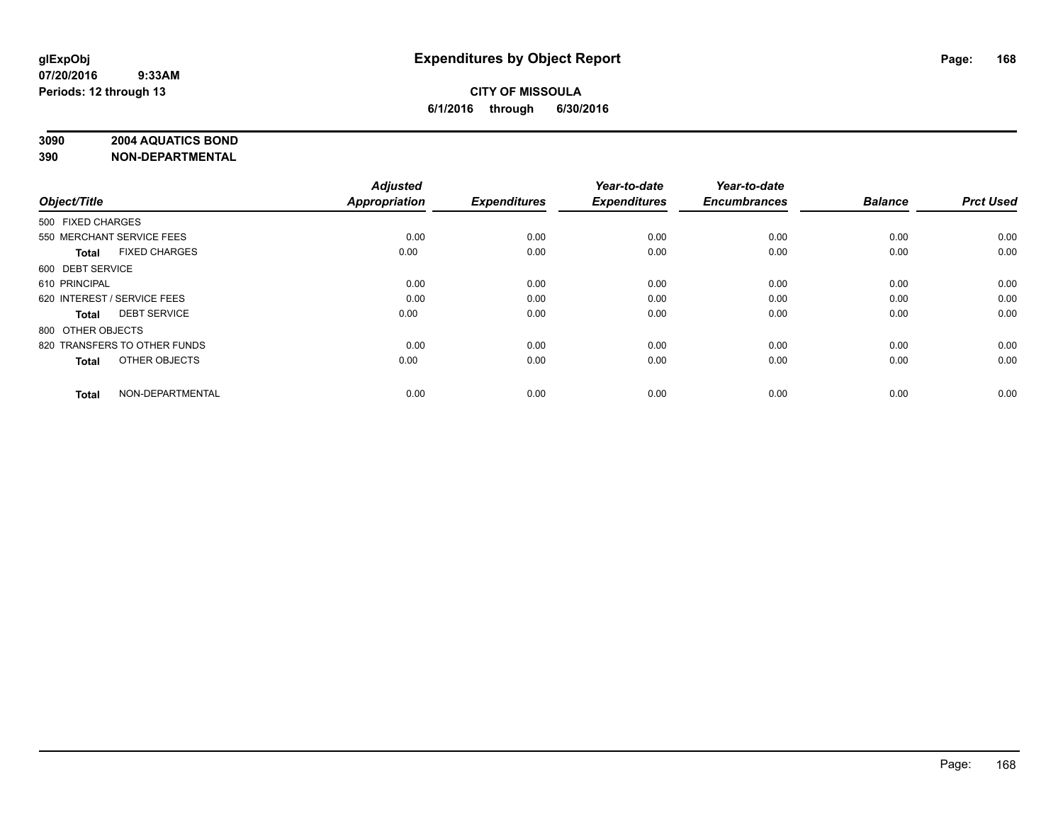#### **3090 2004 AQUATICS BOND**

| Object/Title                |                              | <b>Adjusted</b><br><b>Appropriation</b> | <b>Expenditures</b> | Year-to-date<br><b>Expenditures</b> | Year-to-date<br><b>Encumbrances</b> | <b>Balance</b> | <b>Prct Used</b> |
|-----------------------------|------------------------------|-----------------------------------------|---------------------|-------------------------------------|-------------------------------------|----------------|------------------|
|                             |                              |                                         |                     |                                     |                                     |                |                  |
| 500 FIXED CHARGES           |                              |                                         |                     |                                     |                                     |                |                  |
| 550 MERCHANT SERVICE FEES   |                              | 0.00                                    | 0.00                | 0.00                                | 0.00                                | 0.00           | 0.00             |
| <b>Total</b>                | <b>FIXED CHARGES</b>         | 0.00                                    | 0.00                | 0.00                                | 0.00                                | 0.00           | 0.00             |
| 600 DEBT SERVICE            |                              |                                         |                     |                                     |                                     |                |                  |
| 610 PRINCIPAL               |                              | 0.00                                    | 0.00                | 0.00                                | 0.00                                | 0.00           | 0.00             |
| 620 INTEREST / SERVICE FEES |                              | 0.00                                    | 0.00                | 0.00                                | 0.00                                | 0.00           | 0.00             |
| <b>Total</b>                | <b>DEBT SERVICE</b>          | 0.00                                    | 0.00                | 0.00                                | 0.00                                | 0.00           | 0.00             |
| 800 OTHER OBJECTS           |                              |                                         |                     |                                     |                                     |                |                  |
|                             | 820 TRANSFERS TO OTHER FUNDS | 0.00                                    | 0.00                | 0.00                                | 0.00                                | 0.00           | 0.00             |
| <b>Total</b>                | OTHER OBJECTS                | 0.00                                    | 0.00                | 0.00                                | 0.00                                | 0.00           | 0.00             |
|                             |                              |                                         |                     |                                     |                                     |                |                  |
| <b>Total</b>                | NON-DEPARTMENTAL             | 0.00                                    | 0.00                | 0.00                                | 0.00                                | 0.00           | 0.00             |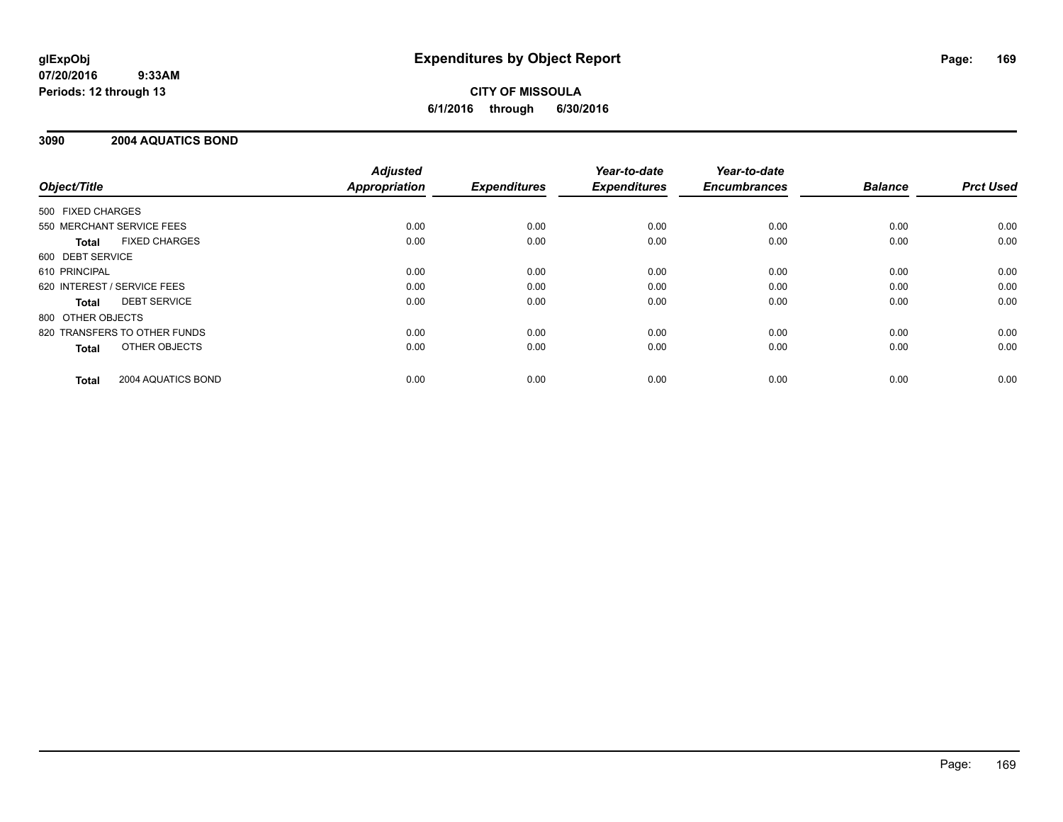# **CITY OF MISSOULA 6/1/2016 through 6/30/2016**

## **3090 2004 AQUATICS BOND**

|                              |                      | <b>Adjusted</b>      |                     | Year-to-date        | Year-to-date<br><b>Encumbrances</b> | <b>Balance</b> | <b>Prct Used</b> |
|------------------------------|----------------------|----------------------|---------------------|---------------------|-------------------------------------|----------------|------------------|
| Object/Title                 |                      | <b>Appropriation</b> | <b>Expenditures</b> | <b>Expenditures</b> |                                     |                |                  |
| 500 FIXED CHARGES            |                      |                      |                     |                     |                                     |                |                  |
| 550 MERCHANT SERVICE FEES    |                      | 0.00                 | 0.00                | 0.00                | 0.00                                | 0.00           | 0.00             |
| Total                        | <b>FIXED CHARGES</b> | 0.00                 | 0.00                | 0.00                | 0.00                                | 0.00           | 0.00             |
| 600 DEBT SERVICE             |                      |                      |                     |                     |                                     |                |                  |
| 610 PRINCIPAL                |                      | 0.00                 | 0.00                | 0.00                | 0.00                                | 0.00           | 0.00             |
| 620 INTEREST / SERVICE FEES  |                      | 0.00                 | 0.00                | 0.00                | 0.00                                | 0.00           | 0.00             |
| Total                        | <b>DEBT SERVICE</b>  | 0.00                 | 0.00                | 0.00                | 0.00                                | 0.00           | 0.00             |
| 800 OTHER OBJECTS            |                      |                      |                     |                     |                                     |                |                  |
| 820 TRANSFERS TO OTHER FUNDS |                      | 0.00                 | 0.00                | 0.00                | 0.00                                | 0.00           | 0.00             |
| <b>Total</b>                 | OTHER OBJECTS        | 0.00                 | 0.00                | 0.00                | 0.00                                | 0.00           | 0.00             |
| <b>Total</b>                 | 2004 AQUATICS BOND   | 0.00                 | 0.00                | 0.00                | 0.00                                | 0.00           | 0.00             |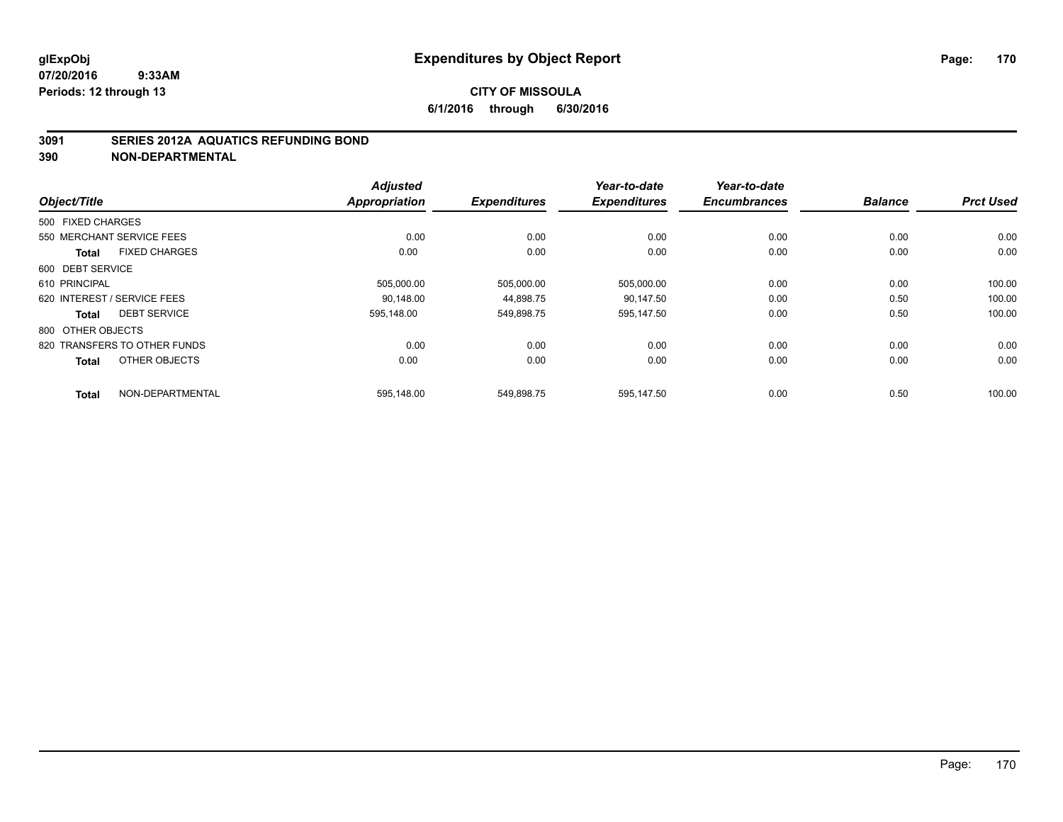#### **3091 SERIES 2012A AQUATICS REFUNDING BOND**

|                   |                              | <b>Adjusted</b>      |                     | Year-to-date        | Year-to-date        |                |                  |
|-------------------|------------------------------|----------------------|---------------------|---------------------|---------------------|----------------|------------------|
| Object/Title      |                              | <b>Appropriation</b> | <b>Expenditures</b> | <b>Expenditures</b> | <b>Encumbrances</b> | <b>Balance</b> | <b>Prct Used</b> |
| 500 FIXED CHARGES |                              |                      |                     |                     |                     |                |                  |
|                   | 550 MERCHANT SERVICE FEES    | 0.00                 | 0.00                | 0.00                | 0.00                | 0.00           | 0.00             |
| <b>Total</b>      | <b>FIXED CHARGES</b>         | 0.00                 | 0.00                | 0.00                | 0.00                | 0.00           | 0.00             |
| 600 DEBT SERVICE  |                              |                      |                     |                     |                     |                |                  |
| 610 PRINCIPAL     |                              | 505,000.00           | 505,000.00          | 505,000.00          | 0.00                | 0.00           | 100.00           |
|                   | 620 INTEREST / SERVICE FEES  | 90.148.00            | 44.898.75           | 90.147.50           | 0.00                | 0.50           | 100.00           |
| Total             | <b>DEBT SERVICE</b>          | 595.148.00           | 549,898.75          | 595,147.50          | 0.00                | 0.50           | 100.00           |
| 800 OTHER OBJECTS |                              |                      |                     |                     |                     |                |                  |
|                   | 820 TRANSFERS TO OTHER FUNDS | 0.00                 | 0.00                | 0.00                | 0.00                | 0.00           | 0.00             |
| <b>Total</b>      | OTHER OBJECTS                | 0.00                 | 0.00                | 0.00                | 0.00                | 0.00           | 0.00             |
| <b>Total</b>      | NON-DEPARTMENTAL             | 595.148.00           | 549.898.75          | 595.147.50          | 0.00                | 0.50           | 100.00           |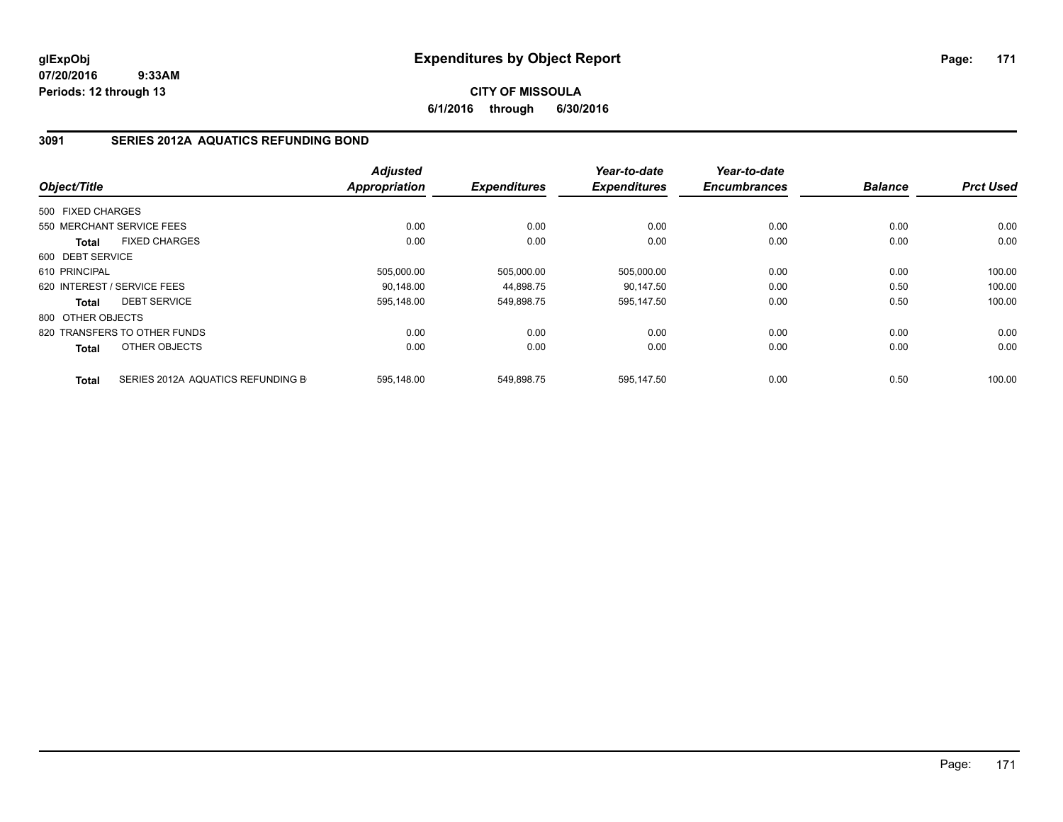## **CITY OF MISSOULA 6/1/2016 through 6/30/2016**

# **3091 SERIES 2012A AQUATICS REFUNDING BOND**

|                   |                                   | <b>Adjusted</b> |                     | Year-to-date        | Year-to-date        |                |                  |
|-------------------|-----------------------------------|-----------------|---------------------|---------------------|---------------------|----------------|------------------|
| Object/Title      |                                   | Appropriation   | <b>Expenditures</b> | <b>Expenditures</b> | <b>Encumbrances</b> | <b>Balance</b> | <b>Prct Used</b> |
| 500 FIXED CHARGES |                                   |                 |                     |                     |                     |                |                  |
|                   | 550 MERCHANT SERVICE FEES         | 0.00            | 0.00                | 0.00                | 0.00                | 0.00           | 0.00             |
| <b>Total</b>      | <b>FIXED CHARGES</b>              | 0.00            | 0.00                | 0.00                | 0.00                | 0.00           | 0.00             |
| 600 DEBT SERVICE  |                                   |                 |                     |                     |                     |                |                  |
| 610 PRINCIPAL     |                                   | 505,000.00      | 505,000.00          | 505,000.00          | 0.00                | 0.00           | 100.00           |
|                   | 620 INTEREST / SERVICE FEES       | 90.148.00       | 44,898.75           | 90.147.50           | 0.00                | 0.50           | 100.00           |
| <b>Total</b>      | <b>DEBT SERVICE</b>               | 595,148.00      | 549,898.75          | 595,147.50          | 0.00                | 0.50           | 100.00           |
| 800 OTHER OBJECTS |                                   |                 |                     |                     |                     |                |                  |
|                   | 820 TRANSFERS TO OTHER FUNDS      | 0.00            | 0.00                | 0.00                | 0.00                | 0.00           | 0.00             |
| <b>Total</b>      | OTHER OBJECTS                     | 0.00            | 0.00                | 0.00                | 0.00                | 0.00           | 0.00             |
| <b>Total</b>      | SERIES 2012A AQUATICS REFUNDING B | 595.148.00      | 549.898.75          | 595.147.50          | 0.00                | 0.50           | 100.00           |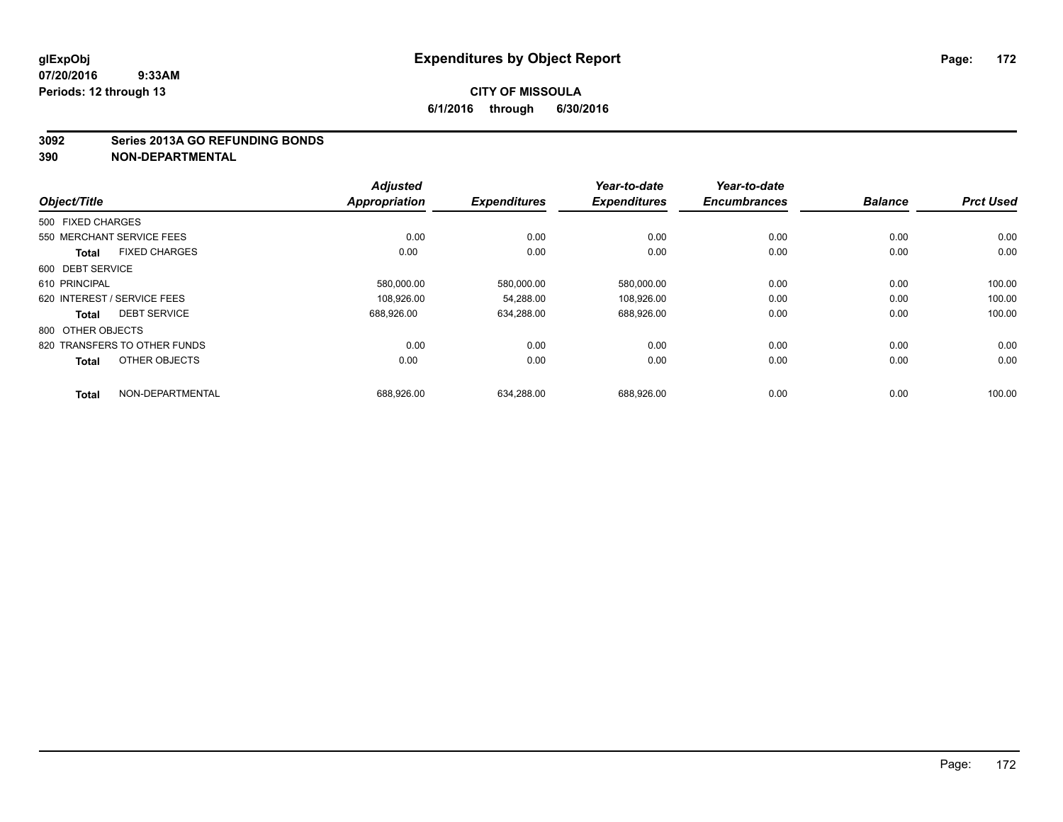#### **3092 Series 2013A GO REFUNDING BONDS**

|                                      | <b>Adjusted</b>      |                     | Year-to-date        | Year-to-date        |                |                  |
|--------------------------------------|----------------------|---------------------|---------------------|---------------------|----------------|------------------|
| Object/Title                         | <b>Appropriation</b> | <b>Expenditures</b> | <b>Expenditures</b> | <b>Encumbrances</b> | <b>Balance</b> | <b>Prct Used</b> |
| 500 FIXED CHARGES                    |                      |                     |                     |                     |                |                  |
| 550 MERCHANT SERVICE FEES            | 0.00                 | 0.00                | 0.00                | 0.00                | 0.00           | 0.00             |
| <b>FIXED CHARGES</b><br><b>Total</b> | 0.00                 | 0.00                | 0.00                | 0.00                | 0.00           | 0.00             |
| 600 DEBT SERVICE                     |                      |                     |                     |                     |                |                  |
| 610 PRINCIPAL                        | 580,000.00           | 580,000.00          | 580,000.00          | 0.00                | 0.00           | 100.00           |
| 620 INTEREST / SERVICE FEES          | 108.926.00           | 54.288.00           | 108.926.00          | 0.00                | 0.00           | 100.00           |
| <b>DEBT SERVICE</b><br><b>Total</b>  | 688.926.00           | 634.288.00          | 688,926.00          | 0.00                | 0.00           | 100.00           |
| 800 OTHER OBJECTS                    |                      |                     |                     |                     |                |                  |
| 820 TRANSFERS TO OTHER FUNDS         | 0.00                 | 0.00                | 0.00                | 0.00                | 0.00           | 0.00             |
| OTHER OBJECTS<br><b>Total</b>        | 0.00                 | 0.00                | 0.00                | 0.00                | 0.00           | 0.00             |
| NON-DEPARTMENTAL<br><b>Total</b>     | 688.926.00           | 634.288.00          | 688.926.00          | 0.00                | 0.00           | 100.00           |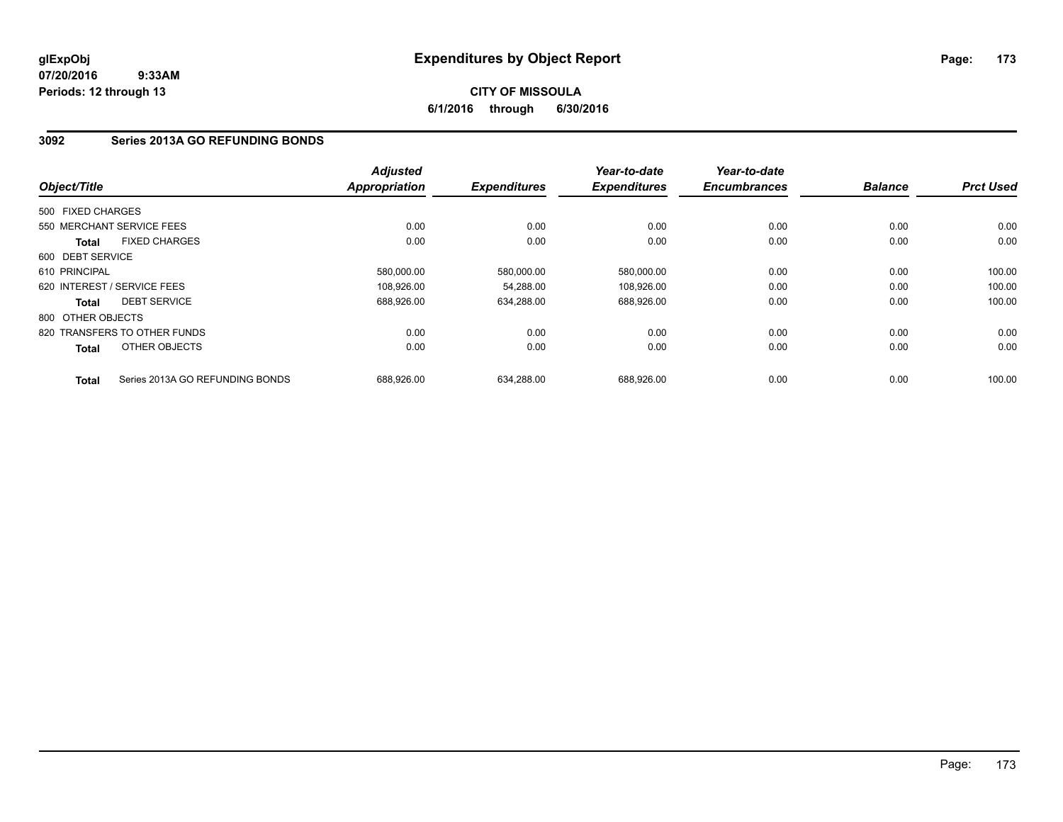## **CITY OF MISSOULA 6/1/2016 through 6/30/2016**

## **3092 Series 2013A GO REFUNDING BONDS**

|                   |                                 | <b>Adjusted</b> |                     | Year-to-date        | Year-to-date        |                |                  |
|-------------------|---------------------------------|-----------------|---------------------|---------------------|---------------------|----------------|------------------|
| Object/Title      |                                 | Appropriation   | <b>Expenditures</b> | <b>Expenditures</b> | <b>Encumbrances</b> | <b>Balance</b> | <b>Prct Used</b> |
| 500 FIXED CHARGES |                                 |                 |                     |                     |                     |                |                  |
|                   | 550 MERCHANT SERVICE FEES       | 0.00            | 0.00                | 0.00                | 0.00                | 0.00           | 0.00             |
| Total             | <b>FIXED CHARGES</b>            | 0.00            | 0.00                | 0.00                | 0.00                | 0.00           | 0.00             |
| 600 DEBT SERVICE  |                                 |                 |                     |                     |                     |                |                  |
| 610 PRINCIPAL     |                                 | 580,000.00      | 580,000.00          | 580,000.00          | 0.00                | 0.00           | 100.00           |
|                   | 620 INTEREST / SERVICE FEES     | 108,926.00      | 54,288.00           | 108,926.00          | 0.00                | 0.00           | 100.00           |
| <b>Total</b>      | <b>DEBT SERVICE</b>             | 688.926.00      | 634,288.00          | 688,926.00          | 0.00                | 0.00           | 100.00           |
| 800 OTHER OBJECTS |                                 |                 |                     |                     |                     |                |                  |
|                   | 820 TRANSFERS TO OTHER FUNDS    | 0.00            | 0.00                | 0.00                | 0.00                | 0.00           | 0.00             |
| <b>Total</b>      | OTHER OBJECTS                   | 0.00            | 0.00                | 0.00                | 0.00                | 0.00           | 0.00             |
| <b>Total</b>      | Series 2013A GO REFUNDING BONDS | 688.926.00      | 634.288.00          | 688.926.00          | 0.00                | 0.00           | 100.00           |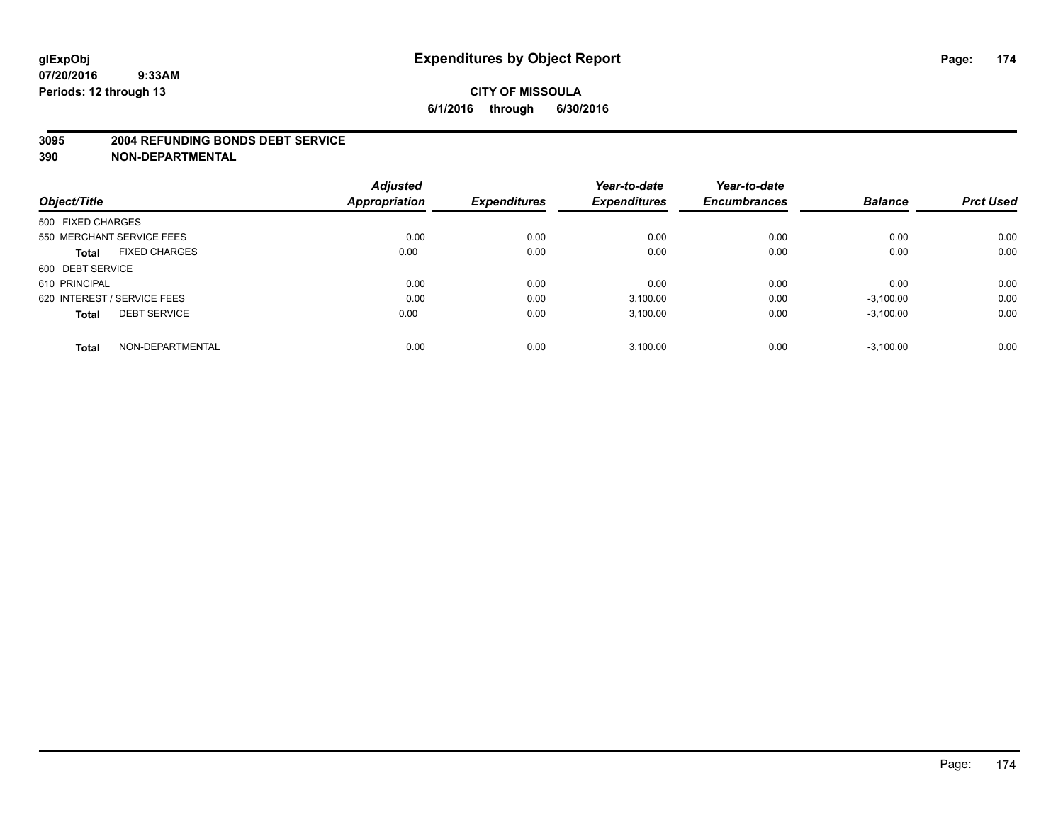#### **3095 2004 REFUNDING BONDS DEBT SERVICE**

|                                      | <b>Adjusted</b> |                     | Year-to-date        | Year-to-date<br><b>Encumbrances</b> | <b>Balance</b> | <b>Prct Used</b> |
|--------------------------------------|-----------------|---------------------|---------------------|-------------------------------------|----------------|------------------|
| Object/Title                         | Appropriation   | <b>Expenditures</b> | <b>Expenditures</b> |                                     |                |                  |
| 500 FIXED CHARGES                    |                 |                     |                     |                                     |                |                  |
| 550 MERCHANT SERVICE FEES            | 0.00            | 0.00                | 0.00                | 0.00                                | 0.00           | 0.00             |
| <b>FIXED CHARGES</b><br><b>Total</b> | 0.00            | 0.00                | 0.00                | 0.00                                | 0.00           | 0.00             |
| 600 DEBT SERVICE                     |                 |                     |                     |                                     |                |                  |
| 610 PRINCIPAL                        | 0.00            | 0.00                | 0.00                | 0.00                                | 0.00           | 0.00             |
| 620 INTEREST / SERVICE FEES          | 0.00            | 0.00                | 3,100.00            | 0.00                                | $-3,100.00$    | 0.00             |
| <b>DEBT SERVICE</b><br><b>Total</b>  | 0.00            | 0.00                | 3,100.00            | 0.00                                | $-3,100.00$    | 0.00             |
| NON-DEPARTMENTAL<br><b>Total</b>     | 0.00            | 0.00                | 3,100.00            | 0.00                                | $-3,100.00$    | 0.00             |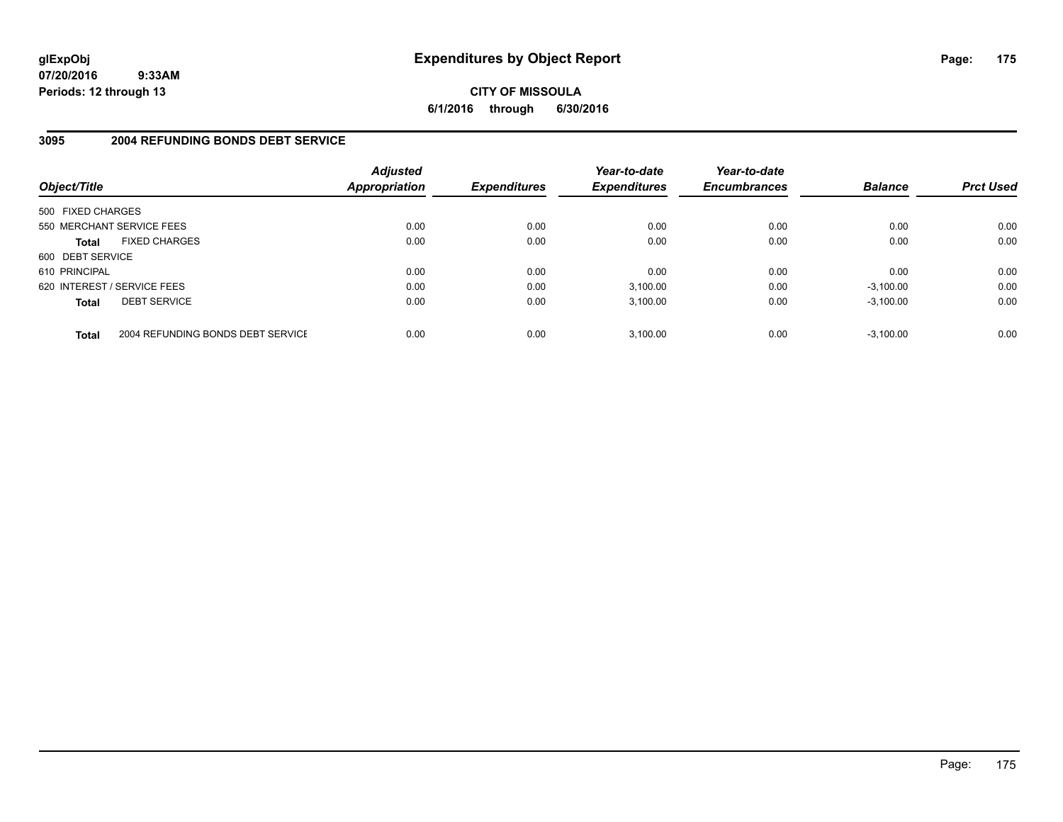**CITY OF MISSOULA 6/1/2016 through 6/30/2016**

## **3095 2004 REFUNDING BONDS DEBT SERVICE**

| Object/Title                |                                   | <b>Adjusted</b><br>Appropriation | <b>Expenditures</b> | Year-to-date<br><b>Expenditures</b> | Year-to-date<br><b>Encumbrances</b> | <b>Balance</b> | <b>Prct Used</b> |
|-----------------------------|-----------------------------------|----------------------------------|---------------------|-------------------------------------|-------------------------------------|----------------|------------------|
| 500 FIXED CHARGES           |                                   |                                  |                     |                                     |                                     |                |                  |
| 550 MERCHANT SERVICE FEES   |                                   | 0.00                             | 0.00                | 0.00                                | 0.00                                | 0.00           | 0.00             |
| <b>Total</b>                | <b>FIXED CHARGES</b>              | 0.00                             | 0.00                | 0.00                                | 0.00                                | 0.00           | 0.00             |
| 600 DEBT SERVICE            |                                   |                                  |                     |                                     |                                     |                |                  |
| 610 PRINCIPAL               |                                   | 0.00                             | 0.00                | 0.00                                | 0.00                                | 0.00           | 0.00             |
| 620 INTEREST / SERVICE FEES |                                   | 0.00                             | 0.00                | 3,100.00                            | 0.00                                | $-3,100.00$    | 0.00             |
| <b>Total</b>                | <b>DEBT SERVICE</b>               | 0.00                             | 0.00                | 3.100.00                            | 0.00                                | $-3.100.00$    | 0.00             |
| <b>Total</b>                | 2004 REFUNDING BONDS DEBT SERVICE | 0.00                             | 0.00                | 3.100.00                            | 0.00                                | $-3.100.00$    | 0.00             |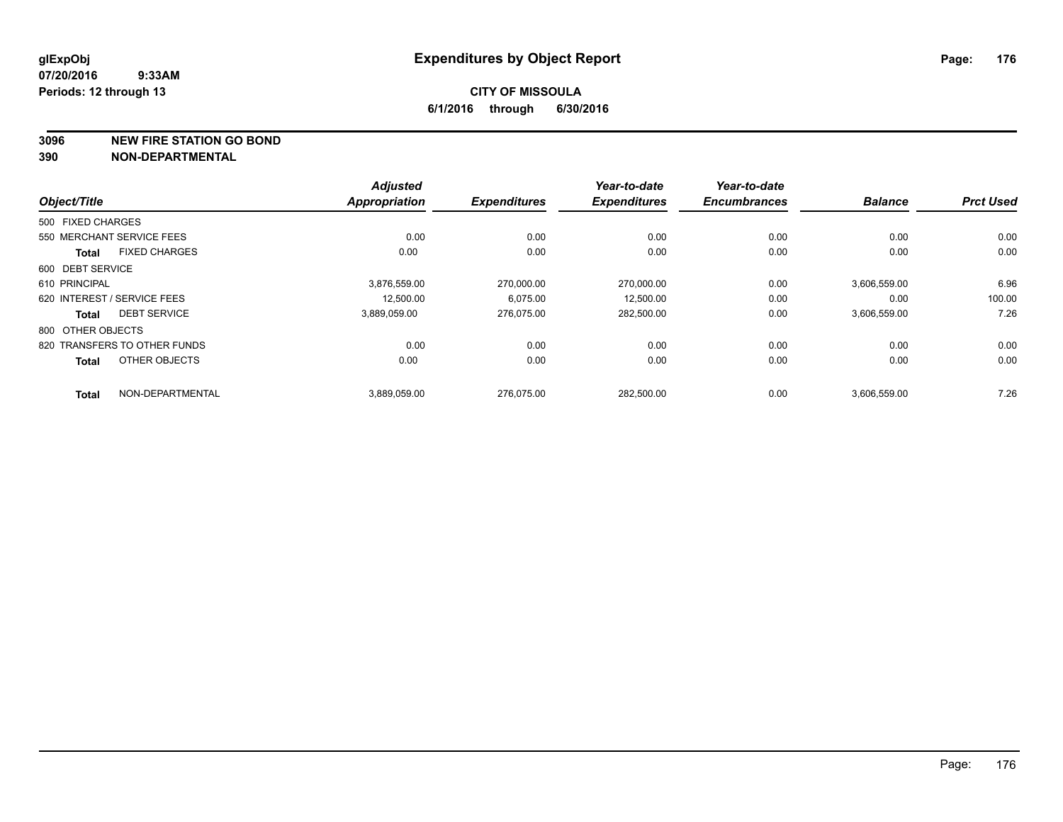**3096 NEW FIRE STATION GO BOND**

| Object/Title                         | <b>Adjusted</b><br><b>Appropriation</b> | <b>Expenditures</b> | Year-to-date<br><b>Expenditures</b> | Year-to-date<br><b>Encumbrances</b> | <b>Balance</b> | <b>Prct Used</b> |
|--------------------------------------|-----------------------------------------|---------------------|-------------------------------------|-------------------------------------|----------------|------------------|
|                                      |                                         |                     |                                     |                                     |                |                  |
| 500 FIXED CHARGES                    |                                         |                     |                                     |                                     |                |                  |
| 550 MERCHANT SERVICE FEES            | 0.00                                    | 0.00                | 0.00                                | 0.00                                | 0.00           | 0.00             |
| <b>FIXED CHARGES</b><br><b>Total</b> | 0.00                                    | 0.00                | 0.00                                | 0.00                                | 0.00           | 0.00             |
| 600 DEBT SERVICE                     |                                         |                     |                                     |                                     |                |                  |
| 610 PRINCIPAL                        | 3,876,559.00                            | 270,000.00          | 270,000.00                          | 0.00                                | 3,606,559.00   | 6.96             |
| 620 INTEREST / SERVICE FEES          | 12.500.00                               | 6.075.00            | 12.500.00                           | 0.00                                | 0.00           | 100.00           |
| <b>DEBT SERVICE</b><br><b>Total</b>  | 3,889,059.00                            | 276.075.00          | 282,500.00                          | 0.00                                | 3,606,559.00   | 7.26             |
| 800 OTHER OBJECTS                    |                                         |                     |                                     |                                     |                |                  |
| 820 TRANSFERS TO OTHER FUNDS         | 0.00                                    | 0.00                | 0.00                                | 0.00                                | 0.00           | 0.00             |
| OTHER OBJECTS<br><b>Total</b>        | 0.00                                    | 0.00                | 0.00                                | 0.00                                | 0.00           | 0.00             |
| NON-DEPARTMENTAL<br><b>Total</b>     | 3,889,059.00                            | 276.075.00          | 282,500.00                          | 0.00                                | 3,606,559.00   | 7.26             |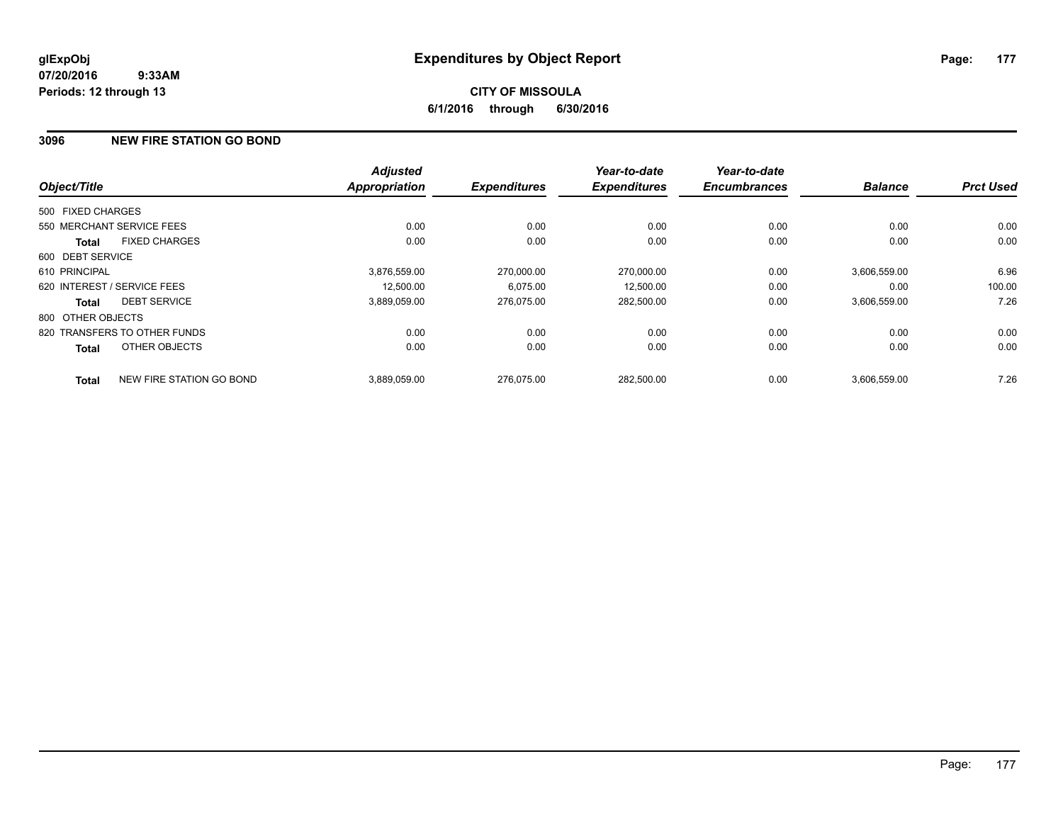## **3096 NEW FIRE STATION GO BOND**

|                   |                              | <b>Adjusted</b>      |                     | Year-to-date<br><b>Expenditures</b> | Year-to-date<br><b>Encumbrances</b> | <b>Balance</b> | <b>Prct Used</b> |
|-------------------|------------------------------|----------------------|---------------------|-------------------------------------|-------------------------------------|----------------|------------------|
| Object/Title      |                              | <b>Appropriation</b> | <b>Expenditures</b> |                                     |                                     |                |                  |
| 500 FIXED CHARGES |                              |                      |                     |                                     |                                     |                |                  |
|                   | 550 MERCHANT SERVICE FEES    | 0.00                 | 0.00                | 0.00                                | 0.00                                | 0.00           | 0.00             |
| <b>Total</b>      | <b>FIXED CHARGES</b>         | 0.00                 | 0.00                | 0.00                                | 0.00                                | 0.00           | 0.00             |
| 600 DEBT SERVICE  |                              |                      |                     |                                     |                                     |                |                  |
| 610 PRINCIPAL     |                              | 3,876,559.00         | 270.000.00          | 270,000.00                          | 0.00                                | 3,606,559.00   | 6.96             |
|                   | 620 INTEREST / SERVICE FEES  | 12.500.00            | 6,075.00            | 12,500.00                           | 0.00                                | 0.00           | 100.00           |
| <b>Total</b>      | <b>DEBT SERVICE</b>          | 3,889,059.00         | 276.075.00          | 282,500.00                          | 0.00                                | 3,606,559.00   | 7.26             |
| 800 OTHER OBJECTS |                              |                      |                     |                                     |                                     |                |                  |
|                   | 820 TRANSFERS TO OTHER FUNDS | 0.00                 | 0.00                | 0.00                                | 0.00                                | 0.00           | 0.00             |
| <b>Total</b>      | OTHER OBJECTS                | 0.00                 | 0.00                | 0.00                                | 0.00                                | 0.00           | 0.00             |
| <b>Total</b>      | NEW FIRE STATION GO BOND     | 3.889.059.00         | 276.075.00          | 282.500.00                          | 0.00                                | 3.606.559.00   | 7.26             |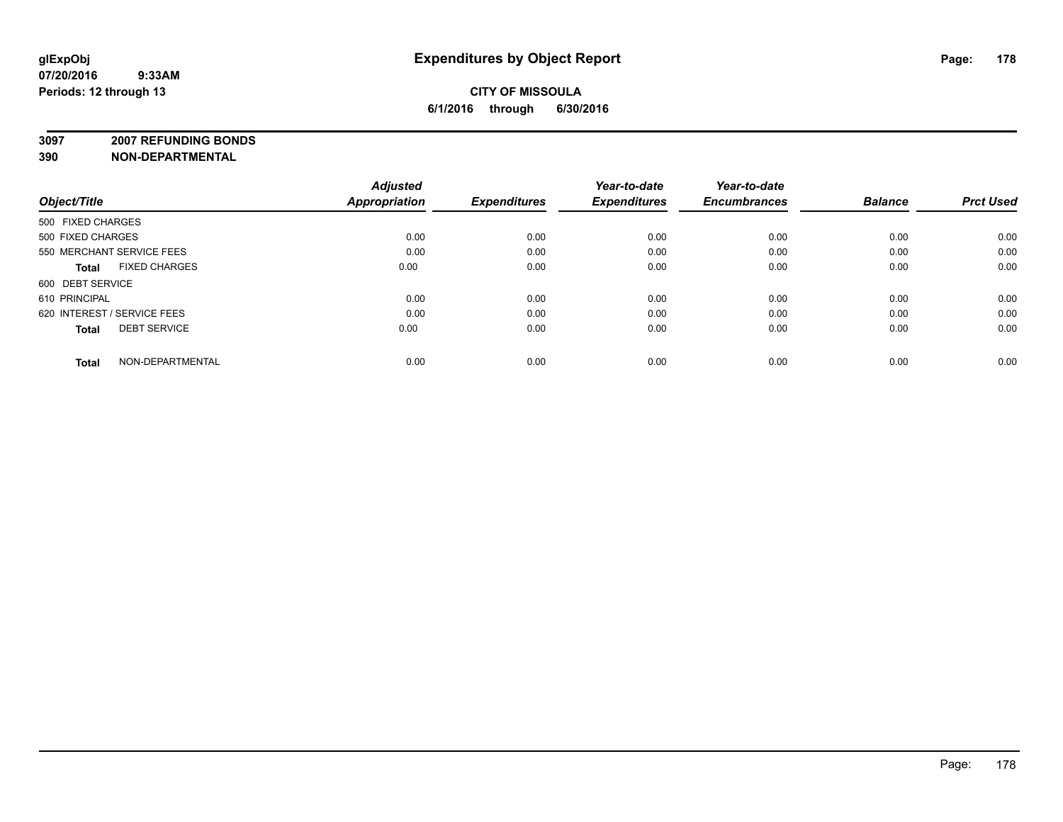**3097 2007 REFUNDING BONDS**

| Object/Title                         | <b>Adjusted</b><br>Appropriation | <b>Expenditures</b> | Year-to-date<br><b>Expenditures</b> | Year-to-date<br><b>Encumbrances</b> | <b>Balance</b> | <b>Prct Used</b> |
|--------------------------------------|----------------------------------|---------------------|-------------------------------------|-------------------------------------|----------------|------------------|
| 500 FIXED CHARGES                    |                                  |                     |                                     |                                     |                |                  |
| 500 FIXED CHARGES                    | 0.00                             | 0.00                | 0.00                                | 0.00                                | 0.00           | 0.00             |
| 550 MERCHANT SERVICE FEES            | 0.00                             | 0.00                | 0.00                                | 0.00                                | 0.00           | 0.00             |
| <b>FIXED CHARGES</b><br><b>Total</b> | 0.00                             | 0.00                | 0.00                                | 0.00                                | 0.00           | 0.00             |
| 600 DEBT SERVICE                     |                                  |                     |                                     |                                     |                |                  |
| 610 PRINCIPAL                        | 0.00                             | 0.00                | 0.00                                | 0.00                                | 0.00           | 0.00             |
| 620 INTEREST / SERVICE FEES          | 0.00                             | 0.00                | 0.00                                | 0.00                                | 0.00           | 0.00             |
| <b>DEBT SERVICE</b><br><b>Total</b>  | 0.00                             | 0.00                | 0.00                                | 0.00                                | 0.00           | 0.00             |
| NON-DEPARTMENTAL<br><b>Total</b>     | 0.00                             | 0.00                | 0.00                                | 0.00                                | 0.00           | 0.00             |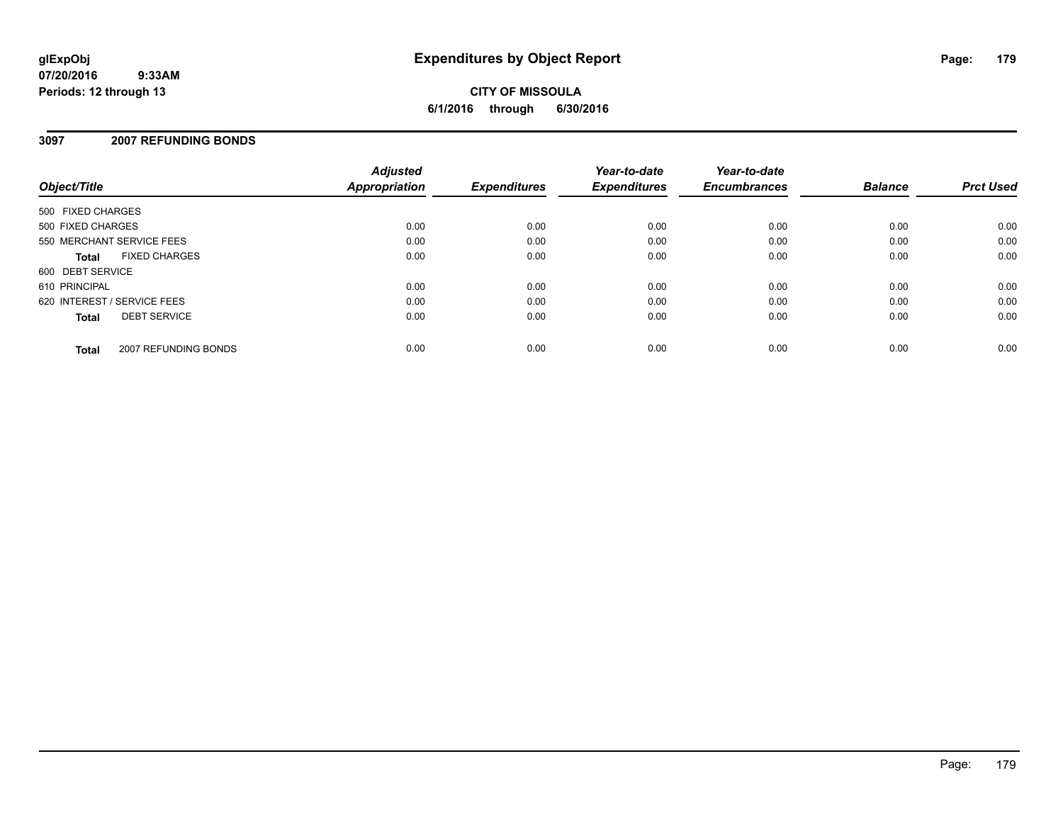# **CITY OF MISSOULA 6/1/2016 through 6/30/2016**

## **3097 2007 REFUNDING BONDS**

| Object/Title                |                      | <b>Adjusted</b><br><b>Appropriation</b> | <b>Expenditures</b> | Year-to-date<br><b>Expenditures</b> | Year-to-date<br><b>Encumbrances</b> | <b>Balance</b> | <b>Prct Used</b> |
|-----------------------------|----------------------|-----------------------------------------|---------------------|-------------------------------------|-------------------------------------|----------------|------------------|
| 500 FIXED CHARGES           |                      |                                         |                     |                                     |                                     |                |                  |
| 500 FIXED CHARGES           |                      | 0.00                                    | 0.00                | 0.00                                | 0.00                                | 0.00           | 0.00             |
| 550 MERCHANT SERVICE FEES   |                      | 0.00                                    | 0.00                | 0.00                                | 0.00                                | 0.00           | 0.00             |
| <b>Total</b>                | <b>FIXED CHARGES</b> | 0.00                                    | 0.00                | 0.00                                | 0.00                                | 0.00           | 0.00             |
| 600 DEBT SERVICE            |                      |                                         |                     |                                     |                                     |                |                  |
| 610 PRINCIPAL               |                      | 0.00                                    | 0.00                | 0.00                                | 0.00                                | 0.00           | 0.00             |
| 620 INTEREST / SERVICE FEES |                      | 0.00                                    | 0.00                | 0.00                                | 0.00                                | 0.00           | 0.00             |
| <b>Total</b>                | <b>DEBT SERVICE</b>  | 0.00                                    | 0.00                | 0.00                                | 0.00                                | 0.00           | 0.00             |
| <b>Total</b>                | 2007 REFUNDING BONDS | 0.00                                    | 0.00                | 0.00                                | 0.00                                | 0.00           | 0.00             |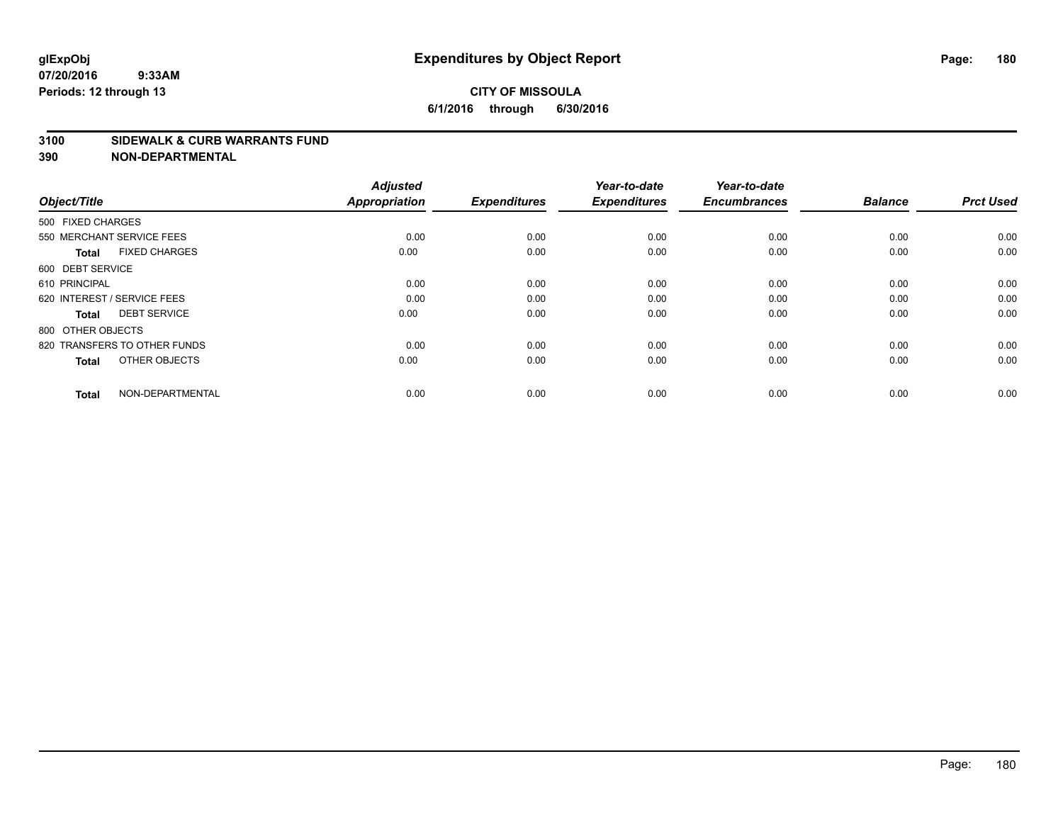### **CITY OF MISSOULA 6/1/2016 through 6/30/2016**

#### **3100 SIDEWALK & CURB WARRANTS FUND**

| Object/Title                         | <b>Adjusted</b><br><b>Appropriation</b> | <b>Expenditures</b> | Year-to-date<br><b>Expenditures</b> | Year-to-date<br><b>Encumbrances</b> | <b>Balance</b> | <b>Prct Used</b> |
|--------------------------------------|-----------------------------------------|---------------------|-------------------------------------|-------------------------------------|----------------|------------------|
| 500 FIXED CHARGES                    |                                         |                     |                                     |                                     |                |                  |
| 550 MERCHANT SERVICE FEES            | 0.00                                    | 0.00                | 0.00                                | 0.00                                | 0.00           | 0.00             |
| <b>FIXED CHARGES</b><br><b>Total</b> | 0.00                                    | 0.00                | 0.00                                | 0.00                                | 0.00           | 0.00             |
| 600 DEBT SERVICE                     |                                         |                     |                                     |                                     |                |                  |
| 610 PRINCIPAL                        | 0.00                                    | 0.00                | 0.00                                | 0.00                                | 0.00           | 0.00             |
| 620 INTEREST / SERVICE FEES          | 0.00                                    | 0.00                | 0.00                                | 0.00                                | 0.00           | 0.00             |
| <b>DEBT SERVICE</b><br><b>Total</b>  | 0.00                                    | 0.00                | 0.00                                | 0.00                                | 0.00           | 0.00             |
| 800 OTHER OBJECTS                    |                                         |                     |                                     |                                     |                |                  |
| 820 TRANSFERS TO OTHER FUNDS         | 0.00                                    | 0.00                | 0.00                                | 0.00                                | 0.00           | 0.00             |
| OTHER OBJECTS<br><b>Total</b>        | 0.00                                    | 0.00                | 0.00                                | 0.00                                | 0.00           | 0.00             |
|                                      |                                         |                     |                                     |                                     |                |                  |
| NON-DEPARTMENTAL<br><b>Total</b>     | 0.00                                    | 0.00                | 0.00                                | 0.00                                | 0.00           | 0.00             |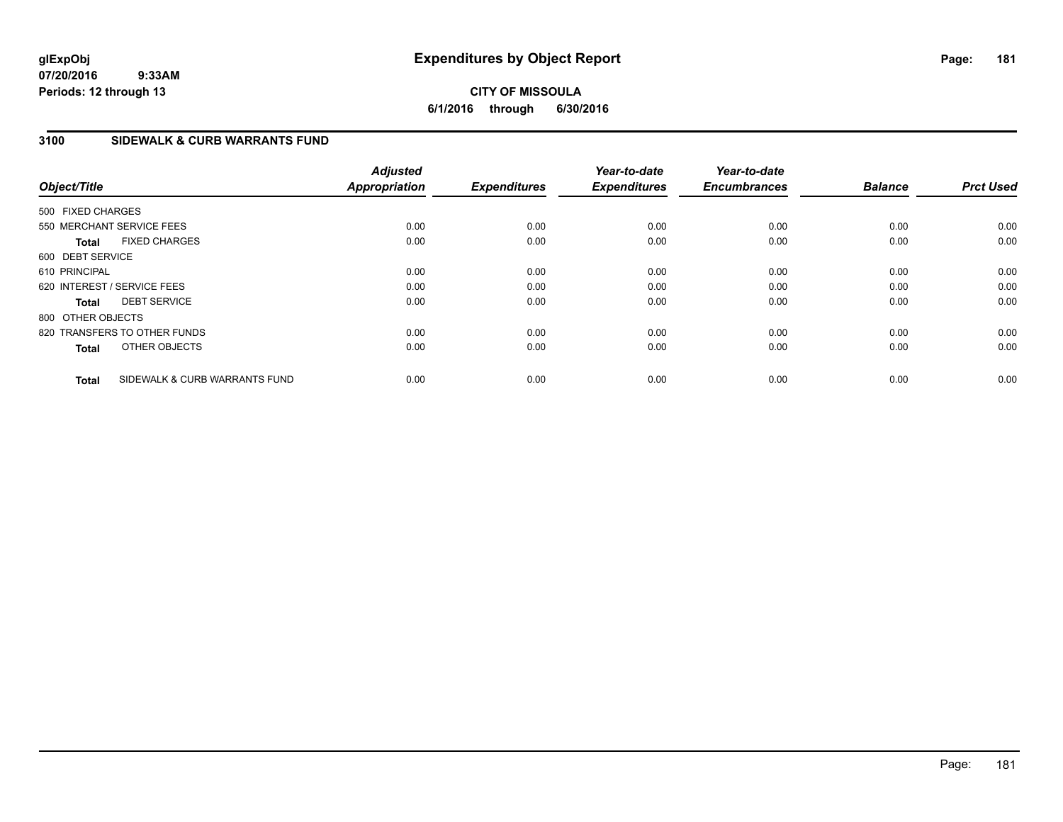## **CITY OF MISSOULA 6/1/2016 through 6/30/2016**

## **3100 SIDEWALK & CURB WARRANTS FUND**

| Object/Title      |                               | <b>Adjusted</b><br><b>Appropriation</b> | <b>Expenditures</b> | Year-to-date<br><b>Expenditures</b> | Year-to-date<br><b>Encumbrances</b> | <b>Balance</b> | <b>Prct Used</b> |
|-------------------|-------------------------------|-----------------------------------------|---------------------|-------------------------------------|-------------------------------------|----------------|------------------|
| 500 FIXED CHARGES |                               |                                         |                     |                                     |                                     |                |                  |
|                   | 550 MERCHANT SERVICE FEES     | 0.00                                    | 0.00                | 0.00                                | 0.00                                | 0.00           | 0.00             |
| <b>Total</b>      | <b>FIXED CHARGES</b>          | 0.00                                    | 0.00                | 0.00                                | 0.00                                | 0.00           | 0.00             |
| 600 DEBT SERVICE  |                               |                                         |                     |                                     |                                     |                |                  |
| 610 PRINCIPAL     |                               | 0.00                                    | 0.00                | 0.00                                | 0.00                                | 0.00           | 0.00             |
|                   | 620 INTEREST / SERVICE FEES   | 0.00                                    | 0.00                | 0.00                                | 0.00                                | 0.00           | 0.00             |
| <b>Total</b>      | <b>DEBT SERVICE</b>           | 0.00                                    | 0.00                | 0.00                                | 0.00                                | 0.00           | 0.00             |
| 800 OTHER OBJECTS |                               |                                         |                     |                                     |                                     |                |                  |
|                   | 820 TRANSFERS TO OTHER FUNDS  | 0.00                                    | 0.00                | 0.00                                | 0.00                                | 0.00           | 0.00             |
| <b>Total</b>      | OTHER OBJECTS                 | 0.00                                    | 0.00                | 0.00                                | 0.00                                | 0.00           | 0.00             |
| <b>Total</b>      | SIDEWALK & CURB WARRANTS FUND | 0.00                                    | 0.00                | 0.00                                | 0.00                                | 0.00           | 0.00             |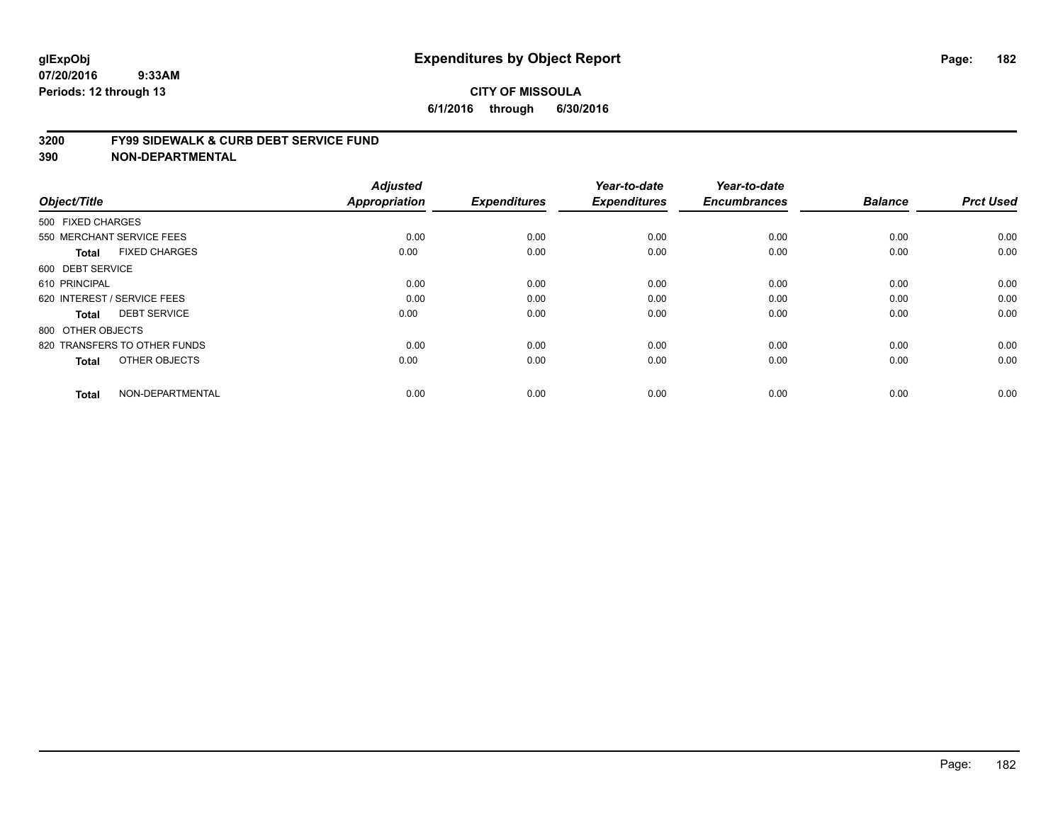#### **3200 FY99 SIDEWALK & CURB DEBT SERVICE FUND**

| Object/Title                         | <b>Adjusted</b><br>Appropriation | <b>Expenditures</b> | Year-to-date<br><b>Expenditures</b> | Year-to-date<br><b>Encumbrances</b> | <b>Balance</b> | <b>Prct Used</b> |
|--------------------------------------|----------------------------------|---------------------|-------------------------------------|-------------------------------------|----------------|------------------|
| 500 FIXED CHARGES                    |                                  |                     |                                     |                                     |                |                  |
|                                      |                                  |                     |                                     |                                     |                |                  |
| 550 MERCHANT SERVICE FEES            | 0.00                             | 0.00                | 0.00                                | 0.00                                | 0.00           | 0.00             |
| <b>FIXED CHARGES</b><br><b>Total</b> | 0.00                             | 0.00                | 0.00                                | 0.00                                | 0.00           | 0.00             |
| 600 DEBT SERVICE                     |                                  |                     |                                     |                                     |                |                  |
| 610 PRINCIPAL                        | 0.00                             | 0.00                | 0.00                                | 0.00                                | 0.00           | 0.00             |
| 620 INTEREST / SERVICE FEES          | 0.00                             | 0.00                | 0.00                                | 0.00                                | 0.00           | 0.00             |
| <b>DEBT SERVICE</b><br><b>Total</b>  | 0.00                             | 0.00                | 0.00                                | 0.00                                | 0.00           | 0.00             |
| 800 OTHER OBJECTS                    |                                  |                     |                                     |                                     |                |                  |
| 820 TRANSFERS TO OTHER FUNDS         | 0.00                             | 0.00                | 0.00                                | 0.00                                | 0.00           | 0.00             |
| OTHER OBJECTS<br><b>Total</b>        | 0.00                             | 0.00                | 0.00                                | 0.00                                | 0.00           | 0.00             |
|                                      |                                  |                     |                                     |                                     |                |                  |
| NON-DEPARTMENTAL<br><b>Total</b>     | 0.00                             | 0.00                | 0.00                                | 0.00                                | 0.00           | 0.00             |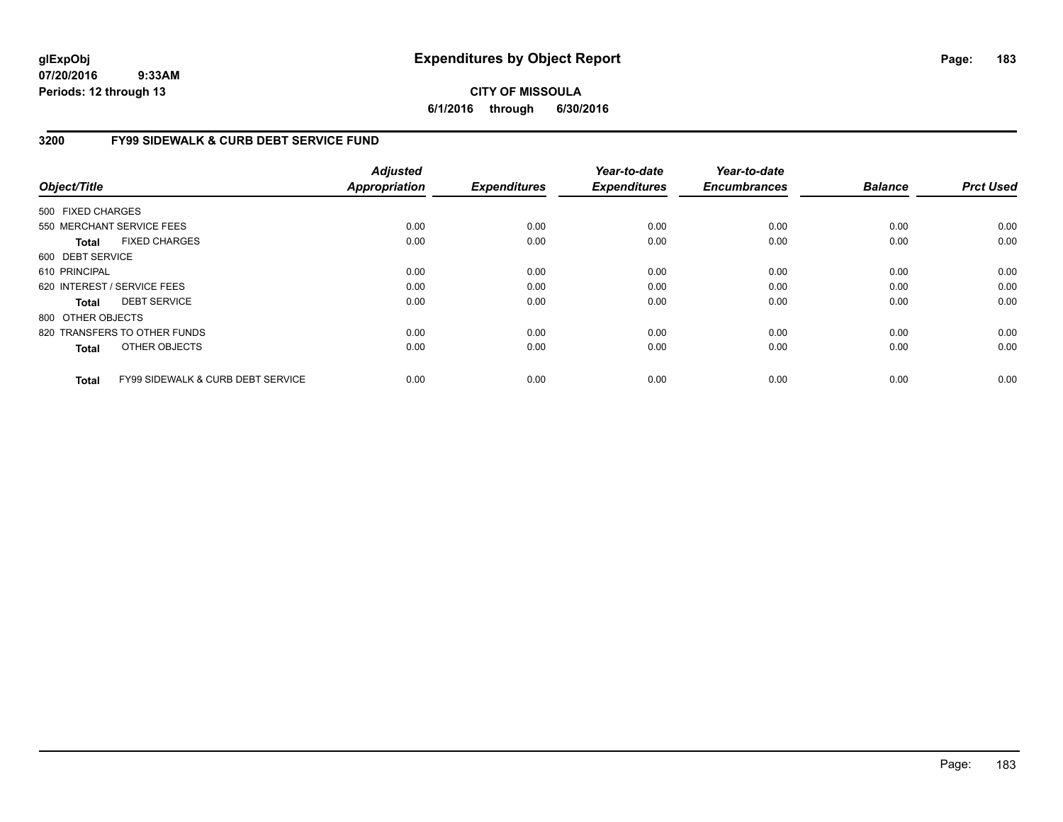## **CITY OF MISSOULA 6/1/2016 through 6/30/2016**

## **3200 FY99 SIDEWALK & CURB DEBT SERVICE FUND**

| Object/Title      |                                              | <b>Adjusted</b><br>Appropriation | <b>Expenditures</b> | Year-to-date<br><b>Expenditures</b> | Year-to-date<br><b>Encumbrances</b> | <b>Balance</b> | <b>Prct Used</b> |
|-------------------|----------------------------------------------|----------------------------------|---------------------|-------------------------------------|-------------------------------------|----------------|------------------|
| 500 FIXED CHARGES |                                              |                                  |                     |                                     |                                     |                |                  |
|                   | 550 MERCHANT SERVICE FEES                    | 0.00                             | 0.00                | 0.00                                | 0.00                                | 0.00           | 0.00             |
| Total             | <b>FIXED CHARGES</b>                         | 0.00                             | 0.00                | 0.00                                | 0.00                                | 0.00           | 0.00             |
| 600 DEBT SERVICE  |                                              |                                  |                     |                                     |                                     |                |                  |
| 610 PRINCIPAL     |                                              | 0.00                             | 0.00                | 0.00                                | 0.00                                | 0.00           | 0.00             |
|                   | 620 INTEREST / SERVICE FEES                  | 0.00                             | 0.00                | 0.00                                | 0.00                                | 0.00           | 0.00             |
| Total             | <b>DEBT SERVICE</b>                          | 0.00                             | 0.00                | 0.00                                | 0.00                                | 0.00           | 0.00             |
| 800 OTHER OBJECTS |                                              |                                  |                     |                                     |                                     |                |                  |
|                   | 820 TRANSFERS TO OTHER FUNDS                 | 0.00                             | 0.00                | 0.00                                | 0.00                                | 0.00           | 0.00             |
| <b>Total</b>      | OTHER OBJECTS                                | 0.00                             | 0.00                | 0.00                                | 0.00                                | 0.00           | 0.00             |
| <b>Total</b>      | <b>FY99 SIDEWALK &amp; CURB DEBT SERVICE</b> | 0.00                             | 0.00                | 0.00                                | 0.00                                | 0.00           | 0.00             |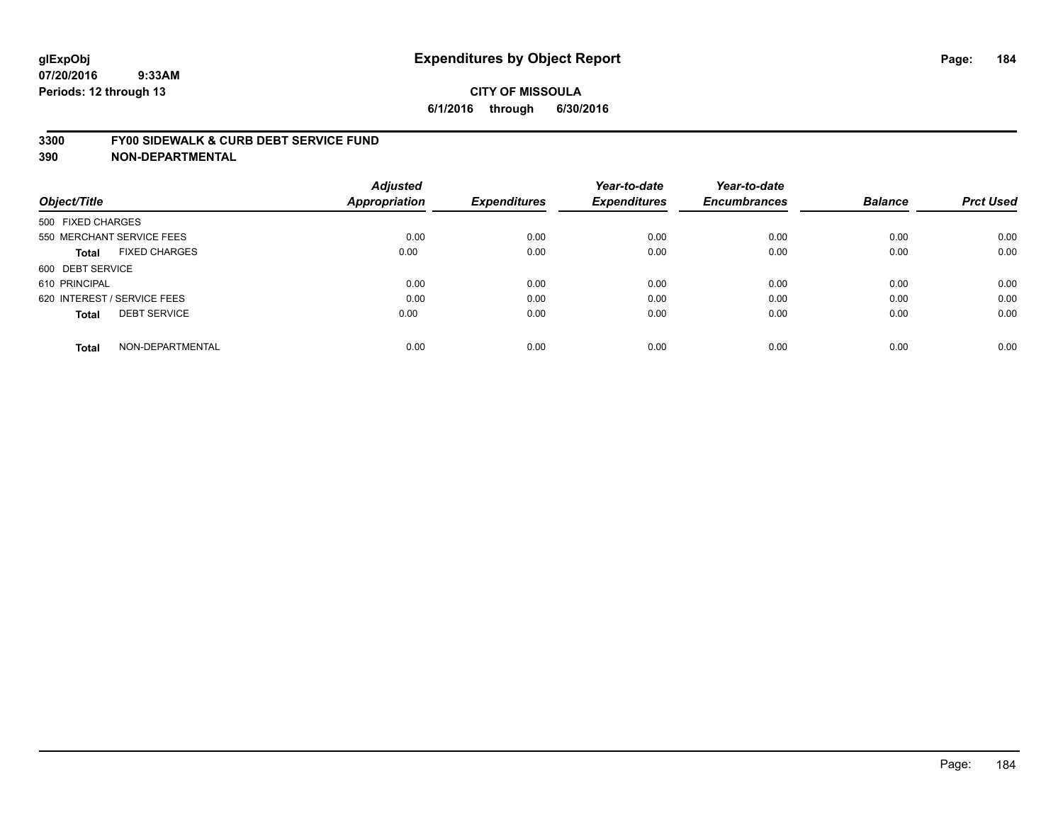#### **3300 FY00 SIDEWALK & CURB DEBT SERVICE FUND**

| Object/Title                        | <b>Adjusted</b><br>Appropriation | <b>Expenditures</b> | Year-to-date<br><b>Expenditures</b> | Year-to-date<br><b>Encumbrances</b> | <b>Balance</b> | <b>Prct Used</b> |
|-------------------------------------|----------------------------------|---------------------|-------------------------------------|-------------------------------------|----------------|------------------|
| 500 FIXED CHARGES                   |                                  |                     |                                     |                                     |                |                  |
| 550 MERCHANT SERVICE FEES           | 0.00                             | 0.00                | 0.00                                | 0.00                                | 0.00           | 0.00             |
| <b>FIXED CHARGES</b><br>Total       | 0.00                             | 0.00                | 0.00                                | 0.00                                | 0.00           | 0.00             |
| 600 DEBT SERVICE                    |                                  |                     |                                     |                                     |                |                  |
| 610 PRINCIPAL                       | 0.00                             | 0.00                | 0.00                                | 0.00                                | 0.00           | 0.00             |
| 620 INTEREST / SERVICE FEES         | 0.00                             | 0.00                | 0.00                                | 0.00                                | 0.00           | 0.00             |
| <b>DEBT SERVICE</b><br><b>Total</b> | 0.00                             | 0.00                | 0.00                                | 0.00                                | 0.00           | 0.00             |
| NON-DEPARTMENTAL<br><b>Total</b>    | 0.00                             | 0.00                | 0.00                                | 0.00                                | 0.00           | 0.00             |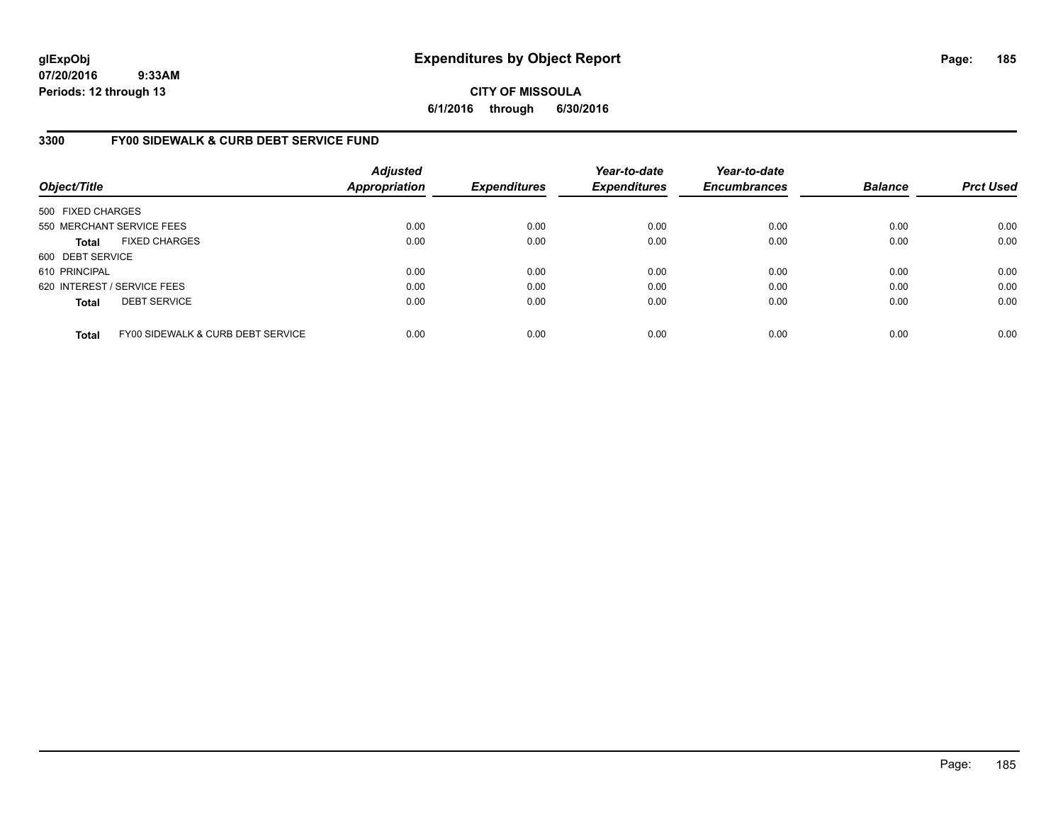**CITY OF MISSOULA 6/1/2016 through 6/30/2016**

### **3300 FY00 SIDEWALK & CURB DEBT SERVICE FUND**

| Object/Title                |                                   | <b>Adjusted</b><br><b>Appropriation</b> | <b>Expenditures</b> | Year-to-date<br><b>Expenditures</b> | Year-to-date<br><b>Encumbrances</b> | <b>Balance</b> | <b>Prct Used</b> |
|-----------------------------|-----------------------------------|-----------------------------------------|---------------------|-------------------------------------|-------------------------------------|----------------|------------------|
| 500 FIXED CHARGES           |                                   |                                         |                     |                                     |                                     |                |                  |
|                             | 550 MERCHANT SERVICE FEES         | 0.00                                    | 0.00                | 0.00                                | 0.00                                | 0.00           | 0.00             |
| <b>Total</b>                | <b>FIXED CHARGES</b>              | 0.00                                    | 0.00                | 0.00                                | 0.00                                | 0.00           | 0.00             |
| 600 DEBT SERVICE            |                                   |                                         |                     |                                     |                                     |                |                  |
| 610 PRINCIPAL               |                                   | 0.00                                    | 0.00                | 0.00                                | 0.00                                | 0.00           | 0.00             |
| 620 INTEREST / SERVICE FEES |                                   | 0.00                                    | 0.00                | 0.00                                | 0.00                                | 0.00           | 0.00             |
| <b>Total</b>                | <b>DEBT SERVICE</b>               | 0.00                                    | 0.00                | 0.00                                | 0.00                                | 0.00           | 0.00             |
| <b>Total</b>                | FY00 SIDEWALK & CURB DEBT SERVICE | 0.00                                    | 0.00                | 0.00                                | 0.00                                | 0.00           | 0.00             |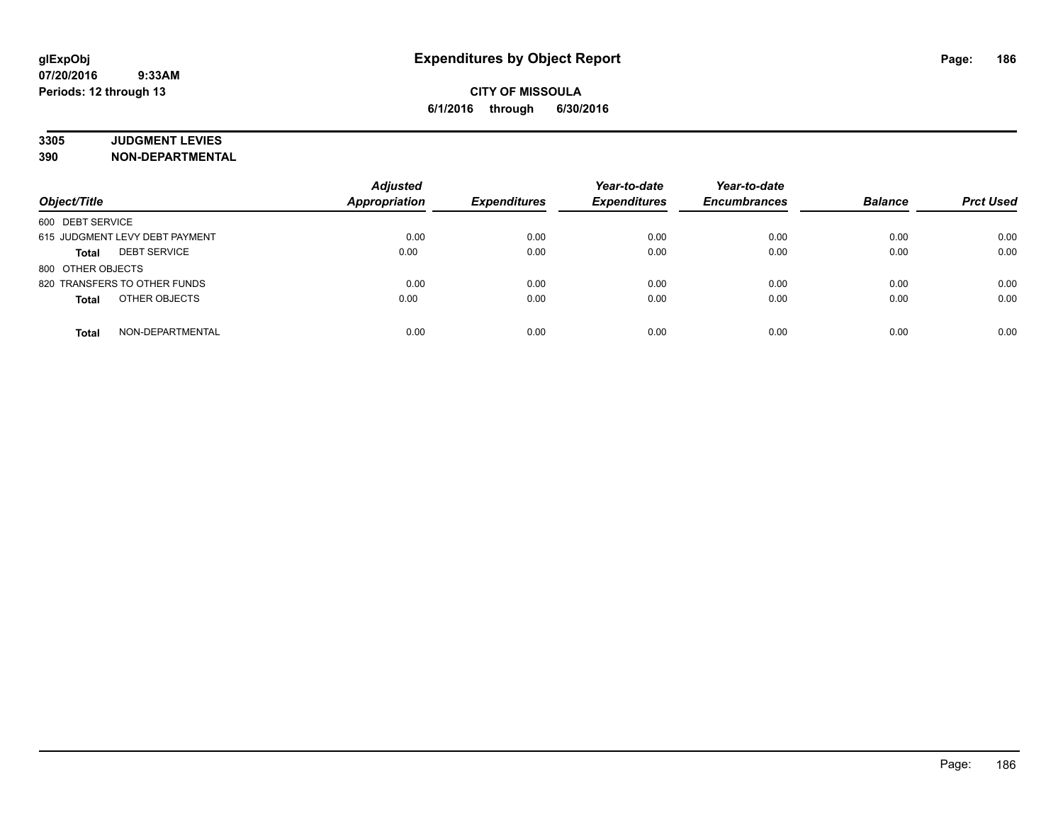# **3305 JUDGMENT LEVIES**

| Object/Title                        | <b>Adjusted</b><br><b>Appropriation</b> | <b>Expenditures</b> | Year-to-date<br><b>Expenditures</b> | Year-to-date<br><b>Encumbrances</b> | <b>Balance</b> | <b>Prct Used</b> |
|-------------------------------------|-----------------------------------------|---------------------|-------------------------------------|-------------------------------------|----------------|------------------|
| 600 DEBT SERVICE                    |                                         |                     |                                     |                                     |                |                  |
| 615 JUDGMENT LEVY DEBT PAYMENT      | 0.00                                    | 0.00                | 0.00                                | 0.00                                | 0.00           | 0.00             |
| <b>DEBT SERVICE</b><br><b>Total</b> | 0.00                                    | 0.00                | 0.00                                | 0.00                                | 0.00           | 0.00             |
| 800 OTHER OBJECTS                   |                                         |                     |                                     |                                     |                |                  |
| 820 TRANSFERS TO OTHER FUNDS        | 0.00                                    | 0.00                | 0.00                                | 0.00                                | 0.00           | 0.00             |
| OTHER OBJECTS<br><b>Total</b>       | 0.00                                    | 0.00                | 0.00                                | 0.00                                | 0.00           | 0.00             |
| NON-DEPARTMENTAL<br><b>Total</b>    | 0.00                                    | 0.00                | 0.00                                | 0.00                                | 0.00           | 0.00             |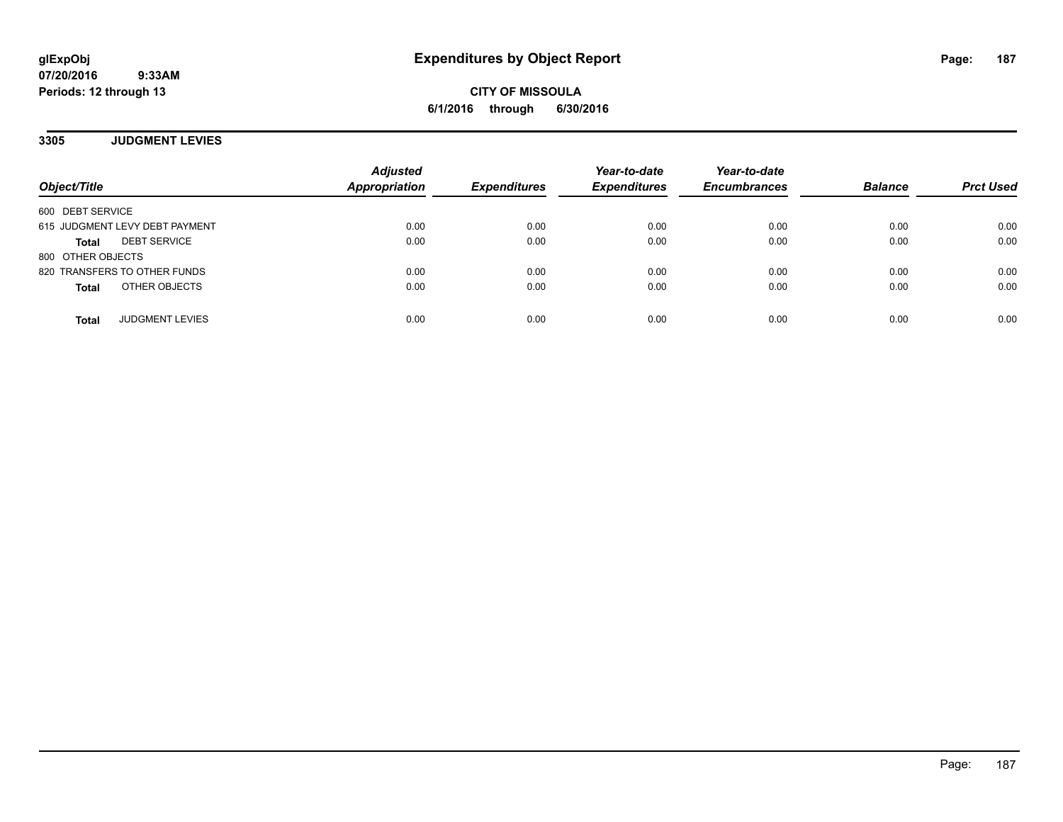**CITY OF MISSOULA 6/1/2016 through 6/30/2016**

**3305 JUDGMENT LEVIES**

| Object/Title                        | <b>Adjusted</b><br><b>Appropriation</b> | <b>Expenditures</b> | Year-to-date<br><b>Expenditures</b> | Year-to-date<br><b>Encumbrances</b> | <b>Balance</b> | <b>Prct Used</b> |
|-------------------------------------|-----------------------------------------|---------------------|-------------------------------------|-------------------------------------|----------------|------------------|
| 600 DEBT SERVICE                    |                                         |                     |                                     |                                     |                |                  |
| 615 JUDGMENT LEVY DEBT PAYMENT      | 0.00                                    | 0.00                | 0.00                                | 0.00                                | 0.00           | 0.00             |
| <b>DEBT SERVICE</b><br><b>Total</b> | 0.00                                    | 0.00                | 0.00                                | 0.00                                | 0.00           | 0.00             |
| 800 OTHER OBJECTS                   |                                         |                     |                                     |                                     |                |                  |
| 820 TRANSFERS TO OTHER FUNDS        | 0.00                                    | 0.00                | 0.00                                | 0.00                                | 0.00           | 0.00             |
| OTHER OBJECTS<br><b>Total</b>       | 0.00                                    | 0.00                | 0.00                                | 0.00                                | 0.00           | 0.00             |
| <b>JUDGMENT LEVIES</b><br>Total     | 0.00                                    | 0.00                | 0.00                                | 0.00                                | 0.00           | 0.00             |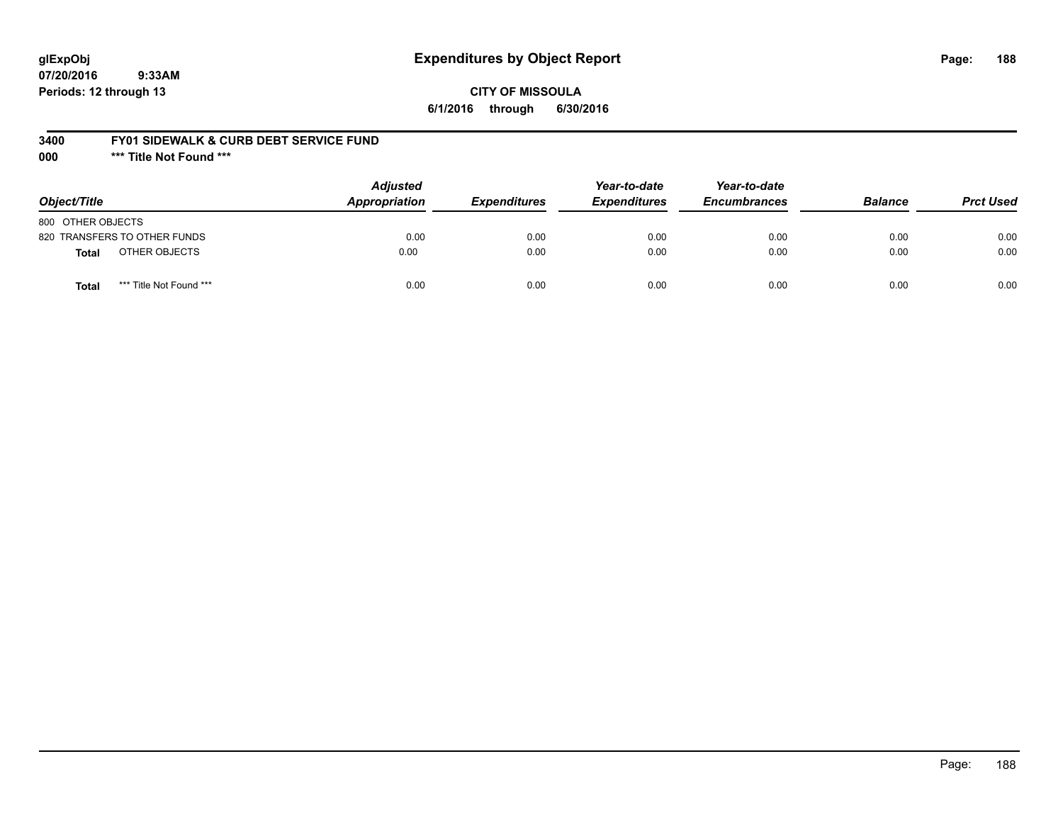## **glExpObj Expenditures by Object Report Page: 188**

**07/20/2016 9:33AM Periods: 12 through 13**

### **CITY OF MISSOULA 6/1/2016 through 6/30/2016**

#### **3400 FY01 SIDEWALK & CURB DEBT SERVICE FUND**

**000 \*\*\* Title Not Found \*\*\***

| Object/Title                     | <b>Adjusted</b><br>Appropriation | <b>Expenditures</b> | Year-to-date<br><b>Expenditures</b> | Year-to-date<br><b>Encumbrances</b> | <b>Balance</b> | <b>Prct Used</b> |
|----------------------------------|----------------------------------|---------------------|-------------------------------------|-------------------------------------|----------------|------------------|
| 800 OTHER OBJECTS                |                                  |                     |                                     |                                     |                |                  |
| 820 TRANSFERS TO OTHER FUNDS     | 0.00                             | 0.00                | 0.00                                | 0.00                                | 0.00           | 0.00             |
| OTHER OBJECTS<br><b>Total</b>    | 0.00                             | 0.00                | 0.00                                | 0.00                                | 0.00           | 0.00             |
| *** Title Not Found ***<br>Total | 0.00                             | 0.00                | 0.00                                | 0.00                                | 0.00           | 0.00             |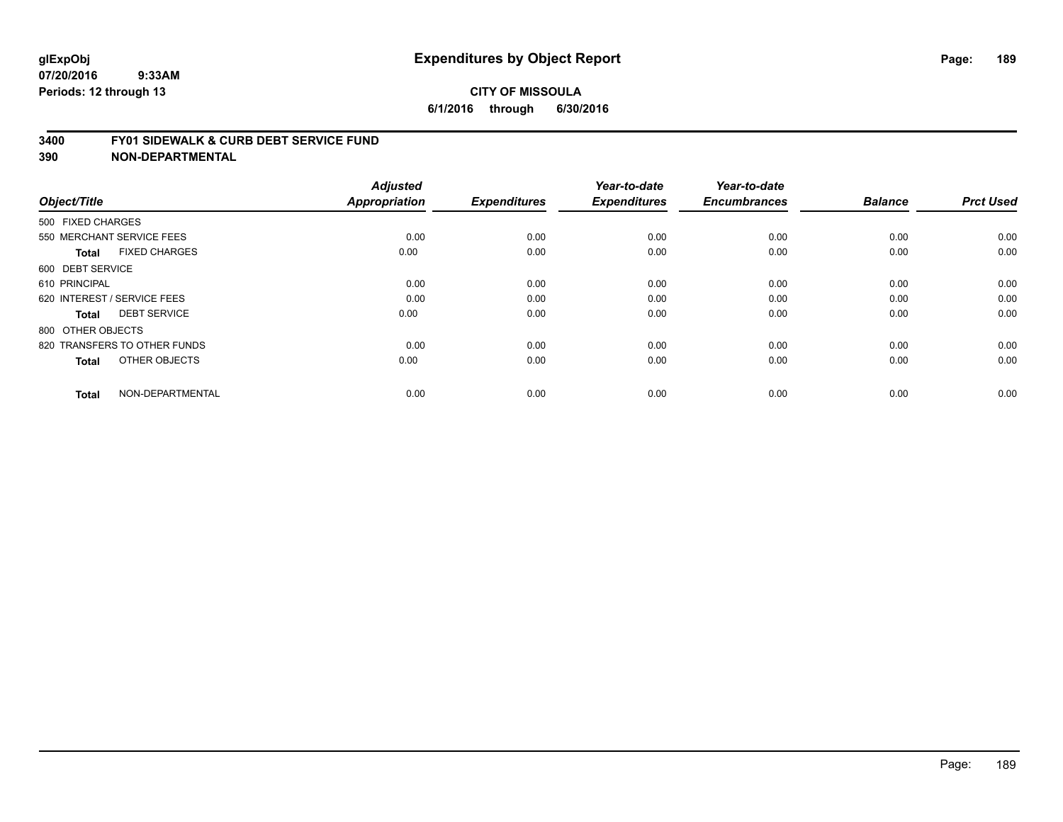#### **3400 FY01 SIDEWALK & CURB DEBT SERVICE FUND**

| Object/Title                         | <b>Adjusted</b><br>Appropriation | <b>Expenditures</b> | Year-to-date<br><b>Expenditures</b> | Year-to-date<br><b>Encumbrances</b> | <b>Balance</b> | <b>Prct Used</b> |
|--------------------------------------|----------------------------------|---------------------|-------------------------------------|-------------------------------------|----------------|------------------|
| 500 FIXED CHARGES                    |                                  |                     |                                     |                                     |                |                  |
|                                      |                                  |                     |                                     |                                     |                |                  |
| 550 MERCHANT SERVICE FEES            | 0.00                             | 0.00                | 0.00                                | 0.00                                | 0.00           | 0.00             |
| <b>FIXED CHARGES</b><br><b>Total</b> | 0.00                             | 0.00                | 0.00                                | 0.00                                | 0.00           | 0.00             |
| 600 DEBT SERVICE                     |                                  |                     |                                     |                                     |                |                  |
| 610 PRINCIPAL                        | 0.00                             | 0.00                | 0.00                                | 0.00                                | 0.00           | 0.00             |
| 620 INTEREST / SERVICE FEES          | 0.00                             | 0.00                | 0.00                                | 0.00                                | 0.00           | 0.00             |
| <b>DEBT SERVICE</b><br><b>Total</b>  | 0.00                             | 0.00                | 0.00                                | 0.00                                | 0.00           | 0.00             |
| 800 OTHER OBJECTS                    |                                  |                     |                                     |                                     |                |                  |
| 820 TRANSFERS TO OTHER FUNDS         | 0.00                             | 0.00                | 0.00                                | 0.00                                | 0.00           | 0.00             |
| OTHER OBJECTS<br><b>Total</b>        | 0.00                             | 0.00                | 0.00                                | 0.00                                | 0.00           | 0.00             |
|                                      |                                  |                     |                                     |                                     |                |                  |
| NON-DEPARTMENTAL<br><b>Total</b>     | 0.00                             | 0.00                | 0.00                                | 0.00                                | 0.00           | 0.00             |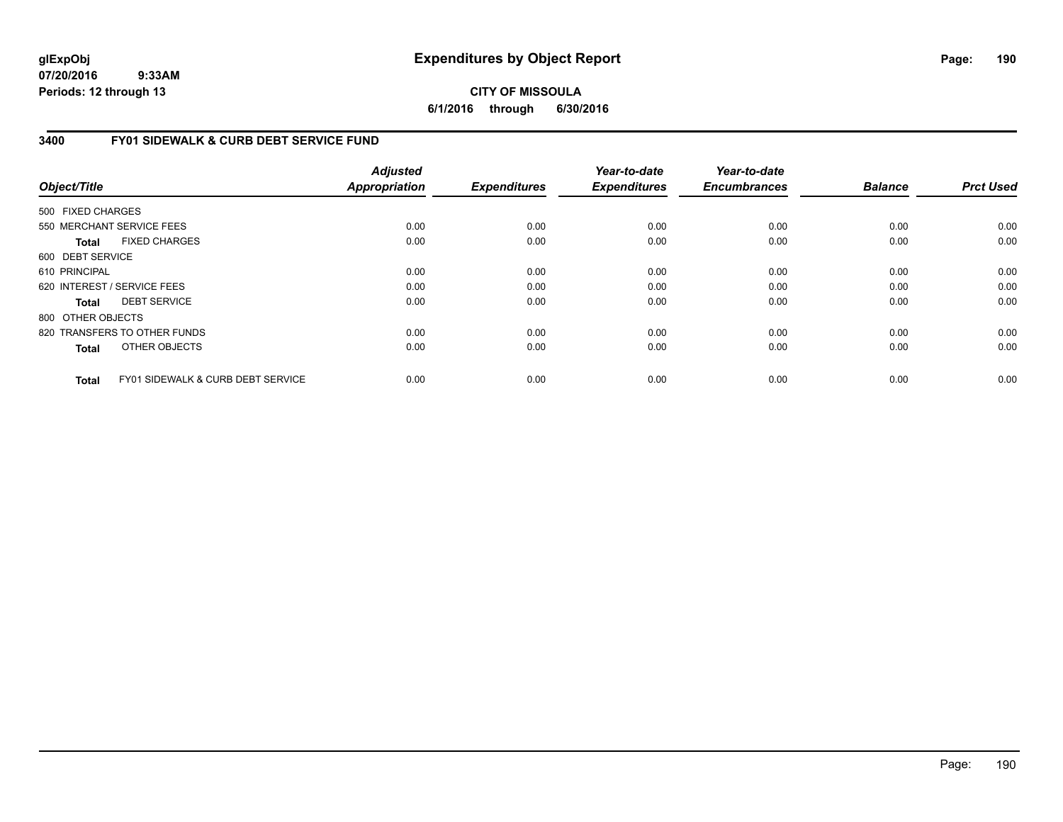## **CITY OF MISSOULA 6/1/2016 through 6/30/2016**

## **3400 FY01 SIDEWALK & CURB DEBT SERVICE FUND**

| Object/Title      |                                              | <b>Adjusted</b><br><b>Appropriation</b> | <b>Expenditures</b> | Year-to-date<br><b>Expenditures</b> | Year-to-date<br><b>Encumbrances</b> | <b>Balance</b> | <b>Prct Used</b> |
|-------------------|----------------------------------------------|-----------------------------------------|---------------------|-------------------------------------|-------------------------------------|----------------|------------------|
| 500 FIXED CHARGES |                                              |                                         |                     |                                     |                                     |                |                  |
|                   | 550 MERCHANT SERVICE FEES                    | 0.00                                    | 0.00                | 0.00                                | 0.00                                | 0.00           | 0.00             |
| <b>Total</b>      | <b>FIXED CHARGES</b>                         | 0.00                                    | 0.00                | 0.00                                | 0.00                                | 0.00           | 0.00             |
| 600 DEBT SERVICE  |                                              |                                         |                     |                                     |                                     |                |                  |
| 610 PRINCIPAL     |                                              | 0.00                                    | 0.00                | 0.00                                | 0.00                                | 0.00           | 0.00             |
|                   | 620 INTEREST / SERVICE FEES                  | 0.00                                    | 0.00                | 0.00                                | 0.00                                | 0.00           | 0.00             |
| <b>Total</b>      | <b>DEBT SERVICE</b>                          | 0.00                                    | 0.00                | 0.00                                | 0.00                                | 0.00           | 0.00             |
| 800 OTHER OBJECTS |                                              |                                         |                     |                                     |                                     |                |                  |
|                   | 820 TRANSFERS TO OTHER FUNDS                 | 0.00                                    | 0.00                | 0.00                                | 0.00                                | 0.00           | 0.00             |
| <b>Total</b>      | OTHER OBJECTS                                | 0.00                                    | 0.00                | 0.00                                | 0.00                                | 0.00           | 0.00             |
| <b>Total</b>      | <b>FY01 SIDEWALK &amp; CURB DEBT SERVICE</b> | 0.00                                    | 0.00                | 0.00                                | 0.00                                | 0.00           | 0.00             |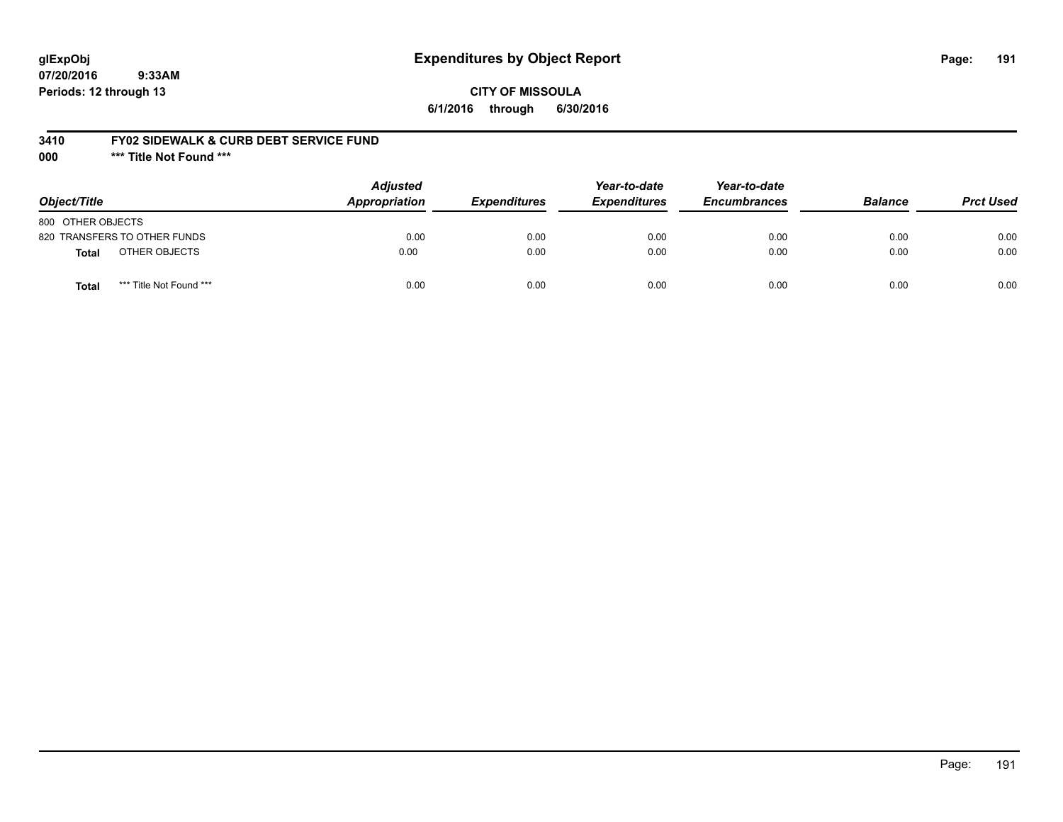## **glExpObj Expenditures by Object Report Page: 191**

**07/20/2016 9:33AM Periods: 12 through 13**

### **CITY OF MISSOULA 6/1/2016 through 6/30/2016**

#### **3410 FY02 SIDEWALK & CURB DEBT SERVICE FUND**

**000 \*\*\* Title Not Found \*\*\***

| Object/Title                     | <b>Adjusted</b><br><b>Appropriation</b> | <b>Expenditures</b> | Year-to-date<br><b>Expenditures</b> | Year-to-date<br><b>Encumbrances</b> | <b>Balance</b> | <b>Prct Used</b> |
|----------------------------------|-----------------------------------------|---------------------|-------------------------------------|-------------------------------------|----------------|------------------|
| 800 OTHER OBJECTS                |                                         |                     |                                     |                                     |                |                  |
| 820 TRANSFERS TO OTHER FUNDS     | 0.00                                    | 0.00                | 0.00                                | 0.00                                | 0.00           | 0.00             |
| OTHER OBJECTS<br><b>Total</b>    | 0.00                                    | 0.00                | 0.00                                | 0.00                                | 0.00           | 0.00             |
| *** Title Not Found ***<br>Total | 0.00                                    | 0.00                | 0.00                                | 0.00                                | 0.00           | 0.00             |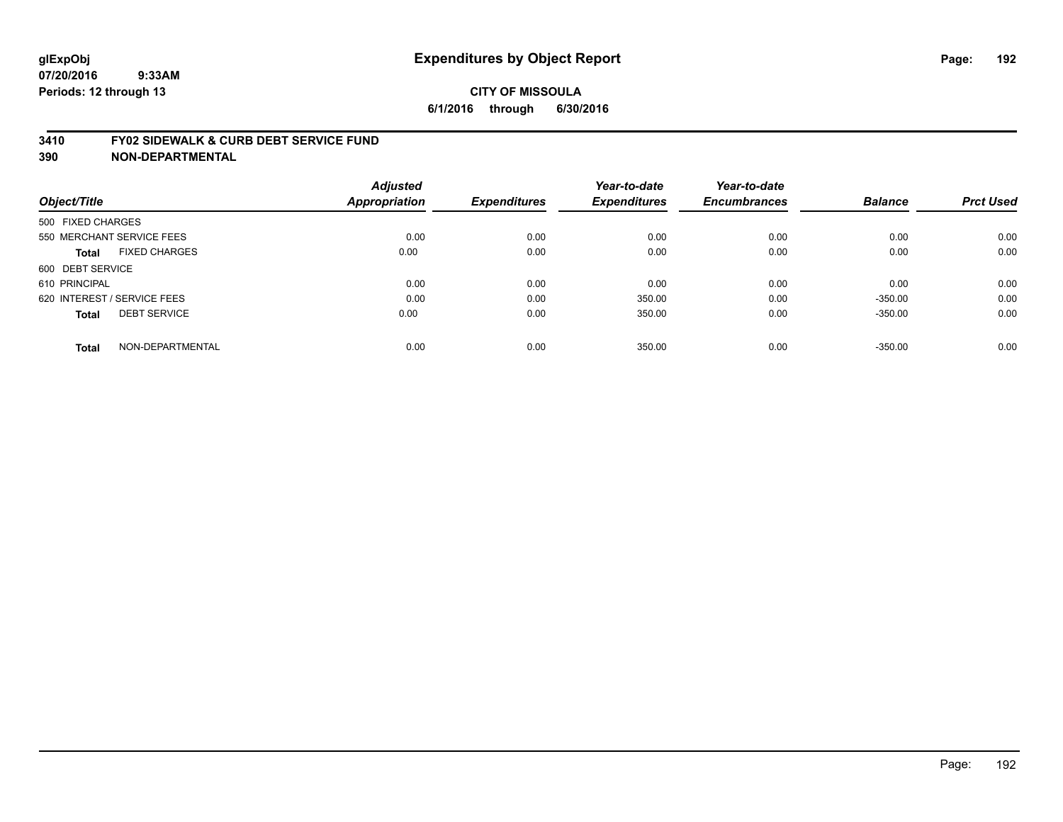#### **3410 FY02 SIDEWALK & CURB DEBT SERVICE FUND**

| Object/Title                         | <b>Adjusted</b><br>Appropriation | <b>Expenditures</b> | Year-to-date<br><b>Expenditures</b> | Year-to-date<br><b>Encumbrances</b> | <b>Balance</b> | <b>Prct Used</b> |
|--------------------------------------|----------------------------------|---------------------|-------------------------------------|-------------------------------------|----------------|------------------|
|                                      |                                  |                     |                                     |                                     |                |                  |
| 500 FIXED CHARGES                    |                                  |                     |                                     |                                     |                |                  |
| 550 MERCHANT SERVICE FEES            | 0.00                             | 0.00                | 0.00                                | 0.00                                | 0.00           | 0.00             |
| <b>FIXED CHARGES</b><br><b>Total</b> | 0.00                             | 0.00                | 0.00                                | 0.00                                | 0.00           | 0.00             |
| 600 DEBT SERVICE                     |                                  |                     |                                     |                                     |                |                  |
| 610 PRINCIPAL                        | 0.00                             | 0.00                | 0.00                                | 0.00                                | 0.00           | 0.00             |
| 620 INTEREST / SERVICE FEES          | 0.00                             | 0.00                | 350.00                              | 0.00                                | $-350.00$      | 0.00             |
| <b>DEBT SERVICE</b><br><b>Total</b>  | 0.00                             | 0.00                | 350.00                              | 0.00                                | $-350.00$      | 0.00             |
| NON-DEPARTMENTAL<br><b>Total</b>     | 0.00                             | 0.00                | 350.00                              | 0.00                                | $-350.00$      | 0.00             |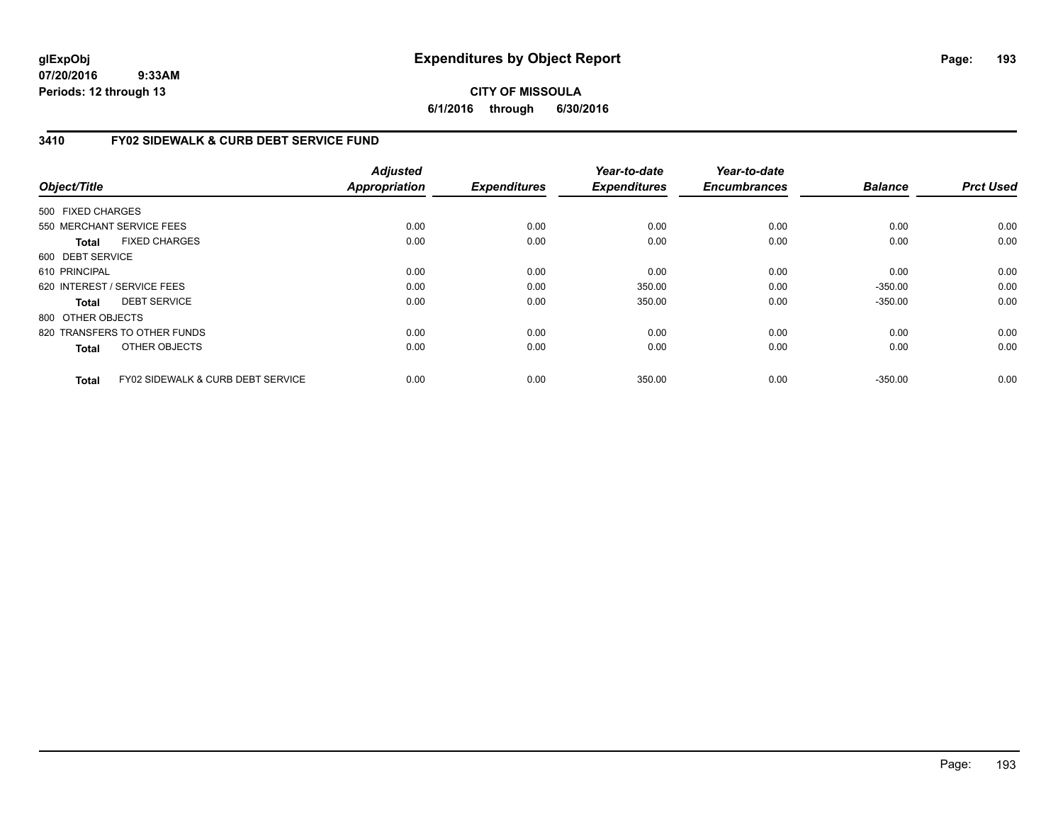## **CITY OF MISSOULA 6/1/2016 through 6/30/2016**

## **3410 FY02 SIDEWALK & CURB DEBT SERVICE FUND**

|                   |                                              | <b>Adjusted</b>      |                     | Year-to-date        | Year-to-date        |                |                  |
|-------------------|----------------------------------------------|----------------------|---------------------|---------------------|---------------------|----------------|------------------|
| Object/Title      |                                              | <b>Appropriation</b> | <b>Expenditures</b> | <b>Expenditures</b> | <b>Encumbrances</b> | <b>Balance</b> | <b>Prct Used</b> |
| 500 FIXED CHARGES |                                              |                      |                     |                     |                     |                |                  |
|                   | 550 MERCHANT SERVICE FEES                    | 0.00                 | 0.00                | 0.00                | 0.00                | 0.00           | 0.00             |
| Total             | <b>FIXED CHARGES</b>                         | 0.00                 | 0.00                | 0.00                | 0.00                | 0.00           | 0.00             |
| 600 DEBT SERVICE  |                                              |                      |                     |                     |                     |                |                  |
| 610 PRINCIPAL     |                                              | 0.00                 | 0.00                | 0.00                | 0.00                | 0.00           | 0.00             |
|                   | 620 INTEREST / SERVICE FEES                  | 0.00                 | 0.00                | 350.00              | 0.00                | $-350.00$      | 0.00             |
| Total             | <b>DEBT SERVICE</b>                          | 0.00                 | 0.00                | 350.00              | 0.00                | $-350.00$      | 0.00             |
| 800 OTHER OBJECTS |                                              |                      |                     |                     |                     |                |                  |
|                   | 820 TRANSFERS TO OTHER FUNDS                 | 0.00                 | 0.00                | 0.00                | 0.00                | 0.00           | 0.00             |
| <b>Total</b>      | OTHER OBJECTS                                | 0.00                 | 0.00                | 0.00                | 0.00                | 0.00           | 0.00             |
| <b>Total</b>      | <b>FY02 SIDEWALK &amp; CURB DEBT SERVICE</b> | 0.00                 | 0.00                | 350.00              | 0.00                | $-350.00$      | 0.00             |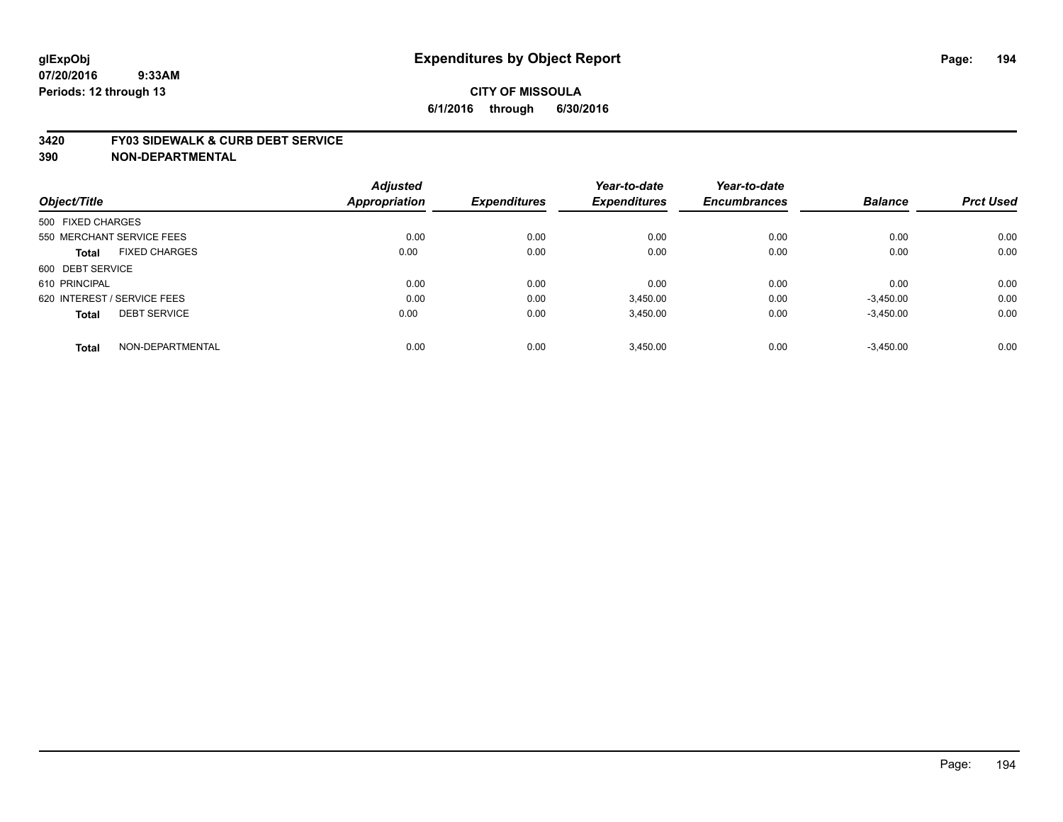#### **3420 FY03 SIDEWALK & CURB DEBT SERVICE**

|                             |                      | <b>Adjusted</b> |                     | Year-to-date        | Year-to-date        |                |                  |
|-----------------------------|----------------------|-----------------|---------------------|---------------------|---------------------|----------------|------------------|
| Object/Title                |                      | Appropriation   | <b>Expenditures</b> | <b>Expenditures</b> | <b>Encumbrances</b> | <b>Balance</b> | <b>Prct Used</b> |
| 500 FIXED CHARGES           |                      |                 |                     |                     |                     |                |                  |
| 550 MERCHANT SERVICE FEES   |                      | 0.00            | 0.00                | 0.00                | 0.00                | 0.00           | 0.00             |
| <b>Total</b>                | <b>FIXED CHARGES</b> | 0.00            | 0.00                | 0.00                | 0.00                | 0.00           | 0.00             |
| 600 DEBT SERVICE            |                      |                 |                     |                     |                     |                |                  |
| 610 PRINCIPAL               |                      | 0.00            | 0.00                | 0.00                | 0.00                | 0.00           | 0.00             |
| 620 INTEREST / SERVICE FEES |                      | 0.00            | 0.00                | 3,450.00            | 0.00                | $-3,450.00$    | 0.00             |
| <b>Total</b>                | <b>DEBT SERVICE</b>  | 0.00            | 0.00                | 3,450.00            | 0.00                | $-3,450.00$    | 0.00             |
| <b>Total</b>                | NON-DEPARTMENTAL     | 0.00            | 0.00                | 3,450.00            | 0.00                | $-3,450.00$    | 0.00             |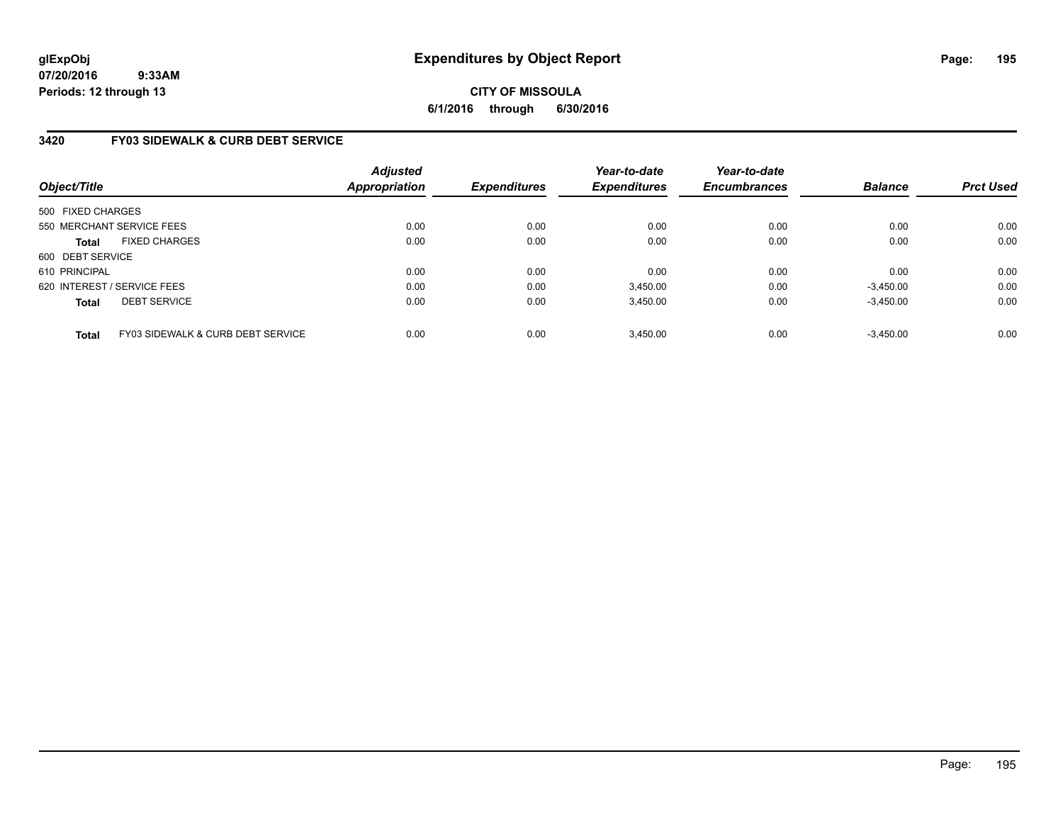## **CITY OF MISSOULA 6/1/2016 through 6/30/2016**

## **3420 FY03 SIDEWALK & CURB DEBT SERVICE**

| Object/Title                |                                              | <b>Adjusted</b><br><b>Appropriation</b> | <b>Expenditures</b> | Year-to-date<br><b>Expenditures</b> | Year-to-date<br><b>Encumbrances</b> | <b>Balance</b> | <b>Prct Used</b> |
|-----------------------------|----------------------------------------------|-----------------------------------------|---------------------|-------------------------------------|-------------------------------------|----------------|------------------|
| 500 FIXED CHARGES           |                                              |                                         |                     |                                     |                                     |                |                  |
|                             | 550 MERCHANT SERVICE FEES                    | 0.00                                    | 0.00                | 0.00                                | 0.00                                | 0.00           | 0.00             |
| <b>Total</b>                | <b>FIXED CHARGES</b>                         | 0.00                                    | 0.00                | 0.00                                | 0.00                                | 0.00           | 0.00             |
| 600 DEBT SERVICE            |                                              |                                         |                     |                                     |                                     |                |                  |
| 610 PRINCIPAL               |                                              | 0.00                                    | 0.00                | 0.00                                | 0.00                                | 0.00           | 0.00             |
| 620 INTEREST / SERVICE FEES |                                              | 0.00                                    | 0.00                | 3.450.00                            | 0.00                                | $-3,450.00$    | 0.00             |
| <b>Total</b>                | <b>DEBT SERVICE</b>                          | 0.00                                    | 0.00                | 3,450.00                            | 0.00                                | $-3,450.00$    | 0.00             |
| <b>Total</b>                | <b>FY03 SIDEWALK &amp; CURB DEBT SERVICE</b> | 0.00                                    | 0.00                | 3,450.00                            | 0.00                                | $-3.450.00$    | 0.00             |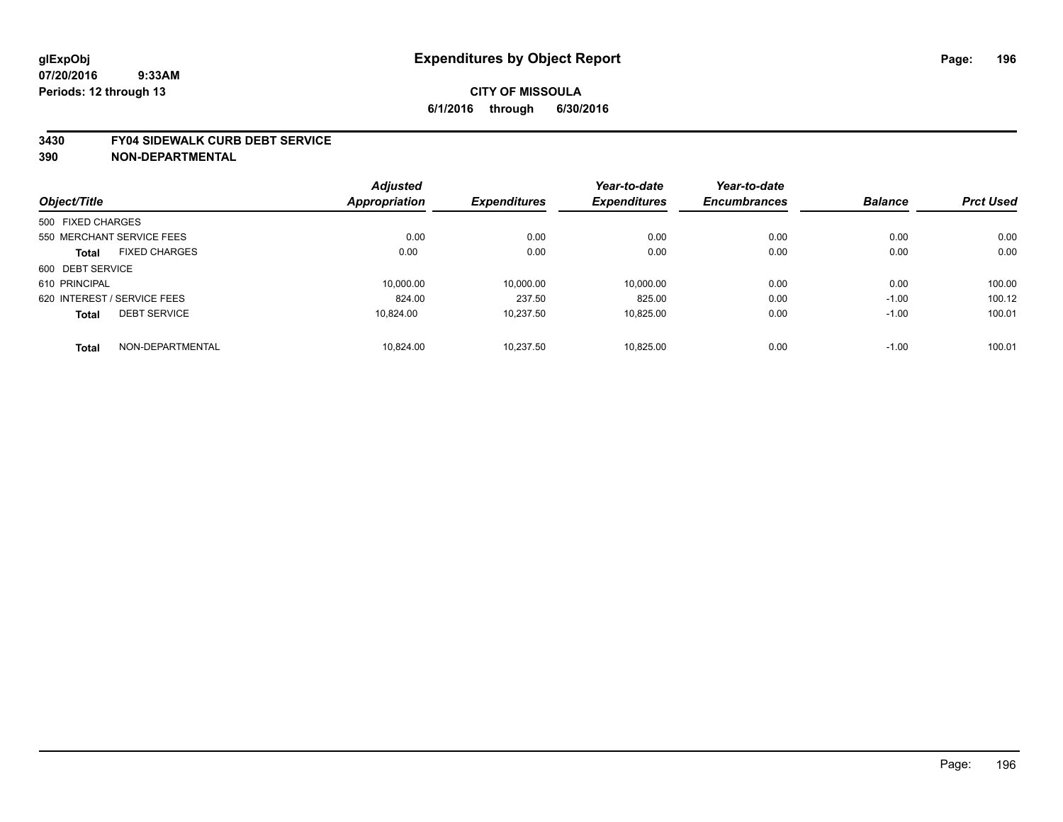#### **3430 FY04 SIDEWALK CURB DEBT SERVICE**

|                             |                           | <b>Adjusted</b> |                     | Year-to-date        | Year-to-date        |                |                  |
|-----------------------------|---------------------------|-----------------|---------------------|---------------------|---------------------|----------------|------------------|
| Object/Title                |                           | Appropriation   | <b>Expenditures</b> | <b>Expenditures</b> | <b>Encumbrances</b> | <b>Balance</b> | <b>Prct Used</b> |
| 500 FIXED CHARGES           |                           |                 |                     |                     |                     |                |                  |
|                             | 550 MERCHANT SERVICE FEES | 0.00            | 0.00                | 0.00                | 0.00                | 0.00           | 0.00             |
| <b>Total</b>                | <b>FIXED CHARGES</b>      | 0.00            | 0.00                | 0.00                | 0.00                | 0.00           | 0.00             |
| 600 DEBT SERVICE            |                           |                 |                     |                     |                     |                |                  |
| 610 PRINCIPAL               |                           | 10.000.00       | 10.000.00           | 10.000.00           | 0.00                | 0.00           | 100.00           |
| 620 INTEREST / SERVICE FEES |                           | 824.00          | 237.50              | 825.00              | 0.00                | $-1.00$        | 100.12           |
| <b>Total</b>                | <b>DEBT SERVICE</b>       | 10.824.00       | 10,237.50           | 10.825.00           | 0.00                | $-1.00$        | 100.01           |
| <b>Total</b>                | NON-DEPARTMENTAL          | 10.824.00       | 10.237.50           | 10.825.00           | 0.00                | $-1.00$        | 100.01           |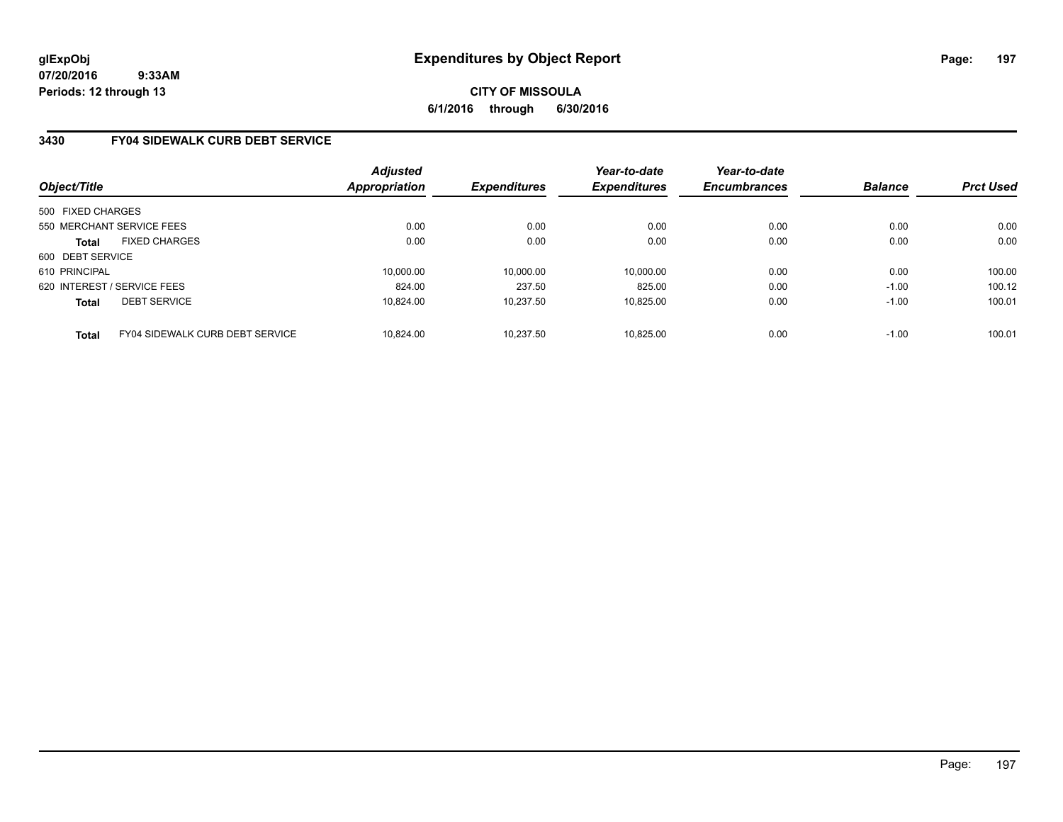**CITY OF MISSOULA 6/1/2016 through 6/30/2016**

## **3430 FY04 SIDEWALK CURB DEBT SERVICE**

| Object/Title      |                                        | Adjusted<br>Appropriation | <b>Expenditures</b> | Year-to-date<br><b>Expenditures</b> | Year-to-date<br><b>Encumbrances</b> | <b>Balance</b> | <b>Prct Used</b> |
|-------------------|----------------------------------------|---------------------------|---------------------|-------------------------------------|-------------------------------------|----------------|------------------|
| 500 FIXED CHARGES |                                        |                           |                     |                                     |                                     |                |                  |
|                   | 550 MERCHANT SERVICE FEES              | 0.00                      | 0.00                | 0.00                                | 0.00                                | 0.00           | 0.00             |
| <b>Total</b>      | <b>FIXED CHARGES</b>                   | 0.00                      | 0.00                | 0.00                                | 0.00                                | 0.00           | 0.00             |
| 600 DEBT SERVICE  |                                        |                           |                     |                                     |                                     |                |                  |
| 610 PRINCIPAL     |                                        | 10.000.00                 | 10.000.00           | 10.000.00                           | 0.00                                | 0.00           | 100.00           |
|                   | 620 INTEREST / SERVICE FEES            | 824.00                    | 237.50              | 825.00                              | 0.00                                | $-1.00$        | 100.12           |
| <b>Total</b>      | <b>DEBT SERVICE</b>                    | 10.824.00                 | 10.237.50           | 10.825.00                           | 0.00                                | $-1.00$        | 100.01           |
| <b>Total</b>      | <b>FY04 SIDEWALK CURB DEBT SERVICE</b> | 10.824.00                 | 10.237.50           | 10.825.00                           | 0.00                                | $-1.00$        | 100.01           |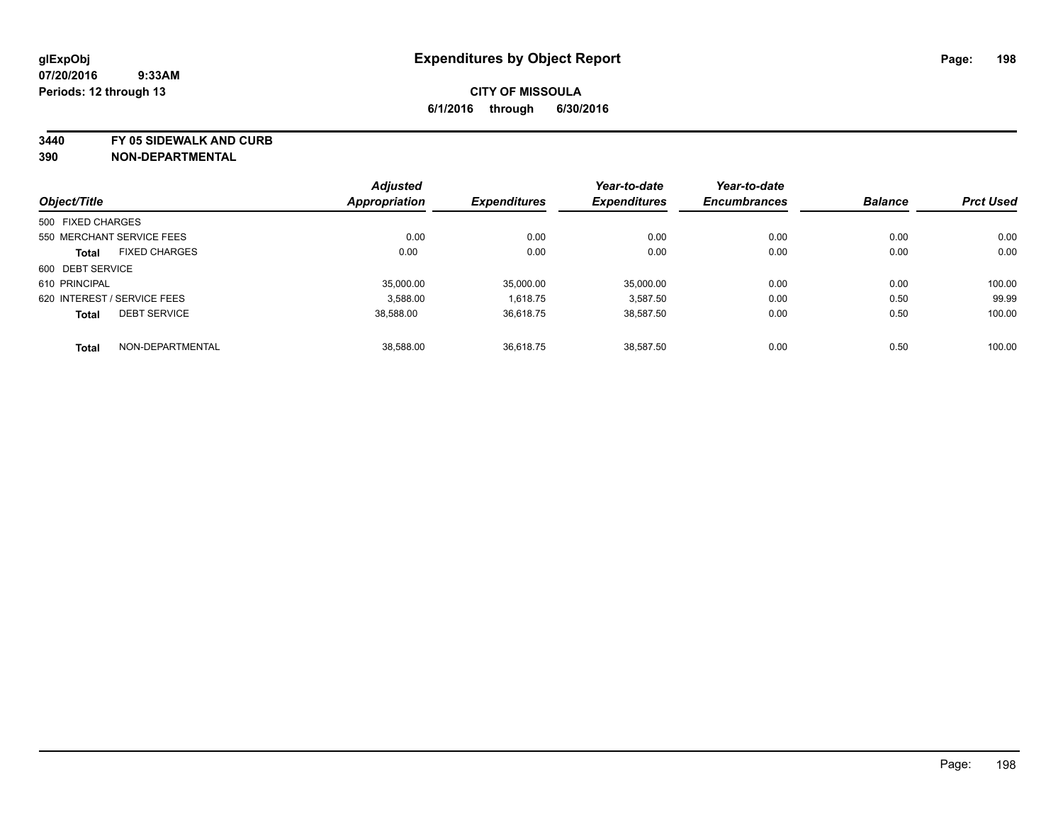**3440 FY 05 SIDEWALK AND CURB**

|                   |                             | <b>Adjusted</b>      |                     | Year-to-date        | Year-to-date        |                |                  |
|-------------------|-----------------------------|----------------------|---------------------|---------------------|---------------------|----------------|------------------|
| Object/Title      |                             | <b>Appropriation</b> | <b>Expenditures</b> | <b>Expenditures</b> | <b>Encumbrances</b> | <b>Balance</b> | <b>Prct Used</b> |
| 500 FIXED CHARGES |                             |                      |                     |                     |                     |                |                  |
|                   | 550 MERCHANT SERVICE FEES   | 0.00                 | 0.00                | 0.00                | 0.00                | 0.00           | 0.00             |
| <b>Total</b>      | <b>FIXED CHARGES</b>        | 0.00                 | 0.00                | 0.00                | 0.00                | 0.00           | 0.00             |
| 600 DEBT SERVICE  |                             |                      |                     |                     |                     |                |                  |
| 610 PRINCIPAL     |                             | 35,000.00            | 35,000.00           | 35.000.00           | 0.00                | 0.00           | 100.00           |
|                   | 620 INTEREST / SERVICE FEES | 3.588.00             | 1,618.75            | 3,587.50            | 0.00                | 0.50           | 99.99            |
| <b>Total</b>      | <b>DEBT SERVICE</b>         | 38.588.00            | 36,618.75           | 38.587.50           | 0.00                | 0.50           | 100.00           |
| <b>Total</b>      | NON-DEPARTMENTAL            | 38,588.00            | 36,618.75           | 38.587.50           | 0.00                | 0.50           | 100.00           |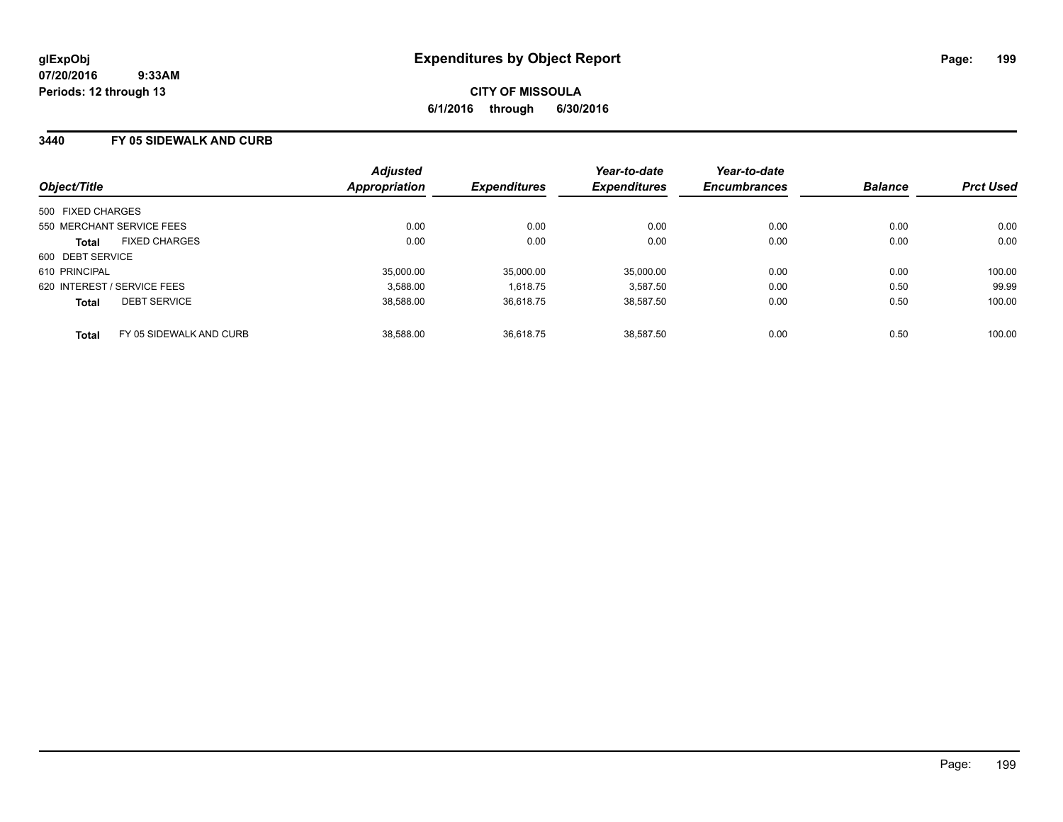### **3440 FY 05 SIDEWALK AND CURB**

| Object/Title                            | <b>Adjusted</b><br>Appropriation | <b>Expenditures</b> | Year-to-date<br><b>Expenditures</b> | Year-to-date<br><b>Encumbrances</b> | <b>Balance</b> | <b>Prct Used</b> |
|-----------------------------------------|----------------------------------|---------------------|-------------------------------------|-------------------------------------|----------------|------------------|
| 500 FIXED CHARGES                       |                                  |                     |                                     |                                     |                |                  |
| 550 MERCHANT SERVICE FEES               | 0.00                             | 0.00                | 0.00                                | 0.00                                | 0.00           | 0.00             |
| <b>FIXED CHARGES</b><br><b>Total</b>    | 0.00                             | 0.00                | 0.00                                | 0.00                                | 0.00           | 0.00             |
| 600 DEBT SERVICE                        |                                  |                     |                                     |                                     |                |                  |
| 610 PRINCIPAL                           | 35,000.00                        | 35,000.00           | 35,000.00                           | 0.00                                | 0.00           | 100.00           |
| 620 INTEREST / SERVICE FEES             | 3.588.00                         | 1.618.75            | 3.587.50                            | 0.00                                | 0.50           | 99.99            |
| <b>DEBT SERVICE</b><br><b>Total</b>     | 38.588.00                        | 36.618.75           | 38.587.50                           | 0.00                                | 0.50           | 100.00           |
| FY 05 SIDEWALK AND CURB<br><b>Total</b> | 38,588.00                        | 36.618.75           | 38.587.50                           | 0.00                                | 0.50           | 100.00           |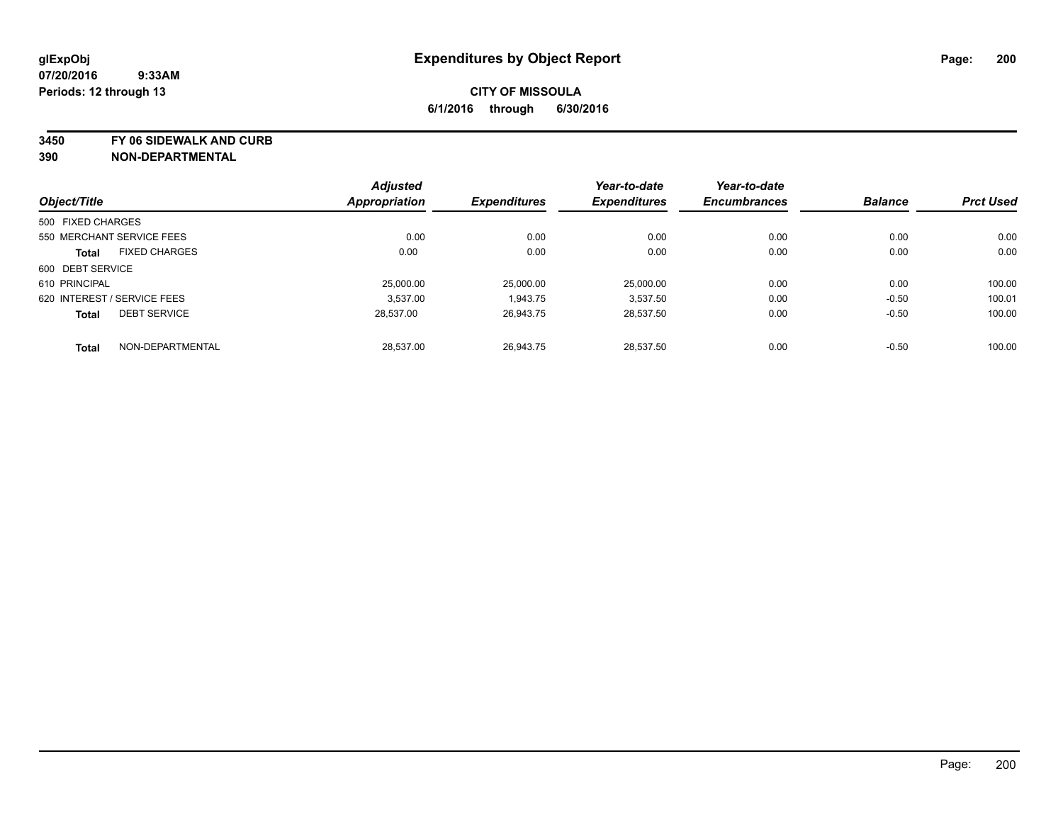**3450 FY 06 SIDEWALK AND CURB**

|                   |                             | <b>Adjusted</b>      |                     | Year-to-date        | Year-to-date        |                |                  |
|-------------------|-----------------------------|----------------------|---------------------|---------------------|---------------------|----------------|------------------|
| Object/Title      |                             | <b>Appropriation</b> | <b>Expenditures</b> | <b>Expenditures</b> | <b>Encumbrances</b> | <b>Balance</b> | <b>Prct Used</b> |
| 500 FIXED CHARGES |                             |                      |                     |                     |                     |                |                  |
|                   | 550 MERCHANT SERVICE FEES   | 0.00                 | 0.00                | 0.00                | 0.00                | 0.00           | 0.00             |
| <b>Total</b>      | <b>FIXED CHARGES</b>        | 0.00                 | 0.00                | 0.00                | 0.00                | 0.00           | 0.00             |
| 600 DEBT SERVICE  |                             |                      |                     |                     |                     |                |                  |
| 610 PRINCIPAL     |                             | 25,000.00            | 25,000.00           | 25,000.00           | 0.00                | 0.00           | 100.00           |
|                   | 620 INTEREST / SERVICE FEES | 3.537.00             | 1,943.75            | 3,537.50            | 0.00                | $-0.50$        | 100.01           |
| <b>Total</b>      | <b>DEBT SERVICE</b>         | 28.537.00            | 26.943.75           | 28.537.50           | 0.00                | $-0.50$        | 100.00           |
| <b>Total</b>      | NON-DEPARTMENTAL            | 28.537.00            | 26.943.75           | 28.537.50           | 0.00                | $-0.50$        | 100.00           |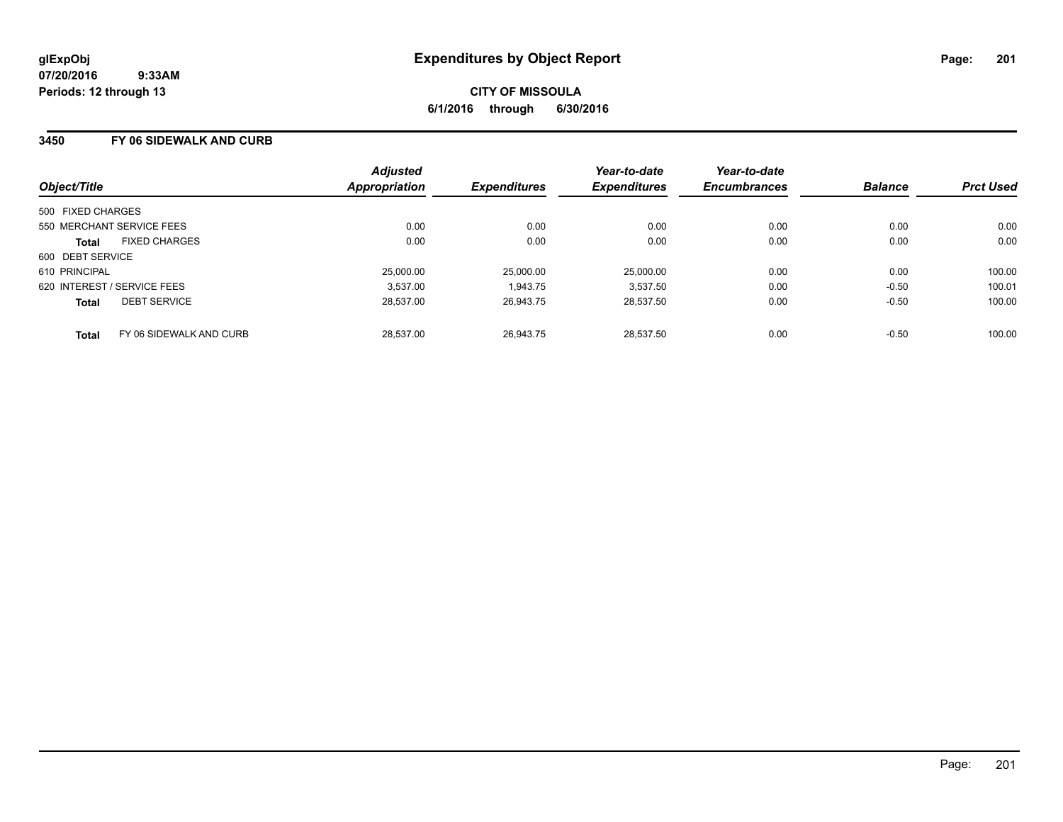### **3450 FY 06 SIDEWALK AND CURB**

| Object/Title                |                         | <b>Adjusted</b><br><b>Appropriation</b> | <b>Expenditures</b> | Year-to-date<br><b>Expenditures</b> | Year-to-date<br><b>Encumbrances</b> | <b>Balance</b> | <b>Prct Used</b> |
|-----------------------------|-------------------------|-----------------------------------------|---------------------|-------------------------------------|-------------------------------------|----------------|------------------|
| 500 FIXED CHARGES           |                         |                                         |                     |                                     |                                     |                |                  |
| 550 MERCHANT SERVICE FEES   |                         | 0.00                                    | 0.00                | 0.00                                | 0.00                                | 0.00           | 0.00             |
| Total                       | <b>FIXED CHARGES</b>    | 0.00                                    | 0.00                | 0.00                                | 0.00                                | 0.00           | 0.00             |
| 600 DEBT SERVICE            |                         |                                         |                     |                                     |                                     |                |                  |
| 610 PRINCIPAL               |                         | 25,000.00                               | 25,000.00           | 25.000.00                           | 0.00                                | 0.00           | 100.00           |
| 620 INTEREST / SERVICE FEES |                         | 3.537.00                                | 1.943.75            | 3.537.50                            | 0.00                                | $-0.50$        | 100.01           |
| <b>Total</b>                | <b>DEBT SERVICE</b>     | 28.537.00                               | 26,943.75           | 28.537.50                           | 0.00                                | $-0.50$        | 100.00           |
| <b>Total</b>                | FY 06 SIDEWALK AND CURB | 28.537.00                               | 26.943.75           | 28.537.50                           | 0.00                                | $-0.50$        | 100.00           |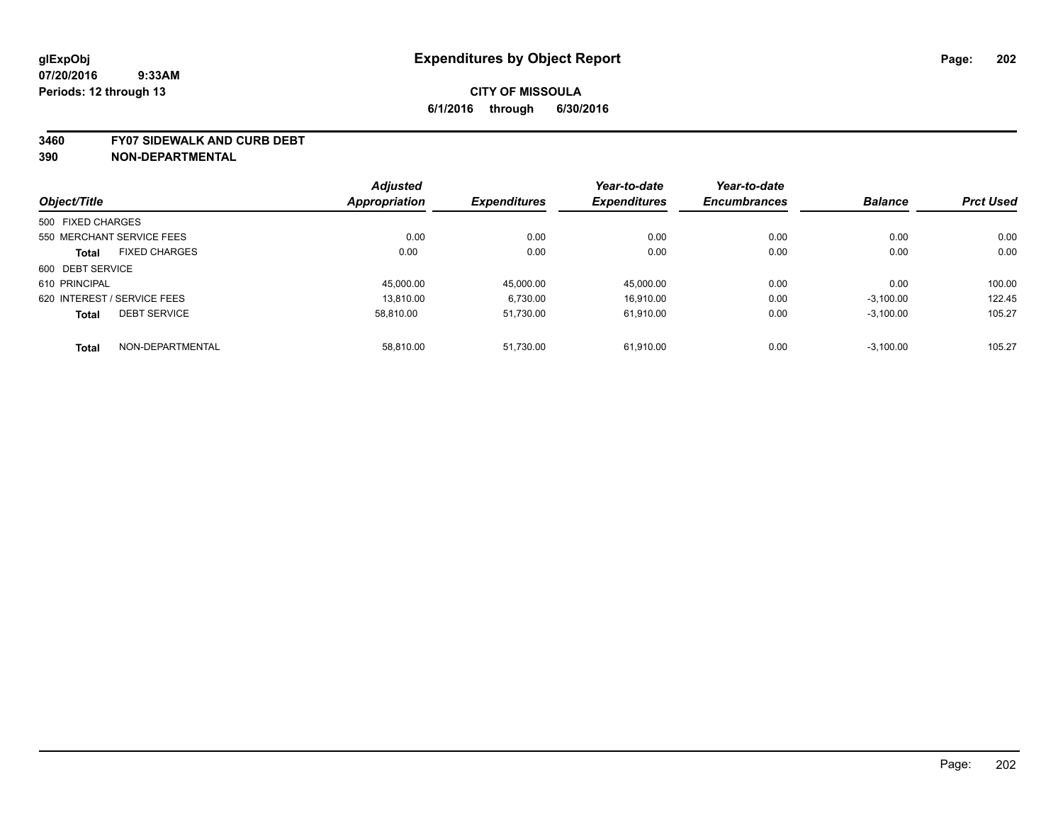#### **3460 FY07 SIDEWALK AND CURB DEBT**

|                             |                      | <b>Adjusted</b> |                     | Year-to-date        | Year-to-date        |                |                  |
|-----------------------------|----------------------|-----------------|---------------------|---------------------|---------------------|----------------|------------------|
| Object/Title                |                      | Appropriation   | <b>Expenditures</b> | <b>Expenditures</b> | <b>Encumbrances</b> | <b>Balance</b> | <b>Prct Used</b> |
| 500 FIXED CHARGES           |                      |                 |                     |                     |                     |                |                  |
| 550 MERCHANT SERVICE FEES   |                      | 0.00            | 0.00                | 0.00                | 0.00                | 0.00           | 0.00             |
| <b>Total</b>                | <b>FIXED CHARGES</b> | 0.00            | 0.00                | 0.00                | 0.00                | 0.00           | 0.00             |
| 600 DEBT SERVICE            |                      |                 |                     |                     |                     |                |                  |
| 610 PRINCIPAL               |                      | 45,000.00       | 45,000.00           | 45,000.00           | 0.00                | 0.00           | 100.00           |
| 620 INTEREST / SERVICE FEES |                      | 13.810.00       | 6,730.00            | 16.910.00           | 0.00                | $-3,100.00$    | 122.45           |
| <b>Total</b>                | <b>DEBT SERVICE</b>  | 58.810.00       | 51,730.00           | 61.910.00           | 0.00                | $-3,100.00$    | 105.27           |
| <b>Total</b>                | NON-DEPARTMENTAL     | 58.810.00       | 51.730.00           | 61.910.00           | 0.00                | $-3.100.00$    | 105.27           |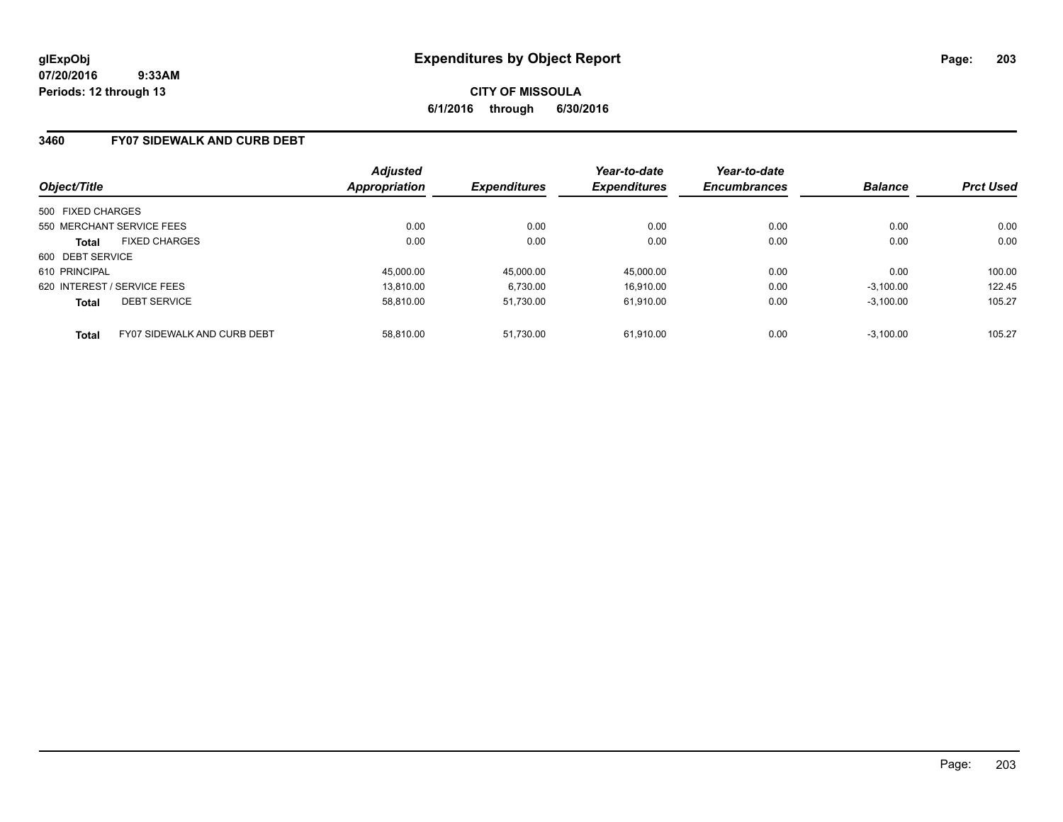**CITY OF MISSOULA 6/1/2016 through 6/30/2016**

### **3460 FY07 SIDEWALK AND CURB DEBT**

| Object/Title                        |                                    | <b>Adjusted</b><br>Appropriation | <b>Expenditures</b> | Year-to-date<br><b>Expenditures</b> | Year-to-date<br><b>Encumbrances</b> | <b>Balance</b> | <b>Prct Used</b> |
|-------------------------------------|------------------------------------|----------------------------------|---------------------|-------------------------------------|-------------------------------------|----------------|------------------|
| 500 FIXED CHARGES                   |                                    |                                  |                     |                                     |                                     |                |                  |
| 550 MERCHANT SERVICE FEES           |                                    | 0.00                             | 0.00                | 0.00                                | 0.00                                | 0.00           | 0.00             |
| <b>Total</b>                        | <b>FIXED CHARGES</b>               | 0.00                             | 0.00                | 0.00                                | 0.00                                | 0.00           | 0.00             |
| 600 DEBT SERVICE                    |                                    |                                  |                     |                                     |                                     |                |                  |
| 610 PRINCIPAL                       |                                    | 45,000.00                        | 45.000.00           | 45.000.00                           | 0.00                                | 0.00           | 100.00           |
| 620 INTEREST / SERVICE FEES         |                                    | 13.810.00                        | 6.730.00            | 16.910.00                           | 0.00                                | $-3.100.00$    | 122.45           |
| <b>DEBT SERVICE</b><br><b>Total</b> |                                    | 58.810.00                        | 51.730.00           | 61.910.00                           | 0.00                                | $-3.100.00$    | 105.27           |
| <b>Total</b>                        | <b>FY07 SIDEWALK AND CURB DEBT</b> | 58.810.00                        | 51.730.00           | 61.910.00                           | 0.00                                | $-3.100.00$    | 105.27           |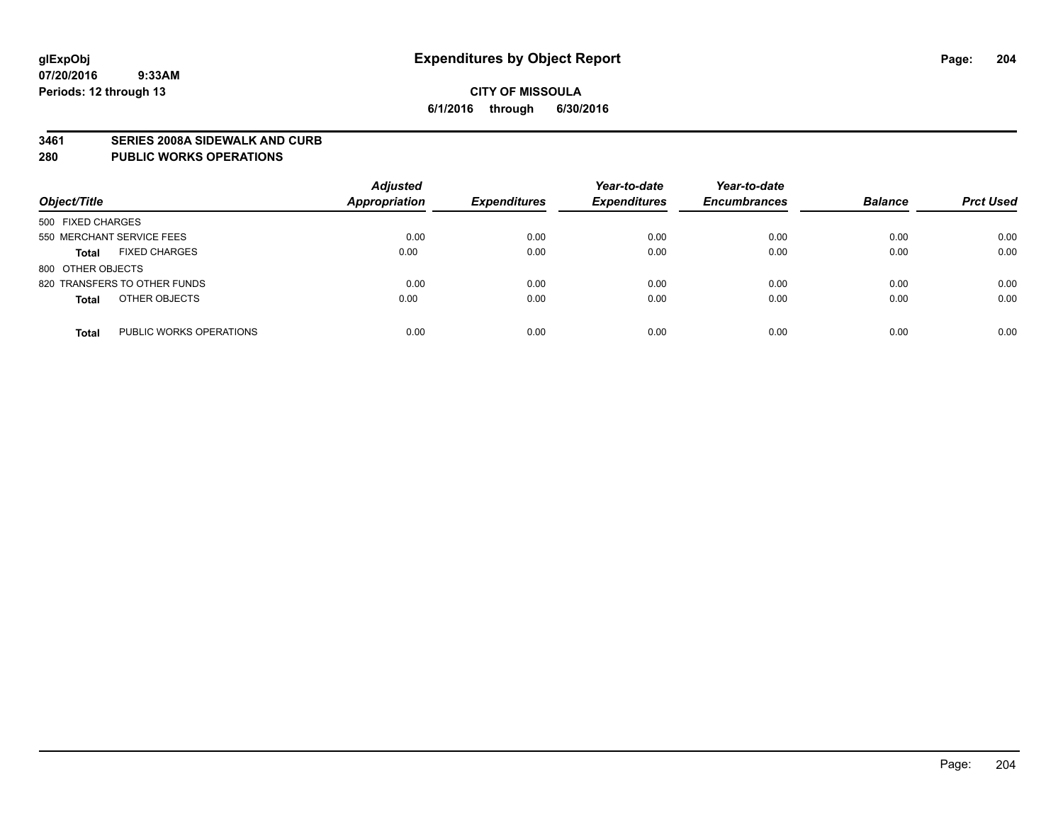#### **3461 SERIES 2008A SIDEWALK AND CURB**

#### **280 PUBLIC WORKS OPERATIONS**

| Object/Title                            | <b>Adjusted</b><br><b>Appropriation</b> | <b>Expenditures</b> | Year-to-date<br><b>Expenditures</b> | Year-to-date<br><b>Encumbrances</b> | <b>Balance</b> | <b>Prct Used</b> |
|-----------------------------------------|-----------------------------------------|---------------------|-------------------------------------|-------------------------------------|----------------|------------------|
| 500 FIXED CHARGES                       |                                         |                     |                                     |                                     |                |                  |
| 550 MERCHANT SERVICE FEES               | 0.00                                    | 0.00                | 0.00                                | 0.00                                | 0.00           | 0.00             |
| <b>FIXED CHARGES</b><br><b>Total</b>    | 0.00                                    | 0.00                | 0.00                                | 0.00                                | 0.00           | 0.00             |
| 800 OTHER OBJECTS                       |                                         |                     |                                     |                                     |                |                  |
| 820 TRANSFERS TO OTHER FUNDS            | 0.00                                    | 0.00                | 0.00                                | 0.00                                | 0.00           | 0.00             |
| OTHER OBJECTS<br><b>Total</b>           | 0.00                                    | 0.00                | 0.00                                | 0.00                                | 0.00           | 0.00             |
| PUBLIC WORKS OPERATIONS<br><b>Total</b> | 0.00                                    | 0.00                | 0.00                                | 0.00                                | 0.00           | 0.00             |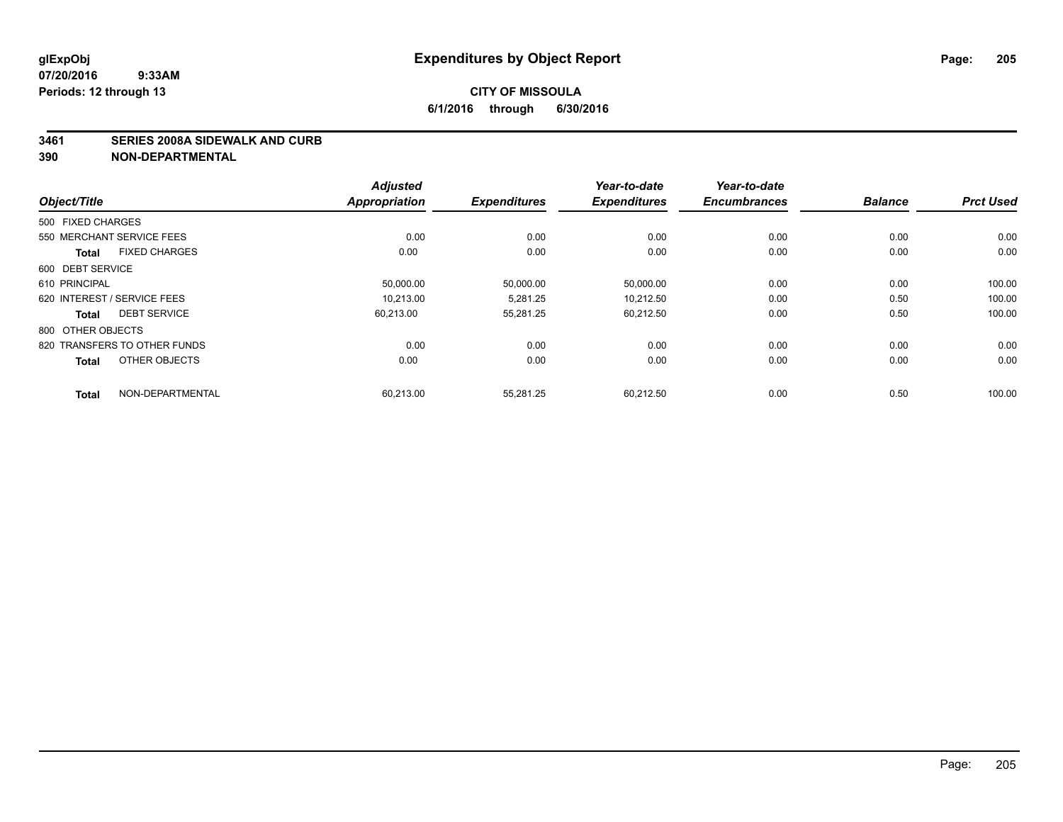#### **3461 SERIES 2008A SIDEWALK AND CURB**

|                             |                              | <b>Adjusted</b>      |                     | Year-to-date        | Year-to-date        |                |                  |
|-----------------------------|------------------------------|----------------------|---------------------|---------------------|---------------------|----------------|------------------|
| Object/Title                |                              | <b>Appropriation</b> | <b>Expenditures</b> | <b>Expenditures</b> | <b>Encumbrances</b> | <b>Balance</b> | <b>Prct Used</b> |
| 500 FIXED CHARGES           |                              |                      |                     |                     |                     |                |                  |
| 550 MERCHANT SERVICE FEES   |                              | 0.00                 | 0.00                | 0.00                | 0.00                | 0.00           | 0.00             |
| <b>Total</b>                | <b>FIXED CHARGES</b>         | 0.00                 | 0.00                | 0.00                | 0.00                | 0.00           | 0.00             |
| 600 DEBT SERVICE            |                              |                      |                     |                     |                     |                |                  |
| 610 PRINCIPAL               |                              | 50,000.00            | 50,000.00           | 50,000.00           | 0.00                | 0.00           | 100.00           |
| 620 INTEREST / SERVICE FEES |                              | 10.213.00            | 5.281.25            | 10.212.50           | 0.00                | 0.50           | 100.00           |
| <b>Total</b>                | <b>DEBT SERVICE</b>          | 60.213.00            | 55,281.25           | 60,212.50           | 0.00                | 0.50           | 100.00           |
| 800 OTHER OBJECTS           |                              |                      |                     |                     |                     |                |                  |
|                             | 820 TRANSFERS TO OTHER FUNDS | 0.00                 | 0.00                | 0.00                | 0.00                | 0.00           | 0.00             |
| <b>Total</b>                | OTHER OBJECTS                | 0.00                 | 0.00                | 0.00                | 0.00                | 0.00           | 0.00             |
| <b>Total</b>                | NON-DEPARTMENTAL             | 60,213.00            | 55,281.25           | 60,212.50           | 0.00                | 0.50           | 100.00           |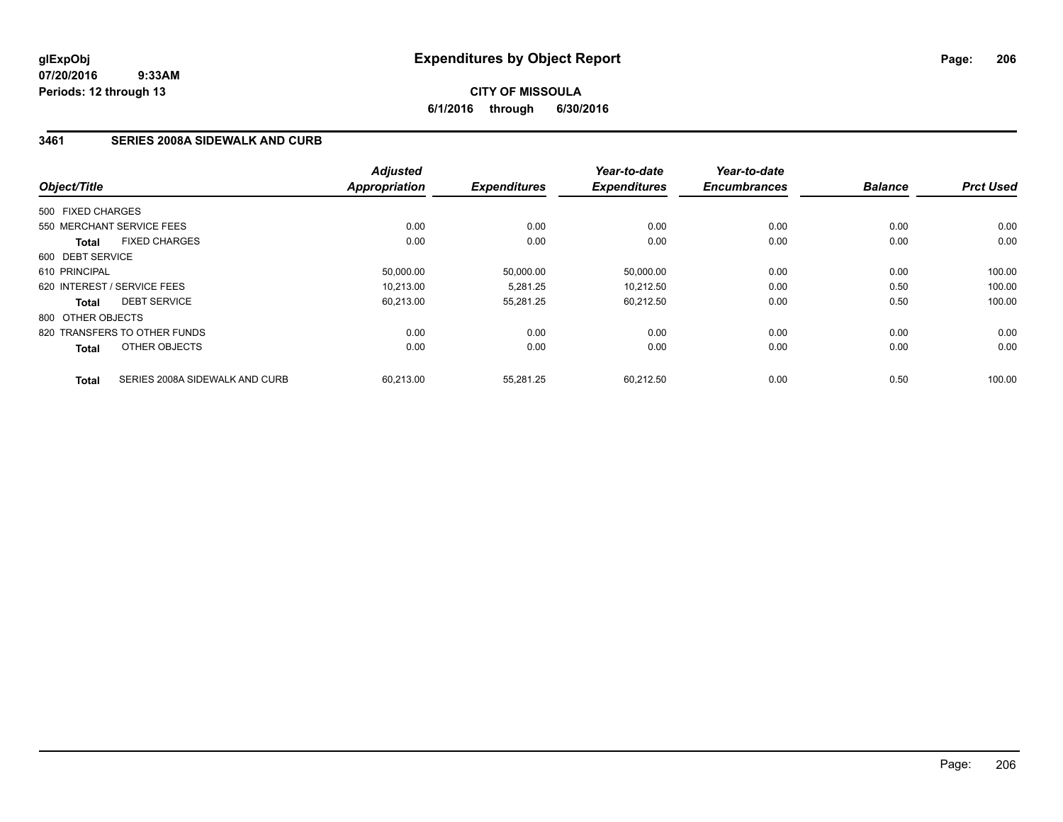## **CITY OF MISSOULA 6/1/2016 through 6/30/2016**

## **3461 SERIES 2008A SIDEWALK AND CURB**

| Object/Title      |                                | <b>Adjusted</b><br><b>Appropriation</b> | <b>Expenditures</b> | Year-to-date<br><b>Expenditures</b> | Year-to-date<br><b>Encumbrances</b> | <b>Balance</b> | <b>Prct Used</b> |
|-------------------|--------------------------------|-----------------------------------------|---------------------|-------------------------------------|-------------------------------------|----------------|------------------|
|                   |                                |                                         |                     |                                     |                                     |                |                  |
| 500 FIXED CHARGES |                                |                                         |                     |                                     |                                     |                |                  |
|                   | 550 MERCHANT SERVICE FEES      | 0.00                                    | 0.00                | 0.00                                | 0.00                                | 0.00           | 0.00             |
| <b>Total</b>      | <b>FIXED CHARGES</b>           | 0.00                                    | 0.00                | 0.00                                | 0.00                                | 0.00           | 0.00             |
| 600 DEBT SERVICE  |                                |                                         |                     |                                     |                                     |                |                  |
| 610 PRINCIPAL     |                                | 50,000.00                               | 50,000.00           | 50,000.00                           | 0.00                                | 0.00           | 100.00           |
|                   | 620 INTEREST / SERVICE FEES    | 10.213.00                               | 5.281.25            | 10,212.50                           | 0.00                                | 0.50           | 100.00           |
| <b>Total</b>      | <b>DEBT SERVICE</b>            | 60,213.00                               | 55,281.25           | 60.212.50                           | 0.00                                | 0.50           | 100.00           |
| 800 OTHER OBJECTS |                                |                                         |                     |                                     |                                     |                |                  |
|                   | 820 TRANSFERS TO OTHER FUNDS   | 0.00                                    | 0.00                | 0.00                                | 0.00                                | 0.00           | 0.00             |
| <b>Total</b>      | OTHER OBJECTS                  | 0.00                                    | 0.00                | 0.00                                | 0.00                                | 0.00           | 0.00             |
| <b>Total</b>      | SERIES 2008A SIDEWALK AND CURB | 60.213.00                               | 55.281.25           | 60.212.50                           | 0.00                                | 0.50           | 100.00           |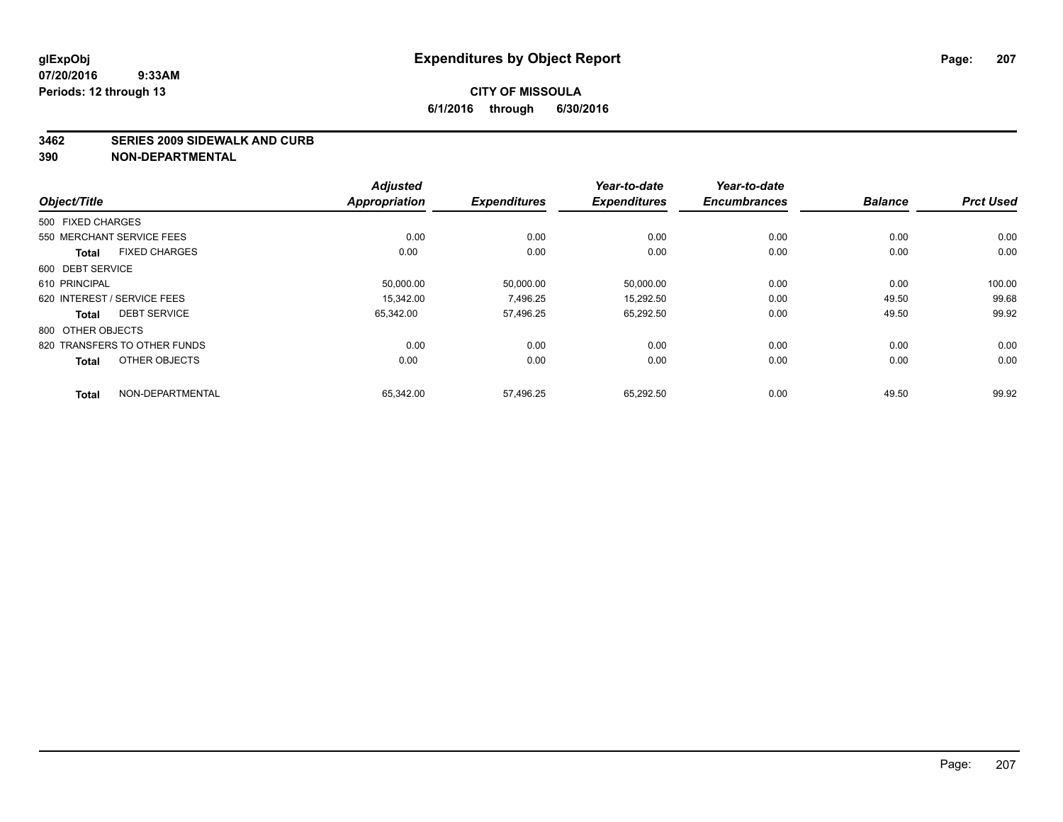#### **3462 SERIES 2009 SIDEWALK AND CURB**

|                              |                      | <b>Adjusted</b>      |                     | Year-to-date        | Year-to-date        |                |                  |
|------------------------------|----------------------|----------------------|---------------------|---------------------|---------------------|----------------|------------------|
| Object/Title                 |                      | <b>Appropriation</b> | <b>Expenditures</b> | <b>Expenditures</b> | <b>Encumbrances</b> | <b>Balance</b> | <b>Prct Used</b> |
| 500 FIXED CHARGES            |                      |                      |                     |                     |                     |                |                  |
| 550 MERCHANT SERVICE FEES    |                      | 0.00                 | 0.00                | 0.00                | 0.00                | 0.00           | 0.00             |
| <b>Total</b>                 | <b>FIXED CHARGES</b> | 0.00                 | 0.00                | 0.00                | 0.00                | 0.00           | 0.00             |
| 600 DEBT SERVICE             |                      |                      |                     |                     |                     |                |                  |
| 610 PRINCIPAL                |                      | 50,000.00            | 50,000.00           | 50,000.00           | 0.00                | 0.00           | 100.00           |
| 620 INTEREST / SERVICE FEES  |                      | 15.342.00            | 7.496.25            | 15,292.50           | 0.00                | 49.50          | 99.68            |
| <b>Total</b>                 | <b>DEBT SERVICE</b>  | 65,342.00            | 57,496.25           | 65,292.50           | 0.00                | 49.50          | 99.92            |
| 800 OTHER OBJECTS            |                      |                      |                     |                     |                     |                |                  |
| 820 TRANSFERS TO OTHER FUNDS |                      | 0.00                 | 0.00                | 0.00                | 0.00                | 0.00           | 0.00             |
| <b>Total</b>                 | OTHER OBJECTS        | 0.00                 | 0.00                | 0.00                | 0.00                | 0.00           | 0.00             |
| <b>Total</b>                 | NON-DEPARTMENTAL     | 65,342.00            | 57,496.25           | 65,292.50           | 0.00                | 49.50          | 99.92            |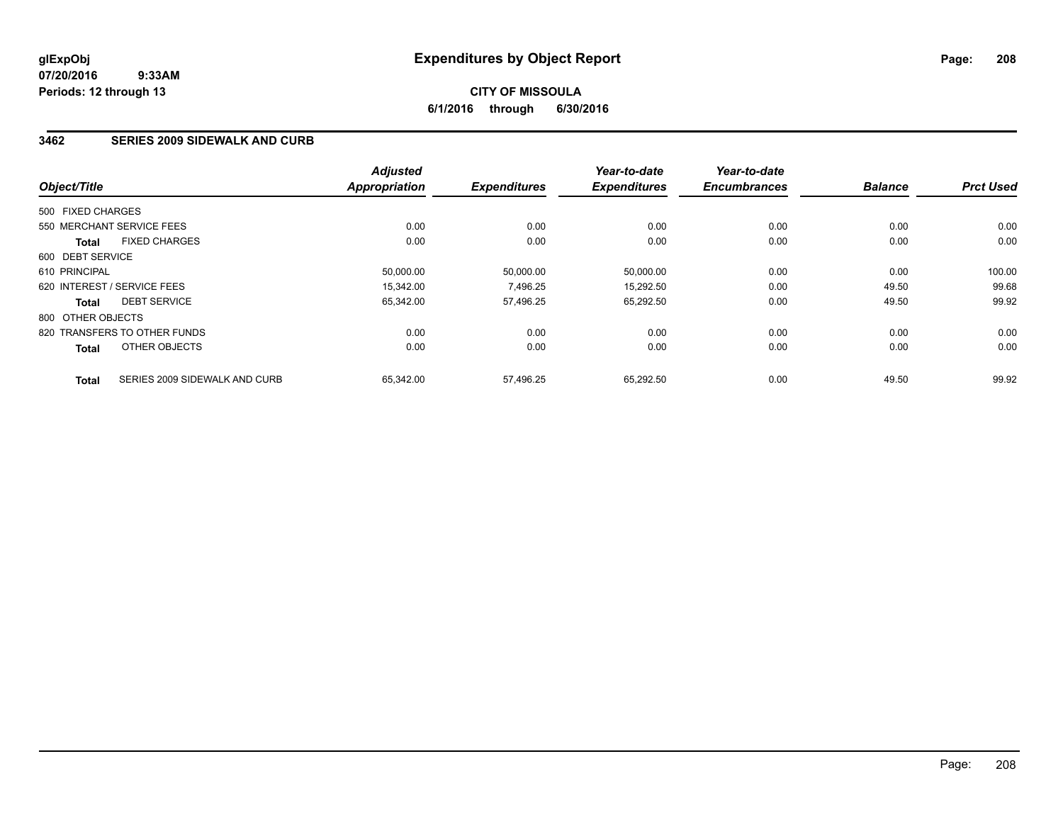## **CITY OF MISSOULA 6/1/2016 through 6/30/2016**

### **3462 SERIES 2009 SIDEWALK AND CURB**

| Object/Title      |                               | <b>Adjusted</b>      | <b>Expenditures</b> | Year-to-date<br><b>Expenditures</b> | Year-to-date<br><b>Encumbrances</b> | <b>Balance</b> | <b>Prct Used</b> |
|-------------------|-------------------------------|----------------------|---------------------|-------------------------------------|-------------------------------------|----------------|------------------|
|                   |                               | <b>Appropriation</b> |                     |                                     |                                     |                |                  |
| 500 FIXED CHARGES |                               |                      |                     |                                     |                                     |                |                  |
|                   | 550 MERCHANT SERVICE FEES     | 0.00                 | 0.00                | 0.00                                | 0.00                                | 0.00           | 0.00             |
| <b>Total</b>      | <b>FIXED CHARGES</b>          | 0.00                 | 0.00                | 0.00                                | 0.00                                | 0.00           | 0.00             |
| 600 DEBT SERVICE  |                               |                      |                     |                                     |                                     |                |                  |
| 610 PRINCIPAL     |                               | 50.000.00            | 50,000.00           | 50,000.00                           | 0.00                                | 0.00           | 100.00           |
|                   | 620 INTEREST / SERVICE FEES   | 15,342.00            | 7,496.25            | 15,292.50                           | 0.00                                | 49.50          | 99.68            |
| <b>Total</b>      | <b>DEBT SERVICE</b>           | 65,342.00            | 57,496.25           | 65,292.50                           | 0.00                                | 49.50          | 99.92            |
| 800 OTHER OBJECTS |                               |                      |                     |                                     |                                     |                |                  |
|                   | 820 TRANSFERS TO OTHER FUNDS  | 0.00                 | 0.00                | 0.00                                | 0.00                                | 0.00           | 0.00             |
| <b>Total</b>      | OTHER OBJECTS                 | 0.00                 | 0.00                | 0.00                                | 0.00                                | 0.00           | 0.00             |
| <b>Total</b>      | SERIES 2009 SIDEWALK AND CURB | 65,342.00            | 57.496.25           | 65,292.50                           | 0.00                                | 49.50          | 99.92            |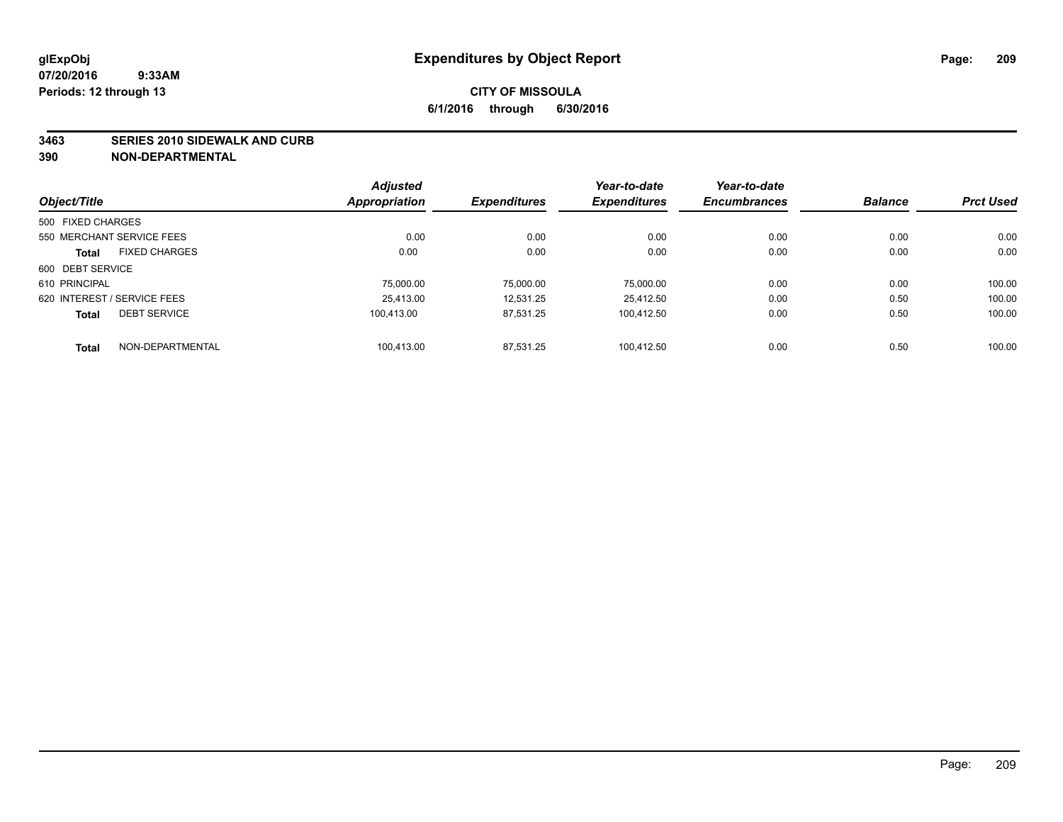#### **3463 SERIES 2010 SIDEWALK AND CURB**

|                                      | <b>Adjusted</b> |                     | Year-to-date        | Year-to-date        |                |                  |
|--------------------------------------|-----------------|---------------------|---------------------|---------------------|----------------|------------------|
| Object/Title                         | Appropriation   | <b>Expenditures</b> | <b>Expenditures</b> | <b>Encumbrances</b> | <b>Balance</b> | <b>Prct Used</b> |
| 500 FIXED CHARGES                    |                 |                     |                     |                     |                |                  |
| 550 MERCHANT SERVICE FEES            | 0.00            | 0.00                | 0.00                | 0.00                | 0.00           | 0.00             |
| <b>FIXED CHARGES</b><br><b>Total</b> | 0.00            | 0.00                | 0.00                | 0.00                | 0.00           | 0.00             |
| 600 DEBT SERVICE                     |                 |                     |                     |                     |                |                  |
| 610 PRINCIPAL                        | 75,000.00       | 75.000.00           | 75.000.00           | 0.00                | 0.00           | 100.00           |
| 620 INTEREST / SERVICE FEES          | 25.413.00       | 12.531.25           | 25.412.50           | 0.00                | 0.50           | 100.00           |
| <b>DEBT SERVICE</b><br><b>Total</b>  | 100.413.00      | 87.531.25           | 100.412.50          | 0.00                | 0.50           | 100.00           |
| NON-DEPARTMENTAL<br><b>Total</b>     | 100.413.00      | 87.531.25           | 100.412.50          | 0.00                | 0.50           | 100.00           |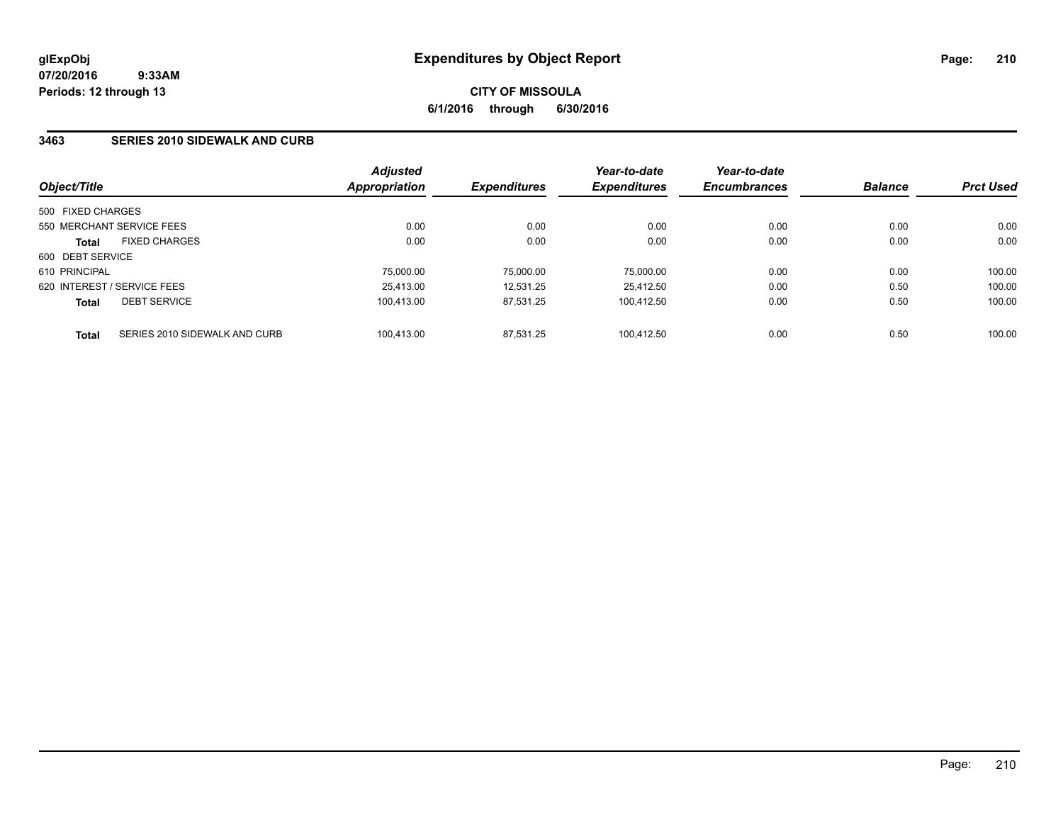### **3463 SERIES 2010 SIDEWALK AND CURB**

| Object/Title      |                               | <b>Adjusted</b><br>Appropriation | <b>Expenditures</b> | Year-to-date<br><b>Expenditures</b> | Year-to-date<br><b>Encumbrances</b> | <b>Balance</b> | <b>Prct Used</b> |
|-------------------|-------------------------------|----------------------------------|---------------------|-------------------------------------|-------------------------------------|----------------|------------------|
| 500 FIXED CHARGES |                               |                                  |                     |                                     |                                     |                |                  |
|                   | 550 MERCHANT SERVICE FEES     | 0.00                             | 0.00                | 0.00                                | 0.00                                | 0.00           | 0.00             |
| <b>Total</b>      | <b>FIXED CHARGES</b>          | 0.00                             | 0.00                | 0.00                                | 0.00                                | 0.00           | 0.00             |
| 600 DEBT SERVICE  |                               |                                  |                     |                                     |                                     |                |                  |
| 610 PRINCIPAL     |                               | 75,000.00                        | 75.000.00           | 75.000.00                           | 0.00                                | 0.00           | 100.00           |
|                   | 620 INTEREST / SERVICE FEES   | 25.413.00                        | 12.531.25           | 25.412.50                           | 0.00                                | 0.50           | 100.00           |
| <b>Total</b>      | <b>DEBT SERVICE</b>           | 100.413.00                       | 87.531.25           | 100.412.50                          | 0.00                                | 0.50           | 100.00           |
| <b>Total</b>      | SERIES 2010 SIDEWALK AND CURB | 100.413.00                       | 87.531.25           | 100.412.50                          | 0.00                                | 0.50           | 100.00           |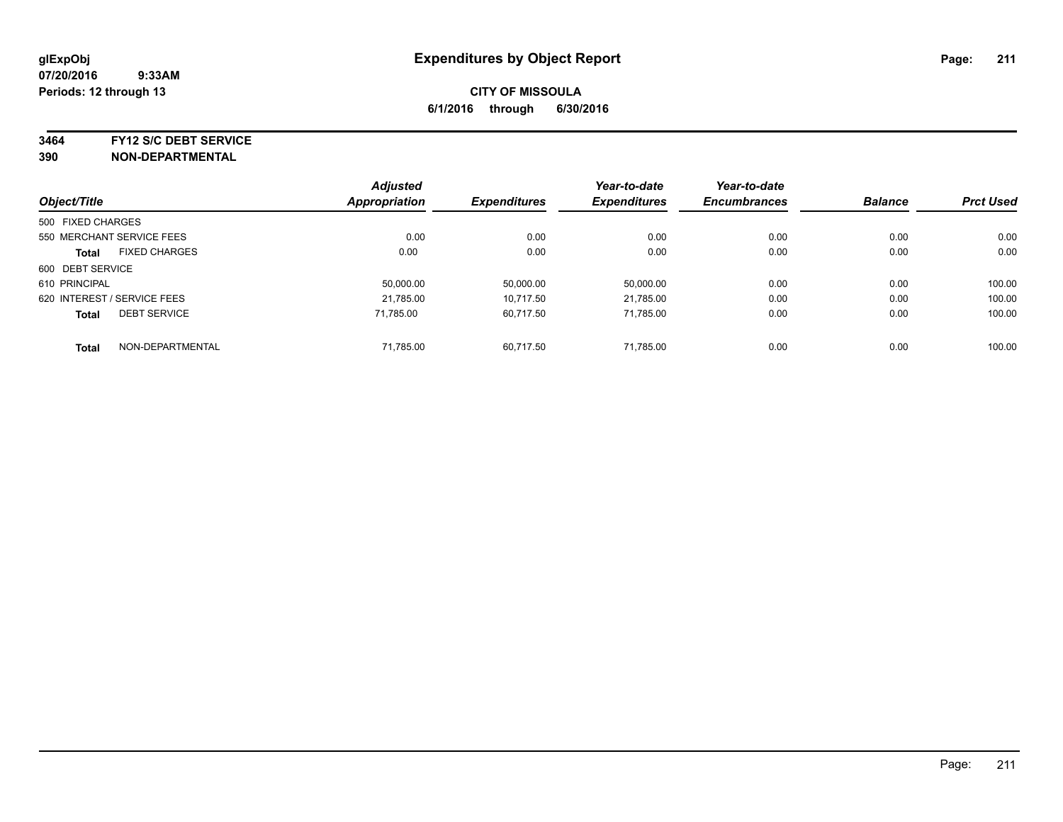**3464 FY12 S/C DEBT SERVICE**

|                   |                             | <b>Adjusted</b> |                     | Year-to-date        | Year-to-date        |                |                  |
|-------------------|-----------------------------|-----------------|---------------------|---------------------|---------------------|----------------|------------------|
| Object/Title      |                             | Appropriation   | <b>Expenditures</b> | <b>Expenditures</b> | <b>Encumbrances</b> | <b>Balance</b> | <b>Prct Used</b> |
| 500 FIXED CHARGES |                             |                 |                     |                     |                     |                |                  |
|                   | 550 MERCHANT SERVICE FEES   | 0.00            | 0.00                | 0.00                | 0.00                | 0.00           | 0.00             |
| <b>Total</b>      | <b>FIXED CHARGES</b>        | 0.00            | 0.00                | 0.00                | 0.00                | 0.00           | 0.00             |
| 600 DEBT SERVICE  |                             |                 |                     |                     |                     |                |                  |
| 610 PRINCIPAL     |                             | 50.000.00       | 50,000.00           | 50,000.00           | 0.00                | 0.00           | 100.00           |
|                   | 620 INTEREST / SERVICE FEES | 21.785.00       | 10.717.50           | 21.785.00           | 0.00                | 0.00           | 100.00           |
| <b>Total</b>      | <b>DEBT SERVICE</b>         | 71.785.00       | 60.717.50           | 71.785.00           | 0.00                | 0.00           | 100.00           |
| <b>Total</b>      | NON-DEPARTMENTAL            | 71,785.00       | 60.717.50           | 71.785.00           | 0.00                | 0.00           | 100.00           |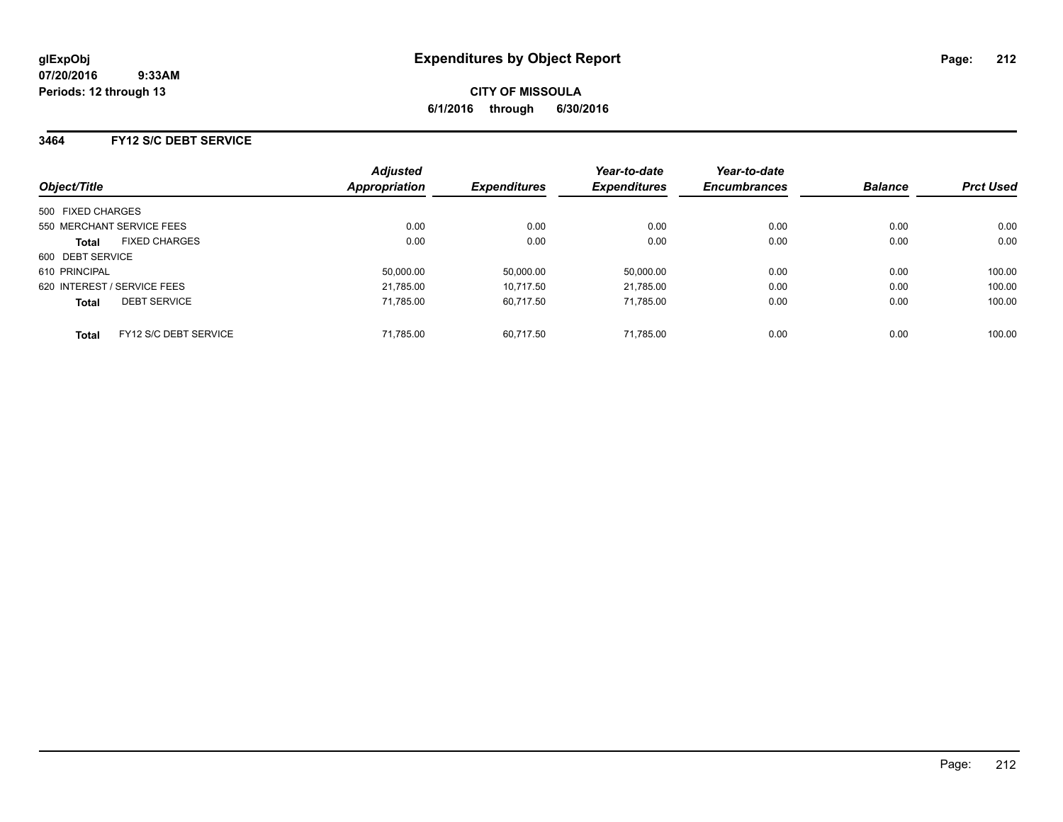### **3464 FY12 S/C DEBT SERVICE**

| Object/Title      |                             | <b>Adjusted</b><br>Appropriation | <b>Expenditures</b> | Year-to-date<br><b>Expenditures</b> | Year-to-date<br><b>Encumbrances</b> | <b>Balance</b> | <b>Prct Used</b> |
|-------------------|-----------------------------|----------------------------------|---------------------|-------------------------------------|-------------------------------------|----------------|------------------|
| 500 FIXED CHARGES |                             |                                  |                     |                                     |                                     |                |                  |
|                   | 550 MERCHANT SERVICE FEES   | 0.00                             | 0.00                | 0.00                                | 0.00                                | 0.00           | 0.00             |
| Total             | <b>FIXED CHARGES</b>        | 0.00                             | 0.00                | 0.00                                | 0.00                                | 0.00           | 0.00             |
| 600 DEBT SERVICE  |                             |                                  |                     |                                     |                                     |                |                  |
| 610 PRINCIPAL     |                             | 50,000.00                        | 50,000.00           | 50,000.00                           | 0.00                                | 0.00           | 100.00           |
|                   | 620 INTEREST / SERVICE FEES | 21.785.00                        | 10.717.50           | 21.785.00                           | 0.00                                | 0.00           | 100.00           |
| <b>Total</b>      | <b>DEBT SERVICE</b>         | 71.785.00                        | 60.717.50           | 71.785.00                           | 0.00                                | 0.00           | 100.00           |
| <b>Total</b>      | FY12 S/C DEBT SERVICE       | 71.785.00                        | 60.717.50           | 71.785.00                           | 0.00                                | 0.00           | 100.00           |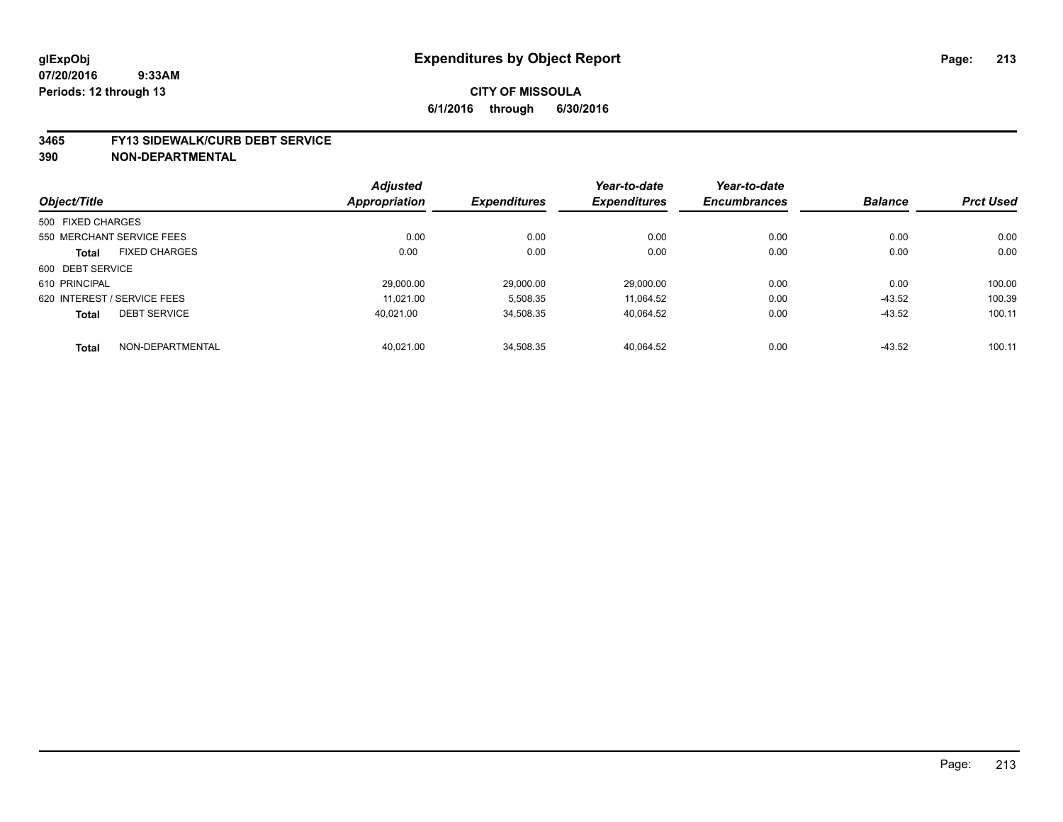#### **3465 FY13 SIDEWALK/CURB DEBT SERVICE**

|                   |                             | <b>Adjusted</b> |                     | Year-to-date        | Year-to-date        |                |                  |
|-------------------|-----------------------------|-----------------|---------------------|---------------------|---------------------|----------------|------------------|
| Object/Title      |                             | Appropriation   | <b>Expenditures</b> | <b>Expenditures</b> | <b>Encumbrances</b> | <b>Balance</b> | <b>Prct Used</b> |
| 500 FIXED CHARGES |                             |                 |                     |                     |                     |                |                  |
|                   | 550 MERCHANT SERVICE FEES   | 0.00            | 0.00                | 0.00                | 0.00                | 0.00           | 0.00             |
| <b>Total</b>      | <b>FIXED CHARGES</b>        | 0.00            | 0.00                | 0.00                | 0.00                | 0.00           | 0.00             |
| 600 DEBT SERVICE  |                             |                 |                     |                     |                     |                |                  |
| 610 PRINCIPAL     |                             | 29.000.00       | 29.000.00           | 29.000.00           | 0.00                | 0.00           | 100.00           |
|                   | 620 INTEREST / SERVICE FEES | 11.021.00       | 5,508.35            | 11.064.52           | 0.00                | $-43.52$       | 100.39           |
| <b>Total</b>      | <b>DEBT SERVICE</b>         | 40.021.00       | 34,508.35           | 40,064.52           | 0.00                | $-43.52$       | 100.11           |
| <b>Total</b>      | NON-DEPARTMENTAL            | 40.021.00       | 34,508.35           | 40.064.52           | 0.00                | $-43.52$       | 100.11           |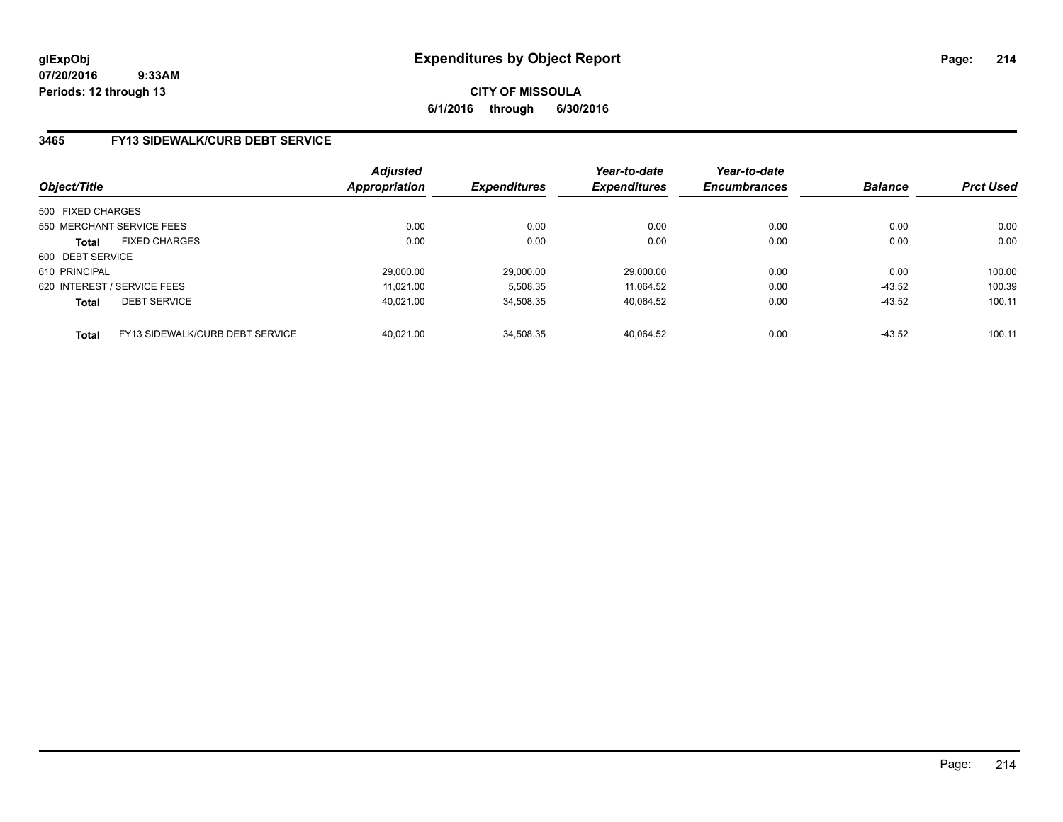**CITY OF MISSOULA 6/1/2016 through 6/30/2016**

### **3465 FY13 SIDEWALK/CURB DEBT SERVICE**

| Object/Title      |                                 | <b>Adjusted</b><br>Appropriation | <b>Expenditures</b> | Year-to-date<br><b>Expenditures</b> | Year-to-date<br><b>Encumbrances</b> | <b>Balance</b> | <b>Prct Used</b> |
|-------------------|---------------------------------|----------------------------------|---------------------|-------------------------------------|-------------------------------------|----------------|------------------|
| 500 FIXED CHARGES |                                 |                                  |                     |                                     |                                     |                |                  |
|                   | 550 MERCHANT SERVICE FEES       | 0.00                             | 0.00                | 0.00                                | 0.00                                | 0.00           | 0.00             |
| <b>Total</b>      | <b>FIXED CHARGES</b>            | 0.00                             | 0.00                | 0.00                                | 0.00                                | 0.00           | 0.00             |
| 600 DEBT SERVICE  |                                 |                                  |                     |                                     |                                     |                |                  |
| 610 PRINCIPAL     |                                 | 29,000.00                        | 29.000.00           | 29.000.00                           | 0.00                                | 0.00           | 100.00           |
|                   | 620 INTEREST / SERVICE FEES     | 11.021.00                        | 5,508.35            | 11.064.52                           | 0.00                                | $-43.52$       | 100.39           |
| <b>Total</b>      | <b>DEBT SERVICE</b>             | 40.021.00                        | 34.508.35           | 40,064.52                           | 0.00                                | $-43.52$       | 100.11           |
| <b>Total</b>      | FY13 SIDEWALK/CURB DEBT SERVICE | 40.021.00                        | 34.508.35           | 40.064.52                           | 0.00                                | $-43.52$       | 100.11           |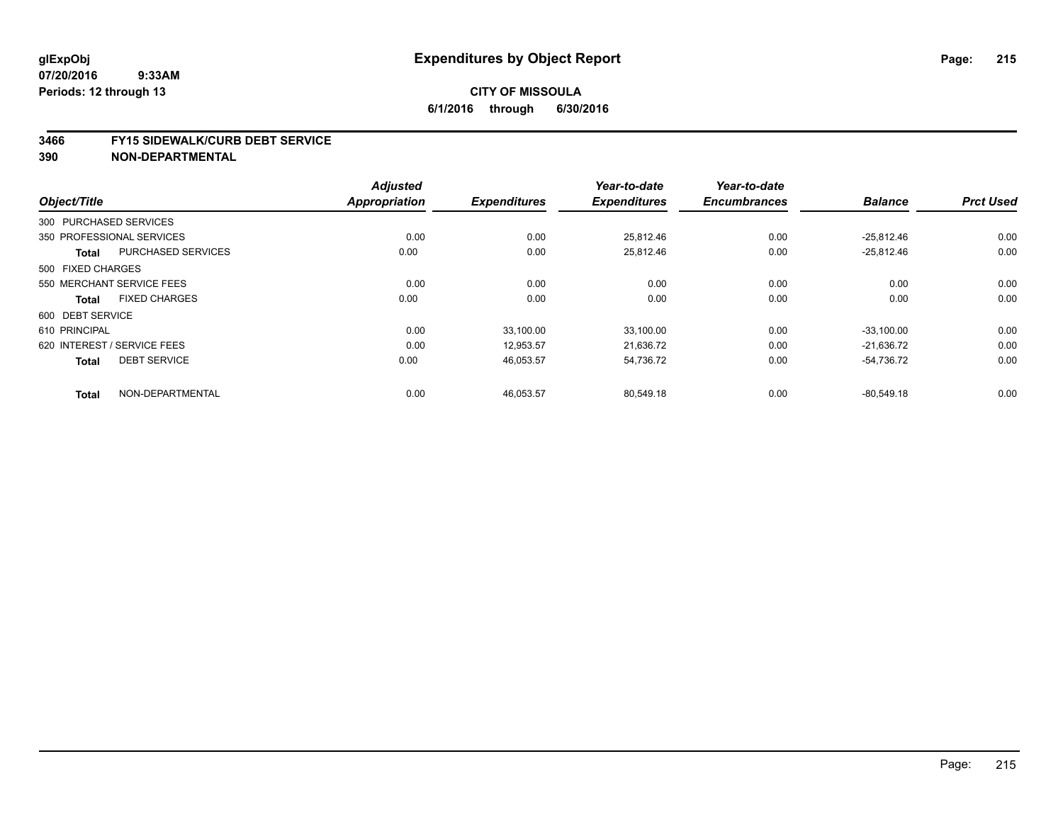## **CITY OF MISSOULA 6/1/2016 through 6/30/2016**

#### **3466 FY15 SIDEWALK/CURB DEBT SERVICE**

|                                           | <b>Adjusted</b>      |                     | Year-to-date        | Year-to-date        |                |                  |
|-------------------------------------------|----------------------|---------------------|---------------------|---------------------|----------------|------------------|
| Object/Title                              | <b>Appropriation</b> | <b>Expenditures</b> | <b>Expenditures</b> | <b>Encumbrances</b> | <b>Balance</b> | <b>Prct Used</b> |
| 300 PURCHASED SERVICES                    |                      |                     |                     |                     |                |                  |
| 350 PROFESSIONAL SERVICES                 | 0.00                 | 0.00                | 25,812.46           | 0.00                | $-25,812.46$   | 0.00             |
| <b>PURCHASED SERVICES</b><br><b>Total</b> | 0.00                 | 0.00                | 25,812.46           | 0.00                | $-25,812.46$   | 0.00             |
| 500 FIXED CHARGES                         |                      |                     |                     |                     |                |                  |
| 550 MERCHANT SERVICE FEES                 | 0.00                 | 0.00                | 0.00                | 0.00                | 0.00           | 0.00             |
| <b>FIXED CHARGES</b><br><b>Total</b>      | 0.00                 | 0.00                | 0.00                | 0.00                | 0.00           | 0.00             |
| 600 DEBT SERVICE                          |                      |                     |                     |                     |                |                  |
| 610 PRINCIPAL                             | 0.00                 | 33.100.00           | 33,100.00           | 0.00                | $-33.100.00$   | 0.00             |
| 620 INTEREST / SERVICE FEES               | 0.00                 | 12,953.57           | 21,636.72           | 0.00                | $-21,636.72$   | 0.00             |
| <b>DEBT SERVICE</b><br><b>Total</b>       | 0.00                 | 46,053.57           | 54.736.72           | 0.00                | -54.736.72     | 0.00             |
| NON-DEPARTMENTAL<br><b>Total</b>          | 0.00                 | 46,053.57           | 80,549.18           | 0.00                | $-80.549.18$   | 0.00             |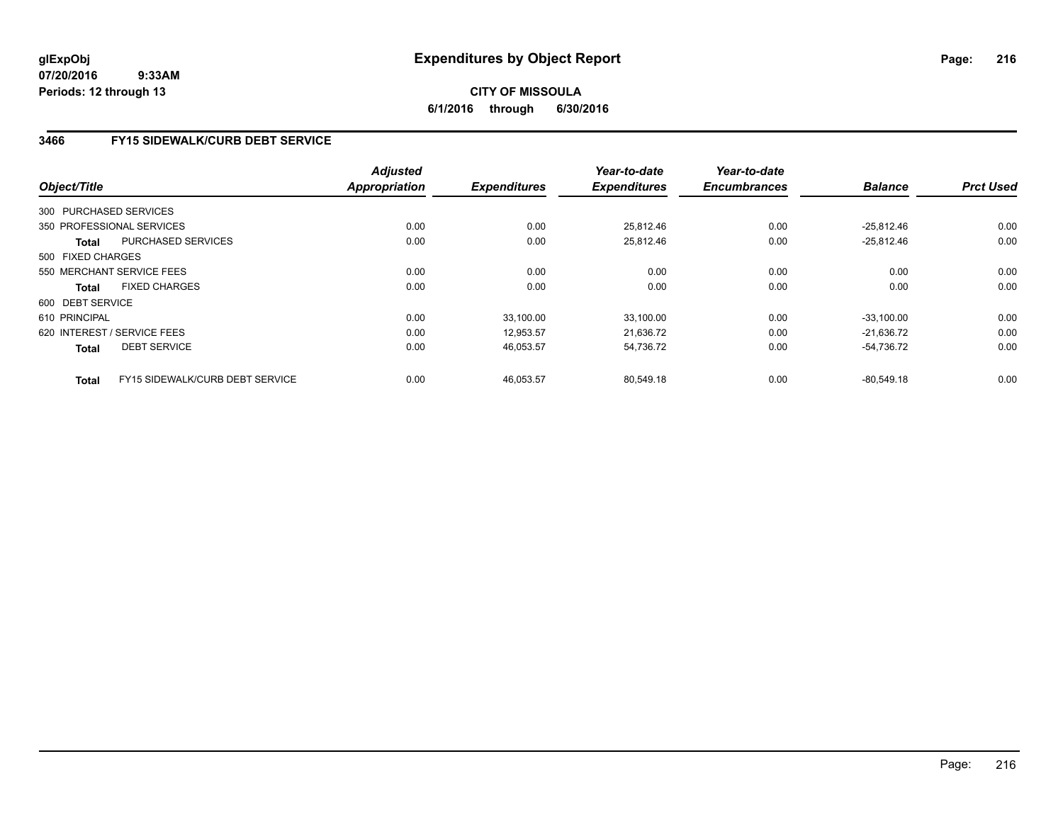## **CITY OF MISSOULA 6/1/2016 through 6/30/2016**

## **3466 FY15 SIDEWALK/CURB DEBT SERVICE**

| Object/Title      |                                 | <b>Adjusted</b><br><b>Appropriation</b> | <b>Expenditures</b> | Year-to-date<br><b>Expenditures</b> | Year-to-date<br><b>Encumbrances</b> | <b>Balance</b> | <b>Prct Used</b> |
|-------------------|---------------------------------|-----------------------------------------|---------------------|-------------------------------------|-------------------------------------|----------------|------------------|
|                   |                                 |                                         |                     |                                     |                                     |                |                  |
|                   | 300 PURCHASED SERVICES          |                                         |                     |                                     |                                     |                |                  |
|                   | 350 PROFESSIONAL SERVICES       | 0.00                                    | 0.00                | 25,812.46                           | 0.00                                | $-25,812.46$   | 0.00             |
| <b>Total</b>      | <b>PURCHASED SERVICES</b>       | 0.00                                    | 0.00                | 25,812.46                           | 0.00                                | $-25,812.46$   | 0.00             |
| 500 FIXED CHARGES |                                 |                                         |                     |                                     |                                     |                |                  |
|                   | 550 MERCHANT SERVICE FEES       | 0.00                                    | 0.00                | 0.00                                | 0.00                                | 0.00           | 0.00             |
| Total             | <b>FIXED CHARGES</b>            | 0.00                                    | 0.00                | 0.00                                | 0.00                                | 0.00           | 0.00             |
| 600 DEBT SERVICE  |                                 |                                         |                     |                                     |                                     |                |                  |
| 610 PRINCIPAL     |                                 | 0.00                                    | 33,100.00           | 33,100.00                           | 0.00                                | $-33,100.00$   | 0.00             |
|                   | 620 INTEREST / SERVICE FEES     | 0.00                                    | 12.953.57           | 21.636.72                           | 0.00                                | $-21.636.72$   | 0.00             |
| <b>Total</b>      | <b>DEBT SERVICE</b>             | 0.00                                    | 46,053.57           | 54,736.72                           | 0.00                                | $-54,736.72$   | 0.00             |
| <b>Total</b>      | FY15 SIDEWALK/CURB DEBT SERVICE | 0.00                                    | 46.053.57           | 80.549.18                           | 0.00                                | $-80.549.18$   | 0.00             |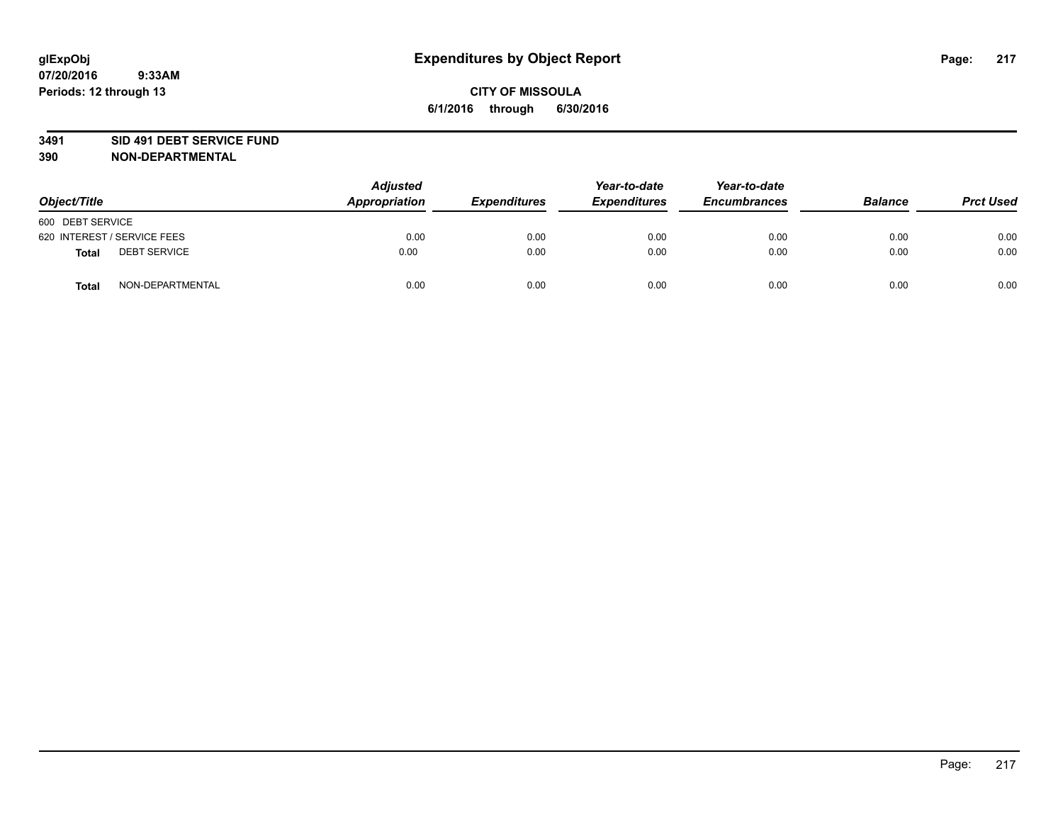#### **3491 SID 491 DEBT SERVICE FUND**

| Object/Title                 | <b>Adjusted</b><br>Appropriation | <b>Expenditures</b> | Year-to-date<br><b>Expenditures</b> | Year-to-date<br><b>Encumbrances</b> | <b>Balance</b> | <b>Prct Used</b> |
|------------------------------|----------------------------------|---------------------|-------------------------------------|-------------------------------------|----------------|------------------|
| 600 DEBT SERVICE             |                                  |                     |                                     |                                     |                |                  |
| 620 INTEREST / SERVICE FEES  | 0.00                             | 0.00                | 0.00                                | 0.00                                | 0.00           | 0.00             |
| <b>DEBT SERVICE</b><br>Total | 0.00                             | 0.00                | 0.00                                | 0.00                                | 0.00           | 0.00             |
| NON-DEPARTMENTAL<br>Total    | 0.00                             | 0.00                | 0.00                                | 0.00                                | 0.00           | 0.00             |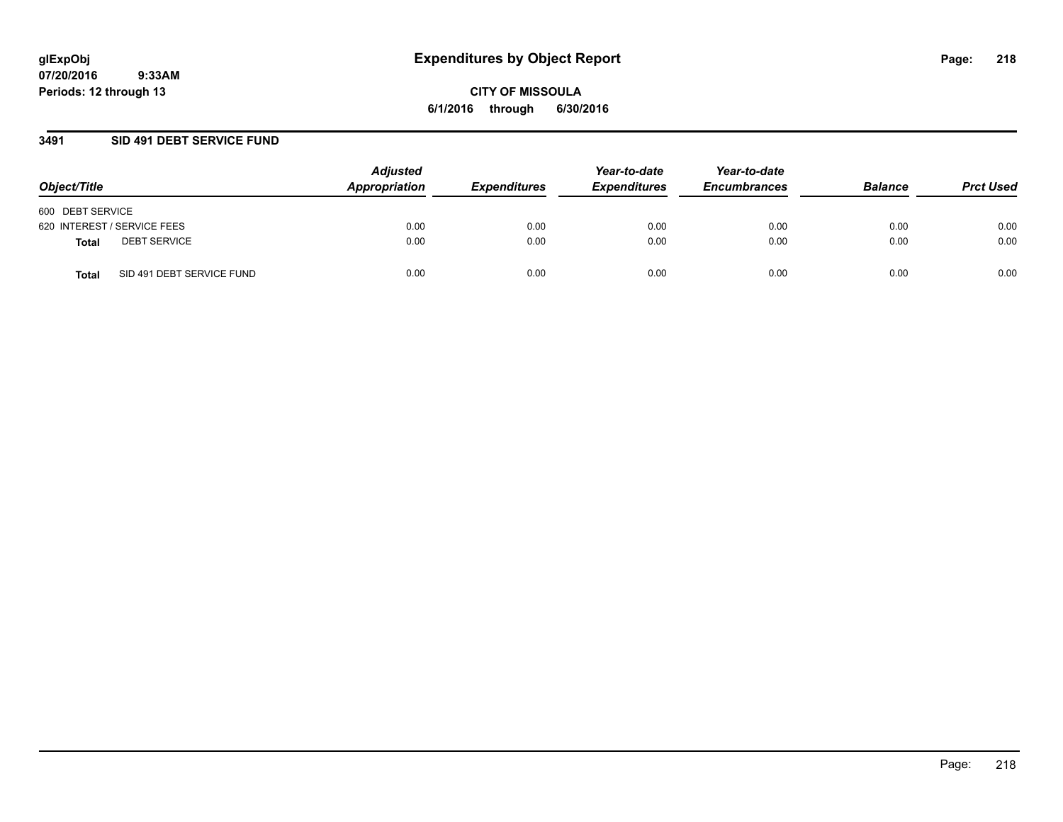### **3491 SID 491 DEBT SERVICE FUND**

| Object/Title                              | <b>Adjusted</b><br>Appropriation | <b>Expenditures</b> | Year-to-date<br><b>Expenditures</b> | Year-to-date<br><b>Encumbrances</b> | <b>Balance</b> | <b>Prct Used</b> |
|-------------------------------------------|----------------------------------|---------------------|-------------------------------------|-------------------------------------|----------------|------------------|
| 600 DEBT SERVICE                          |                                  |                     |                                     |                                     |                |                  |
| 620 INTEREST / SERVICE FEES               | 0.00                             | 0.00                | 0.00                                | 0.00                                | 0.00           | 0.00             |
| <b>DEBT SERVICE</b><br><b>Total</b>       | 0.00                             | 0.00                | 0.00                                | 0.00                                | 0.00           | 0.00             |
| SID 491 DEBT SERVICE FUND<br><b>Total</b> | 0.00                             | 0.00                | 0.00                                | 0.00                                | 0.00           | 0.00             |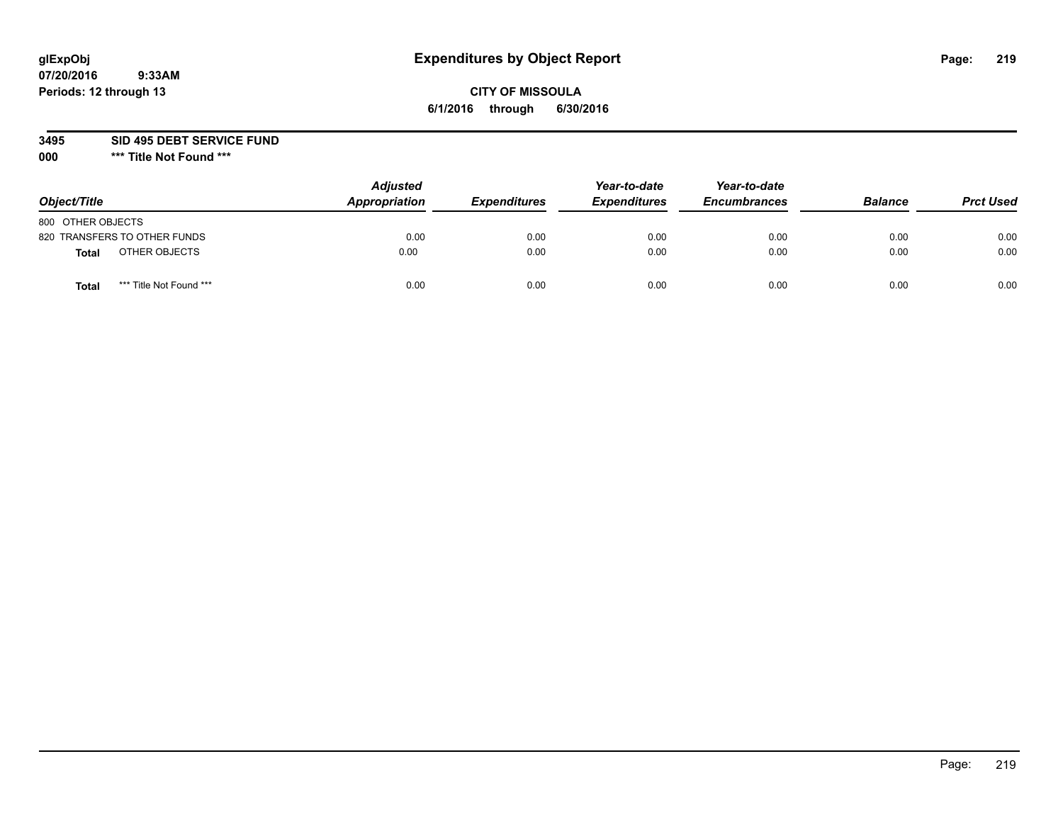## **CITY OF MISSOULA 6/1/2016 through 6/30/2016**

**3495 SID 495 DEBT SERVICE FUND**

| Object/Title                            | <b>Adjusted</b><br>Appropriation | <b>Expenditures</b> | Year-to-date<br><b>Expenditures</b> | Year-to-date<br><b>Encumbrances</b> | <b>Balance</b> | <b>Prct Used</b> |
|-----------------------------------------|----------------------------------|---------------------|-------------------------------------|-------------------------------------|----------------|------------------|
| 800 OTHER OBJECTS                       |                                  |                     |                                     |                                     |                |                  |
| 820 TRANSFERS TO OTHER FUNDS            | 0.00                             | 0.00                | 0.00                                | 0.00                                | 0.00           | 0.00             |
| OTHER OBJECTS<br><b>Total</b>           | 0.00                             | 0.00                | 0.00                                | 0.00                                | 0.00           | 0.00             |
| *** Title Not Found ***<br><b>Total</b> | 0.00                             | 0.00                | 0.00                                | 0.00                                | 0.00           | 0.00             |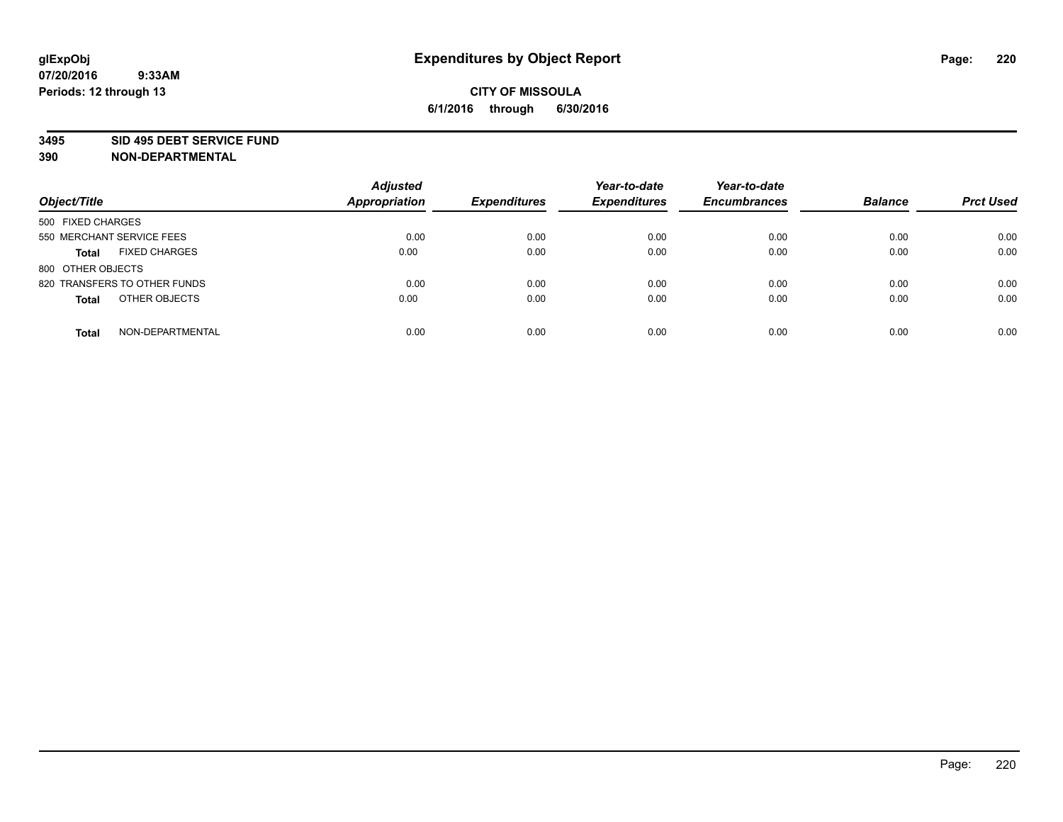#### **3495 SID 495 DEBT SERVICE FUND**

| Object/Title                         | <b>Adjusted</b><br><b>Appropriation</b> | <b>Expenditures</b> | Year-to-date<br><b>Expenditures</b> | Year-to-date<br><b>Encumbrances</b> | <b>Balance</b> | <b>Prct Used</b> |
|--------------------------------------|-----------------------------------------|---------------------|-------------------------------------|-------------------------------------|----------------|------------------|
| 500 FIXED CHARGES                    |                                         |                     |                                     |                                     |                |                  |
| 550 MERCHANT SERVICE FEES            | 0.00                                    | 0.00                | 0.00                                | 0.00                                | 0.00           | 0.00             |
| <b>FIXED CHARGES</b><br><b>Total</b> | 0.00                                    | 0.00                | 0.00                                | 0.00                                | 0.00           | 0.00             |
| 800 OTHER OBJECTS                    |                                         |                     |                                     |                                     |                |                  |
| 820 TRANSFERS TO OTHER FUNDS         | 0.00                                    | 0.00                | 0.00                                | 0.00                                | 0.00           | 0.00             |
| OTHER OBJECTS<br><b>Total</b>        | 0.00                                    | 0.00                | 0.00                                | 0.00                                | 0.00           | 0.00             |
| NON-DEPARTMENTAL<br><b>Total</b>     | 0.00                                    | 0.00                | 0.00                                | 0.00                                | 0.00           | 0.00             |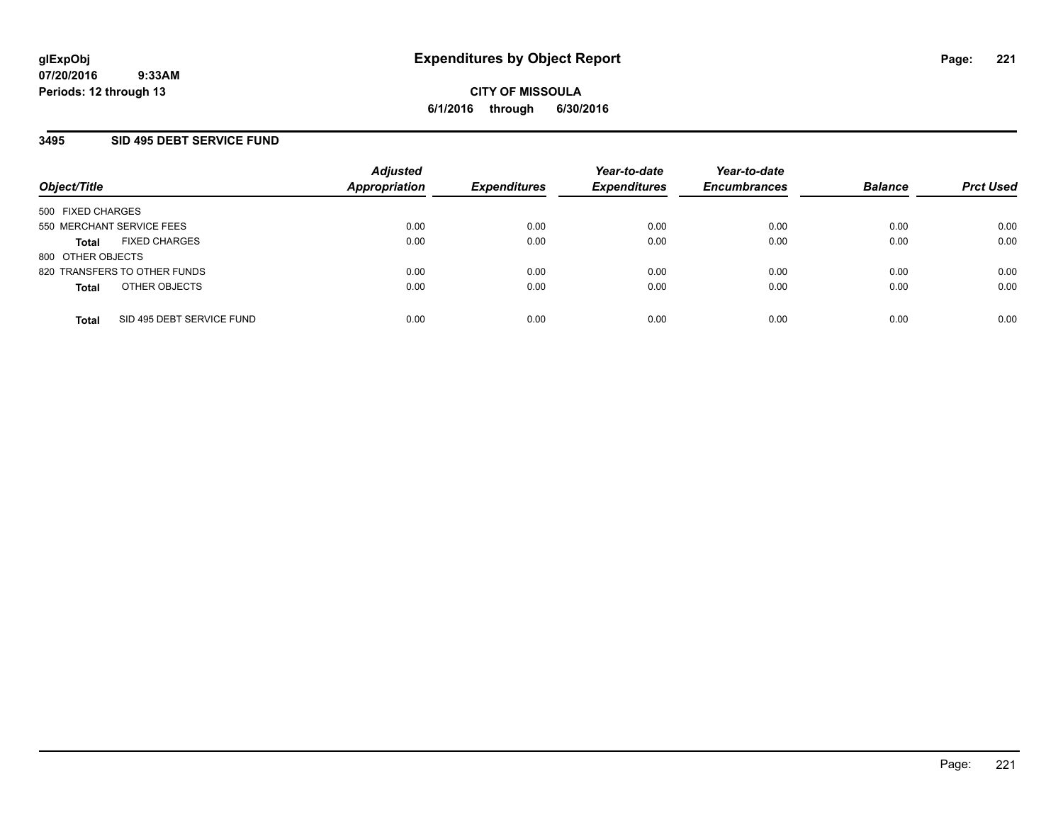### **3495 SID 495 DEBT SERVICE FUND**

| Object/Title                              | <b>Adjusted</b><br><b>Appropriation</b> | <b>Expenditures</b> | Year-to-date<br><b>Expenditures</b> | Year-to-date<br><b>Encumbrances</b> | <b>Balance</b> | <b>Prct Used</b> |
|-------------------------------------------|-----------------------------------------|---------------------|-------------------------------------|-------------------------------------|----------------|------------------|
| 500 FIXED CHARGES                         |                                         |                     |                                     |                                     |                |                  |
| 550 MERCHANT SERVICE FEES                 | 0.00                                    | 0.00                | 0.00                                | 0.00                                | 0.00           | 0.00             |
| <b>FIXED CHARGES</b><br><b>Total</b>      | 0.00                                    | 0.00                | 0.00                                | 0.00                                | 0.00           | 0.00             |
| 800 OTHER OBJECTS                         |                                         |                     |                                     |                                     |                |                  |
| 820 TRANSFERS TO OTHER FUNDS              | 0.00                                    | 0.00                | 0.00                                | 0.00                                | 0.00           | 0.00             |
| OTHER OBJECTS<br><b>Total</b>             | 0.00                                    | 0.00                | 0.00                                | 0.00                                | 0.00           | 0.00             |
| SID 495 DEBT SERVICE FUND<br><b>Total</b> | 0.00                                    | 0.00                | 0.00                                | 0.00                                | 0.00           | 0.00             |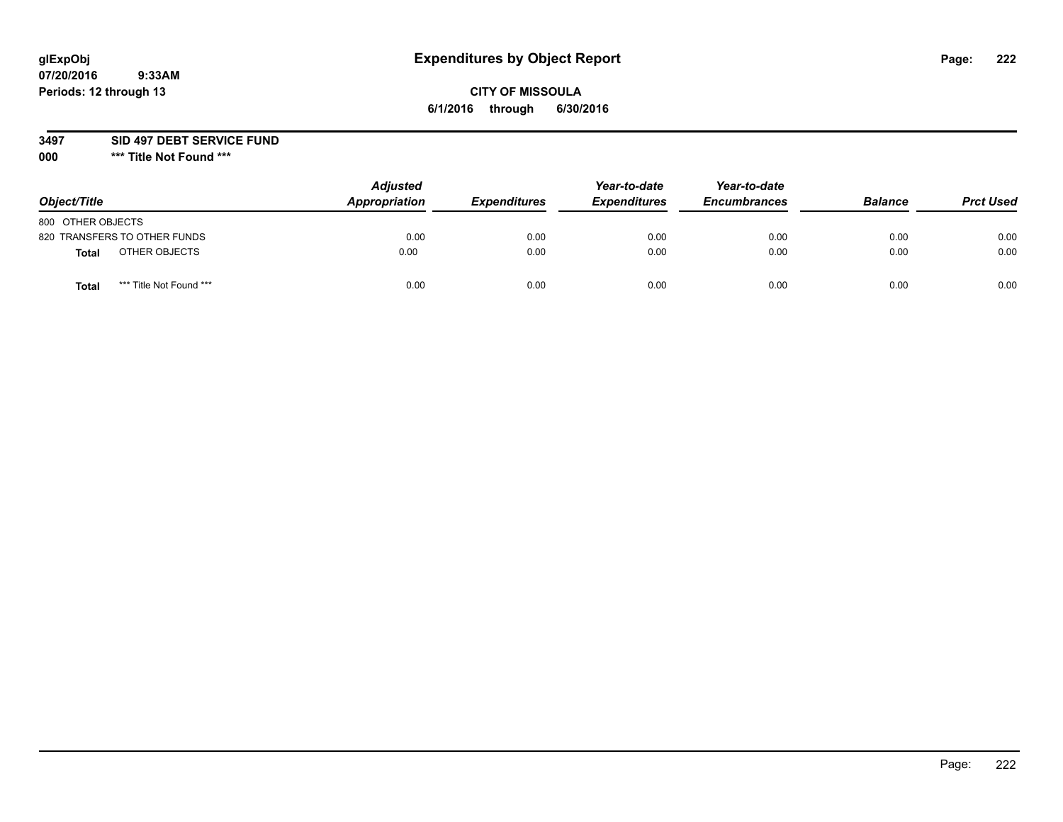### **CITY OF MISSOULA 6/1/2016 through 6/30/2016**

**3497 SID 497 DEBT SERVICE FUND**

| Object/Title                            | <b>Adjusted</b><br>Appropriation | <b>Expenditures</b> | Year-to-date<br><b>Expenditures</b> | Year-to-date<br><b>Encumbrances</b> | <b>Balance</b> | <b>Prct Used</b> |
|-----------------------------------------|----------------------------------|---------------------|-------------------------------------|-------------------------------------|----------------|------------------|
| 800 OTHER OBJECTS                       |                                  |                     |                                     |                                     |                |                  |
| 820 TRANSFERS TO OTHER FUNDS            | 0.00                             | 0.00                | 0.00                                | 0.00                                | 0.00           | 0.00             |
| OTHER OBJECTS<br>Total                  | 0.00                             | 0.00                | 0.00                                | 0.00                                | 0.00           | 0.00             |
| *** Title Not Found ***<br><b>Total</b> | 0.00                             | 0.00                | 0.00                                | 0.00                                | 0.00           | 0.00             |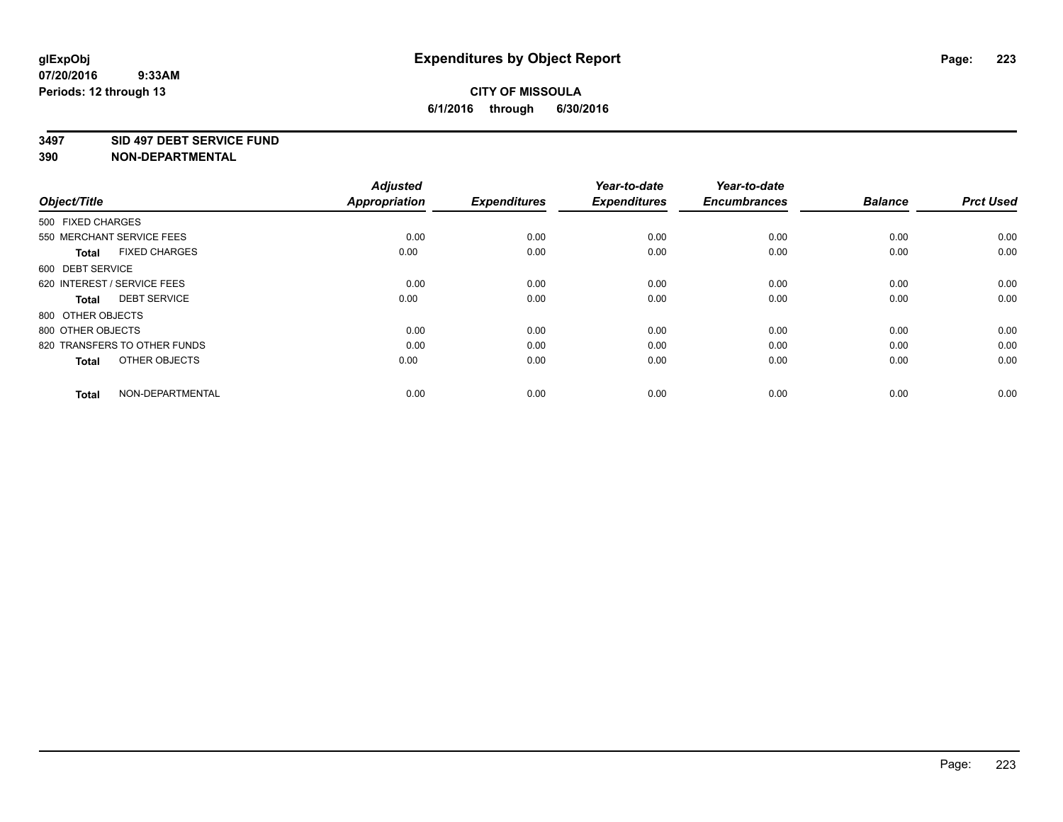#### **3497 SID 497 DEBT SERVICE FUND**

| Object/Title                         | <b>Adjusted</b><br><b>Appropriation</b> | <b>Expenditures</b> | Year-to-date<br><b>Expenditures</b> | Year-to-date<br><b>Encumbrances</b> | <b>Balance</b> | <b>Prct Used</b> |
|--------------------------------------|-----------------------------------------|---------------------|-------------------------------------|-------------------------------------|----------------|------------------|
| 500 FIXED CHARGES                    |                                         |                     |                                     |                                     |                |                  |
| 550 MERCHANT SERVICE FEES            | 0.00                                    | 0.00                | 0.00                                | 0.00                                | 0.00           | 0.00             |
| <b>FIXED CHARGES</b><br><b>Total</b> | 0.00                                    | 0.00                | 0.00                                | 0.00                                | 0.00           | 0.00             |
| 600 DEBT SERVICE                     |                                         |                     |                                     |                                     |                |                  |
| 620 INTEREST / SERVICE FEES          | 0.00                                    | 0.00                | 0.00                                | 0.00                                | 0.00           | 0.00             |
| <b>DEBT SERVICE</b><br><b>Total</b>  | 0.00                                    | 0.00                | 0.00                                | 0.00                                | 0.00           | 0.00             |
| 800 OTHER OBJECTS                    |                                         |                     |                                     |                                     |                |                  |
| 800 OTHER OBJECTS                    | 0.00                                    | 0.00                | 0.00                                | 0.00                                | 0.00           | 0.00             |
| 820 TRANSFERS TO OTHER FUNDS         | 0.00                                    | 0.00                | 0.00                                | 0.00                                | 0.00           | 0.00             |
| OTHER OBJECTS<br><b>Total</b>        | 0.00                                    | 0.00                | 0.00                                | 0.00                                | 0.00           | 0.00             |
|                                      |                                         |                     |                                     |                                     |                |                  |
| NON-DEPARTMENTAL<br><b>Total</b>     | 0.00                                    | 0.00                | 0.00                                | 0.00                                | 0.00           | 0.00             |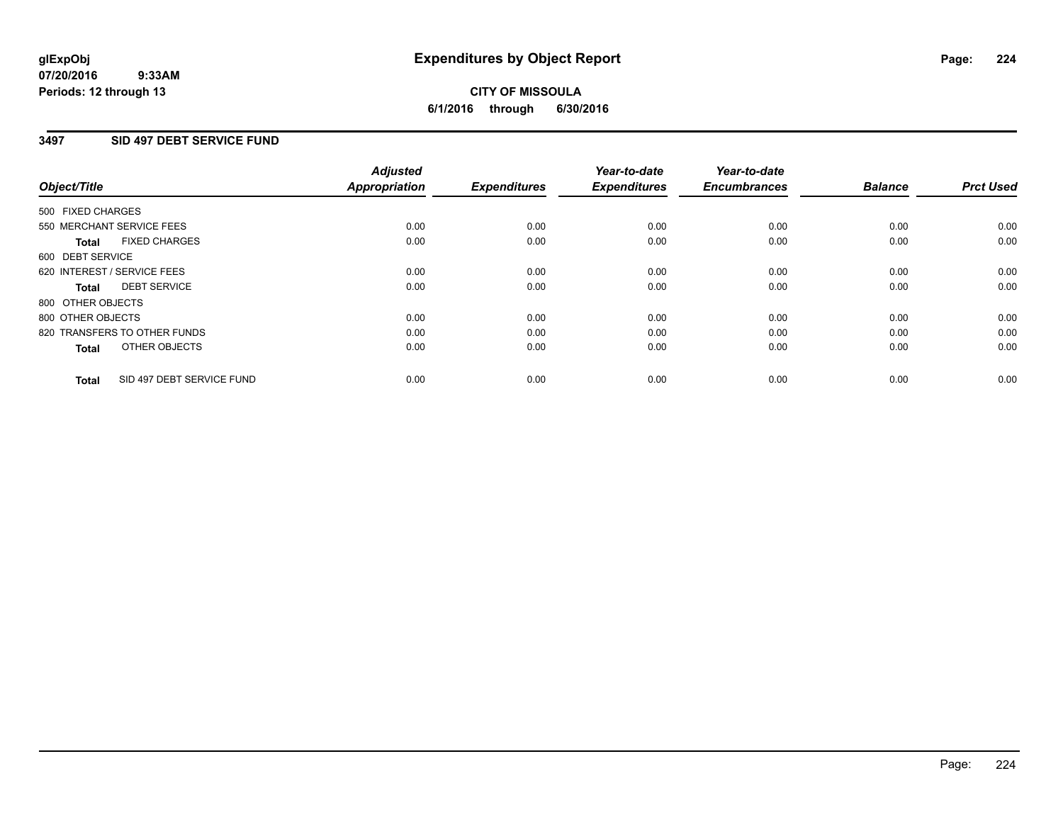#### **07/20/2016 9:33AM Periods: 12 through 13**

## **CITY OF MISSOULA 6/1/2016 through 6/30/2016**

### **3497 SID 497 DEBT SERVICE FUND**

|                                           | <b>Adjusted</b>      | <b>Expenditures</b> | Year-to-date<br><b>Expenditures</b> | Year-to-date<br><b>Encumbrances</b> | <b>Balance</b> | <b>Prct Used</b> |
|-------------------------------------------|----------------------|---------------------|-------------------------------------|-------------------------------------|----------------|------------------|
| Object/Title                              | <b>Appropriation</b> |                     |                                     |                                     |                |                  |
| 500 FIXED CHARGES                         |                      |                     |                                     |                                     |                |                  |
| 550 MERCHANT SERVICE FEES                 | 0.00                 | 0.00                | 0.00                                | 0.00                                | 0.00           | 0.00             |
| <b>FIXED CHARGES</b><br><b>Total</b>      | 0.00                 | 0.00                | 0.00                                | 0.00                                | 0.00           | 0.00             |
| 600 DEBT SERVICE                          |                      |                     |                                     |                                     |                |                  |
| 620 INTEREST / SERVICE FEES               | 0.00                 | 0.00                | 0.00                                | 0.00                                | 0.00           | 0.00             |
| <b>DEBT SERVICE</b><br>Total              | 0.00                 | 0.00                | 0.00                                | 0.00                                | 0.00           | 0.00             |
| 800 OTHER OBJECTS                         |                      |                     |                                     |                                     |                |                  |
| 800 OTHER OBJECTS                         | 0.00                 | 0.00                | 0.00                                | 0.00                                | 0.00           | 0.00             |
| 820 TRANSFERS TO OTHER FUNDS              | 0.00                 | 0.00                | 0.00                                | 0.00                                | 0.00           | 0.00             |
| OTHER OBJECTS<br><b>Total</b>             | 0.00                 | 0.00                | 0.00                                | 0.00                                | 0.00           | 0.00             |
|                                           |                      |                     |                                     |                                     |                |                  |
| SID 497 DEBT SERVICE FUND<br><b>Total</b> | 0.00                 | 0.00                | 0.00                                | 0.00                                | 0.00           | 0.00             |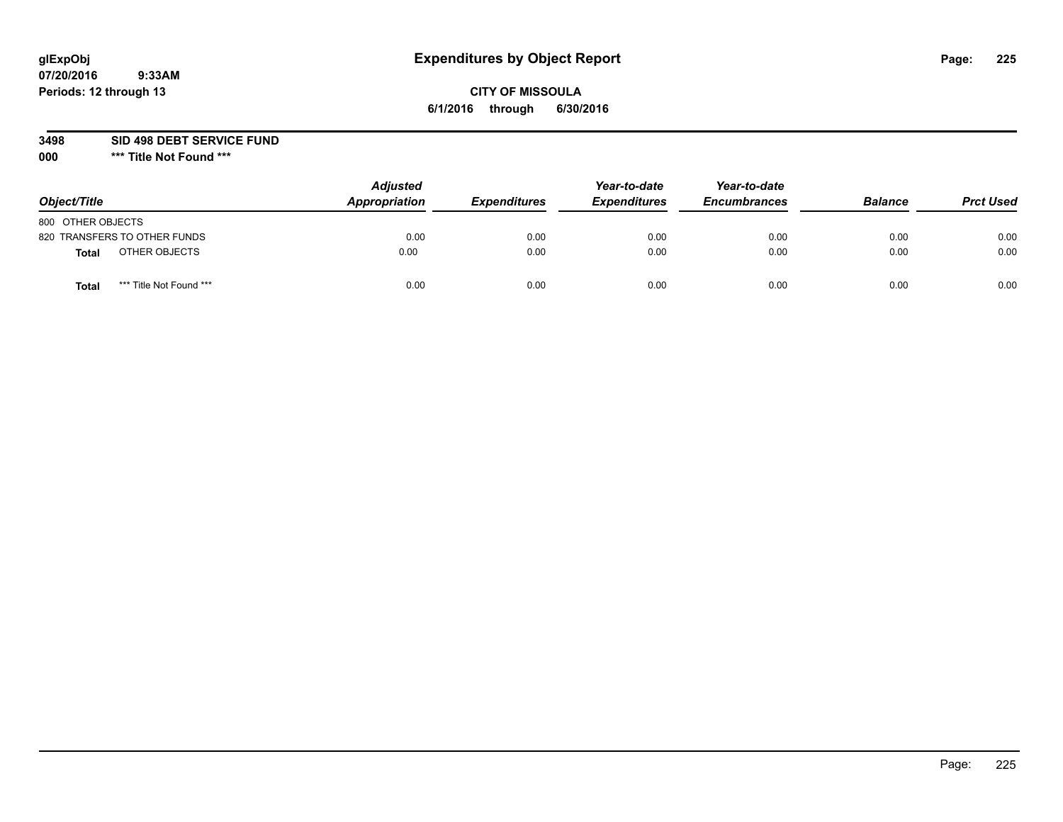## **CITY OF MISSOULA 6/1/2016 through 6/30/2016**

**3498 SID 498 DEBT SERVICE FUND**

| Object/Title                            | <b>Adjusted</b><br>Appropriation | <b>Expenditures</b> | Year-to-date<br><b>Expenditures</b> | Year-to-date<br><b>Encumbrances</b> | <b>Balance</b> | <b>Prct Used</b> |
|-----------------------------------------|----------------------------------|---------------------|-------------------------------------|-------------------------------------|----------------|------------------|
| 800 OTHER OBJECTS                       |                                  |                     |                                     |                                     |                |                  |
| 820 TRANSFERS TO OTHER FUNDS            | 0.00                             | 0.00                | 0.00                                | 0.00                                | 0.00           | 0.00             |
| OTHER OBJECTS<br><b>Total</b>           | 0.00                             | 0.00                | 0.00                                | 0.00                                | 0.00           | 0.00             |
| *** Title Not Found ***<br><b>Total</b> | 0.00                             | 0.00                | 0.00                                | 0.00                                | 0.00           | 0.00             |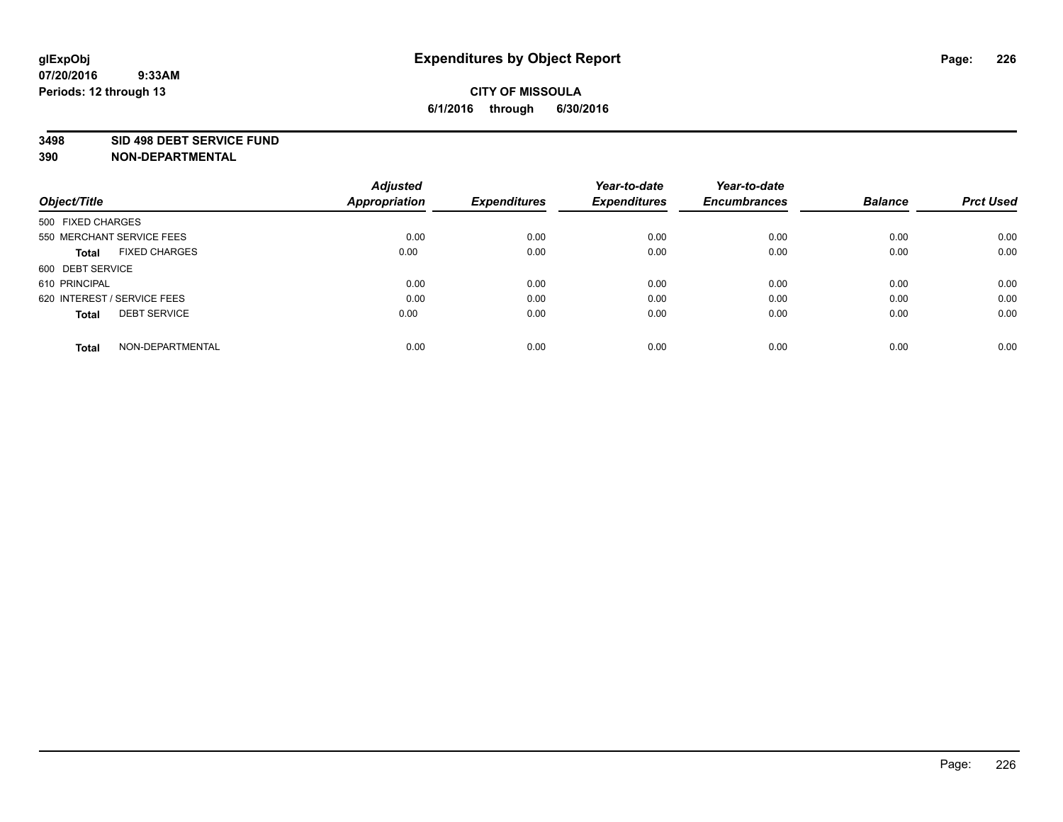#### **3498 SID 498 DEBT SERVICE FUND**

| Object/Title                         | <b>Adjusted</b><br><b>Appropriation</b> | <b>Expenditures</b> | Year-to-date<br><b>Expenditures</b> | Year-to-date<br><b>Encumbrances</b> | <b>Balance</b> | <b>Prct Used</b> |
|--------------------------------------|-----------------------------------------|---------------------|-------------------------------------|-------------------------------------|----------------|------------------|
|                                      |                                         |                     |                                     |                                     |                |                  |
| 500 FIXED CHARGES                    |                                         |                     |                                     |                                     |                |                  |
| 550 MERCHANT SERVICE FEES            | 0.00                                    | 0.00                | 0.00                                | 0.00                                | 0.00           | 0.00             |
| <b>FIXED CHARGES</b><br><b>Total</b> | 0.00                                    | 0.00                | 0.00                                | 0.00                                | 0.00           | 0.00             |
| 600 DEBT SERVICE                     |                                         |                     |                                     |                                     |                |                  |
| 610 PRINCIPAL                        | 0.00                                    | 0.00                | 0.00                                | 0.00                                | 0.00           | 0.00             |
| 620 INTEREST / SERVICE FEES          | 0.00                                    | 0.00                | 0.00                                | 0.00                                | 0.00           | 0.00             |
| <b>DEBT SERVICE</b><br><b>Total</b>  | 0.00                                    | 0.00                | 0.00                                | 0.00                                | 0.00           | 0.00             |
|                                      |                                         |                     |                                     |                                     |                |                  |
| NON-DEPARTMENTAL<br><b>Total</b>     | 0.00                                    | 0.00                | 0.00                                | 0.00                                | 0.00           | 0.00             |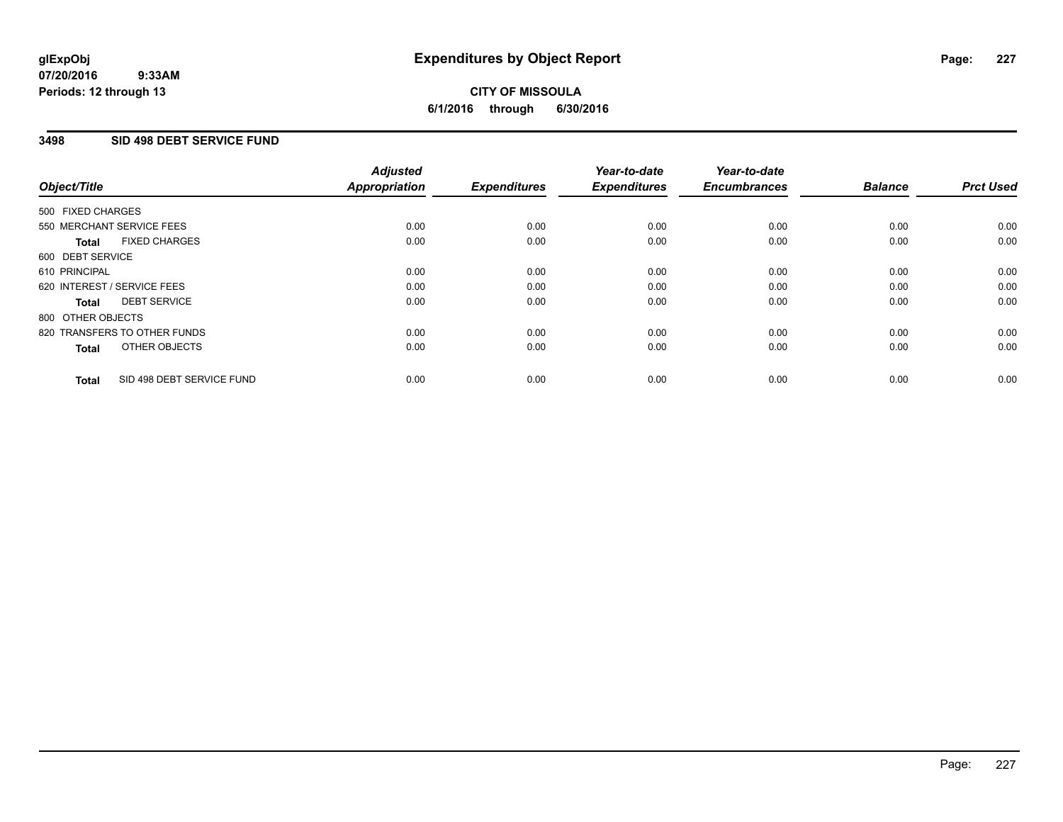### **3498 SID 498 DEBT SERVICE FUND**

| Object/Title      |                              | <b>Adjusted</b><br>Appropriation | <b>Expenditures</b> | Year-to-date<br><b>Expenditures</b> | Year-to-date<br><b>Encumbrances</b> | <b>Balance</b> | <b>Prct Used</b> |
|-------------------|------------------------------|----------------------------------|---------------------|-------------------------------------|-------------------------------------|----------------|------------------|
| 500 FIXED CHARGES |                              |                                  |                     |                                     |                                     |                |                  |
|                   | 550 MERCHANT SERVICE FEES    | 0.00                             | 0.00                | 0.00                                | 0.00                                | 0.00           | 0.00             |
| <b>Total</b>      | <b>FIXED CHARGES</b>         | 0.00                             | 0.00                | 0.00                                | 0.00                                | 0.00           | 0.00             |
| 600 DEBT SERVICE  |                              |                                  |                     |                                     |                                     |                |                  |
| 610 PRINCIPAL     |                              | 0.00                             | 0.00                | 0.00                                | 0.00                                | 0.00           | 0.00             |
|                   | 620 INTEREST / SERVICE FEES  | 0.00                             | 0.00                | 0.00                                | 0.00                                | 0.00           | 0.00             |
| <b>Total</b>      | <b>DEBT SERVICE</b>          | 0.00                             | 0.00                | 0.00                                | 0.00                                | 0.00           | 0.00             |
| 800 OTHER OBJECTS |                              |                                  |                     |                                     |                                     |                |                  |
|                   | 820 TRANSFERS TO OTHER FUNDS | 0.00                             | 0.00                | 0.00                                | 0.00                                | 0.00           | 0.00             |
| <b>Total</b>      | OTHER OBJECTS                | 0.00                             | 0.00                | 0.00                                | 0.00                                | 0.00           | 0.00             |
| <b>Total</b>      | SID 498 DEBT SERVICE FUND    | 0.00                             | 0.00                | 0.00                                | 0.00                                | 0.00           | 0.00             |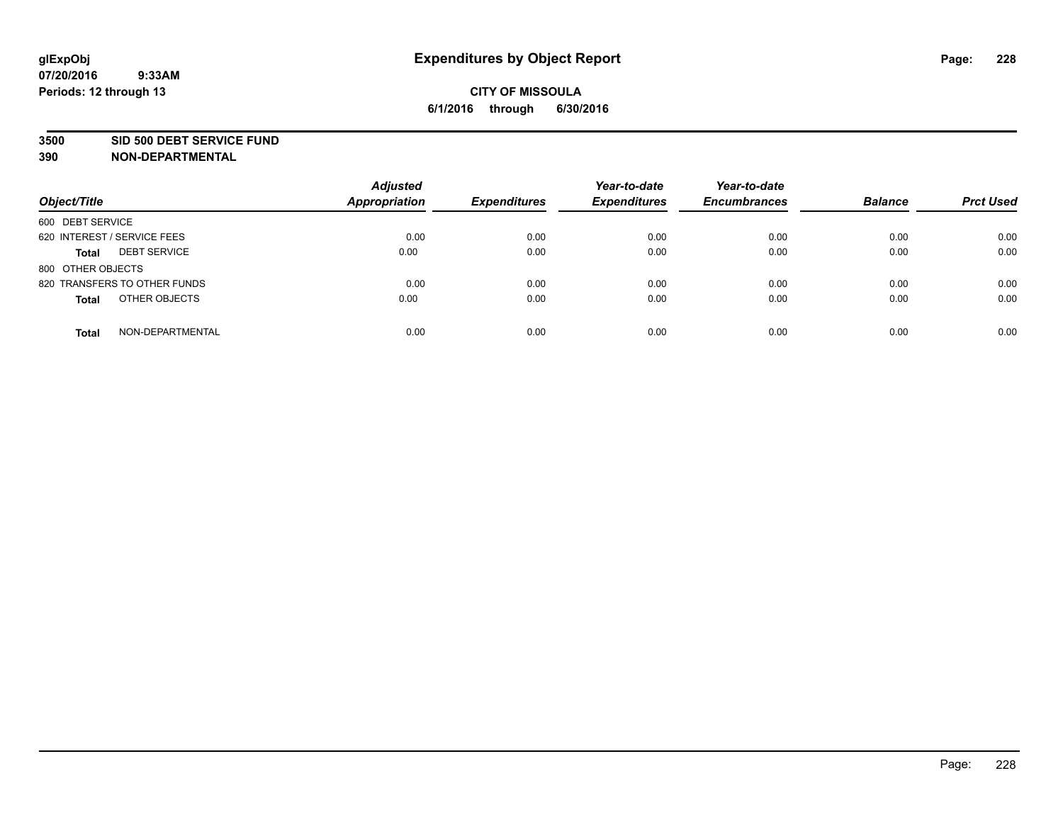#### **3500 SID 500 DEBT SERVICE FUND**

| Object/Title                        | <b>Adjusted</b><br><b>Appropriation</b> | <b>Expenditures</b> | Year-to-date<br><b>Expenditures</b> | Year-to-date<br><b>Encumbrances</b> | <b>Balance</b> | <b>Prct Used</b> |
|-------------------------------------|-----------------------------------------|---------------------|-------------------------------------|-------------------------------------|----------------|------------------|
| 600 DEBT SERVICE                    |                                         |                     |                                     |                                     |                |                  |
| 620 INTEREST / SERVICE FEES         | 0.00                                    | 0.00                | 0.00                                | 0.00                                | 0.00           | 0.00             |
| <b>DEBT SERVICE</b><br><b>Total</b> | 0.00                                    | 0.00                | 0.00                                | 0.00                                | 0.00           | 0.00             |
| 800 OTHER OBJECTS                   |                                         |                     |                                     |                                     |                |                  |
| 820 TRANSFERS TO OTHER FUNDS        | 0.00                                    | 0.00                | 0.00                                | 0.00                                | 0.00           | 0.00             |
| OTHER OBJECTS<br><b>Total</b>       | 0.00                                    | 0.00                | 0.00                                | 0.00                                | 0.00           | 0.00             |
| NON-DEPARTMENTAL<br><b>Total</b>    | 0.00                                    | 0.00                | 0.00                                | 0.00                                | 0.00           | 0.00             |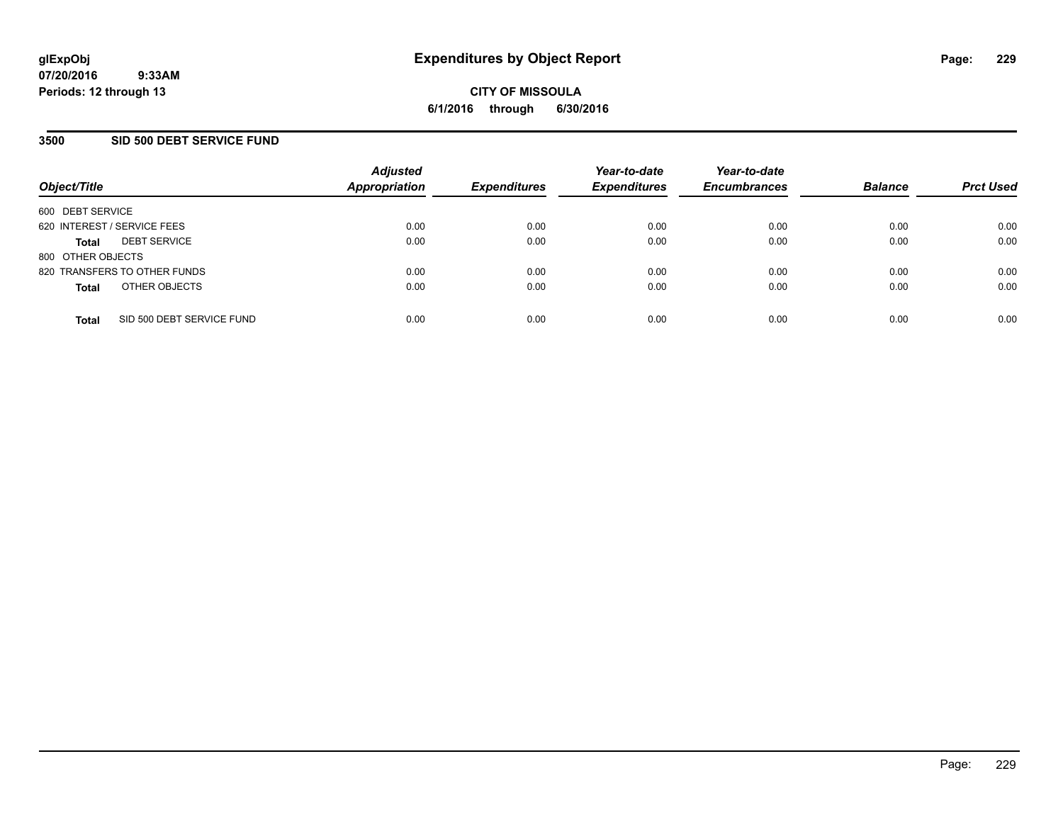### **3500 SID 500 DEBT SERVICE FUND**

| Object/Title                |                              | <b>Adjusted</b><br>Appropriation | <b>Expenditures</b> | Year-to-date<br><b>Expenditures</b> | Year-to-date<br><b>Encumbrances</b> | <b>Balance</b> | <b>Prct Used</b> |
|-----------------------------|------------------------------|----------------------------------|---------------------|-------------------------------------|-------------------------------------|----------------|------------------|
| 600 DEBT SERVICE            |                              |                                  |                     |                                     |                                     |                |                  |
| 620 INTEREST / SERVICE FEES |                              | 0.00                             | 0.00                | 0.00                                | 0.00                                | 0.00           | 0.00             |
| <b>Total</b>                | <b>DEBT SERVICE</b>          | 0.00                             | 0.00                | 0.00                                | 0.00                                | 0.00           | 0.00             |
| 800 OTHER OBJECTS           |                              |                                  |                     |                                     |                                     |                |                  |
|                             | 820 TRANSFERS TO OTHER FUNDS | 0.00                             | 0.00                | 0.00                                | 0.00                                | 0.00           | 0.00             |
| <b>Total</b>                | OTHER OBJECTS                | 0.00                             | 0.00                | 0.00                                | 0.00                                | 0.00           | 0.00             |
| <b>Total</b>                | SID 500 DEBT SERVICE FUND    | 0.00                             | 0.00                | 0.00                                | 0.00                                | 0.00           | 0.00             |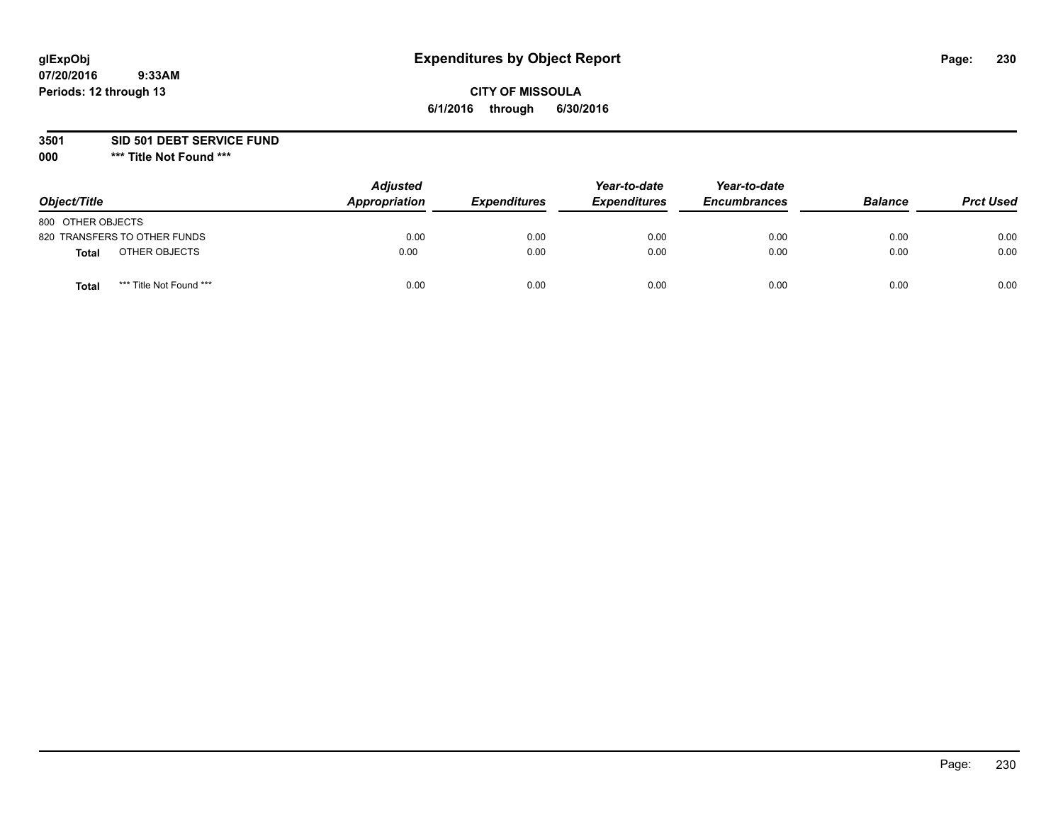### **CITY OF MISSOULA 6/1/2016 through 6/30/2016**

**3501 SID 501 DEBT SERVICE FUND**

| Object/Title                            | <b>Adjusted</b><br>Appropriation | <b>Expenditures</b> | Year-to-date<br><b>Expenditures</b> | Year-to-date<br><b>Encumbrances</b> | <b>Balance</b> | <b>Prct Used</b> |
|-----------------------------------------|----------------------------------|---------------------|-------------------------------------|-------------------------------------|----------------|------------------|
| 800 OTHER OBJECTS                       |                                  |                     |                                     |                                     |                |                  |
| 820 TRANSFERS TO OTHER FUNDS            | 0.00                             | 0.00                | 0.00                                | 0.00                                | 0.00           | 0.00             |
| OTHER OBJECTS<br><b>Total</b>           | 0.00                             | 0.00                | 0.00                                | 0.00                                | 0.00           | 0.00             |
| *** Title Not Found ***<br><b>Total</b> | 0.00                             | 0.00                | 0.00                                | 0.00                                | 0.00           | 0.00             |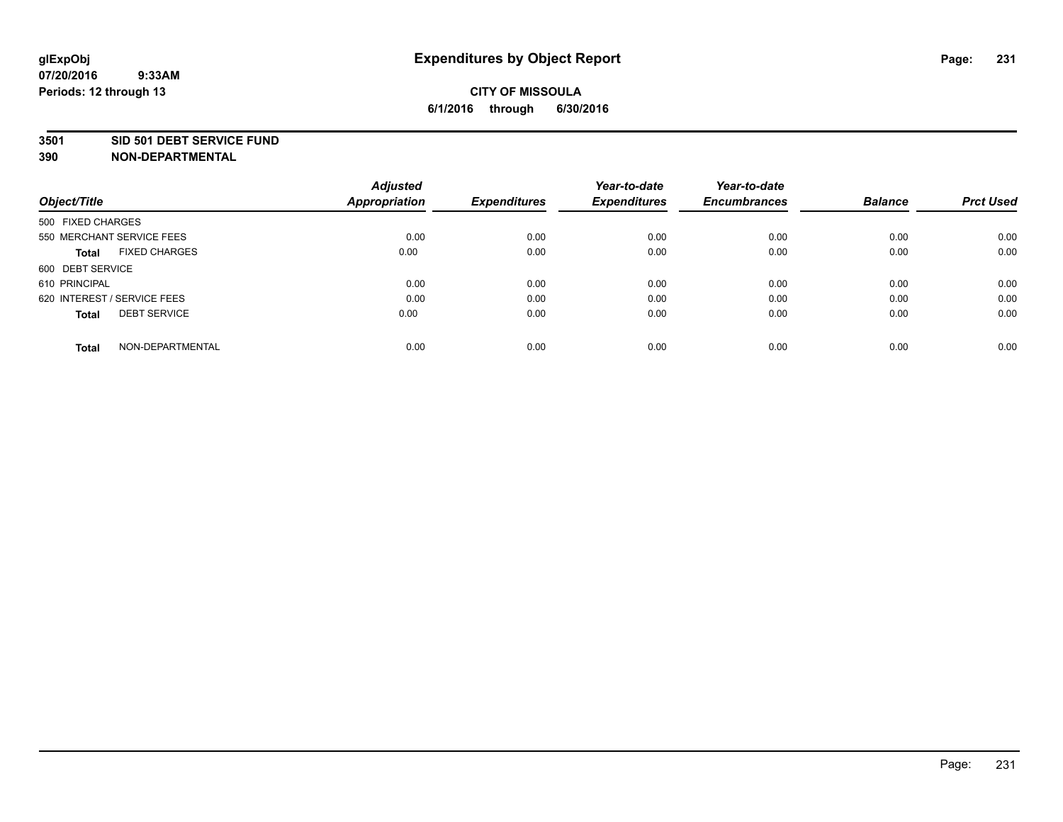#### **3501 SID 501 DEBT SERVICE FUND**

| Object/Title                         | <b>Adjusted</b><br><b>Appropriation</b> | <b>Expenditures</b> | Year-to-date<br><b>Expenditures</b> | Year-to-date<br><b>Encumbrances</b> | <b>Balance</b> | <b>Prct Used</b> |
|--------------------------------------|-----------------------------------------|---------------------|-------------------------------------|-------------------------------------|----------------|------------------|
|                                      |                                         |                     |                                     |                                     |                |                  |
| 500 FIXED CHARGES                    |                                         |                     |                                     |                                     |                |                  |
| 550 MERCHANT SERVICE FEES            | 0.00                                    | 0.00                | 0.00                                | 0.00                                | 0.00           | 0.00             |
| <b>FIXED CHARGES</b><br><b>Total</b> | 0.00                                    | 0.00                | 0.00                                | 0.00                                | 0.00           | 0.00             |
| 600 DEBT SERVICE                     |                                         |                     |                                     |                                     |                |                  |
| 610 PRINCIPAL                        | 0.00                                    | 0.00                | 0.00                                | 0.00                                | 0.00           | 0.00             |
| 620 INTEREST / SERVICE FEES          | 0.00                                    | 0.00                | 0.00                                | 0.00                                | 0.00           | 0.00             |
| <b>DEBT SERVICE</b><br><b>Total</b>  | 0.00                                    | 0.00                | 0.00                                | 0.00                                | 0.00           | 0.00             |
|                                      |                                         |                     |                                     |                                     |                |                  |
| NON-DEPARTMENTAL<br><b>Total</b>     | 0.00                                    | 0.00                | 0.00                                | 0.00                                | 0.00           | 0.00             |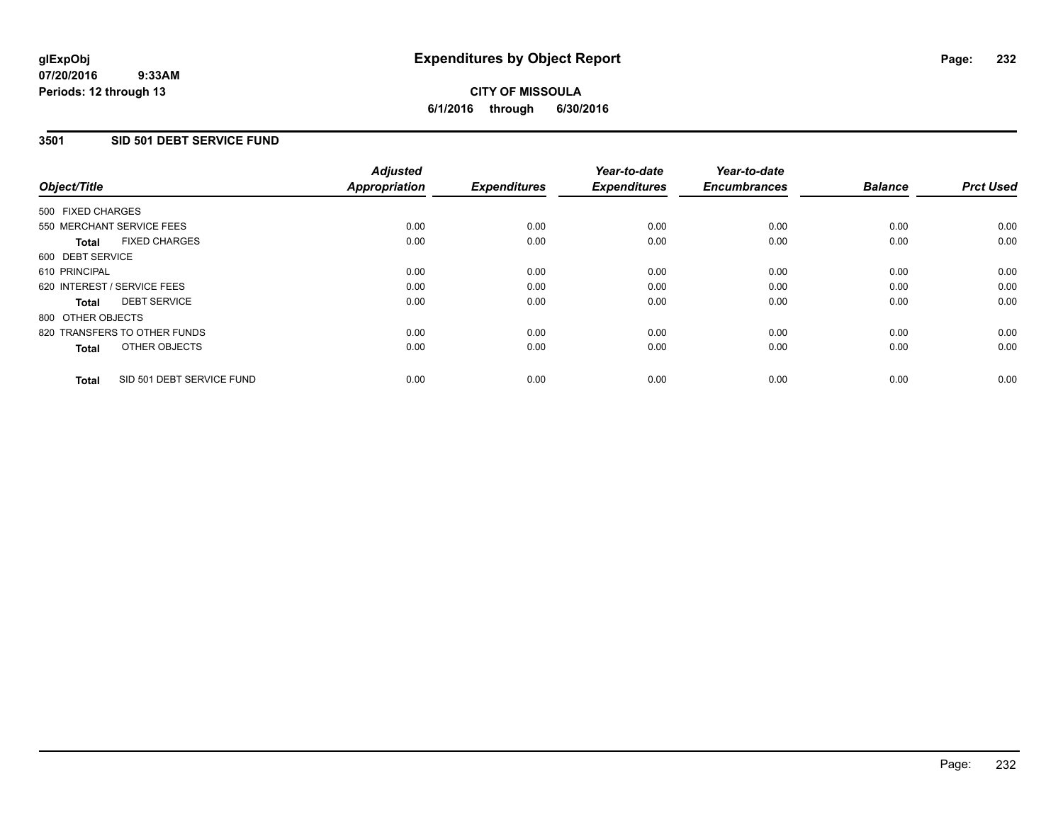### **3501 SID 501 DEBT SERVICE FUND**

| Object/Title                              | <b>Adjusted</b><br><b>Appropriation</b> | <b>Expenditures</b> | Year-to-date<br><b>Expenditures</b> | Year-to-date<br><b>Encumbrances</b> | <b>Balance</b> | <b>Prct Used</b> |
|-------------------------------------------|-----------------------------------------|---------------------|-------------------------------------|-------------------------------------|----------------|------------------|
| 500 FIXED CHARGES                         |                                         |                     |                                     |                                     |                |                  |
| 550 MERCHANT SERVICE FEES                 | 0.00                                    | 0.00                | 0.00                                | 0.00                                | 0.00           | 0.00             |
| <b>FIXED CHARGES</b><br><b>Total</b>      | 0.00                                    | 0.00                | 0.00                                | 0.00                                | 0.00           | 0.00             |
| 600 DEBT SERVICE                          |                                         |                     |                                     |                                     |                |                  |
| 610 PRINCIPAL                             | 0.00                                    | 0.00                | 0.00                                | 0.00                                | 0.00           | 0.00             |
| 620 INTEREST / SERVICE FEES               | 0.00                                    | 0.00                | 0.00                                | 0.00                                | 0.00           | 0.00             |
| <b>DEBT SERVICE</b><br><b>Total</b>       | 0.00                                    | 0.00                | 0.00                                | 0.00                                | 0.00           | 0.00             |
| 800 OTHER OBJECTS                         |                                         |                     |                                     |                                     |                |                  |
| 820 TRANSFERS TO OTHER FUNDS              | 0.00                                    | 0.00                | 0.00                                | 0.00                                | 0.00           | 0.00             |
| OTHER OBJECTS<br><b>Total</b>             | 0.00                                    | 0.00                | 0.00                                | 0.00                                | 0.00           | 0.00             |
| SID 501 DEBT SERVICE FUND<br><b>Total</b> | 0.00                                    | 0.00                | 0.00                                | 0.00                                | 0.00           | 0.00             |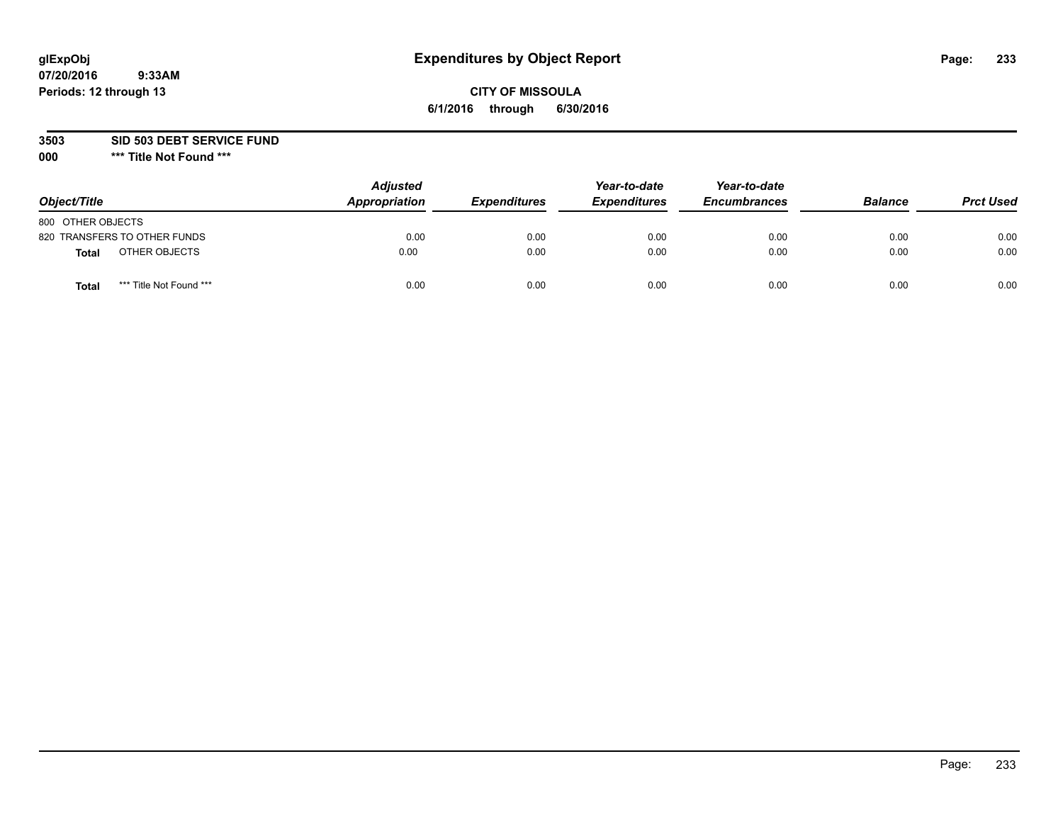### **CITY OF MISSOULA 6/1/2016 through 6/30/2016**

**3503 SID 503 DEBT SERVICE FUND**

| Object/Title                            | <b>Adjusted</b><br>Appropriation | <b>Expenditures</b> | Year-to-date<br><b>Expenditures</b> | Year-to-date<br><b>Encumbrances</b> | <b>Balance</b> | <b>Prct Used</b> |
|-----------------------------------------|----------------------------------|---------------------|-------------------------------------|-------------------------------------|----------------|------------------|
| 800 OTHER OBJECTS                       |                                  |                     |                                     |                                     |                |                  |
| 820 TRANSFERS TO OTHER FUNDS            | 0.00                             | 0.00                | 0.00                                | 0.00                                | 0.00           | 0.00             |
| OTHER OBJECTS<br><b>Total</b>           | 0.00                             | 0.00                | 0.00                                | 0.00                                | 0.00           | 0.00             |
| *** Title Not Found ***<br><b>Total</b> | 0.00                             | 0.00                | 0.00                                | 0.00                                | 0.00           | 0.00             |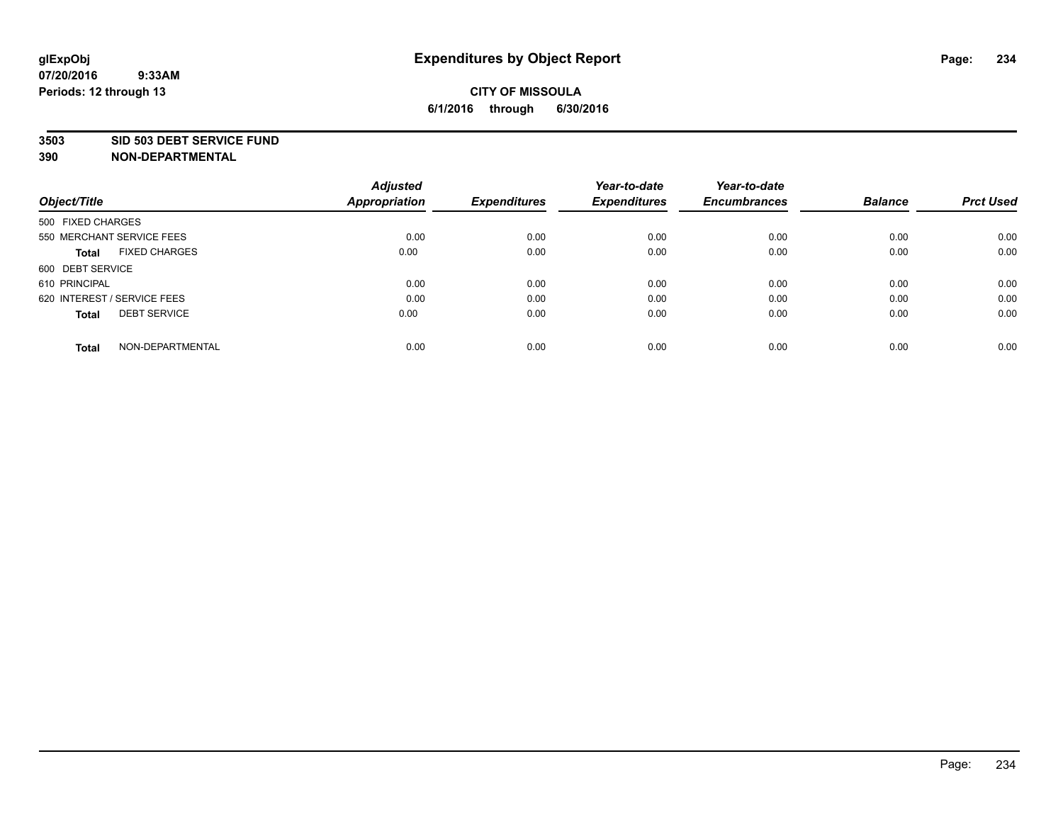#### **3503 SID 503 DEBT SERVICE FUND**

| Object/Title                         | <b>Adjusted</b><br><b>Appropriation</b> | <b>Expenditures</b> | Year-to-date<br><b>Expenditures</b> | Year-to-date<br><b>Encumbrances</b> | <b>Balance</b> | <b>Prct Used</b> |
|--------------------------------------|-----------------------------------------|---------------------|-------------------------------------|-------------------------------------|----------------|------------------|
|                                      |                                         |                     |                                     |                                     |                |                  |
| 500 FIXED CHARGES                    |                                         |                     |                                     |                                     |                |                  |
| 550 MERCHANT SERVICE FEES            | 0.00                                    | 0.00                | 0.00                                | 0.00                                | 0.00           | 0.00             |
| <b>FIXED CHARGES</b><br><b>Total</b> | 0.00                                    | 0.00                | 0.00                                | 0.00                                | 0.00           | 0.00             |
| 600 DEBT SERVICE                     |                                         |                     |                                     |                                     |                |                  |
| 610 PRINCIPAL                        | 0.00                                    | 0.00                | 0.00                                | 0.00                                | 0.00           | 0.00             |
| 620 INTEREST / SERVICE FEES          | 0.00                                    | 0.00                | 0.00                                | 0.00                                | 0.00           | 0.00             |
| <b>DEBT SERVICE</b><br><b>Total</b>  | 0.00                                    | 0.00                | 0.00                                | 0.00                                | 0.00           | 0.00             |
|                                      |                                         |                     |                                     |                                     |                |                  |
| NON-DEPARTMENTAL<br><b>Total</b>     | 0.00                                    | 0.00                | 0.00                                | 0.00                                | 0.00           | 0.00             |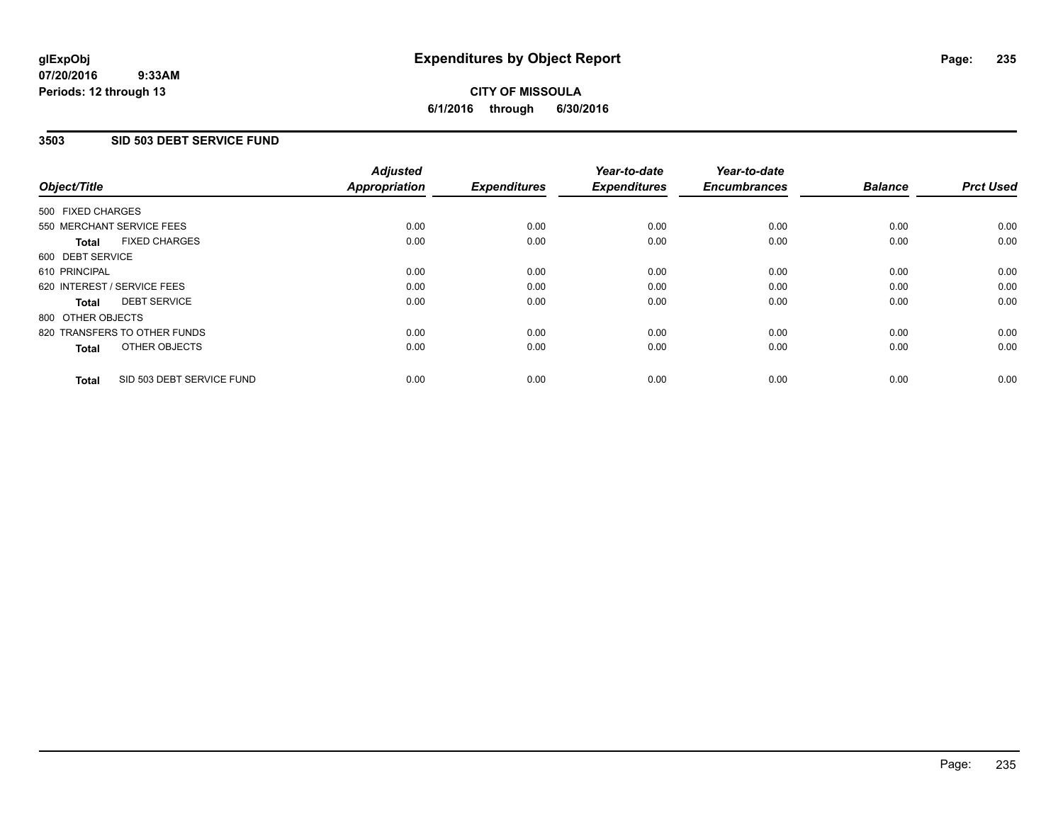### **3503 SID 503 DEBT SERVICE FUND**

| Object/Title                              | <b>Adjusted</b><br><b>Appropriation</b> | <b>Expenditures</b> | Year-to-date<br><b>Expenditures</b> | Year-to-date<br><b>Encumbrances</b> | <b>Balance</b> | <b>Prct Used</b> |
|-------------------------------------------|-----------------------------------------|---------------------|-------------------------------------|-------------------------------------|----------------|------------------|
| 500 FIXED CHARGES                         |                                         |                     |                                     |                                     |                |                  |
| 550 MERCHANT SERVICE FEES                 | 0.00                                    | 0.00                | 0.00                                | 0.00                                | 0.00           | 0.00             |
| <b>FIXED CHARGES</b><br><b>Total</b>      | 0.00                                    | 0.00                | 0.00                                | 0.00                                | 0.00           | 0.00             |
| 600 DEBT SERVICE                          |                                         |                     |                                     |                                     |                |                  |
| 610 PRINCIPAL                             | 0.00                                    | 0.00                | 0.00                                | 0.00                                | 0.00           | 0.00             |
| 620 INTEREST / SERVICE FEES               | 0.00                                    | 0.00                | 0.00                                | 0.00                                | 0.00           | 0.00             |
| <b>DEBT SERVICE</b><br><b>Total</b>       | 0.00                                    | 0.00                | 0.00                                | 0.00                                | 0.00           | 0.00             |
| 800 OTHER OBJECTS                         |                                         |                     |                                     |                                     |                |                  |
| 820 TRANSFERS TO OTHER FUNDS              | 0.00                                    | 0.00                | 0.00                                | 0.00                                | 0.00           | 0.00             |
| OTHER OBJECTS<br><b>Total</b>             | 0.00                                    | 0.00                | 0.00                                | 0.00                                | 0.00           | 0.00             |
| SID 503 DEBT SERVICE FUND<br><b>Total</b> | 0.00                                    | 0.00                | 0.00                                | 0.00                                | 0.00           | 0.00             |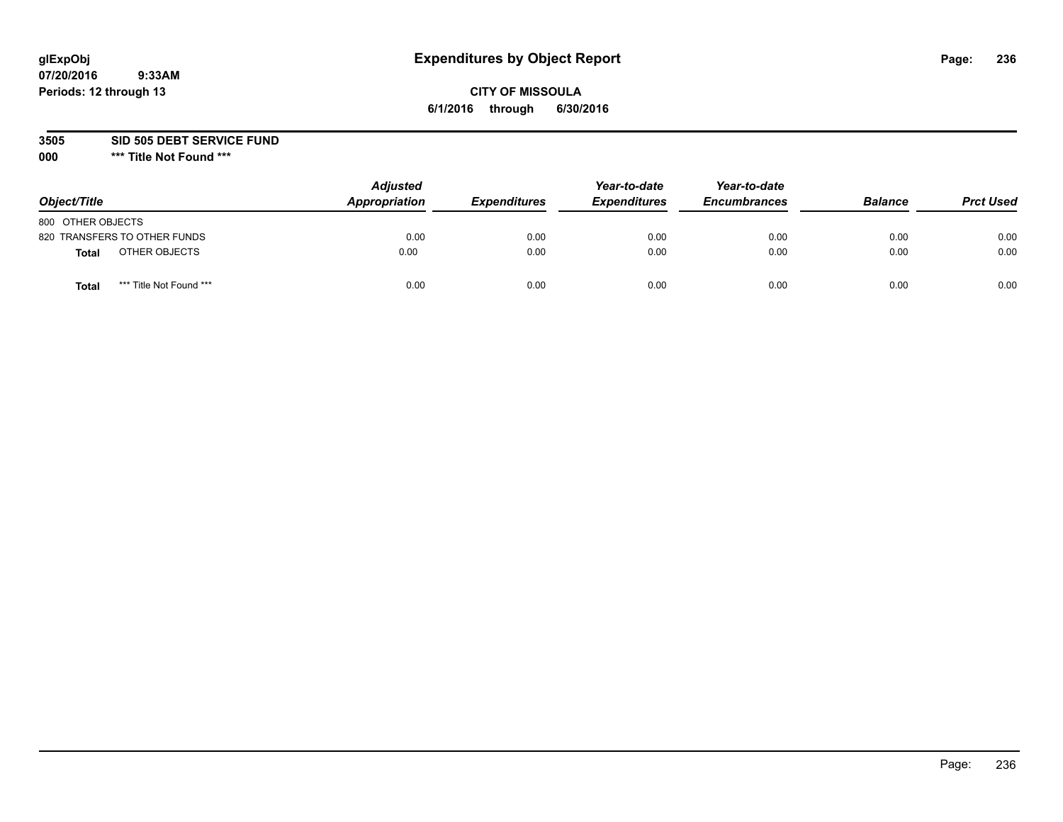### **CITY OF MISSOULA 6/1/2016 through 6/30/2016**

**3505 SID 505 DEBT SERVICE FUND**

| Object/Title                            | <b>Adjusted</b><br>Appropriation | <b>Expenditures</b> | Year-to-date<br><b>Expenditures</b> | Year-to-date<br><b>Encumbrances</b> | <b>Balance</b> | <b>Prct Used</b> |
|-----------------------------------------|----------------------------------|---------------------|-------------------------------------|-------------------------------------|----------------|------------------|
| 800 OTHER OBJECTS                       |                                  |                     |                                     |                                     |                |                  |
| 820 TRANSFERS TO OTHER FUNDS            | 0.00                             | 0.00                | 0.00                                | 0.00                                | 0.00           | 0.00             |
| OTHER OBJECTS<br><b>Total</b>           | 0.00                             | 0.00                | 0.00                                | 0.00                                | 0.00           | 0.00             |
| *** Title Not Found ***<br><b>Total</b> | 0.00                             | 0.00                | 0.00                                | 0.00                                | 0.00           | 0.00             |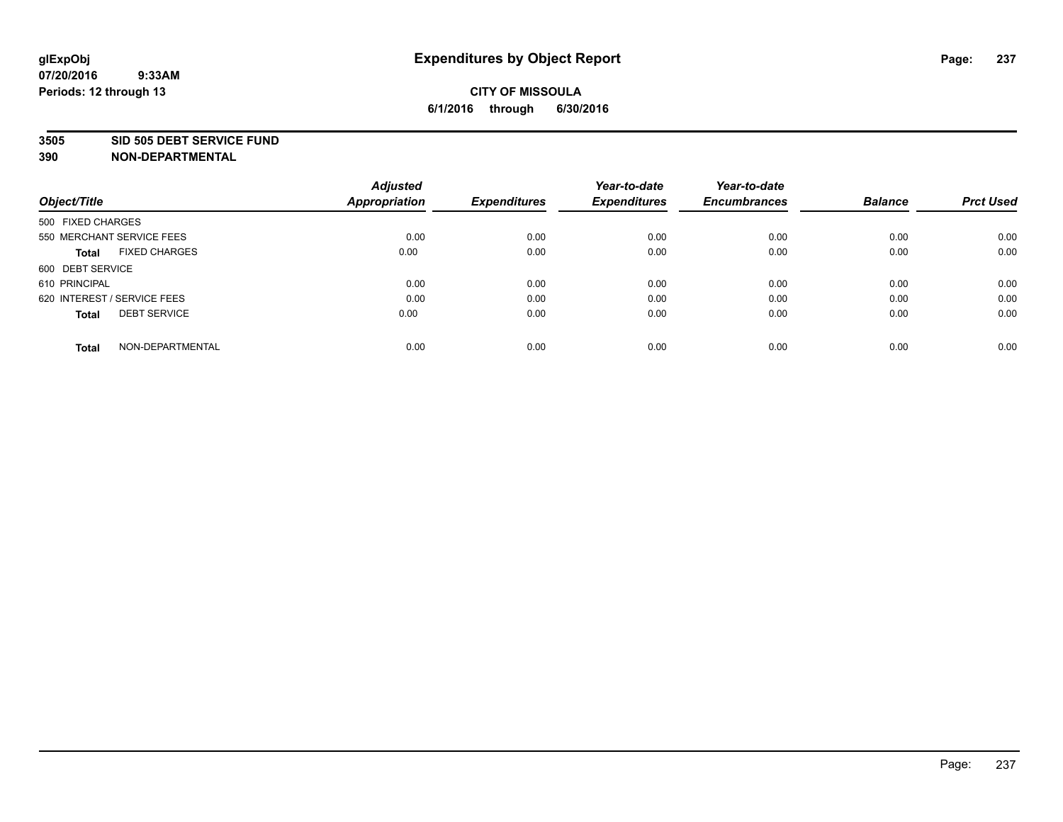#### **3505 SID 505 DEBT SERVICE FUND**

| Object/Title                         | <b>Adjusted</b><br><b>Appropriation</b> | <b>Expenditures</b> | Year-to-date<br><b>Expenditures</b> | Year-to-date<br><b>Encumbrances</b> | <b>Balance</b> | <b>Prct Used</b> |
|--------------------------------------|-----------------------------------------|---------------------|-------------------------------------|-------------------------------------|----------------|------------------|
|                                      |                                         |                     |                                     |                                     |                |                  |
| 500 FIXED CHARGES                    |                                         |                     |                                     |                                     |                |                  |
| 550 MERCHANT SERVICE FEES            | 0.00                                    | 0.00                | 0.00                                | 0.00                                | 0.00           | 0.00             |
| <b>FIXED CHARGES</b><br><b>Total</b> | 0.00                                    | 0.00                | 0.00                                | 0.00                                | 0.00           | 0.00             |
| 600 DEBT SERVICE                     |                                         |                     |                                     |                                     |                |                  |
| 610 PRINCIPAL                        | 0.00                                    | 0.00                | 0.00                                | 0.00                                | 0.00           | 0.00             |
| 620 INTEREST / SERVICE FEES          | 0.00                                    | 0.00                | 0.00                                | 0.00                                | 0.00           | 0.00             |
| <b>DEBT SERVICE</b><br><b>Total</b>  | 0.00                                    | 0.00                | 0.00                                | 0.00                                | 0.00           | 0.00             |
|                                      |                                         |                     |                                     |                                     |                |                  |
| NON-DEPARTMENTAL<br><b>Total</b>     | 0.00                                    | 0.00                | 0.00                                | 0.00                                | 0.00           | 0.00             |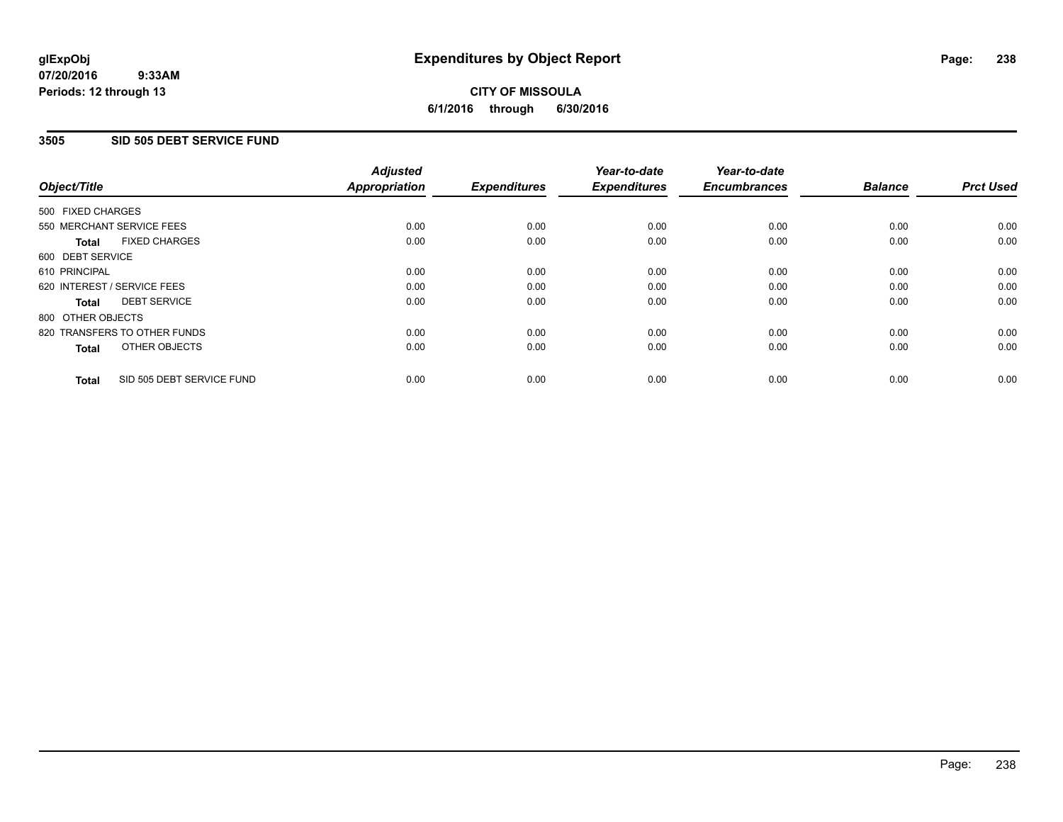#### **07/20/2016 9:33AM Periods: 12 through 13**

## **CITY OF MISSOULA 6/1/2016 through 6/30/2016**

### **3505 SID 505 DEBT SERVICE FUND**

|                   |                              | <b>Adjusted</b>      |                     | Year-to-date        | Year-to-date        |                |                  |
|-------------------|------------------------------|----------------------|---------------------|---------------------|---------------------|----------------|------------------|
| Object/Title      |                              | <b>Appropriation</b> | <b>Expenditures</b> | <b>Expenditures</b> | <b>Encumbrances</b> | <b>Balance</b> | <b>Prct Used</b> |
| 500 FIXED CHARGES |                              |                      |                     |                     |                     |                |                  |
|                   | 550 MERCHANT SERVICE FEES    | 0.00                 | 0.00                | 0.00                | 0.00                | 0.00           | 0.00             |
| <b>Total</b>      | <b>FIXED CHARGES</b>         | 0.00                 | 0.00                | 0.00                | 0.00                | 0.00           | 0.00             |
| 600 DEBT SERVICE  |                              |                      |                     |                     |                     |                |                  |
| 610 PRINCIPAL     |                              | 0.00                 | 0.00                | 0.00                | 0.00                | 0.00           | 0.00             |
|                   | 620 INTEREST / SERVICE FEES  | 0.00                 | 0.00                | 0.00                | 0.00                | 0.00           | 0.00             |
| <b>Total</b>      | <b>DEBT SERVICE</b>          | 0.00                 | 0.00                | 0.00                | 0.00                | 0.00           | 0.00             |
| 800 OTHER OBJECTS |                              |                      |                     |                     |                     |                |                  |
|                   | 820 TRANSFERS TO OTHER FUNDS | 0.00                 | 0.00                | 0.00                | 0.00                | 0.00           | 0.00             |
| <b>Total</b>      | OTHER OBJECTS                | 0.00                 | 0.00                | 0.00                | 0.00                | 0.00           | 0.00             |
| <b>Total</b>      | SID 505 DEBT SERVICE FUND    | 0.00                 | 0.00                | 0.00                | 0.00                | 0.00           | 0.00             |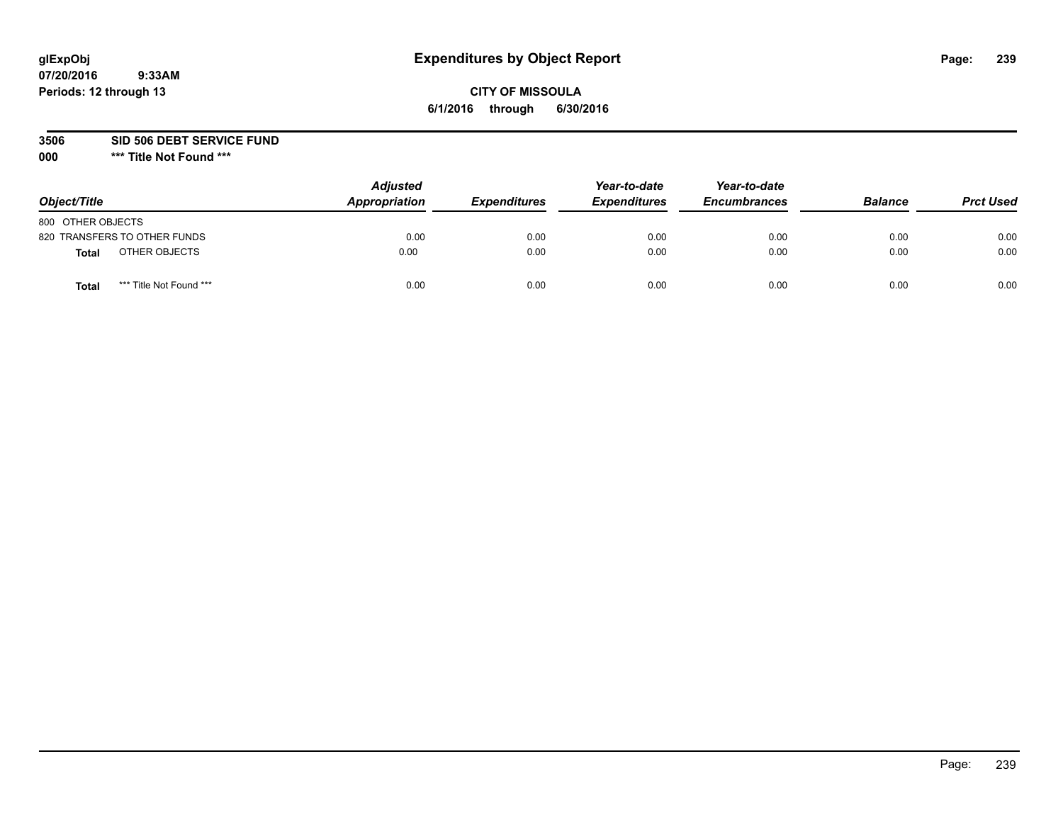### **CITY OF MISSOULA 6/1/2016 through 6/30/2016**

**3506 SID 506 DEBT SERVICE FUND**

| Object/Title                            | <b>Adjusted</b><br>Appropriation | <b>Expenditures</b> | Year-to-date<br><b>Expenditures</b> | Year-to-date<br><b>Encumbrances</b> | <b>Balance</b> | <b>Prct Used</b> |
|-----------------------------------------|----------------------------------|---------------------|-------------------------------------|-------------------------------------|----------------|------------------|
| 800 OTHER OBJECTS                       |                                  |                     |                                     |                                     |                |                  |
| 820 TRANSFERS TO OTHER FUNDS            | 0.00                             | 0.00                | 0.00                                | 0.00                                | 0.00           | 0.00             |
| OTHER OBJECTS<br><b>Total</b>           | 0.00                             | 0.00                | 0.00                                | 0.00                                | 0.00           | 0.00             |
| *** Title Not Found ***<br><b>Total</b> | 0.00                             | 0.00                | 0.00                                | 0.00                                | 0.00           | 0.00             |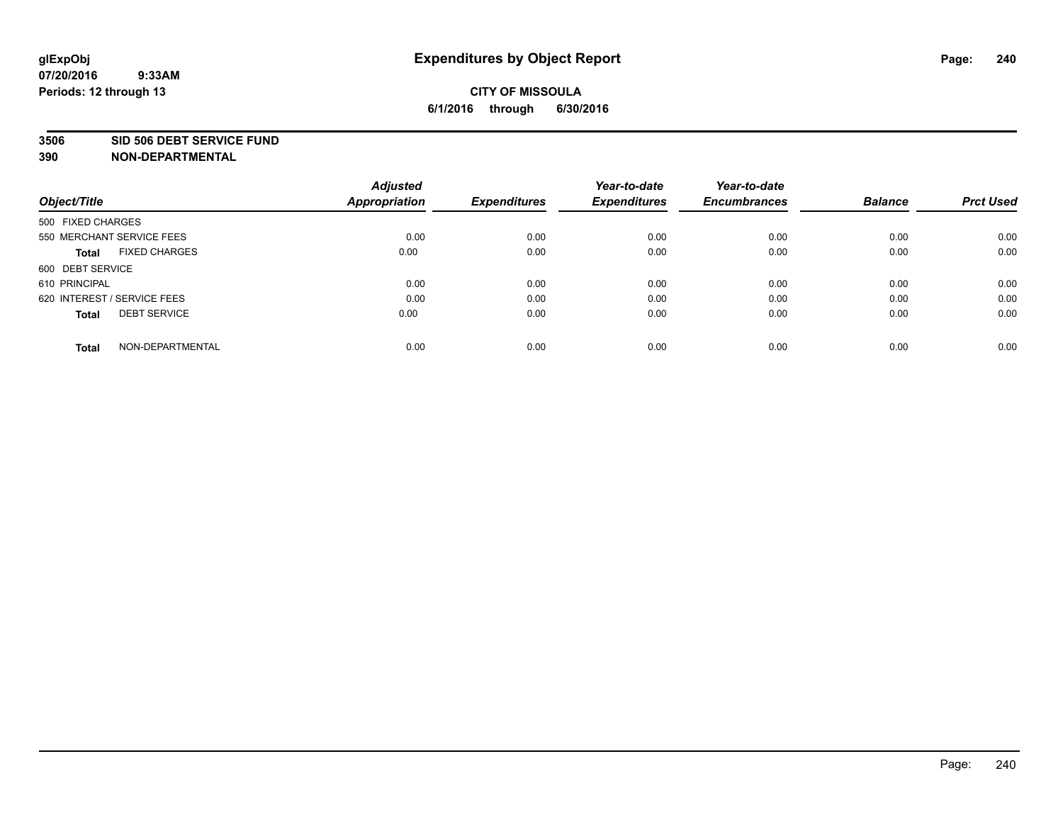#### **3506 SID 506 DEBT SERVICE FUND**

| Object/Title                         | <b>Adjusted</b><br><b>Appropriation</b> | <b>Expenditures</b> | Year-to-date<br><b>Expenditures</b> | Year-to-date<br><b>Encumbrances</b> | <b>Balance</b> | <b>Prct Used</b> |
|--------------------------------------|-----------------------------------------|---------------------|-------------------------------------|-------------------------------------|----------------|------------------|
|                                      |                                         |                     |                                     |                                     |                |                  |
| 500 FIXED CHARGES                    |                                         |                     |                                     |                                     |                |                  |
| 550 MERCHANT SERVICE FEES            | 0.00                                    | 0.00                | 0.00                                | 0.00                                | 0.00           | 0.00             |
| <b>FIXED CHARGES</b><br><b>Total</b> | 0.00                                    | 0.00                | 0.00                                | 0.00                                | 0.00           | 0.00             |
| 600 DEBT SERVICE                     |                                         |                     |                                     |                                     |                |                  |
| 610 PRINCIPAL                        | 0.00                                    | 0.00                | 0.00                                | 0.00                                | 0.00           | 0.00             |
| 620 INTEREST / SERVICE FEES          | 0.00                                    | 0.00                | 0.00                                | 0.00                                | 0.00           | 0.00             |
| <b>DEBT SERVICE</b><br><b>Total</b>  | 0.00                                    | 0.00                | 0.00                                | 0.00                                | 0.00           | 0.00             |
|                                      |                                         |                     |                                     |                                     |                |                  |
| NON-DEPARTMENTAL<br><b>Total</b>     | 0.00                                    | 0.00                | 0.00                                | 0.00                                | 0.00           | 0.00             |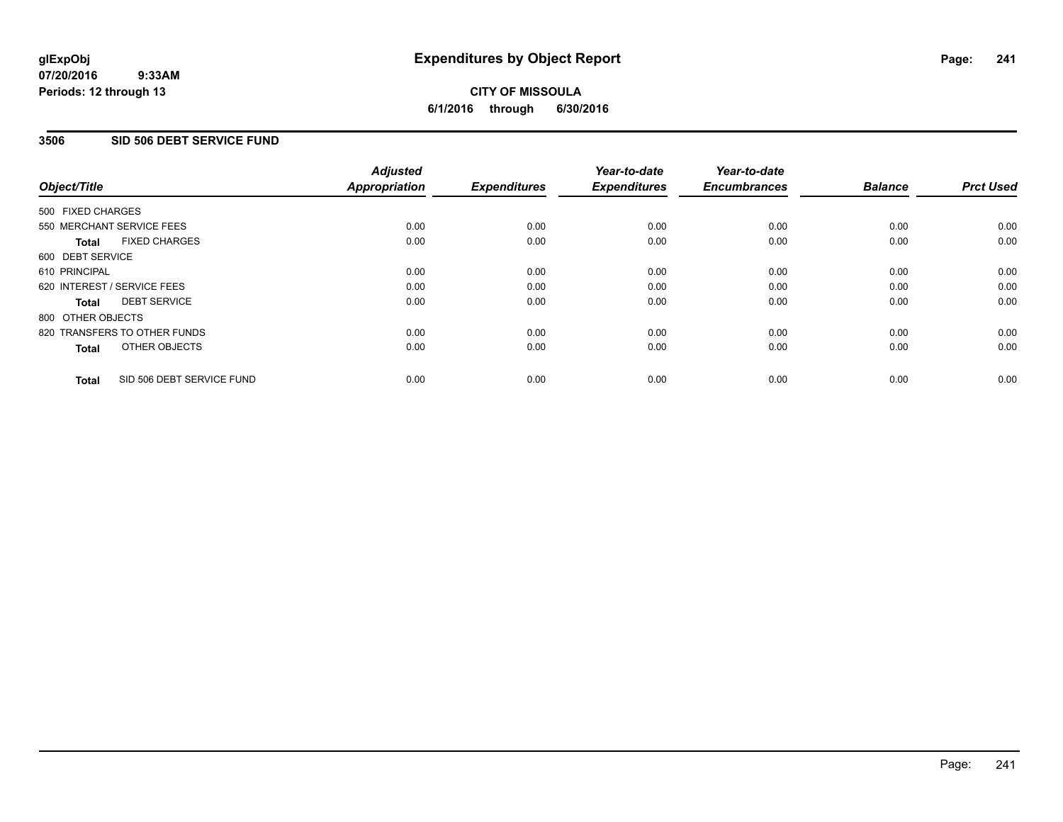#### **07/20/2016 9:33AM Periods: 12 through 13**

## **CITY OF MISSOULA 6/1/2016 through 6/30/2016**

### **3506 SID 506 DEBT SERVICE FUND**

|                   |                              | <b>Adjusted</b>      |                     | Year-to-date        | Year-to-date        |                |                  |
|-------------------|------------------------------|----------------------|---------------------|---------------------|---------------------|----------------|------------------|
| Object/Title      |                              | <b>Appropriation</b> | <b>Expenditures</b> | <b>Expenditures</b> | <b>Encumbrances</b> | <b>Balance</b> | <b>Prct Used</b> |
| 500 FIXED CHARGES |                              |                      |                     |                     |                     |                |                  |
|                   | 550 MERCHANT SERVICE FEES    | 0.00                 | 0.00                | 0.00                | 0.00                | 0.00           | 0.00             |
| <b>Total</b>      | <b>FIXED CHARGES</b>         | 0.00                 | 0.00                | 0.00                | 0.00                | 0.00           | 0.00             |
| 600 DEBT SERVICE  |                              |                      |                     |                     |                     |                |                  |
| 610 PRINCIPAL     |                              | 0.00                 | 0.00                | 0.00                | 0.00                | 0.00           | 0.00             |
|                   | 620 INTEREST / SERVICE FEES  | 0.00                 | 0.00                | 0.00                | 0.00                | 0.00           | 0.00             |
| <b>Total</b>      | <b>DEBT SERVICE</b>          | 0.00                 | 0.00                | 0.00                | 0.00                | 0.00           | 0.00             |
| 800 OTHER OBJECTS |                              |                      |                     |                     |                     |                |                  |
|                   | 820 TRANSFERS TO OTHER FUNDS | 0.00                 | 0.00                | 0.00                | 0.00                | 0.00           | 0.00             |
| <b>Total</b>      | OTHER OBJECTS                | 0.00                 | 0.00                | 0.00                | 0.00                | 0.00           | 0.00             |
| <b>Total</b>      | SID 506 DEBT SERVICE FUND    | 0.00                 | 0.00                | 0.00                | 0.00                | 0.00           | 0.00             |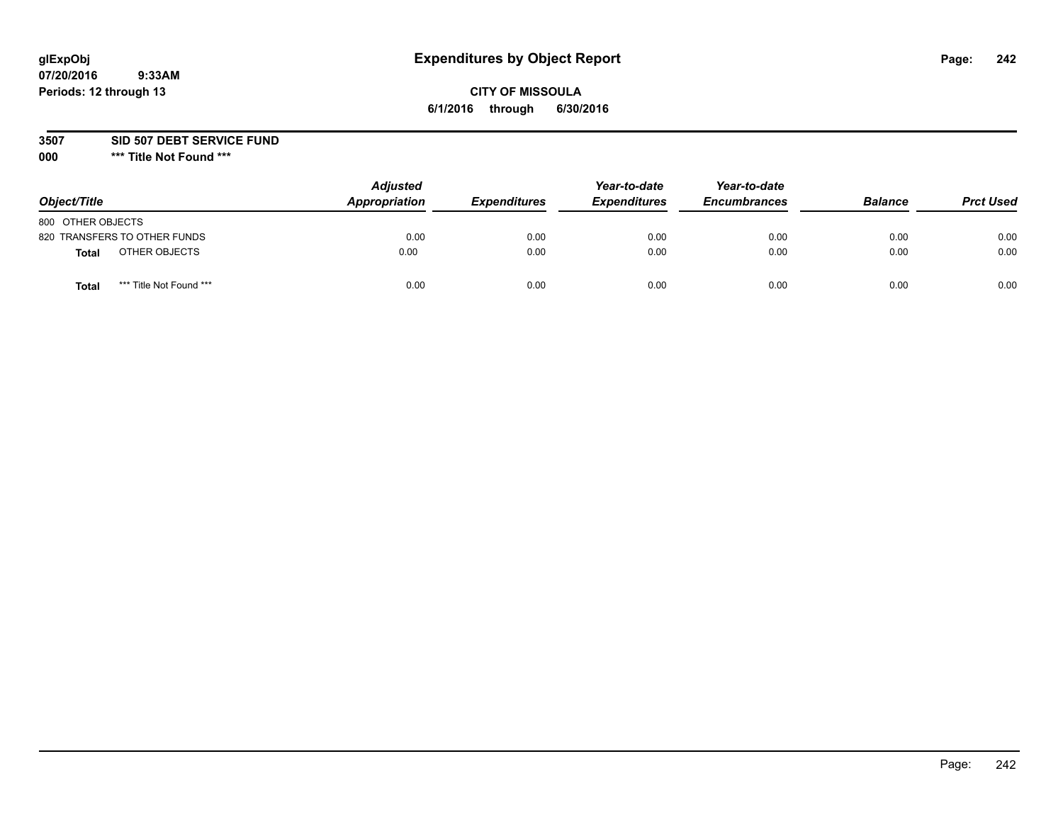### **CITY OF MISSOULA 6/1/2016 through 6/30/2016**

**3507 SID 507 DEBT SERVICE FUND**

| Object/Title                            | <b>Adjusted</b><br>Appropriation | <b>Expenditures</b> | Year-to-date<br><b>Expenditures</b> | Year-to-date<br><b>Encumbrances</b> | <b>Balance</b> | <b>Prct Used</b> |
|-----------------------------------------|----------------------------------|---------------------|-------------------------------------|-------------------------------------|----------------|------------------|
| 800 OTHER OBJECTS                       |                                  |                     |                                     |                                     |                |                  |
| 820 TRANSFERS TO OTHER FUNDS            | 0.00                             | 0.00                | 0.00                                | 0.00                                | 0.00           | 0.00             |
| OTHER OBJECTS<br><b>Total</b>           | 0.00                             | 0.00                | 0.00                                | 0.00                                | 0.00           | 0.00             |
| *** Title Not Found ***<br><b>Total</b> | 0.00                             | 0.00                | 0.00                                | 0.00                                | 0.00           | 0.00             |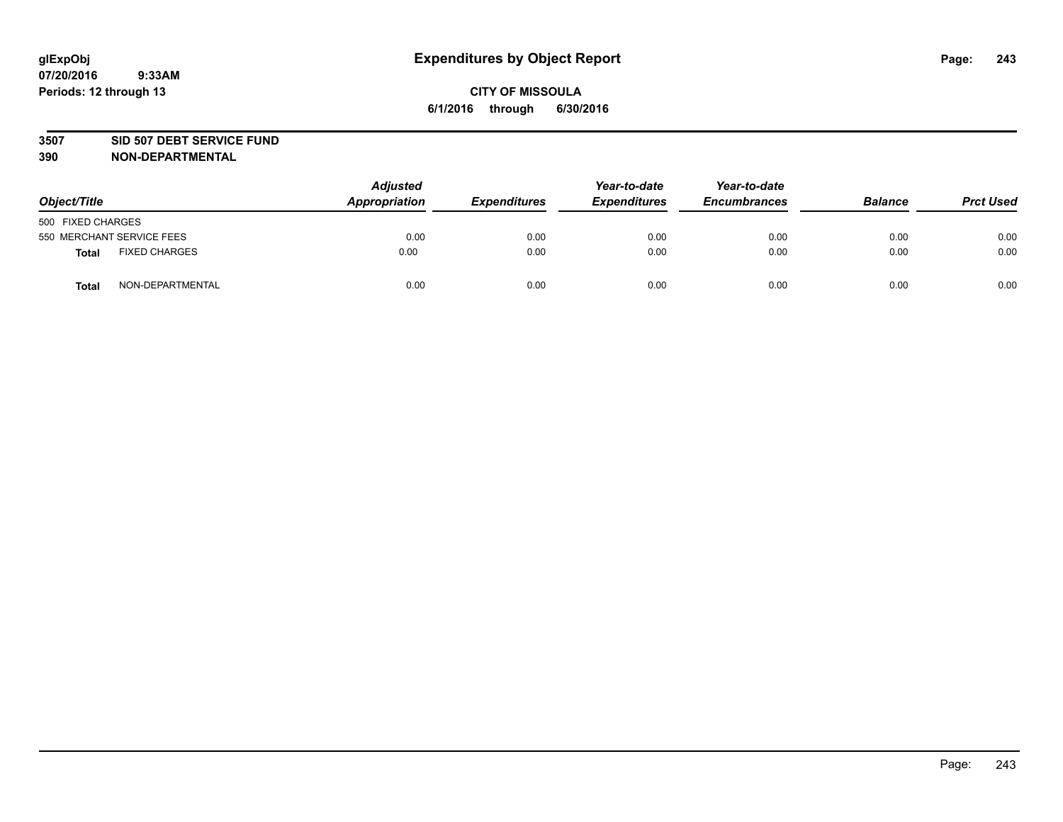#### **3507 SID 507 DEBT SERVICE FUND**

| Object/Title      |                           | <b>Adjusted</b><br>Appropriation | <b>Expenditures</b> | Year-to-date<br><b>Expenditures</b> | Year-to-date<br><b>Encumbrances</b> | <b>Balance</b> | <b>Prct Used</b> |
|-------------------|---------------------------|----------------------------------|---------------------|-------------------------------------|-------------------------------------|----------------|------------------|
| 500 FIXED CHARGES |                           |                                  |                     |                                     |                                     |                |                  |
|                   | 550 MERCHANT SERVICE FEES | 0.00                             | 0.00                | 0.00                                | 0.00                                | 0.00           | 0.00             |
| <b>Total</b>      | <b>FIXED CHARGES</b>      | 0.00                             | 0.00                | 0.00                                | 0.00                                | 0.00           | 0.00             |
| <b>Total</b>      | NON-DEPARTMENTAL          | 0.00                             | 0.00                | 0.00                                | 0.00                                | 0.00           | 0.00             |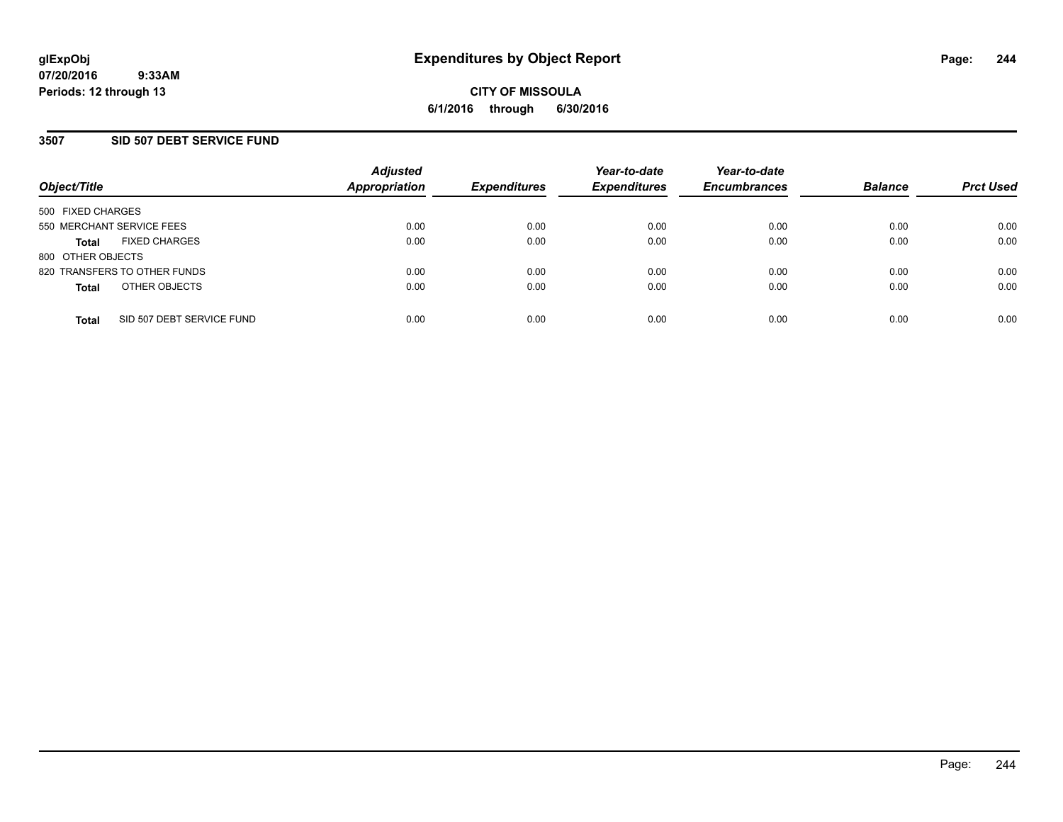### **3507 SID 507 DEBT SERVICE FUND**

| Object/Title                              | <b>Adjusted</b><br><b>Appropriation</b> | <b>Expenditures</b> | Year-to-date<br><b>Expenditures</b> | Year-to-date<br><b>Encumbrances</b> | <b>Balance</b> | <b>Prct Used</b> |
|-------------------------------------------|-----------------------------------------|---------------------|-------------------------------------|-------------------------------------|----------------|------------------|
| 500 FIXED CHARGES                         |                                         |                     |                                     |                                     |                |                  |
| 550 MERCHANT SERVICE FEES                 | 0.00                                    | 0.00                | 0.00                                | 0.00                                | 0.00           | 0.00             |
| <b>FIXED CHARGES</b><br><b>Total</b>      | 0.00                                    | 0.00                | 0.00                                | 0.00                                | 0.00           | 0.00             |
| 800 OTHER OBJECTS                         |                                         |                     |                                     |                                     |                |                  |
| 820 TRANSFERS TO OTHER FUNDS              | 0.00                                    | 0.00                | 0.00                                | 0.00                                | 0.00           | 0.00             |
| OTHER OBJECTS<br><b>Total</b>             | 0.00                                    | 0.00                | 0.00                                | 0.00                                | 0.00           | 0.00             |
| SID 507 DEBT SERVICE FUND<br><b>Total</b> | 0.00                                    | 0.00                | 0.00                                | 0.00                                | 0.00           | 0.00             |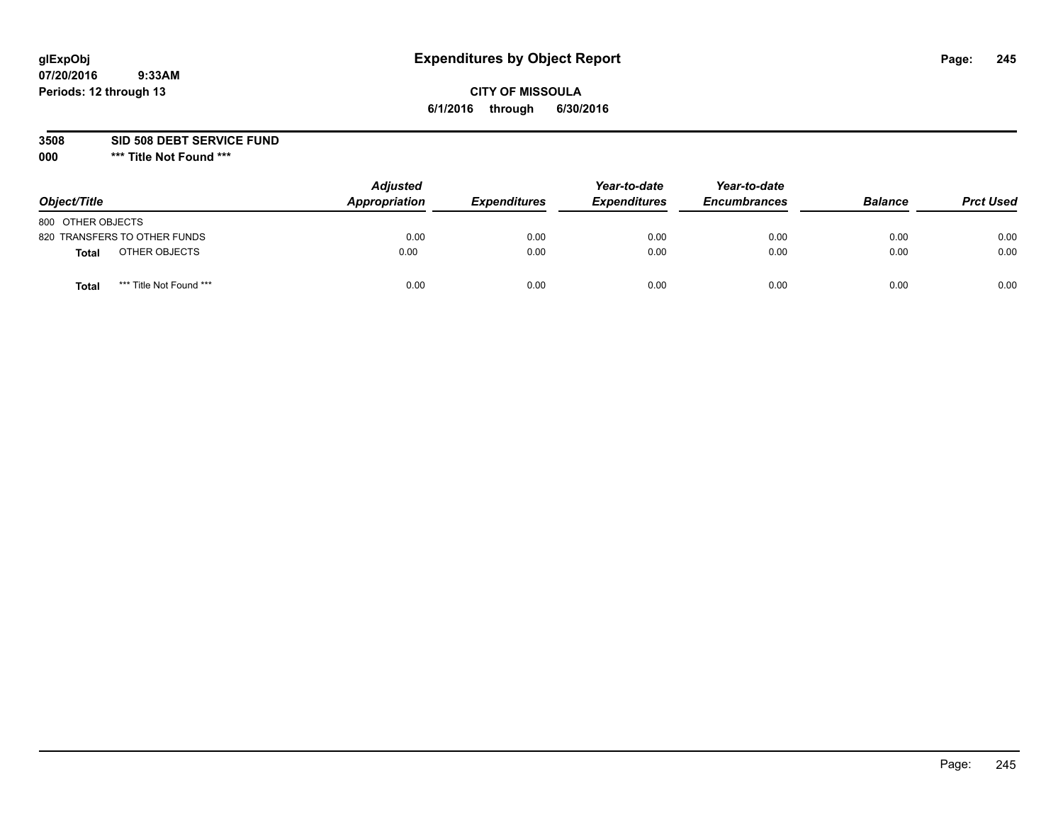### **CITY OF MISSOULA 6/1/2016 through 6/30/2016**

**3508 SID 508 DEBT SERVICE FUND**

| Object/Title                            | <b>Adjusted</b><br>Appropriation | <b>Expenditures</b> | Year-to-date<br><b>Expenditures</b> | Year-to-date<br><b>Encumbrances</b> | <b>Balance</b> | <b>Prct Used</b> |
|-----------------------------------------|----------------------------------|---------------------|-------------------------------------|-------------------------------------|----------------|------------------|
| 800 OTHER OBJECTS                       |                                  |                     |                                     |                                     |                |                  |
| 820 TRANSFERS TO OTHER FUNDS            | 0.00                             | 0.00                | 0.00                                | 0.00                                | 0.00           | 0.00             |
| OTHER OBJECTS<br><b>Total</b>           | 0.00                             | 0.00                | 0.00                                | 0.00                                | 0.00           | 0.00             |
| *** Title Not Found ***<br><b>Total</b> | 0.00                             | 0.00                | 0.00                                | 0.00                                | 0.00           | 0.00             |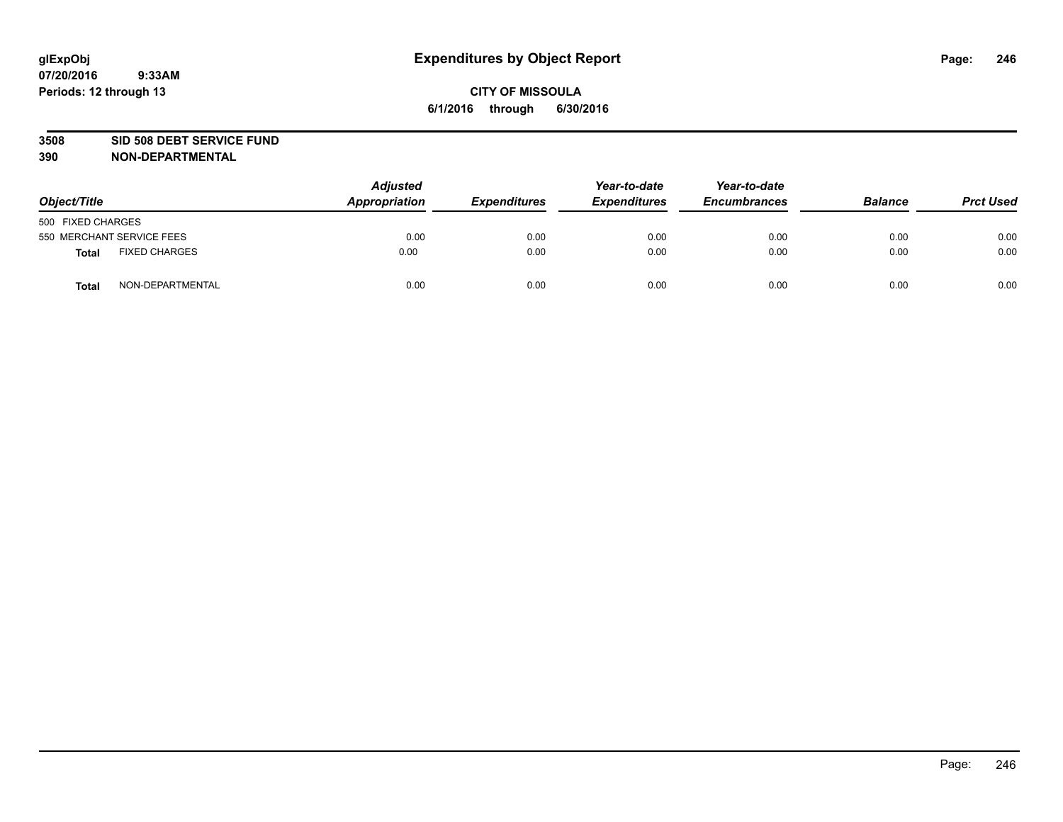#### **3508 SID 508 DEBT SERVICE FUND**

| Object/Title                         | <b>Adjusted</b><br>Appropriation | <b>Expenditures</b> | Year-to-date<br><b>Expenditures</b> | Year-to-date<br><b>Encumbrances</b> | <b>Balance</b> | <b>Prct Used</b> |
|--------------------------------------|----------------------------------|---------------------|-------------------------------------|-------------------------------------|----------------|------------------|
| 500 FIXED CHARGES                    |                                  |                     |                                     |                                     |                |                  |
| 550 MERCHANT SERVICE FEES            | 0.00                             | 0.00                | 0.00                                | 0.00                                | 0.00           | 0.00             |
| <b>FIXED CHARGES</b><br><b>Total</b> | 0.00                             | 0.00                | 0.00                                | 0.00                                | 0.00           | 0.00             |
| NON-DEPARTMENTAL<br>Total            | 0.00                             | 0.00                | 0.00                                | 0.00                                | 0.00           | 0.00             |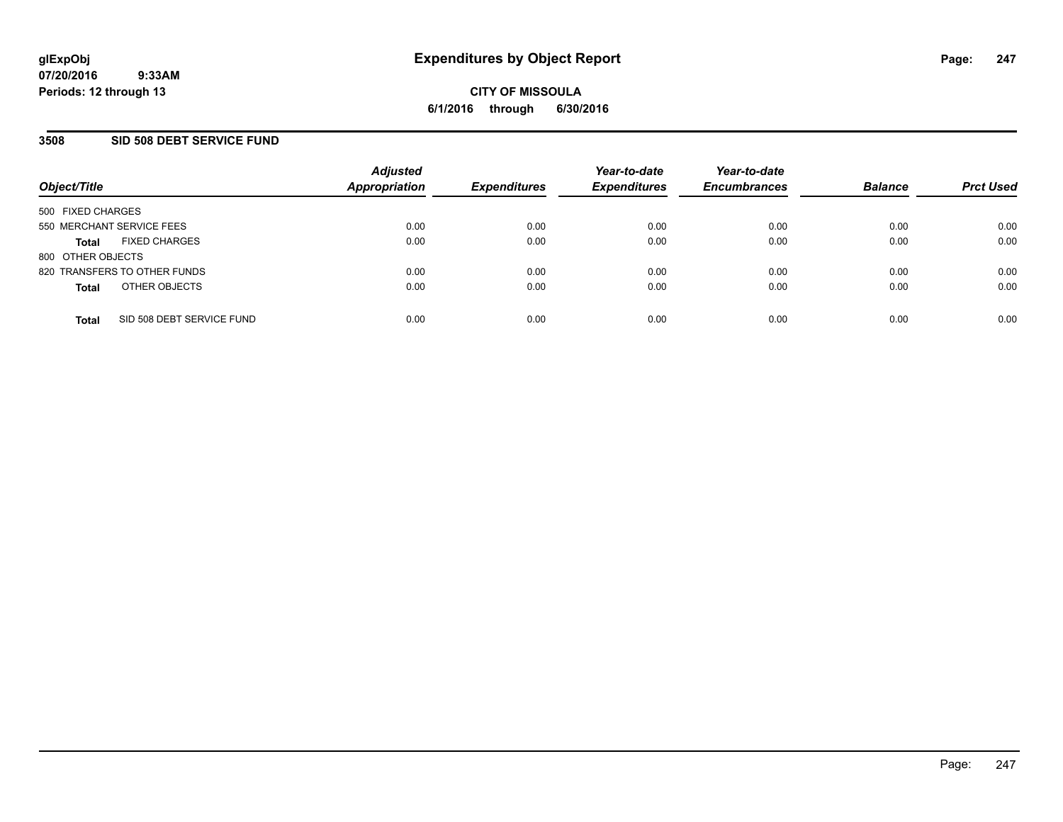### **3508 SID 508 DEBT SERVICE FUND**

| Object/Title                              | <b>Adjusted</b><br><b>Appropriation</b> | <b>Expenditures</b> | Year-to-date<br><b>Expenditures</b> | Year-to-date<br><b>Encumbrances</b> | <b>Balance</b> | <b>Prct Used</b> |
|-------------------------------------------|-----------------------------------------|---------------------|-------------------------------------|-------------------------------------|----------------|------------------|
| 500 FIXED CHARGES                         |                                         |                     |                                     |                                     |                |                  |
| 550 MERCHANT SERVICE FEES                 | 0.00                                    | 0.00                | 0.00                                | 0.00                                | 0.00           | 0.00             |
| <b>FIXED CHARGES</b><br><b>Total</b>      | 0.00                                    | 0.00                | 0.00                                | 0.00                                | 0.00           | 0.00             |
| 800 OTHER OBJECTS                         |                                         |                     |                                     |                                     |                |                  |
| 820 TRANSFERS TO OTHER FUNDS              | 0.00                                    | 0.00                | 0.00                                | 0.00                                | 0.00           | 0.00             |
| OTHER OBJECTS<br><b>Total</b>             | 0.00                                    | 0.00                | 0.00                                | 0.00                                | 0.00           | 0.00             |
| SID 508 DEBT SERVICE FUND<br><b>Total</b> | 0.00                                    | 0.00                | 0.00                                | 0.00                                | 0.00           | 0.00             |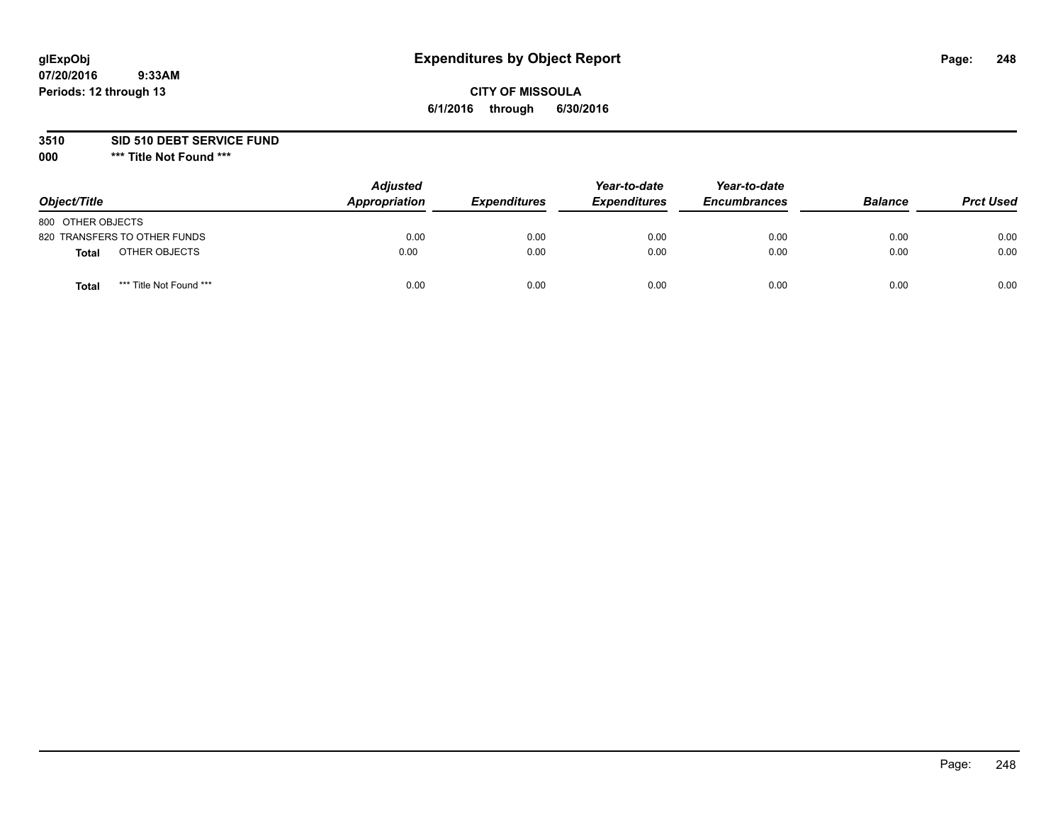### **CITY OF MISSOULA 6/1/2016 through 6/30/2016**

#### **3510 SID 510 DEBT SERVICE FUND**

| Object/Title                            | <b>Adjusted</b><br>Appropriation | <b>Expenditures</b> | Year-to-date<br><b>Expenditures</b> | Year-to-date<br><b>Encumbrances</b> | <b>Balance</b> | <b>Prct Used</b> |
|-----------------------------------------|----------------------------------|---------------------|-------------------------------------|-------------------------------------|----------------|------------------|
| 800 OTHER OBJECTS                       |                                  |                     |                                     |                                     |                |                  |
| 820 TRANSFERS TO OTHER FUNDS            | 0.00                             | 0.00                | 0.00                                | 0.00                                | 0.00           | 0.00             |
| OTHER OBJECTS<br>Total                  | 0.00                             | 0.00                | 0.00                                | 0.00                                | 0.00           | 0.00             |
| *** Title Not Found ***<br><b>Total</b> | 0.00                             | 0.00                | 0.00                                | 0.00                                | 0.00           | 0.00             |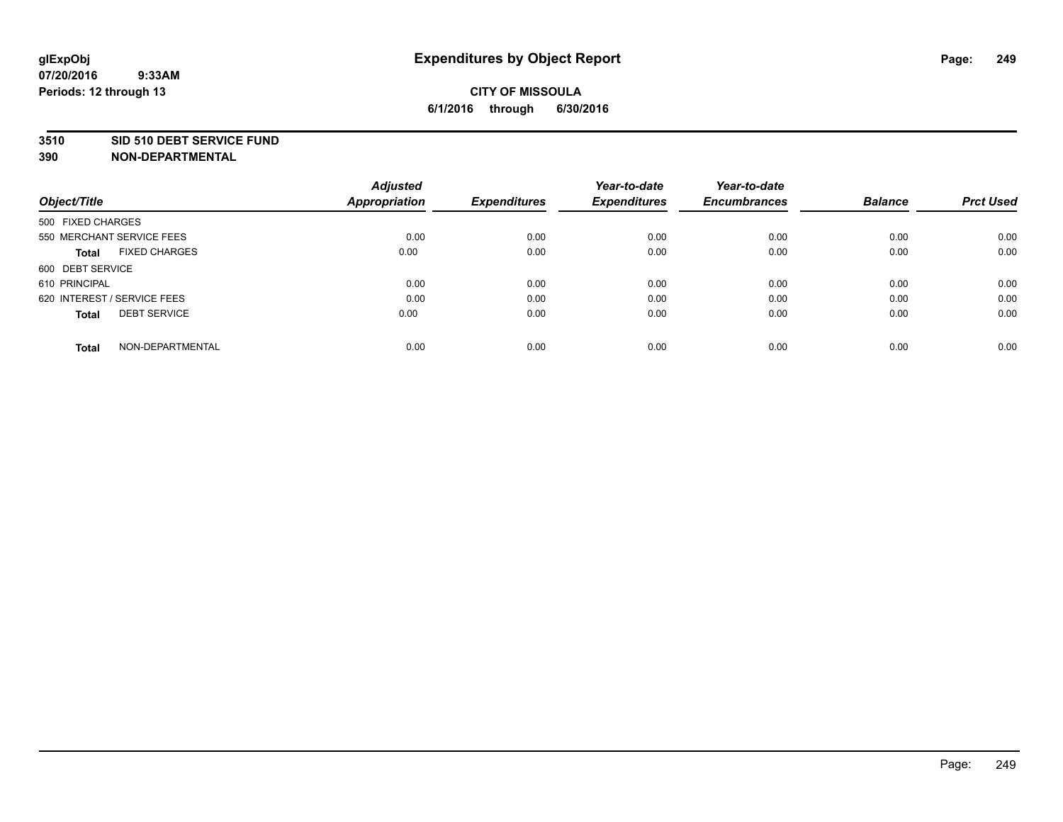#### **3510 SID 510 DEBT SERVICE FUND**

| Object/Title                         | <b>Adjusted</b><br><b>Appropriation</b> | <b>Expenditures</b> | Year-to-date<br><b>Expenditures</b> | Year-to-date<br><b>Encumbrances</b> | <b>Balance</b> | <b>Prct Used</b> |
|--------------------------------------|-----------------------------------------|---------------------|-------------------------------------|-------------------------------------|----------------|------------------|
|                                      |                                         |                     |                                     |                                     |                |                  |
| 500 FIXED CHARGES                    |                                         |                     |                                     |                                     |                |                  |
| 550 MERCHANT SERVICE FEES            | 0.00                                    | 0.00                | 0.00                                | 0.00                                | 0.00           | 0.00             |
| <b>FIXED CHARGES</b><br><b>Total</b> | 0.00                                    | 0.00                | 0.00                                | 0.00                                | 0.00           | 0.00             |
| 600 DEBT SERVICE                     |                                         |                     |                                     |                                     |                |                  |
| 610 PRINCIPAL                        | 0.00                                    | 0.00                | 0.00                                | 0.00                                | 0.00           | 0.00             |
| 620 INTEREST / SERVICE FEES          | 0.00                                    | 0.00                | 0.00                                | 0.00                                | 0.00           | 0.00             |
| <b>DEBT SERVICE</b><br><b>Total</b>  | 0.00                                    | 0.00                | 0.00                                | 0.00                                | 0.00           | 0.00             |
| NON-DEPARTMENTAL<br><b>Total</b>     | 0.00                                    | 0.00                | 0.00                                | 0.00                                | 0.00           | 0.00             |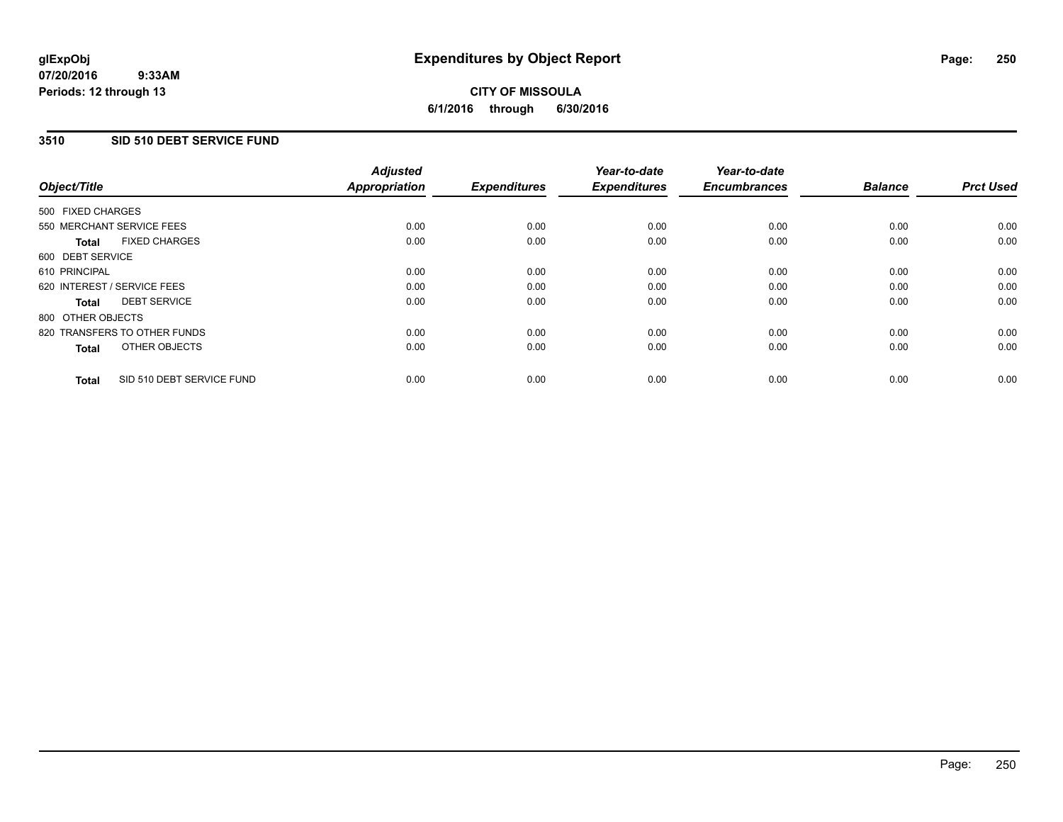### **3510 SID 510 DEBT SERVICE FUND**

| Object/Title                              | <b>Adjusted</b><br><b>Appropriation</b> | <b>Expenditures</b> | Year-to-date<br><b>Expenditures</b> | Year-to-date<br><b>Encumbrances</b> | <b>Balance</b> | <b>Prct Used</b> |
|-------------------------------------------|-----------------------------------------|---------------------|-------------------------------------|-------------------------------------|----------------|------------------|
| 500 FIXED CHARGES                         |                                         |                     |                                     |                                     |                |                  |
| 550 MERCHANT SERVICE FEES                 | 0.00                                    | 0.00                | 0.00                                | 0.00                                | 0.00           | 0.00             |
| <b>FIXED CHARGES</b><br><b>Total</b>      | 0.00                                    | 0.00                | 0.00                                | 0.00                                | 0.00           | 0.00             |
| 600 DEBT SERVICE                          |                                         |                     |                                     |                                     |                |                  |
| 610 PRINCIPAL                             | 0.00                                    | 0.00                | 0.00                                | 0.00                                | 0.00           | 0.00             |
| 620 INTEREST / SERVICE FEES               | 0.00                                    | 0.00                | 0.00                                | 0.00                                | 0.00           | 0.00             |
| <b>DEBT SERVICE</b><br><b>Total</b>       | 0.00                                    | 0.00                | 0.00                                | 0.00                                | 0.00           | 0.00             |
| 800 OTHER OBJECTS                         |                                         |                     |                                     |                                     |                |                  |
| 820 TRANSFERS TO OTHER FUNDS              | 0.00                                    | 0.00                | 0.00                                | 0.00                                | 0.00           | 0.00             |
| OTHER OBJECTS<br><b>Total</b>             | 0.00                                    | 0.00                | 0.00                                | 0.00                                | 0.00           | 0.00             |
| SID 510 DEBT SERVICE FUND<br><b>Total</b> | 0.00                                    | 0.00                | 0.00                                | 0.00                                | 0.00           | 0.00             |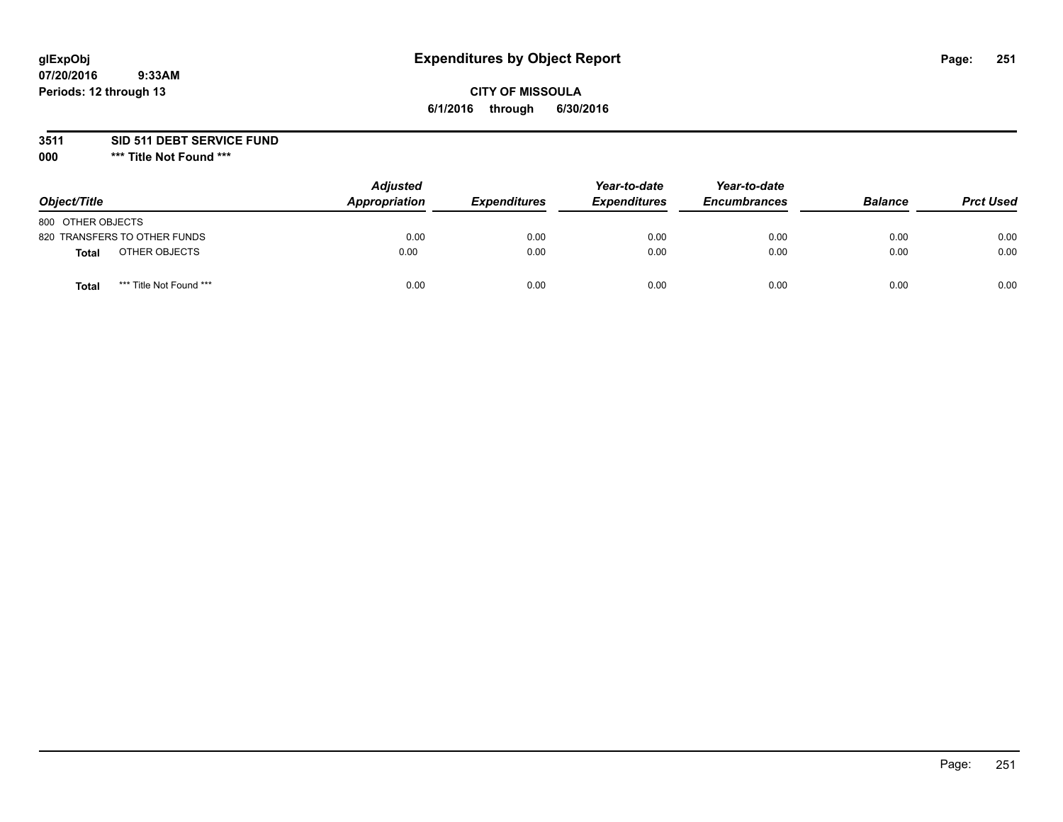### **CITY OF MISSOULA 6/1/2016 through 6/30/2016**

**3511 SID 511 DEBT SERVICE FUND**

| Object/Title                     | <b>Adjusted</b><br>Appropriation | <b>Expenditures</b> | Year-to-date<br><b>Expenditures</b> | Year-to-date<br><b>Encumbrances</b> | <b>Balance</b> | <b>Prct Used</b> |
|----------------------------------|----------------------------------|---------------------|-------------------------------------|-------------------------------------|----------------|------------------|
| 800 OTHER OBJECTS                |                                  |                     |                                     |                                     |                |                  |
| 820 TRANSFERS TO OTHER FUNDS     | 0.00                             | 0.00                | 0.00                                | 0.00                                | 0.00           | 0.00             |
| OTHER OBJECTS<br><b>Total</b>    | 0.00                             | 0.00                | 0.00                                | 0.00                                | 0.00           | 0.00             |
| *** Title Not Found ***<br>Total | 0.00                             | 0.00                | 0.00                                | 0.00                                | 0.00           | 0.00             |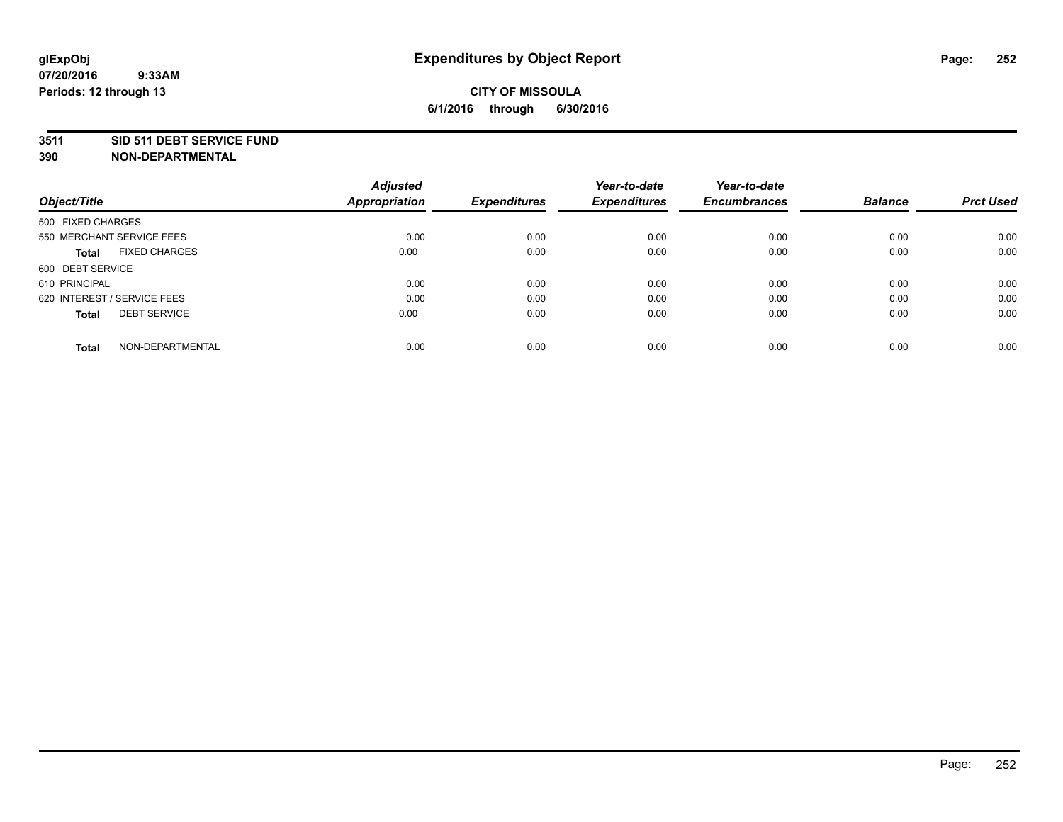#### **3511 SID 511 DEBT SERVICE FUND**

| Object/Title                         | <b>Adjusted</b><br><b>Appropriation</b> | <b>Expenditures</b> | Year-to-date<br><b>Expenditures</b> | Year-to-date<br><b>Encumbrances</b> | <b>Balance</b> | <b>Prct Used</b> |
|--------------------------------------|-----------------------------------------|---------------------|-------------------------------------|-------------------------------------|----------------|------------------|
|                                      |                                         |                     |                                     |                                     |                |                  |
| 500 FIXED CHARGES                    |                                         |                     |                                     |                                     |                |                  |
| 550 MERCHANT SERVICE FEES            | 0.00                                    | 0.00                | 0.00                                | 0.00                                | 0.00           | 0.00             |
| <b>FIXED CHARGES</b><br><b>Total</b> | 0.00                                    | 0.00                | 0.00                                | 0.00                                | 0.00           | 0.00             |
| 600 DEBT SERVICE                     |                                         |                     |                                     |                                     |                |                  |
| 610 PRINCIPAL                        | 0.00                                    | 0.00                | 0.00                                | 0.00                                | 0.00           | 0.00             |
| 620 INTEREST / SERVICE FEES          | 0.00                                    | 0.00                | 0.00                                | 0.00                                | 0.00           | 0.00             |
| <b>DEBT SERVICE</b><br><b>Total</b>  | 0.00                                    | 0.00                | 0.00                                | 0.00                                | 0.00           | 0.00             |
|                                      |                                         |                     |                                     |                                     |                |                  |
| NON-DEPARTMENTAL<br><b>Total</b>     | 0.00                                    | 0.00                | 0.00                                | 0.00                                | 0.00           | 0.00             |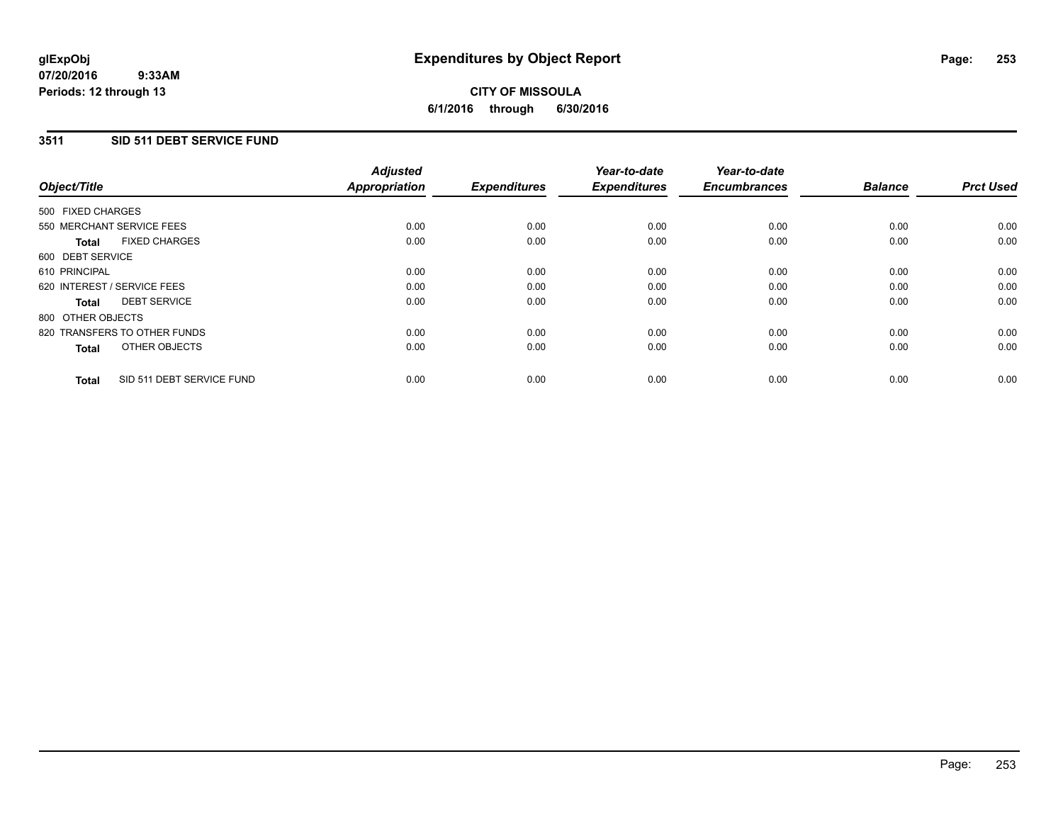### **3511 SID 511 DEBT SERVICE FUND**

| Object/Title                              | <b>Adjusted</b><br><b>Appropriation</b> | <b>Expenditures</b> | Year-to-date<br><b>Expenditures</b> | Year-to-date<br><b>Encumbrances</b> | <b>Balance</b> | <b>Prct Used</b> |
|-------------------------------------------|-----------------------------------------|---------------------|-------------------------------------|-------------------------------------|----------------|------------------|
| 500 FIXED CHARGES                         |                                         |                     |                                     |                                     |                |                  |
| 550 MERCHANT SERVICE FEES                 | 0.00                                    | 0.00                | 0.00                                | 0.00                                | 0.00           | 0.00             |
| <b>FIXED CHARGES</b><br><b>Total</b>      | 0.00                                    | 0.00                | 0.00                                | 0.00                                | 0.00           | 0.00             |
| 600 DEBT SERVICE                          |                                         |                     |                                     |                                     |                |                  |
| 610 PRINCIPAL                             | 0.00                                    | 0.00                | 0.00                                | 0.00                                | 0.00           | 0.00             |
| 620 INTEREST / SERVICE FEES               | 0.00                                    | 0.00                | 0.00                                | 0.00                                | 0.00           | 0.00             |
| <b>DEBT SERVICE</b><br><b>Total</b>       | 0.00                                    | 0.00                | 0.00                                | 0.00                                | 0.00           | 0.00             |
| 800 OTHER OBJECTS                         |                                         |                     |                                     |                                     |                |                  |
| 820 TRANSFERS TO OTHER FUNDS              | 0.00                                    | 0.00                | 0.00                                | 0.00                                | 0.00           | 0.00             |
| OTHER OBJECTS<br><b>Total</b>             | 0.00                                    | 0.00                | 0.00                                | 0.00                                | 0.00           | 0.00             |
| SID 511 DEBT SERVICE FUND<br><b>Total</b> | 0.00                                    | 0.00                | 0.00                                | 0.00                                | 0.00           | 0.00             |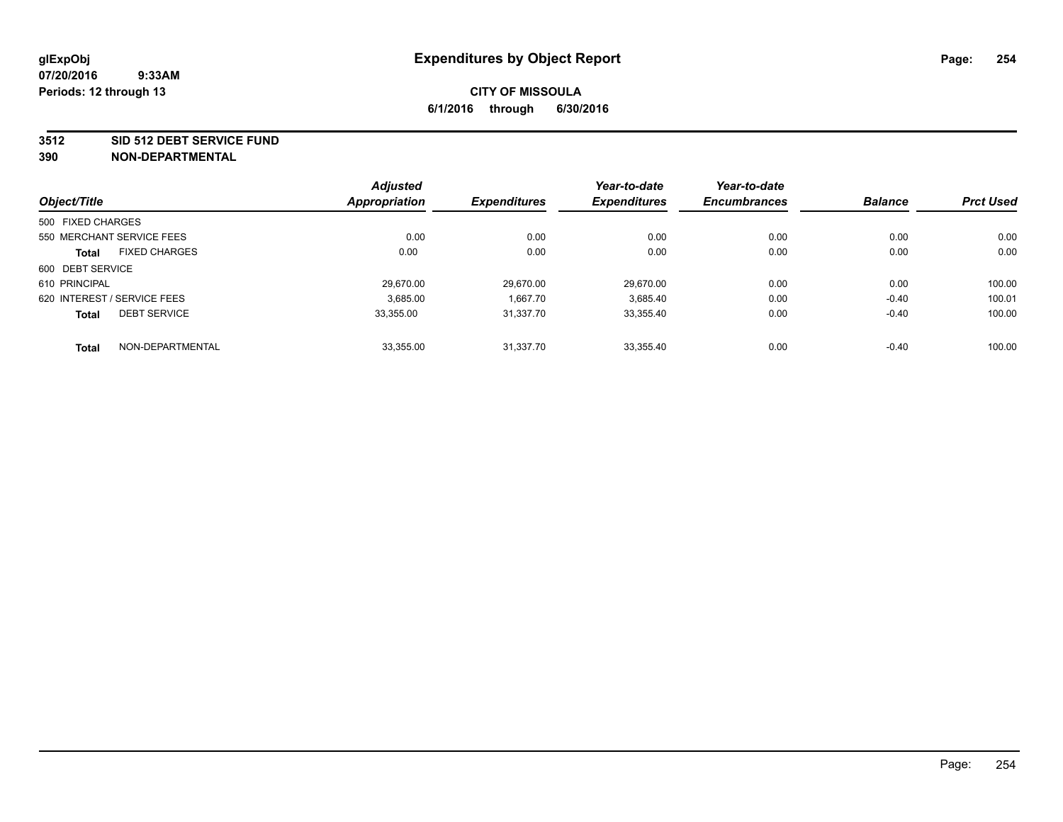#### **3512 SID 512 DEBT SERVICE FUND**

|                                     | <b>Adjusted</b>      |                     | Year-to-date        | Year-to-date        |                |                  |
|-------------------------------------|----------------------|---------------------|---------------------|---------------------|----------------|------------------|
| Object/Title                        | <b>Appropriation</b> | <b>Expenditures</b> | <b>Expenditures</b> | <b>Encumbrances</b> | <b>Balance</b> | <b>Prct Used</b> |
| 500 FIXED CHARGES                   |                      |                     |                     |                     |                |                  |
| 550 MERCHANT SERVICE FEES           | 0.00                 | 0.00                | 0.00                | 0.00                | 0.00           | 0.00             |
| <b>FIXED CHARGES</b><br>Total       | 0.00                 | 0.00                | 0.00                | 0.00                | 0.00           | 0.00             |
| 600 DEBT SERVICE                    |                      |                     |                     |                     |                |                  |
| 610 PRINCIPAL                       | 29.670.00            | 29.670.00           | 29.670.00           | 0.00                | 0.00           | 100.00           |
| 620 INTEREST / SERVICE FEES         | 3,685.00             | 1,667.70            | 3,685.40            | 0.00                | $-0.40$        | 100.01           |
| <b>DEBT SERVICE</b><br><b>Total</b> | 33.355.00            | 31.337.70           | 33,355.40           | 0.00                | $-0.40$        | 100.00           |
| NON-DEPARTMENTAL<br><b>Total</b>    | 33.355.00            | 31.337.70           | 33.355.40           | 0.00                | $-0.40$        | 100.00           |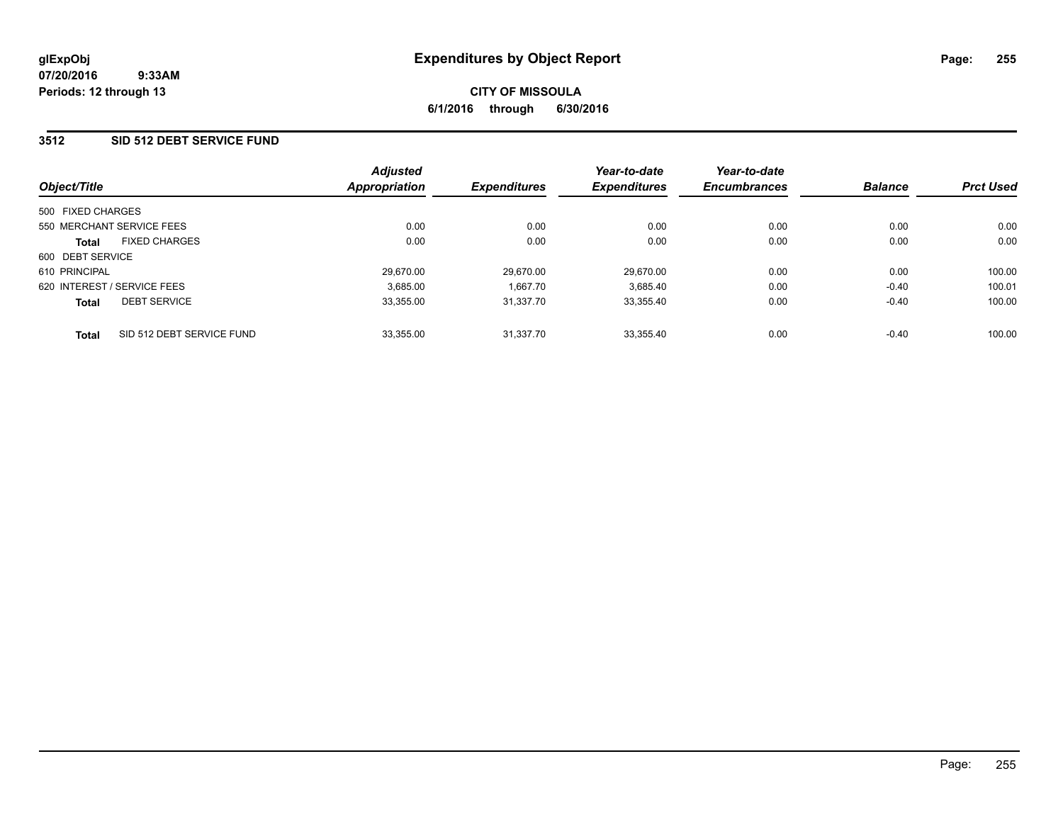### **3512 SID 512 DEBT SERVICE FUND**

| Object/Title                |                           | <b>Adjusted</b><br>Appropriation | <b>Expenditures</b> | Year-to-date<br><b>Expenditures</b> | Year-to-date<br><b>Encumbrances</b> | <b>Balance</b> | <b>Prct Used</b> |
|-----------------------------|---------------------------|----------------------------------|---------------------|-------------------------------------|-------------------------------------|----------------|------------------|
| 500 FIXED CHARGES           |                           |                                  |                     |                                     |                                     |                |                  |
|                             |                           |                                  |                     |                                     |                                     |                |                  |
| 550 MERCHANT SERVICE FEES   |                           | 0.00                             | 0.00                | 0.00                                | 0.00                                | 0.00           | 0.00             |
| <b>Total</b>                | <b>FIXED CHARGES</b>      | 0.00                             | 0.00                | 0.00                                | 0.00                                | 0.00           | 0.00             |
| 600 DEBT SERVICE            |                           |                                  |                     |                                     |                                     |                |                  |
| 610 PRINCIPAL               |                           | 29.670.00                        | 29.670.00           | 29.670.00                           | 0.00                                | 0.00           | 100.00           |
| 620 INTEREST / SERVICE FEES |                           | 3.685.00                         | 1.667.70            | 3.685.40                            | 0.00                                | $-0.40$        | 100.01           |
| <b>Total</b>                | <b>DEBT SERVICE</b>       | 33.355.00                        | 31.337.70           | 33,355.40                           | 0.00                                | $-0.40$        | 100.00           |
| <b>Total</b>                | SID 512 DEBT SERVICE FUND | 33,355.00                        | 31.337.70           | 33.355.40                           | 0.00                                | $-0.40$        | 100.00           |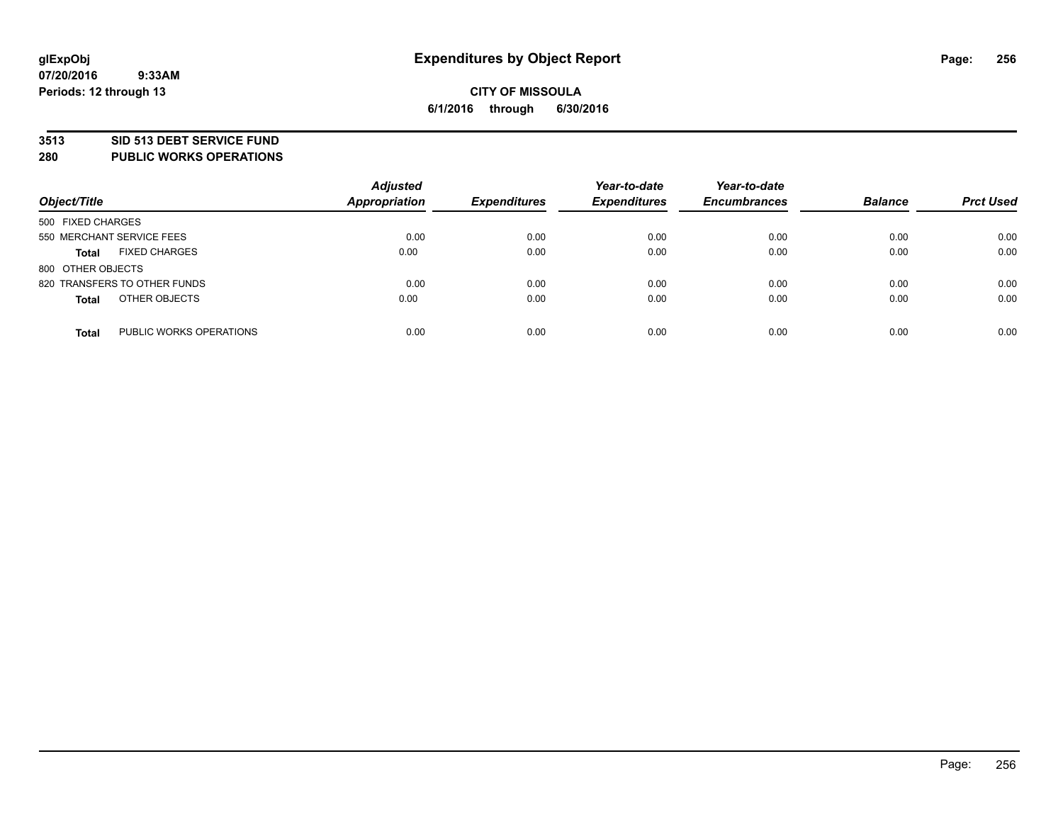#### **3513 SID 513 DEBT SERVICE FUND**

**280 PUBLIC WORKS OPERATIONS**

| Object/Title                            | <b>Adjusted</b><br><b>Appropriation</b> | <b>Expenditures</b> | Year-to-date<br><b>Expenditures</b> | Year-to-date<br><b>Encumbrances</b> | <b>Balance</b> | <b>Prct Used</b> |
|-----------------------------------------|-----------------------------------------|---------------------|-------------------------------------|-------------------------------------|----------------|------------------|
| 500 FIXED CHARGES                       |                                         |                     |                                     |                                     |                |                  |
| 550 MERCHANT SERVICE FEES               | 0.00                                    | 0.00                | 0.00                                | 0.00                                | 0.00           | 0.00             |
| <b>FIXED CHARGES</b><br><b>Total</b>    | 0.00                                    | 0.00                | 0.00                                | 0.00                                | 0.00           | 0.00             |
| 800 OTHER OBJECTS                       |                                         |                     |                                     |                                     |                |                  |
| 820 TRANSFERS TO OTHER FUNDS            | 0.00                                    | 0.00                | 0.00                                | 0.00                                | 0.00           | 0.00             |
| OTHER OBJECTS<br><b>Total</b>           | 0.00                                    | 0.00                | 0.00                                | 0.00                                | 0.00           | 0.00             |
| PUBLIC WORKS OPERATIONS<br><b>Total</b> | 0.00                                    | 0.00                | 0.00                                | 0.00                                | 0.00           | 0.00             |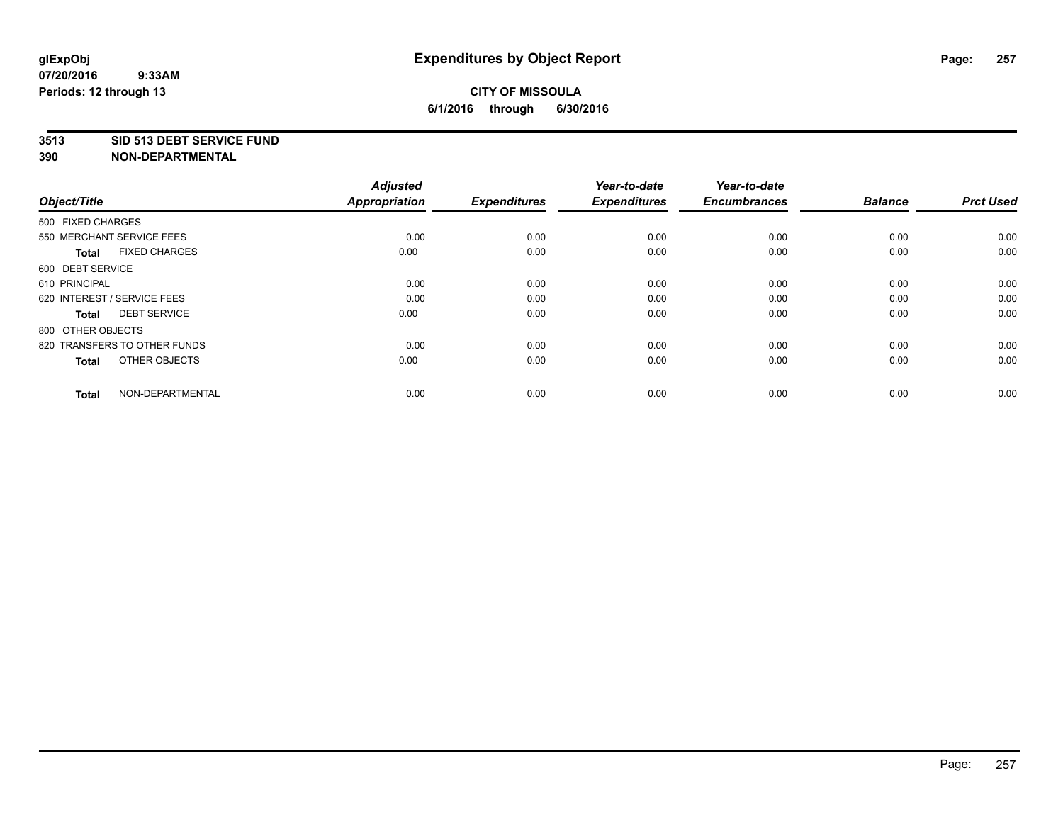#### **3513 SID 513 DEBT SERVICE FUND**

| Object/Title                         | <b>Adjusted</b><br><b>Appropriation</b> | <b>Expenditures</b> | Year-to-date<br><b>Expenditures</b> | Year-to-date<br><b>Encumbrances</b> | <b>Balance</b> | <b>Prct Used</b> |
|--------------------------------------|-----------------------------------------|---------------------|-------------------------------------|-------------------------------------|----------------|------------------|
| 500 FIXED CHARGES                    |                                         |                     |                                     |                                     |                |                  |
| 550 MERCHANT SERVICE FEES            | 0.00                                    | 0.00                | 0.00                                | 0.00                                | 0.00           | 0.00             |
| <b>FIXED CHARGES</b><br><b>Total</b> | 0.00                                    | 0.00                | 0.00                                | 0.00                                | 0.00           | 0.00             |
| 600 DEBT SERVICE                     |                                         |                     |                                     |                                     |                |                  |
| 610 PRINCIPAL                        | 0.00                                    | 0.00                | 0.00                                | 0.00                                | 0.00           | 0.00             |
| 620 INTEREST / SERVICE FEES          | 0.00                                    | 0.00                | 0.00                                | 0.00                                | 0.00           | 0.00             |
| <b>DEBT SERVICE</b><br><b>Total</b>  | 0.00                                    | 0.00                | 0.00                                | 0.00                                | 0.00           | 0.00             |
| 800 OTHER OBJECTS                    |                                         |                     |                                     |                                     |                |                  |
| 820 TRANSFERS TO OTHER FUNDS         | 0.00                                    | 0.00                | 0.00                                | 0.00                                | 0.00           | 0.00             |
| OTHER OBJECTS<br><b>Total</b>        | 0.00                                    | 0.00                | 0.00                                | 0.00                                | 0.00           | 0.00             |
|                                      |                                         |                     |                                     |                                     |                |                  |
| NON-DEPARTMENTAL<br><b>Total</b>     | 0.00                                    | 0.00                | 0.00                                | 0.00                                | 0.00           | 0.00             |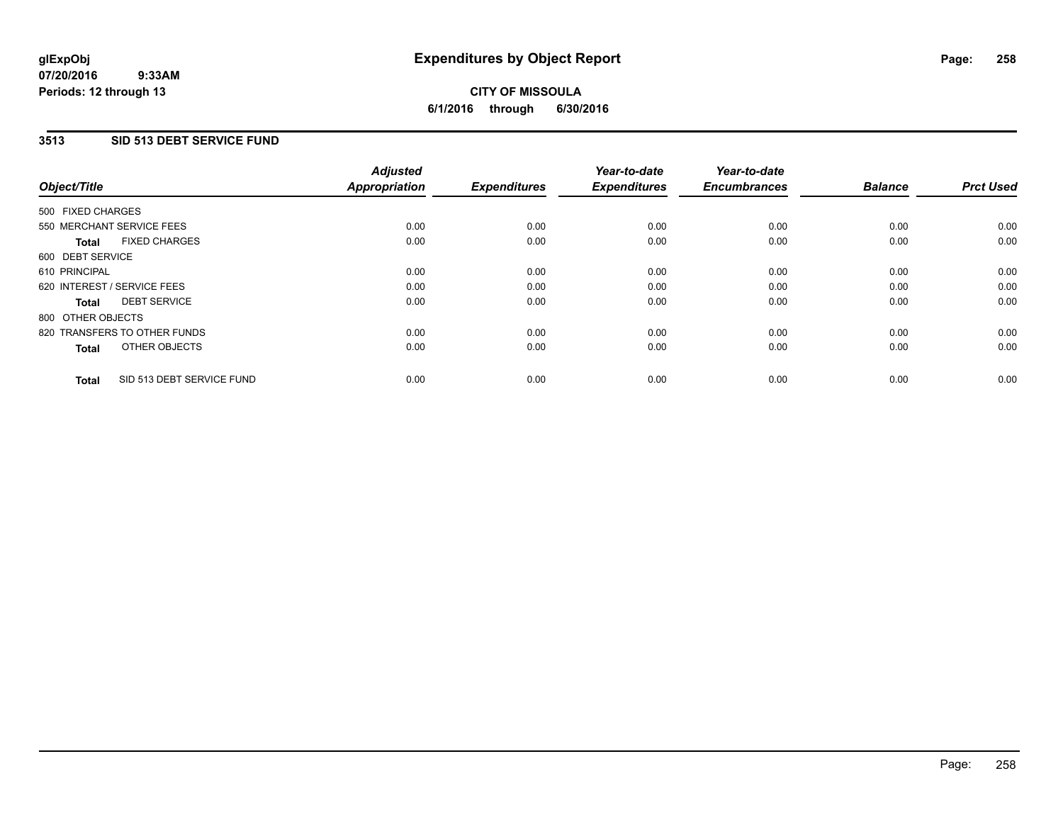### **3513 SID 513 DEBT SERVICE FUND**

| Object/Title                              | <b>Adjusted</b><br><b>Appropriation</b> | <b>Expenditures</b> | Year-to-date<br><b>Expenditures</b> | Year-to-date<br><b>Encumbrances</b> | <b>Balance</b> | <b>Prct Used</b> |
|-------------------------------------------|-----------------------------------------|---------------------|-------------------------------------|-------------------------------------|----------------|------------------|
|                                           |                                         |                     |                                     |                                     |                |                  |
| 500 FIXED CHARGES                         |                                         |                     |                                     |                                     |                |                  |
| 550 MERCHANT SERVICE FEES                 | 0.00                                    | 0.00                | 0.00                                | 0.00                                | 0.00           | 0.00             |
| <b>FIXED CHARGES</b><br>Total             | 0.00                                    | 0.00                | 0.00                                | 0.00                                | 0.00           | 0.00             |
| 600 DEBT SERVICE                          |                                         |                     |                                     |                                     |                |                  |
| 610 PRINCIPAL                             | 0.00                                    | 0.00                | 0.00                                | 0.00                                | 0.00           | 0.00             |
| 620 INTEREST / SERVICE FEES               | 0.00                                    | 0.00                | 0.00                                | 0.00                                | 0.00           | 0.00             |
| <b>DEBT SERVICE</b><br><b>Total</b>       | 0.00                                    | 0.00                | 0.00                                | 0.00                                | 0.00           | 0.00             |
| 800 OTHER OBJECTS                         |                                         |                     |                                     |                                     |                |                  |
| 820 TRANSFERS TO OTHER FUNDS              | 0.00                                    | 0.00                | 0.00                                | 0.00                                | 0.00           | 0.00             |
| OTHER OBJECTS<br><b>Total</b>             | 0.00                                    | 0.00                | 0.00                                | 0.00                                | 0.00           | 0.00             |
|                                           |                                         |                     |                                     |                                     |                |                  |
| SID 513 DEBT SERVICE FUND<br><b>Total</b> | 0.00                                    | 0.00                | 0.00                                | 0.00                                | 0.00           | 0.00             |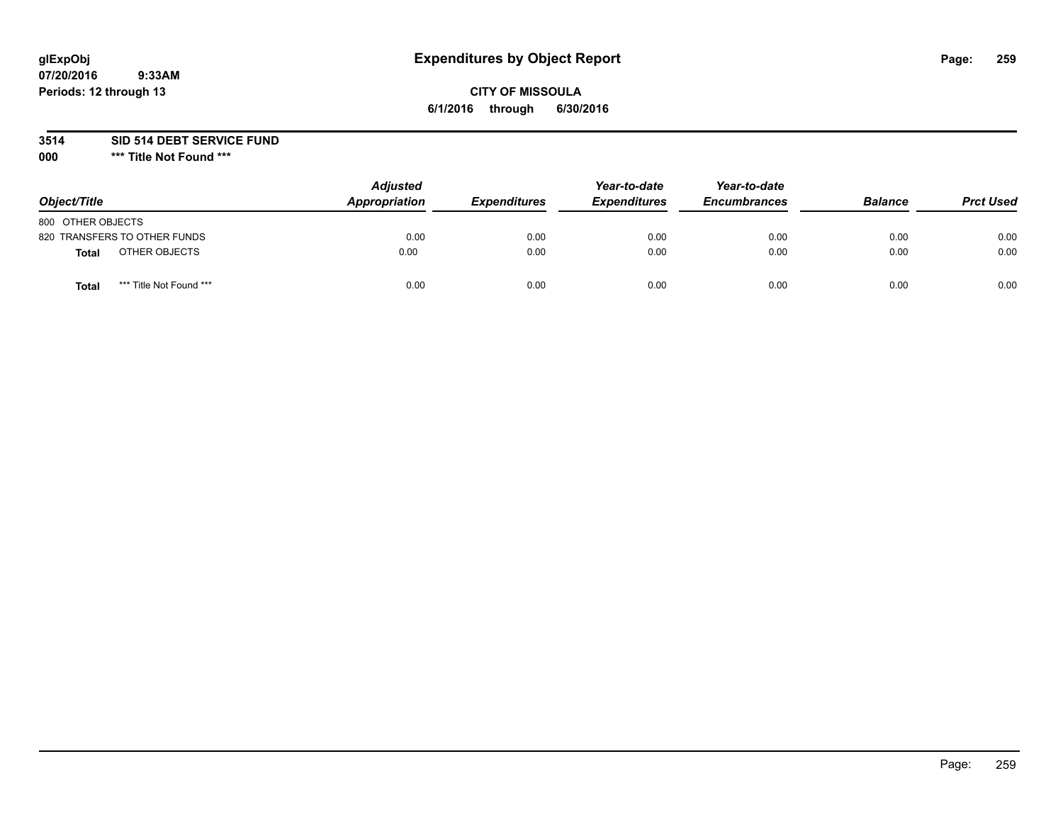# **glExpObj Expenditures by Object Report Page: 259**

### **CITY OF MISSOULA 6/1/2016 through 6/30/2016**

**3514 SID 514 DEBT SERVICE FUND**

**000 \*\*\* Title Not Found \*\*\***

| Object/Title                     | <b>Adjusted</b><br>Appropriation | <b>Expenditures</b> | Year-to-date<br><b>Expenditures</b> | Year-to-date<br><b>Encumbrances</b> | <b>Balance</b> | <b>Prct Used</b> |
|----------------------------------|----------------------------------|---------------------|-------------------------------------|-------------------------------------|----------------|------------------|
| 800 OTHER OBJECTS                |                                  |                     |                                     |                                     |                |                  |
| 820 TRANSFERS TO OTHER FUNDS     | 0.00                             | 0.00                | 0.00                                | 0.00                                | 0.00           | 0.00             |
| OTHER OBJECTS<br><b>Total</b>    | 0.00                             | 0.00                | 0.00                                | 0.00                                | 0.00           | 0.00             |
| *** Title Not Found ***<br>Total | 0.00                             | 0.00                | 0.00                                | 0.00                                | 0.00           | 0.00             |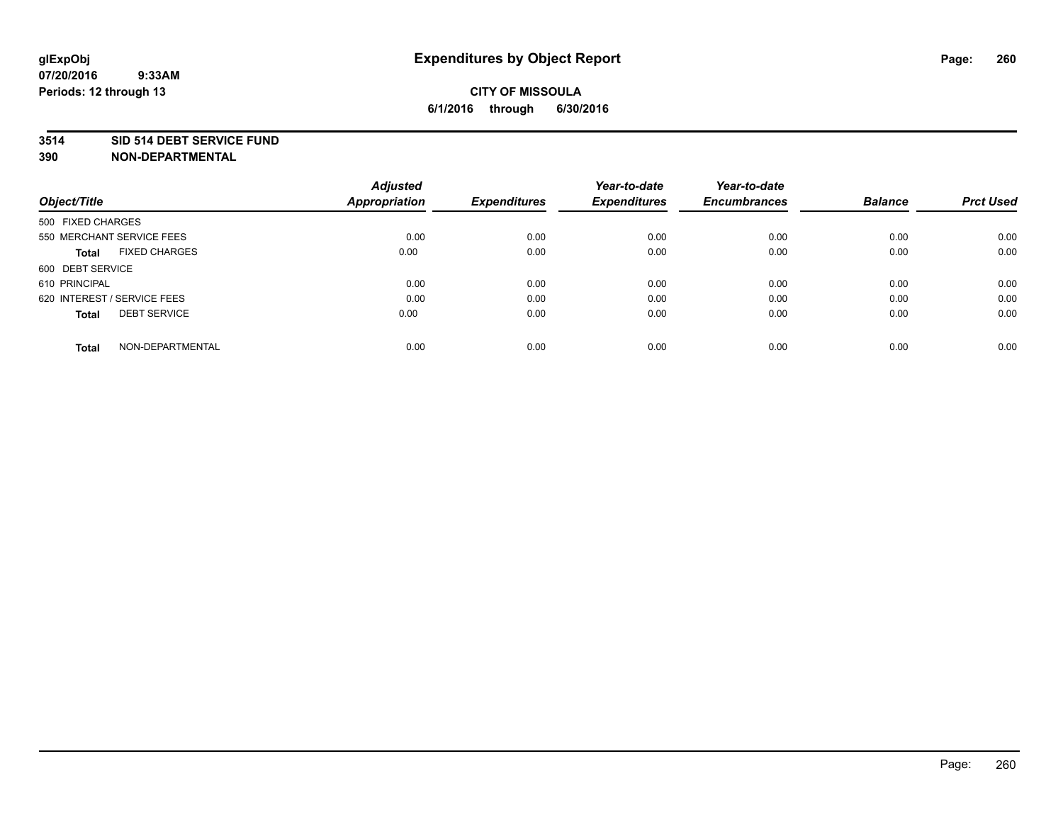#### **3514 SID 514 DEBT SERVICE FUND**

| Object/Title                        | <b>Adjusted</b><br><b>Appropriation</b> | <b>Expenditures</b> | Year-to-date<br><b>Expenditures</b> | Year-to-date<br><b>Encumbrances</b> | <b>Balance</b> | <b>Prct Used</b> |
|-------------------------------------|-----------------------------------------|---------------------|-------------------------------------|-------------------------------------|----------------|------------------|
|                                     |                                         |                     |                                     |                                     |                |                  |
| 500 FIXED CHARGES                   |                                         |                     |                                     |                                     |                |                  |
| 550 MERCHANT SERVICE FEES           | 0.00                                    | 0.00                | 0.00                                | 0.00                                | 0.00           | 0.00             |
| <b>FIXED CHARGES</b><br>Total       | 0.00                                    | 0.00                | 0.00                                | 0.00                                | 0.00           | 0.00             |
| 600 DEBT SERVICE                    |                                         |                     |                                     |                                     |                |                  |
| 610 PRINCIPAL                       | 0.00                                    | 0.00                | 0.00                                | 0.00                                | 0.00           | 0.00             |
| 620 INTEREST / SERVICE FEES         | 0.00                                    | 0.00                | 0.00                                | 0.00                                | 0.00           | 0.00             |
| <b>DEBT SERVICE</b><br><b>Total</b> | 0.00                                    | 0.00                | 0.00                                | 0.00                                | 0.00           | 0.00             |
| NON-DEPARTMENTAL<br><b>Total</b>    | 0.00                                    | 0.00                | 0.00                                | 0.00                                | 0.00           | 0.00             |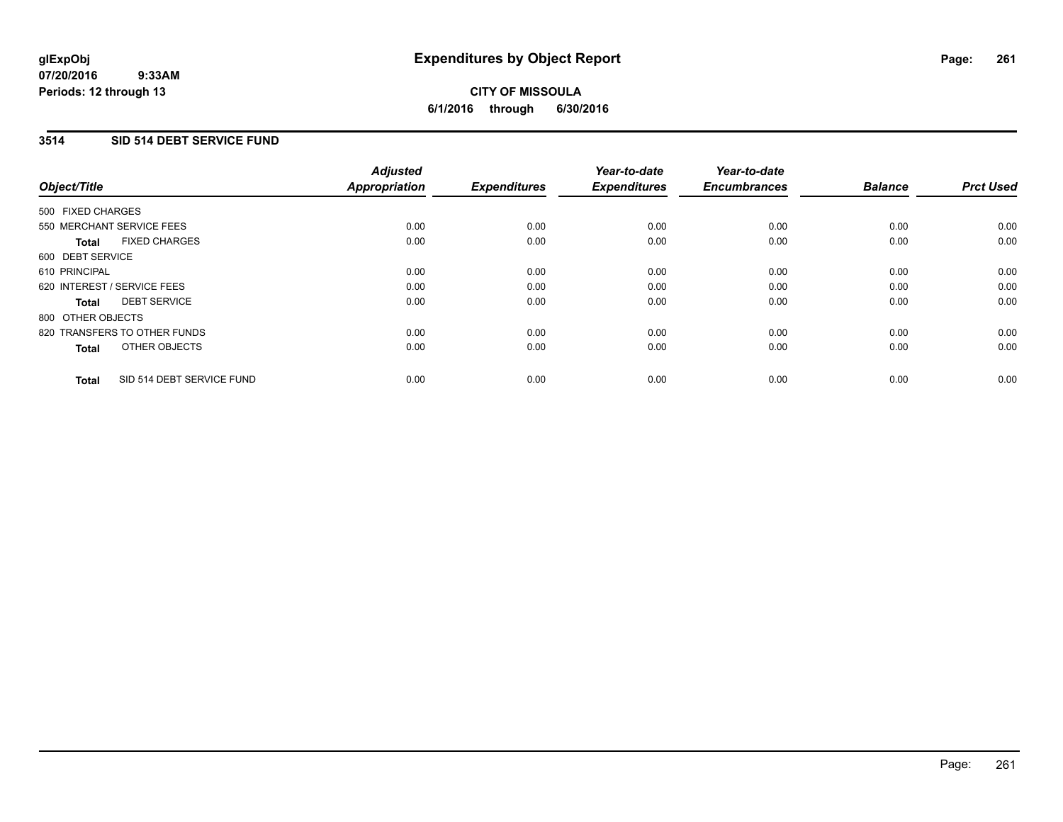### **3514 SID 514 DEBT SERVICE FUND**

| Object/Title                              | <b>Adjusted</b><br><b>Appropriation</b> | <b>Expenditures</b> | Year-to-date<br><b>Expenditures</b> | Year-to-date<br><b>Encumbrances</b> | <b>Balance</b> | <b>Prct Used</b> |
|-------------------------------------------|-----------------------------------------|---------------------|-------------------------------------|-------------------------------------|----------------|------------------|
| 500 FIXED CHARGES                         |                                         |                     |                                     |                                     |                |                  |
| 550 MERCHANT SERVICE FEES                 | 0.00                                    | 0.00                | 0.00                                | 0.00                                | 0.00           | 0.00             |
| <b>FIXED CHARGES</b><br>Total             | 0.00                                    | 0.00                | 0.00                                | 0.00                                | 0.00           | 0.00             |
| 600 DEBT SERVICE                          |                                         |                     |                                     |                                     |                |                  |
| 610 PRINCIPAL                             | 0.00                                    | 0.00                | 0.00                                | 0.00                                | 0.00           | 0.00             |
| 620 INTEREST / SERVICE FEES               | 0.00                                    | 0.00                | 0.00                                | 0.00                                | 0.00           | 0.00             |
| <b>DEBT SERVICE</b><br>Total              | 0.00                                    | 0.00                | 0.00                                | 0.00                                | 0.00           | 0.00             |
| 800 OTHER OBJECTS                         |                                         |                     |                                     |                                     |                |                  |
| 820 TRANSFERS TO OTHER FUNDS              | 0.00                                    | 0.00                | 0.00                                | 0.00                                | 0.00           | 0.00             |
| OTHER OBJECTS<br><b>Total</b>             | 0.00                                    | 0.00                | 0.00                                | 0.00                                | 0.00           | 0.00             |
| SID 514 DEBT SERVICE FUND<br><b>Total</b> | 0.00                                    | 0.00                | 0.00                                | 0.00                                | 0.00           | 0.00             |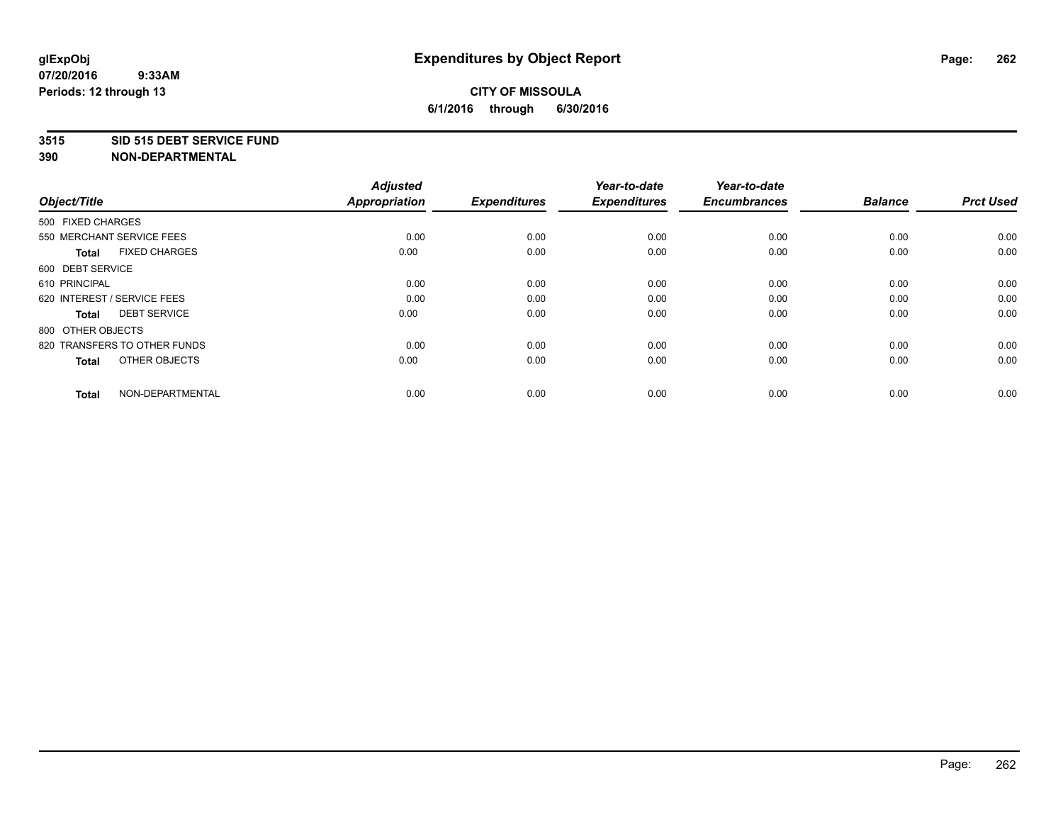#### **3515 SID 515 DEBT SERVICE FUND**

| Object/Title                         | <b>Adjusted</b><br><b>Appropriation</b> | <b>Expenditures</b> | Year-to-date<br><b>Expenditures</b> | Year-to-date<br><b>Encumbrances</b> | <b>Balance</b> | <b>Prct Used</b> |
|--------------------------------------|-----------------------------------------|---------------------|-------------------------------------|-------------------------------------|----------------|------------------|
| 500 FIXED CHARGES                    |                                         |                     |                                     |                                     |                |                  |
| 550 MERCHANT SERVICE FEES            | 0.00                                    | 0.00                | 0.00                                | 0.00                                | 0.00           | 0.00             |
| <b>FIXED CHARGES</b><br><b>Total</b> | 0.00                                    | 0.00                | 0.00                                | 0.00                                | 0.00           | 0.00             |
| 600 DEBT SERVICE                     |                                         |                     |                                     |                                     |                |                  |
| 610 PRINCIPAL                        | 0.00                                    | 0.00                | 0.00                                | 0.00                                | 0.00           | 0.00             |
| 620 INTEREST / SERVICE FEES          | 0.00                                    | 0.00                | 0.00                                | 0.00                                | 0.00           | 0.00             |
| <b>DEBT SERVICE</b><br><b>Total</b>  | 0.00                                    | 0.00                | 0.00                                | 0.00                                | 0.00           | 0.00             |
| 800 OTHER OBJECTS                    |                                         |                     |                                     |                                     |                |                  |
| 820 TRANSFERS TO OTHER FUNDS         | 0.00                                    | 0.00                | 0.00                                | 0.00                                | 0.00           | 0.00             |
| OTHER OBJECTS<br><b>Total</b>        | 0.00                                    | 0.00                | 0.00                                | 0.00                                | 0.00           | 0.00             |
|                                      |                                         |                     |                                     |                                     |                |                  |
| NON-DEPARTMENTAL<br><b>Total</b>     | 0.00                                    | 0.00                | 0.00                                | 0.00                                | 0.00           | 0.00             |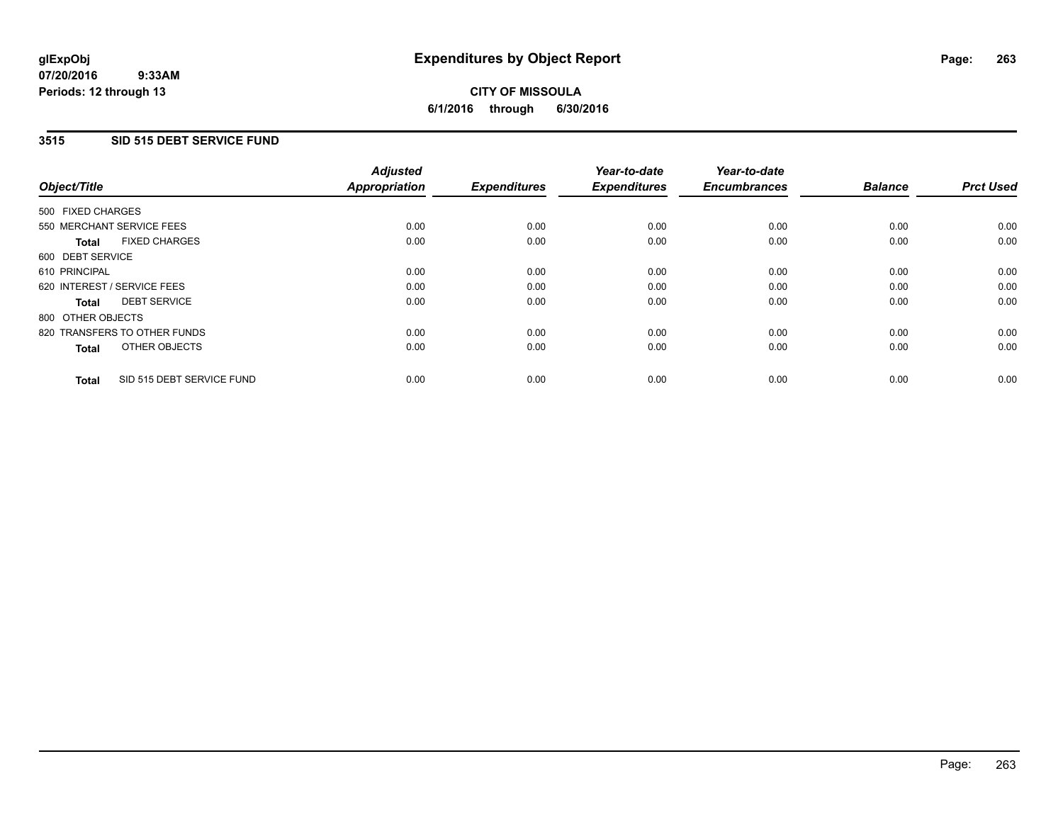### **3515 SID 515 DEBT SERVICE FUND**

| Object/Title                              | <b>Adjusted</b><br><b>Appropriation</b> | <b>Expenditures</b> | Year-to-date<br><b>Expenditures</b> | Year-to-date<br><b>Encumbrances</b> | <b>Balance</b> | <b>Prct Used</b> |
|-------------------------------------------|-----------------------------------------|---------------------|-------------------------------------|-------------------------------------|----------------|------------------|
|                                           |                                         |                     |                                     |                                     |                |                  |
| 500 FIXED CHARGES                         |                                         |                     |                                     |                                     |                |                  |
| 550 MERCHANT SERVICE FEES                 | 0.00                                    | 0.00                | 0.00                                | 0.00                                | 0.00           | 0.00             |
| <b>FIXED CHARGES</b><br>Total             | 0.00                                    | 0.00                | 0.00                                | 0.00                                | 0.00           | 0.00             |
| 600 DEBT SERVICE                          |                                         |                     |                                     |                                     |                |                  |
| 610 PRINCIPAL                             | 0.00                                    | 0.00                | 0.00                                | 0.00                                | 0.00           | 0.00             |
| 620 INTEREST / SERVICE FEES               | 0.00                                    | 0.00                | 0.00                                | 0.00                                | 0.00           | 0.00             |
| <b>DEBT SERVICE</b><br><b>Total</b>       | 0.00                                    | 0.00                | 0.00                                | 0.00                                | 0.00           | 0.00             |
| 800 OTHER OBJECTS                         |                                         |                     |                                     |                                     |                |                  |
| 820 TRANSFERS TO OTHER FUNDS              | 0.00                                    | 0.00                | 0.00                                | 0.00                                | 0.00           | 0.00             |
| OTHER OBJECTS<br><b>Total</b>             | 0.00                                    | 0.00                | 0.00                                | 0.00                                | 0.00           | 0.00             |
|                                           |                                         |                     |                                     |                                     |                |                  |
| SID 515 DEBT SERVICE FUND<br><b>Total</b> | 0.00                                    | 0.00                | 0.00                                | 0.00                                | 0.00           | 0.00             |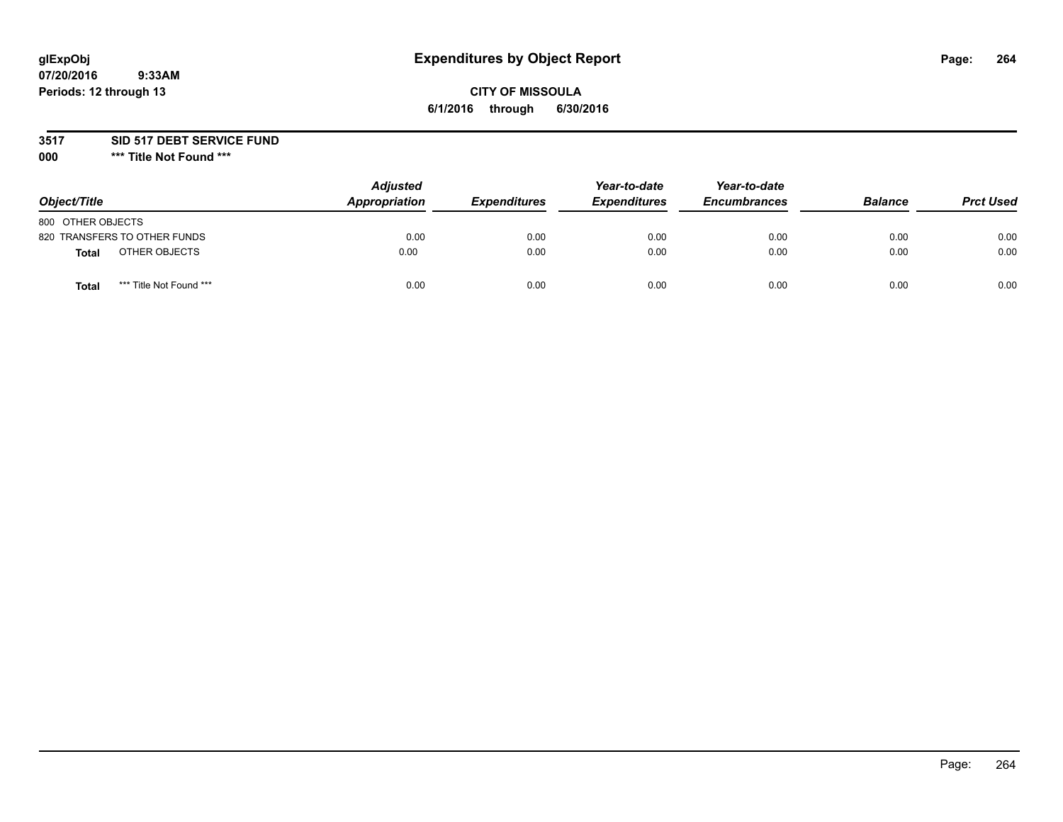# **glExpObj Expenditures by Object Report Page: 264**

### **CITY OF MISSOULA 6/1/2016 through 6/30/2016**

### **3517 SID 517 DEBT SERVICE FUND**

**000 \*\*\* Title Not Found \*\*\***

| Object/Title                            | <b>Adjusted</b><br>Appropriation | <b>Expenditures</b> | Year-to-date<br><b>Expenditures</b> | Year-to-date<br><b>Encumbrances</b> | <b>Balance</b> | <b>Prct Used</b> |
|-----------------------------------------|----------------------------------|---------------------|-------------------------------------|-------------------------------------|----------------|------------------|
| 800 OTHER OBJECTS                       |                                  |                     |                                     |                                     |                |                  |
| 820 TRANSFERS TO OTHER FUNDS            | 0.00                             | 0.00                | 0.00                                | 0.00                                | 0.00           | 0.00             |
| OTHER OBJECTS<br>Total                  | 0.00                             | 0.00                | 0.00                                | 0.00                                | 0.00           | 0.00             |
| *** Title Not Found ***<br><b>Total</b> | 0.00                             | 0.00                | 0.00                                | 0.00                                | 0.00           | 0.00             |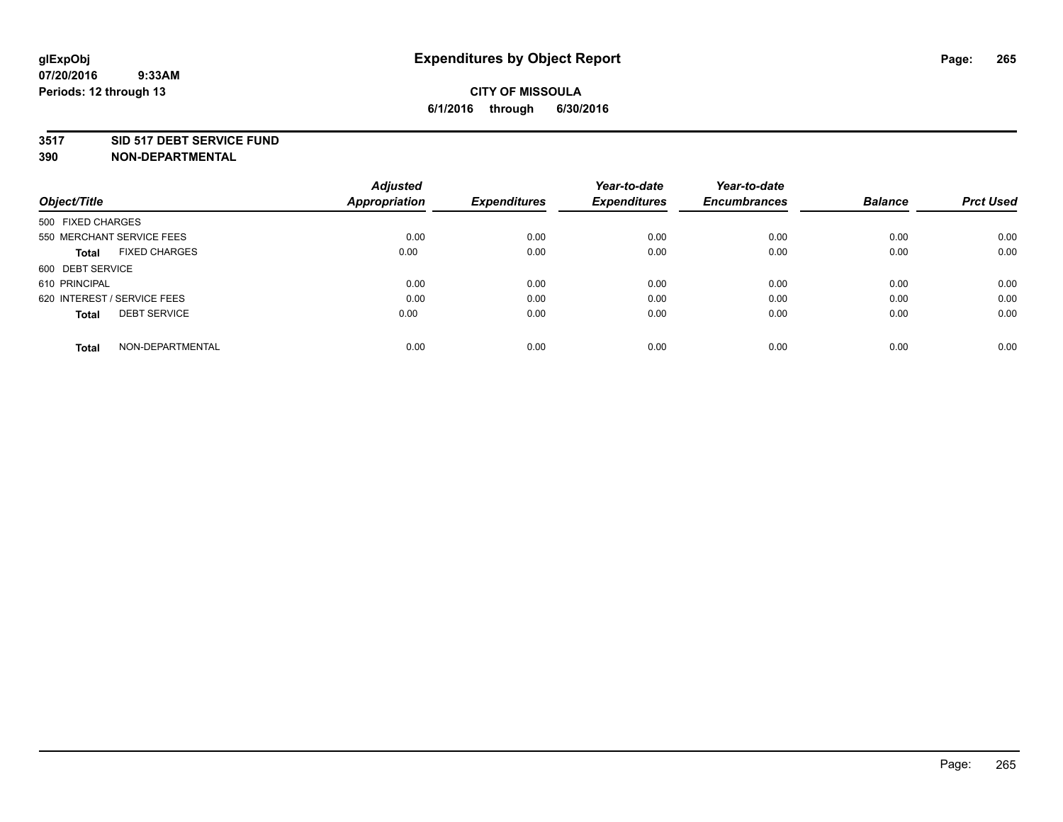#### **3517 SID 517 DEBT SERVICE FUND**

| Object/Title                        | <b>Adjusted</b><br><b>Appropriation</b> | <b>Expenditures</b> | Year-to-date<br><b>Expenditures</b> | Year-to-date<br><b>Encumbrances</b> | <b>Balance</b> | <b>Prct Used</b> |
|-------------------------------------|-----------------------------------------|---------------------|-------------------------------------|-------------------------------------|----------------|------------------|
|                                     |                                         |                     |                                     |                                     |                |                  |
| 500 FIXED CHARGES                   |                                         |                     |                                     |                                     |                |                  |
| 550 MERCHANT SERVICE FEES           | 0.00                                    | 0.00                | 0.00                                | 0.00                                | 0.00           | 0.00             |
| <b>FIXED CHARGES</b><br>Total       | 0.00                                    | 0.00                | 0.00                                | 0.00                                | 0.00           | 0.00             |
| 600 DEBT SERVICE                    |                                         |                     |                                     |                                     |                |                  |
| 610 PRINCIPAL                       | 0.00                                    | 0.00                | 0.00                                | 0.00                                | 0.00           | 0.00             |
| 620 INTEREST / SERVICE FEES         | 0.00                                    | 0.00                | 0.00                                | 0.00                                | 0.00           | 0.00             |
| <b>DEBT SERVICE</b><br><b>Total</b> | 0.00                                    | 0.00                | 0.00                                | 0.00                                | 0.00           | 0.00             |
| NON-DEPARTMENTAL<br><b>Total</b>    | 0.00                                    | 0.00                | 0.00                                | 0.00                                | 0.00           | 0.00             |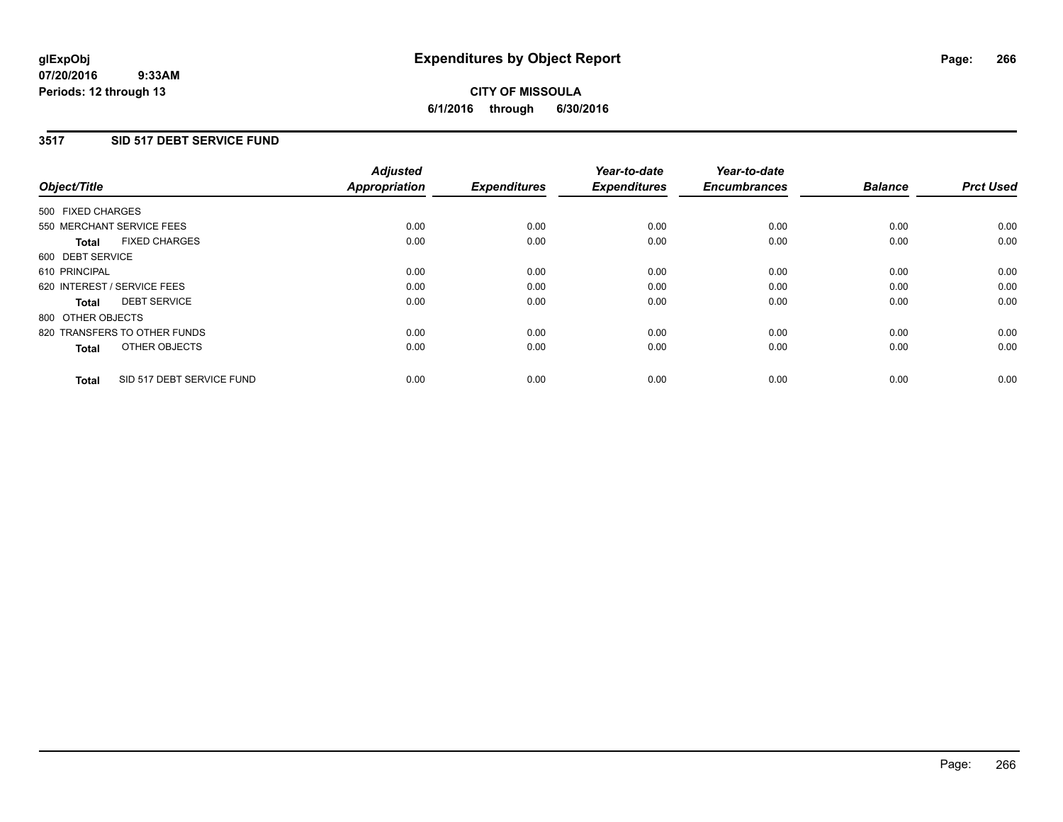### **3517 SID 517 DEBT SERVICE FUND**

| Object/Title                              | <b>Adjusted</b><br><b>Appropriation</b> | <b>Expenditures</b> | Year-to-date<br><b>Expenditures</b> | Year-to-date<br><b>Encumbrances</b> | <b>Balance</b> | <b>Prct Used</b> |
|-------------------------------------------|-----------------------------------------|---------------------|-------------------------------------|-------------------------------------|----------------|------------------|
|                                           |                                         |                     |                                     |                                     |                |                  |
| 500 FIXED CHARGES                         |                                         |                     |                                     |                                     |                |                  |
| 550 MERCHANT SERVICE FEES                 | 0.00                                    | 0.00                | 0.00                                | 0.00                                | 0.00           | 0.00             |
| <b>FIXED CHARGES</b><br>Total             | 0.00                                    | 0.00                | 0.00                                | 0.00                                | 0.00           | 0.00             |
| 600 DEBT SERVICE                          |                                         |                     |                                     |                                     |                |                  |
| 610 PRINCIPAL                             | 0.00                                    | 0.00                | 0.00                                | 0.00                                | 0.00           | 0.00             |
| 620 INTEREST / SERVICE FEES               | 0.00                                    | 0.00                | 0.00                                | 0.00                                | 0.00           | 0.00             |
| <b>DEBT SERVICE</b><br><b>Total</b>       | 0.00                                    | 0.00                | 0.00                                | 0.00                                | 0.00           | 0.00             |
| 800 OTHER OBJECTS                         |                                         |                     |                                     |                                     |                |                  |
| 820 TRANSFERS TO OTHER FUNDS              | 0.00                                    | 0.00                | 0.00                                | 0.00                                | 0.00           | 0.00             |
| OTHER OBJECTS<br><b>Total</b>             | 0.00                                    | 0.00                | 0.00                                | 0.00                                | 0.00           | 0.00             |
|                                           |                                         |                     |                                     |                                     |                |                  |
| SID 517 DEBT SERVICE FUND<br><b>Total</b> | 0.00                                    | 0.00                | 0.00                                | 0.00                                | 0.00           | 0.00             |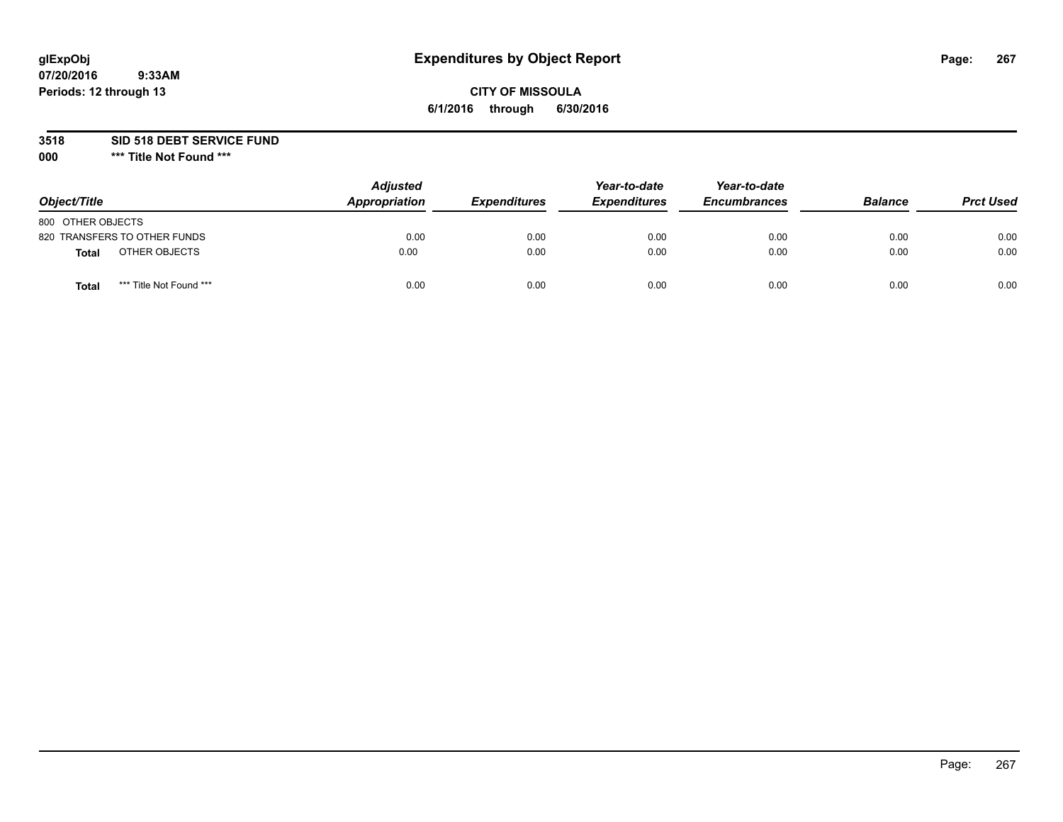# **glExpObj Expenditures by Object Report Page: 267**

### **CITY OF MISSOULA 6/1/2016 through 6/30/2016**

**3518 SID 518 DEBT SERVICE FUND**

**000 \*\*\* Title Not Found \*\*\***

| Object/Title                     | <b>Adjusted</b><br>Appropriation | <b>Expenditures</b> | Year-to-date<br><b>Expenditures</b> | Year-to-date<br><b>Encumbrances</b> | <b>Balance</b> | <b>Prct Used</b> |
|----------------------------------|----------------------------------|---------------------|-------------------------------------|-------------------------------------|----------------|------------------|
| 800 OTHER OBJECTS                |                                  |                     |                                     |                                     |                |                  |
| 820 TRANSFERS TO OTHER FUNDS     | 0.00                             | 0.00                | 0.00                                | 0.00                                | 0.00           | 0.00             |
| OTHER OBJECTS<br><b>Total</b>    | 0.00                             | 0.00                | 0.00                                | 0.00                                | 0.00           | 0.00             |
| *** Title Not Found ***<br>Total | 0.00                             | 0.00                | 0.00                                | 0.00                                | 0.00           | 0.00             |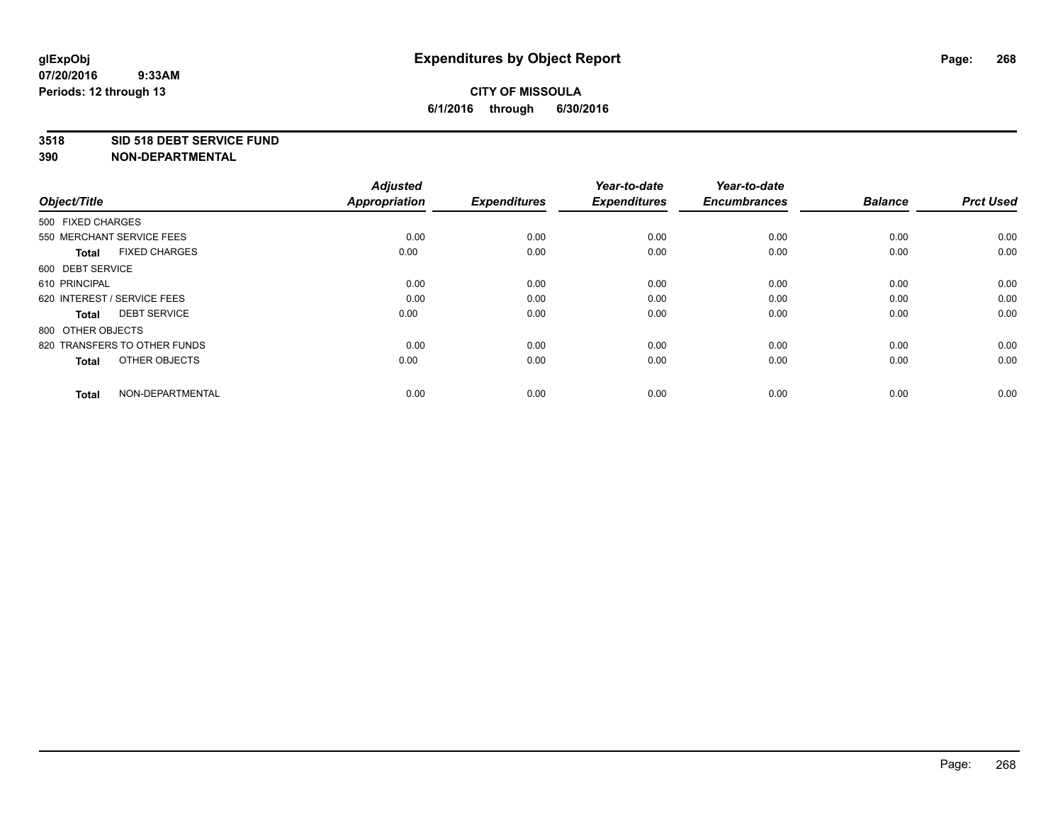#### **3518 SID 518 DEBT SERVICE FUND**

| Object/Title                         | <b>Adjusted</b><br><b>Appropriation</b> | <b>Expenditures</b> | Year-to-date<br><b>Expenditures</b> | Year-to-date<br><b>Encumbrances</b> | <b>Balance</b> | <b>Prct Used</b> |
|--------------------------------------|-----------------------------------------|---------------------|-------------------------------------|-------------------------------------|----------------|------------------|
| 500 FIXED CHARGES                    |                                         |                     |                                     |                                     |                |                  |
| 550 MERCHANT SERVICE FEES            | 0.00                                    | 0.00                | 0.00                                | 0.00                                | 0.00           | 0.00             |
| <b>FIXED CHARGES</b><br><b>Total</b> | 0.00                                    | 0.00                | 0.00                                | 0.00                                | 0.00           | 0.00             |
| 600 DEBT SERVICE                     |                                         |                     |                                     |                                     |                |                  |
| 610 PRINCIPAL                        | 0.00                                    | 0.00                | 0.00                                | 0.00                                | 0.00           | 0.00             |
| 620 INTEREST / SERVICE FEES          | 0.00                                    | 0.00                | 0.00                                | 0.00                                | 0.00           | 0.00             |
| <b>DEBT SERVICE</b><br><b>Total</b>  | 0.00                                    | 0.00                | 0.00                                | 0.00                                | 0.00           | 0.00             |
| 800 OTHER OBJECTS                    |                                         |                     |                                     |                                     |                |                  |
| 820 TRANSFERS TO OTHER FUNDS         | 0.00                                    | 0.00                | 0.00                                | 0.00                                | 0.00           | 0.00             |
| OTHER OBJECTS<br><b>Total</b>        | 0.00                                    | 0.00                | 0.00                                | 0.00                                | 0.00           | 0.00             |
|                                      |                                         |                     |                                     |                                     |                |                  |
| NON-DEPARTMENTAL<br><b>Total</b>     | 0.00                                    | 0.00                | 0.00                                | 0.00                                | 0.00           | 0.00             |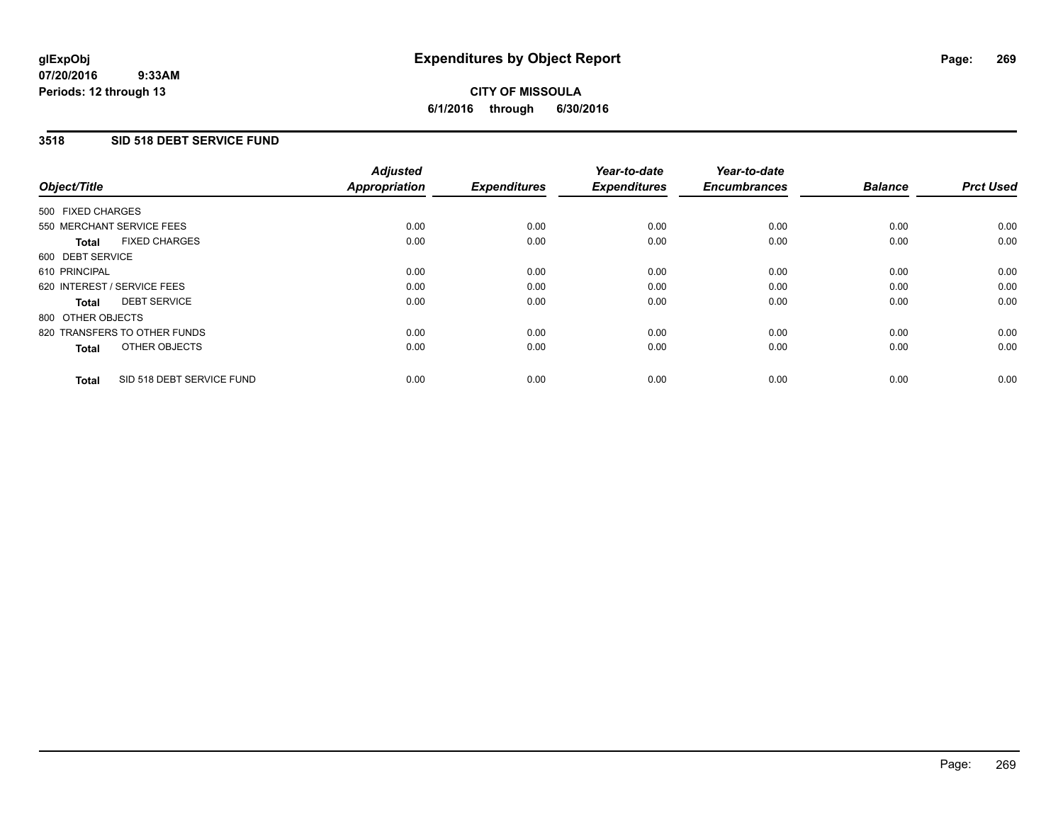### **3518 SID 518 DEBT SERVICE FUND**

| Object/Title                              | <b>Adjusted</b><br><b>Appropriation</b> | <b>Expenditures</b> | Year-to-date<br><b>Expenditures</b> | Year-to-date<br><b>Encumbrances</b> | <b>Balance</b> | <b>Prct Used</b> |
|-------------------------------------------|-----------------------------------------|---------------------|-------------------------------------|-------------------------------------|----------------|------------------|
|                                           |                                         |                     |                                     |                                     |                |                  |
| 500 FIXED CHARGES                         |                                         |                     |                                     |                                     |                |                  |
| 550 MERCHANT SERVICE FEES                 | 0.00                                    | 0.00                | 0.00                                | 0.00                                | 0.00           | 0.00             |
| <b>FIXED CHARGES</b><br>Total             | 0.00                                    | 0.00                | 0.00                                | 0.00                                | 0.00           | 0.00             |
| 600 DEBT SERVICE                          |                                         |                     |                                     |                                     |                |                  |
| 610 PRINCIPAL                             | 0.00                                    | 0.00                | 0.00                                | 0.00                                | 0.00           | 0.00             |
| 620 INTEREST / SERVICE FEES               | 0.00                                    | 0.00                | 0.00                                | 0.00                                | 0.00           | 0.00             |
| <b>DEBT SERVICE</b><br><b>Total</b>       | 0.00                                    | 0.00                | 0.00                                | 0.00                                | 0.00           | 0.00             |
| 800 OTHER OBJECTS                         |                                         |                     |                                     |                                     |                |                  |
| 820 TRANSFERS TO OTHER FUNDS              | 0.00                                    | 0.00                | 0.00                                | 0.00                                | 0.00           | 0.00             |
| OTHER OBJECTS<br><b>Total</b>             | 0.00                                    | 0.00                | 0.00                                | 0.00                                | 0.00           | 0.00             |
|                                           |                                         |                     |                                     |                                     |                |                  |
| SID 518 DEBT SERVICE FUND<br><b>Total</b> | 0.00                                    | 0.00                | 0.00                                | 0.00                                | 0.00           | 0.00             |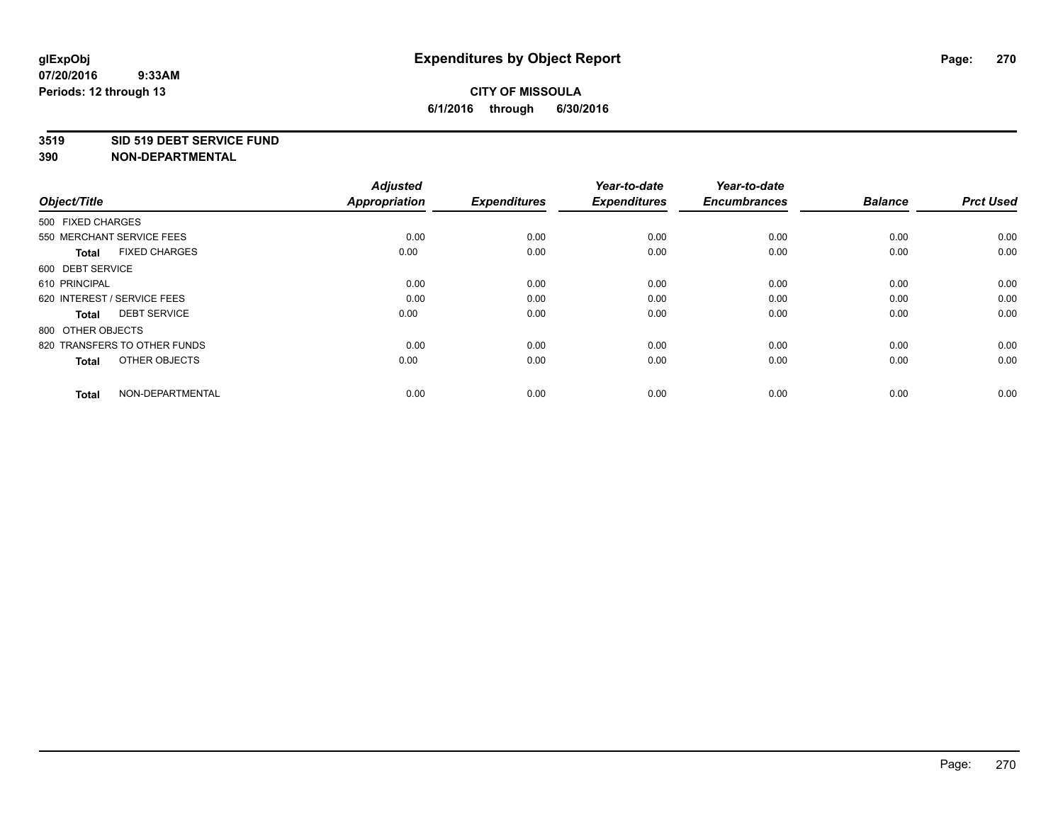#### **3519 SID 519 DEBT SERVICE FUND**

| Object/Title                         | <b>Adjusted</b><br><b>Appropriation</b> | <b>Expenditures</b> | Year-to-date<br><b>Expenditures</b> | Year-to-date<br><b>Encumbrances</b> | <b>Balance</b> | <b>Prct Used</b> |
|--------------------------------------|-----------------------------------------|---------------------|-------------------------------------|-------------------------------------|----------------|------------------|
| 500 FIXED CHARGES                    |                                         |                     |                                     |                                     |                |                  |
| 550 MERCHANT SERVICE FEES            | 0.00                                    | 0.00                | 0.00                                | 0.00                                | 0.00           | 0.00             |
| <b>FIXED CHARGES</b><br><b>Total</b> | 0.00                                    | 0.00                | 0.00                                | 0.00                                | 0.00           | 0.00             |
| 600 DEBT SERVICE                     |                                         |                     |                                     |                                     |                |                  |
| 610 PRINCIPAL                        | 0.00                                    | 0.00                | 0.00                                | 0.00                                | 0.00           | 0.00             |
| 620 INTEREST / SERVICE FEES          | 0.00                                    | 0.00                | 0.00                                | 0.00                                | 0.00           | 0.00             |
| <b>DEBT SERVICE</b><br><b>Total</b>  | 0.00                                    | 0.00                | 0.00                                | 0.00                                | 0.00           | 0.00             |
| 800 OTHER OBJECTS                    |                                         |                     |                                     |                                     |                |                  |
| 820 TRANSFERS TO OTHER FUNDS         | 0.00                                    | 0.00                | 0.00                                | 0.00                                | 0.00           | 0.00             |
| OTHER OBJECTS<br><b>Total</b>        | 0.00                                    | 0.00                | 0.00                                | 0.00                                | 0.00           | 0.00             |
|                                      |                                         |                     |                                     |                                     |                |                  |
| NON-DEPARTMENTAL<br><b>Total</b>     | 0.00                                    | 0.00                | 0.00                                | 0.00                                | 0.00           | 0.00             |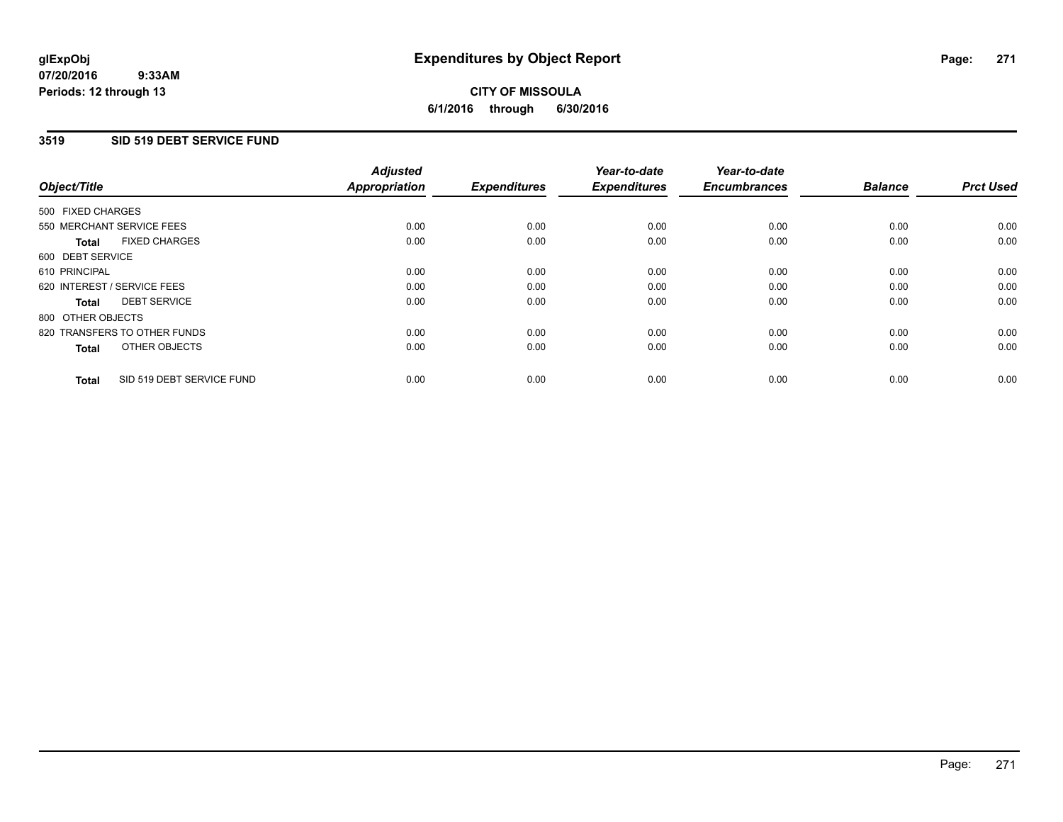### **3519 SID 519 DEBT SERVICE FUND**

| Object/Title                              | <b>Adjusted</b><br><b>Appropriation</b> | <b>Expenditures</b> | Year-to-date<br><b>Expenditures</b> | Year-to-date<br><b>Encumbrances</b> | <b>Balance</b> | <b>Prct Used</b> |
|-------------------------------------------|-----------------------------------------|---------------------|-------------------------------------|-------------------------------------|----------------|------------------|
| 500 FIXED CHARGES                         |                                         |                     |                                     |                                     |                |                  |
| 550 MERCHANT SERVICE FEES                 | 0.00                                    | 0.00                | 0.00                                | 0.00                                | 0.00           | 0.00             |
| <b>FIXED CHARGES</b><br>Total             | 0.00                                    | 0.00                | 0.00                                | 0.00                                | 0.00           | 0.00             |
| 600 DEBT SERVICE                          |                                         |                     |                                     |                                     |                |                  |
| 610 PRINCIPAL                             | 0.00                                    | 0.00                | 0.00                                | 0.00                                | 0.00           | 0.00             |
| 620 INTEREST / SERVICE FEES               | 0.00                                    | 0.00                | 0.00                                | 0.00                                | 0.00           | 0.00             |
| <b>DEBT SERVICE</b><br>Total              | 0.00                                    | 0.00                | 0.00                                | 0.00                                | 0.00           | 0.00             |
| 800 OTHER OBJECTS                         |                                         |                     |                                     |                                     |                |                  |
| 820 TRANSFERS TO OTHER FUNDS              | 0.00                                    | 0.00                | 0.00                                | 0.00                                | 0.00           | 0.00             |
| OTHER OBJECTS<br><b>Total</b>             | 0.00                                    | 0.00                | 0.00                                | 0.00                                | 0.00           | 0.00             |
| SID 519 DEBT SERVICE FUND<br><b>Total</b> | 0.00                                    | 0.00                | 0.00                                | 0.00                                | 0.00           | 0.00             |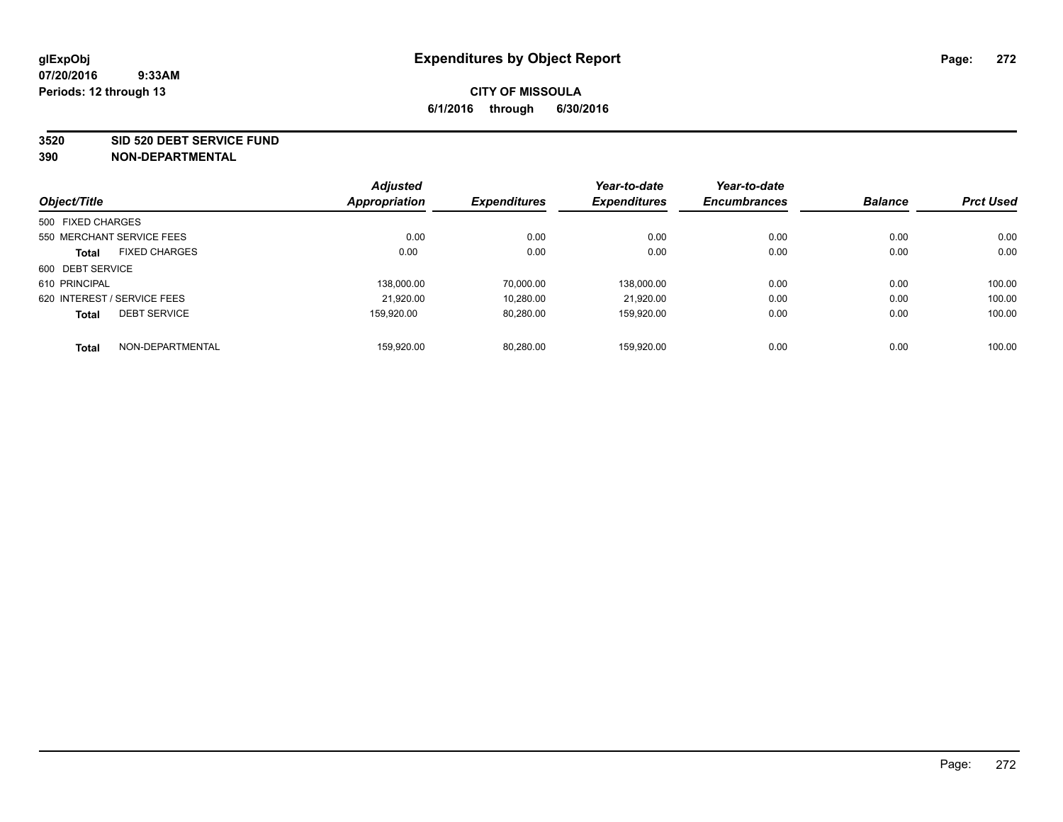#### **3520 SID 520 DEBT SERVICE FUND**

|                   |                             | <b>Adjusted</b> |                     | Year-to-date        | Year-to-date        |                |                  |
|-------------------|-----------------------------|-----------------|---------------------|---------------------|---------------------|----------------|------------------|
| Object/Title      |                             | Appropriation   | <b>Expenditures</b> | <b>Expenditures</b> | <b>Encumbrances</b> | <b>Balance</b> | <b>Prct Used</b> |
| 500 FIXED CHARGES |                             |                 |                     |                     |                     |                |                  |
|                   | 550 MERCHANT SERVICE FEES   | 0.00            | 0.00                | 0.00                | 0.00                | 0.00           | 0.00             |
| <b>Total</b>      | <b>FIXED CHARGES</b>        | 0.00            | 0.00                | 0.00                | 0.00                | 0.00           | 0.00             |
| 600 DEBT SERVICE  |                             |                 |                     |                     |                     |                |                  |
| 610 PRINCIPAL     |                             | 138,000.00      | 70.000.00           | 138.000.00          | 0.00                | 0.00           | 100.00           |
|                   | 620 INTEREST / SERVICE FEES | 21,920.00       | 10,280.00           | 21.920.00           | 0.00                | 0.00           | 100.00           |
| <b>Total</b>      | <b>DEBT SERVICE</b>         | 159.920.00      | 80,280.00           | 159.920.00          | 0.00                | 0.00           | 100.00           |
| <b>Total</b>      | NON-DEPARTMENTAL            | 159,920.00      | 80.280.00           | 159.920.00          | 0.00                | 0.00           | 100.00           |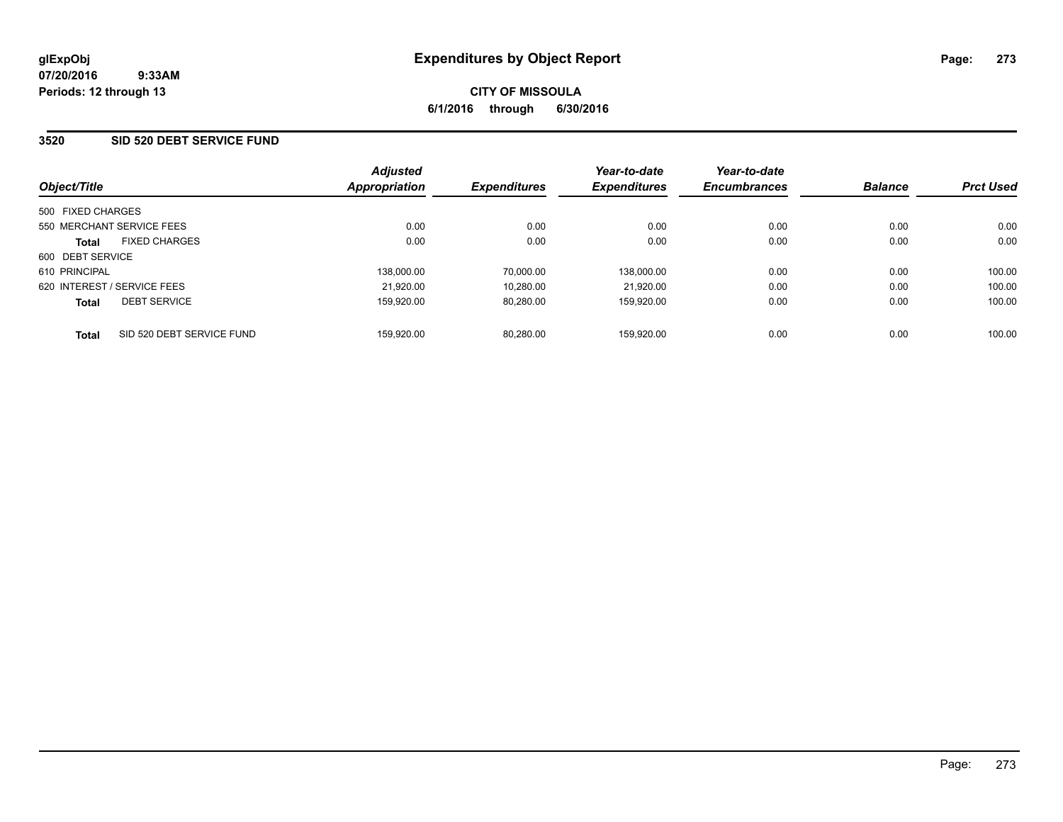### **3520 SID 520 DEBT SERVICE FUND**

| Object/Title                              | <b>Adjusted</b><br>Appropriation | <b>Expenditures</b> | Year-to-date<br><b>Expenditures</b> | Year-to-date<br><b>Encumbrances</b> | <b>Balance</b> | <b>Prct Used</b> |
|-------------------------------------------|----------------------------------|---------------------|-------------------------------------|-------------------------------------|----------------|------------------|
| 500 FIXED CHARGES                         |                                  |                     |                                     |                                     |                |                  |
| 550 MERCHANT SERVICE FEES                 | 0.00                             | 0.00                | 0.00                                | 0.00                                | 0.00           | 0.00             |
| <b>FIXED CHARGES</b><br><b>Total</b>      | 0.00                             | 0.00                | 0.00                                | 0.00                                | 0.00           | 0.00             |
| 600 DEBT SERVICE                          |                                  |                     |                                     |                                     |                |                  |
| 610 PRINCIPAL                             | 138.000.00                       | 70.000.00           | 138.000.00                          | 0.00                                | 0.00           | 100.00           |
| 620 INTEREST / SERVICE FEES               | 21.920.00                        | 10.280.00           | 21.920.00                           | 0.00                                | 0.00           | 100.00           |
| <b>DEBT SERVICE</b><br><b>Total</b>       | 159.920.00                       | 80.280.00           | 159.920.00                          | 0.00                                | 0.00           | 100.00           |
| SID 520 DEBT SERVICE FUND<br><b>Total</b> | 159.920.00                       | 80.280.00           | 159.920.00                          | 0.00                                | 0.00           | 100.00           |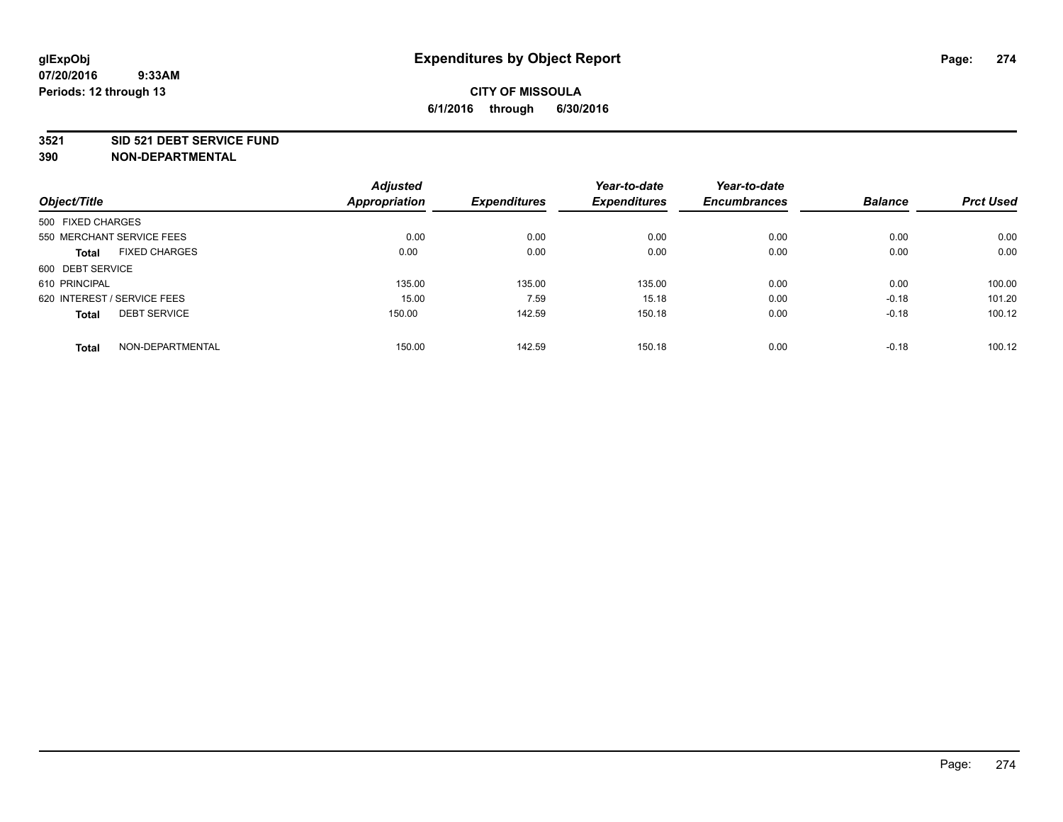#### **3521 SID 521 DEBT SERVICE FUND**

|                                      | <b>Adjusted</b> |                     | Year-to-date        | Year-to-date        |                |                  |
|--------------------------------------|-----------------|---------------------|---------------------|---------------------|----------------|------------------|
| Object/Title                         | Appropriation   | <b>Expenditures</b> | <b>Expenditures</b> | <b>Encumbrances</b> | <b>Balance</b> | <b>Prct Used</b> |
| 500 FIXED CHARGES                    |                 |                     |                     |                     |                |                  |
| 550 MERCHANT SERVICE FEES            | 0.00            | 0.00                | 0.00                | 0.00                | 0.00           | 0.00             |
| <b>FIXED CHARGES</b><br><b>Total</b> | 0.00            | 0.00                | 0.00                | 0.00                | 0.00           | 0.00             |
| 600 DEBT SERVICE                     |                 |                     |                     |                     |                |                  |
| 610 PRINCIPAL                        | 135.00          | 135.00              | 135.00              | 0.00                | 0.00           | 100.00           |
| 620 INTEREST / SERVICE FEES          | 15.00           | 7.59                | 15.18               | 0.00                | $-0.18$        | 101.20           |
| <b>DEBT SERVICE</b><br><b>Total</b>  | 150.00          | 142.59              | 150.18              | 0.00                | $-0.18$        | 100.12           |
| NON-DEPARTMENTAL<br><b>Total</b>     | 150.00          | 142.59              | 150.18              | 0.00                | $-0.18$        | 100.12           |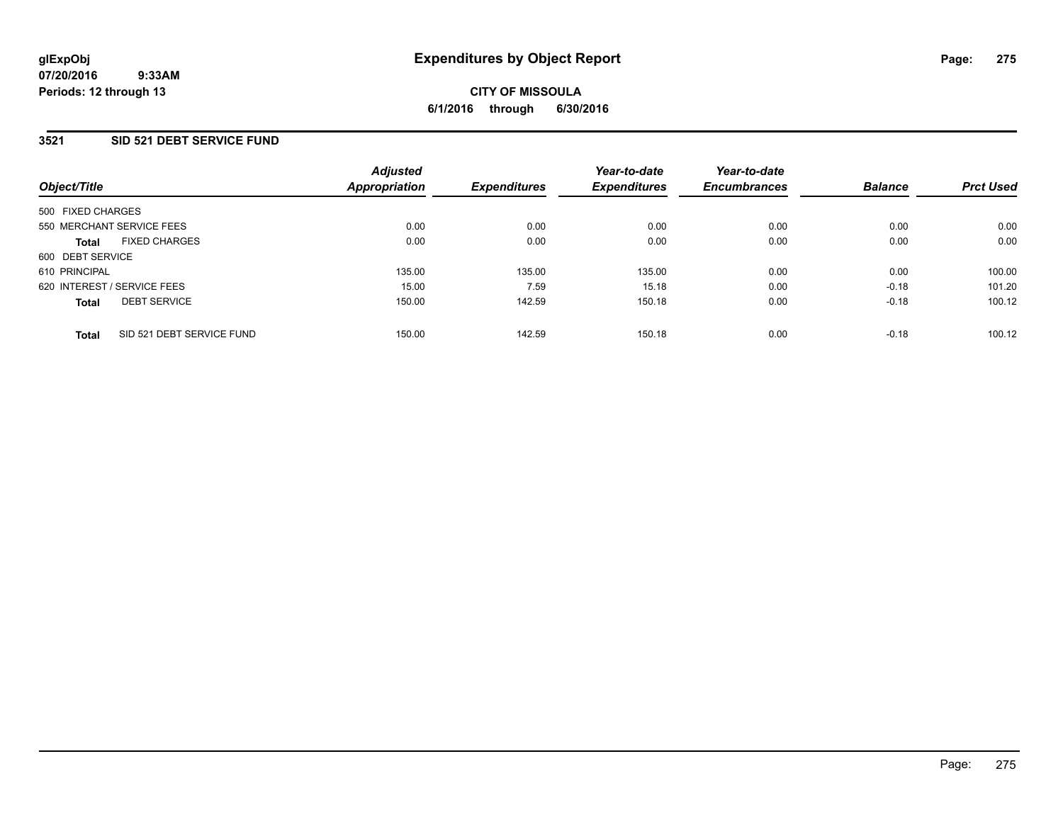### **3521 SID 521 DEBT SERVICE FUND**

| Object/Title                              | <b>Adjusted</b><br><b>Appropriation</b> | <b>Expenditures</b> | Year-to-date<br><b>Expenditures</b> | Year-to-date<br><b>Encumbrances</b> | <b>Balance</b> | <b>Prct Used</b> |
|-------------------------------------------|-----------------------------------------|---------------------|-------------------------------------|-------------------------------------|----------------|------------------|
| 500 FIXED CHARGES                         |                                         |                     |                                     |                                     |                |                  |
| 550 MERCHANT SERVICE FEES                 | 0.00                                    | 0.00                | 0.00                                | 0.00                                | 0.00           | 0.00             |
| <b>FIXED CHARGES</b><br><b>Total</b>      | 0.00                                    | 0.00                | 0.00                                | 0.00                                | 0.00           | 0.00             |
| 600 DEBT SERVICE                          |                                         |                     |                                     |                                     |                |                  |
| 610 PRINCIPAL                             | 135.00                                  | 135.00              | 135.00                              | 0.00                                | 0.00           | 100.00           |
| 620 INTEREST / SERVICE FEES               | 15.00                                   | 7.59                | 15.18                               | 0.00                                | $-0.18$        | 101.20           |
| <b>DEBT SERVICE</b><br><b>Total</b>       | 150.00                                  | 142.59              | 150.18                              | 0.00                                | $-0.18$        | 100.12           |
| SID 521 DEBT SERVICE FUND<br><b>Total</b> | 150.00                                  | 142.59              | 150.18                              | 0.00                                | $-0.18$        | 100.12           |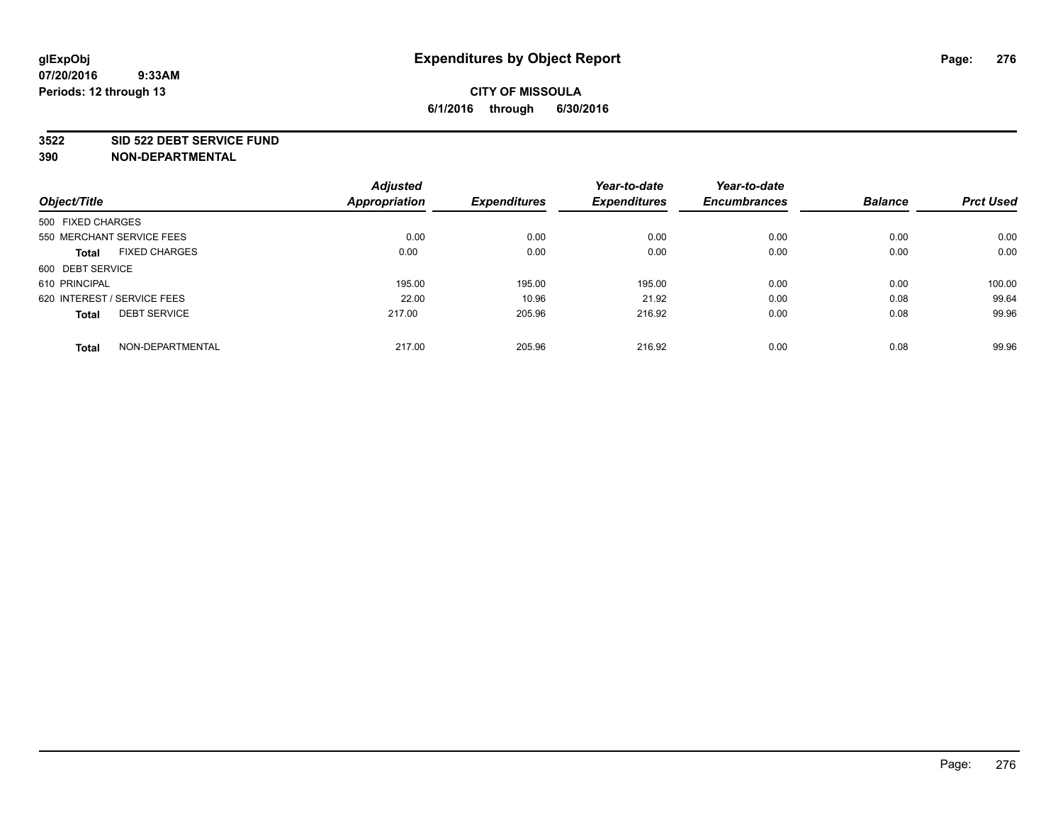#### **3522 SID 522 DEBT SERVICE FUND**

|                                      | <b>Adjusted</b> |                     | Year-to-date        | Year-to-date        |                |                  |
|--------------------------------------|-----------------|---------------------|---------------------|---------------------|----------------|------------------|
| Object/Title                         | Appropriation   | <b>Expenditures</b> | <b>Expenditures</b> | <b>Encumbrances</b> | <b>Balance</b> | <b>Prct Used</b> |
| 500 FIXED CHARGES                    |                 |                     |                     |                     |                |                  |
| 550 MERCHANT SERVICE FEES            | 0.00            | 0.00                | 0.00                | 0.00                | 0.00           | 0.00             |
| <b>FIXED CHARGES</b><br><b>Total</b> | 0.00            | 0.00                | 0.00                | 0.00                | 0.00           | 0.00             |
| 600 DEBT SERVICE                     |                 |                     |                     |                     |                |                  |
| 610 PRINCIPAL                        | 195.00          | 195.00              | 195.00              | 0.00                | 0.00           | 100.00           |
| 620 INTEREST / SERVICE FEES          | 22.00           | 10.96               | 21.92               | 0.00                | 0.08           | 99.64            |
| <b>DEBT SERVICE</b><br><b>Total</b>  | 217.00          | 205.96              | 216.92              | 0.00                | 0.08           | 99.96            |
| NON-DEPARTMENTAL<br><b>Total</b>     | 217.00          | 205.96              | 216.92              | 0.00                | 0.08           | 99.96            |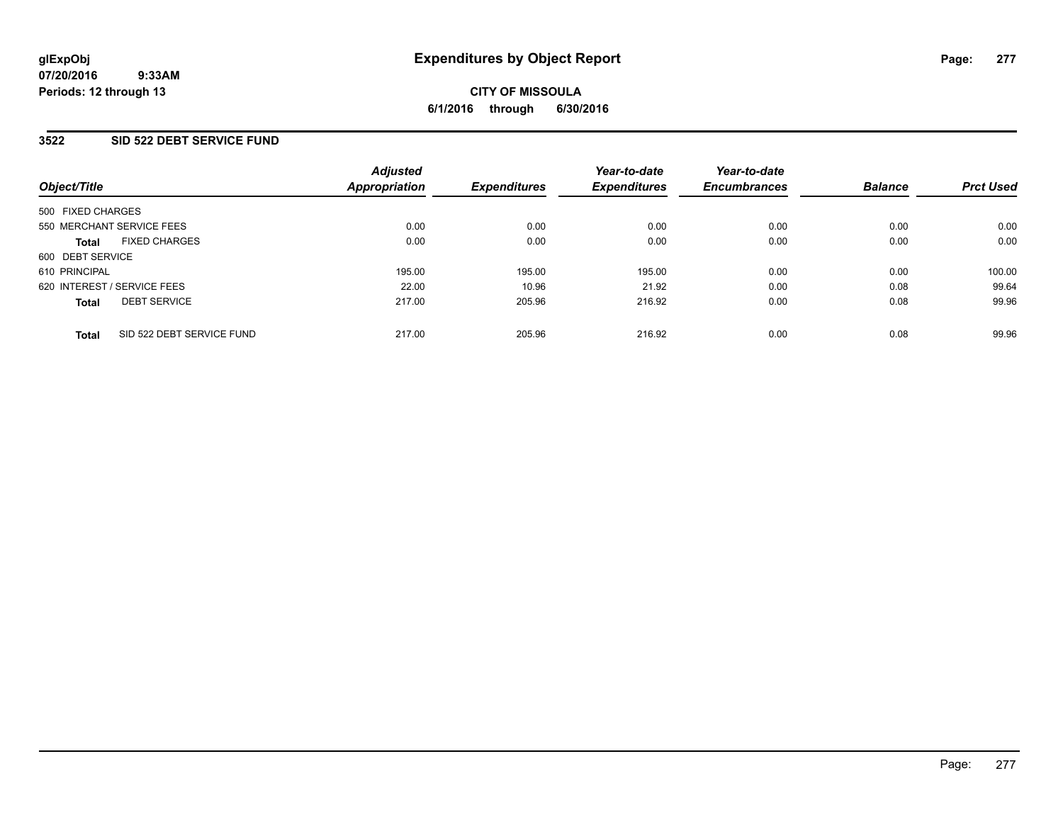### **3522 SID 522 DEBT SERVICE FUND**

| Object/Title                              | <b>Adjusted</b><br><b>Appropriation</b> | <b>Expenditures</b> | Year-to-date<br><b>Expenditures</b> | Year-to-date<br><b>Encumbrances</b> | <b>Balance</b> | <b>Prct Used</b> |
|-------------------------------------------|-----------------------------------------|---------------------|-------------------------------------|-------------------------------------|----------------|------------------|
| 500 FIXED CHARGES                         |                                         |                     |                                     |                                     |                |                  |
| 550 MERCHANT SERVICE FEES                 | 0.00                                    | 0.00                | 0.00                                | 0.00                                | 0.00           | 0.00             |
| <b>FIXED CHARGES</b><br><b>Total</b>      | 0.00                                    | 0.00                | 0.00                                | 0.00                                | 0.00           | 0.00             |
| 600 DEBT SERVICE                          |                                         |                     |                                     |                                     |                |                  |
| 610 PRINCIPAL                             | 195.00                                  | 195.00              | 195.00                              | 0.00                                | 0.00           | 100.00           |
| 620 INTEREST / SERVICE FEES               | 22.00                                   | 10.96               | 21.92                               | 0.00                                | 0.08           | 99.64            |
| <b>DEBT SERVICE</b><br><b>Total</b>       | 217.00                                  | 205.96              | 216.92                              | 0.00                                | 0.08           | 99.96            |
| SID 522 DEBT SERVICE FUND<br><b>Total</b> | 217.00                                  | 205.96              | 216.92                              | 0.00                                | 0.08           | 99.96            |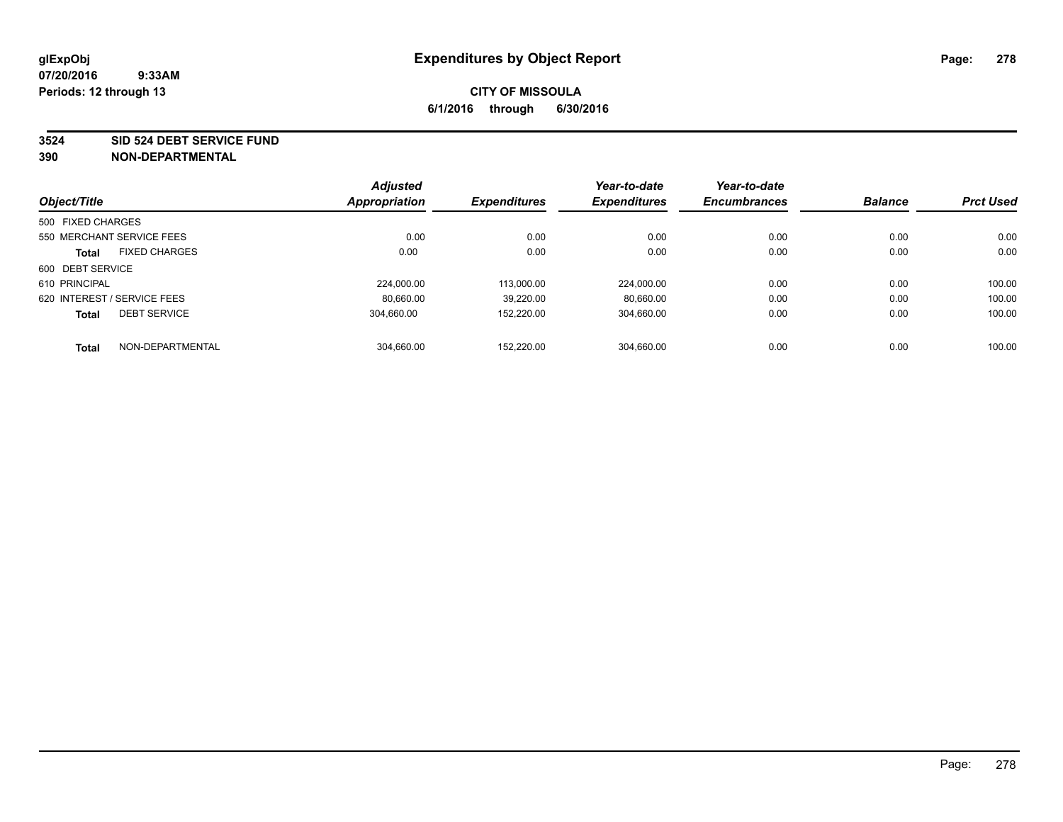#### **3524 SID 524 DEBT SERVICE FUND**

|                             |                      | <b>Adjusted</b> |                     | Year-to-date        | Year-to-date        |                |                  |
|-----------------------------|----------------------|-----------------|---------------------|---------------------|---------------------|----------------|------------------|
| Object/Title                |                      | Appropriation   | <b>Expenditures</b> | <b>Expenditures</b> | <b>Encumbrances</b> | <b>Balance</b> | <b>Prct Used</b> |
| 500 FIXED CHARGES           |                      |                 |                     |                     |                     |                |                  |
| 550 MERCHANT SERVICE FEES   |                      | 0.00            | 0.00                | 0.00                | 0.00                | 0.00           | 0.00             |
| <b>Total</b>                | <b>FIXED CHARGES</b> | 0.00            | 0.00                | 0.00                | 0.00                | 0.00           | 0.00             |
| 600 DEBT SERVICE            |                      |                 |                     |                     |                     |                |                  |
| 610 PRINCIPAL               |                      | 224,000.00      | 113.000.00          | 224,000.00          | 0.00                | 0.00           | 100.00           |
| 620 INTEREST / SERVICE FEES |                      | 80.660.00       | 39.220.00           | 80.660.00           | 0.00                | 0.00           | 100.00           |
| <b>Total</b>                | <b>DEBT SERVICE</b>  | 304.660.00      | 152.220.00          | 304,660.00          | 0.00                | 0.00           | 100.00           |
| <b>Total</b>                | NON-DEPARTMENTAL     | 304,660.00      | 152.220.00          | 304.660.00          | 0.00                | 0.00           | 100.00           |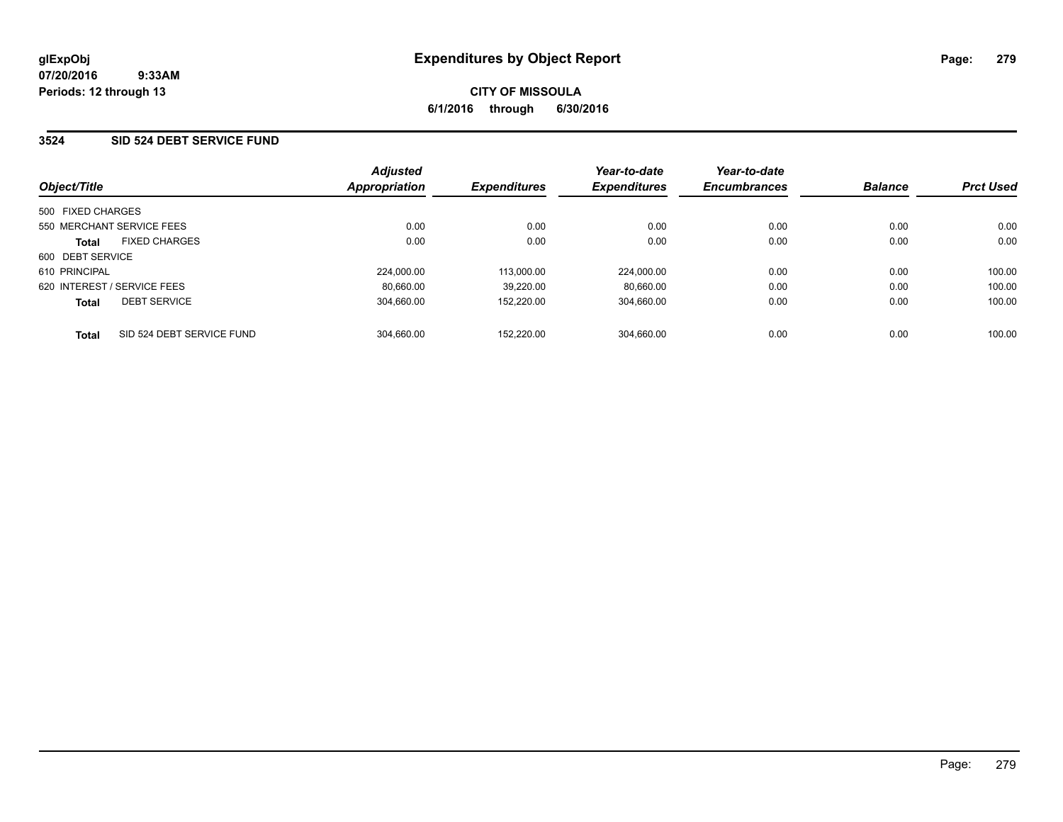### **3524 SID 524 DEBT SERVICE FUND**

| Object/Title                |                           | <b>Adjusted</b><br>Appropriation | <b>Expenditures</b> | Year-to-date<br><b>Expenditures</b> | Year-to-date<br><b>Encumbrances</b> | <b>Balance</b> | <b>Prct Used</b> |
|-----------------------------|---------------------------|----------------------------------|---------------------|-------------------------------------|-------------------------------------|----------------|------------------|
|                             |                           |                                  |                     |                                     |                                     |                |                  |
| 500 FIXED CHARGES           |                           |                                  |                     |                                     |                                     |                |                  |
|                             | 550 MERCHANT SERVICE FEES | 0.00                             | 0.00                | 0.00                                | 0.00                                | 0.00           | 0.00             |
| <b>Total</b>                | <b>FIXED CHARGES</b>      | 0.00                             | 0.00                | 0.00                                | 0.00                                | 0.00           | 0.00             |
| 600 DEBT SERVICE            |                           |                                  |                     |                                     |                                     |                |                  |
| 610 PRINCIPAL               |                           | 224,000.00                       | 113.000.00          | 224.000.00                          | 0.00                                | 0.00           | 100.00           |
| 620 INTEREST / SERVICE FEES |                           | 80.660.00                        | 39.220.00           | 80.660.00                           | 0.00                                | 0.00           | 100.00           |
| <b>Total</b>                | <b>DEBT SERVICE</b>       | 304.660.00                       | 152.220.00          | 304.660.00                          | 0.00                                | 0.00           | 100.00           |
| <b>Total</b>                | SID 524 DEBT SERVICE FUND | 304.660.00                       | 152.220.00          | 304.660.00                          | 0.00                                | 0.00           | 100.00           |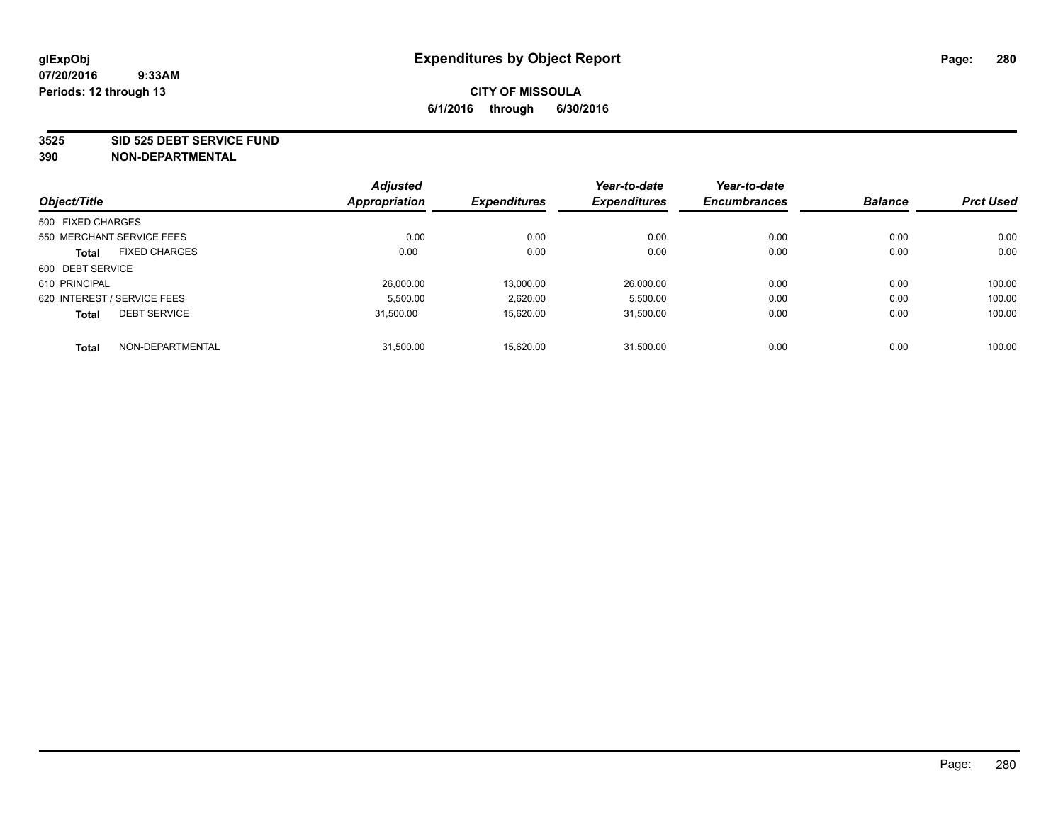#### **3525 SID 525 DEBT SERVICE FUND**

|                   |                             | <b>Adjusted</b> |                     | Year-to-date        | Year-to-date        |                |                  |
|-------------------|-----------------------------|-----------------|---------------------|---------------------|---------------------|----------------|------------------|
| Object/Title      |                             | Appropriation   | <b>Expenditures</b> | <b>Expenditures</b> | <b>Encumbrances</b> | <b>Balance</b> | <b>Prct Used</b> |
| 500 FIXED CHARGES |                             |                 |                     |                     |                     |                |                  |
|                   | 550 MERCHANT SERVICE FEES   | 0.00            | 0.00                | 0.00                | 0.00                | 0.00           | 0.00             |
| <b>Total</b>      | <b>FIXED CHARGES</b>        | 0.00            | 0.00                | 0.00                | 0.00                | 0.00           | 0.00             |
| 600 DEBT SERVICE  |                             |                 |                     |                     |                     |                |                  |
| 610 PRINCIPAL     |                             | 26,000.00       | 13.000.00           | 26.000.00           | 0.00                | 0.00           | 100.00           |
|                   | 620 INTEREST / SERVICE FEES | 5.500.00        | 2,620.00            | 5,500.00            | 0.00                | 0.00           | 100.00           |
| <b>Total</b>      | <b>DEBT SERVICE</b>         | 31.500.00       | 15.620.00           | 31.500.00           | 0.00                | 0.00           | 100.00           |
| <b>Total</b>      | NON-DEPARTMENTAL            | 31,500.00       | 15.620.00           | 31.500.00           | 0.00                | 0.00           | 100.00           |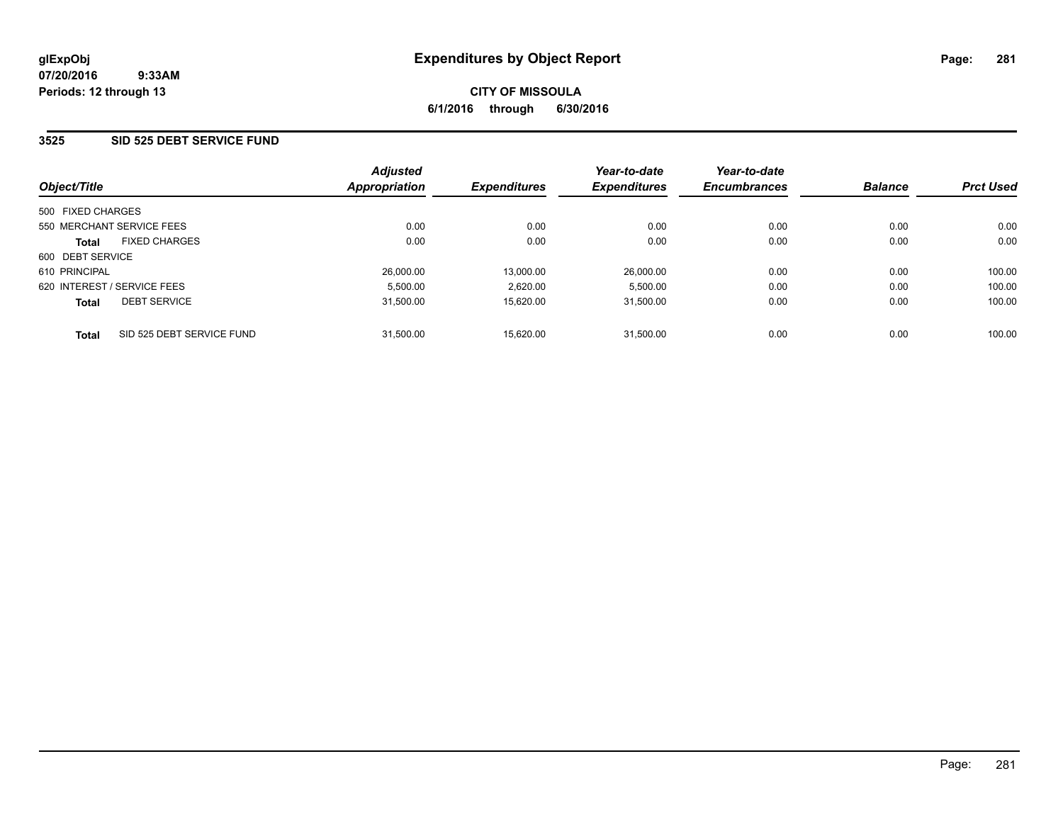### **3525 SID 525 DEBT SERVICE FUND**

| Object/Title                              | <b>Adjusted</b><br>Appropriation | <b>Expenditures</b> | Year-to-date<br><b>Expenditures</b> | Year-to-date<br><b>Encumbrances</b> | <b>Balance</b> | <b>Prct Used</b> |
|-------------------------------------------|----------------------------------|---------------------|-------------------------------------|-------------------------------------|----------------|------------------|
| 500 FIXED CHARGES                         |                                  |                     |                                     |                                     |                |                  |
| 550 MERCHANT SERVICE FEES                 | 0.00                             | 0.00                | 0.00                                | 0.00                                | 0.00           | 0.00             |
| <b>FIXED CHARGES</b><br><b>Total</b>      | 0.00                             | 0.00                | 0.00                                | 0.00                                | 0.00           | 0.00             |
| 600 DEBT SERVICE                          |                                  |                     |                                     |                                     |                |                  |
| 610 PRINCIPAL                             | 26,000.00                        | 13.000.00           | 26.000.00                           | 0.00                                | 0.00           | 100.00           |
| 620 INTEREST / SERVICE FEES               | 5,500.00                         | 2,620.00            | 5,500.00                            | 0.00                                | 0.00           | 100.00           |
| <b>DEBT SERVICE</b><br><b>Total</b>       | 31.500.00                        | 15.620.00           | 31.500.00                           | 0.00                                | 0.00           | 100.00           |
| SID 525 DEBT SERVICE FUND<br><b>Total</b> | 31.500.00                        | 15.620.00           | 31.500.00                           | 0.00                                | 0.00           | 100.00           |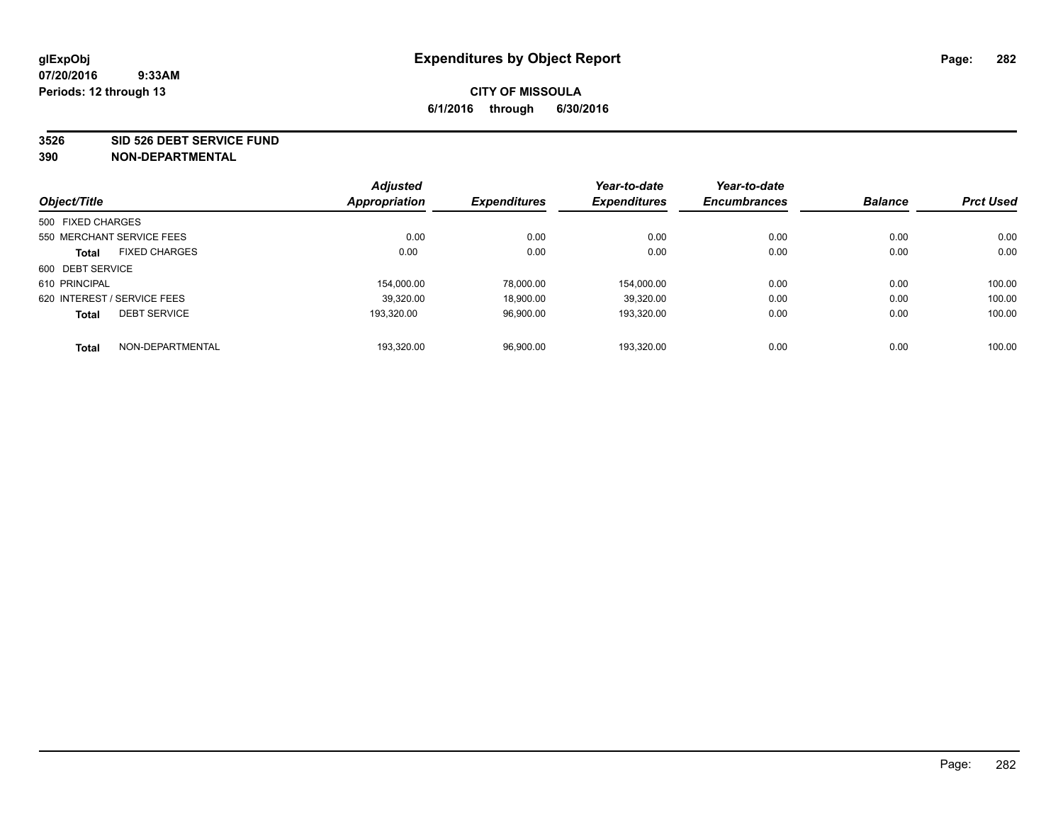#### **3526 SID 526 DEBT SERVICE FUND**

|                   |                             | <b>Adjusted</b> |                     | Year-to-date        | Year-to-date        |                |                  |
|-------------------|-----------------------------|-----------------|---------------------|---------------------|---------------------|----------------|------------------|
| Object/Title      |                             | Appropriation   | <b>Expenditures</b> | <b>Expenditures</b> | <b>Encumbrances</b> | <b>Balance</b> | <b>Prct Used</b> |
| 500 FIXED CHARGES |                             |                 |                     |                     |                     |                |                  |
|                   | 550 MERCHANT SERVICE FEES   | 0.00            | 0.00                | 0.00                | 0.00                | 0.00           | 0.00             |
| <b>Total</b>      | <b>FIXED CHARGES</b>        | 0.00            | 0.00                | 0.00                | 0.00                | 0.00           | 0.00             |
| 600 DEBT SERVICE  |                             |                 |                     |                     |                     |                |                  |
| 610 PRINCIPAL     |                             | 154.000.00      | 78.000.00           | 154.000.00          | 0.00                | 0.00           | 100.00           |
|                   | 620 INTEREST / SERVICE FEES | 39,320.00       | 18.900.00           | 39.320.00           | 0.00                | 0.00           | 100.00           |
| <b>Total</b>      | <b>DEBT SERVICE</b>         | 193.320.00      | 96,900.00           | 193.320.00          | 0.00                | 0.00           | 100.00           |
| <b>Total</b>      | NON-DEPARTMENTAL            | 193,320.00      | 96,900.00           | 193.320.00          | 0.00                | 0.00           | 100.00           |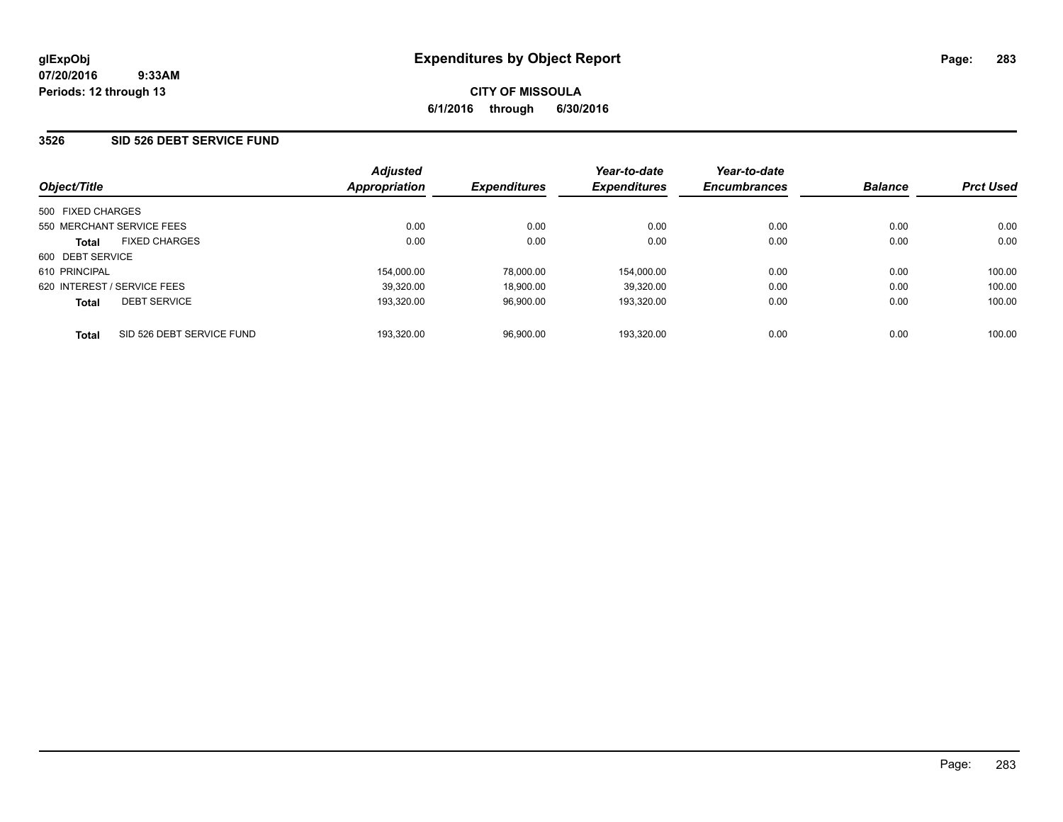### **3526 SID 526 DEBT SERVICE FUND**

| Object/Title                              | <b>Adjusted</b><br>Appropriation | <b>Expenditures</b> | Year-to-date<br><b>Expenditures</b> | Year-to-date<br><b>Encumbrances</b> | <b>Balance</b> | <b>Prct Used</b> |
|-------------------------------------------|----------------------------------|---------------------|-------------------------------------|-------------------------------------|----------------|------------------|
| 500 FIXED CHARGES                         |                                  |                     |                                     |                                     |                |                  |
| 550 MERCHANT SERVICE FEES                 | 0.00                             | 0.00                | 0.00                                | 0.00                                | 0.00           | 0.00             |
| <b>FIXED CHARGES</b><br><b>Total</b>      | 0.00                             | 0.00                | 0.00                                | 0.00                                | 0.00           | 0.00             |
| 600 DEBT SERVICE                          |                                  |                     |                                     |                                     |                |                  |
| 610 PRINCIPAL                             | 154.000.00                       | 78.000.00           | 154.000.00                          | 0.00                                | 0.00           | 100.00           |
| 620 INTEREST / SERVICE FEES               | 39.320.00                        | 18.900.00           | 39.320.00                           | 0.00                                | 0.00           | 100.00           |
| <b>DEBT SERVICE</b><br><b>Total</b>       | 193.320.00                       | 96.900.00           | 193.320.00                          | 0.00                                | 0.00           | 100.00           |
| SID 526 DEBT SERVICE FUND<br><b>Total</b> | 193.320.00                       | 96.900.00           | 193.320.00                          | 0.00                                | 0.00           | 100.00           |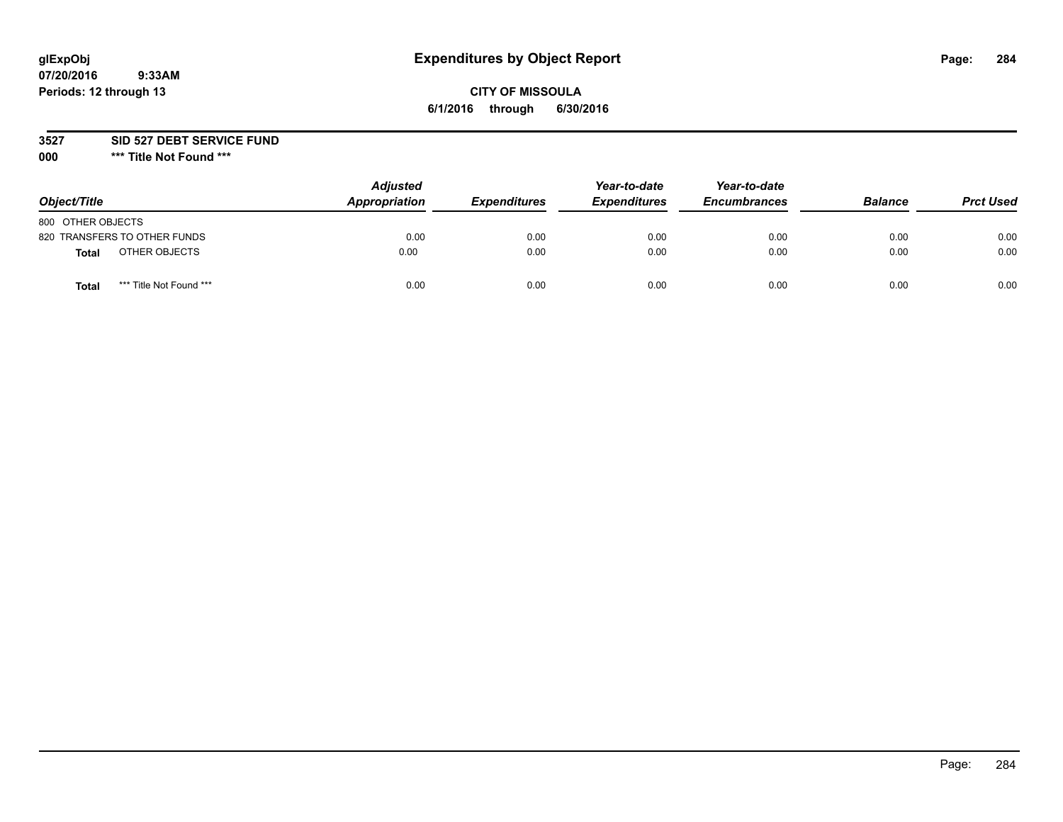# **glExpObj Expenditures by Object Report Page: 284**

### **CITY OF MISSOULA 6/1/2016 through 6/30/2016**

**3527 SID 527 DEBT SERVICE FUND**

**000 \*\*\* Title Not Found \*\*\***

| Object/Title                            | <b>Adjusted</b><br>Appropriation | <b>Expenditures</b> | Year-to-date<br><b>Expenditures</b> | Year-to-date<br><b>Encumbrances</b> | <b>Balance</b> | <b>Prct Used</b> |
|-----------------------------------------|----------------------------------|---------------------|-------------------------------------|-------------------------------------|----------------|------------------|
| 800 OTHER OBJECTS                       |                                  |                     |                                     |                                     |                |                  |
| 820 TRANSFERS TO OTHER FUNDS            | 0.00                             | 0.00                | 0.00                                | 0.00                                | 0.00           | 0.00             |
| OTHER OBJECTS<br>Total                  | 0.00                             | 0.00                | 0.00                                | 0.00                                | 0.00           | 0.00             |
| *** Title Not Found ***<br><b>Total</b> | 0.00                             | 0.00                | 0.00                                | 0.00                                | 0.00           | 0.00             |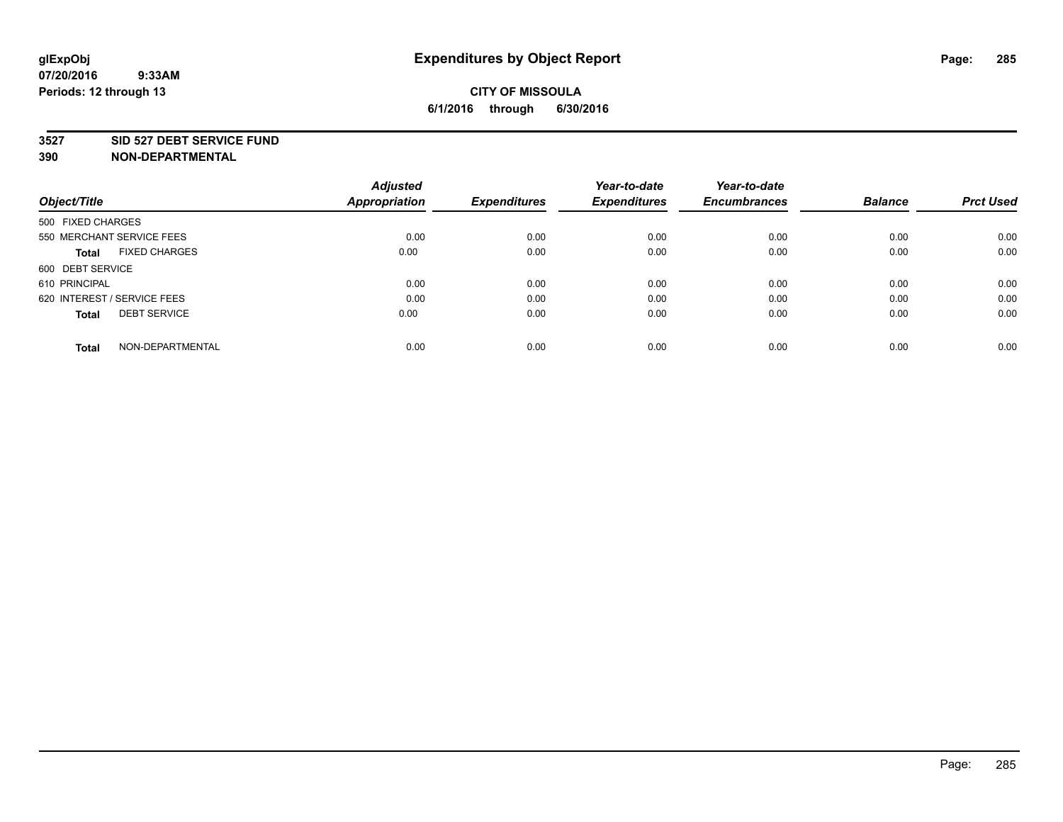#### **3527 SID 527 DEBT SERVICE FUND**

| Object/Title                         | <b>Adjusted</b><br><b>Appropriation</b> | <b>Expenditures</b> | Year-to-date<br><b>Expenditures</b> | Year-to-date<br><b>Encumbrances</b> | <b>Balance</b> | <b>Prct Used</b> |
|--------------------------------------|-----------------------------------------|---------------------|-------------------------------------|-------------------------------------|----------------|------------------|
|                                      |                                         |                     |                                     |                                     |                |                  |
| 500 FIXED CHARGES                    |                                         |                     |                                     |                                     |                |                  |
| 550 MERCHANT SERVICE FEES            | 0.00                                    | 0.00                | 0.00                                | 0.00                                | 0.00           | 0.00             |
| <b>FIXED CHARGES</b><br><b>Total</b> | 0.00                                    | 0.00                | 0.00                                | 0.00                                | 0.00           | 0.00             |
| 600 DEBT SERVICE                     |                                         |                     |                                     |                                     |                |                  |
| 610 PRINCIPAL                        | 0.00                                    | 0.00                | 0.00                                | 0.00                                | 0.00           | 0.00             |
| 620 INTEREST / SERVICE FEES          | 0.00                                    | 0.00                | 0.00                                | 0.00                                | 0.00           | 0.00             |
| <b>DEBT SERVICE</b><br>Total         | 0.00                                    | 0.00                | 0.00                                | 0.00                                | 0.00           | 0.00             |
|                                      |                                         |                     |                                     |                                     |                |                  |
| NON-DEPARTMENTAL<br><b>Total</b>     | 0.00                                    | 0.00                | 0.00                                | 0.00                                | 0.00           | 0.00             |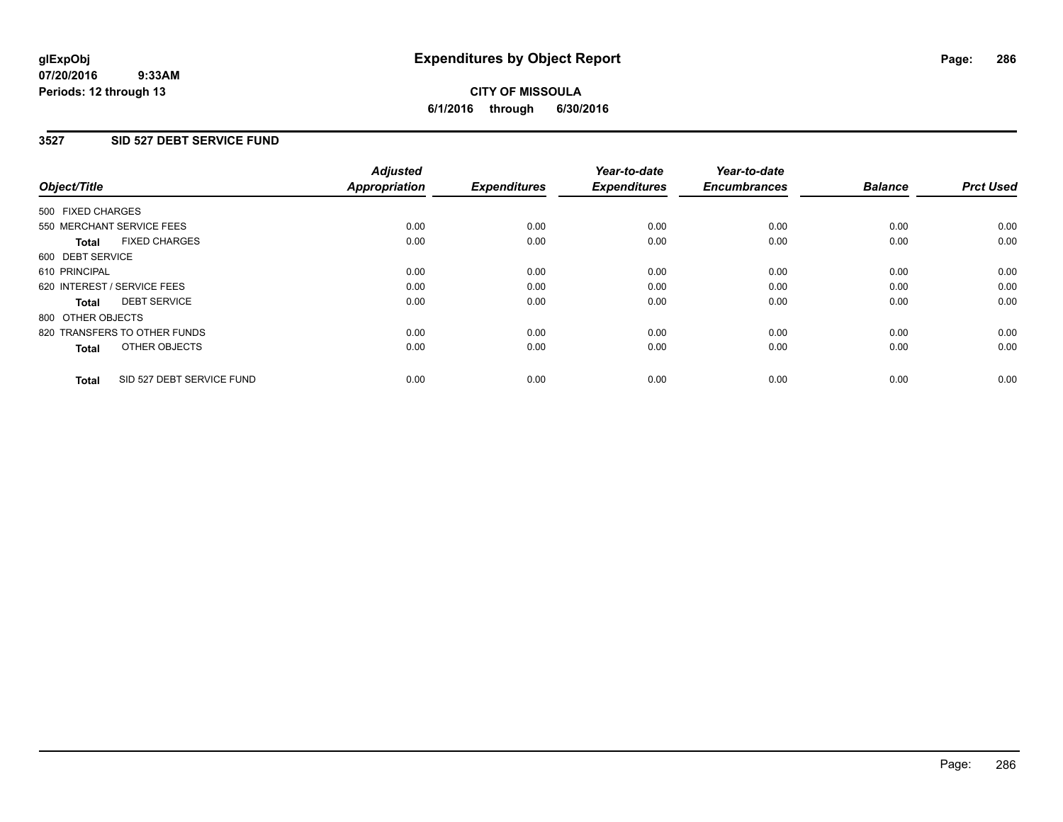#### **07/20/2016 9:33AM Periods: 12 through 13**

# **CITY OF MISSOULA 6/1/2016 through 6/30/2016**

### **3527 SID 527 DEBT SERVICE FUND**

| Object/Title                              | <b>Adjusted</b><br><b>Appropriation</b> | <b>Expenditures</b> | Year-to-date<br><b>Expenditures</b> | Year-to-date<br><b>Encumbrances</b> | <b>Balance</b> | <b>Prct Used</b> |
|-------------------------------------------|-----------------------------------------|---------------------|-------------------------------------|-------------------------------------|----------------|------------------|
|                                           |                                         |                     |                                     |                                     |                |                  |
| 500 FIXED CHARGES                         |                                         |                     |                                     |                                     |                |                  |
| 550 MERCHANT SERVICE FEES                 | 0.00                                    | 0.00                | 0.00                                | 0.00                                | 0.00           | 0.00             |
| <b>FIXED CHARGES</b><br>Total             | 0.00                                    | 0.00                | 0.00                                | 0.00                                | 0.00           | 0.00             |
| 600 DEBT SERVICE                          |                                         |                     |                                     |                                     |                |                  |
| 610 PRINCIPAL                             | 0.00                                    | 0.00                | 0.00                                | 0.00                                | 0.00           | 0.00             |
| 620 INTEREST / SERVICE FEES               | 0.00                                    | 0.00                | 0.00                                | 0.00                                | 0.00           | 0.00             |
| <b>DEBT SERVICE</b><br><b>Total</b>       | 0.00                                    | 0.00                | 0.00                                | 0.00                                | 0.00           | 0.00             |
| 800 OTHER OBJECTS                         |                                         |                     |                                     |                                     |                |                  |
| 820 TRANSFERS TO OTHER FUNDS              | 0.00                                    | 0.00                | 0.00                                | 0.00                                | 0.00           | 0.00             |
| OTHER OBJECTS<br><b>Total</b>             | 0.00                                    | 0.00                | 0.00                                | 0.00                                | 0.00           | 0.00             |
|                                           |                                         |                     |                                     |                                     |                |                  |
| SID 527 DEBT SERVICE FUND<br><b>Total</b> | 0.00                                    | 0.00                | 0.00                                | 0.00                                | 0.00           | 0.00             |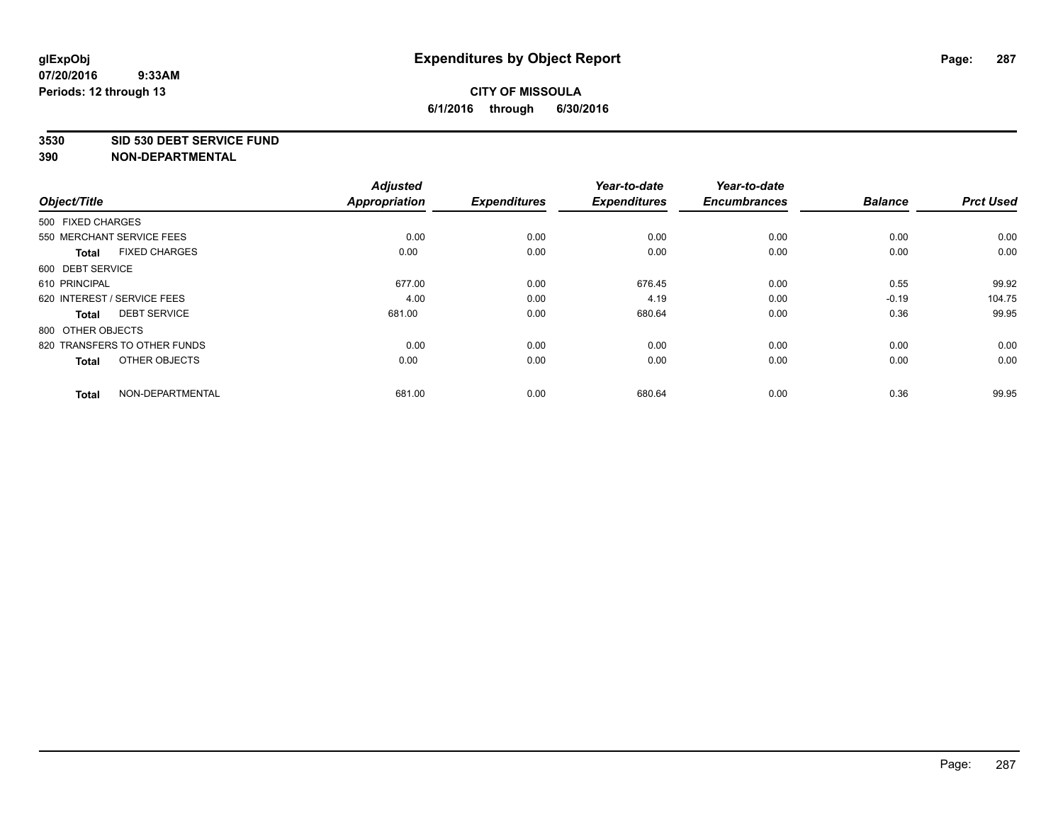#### **3530 SID 530 DEBT SERVICE FUND**

| Object/Title      |                              | <b>Adjusted</b><br><b>Appropriation</b> | <b>Expenditures</b> | Year-to-date<br><b>Expenditures</b> | Year-to-date<br><b>Encumbrances</b> | <b>Balance</b> | <b>Prct Used</b> |
|-------------------|------------------------------|-----------------------------------------|---------------------|-------------------------------------|-------------------------------------|----------------|------------------|
|                   |                              |                                         |                     |                                     |                                     |                |                  |
| 500 FIXED CHARGES |                              |                                         |                     |                                     |                                     |                |                  |
|                   | 550 MERCHANT SERVICE FEES    | 0.00                                    | 0.00                | 0.00                                | 0.00                                | 0.00           | 0.00             |
| <b>Total</b>      | <b>FIXED CHARGES</b>         | 0.00                                    | 0.00                | 0.00                                | 0.00                                | 0.00           | 0.00             |
| 600 DEBT SERVICE  |                              |                                         |                     |                                     |                                     |                |                  |
| 610 PRINCIPAL     |                              | 677.00                                  | 0.00                | 676.45                              | 0.00                                | 0.55           | 99.92            |
|                   | 620 INTEREST / SERVICE FEES  | 4.00                                    | 0.00                | 4.19                                | 0.00                                | $-0.19$        | 104.75           |
| <b>Total</b>      | <b>DEBT SERVICE</b>          | 681.00                                  | 0.00                | 680.64                              | 0.00                                | 0.36           | 99.95            |
| 800 OTHER OBJECTS |                              |                                         |                     |                                     |                                     |                |                  |
|                   | 820 TRANSFERS TO OTHER FUNDS | 0.00                                    | 0.00                | 0.00                                | 0.00                                | 0.00           | 0.00             |
| <b>Total</b>      | OTHER OBJECTS                | 0.00                                    | 0.00                | 0.00                                | 0.00                                | 0.00           | 0.00             |
| <b>Total</b>      | NON-DEPARTMENTAL             | 681.00                                  | 0.00                | 680.64                              | 0.00                                | 0.36           | 99.95            |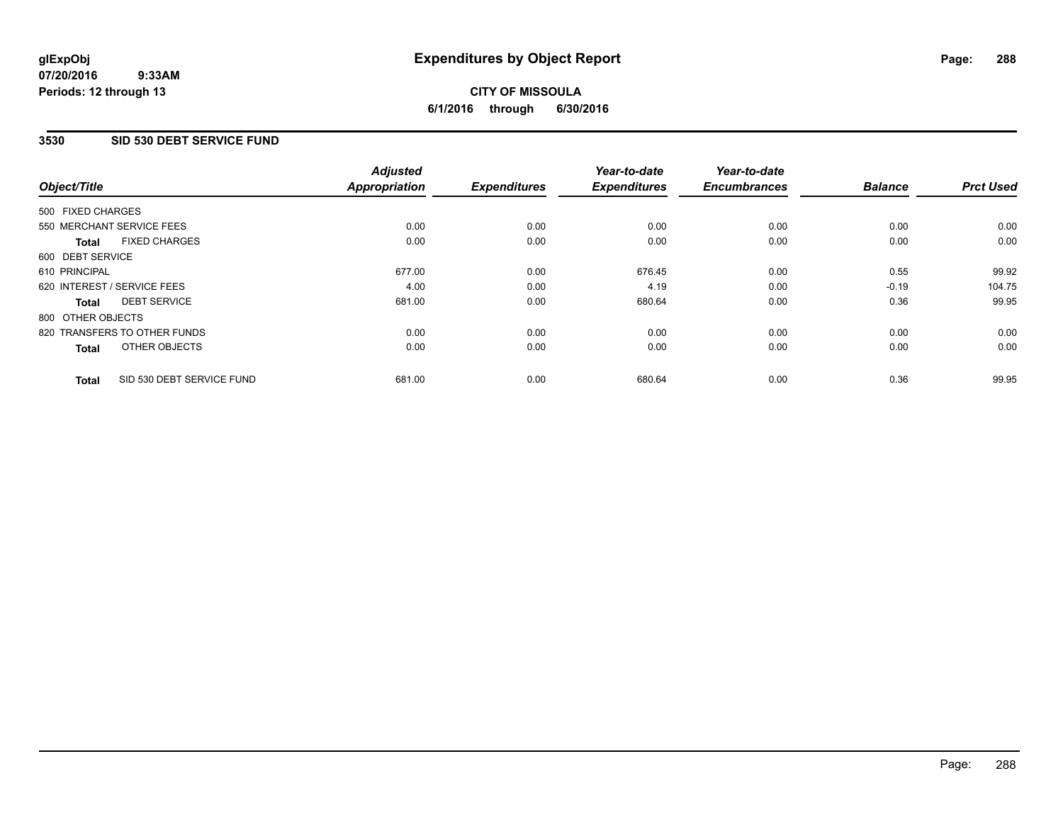### **3530 SID 530 DEBT SERVICE FUND**

| Object/Title      |                              | <b>Adjusted</b><br><b>Appropriation</b> | <b>Expenditures</b> | Year-to-date<br><b>Expenditures</b> | Year-to-date<br><b>Encumbrances</b> | <b>Balance</b> | <b>Prct Used</b> |
|-------------------|------------------------------|-----------------------------------------|---------------------|-------------------------------------|-------------------------------------|----------------|------------------|
| 500 FIXED CHARGES |                              |                                         |                     |                                     |                                     |                |                  |
|                   | 550 MERCHANT SERVICE FEES    | 0.00                                    | 0.00                | 0.00                                | 0.00                                | 0.00           | 0.00             |
| <b>Total</b>      | <b>FIXED CHARGES</b>         | 0.00                                    | 0.00                | 0.00                                | 0.00                                | 0.00           | 0.00             |
| 600 DEBT SERVICE  |                              |                                         |                     |                                     |                                     |                |                  |
| 610 PRINCIPAL     |                              | 677.00                                  | 0.00                | 676.45                              | 0.00                                | 0.55           | 99.92            |
|                   | 620 INTEREST / SERVICE FEES  | 4.00                                    | 0.00                | 4.19                                | 0.00                                | $-0.19$        | 104.75           |
| Total             | <b>DEBT SERVICE</b>          | 681.00                                  | 0.00                | 680.64                              | 0.00                                | 0.36           | 99.95            |
| 800 OTHER OBJECTS |                              |                                         |                     |                                     |                                     |                |                  |
|                   | 820 TRANSFERS TO OTHER FUNDS | 0.00                                    | 0.00                | 0.00                                | 0.00                                | 0.00           | 0.00             |
| <b>Total</b>      | OTHER OBJECTS                | 0.00                                    | 0.00                | 0.00                                | 0.00                                | 0.00           | 0.00             |
| <b>Total</b>      | SID 530 DEBT SERVICE FUND    | 681.00                                  | 0.00                | 680.64                              | 0.00                                | 0.36           | 99.95            |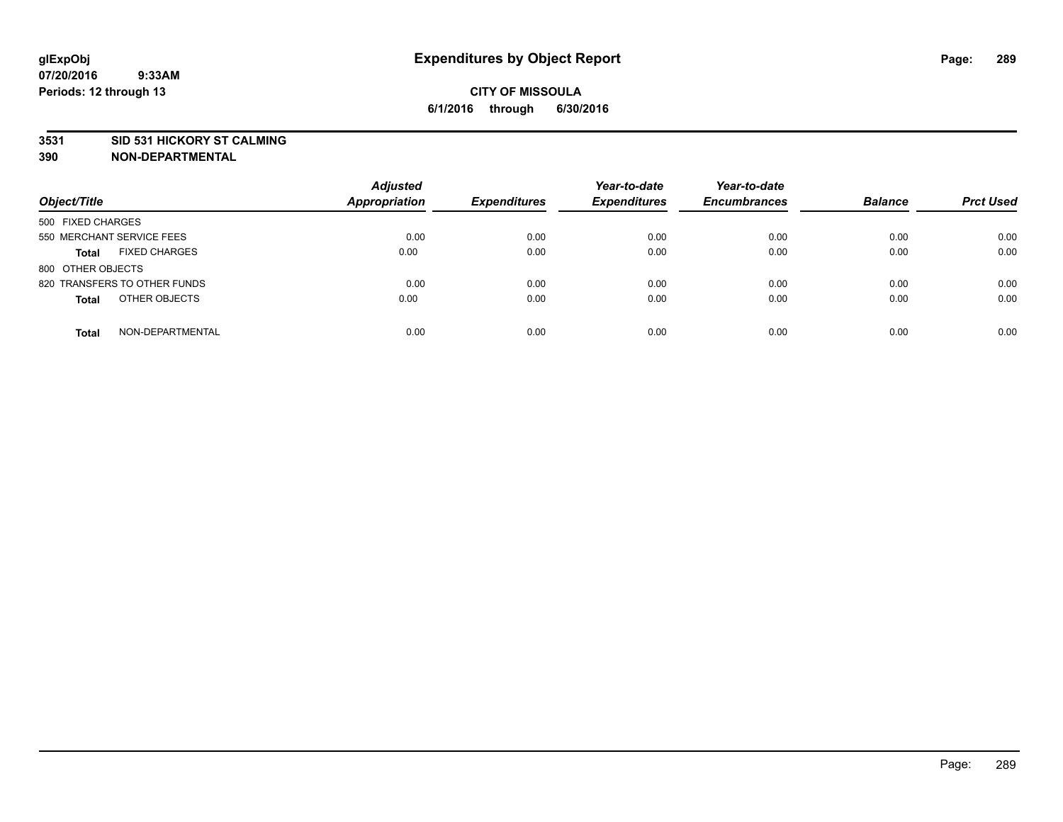### **3531 SID 531 HICKORY ST CALMING**

| Object/Title                         | <b>Adjusted</b><br><b>Appropriation</b> | <b>Expenditures</b> | Year-to-date<br><b>Expenditures</b> | Year-to-date<br><b>Encumbrances</b> | <b>Balance</b> | <b>Prct Used</b> |
|--------------------------------------|-----------------------------------------|---------------------|-------------------------------------|-------------------------------------|----------------|------------------|
| 500 FIXED CHARGES                    |                                         |                     |                                     |                                     |                |                  |
| 550 MERCHANT SERVICE FEES            | 0.00                                    | 0.00                | 0.00                                | 0.00                                | 0.00           | 0.00             |
| <b>FIXED CHARGES</b><br><b>Total</b> | 0.00                                    | 0.00                | 0.00                                | 0.00                                | 0.00           | 0.00             |
| 800 OTHER OBJECTS                    |                                         |                     |                                     |                                     |                |                  |
| 820 TRANSFERS TO OTHER FUNDS         | 0.00                                    | 0.00                | 0.00                                | 0.00                                | 0.00           | 0.00             |
| OTHER OBJECTS<br><b>Total</b>        | 0.00                                    | 0.00                | 0.00                                | 0.00                                | 0.00           | 0.00             |
| NON-DEPARTMENTAL<br><b>Total</b>     | 0.00                                    | 0.00                | 0.00                                | 0.00                                | 0.00           | 0.00             |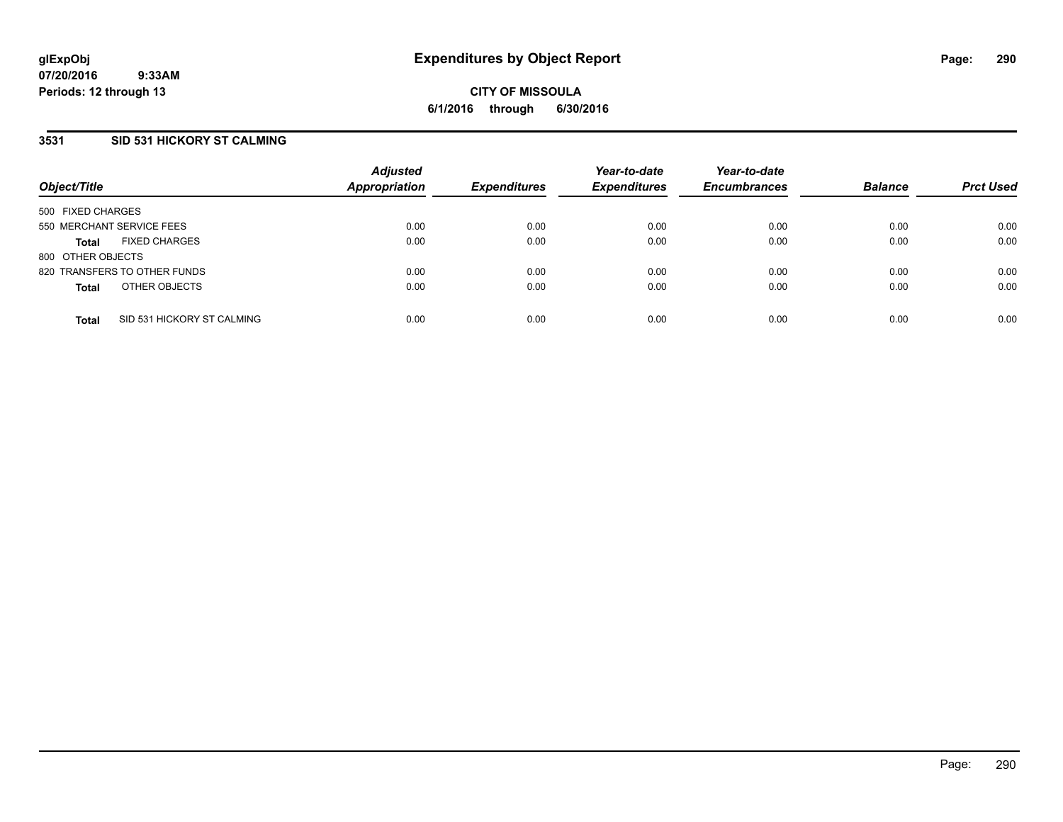### **3531 SID 531 HICKORY ST CALMING**

| Object/Title              |                              | <b>Adjusted</b><br><b>Appropriation</b> | <b>Expenditures</b> | Year-to-date<br><b>Expenditures</b> | Year-to-date<br><b>Encumbrances</b> | <b>Balance</b> | <b>Prct Used</b> |
|---------------------------|------------------------------|-----------------------------------------|---------------------|-------------------------------------|-------------------------------------|----------------|------------------|
| 500 FIXED CHARGES         |                              |                                         |                     |                                     |                                     |                |                  |
| 550 MERCHANT SERVICE FEES |                              | 0.00                                    | 0.00                | 0.00                                | 0.00                                | 0.00           | 0.00             |
| <b>Total</b>              | <b>FIXED CHARGES</b>         | 0.00                                    | 0.00                | 0.00                                | 0.00                                | 0.00           | 0.00             |
| 800 OTHER OBJECTS         |                              |                                         |                     |                                     |                                     |                |                  |
|                           | 820 TRANSFERS TO OTHER FUNDS | 0.00                                    | 0.00                | 0.00                                | 0.00                                | 0.00           | 0.00             |
| <b>Total</b>              | OTHER OBJECTS                | 0.00                                    | 0.00                | 0.00                                | 0.00                                | 0.00           | 0.00             |
| <b>Total</b>              | SID 531 HICKORY ST CALMING   | 0.00                                    | 0.00                | 0.00                                | 0.00                                | 0.00           | 0.00             |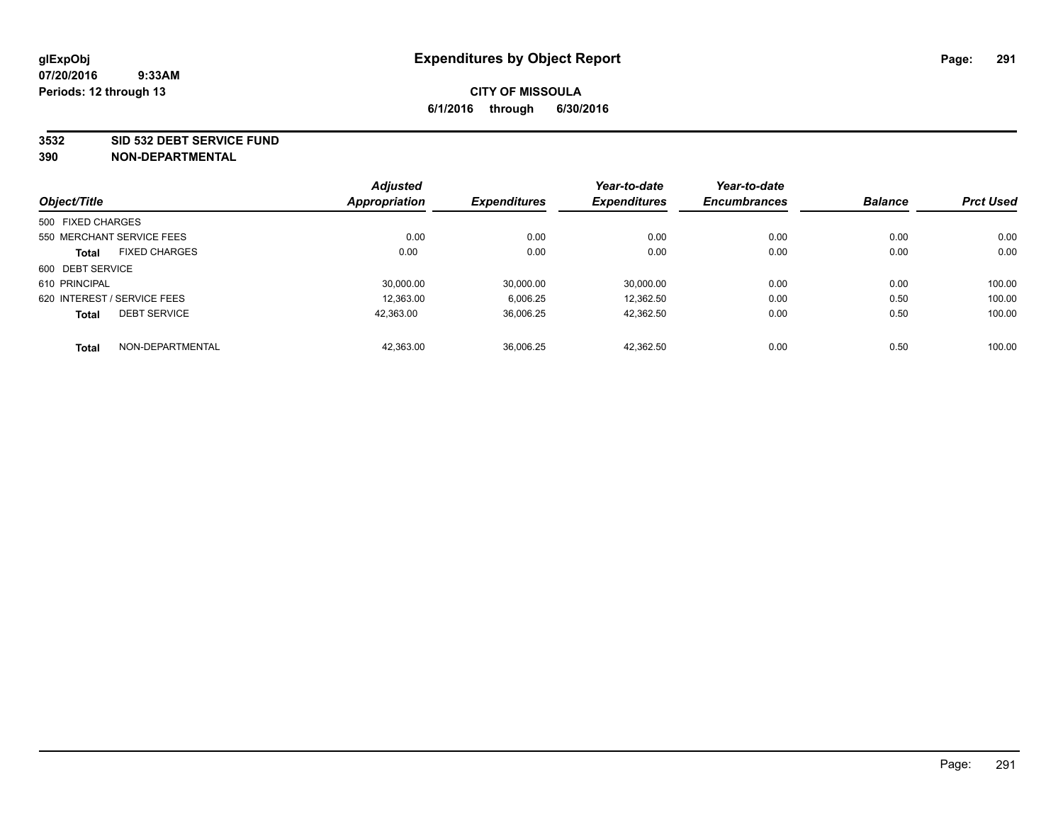#### **3532 SID 532 DEBT SERVICE FUND**

|                   |                             | <b>Adjusted</b> |                     | Year-to-date        | Year-to-date        |                |                  |
|-------------------|-----------------------------|-----------------|---------------------|---------------------|---------------------|----------------|------------------|
| Object/Title      |                             | Appropriation   | <b>Expenditures</b> | <b>Expenditures</b> | <b>Encumbrances</b> | <b>Balance</b> | <b>Prct Used</b> |
| 500 FIXED CHARGES |                             |                 |                     |                     |                     |                |                  |
|                   | 550 MERCHANT SERVICE FEES   | 0.00            | 0.00                | 0.00                | 0.00                | 0.00           | 0.00             |
| <b>Total</b>      | <b>FIXED CHARGES</b>        | 0.00            | 0.00                | 0.00                | 0.00                | 0.00           | 0.00             |
| 600 DEBT SERVICE  |                             |                 |                     |                     |                     |                |                  |
| 610 PRINCIPAL     |                             | 30.000.00       | 30.000.00           | 30.000.00           | 0.00                | 0.00           | 100.00           |
|                   | 620 INTEREST / SERVICE FEES | 12.363.00       | 6,006.25            | 12.362.50           | 0.00                | 0.50           | 100.00           |
| <b>Total</b>      | <b>DEBT SERVICE</b>         | 42,363.00       | 36,006.25           | 42,362.50           | 0.00                | 0.50           | 100.00           |
| <b>Total</b>      | NON-DEPARTMENTAL            | 42,363.00       | 36,006.25           | 42.362.50           | 0.00                | 0.50           | 100.00           |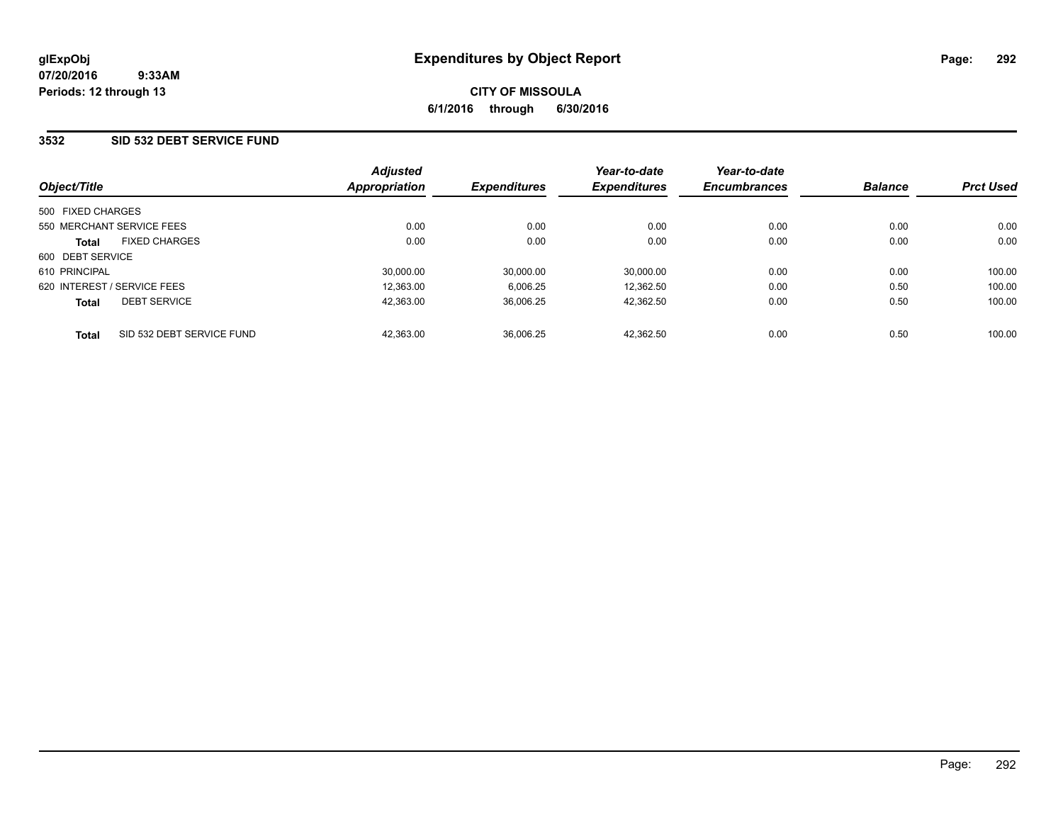### **3532 SID 532 DEBT SERVICE FUND**

| Object/Title                              | <b>Adjusted</b><br>Appropriation | <b>Expenditures</b> | Year-to-date<br><b>Expenditures</b> | Year-to-date<br><b>Encumbrances</b> | <b>Balance</b> | <b>Prct Used</b> |
|-------------------------------------------|----------------------------------|---------------------|-------------------------------------|-------------------------------------|----------------|------------------|
|                                           |                                  |                     |                                     |                                     |                |                  |
| 500 FIXED CHARGES                         |                                  |                     |                                     |                                     |                |                  |
| 550 MERCHANT SERVICE FEES                 | 0.00                             | 0.00                | 0.00                                | 0.00                                | 0.00           | 0.00             |
| <b>FIXED CHARGES</b><br><b>Total</b>      | 0.00                             | 0.00                | 0.00                                | 0.00                                | 0.00           | 0.00             |
| 600 DEBT SERVICE                          |                                  |                     |                                     |                                     |                |                  |
| 610 PRINCIPAL                             | 30,000.00                        | 30.000.00           | 30,000.00                           | 0.00                                | 0.00           | 100.00           |
| 620 INTEREST / SERVICE FEES               | 12.363.00                        | 6.006.25            | 12.362.50                           | 0.00                                | 0.50           | 100.00           |
| <b>DEBT SERVICE</b><br><b>Total</b>       | 42.363.00                        | 36.006.25           | 42.362.50                           | 0.00                                | 0.50           | 100.00           |
| SID 532 DEBT SERVICE FUND<br><b>Total</b> | 42,363.00                        | 36.006.25           | 42.362.50                           | 0.00                                | 0.50           | 100.00           |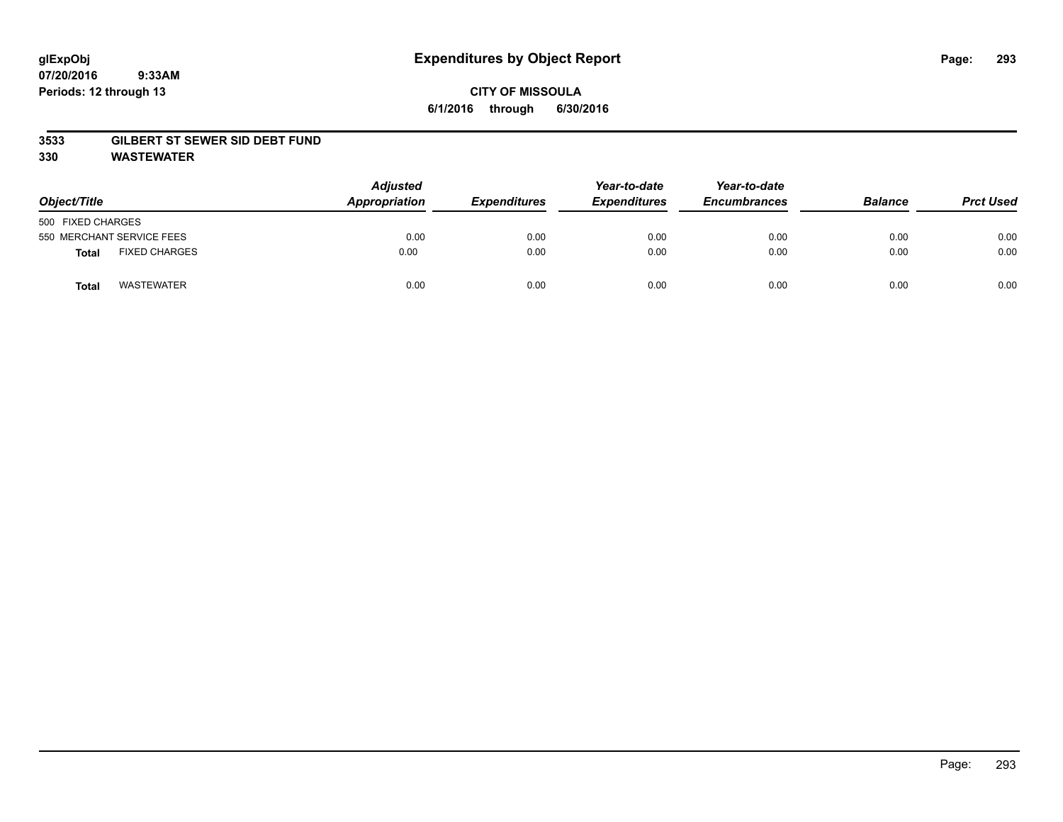# **CITY OF MISSOULA 6/1/2016 through 6/30/2016**

### **3533 GILBERT ST SEWER SID DEBT FUND**

**330 WASTEWATER**

| Object/Title                         | <b>Adjusted</b><br>Appropriation | <b>Expenditures</b> | Year-to-date<br><b>Expenditures</b> | Year-to-date<br><b>Encumbrances</b> | <b>Balance</b> | <b>Prct Used</b> |
|--------------------------------------|----------------------------------|---------------------|-------------------------------------|-------------------------------------|----------------|------------------|
| 500 FIXED CHARGES                    |                                  |                     |                                     |                                     |                |                  |
| 550 MERCHANT SERVICE FEES            | 0.00                             | 0.00                | 0.00                                | 0.00                                | 0.00           | 0.00             |
| <b>FIXED CHARGES</b><br><b>Total</b> | 0.00                             | 0.00                | 0.00                                | 0.00                                | 0.00           | 0.00             |
| <b>WASTEWATER</b><br>Total           | 0.00                             | 0.00                | 0.00                                | 0.00                                | 0.00           | 0.00             |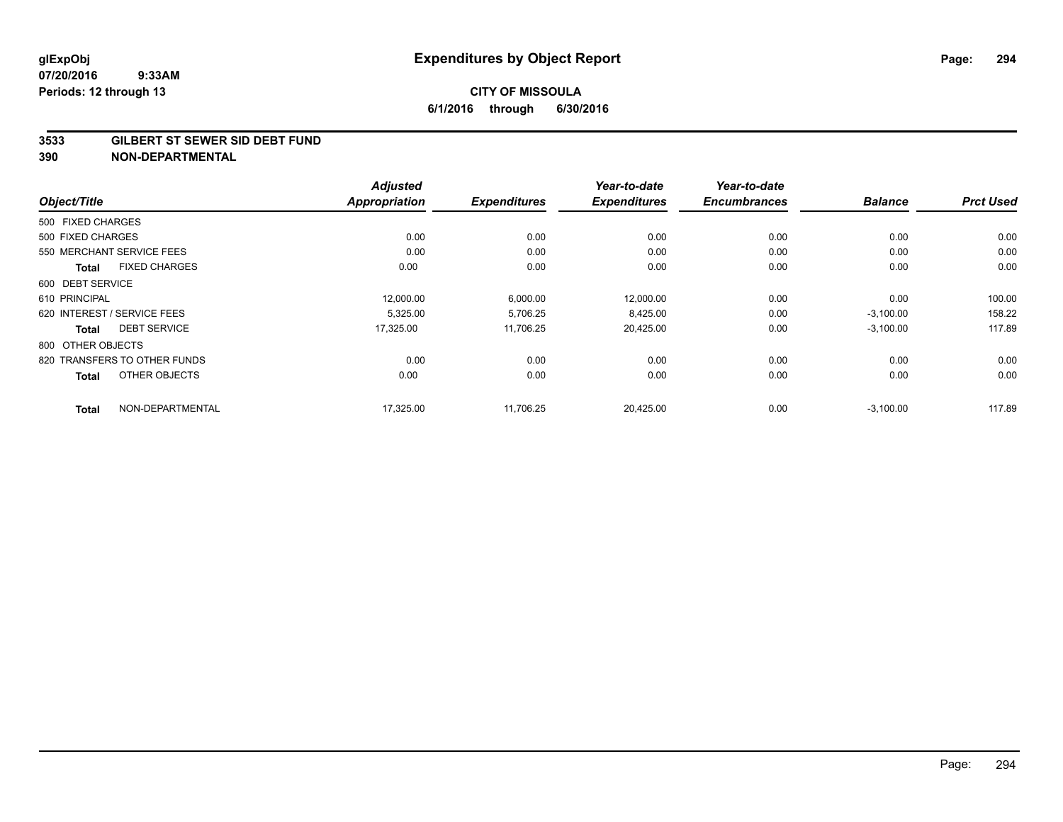#### **3533 GILBERT ST SEWER SID DEBT FUND**

|                                      | <b>Adjusted</b>      |                     | Year-to-date        | Year-to-date        |                |                  |
|--------------------------------------|----------------------|---------------------|---------------------|---------------------|----------------|------------------|
| Object/Title                         | <b>Appropriation</b> | <b>Expenditures</b> | <b>Expenditures</b> | <b>Encumbrances</b> | <b>Balance</b> | <b>Prct Used</b> |
| 500 FIXED CHARGES                    |                      |                     |                     |                     |                |                  |
| 500 FIXED CHARGES                    | 0.00                 | 0.00                | 0.00                | 0.00                | 0.00           | 0.00             |
| 550 MERCHANT SERVICE FEES            | 0.00                 | 0.00                | 0.00                | 0.00                | 0.00           | 0.00             |
| <b>FIXED CHARGES</b><br><b>Total</b> | 0.00                 | 0.00                | 0.00                | 0.00                | 0.00           | 0.00             |
| 600 DEBT SERVICE                     |                      |                     |                     |                     |                |                  |
| 610 PRINCIPAL                        | 12,000.00            | 6,000.00            | 12,000.00           | 0.00                | 0.00           | 100.00           |
| 620 INTEREST / SERVICE FEES          | 5,325.00             | 5,706.25            | 8,425.00            | 0.00                | $-3,100.00$    | 158.22           |
| <b>DEBT SERVICE</b><br><b>Total</b>  | 17,325.00            | 11,706.25           | 20,425.00           | 0.00                | $-3,100.00$    | 117.89           |
| 800 OTHER OBJECTS                    |                      |                     |                     |                     |                |                  |
| 820 TRANSFERS TO OTHER FUNDS         | 0.00                 | 0.00                | 0.00                | 0.00                | 0.00           | 0.00             |
| OTHER OBJECTS<br><b>Total</b>        | 0.00                 | 0.00                | 0.00                | 0.00                | 0.00           | 0.00             |
| NON-DEPARTMENTAL<br><b>Total</b>     | 17,325.00            | 11,706.25           | 20,425.00           | 0.00                | $-3,100.00$    | 117.89           |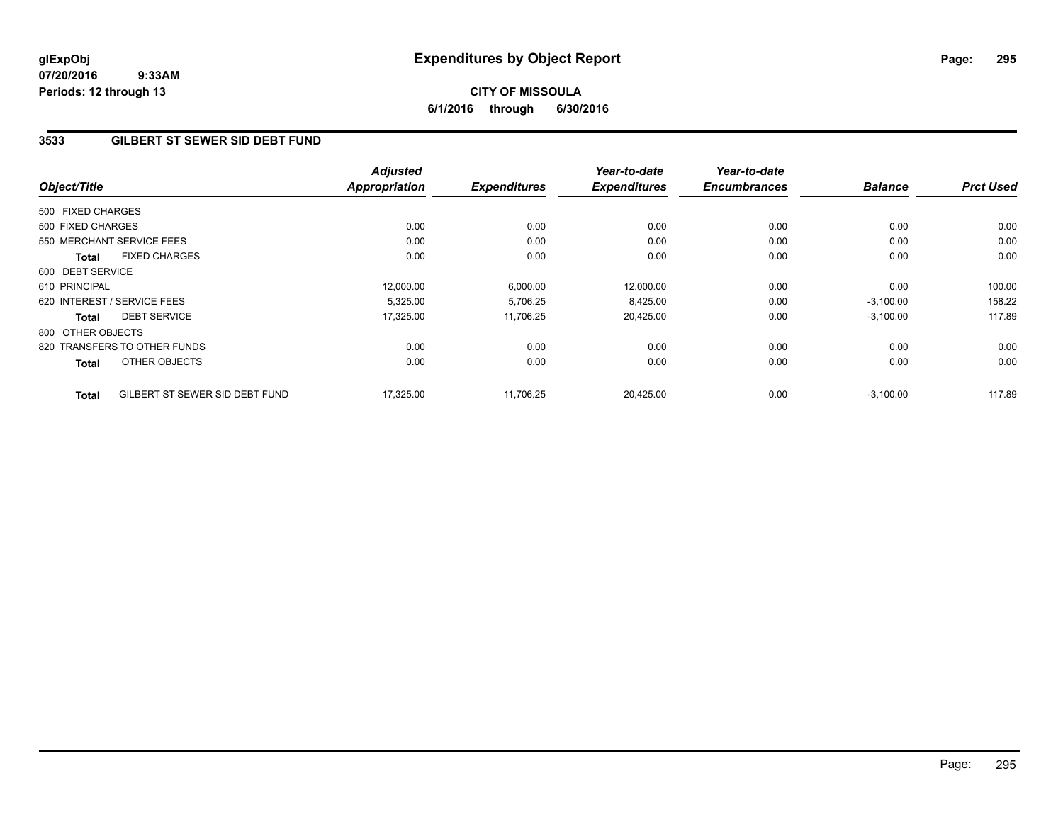# **CITY OF MISSOULA 6/1/2016 through 6/30/2016**

### **3533 GILBERT ST SEWER SID DEBT FUND**

| Object/Title      |                                | <b>Adjusted</b><br><b>Appropriation</b> | <b>Expenditures</b> | Year-to-date<br><b>Expenditures</b> | Year-to-date<br><b>Encumbrances</b> | <b>Balance</b> | <b>Prct Used</b> |
|-------------------|--------------------------------|-----------------------------------------|---------------------|-------------------------------------|-------------------------------------|----------------|------------------|
|                   |                                |                                         |                     |                                     |                                     |                |                  |
| 500 FIXED CHARGES |                                |                                         |                     |                                     |                                     |                |                  |
| 500 FIXED CHARGES |                                | 0.00                                    | 0.00                | 0.00                                | 0.00                                | 0.00           | 0.00             |
|                   | 550 MERCHANT SERVICE FEES      | 0.00                                    | 0.00                | 0.00                                | 0.00                                | 0.00           | 0.00             |
| Total             | <b>FIXED CHARGES</b>           | 0.00                                    | 0.00                | 0.00                                | 0.00                                | 0.00           | 0.00             |
| 600 DEBT SERVICE  |                                |                                         |                     |                                     |                                     |                |                  |
| 610 PRINCIPAL     |                                | 12,000.00                               | 6,000.00            | 12,000.00                           | 0.00                                | 0.00           | 100.00           |
|                   | 620 INTEREST / SERVICE FEES    | 5,325.00                                | 5,706.25            | 8,425.00                            | 0.00                                | $-3,100.00$    | 158.22           |
| Total             | <b>DEBT SERVICE</b>            | 17,325.00                               | 11,706.25           | 20,425.00                           | 0.00                                | $-3,100.00$    | 117.89           |
| 800 OTHER OBJECTS |                                |                                         |                     |                                     |                                     |                |                  |
|                   | 820 TRANSFERS TO OTHER FUNDS   | 0.00                                    | 0.00                | 0.00                                | 0.00                                | 0.00           | 0.00             |
| <b>Total</b>      | OTHER OBJECTS                  | 0.00                                    | 0.00                | 0.00                                | 0.00                                | 0.00           | 0.00             |
| <b>Total</b>      | GILBERT ST SEWER SID DEBT FUND | 17,325.00                               | 11,706.25           | 20,425.00                           | 0.00                                | $-3,100.00$    | 117.89           |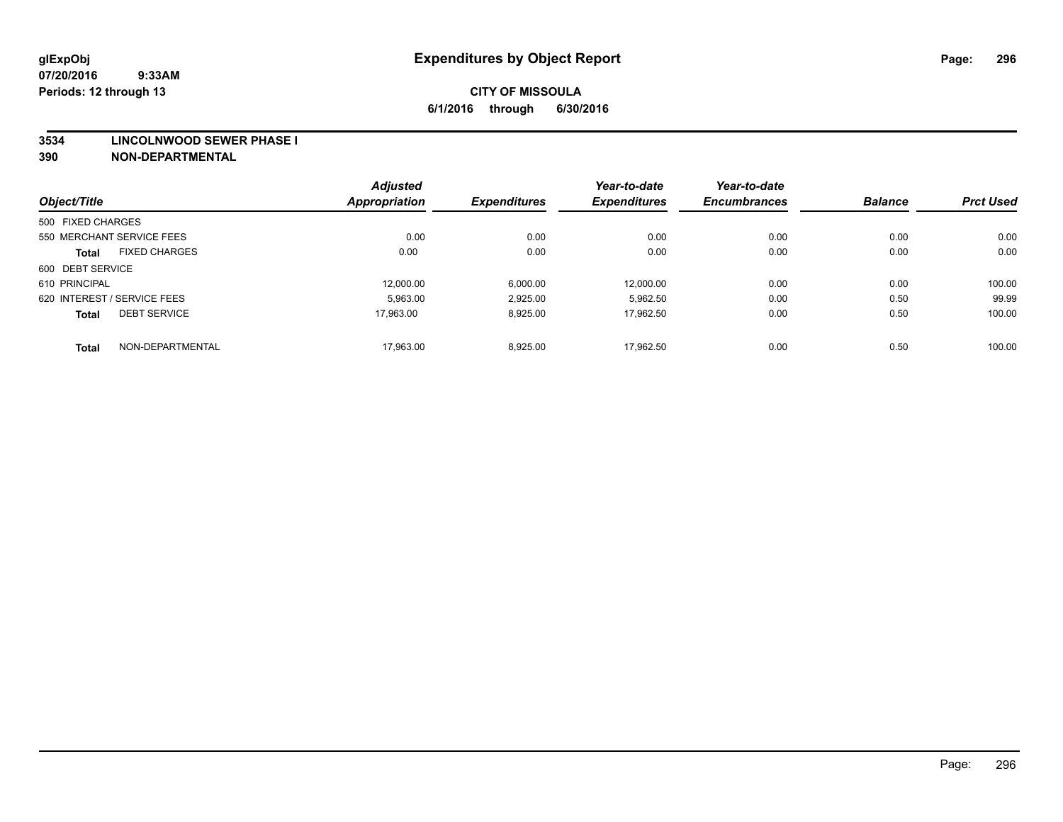#### **3534 LINCOLNWOOD SEWER PHASE I**

|                   |                             | <b>Adjusted</b> |                     | Year-to-date        | Year-to-date        |                |                  |
|-------------------|-----------------------------|-----------------|---------------------|---------------------|---------------------|----------------|------------------|
| Object/Title      |                             | Appropriation   | <b>Expenditures</b> | <b>Expenditures</b> | <b>Encumbrances</b> | <b>Balance</b> | <b>Prct Used</b> |
| 500 FIXED CHARGES |                             |                 |                     |                     |                     |                |                  |
|                   | 550 MERCHANT SERVICE FEES   | 0.00            | 0.00                | 0.00                | 0.00                | 0.00           | 0.00             |
| <b>Total</b>      | <b>FIXED CHARGES</b>        | 0.00            | 0.00                | 0.00                | 0.00                | 0.00           | 0.00             |
| 600 DEBT SERVICE  |                             |                 |                     |                     |                     |                |                  |
| 610 PRINCIPAL     |                             | 12,000.00       | 6,000.00            | 12,000.00           | 0.00                | 0.00           | 100.00           |
|                   | 620 INTEREST / SERVICE FEES | 5.963.00        | 2,925.00            | 5,962.50            | 0.00                | 0.50           | 99.99            |
| <b>Total</b>      | <b>DEBT SERVICE</b>         | 17.963.00       | 8,925.00            | 17.962.50           | 0.00                | 0.50           | 100.00           |
| <b>Total</b>      | NON-DEPARTMENTAL            | 17.963.00       | 8.925.00            | 17.962.50           | 0.00                | 0.50           | 100.00           |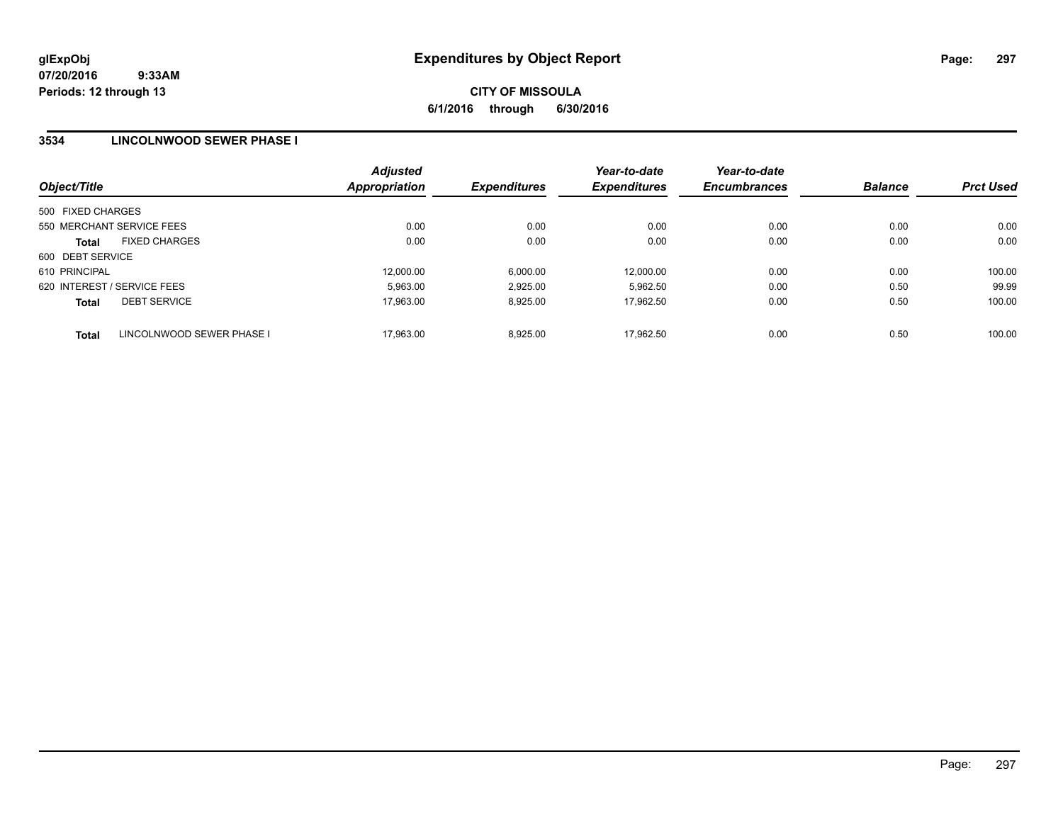### **3534 LINCOLNWOOD SEWER PHASE I**

| Object/Title                |                           | <b>Adjusted</b><br><b>Appropriation</b> | <b>Expenditures</b> | Year-to-date<br><b>Expenditures</b> | Year-to-date<br><b>Encumbrances</b> | <b>Balance</b> | <b>Prct Used</b> |
|-----------------------------|---------------------------|-----------------------------------------|---------------------|-------------------------------------|-------------------------------------|----------------|------------------|
| 500 FIXED CHARGES           |                           |                                         |                     |                                     |                                     |                |                  |
| 550 MERCHANT SERVICE FEES   |                           | 0.00                                    | 0.00                | 0.00                                | 0.00                                | 0.00           | 0.00             |
| <b>Total</b>                | <b>FIXED CHARGES</b>      | 0.00                                    | 0.00                | 0.00                                | 0.00                                | 0.00           | 0.00             |
| 600 DEBT SERVICE            |                           |                                         |                     |                                     |                                     |                |                  |
| 610 PRINCIPAL               |                           | 12,000.00                               | 6.000.00            | 12.000.00                           | 0.00                                | 0.00           | 100.00           |
| 620 INTEREST / SERVICE FEES |                           | 5.963.00                                | 2,925.00            | 5.962.50                            | 0.00                                | 0.50           | 99.99            |
| <b>Total</b>                | <b>DEBT SERVICE</b>       | 17,963.00                               | 8,925.00            | 17.962.50                           | 0.00                                | 0.50           | 100.00           |
| <b>Total</b>                | LINCOLNWOOD SEWER PHASE I | 17.963.00                               | 8.925.00            | 17.962.50                           | 0.00                                | 0.50           | 100.00           |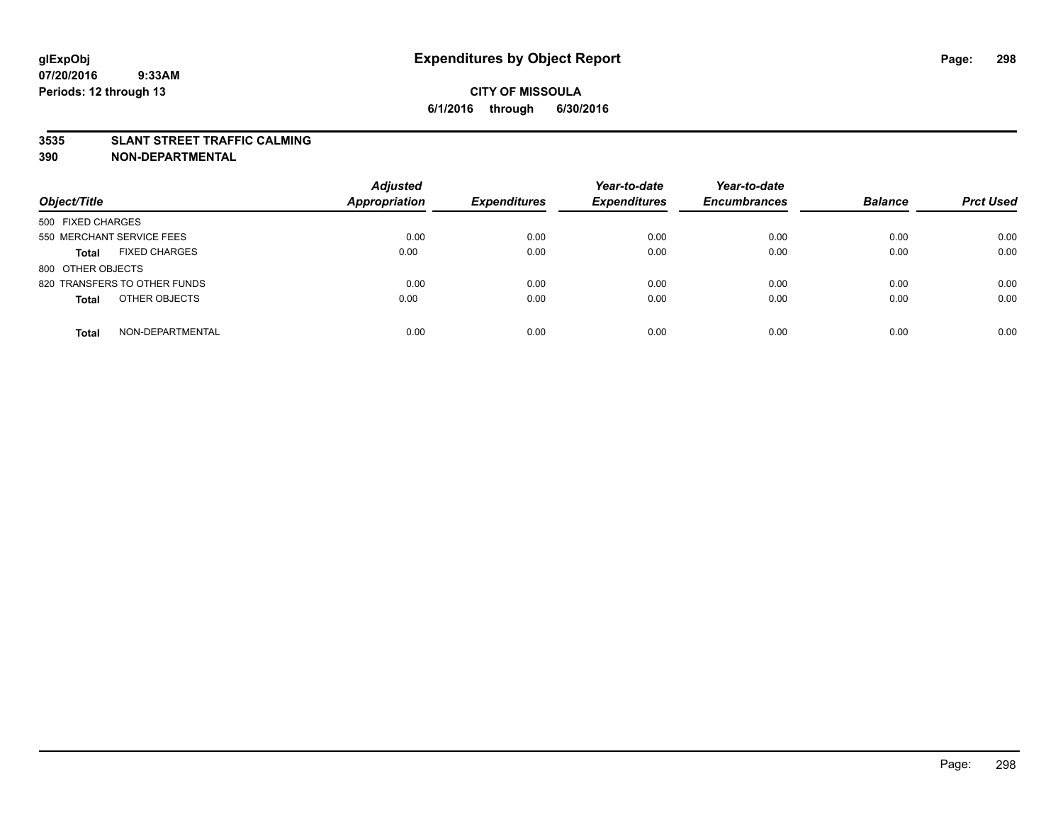### **3535 SLANT STREET TRAFFIC CALMING**

| Object/Title                         | <b>Adjusted</b><br><b>Appropriation</b> | <b>Expenditures</b> | Year-to-date<br><b>Expenditures</b> | Year-to-date<br><b>Encumbrances</b> | <b>Balance</b> | <b>Prct Used</b> |
|--------------------------------------|-----------------------------------------|---------------------|-------------------------------------|-------------------------------------|----------------|------------------|
| 500 FIXED CHARGES                    |                                         |                     |                                     |                                     |                |                  |
| 550 MERCHANT SERVICE FEES            | 0.00                                    | 0.00                | 0.00                                | 0.00                                | 0.00           | 0.00             |
| <b>FIXED CHARGES</b><br><b>Total</b> | 0.00                                    | 0.00                | 0.00                                | 0.00                                | 0.00           | 0.00             |
| 800 OTHER OBJECTS                    |                                         |                     |                                     |                                     |                |                  |
| 820 TRANSFERS TO OTHER FUNDS         | 0.00                                    | 0.00                | 0.00                                | 0.00                                | 0.00           | 0.00             |
| OTHER OBJECTS<br><b>Total</b>        | 0.00                                    | 0.00                | 0.00                                | 0.00                                | 0.00           | 0.00             |
| NON-DEPARTMENTAL<br><b>Total</b>     | 0.00                                    | 0.00                | 0.00                                | 0.00                                | 0.00           | 0.00             |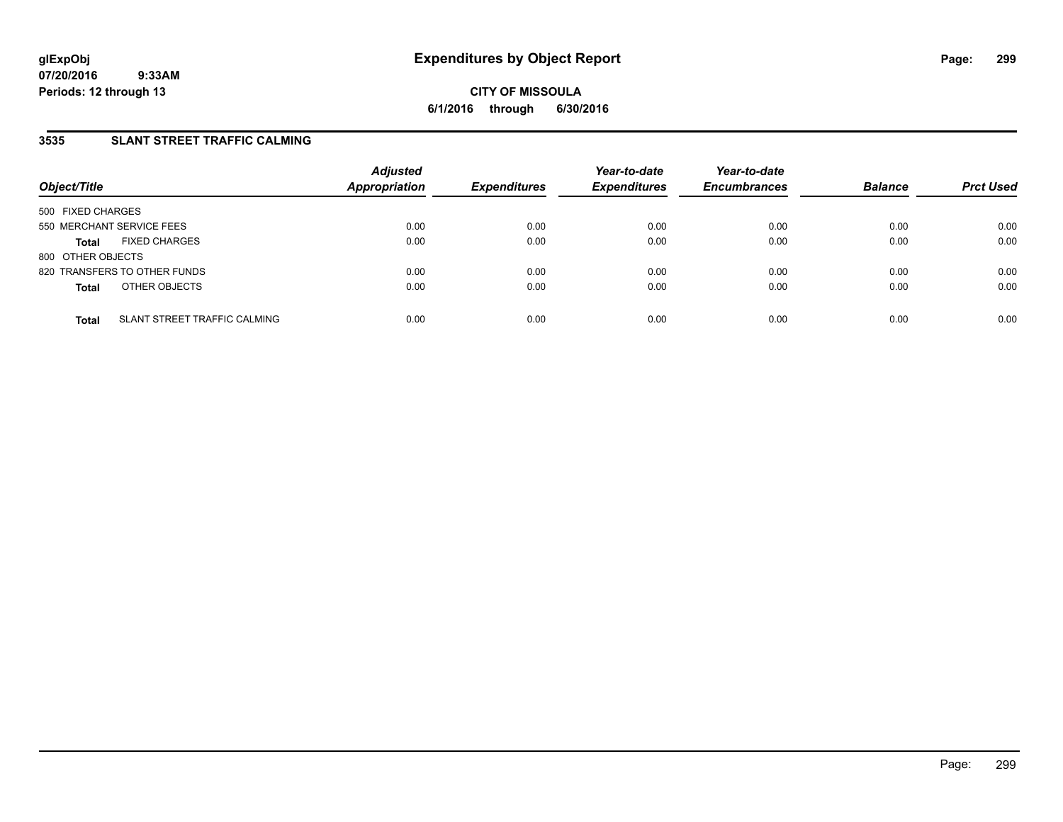## **3535 SLANT STREET TRAFFIC CALMING**

| Object/Title              |                              | <b>Adjusted</b><br>Appropriation | <b>Expenditures</b> | Year-to-date<br><b>Expenditures</b> | Year-to-date<br><b>Encumbrances</b> | <b>Balance</b> | <b>Prct Used</b> |
|---------------------------|------------------------------|----------------------------------|---------------------|-------------------------------------|-------------------------------------|----------------|------------------|
| 500 FIXED CHARGES         |                              |                                  |                     |                                     |                                     |                |                  |
| 550 MERCHANT SERVICE FEES |                              | 0.00                             | 0.00                | 0.00                                | 0.00                                | 0.00           | 0.00             |
| <b>Total</b>              | <b>FIXED CHARGES</b>         | 0.00                             | 0.00                | 0.00                                | 0.00                                | 0.00           | 0.00             |
| 800 OTHER OBJECTS         |                              |                                  |                     |                                     |                                     |                |                  |
|                           | 820 TRANSFERS TO OTHER FUNDS | 0.00                             | 0.00                | 0.00                                | 0.00                                | 0.00           | 0.00             |
| <b>Total</b>              | OTHER OBJECTS                | 0.00                             | 0.00                | 0.00                                | 0.00                                | 0.00           | 0.00             |
| <b>Total</b>              | SLANT STREET TRAFFIC CALMING | 0.00                             | 0.00                | 0.00                                | 0.00                                | 0.00           | 0.00             |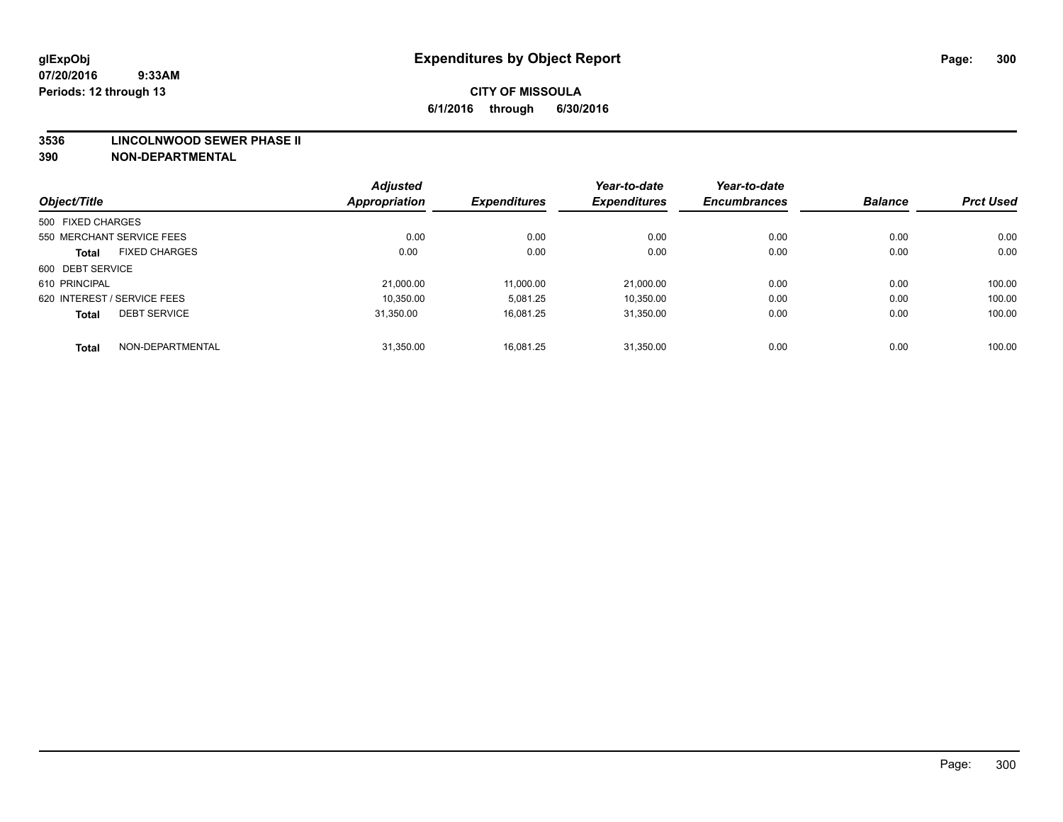#### **3536 LINCOLNWOOD SEWER PHASE II**

| Object/Title                         |                  | <b>Adjusted</b><br><b>Appropriation</b> | <b>Expenditures</b> | Year-to-date<br><b>Expenditures</b> | Year-to-date<br><b>Encumbrances</b> | <b>Balance</b> | <b>Prct Used</b> |
|--------------------------------------|------------------|-----------------------------------------|---------------------|-------------------------------------|-------------------------------------|----------------|------------------|
|                                      |                  |                                         |                     |                                     |                                     |                |                  |
| 500 FIXED CHARGES                    |                  |                                         |                     |                                     |                                     |                |                  |
| 550 MERCHANT SERVICE FEES            |                  | 0.00                                    | 0.00                | 0.00                                | 0.00                                | 0.00           | 0.00             |
| <b>FIXED CHARGES</b><br><b>Total</b> |                  | 0.00                                    | 0.00                | 0.00                                | 0.00                                | 0.00           | 0.00             |
| 600 DEBT SERVICE                     |                  |                                         |                     |                                     |                                     |                |                  |
| 610 PRINCIPAL                        |                  | 21.000.00                               | 11,000.00           | 21.000.00                           | 0.00                                | 0.00           | 100.00           |
| 620 INTEREST / SERVICE FEES          |                  | 10,350.00                               | 5,081.25            | 10,350.00                           | 0.00                                | 0.00           | 100.00           |
| <b>DEBT SERVICE</b><br><b>Total</b>  |                  | 31.350.00                               | 16.081.25           | 31.350.00                           | 0.00                                | 0.00           | 100.00           |
| <b>Total</b>                         | NON-DEPARTMENTAL | 31,350.00                               | 16.081.25           | 31.350.00                           | 0.00                                | 0.00           | 100.00           |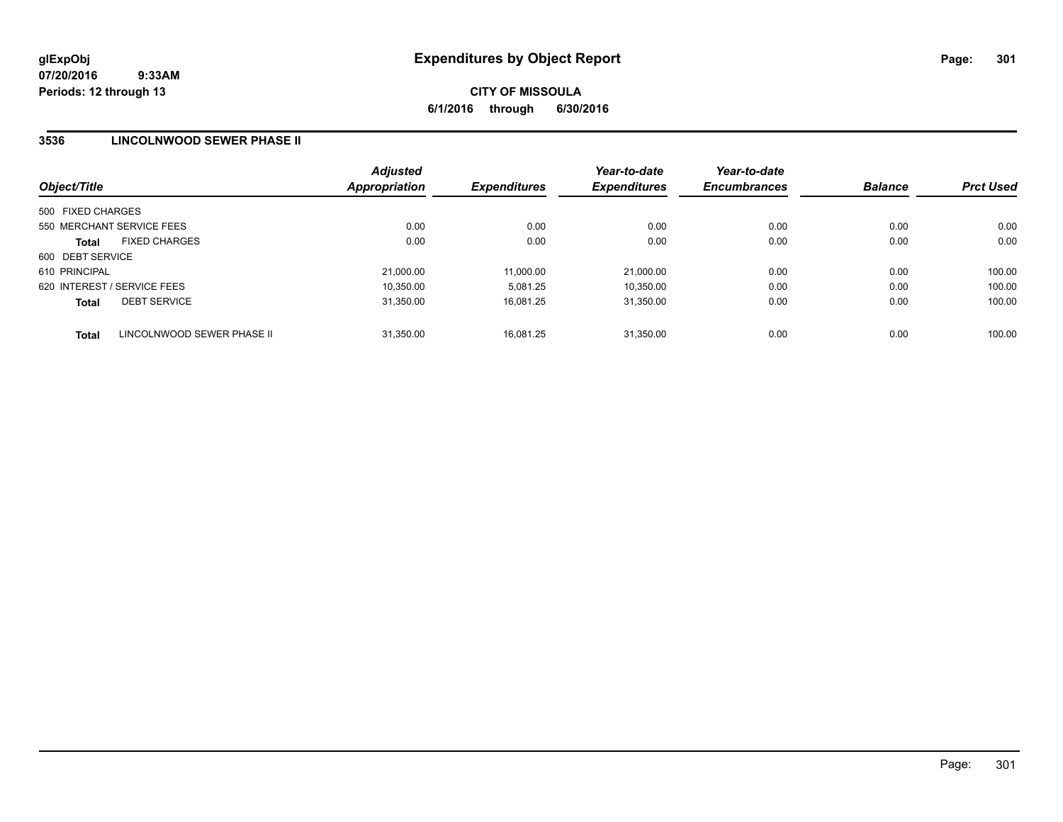### **3536 LINCOLNWOOD SEWER PHASE II**

| Object/Title                               | <b>Adjusted</b><br>Appropriation | <b>Expenditures</b> | Year-to-date<br><b>Expenditures</b> | Year-to-date<br><b>Encumbrances</b> | <b>Balance</b> | <b>Prct Used</b> |
|--------------------------------------------|----------------------------------|---------------------|-------------------------------------|-------------------------------------|----------------|------------------|
| 500 FIXED CHARGES                          |                                  |                     |                                     |                                     |                |                  |
| 550 MERCHANT SERVICE FEES                  | 0.00                             | 0.00                | 0.00                                | 0.00                                | 0.00           | 0.00             |
| <b>FIXED CHARGES</b><br><b>Total</b>       | 0.00                             | 0.00                | 0.00                                | 0.00                                | 0.00           | 0.00             |
| 600 DEBT SERVICE                           |                                  |                     |                                     |                                     |                |                  |
| 610 PRINCIPAL                              | 21,000.00                        | 11,000.00           | 21,000.00                           | 0.00                                | 0.00           | 100.00           |
| 620 INTEREST / SERVICE FEES                | 10,350.00                        | 5.081.25            | 10,350.00                           | 0.00                                | 0.00           | 100.00           |
| <b>DEBT SERVICE</b><br><b>Total</b>        | 31.350.00                        | 16.081.25           | 31.350.00                           | 0.00                                | 0.00           | 100.00           |
| LINCOLNWOOD SEWER PHASE II<br><b>Total</b> | 31.350.00                        | 16.081.25           | 31.350.00                           | 0.00                                | 0.00           | 100.00           |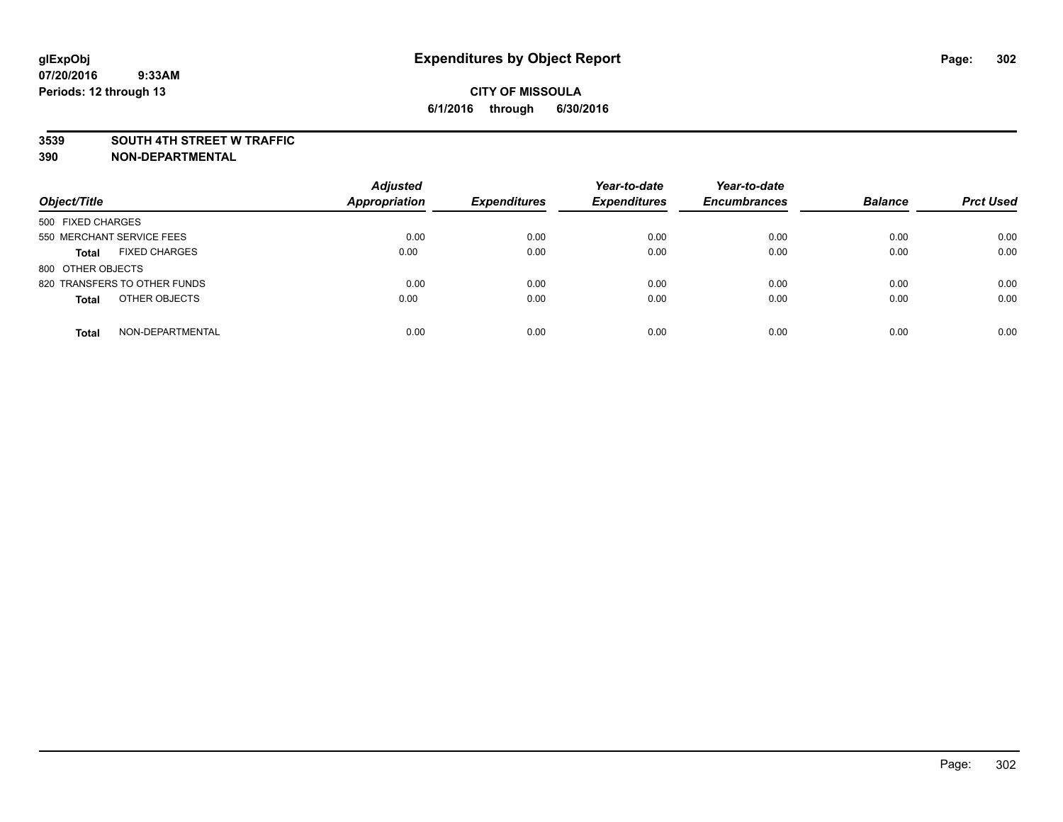#### **3539 SOUTH 4TH STREET W TRAFFIC**

| Object/Title                         | <b>Adjusted</b><br><b>Appropriation</b> | <b>Expenditures</b> | Year-to-date<br><b>Expenditures</b> | Year-to-date<br><b>Encumbrances</b> | <b>Balance</b> | <b>Prct Used</b> |
|--------------------------------------|-----------------------------------------|---------------------|-------------------------------------|-------------------------------------|----------------|------------------|
|                                      |                                         |                     |                                     |                                     |                |                  |
| 500 FIXED CHARGES                    |                                         |                     |                                     |                                     |                |                  |
| 550 MERCHANT SERVICE FEES            | 0.00                                    | 0.00                | 0.00                                | 0.00                                | 0.00           | 0.00             |
| <b>FIXED CHARGES</b><br><b>Total</b> | 0.00                                    | 0.00                | 0.00                                | 0.00                                | 0.00           | 0.00             |
| 800 OTHER OBJECTS                    |                                         |                     |                                     |                                     |                |                  |
| 820 TRANSFERS TO OTHER FUNDS         | 0.00                                    | 0.00                | 0.00                                | 0.00                                | 0.00           | 0.00             |
| OTHER OBJECTS<br><b>Total</b>        | 0.00                                    | 0.00                | 0.00                                | 0.00                                | 0.00           | 0.00             |
|                                      |                                         |                     |                                     |                                     |                |                  |
| NON-DEPARTMENTAL<br><b>Total</b>     | 0.00                                    | 0.00                | 0.00                                | 0.00                                | 0.00           | 0.00             |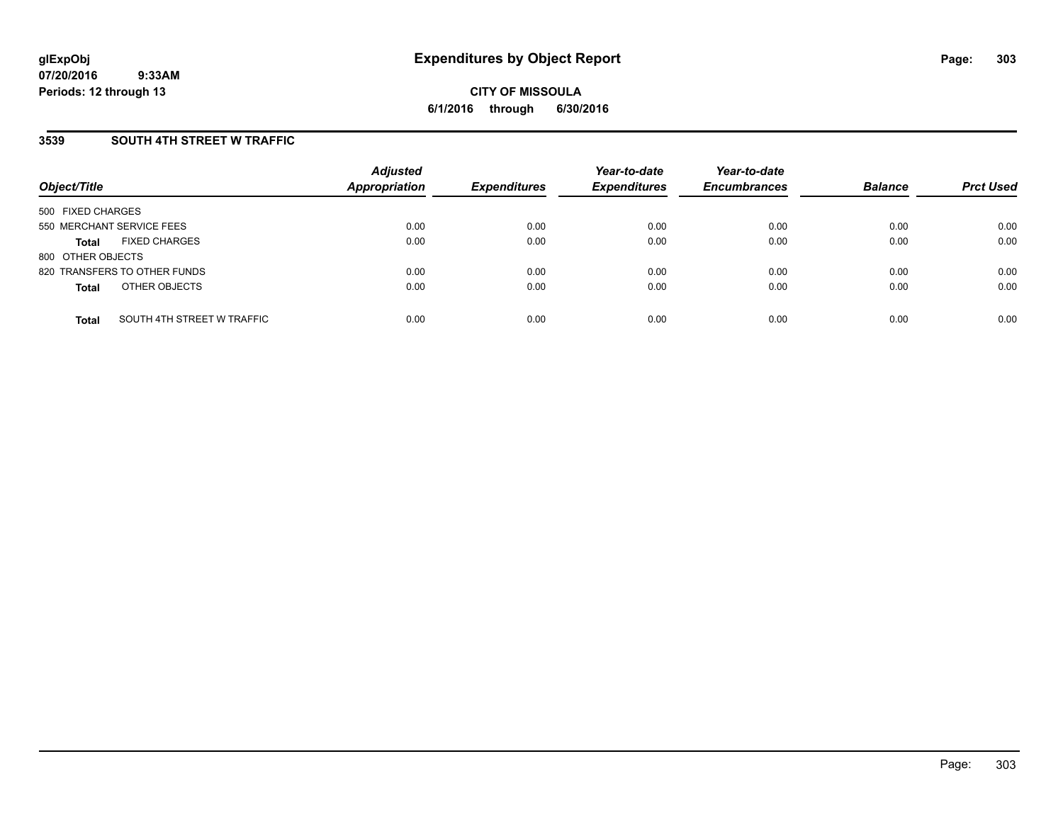### **3539 SOUTH 4TH STREET W TRAFFIC**

| Object/Title                               | <b>Adjusted</b><br>Appropriation | <b>Expenditures</b> | Year-to-date<br><b>Expenditures</b> | Year-to-date<br><b>Encumbrances</b> | <b>Balance</b> | <b>Prct Used</b> |
|--------------------------------------------|----------------------------------|---------------------|-------------------------------------|-------------------------------------|----------------|------------------|
| 500 FIXED CHARGES                          |                                  |                     |                                     |                                     |                |                  |
| 550 MERCHANT SERVICE FEES                  | 0.00                             | 0.00                | 0.00                                | 0.00                                | 0.00           | 0.00             |
| <b>FIXED CHARGES</b><br><b>Total</b>       | 0.00                             | 0.00                | 0.00                                | 0.00                                | 0.00           | 0.00             |
| 800 OTHER OBJECTS                          |                                  |                     |                                     |                                     |                |                  |
| 820 TRANSFERS TO OTHER FUNDS               | 0.00                             | 0.00                | 0.00                                | 0.00                                | 0.00           | 0.00             |
| OTHER OBJECTS<br><b>Total</b>              | 0.00                             | 0.00                | 0.00                                | 0.00                                | 0.00           | 0.00             |
| SOUTH 4TH STREET W TRAFFIC<br><b>Total</b> | 0.00                             | 0.00                | 0.00                                | 0.00                                | 0.00           | 0.00             |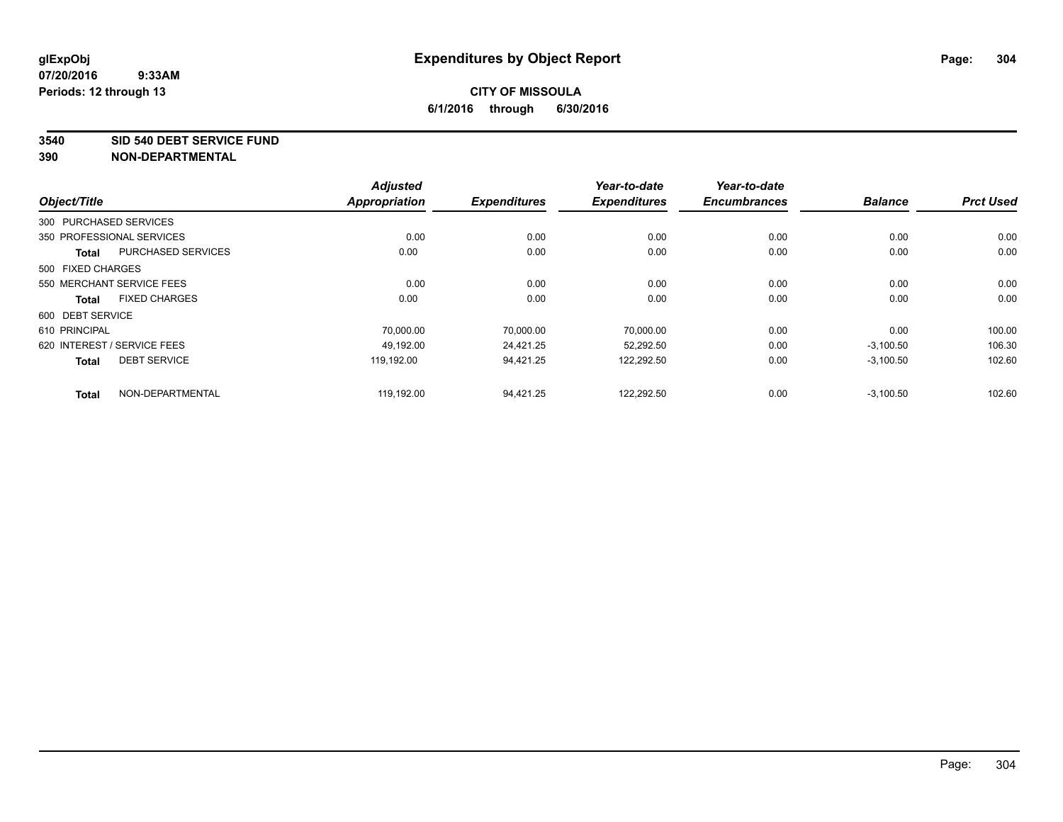#### **3540 SID 540 DEBT SERVICE FUND**

|                             |                           | <b>Adjusted</b>      |                     | Year-to-date        | Year-to-date        |                |                  |
|-----------------------------|---------------------------|----------------------|---------------------|---------------------|---------------------|----------------|------------------|
| Object/Title                |                           | <b>Appropriation</b> | <b>Expenditures</b> | <b>Expenditures</b> | <b>Encumbrances</b> | <b>Balance</b> | <b>Prct Used</b> |
| 300 PURCHASED SERVICES      |                           |                      |                     |                     |                     |                |                  |
| 350 PROFESSIONAL SERVICES   |                           | 0.00                 | 0.00                | 0.00                | 0.00                | 0.00           | 0.00             |
| <b>Total</b>                | <b>PURCHASED SERVICES</b> | 0.00                 | 0.00                | 0.00                | 0.00                | 0.00           | 0.00             |
| 500 FIXED CHARGES           |                           |                      |                     |                     |                     |                |                  |
| 550 MERCHANT SERVICE FEES   |                           | 0.00                 | 0.00                | 0.00                | 0.00                | 0.00           | 0.00             |
| <b>Total</b>                | <b>FIXED CHARGES</b>      | 0.00                 | 0.00                | 0.00                | 0.00                | 0.00           | 0.00             |
| 600 DEBT SERVICE            |                           |                      |                     |                     |                     |                |                  |
| 610 PRINCIPAL               |                           | 70.000.00            | 70.000.00           | 70.000.00           | 0.00                | 0.00           | 100.00           |
| 620 INTEREST / SERVICE FEES |                           | 49.192.00            | 24.421.25           | 52,292.50           | 0.00                | $-3,100.50$    | 106.30           |
| <b>Total</b>                | <b>DEBT SERVICE</b>       | 119.192.00           | 94.421.25           | 122,292.50          | 0.00                | $-3,100.50$    | 102.60           |
| <b>Total</b>                | NON-DEPARTMENTAL          | 119,192.00           | 94.421.25           | 122,292.50          | 0.00                | $-3,100.50$    | 102.60           |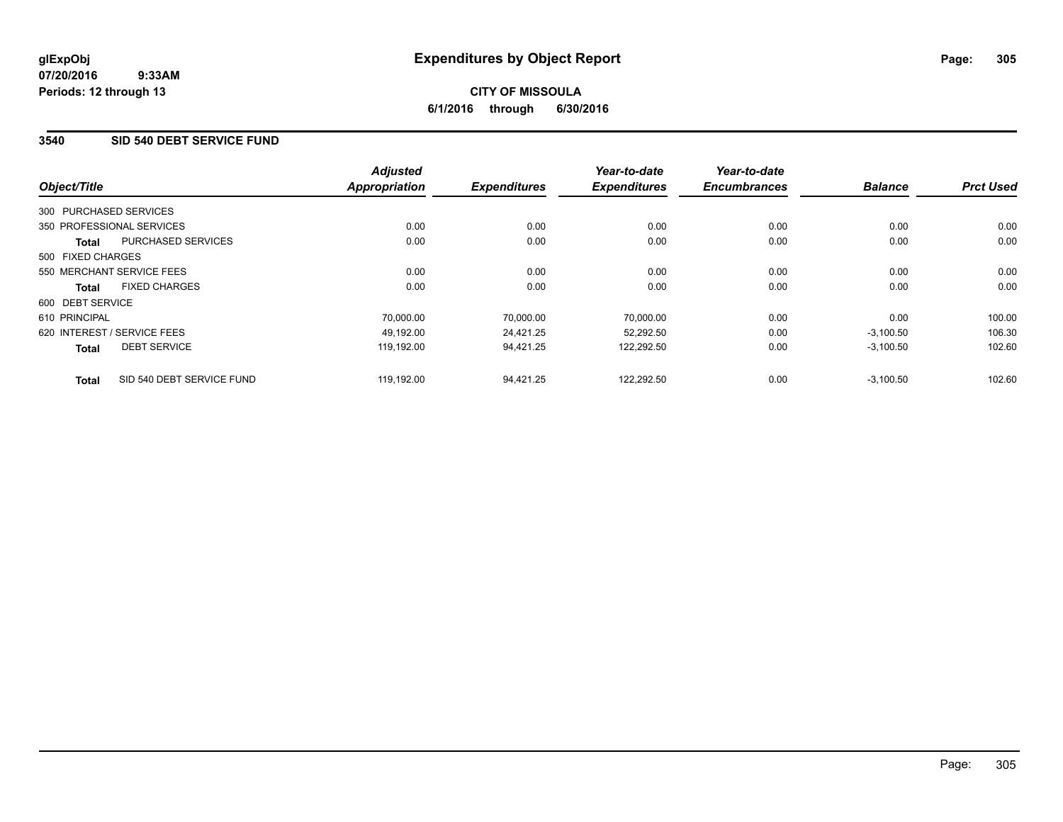# **CITY OF MISSOULA 6/1/2016 through 6/30/2016**

### **3540 SID 540 DEBT SERVICE FUND**

|                        |                             | <b>Adjusted</b>      |                     | Year-to-date        | Year-to-date        |                |                  |
|------------------------|-----------------------------|----------------------|---------------------|---------------------|---------------------|----------------|------------------|
| Object/Title           |                             | <b>Appropriation</b> | <b>Expenditures</b> | <b>Expenditures</b> | <b>Encumbrances</b> | <b>Balance</b> | <b>Prct Used</b> |
| 300 PURCHASED SERVICES |                             |                      |                     |                     |                     |                |                  |
|                        | 350 PROFESSIONAL SERVICES   | 0.00                 | 0.00                | 0.00                | 0.00                | 0.00           | 0.00             |
| Total                  | <b>PURCHASED SERVICES</b>   | 0.00                 | 0.00                | 0.00                | 0.00                | 0.00           | 0.00             |
| 500 FIXED CHARGES      |                             |                      |                     |                     |                     |                |                  |
|                        | 550 MERCHANT SERVICE FEES   | 0.00                 | 0.00                | 0.00                | 0.00                | 0.00           | 0.00             |
| <b>Total</b>           | <b>FIXED CHARGES</b>        | 0.00                 | 0.00                | 0.00                | 0.00                | 0.00           | 0.00             |
| 600 DEBT SERVICE       |                             |                      |                     |                     |                     |                |                  |
| 610 PRINCIPAL          |                             | 70,000.00            | 70,000.00           | 70,000.00           | 0.00                | 0.00           | 100.00           |
|                        | 620 INTEREST / SERVICE FEES | 49.192.00            | 24,421.25           | 52,292.50           | 0.00                | $-3,100.50$    | 106.30           |
| <b>Total</b>           | <b>DEBT SERVICE</b>         | 119.192.00           | 94,421.25           | 122,292.50          | 0.00                | $-3,100.50$    | 102.60           |
| <b>Total</b>           | SID 540 DEBT SERVICE FUND   | 119,192.00           | 94.421.25           | 122.292.50          | 0.00                | $-3,100.50$    | 102.60           |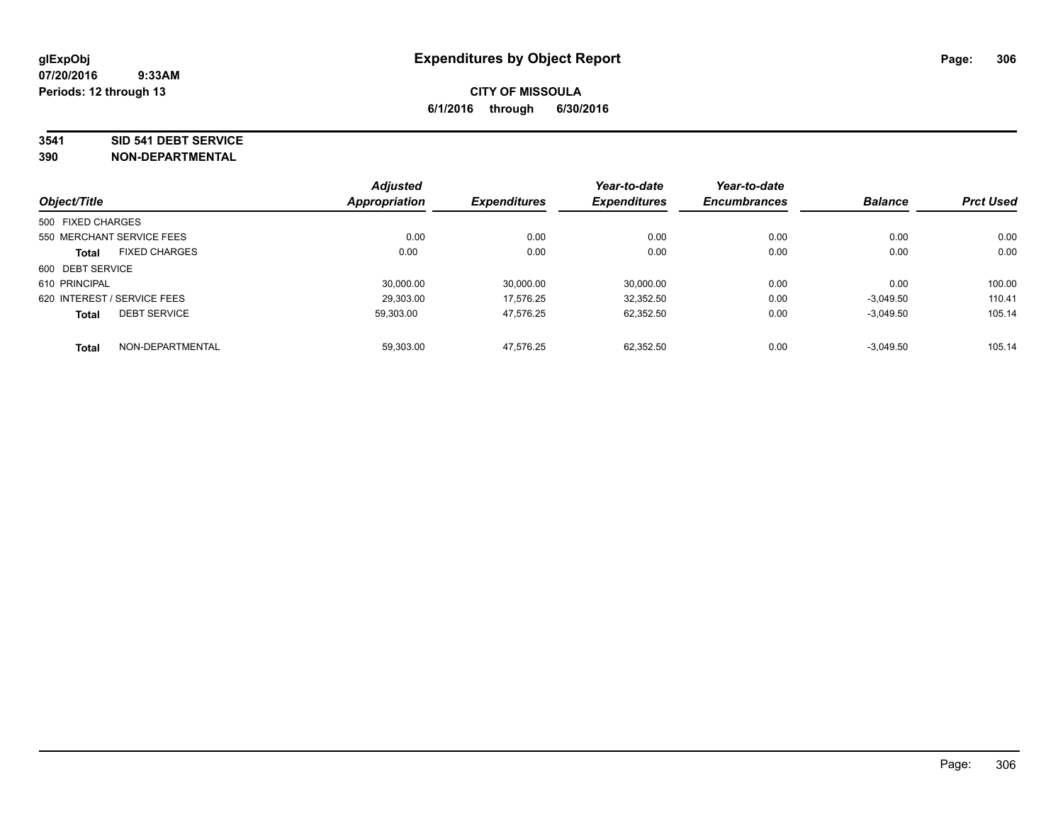#### **3541 SID 541 DEBT SERVICE**

|                             |                      | <b>Adjusted</b>      |                     | Year-to-date        | Year-to-date        |                |                  |
|-----------------------------|----------------------|----------------------|---------------------|---------------------|---------------------|----------------|------------------|
| Object/Title                |                      | <b>Appropriation</b> | <b>Expenditures</b> | <b>Expenditures</b> | <b>Encumbrances</b> | <b>Balance</b> | <b>Prct Used</b> |
| 500 FIXED CHARGES           |                      |                      |                     |                     |                     |                |                  |
| 550 MERCHANT SERVICE FEES   |                      | 0.00                 | 0.00                | 0.00                | 0.00                | 0.00           | 0.00             |
| <b>Total</b>                | <b>FIXED CHARGES</b> | 0.00                 | 0.00                | 0.00                | 0.00                | 0.00           | 0.00             |
| 600 DEBT SERVICE            |                      |                      |                     |                     |                     |                |                  |
| 610 PRINCIPAL               |                      | 30.000.00            | 30,000.00           | 30.000.00           | 0.00                | 0.00           | 100.00           |
| 620 INTEREST / SERVICE FEES |                      | 29.303.00            | 17.576.25           | 32.352.50           | 0.00                | $-3.049.50$    | 110.41           |
| <b>Total</b>                | <b>DEBT SERVICE</b>  | 59,303.00            | 47,576.25           | 62.352.50           | 0.00                | $-3,049.50$    | 105.14           |
| <b>Total</b>                | NON-DEPARTMENTAL     | 59,303.00            | 47,576.25           | 62.352.50           | 0.00                | $-3.049.50$    | 105.14           |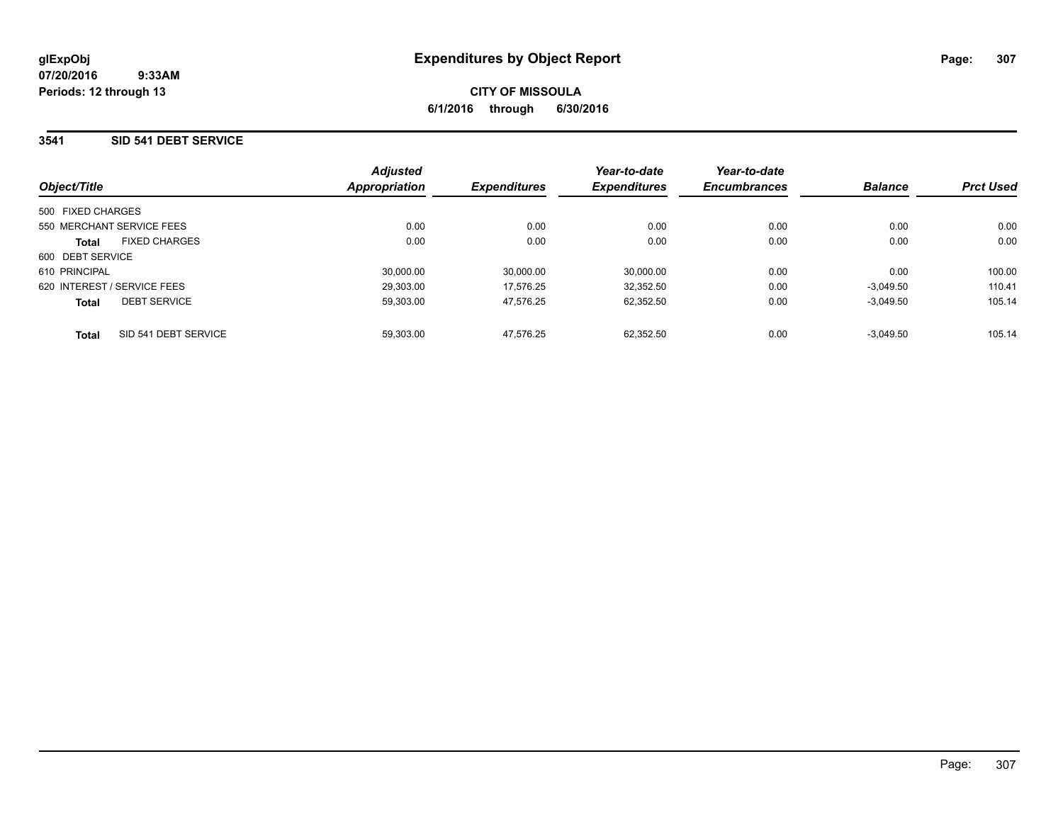### **3541 SID 541 DEBT SERVICE**

| Object/Title                         | <b>Adjusted</b><br>Appropriation | <b>Expenditures</b> | Year-to-date<br><b>Expenditures</b> | Year-to-date<br><b>Encumbrances</b> | <b>Balance</b> | <b>Prct Used</b> |
|--------------------------------------|----------------------------------|---------------------|-------------------------------------|-------------------------------------|----------------|------------------|
|                                      |                                  |                     |                                     |                                     |                |                  |
| 500 FIXED CHARGES                    |                                  |                     |                                     |                                     |                |                  |
| 550 MERCHANT SERVICE FEES            | 0.00                             | 0.00                | 0.00                                | 0.00                                | 0.00           | 0.00             |
| <b>FIXED CHARGES</b><br><b>Total</b> | 0.00                             | 0.00                | 0.00                                | 0.00                                | 0.00           | 0.00             |
| 600 DEBT SERVICE                     |                                  |                     |                                     |                                     |                |                  |
| 610 PRINCIPAL                        | 30.000.00                        | 30.000.00           | 30.000.00                           | 0.00                                | 0.00           | 100.00           |
| 620 INTEREST / SERVICE FEES          | 29.303.00                        | 17.576.25           | 32,352.50                           | 0.00                                | $-3.049.50$    | 110.41           |
| <b>DEBT SERVICE</b><br><b>Total</b>  | 59.303.00                        | 47.576.25           | 62.352.50                           | 0.00                                | $-3.049.50$    | 105.14           |
| SID 541 DEBT SERVICE<br><b>Total</b> | 59.303.00                        | 47.576.25           | 62.352.50                           | 0.00                                | $-3.049.50$    | 105.14           |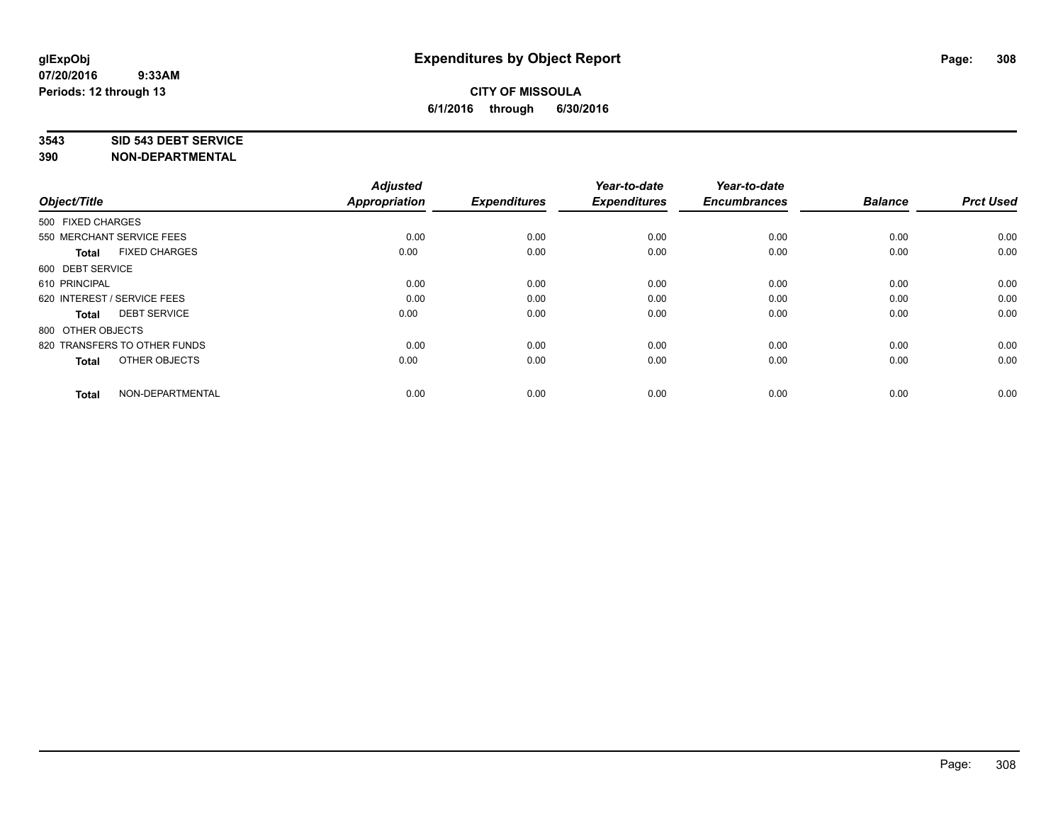#### **3543 SID 543 DEBT SERVICE**

| Object/Title                         | <b>Adjusted</b><br><b>Appropriation</b> | <b>Expenditures</b> | Year-to-date<br><b>Expenditures</b> | Year-to-date<br><b>Encumbrances</b> | <b>Balance</b> | <b>Prct Used</b> |
|--------------------------------------|-----------------------------------------|---------------------|-------------------------------------|-------------------------------------|----------------|------------------|
| 500 FIXED CHARGES                    |                                         |                     |                                     |                                     |                |                  |
| 550 MERCHANT SERVICE FEES            | 0.00                                    | 0.00                | 0.00                                | 0.00                                | 0.00           | 0.00             |
| <b>FIXED CHARGES</b><br><b>Total</b> | 0.00                                    | 0.00                | 0.00                                | 0.00                                | 0.00           | 0.00             |
| 600 DEBT SERVICE                     |                                         |                     |                                     |                                     |                |                  |
| 610 PRINCIPAL                        | 0.00                                    | 0.00                | 0.00                                | 0.00                                | 0.00           | 0.00             |
| 620 INTEREST / SERVICE FEES          | 0.00                                    | 0.00                | 0.00                                | 0.00                                | 0.00           | 0.00             |
| <b>DEBT SERVICE</b><br><b>Total</b>  | 0.00                                    | 0.00                | 0.00                                | 0.00                                | 0.00           | 0.00             |
| 800 OTHER OBJECTS                    |                                         |                     |                                     |                                     |                |                  |
| 820 TRANSFERS TO OTHER FUNDS         | 0.00                                    | 0.00                | 0.00                                | 0.00                                | 0.00           | 0.00             |
| OTHER OBJECTS<br><b>Total</b>        | 0.00                                    | 0.00                | 0.00                                | 0.00                                | 0.00           | 0.00             |
|                                      |                                         |                     |                                     |                                     |                |                  |
| NON-DEPARTMENTAL<br><b>Total</b>     | 0.00                                    | 0.00                | 0.00                                | 0.00                                | 0.00           | 0.00             |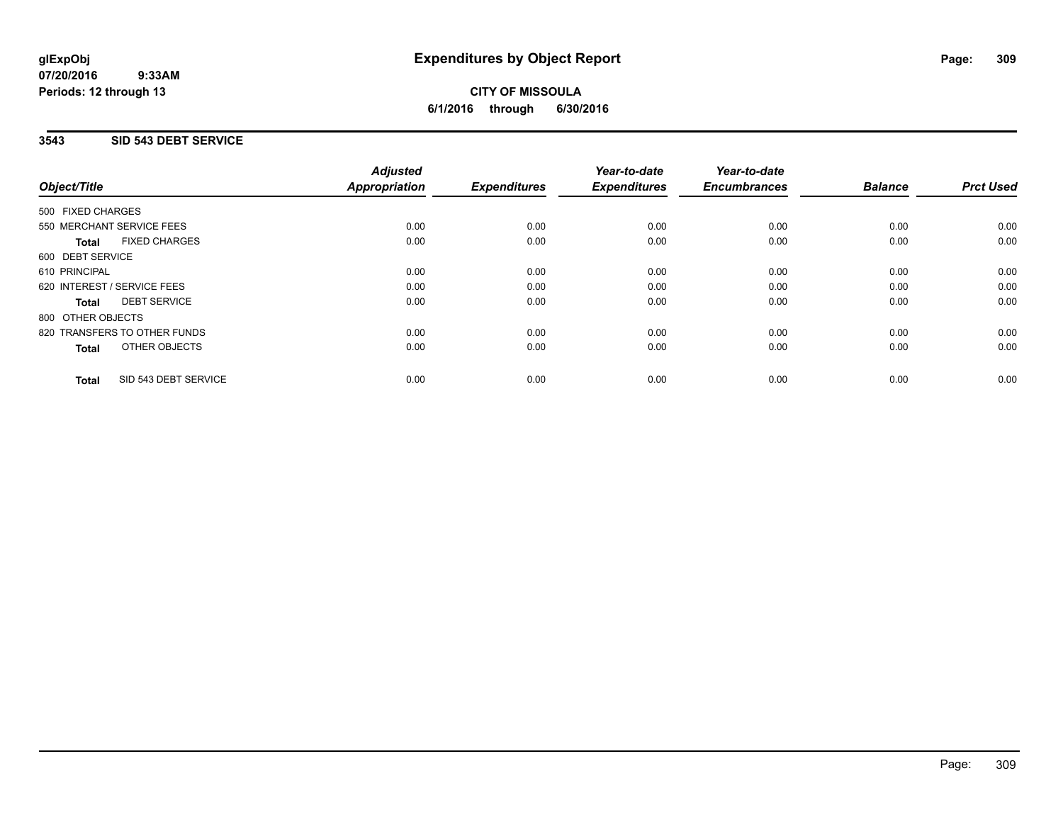# **CITY OF MISSOULA 6/1/2016 through 6/30/2016**

### **3543 SID 543 DEBT SERVICE**

|                                      | <b>Adjusted</b>      |                     | Year-to-date        | Year-to-date        |                |                  |
|--------------------------------------|----------------------|---------------------|---------------------|---------------------|----------------|------------------|
| Object/Title                         | <b>Appropriation</b> | <b>Expenditures</b> | <b>Expenditures</b> | <b>Encumbrances</b> | <b>Balance</b> | <b>Prct Used</b> |
| 500 FIXED CHARGES                    |                      |                     |                     |                     |                |                  |
| 550 MERCHANT SERVICE FEES            | 0.00                 | 0.00                | 0.00                | 0.00                | 0.00           | 0.00             |
| <b>FIXED CHARGES</b><br><b>Total</b> | 0.00                 | 0.00                | 0.00                | 0.00                | 0.00           | 0.00             |
| 600 DEBT SERVICE                     |                      |                     |                     |                     |                |                  |
| 610 PRINCIPAL                        | 0.00                 | 0.00                | 0.00                | 0.00                | 0.00           | 0.00             |
| 620 INTEREST / SERVICE FEES          | 0.00                 | 0.00                | 0.00                | 0.00                | 0.00           | 0.00             |
| <b>DEBT SERVICE</b><br><b>Total</b>  | 0.00                 | 0.00                | 0.00                | 0.00                | 0.00           | 0.00             |
| 800 OTHER OBJECTS                    |                      |                     |                     |                     |                |                  |
| 820 TRANSFERS TO OTHER FUNDS         | 0.00                 | 0.00                | 0.00                | 0.00                | 0.00           | 0.00             |
| <b>OTHER OBJECTS</b><br><b>Total</b> | 0.00                 | 0.00                | 0.00                | 0.00                | 0.00           | 0.00             |
| SID 543 DEBT SERVICE<br><b>Total</b> | 0.00                 | 0.00                | 0.00                | 0.00                | 0.00           | 0.00             |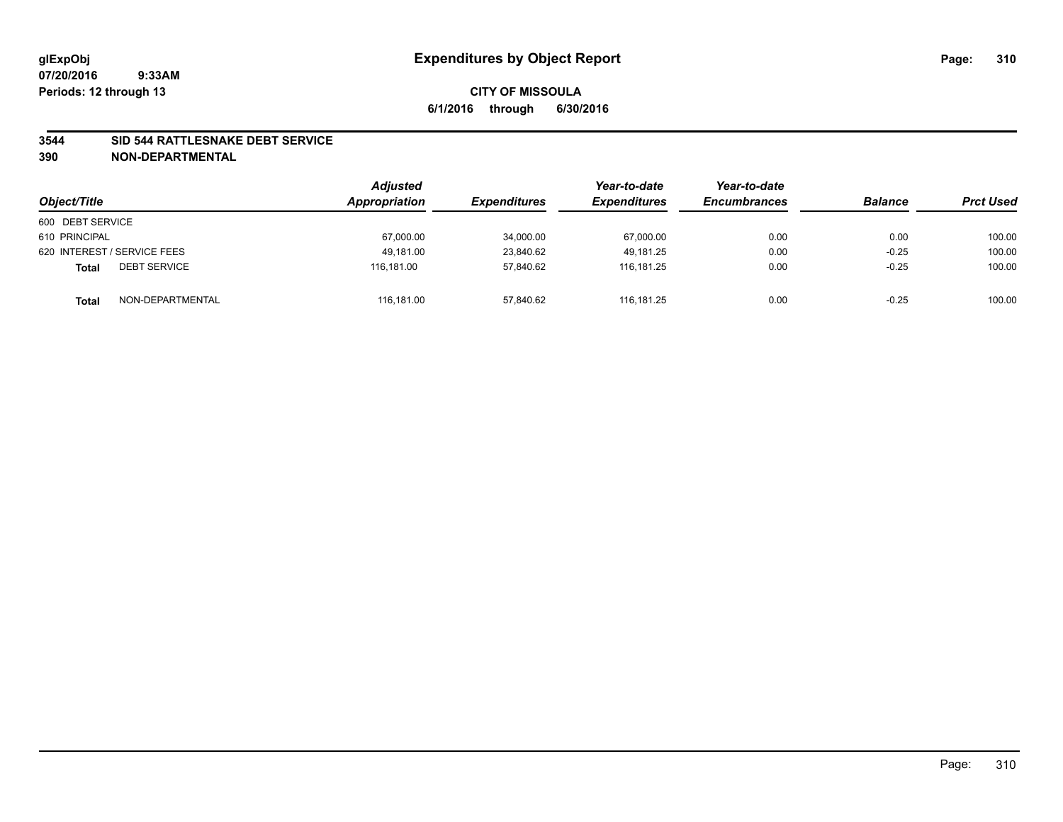### **3544 SID 544 RATTLESNAKE DEBT SERVICE**

| Object/Title                        | <b>Adjusted</b><br>Appropriation | <b>Expenditures</b> | Year-to-date<br><b>Expenditures</b> | Year-to-date<br><b>Encumbrances</b> | <b>Balance</b> | <b>Prct Used</b> |
|-------------------------------------|----------------------------------|---------------------|-------------------------------------|-------------------------------------|----------------|------------------|
| 600 DEBT SERVICE                    |                                  |                     |                                     |                                     |                |                  |
| 610 PRINCIPAL                       | 67,000.00                        | 34,000.00           | 67,000.00                           | 0.00                                | 0.00           | 100.00           |
| 620 INTEREST / SERVICE FEES         | 49.181.00                        | 23,840.62           | 49.181.25                           | 0.00                                | $-0.25$        | 100.00           |
| <b>DEBT SERVICE</b><br><b>Total</b> | 116.181.00                       | 57.840.62           | 116.181.25                          | 0.00                                | $-0.25$        | 100.00           |
| NON-DEPARTMENTAL<br><b>Total</b>    | 116,181.00                       | 57,840.62           | 116.181.25                          | 0.00                                | $-0.25$        | 100.00           |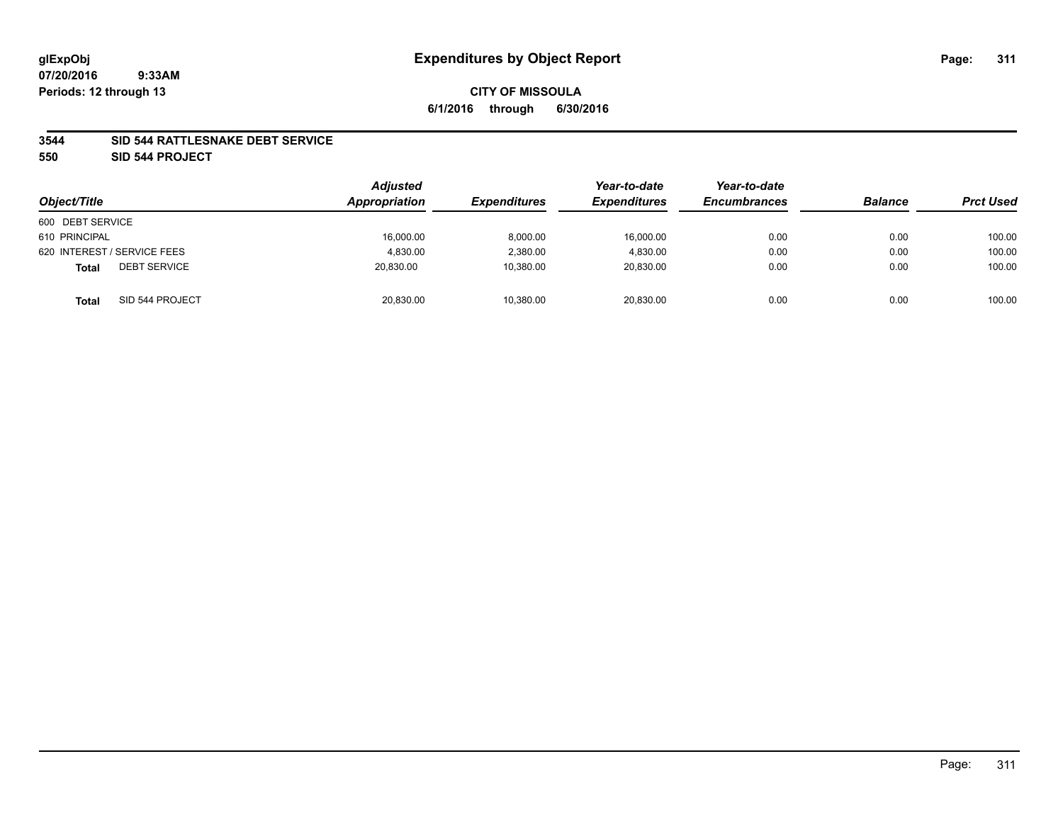### **3544 SID 544 RATTLESNAKE DEBT SERVICE**

**550 SID 544 PROJECT**

| Object/Title                        | <b>Adjusted</b><br>Appropriation | <b>Expenditures</b> | Year-to-date<br><b>Expenditures</b> | Year-to-date<br><b>Encumbrances</b> | <b>Balance</b> | <b>Prct Used</b> |
|-------------------------------------|----------------------------------|---------------------|-------------------------------------|-------------------------------------|----------------|------------------|
| 600 DEBT SERVICE                    |                                  |                     |                                     |                                     |                |                  |
| 610 PRINCIPAL                       | 16,000.00                        | 8,000.00            | 16,000.00                           | 0.00                                | 0.00           | 100.00           |
| 620 INTEREST / SERVICE FEES         | 4.830.00                         | 2,380.00            | 4,830.00                            | 0.00                                | 0.00           | 100.00           |
| <b>DEBT SERVICE</b><br><b>Total</b> | 20.830.00                        | 10,380.00           | 20.830.00                           | 0.00                                | 0.00           | 100.00           |
| SID 544 PROJECT<br><b>Total</b>     | 20,830.00                        | 10,380.00           | 20,830.00                           | 0.00                                | 0.00           | 100.00           |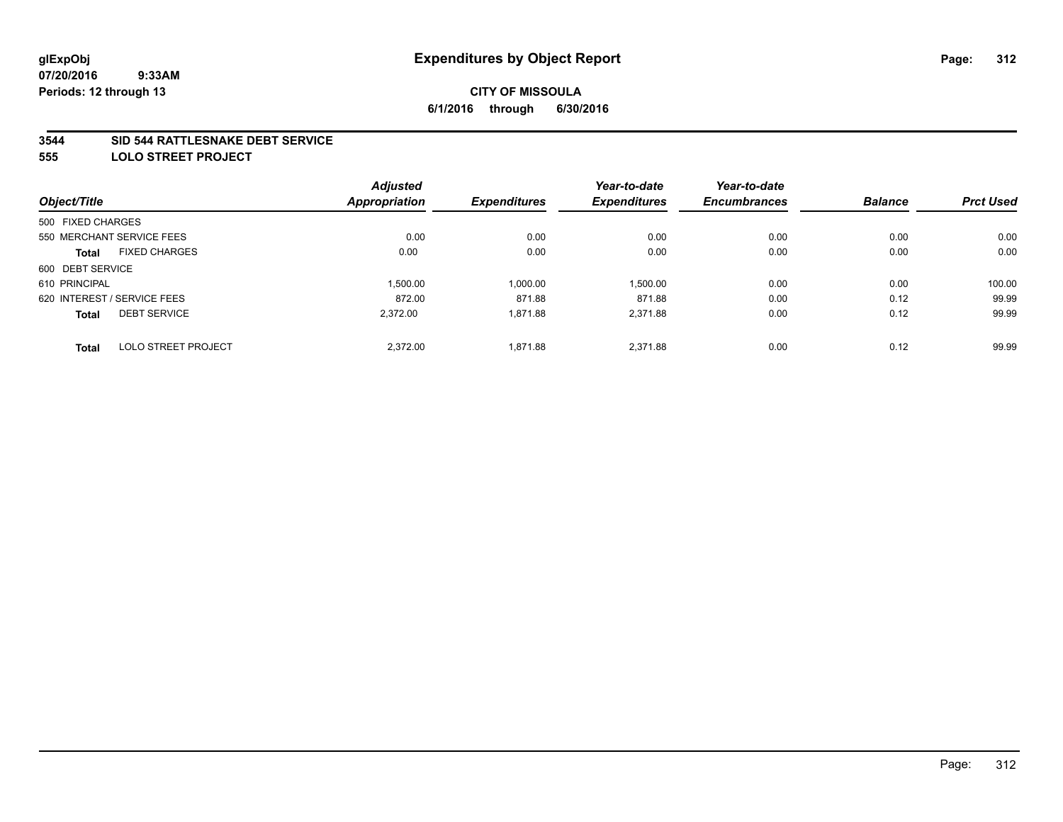### **3544 SID 544 RATTLESNAKE DEBT SERVICE**

**555 LOLO STREET PROJECT**

| Object/Title      |                             | <b>Adjusted</b> | <b>Expenditures</b> | Year-to-date        | Year-to-date        | <b>Balance</b> | <b>Prct Used</b> |
|-------------------|-----------------------------|-----------------|---------------------|---------------------|---------------------|----------------|------------------|
|                   |                             | Appropriation   |                     | <b>Expenditures</b> | <b>Encumbrances</b> |                |                  |
| 500 FIXED CHARGES |                             |                 |                     |                     |                     |                |                  |
|                   | 550 MERCHANT SERVICE FEES   | 0.00            | 0.00                | 0.00                | 0.00                | 0.00           | 0.00             |
| <b>Total</b>      | <b>FIXED CHARGES</b>        | 0.00            | 0.00                | 0.00                | 0.00                | 0.00           | 0.00             |
| 600 DEBT SERVICE  |                             |                 |                     |                     |                     |                |                  |
| 610 PRINCIPAL     |                             | 1,500.00        | 1,000.00            | 1,500.00            | 0.00                | 0.00           | 100.00           |
|                   | 620 INTEREST / SERVICE FEES | 872.00          | 871.88              | 871.88              | 0.00                | 0.12           | 99.99            |
| <b>Total</b>      | <b>DEBT SERVICE</b>         | 2.372.00        | 1,871.88            | 2,371.88            | 0.00                | 0.12           | 99.99            |
| <b>Total</b>      | <b>LOLO STREET PROJECT</b>  | 2.372.00        | 1,871.88            | 2.371.88            | 0.00                | 0.12           | 99.99            |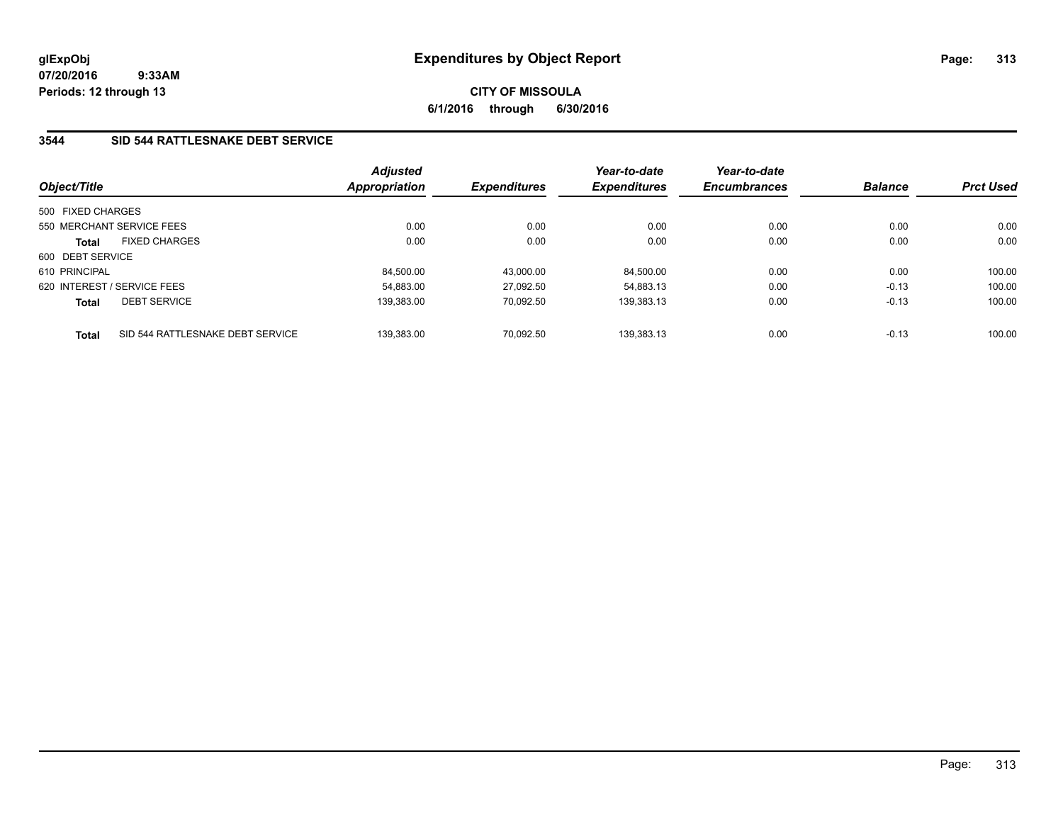**CITY OF MISSOULA 6/1/2016 through 6/30/2016**

### **3544 SID 544 RATTLESNAKE DEBT SERVICE**

| Object/Title      |                                  | <b>Adjusted</b><br>Appropriation | <b>Expenditures</b> | Year-to-date<br><b>Expenditures</b> | Year-to-date<br><b>Encumbrances</b> | <b>Balance</b> | <b>Prct Used</b> |
|-------------------|----------------------------------|----------------------------------|---------------------|-------------------------------------|-------------------------------------|----------------|------------------|
| 500 FIXED CHARGES |                                  |                                  |                     |                                     |                                     |                |                  |
|                   | 550 MERCHANT SERVICE FEES        | 0.00                             | 0.00                | 0.00                                | 0.00                                | 0.00           | 0.00             |
| <b>Total</b>      | <b>FIXED CHARGES</b>             | 0.00                             | 0.00                | 0.00                                | 0.00                                | 0.00           | 0.00             |
| 600 DEBT SERVICE  |                                  |                                  |                     |                                     |                                     |                |                  |
| 610 PRINCIPAL     |                                  | 84,500.00                        | 43.000.00           | 84.500.00                           | 0.00                                | 0.00           | 100.00           |
|                   | 620 INTEREST / SERVICE FEES      | 54.883.00                        | 27.092.50           | 54.883.13                           | 0.00                                | $-0.13$        | 100.00           |
| <b>Total</b>      | <b>DEBT SERVICE</b>              | 139.383.00                       | 70.092.50           | 139.383.13                          | 0.00                                | $-0.13$        | 100.00           |
| <b>Total</b>      | SID 544 RATTLESNAKE DEBT SERVICE | 139.383.00                       | 70.092.50           | 139.383.13                          | 0.00                                | $-0.13$        | 100.00           |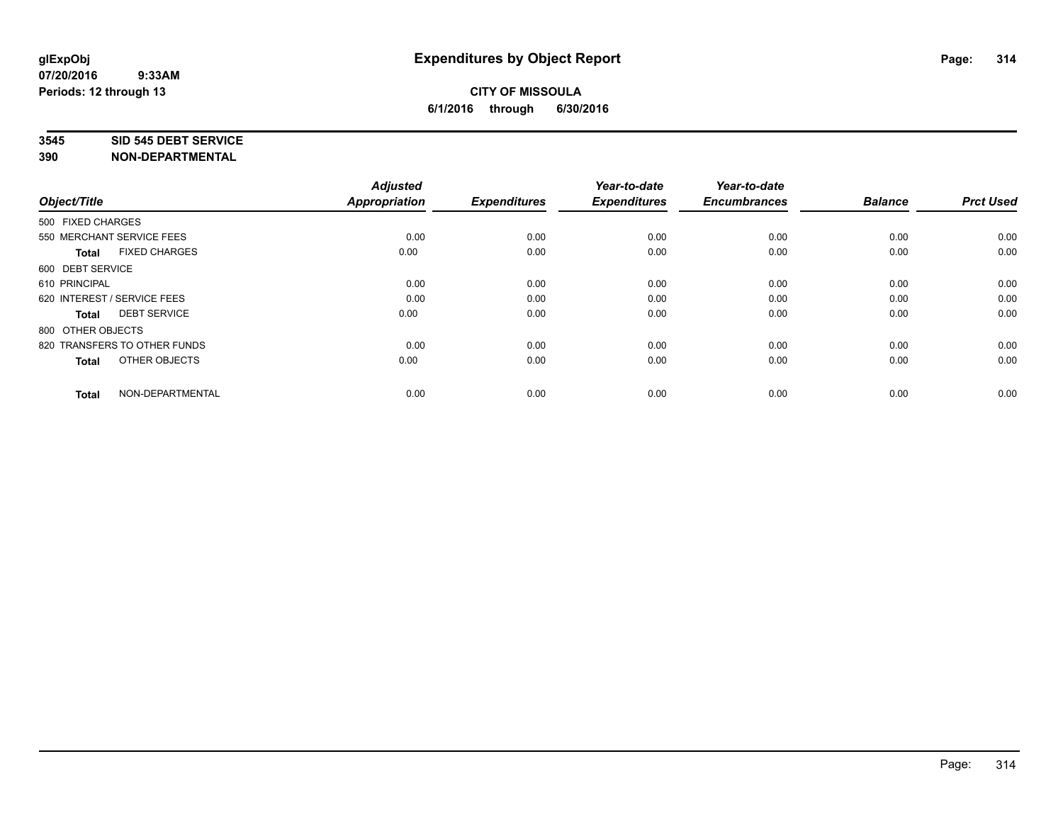#### **3545 SID 545 DEBT SERVICE**

| Object/Title                         | <b>Adjusted</b><br><b>Appropriation</b> | <b>Expenditures</b> | Year-to-date<br><b>Expenditures</b> | Year-to-date<br><b>Encumbrances</b> | <b>Balance</b> | <b>Prct Used</b> |
|--------------------------------------|-----------------------------------------|---------------------|-------------------------------------|-------------------------------------|----------------|------------------|
| 500 FIXED CHARGES                    |                                         |                     |                                     |                                     |                |                  |
| 550 MERCHANT SERVICE FEES            | 0.00                                    | 0.00                | 0.00                                | 0.00                                | 0.00           | 0.00             |
| <b>FIXED CHARGES</b><br><b>Total</b> | 0.00                                    | 0.00                | 0.00                                | 0.00                                | 0.00           | 0.00             |
| 600 DEBT SERVICE                     |                                         |                     |                                     |                                     |                |                  |
| 610 PRINCIPAL                        | 0.00                                    | 0.00                | 0.00                                | 0.00                                | 0.00           | 0.00             |
| 620 INTEREST / SERVICE FEES          | 0.00                                    | 0.00                | 0.00                                | 0.00                                | 0.00           | 0.00             |
| <b>DEBT SERVICE</b><br><b>Total</b>  | 0.00                                    | 0.00                | 0.00                                | 0.00                                | 0.00           | 0.00             |
| 800 OTHER OBJECTS                    |                                         |                     |                                     |                                     |                |                  |
| 820 TRANSFERS TO OTHER FUNDS         | 0.00                                    | 0.00                | 0.00                                | 0.00                                | 0.00           | 0.00             |
| OTHER OBJECTS<br><b>Total</b>        | 0.00                                    | 0.00                | 0.00                                | 0.00                                | 0.00           | 0.00             |
|                                      |                                         |                     |                                     |                                     |                |                  |
| NON-DEPARTMENTAL<br><b>Total</b>     | 0.00                                    | 0.00                | 0.00                                | 0.00                                | 0.00           | 0.00             |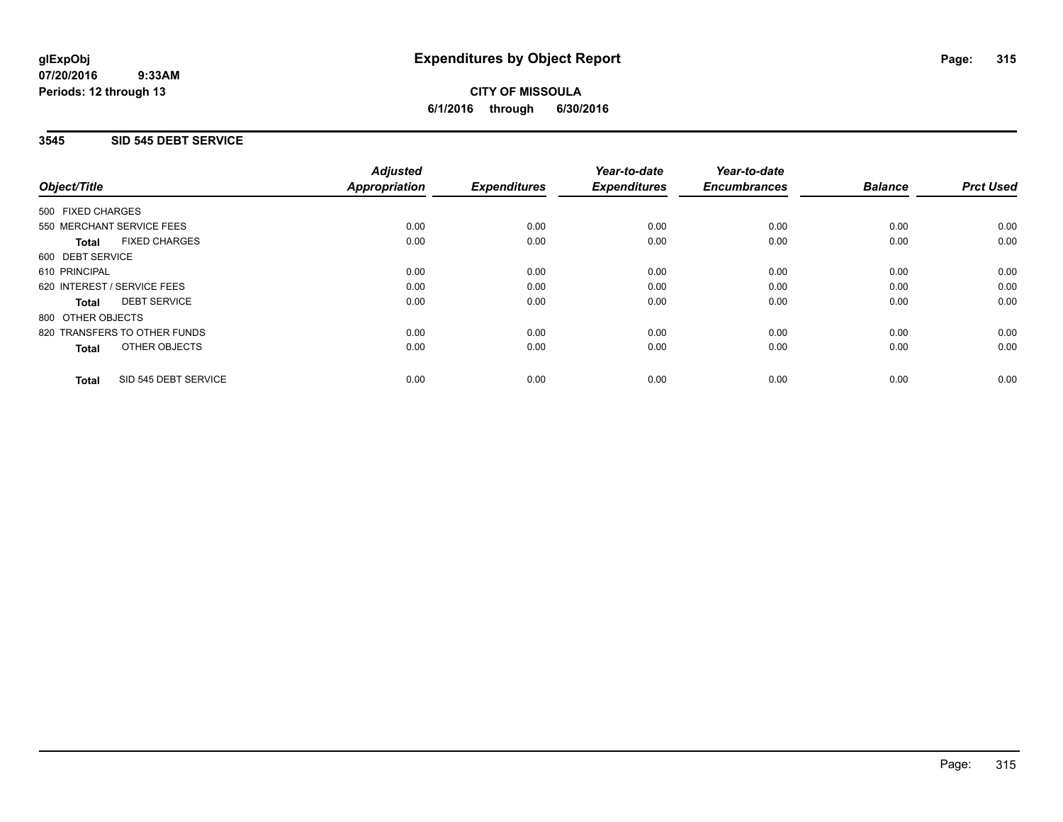**CITY OF MISSOULA 6/1/2016 through 6/30/2016**

### **3545 SID 545 DEBT SERVICE**

|                                      | <b>Adjusted</b>      |                     | Year-to-date        | Year-to-date<br><b>Encumbrances</b> | <b>Balance</b> | <b>Prct Used</b> |
|--------------------------------------|----------------------|---------------------|---------------------|-------------------------------------|----------------|------------------|
| Object/Title                         | <b>Appropriation</b> | <b>Expenditures</b> | <b>Expenditures</b> |                                     |                |                  |
| 500 FIXED CHARGES                    |                      |                     |                     |                                     |                |                  |
| 550 MERCHANT SERVICE FEES            | 0.00                 | 0.00                | 0.00                | 0.00                                | 0.00           | 0.00             |
| <b>FIXED CHARGES</b><br><b>Total</b> | 0.00                 | 0.00                | 0.00                | 0.00                                | 0.00           | 0.00             |
| 600 DEBT SERVICE                     |                      |                     |                     |                                     |                |                  |
| 610 PRINCIPAL                        | 0.00                 | 0.00                | 0.00                | 0.00                                | 0.00           | 0.00             |
| 620 INTEREST / SERVICE FEES          | 0.00                 | 0.00                | 0.00                | 0.00                                | 0.00           | 0.00             |
| <b>DEBT SERVICE</b><br><b>Total</b>  | 0.00                 | 0.00                | 0.00                | 0.00                                | 0.00           | 0.00             |
| 800 OTHER OBJECTS                    |                      |                     |                     |                                     |                |                  |
| 820 TRANSFERS TO OTHER FUNDS         | 0.00                 | 0.00                | 0.00                | 0.00                                | 0.00           | 0.00             |
| <b>OTHER OBJECTS</b><br><b>Total</b> | 0.00                 | 0.00                | 0.00                | 0.00                                | 0.00           | 0.00             |
| SID 545 DEBT SERVICE<br><b>Total</b> | 0.00                 | 0.00                | 0.00                | 0.00                                | 0.00           | 0.00             |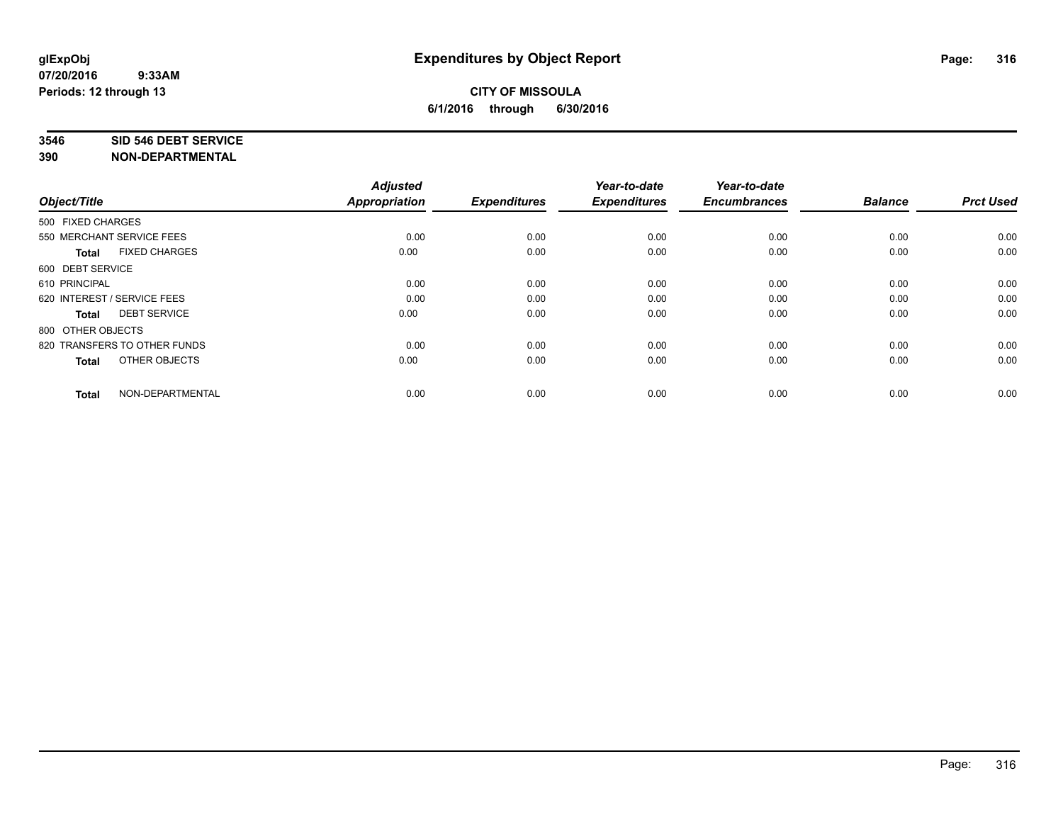#### **3546 SID 546 DEBT SERVICE**

| Object/Title                         | <b>Adjusted</b><br><b>Appropriation</b> | <b>Expenditures</b> | Year-to-date<br><b>Expenditures</b> | Year-to-date<br><b>Encumbrances</b> | <b>Balance</b> | <b>Prct Used</b> |
|--------------------------------------|-----------------------------------------|---------------------|-------------------------------------|-------------------------------------|----------------|------------------|
|                                      |                                         |                     |                                     |                                     |                |                  |
| 500 FIXED CHARGES                    |                                         |                     |                                     |                                     |                |                  |
| 550 MERCHANT SERVICE FEES            | 0.00                                    | 0.00                | 0.00                                | 0.00                                | 0.00           | 0.00             |
| <b>FIXED CHARGES</b><br><b>Total</b> | 0.00                                    | 0.00                | 0.00                                | 0.00                                | 0.00           | 0.00             |
| 600 DEBT SERVICE                     |                                         |                     |                                     |                                     |                |                  |
| 610 PRINCIPAL                        | 0.00                                    | 0.00                | 0.00                                | 0.00                                | 0.00           | 0.00             |
| 620 INTEREST / SERVICE FEES          | 0.00                                    | 0.00                | 0.00                                | 0.00                                | 0.00           | 0.00             |
| <b>DEBT SERVICE</b><br><b>Total</b>  | 0.00                                    | 0.00                | 0.00                                | 0.00                                | 0.00           | 0.00             |
| 800 OTHER OBJECTS                    |                                         |                     |                                     |                                     |                |                  |
| 820 TRANSFERS TO OTHER FUNDS         | 0.00                                    | 0.00                | 0.00                                | 0.00                                | 0.00           | 0.00             |
| OTHER OBJECTS<br><b>Total</b>        | 0.00                                    | 0.00                | 0.00                                | 0.00                                | 0.00           | 0.00             |
|                                      |                                         |                     |                                     |                                     |                |                  |
| NON-DEPARTMENTAL<br><b>Total</b>     | 0.00                                    | 0.00                | 0.00                                | 0.00                                | 0.00           | 0.00             |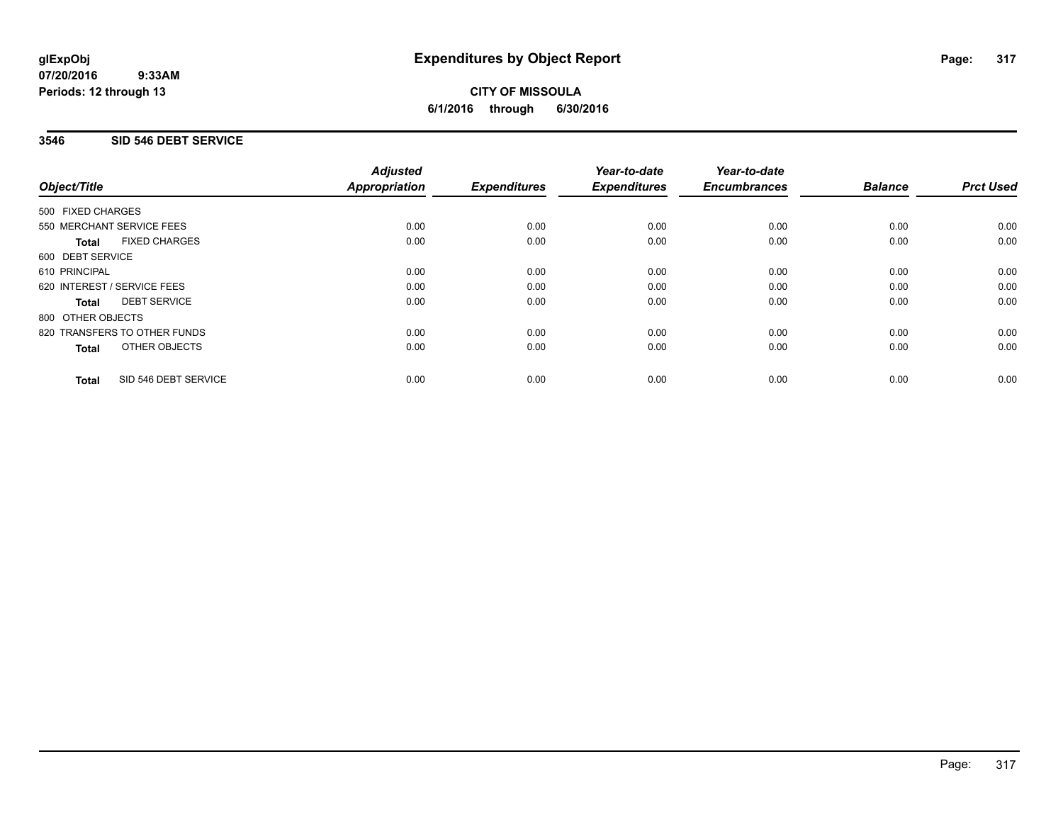**CITY OF MISSOULA 6/1/2016 through 6/30/2016**

### **3546 SID 546 DEBT SERVICE**

|                                      | <b>Adjusted</b>      |                     | Year-to-date        | Year-to-date<br><b>Encumbrances</b> | <b>Balance</b> | <b>Prct Used</b> |
|--------------------------------------|----------------------|---------------------|---------------------|-------------------------------------|----------------|------------------|
| Object/Title                         | <b>Appropriation</b> | <b>Expenditures</b> | <b>Expenditures</b> |                                     |                |                  |
| 500 FIXED CHARGES                    |                      |                     |                     |                                     |                |                  |
| 550 MERCHANT SERVICE FEES            | 0.00                 | 0.00                | 0.00                | 0.00                                | 0.00           | 0.00             |
| <b>FIXED CHARGES</b><br><b>Total</b> | 0.00                 | 0.00                | 0.00                | 0.00                                | 0.00           | 0.00             |
| 600 DEBT SERVICE                     |                      |                     |                     |                                     |                |                  |
| 610 PRINCIPAL                        | 0.00                 | 0.00                | 0.00                | 0.00                                | 0.00           | 0.00             |
| 620 INTEREST / SERVICE FEES          | 0.00                 | 0.00                | 0.00                | 0.00                                | 0.00           | 0.00             |
| <b>DEBT SERVICE</b><br><b>Total</b>  | 0.00                 | 0.00                | 0.00                | 0.00                                | 0.00           | 0.00             |
| 800 OTHER OBJECTS                    |                      |                     |                     |                                     |                |                  |
| 820 TRANSFERS TO OTHER FUNDS         | 0.00                 | 0.00                | 0.00                | 0.00                                | 0.00           | 0.00             |
| OTHER OBJECTS<br><b>Total</b>        | 0.00                 | 0.00                | 0.00                | 0.00                                | 0.00           | 0.00             |
| SID 546 DEBT SERVICE<br><b>Total</b> | 0.00                 | 0.00                | 0.00                | 0.00                                | 0.00           | 0.00             |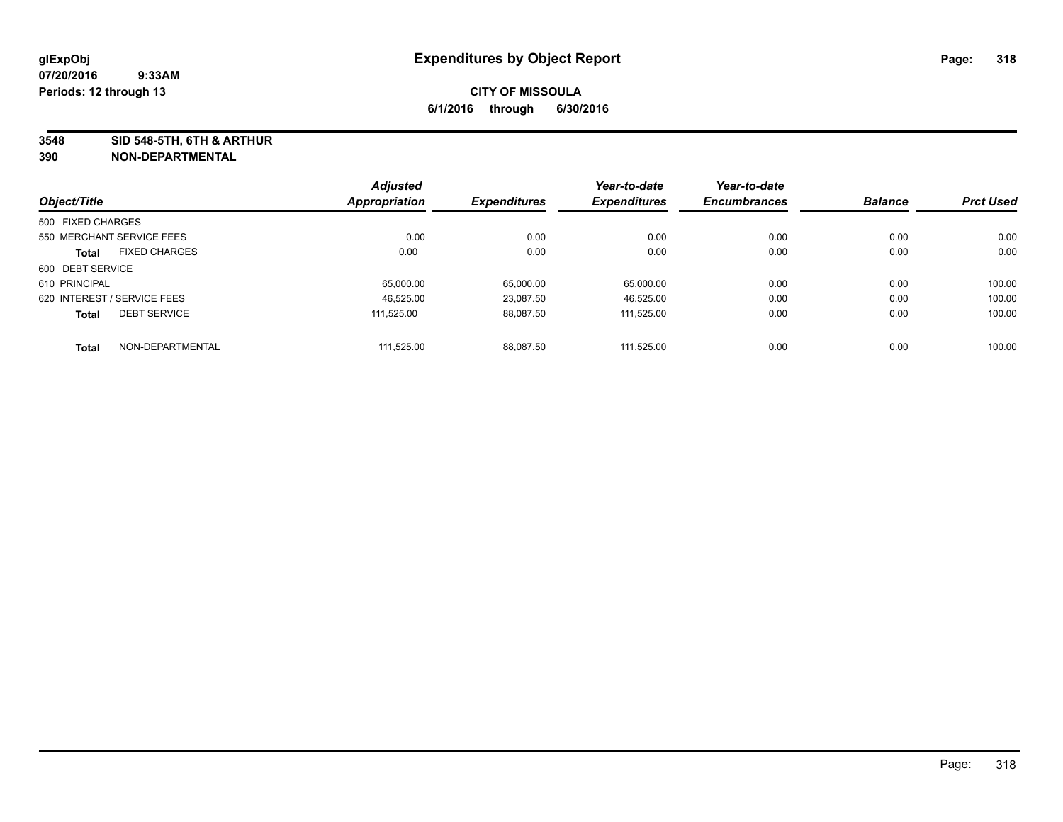**3548 SID 548-5TH, 6TH & ARTHUR**

| Object/Title      |                             | <b>Adjusted</b> | <b>Expenditures</b> | Year-to-date        | Year-to-date        | <b>Balance</b> | <b>Prct Used</b> |
|-------------------|-----------------------------|-----------------|---------------------|---------------------|---------------------|----------------|------------------|
|                   |                             | Appropriation   |                     | <b>Expenditures</b> | <b>Encumbrances</b> |                |                  |
| 500 FIXED CHARGES |                             |                 |                     |                     |                     |                |                  |
|                   | 550 MERCHANT SERVICE FEES   | 0.00            | 0.00                | 0.00                | 0.00                | 0.00           | 0.00             |
| <b>Total</b>      | <b>FIXED CHARGES</b>        | 0.00            | 0.00                | 0.00                | 0.00                | 0.00           | 0.00             |
| 600 DEBT SERVICE  |                             |                 |                     |                     |                     |                |                  |
| 610 PRINCIPAL     |                             | 65.000.00       | 65,000.00           | 65,000.00           | 0.00                | 0.00           | 100.00           |
|                   | 620 INTEREST / SERVICE FEES | 46.525.00       | 23,087.50           | 46,525.00           | 0.00                | 0.00           | 100.00           |
| <b>Total</b>      | <b>DEBT SERVICE</b>         | 111.525.00      | 88.087.50           | 111.525.00          | 0.00                | 0.00           | 100.00           |
| <b>Total</b>      | NON-DEPARTMENTAL            | 111.525.00      | 88.087.50           | 111.525.00          | 0.00                | 0.00           | 100.00           |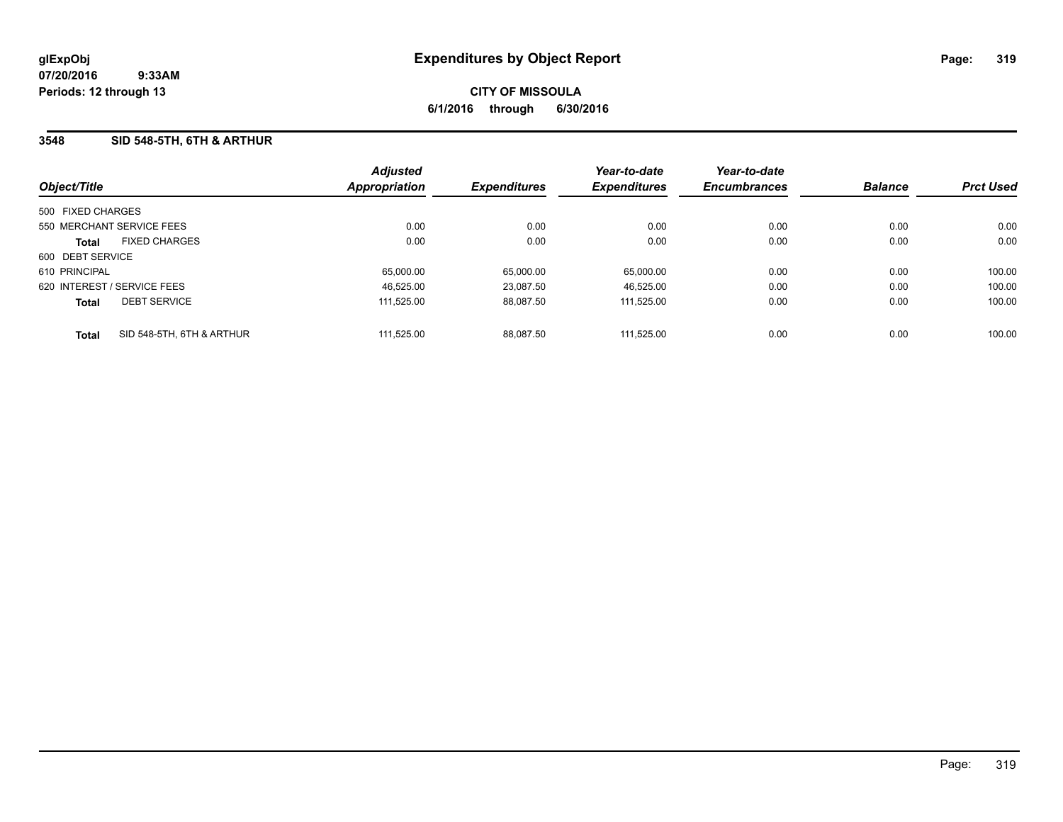## **3548 SID 548-5TH, 6TH & ARTHUR**

| Object/Title                              | <b>Adjusted</b><br><b>Appropriation</b> | <b>Expenditures</b> | Year-to-date<br><b>Expenditures</b> | Year-to-date<br><b>Encumbrances</b> | <b>Balance</b> | <b>Prct Used</b> |
|-------------------------------------------|-----------------------------------------|---------------------|-------------------------------------|-------------------------------------|----------------|------------------|
| 500 FIXED CHARGES                         |                                         |                     |                                     |                                     |                |                  |
| 550 MERCHANT SERVICE FEES                 | 0.00                                    | 0.00                | 0.00                                | 0.00                                | 0.00           | 0.00             |
| <b>FIXED CHARGES</b><br><b>Total</b>      | 0.00                                    | 0.00                | 0.00                                | 0.00                                | 0.00           | 0.00             |
| 600 DEBT SERVICE                          |                                         |                     |                                     |                                     |                |                  |
| 610 PRINCIPAL                             | 65,000.00                               | 65.000.00           | 65,000.00                           | 0.00                                | 0.00           | 100.00           |
| 620 INTEREST / SERVICE FEES               | 46,525.00                               | 23.087.50           | 46.525.00                           | 0.00                                | 0.00           | 100.00           |
| <b>DEBT SERVICE</b><br><b>Total</b>       | 111.525.00                              | 88.087.50           | 111.525.00                          | 0.00                                | 0.00           | 100.00           |
| SID 548-5TH, 6TH & ARTHUR<br><b>Total</b> | 111.525.00                              | 88.087.50           | 111.525.00                          | 0.00                                | 0.00           | 100.00           |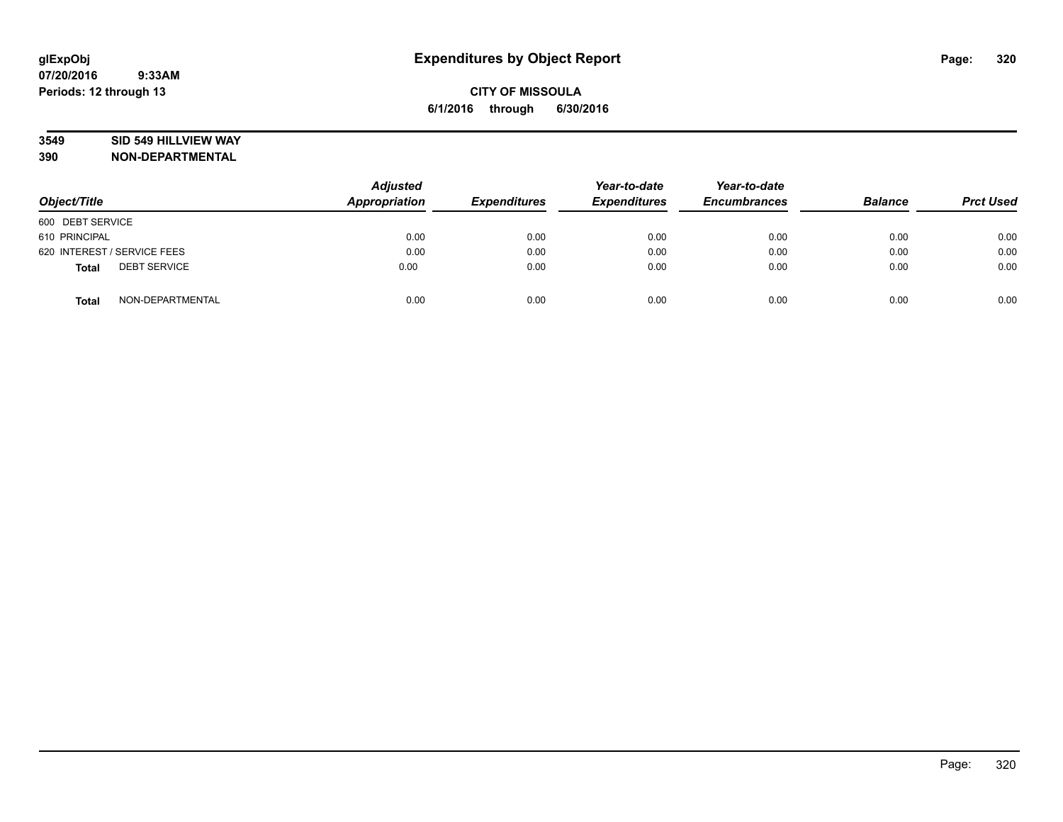### **3549 SID 549 HILLVIEW WAY**

| Object/Title                        | <b>Adjusted</b><br><b>Appropriation</b> | <b>Expenditures</b> | Year-to-date<br><b>Expenditures</b> | Year-to-date<br><b>Encumbrances</b> | <b>Balance</b> | <b>Prct Used</b> |
|-------------------------------------|-----------------------------------------|---------------------|-------------------------------------|-------------------------------------|----------------|------------------|
| 600 DEBT SERVICE                    |                                         |                     |                                     |                                     |                |                  |
| 610 PRINCIPAL                       | 0.00                                    | 0.00                | 0.00                                | 0.00                                | 0.00           | 0.00             |
| 620 INTEREST / SERVICE FEES         | 0.00                                    | 0.00                | 0.00                                | 0.00                                | 0.00           | 0.00             |
| <b>DEBT SERVICE</b><br><b>Total</b> | 0.00                                    | 0.00                | 0.00                                | 0.00                                | 0.00           | 0.00             |
| NON-DEPARTMENTAL<br><b>Total</b>    | 0.00                                    | 0.00                | 0.00                                | 0.00                                | 0.00           | 0.00             |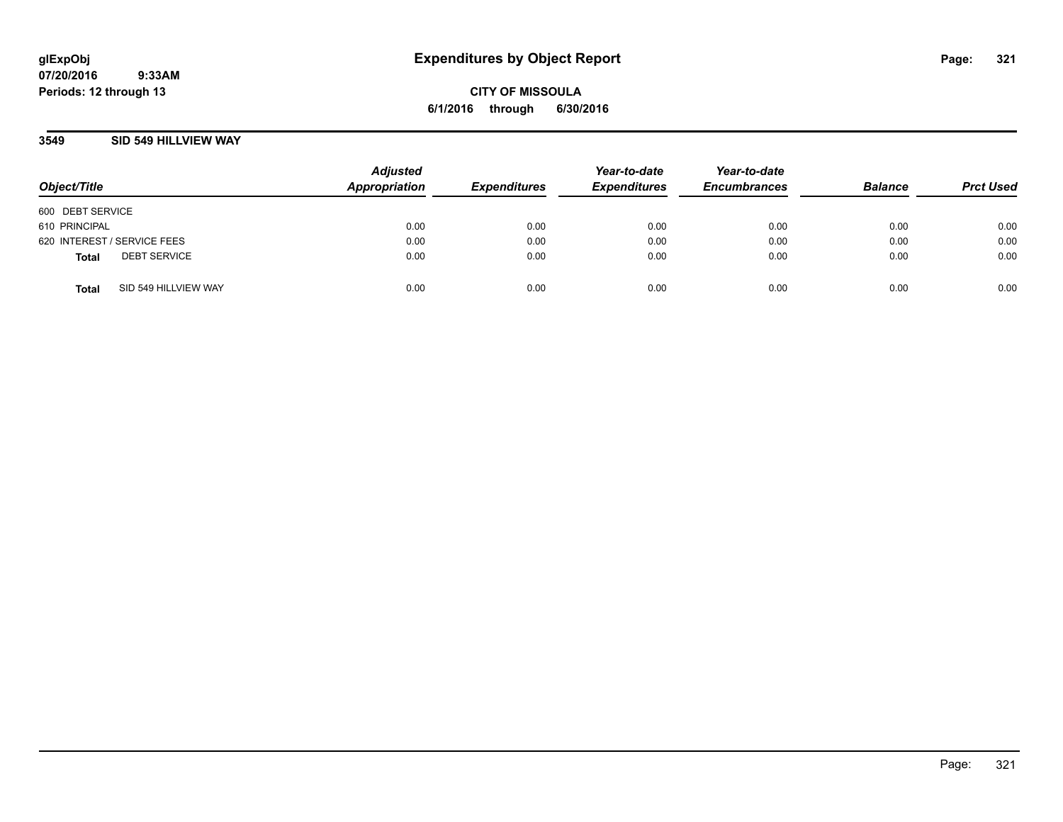**CITY OF MISSOULA 6/1/2016 through 6/30/2016**

### **3549 SID 549 HILLVIEW WAY**

| Object/Title                |                      | <b>Adjusted</b><br>Appropriation | <b>Expenditures</b> | Year-to-date<br><b>Expenditures</b> | Year-to-date<br><b>Encumbrances</b> | <b>Balance</b> | <b>Prct Used</b> |
|-----------------------------|----------------------|----------------------------------|---------------------|-------------------------------------|-------------------------------------|----------------|------------------|
| 600 DEBT SERVICE            |                      |                                  |                     |                                     |                                     |                |                  |
| 610 PRINCIPAL               |                      | 0.00                             | 0.00                | 0.00                                | 0.00                                | 0.00           | 0.00             |
| 620 INTEREST / SERVICE FEES |                      | 0.00                             | 0.00                | 0.00                                | 0.00                                | 0.00           | 0.00             |
| <b>Total</b>                | <b>DEBT SERVICE</b>  | 0.00                             | 0.00                | 0.00                                | 0.00                                | 0.00           | 0.00             |
| <b>Total</b>                | SID 549 HILLVIEW WAY | 0.00                             | 0.00                | 0.00                                | 0.00                                | 0.00           | 0.00             |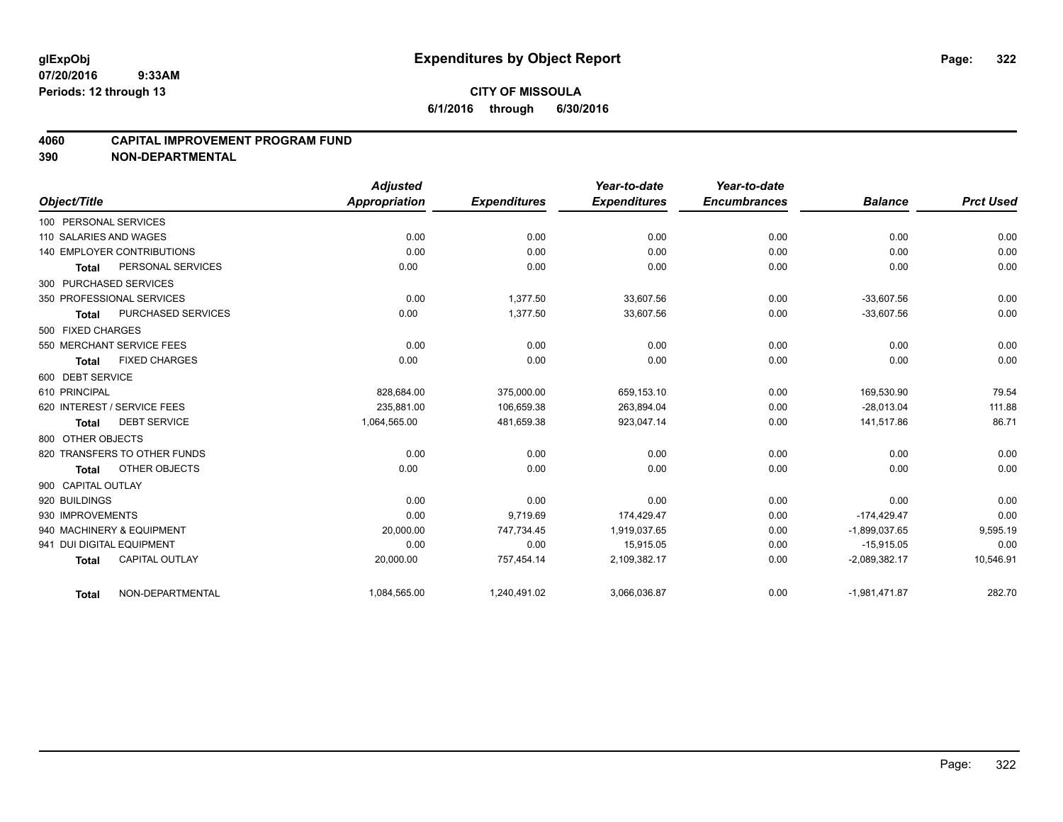### **4060 CAPITAL IMPROVEMENT PROGRAM FUND**

|                           |                                   | <b>Adjusted</b>      |                     | Year-to-date        | Year-to-date        |                 |                  |
|---------------------------|-----------------------------------|----------------------|---------------------|---------------------|---------------------|-----------------|------------------|
| Object/Title              |                                   | <b>Appropriation</b> | <b>Expenditures</b> | <b>Expenditures</b> | <b>Encumbrances</b> | <b>Balance</b>  | <b>Prct Used</b> |
| 100 PERSONAL SERVICES     |                                   |                      |                     |                     |                     |                 |                  |
| 110 SALARIES AND WAGES    |                                   | 0.00                 | 0.00                | 0.00                | 0.00                | 0.00            | 0.00             |
|                           | <b>140 EMPLOYER CONTRIBUTIONS</b> | 0.00                 | 0.00                | 0.00                | 0.00                | 0.00            | 0.00             |
| <b>Total</b>              | PERSONAL SERVICES                 | 0.00                 | 0.00                | 0.00                | 0.00                | 0.00            | 0.00             |
| 300 PURCHASED SERVICES    |                                   |                      |                     |                     |                     |                 |                  |
|                           | 350 PROFESSIONAL SERVICES         | 0.00                 | 1.377.50            | 33.607.56           | 0.00                | $-33.607.56$    | 0.00             |
| <b>Total</b>              | <b>PURCHASED SERVICES</b>         | 0.00                 | 1,377.50            | 33,607.56           | 0.00                | $-33,607.56$    | 0.00             |
| 500 FIXED CHARGES         |                                   |                      |                     |                     |                     |                 |                  |
|                           | 550 MERCHANT SERVICE FEES         | 0.00                 | 0.00                | 0.00                | 0.00                | 0.00            | 0.00             |
| <b>Total</b>              | <b>FIXED CHARGES</b>              | 0.00                 | 0.00                | 0.00                | 0.00                | 0.00            | 0.00             |
| 600 DEBT SERVICE          |                                   |                      |                     |                     |                     |                 |                  |
| 610 PRINCIPAL             |                                   | 828,684.00           | 375,000.00          | 659,153.10          | 0.00                | 169,530.90      | 79.54            |
|                           | 620 INTEREST / SERVICE FEES       | 235.881.00           | 106.659.38          | 263.894.04          | 0.00                | $-28.013.04$    | 111.88           |
| <b>Total</b>              | <b>DEBT SERVICE</b>               | 1,064,565.00         | 481,659.38          | 923,047.14          | 0.00                | 141,517.86      | 86.71            |
| 800 OTHER OBJECTS         |                                   |                      |                     |                     |                     |                 |                  |
|                           | 820 TRANSFERS TO OTHER FUNDS      | 0.00                 | 0.00                | 0.00                | 0.00                | 0.00            | 0.00             |
| <b>Total</b>              | OTHER OBJECTS                     | 0.00                 | 0.00                | 0.00                | 0.00                | 0.00            | 0.00             |
| 900 CAPITAL OUTLAY        |                                   |                      |                     |                     |                     |                 |                  |
| 920 BUILDINGS             |                                   | 0.00                 | 0.00                | 0.00                | 0.00                | 0.00            | 0.00             |
| 930 IMPROVEMENTS          |                                   | 0.00                 | 9,719.69            | 174,429.47          | 0.00                | $-174,429.47$   | 0.00             |
|                           | 940 MACHINERY & EQUIPMENT         | 20,000.00            | 747,734.45          | 1,919,037.65        | 0.00                | $-1,899,037.65$ | 9,595.19         |
| 941 DUI DIGITAL EQUIPMENT |                                   | 0.00                 | 0.00                | 15,915.05           | 0.00                | $-15,915.05$    | 0.00             |
| <b>Total</b>              | <b>CAPITAL OUTLAY</b>             | 20,000.00            | 757,454.14          | 2,109,382.17        | 0.00                | $-2,089,382.17$ | 10,546.91        |
| <b>Total</b>              | NON-DEPARTMENTAL                  | 1,084,565.00         | 1,240,491.02        | 3,066,036.87        | 0.00                | $-1,981,471.87$ | 282.70           |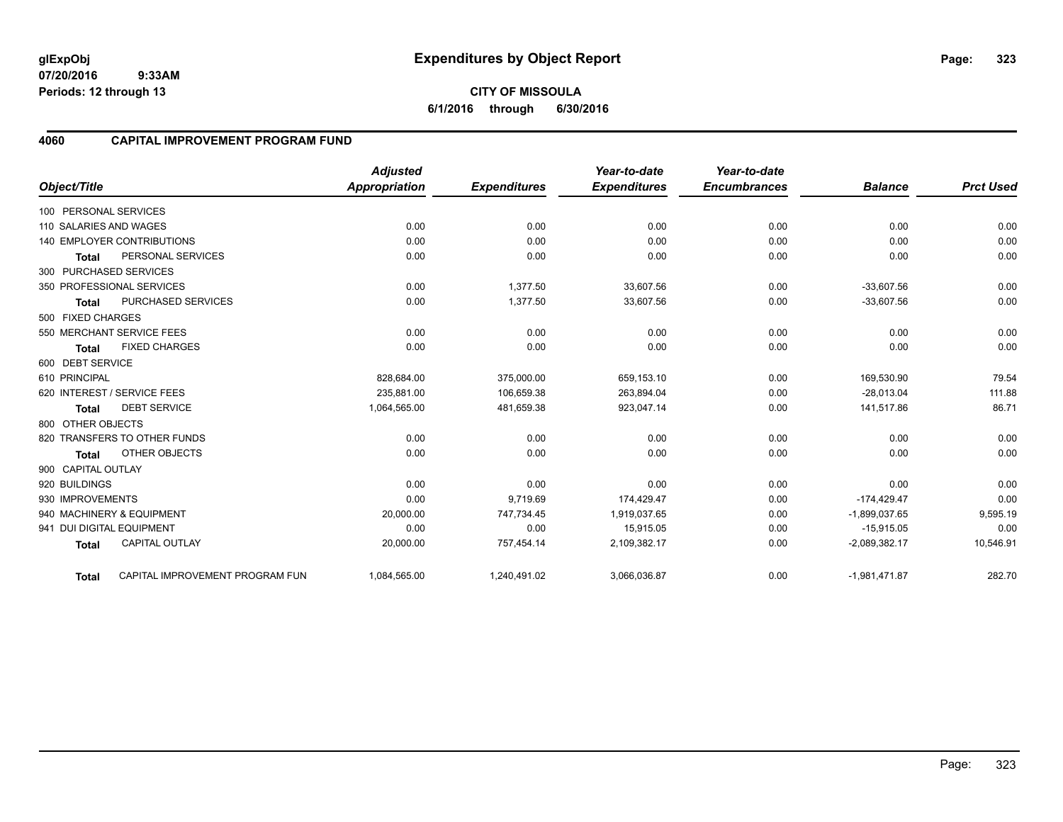**CITY OF MISSOULA 6/1/2016 through 6/30/2016**

## **4060 CAPITAL IMPROVEMENT PROGRAM FUND**

|                           |                                 | <b>Adjusted</b>      |                     | Year-to-date        | Year-to-date        |                 |                  |
|---------------------------|---------------------------------|----------------------|---------------------|---------------------|---------------------|-----------------|------------------|
| Object/Title              |                                 | <b>Appropriation</b> | <b>Expenditures</b> | <b>Expenditures</b> | <b>Encumbrances</b> | <b>Balance</b>  | <b>Prct Used</b> |
| 100 PERSONAL SERVICES     |                                 |                      |                     |                     |                     |                 |                  |
| 110 SALARIES AND WAGES    |                                 | 0.00                 | 0.00                | 0.00                | 0.00                | 0.00            | 0.00             |
|                           | 140 EMPLOYER CONTRIBUTIONS      | 0.00                 | 0.00                | 0.00                | 0.00                | 0.00            | 0.00             |
| <b>Total</b>              | PERSONAL SERVICES               | 0.00                 | 0.00                | 0.00                | 0.00                | 0.00            | 0.00             |
| 300 PURCHASED SERVICES    |                                 |                      |                     |                     |                     |                 |                  |
|                           | 350 PROFESSIONAL SERVICES       | 0.00                 | 1.377.50            | 33.607.56           | 0.00                | $-33.607.56$    | 0.00             |
| <b>Total</b>              | <b>PURCHASED SERVICES</b>       | 0.00                 | 1,377.50            | 33,607.56           | 0.00                | $-33,607.56$    | 0.00             |
| 500 FIXED CHARGES         |                                 |                      |                     |                     |                     |                 |                  |
|                           | 550 MERCHANT SERVICE FEES       | 0.00                 | 0.00                | 0.00                | 0.00                | 0.00            | 0.00             |
| <b>Total</b>              | <b>FIXED CHARGES</b>            | 0.00                 | 0.00                | 0.00                | 0.00                | 0.00            | 0.00             |
| 600 DEBT SERVICE          |                                 |                      |                     |                     |                     |                 |                  |
| 610 PRINCIPAL             |                                 | 828,684.00           | 375,000.00          | 659,153.10          | 0.00                | 169,530.90      | 79.54            |
|                           | 620 INTEREST / SERVICE FEES     | 235,881.00           | 106,659.38          | 263,894.04          | 0.00                | $-28,013.04$    | 111.88           |
| <b>Total</b>              | <b>DEBT SERVICE</b>             | 1,064,565.00         | 481,659.38          | 923,047.14          | 0.00                | 141,517.86      | 86.71            |
| 800 OTHER OBJECTS         |                                 |                      |                     |                     |                     |                 |                  |
|                           | 820 TRANSFERS TO OTHER FUNDS    | 0.00                 | 0.00                | 0.00                | 0.00                | 0.00            | 0.00             |
| <b>Total</b>              | OTHER OBJECTS                   | 0.00                 | 0.00                | 0.00                | 0.00                | 0.00            | 0.00             |
| 900 CAPITAL OUTLAY        |                                 |                      |                     |                     |                     |                 |                  |
| 920 BUILDINGS             |                                 | 0.00                 | 0.00                | 0.00                | 0.00                | 0.00            | 0.00             |
| 930 IMPROVEMENTS          |                                 | 0.00                 | 9,719.69            | 174,429.47          | 0.00                | $-174,429.47$   | 0.00             |
|                           | 940 MACHINERY & EQUIPMENT       | 20,000.00            | 747,734.45          | 1,919,037.65        | 0.00                | $-1,899,037.65$ | 9,595.19         |
| 941 DUI DIGITAL EQUIPMENT |                                 | 0.00                 | 0.00                | 15,915.05           | 0.00                | $-15,915.05$    | 0.00             |
| <b>Total</b>              | <b>CAPITAL OUTLAY</b>           | 20,000.00            | 757,454.14          | 2,109,382.17        | 0.00                | $-2,089,382.17$ | 10,546.91        |
| <b>Total</b>              | CAPITAL IMPROVEMENT PROGRAM FUN | 1,084,565.00         | 1,240,491.02        | 3,066,036.87        | 0.00                | $-1,981,471.87$ | 282.70           |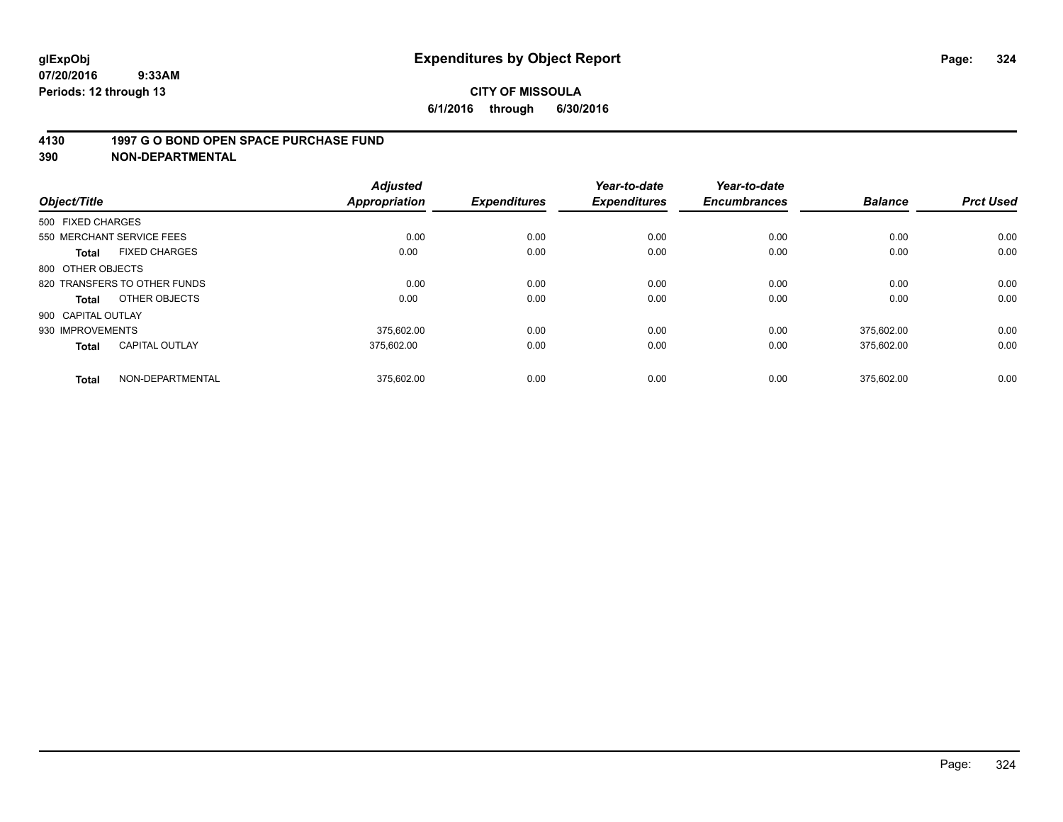### **4130 1997 G O BOND OPEN SPACE PURCHASE FUND**

| Object/Title                          | <b>Adjusted</b><br><b>Appropriation</b> | <b>Expenditures</b> | Year-to-date<br><b>Expenditures</b> | Year-to-date<br><b>Encumbrances</b> | <b>Balance</b> | <b>Prct Used</b> |
|---------------------------------------|-----------------------------------------|---------------------|-------------------------------------|-------------------------------------|----------------|------------------|
| 500 FIXED CHARGES                     |                                         |                     |                                     |                                     |                |                  |
| 550 MERCHANT SERVICE FEES             |                                         | 0.00<br>0.00        | 0.00                                | 0.00                                | 0.00           | 0.00             |
| <b>FIXED CHARGES</b><br><b>Total</b>  | 0.00                                    | 0.00                | 0.00                                | 0.00                                | 0.00           | 0.00             |
| 800 OTHER OBJECTS                     |                                         |                     |                                     |                                     |                |                  |
| 820 TRANSFERS TO OTHER FUNDS          |                                         | 0.00<br>0.00        | 0.00                                | 0.00                                | 0.00           | 0.00             |
| OTHER OBJECTS<br>Total                | 0.00                                    | 0.00                | 0.00                                | 0.00                                | 0.00           | 0.00             |
| 900 CAPITAL OUTLAY                    |                                         |                     |                                     |                                     |                |                  |
| 930 IMPROVEMENTS                      | 375.602.00                              | 0.00                | 0.00                                | 0.00                                | 375.602.00     | 0.00             |
| <b>CAPITAL OUTLAY</b><br><b>Total</b> | 375.602.00                              | 0.00                | 0.00                                | 0.00                                | 375,602.00     | 0.00             |
| NON-DEPARTMENTAL<br><b>Total</b>      | 375,602.00                              | 0.00                | 0.00                                | 0.00                                | 375.602.00     | 0.00             |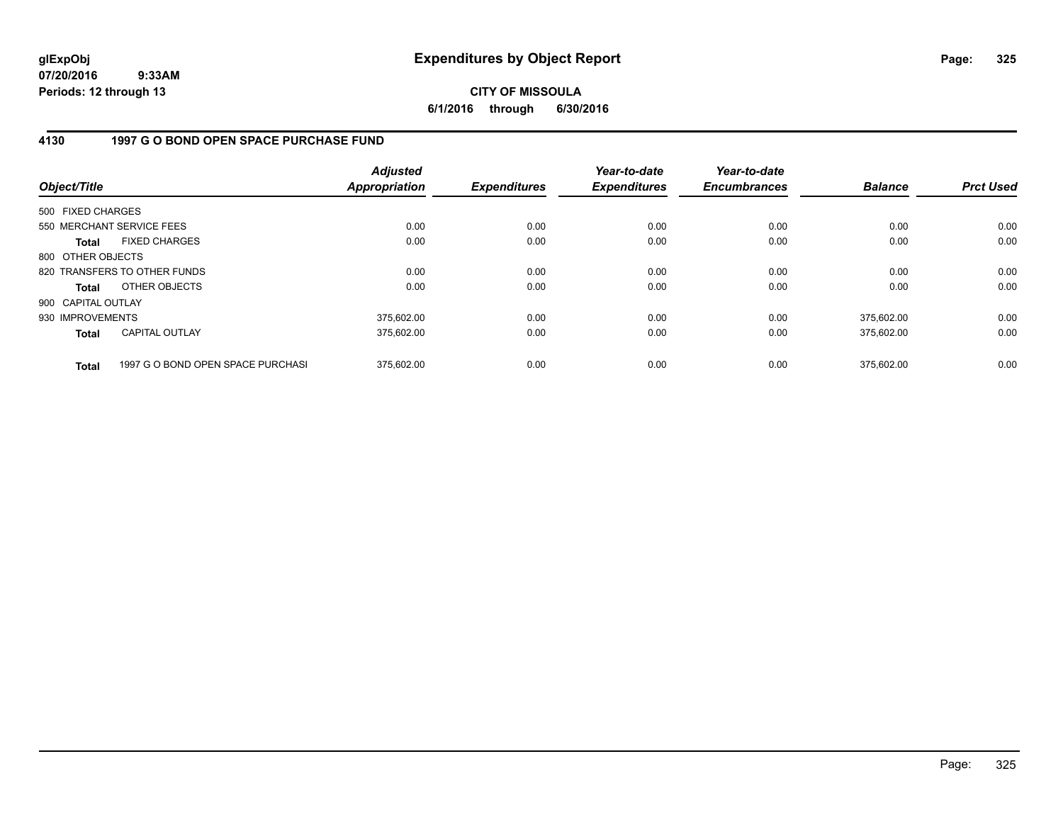**CITY OF MISSOULA 6/1/2016 through 6/30/2016**

## **4130 1997 G O BOND OPEN SPACE PURCHASE FUND**

| Object/Title       |                                   | <b>Adjusted</b><br><b>Appropriation</b> | <b>Expenditures</b> | Year-to-date<br><b>Expenditures</b> | Year-to-date<br><b>Encumbrances</b> | <b>Balance</b> | <b>Prct Used</b> |
|--------------------|-----------------------------------|-----------------------------------------|---------------------|-------------------------------------|-------------------------------------|----------------|------------------|
| 500 FIXED CHARGES  |                                   |                                         |                     |                                     |                                     |                |                  |
|                    | 550 MERCHANT SERVICE FEES         | 0.00                                    | 0.00                | 0.00                                | 0.00                                | 0.00           | 0.00             |
| Total              | <b>FIXED CHARGES</b>              | 0.00                                    | 0.00                | 0.00                                | 0.00                                | 0.00           | 0.00             |
| 800 OTHER OBJECTS  |                                   |                                         |                     |                                     |                                     |                |                  |
|                    | 820 TRANSFERS TO OTHER FUNDS      | 0.00                                    | 0.00                | 0.00                                | 0.00                                | 0.00           | 0.00             |
| Total              | OTHER OBJECTS                     | 0.00                                    | 0.00                | 0.00                                | 0.00                                | 0.00           | 0.00             |
| 900 CAPITAL OUTLAY |                                   |                                         |                     |                                     |                                     |                |                  |
| 930 IMPROVEMENTS   |                                   | 375,602.00                              | 0.00                | 0.00                                | 0.00                                | 375,602.00     | 0.00             |
| <b>Total</b>       | CAPITAL OUTLAY                    | 375,602.00                              | 0.00                | 0.00                                | 0.00                                | 375,602.00     | 0.00             |
| <b>Total</b>       | 1997 G O BOND OPEN SPACE PURCHASI | 375.602.00                              | 0.00                | 0.00                                | 0.00                                | 375.602.00     | 0.00             |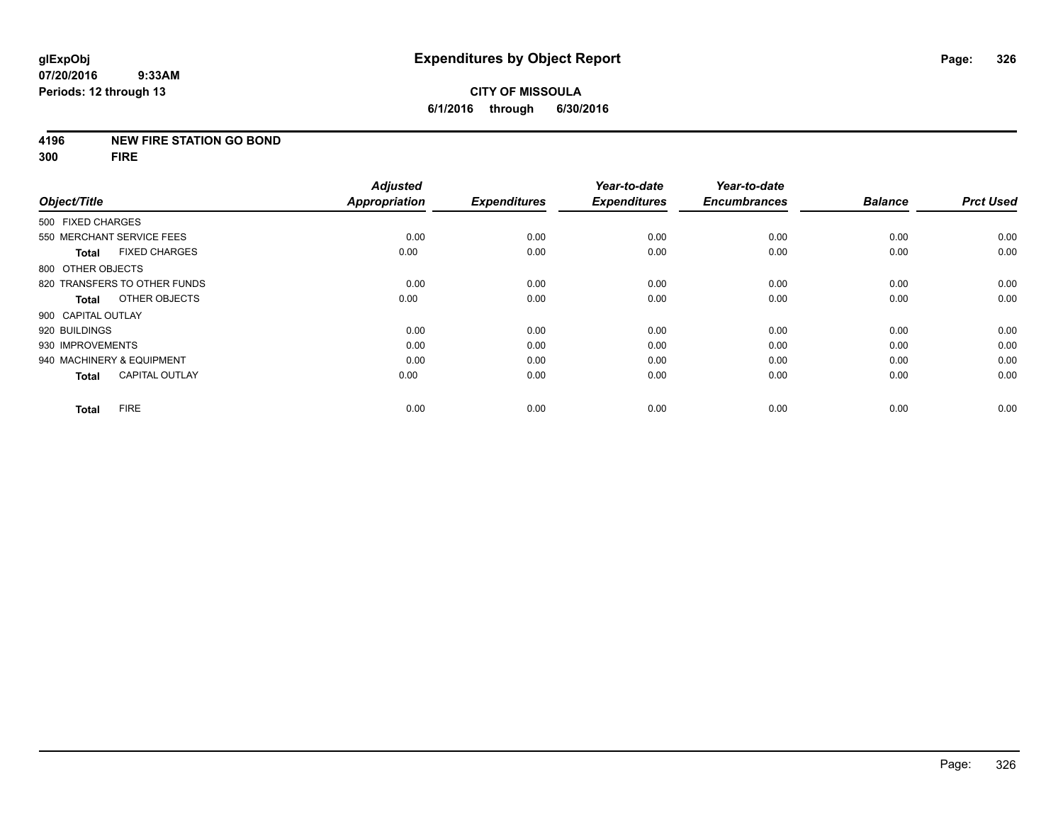## **4196 NEW FIRE STATION GO BOND**

**300 FIRE**

|                                       | <b>Adjusted</b><br><b>Appropriation</b> |                     | Year-to-date<br><b>Expenditures</b> | Year-to-date<br><b>Encumbrances</b> | <b>Balance</b> | <b>Prct Used</b> |
|---------------------------------------|-----------------------------------------|---------------------|-------------------------------------|-------------------------------------|----------------|------------------|
| Object/Title                          |                                         | <b>Expenditures</b> |                                     |                                     |                |                  |
| 500 FIXED CHARGES                     |                                         |                     |                                     |                                     |                |                  |
| 550 MERCHANT SERVICE FEES             | 0.00                                    | 0.00                | 0.00                                | 0.00                                | 0.00           | 0.00             |
| <b>FIXED CHARGES</b><br><b>Total</b>  | 0.00                                    | 0.00                | 0.00                                | 0.00                                | 0.00           | 0.00             |
| 800 OTHER OBJECTS                     |                                         |                     |                                     |                                     |                |                  |
| 820 TRANSFERS TO OTHER FUNDS          | 0.00                                    | 0.00                | 0.00                                | 0.00                                | 0.00           | 0.00             |
| OTHER OBJECTS<br>Total                | 0.00                                    | 0.00                | 0.00                                | 0.00                                | 0.00           | 0.00             |
| 900 CAPITAL OUTLAY                    |                                         |                     |                                     |                                     |                |                  |
| 920 BUILDINGS                         | 0.00                                    | 0.00                | 0.00                                | 0.00                                | 0.00           | 0.00             |
| 930 IMPROVEMENTS                      | 0.00                                    | 0.00                | 0.00                                | 0.00                                | 0.00           | 0.00             |
| 940 MACHINERY & EQUIPMENT             | 0.00                                    | 0.00                | 0.00                                | 0.00                                | 0.00           | 0.00             |
| <b>CAPITAL OUTLAY</b><br><b>Total</b> | 0.00                                    | 0.00                | 0.00                                | 0.00                                | 0.00           | 0.00             |
| <b>FIRE</b><br><b>Total</b>           | 0.00                                    | 0.00                | 0.00                                | 0.00                                | 0.00           | 0.00             |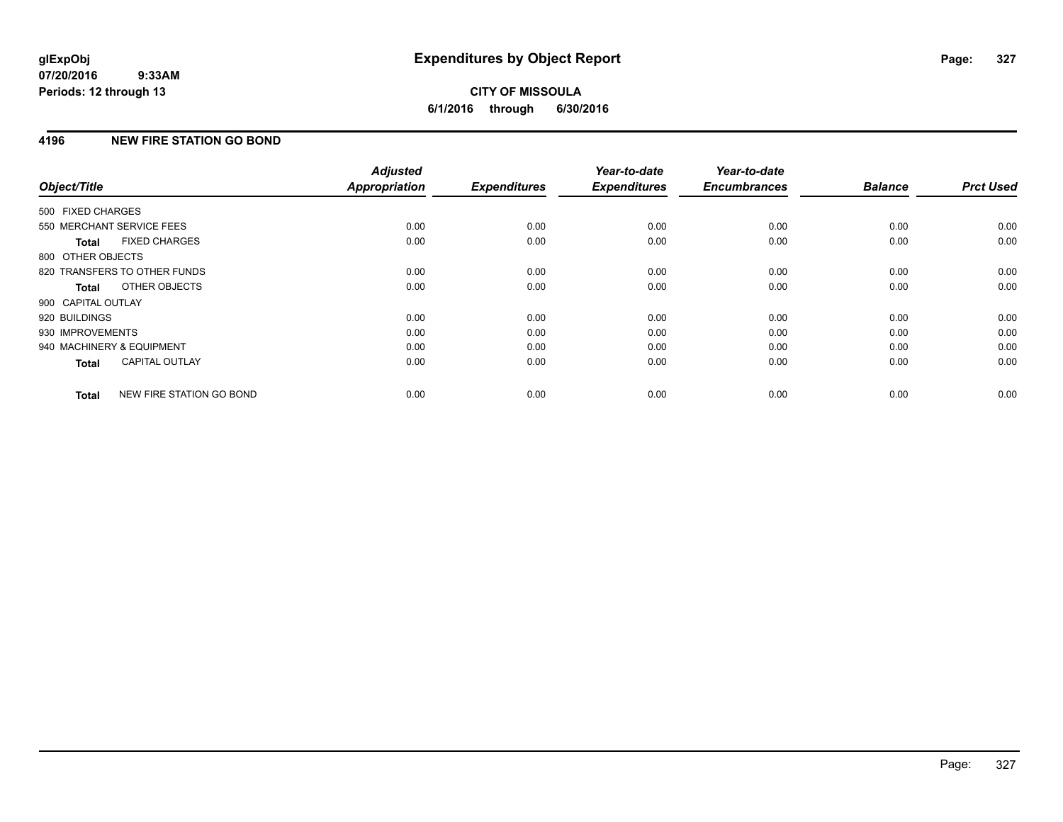# **4196 NEW FIRE STATION GO BOND**

| Object/Title              |                              | <b>Adjusted</b><br><b>Appropriation</b> | <b>Expenditures</b> | Year-to-date<br><b>Expenditures</b> | Year-to-date<br><b>Encumbrances</b> | <b>Balance</b> | <b>Prct Used</b> |
|---------------------------|------------------------------|-----------------------------------------|---------------------|-------------------------------------|-------------------------------------|----------------|------------------|
|                           |                              |                                         |                     |                                     |                                     |                |                  |
| 500 FIXED CHARGES         |                              |                                         |                     |                                     |                                     |                |                  |
| 550 MERCHANT SERVICE FEES |                              | 0.00                                    | 0.00                | 0.00                                | 0.00                                | 0.00           | 0.00             |
| Total                     | <b>FIXED CHARGES</b>         | 0.00                                    | 0.00                | 0.00                                | 0.00                                | 0.00           | 0.00             |
| 800 OTHER OBJECTS         |                              |                                         |                     |                                     |                                     |                |                  |
|                           | 820 TRANSFERS TO OTHER FUNDS | 0.00                                    | 0.00                | 0.00                                | 0.00                                | 0.00           | 0.00             |
| Total                     | OTHER OBJECTS                | 0.00                                    | 0.00                | 0.00                                | 0.00                                | 0.00           | 0.00             |
| 900 CAPITAL OUTLAY        |                              |                                         |                     |                                     |                                     |                |                  |
| 920 BUILDINGS             |                              | 0.00                                    | 0.00                | 0.00                                | 0.00                                | 0.00           | 0.00             |
| 930 IMPROVEMENTS          |                              | 0.00                                    | 0.00                | 0.00                                | 0.00                                | 0.00           | 0.00             |
| 940 MACHINERY & EQUIPMENT |                              | 0.00                                    | 0.00                | 0.00                                | 0.00                                | 0.00           | 0.00             |
| <b>Total</b>              | <b>CAPITAL OUTLAY</b>        | 0.00                                    | 0.00                | 0.00                                | 0.00                                | 0.00           | 0.00             |
| <b>Total</b>              | NEW FIRE STATION GO BOND     | 0.00                                    | 0.00                | 0.00                                | 0.00                                | 0.00           | 0.00             |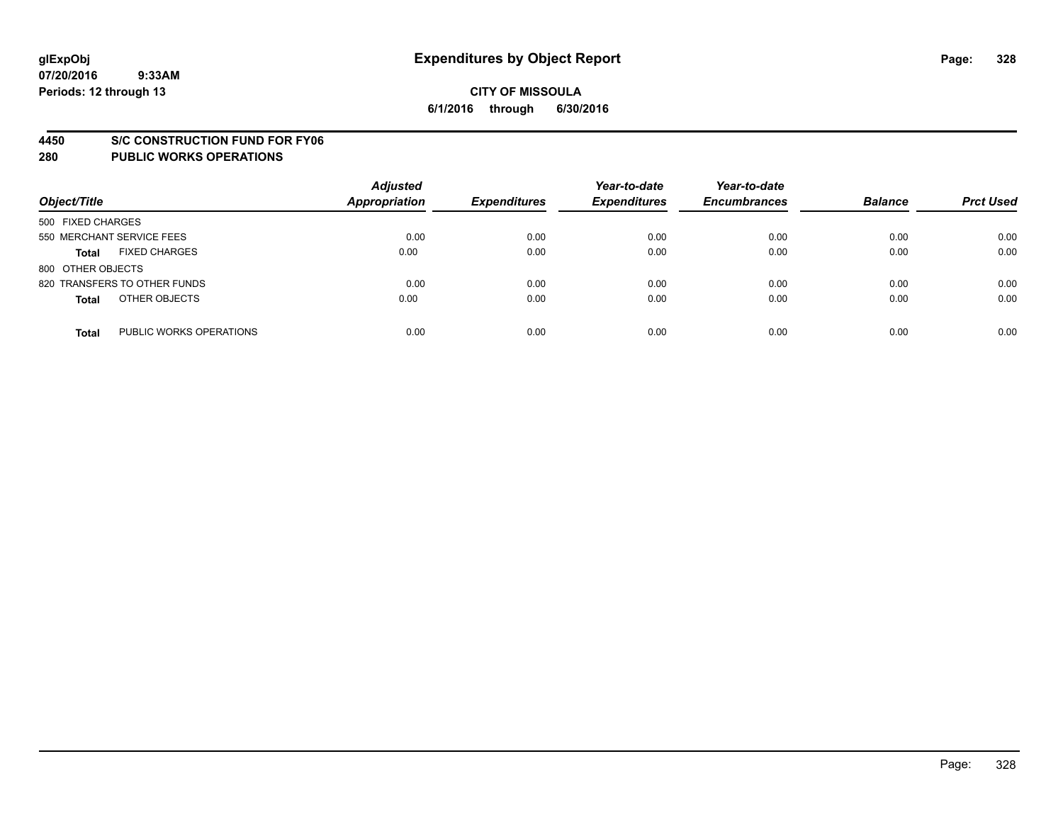#### **4450 S/C CONSTRUCTION FUND FOR FY06**

| Object/Title                            | <b>Adjusted</b><br><b>Appropriation</b> | <b>Expenditures</b> | Year-to-date<br><b>Expenditures</b> | Year-to-date<br><b>Encumbrances</b> | <b>Balance</b> | <b>Prct Used</b> |
|-----------------------------------------|-----------------------------------------|---------------------|-------------------------------------|-------------------------------------|----------------|------------------|
| 500 FIXED CHARGES                       |                                         |                     |                                     |                                     |                |                  |
| 550 MERCHANT SERVICE FEES               | 0.00                                    | 0.00                | 0.00                                | 0.00                                | 0.00           | 0.00             |
| <b>FIXED CHARGES</b><br><b>Total</b>    | 0.00                                    | 0.00                | 0.00                                | 0.00                                | 0.00           | 0.00             |
| 800 OTHER OBJECTS                       |                                         |                     |                                     |                                     |                |                  |
| 820 TRANSFERS TO OTHER FUNDS            | 0.00                                    | 0.00                | 0.00                                | 0.00                                | 0.00           | 0.00             |
| OTHER OBJECTS<br><b>Total</b>           | 0.00                                    | 0.00                | 0.00                                | 0.00                                | 0.00           | 0.00             |
| PUBLIC WORKS OPERATIONS<br><b>Total</b> | 0.00                                    | 0.00                | 0.00                                | 0.00                                | 0.00           | 0.00             |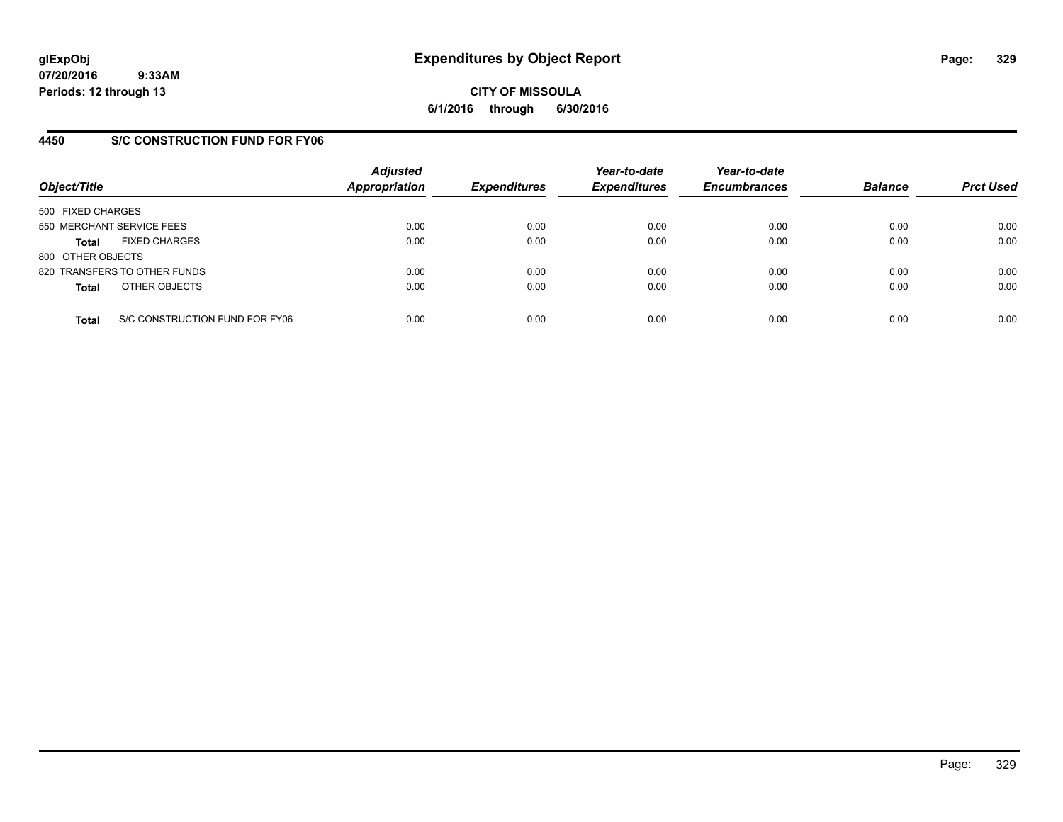**CITY OF MISSOULA 6/1/2016 through 6/30/2016**

## **4450 S/C CONSTRUCTION FUND FOR FY06**

| Object/Title                                   | <b>Adjusted</b><br><b>Appropriation</b> | <b>Expenditures</b> | Year-to-date<br><b>Expenditures</b> | Year-to-date<br><b>Encumbrances</b> | <b>Balance</b> | <b>Prct Used</b> |
|------------------------------------------------|-----------------------------------------|---------------------|-------------------------------------|-------------------------------------|----------------|------------------|
| 500 FIXED CHARGES                              |                                         |                     |                                     |                                     |                |                  |
| 550 MERCHANT SERVICE FEES                      | 0.00                                    | 0.00                | 0.00                                | 0.00                                | 0.00           | 0.00             |
| <b>FIXED CHARGES</b><br><b>Total</b>           | 0.00                                    | 0.00                | 0.00                                | 0.00                                | 0.00           | 0.00             |
| 800 OTHER OBJECTS                              |                                         |                     |                                     |                                     |                |                  |
| 820 TRANSFERS TO OTHER FUNDS                   | 0.00                                    | 0.00                | 0.00                                | 0.00                                | 0.00           | 0.00             |
| OTHER OBJECTS<br><b>Total</b>                  | 0.00                                    | 0.00                | 0.00                                | 0.00                                | 0.00           | 0.00             |
| S/C CONSTRUCTION FUND FOR FY06<br><b>Total</b> | 0.00                                    | 0.00                | 0.00                                | 0.00                                | 0.00           | 0.00             |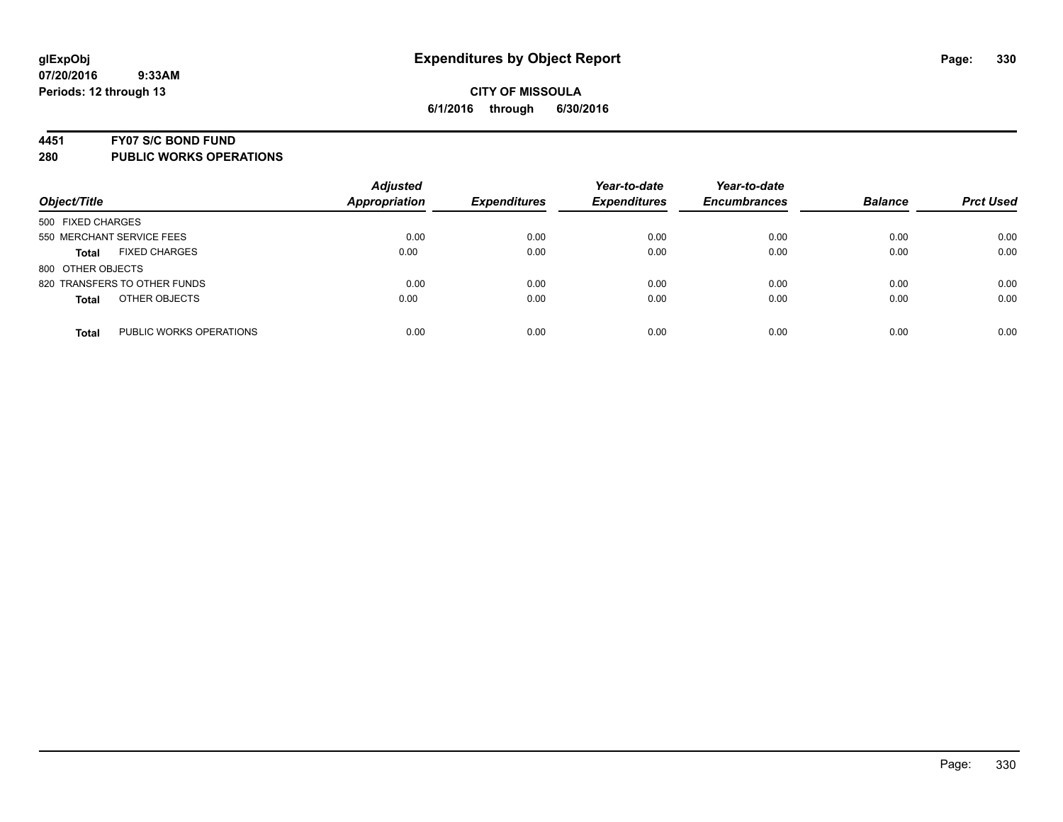#### **4451 FY07 S/C BOND FUND**

| Object/Title                            | <b>Adjusted</b><br><b>Appropriation</b> | <b>Expenditures</b> | Year-to-date<br><b>Expenditures</b> | Year-to-date<br><b>Encumbrances</b> | <b>Balance</b> | <b>Prct Used</b> |
|-----------------------------------------|-----------------------------------------|---------------------|-------------------------------------|-------------------------------------|----------------|------------------|
| 500 FIXED CHARGES                       |                                         |                     |                                     |                                     |                |                  |
| 550 MERCHANT SERVICE FEES               | 0.00                                    | 0.00                | 0.00                                | 0.00                                | 0.00           | 0.00             |
| <b>FIXED CHARGES</b><br><b>Total</b>    | 0.00                                    | 0.00                | 0.00                                | 0.00                                | 0.00           | 0.00             |
| 800 OTHER OBJECTS                       |                                         |                     |                                     |                                     |                |                  |
| 820 TRANSFERS TO OTHER FUNDS            | 0.00                                    | 0.00                | 0.00                                | 0.00                                | 0.00           | 0.00             |
| OTHER OBJECTS<br><b>Total</b>           | 0.00                                    | 0.00                | 0.00                                | 0.00                                | 0.00           | 0.00             |
| PUBLIC WORKS OPERATIONS<br><b>Total</b> | 0.00                                    | 0.00                | 0.00                                | 0.00                                | 0.00           | 0.00             |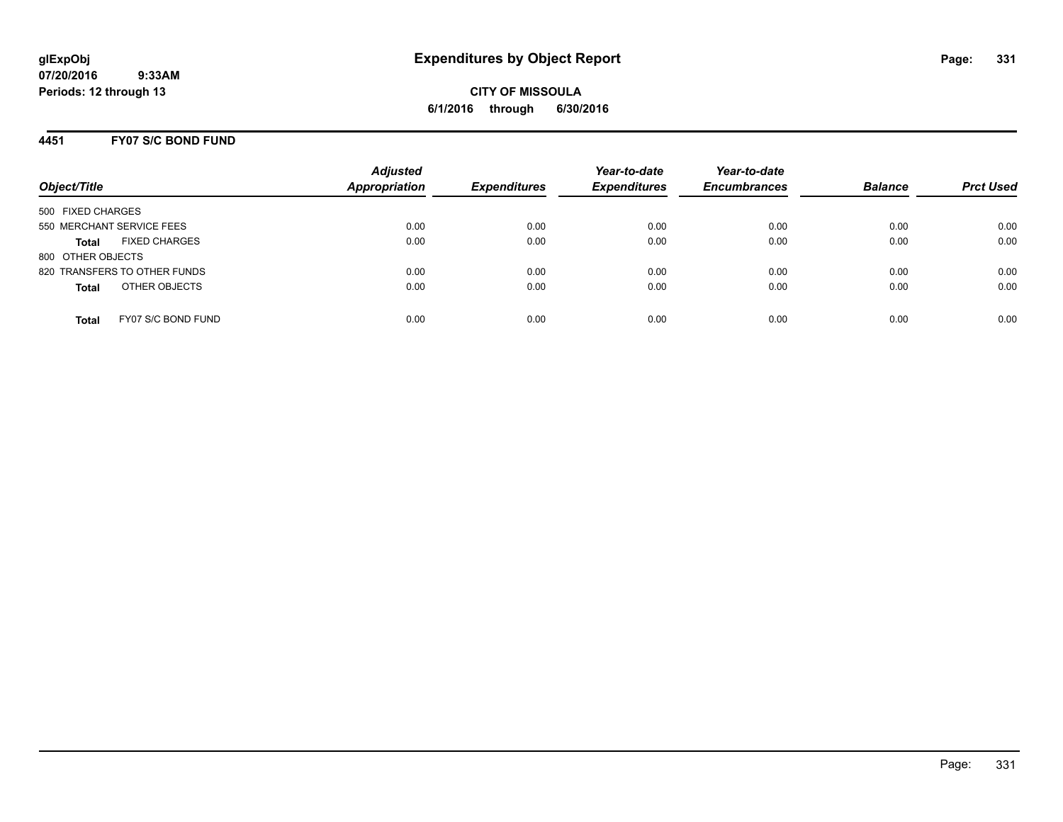**CITY OF MISSOULA 6/1/2016 through 6/30/2016**

## **4451 FY07 S/C BOND FUND**

| Object/Title                         | <b>Adjusted</b><br><b>Appropriation</b> | <b>Expenditures</b> | Year-to-date<br><b>Expenditures</b> | Year-to-date<br><b>Encumbrances</b> | <b>Balance</b> | <b>Prct Used</b> |
|--------------------------------------|-----------------------------------------|---------------------|-------------------------------------|-------------------------------------|----------------|------------------|
| 500 FIXED CHARGES                    |                                         |                     |                                     |                                     |                |                  |
| 550 MERCHANT SERVICE FEES            | 0.00                                    | 0.00                | 0.00                                | 0.00                                | 0.00           | 0.00             |
| <b>FIXED CHARGES</b><br><b>Total</b> | 0.00                                    | 0.00                | 0.00                                | 0.00                                | 0.00           | 0.00             |
| 800 OTHER OBJECTS                    |                                         |                     |                                     |                                     |                |                  |
| 820 TRANSFERS TO OTHER FUNDS         | 0.00                                    | 0.00                | 0.00                                | 0.00                                | 0.00           | 0.00             |
| OTHER OBJECTS<br><b>Total</b>        | 0.00                                    | 0.00                | 0.00                                | 0.00                                | 0.00           | 0.00             |
| FY07 S/C BOND FUND<br><b>Total</b>   | 0.00                                    | 0.00                | 0.00                                | 0.00                                | 0.00           | 0.00             |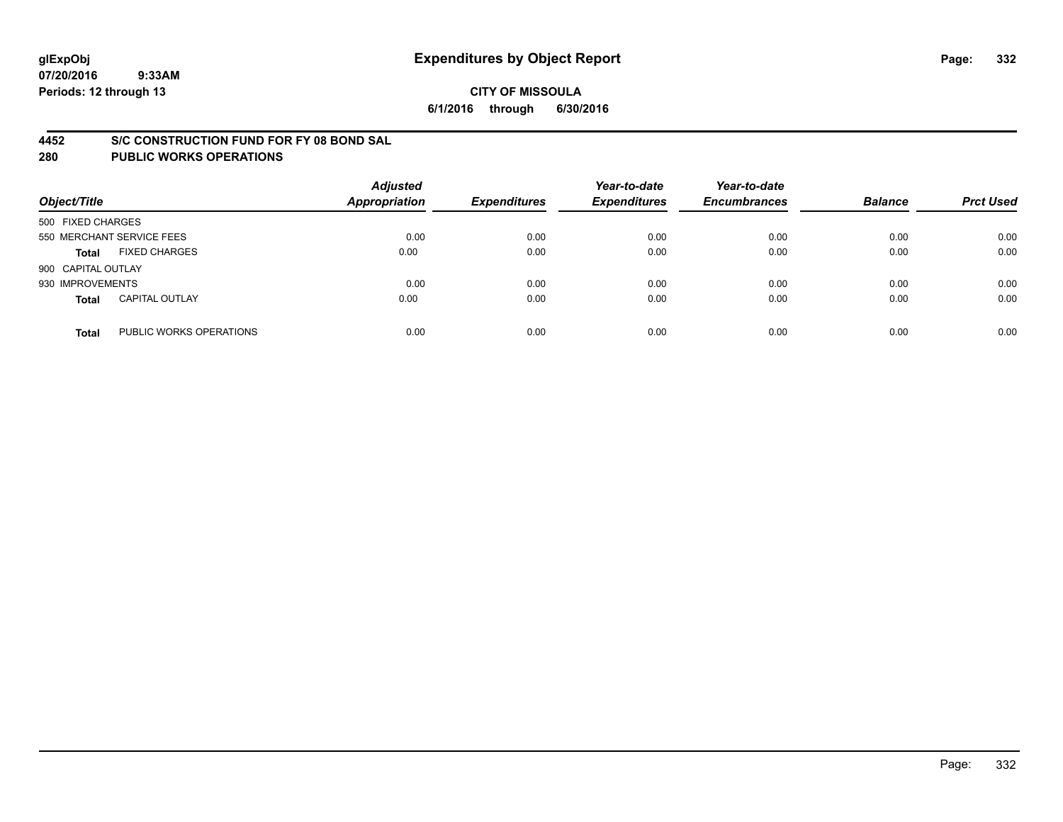## **4452 S/C CONSTRUCTION FUND FOR FY 08 BOND SAL**

| Object/Title       |                           | <b>Adjusted</b><br><b>Appropriation</b> | <b>Expenditures</b> | Year-to-date<br><b>Expenditures</b> | Year-to-date<br><b>Encumbrances</b> | <b>Balance</b> | <b>Prct Used</b> |
|--------------------|---------------------------|-----------------------------------------|---------------------|-------------------------------------|-------------------------------------|----------------|------------------|
| 500 FIXED CHARGES  |                           |                                         |                     |                                     |                                     |                |                  |
|                    | 550 MERCHANT SERVICE FEES | 0.00                                    | 0.00                | 0.00                                | 0.00                                | 0.00           | 0.00             |
| <b>Total</b>       | <b>FIXED CHARGES</b>      | 0.00                                    | 0.00                | 0.00                                | 0.00                                | 0.00           | 0.00             |
| 900 CAPITAL OUTLAY |                           |                                         |                     |                                     |                                     |                |                  |
| 930 IMPROVEMENTS   |                           | 0.00                                    | 0.00                | 0.00                                | 0.00                                | 0.00           | 0.00             |
| <b>Total</b>       | <b>CAPITAL OUTLAY</b>     | 0.00                                    | 0.00                | 0.00                                | 0.00                                | 0.00           | 0.00             |
| <b>Total</b>       | PUBLIC WORKS OPERATIONS   | 0.00                                    | 0.00                | 0.00                                | 0.00                                | 0.00           | 0.00             |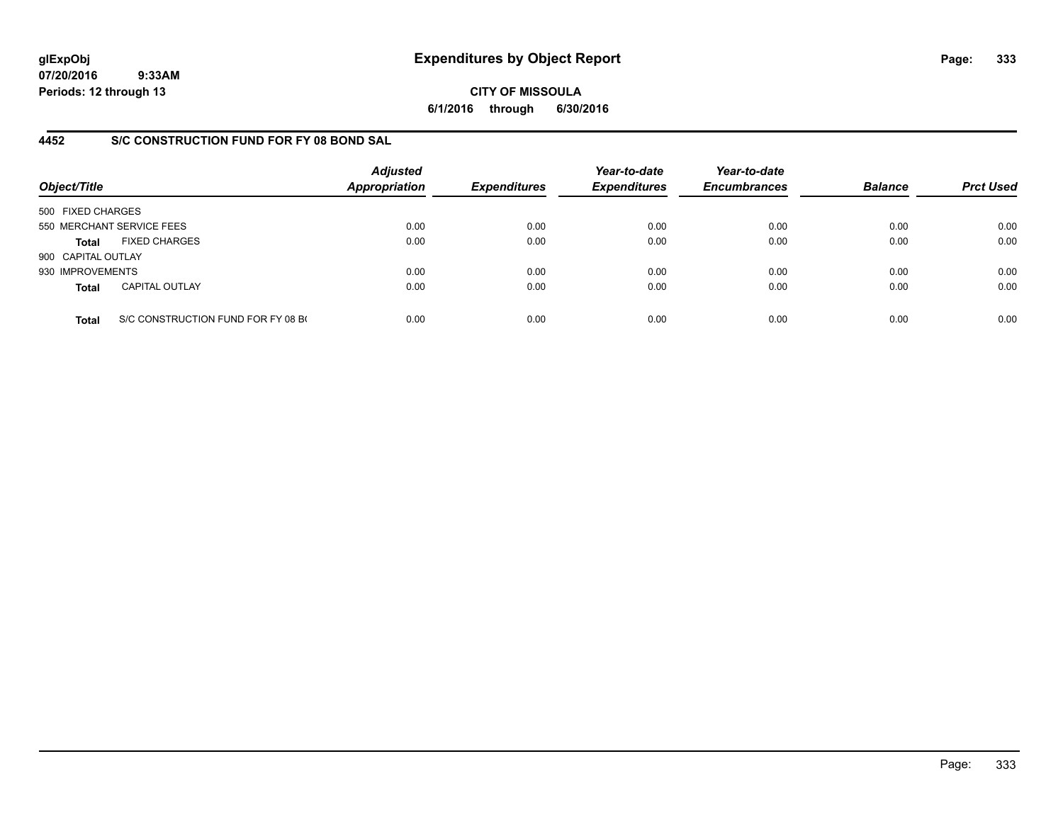**CITY OF MISSOULA 6/1/2016 through 6/30/2016**

# **4452 S/C CONSTRUCTION FUND FOR FY 08 BOND SAL**

| Object/Title       |                                    | <b>Adjusted</b><br><b>Appropriation</b> | <b>Expenditures</b> | Year-to-date<br><b>Expenditures</b> | Year-to-date<br><b>Encumbrances</b> | <b>Balance</b> | <b>Prct Used</b> |
|--------------------|------------------------------------|-----------------------------------------|---------------------|-------------------------------------|-------------------------------------|----------------|------------------|
| 500 FIXED CHARGES  |                                    |                                         |                     |                                     |                                     |                |                  |
|                    | 550 MERCHANT SERVICE FEES          | 0.00                                    | 0.00                | 0.00                                | 0.00                                | 0.00           | 0.00             |
| Total              | <b>FIXED CHARGES</b>               | 0.00                                    | 0.00                | 0.00                                | 0.00                                | 0.00           | 0.00             |
| 900 CAPITAL OUTLAY |                                    |                                         |                     |                                     |                                     |                |                  |
| 930 IMPROVEMENTS   |                                    | 0.00                                    | 0.00                | 0.00                                | 0.00                                | 0.00           | 0.00             |
| <b>Total</b>       | <b>CAPITAL OUTLAY</b>              | 0.00                                    | 0.00                | 0.00                                | 0.00                                | 0.00           | 0.00             |
| <b>Total</b>       | S/C CONSTRUCTION FUND FOR FY 08 BO | 0.00                                    | 0.00                | 0.00                                | 0.00                                | 0.00           | 0.00             |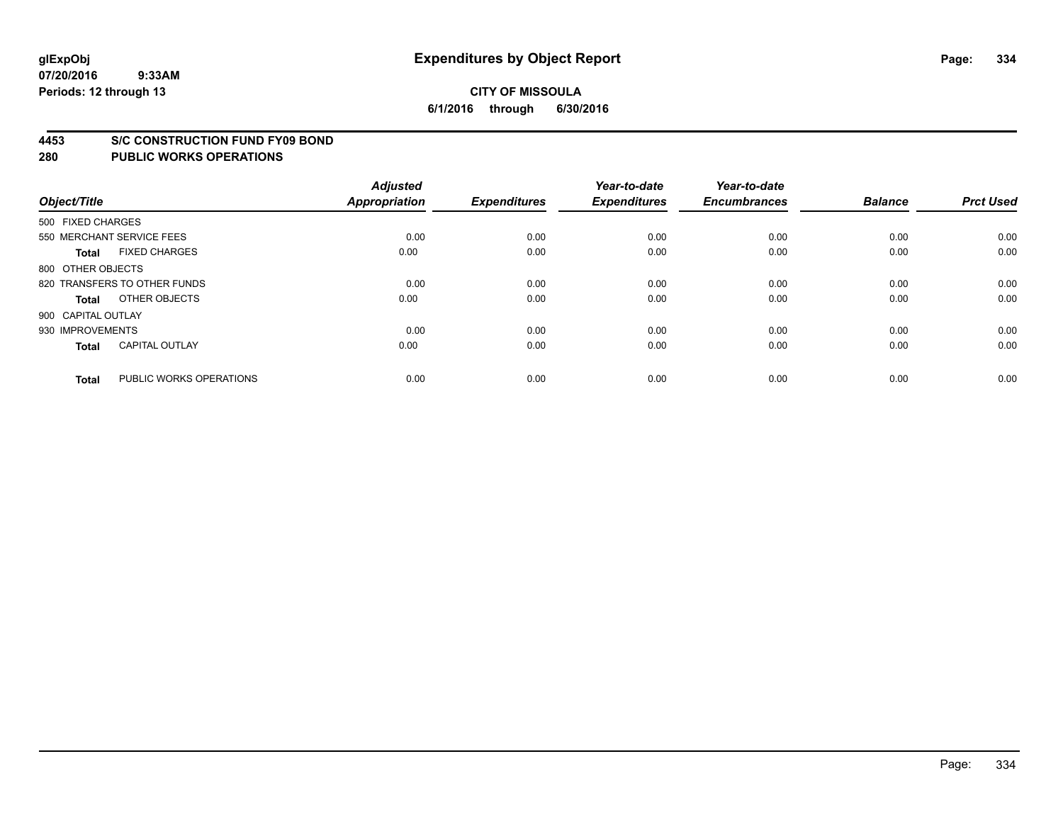#### **4453 S/C CONSTRUCTION FUND FY09 BOND**

| Object/Title       |                              | <b>Adjusted</b><br>Appropriation | <b>Expenditures</b> | Year-to-date<br><b>Expenditures</b> | Year-to-date<br><b>Encumbrances</b> | <b>Balance</b> | <b>Prct Used</b> |
|--------------------|------------------------------|----------------------------------|---------------------|-------------------------------------|-------------------------------------|----------------|------------------|
| 500 FIXED CHARGES  |                              |                                  |                     |                                     |                                     |                |                  |
|                    | 550 MERCHANT SERVICE FEES    | 0.00                             | 0.00                | 0.00                                | 0.00                                | 0.00           | 0.00             |
| <b>Total</b>       | <b>FIXED CHARGES</b>         | 0.00                             | 0.00                | 0.00                                | 0.00                                | 0.00           | 0.00             |
| 800 OTHER OBJECTS  |                              |                                  |                     |                                     |                                     |                |                  |
|                    | 820 TRANSFERS TO OTHER FUNDS | 0.00                             | 0.00                | 0.00                                | 0.00                                | 0.00           | 0.00             |
| Total              | OTHER OBJECTS                | 0.00                             | 0.00                | 0.00                                | 0.00                                | 0.00           | 0.00             |
| 900 CAPITAL OUTLAY |                              |                                  |                     |                                     |                                     |                |                  |
| 930 IMPROVEMENTS   |                              | 0.00                             | 0.00                | 0.00                                | 0.00                                | 0.00           | 0.00             |
| Total              | <b>CAPITAL OUTLAY</b>        | 0.00                             | 0.00                | 0.00                                | 0.00                                | 0.00           | 0.00             |
| <b>Total</b>       | PUBLIC WORKS OPERATIONS      | 0.00                             | 0.00                | 0.00                                | 0.00                                | 0.00           | 0.00             |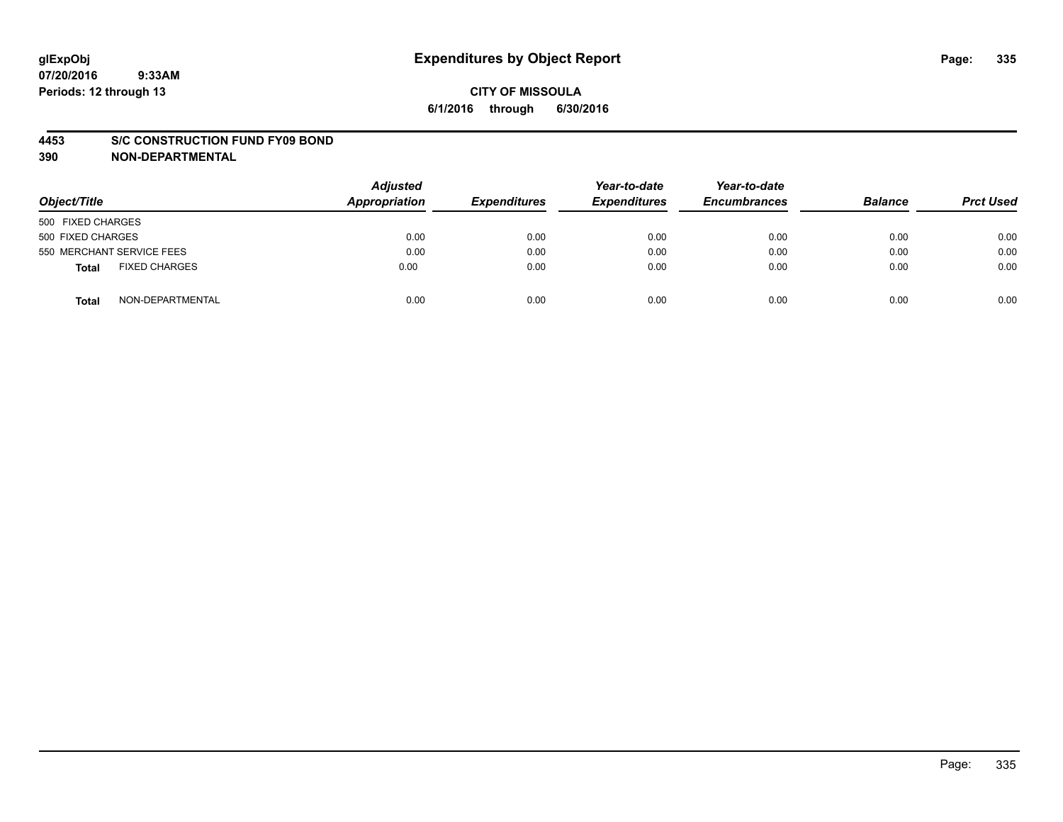#### **4453 S/C CONSTRUCTION FUND FY09 BOND**

**390 NON-DEPARTMENTAL**

| Object/Title                  | <b>Adjusted</b><br>Appropriation | <b>Expenditures</b> | Year-to-date<br><b>Expenditures</b> | Year-to-date<br><b>Encumbrances</b> | <b>Balance</b> | <b>Prct Used</b> |
|-------------------------------|----------------------------------|---------------------|-------------------------------------|-------------------------------------|----------------|------------------|
| 500 FIXED CHARGES             |                                  |                     |                                     |                                     |                |                  |
| 500 FIXED CHARGES             | 0.00                             | 0.00                | 0.00                                | 0.00                                | 0.00           | 0.00             |
| 550 MERCHANT SERVICE FEES     | 0.00                             | 0.00                | 0.00                                | 0.00                                | 0.00           | 0.00             |
| <b>FIXED CHARGES</b><br>Total | 0.00                             | 0.00                | 0.00                                | 0.00                                | 0.00           | 0.00             |
| NON-DEPARTMENTAL<br>Total     | 0.00                             | 0.00                | 0.00                                | 0.00                                | 0.00           | 0.00             |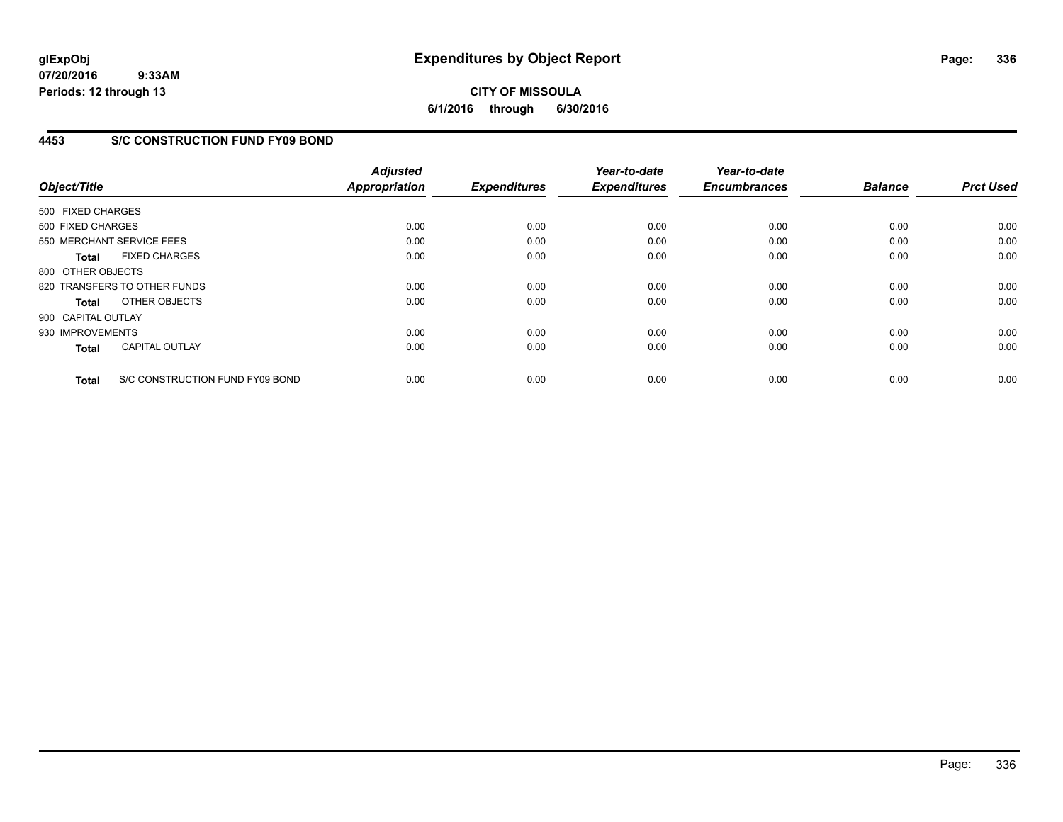# **CITY OF MISSOULA 6/1/2016 through 6/30/2016**

## **4453 S/C CONSTRUCTION FUND FY09 BOND**

| Object/Title       |                                 | <b>Adjusted</b><br><b>Appropriation</b> | <b>Expenditures</b> | Year-to-date<br><b>Expenditures</b> | Year-to-date<br><b>Encumbrances</b> | <b>Balance</b> | <b>Prct Used</b> |
|--------------------|---------------------------------|-----------------------------------------|---------------------|-------------------------------------|-------------------------------------|----------------|------------------|
| 500 FIXED CHARGES  |                                 |                                         |                     |                                     |                                     |                |                  |
| 500 FIXED CHARGES  |                                 | 0.00                                    | 0.00                | 0.00                                | 0.00                                | 0.00           | 0.00             |
|                    | 550 MERCHANT SERVICE FEES       | 0.00                                    | 0.00                | 0.00                                | 0.00                                | 0.00           | 0.00             |
| <b>Total</b>       | <b>FIXED CHARGES</b>            | 0.00                                    | 0.00                | 0.00                                | 0.00                                | 0.00           | 0.00             |
| 800 OTHER OBJECTS  |                                 |                                         |                     |                                     |                                     |                |                  |
|                    | 820 TRANSFERS TO OTHER FUNDS    | 0.00                                    | 0.00                | 0.00                                | 0.00                                | 0.00           | 0.00             |
| Total              | OTHER OBJECTS                   | 0.00                                    | 0.00                | 0.00                                | 0.00                                | 0.00           | 0.00             |
| 900 CAPITAL OUTLAY |                                 |                                         |                     |                                     |                                     |                |                  |
| 930 IMPROVEMENTS   |                                 | 0.00                                    | 0.00                | 0.00                                | 0.00                                | 0.00           | 0.00             |
| <b>Total</b>       | <b>CAPITAL OUTLAY</b>           | 0.00                                    | 0.00                | 0.00                                | 0.00                                | 0.00           | 0.00             |
| <b>Total</b>       | S/C CONSTRUCTION FUND FY09 BOND | 0.00                                    | 0.00                | 0.00                                | 0.00                                | 0.00           | 0.00             |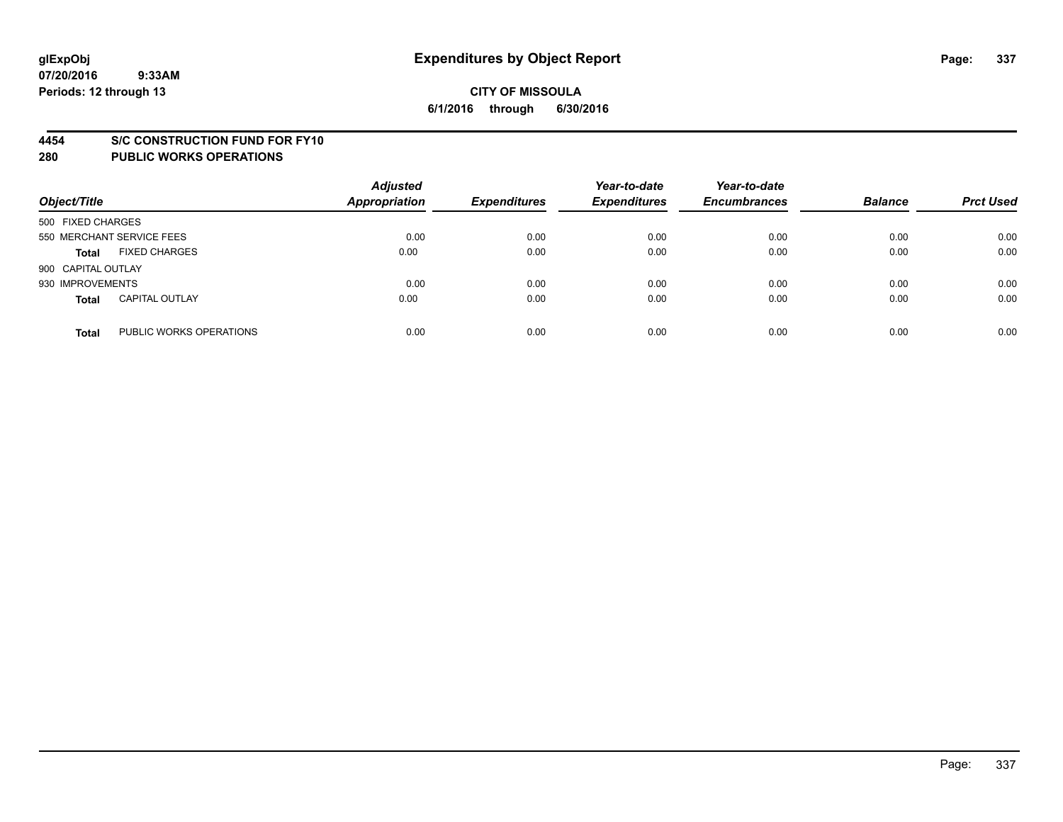#### **4454 S/C CONSTRUCTION FUND FOR FY10**

| Object/Title       |                           | <b>Adjusted</b><br><b>Appropriation</b> | <b>Expenditures</b> | Year-to-date<br><b>Expenditures</b> | Year-to-date<br><b>Encumbrances</b> | <b>Balance</b> | <b>Prct Used</b> |
|--------------------|---------------------------|-----------------------------------------|---------------------|-------------------------------------|-------------------------------------|----------------|------------------|
| 500 FIXED CHARGES  |                           |                                         |                     |                                     |                                     |                |                  |
|                    | 550 MERCHANT SERVICE FEES | 0.00                                    | 0.00                | 0.00                                | 0.00                                | 0.00           | 0.00             |
| <b>Total</b>       | <b>FIXED CHARGES</b>      | 0.00                                    | 0.00                | 0.00                                | 0.00                                | 0.00           | 0.00             |
| 900 CAPITAL OUTLAY |                           |                                         |                     |                                     |                                     |                |                  |
| 930 IMPROVEMENTS   |                           | 0.00                                    | 0.00                | 0.00                                | 0.00                                | 0.00           | 0.00             |
| <b>Total</b>       | <b>CAPITAL OUTLAY</b>     | 0.00                                    | 0.00                | 0.00                                | 0.00                                | 0.00           | 0.00             |
| <b>Total</b>       | PUBLIC WORKS OPERATIONS   | 0.00                                    | 0.00                | 0.00                                | 0.00                                | 0.00           | 0.00             |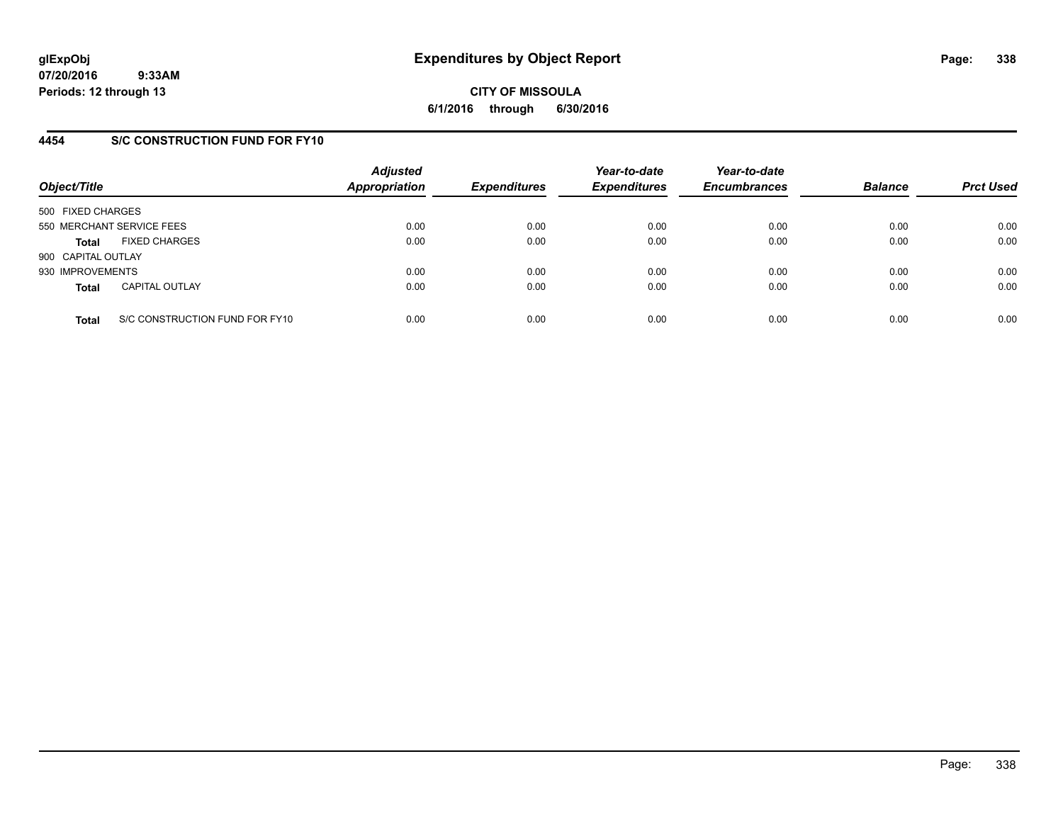**CITY OF MISSOULA 6/1/2016 through 6/30/2016**

## **4454 S/C CONSTRUCTION FUND FOR FY10**

| Object/Title       |                                | <b>Adjusted</b><br><b>Appropriation</b> | <b>Expenditures</b> | Year-to-date<br><b>Expenditures</b> | Year-to-date<br><b>Encumbrances</b> | <b>Balance</b> | <b>Prct Used</b> |
|--------------------|--------------------------------|-----------------------------------------|---------------------|-------------------------------------|-------------------------------------|----------------|------------------|
| 500 FIXED CHARGES  |                                |                                         |                     |                                     |                                     |                |                  |
|                    | 550 MERCHANT SERVICE FEES      | 0.00                                    | 0.00                | 0.00                                | 0.00                                | 0.00           | 0.00             |
| <b>Total</b>       | <b>FIXED CHARGES</b>           | 0.00                                    | 0.00                | 0.00                                | 0.00                                | 0.00           | 0.00             |
| 900 CAPITAL OUTLAY |                                |                                         |                     |                                     |                                     |                |                  |
| 930 IMPROVEMENTS   |                                | 0.00                                    | 0.00                | 0.00                                | 0.00                                | 0.00           | 0.00             |
| <b>Total</b>       | <b>CAPITAL OUTLAY</b>          | 0.00                                    | 0.00                | 0.00                                | 0.00                                | 0.00           | 0.00             |
| <b>Total</b>       | S/C CONSTRUCTION FUND FOR FY10 | 0.00                                    | 0.00                | 0.00                                | 0.00                                | 0.00           | 0.00             |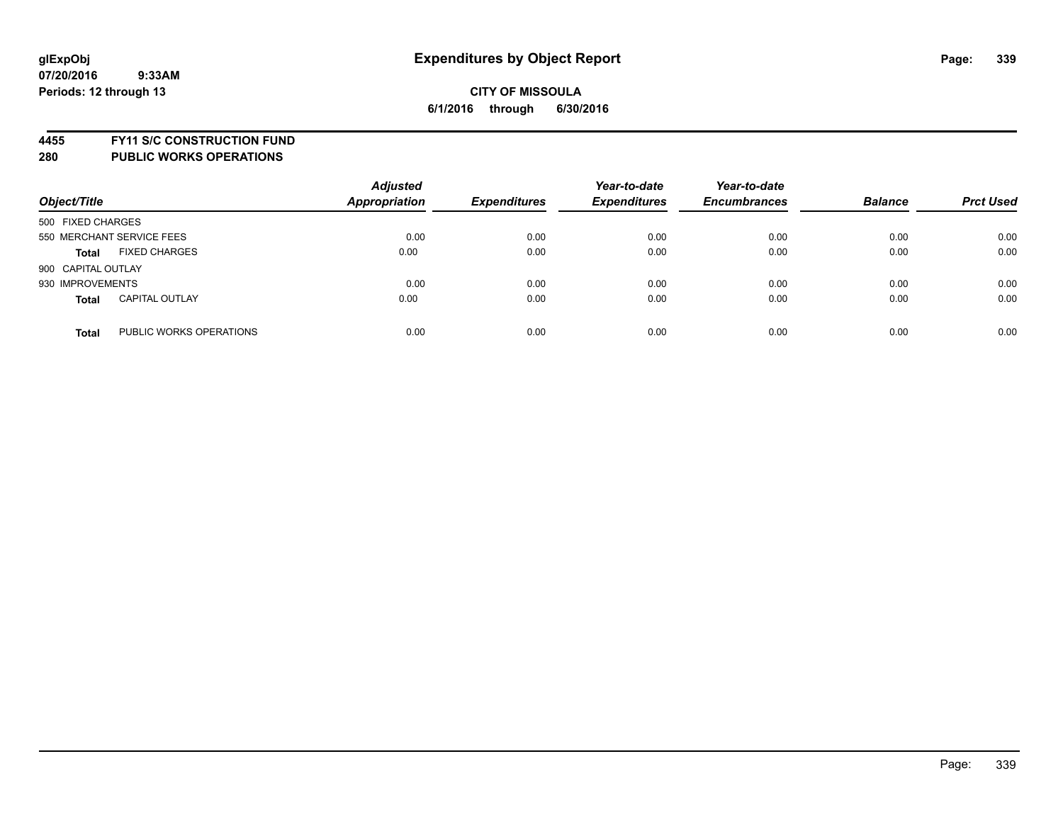**4455 FY11 S/C CONSTRUCTION FUND**

| Object/Title       |                           | <b>Adjusted</b><br><b>Appropriation</b> | <b>Expenditures</b> | Year-to-date<br><b>Expenditures</b> | Year-to-date<br><b>Encumbrances</b> | <b>Balance</b> | <b>Prct Used</b> |
|--------------------|---------------------------|-----------------------------------------|---------------------|-------------------------------------|-------------------------------------|----------------|------------------|
| 500 FIXED CHARGES  |                           |                                         |                     |                                     |                                     |                |                  |
|                    | 550 MERCHANT SERVICE FEES | 0.00                                    | 0.00                | 0.00                                | 0.00                                | 0.00           | 0.00             |
| <b>Total</b>       | <b>FIXED CHARGES</b>      | 0.00                                    | 0.00                | 0.00                                | 0.00                                | 0.00           | 0.00             |
| 900 CAPITAL OUTLAY |                           |                                         |                     |                                     |                                     |                |                  |
| 930 IMPROVEMENTS   |                           | 0.00                                    | 0.00                | 0.00                                | 0.00                                | 0.00           | 0.00             |
| <b>Total</b>       | <b>CAPITAL OUTLAY</b>     | 0.00                                    | 0.00                | 0.00                                | 0.00                                | 0.00           | 0.00             |
| <b>Total</b>       | PUBLIC WORKS OPERATIONS   | 0.00                                    | 0.00                | 0.00                                | 0.00                                | 0.00           | 0.00             |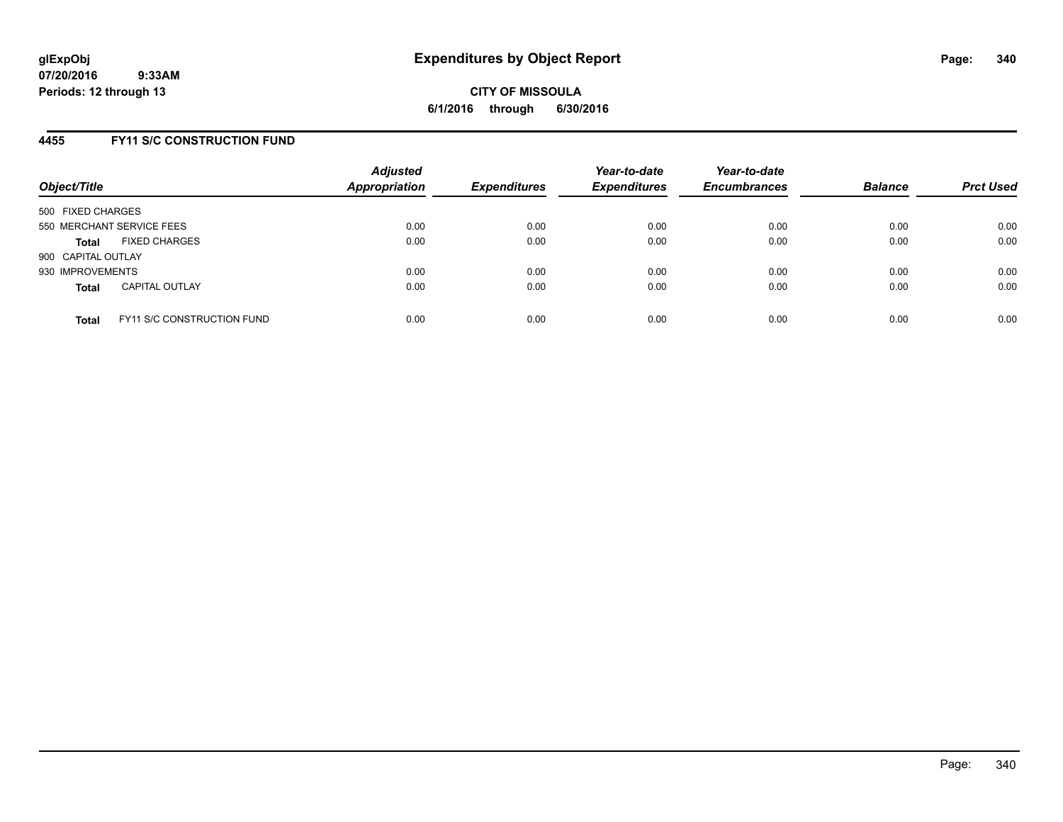## **4455 FY11 S/C CONSTRUCTION FUND**

| Object/Title              |                                   | <b>Adjusted</b><br>Appropriation | <b>Expenditures</b> | Year-to-date<br><b>Expenditures</b> | Year-to-date<br><b>Encumbrances</b> | <b>Balance</b> | <b>Prct Used</b> |
|---------------------------|-----------------------------------|----------------------------------|---------------------|-------------------------------------|-------------------------------------|----------------|------------------|
| 500 FIXED CHARGES         |                                   |                                  |                     |                                     |                                     |                |                  |
| 550 MERCHANT SERVICE FEES |                                   | 0.00                             | 0.00                | 0.00                                | 0.00                                | 0.00           | 0.00             |
| <b>Total</b>              | <b>FIXED CHARGES</b>              | 0.00                             | 0.00                | 0.00                                | 0.00                                | 0.00           | 0.00             |
| 900 CAPITAL OUTLAY        |                                   |                                  |                     |                                     |                                     |                |                  |
| 930 IMPROVEMENTS          |                                   | 0.00                             | 0.00                | 0.00                                | 0.00                                | 0.00           | 0.00             |
| <b>Total</b>              | <b>CAPITAL OUTLAY</b>             | 0.00                             | 0.00                | 0.00                                | 0.00                                | 0.00           | 0.00             |
| <b>Total</b>              | <b>FY11 S/C CONSTRUCTION FUND</b> | 0.00                             | 0.00                | 0.00                                | 0.00                                | 0.00           | 0.00             |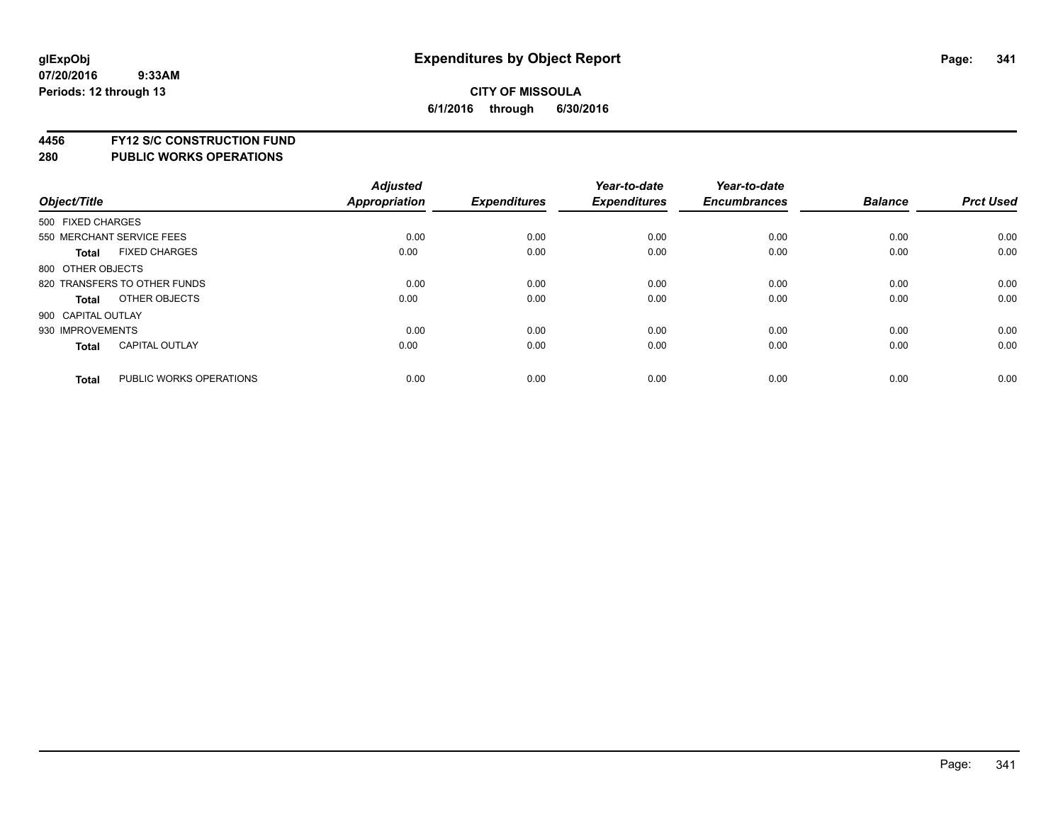# **4456 FY12 S/C CONSTRUCTION FUND**

| Object/Title       |                              | <b>Adjusted</b><br>Appropriation | <b>Expenditures</b> | Year-to-date<br><b>Expenditures</b> | Year-to-date<br><b>Encumbrances</b> | <b>Balance</b> | <b>Prct Used</b> |
|--------------------|------------------------------|----------------------------------|---------------------|-------------------------------------|-------------------------------------|----------------|------------------|
|                    |                              |                                  |                     |                                     |                                     |                |                  |
| 500 FIXED CHARGES  |                              |                                  |                     |                                     |                                     |                |                  |
|                    | 550 MERCHANT SERVICE FEES    | 0.00                             | 0.00                | 0.00                                | 0.00                                | 0.00           | 0.00             |
| <b>Total</b>       | <b>FIXED CHARGES</b>         | 0.00                             | 0.00                | 0.00                                | 0.00                                | 0.00           | 0.00             |
| 800 OTHER OBJECTS  |                              |                                  |                     |                                     |                                     |                |                  |
|                    | 820 TRANSFERS TO OTHER FUNDS | 0.00                             | 0.00                | 0.00                                | 0.00                                | 0.00           | 0.00             |
| <b>Total</b>       | OTHER OBJECTS                | 0.00                             | 0.00                | 0.00                                | 0.00                                | 0.00           | 0.00             |
| 900 CAPITAL OUTLAY |                              |                                  |                     |                                     |                                     |                |                  |
| 930 IMPROVEMENTS   |                              | 0.00                             | 0.00                | 0.00                                | 0.00                                | 0.00           | 0.00             |
| Total              | <b>CAPITAL OUTLAY</b>        | 0.00                             | 0.00                | 0.00                                | 0.00                                | 0.00           | 0.00             |
| <b>Total</b>       | PUBLIC WORKS OPERATIONS      | 0.00                             | 0.00                | 0.00                                | 0.00                                | 0.00           | 0.00             |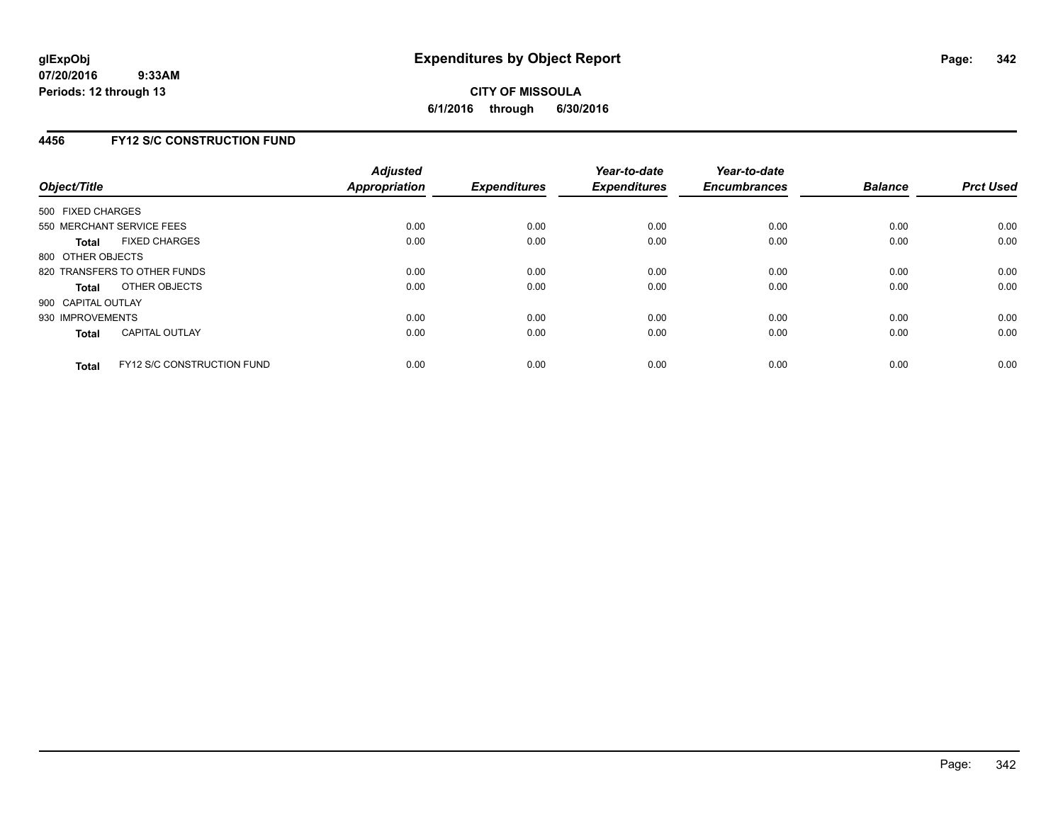## **4456 FY12 S/C CONSTRUCTION FUND**

| Object/Title       |                                   | <b>Adjusted</b><br><b>Appropriation</b> | <b>Expenditures</b> | Year-to-date<br><b>Expenditures</b> | Year-to-date<br><b>Encumbrances</b> | <b>Balance</b> | <b>Prct Used</b> |
|--------------------|-----------------------------------|-----------------------------------------|---------------------|-------------------------------------|-------------------------------------|----------------|------------------|
| 500 FIXED CHARGES  |                                   |                                         |                     |                                     |                                     |                |                  |
|                    | 550 MERCHANT SERVICE FEES         | 0.00                                    | 0.00                | 0.00                                | 0.00                                | 0.00           | 0.00             |
| <b>Total</b>       | <b>FIXED CHARGES</b>              | 0.00                                    | 0.00                | 0.00                                | 0.00                                | 0.00           | 0.00             |
| 800 OTHER OBJECTS  |                                   |                                         |                     |                                     |                                     |                |                  |
|                    | 820 TRANSFERS TO OTHER FUNDS      | 0.00                                    | 0.00                | 0.00                                | 0.00                                | 0.00           | 0.00             |
| <b>Total</b>       | OTHER OBJECTS                     | 0.00                                    | 0.00                | 0.00                                | 0.00                                | 0.00           | 0.00             |
| 900 CAPITAL OUTLAY |                                   |                                         |                     |                                     |                                     |                |                  |
| 930 IMPROVEMENTS   |                                   | 0.00                                    | 0.00                | 0.00                                | 0.00                                | 0.00           | 0.00             |
| Total              | <b>CAPITAL OUTLAY</b>             | 0.00                                    | 0.00                | 0.00                                | 0.00                                | 0.00           | 0.00             |
| <b>Total</b>       | <b>FY12 S/C CONSTRUCTION FUND</b> | 0.00                                    | 0.00                | 0.00                                | 0.00                                | 0.00           | 0.00             |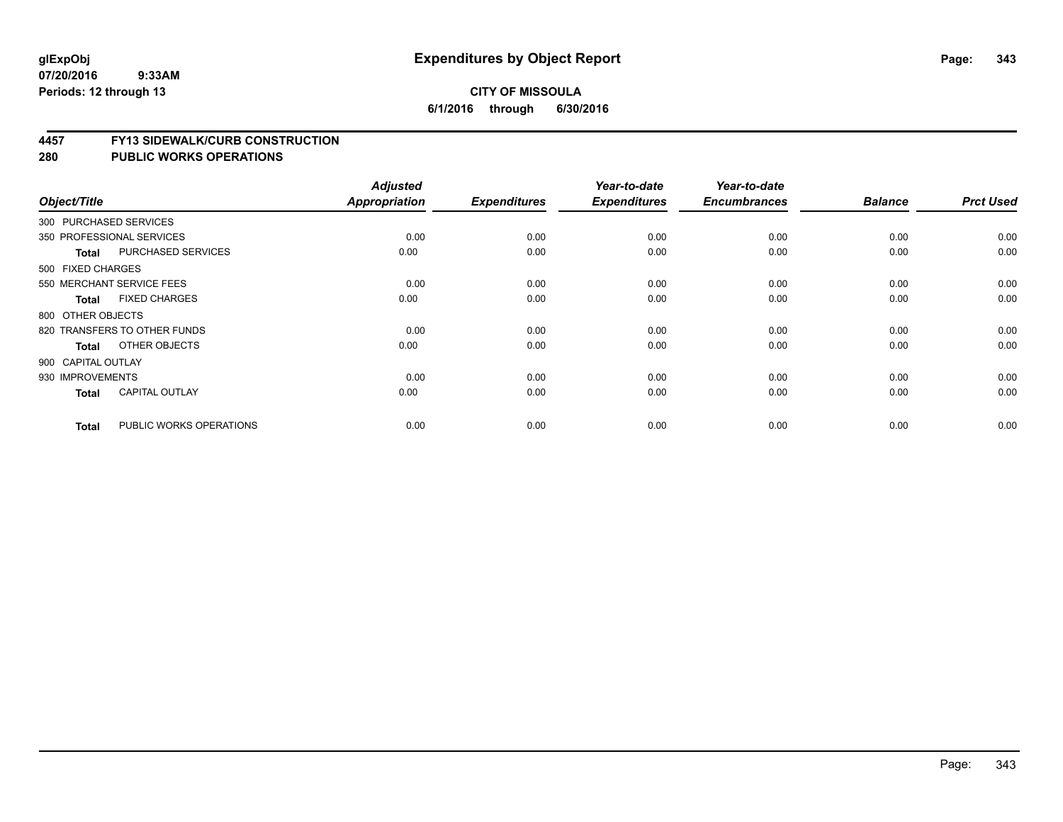#### **4457 FY13 SIDEWALK/CURB CONSTRUCTION**

| Object/Title       |                              | <b>Adjusted</b><br>Appropriation | <b>Expenditures</b> | Year-to-date<br><b>Expenditures</b> | Year-to-date<br><b>Encumbrances</b> | <b>Balance</b> | <b>Prct Used</b> |
|--------------------|------------------------------|----------------------------------|---------------------|-------------------------------------|-------------------------------------|----------------|------------------|
|                    |                              |                                  |                     |                                     |                                     |                |                  |
|                    | 300 PURCHASED SERVICES       |                                  |                     |                                     |                                     |                |                  |
|                    | 350 PROFESSIONAL SERVICES    | 0.00                             | 0.00                | 0.00                                | 0.00                                | 0.00           | 0.00             |
| <b>Total</b>       | PURCHASED SERVICES           | 0.00                             | 0.00                | 0.00                                | 0.00                                | 0.00           | 0.00             |
| 500 FIXED CHARGES  |                              |                                  |                     |                                     |                                     |                |                  |
|                    | 550 MERCHANT SERVICE FEES    | 0.00                             | 0.00                | 0.00                                | 0.00                                | 0.00           | 0.00             |
| <b>Total</b>       | <b>FIXED CHARGES</b>         | 0.00                             | 0.00                | 0.00                                | 0.00                                | 0.00           | 0.00             |
| 800 OTHER OBJECTS  |                              |                                  |                     |                                     |                                     |                |                  |
|                    | 820 TRANSFERS TO OTHER FUNDS | 0.00                             | 0.00                | 0.00                                | 0.00                                | 0.00           | 0.00             |
| <b>Total</b>       | OTHER OBJECTS                | 0.00                             | 0.00                | 0.00                                | 0.00                                | 0.00           | 0.00             |
| 900 CAPITAL OUTLAY |                              |                                  |                     |                                     |                                     |                |                  |
| 930 IMPROVEMENTS   |                              | 0.00                             | 0.00                | 0.00                                | 0.00                                | 0.00           | 0.00             |
| <b>Total</b>       | <b>CAPITAL OUTLAY</b>        | 0.00                             | 0.00                | 0.00                                | 0.00                                | 0.00           | 0.00             |
| <b>Total</b>       | PUBLIC WORKS OPERATIONS      | 0.00                             | 0.00                | 0.00                                | 0.00                                | 0.00           | 0.00             |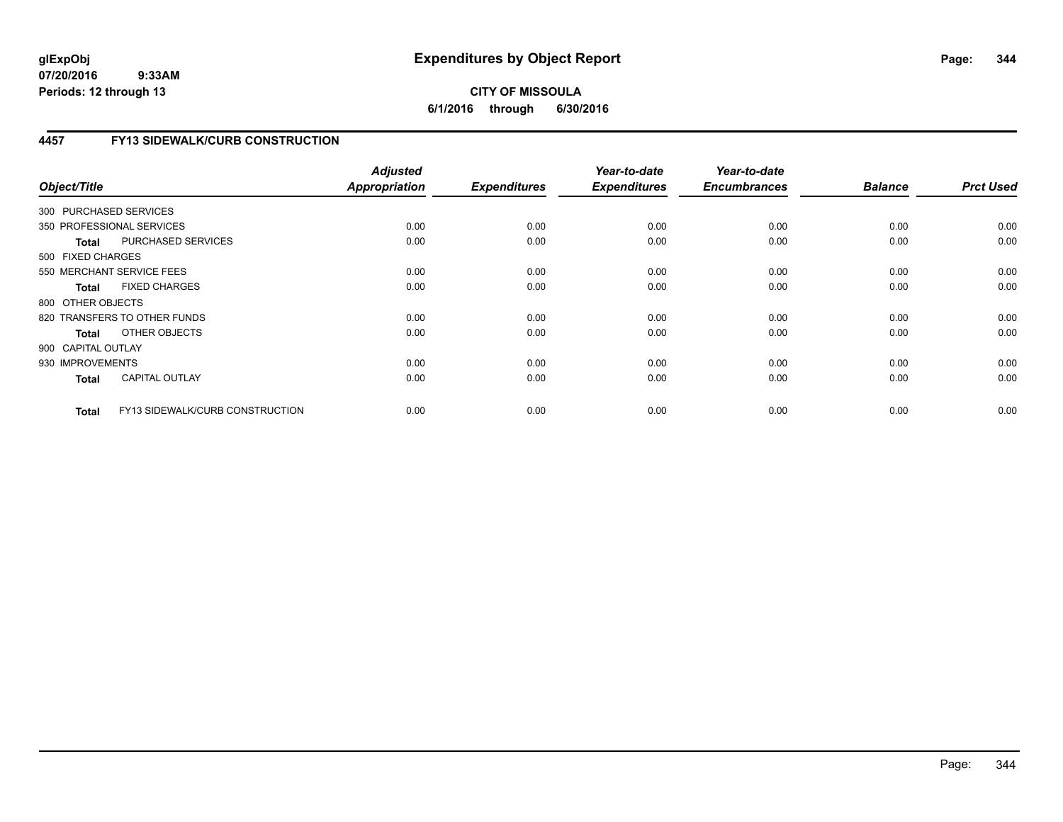# **CITY OF MISSOULA 6/1/2016 through 6/30/2016**

# **4457 FY13 SIDEWALK/CURB CONSTRUCTION**

| Object/Title           |                                 | <b>Adjusted</b><br><b>Appropriation</b> | <b>Expenditures</b> | Year-to-date<br><b>Expenditures</b> | Year-to-date<br><b>Encumbrances</b> | <b>Balance</b> | <b>Prct Used</b> |
|------------------------|---------------------------------|-----------------------------------------|---------------------|-------------------------------------|-------------------------------------|----------------|------------------|
| 300 PURCHASED SERVICES |                                 |                                         |                     |                                     |                                     |                |                  |
|                        | 350 PROFESSIONAL SERVICES       | 0.00                                    | 0.00                | 0.00                                | 0.00                                | 0.00           | 0.00             |
| <b>Total</b>           | PURCHASED SERVICES              | 0.00                                    | 0.00                | 0.00                                | 0.00                                | 0.00           | 0.00             |
| 500 FIXED CHARGES      |                                 |                                         |                     |                                     |                                     |                |                  |
|                        | 550 MERCHANT SERVICE FEES       | 0.00                                    | 0.00                | 0.00                                | 0.00                                | 0.00           | 0.00             |
| <b>Total</b>           | <b>FIXED CHARGES</b>            | 0.00                                    | 0.00                | 0.00                                | 0.00                                | 0.00           | 0.00             |
| 800 OTHER OBJECTS      |                                 |                                         |                     |                                     |                                     |                |                  |
|                        | 820 TRANSFERS TO OTHER FUNDS    | 0.00                                    | 0.00                | 0.00                                | 0.00                                | 0.00           | 0.00             |
| Total                  | OTHER OBJECTS                   | 0.00                                    | 0.00                | 0.00                                | 0.00                                | 0.00           | 0.00             |
| 900 CAPITAL OUTLAY     |                                 |                                         |                     |                                     |                                     |                |                  |
| 930 IMPROVEMENTS       |                                 | 0.00                                    | 0.00                | 0.00                                | 0.00                                | 0.00           | 0.00             |
| <b>Total</b>           | <b>CAPITAL OUTLAY</b>           | 0.00                                    | 0.00                | 0.00                                | 0.00                                | 0.00           | 0.00             |
| <b>Total</b>           | FY13 SIDEWALK/CURB CONSTRUCTION | 0.00                                    | 0.00                | 0.00                                | 0.00                                | 0.00           | 0.00             |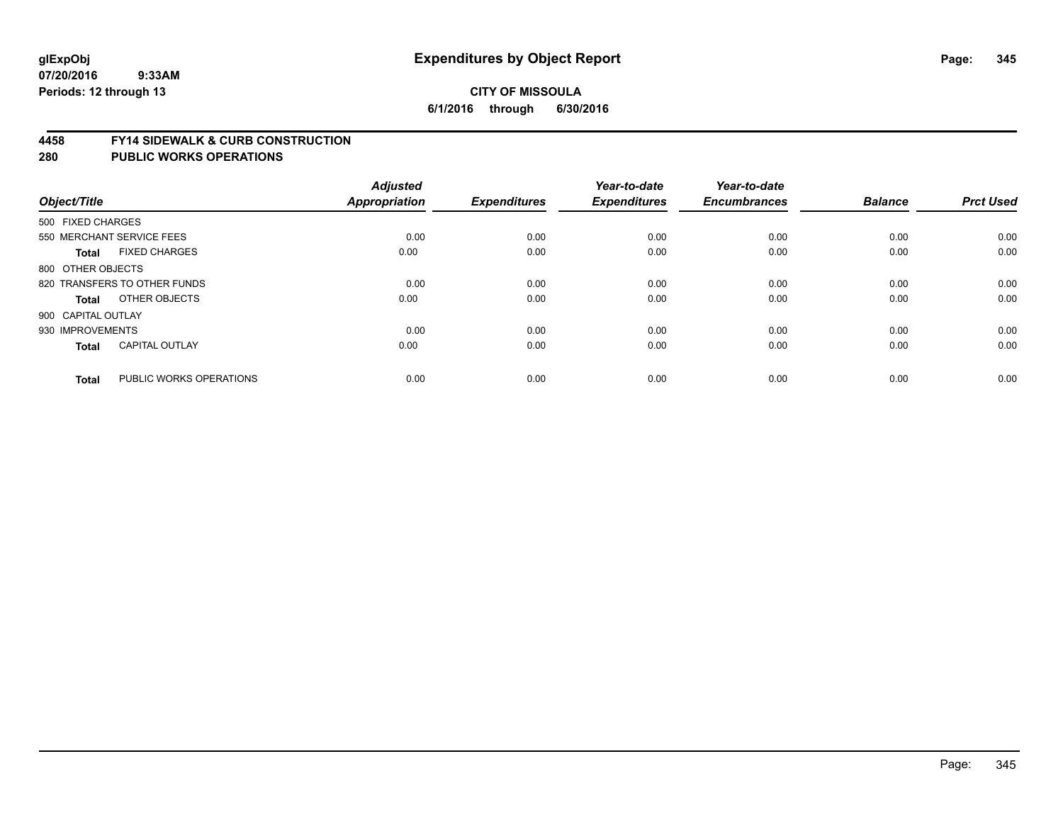#### **4458 FY14 SIDEWALK & CURB CONSTRUCTION**

| Object/Title       |                              | <b>Adjusted</b><br><b>Appropriation</b> | <b>Expenditures</b> | Year-to-date<br><b>Expenditures</b> | Year-to-date<br><b>Encumbrances</b> | <b>Balance</b> | <b>Prct Used</b> |
|--------------------|------------------------------|-----------------------------------------|---------------------|-------------------------------------|-------------------------------------|----------------|------------------|
| 500 FIXED CHARGES  |                              |                                         |                     |                                     |                                     |                |                  |
|                    | 550 MERCHANT SERVICE FEES    | 0.00                                    | 0.00                | 0.00                                | 0.00                                | 0.00           | 0.00             |
| <b>Total</b>       | <b>FIXED CHARGES</b>         | 0.00                                    | 0.00                | 0.00                                | 0.00                                | 0.00           | 0.00             |
| 800 OTHER OBJECTS  |                              |                                         |                     |                                     |                                     |                |                  |
|                    | 820 TRANSFERS TO OTHER FUNDS | 0.00                                    | 0.00                | 0.00                                | 0.00                                | 0.00           | 0.00             |
| Total              | OTHER OBJECTS                | 0.00                                    | 0.00                | 0.00                                | 0.00                                | 0.00           | 0.00             |
| 900 CAPITAL OUTLAY |                              |                                         |                     |                                     |                                     |                |                  |
| 930 IMPROVEMENTS   |                              | 0.00                                    | 0.00                | 0.00                                | 0.00                                | 0.00           | 0.00             |
| <b>Total</b>       | <b>CAPITAL OUTLAY</b>        | 0.00                                    | 0.00                | 0.00                                | 0.00                                | 0.00           | 0.00             |
| <b>Total</b>       | PUBLIC WORKS OPERATIONS      | 0.00                                    | 0.00                | 0.00                                | 0.00                                | 0.00           | 0.00             |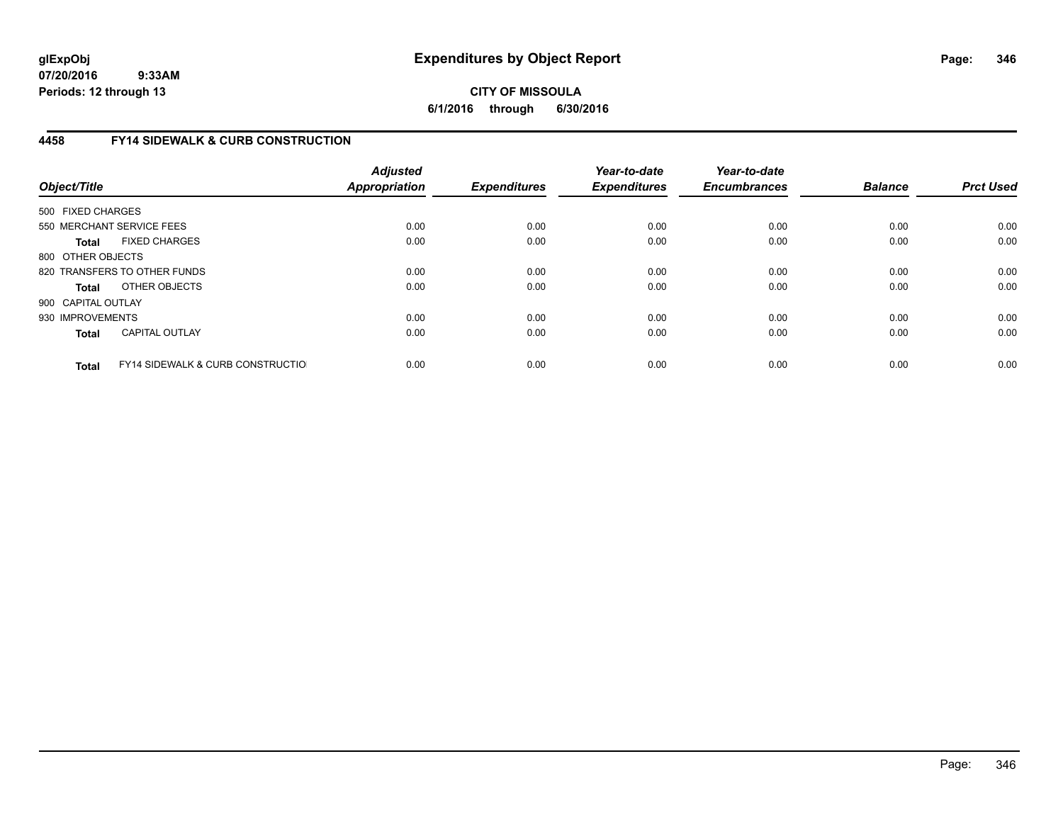**CITY OF MISSOULA 6/1/2016 through 6/30/2016**

# **4458 FY14 SIDEWALK & CURB CONSTRUCTION**

| Object/Title       |                                              | <b>Adjusted</b><br>Appropriation | <b>Expenditures</b> | Year-to-date<br><b>Expenditures</b> | Year-to-date<br><b>Encumbrances</b> | <b>Balance</b> | <b>Prct Used</b> |
|--------------------|----------------------------------------------|----------------------------------|---------------------|-------------------------------------|-------------------------------------|----------------|------------------|
| 500 FIXED CHARGES  |                                              |                                  |                     |                                     |                                     |                |                  |
|                    | 550 MERCHANT SERVICE FEES                    | 0.00                             | 0.00                | 0.00                                | 0.00                                | 0.00           | 0.00             |
| <b>Total</b>       | <b>FIXED CHARGES</b>                         | 0.00                             | 0.00                | 0.00                                | 0.00                                | 0.00           | 0.00             |
| 800 OTHER OBJECTS  |                                              |                                  |                     |                                     |                                     |                |                  |
|                    | 820 TRANSFERS TO OTHER FUNDS                 | 0.00                             | 0.00                | 0.00                                | 0.00                                | 0.00           | 0.00             |
| <b>Total</b>       | OTHER OBJECTS                                | 0.00                             | 0.00                | 0.00                                | 0.00                                | 0.00           | 0.00             |
| 900 CAPITAL OUTLAY |                                              |                                  |                     |                                     |                                     |                |                  |
| 930 IMPROVEMENTS   |                                              | 0.00                             | 0.00                | 0.00                                | 0.00                                | 0.00           | 0.00             |
| <b>Total</b>       | <b>CAPITAL OUTLAY</b>                        | 0.00                             | 0.00                | 0.00                                | 0.00                                | 0.00           | 0.00             |
| <b>Total</b>       | <b>FY14 SIDEWALK &amp; CURB CONSTRUCTIOL</b> | 0.00                             | 0.00                | 0.00                                | 0.00                                | 0.00           | 0.00             |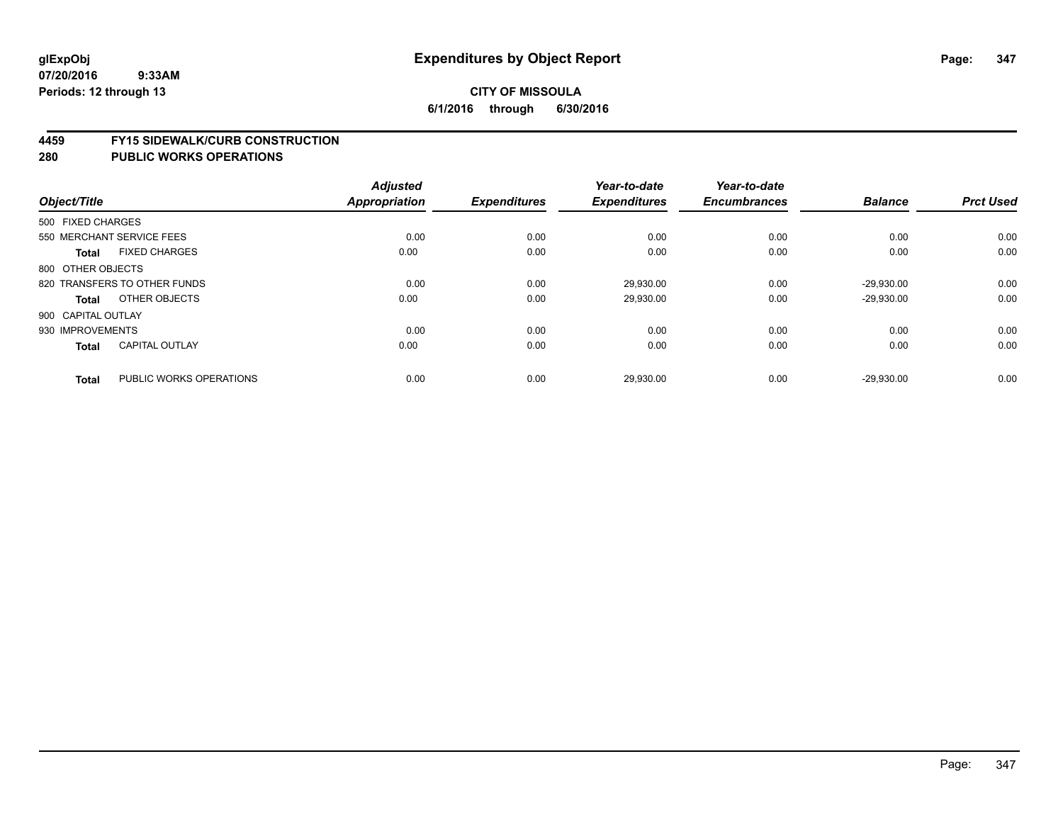#### **4459 FY15 SIDEWALK/CURB CONSTRUCTION**

| Object/Title       |                              | <b>Adjusted</b><br><b>Appropriation</b> | <b>Expenditures</b> | Year-to-date<br><b>Expenditures</b> | Year-to-date<br><b>Encumbrances</b> | <b>Balance</b> | <b>Prct Used</b> |
|--------------------|------------------------------|-----------------------------------------|---------------------|-------------------------------------|-------------------------------------|----------------|------------------|
| 500 FIXED CHARGES  |                              |                                         |                     |                                     |                                     |                |                  |
|                    | 550 MERCHANT SERVICE FEES    | 0.00                                    | 0.00                | 0.00                                | 0.00                                | 0.00           | 0.00             |
| <b>Total</b>       | <b>FIXED CHARGES</b>         | 0.00                                    | 0.00                | 0.00                                | 0.00                                | 0.00           | 0.00             |
| 800 OTHER OBJECTS  |                              |                                         |                     |                                     |                                     |                |                  |
|                    | 820 TRANSFERS TO OTHER FUNDS | 0.00                                    | 0.00                | 29,930.00                           | 0.00                                | $-29,930.00$   | 0.00             |
| Total              | OTHER OBJECTS                | 0.00                                    | 0.00                | 29,930.00                           | 0.00                                | $-29,930.00$   | 0.00             |
| 900 CAPITAL OUTLAY |                              |                                         |                     |                                     |                                     |                |                  |
| 930 IMPROVEMENTS   |                              | 0.00                                    | 0.00                | 0.00                                | 0.00                                | 0.00           | 0.00             |
| Total              | <b>CAPITAL OUTLAY</b>        | 0.00                                    | 0.00                | 0.00                                | 0.00                                | 0.00           | 0.00             |
| <b>Total</b>       | PUBLIC WORKS OPERATIONS      | 0.00                                    | 0.00                | 29,930.00                           | 0.00                                | $-29,930.00$   | 0.00             |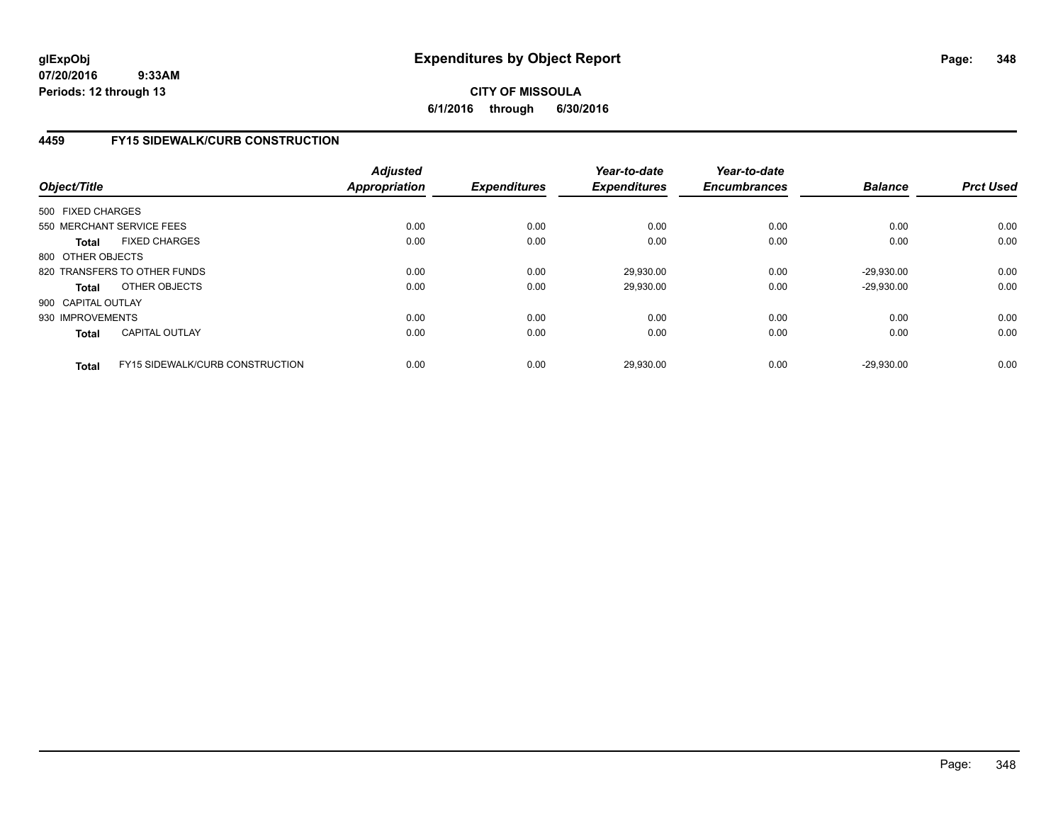# **CITY OF MISSOULA 6/1/2016 through 6/30/2016**

# **4459 FY15 SIDEWALK/CURB CONSTRUCTION**

| Object/Title       |                                        | <b>Adjusted</b><br><b>Appropriation</b> | <b>Expenditures</b> | Year-to-date<br><b>Expenditures</b> | Year-to-date<br><b>Encumbrances</b> | <b>Balance</b> | <b>Prct Used</b> |
|--------------------|----------------------------------------|-----------------------------------------|---------------------|-------------------------------------|-------------------------------------|----------------|------------------|
| 500 FIXED CHARGES  |                                        |                                         |                     |                                     |                                     |                |                  |
|                    | 550 MERCHANT SERVICE FEES              | 0.00                                    | 0.00                | 0.00                                | 0.00                                | 0.00           | 0.00             |
| Total              | <b>FIXED CHARGES</b>                   | 0.00                                    | 0.00                | 0.00                                | 0.00                                | 0.00           | 0.00             |
| 800 OTHER OBJECTS  |                                        |                                         |                     |                                     |                                     |                |                  |
|                    | 820 TRANSFERS TO OTHER FUNDS           | 0.00                                    | 0.00                | 29,930.00                           | 0.00                                | $-29,930.00$   | 0.00             |
| Total              | OTHER OBJECTS                          | 0.00                                    | 0.00                | 29,930.00                           | 0.00                                | $-29.930.00$   | 0.00             |
| 900 CAPITAL OUTLAY |                                        |                                         |                     |                                     |                                     |                |                  |
| 930 IMPROVEMENTS   |                                        | 0.00                                    | 0.00                | 0.00                                | 0.00                                | 0.00           | 0.00             |
| <b>Total</b>       | CAPITAL OUTLAY                         | 0.00                                    | 0.00                | 0.00                                | 0.00                                | 0.00           | 0.00             |
| <b>Total</b>       | <b>FY15 SIDEWALK/CURB CONSTRUCTION</b> | 0.00                                    | 0.00                | 29.930.00                           | 0.00                                | $-29.930.00$   | 0.00             |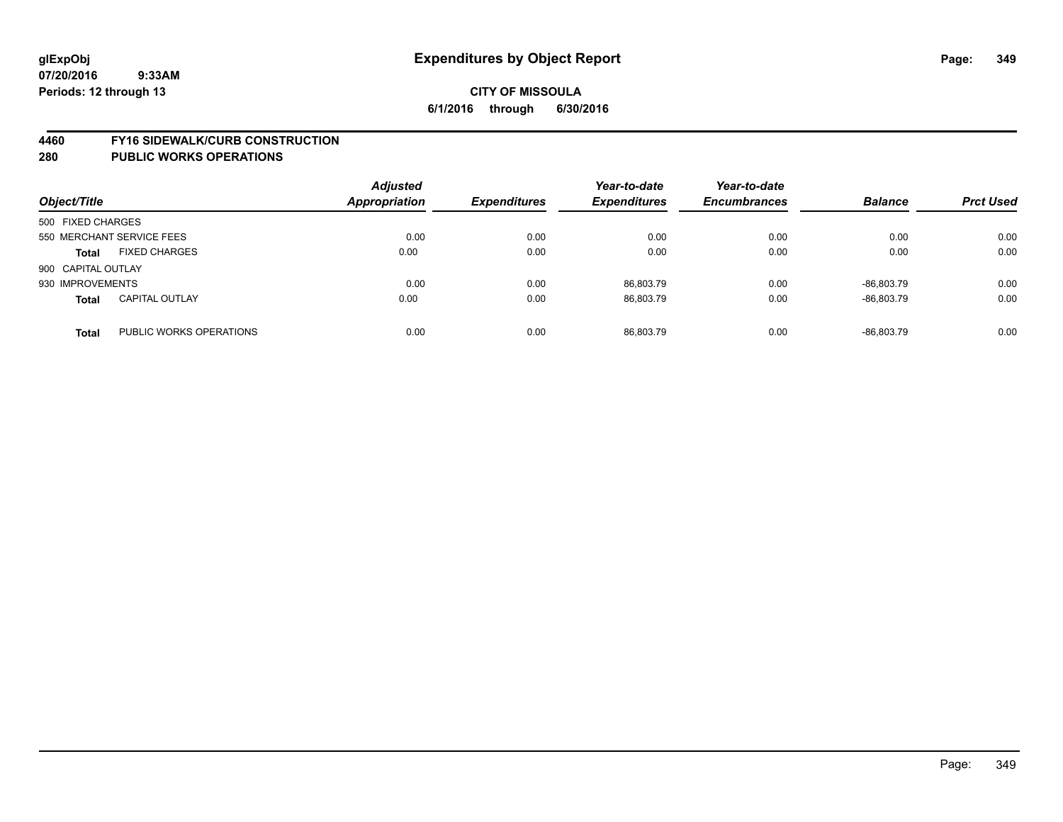#### **4460 FY16 SIDEWALK/CURB CONSTRUCTION**

| Object/Title       |                           | <b>Adjusted</b><br><b>Appropriation</b> | <b>Expenditures</b> | Year-to-date<br><b>Expenditures</b> | Year-to-date<br><b>Encumbrances</b> | <b>Balance</b> | <b>Prct Used</b> |
|--------------------|---------------------------|-----------------------------------------|---------------------|-------------------------------------|-------------------------------------|----------------|------------------|
| 500 FIXED CHARGES  |                           |                                         |                     |                                     |                                     |                |                  |
|                    | 550 MERCHANT SERVICE FEES | 0.00                                    | 0.00                | 0.00                                | 0.00                                | 0.00           | 0.00             |
| <b>Total</b>       | <b>FIXED CHARGES</b>      | 0.00                                    | 0.00                | 0.00                                | 0.00                                | 0.00           | 0.00             |
| 900 CAPITAL OUTLAY |                           |                                         |                     |                                     |                                     |                |                  |
| 930 IMPROVEMENTS   |                           | 0.00                                    | 0.00                | 86,803.79                           | 0.00                                | -86.803.79     | 0.00             |
| <b>Total</b>       | <b>CAPITAL OUTLAY</b>     | 0.00                                    | 0.00                | 86.803.79                           | 0.00                                | -86.803.79     | 0.00             |
| <b>Total</b>       | PUBLIC WORKS OPERATIONS   | 0.00                                    | 0.00                | 86.803.79                           | 0.00                                | -86.803.79     | 0.00             |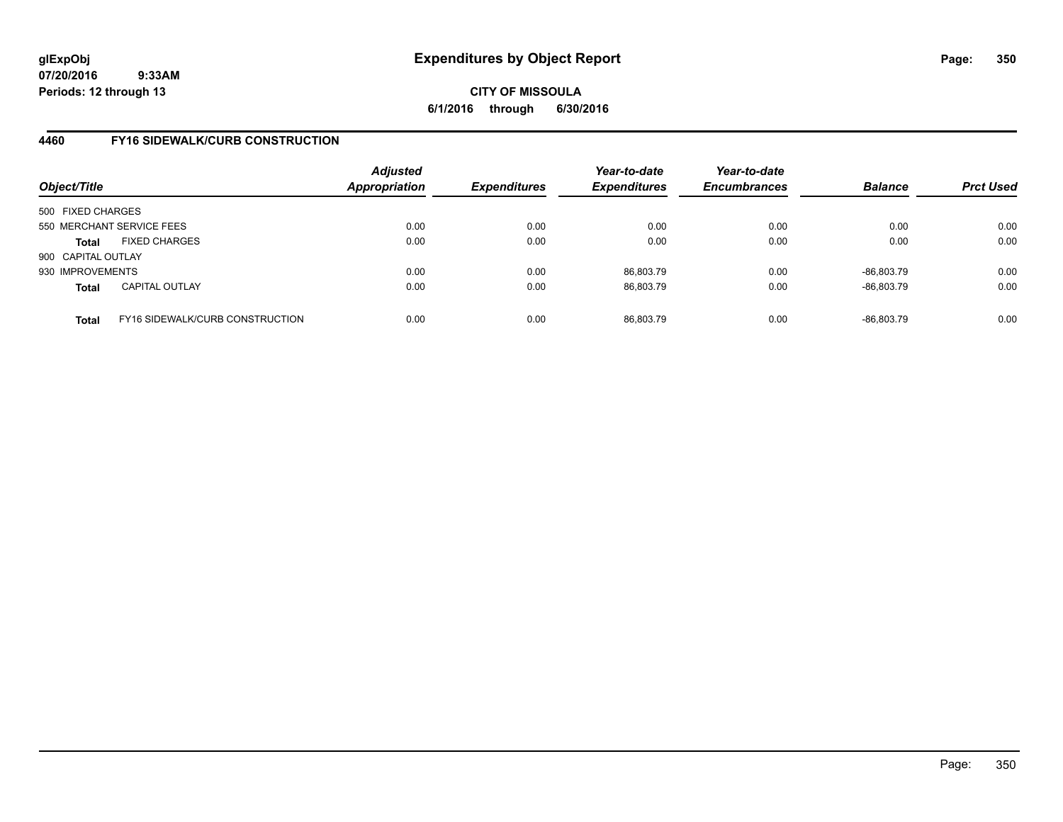# **CITY OF MISSOULA 6/1/2016 through 6/30/2016**

# **4460 FY16 SIDEWALK/CURB CONSTRUCTION**

| Object/Title       |                                 | <b>Adjusted</b><br>Appropriation | <b>Expenditures</b> | Year-to-date<br><b>Expenditures</b> | Year-to-date<br><b>Encumbrances</b> | <b>Balance</b> | <b>Prct Used</b> |
|--------------------|---------------------------------|----------------------------------|---------------------|-------------------------------------|-------------------------------------|----------------|------------------|
| 500 FIXED CHARGES  |                                 |                                  |                     |                                     |                                     |                |                  |
|                    | 550 MERCHANT SERVICE FEES       | 0.00                             | 0.00                | 0.00                                | 0.00                                | 0.00           | 0.00             |
| <b>Total</b>       | <b>FIXED CHARGES</b>            | 0.00                             | 0.00                | 0.00                                | 0.00                                | 0.00           | 0.00             |
| 900 CAPITAL OUTLAY |                                 |                                  |                     |                                     |                                     |                |                  |
| 930 IMPROVEMENTS   |                                 | 0.00                             | 0.00                | 86.803.79                           | 0.00                                | -86.803.79     | 0.00             |
| <b>Total</b>       | <b>CAPITAL OUTLAY</b>           | 0.00                             | 0.00                | 86,803.79                           | 0.00                                | $-86,803.79$   | 0.00             |
| <b>Total</b>       | FY16 SIDEWALK/CURB CONSTRUCTION | 0.00                             | 0.00                | 86.803.79                           | 0.00                                | -86.803.79     | 0.00             |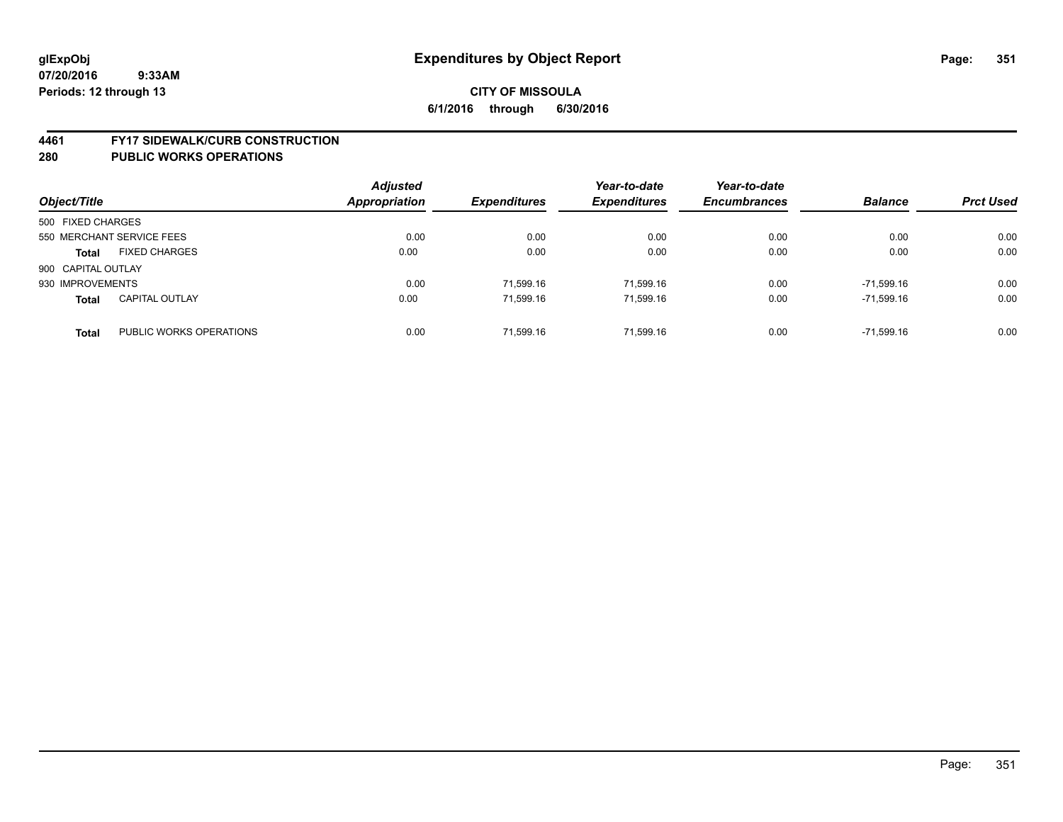#### **4461 FY17 SIDEWALK/CURB CONSTRUCTION**

| Object/Title              |                         | <b>Adjusted</b><br><b>Appropriation</b> | <b>Expenditures</b> | Year-to-date<br><b>Expenditures</b> | Year-to-date<br><b>Encumbrances</b> | <b>Balance</b> | <b>Prct Used</b> |
|---------------------------|-------------------------|-----------------------------------------|---------------------|-------------------------------------|-------------------------------------|----------------|------------------|
| 500 FIXED CHARGES         |                         |                                         |                     |                                     |                                     |                |                  |
| 550 MERCHANT SERVICE FEES |                         | 0.00                                    | 0.00                | 0.00                                | 0.00                                | 0.00           | 0.00             |
| <b>Total</b>              | <b>FIXED CHARGES</b>    | 0.00                                    | 0.00                | 0.00                                | 0.00                                | 0.00           | 0.00             |
| 900 CAPITAL OUTLAY        |                         |                                         |                     |                                     |                                     |                |                  |
| 930 IMPROVEMENTS          |                         | 0.00                                    | 71.599.16           | 71.599.16                           | 0.00                                | $-71.599.16$   | 0.00             |
| <b>Total</b>              | <b>CAPITAL OUTLAY</b>   | 0.00                                    | 71,599.16           | 71,599.16                           | 0.00                                | $-71.599.16$   | 0.00             |
| <b>Total</b>              | PUBLIC WORKS OPERATIONS | 0.00                                    | 71.599.16           | 71.599.16                           | 0.00                                | $-71.599.16$   | 0.00             |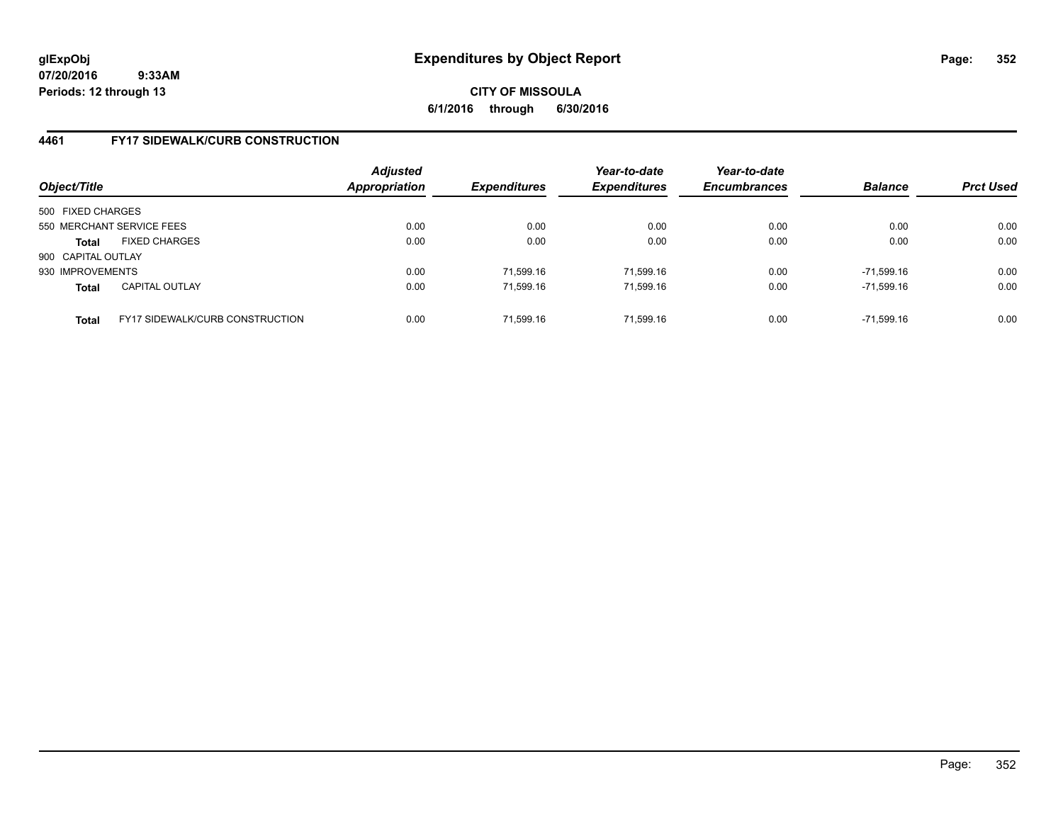# **CITY OF MISSOULA 6/1/2016 through 6/30/2016**

# **4461 FY17 SIDEWALK/CURB CONSTRUCTION**

| Object/Title       |                                        | <b>Adjusted</b><br>Appropriation | <b>Expenditures</b> | Year-to-date<br><b>Expenditures</b> | Year-to-date<br><b>Encumbrances</b> | <b>Balance</b> | <b>Prct Used</b> |
|--------------------|----------------------------------------|----------------------------------|---------------------|-------------------------------------|-------------------------------------|----------------|------------------|
| 500 FIXED CHARGES  |                                        |                                  |                     |                                     |                                     |                |                  |
|                    | 550 MERCHANT SERVICE FEES              | 0.00                             | 0.00                | 0.00                                | 0.00                                | 0.00           | 0.00             |
| Total              | <b>FIXED CHARGES</b>                   | 0.00                             | 0.00                | 0.00                                | 0.00                                | 0.00           | 0.00             |
| 900 CAPITAL OUTLAY |                                        |                                  |                     |                                     |                                     |                |                  |
| 930 IMPROVEMENTS   |                                        | 0.00                             | 71.599.16           | 71.599.16                           | 0.00                                | $-71.599.16$   | 0.00             |
| <b>Total</b>       | <b>CAPITAL OUTLAY</b>                  | 0.00                             | 71,599.16           | 71,599.16                           | 0.00                                | -71,599.16     | 0.00             |
| <b>Total</b>       | <b>FY17 SIDEWALK/CURB CONSTRUCTION</b> | 0.00                             | 71,599.16           | 71.599.16                           | 0.00                                | $-71.599.16$   | 0.00             |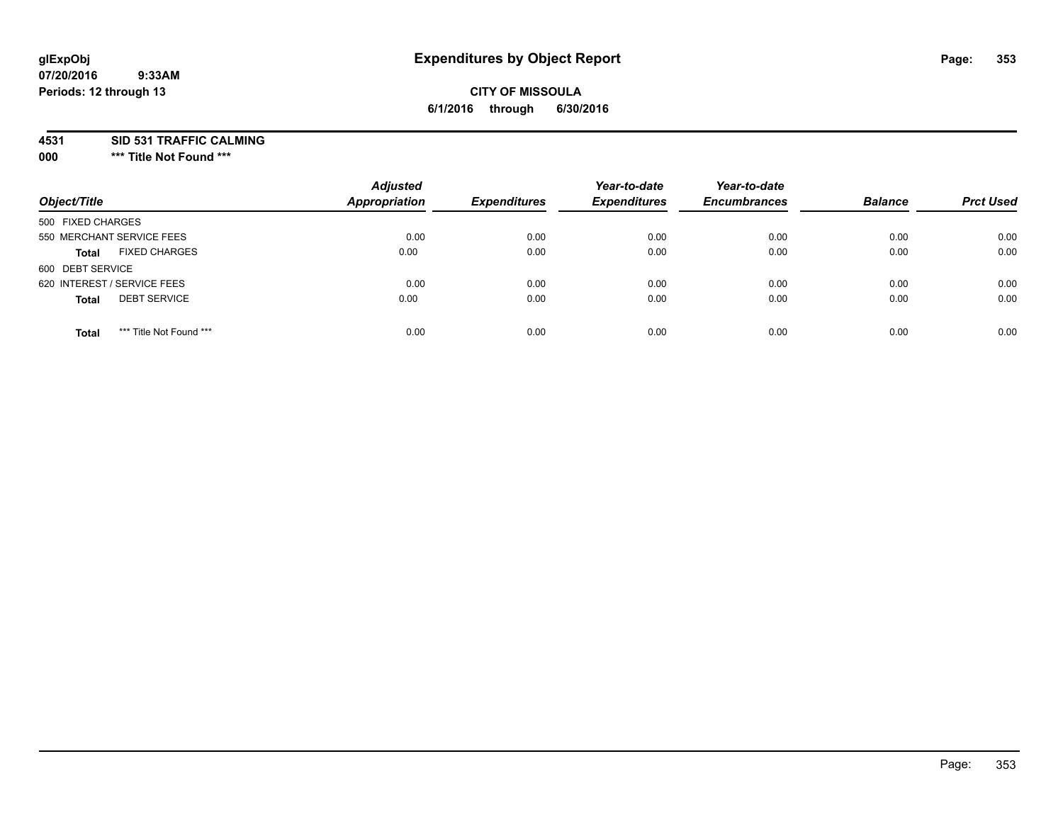# **CITY OF MISSOULA 6/1/2016 through 6/30/2016**

**4531 SID 531 TRAFFIC CALMING**

**000 \*\*\* Title Not Found \*\*\***

| Object/Title                            | <b>Adjusted</b><br><b>Appropriation</b> | <b>Expenditures</b> | Year-to-date<br><b>Expenditures</b> | Year-to-date<br><b>Encumbrances</b> | <b>Balance</b> | <b>Prct Used</b> |
|-----------------------------------------|-----------------------------------------|---------------------|-------------------------------------|-------------------------------------|----------------|------------------|
| 500 FIXED CHARGES                       |                                         |                     |                                     |                                     |                |                  |
| 550 MERCHANT SERVICE FEES               | 0.00                                    | 0.00                | 0.00                                | 0.00                                | 0.00           | 0.00             |
| <b>FIXED CHARGES</b><br><b>Total</b>    | 0.00                                    | 0.00                | 0.00                                | 0.00                                | 0.00           | 0.00             |
| 600 DEBT SERVICE                        |                                         |                     |                                     |                                     |                |                  |
| 620 INTEREST / SERVICE FEES             | 0.00                                    | 0.00                | 0.00                                | 0.00                                | 0.00           | 0.00             |
| <b>DEBT SERVICE</b><br><b>Total</b>     | 0.00                                    | 0.00                | 0.00                                | 0.00                                | 0.00           | 0.00             |
| *** Title Not Found ***<br><b>Total</b> | 0.00                                    | 0.00                | 0.00                                | 0.00                                | 0.00           | 0.00             |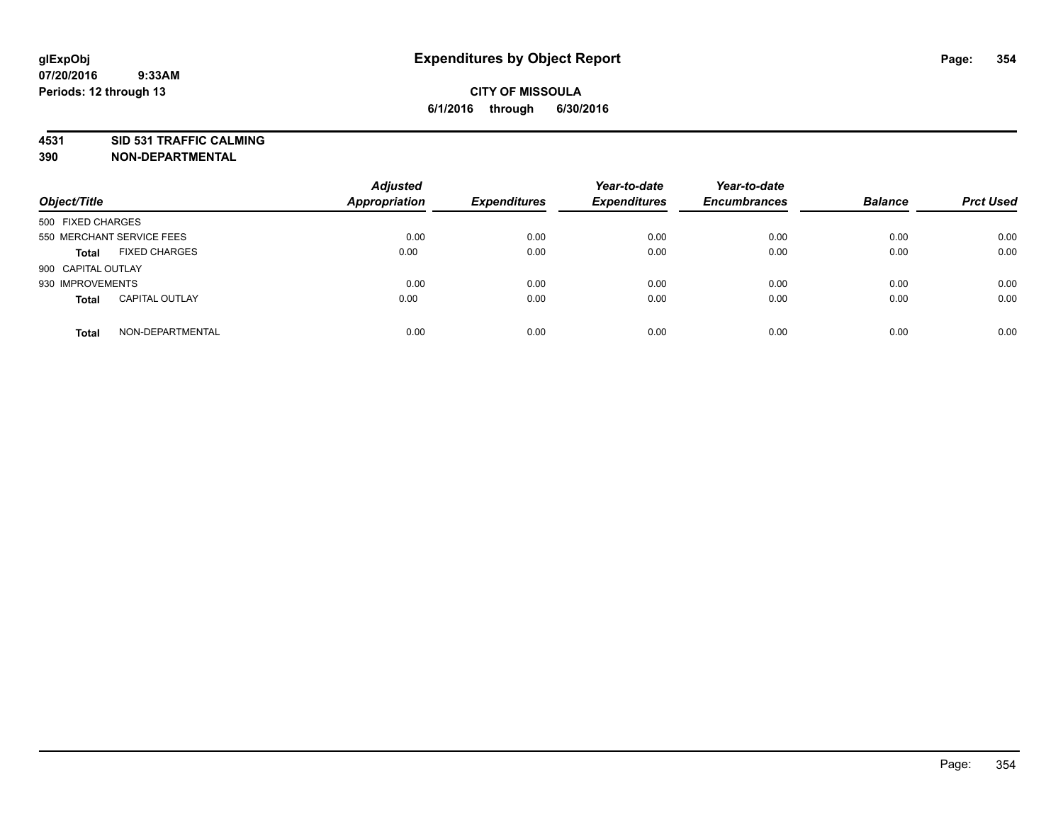# **4531 SID 531 TRAFFIC CALMING**

**390 NON-DEPARTMENTAL**

| Object/Title       |                           | <b>Adjusted</b><br><b>Appropriation</b> | <b>Expenditures</b> | Year-to-date<br><b>Expenditures</b> | Year-to-date<br><b>Encumbrances</b> | <b>Balance</b> | <b>Prct Used</b> |
|--------------------|---------------------------|-----------------------------------------|---------------------|-------------------------------------|-------------------------------------|----------------|------------------|
| 500 FIXED CHARGES  |                           |                                         |                     |                                     |                                     |                |                  |
|                    | 550 MERCHANT SERVICE FEES | 0.00                                    | 0.00                | 0.00                                | 0.00                                | 0.00           | 0.00             |
| <b>Total</b>       | <b>FIXED CHARGES</b>      | 0.00                                    | 0.00                | 0.00                                | 0.00                                | 0.00           | 0.00             |
| 900 CAPITAL OUTLAY |                           |                                         |                     |                                     |                                     |                |                  |
| 930 IMPROVEMENTS   |                           | 0.00                                    | 0.00                | 0.00                                | 0.00                                | 0.00           | 0.00             |
| <b>Total</b>       | <b>CAPITAL OUTLAY</b>     | 0.00                                    | 0.00                | 0.00                                | 0.00                                | 0.00           | 0.00             |
| <b>Total</b>       | NON-DEPARTMENTAL          | 0.00                                    | 0.00                | 0.00                                | 0.00                                | 0.00           | 0.00             |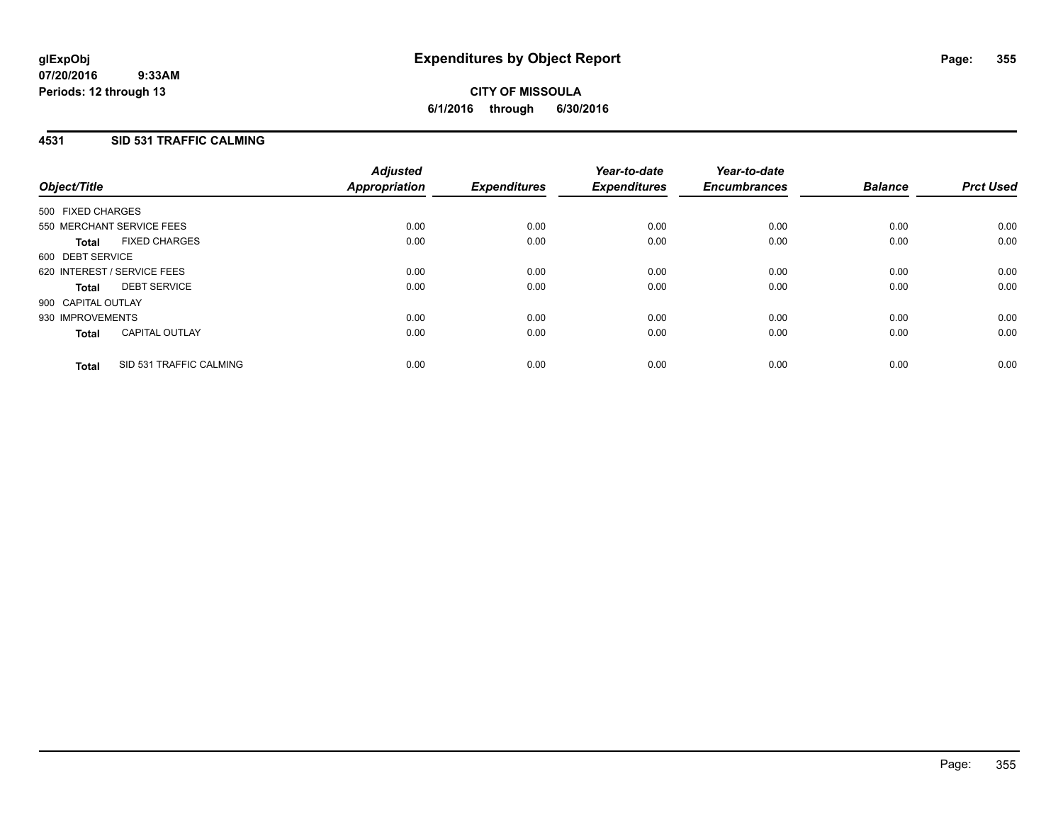## **4531 SID 531 TRAFFIC CALMING**

| Object/Title       |                             | <b>Adjusted</b><br>Appropriation | <b>Expenditures</b> | Year-to-date<br><b>Expenditures</b> | Year-to-date<br><b>Encumbrances</b> | <b>Balance</b> | <b>Prct Used</b> |
|--------------------|-----------------------------|----------------------------------|---------------------|-------------------------------------|-------------------------------------|----------------|------------------|
| 500 FIXED CHARGES  |                             |                                  |                     |                                     |                                     |                |                  |
|                    | 550 MERCHANT SERVICE FEES   | 0.00                             | 0.00                | 0.00                                | 0.00                                | 0.00           | 0.00             |
| <b>Total</b>       | <b>FIXED CHARGES</b>        | 0.00                             | 0.00                | 0.00                                | 0.00                                | 0.00           | 0.00             |
| 600 DEBT SERVICE   |                             |                                  |                     |                                     |                                     |                |                  |
|                    | 620 INTEREST / SERVICE FEES | 0.00                             | 0.00                | 0.00                                | 0.00                                | 0.00           | 0.00             |
| Total              | <b>DEBT SERVICE</b>         | 0.00                             | 0.00                | 0.00                                | 0.00                                | 0.00           | 0.00             |
| 900 CAPITAL OUTLAY |                             |                                  |                     |                                     |                                     |                |                  |
| 930 IMPROVEMENTS   |                             | 0.00                             | 0.00                | 0.00                                | 0.00                                | 0.00           | 0.00             |
| <b>Total</b>       | <b>CAPITAL OUTLAY</b>       | 0.00                             | 0.00                | 0.00                                | 0.00                                | 0.00           | 0.00             |
| <b>Total</b>       | SID 531 TRAFFIC CALMING     | 0.00                             | 0.00                | 0.00                                | 0.00                                | 0.00           | 0.00             |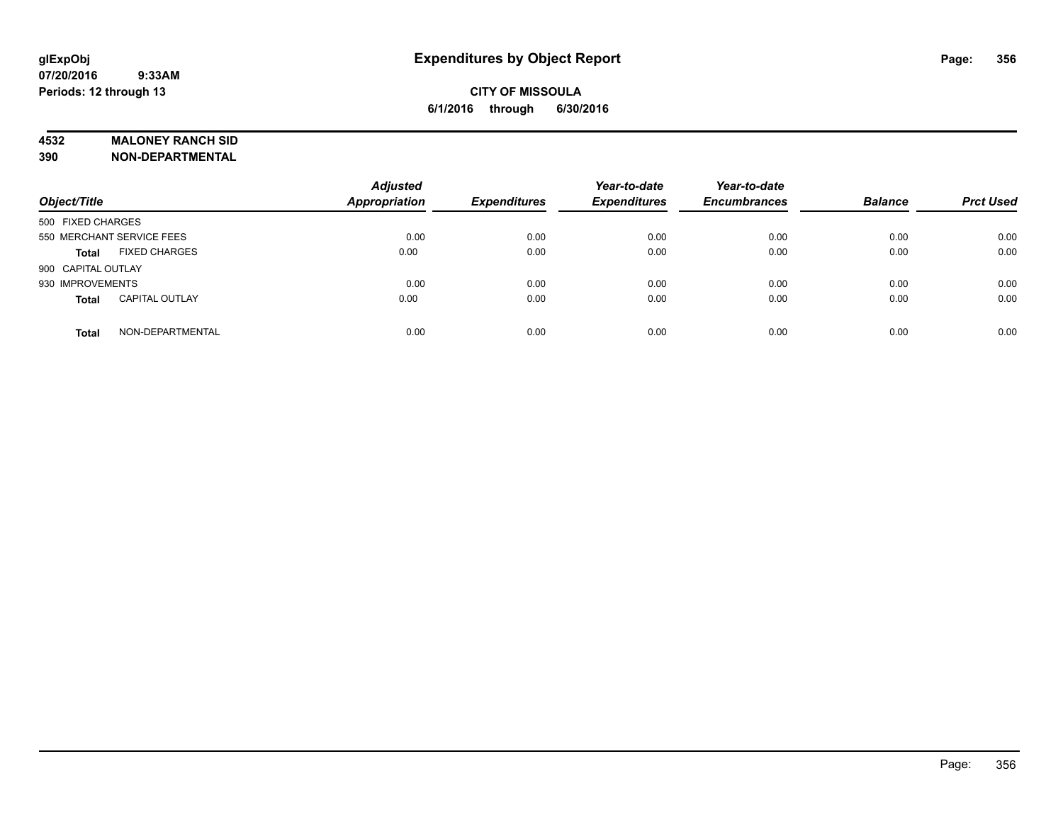#### **4532 MALONEY RANCH SID**

**390 NON-DEPARTMENTAL**

| Object/Title                          | <b>Adjusted</b><br>Appropriation | <b>Expenditures</b> | Year-to-date<br><b>Expenditures</b> | Year-to-date<br><b>Encumbrances</b> | <b>Balance</b> | <b>Prct Used</b> |
|---------------------------------------|----------------------------------|---------------------|-------------------------------------|-------------------------------------|----------------|------------------|
| 500 FIXED CHARGES                     |                                  |                     |                                     |                                     |                |                  |
| 550 MERCHANT SERVICE FEES             | 0.00                             | 0.00                | 0.00                                | 0.00                                | 0.00           | 0.00             |
| <b>FIXED CHARGES</b><br><b>Total</b>  | 0.00                             | 0.00                | 0.00                                | 0.00                                | 0.00           | 0.00             |
| 900 CAPITAL OUTLAY                    |                                  |                     |                                     |                                     |                |                  |
| 930 IMPROVEMENTS                      | 0.00                             | 0.00                | 0.00                                | 0.00                                | 0.00           | 0.00             |
| <b>CAPITAL OUTLAY</b><br><b>Total</b> | 0.00                             | 0.00                | 0.00                                | 0.00                                | 0.00           | 0.00             |
| NON-DEPARTMENTAL<br><b>Total</b>      | 0.00                             | 0.00                | 0.00                                | 0.00                                | 0.00           | 0.00             |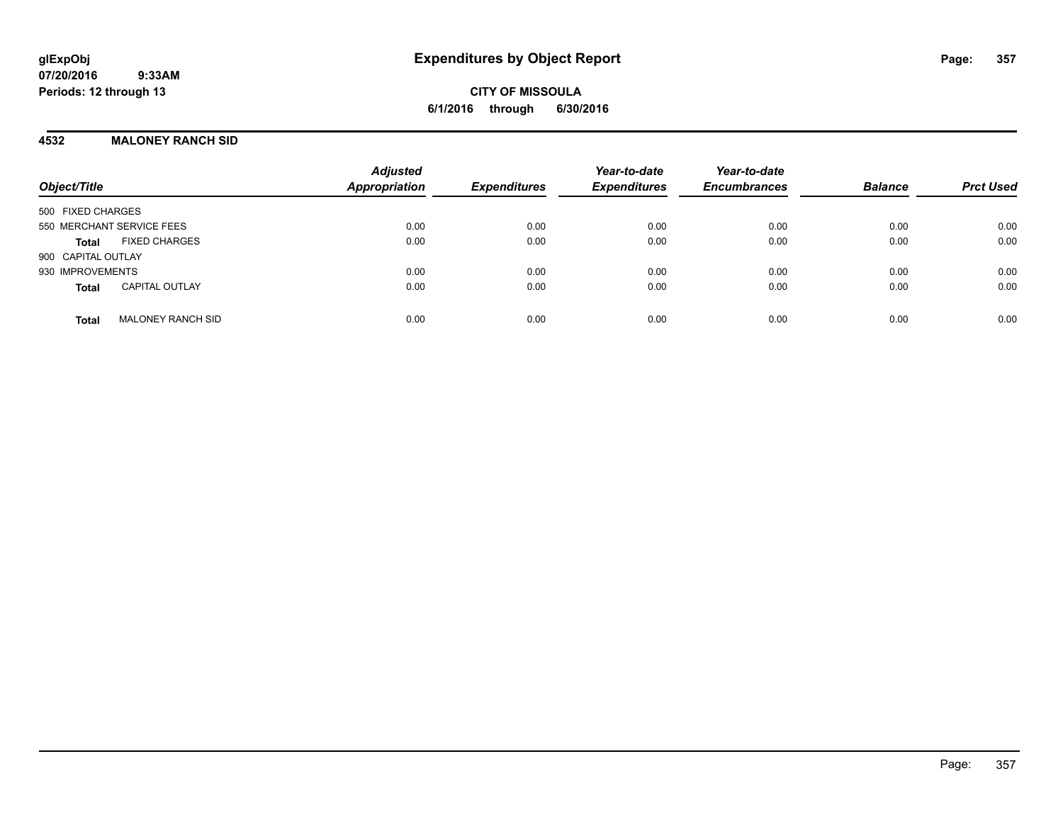**CITY OF MISSOULA 6/1/2016 through 6/30/2016**

#### **4532 MALONEY RANCH SID**

| Object/Title                             | <b>Adjusted</b><br><b>Appropriation</b> | <b>Expenditures</b> | Year-to-date<br><b>Expenditures</b> | Year-to-date<br><b>Encumbrances</b> | <b>Balance</b> | <b>Prct Used</b> |
|------------------------------------------|-----------------------------------------|---------------------|-------------------------------------|-------------------------------------|----------------|------------------|
| 500 FIXED CHARGES                        |                                         |                     |                                     |                                     |                |                  |
| 550 MERCHANT SERVICE FEES                | 0.00                                    | 0.00                | 0.00                                | 0.00                                | 0.00           | 0.00             |
| <b>FIXED CHARGES</b><br><b>Total</b>     | 0.00                                    | 0.00                | 0.00                                | 0.00                                | 0.00           | 0.00             |
| 900 CAPITAL OUTLAY                       |                                         |                     |                                     |                                     |                |                  |
| 930 IMPROVEMENTS                         | 0.00                                    | 0.00                | 0.00                                | 0.00                                | 0.00           | 0.00             |
| <b>CAPITAL OUTLAY</b><br><b>Total</b>    | 0.00                                    | 0.00                | 0.00                                | 0.00                                | 0.00           | 0.00             |
| <b>MALONEY RANCH SID</b><br><b>Total</b> | 0.00                                    | 0.00                | 0.00                                | 0.00                                | 0.00           | 0.00             |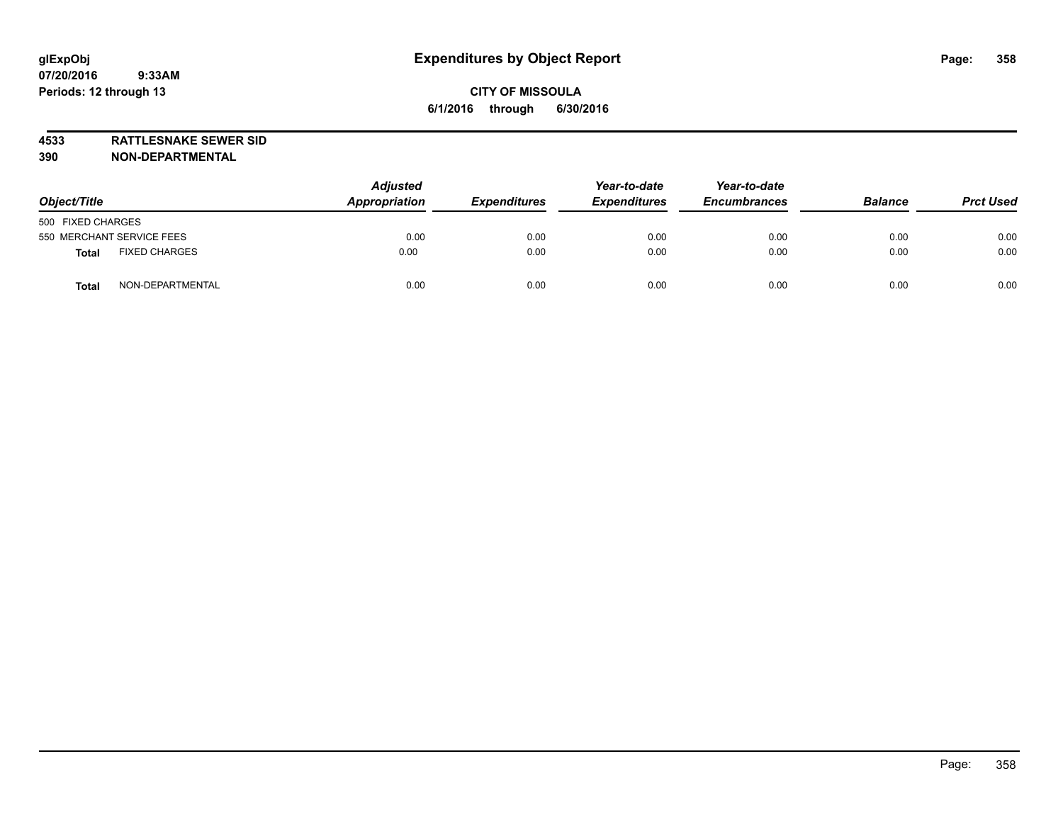**4533 RATTLESNAKE SEWER SID**

**390 NON-DEPARTMENTAL**

| Object/Title                         | <b>Adjusted</b><br>Appropriation | <b>Expenditures</b> | Year-to-date<br><b>Expenditures</b> | Year-to-date<br><b>Encumbrances</b> | <b>Balance</b> | <b>Prct Used</b> |
|--------------------------------------|----------------------------------|---------------------|-------------------------------------|-------------------------------------|----------------|------------------|
| 500 FIXED CHARGES                    |                                  |                     |                                     |                                     |                |                  |
| 550 MERCHANT SERVICE FEES            | 0.00                             | 0.00                | 0.00                                | 0.00                                | 0.00           | 0.00             |
| <b>FIXED CHARGES</b><br><b>Total</b> | 0.00                             | 0.00                | 0.00                                | 0.00                                | 0.00           | 0.00             |
| NON-DEPARTMENTAL<br><b>Total</b>     | 0.00                             | 0.00                | 0.00                                | 0.00                                | 0.00           | 0.00             |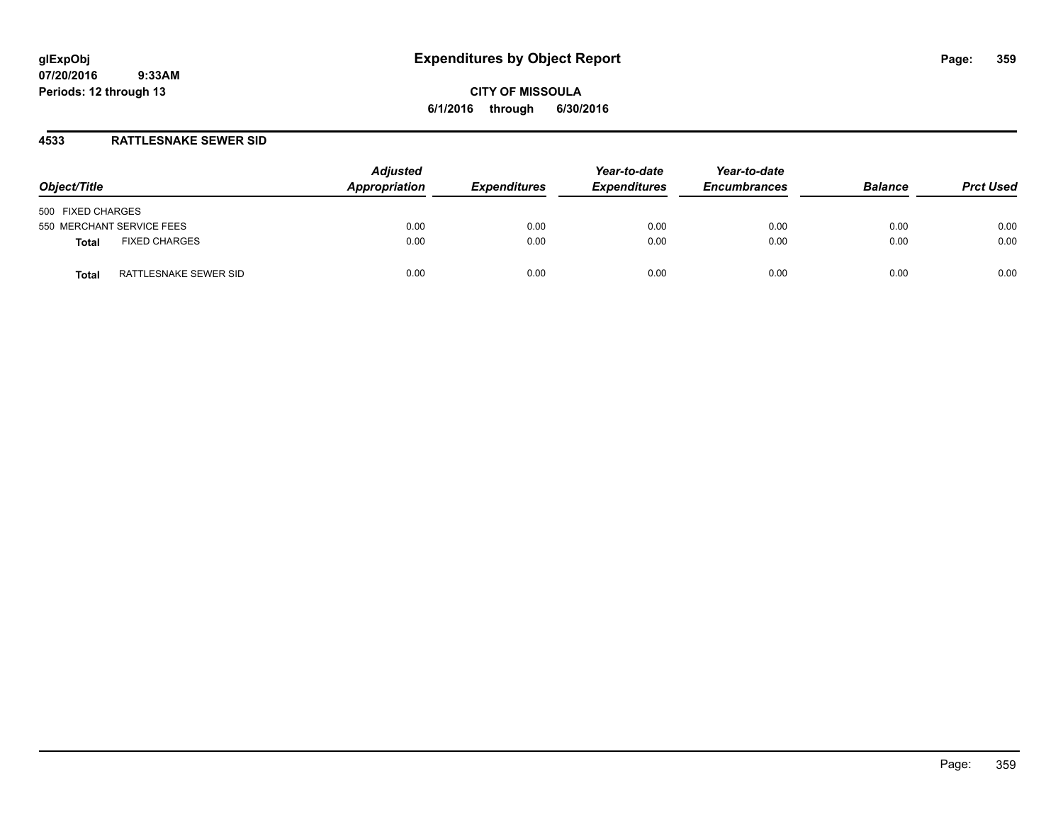## **4533 RATTLESNAKE SEWER SID**

| Object/Title                         | <b>Adjusted</b><br>Appropriation | <b>Expenditures</b> | Year-to-date<br><b>Expenditures</b> | Year-to-date<br><b>Encumbrances</b> | <b>Balance</b> | <b>Prct Used</b> |
|--------------------------------------|----------------------------------|---------------------|-------------------------------------|-------------------------------------|----------------|------------------|
| 500 FIXED CHARGES                    |                                  |                     |                                     |                                     |                |                  |
| 550 MERCHANT SERVICE FEES            | 0.00                             | 0.00                | 0.00                                | 0.00                                | 0.00           | 0.00             |
| <b>FIXED CHARGES</b><br><b>Total</b> | 0.00                             | 0.00                | 0.00                                | 0.00                                | 0.00           | 0.00             |
| RATTLESNAKE SEWER SID<br>Total       | 0.00                             | 0.00                | 0.00                                | 0.00                                | 0.00           | 0.00             |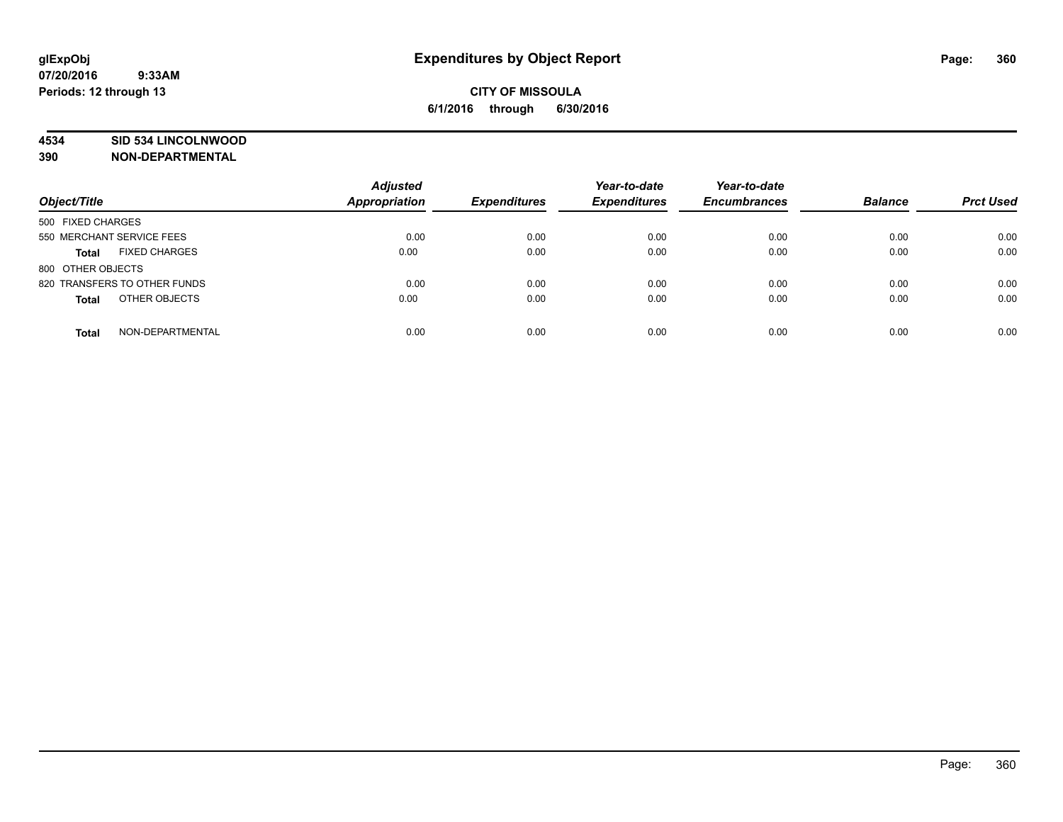## **4534 SID 534 LINCOLNWOOD**

**390 NON-DEPARTMENTAL**

| Object/Title                         | <b>Adjusted</b><br><b>Appropriation</b> | <b>Expenditures</b> | Year-to-date<br><b>Expenditures</b> | Year-to-date<br><b>Encumbrances</b> | <b>Balance</b> | <b>Prct Used</b> |
|--------------------------------------|-----------------------------------------|---------------------|-------------------------------------|-------------------------------------|----------------|------------------|
|                                      |                                         |                     |                                     |                                     |                |                  |
| 500 FIXED CHARGES                    |                                         |                     |                                     |                                     |                |                  |
| 550 MERCHANT SERVICE FEES            | 0.00                                    | 0.00                | 0.00                                | 0.00                                | 0.00           | 0.00             |
| <b>FIXED CHARGES</b><br><b>Total</b> | 0.00                                    | 0.00                | 0.00                                | 0.00                                | 0.00           | 0.00             |
| 800 OTHER OBJECTS                    |                                         |                     |                                     |                                     |                |                  |
| 820 TRANSFERS TO OTHER FUNDS         | 0.00                                    | 0.00                | 0.00                                | 0.00                                | 0.00           | 0.00             |
| OTHER OBJECTS<br><b>Total</b>        | 0.00                                    | 0.00                | 0.00                                | 0.00                                | 0.00           | 0.00             |
| NON-DEPARTMENTAL<br><b>Total</b>     | 0.00                                    | 0.00                | 0.00                                | 0.00                                | 0.00           | 0.00             |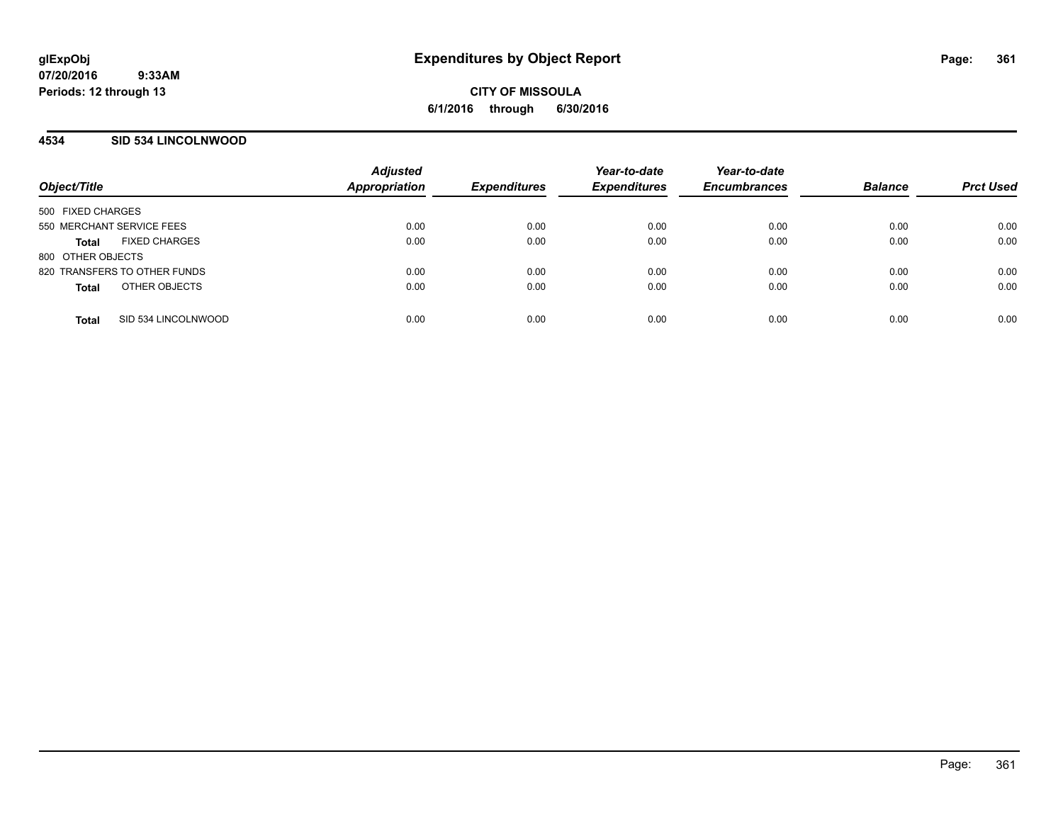### **4534 SID 534 LINCOLNWOOD**

| Object/Title                         | <b>Adjusted</b><br>Appropriation | <b>Expenditures</b> | Year-to-date<br><b>Expenditures</b> | Year-to-date<br><b>Encumbrances</b> | <b>Balance</b> | <b>Prct Used</b> |
|--------------------------------------|----------------------------------|---------------------|-------------------------------------|-------------------------------------|----------------|------------------|
| 500 FIXED CHARGES                    |                                  |                     |                                     |                                     |                |                  |
| 550 MERCHANT SERVICE FEES            | 0.00                             | 0.00                | 0.00                                | 0.00                                | 0.00           | 0.00             |
| <b>FIXED CHARGES</b><br><b>Total</b> | 0.00                             | 0.00                | 0.00                                | 0.00                                | 0.00           | 0.00             |
| 800 OTHER OBJECTS                    |                                  |                     |                                     |                                     |                |                  |
| 820 TRANSFERS TO OTHER FUNDS         | 0.00                             | 0.00                | 0.00                                | 0.00                                | 0.00           | 0.00             |
| OTHER OBJECTS<br><b>Total</b>        | 0.00                             | 0.00                | 0.00                                | 0.00                                | 0.00           | 0.00             |
| SID 534 LINCOLNWOOD<br><b>Total</b>  | 0.00                             | 0.00                | 0.00                                | 0.00                                | 0.00           | 0.00             |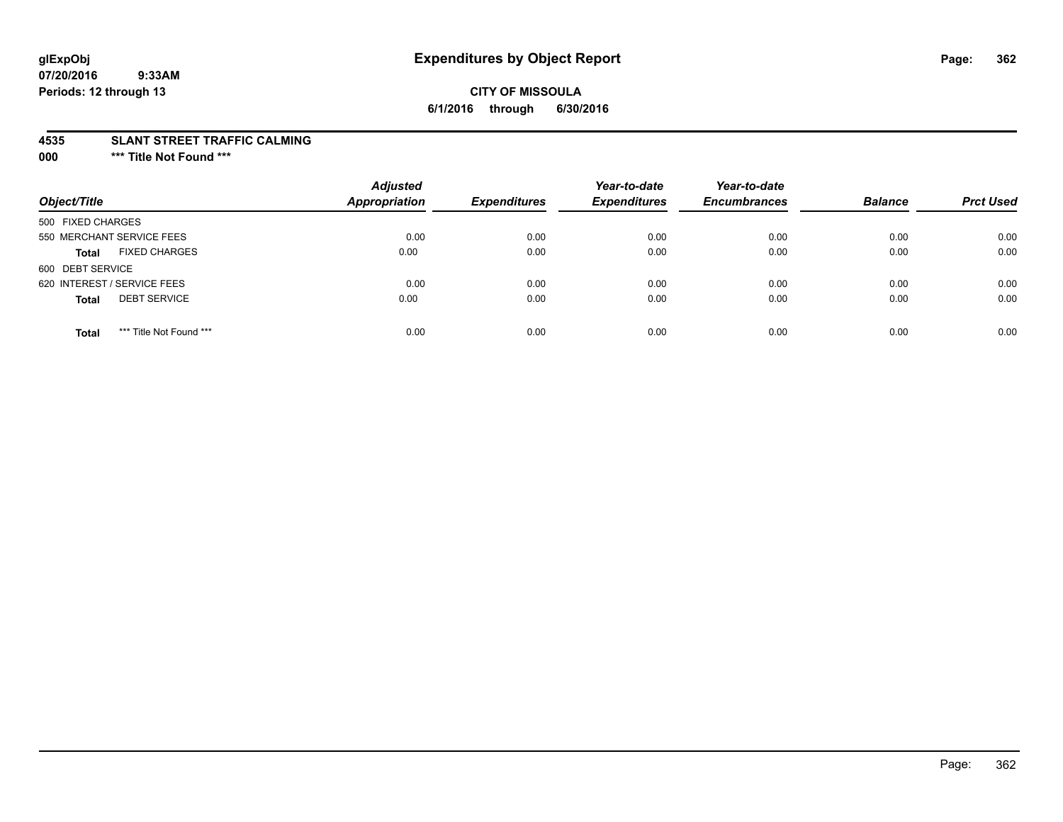# **CITY OF MISSOULA 6/1/2016 through 6/30/2016**

#### **4535 SLANT STREET TRAFFIC CALMING**

**000 \*\*\* Title Not Found \*\*\***

| Object/Title                            | <b>Adjusted</b><br><b>Appropriation</b> | <b>Expenditures</b> | Year-to-date<br><b>Expenditures</b> | Year-to-date<br><b>Encumbrances</b> | <b>Balance</b> | <b>Prct Used</b> |
|-----------------------------------------|-----------------------------------------|---------------------|-------------------------------------|-------------------------------------|----------------|------------------|
| 500 FIXED CHARGES                       |                                         |                     |                                     |                                     |                |                  |
| 550 MERCHANT SERVICE FEES               | 0.00                                    | 0.00                | 0.00                                | 0.00                                | 0.00           | 0.00             |
| <b>FIXED CHARGES</b><br><b>Total</b>    | 0.00                                    | 0.00                | 0.00                                | 0.00                                | 0.00           | 0.00             |
| 600 DEBT SERVICE                        |                                         |                     |                                     |                                     |                |                  |
| 620 INTEREST / SERVICE FEES             | 0.00                                    | 0.00                | 0.00                                | 0.00                                | 0.00           | 0.00             |
| <b>DEBT SERVICE</b><br><b>Total</b>     | 0.00                                    | 0.00                | 0.00                                | 0.00                                | 0.00           | 0.00             |
| *** Title Not Found ***<br><b>Total</b> | 0.00                                    | 0.00                | 0.00                                | 0.00                                | 0.00           | 0.00             |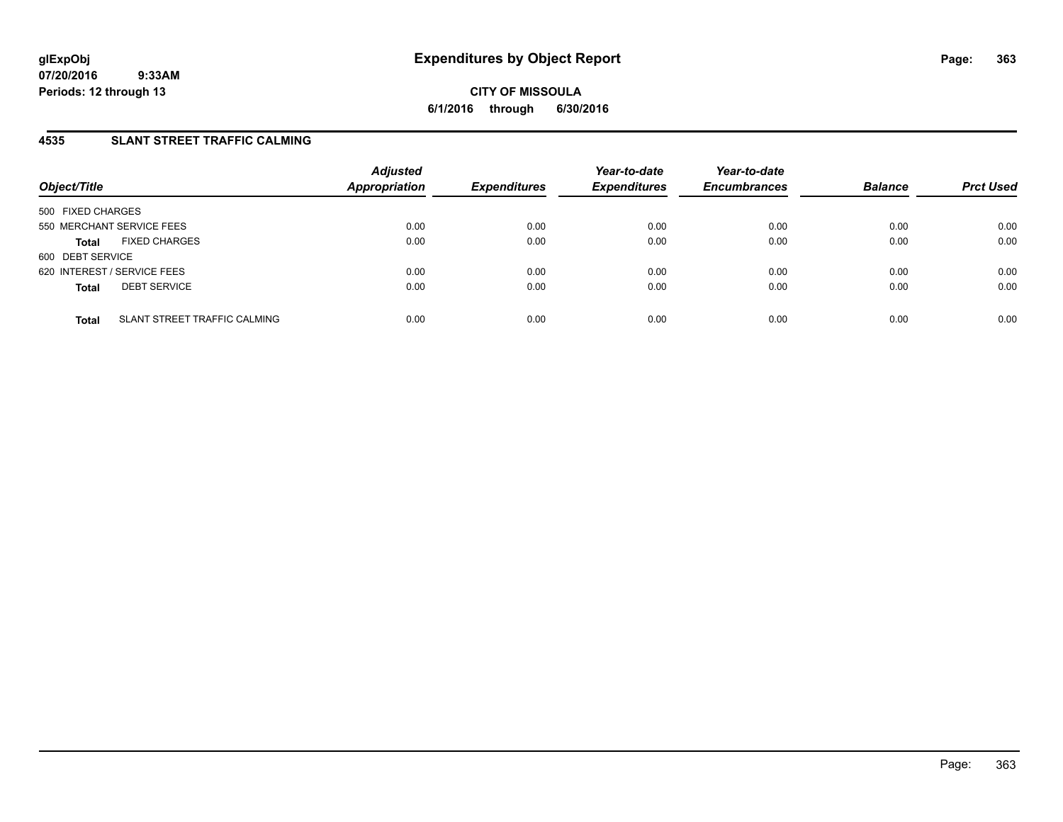**CITY OF MISSOULA 6/1/2016 through 6/30/2016**

## **4535 SLANT STREET TRAFFIC CALMING**

| Object/Title                                 | <b>Adjusted</b><br><b>Appropriation</b> | <b>Expenditures</b> | Year-to-date<br><b>Expenditures</b> | Year-to-date<br><b>Encumbrances</b> | <b>Balance</b> | <b>Prct Used</b> |
|----------------------------------------------|-----------------------------------------|---------------------|-------------------------------------|-------------------------------------|----------------|------------------|
| 500 FIXED CHARGES                            |                                         |                     |                                     |                                     |                |                  |
| 550 MERCHANT SERVICE FEES                    | 0.00                                    | 0.00                | 0.00                                | 0.00                                | 0.00           | 0.00             |
| <b>FIXED CHARGES</b><br><b>Total</b>         | 0.00                                    | 0.00                | 0.00                                | 0.00                                | 0.00           | 0.00             |
| 600 DEBT SERVICE                             |                                         |                     |                                     |                                     |                |                  |
| 620 INTEREST / SERVICE FEES                  | 0.00                                    | 0.00                | 0.00                                | 0.00                                | 0.00           | 0.00             |
| <b>DEBT SERVICE</b><br><b>Total</b>          | 0.00                                    | 0.00                | 0.00                                | 0.00                                | 0.00           | 0.00             |
| SLANT STREET TRAFFIC CALMING<br><b>Total</b> | 0.00                                    | 0.00                | 0.00                                | 0.00                                | 0.00           | 0.00             |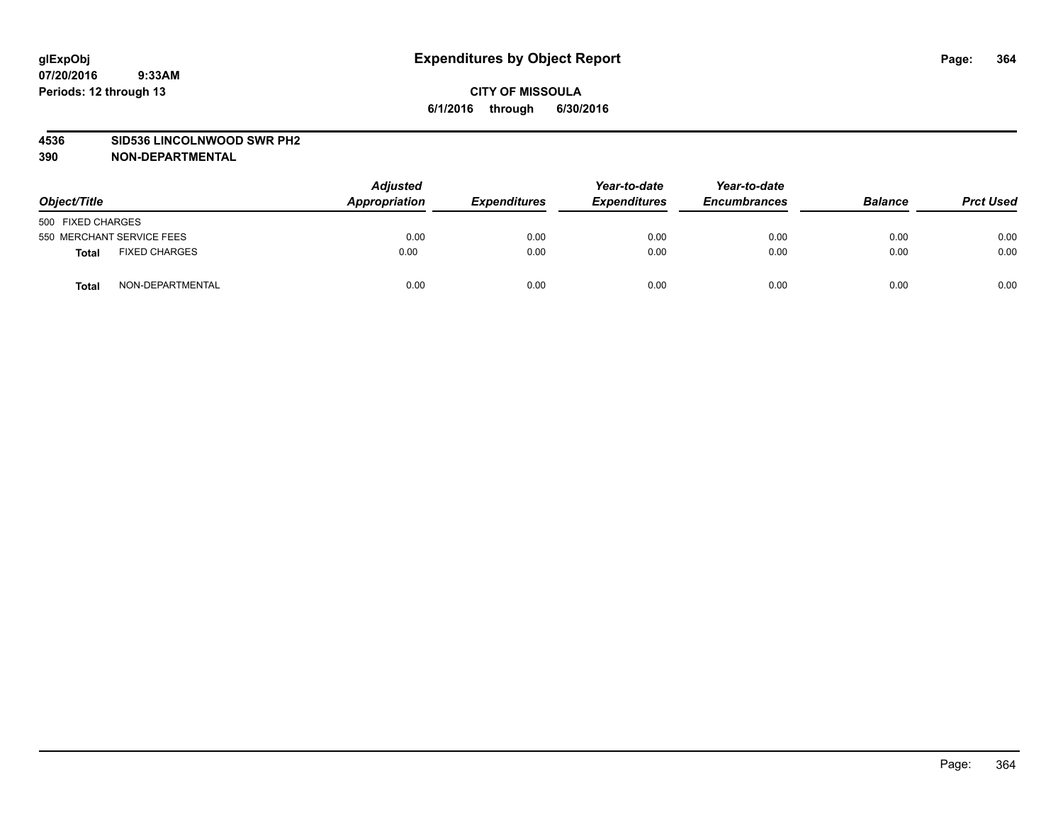#### **4536 SID536 LINCOLNWOOD SWR PH2**

| Object/Title                  | <b>Adjusted</b><br>Appropriation | <b>Expenditures</b> | Year-to-date<br><b>Expenditures</b> | Year-to-date<br><b>Encumbrances</b> | <b>Balance</b> | <b>Prct Used</b> |
|-------------------------------|----------------------------------|---------------------|-------------------------------------|-------------------------------------|----------------|------------------|
| 500 FIXED CHARGES             |                                  |                     |                                     |                                     |                |                  |
| 550 MERCHANT SERVICE FEES     | 0.00                             | 0.00                | 0.00                                | 0.00                                | 0.00           | 0.00             |
| <b>FIXED CHARGES</b><br>Total | 0.00                             | 0.00                | 0.00                                | 0.00                                | 0.00           | 0.00             |
| NON-DEPARTMENTAL<br>Total     | 0.00                             | 0.00                | 0.00                                | 0.00                                | 0.00           | 0.00             |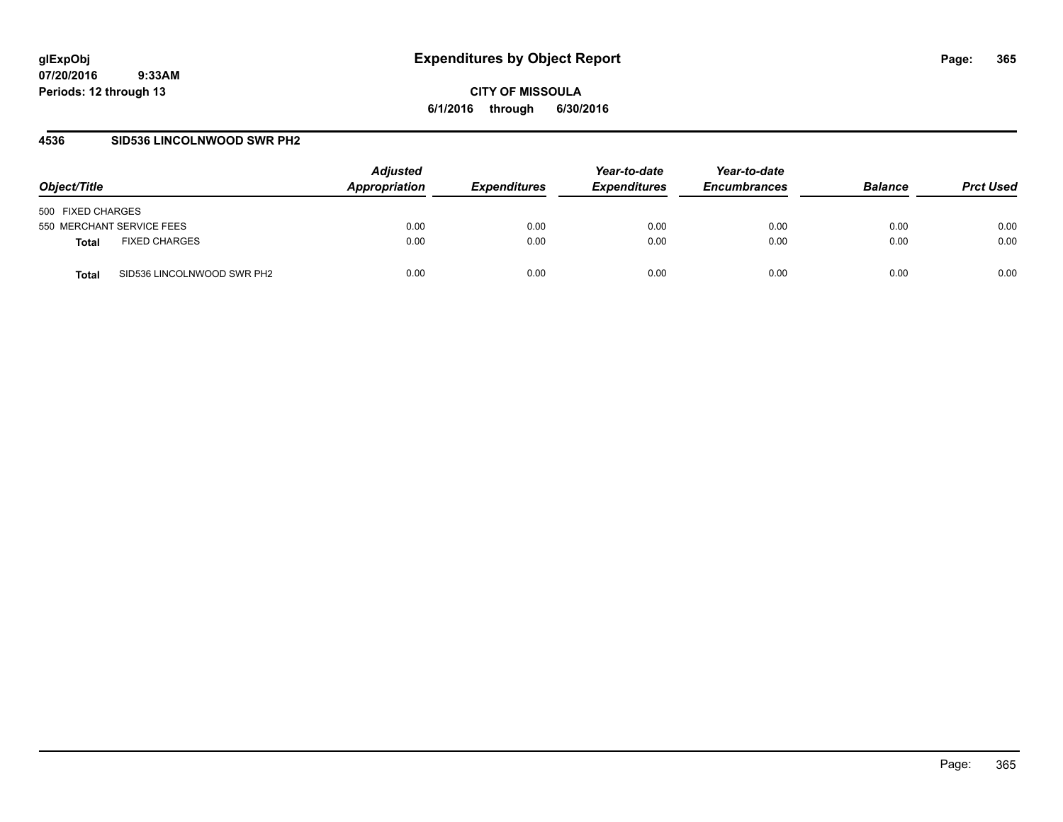**CITY OF MISSOULA 6/1/2016 through 6/30/2016**

### **4536 SID536 LINCOLNWOOD SWR PH2**

| Object/Title                         | <b>Adjusted</b><br>Appropriation | <i><b>Expenditures</b></i> | Year-to-date<br><b>Expenditures</b> | Year-to-date<br><b>Encumbrances</b> | <b>Balance</b> | <b>Prct Used</b> |
|--------------------------------------|----------------------------------|----------------------------|-------------------------------------|-------------------------------------|----------------|------------------|
| 500 FIXED CHARGES                    |                                  |                            |                                     |                                     |                |                  |
| 550 MERCHANT SERVICE FEES            | 0.00                             | 0.00                       | 0.00                                | 0.00                                | 0.00           | 0.00             |
| <b>FIXED CHARGES</b><br><b>Total</b> | 0.00                             | 0.00                       | 0.00                                | 0.00                                | 0.00           | 0.00             |
| SID536 LINCOLNWOOD SWR PH2<br>Total  | 0.00                             | 0.00                       | 0.00                                | 0.00                                | 0.00           | 0.00             |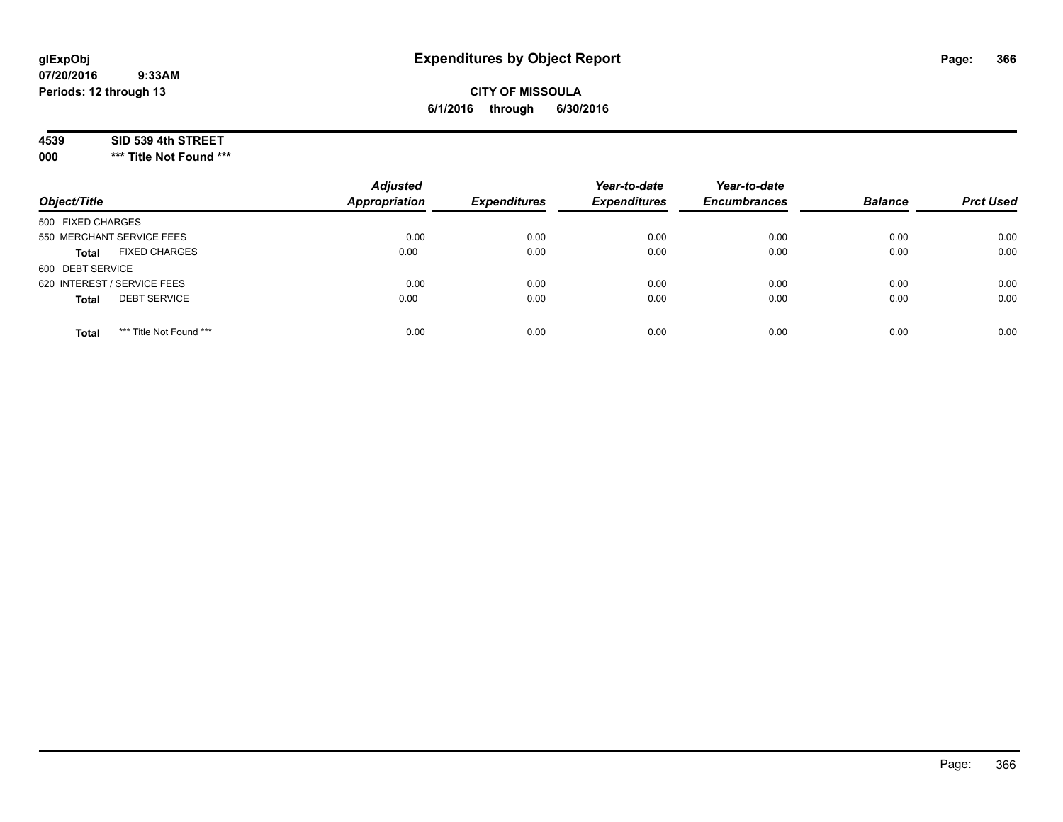# **CITY OF MISSOULA 6/1/2016 through 6/30/2016**

#### **4539 SID 539 4th STREET**

**000 \*\*\* Title Not Found \*\*\***

| Object/Title                            | <b>Adjusted</b><br><b>Appropriation</b> | <b>Expenditures</b> | Year-to-date<br><b>Expenditures</b> | Year-to-date<br><b>Encumbrances</b> | <b>Balance</b> | <b>Prct Used</b> |
|-----------------------------------------|-----------------------------------------|---------------------|-------------------------------------|-------------------------------------|----------------|------------------|
| 500 FIXED CHARGES                       |                                         |                     |                                     |                                     |                |                  |
| 550 MERCHANT SERVICE FEES               | 0.00                                    | 0.00                | 0.00                                | 0.00                                | 0.00           | 0.00             |
| <b>FIXED CHARGES</b><br><b>Total</b>    | 0.00                                    | 0.00                | 0.00                                | 0.00                                | 0.00           | 0.00             |
| 600 DEBT SERVICE                        |                                         |                     |                                     |                                     |                |                  |
| 620 INTEREST / SERVICE FEES             | 0.00                                    | 0.00                | 0.00                                | 0.00                                | 0.00           | 0.00             |
| <b>DEBT SERVICE</b><br><b>Total</b>     | 0.00                                    | 0.00                | 0.00                                | 0.00                                | 0.00           | 0.00             |
| *** Title Not Found ***<br><b>Total</b> | 0.00                                    | 0.00                | 0.00                                | 0.00                                | 0.00           | 0.00             |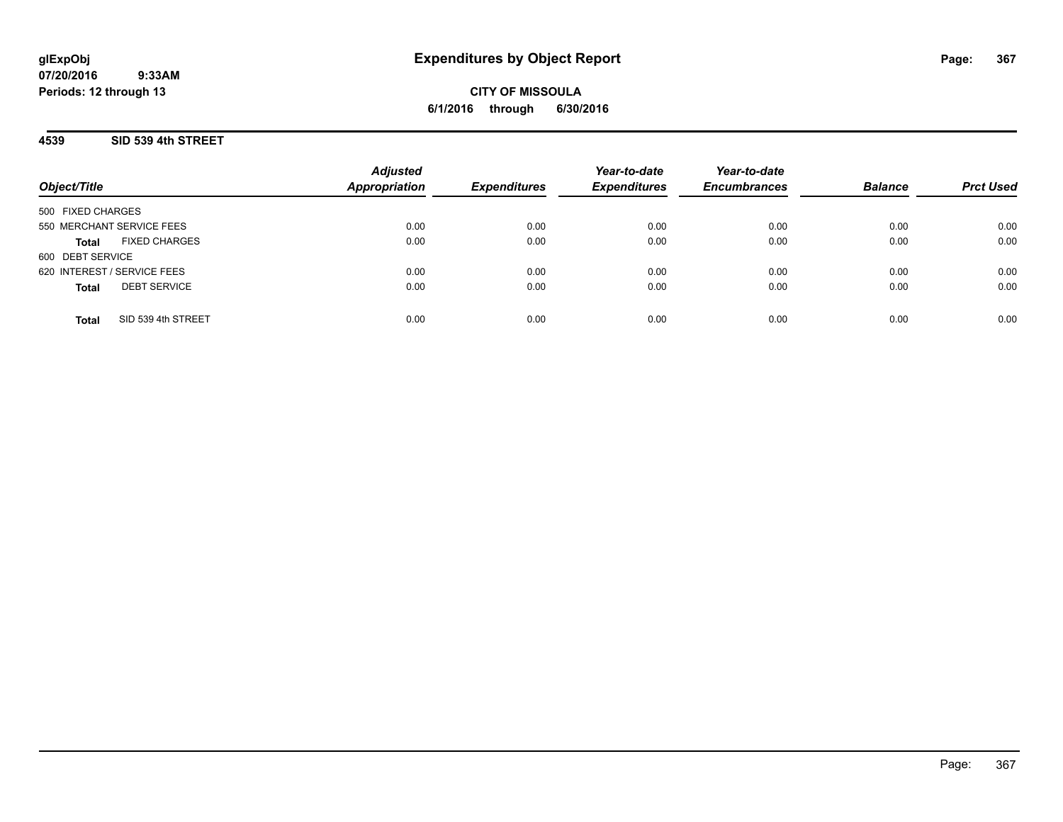**CITY OF MISSOULA 6/1/2016 through 6/30/2016**

### **4539 SID 539 4th STREET**

| Object/Title                         | <b>Adjusted</b><br><b>Appropriation</b> | <b>Expenditures</b> | Year-to-date<br><b>Expenditures</b> | Year-to-date<br><b>Encumbrances</b> | <b>Balance</b> | <b>Prct Used</b> |
|--------------------------------------|-----------------------------------------|---------------------|-------------------------------------|-------------------------------------|----------------|------------------|
| 500 FIXED CHARGES                    |                                         |                     |                                     |                                     |                |                  |
| 550 MERCHANT SERVICE FEES            | 0.00                                    | 0.00                | 0.00                                | 0.00                                | 0.00           | 0.00             |
| <b>FIXED CHARGES</b><br><b>Total</b> | 0.00                                    | 0.00                | 0.00                                | 0.00                                | 0.00           | 0.00             |
| 600 DEBT SERVICE                     |                                         |                     |                                     |                                     |                |                  |
| 620 INTEREST / SERVICE FEES          | 0.00                                    | 0.00                | 0.00                                | 0.00                                | 0.00           | 0.00             |
| <b>DEBT SERVICE</b><br><b>Total</b>  | 0.00                                    | 0.00                | 0.00                                | 0.00                                | 0.00           | 0.00             |
| SID 539 4th STREET<br>Total          | 0.00                                    | 0.00                | 0.00                                | 0.00                                | 0.00           | 0.00             |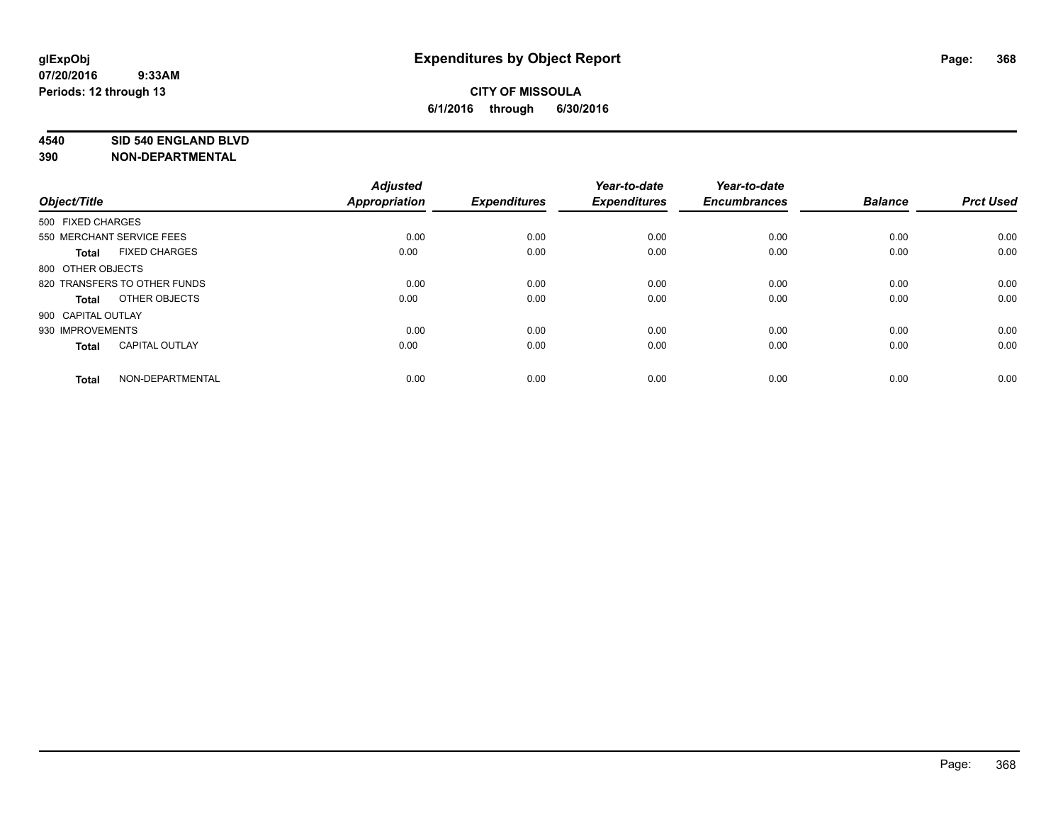#### **4540 SID 540 ENGLAND BLVD**

| Object/Title       |                              | <b>Adjusted</b><br>Appropriation | <b>Expenditures</b> | Year-to-date<br><b>Expenditures</b> | Year-to-date<br><b>Encumbrances</b> | <b>Balance</b> | <b>Prct Used</b> |
|--------------------|------------------------------|----------------------------------|---------------------|-------------------------------------|-------------------------------------|----------------|------------------|
|                    |                              |                                  |                     |                                     |                                     |                |                  |
| 500 FIXED CHARGES  |                              |                                  |                     |                                     |                                     |                |                  |
|                    | 550 MERCHANT SERVICE FEES    | 0.00                             | 0.00                | 0.00                                | 0.00                                | 0.00           | 0.00             |
| <b>Total</b>       | <b>FIXED CHARGES</b>         | 0.00                             | 0.00                | 0.00                                | 0.00                                | 0.00           | 0.00             |
| 800 OTHER OBJECTS  |                              |                                  |                     |                                     |                                     |                |                  |
|                    | 820 TRANSFERS TO OTHER FUNDS | 0.00                             | 0.00                | 0.00                                | 0.00                                | 0.00           | 0.00             |
| <b>Total</b>       | OTHER OBJECTS                | 0.00                             | 0.00                | 0.00                                | 0.00                                | 0.00           | 0.00             |
| 900 CAPITAL OUTLAY |                              |                                  |                     |                                     |                                     |                |                  |
| 930 IMPROVEMENTS   |                              | 0.00                             | 0.00                | 0.00                                | 0.00                                | 0.00           | 0.00             |
| <b>Total</b>       | <b>CAPITAL OUTLAY</b>        | 0.00                             | 0.00                | 0.00                                | 0.00                                | 0.00           | 0.00             |
| <b>Total</b>       | NON-DEPARTMENTAL             | 0.00                             | 0.00                | 0.00                                | 0.00                                | 0.00           | 0.00             |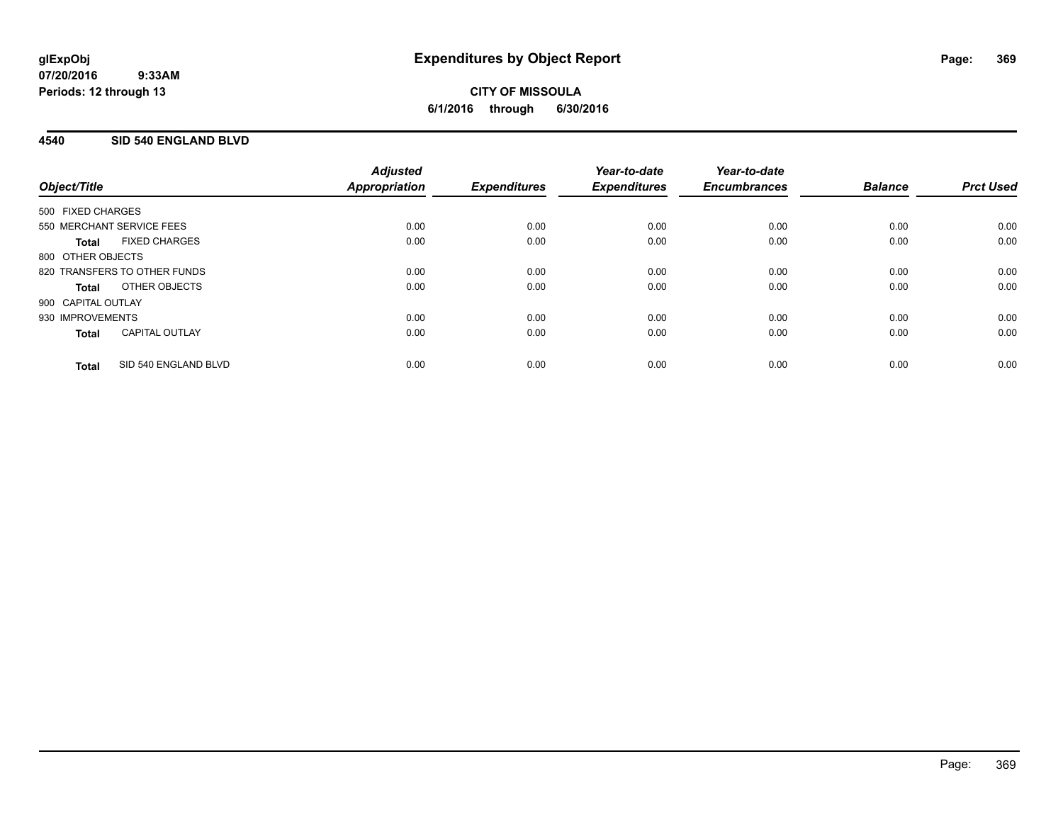**CITY OF MISSOULA 6/1/2016 through 6/30/2016**

### **4540 SID 540 ENGLAND BLVD**

|                                       | <b>Adjusted</b> |                     | Year-to-date        | Year-to-date        |                |                  |
|---------------------------------------|-----------------|---------------------|---------------------|---------------------|----------------|------------------|
| Object/Title                          | Appropriation   | <b>Expenditures</b> | <b>Expenditures</b> | <b>Encumbrances</b> | <b>Balance</b> | <b>Prct Used</b> |
| 500 FIXED CHARGES                     |                 |                     |                     |                     |                |                  |
| 550 MERCHANT SERVICE FEES             | 0.00            | 0.00                | 0.00                | 0.00                | 0.00           | 0.00             |
| <b>FIXED CHARGES</b><br>Total         | 0.00            | 0.00                | 0.00                | 0.00                | 0.00           | 0.00             |
| 800 OTHER OBJECTS                     |                 |                     |                     |                     |                |                  |
| 820 TRANSFERS TO OTHER FUNDS          | 0.00            | 0.00                | 0.00                | 0.00                | 0.00           | 0.00             |
| OTHER OBJECTS<br><b>Total</b>         | 0.00            | 0.00                | 0.00                | 0.00                | 0.00           | 0.00             |
| 900 CAPITAL OUTLAY                    |                 |                     |                     |                     |                |                  |
| 930 IMPROVEMENTS                      | 0.00            | 0.00                | 0.00                | 0.00                | 0.00           | 0.00             |
| <b>CAPITAL OUTLAY</b><br><b>Total</b> | 0.00            | 0.00                | 0.00                | 0.00                | 0.00           | 0.00             |
| SID 540 ENGLAND BLVD<br><b>Total</b>  | 0.00            | 0.00                | 0.00                | 0.00                | 0.00           | 0.00             |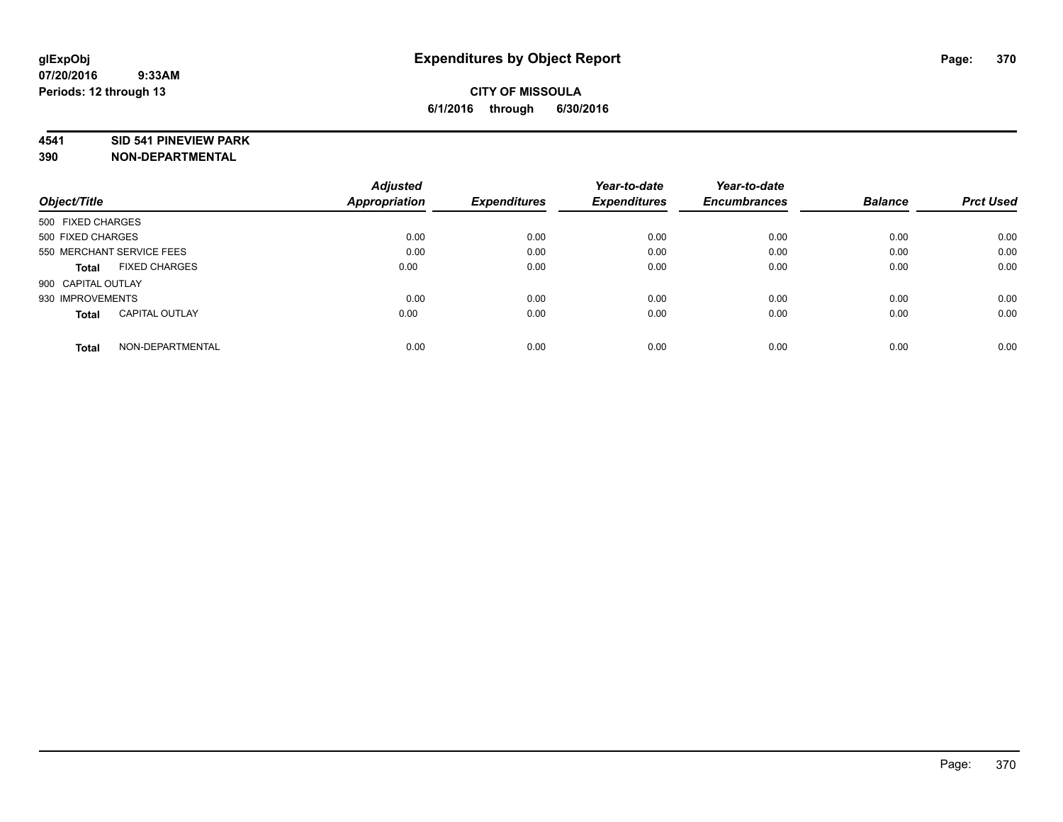#### **4541 SID 541 PINEVIEW PARK**

|                                       | <b>Adjusted</b> |                     | Year-to-date        | Year-to-date        |                |                  |
|---------------------------------------|-----------------|---------------------|---------------------|---------------------|----------------|------------------|
| Object/Title                          | Appropriation   | <b>Expenditures</b> | <b>Expenditures</b> | <b>Encumbrances</b> | <b>Balance</b> | <b>Prct Used</b> |
| 500 FIXED CHARGES                     |                 |                     |                     |                     |                |                  |
| 500 FIXED CHARGES                     | 0.00            | 0.00                | 0.00                | 0.00                | 0.00           | 0.00             |
| 550 MERCHANT SERVICE FEES             | 0.00            | 0.00                | 0.00                | 0.00                | 0.00           | 0.00             |
| <b>FIXED CHARGES</b><br>Total         | 0.00            | 0.00                | 0.00                | 0.00                | 0.00           | 0.00             |
| 900 CAPITAL OUTLAY                    |                 |                     |                     |                     |                |                  |
| 930 IMPROVEMENTS                      | 0.00            | 0.00                | 0.00                | 0.00                | 0.00           | 0.00             |
| <b>CAPITAL OUTLAY</b><br><b>Total</b> | 0.00            | 0.00                | 0.00                | 0.00                | 0.00           | 0.00             |
| NON-DEPARTMENTAL<br><b>Total</b>      | 0.00            | 0.00                | 0.00                | 0.00                | 0.00           | 0.00             |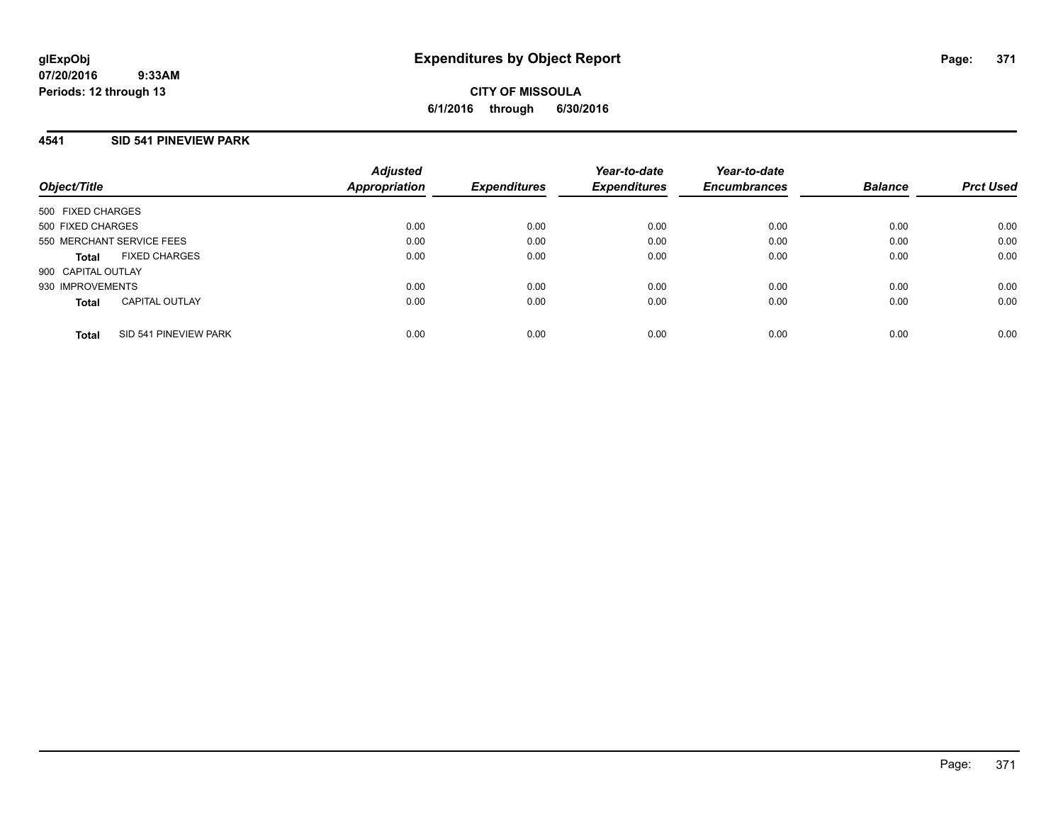**CITY OF MISSOULA 6/1/2016 through 6/30/2016**

## **4541 SID 541 PINEVIEW PARK**

| Object/Title       |                           | <b>Adjusted</b><br><b>Appropriation</b> | <b>Expenditures</b> | Year-to-date<br><b>Expenditures</b> | Year-to-date<br><b>Encumbrances</b> | <b>Balance</b> | <b>Prct Used</b> |
|--------------------|---------------------------|-----------------------------------------|---------------------|-------------------------------------|-------------------------------------|----------------|------------------|
| 500 FIXED CHARGES  |                           |                                         |                     |                                     |                                     |                |                  |
| 500 FIXED CHARGES  |                           | 0.00                                    | 0.00                | 0.00                                | 0.00                                | 0.00           | 0.00             |
|                    | 550 MERCHANT SERVICE FEES | 0.00                                    | 0.00                | 0.00                                | 0.00                                | 0.00           | 0.00             |
| Total              | <b>FIXED CHARGES</b>      | 0.00                                    | 0.00                | 0.00                                | 0.00                                | 0.00           | 0.00             |
| 900 CAPITAL OUTLAY |                           |                                         |                     |                                     |                                     |                |                  |
| 930 IMPROVEMENTS   |                           | 0.00                                    | 0.00                | 0.00                                | 0.00                                | 0.00           | 0.00             |
| <b>Total</b>       | <b>CAPITAL OUTLAY</b>     | 0.00                                    | 0.00                | 0.00                                | 0.00                                | 0.00           | 0.00             |
| Total              | SID 541 PINEVIEW PARK     | 0.00                                    | 0.00                | 0.00                                | 0.00                                | 0.00           | 0.00             |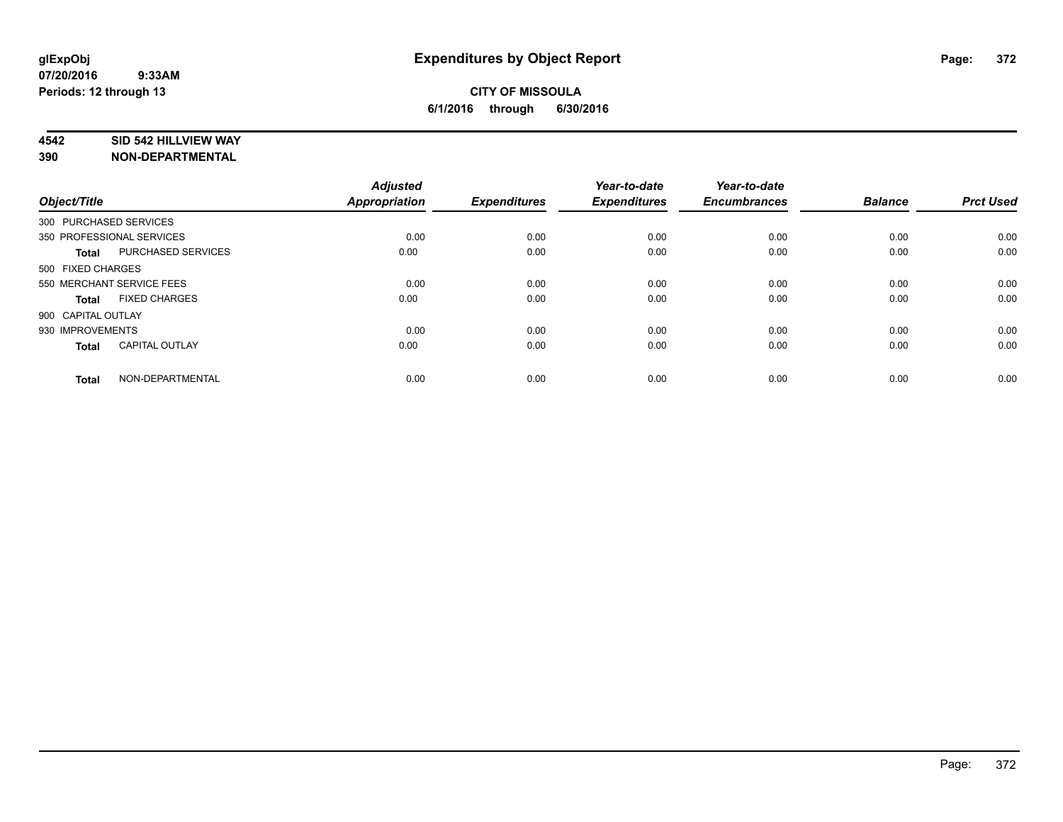### **4542 SID 542 HILLVIEW WAY**

| Object/Title           |                           | <b>Adjusted</b><br>Appropriation | <b>Expenditures</b> | Year-to-date<br><b>Expenditures</b> | Year-to-date<br><b>Encumbrances</b> | <b>Balance</b> | <b>Prct Used</b> |
|------------------------|---------------------------|----------------------------------|---------------------|-------------------------------------|-------------------------------------|----------------|------------------|
| 300 PURCHASED SERVICES |                           |                                  |                     |                                     |                                     |                |                  |
|                        | 350 PROFESSIONAL SERVICES | 0.00                             | 0.00                | 0.00                                | 0.00                                | 0.00           | 0.00             |
| <b>Total</b>           | PURCHASED SERVICES        | 0.00                             | 0.00                | 0.00                                | 0.00                                | 0.00           | 0.00             |
| 500 FIXED CHARGES      |                           |                                  |                     |                                     |                                     |                |                  |
|                        | 550 MERCHANT SERVICE FEES | 0.00                             | 0.00                | 0.00                                | 0.00                                | 0.00           | 0.00             |
| Total                  | <b>FIXED CHARGES</b>      | 0.00                             | 0.00                | 0.00                                | 0.00                                | 0.00           | 0.00             |
| 900 CAPITAL OUTLAY     |                           |                                  |                     |                                     |                                     |                |                  |
| 930 IMPROVEMENTS       |                           | 0.00                             | 0.00                | 0.00                                | 0.00                                | 0.00           | 0.00             |
| Total                  | <b>CAPITAL OUTLAY</b>     | 0.00                             | 0.00                | 0.00                                | 0.00                                | 0.00           | 0.00             |
| <b>Total</b>           | NON-DEPARTMENTAL          | 0.00                             | 0.00                | 0.00                                | 0.00                                | 0.00           | 0.00             |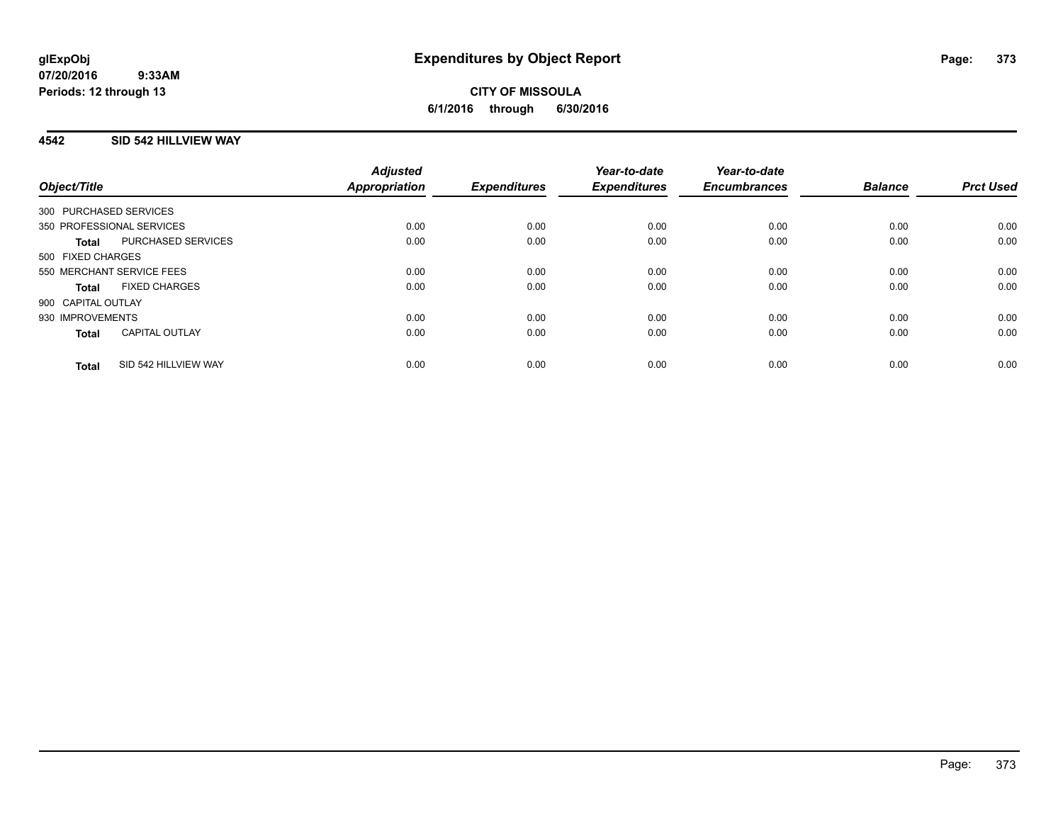## **4542 SID 542 HILLVIEW WAY**

| Object/Title              |                       | <b>Adjusted</b><br><b>Appropriation</b> | <b>Expenditures</b> | Year-to-date<br><b>Expenditures</b> | Year-to-date<br><b>Encumbrances</b> | <b>Balance</b> | <b>Prct Used</b> |
|---------------------------|-----------------------|-----------------------------------------|---------------------|-------------------------------------|-------------------------------------|----------------|------------------|
| 300 PURCHASED SERVICES    |                       |                                         |                     |                                     |                                     |                |                  |
| 350 PROFESSIONAL SERVICES |                       | 0.00                                    | 0.00                | 0.00                                | 0.00                                | 0.00           | 0.00             |
| <b>Total</b>              | PURCHASED SERVICES    | 0.00                                    | 0.00                | 0.00                                | 0.00                                | 0.00           | 0.00             |
| 500 FIXED CHARGES         |                       |                                         |                     |                                     |                                     |                |                  |
| 550 MERCHANT SERVICE FEES |                       | 0.00                                    | 0.00                | 0.00                                | 0.00                                | 0.00           | 0.00             |
| Total                     | <b>FIXED CHARGES</b>  | 0.00                                    | 0.00                | 0.00                                | 0.00                                | 0.00           | 0.00             |
| 900 CAPITAL OUTLAY        |                       |                                         |                     |                                     |                                     |                |                  |
| 930 IMPROVEMENTS          |                       | 0.00                                    | 0.00                | 0.00                                | 0.00                                | 0.00           | 0.00             |
| <b>Total</b>              | <b>CAPITAL OUTLAY</b> | 0.00                                    | 0.00                | 0.00                                | 0.00                                | 0.00           | 0.00             |
| <b>Total</b>              | SID 542 HILLVIEW WAY  | 0.00                                    | 0.00                | 0.00                                | 0.00                                | 0.00           | 0.00             |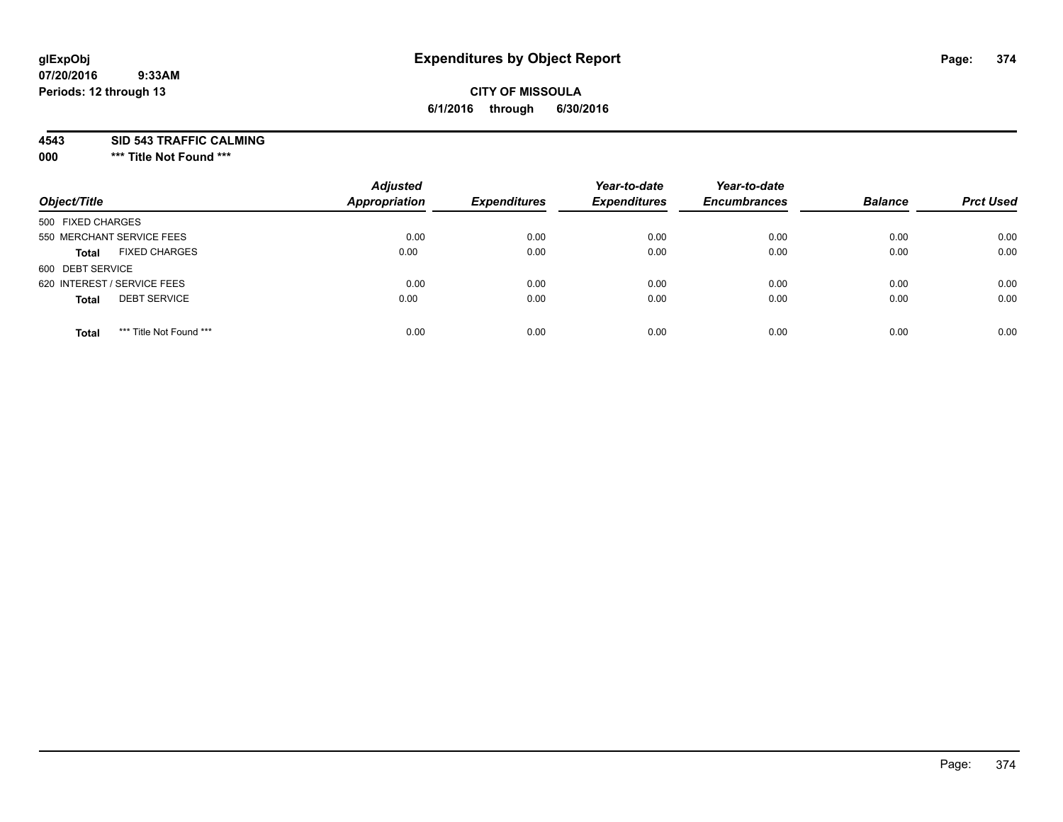# **CITY OF MISSOULA 6/1/2016 through 6/30/2016**

**4543 SID 543 TRAFFIC CALMING**

**000 \*\*\* Title Not Found \*\*\***

| Object/Title                            | <b>Adjusted</b><br><b>Appropriation</b> | <b>Expenditures</b> | Year-to-date<br><b>Expenditures</b> | Year-to-date<br><b>Encumbrances</b> | <b>Balance</b> | <b>Prct Used</b> |
|-----------------------------------------|-----------------------------------------|---------------------|-------------------------------------|-------------------------------------|----------------|------------------|
| 500 FIXED CHARGES                       |                                         |                     |                                     |                                     |                |                  |
| 550 MERCHANT SERVICE FEES               | 0.00                                    | 0.00                | 0.00                                | 0.00                                | 0.00           | 0.00             |
| <b>FIXED CHARGES</b><br><b>Total</b>    | 0.00                                    | 0.00                | 0.00                                | 0.00                                | 0.00           | 0.00             |
| 600 DEBT SERVICE                        |                                         |                     |                                     |                                     |                |                  |
| 620 INTEREST / SERVICE FEES             | 0.00                                    | 0.00                | 0.00                                | 0.00                                | 0.00           | 0.00             |
| <b>DEBT SERVICE</b><br><b>Total</b>     | 0.00                                    | 0.00                | 0.00                                | 0.00                                | 0.00           | 0.00             |
| *** Title Not Found ***<br><b>Total</b> | 0.00                                    | 0.00                | 0.00                                | 0.00                                | 0.00           | 0.00             |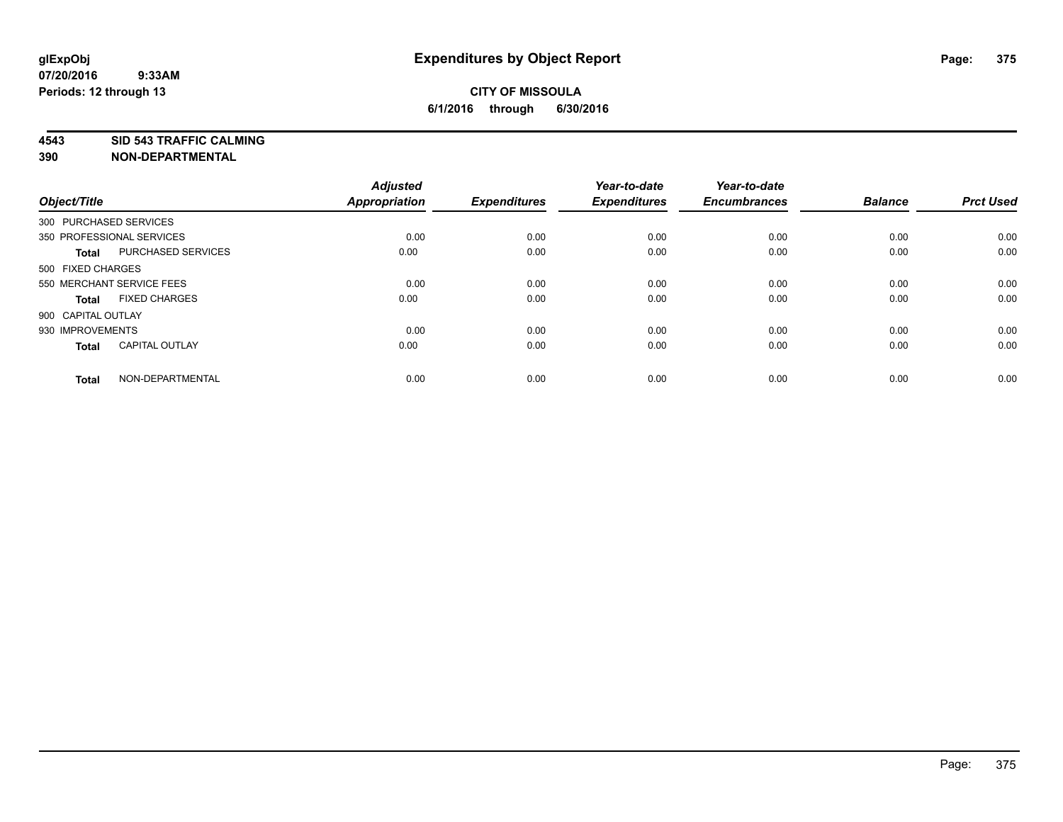**4543 SID 543 TRAFFIC CALMING**

| Object/Title           |                           | <b>Adjusted</b><br><b>Appropriation</b> | <b>Expenditures</b> | Year-to-date<br><b>Expenditures</b> | Year-to-date<br><b>Encumbrances</b> | <b>Balance</b> | <b>Prct Used</b> |
|------------------------|---------------------------|-----------------------------------------|---------------------|-------------------------------------|-------------------------------------|----------------|------------------|
| 300 PURCHASED SERVICES |                           |                                         |                     |                                     |                                     |                |                  |
|                        | 350 PROFESSIONAL SERVICES | 0.00                                    | 0.00                | 0.00                                | 0.00                                | 0.00           | 0.00             |
| <b>Total</b>           | <b>PURCHASED SERVICES</b> | 0.00                                    | 0.00                | 0.00                                | 0.00                                | 0.00           | 0.00             |
| 500 FIXED CHARGES      |                           |                                         |                     |                                     |                                     |                |                  |
|                        | 550 MERCHANT SERVICE FEES | 0.00                                    | 0.00                | 0.00                                | 0.00                                | 0.00           | 0.00             |
| <b>Total</b>           | <b>FIXED CHARGES</b>      | 0.00                                    | 0.00                | 0.00                                | 0.00                                | 0.00           | 0.00             |
| 900 CAPITAL OUTLAY     |                           |                                         |                     |                                     |                                     |                |                  |
| 930 IMPROVEMENTS       |                           | 0.00                                    | 0.00                | 0.00                                | 0.00                                | 0.00           | 0.00             |
| <b>Total</b>           | <b>CAPITAL OUTLAY</b>     | 0.00                                    | 0.00                | 0.00                                | 0.00                                | 0.00           | 0.00             |
| <b>Total</b>           | NON-DEPARTMENTAL          | 0.00                                    | 0.00                | 0.00                                | 0.00                                | 0.00           | 0.00             |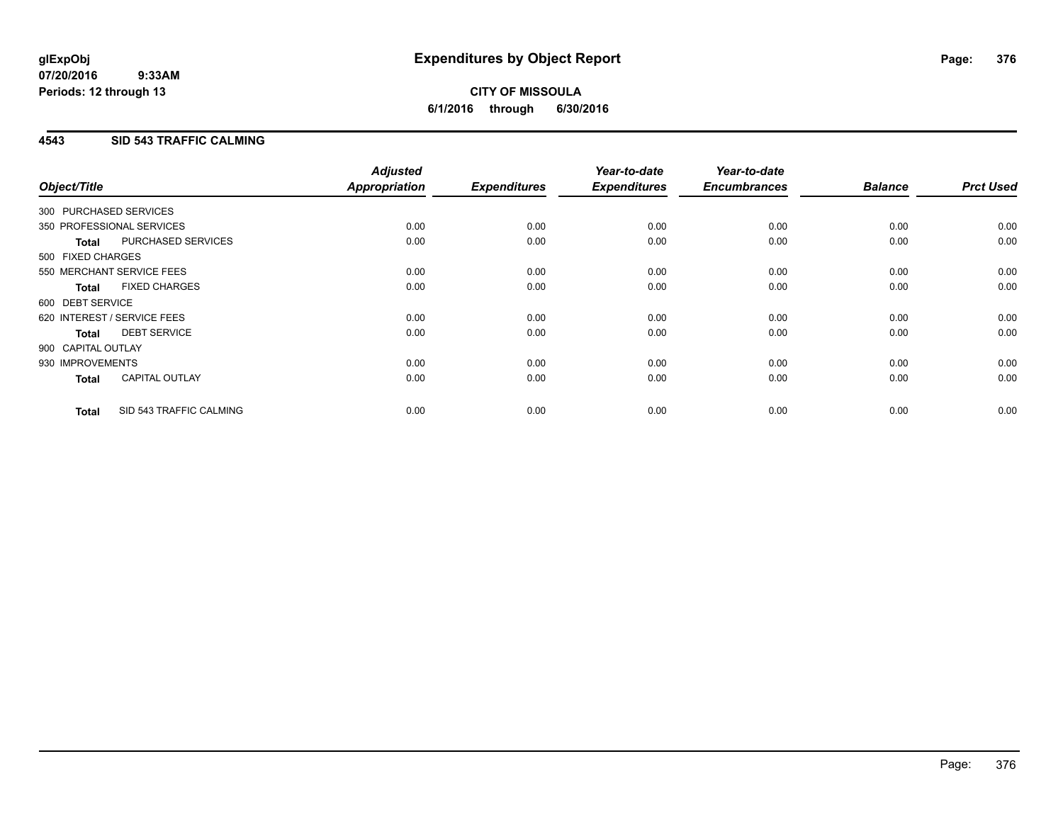## **4543 SID 543 TRAFFIC CALMING**

| Object/Title           |                             | <b>Adjusted</b><br>Appropriation | <b>Expenditures</b> | Year-to-date<br><b>Expenditures</b> | Year-to-date<br><b>Encumbrances</b> | <b>Balance</b> | <b>Prct Used</b> |
|------------------------|-----------------------------|----------------------------------|---------------------|-------------------------------------|-------------------------------------|----------------|------------------|
| 300 PURCHASED SERVICES |                             |                                  |                     |                                     |                                     |                |                  |
|                        | 350 PROFESSIONAL SERVICES   | 0.00                             | 0.00                | 0.00                                | 0.00                                | 0.00           | 0.00             |
| <b>Total</b>           | PURCHASED SERVICES          | 0.00                             | 0.00                | 0.00                                | 0.00                                | 0.00           | 0.00             |
| 500 FIXED CHARGES      |                             |                                  |                     |                                     |                                     |                |                  |
|                        | 550 MERCHANT SERVICE FEES   | 0.00                             | 0.00                | 0.00                                | 0.00                                | 0.00           | 0.00             |
| <b>Total</b>           | <b>FIXED CHARGES</b>        | 0.00                             | 0.00                | 0.00                                | 0.00                                | 0.00           | 0.00             |
| 600 DEBT SERVICE       |                             |                                  |                     |                                     |                                     |                |                  |
|                        | 620 INTEREST / SERVICE FEES | 0.00                             | 0.00                | 0.00                                | 0.00                                | 0.00           | 0.00             |
| Total                  | <b>DEBT SERVICE</b>         | 0.00                             | 0.00                | 0.00                                | 0.00                                | 0.00           | 0.00             |
| 900 CAPITAL OUTLAY     |                             |                                  |                     |                                     |                                     |                |                  |
| 930 IMPROVEMENTS       |                             | 0.00                             | 0.00                | 0.00                                | 0.00                                | 0.00           | 0.00             |
| <b>Total</b>           | <b>CAPITAL OUTLAY</b>       | 0.00                             | 0.00                | 0.00                                | 0.00                                | 0.00           | 0.00             |
| <b>Total</b>           | SID 543 TRAFFIC CALMING     | 0.00                             | 0.00                | 0.00                                | 0.00                                | 0.00           | 0.00             |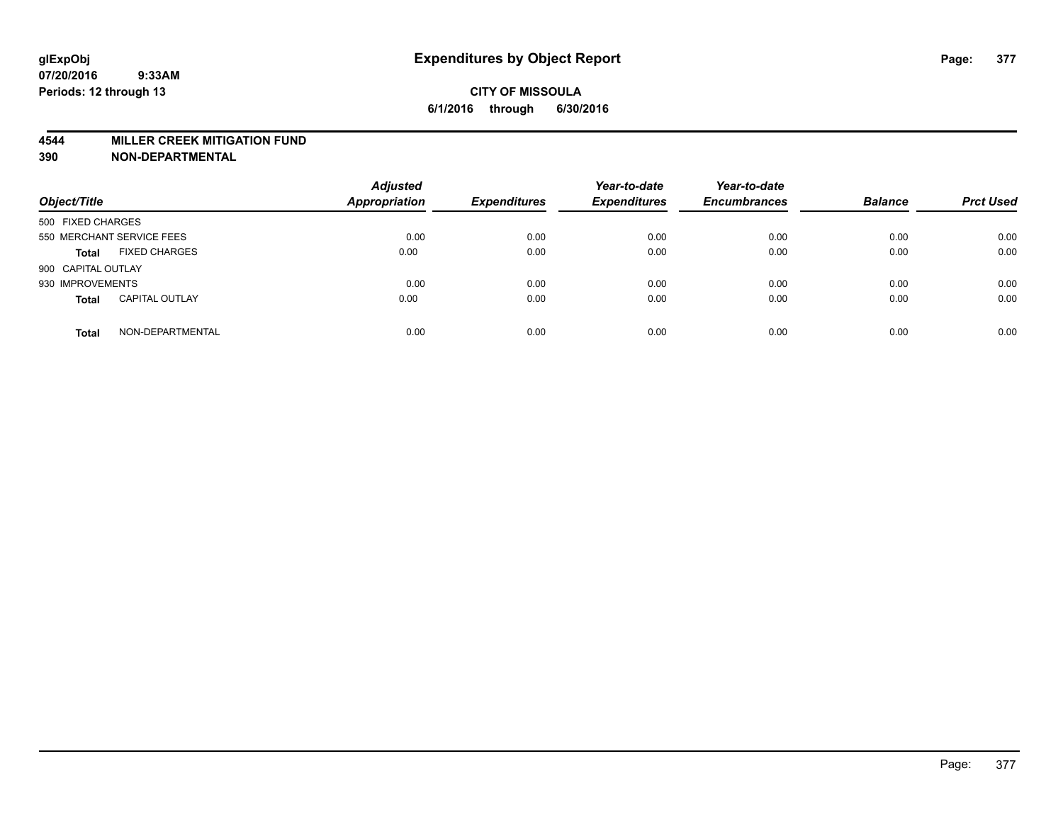#### **4544 MILLER CREEK MITIGATION FUND**

| Object/Title                          | <b>Adjusted</b><br><b>Appropriation</b> | <b>Expenditures</b> | Year-to-date<br><b>Expenditures</b> | Year-to-date<br><b>Encumbrances</b> | <b>Balance</b> | <b>Prct Used</b> |
|---------------------------------------|-----------------------------------------|---------------------|-------------------------------------|-------------------------------------|----------------|------------------|
| 500 FIXED CHARGES                     |                                         |                     |                                     |                                     |                |                  |
| 550 MERCHANT SERVICE FEES             | 0.00                                    | 0.00                | 0.00                                | 0.00                                | 0.00           | 0.00             |
| <b>FIXED CHARGES</b><br><b>Total</b>  | 0.00                                    | 0.00                | 0.00                                | 0.00                                | 0.00           | 0.00             |
| 900 CAPITAL OUTLAY                    |                                         |                     |                                     |                                     |                |                  |
| 930 IMPROVEMENTS                      | 0.00                                    | 0.00                | 0.00                                | 0.00                                | 0.00           | 0.00             |
| <b>CAPITAL OUTLAY</b><br><b>Total</b> | 0.00                                    | 0.00                | 0.00                                | 0.00                                | 0.00           | 0.00             |
| NON-DEPARTMENTAL<br><b>Total</b>      | 0.00                                    | 0.00                | 0.00                                | 0.00                                | 0.00           | 0.00             |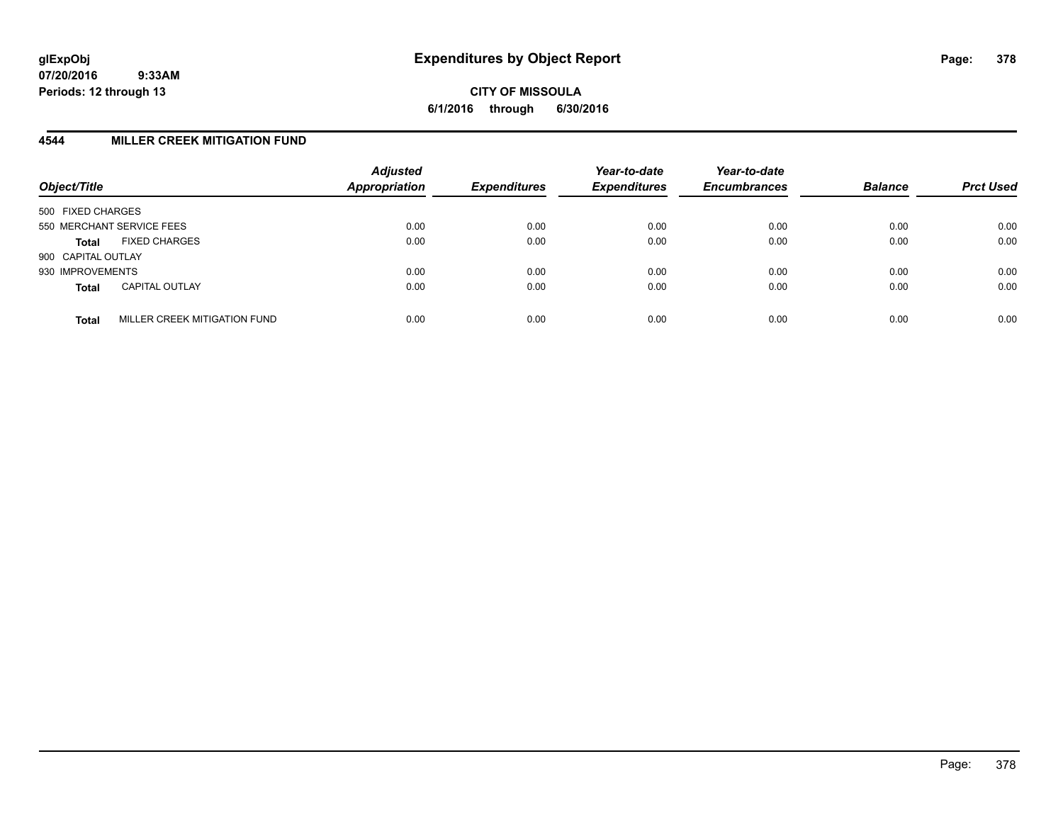**CITY OF MISSOULA 6/1/2016 through 6/30/2016**

## **4544 MILLER CREEK MITIGATION FUND**

| Object/Title              |                              | <b>Adjusted</b><br>Appropriation | <b>Expenditures</b> | Year-to-date<br><b>Expenditures</b> | Year-to-date<br><b>Encumbrances</b> | <b>Balance</b> | <b>Prct Used</b> |
|---------------------------|------------------------------|----------------------------------|---------------------|-------------------------------------|-------------------------------------|----------------|------------------|
| 500 FIXED CHARGES         |                              |                                  |                     |                                     |                                     |                |                  |
| 550 MERCHANT SERVICE FEES |                              | 0.00                             | 0.00                | 0.00                                | 0.00                                | 0.00           | 0.00             |
| Total                     | <b>FIXED CHARGES</b>         | 0.00                             | 0.00                | 0.00                                | 0.00                                | 0.00           | 0.00             |
| 900 CAPITAL OUTLAY        |                              |                                  |                     |                                     |                                     |                |                  |
| 930 IMPROVEMENTS          |                              | 0.00                             | 0.00                | 0.00                                | 0.00                                | 0.00           | 0.00             |
| <b>Total</b>              | <b>CAPITAL OUTLAY</b>        | 0.00                             | 0.00                | 0.00                                | 0.00                                | 0.00           | 0.00             |
| <b>Total</b>              | MILLER CREEK MITIGATION FUND | 0.00                             | 0.00                | 0.00                                | 0.00                                | 0.00           | 0.00             |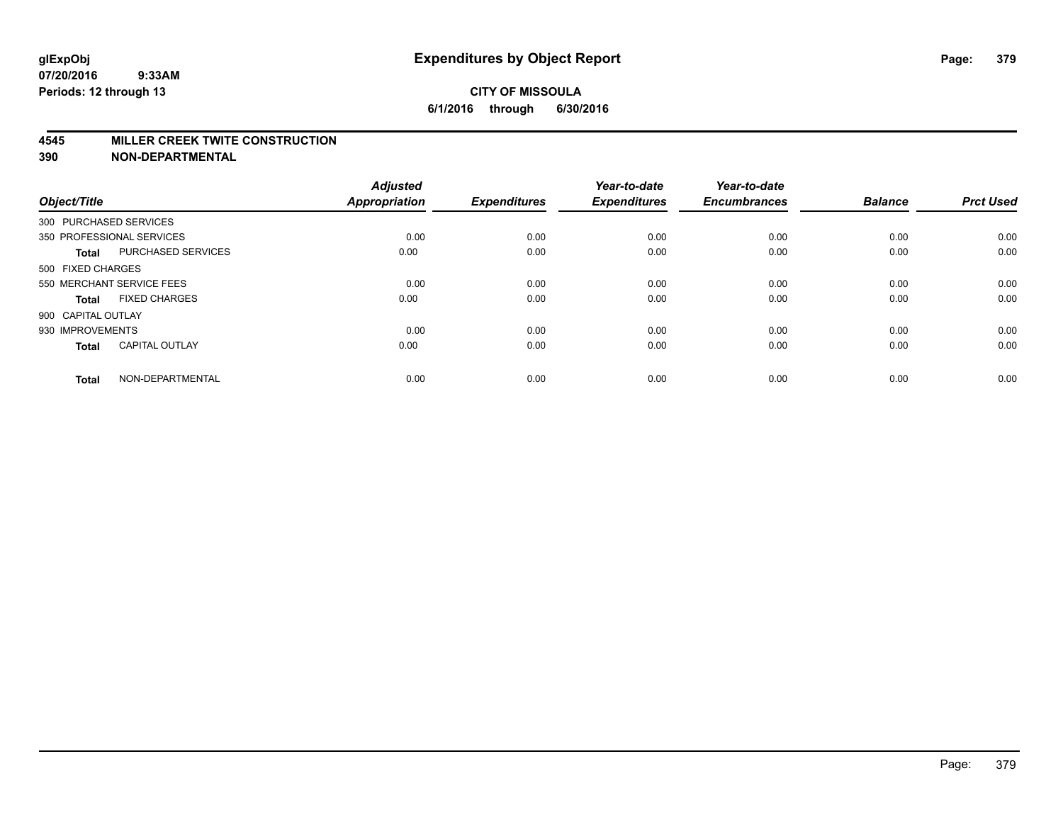#### **4545 MILLER CREEK TWITE CONSTRUCTION**

| Object/Title       |                           | <b>Adjusted</b><br><b>Appropriation</b> | <b>Expenditures</b> | Year-to-date<br><b>Expenditures</b> | Year-to-date<br><b>Encumbrances</b> | <b>Balance</b> | <b>Prct Used</b> |
|--------------------|---------------------------|-----------------------------------------|---------------------|-------------------------------------|-------------------------------------|----------------|------------------|
|                    | 300 PURCHASED SERVICES    |                                         |                     |                                     |                                     |                |                  |
|                    | 350 PROFESSIONAL SERVICES | 0.00                                    | 0.00                | 0.00                                | 0.00                                | 0.00           | 0.00             |
| <b>Total</b>       | <b>PURCHASED SERVICES</b> | 0.00                                    | 0.00                | 0.00                                | 0.00                                | 0.00           | 0.00             |
| 500 FIXED CHARGES  |                           |                                         |                     |                                     |                                     |                |                  |
|                    | 550 MERCHANT SERVICE FEES | 0.00                                    | 0.00                | 0.00                                | 0.00                                | 0.00           | 0.00             |
| Total              | <b>FIXED CHARGES</b>      | 0.00                                    | 0.00                | 0.00                                | 0.00                                | 0.00           | 0.00             |
| 900 CAPITAL OUTLAY |                           |                                         |                     |                                     |                                     |                |                  |
| 930 IMPROVEMENTS   |                           | 0.00                                    | 0.00                | 0.00                                | 0.00                                | 0.00           | 0.00             |
| Total              | <b>CAPITAL OUTLAY</b>     | 0.00                                    | 0.00                | 0.00                                | 0.00                                | 0.00           | 0.00             |
| <b>Total</b>       | NON-DEPARTMENTAL          | 0.00                                    | 0.00                | 0.00                                | 0.00                                | 0.00           | 0.00             |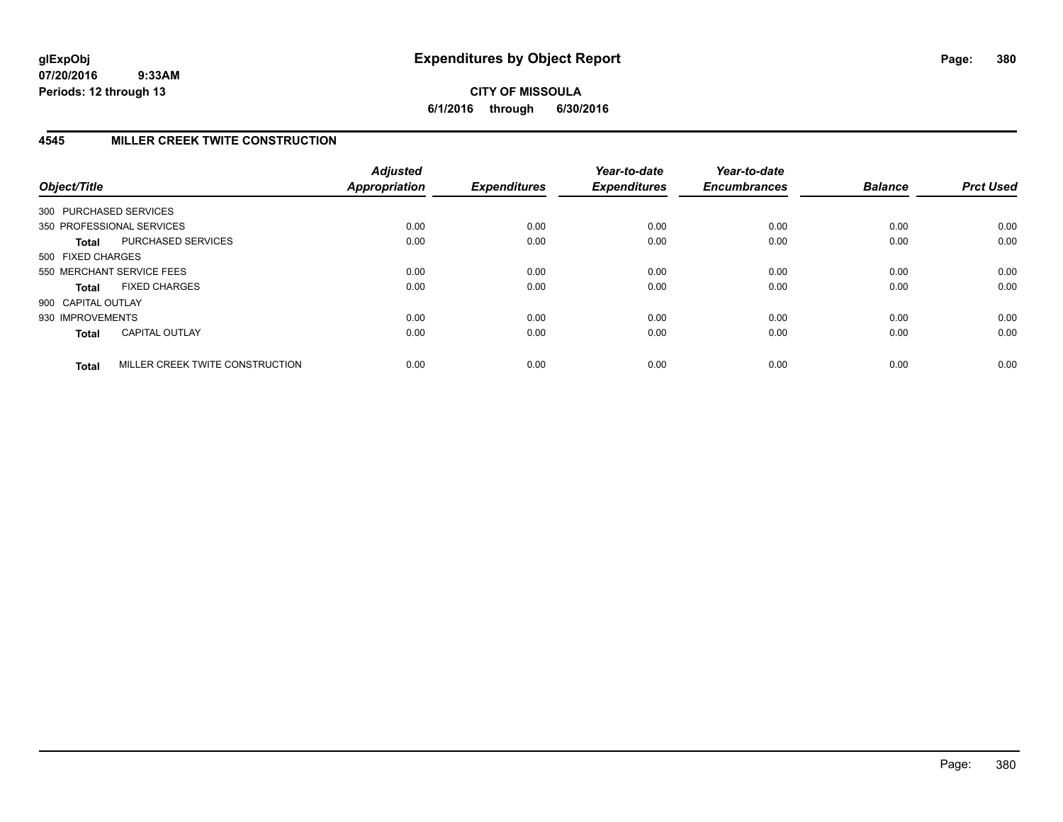# **4545 MILLER CREEK TWITE CONSTRUCTION**

| Object/Title           |                                 | <b>Adjusted</b><br>Appropriation | <b>Expenditures</b> | Year-to-date<br><b>Expenditures</b> | Year-to-date<br><b>Encumbrances</b> | <b>Balance</b> | <b>Prct Used</b> |
|------------------------|---------------------------------|----------------------------------|---------------------|-------------------------------------|-------------------------------------|----------------|------------------|
| 300 PURCHASED SERVICES |                                 |                                  |                     |                                     |                                     |                |                  |
|                        | 350 PROFESSIONAL SERVICES       | 0.00                             | 0.00                | 0.00                                | 0.00                                | 0.00           | 0.00             |
| <b>Total</b>           | PURCHASED SERVICES              | 0.00                             | 0.00                | 0.00                                | 0.00                                | 0.00           | 0.00             |
| 500 FIXED CHARGES      |                                 |                                  |                     |                                     |                                     |                |                  |
|                        | 550 MERCHANT SERVICE FEES       | 0.00                             | 0.00                | 0.00                                | 0.00                                | 0.00           | 0.00             |
| <b>Total</b>           | <b>FIXED CHARGES</b>            | 0.00                             | 0.00                | 0.00                                | 0.00                                | 0.00           | 0.00             |
| 900 CAPITAL OUTLAY     |                                 |                                  |                     |                                     |                                     |                |                  |
| 930 IMPROVEMENTS       |                                 | 0.00                             | 0.00                | 0.00                                | 0.00                                | 0.00           | 0.00             |
| <b>Total</b>           | <b>CAPITAL OUTLAY</b>           | 0.00                             | 0.00                | 0.00                                | 0.00                                | 0.00           | 0.00             |
| <b>Total</b>           | MILLER CREEK TWITE CONSTRUCTION | 0.00                             | 0.00                | 0.00                                | 0.00                                | 0.00           | 0.00             |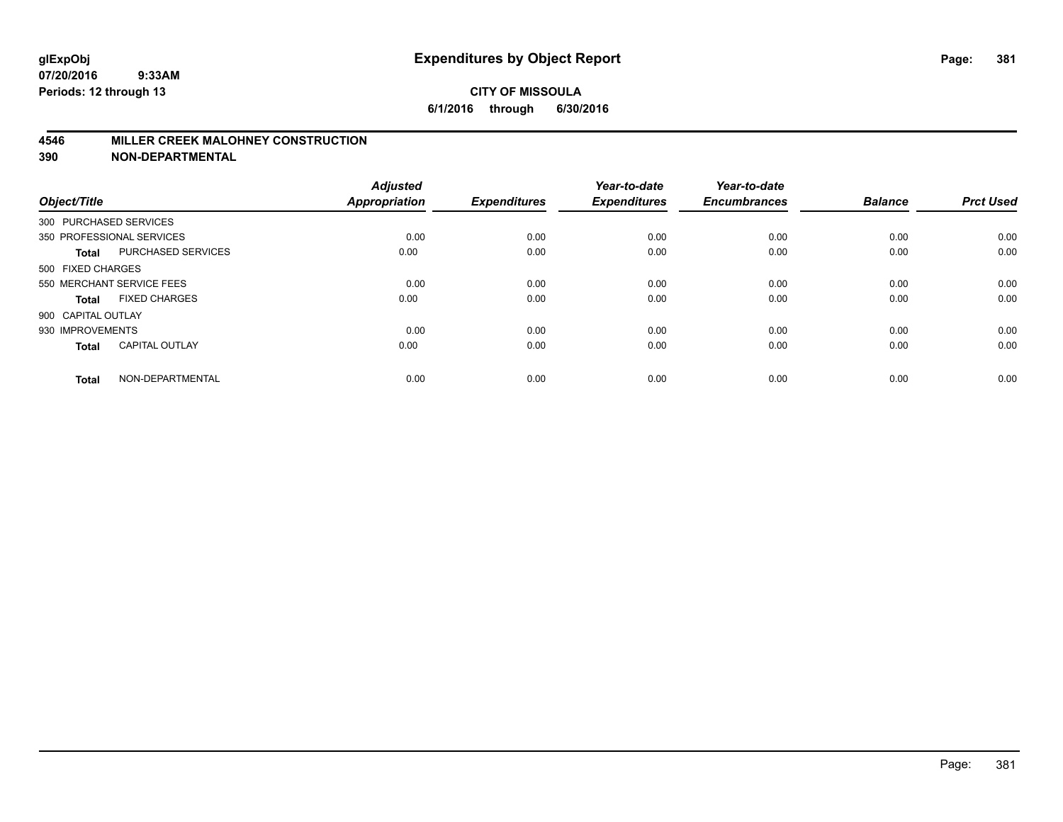### **4546 MILLER CREEK MALOHNEY CONSTRUCTION**

| Object/Title       |                           | <b>Adjusted</b><br><b>Appropriation</b> | <b>Expenditures</b> | Year-to-date<br><b>Expenditures</b> | Year-to-date<br><b>Encumbrances</b> | <b>Balance</b> | <b>Prct Used</b> |
|--------------------|---------------------------|-----------------------------------------|---------------------|-------------------------------------|-------------------------------------|----------------|------------------|
|                    | 300 PURCHASED SERVICES    |                                         |                     |                                     |                                     |                |                  |
|                    | 350 PROFESSIONAL SERVICES | 0.00                                    | 0.00                | 0.00                                | 0.00                                | 0.00           | 0.00             |
| <b>Total</b>       | <b>PURCHASED SERVICES</b> | 0.00                                    | 0.00                | 0.00                                | 0.00                                | 0.00           | 0.00             |
| 500 FIXED CHARGES  |                           |                                         |                     |                                     |                                     |                |                  |
|                    | 550 MERCHANT SERVICE FEES | 0.00                                    | 0.00                | 0.00                                | 0.00                                | 0.00           | 0.00             |
| <b>Total</b>       | <b>FIXED CHARGES</b>      | 0.00                                    | 0.00                | 0.00                                | 0.00                                | 0.00           | 0.00             |
| 900 CAPITAL OUTLAY |                           |                                         |                     |                                     |                                     |                |                  |
| 930 IMPROVEMENTS   |                           | 0.00                                    | 0.00                | 0.00                                | 0.00                                | 0.00           | 0.00             |
| <b>Total</b>       | <b>CAPITAL OUTLAY</b>     | 0.00                                    | 0.00                | 0.00                                | 0.00                                | 0.00           | 0.00             |
| <b>Total</b>       | NON-DEPARTMENTAL          | 0.00                                    | 0.00                | 0.00                                | 0.00                                | 0.00           | 0.00             |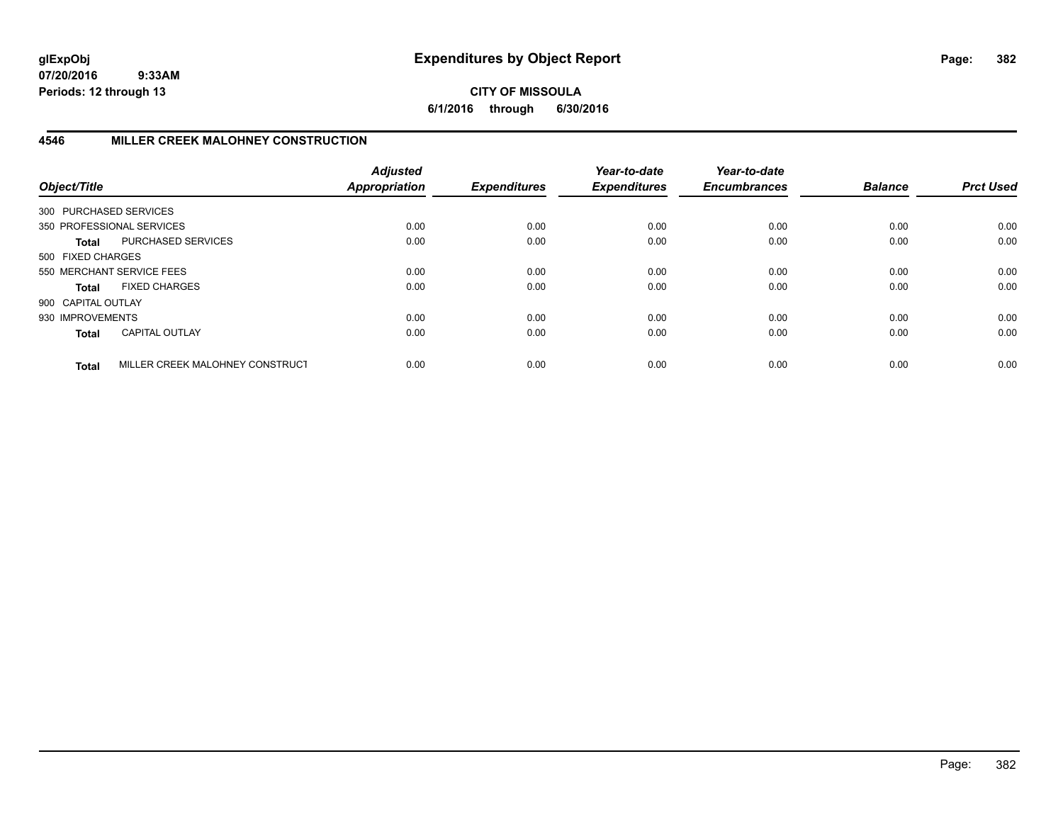## **CITY OF MISSOULA 6/1/2016 through 6/30/2016**

# **4546 MILLER CREEK MALOHNEY CONSTRUCTION**

| Object/Title           |                                 | <b>Adjusted</b><br>Appropriation | <b>Expenditures</b> | Year-to-date<br><b>Expenditures</b> | Year-to-date<br><b>Encumbrances</b> | <b>Balance</b> | <b>Prct Used</b> |
|------------------------|---------------------------------|----------------------------------|---------------------|-------------------------------------|-------------------------------------|----------------|------------------|
| 300 PURCHASED SERVICES |                                 |                                  |                     |                                     |                                     |                |                  |
|                        | 350 PROFESSIONAL SERVICES       | 0.00                             | 0.00                | 0.00                                | 0.00                                | 0.00           | 0.00             |
| Total                  | PURCHASED SERVICES              | 0.00                             | 0.00                | 0.00                                | 0.00                                | 0.00           | 0.00             |
| 500 FIXED CHARGES      |                                 |                                  |                     |                                     |                                     |                |                  |
|                        | 550 MERCHANT SERVICE FEES       | 0.00                             | 0.00                | 0.00                                | 0.00                                | 0.00           | 0.00             |
| Total                  | <b>FIXED CHARGES</b>            | 0.00                             | 0.00                | 0.00                                | 0.00                                | 0.00           | 0.00             |
| 900 CAPITAL OUTLAY     |                                 |                                  |                     |                                     |                                     |                |                  |
| 930 IMPROVEMENTS       |                                 | 0.00                             | 0.00                | 0.00                                | 0.00                                | 0.00           | 0.00             |
| <b>Total</b>           | CAPITAL OUTLAY                  | 0.00                             | 0.00                | 0.00                                | 0.00                                | 0.00           | 0.00             |
| <b>Total</b>           | MILLER CREEK MALOHNEY CONSTRUCT | 0.00                             | 0.00                | 0.00                                | 0.00                                | 0.00           | 0.00             |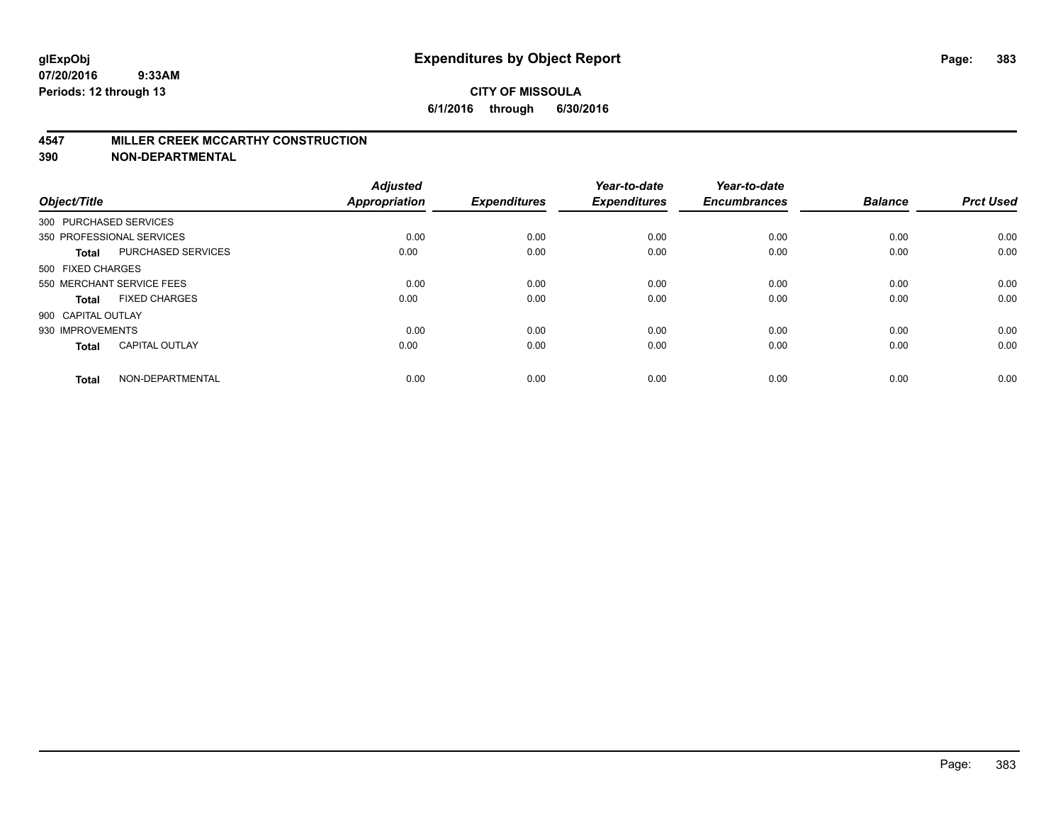#### **4547 MILLER CREEK MCCARTHY CONSTRUCTION**

| Object/Title           |                           | <b>Adjusted</b><br><b>Appropriation</b> | <b>Expenditures</b> | Year-to-date<br><b>Expenditures</b> | Year-to-date<br><b>Encumbrances</b> | <b>Balance</b> | <b>Prct Used</b> |
|------------------------|---------------------------|-----------------------------------------|---------------------|-------------------------------------|-------------------------------------|----------------|------------------|
| 300 PURCHASED SERVICES |                           |                                         |                     |                                     |                                     |                |                  |
|                        | 350 PROFESSIONAL SERVICES | 0.00                                    | 0.00                | 0.00                                | 0.00                                | 0.00           | 0.00             |
| <b>Total</b>           | <b>PURCHASED SERVICES</b> | 0.00                                    | 0.00                | 0.00                                | 0.00                                | 0.00           | 0.00             |
| 500 FIXED CHARGES      |                           |                                         |                     |                                     |                                     |                |                  |
|                        | 550 MERCHANT SERVICE FEES | 0.00                                    | 0.00                | 0.00                                | 0.00                                | 0.00           | 0.00             |
| Total                  | <b>FIXED CHARGES</b>      | 0.00                                    | 0.00                | 0.00                                | 0.00                                | 0.00           | 0.00             |
| 900 CAPITAL OUTLAY     |                           |                                         |                     |                                     |                                     |                |                  |
| 930 IMPROVEMENTS       |                           | 0.00                                    | 0.00                | 0.00                                | 0.00                                | 0.00           | 0.00             |
| Total                  | <b>CAPITAL OUTLAY</b>     | 0.00                                    | 0.00                | 0.00                                | 0.00                                | 0.00           | 0.00             |
| <b>Total</b>           | NON-DEPARTMENTAL          | 0.00                                    | 0.00                | 0.00                                | 0.00                                | 0.00           | 0.00             |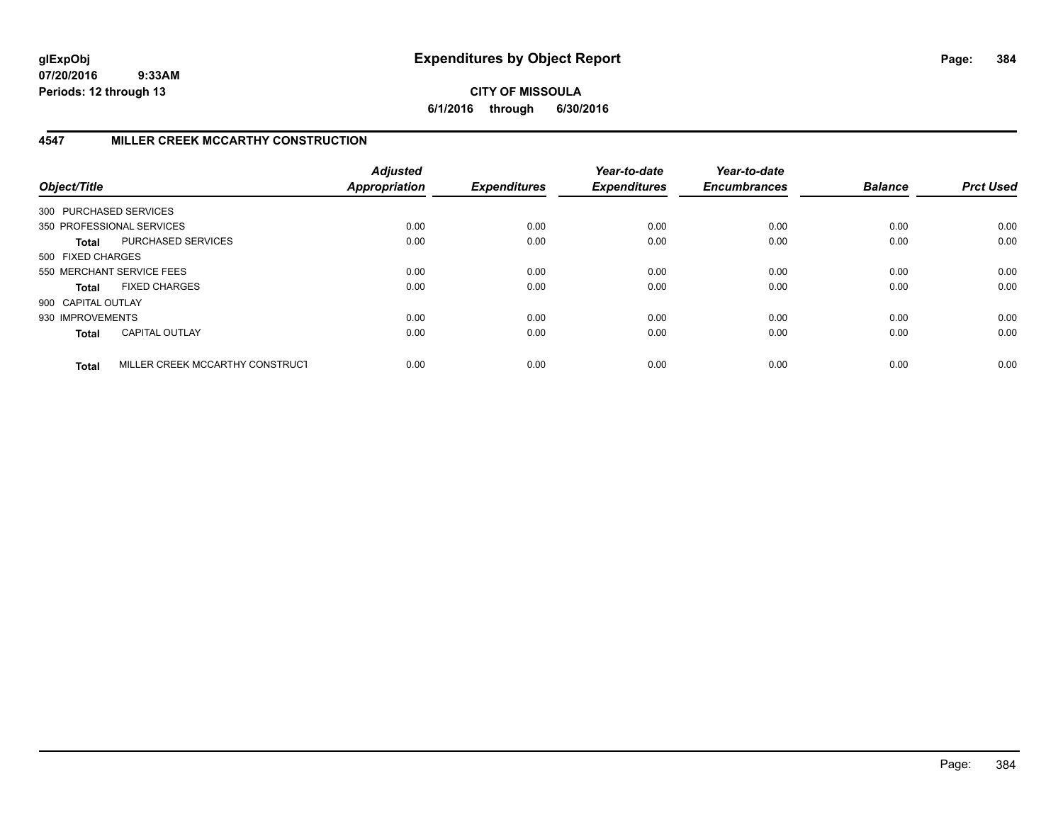**CITY OF MISSOULA 6/1/2016 through 6/30/2016**

# **4547 MILLER CREEK MCCARTHY CONSTRUCTION**

| Object/Title           |                                 | <b>Adjusted</b><br><b>Appropriation</b> | <b>Expenditures</b> | Year-to-date<br><b>Expenditures</b> | Year-to-date<br><b>Encumbrances</b> | <b>Balance</b> | <b>Prct Used</b> |
|------------------------|---------------------------------|-----------------------------------------|---------------------|-------------------------------------|-------------------------------------|----------------|------------------|
| 300 PURCHASED SERVICES |                                 |                                         |                     |                                     |                                     |                |                  |
|                        | 350 PROFESSIONAL SERVICES       | 0.00                                    | 0.00                | 0.00                                | 0.00                                | 0.00           | 0.00             |
| Total                  | PURCHASED SERVICES              | 0.00                                    | 0.00                | 0.00                                | 0.00                                | 0.00           | 0.00             |
| 500 FIXED CHARGES      |                                 |                                         |                     |                                     |                                     |                |                  |
|                        | 550 MERCHANT SERVICE FEES       | 0.00                                    | 0.00                | 0.00                                | 0.00                                | 0.00           | 0.00             |
| Total                  | <b>FIXED CHARGES</b>            | 0.00                                    | 0.00                | 0.00                                | 0.00                                | 0.00           | 0.00             |
| 900 CAPITAL OUTLAY     |                                 |                                         |                     |                                     |                                     |                |                  |
| 930 IMPROVEMENTS       |                                 | 0.00                                    | 0.00                | 0.00                                | 0.00                                | 0.00           | 0.00             |
| <b>Total</b>           | <b>CAPITAL OUTLAY</b>           | 0.00                                    | 0.00                | 0.00                                | 0.00                                | 0.00           | 0.00             |
| <b>Total</b>           | MILLER CREEK MCCARTHY CONSTRUCT | 0.00                                    | 0.00                | 0.00                                | 0.00                                | 0.00           | 0.00             |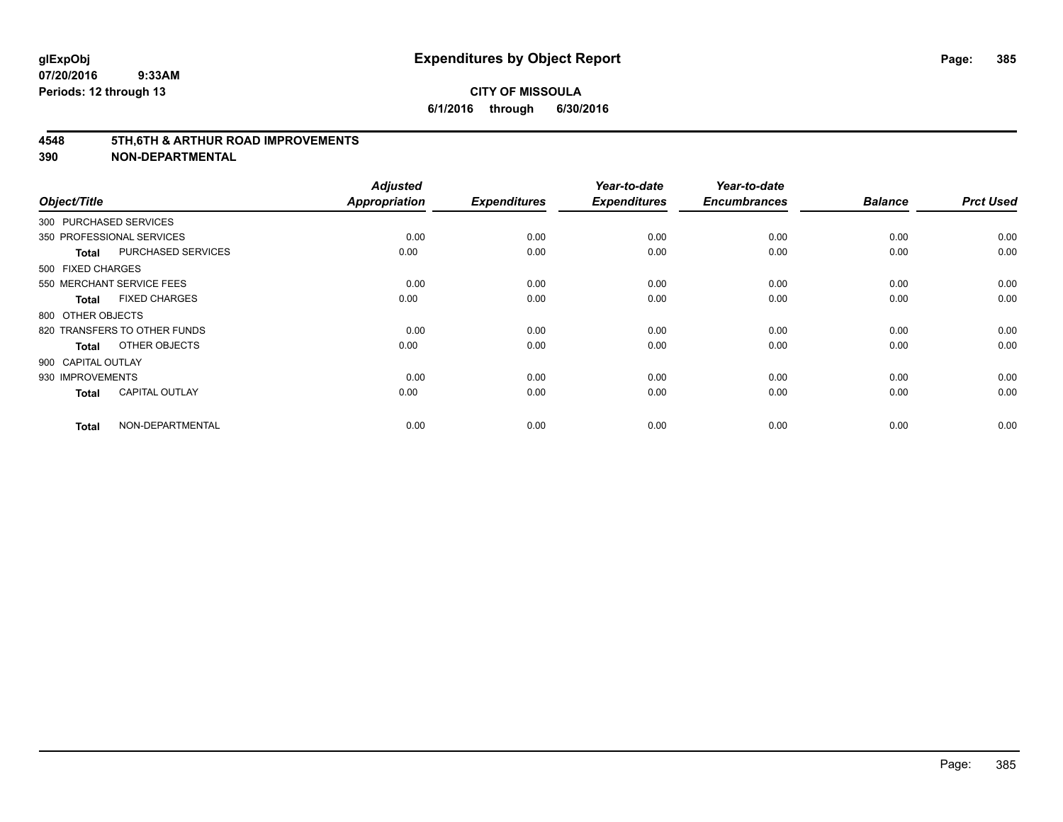#### **4548 5TH,6TH & ARTHUR ROAD IMPROVEMENTS**

| Object/Title           |                              | <b>Adjusted</b><br><b>Appropriation</b> | <b>Expenditures</b> | Year-to-date<br><b>Expenditures</b> | Year-to-date<br><b>Encumbrances</b> | <b>Balance</b> | <b>Prct Used</b> |
|------------------------|------------------------------|-----------------------------------------|---------------------|-------------------------------------|-------------------------------------|----------------|------------------|
| 300 PURCHASED SERVICES |                              |                                         |                     |                                     |                                     |                |                  |
|                        | 350 PROFESSIONAL SERVICES    | 0.00                                    | 0.00                | 0.00                                | 0.00                                | 0.00           | 0.00             |
| <b>Total</b>           | <b>PURCHASED SERVICES</b>    | 0.00                                    | 0.00                | 0.00                                | 0.00                                | 0.00           | 0.00             |
| 500 FIXED CHARGES      |                              |                                         |                     |                                     |                                     |                |                  |
|                        | 550 MERCHANT SERVICE FEES    | 0.00                                    | 0.00                | 0.00                                | 0.00                                | 0.00           | 0.00             |
| <b>Total</b>           | <b>FIXED CHARGES</b>         | 0.00                                    | 0.00                | 0.00                                | 0.00                                | 0.00           | 0.00             |
| 800 OTHER OBJECTS      |                              |                                         |                     |                                     |                                     |                |                  |
|                        | 820 TRANSFERS TO OTHER FUNDS | 0.00                                    | 0.00                | 0.00                                | 0.00                                | 0.00           | 0.00             |
| <b>Total</b>           | OTHER OBJECTS                | 0.00                                    | 0.00                | 0.00                                | 0.00                                | 0.00           | 0.00             |
| 900 CAPITAL OUTLAY     |                              |                                         |                     |                                     |                                     |                |                  |
| 930 IMPROVEMENTS       |                              | 0.00                                    | 0.00                | 0.00                                | 0.00                                | 0.00           | 0.00             |
| <b>Total</b>           | <b>CAPITAL OUTLAY</b>        | 0.00                                    | 0.00                | 0.00                                | 0.00                                | 0.00           | 0.00             |
| <b>Total</b>           | NON-DEPARTMENTAL             | 0.00                                    | 0.00                | 0.00                                | 0.00                                | 0.00           | 0.00             |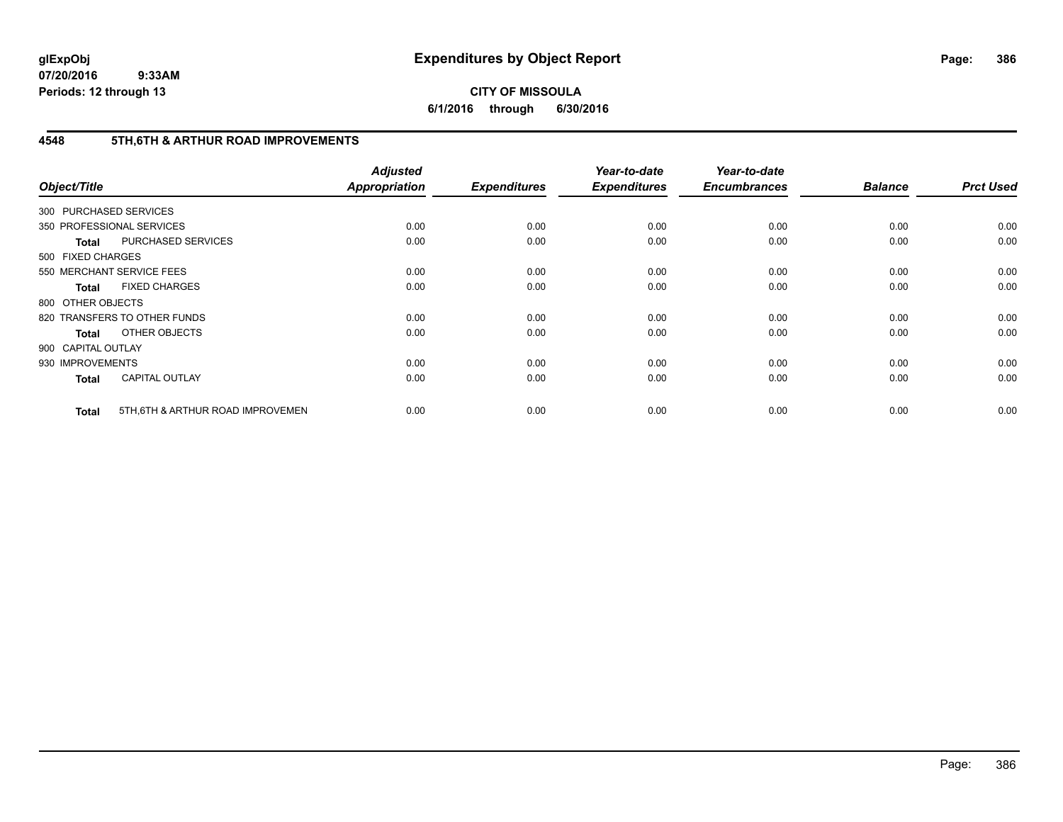# **CITY OF MISSOULA 6/1/2016 through 6/30/2016**

# **4548 5TH,6TH & ARTHUR ROAD IMPROVEMENTS**

| Object/Title           |                                   | <b>Adjusted</b><br><b>Appropriation</b> | <b>Expenditures</b> | Year-to-date<br><b>Expenditures</b> | Year-to-date<br><b>Encumbrances</b> | <b>Balance</b> | <b>Prct Used</b> |
|------------------------|-----------------------------------|-----------------------------------------|---------------------|-------------------------------------|-------------------------------------|----------------|------------------|
| 300 PURCHASED SERVICES |                                   |                                         |                     |                                     |                                     |                |                  |
|                        | 350 PROFESSIONAL SERVICES         | 0.00                                    | 0.00                | 0.00                                | 0.00                                | 0.00           | 0.00             |
| <b>Total</b>           | PURCHASED SERVICES                | 0.00                                    | 0.00                | 0.00                                | 0.00                                | 0.00           | 0.00             |
| 500 FIXED CHARGES      |                                   |                                         |                     |                                     |                                     |                |                  |
|                        | 550 MERCHANT SERVICE FEES         | 0.00                                    | 0.00                | 0.00                                | 0.00                                | 0.00           | 0.00             |
| <b>Total</b>           | <b>FIXED CHARGES</b>              | 0.00                                    | 0.00                | 0.00                                | 0.00                                | 0.00           | 0.00             |
| 800 OTHER OBJECTS      |                                   |                                         |                     |                                     |                                     |                |                  |
|                        | 820 TRANSFERS TO OTHER FUNDS      | 0.00                                    | 0.00                | 0.00                                | 0.00                                | 0.00           | 0.00             |
| <b>Total</b>           | OTHER OBJECTS                     | 0.00                                    | 0.00                | 0.00                                | 0.00                                | 0.00           | 0.00             |
| 900 CAPITAL OUTLAY     |                                   |                                         |                     |                                     |                                     |                |                  |
| 930 IMPROVEMENTS       |                                   | 0.00                                    | 0.00                | 0.00                                | 0.00                                | 0.00           | 0.00             |
| <b>Total</b>           | <b>CAPITAL OUTLAY</b>             | 0.00                                    | 0.00                | 0.00                                | 0.00                                | 0.00           | 0.00             |
| <b>Total</b>           | 5TH, 6TH & ARTHUR ROAD IMPROVEMEN | 0.00                                    | 0.00                | 0.00                                | 0.00                                | 0.00           | 0.00             |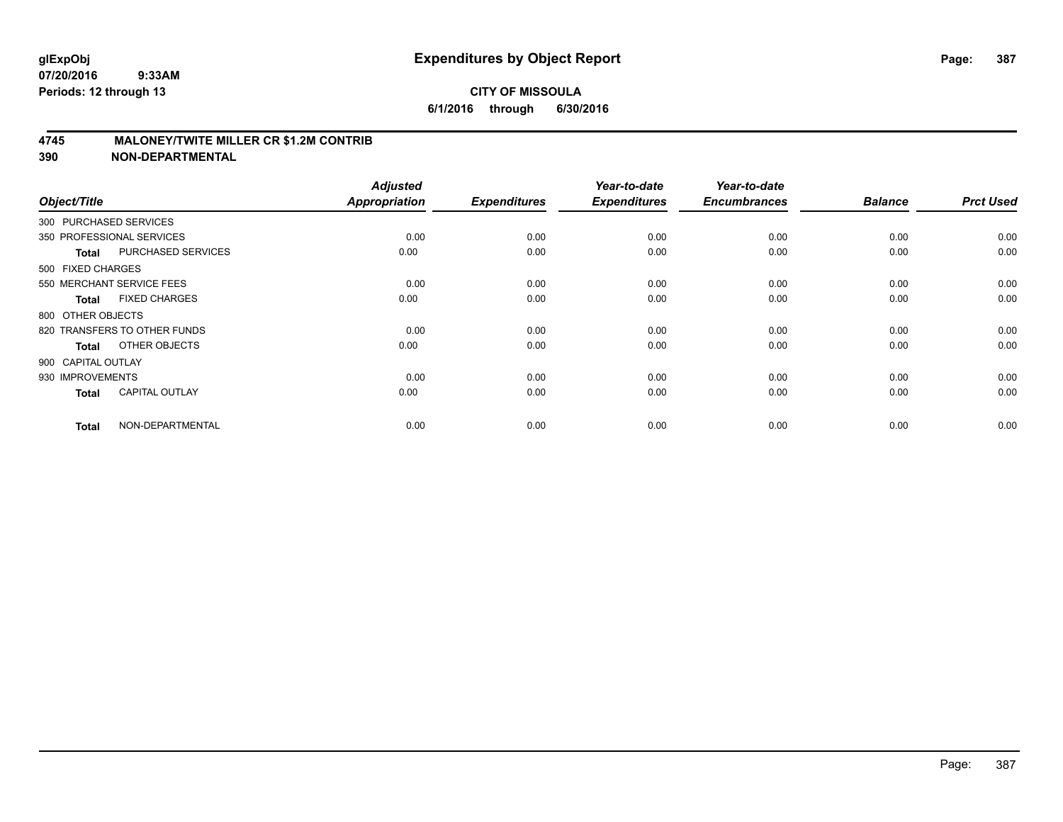### **4745 MALONEY/TWITE MILLER CR \$1.2M CONTRIB**

| Object/Title           |                              | <b>Adjusted</b><br><b>Appropriation</b> | <b>Expenditures</b> | Year-to-date<br><b>Expenditures</b> | Year-to-date<br><b>Encumbrances</b> | <b>Balance</b> | <b>Prct Used</b> |
|------------------------|------------------------------|-----------------------------------------|---------------------|-------------------------------------|-------------------------------------|----------------|------------------|
| 300 PURCHASED SERVICES |                              |                                         |                     |                                     |                                     |                |                  |
|                        | 350 PROFESSIONAL SERVICES    | 0.00                                    | 0.00                | 0.00                                | 0.00                                | 0.00           | 0.00             |
| <b>Total</b>           | PURCHASED SERVICES           | 0.00                                    | 0.00                | 0.00                                | 0.00                                | 0.00           | 0.00             |
| 500 FIXED CHARGES      |                              |                                         |                     |                                     |                                     |                |                  |
|                        | 550 MERCHANT SERVICE FEES    | 0.00                                    | 0.00                | 0.00                                | 0.00                                | 0.00           | 0.00             |
| <b>Total</b>           | <b>FIXED CHARGES</b>         | 0.00                                    | 0.00                | 0.00                                | 0.00                                | 0.00           | 0.00             |
| 800 OTHER OBJECTS      |                              |                                         |                     |                                     |                                     |                |                  |
|                        | 820 TRANSFERS TO OTHER FUNDS | 0.00                                    | 0.00                | 0.00                                | 0.00                                | 0.00           | 0.00             |
| <b>Total</b>           | OTHER OBJECTS                | 0.00                                    | 0.00                | 0.00                                | 0.00                                | 0.00           | 0.00             |
| 900 CAPITAL OUTLAY     |                              |                                         |                     |                                     |                                     |                |                  |
| 930 IMPROVEMENTS       |                              | 0.00                                    | 0.00                | 0.00                                | 0.00                                | 0.00           | 0.00             |
| <b>Total</b>           | <b>CAPITAL OUTLAY</b>        | 0.00                                    | 0.00                | 0.00                                | 0.00                                | 0.00           | 0.00             |
| <b>Total</b>           | NON-DEPARTMENTAL             | 0.00                                    | 0.00                | 0.00                                | 0.00                                | 0.00           | 0.00             |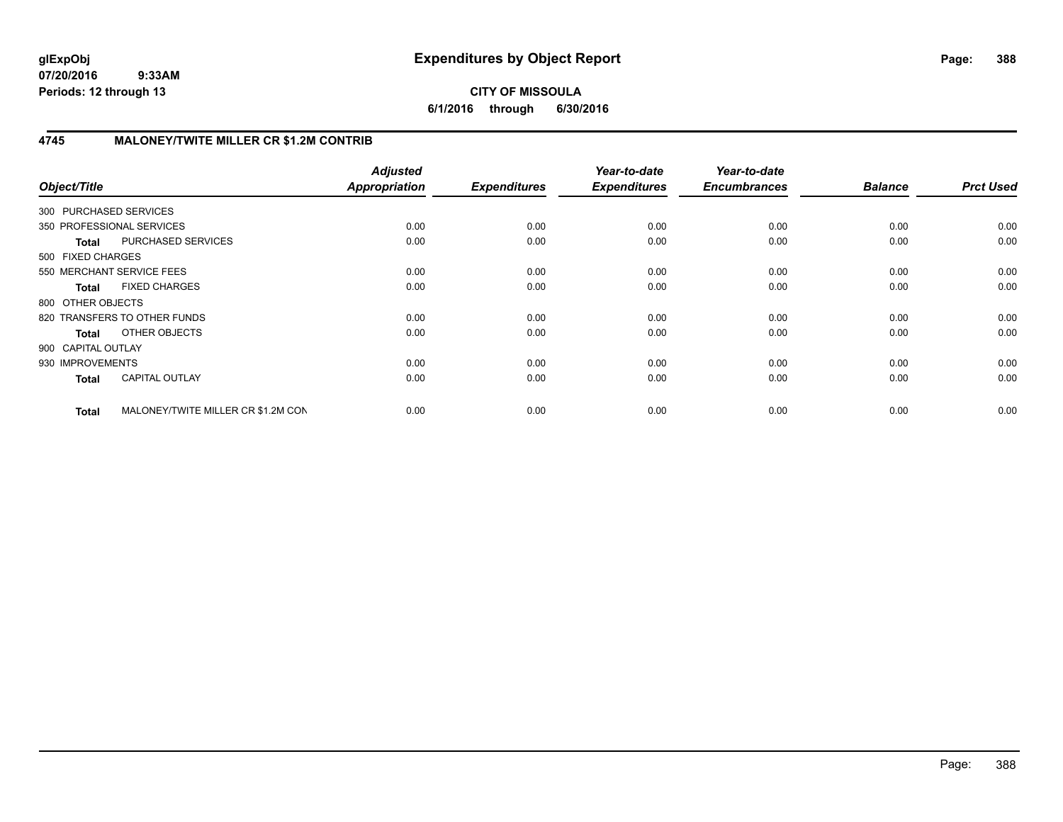# **CITY OF MISSOULA 6/1/2016 through 6/30/2016**

# **4745 MALONEY/TWITE MILLER CR \$1.2M CONTRIB**

| Object/Title              |                                    | <b>Adjusted</b><br><b>Appropriation</b> | <b>Expenditures</b> | Year-to-date<br><b>Expenditures</b> | Year-to-date<br><b>Encumbrances</b> | <b>Balance</b> | <b>Prct Used</b> |
|---------------------------|------------------------------------|-----------------------------------------|---------------------|-------------------------------------|-------------------------------------|----------------|------------------|
| 300 PURCHASED SERVICES    |                                    |                                         |                     |                                     |                                     |                |                  |
| 350 PROFESSIONAL SERVICES |                                    | 0.00                                    | 0.00                | 0.00                                | 0.00                                | 0.00           | 0.00             |
| <b>Total</b>              | PURCHASED SERVICES                 | 0.00                                    | 0.00                | 0.00                                | 0.00                                | 0.00           | 0.00             |
| 500 FIXED CHARGES         |                                    |                                         |                     |                                     |                                     |                |                  |
| 550 MERCHANT SERVICE FEES |                                    | 0.00                                    | 0.00                | 0.00                                | 0.00                                | 0.00           | 0.00             |
| <b>Total</b>              | <b>FIXED CHARGES</b>               | 0.00                                    | 0.00                | 0.00                                | 0.00                                | 0.00           | 0.00             |
| 800 OTHER OBJECTS         |                                    |                                         |                     |                                     |                                     |                |                  |
|                           | 820 TRANSFERS TO OTHER FUNDS       | 0.00                                    | 0.00                | 0.00                                | 0.00                                | 0.00           | 0.00             |
| Total                     | <b>OTHER OBJECTS</b>               | 0.00                                    | 0.00                | 0.00                                | 0.00                                | 0.00           | 0.00             |
| 900 CAPITAL OUTLAY        |                                    |                                         |                     |                                     |                                     |                |                  |
| 930 IMPROVEMENTS          |                                    | 0.00                                    | 0.00                | 0.00                                | 0.00                                | 0.00           | 0.00             |
| <b>Total</b>              | <b>CAPITAL OUTLAY</b>              | 0.00                                    | 0.00                | 0.00                                | 0.00                                | 0.00           | 0.00             |
| <b>Total</b>              | MALONEY/TWITE MILLER CR \$1.2M CON | 0.00                                    | 0.00                | 0.00                                | 0.00                                | 0.00           | 0.00             |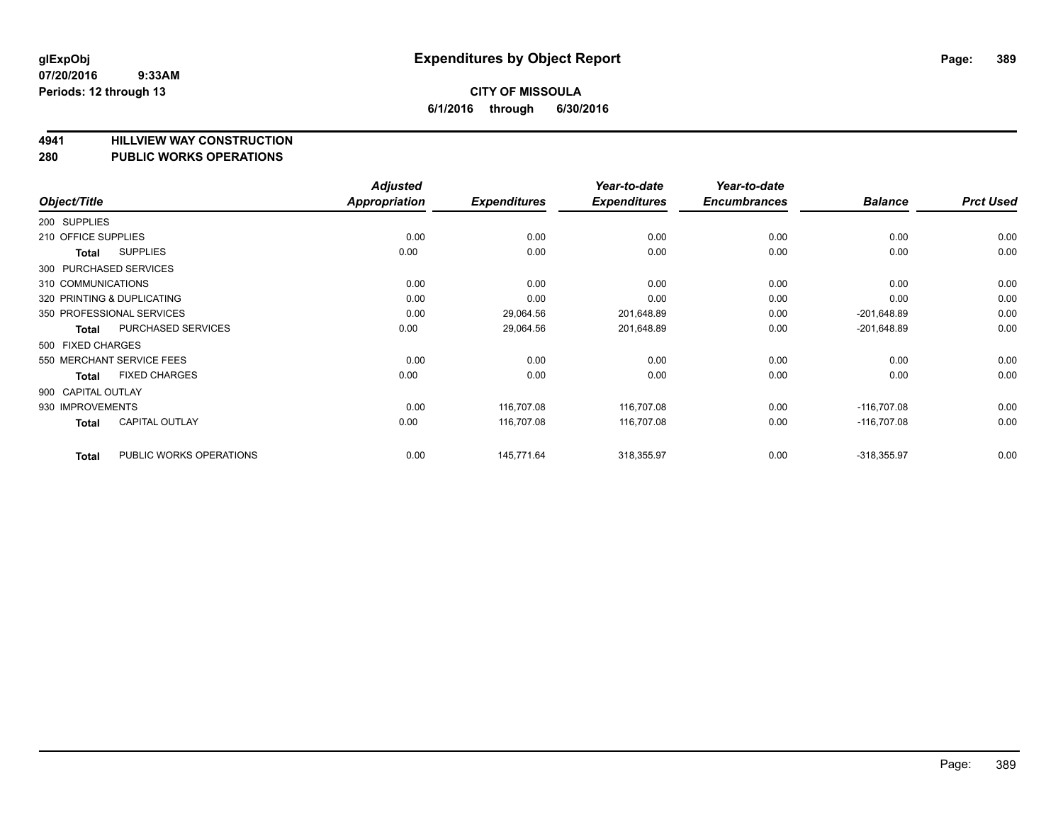## **4941 HILLVIEW WAY CONSTRUCTION**

#### **280 PUBLIC WORKS OPERATIONS**

| Object/Title                            | <b>Adjusted</b><br><b>Appropriation</b> | <b>Expenditures</b> | Year-to-date<br><b>Expenditures</b> | Year-to-date<br><b>Encumbrances</b> | <b>Balance</b> | <b>Prct Used</b> |
|-----------------------------------------|-----------------------------------------|---------------------|-------------------------------------|-------------------------------------|----------------|------------------|
|                                         |                                         |                     |                                     |                                     |                |                  |
| 200 SUPPLIES                            |                                         |                     |                                     |                                     |                |                  |
| 210 OFFICE SUPPLIES                     | 0.00                                    | 0.00                | 0.00                                | 0.00                                | 0.00           | 0.00             |
| <b>SUPPLIES</b><br>Total                | 0.00                                    | 0.00                | 0.00                                | 0.00                                | 0.00           | 0.00             |
| 300 PURCHASED SERVICES                  |                                         |                     |                                     |                                     |                |                  |
| 310 COMMUNICATIONS                      | 0.00                                    | 0.00                | 0.00                                | 0.00                                | 0.00           | 0.00             |
| 320 PRINTING & DUPLICATING              | 0.00                                    | 0.00                | 0.00                                | 0.00                                | 0.00           | 0.00             |
| 350 PROFESSIONAL SERVICES               | 0.00                                    | 29,064.56           | 201,648.89                          | 0.00                                | $-201,648.89$  | 0.00             |
| PURCHASED SERVICES<br><b>Total</b>      | 0.00                                    | 29,064.56           | 201,648.89                          | 0.00                                | $-201,648.89$  | 0.00             |
| 500 FIXED CHARGES                       |                                         |                     |                                     |                                     |                |                  |
| 550 MERCHANT SERVICE FEES               | 0.00                                    | 0.00                | 0.00                                | 0.00                                | 0.00           | 0.00             |
| <b>FIXED CHARGES</b><br>Total           | 0.00                                    | 0.00                | 0.00                                | 0.00                                | 0.00           | 0.00             |
| 900 CAPITAL OUTLAY                      |                                         |                     |                                     |                                     |                |                  |
| 930 IMPROVEMENTS                        | 0.00                                    | 116,707.08          | 116,707.08                          | 0.00                                | $-116,707.08$  | 0.00             |
| <b>CAPITAL OUTLAY</b><br><b>Total</b>   | 0.00                                    | 116,707.08          | 116,707.08                          | 0.00                                | $-116,707.08$  | 0.00             |
| PUBLIC WORKS OPERATIONS<br><b>Total</b> | 0.00                                    | 145,771.64          | 318,355.97                          | 0.00                                | $-318,355.97$  | 0.00             |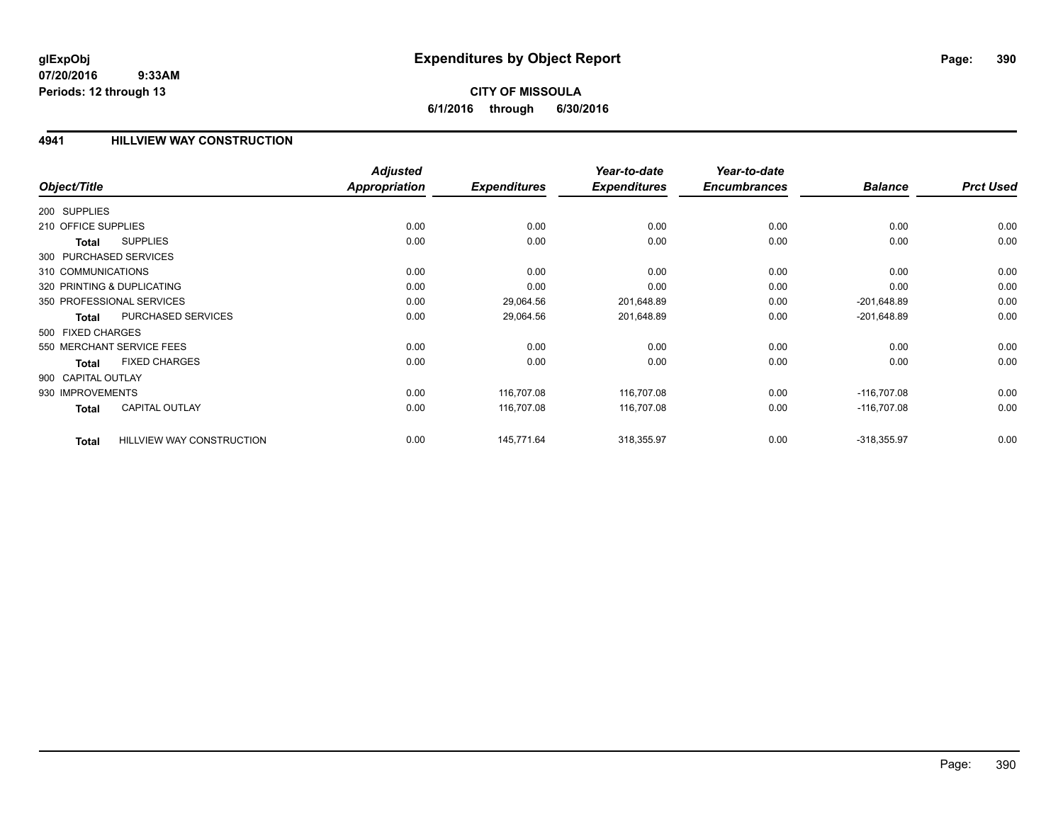# **CITY OF MISSOULA 6/1/2016 through 6/30/2016**

### **4941 HILLVIEW WAY CONSTRUCTION**

|                        |                                  | <b>Adjusted</b>      |                     | Year-to-date        | Year-to-date        |                |                  |
|------------------------|----------------------------------|----------------------|---------------------|---------------------|---------------------|----------------|------------------|
| Object/Title           |                                  | <b>Appropriation</b> | <b>Expenditures</b> | <b>Expenditures</b> | <b>Encumbrances</b> | <b>Balance</b> | <b>Prct Used</b> |
| 200 SUPPLIES           |                                  |                      |                     |                     |                     |                |                  |
| 210 OFFICE SUPPLIES    |                                  | 0.00                 | 0.00                | 0.00                | 0.00                | 0.00           | 0.00             |
| Total                  | <b>SUPPLIES</b>                  | 0.00                 | 0.00                | 0.00                | 0.00                | 0.00           | 0.00             |
| 300 PURCHASED SERVICES |                                  |                      |                     |                     |                     |                |                  |
| 310 COMMUNICATIONS     |                                  | 0.00                 | 0.00                | 0.00                | 0.00                | 0.00           | 0.00             |
|                        | 320 PRINTING & DUPLICATING       | 0.00                 | 0.00                | 0.00                | 0.00                | 0.00           | 0.00             |
|                        | 350 PROFESSIONAL SERVICES        | 0.00                 | 29,064.56           | 201,648.89          | 0.00                | $-201,648.89$  | 0.00             |
| <b>Total</b>           | PURCHASED SERVICES               | 0.00                 | 29,064.56           | 201,648.89          | 0.00                | $-201,648.89$  | 0.00             |
| 500 FIXED CHARGES      |                                  |                      |                     |                     |                     |                |                  |
|                        | 550 MERCHANT SERVICE FEES        | 0.00                 | 0.00                | 0.00                | 0.00                | 0.00           | 0.00             |
| <b>Total</b>           | <b>FIXED CHARGES</b>             | 0.00                 | 0.00                | 0.00                | 0.00                | 0.00           | 0.00             |
| 900 CAPITAL OUTLAY     |                                  |                      |                     |                     |                     |                |                  |
| 930 IMPROVEMENTS       |                                  | 0.00                 | 116,707.08          | 116.707.08          | 0.00                | $-116.707.08$  | 0.00             |
| <b>Total</b>           | <b>CAPITAL OUTLAY</b>            | 0.00                 | 116,707.08          | 116,707.08          | 0.00                | $-116,707.08$  | 0.00             |
| <b>Total</b>           | <b>HILLVIEW WAY CONSTRUCTION</b> | 0.00                 | 145,771.64          | 318,355.97          | 0.00                | $-318,355.97$  | 0.00             |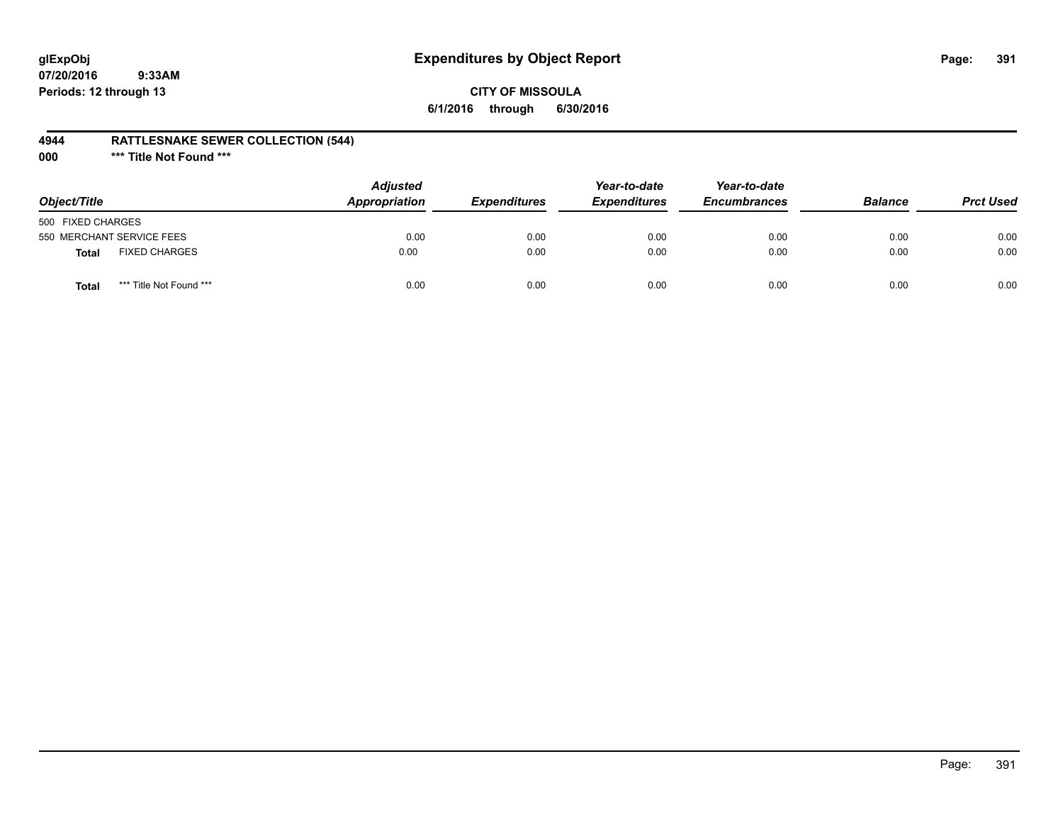# **glExpObj Expenditures by Object Report Page: 391**

## **CITY OF MISSOULA 6/1/2016 through 6/30/2016**

### **4944 RATTLESNAKE SEWER COLLECTION (544)**

**000 \*\*\* Title Not Found \*\*\***

| Object/Title                            | <b>Adjusted</b><br>Appropriation | <b>Expenditures</b> | Year-to-date<br><b>Expenditures</b> | Year-to-date<br><b>Encumbrances</b> | <b>Balance</b> | <b>Prct Used</b> |
|-----------------------------------------|----------------------------------|---------------------|-------------------------------------|-------------------------------------|----------------|------------------|
| 500 FIXED CHARGES                       |                                  |                     |                                     |                                     |                |                  |
| 550 MERCHANT SERVICE FEES               | 0.00                             | 0.00                | 0.00                                | 0.00                                | 0.00           | 0.00             |
| <b>FIXED CHARGES</b><br><b>Total</b>    | 0.00                             | 0.00                | 0.00                                | 0.00                                | 0.00           | 0.00             |
| *** Title Not Found ***<br><b>Total</b> | 0.00                             | 0.00                | 0.00                                | 0.00                                | 0.00           | 0.00             |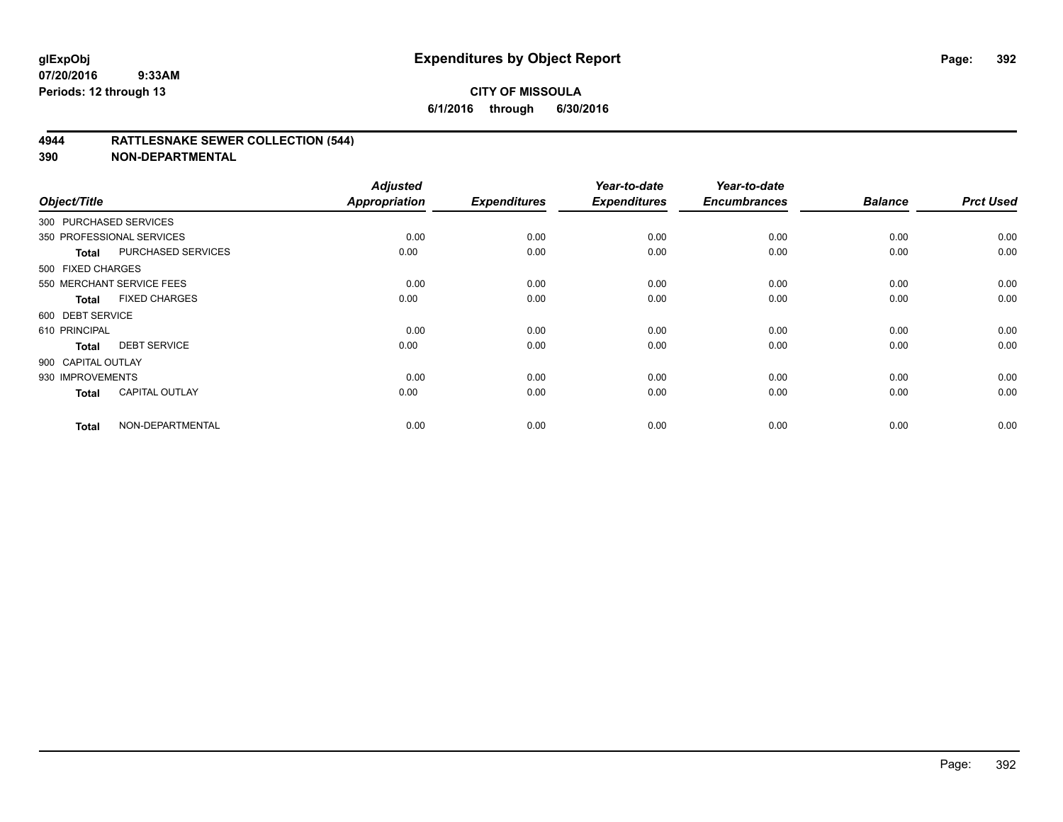### **4944 RATTLESNAKE SEWER COLLECTION (544)**

| Object/Title           |                           | <b>Adjusted</b><br><b>Appropriation</b> | <b>Expenditures</b> | Year-to-date<br><b>Expenditures</b> | Year-to-date<br><b>Encumbrances</b> | <b>Balance</b> | <b>Prct Used</b> |
|------------------------|---------------------------|-----------------------------------------|---------------------|-------------------------------------|-------------------------------------|----------------|------------------|
| 300 PURCHASED SERVICES |                           |                                         |                     |                                     |                                     |                |                  |
|                        | 350 PROFESSIONAL SERVICES | 0.00                                    | 0.00                | 0.00                                | 0.00                                | 0.00           | 0.00             |
| <b>Total</b>           | <b>PURCHASED SERVICES</b> | 0.00                                    | 0.00                | 0.00                                | 0.00                                | 0.00           | 0.00             |
| 500 FIXED CHARGES      |                           |                                         |                     |                                     |                                     |                |                  |
|                        | 550 MERCHANT SERVICE FEES | 0.00                                    | 0.00                | 0.00                                | 0.00                                | 0.00           | 0.00             |
| <b>Total</b>           | <b>FIXED CHARGES</b>      | 0.00                                    | 0.00                | 0.00                                | 0.00                                | 0.00           | 0.00             |
| 600 DEBT SERVICE       |                           |                                         |                     |                                     |                                     |                |                  |
| 610 PRINCIPAL          |                           | 0.00                                    | 0.00                | 0.00                                | 0.00                                | 0.00           | 0.00             |
| <b>Total</b>           | <b>DEBT SERVICE</b>       | 0.00                                    | 0.00                | 0.00                                | 0.00                                | 0.00           | 0.00             |
| 900 CAPITAL OUTLAY     |                           |                                         |                     |                                     |                                     |                |                  |
| 930 IMPROVEMENTS       |                           | 0.00                                    | 0.00                | 0.00                                | 0.00                                | 0.00           | 0.00             |
| <b>Total</b>           | <b>CAPITAL OUTLAY</b>     | 0.00                                    | 0.00                | 0.00                                | 0.00                                | 0.00           | 0.00             |
| <b>Total</b>           | NON-DEPARTMENTAL          | 0.00                                    | 0.00                | 0.00                                | 0.00                                | 0.00           | 0.00             |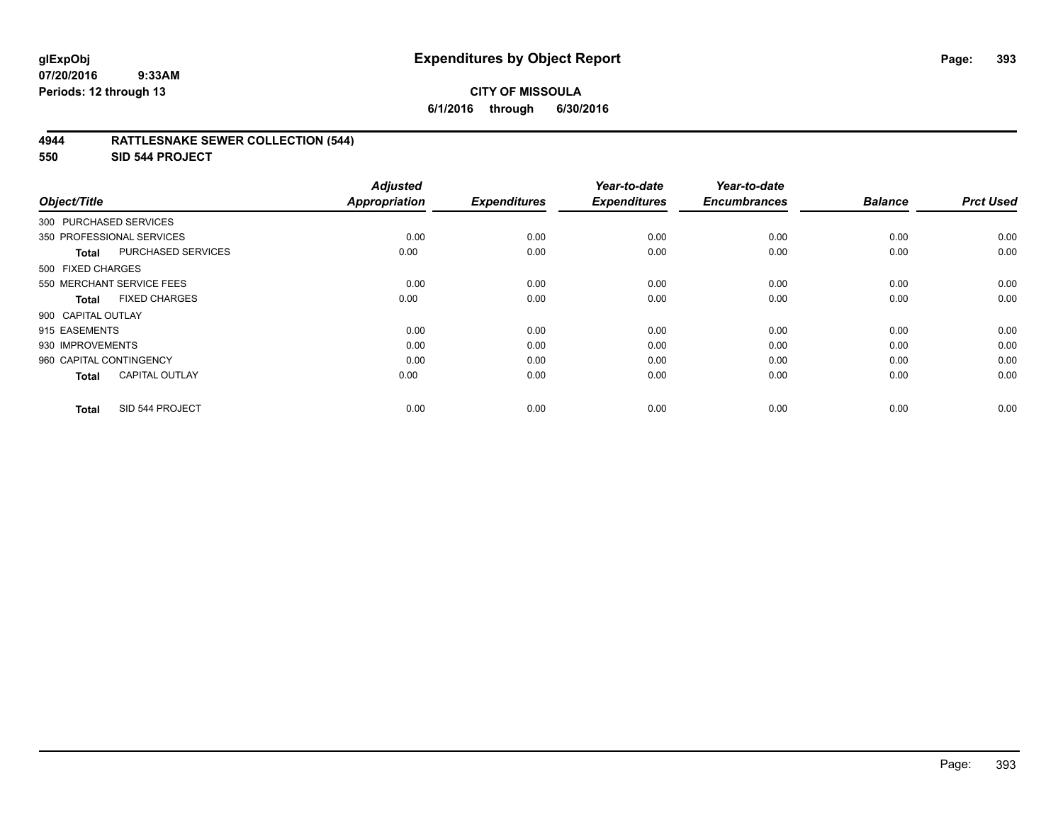## **CITY OF MISSOULA 6/1/2016 through 6/30/2016**

### **4944 RATTLESNAKE SEWER COLLECTION (544)**

**550 SID 544 PROJECT**

| Object/Title                          | <b>Adjusted</b><br>Appropriation | <b>Expenditures</b> | Year-to-date<br><b>Expenditures</b> | Year-to-date<br><b>Encumbrances</b> | <b>Balance</b> | <b>Prct Used</b> |
|---------------------------------------|----------------------------------|---------------------|-------------------------------------|-------------------------------------|----------------|------------------|
|                                       |                                  |                     |                                     |                                     |                |                  |
| 300 PURCHASED SERVICES                |                                  |                     |                                     |                                     |                |                  |
| 350 PROFESSIONAL SERVICES             | 0.00                             | 0.00                | 0.00                                | 0.00                                | 0.00           | 0.00             |
| PURCHASED SERVICES<br><b>Total</b>    | 0.00                             | 0.00                | 0.00                                | 0.00                                | 0.00           | 0.00             |
| 500 FIXED CHARGES                     |                                  |                     |                                     |                                     |                |                  |
| 550 MERCHANT SERVICE FEES             | 0.00                             | 0.00                | 0.00                                | 0.00                                | 0.00           | 0.00             |
| <b>FIXED CHARGES</b><br><b>Total</b>  | 0.00                             | 0.00                | 0.00                                | 0.00                                | 0.00           | 0.00             |
| 900 CAPITAL OUTLAY                    |                                  |                     |                                     |                                     |                |                  |
| 915 EASEMENTS                         | 0.00                             | 0.00                | 0.00                                | 0.00                                | 0.00           | 0.00             |
| 930 IMPROVEMENTS                      | 0.00                             | 0.00                | 0.00                                | 0.00                                | 0.00           | 0.00             |
| 960 CAPITAL CONTINGENCY               | 0.00                             | 0.00                | 0.00                                | 0.00                                | 0.00           | 0.00             |
| <b>CAPITAL OUTLAY</b><br><b>Total</b> | 0.00                             | 0.00                | 0.00                                | 0.00                                | 0.00           | 0.00             |
| SID 544 PROJECT<br><b>Total</b>       | 0.00                             | 0.00                | 0.00                                | 0.00                                | 0.00           | 0.00             |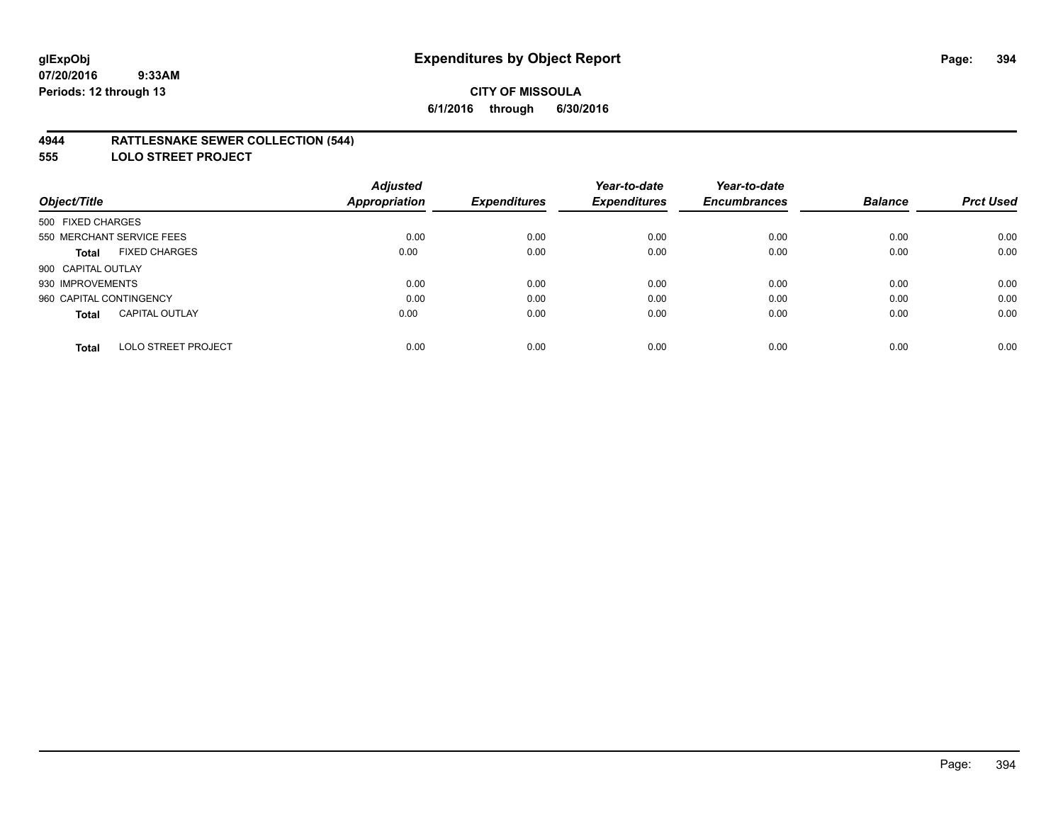### **4944 RATTLESNAKE SEWER COLLECTION (544)**

**555 LOLO STREET PROJECT**

|                                            | <b>Adjusted</b>      |                     | Year-to-date        | Year-to-date        |                |                  |
|--------------------------------------------|----------------------|---------------------|---------------------|---------------------|----------------|------------------|
| Object/Title                               | <b>Appropriation</b> | <b>Expenditures</b> | <b>Expenditures</b> | <b>Encumbrances</b> | <b>Balance</b> | <b>Prct Used</b> |
| 500 FIXED CHARGES                          |                      |                     |                     |                     |                |                  |
| 550 MERCHANT SERVICE FEES                  | 0.00                 | 0.00                | 0.00                | 0.00                | 0.00           | 0.00             |
| <b>FIXED CHARGES</b><br><b>Total</b>       | 0.00                 | 0.00                | 0.00                | 0.00                | 0.00           | 0.00             |
| 900 CAPITAL OUTLAY                         |                      |                     |                     |                     |                |                  |
| 930 IMPROVEMENTS                           | 0.00                 | 0.00                | 0.00                | 0.00                | 0.00           | 0.00             |
| 960 CAPITAL CONTINGENCY                    | 0.00                 | 0.00                | 0.00                | 0.00                | 0.00           | 0.00             |
| <b>CAPITAL OUTLAY</b><br><b>Total</b>      | 0.00                 | 0.00                | 0.00                | 0.00                | 0.00           | 0.00             |
| <b>LOLO STREET PROJECT</b><br><b>Total</b> | 0.00                 | 0.00                | 0.00                | 0.00                | 0.00           | 0.00             |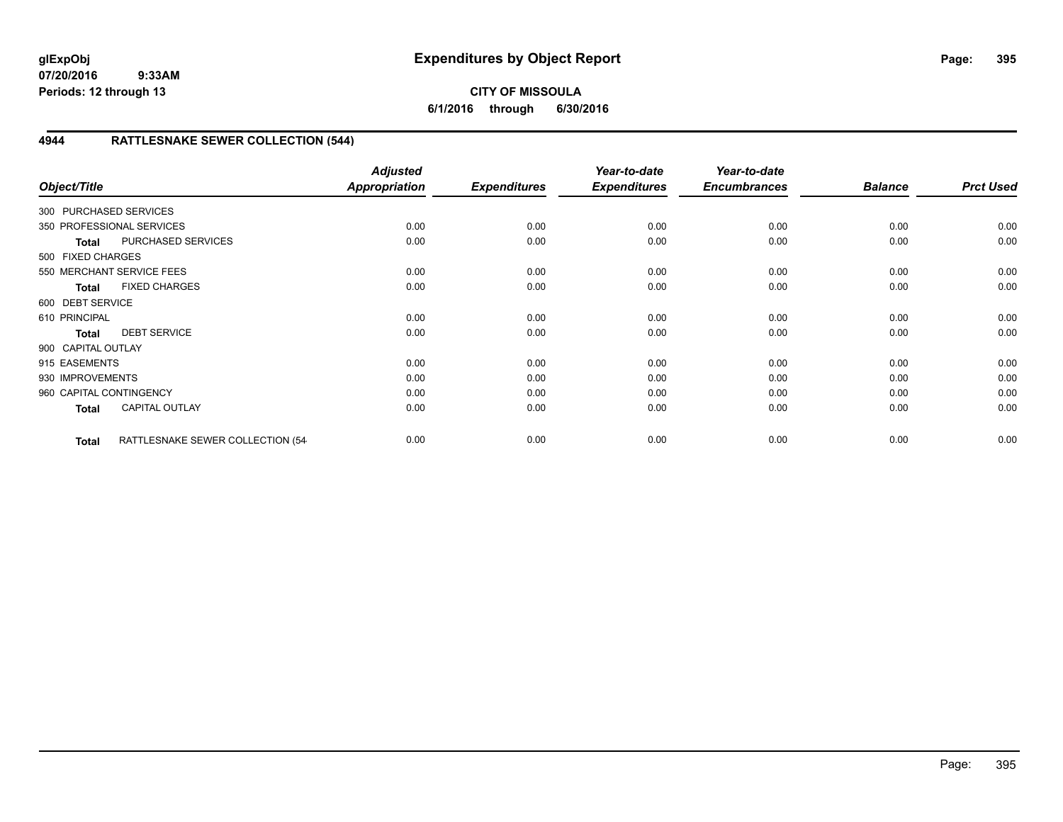**CITY OF MISSOULA 6/1/2016 through 6/30/2016**

# **4944 RATTLESNAKE SEWER COLLECTION (544)**

| Object/Title            |                                  | <b>Adjusted</b><br>Appropriation | <b>Expenditures</b> | Year-to-date<br><b>Expenditures</b> | Year-to-date<br><b>Encumbrances</b> | <b>Balance</b> | <b>Prct Used</b> |
|-------------------------|----------------------------------|----------------------------------|---------------------|-------------------------------------|-------------------------------------|----------------|------------------|
| 300 PURCHASED SERVICES  |                                  |                                  |                     |                                     |                                     |                |                  |
|                         | 350 PROFESSIONAL SERVICES        | 0.00                             | 0.00                | 0.00                                | 0.00                                | 0.00           | 0.00             |
| <b>Total</b>            | PURCHASED SERVICES               | 0.00                             | 0.00                | 0.00                                | 0.00                                | 0.00           | 0.00             |
| 500 FIXED CHARGES       |                                  |                                  |                     |                                     |                                     |                |                  |
|                         | 550 MERCHANT SERVICE FEES        | 0.00                             | 0.00                | 0.00                                | 0.00                                | 0.00           | 0.00             |
| <b>Total</b>            | <b>FIXED CHARGES</b>             | 0.00                             | 0.00                | 0.00                                | 0.00                                | 0.00           | 0.00             |
| 600 DEBT SERVICE        |                                  |                                  |                     |                                     |                                     |                |                  |
| 610 PRINCIPAL           |                                  | 0.00                             | 0.00                | 0.00                                | 0.00                                | 0.00           | 0.00             |
| <b>Total</b>            | <b>DEBT SERVICE</b>              | 0.00                             | 0.00                | 0.00                                | 0.00                                | 0.00           | 0.00             |
| 900 CAPITAL OUTLAY      |                                  |                                  |                     |                                     |                                     |                |                  |
| 915 EASEMENTS           |                                  | 0.00                             | 0.00                | 0.00                                | 0.00                                | 0.00           | 0.00             |
| 930 IMPROVEMENTS        |                                  | 0.00                             | 0.00                | 0.00                                | 0.00                                | 0.00           | 0.00             |
| 960 CAPITAL CONTINGENCY |                                  | 0.00                             | 0.00                | 0.00                                | 0.00                                | 0.00           | 0.00             |
| <b>Total</b>            | <b>CAPITAL OUTLAY</b>            | 0.00                             | 0.00                | 0.00                                | 0.00                                | 0.00           | 0.00             |
| <b>Total</b>            | RATTLESNAKE SEWER COLLECTION (54 | 0.00                             | 0.00                | 0.00                                | 0.00                                | 0.00           | 0.00             |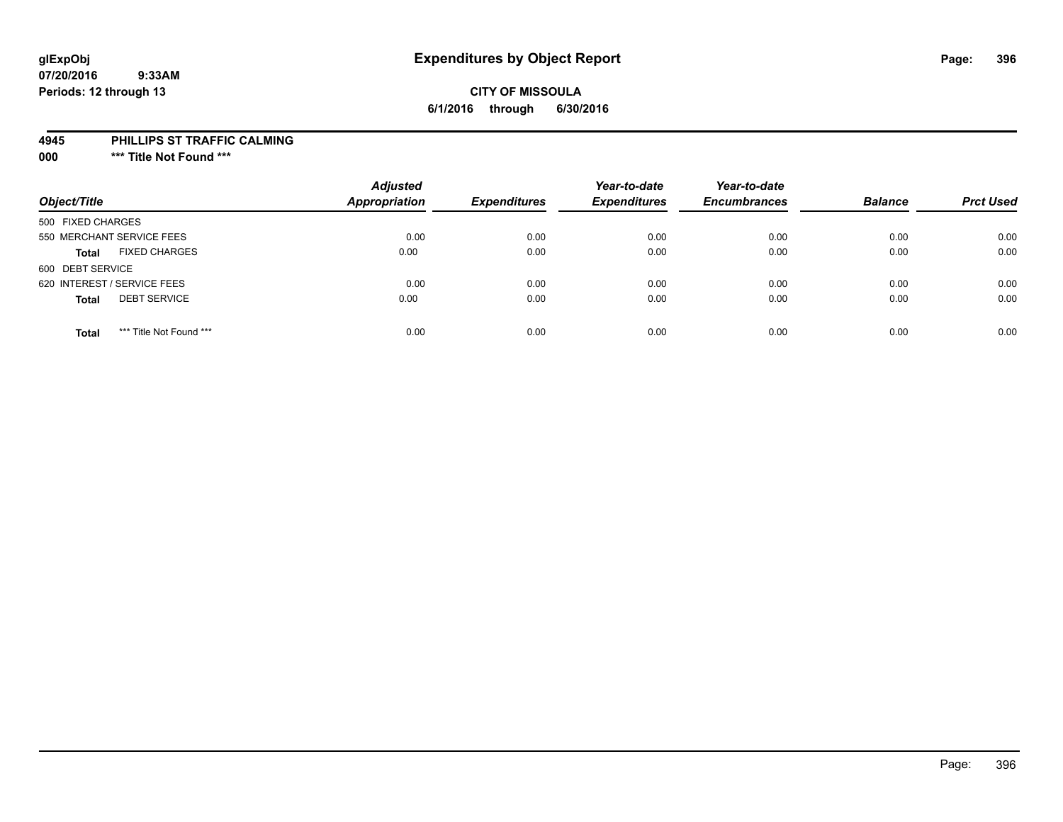# **CITY OF MISSOULA 6/1/2016 through 6/30/2016**

#### **4945 PHILLIPS ST TRAFFIC CALMING**

**000 \*\*\* Title Not Found \*\*\***

| Object/Title                            | <b>Adjusted</b><br><b>Appropriation</b> | <b>Expenditures</b> | Year-to-date<br><b>Expenditures</b> | Year-to-date<br><b>Encumbrances</b> | <b>Balance</b> | <b>Prct Used</b> |
|-----------------------------------------|-----------------------------------------|---------------------|-------------------------------------|-------------------------------------|----------------|------------------|
| 500 FIXED CHARGES                       |                                         |                     |                                     |                                     |                |                  |
| 550 MERCHANT SERVICE FEES               | 0.00                                    | 0.00                | 0.00                                | 0.00                                | 0.00           | 0.00             |
| <b>FIXED CHARGES</b><br><b>Total</b>    | 0.00                                    | 0.00                | 0.00                                | 0.00                                | 0.00           | 0.00             |
| 600 DEBT SERVICE                        |                                         |                     |                                     |                                     |                |                  |
| 620 INTEREST / SERVICE FEES             | 0.00                                    | 0.00                | 0.00                                | 0.00                                | 0.00           | 0.00             |
| <b>DEBT SERVICE</b><br><b>Total</b>     | 0.00                                    | 0.00                | 0.00                                | 0.00                                | 0.00           | 0.00             |
| *** Title Not Found ***<br><b>Total</b> | 0.00                                    | 0.00                | 0.00                                | 0.00                                | 0.00           | 0.00             |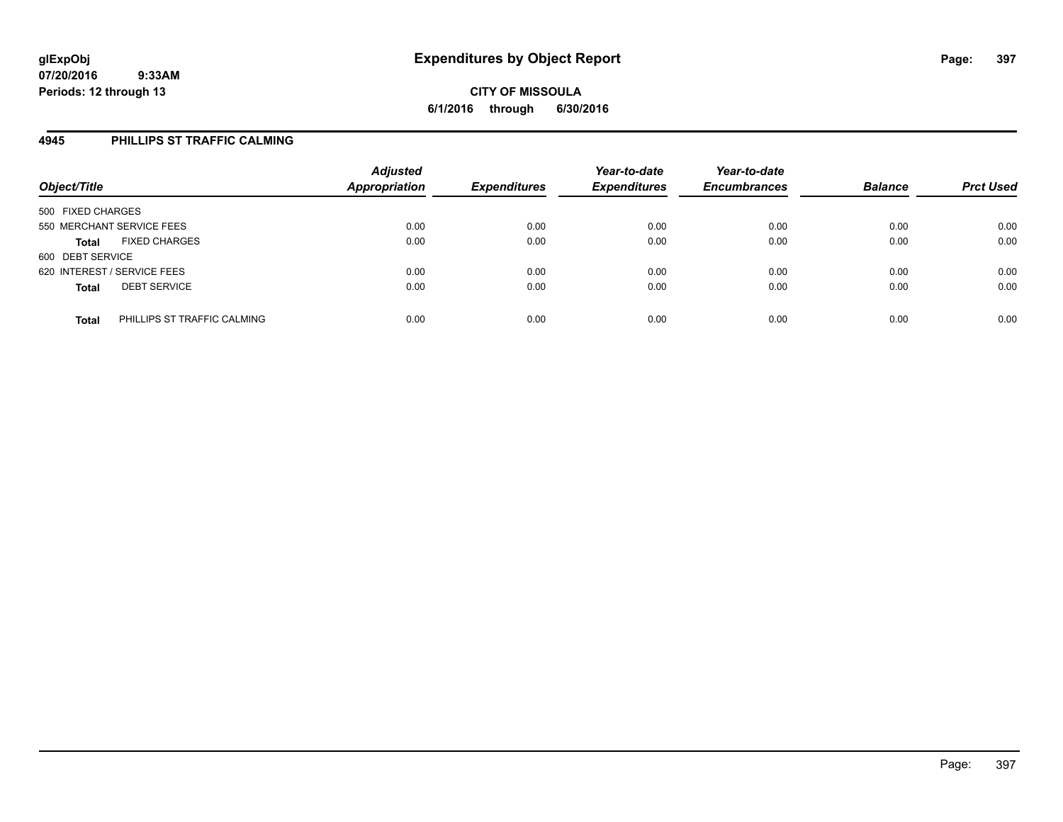#### **4945 PHILLIPS ST TRAFFIC CALMING**

| Object/Title                                | <b>Adjusted</b><br><b>Appropriation</b> | <b>Expenditures</b> | Year-to-date<br><b>Expenditures</b> | Year-to-date<br><b>Encumbrances</b> | <b>Balance</b> | <b>Prct Used</b> |
|---------------------------------------------|-----------------------------------------|---------------------|-------------------------------------|-------------------------------------|----------------|------------------|
| 500 FIXED CHARGES                           |                                         |                     |                                     |                                     |                |                  |
| 550 MERCHANT SERVICE FEES                   | 0.00                                    | 0.00                | 0.00                                | 0.00                                | 0.00           | 0.00             |
| <b>FIXED CHARGES</b><br><b>Total</b>        | 0.00                                    | 0.00                | 0.00                                | 0.00                                | 0.00           | 0.00             |
| 600 DEBT SERVICE                            |                                         |                     |                                     |                                     |                |                  |
| 620 INTEREST / SERVICE FEES                 | 0.00                                    | 0.00                | 0.00                                | 0.00                                | 0.00           | 0.00             |
| <b>DEBT SERVICE</b><br><b>Total</b>         | 0.00                                    | 0.00                | 0.00                                | 0.00                                | 0.00           | 0.00             |
| PHILLIPS ST TRAFFIC CALMING<br><b>Total</b> | 0.00                                    | 0.00                | 0.00                                | 0.00                                | 0.00           | 0.00             |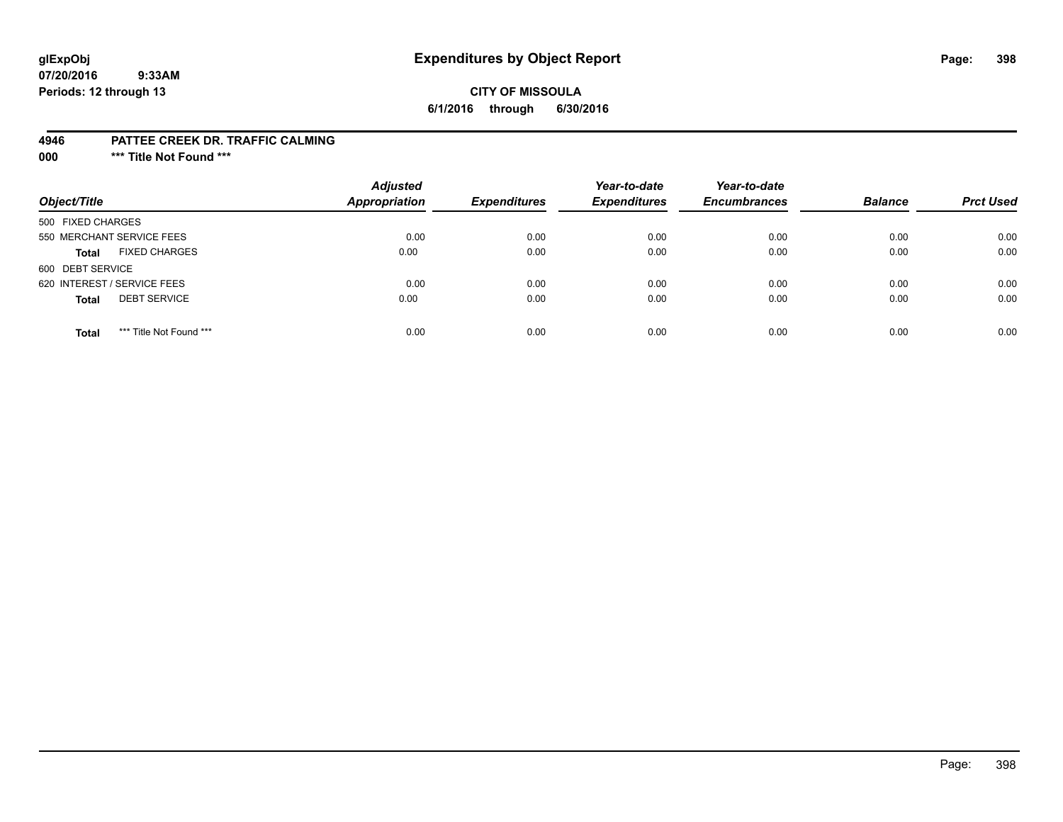## **glExpObj Expenditures by Object Report Page: 398**

#### **07/20/2016 9:33AM Periods: 12 through 13**

#### **CITY OF MISSOULA 6/1/2016 through 6/30/2016**

#### **4946 PATTEE CREEK DR. TRAFFIC CALMING**

**000 \*\*\* Title Not Found \*\*\***

| Object/Title                            | <b>Adjusted</b><br><b>Appropriation</b> | <b>Expenditures</b> | Year-to-date<br><b>Expenditures</b> | Year-to-date<br><b>Encumbrances</b> | <b>Balance</b> | <b>Prct Used</b> |
|-----------------------------------------|-----------------------------------------|---------------------|-------------------------------------|-------------------------------------|----------------|------------------|
| 500 FIXED CHARGES                       |                                         |                     |                                     |                                     |                |                  |
| 550 MERCHANT SERVICE FEES               | 0.00                                    | 0.00                | 0.00                                | 0.00                                | 0.00           | 0.00             |
| <b>FIXED CHARGES</b><br><b>Total</b>    | 0.00                                    | 0.00                | 0.00                                | 0.00                                | 0.00           | 0.00             |
| 600 DEBT SERVICE                        |                                         |                     |                                     |                                     |                |                  |
| 620 INTEREST / SERVICE FEES             | 0.00                                    | 0.00                | 0.00                                | 0.00                                | 0.00           | 0.00             |
| <b>DEBT SERVICE</b><br><b>Total</b>     | 0.00                                    | 0.00                | 0.00                                | 0.00                                | 0.00           | 0.00             |
| *** Title Not Found ***<br><b>Total</b> | 0.00                                    | 0.00                | 0.00                                | 0.00                                | 0.00           | 0.00             |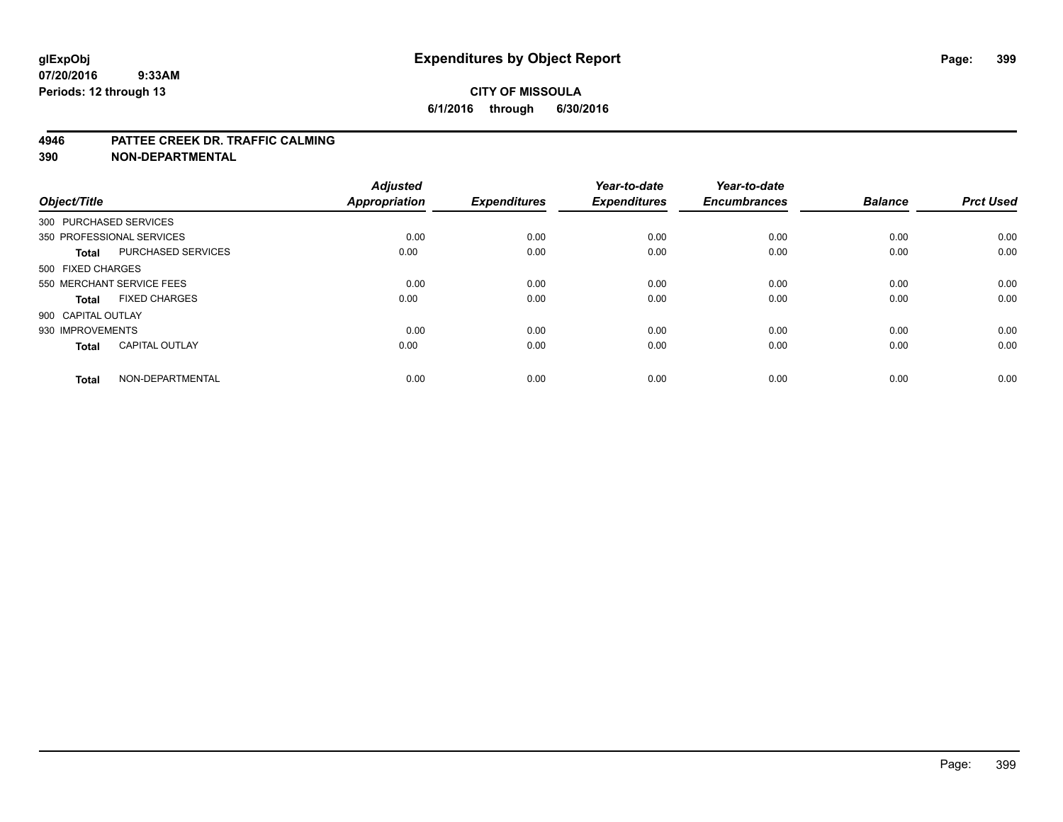#### **CITY OF MISSOULA 6/1/2016 through 6/30/2016**

#### **4946 PATTEE CREEK DR. TRAFFIC CALMING**

**390 NON-DEPARTMENTAL**

| Object/Title           |                           | <b>Adjusted</b><br><b>Appropriation</b> | <b>Expenditures</b> | Year-to-date<br><b>Expenditures</b> | Year-to-date<br><b>Encumbrances</b> | <b>Balance</b> | <b>Prct Used</b> |
|------------------------|---------------------------|-----------------------------------------|---------------------|-------------------------------------|-------------------------------------|----------------|------------------|
| 300 PURCHASED SERVICES |                           |                                         |                     |                                     |                                     |                |                  |
|                        | 350 PROFESSIONAL SERVICES | 0.00                                    | 0.00                | 0.00                                | 0.00                                | 0.00           | 0.00             |
| <b>Total</b>           | <b>PURCHASED SERVICES</b> | 0.00                                    | 0.00                | 0.00                                | 0.00                                | 0.00           | 0.00             |
| 500 FIXED CHARGES      |                           |                                         |                     |                                     |                                     |                |                  |
|                        | 550 MERCHANT SERVICE FEES | 0.00                                    | 0.00                | 0.00                                | 0.00                                | 0.00           | 0.00             |
| Total                  | <b>FIXED CHARGES</b>      | 0.00                                    | 0.00                | 0.00                                | 0.00                                | 0.00           | 0.00             |
| 900 CAPITAL OUTLAY     |                           |                                         |                     |                                     |                                     |                |                  |
| 930 IMPROVEMENTS       |                           | 0.00                                    | 0.00                | 0.00                                | 0.00                                | 0.00           | 0.00             |
| Total                  | <b>CAPITAL OUTLAY</b>     | 0.00                                    | 0.00                | 0.00                                | 0.00                                | 0.00           | 0.00             |
| <b>Total</b>           | NON-DEPARTMENTAL          | 0.00                                    | 0.00                | 0.00                                | 0.00                                | 0.00           | 0.00             |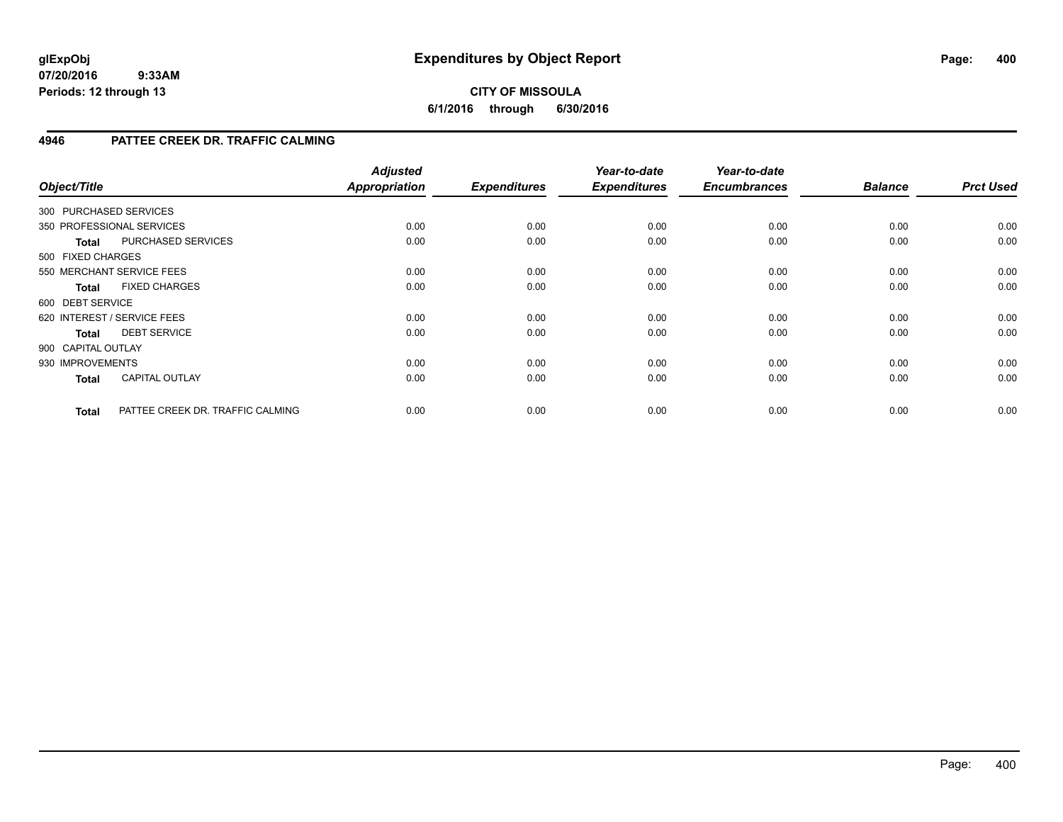### **CITY OF MISSOULA 6/1/2016 through 6/30/2016**

### **4946 PATTEE CREEK DR. TRAFFIC CALMING**

| Object/Title       |                                  | <b>Adjusted</b><br><b>Appropriation</b> | <b>Expenditures</b> | Year-to-date<br><b>Expenditures</b> | Year-to-date<br><b>Encumbrances</b> | <b>Balance</b> | <b>Prct Used</b> |
|--------------------|----------------------------------|-----------------------------------------|---------------------|-------------------------------------|-------------------------------------|----------------|------------------|
|                    | 300 PURCHASED SERVICES           |                                         |                     |                                     |                                     |                |                  |
|                    | 350 PROFESSIONAL SERVICES        | 0.00                                    | 0.00                | 0.00                                | 0.00                                | 0.00           | 0.00             |
| <b>Total</b>       | PURCHASED SERVICES               | 0.00                                    | 0.00                | 0.00                                | 0.00                                | 0.00           | 0.00             |
| 500 FIXED CHARGES  |                                  |                                         |                     |                                     |                                     |                |                  |
|                    | 550 MERCHANT SERVICE FEES        | 0.00                                    | 0.00                | 0.00                                | 0.00                                | 0.00           | 0.00             |
| <b>Total</b>       | <b>FIXED CHARGES</b>             | 0.00                                    | 0.00                | 0.00                                | 0.00                                | 0.00           | 0.00             |
| 600 DEBT SERVICE   |                                  |                                         |                     |                                     |                                     |                |                  |
|                    | 620 INTEREST / SERVICE FEES      | 0.00                                    | 0.00                | 0.00                                | 0.00                                | 0.00           | 0.00             |
| <b>Total</b>       | <b>DEBT SERVICE</b>              | 0.00                                    | 0.00                | 0.00                                | 0.00                                | 0.00           | 0.00             |
| 900 CAPITAL OUTLAY |                                  |                                         |                     |                                     |                                     |                |                  |
| 930 IMPROVEMENTS   |                                  | 0.00                                    | 0.00                | 0.00                                | 0.00                                | 0.00           | 0.00             |
| <b>Total</b>       | <b>CAPITAL OUTLAY</b>            | 0.00                                    | 0.00                | 0.00                                | 0.00                                | 0.00           | 0.00             |
| <b>Total</b>       | PATTEE CREEK DR. TRAFFIC CALMING | 0.00                                    | 0.00                | 0.00                                | 0.00                                | 0.00           | 0.00             |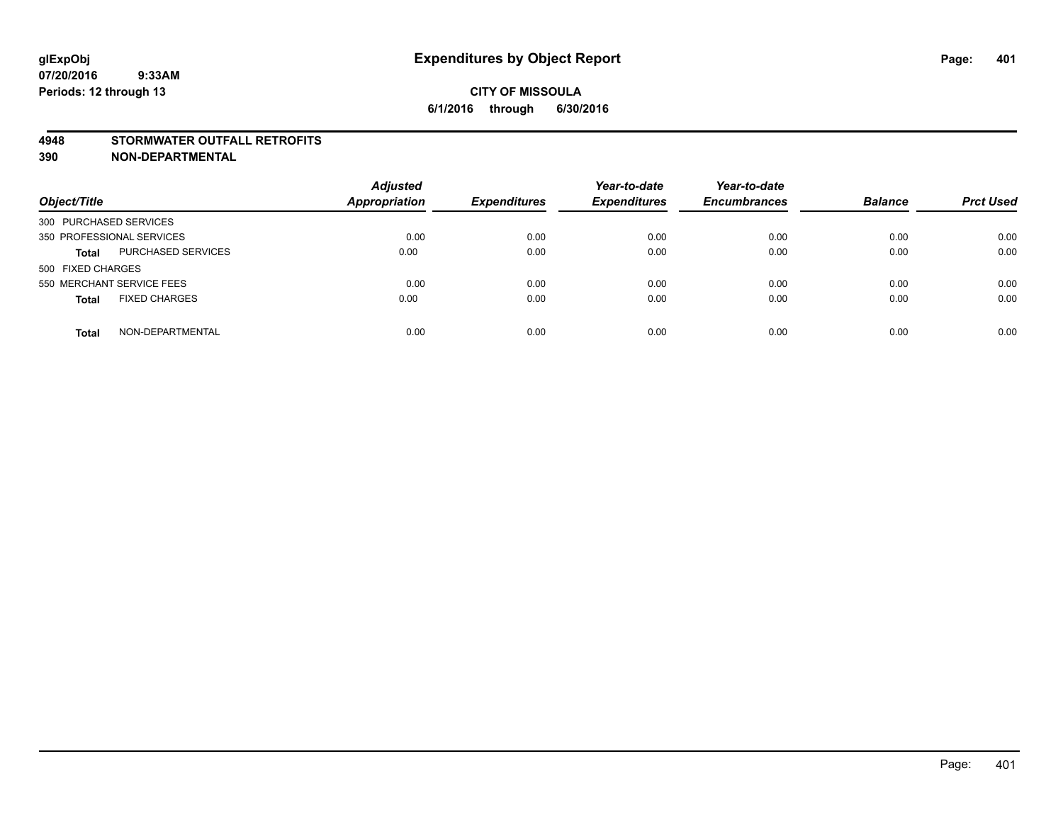#### **4948 STORMWATER OUTFALL RETROFITS**

**390 NON-DEPARTMENTAL**

| Object/Title                         | <b>Adjusted</b><br><b>Appropriation</b> | <b>Expenditures</b> | Year-to-date<br><b>Expenditures</b> | Year-to-date<br><b>Encumbrances</b> | <b>Balance</b> | <b>Prct Used</b> |
|--------------------------------------|-----------------------------------------|---------------------|-------------------------------------|-------------------------------------|----------------|------------------|
| 300 PURCHASED SERVICES               |                                         |                     |                                     |                                     |                |                  |
| 350 PROFESSIONAL SERVICES            | 0.00                                    | 0.00                | 0.00                                | 0.00                                | 0.00           | 0.00             |
| PURCHASED SERVICES<br><b>Total</b>   | 0.00                                    | 0.00                | 0.00                                | 0.00                                | 0.00           | 0.00             |
| 500 FIXED CHARGES                    |                                         |                     |                                     |                                     |                |                  |
| 550 MERCHANT SERVICE FEES            | 0.00                                    | 0.00                | 0.00                                | 0.00                                | 0.00           | 0.00             |
| <b>FIXED CHARGES</b><br><b>Total</b> | 0.00                                    | 0.00                | 0.00                                | 0.00                                | 0.00           | 0.00             |
| NON-DEPARTMENTAL<br><b>Total</b>     | 0.00                                    | 0.00                | 0.00                                | 0.00                                | 0.00           | 0.00             |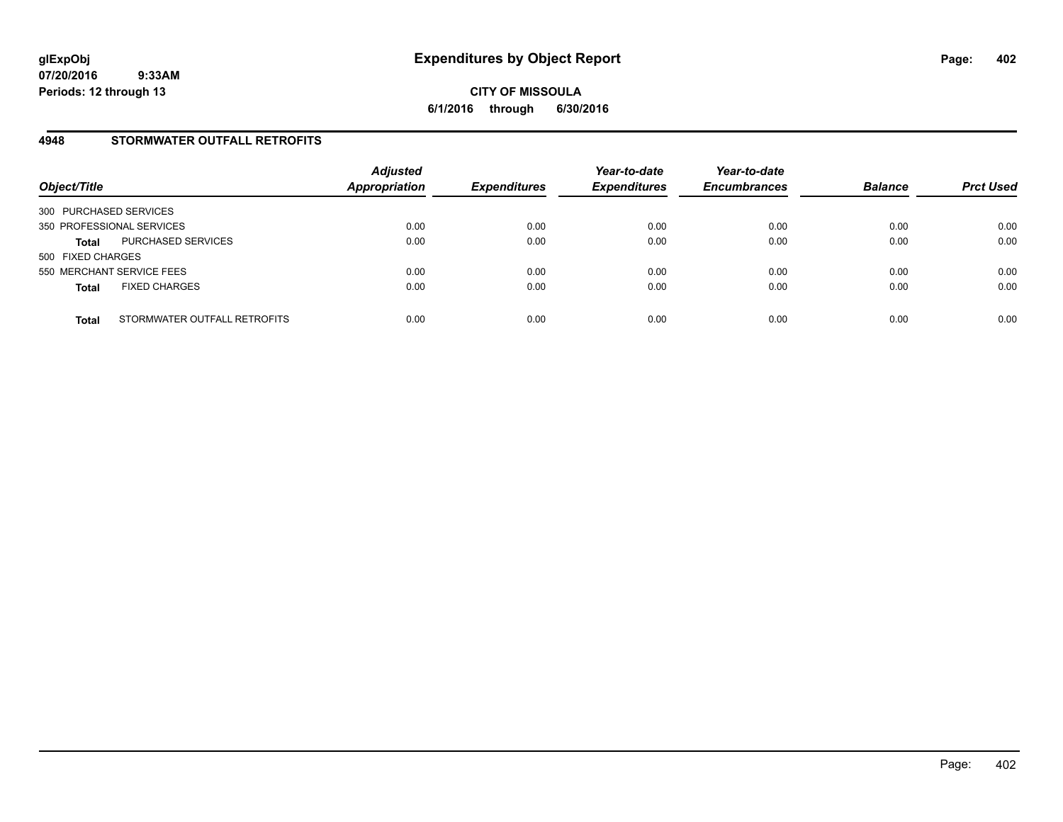#### **4948 STORMWATER OUTFALL RETROFITS**

| Object/Title                                 | <b>Adjusted</b><br><b>Appropriation</b> | <b>Expenditures</b> | Year-to-date<br><b>Expenditures</b> | Year-to-date<br><b>Encumbrances</b> | <b>Balance</b> | <b>Prct Used</b> |
|----------------------------------------------|-----------------------------------------|---------------------|-------------------------------------|-------------------------------------|----------------|------------------|
| 300 PURCHASED SERVICES                       |                                         |                     |                                     |                                     |                |                  |
| 350 PROFESSIONAL SERVICES                    | 0.00                                    | 0.00                | 0.00                                | 0.00                                | 0.00           | 0.00             |
| PURCHASED SERVICES<br><b>Total</b>           | 0.00                                    | 0.00                | 0.00                                | 0.00                                | 0.00           | 0.00             |
| 500 FIXED CHARGES                            |                                         |                     |                                     |                                     |                |                  |
| 550 MERCHANT SERVICE FEES                    | 0.00                                    | 0.00                | 0.00                                | 0.00                                | 0.00           | 0.00             |
| <b>FIXED CHARGES</b><br><b>Total</b>         | 0.00                                    | 0.00                | 0.00                                | 0.00                                | 0.00           | 0.00             |
| STORMWATER OUTFALL RETROFITS<br><b>Total</b> | 0.00                                    | 0.00                | 0.00                                | 0.00                                | 0.00           | 0.00             |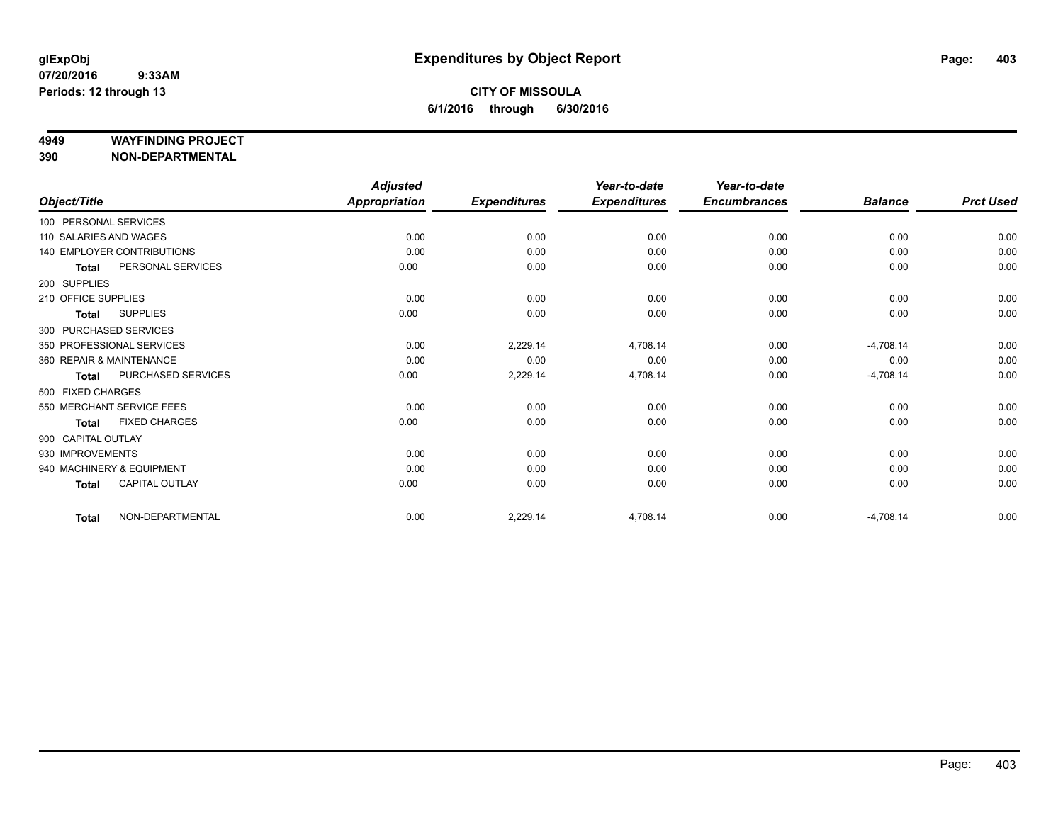#### **4949 WAYFINDING PROJECT**

**390 NON-DEPARTMENTAL**

|                          |                                   | <b>Adjusted</b>      |                     | Year-to-date        | Year-to-date        |                |                  |
|--------------------------|-----------------------------------|----------------------|---------------------|---------------------|---------------------|----------------|------------------|
| Object/Title             |                                   | <b>Appropriation</b> | <b>Expenditures</b> | <b>Expenditures</b> | <b>Encumbrances</b> | <b>Balance</b> | <b>Prct Used</b> |
| 100 PERSONAL SERVICES    |                                   |                      |                     |                     |                     |                |                  |
| 110 SALARIES AND WAGES   |                                   | 0.00                 | 0.00                | 0.00                | 0.00                | 0.00           | 0.00             |
|                          | <b>140 EMPLOYER CONTRIBUTIONS</b> | 0.00                 | 0.00                | 0.00                | 0.00                | 0.00           | 0.00             |
| <b>Total</b>             | PERSONAL SERVICES                 | 0.00                 | 0.00                | 0.00                | 0.00                | 0.00           | 0.00             |
| 200 SUPPLIES             |                                   |                      |                     |                     |                     |                |                  |
| 210 OFFICE SUPPLIES      |                                   | 0.00                 | 0.00                | 0.00                | 0.00                | 0.00           | 0.00             |
| <b>Total</b>             | <b>SUPPLIES</b>                   | 0.00                 | 0.00                | 0.00                | 0.00                | 0.00           | 0.00             |
| 300 PURCHASED SERVICES   |                                   |                      |                     |                     |                     |                |                  |
|                          | 350 PROFESSIONAL SERVICES         | 0.00                 | 2,229.14            | 4,708.14            | 0.00                | $-4,708.14$    | 0.00             |
| 360 REPAIR & MAINTENANCE |                                   | 0.00                 | 0.00                | 0.00                | 0.00                | 0.00           | 0.00             |
| <b>Total</b>             | PURCHASED SERVICES                | 0.00                 | 2,229.14            | 4,708.14            | 0.00                | $-4,708.14$    | 0.00             |
| 500 FIXED CHARGES        |                                   |                      |                     |                     |                     |                |                  |
|                          | 550 MERCHANT SERVICE FEES         | 0.00                 | 0.00                | 0.00                | 0.00                | 0.00           | 0.00             |
| <b>Total</b>             | <b>FIXED CHARGES</b>              | 0.00                 | 0.00                | 0.00                | 0.00                | 0.00           | 0.00             |
| 900 CAPITAL OUTLAY       |                                   |                      |                     |                     |                     |                |                  |
| 930 IMPROVEMENTS         |                                   | 0.00                 | 0.00                | 0.00                | 0.00                | 0.00           | 0.00             |
|                          | 940 MACHINERY & EQUIPMENT         | 0.00                 | 0.00                | 0.00                | 0.00                | 0.00           | 0.00             |
| <b>Total</b>             | <b>CAPITAL OUTLAY</b>             | 0.00                 | 0.00                | 0.00                | 0.00                | 0.00           | 0.00             |
| <b>Total</b>             | NON-DEPARTMENTAL                  | 0.00                 | 2,229.14            | 4,708.14            | 0.00                | $-4,708.14$    | 0.00             |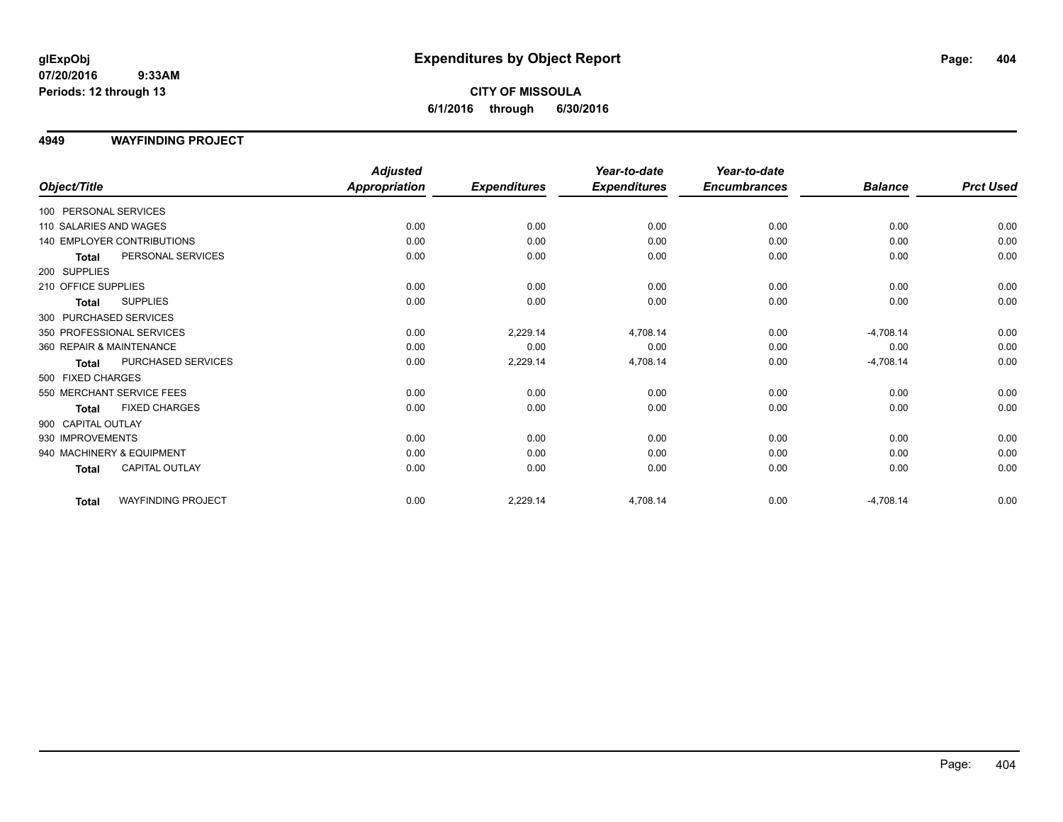#### **4949 WAYFINDING PROJECT**

|                          |                            | <b>Adjusted</b>      |                     | Year-to-date        | Year-to-date        |                |                  |
|--------------------------|----------------------------|----------------------|---------------------|---------------------|---------------------|----------------|------------------|
| Object/Title             |                            | <b>Appropriation</b> | <b>Expenditures</b> | <b>Expenditures</b> | <b>Encumbrances</b> | <b>Balance</b> | <b>Prct Used</b> |
| 100 PERSONAL SERVICES    |                            |                      |                     |                     |                     |                |                  |
| 110 SALARIES AND WAGES   |                            | 0.00                 | 0.00                | 0.00                | 0.00                | 0.00           | 0.00             |
|                          | 140 EMPLOYER CONTRIBUTIONS | 0.00                 | 0.00                | 0.00                | 0.00                | 0.00           | 0.00             |
| <b>Total</b>             | PERSONAL SERVICES          | 0.00                 | 0.00                | 0.00                | 0.00                | 0.00           | 0.00             |
| 200 SUPPLIES             |                            |                      |                     |                     |                     |                |                  |
| 210 OFFICE SUPPLIES      |                            | 0.00                 | 0.00                | 0.00                | 0.00                | 0.00           | 0.00             |
| <b>Total</b>             | <b>SUPPLIES</b>            | 0.00                 | 0.00                | 0.00                | 0.00                | 0.00           | 0.00             |
| 300 PURCHASED SERVICES   |                            |                      |                     |                     |                     |                |                  |
|                          | 350 PROFESSIONAL SERVICES  | 0.00                 | 2,229.14            | 4,708.14            | 0.00                | $-4,708.14$    | 0.00             |
| 360 REPAIR & MAINTENANCE |                            | 0.00                 | 0.00                | 0.00                | 0.00                | 0.00           | 0.00             |
| Total                    | PURCHASED SERVICES         | 0.00                 | 2,229.14            | 4,708.14            | 0.00                | $-4,708.14$    | 0.00             |
| 500 FIXED CHARGES        |                            |                      |                     |                     |                     |                |                  |
|                          | 550 MERCHANT SERVICE FEES  | 0.00                 | 0.00                | 0.00                | 0.00                | 0.00           | 0.00             |
| <b>Total</b>             | <b>FIXED CHARGES</b>       | 0.00                 | 0.00                | 0.00                | 0.00                | 0.00           | 0.00             |
| 900 CAPITAL OUTLAY       |                            |                      |                     |                     |                     |                |                  |
| 930 IMPROVEMENTS         |                            | 0.00                 | 0.00                | 0.00                | 0.00                | 0.00           | 0.00             |
|                          | 940 MACHINERY & EQUIPMENT  | 0.00                 | 0.00                | 0.00                | 0.00                | 0.00           | 0.00             |
| Total                    | <b>CAPITAL OUTLAY</b>      | 0.00                 | 0.00                | 0.00                | 0.00                | 0.00           | 0.00             |
| <b>Total</b>             | <b>WAYFINDING PROJECT</b>  | 0.00                 | 2,229.14            | 4,708.14            | 0.00                | $-4,708.14$    | 0.00             |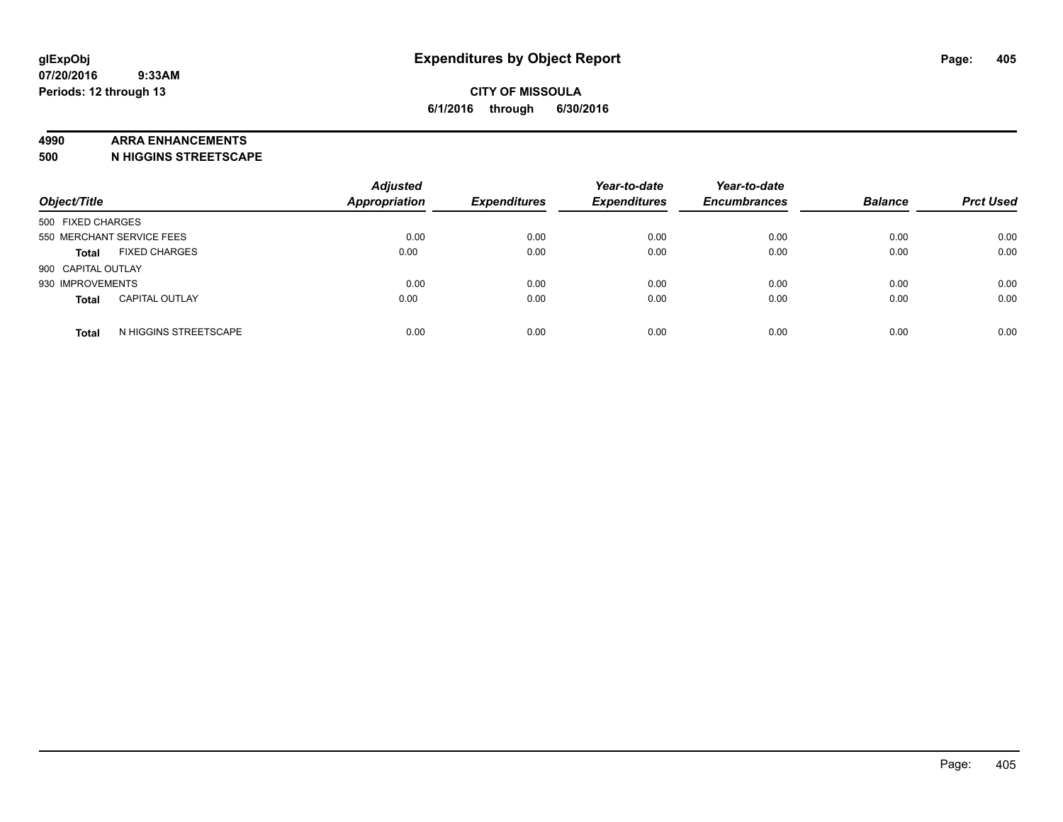#### **4990 ARRA ENHANCEMENTS**

**500 N HIGGINS STREETSCAPE**

| Object/Title              |                       | <b>Adjusted</b><br><b>Appropriation</b> | <b>Expenditures</b> | Year-to-date<br><b>Expenditures</b> | Year-to-date<br><b>Encumbrances</b> | <b>Balance</b> | <b>Prct Used</b> |
|---------------------------|-----------------------|-----------------------------------------|---------------------|-------------------------------------|-------------------------------------|----------------|------------------|
| 500 FIXED CHARGES         |                       |                                         |                     |                                     |                                     |                |                  |
| 550 MERCHANT SERVICE FEES |                       | 0.00                                    | 0.00                | 0.00                                | 0.00                                | 0.00           | 0.00             |
| <b>Total</b>              | <b>FIXED CHARGES</b>  | 0.00                                    | 0.00                | 0.00                                | 0.00                                | 0.00           | 0.00             |
| 900 CAPITAL OUTLAY        |                       |                                         |                     |                                     |                                     |                |                  |
| 930 IMPROVEMENTS          |                       | 0.00                                    | 0.00                | 0.00                                | 0.00                                | 0.00           | 0.00             |
| <b>Total</b>              | <b>CAPITAL OUTLAY</b> | 0.00                                    | 0.00                | 0.00                                | 0.00                                | 0.00           | 0.00             |
| <b>Total</b>              | N HIGGINS STREETSCAPE | 0.00                                    | 0.00                | 0.00                                | 0.00                                | 0.00           | 0.00             |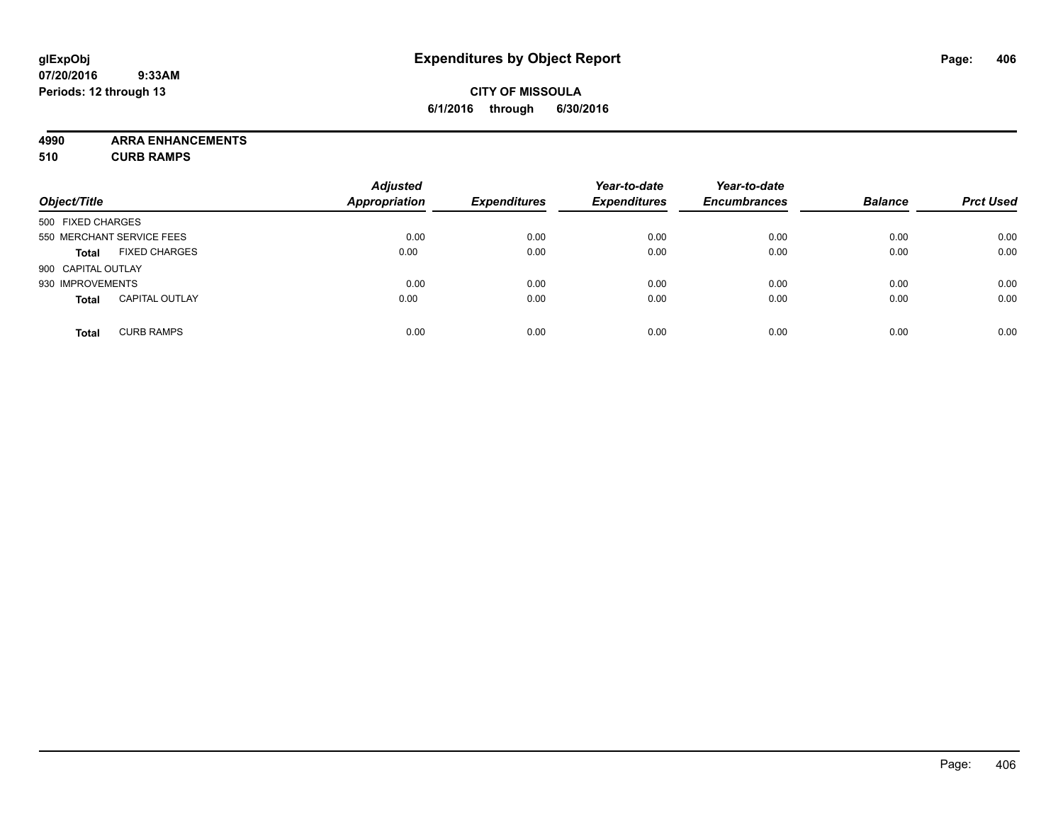### **CITY OF MISSOULA 6/1/2016 through 6/30/2016**

**4990 ARRA ENHANCEMENTS**

**510 CURB RAMPS**

| Object/Title       |                           | <b>Adjusted</b><br><b>Appropriation</b> | <b>Expenditures</b> | Year-to-date<br><b>Expenditures</b> | Year-to-date<br><b>Encumbrances</b> | <b>Balance</b> | <b>Prct Used</b> |
|--------------------|---------------------------|-----------------------------------------|---------------------|-------------------------------------|-------------------------------------|----------------|------------------|
| 500 FIXED CHARGES  |                           |                                         |                     |                                     |                                     |                |                  |
|                    | 550 MERCHANT SERVICE FEES | 0.00                                    | 0.00                | 0.00                                | 0.00                                | 0.00           | 0.00             |
| <b>Total</b>       | <b>FIXED CHARGES</b>      | 0.00                                    | 0.00                | 0.00                                | 0.00                                | 0.00           | 0.00             |
| 900 CAPITAL OUTLAY |                           |                                         |                     |                                     |                                     |                |                  |
| 930 IMPROVEMENTS   |                           | 0.00                                    | 0.00                | 0.00                                | 0.00                                | 0.00           | 0.00             |
| <b>Total</b>       | <b>CAPITAL OUTLAY</b>     | 0.00                                    | 0.00                | 0.00                                | 0.00                                | 0.00           | 0.00             |
| <b>Total</b>       | <b>CURB RAMPS</b>         | 0.00                                    | 0.00                | 0.00                                | 0.00                                | 0.00           | 0.00             |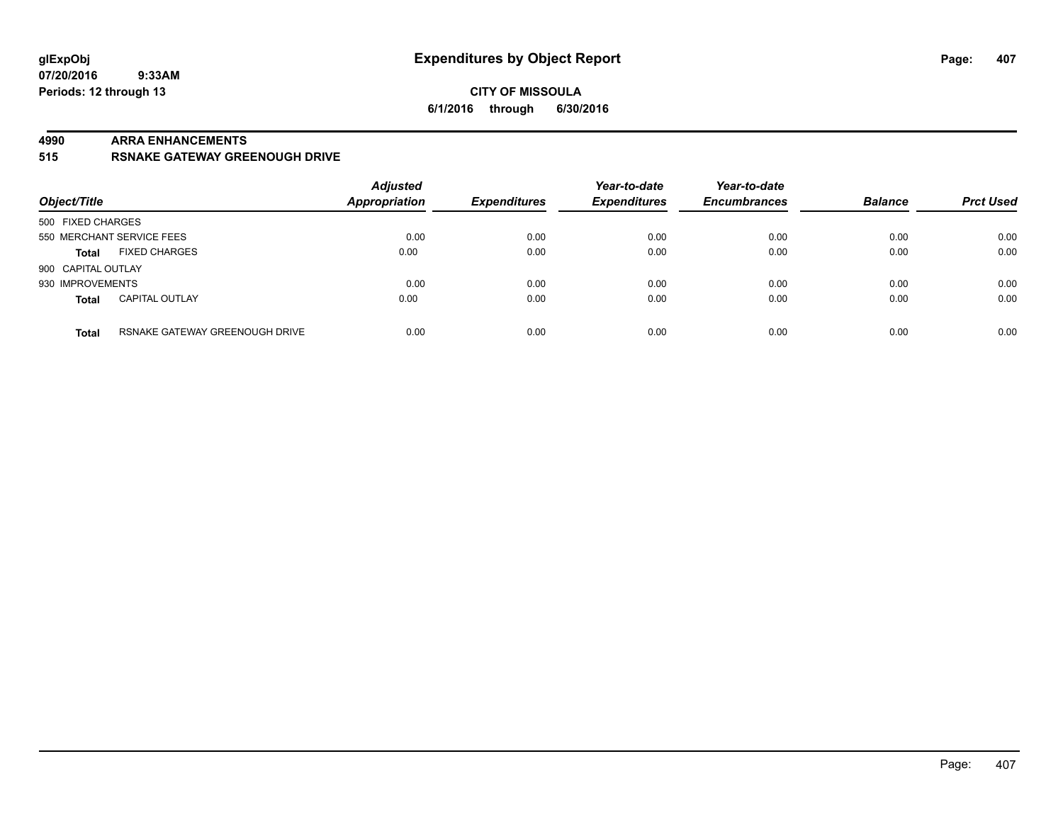#### **4990 ARRA ENHANCEMENTS**

**515 RSNAKE GATEWAY GREENOUGH DRIVE**

| Object/Title                                   | <b>Adjusted</b><br><b>Appropriation</b> | <b>Expenditures</b> | Year-to-date<br><b>Expenditures</b> | Year-to-date<br><b>Encumbrances</b> | <b>Balance</b> | <b>Prct Used</b> |
|------------------------------------------------|-----------------------------------------|---------------------|-------------------------------------|-------------------------------------|----------------|------------------|
| 500 FIXED CHARGES                              |                                         |                     |                                     |                                     |                |                  |
| 550 MERCHANT SERVICE FEES                      | 0.00                                    | 0.00                | 0.00                                | 0.00                                | 0.00           | 0.00             |
| <b>FIXED CHARGES</b><br><b>Total</b>           | 0.00                                    | 0.00                | 0.00                                | 0.00                                | 0.00           | 0.00             |
| 900 CAPITAL OUTLAY                             |                                         |                     |                                     |                                     |                |                  |
| 930 IMPROVEMENTS                               | 0.00                                    | 0.00                | 0.00                                | 0.00                                | 0.00           | 0.00             |
| <b>CAPITAL OUTLAY</b><br><b>Total</b>          | 0.00                                    | 0.00                | 0.00                                | 0.00                                | 0.00           | 0.00             |
| RSNAKE GATEWAY GREENOUGH DRIVE<br><b>Total</b> | 0.00                                    | 0.00                | 0.00                                | 0.00                                | 0.00           | 0.00             |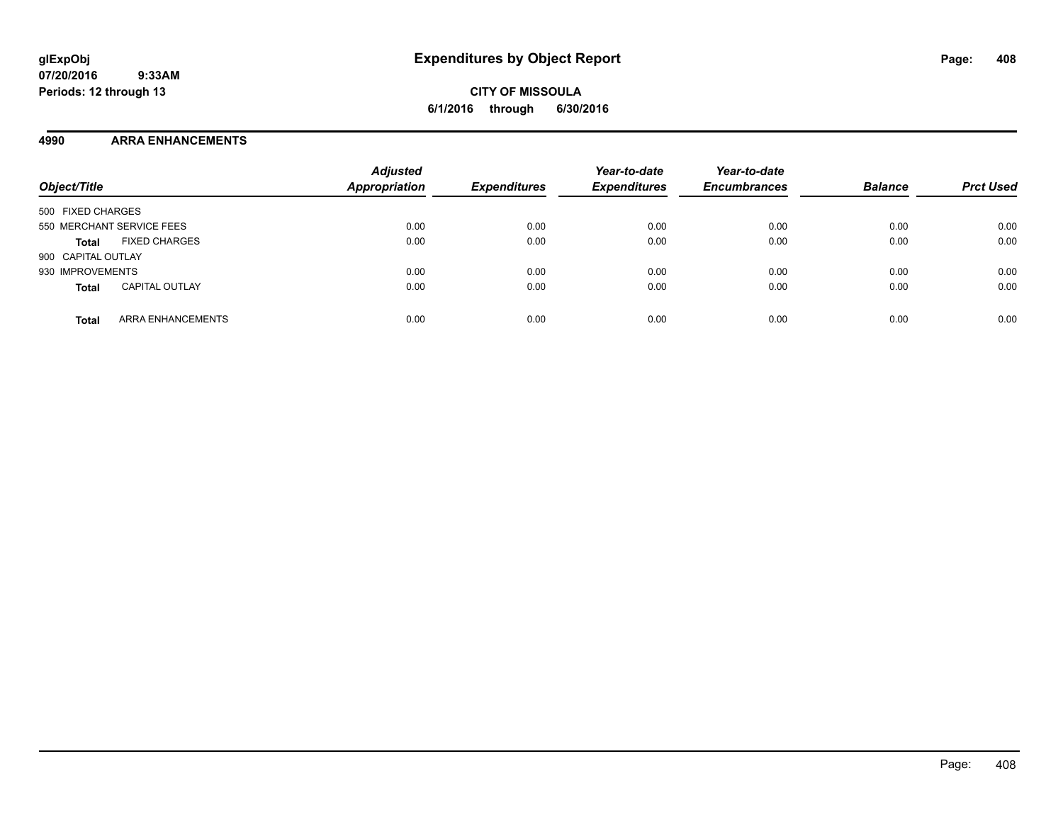#### **4990 ARRA ENHANCEMENTS**

| Object/Title                             | <b>Adjusted</b><br>Appropriation | <b>Expenditures</b> | Year-to-date<br><b>Expenditures</b> | Year-to-date<br><b>Encumbrances</b> | <b>Balance</b> | <b>Prct Used</b> |
|------------------------------------------|----------------------------------|---------------------|-------------------------------------|-------------------------------------|----------------|------------------|
| 500 FIXED CHARGES                        |                                  |                     |                                     |                                     |                |                  |
| 550 MERCHANT SERVICE FEES                | 0.00                             | 0.00                | 0.00                                | 0.00                                | 0.00           | 0.00             |
| <b>FIXED CHARGES</b><br><b>Total</b>     | 0.00                             | 0.00                | 0.00                                | 0.00                                | 0.00           | 0.00             |
| 900 CAPITAL OUTLAY                       |                                  |                     |                                     |                                     |                |                  |
| 930 IMPROVEMENTS                         | 0.00                             | 0.00                | 0.00                                | 0.00                                | 0.00           | 0.00             |
| <b>CAPITAL OUTLAY</b><br><b>Total</b>    | 0.00                             | 0.00                | 0.00                                | 0.00                                | 0.00           | 0.00             |
| <b>ARRA ENHANCEMENTS</b><br><b>Total</b> | 0.00                             | 0.00                | 0.00                                | 0.00                                | 0.00           | 0.00             |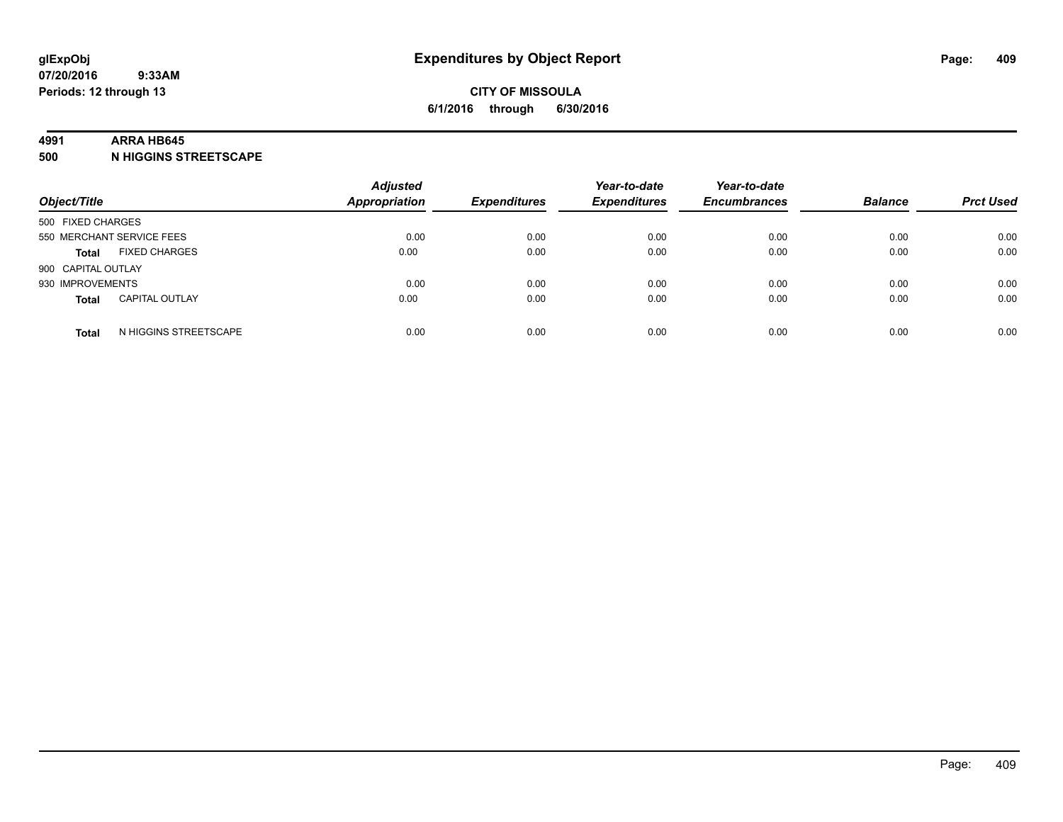#### **4991 ARRA HB645**

**500 N HIGGINS STREETSCAPE**

| Object/Title       |                           | <b>Adjusted</b><br><b>Appropriation</b> | <b>Expenditures</b> | Year-to-date<br><b>Expenditures</b> | Year-to-date<br><b>Encumbrances</b> | <b>Balance</b> | <b>Prct Used</b> |
|--------------------|---------------------------|-----------------------------------------|---------------------|-------------------------------------|-------------------------------------|----------------|------------------|
| 500 FIXED CHARGES  |                           |                                         |                     |                                     |                                     |                |                  |
|                    | 550 MERCHANT SERVICE FEES | 0.00                                    | 0.00                | 0.00                                | 0.00                                | 0.00           | 0.00             |
| <b>Total</b>       | <b>FIXED CHARGES</b>      | 0.00                                    | 0.00                | 0.00                                | 0.00                                | 0.00           | 0.00             |
| 900 CAPITAL OUTLAY |                           |                                         |                     |                                     |                                     |                |                  |
| 930 IMPROVEMENTS   |                           | 0.00                                    | 0.00                | 0.00                                | 0.00                                | 0.00           | 0.00             |
| <b>Total</b>       | <b>CAPITAL OUTLAY</b>     | 0.00                                    | 0.00                | 0.00                                | 0.00                                | 0.00           | 0.00             |
| <b>Total</b>       | N HIGGINS STREETSCAPE     | 0.00                                    | 0.00                | 0.00                                | 0.00                                | 0.00           | 0.00             |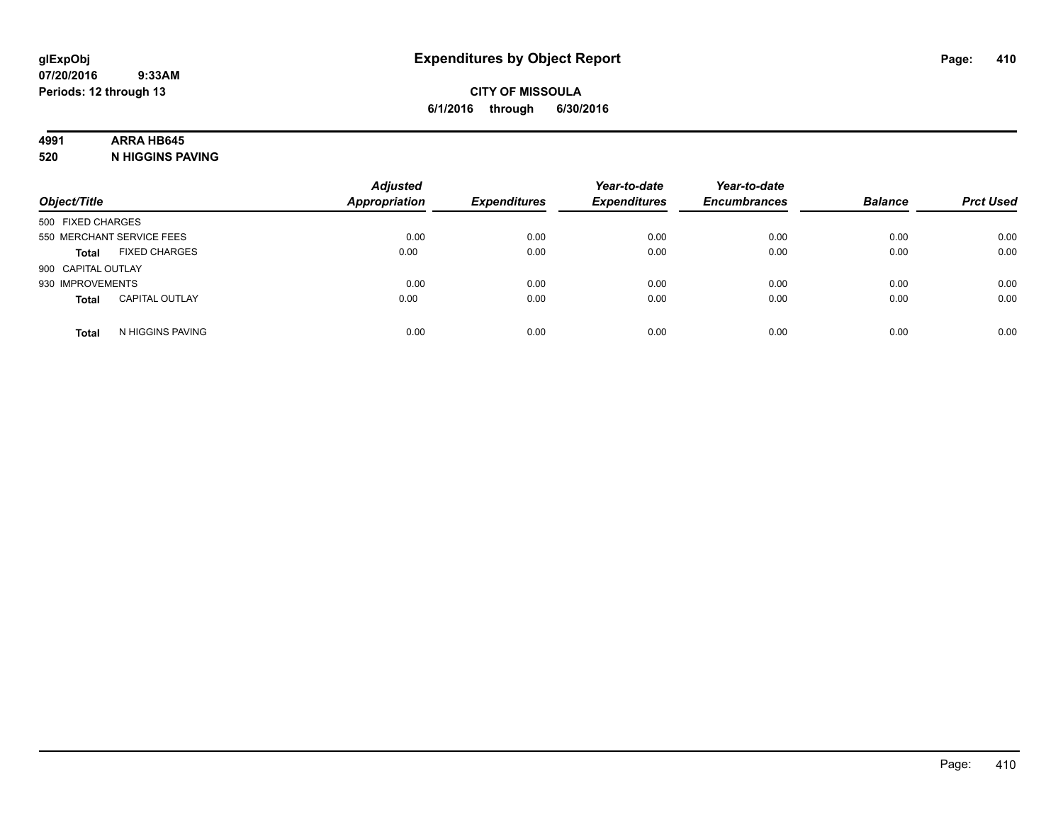## **4991 ARRA HB645**

**520 N HIGGINS PAVING**

| Object/Title       |                           | <b>Adjusted</b><br><b>Appropriation</b> | <b>Expenditures</b> | Year-to-date<br><b>Expenditures</b> | Year-to-date<br><b>Encumbrances</b> | <b>Balance</b> | <b>Prct Used</b> |
|--------------------|---------------------------|-----------------------------------------|---------------------|-------------------------------------|-------------------------------------|----------------|------------------|
| 500 FIXED CHARGES  |                           |                                         |                     |                                     |                                     |                |                  |
|                    | 550 MERCHANT SERVICE FEES | 0.00                                    | 0.00                | 0.00                                | 0.00                                | 0.00           | 0.00             |
| <b>Total</b>       | <b>FIXED CHARGES</b>      | 0.00                                    | 0.00                | 0.00                                | 0.00                                | 0.00           | 0.00             |
| 900 CAPITAL OUTLAY |                           |                                         |                     |                                     |                                     |                |                  |
| 930 IMPROVEMENTS   |                           | 0.00                                    | 0.00                | 0.00                                | 0.00                                | 0.00           | 0.00             |
| <b>Total</b>       | <b>CAPITAL OUTLAY</b>     | 0.00                                    | 0.00                | 0.00                                | 0.00                                | 0.00           | 0.00             |
| <b>Total</b>       | N HIGGINS PAVING          | 0.00                                    | 0.00                | 0.00                                | 0.00                                | 0.00           | 0.00             |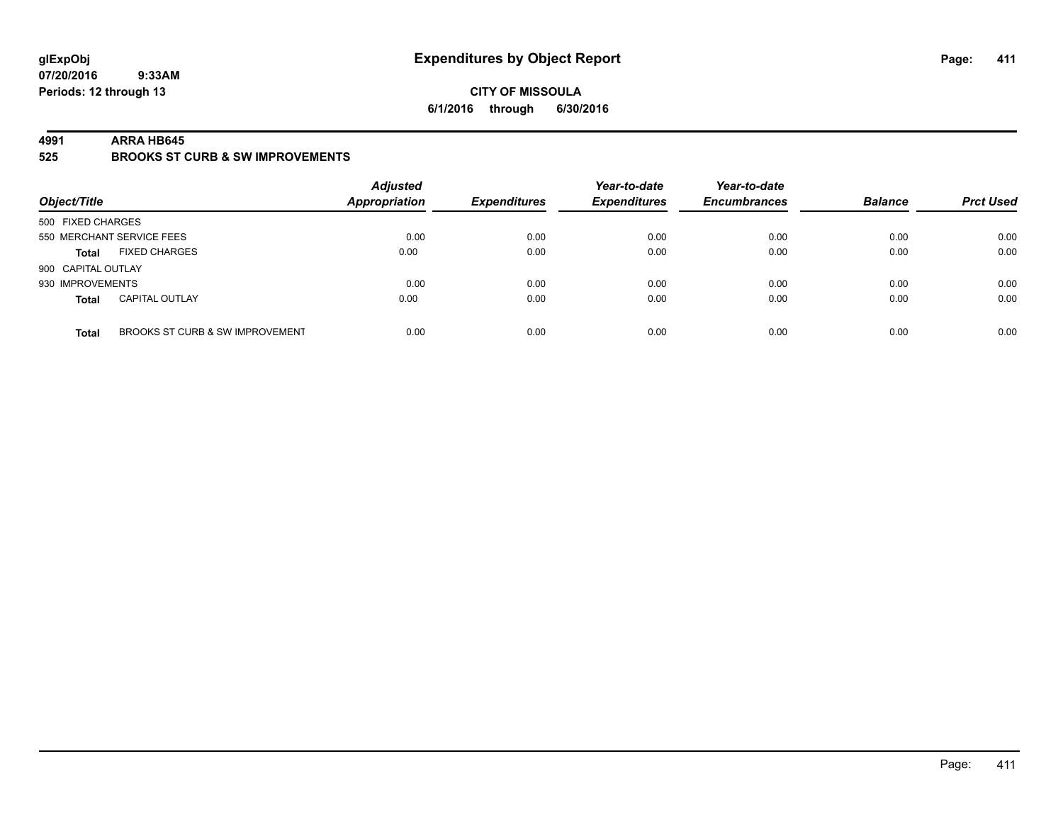#### **CITY OF MISSOULA 6/1/2016 through 6/30/2016**

#### **4991 ARRA HB645**

**525 BROOKS ST CURB & SW IMPROVEMENTS**

| Object/Title       |                                 | <b>Adjusted</b><br><b>Appropriation</b> | <b>Expenditures</b> | Year-to-date<br><b>Expenditures</b> | Year-to-date<br><b>Encumbrances</b> | <b>Balance</b> | <b>Prct Used</b> |
|--------------------|---------------------------------|-----------------------------------------|---------------------|-------------------------------------|-------------------------------------|----------------|------------------|
| 500 FIXED CHARGES  |                                 |                                         |                     |                                     |                                     |                |                  |
|                    | 550 MERCHANT SERVICE FEES       | 0.00                                    | 0.00                | 0.00                                | 0.00                                | 0.00           | 0.00             |
| <b>Total</b>       | <b>FIXED CHARGES</b>            | 0.00                                    | 0.00                | 0.00                                | 0.00                                | 0.00           | 0.00             |
| 900 CAPITAL OUTLAY |                                 |                                         |                     |                                     |                                     |                |                  |
| 930 IMPROVEMENTS   |                                 | 0.00                                    | 0.00                | 0.00                                | 0.00                                | 0.00           | 0.00             |
| <b>Total</b>       | <b>CAPITAL OUTLAY</b>           | 0.00                                    | 0.00                | 0.00                                | 0.00                                | 0.00           | 0.00             |
| <b>Total</b>       | BROOKS ST CURB & SW IMPROVEMENT | 0.00                                    | 0.00                | 0.00                                | 0.00                                | 0.00           | 0.00             |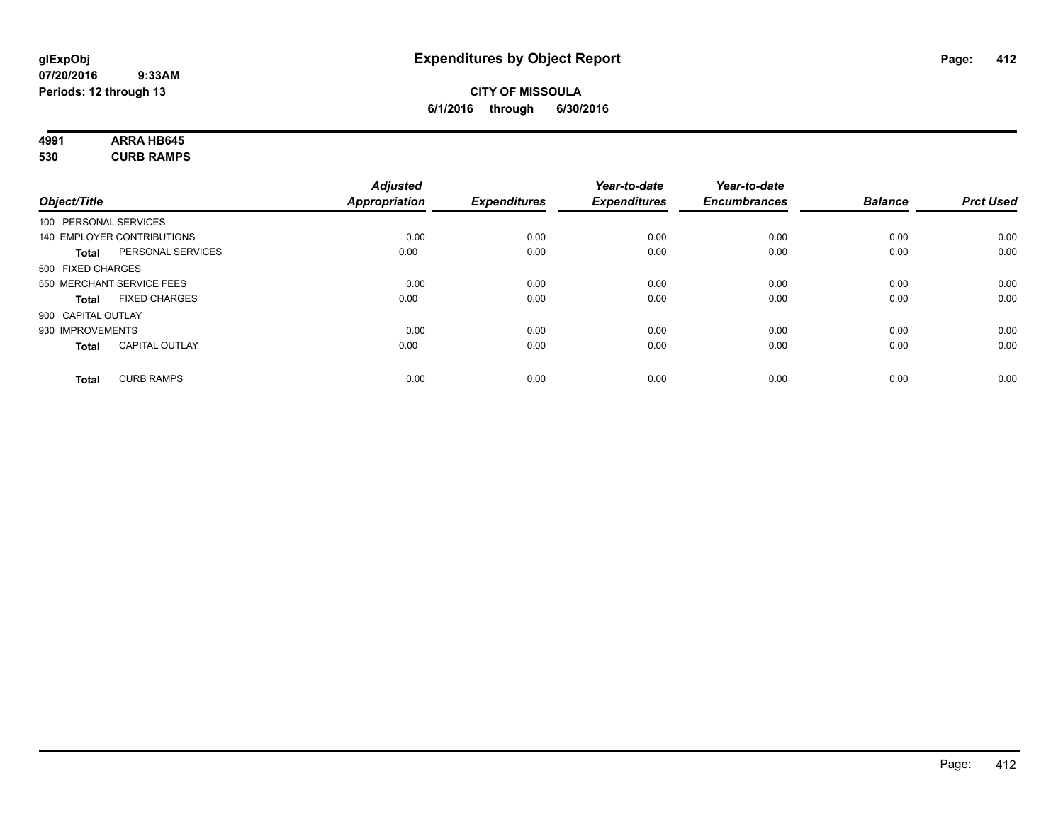### **CITY OF MISSOULA 6/1/2016 through 6/30/2016**

# **4991 ARRA HB645**

**530 CURB RAMPS**

|              |                                   | <b>Adjusted</b>      |                     | Year-to-date        | Year-to-date        |                |                  |
|--------------|-----------------------------------|----------------------|---------------------|---------------------|---------------------|----------------|------------------|
| Object/Title |                                   | <b>Appropriation</b> | <b>Expenditures</b> | <b>Expenditures</b> | <b>Encumbrances</b> | <b>Balance</b> | <b>Prct Used</b> |
|              | 100 PERSONAL SERVICES             |                      |                     |                     |                     |                |                  |
|              | 140 EMPLOYER CONTRIBUTIONS        | 0.00                 | 0.00                | 0.00                | 0.00                | 0.00           | 0.00             |
|              | PERSONAL SERVICES<br><b>Total</b> | 0.00                 | 0.00                | 0.00                | 0.00                | 0.00           | 0.00             |
|              | 500 FIXED CHARGES                 |                      |                     |                     |                     |                |                  |
|              | 550 MERCHANT SERVICE FEES         | 0.00                 | 0.00                | 0.00                | 0.00                | 0.00           | 0.00             |
|              | <b>FIXED CHARGES</b><br>Total     | 0.00                 | 0.00                | 0.00                | 0.00                | 0.00           | 0.00             |
|              | 900 CAPITAL OUTLAY                |                      |                     |                     |                     |                |                  |
|              | 930 IMPROVEMENTS                  | 0.00                 | 0.00                | 0.00                | 0.00                | 0.00           | 0.00             |
|              | <b>CAPITAL OUTLAY</b><br>Total    | 0.00                 | 0.00                | 0.00                | 0.00                | 0.00           | 0.00             |
|              | <b>CURB RAMPS</b><br><b>Total</b> | 0.00                 | 0.00                | 0.00                | 0.00                | 0.00           | 0.00             |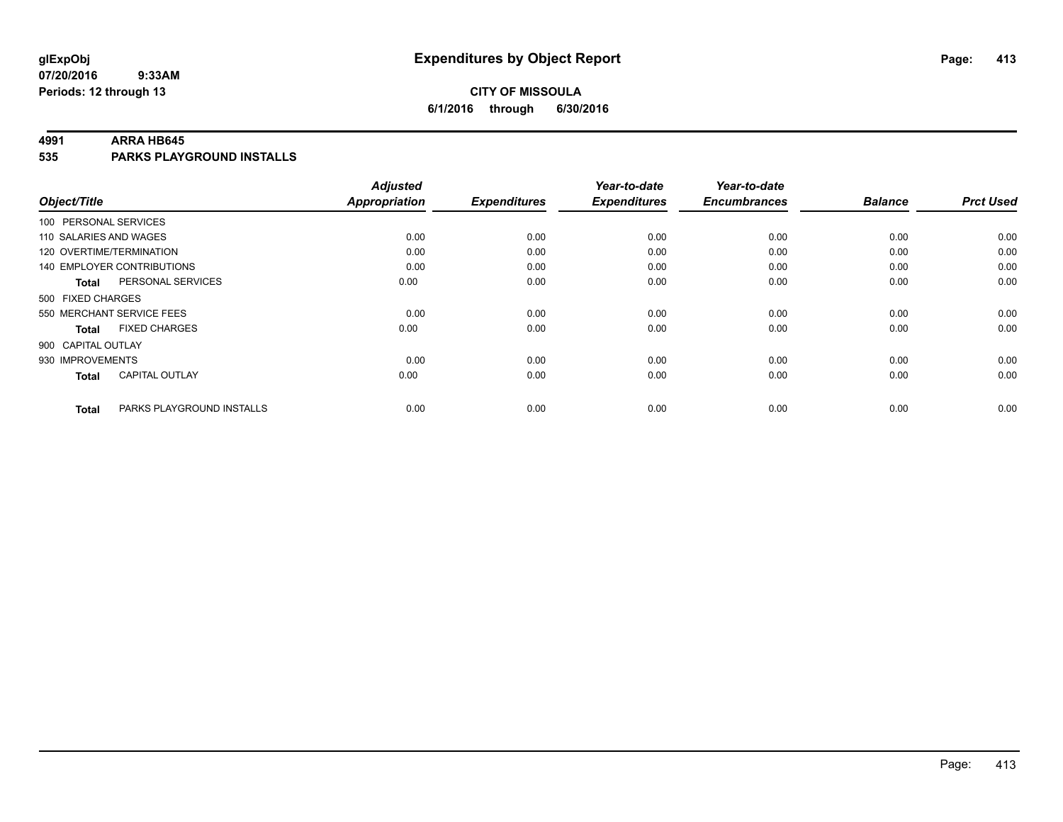### **CITY OF MISSOULA 6/1/2016 through 6/30/2016**

#### **4991 ARRA HB645**

**535 PARKS PLAYGROUND INSTALLS**

|                           |                                   | <b>Adjusted</b>      |                     | Year-to-date        | Year-to-date        |                |                  |
|---------------------------|-----------------------------------|----------------------|---------------------|---------------------|---------------------|----------------|------------------|
| Object/Title              |                                   | <b>Appropriation</b> | <b>Expenditures</b> | <b>Expenditures</b> | <b>Encumbrances</b> | <b>Balance</b> | <b>Prct Used</b> |
| 100 PERSONAL SERVICES     |                                   |                      |                     |                     |                     |                |                  |
| 110 SALARIES AND WAGES    |                                   | 0.00                 | 0.00                | 0.00                | 0.00                | 0.00           | 0.00             |
| 120 OVERTIME/TERMINATION  |                                   | 0.00                 | 0.00                | 0.00                | 0.00                | 0.00           | 0.00             |
|                           | <b>140 EMPLOYER CONTRIBUTIONS</b> | 0.00                 | 0.00                | 0.00                | 0.00                | 0.00           | 0.00             |
| Total                     | PERSONAL SERVICES                 | 0.00                 | 0.00                | 0.00                | 0.00                | 0.00           | 0.00             |
| 500 FIXED CHARGES         |                                   |                      |                     |                     |                     |                |                  |
| 550 MERCHANT SERVICE FEES |                                   | 0.00                 | 0.00                | 0.00                | 0.00                | 0.00           | 0.00             |
| <b>Total</b>              | <b>FIXED CHARGES</b>              | 0.00                 | 0.00                | 0.00                | 0.00                | 0.00           | 0.00             |
| 900 CAPITAL OUTLAY        |                                   |                      |                     |                     |                     |                |                  |
| 930 IMPROVEMENTS          |                                   | 0.00                 | 0.00                | 0.00                | 0.00                | 0.00           | 0.00             |
| Total                     | <b>CAPITAL OUTLAY</b>             | 0.00                 | 0.00                | 0.00                | 0.00                | 0.00           | 0.00             |
| <b>Total</b>              | PARKS PLAYGROUND INSTALLS         | 0.00                 | 0.00                | 0.00                | 0.00                | 0.00           | 0.00             |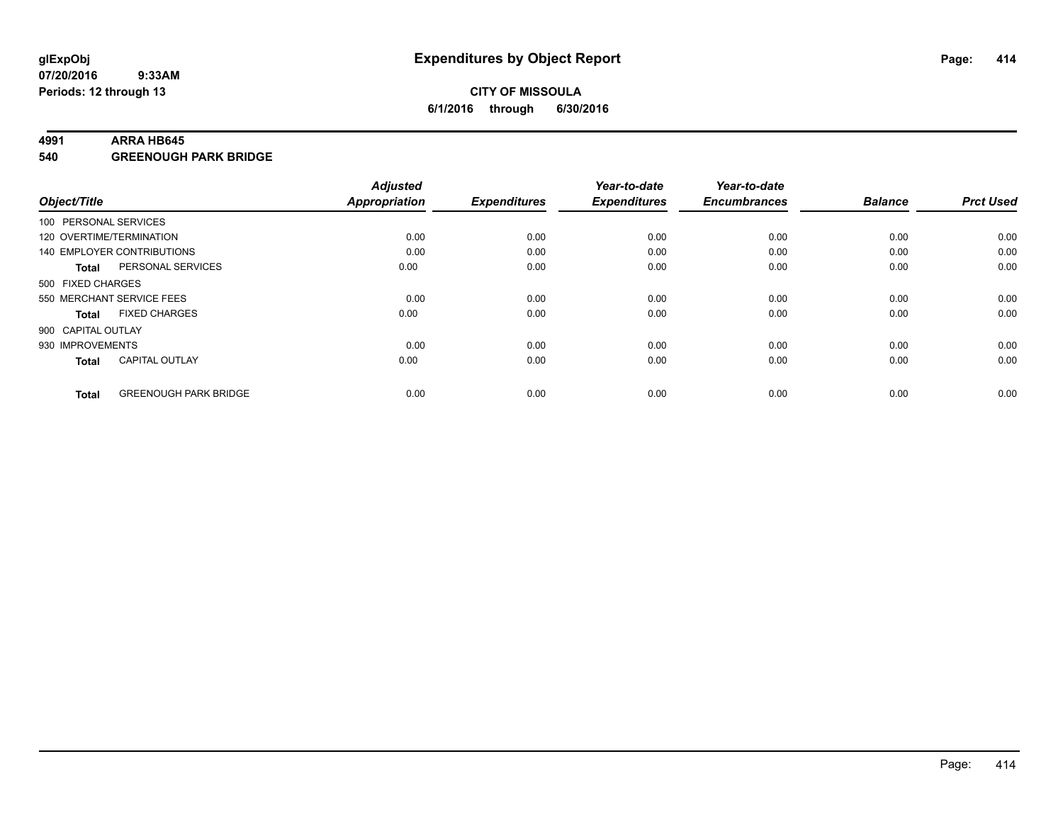#### **4991 ARRA HB645**

**540 GREENOUGH PARK BRIDGE**

| Object/Title       |                              | <b>Adjusted</b><br><b>Appropriation</b> | <b>Expenditures</b> | Year-to-date<br><b>Expenditures</b> | Year-to-date<br><b>Encumbrances</b> | <b>Balance</b> | <b>Prct Used</b> |
|--------------------|------------------------------|-----------------------------------------|---------------------|-------------------------------------|-------------------------------------|----------------|------------------|
|                    | 100 PERSONAL SERVICES        |                                         |                     |                                     |                                     |                |                  |
|                    | 120 OVERTIME/TERMINATION     | 0.00                                    | 0.00                | 0.00                                | 0.00                                | 0.00           | 0.00             |
|                    | 140 EMPLOYER CONTRIBUTIONS   | 0.00                                    | 0.00                | 0.00                                | 0.00                                | 0.00           | 0.00             |
| Total              | PERSONAL SERVICES            | 0.00                                    | 0.00                | 0.00                                | 0.00                                | 0.00           | 0.00             |
| 500 FIXED CHARGES  |                              |                                         |                     |                                     |                                     |                |                  |
|                    | 550 MERCHANT SERVICE FEES    | 0.00                                    | 0.00                | 0.00                                | 0.00                                | 0.00           | 0.00             |
| <b>Total</b>       | <b>FIXED CHARGES</b>         | 0.00                                    | 0.00                | 0.00                                | 0.00                                | 0.00           | 0.00             |
| 900 CAPITAL OUTLAY |                              |                                         |                     |                                     |                                     |                |                  |
| 930 IMPROVEMENTS   |                              | 0.00                                    | 0.00                | 0.00                                | 0.00                                | 0.00           | 0.00             |
| <b>Total</b>       | <b>CAPITAL OUTLAY</b>        | 0.00                                    | 0.00                | 0.00                                | 0.00                                | 0.00           | 0.00             |
| <b>Total</b>       | <b>GREENOUGH PARK BRIDGE</b> | 0.00                                    | 0.00                | 0.00                                | 0.00                                | 0.00           | 0.00             |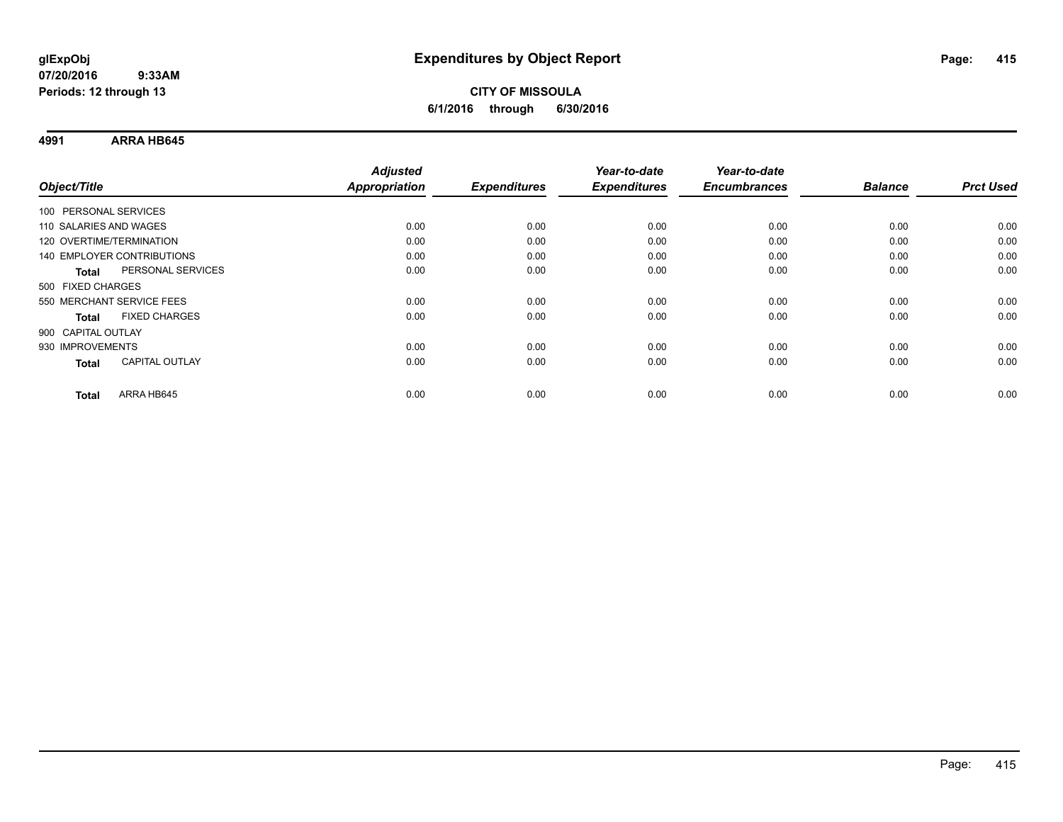### **CITY OF MISSOULA 6/1/2016 through 6/30/2016**

**4991 ARRA HB645**

| Object/Title               |                       | <b>Adjusted</b><br><b>Appropriation</b> | <b>Expenditures</b> | Year-to-date<br><b>Expenditures</b> | Year-to-date<br><b>Encumbrances</b> | <b>Balance</b> | <b>Prct Used</b> |
|----------------------------|-----------------------|-----------------------------------------|---------------------|-------------------------------------|-------------------------------------|----------------|------------------|
|                            |                       |                                         |                     |                                     |                                     |                |                  |
| 100 PERSONAL SERVICES      |                       |                                         |                     |                                     |                                     |                |                  |
| 110 SALARIES AND WAGES     |                       | 0.00                                    | 0.00                | 0.00                                | 0.00                                | 0.00           | 0.00             |
| 120 OVERTIME/TERMINATION   |                       | 0.00                                    | 0.00                | 0.00                                | 0.00                                | 0.00           | 0.00             |
| 140 EMPLOYER CONTRIBUTIONS |                       | 0.00                                    | 0.00                | 0.00                                | 0.00                                | 0.00           | 0.00             |
| <b>Total</b>               | PERSONAL SERVICES     | 0.00                                    | 0.00                | 0.00                                | 0.00                                | 0.00           | 0.00             |
| 500 FIXED CHARGES          |                       |                                         |                     |                                     |                                     |                |                  |
| 550 MERCHANT SERVICE FEES  |                       | 0.00                                    | 0.00                | 0.00                                | 0.00                                | 0.00           | 0.00             |
| <b>Total</b>               | <b>FIXED CHARGES</b>  | 0.00                                    | 0.00                | 0.00                                | 0.00                                | 0.00           | 0.00             |
| 900 CAPITAL OUTLAY         |                       |                                         |                     |                                     |                                     |                |                  |
| 930 IMPROVEMENTS           |                       | 0.00                                    | 0.00                | 0.00                                | 0.00                                | 0.00           | 0.00             |
| <b>Total</b>               | <b>CAPITAL OUTLAY</b> | 0.00                                    | 0.00                | 0.00                                | 0.00                                | 0.00           | 0.00             |
|                            |                       |                                         |                     |                                     |                                     |                |                  |
| <b>Total</b>               | ARRA HB645            | 0.00                                    | 0.00                | 0.00                                | 0.00                                | 0.00           | 0.00             |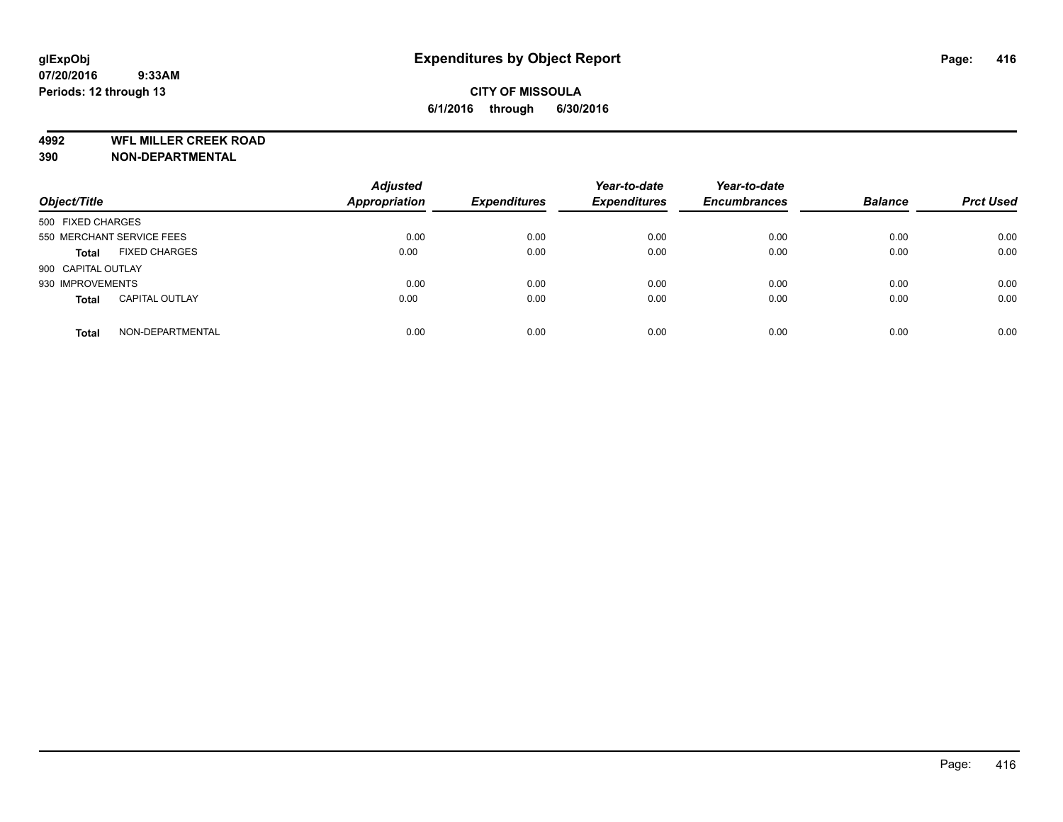**4992 WFL MILLER CREEK ROAD**

**390 NON-DEPARTMENTAL**

| Object/Title       |                           | <b>Adjusted</b><br><b>Appropriation</b> | <b>Expenditures</b> | Year-to-date<br><b>Expenditures</b> | Year-to-date<br><b>Encumbrances</b> | <b>Balance</b> | <b>Prct Used</b> |
|--------------------|---------------------------|-----------------------------------------|---------------------|-------------------------------------|-------------------------------------|----------------|------------------|
| 500 FIXED CHARGES  |                           |                                         |                     |                                     |                                     |                |                  |
|                    | 550 MERCHANT SERVICE FEES | 0.00                                    | 0.00                | 0.00                                | 0.00                                | 0.00           | 0.00             |
| <b>Total</b>       | <b>FIXED CHARGES</b>      | 0.00                                    | 0.00                | 0.00                                | 0.00                                | 0.00           | 0.00             |
| 900 CAPITAL OUTLAY |                           |                                         |                     |                                     |                                     |                |                  |
| 930 IMPROVEMENTS   |                           | 0.00                                    | 0.00                | 0.00                                | 0.00                                | 0.00           | 0.00             |
| <b>Total</b>       | <b>CAPITAL OUTLAY</b>     | 0.00                                    | 0.00                | 0.00                                | 0.00                                | 0.00           | 0.00             |
| <b>Total</b>       | NON-DEPARTMENTAL          | 0.00                                    | 0.00                | 0.00                                | 0.00                                | 0.00           | 0.00             |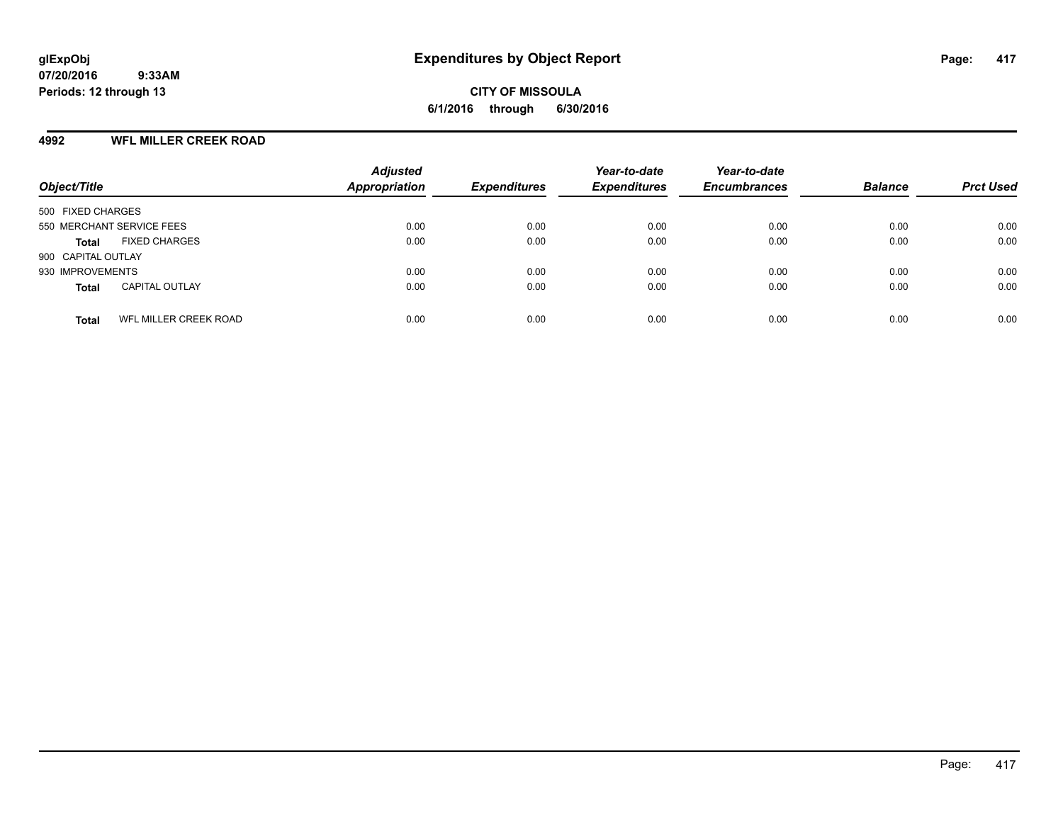#### **4992 WFL MILLER CREEK ROAD**

| Object/Title                          | <b>Adjusted</b><br><b>Appropriation</b> | <b>Expenditures</b> | Year-to-date<br><b>Expenditures</b> | Year-to-date<br><b>Encumbrances</b> | <b>Balance</b> | <b>Prct Used</b> |
|---------------------------------------|-----------------------------------------|---------------------|-------------------------------------|-------------------------------------|----------------|------------------|
| 500 FIXED CHARGES                     |                                         |                     |                                     |                                     |                |                  |
| 550 MERCHANT SERVICE FEES             | 0.00                                    | 0.00                | 0.00                                | 0.00                                | 0.00           | 0.00             |
| <b>FIXED CHARGES</b><br>Total         | 0.00                                    | 0.00                | 0.00                                | 0.00                                | 0.00           | 0.00             |
| 900 CAPITAL OUTLAY                    |                                         |                     |                                     |                                     |                |                  |
| 930 IMPROVEMENTS                      | 0.00                                    | 0.00                | 0.00                                | 0.00                                | 0.00           | 0.00             |
| <b>CAPITAL OUTLAY</b><br><b>Total</b> | 0.00                                    | 0.00                | 0.00                                | 0.00                                | 0.00           | 0.00             |
| WFL MILLER CREEK ROAD<br><b>Total</b> | 0.00                                    | 0.00                | 0.00                                | 0.00                                | 0.00           | 0.00             |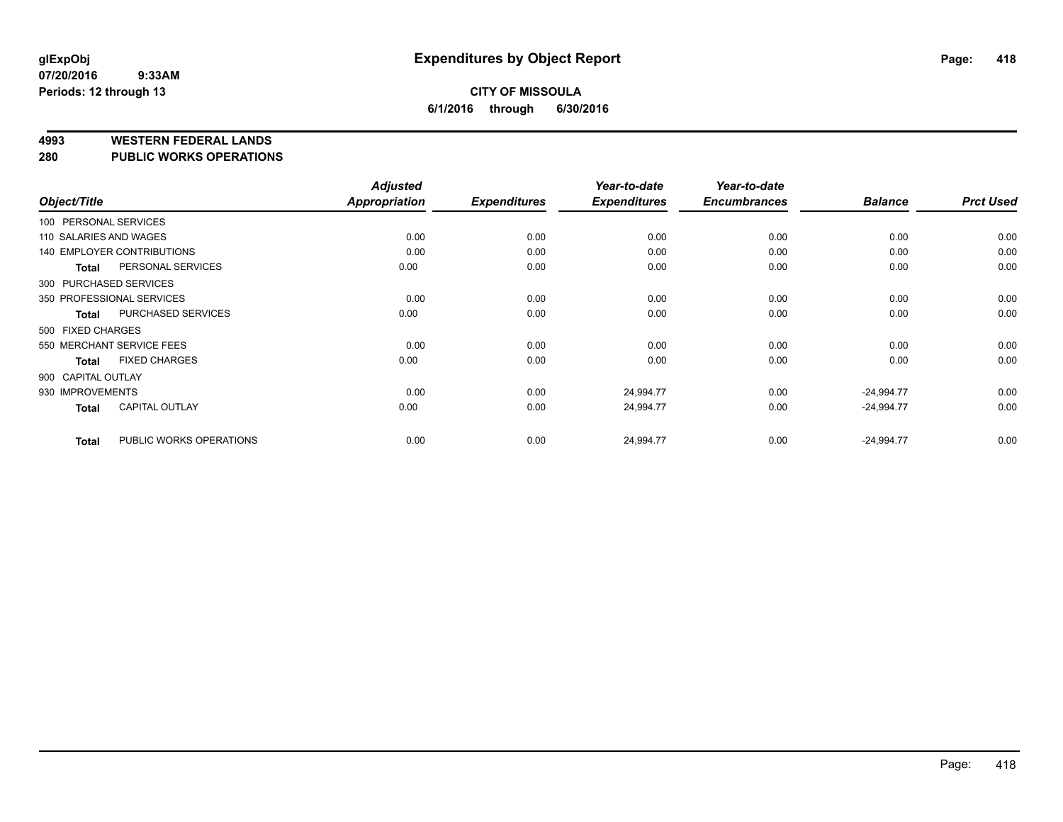#### **4993 WESTERN FEDERAL LANDS**

#### **280 PUBLIC WORKS OPERATIONS**

|                        |                                   | <b>Adjusted</b> |                     | Year-to-date        | Year-to-date        |                |                  |
|------------------------|-----------------------------------|-----------------|---------------------|---------------------|---------------------|----------------|------------------|
| Object/Title           |                                   | Appropriation   | <b>Expenditures</b> | <b>Expenditures</b> | <b>Encumbrances</b> | <b>Balance</b> | <b>Prct Used</b> |
| 100 PERSONAL SERVICES  |                                   |                 |                     |                     |                     |                |                  |
| 110 SALARIES AND WAGES |                                   | 0.00            | 0.00                | 0.00                | 0.00                | 0.00           | 0.00             |
|                        | <b>140 EMPLOYER CONTRIBUTIONS</b> | 0.00            | 0.00                | 0.00                | 0.00                | 0.00           | 0.00             |
| <b>Total</b>           | PERSONAL SERVICES                 | 0.00            | 0.00                | 0.00                | 0.00                | 0.00           | 0.00             |
|                        | 300 PURCHASED SERVICES            |                 |                     |                     |                     |                |                  |
|                        | 350 PROFESSIONAL SERVICES         | 0.00            | 0.00                | 0.00                | 0.00                | 0.00           | 0.00             |
| Total                  | PURCHASED SERVICES                | 0.00            | 0.00                | 0.00                | 0.00                | 0.00           | 0.00             |
| 500 FIXED CHARGES      |                                   |                 |                     |                     |                     |                |                  |
|                        | 550 MERCHANT SERVICE FEES         | 0.00            | 0.00                | 0.00                | 0.00                | 0.00           | 0.00             |
| <b>Total</b>           | <b>FIXED CHARGES</b>              | 0.00            | 0.00                | 0.00                | 0.00                | 0.00           | 0.00             |
| 900 CAPITAL OUTLAY     |                                   |                 |                     |                     |                     |                |                  |
| 930 IMPROVEMENTS       |                                   | 0.00            | 0.00                | 24,994.77           | 0.00                | $-24,994.77$   | 0.00             |
| <b>Total</b>           | <b>CAPITAL OUTLAY</b>             | 0.00            | 0.00                | 24,994.77           | 0.00                | $-24,994.77$   | 0.00             |
| <b>Total</b>           | PUBLIC WORKS OPERATIONS           | 0.00            | 0.00                | 24,994.77           | 0.00                | $-24,994.77$   | 0.00             |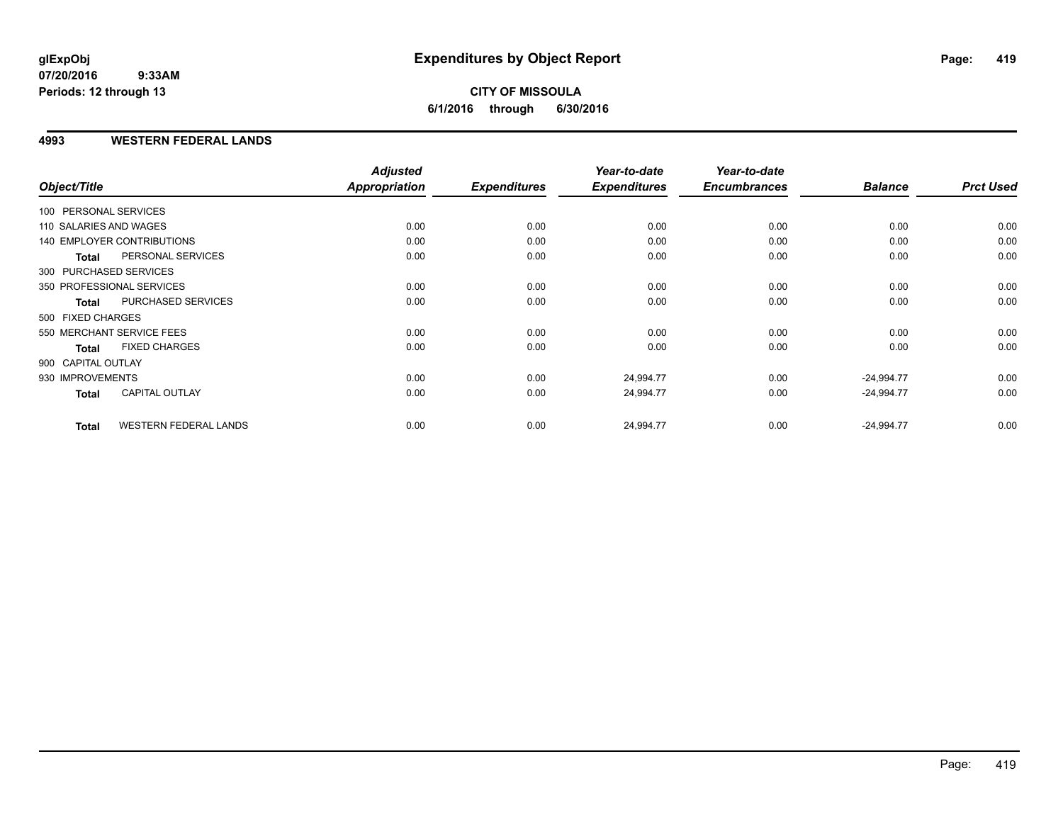### **CITY OF MISSOULA 6/1/2016 through 6/30/2016**

#### **4993 WESTERN FEDERAL LANDS**

| Object/Title           |                                   | <b>Adjusted</b><br>Appropriation | <b>Expenditures</b> | Year-to-date<br><b>Expenditures</b> | Year-to-date<br><b>Encumbrances</b> | <b>Balance</b> | <b>Prct Used</b> |
|------------------------|-----------------------------------|----------------------------------|---------------------|-------------------------------------|-------------------------------------|----------------|------------------|
| 100 PERSONAL SERVICES  |                                   |                                  |                     |                                     |                                     |                |                  |
| 110 SALARIES AND WAGES |                                   | 0.00                             | 0.00                | 0.00                                | 0.00                                | 0.00           | 0.00             |
|                        | <b>140 EMPLOYER CONTRIBUTIONS</b> | 0.00                             | 0.00                | 0.00                                | 0.00                                | 0.00           | 0.00             |
| <b>Total</b>           | PERSONAL SERVICES                 | 0.00                             | 0.00                | 0.00                                | 0.00                                | 0.00           | 0.00             |
| 300 PURCHASED SERVICES |                                   |                                  |                     |                                     |                                     |                |                  |
|                        | 350 PROFESSIONAL SERVICES         | 0.00                             | 0.00                | 0.00                                | 0.00                                | 0.00           | 0.00             |
| <b>Total</b>           | PURCHASED SERVICES                | 0.00                             | 0.00                | 0.00                                | 0.00                                | 0.00           | 0.00             |
| 500 FIXED CHARGES      |                                   |                                  |                     |                                     |                                     |                |                  |
|                        | 550 MERCHANT SERVICE FEES         | 0.00                             | 0.00                | 0.00                                | 0.00                                | 0.00           | 0.00             |
| <b>Total</b>           | <b>FIXED CHARGES</b>              | 0.00                             | 0.00                | 0.00                                | 0.00                                | 0.00           | 0.00             |
| 900 CAPITAL OUTLAY     |                                   |                                  |                     |                                     |                                     |                |                  |
| 930 IMPROVEMENTS       |                                   | 0.00                             | 0.00                | 24,994.77                           | 0.00                                | $-24,994.77$   | 0.00             |
| Total                  | <b>CAPITAL OUTLAY</b>             | 0.00                             | 0.00                | 24,994.77                           | 0.00                                | $-24,994.77$   | 0.00             |
| <b>Total</b>           | <b>WESTERN FEDERAL LANDS</b>      | 0.00                             | 0.00                | 24,994.77                           | 0.00                                | $-24,994.77$   | 0.00             |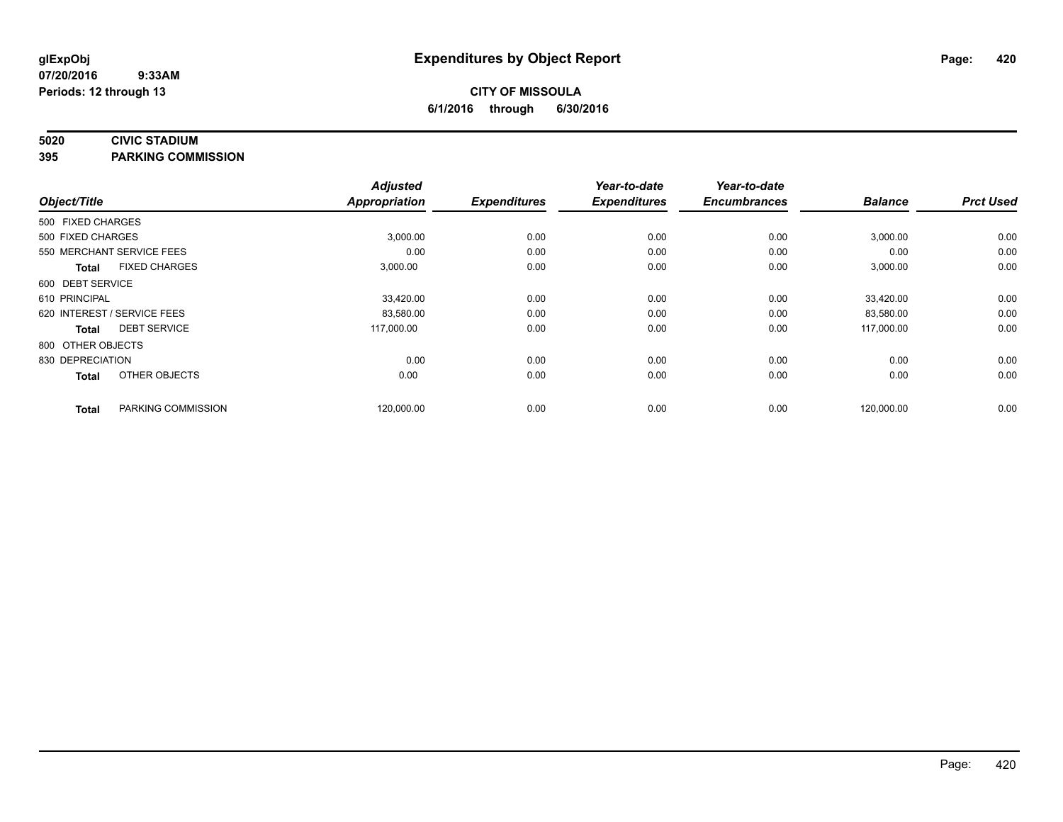#### **5020 CIVIC STADIUM**

**395 PARKING COMMISSION**

| Object/Title      |                             | <b>Adjusted</b><br><b>Appropriation</b> | <b>Expenditures</b> | Year-to-date<br><b>Expenditures</b> | Year-to-date<br><b>Encumbrances</b> | <b>Balance</b> | <b>Prct Used</b> |
|-------------------|-----------------------------|-----------------------------------------|---------------------|-------------------------------------|-------------------------------------|----------------|------------------|
|                   |                             |                                         |                     |                                     |                                     |                |                  |
| 500 FIXED CHARGES |                             |                                         |                     |                                     |                                     |                |                  |
| 500 FIXED CHARGES |                             | 3,000.00                                | 0.00                | 0.00                                | 0.00                                | 3,000.00       | 0.00             |
|                   | 550 MERCHANT SERVICE FEES   | 0.00                                    | 0.00                | 0.00                                | 0.00                                | 0.00           | 0.00             |
| <b>Total</b>      | <b>FIXED CHARGES</b>        | 3,000.00                                | 0.00                | 0.00                                | 0.00                                | 3,000.00       | 0.00             |
| 600 DEBT SERVICE  |                             |                                         |                     |                                     |                                     |                |                  |
| 610 PRINCIPAL     |                             | 33,420.00                               | 0.00                | 0.00                                | 0.00                                | 33,420.00      | 0.00             |
|                   | 620 INTEREST / SERVICE FEES | 83,580.00                               | 0.00                | 0.00                                | 0.00                                | 83,580.00      | 0.00             |
| <b>Total</b>      | <b>DEBT SERVICE</b>         | 117,000.00                              | 0.00                | 0.00                                | 0.00                                | 117,000.00     | 0.00             |
| 800 OTHER OBJECTS |                             |                                         |                     |                                     |                                     |                |                  |
| 830 DEPRECIATION  |                             | 0.00                                    | 0.00                | 0.00                                | 0.00                                | 0.00           | 0.00             |
| <b>Total</b>      | OTHER OBJECTS               | 0.00                                    | 0.00                | 0.00                                | 0.00                                | 0.00           | 0.00             |
| <b>Total</b>      | PARKING COMMISSION          | 120,000.00                              | 0.00                | 0.00                                | 0.00                                | 120,000.00     | 0.00             |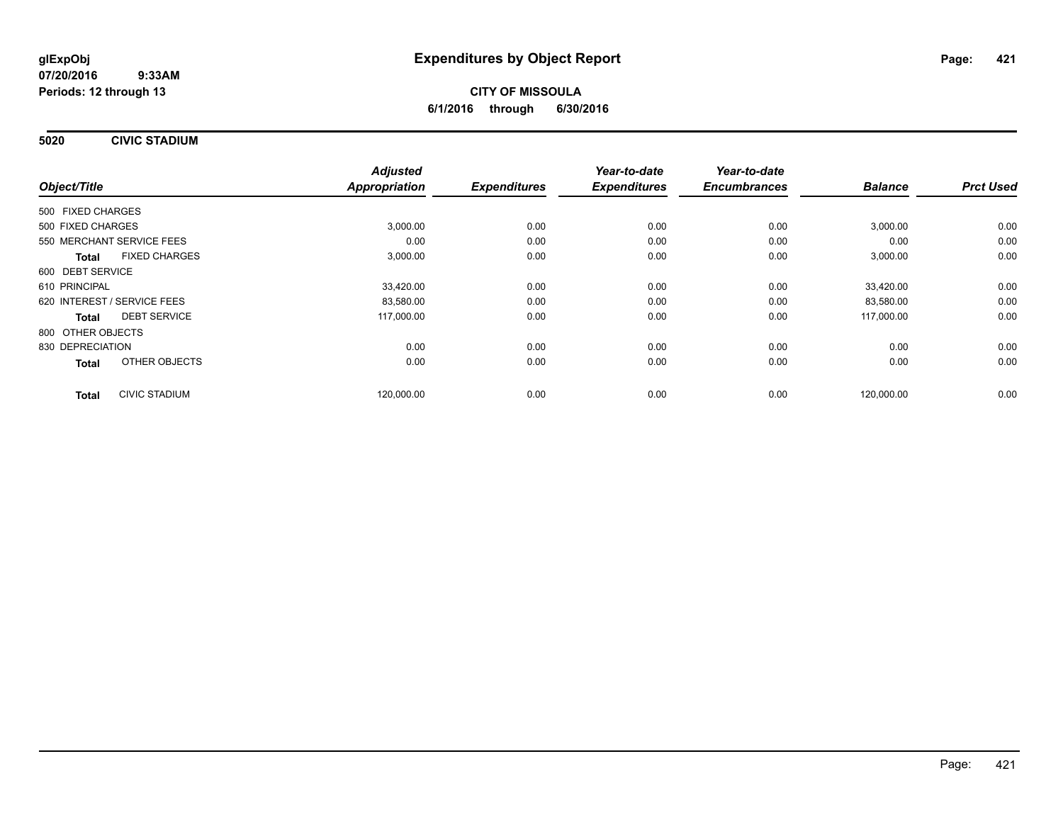**5020 CIVIC STADIUM**

|                                      | <b>Adjusted</b> |      | Year-to-date<br><b>Expenditures</b><br><b>Expenditures</b> | Year-to-date<br><b>Encumbrances</b> |                |                  |
|--------------------------------------|-----------------|------|------------------------------------------------------------|-------------------------------------|----------------|------------------|
| Object/Title                         | Appropriation   |      |                                                            |                                     | <b>Balance</b> | <b>Prct Used</b> |
| 500 FIXED CHARGES                    |                 |      |                                                            |                                     |                |                  |
| 500 FIXED CHARGES                    | 3,000.00        | 0.00 | 0.00                                                       | 0.00                                | 3,000.00       | 0.00             |
| 550 MERCHANT SERVICE FEES            | 0.00            | 0.00 | 0.00                                                       | 0.00                                | 0.00           | 0.00             |
| <b>FIXED CHARGES</b><br><b>Total</b> | 3,000.00        | 0.00 | 0.00                                                       | 0.00                                | 3,000.00       | 0.00             |
| 600 DEBT SERVICE                     |                 |      |                                                            |                                     |                |                  |
| 610 PRINCIPAL                        | 33,420.00       | 0.00 | 0.00                                                       | 0.00                                | 33.420.00      | 0.00             |
| 620 INTEREST / SERVICE FEES          | 83,580.00       | 0.00 | 0.00                                                       | 0.00                                | 83,580.00      | 0.00             |
| <b>DEBT SERVICE</b><br>Total         | 117,000.00      | 0.00 | 0.00                                                       | 0.00                                | 117,000.00     | 0.00             |
| 800 OTHER OBJECTS                    |                 |      |                                                            |                                     |                |                  |
| 830 DEPRECIATION                     | 0.00            | 0.00 | 0.00                                                       | 0.00                                | 0.00           | 0.00             |
| OTHER OBJECTS<br><b>Total</b>        | 0.00            | 0.00 | 0.00                                                       | 0.00                                | 0.00           | 0.00             |
| <b>CIVIC STADIUM</b><br><b>Total</b> | 120,000.00      | 0.00 | 0.00                                                       | 0.00                                | 120,000.00     | 0.00             |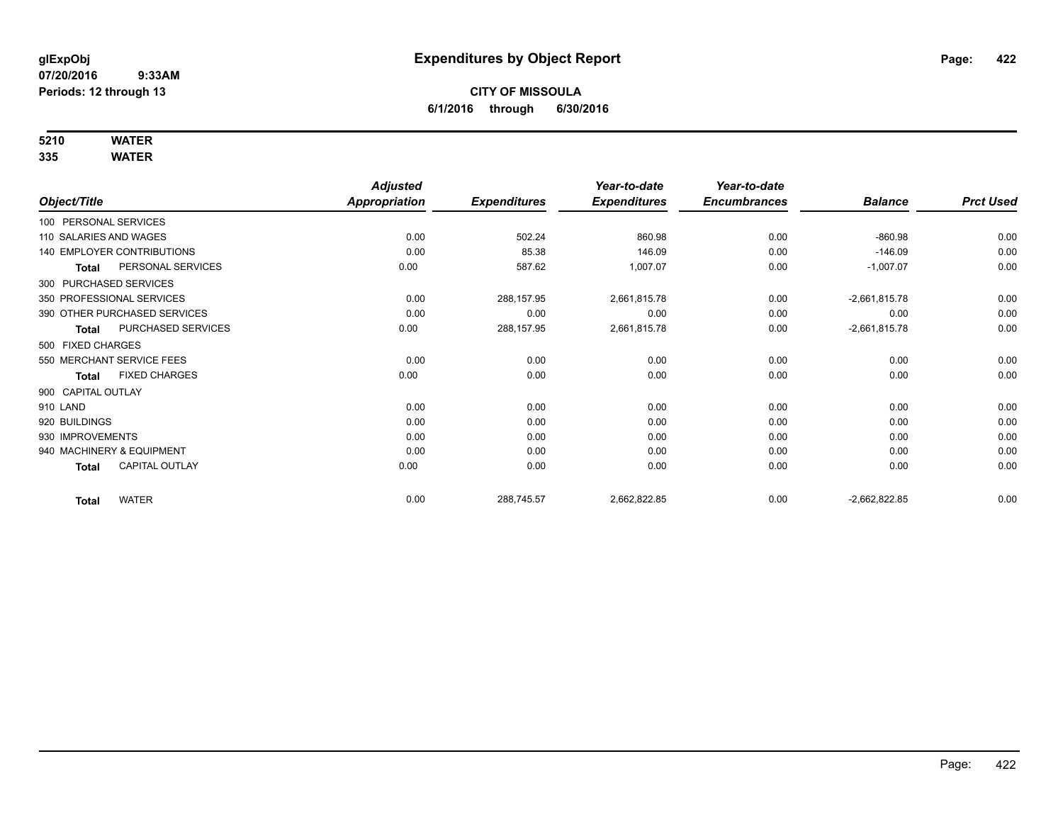# **5210 WATER**

|                        |                              | <b>Adjusted</b>      |                     | Year-to-date        | Year-to-date        |                 |                  |
|------------------------|------------------------------|----------------------|---------------------|---------------------|---------------------|-----------------|------------------|
| Object/Title           |                              | <b>Appropriation</b> | <b>Expenditures</b> | <b>Expenditures</b> | <b>Encumbrances</b> | <b>Balance</b>  | <b>Prct Used</b> |
| 100 PERSONAL SERVICES  |                              |                      |                     |                     |                     |                 |                  |
| 110 SALARIES AND WAGES |                              | 0.00                 | 502.24              | 860.98              | 0.00                | $-860.98$       | 0.00             |
|                        | 140 EMPLOYER CONTRIBUTIONS   | 0.00                 | 85.38               | 146.09              | 0.00                | $-146.09$       | 0.00             |
| Total                  | PERSONAL SERVICES            | 0.00                 | 587.62              | 1,007.07            | 0.00                | $-1,007.07$     | 0.00             |
| 300 PURCHASED SERVICES |                              |                      |                     |                     |                     |                 |                  |
|                        | 350 PROFESSIONAL SERVICES    | 0.00                 | 288,157.95          | 2,661,815.78        | 0.00                | $-2,661,815.78$ | 0.00             |
|                        | 390 OTHER PURCHASED SERVICES | 0.00                 | 0.00                | 0.00                | 0.00                | 0.00            | 0.00             |
| <b>Total</b>           | PURCHASED SERVICES           | 0.00                 | 288,157.95          | 2,661,815.78        | 0.00                | $-2,661,815.78$ | 0.00             |
| 500 FIXED CHARGES      |                              |                      |                     |                     |                     |                 |                  |
|                        | 550 MERCHANT SERVICE FEES    | 0.00                 | 0.00                | 0.00                | 0.00                | 0.00            | 0.00             |
| <b>Total</b>           | <b>FIXED CHARGES</b>         | 0.00                 | 0.00                | 0.00                | 0.00                | 0.00            | 0.00             |
| 900 CAPITAL OUTLAY     |                              |                      |                     |                     |                     |                 |                  |
| 910 LAND               |                              | 0.00                 | 0.00                | 0.00                | 0.00                | 0.00            | 0.00             |
| 920 BUILDINGS          |                              | 0.00                 | 0.00                | 0.00                | 0.00                | 0.00            | 0.00             |
| 930 IMPROVEMENTS       |                              | 0.00                 | 0.00                | 0.00                | 0.00                | 0.00            | 0.00             |
|                        | 940 MACHINERY & EQUIPMENT    | 0.00                 | 0.00                | 0.00                | 0.00                | 0.00            | 0.00             |
| <b>Total</b>           | <b>CAPITAL OUTLAY</b>        | 0.00                 | 0.00                | 0.00                | 0.00                | 0.00            | 0.00             |
| <b>Total</b>           | <b>WATER</b>                 | 0.00                 | 288,745.57          | 2,662,822.85        | 0.00                | $-2,662,822.85$ | 0.00             |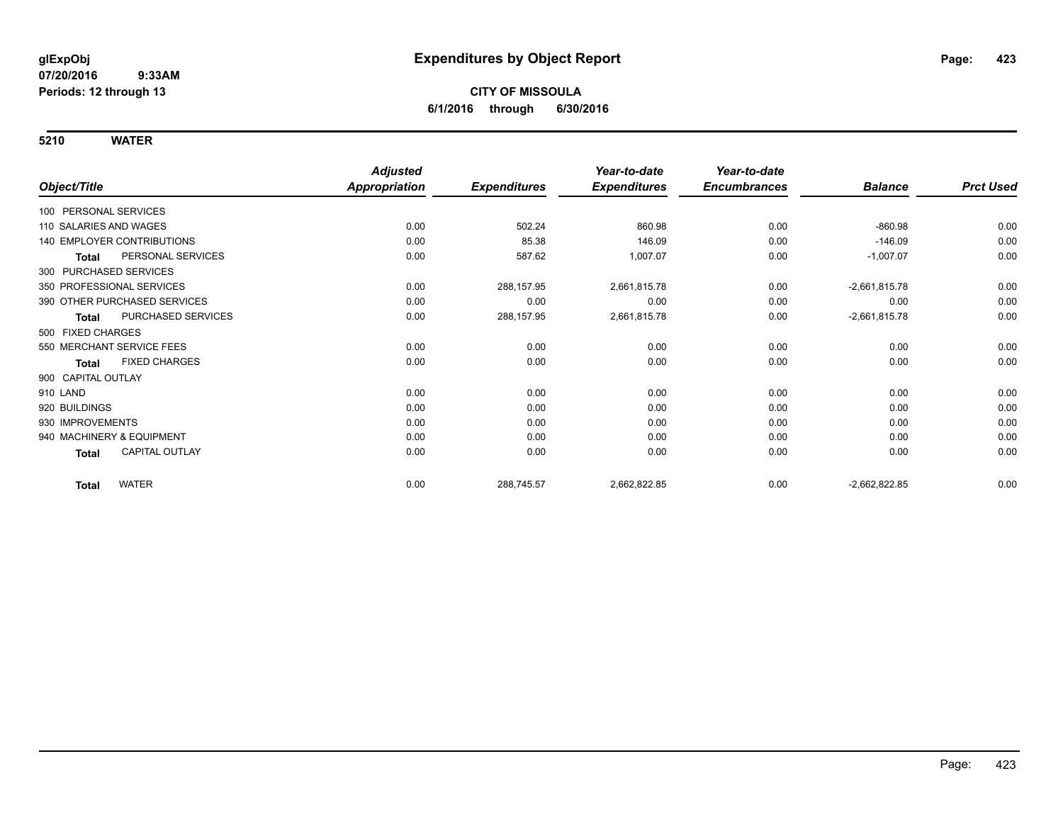|                                       | <b>Adjusted</b>      |                     | Year-to-date        | Year-to-date        |                 |                  |
|---------------------------------------|----------------------|---------------------|---------------------|---------------------|-----------------|------------------|
| Object/Title                          | <b>Appropriation</b> | <b>Expenditures</b> | <b>Expenditures</b> | <b>Encumbrances</b> | <b>Balance</b>  | <b>Prct Used</b> |
| 100 PERSONAL SERVICES                 |                      |                     |                     |                     |                 |                  |
| 110 SALARIES AND WAGES                | 0.00                 | 502.24              | 860.98              | 0.00                | $-860.98$       | 0.00             |
| <b>140 EMPLOYER CONTRIBUTIONS</b>     | 0.00                 | 85.38               | 146.09              | 0.00                | $-146.09$       | 0.00             |
| PERSONAL SERVICES<br><b>Total</b>     | 0.00                 | 587.62              | 1,007.07            | 0.00                | $-1,007.07$     | 0.00             |
| 300 PURCHASED SERVICES                |                      |                     |                     |                     |                 |                  |
| 350 PROFESSIONAL SERVICES             | 0.00                 | 288,157.95          | 2,661,815.78        | 0.00                | $-2,661,815.78$ | 0.00             |
| 390 OTHER PURCHASED SERVICES          | 0.00                 | 0.00                | 0.00                | 0.00                | 0.00            | 0.00             |
| PURCHASED SERVICES<br><b>Total</b>    | 0.00                 | 288,157.95          | 2,661,815.78        | 0.00                | $-2,661,815.78$ | 0.00             |
| 500 FIXED CHARGES                     |                      |                     |                     |                     |                 |                  |
| 550 MERCHANT SERVICE FEES             | 0.00                 | 0.00                | 0.00                | 0.00                | 0.00            | 0.00             |
| <b>FIXED CHARGES</b><br><b>Total</b>  | 0.00                 | 0.00                | 0.00                | 0.00                | 0.00            | 0.00             |
| 900 CAPITAL OUTLAY                    |                      |                     |                     |                     |                 |                  |
| 910 LAND                              | 0.00                 | 0.00                | 0.00                | 0.00                | 0.00            | 0.00             |
| 920 BUILDINGS                         | 0.00                 | 0.00                | 0.00                | 0.00                | 0.00            | 0.00             |
| 930 IMPROVEMENTS                      | 0.00                 | 0.00                | 0.00                | 0.00                | 0.00            | 0.00             |
| 940 MACHINERY & EQUIPMENT             | 0.00                 | 0.00                | 0.00                | 0.00                | 0.00            | 0.00             |
| <b>CAPITAL OUTLAY</b><br><b>Total</b> | 0.00                 | 0.00                | 0.00                | 0.00                | 0.00            | 0.00             |
| <b>WATER</b><br><b>Total</b>          | 0.00                 | 288,745.57          | 2,662,822.85        | 0.00                | $-2,662,822.85$ | 0.00             |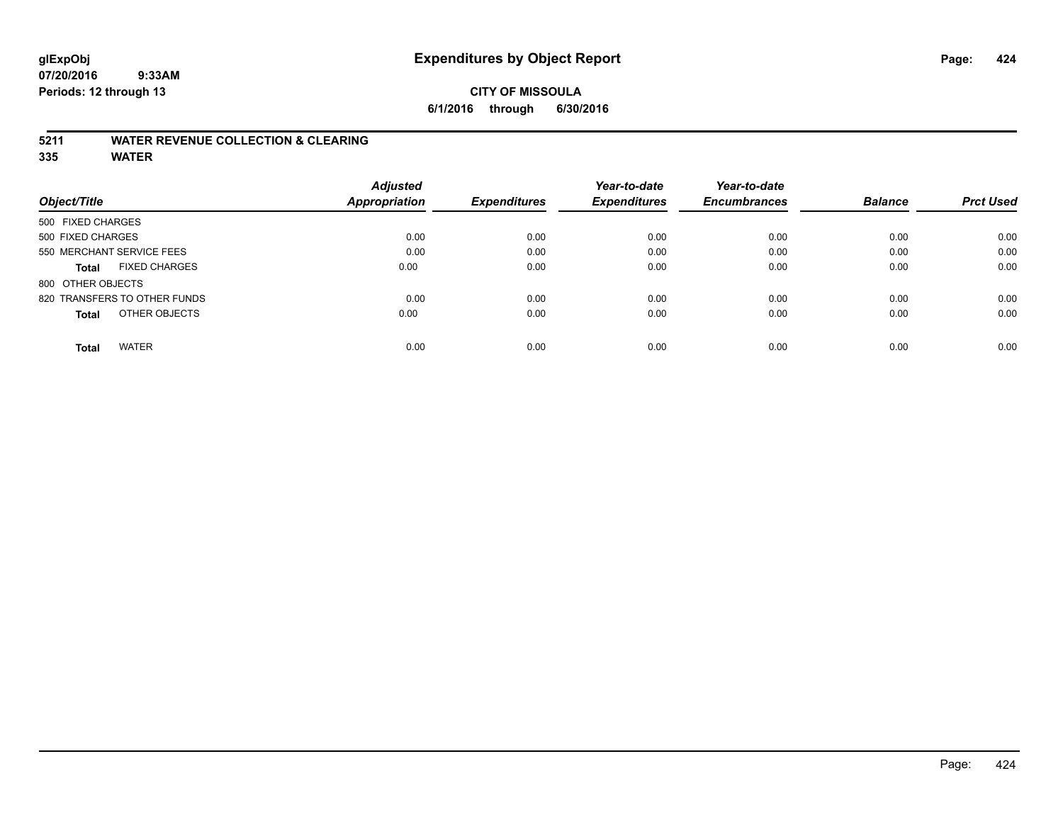### **CITY OF MISSOULA 6/1/2016 through 6/30/2016**

#### **5211 WATER REVENUE COLLECTION & CLEARING**

|                               | <b>Adjusted</b>      |                     | Year-to-date<br><b>Expenditures</b> | Year-to-date<br><b>Encumbrances</b> | <b>Balance</b> |                  |
|-------------------------------|----------------------|---------------------|-------------------------------------|-------------------------------------|----------------|------------------|
| Object/Title                  | <b>Appropriation</b> | <b>Expenditures</b> |                                     |                                     |                | <b>Prct Used</b> |
| 500 FIXED CHARGES             |                      |                     |                                     |                                     |                |                  |
| 500 FIXED CHARGES             | 0.00                 | 0.00                | 0.00                                | 0.00                                | 0.00           | 0.00             |
| 550 MERCHANT SERVICE FEES     | 0.00                 | 0.00                | 0.00                                | 0.00                                | 0.00           | 0.00             |
| <b>FIXED CHARGES</b><br>Total | 0.00                 | 0.00                | 0.00                                | 0.00                                | 0.00           | 0.00             |
| 800 OTHER OBJECTS             |                      |                     |                                     |                                     |                |                  |
| 820 TRANSFERS TO OTHER FUNDS  | 0.00                 | 0.00                | 0.00                                | 0.00                                | 0.00           | 0.00             |
| OTHER OBJECTS<br><b>Total</b> | 0.00                 | 0.00                | 0.00                                | 0.00                                | 0.00           | 0.00             |
| <b>WATER</b><br><b>Total</b>  | 0.00                 | 0.00                | 0.00                                | 0.00                                | 0.00           | 0.00             |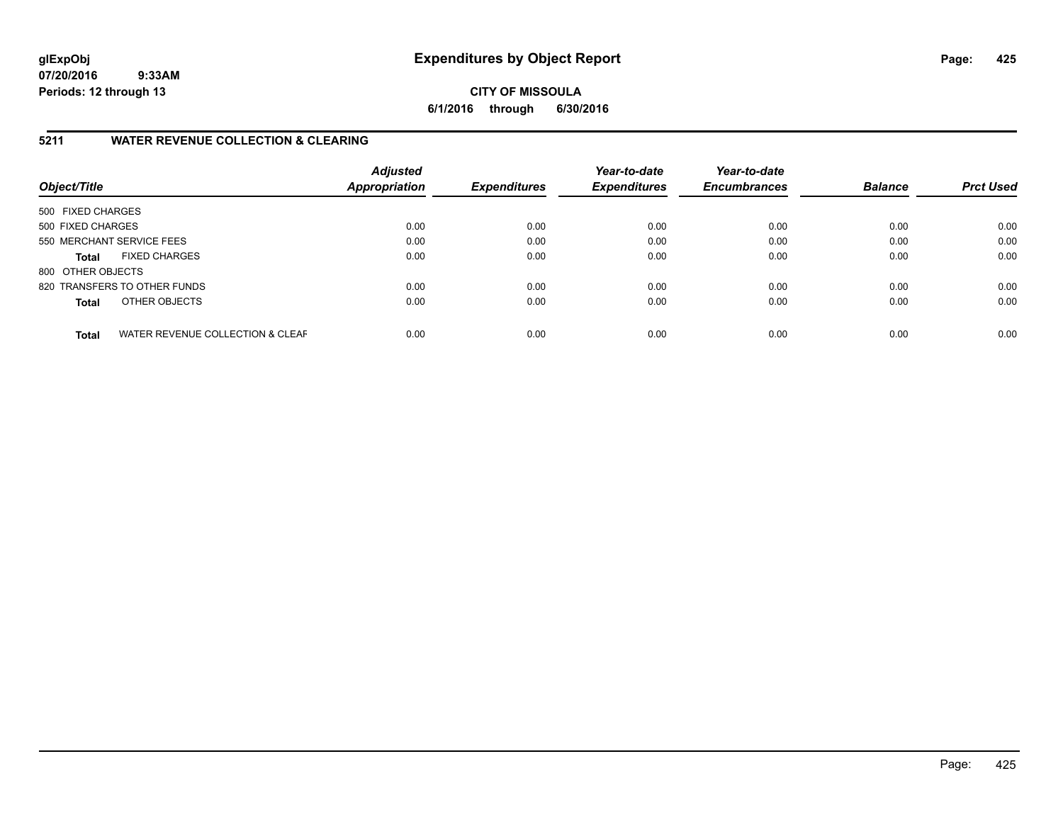**CITY OF MISSOULA 6/1/2016 through 6/30/2016**

#### **5211 WATER REVENUE COLLECTION & CLEARING**

| Object/Title              |                                  | <b>Adjusted</b><br><b>Appropriation</b> | <b>Expenditures</b> | Year-to-date<br><b>Expenditures</b> | Year-to-date<br><b>Encumbrances</b> | <b>Balance</b> | <b>Prct Used</b> |
|---------------------------|----------------------------------|-----------------------------------------|---------------------|-------------------------------------|-------------------------------------|----------------|------------------|
| 500 FIXED CHARGES         |                                  |                                         |                     |                                     |                                     |                |                  |
| 500 FIXED CHARGES         |                                  | 0.00                                    | 0.00                | 0.00                                | 0.00                                | 0.00           | 0.00             |
| 550 MERCHANT SERVICE FEES |                                  | 0.00                                    | 0.00                | 0.00                                | 0.00                                | 0.00           | 0.00             |
| <b>Total</b>              | <b>FIXED CHARGES</b>             | 0.00                                    | 0.00                | 0.00                                | 0.00                                | 0.00           | 0.00             |
| 800 OTHER OBJECTS         |                                  |                                         |                     |                                     |                                     |                |                  |
|                           | 820 TRANSFERS TO OTHER FUNDS     | 0.00                                    | 0.00                | 0.00                                | 0.00                                | 0.00           | 0.00             |
| <b>Total</b>              | OTHER OBJECTS                    | 0.00                                    | 0.00                | 0.00                                | 0.00                                | 0.00           | 0.00             |
| <b>Total</b>              | WATER REVENUE COLLECTION & CLEAF | 0.00                                    | 0.00                | 0.00                                | 0.00                                | 0.00           | 0.00             |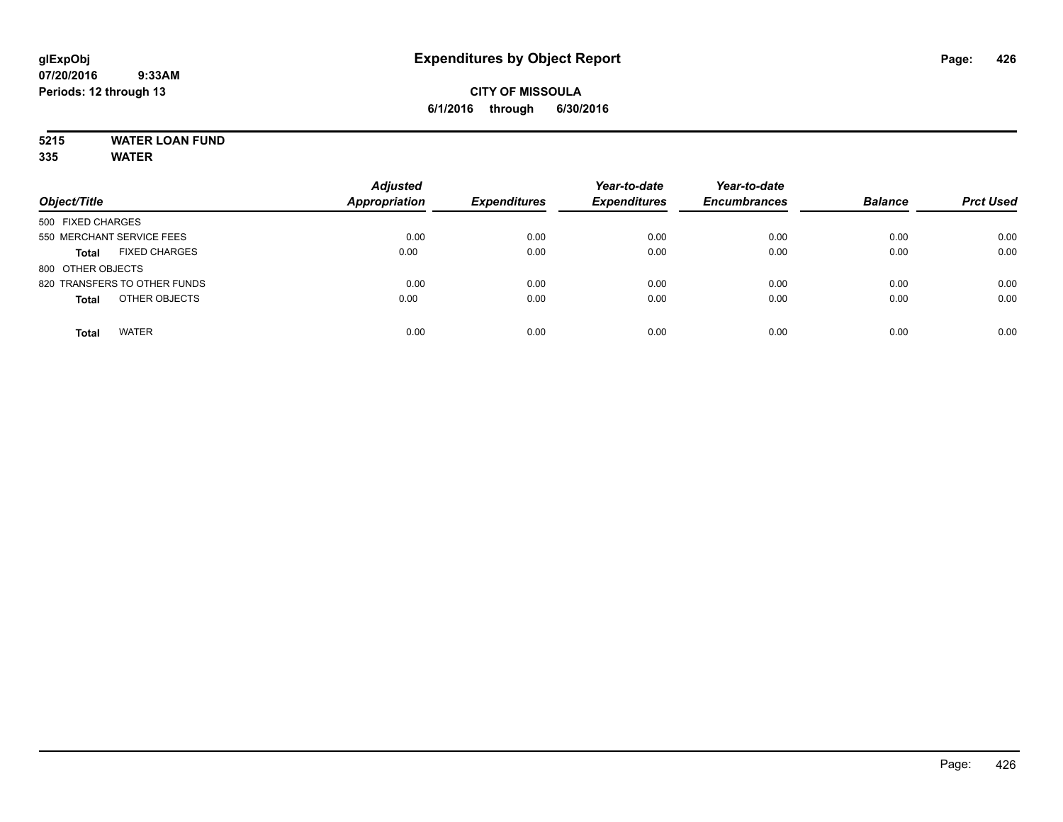# **5215 WATER LOAN FUND**

| Object/Title                         | <b>Adjusted</b><br><b>Appropriation</b> | <b>Expenditures</b> | Year-to-date<br><b>Expenditures</b> | Year-to-date<br><b>Encumbrances</b> | <b>Balance</b> | <b>Prct Used</b> |
|--------------------------------------|-----------------------------------------|---------------------|-------------------------------------|-------------------------------------|----------------|------------------|
| 500 FIXED CHARGES                    |                                         |                     |                                     |                                     |                |                  |
| 550 MERCHANT SERVICE FEES            | 0.00                                    | 0.00                | 0.00                                | 0.00                                | 0.00           | 0.00             |
| <b>FIXED CHARGES</b><br><b>Total</b> | 0.00                                    | 0.00                | 0.00                                | 0.00                                | 0.00           | 0.00             |
| 800 OTHER OBJECTS                    |                                         |                     |                                     |                                     |                |                  |
| 820 TRANSFERS TO OTHER FUNDS         | 0.00                                    | 0.00                | 0.00                                | 0.00                                | 0.00           | 0.00             |
| OTHER OBJECTS<br><b>Total</b>        | 0.00                                    | 0.00                | 0.00                                | 0.00                                | 0.00           | 0.00             |
| <b>WATER</b><br><b>Total</b>         | 0.00                                    | 0.00                | 0.00                                | 0.00                                | 0.00           | 0.00             |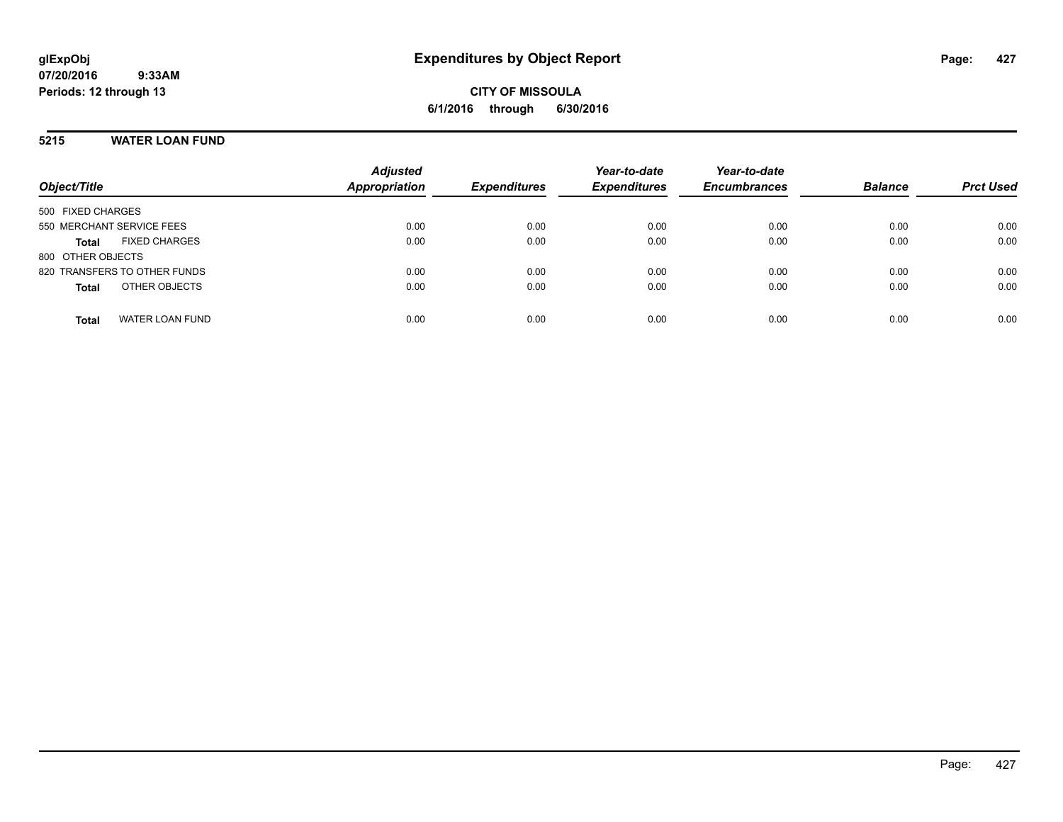**CITY OF MISSOULA 6/1/2016 through 6/30/2016**

#### **5215 WATER LOAN FUND**

| Object/Title                         | <b>Adjusted</b><br>Appropriation | <b>Expenditures</b> | Year-to-date<br><b>Expenditures</b> | Year-to-date<br><b>Encumbrances</b> | <b>Balance</b> | <b>Prct Used</b> |
|--------------------------------------|----------------------------------|---------------------|-------------------------------------|-------------------------------------|----------------|------------------|
| 500 FIXED CHARGES                    |                                  |                     |                                     |                                     |                |                  |
| 550 MERCHANT SERVICE FEES            | 0.00                             | 0.00                | 0.00                                | 0.00                                | 0.00           | 0.00             |
| <b>FIXED CHARGES</b><br><b>Total</b> | 0.00                             | 0.00                | 0.00                                | 0.00                                | 0.00           | 0.00             |
| 800 OTHER OBJECTS                    |                                  |                     |                                     |                                     |                |                  |
| 820 TRANSFERS TO OTHER FUNDS         | 0.00                             | 0.00                | 0.00                                | 0.00                                | 0.00           | 0.00             |
| OTHER OBJECTS<br><b>Total</b>        | 0.00                             | 0.00                | 0.00                                | 0.00                                | 0.00           | 0.00             |
| <b>WATER LOAN FUND</b><br>Total      | 0.00                             | 0.00                | 0.00                                | 0.00                                | 0.00           | 0.00             |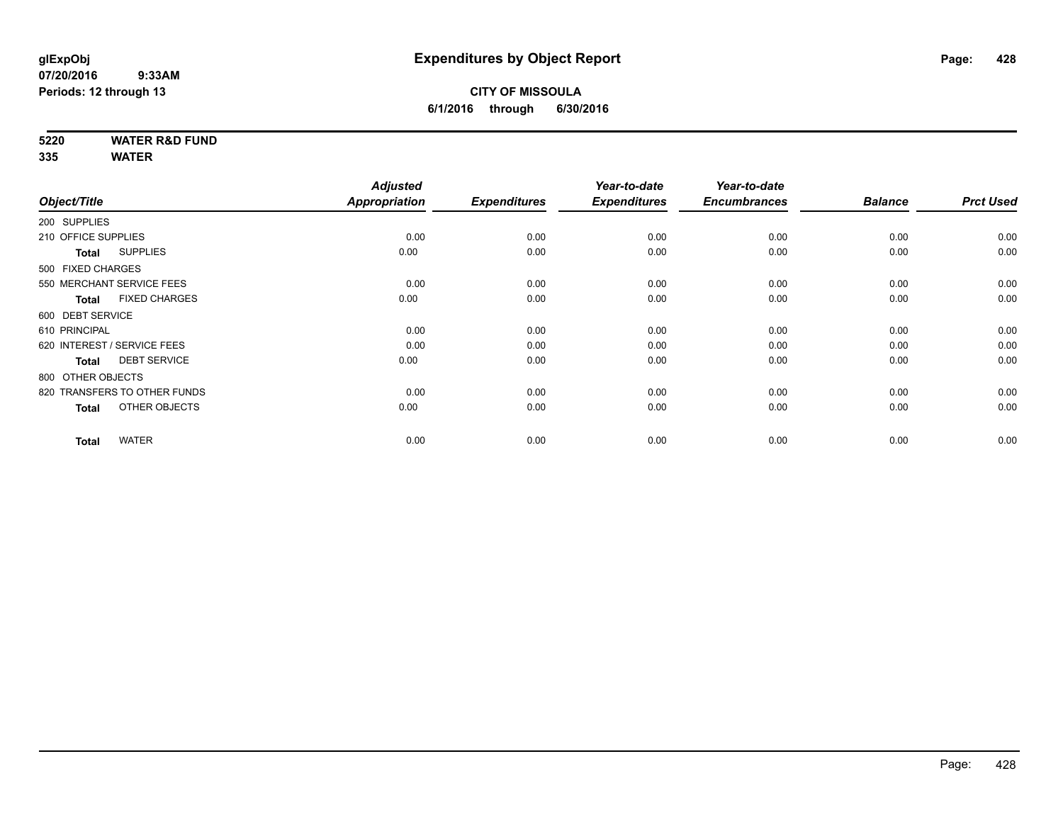**5220 WATER R&D FUND**

|                                      | <b>Adjusted</b> |                     | Year-to-date        | Year-to-date        |                |                  |
|--------------------------------------|-----------------|---------------------|---------------------|---------------------|----------------|------------------|
| Object/Title                         | Appropriation   | <b>Expenditures</b> | <b>Expenditures</b> | <b>Encumbrances</b> | <b>Balance</b> | <b>Prct Used</b> |
| 200 SUPPLIES                         |                 |                     |                     |                     |                |                  |
| 210 OFFICE SUPPLIES                  | 0.00            | 0.00                | 0.00                | 0.00                | 0.00           | 0.00             |
| <b>SUPPLIES</b><br><b>Total</b>      | 0.00            | 0.00                | 0.00                | 0.00                | 0.00           | 0.00             |
| 500 FIXED CHARGES                    |                 |                     |                     |                     |                |                  |
| 550 MERCHANT SERVICE FEES            | 0.00            | 0.00                | 0.00                | 0.00                | 0.00           | 0.00             |
| <b>FIXED CHARGES</b><br><b>Total</b> | 0.00            | 0.00                | 0.00                | 0.00                | 0.00           | 0.00             |
| 600 DEBT SERVICE                     |                 |                     |                     |                     |                |                  |
| 610 PRINCIPAL                        | 0.00            | 0.00                | 0.00                | 0.00                | 0.00           | 0.00             |
| 620 INTEREST / SERVICE FEES          | 0.00            | 0.00                | 0.00                | 0.00                | 0.00           | 0.00             |
| <b>DEBT SERVICE</b><br><b>Total</b>  | 0.00            | 0.00                | 0.00                | 0.00                | 0.00           | 0.00             |
| 800 OTHER OBJECTS                    |                 |                     |                     |                     |                |                  |
| 820 TRANSFERS TO OTHER FUNDS         | 0.00            | 0.00                | 0.00                | 0.00                | 0.00           | 0.00             |
| OTHER OBJECTS<br><b>Total</b>        | 0.00            | 0.00                | 0.00                | 0.00                | 0.00           | 0.00             |
|                                      |                 |                     |                     |                     |                |                  |
| <b>WATER</b><br><b>Total</b>         | 0.00            | 0.00                | 0.00                | 0.00                | 0.00           | 0.00             |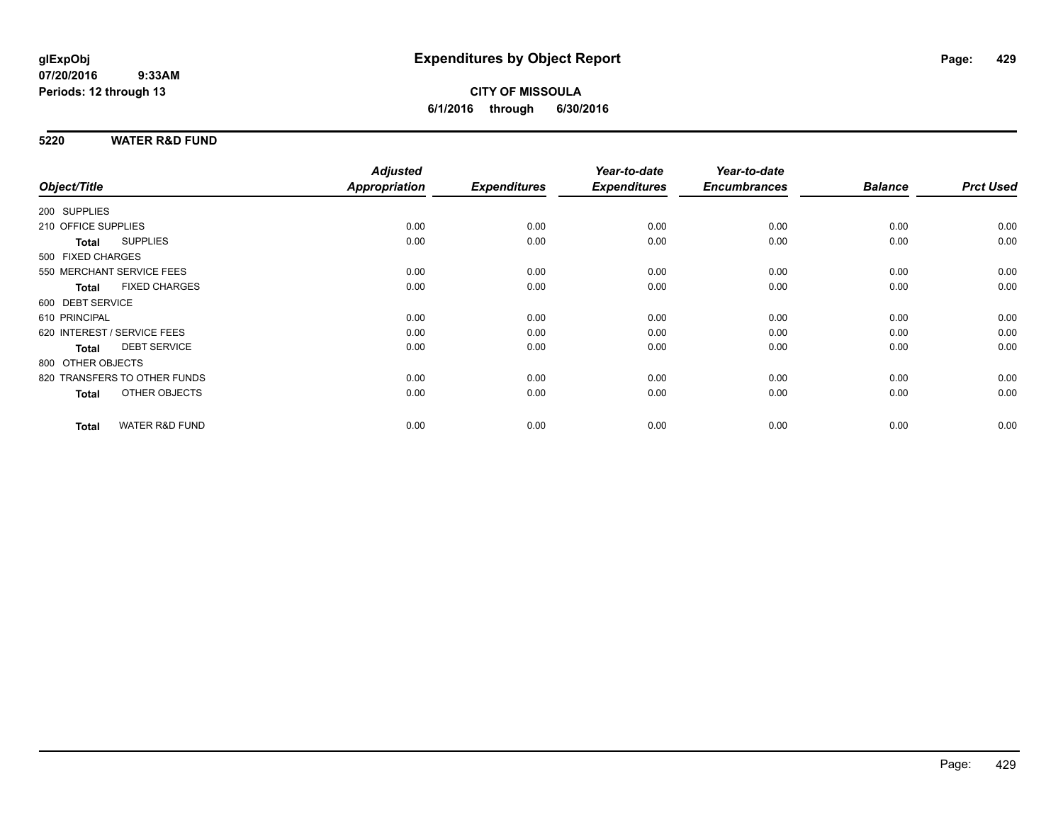### **CITY OF MISSOULA 6/1/2016 through 6/30/2016**

#### **5220 WATER R&D FUND**

|                                 |                           | <b>Adjusted</b> |                     | Year-to-date        | Year-to-date        |                |                  |
|---------------------------------|---------------------------|-----------------|---------------------|---------------------|---------------------|----------------|------------------|
| Object/Title                    |                           | Appropriation   | <b>Expenditures</b> | <b>Expenditures</b> | <b>Encumbrances</b> | <b>Balance</b> | <b>Prct Used</b> |
| 200 SUPPLIES                    |                           |                 |                     |                     |                     |                |                  |
| 210 OFFICE SUPPLIES             |                           | 0.00            | 0.00                | 0.00                | 0.00                | 0.00           | 0.00             |
| <b>SUPPLIES</b><br><b>Total</b> |                           | 0.00            | 0.00                | 0.00                | 0.00                | 0.00           | 0.00             |
| 500 FIXED CHARGES               |                           |                 |                     |                     |                     |                |                  |
| 550 MERCHANT SERVICE FEES       |                           | 0.00            | 0.00                | 0.00                | 0.00                | 0.00           | 0.00             |
| <b>Total</b>                    | <b>FIXED CHARGES</b>      | 0.00            | 0.00                | 0.00                | 0.00                | 0.00           | 0.00             |
| 600 DEBT SERVICE                |                           |                 |                     |                     |                     |                |                  |
| 610 PRINCIPAL                   |                           | 0.00            | 0.00                | 0.00                | 0.00                | 0.00           | 0.00             |
| 620 INTEREST / SERVICE FEES     |                           | 0.00            | 0.00                | 0.00                | 0.00                | 0.00           | 0.00             |
| <b>Total</b>                    | <b>DEBT SERVICE</b>       | 0.00            | 0.00                | 0.00                | 0.00                | 0.00           | 0.00             |
| 800 OTHER OBJECTS               |                           |                 |                     |                     |                     |                |                  |
| 820 TRANSFERS TO OTHER FUNDS    |                           | 0.00            | 0.00                | 0.00                | 0.00                | 0.00           | 0.00             |
| <b>Total</b>                    | OTHER OBJECTS             | 0.00            | 0.00                | 0.00                | 0.00                | 0.00           | 0.00             |
| <b>Total</b>                    | <b>WATER R&amp;D FUND</b> | 0.00            | 0.00                | 0.00                | 0.00                | 0.00           | 0.00             |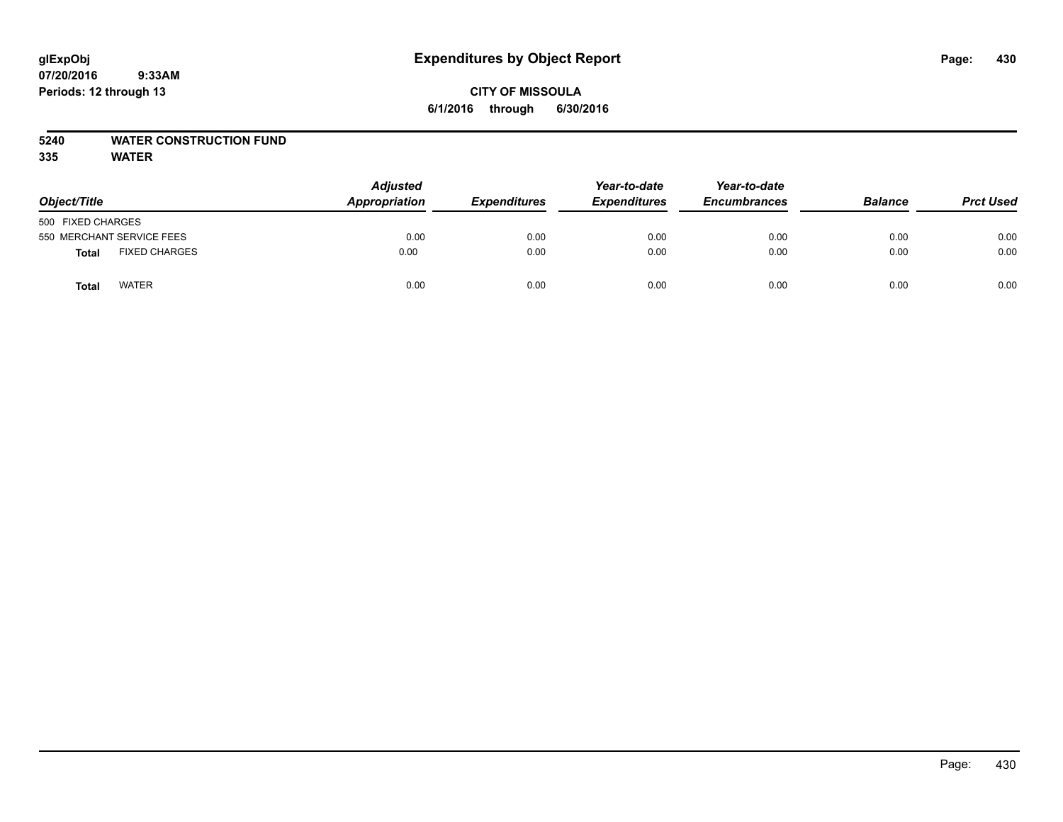### **CITY OF MISSOULA 6/1/2016 through 6/30/2016**

### **5240 WATER CONSTRUCTION FUND**

| Object/Title                         | <b>Adjusted</b><br>Appropriation | <b>Expenditures</b> | Year-to-date<br><b>Expenditures</b> | Year-to-date<br><b>Encumbrances</b> | <b>Balance</b> | <b>Prct Used</b> |
|--------------------------------------|----------------------------------|---------------------|-------------------------------------|-------------------------------------|----------------|------------------|
| 500 FIXED CHARGES                    |                                  |                     |                                     |                                     |                |                  |
| 550 MERCHANT SERVICE FEES            | 0.00                             | 0.00                | 0.00                                | 0.00                                | 0.00           | 0.00             |
| <b>FIXED CHARGES</b><br><b>Total</b> | 0.00                             | 0.00                | 0.00                                | 0.00                                | 0.00           | 0.00             |
| <b>WATER</b><br>Total                | 0.00                             | 0.00                | 0.00                                | 0.00                                | 0.00           | 0.00             |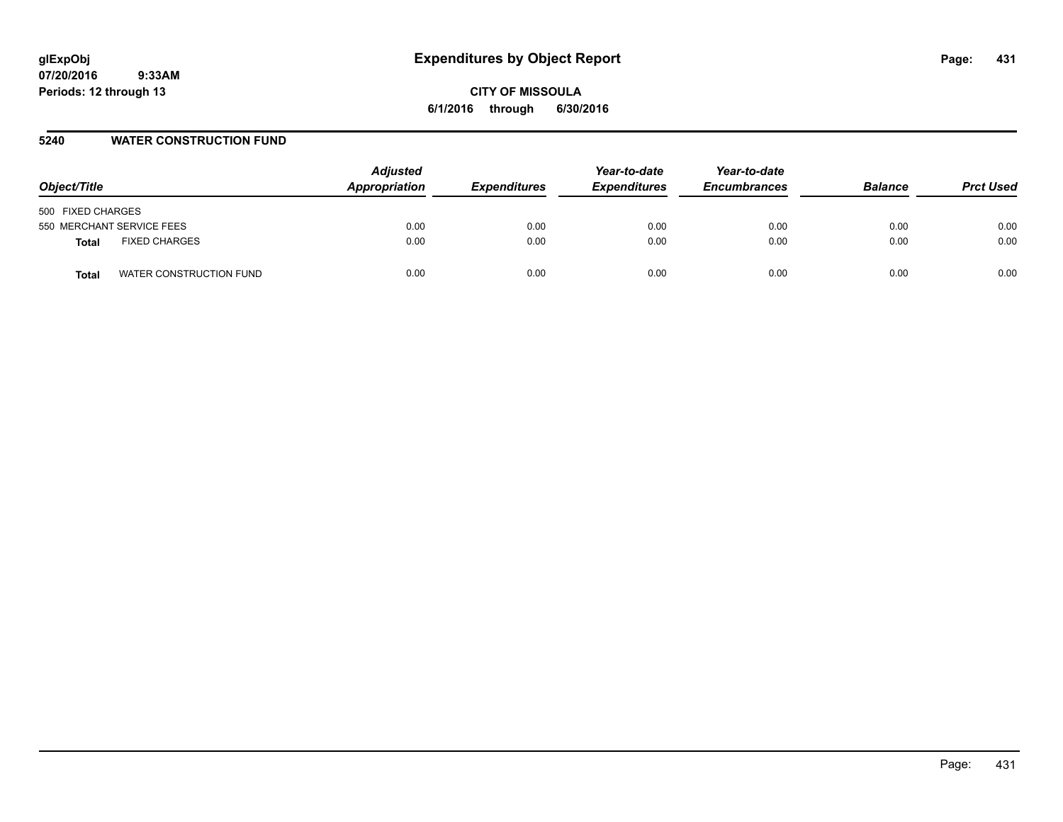# **glExpObj Expenditures by Object Report Page: 431**

**07/20/2016 9:33AM Periods: 12 through 13**

**CITY OF MISSOULA 6/1/2016 through 6/30/2016**

#### **5240 WATER CONSTRUCTION FUND**

| Object/Title                     | <b>Adjusted</b><br>Appropriation | <b>Expenditures</b> | Year-to-date<br><b>Expenditures</b> | Year-to-date<br><b>Encumbrances</b> | <b>Balance</b> | <b>Prct Used</b> |
|----------------------------------|----------------------------------|---------------------|-------------------------------------|-------------------------------------|----------------|------------------|
| 500 FIXED CHARGES                |                                  |                     |                                     |                                     |                |                  |
| 550 MERCHANT SERVICE FEES        | 0.00                             | 0.00                | 0.00                                | 0.00                                | 0.00           | 0.00             |
| <b>FIXED CHARGES</b><br>Total    | 0.00                             | 0.00                | 0.00                                | 0.00                                | 0.00           | 0.00             |
| WATER CONSTRUCTION FUND<br>Total | 0.00                             | 0.00                | 0.00                                | 0.00                                | 0.00           | 0.00             |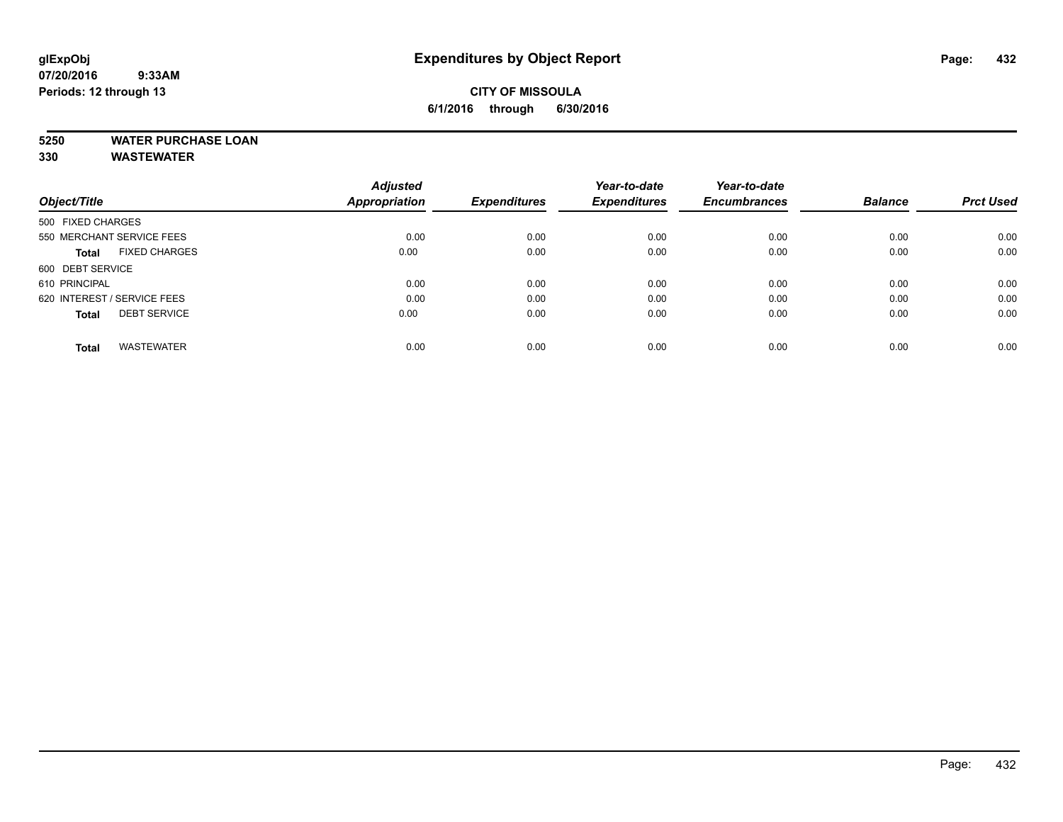### **CITY OF MISSOULA 6/1/2016 through 6/30/2016**

## **5250 WATER PURCHASE LOAN**

**330 WASTEWATER**

|                                      | <b>Adjusted</b>      |                     | Year-to-date        | Year-to-date        |                |                  |
|--------------------------------------|----------------------|---------------------|---------------------|---------------------|----------------|------------------|
| Object/Title                         | <b>Appropriation</b> | <b>Expenditures</b> | <b>Expenditures</b> | <b>Encumbrances</b> | <b>Balance</b> | <b>Prct Used</b> |
| 500 FIXED CHARGES                    |                      |                     |                     |                     |                |                  |
| 550 MERCHANT SERVICE FEES            | 0.00                 | 0.00                | 0.00                | 0.00                | 0.00           | 0.00             |
| <b>FIXED CHARGES</b><br><b>Total</b> | 0.00                 | 0.00                | 0.00                | 0.00                | 0.00           | 0.00             |
| 600 DEBT SERVICE                     |                      |                     |                     |                     |                |                  |
| 610 PRINCIPAL                        | 0.00                 | 0.00                | 0.00                | 0.00                | 0.00           | 0.00             |
| 620 INTEREST / SERVICE FEES          | 0.00                 | 0.00                | 0.00                | 0.00                | 0.00           | 0.00             |
| <b>DEBT SERVICE</b><br><b>Total</b>  | 0.00                 | 0.00                | 0.00                | 0.00                | 0.00           | 0.00             |
|                                      |                      |                     |                     |                     |                |                  |
| <b>WASTEWATER</b><br>Total           | 0.00                 | 0.00                | 0.00                | 0.00                | 0.00           | 0.00             |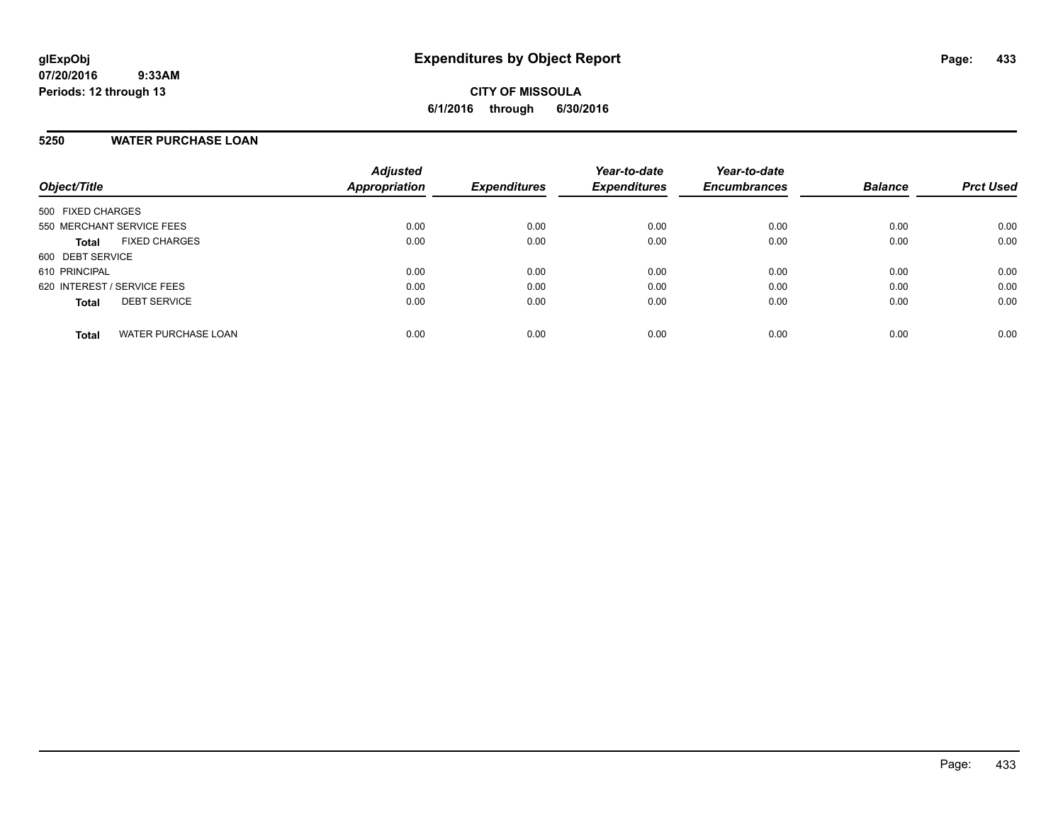# **5250 WATER PURCHASE LOAN**

| Object/Title                               | <b>Adjusted</b><br>Appropriation | <b>Expenditures</b> | Year-to-date<br><b>Expenditures</b> | Year-to-date<br><b>Encumbrances</b> | <b>Balance</b> | <b>Prct Used</b> |
|--------------------------------------------|----------------------------------|---------------------|-------------------------------------|-------------------------------------|----------------|------------------|
| 500 FIXED CHARGES                          |                                  |                     |                                     |                                     |                |                  |
| 550 MERCHANT SERVICE FEES                  | 0.00                             | 0.00                | 0.00                                | 0.00                                | 0.00           | 0.00             |
| <b>FIXED CHARGES</b><br><b>Total</b>       | 0.00                             | 0.00                | 0.00                                | 0.00                                | 0.00           | 0.00             |
| 600 DEBT SERVICE                           |                                  |                     |                                     |                                     |                |                  |
| 610 PRINCIPAL                              | 0.00                             | 0.00                | 0.00                                | 0.00                                | 0.00           | 0.00             |
| 620 INTEREST / SERVICE FEES                | 0.00                             | 0.00                | 0.00                                | 0.00                                | 0.00           | 0.00             |
| <b>DEBT SERVICE</b><br><b>Total</b>        | 0.00                             | 0.00                | 0.00                                | 0.00                                | 0.00           | 0.00             |
| <b>WATER PURCHASE LOAN</b><br><b>Total</b> | 0.00                             | 0.00                | 0.00                                | 0.00                                | 0.00           | 0.00             |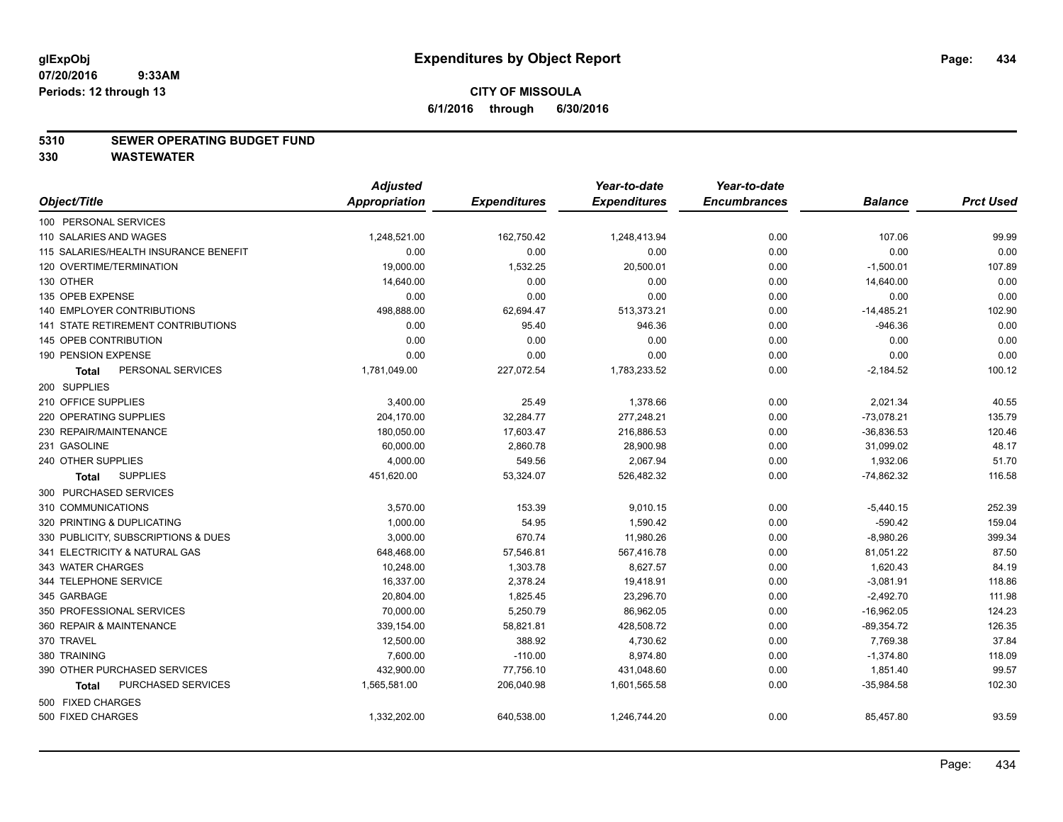#### **5310 SEWER OPERATING BUDGET FUND**

|                                       | <b>Adjusted</b> |                     | Year-to-date        | Year-to-date        |                |                  |
|---------------------------------------|-----------------|---------------------|---------------------|---------------------|----------------|------------------|
| Object/Title                          | Appropriation   | <b>Expenditures</b> | <b>Expenditures</b> | <b>Encumbrances</b> | <b>Balance</b> | <b>Prct Used</b> |
| 100 PERSONAL SERVICES                 |                 |                     |                     |                     |                |                  |
| 110 SALARIES AND WAGES                | 1,248,521.00    | 162,750.42          | 1,248,413.94        | 0.00                | 107.06         | 99.99            |
| 115 SALARIES/HEALTH INSURANCE BENEFIT | 0.00            | 0.00                | 0.00                | 0.00                | 0.00           | 0.00             |
| 120 OVERTIME/TERMINATION              | 19,000.00       | 1,532.25            | 20,500.01           | 0.00                | $-1,500.01$    | 107.89           |
| 130 OTHER                             | 14,640.00       | 0.00                | 0.00                | 0.00                | 14,640.00      | 0.00             |
| 135 OPEB EXPENSE                      | 0.00            | 0.00                | 0.00                | 0.00                | 0.00           | 0.00             |
| 140 EMPLOYER CONTRIBUTIONS            | 498,888.00      | 62,694.47           | 513,373.21          | 0.00                | $-14,485.21$   | 102.90           |
| 141 STATE RETIREMENT CONTRIBUTIONS    | 0.00            | 95.40               | 946.36              | 0.00                | $-946.36$      | 0.00             |
| 145 OPEB CONTRIBUTION                 | 0.00            | 0.00                | 0.00                | 0.00                | 0.00           | 0.00             |
| 190 PENSION EXPENSE                   | 0.00            | 0.00                | 0.00                | 0.00                | 0.00           | 0.00             |
| PERSONAL SERVICES<br><b>Total</b>     | 1,781,049.00    | 227,072.54          | 1,783,233.52        | 0.00                | $-2,184.52$    | 100.12           |
| 200 SUPPLIES                          |                 |                     |                     |                     |                |                  |
| 210 OFFICE SUPPLIES                   | 3,400.00        | 25.49               | 1,378.66            | 0.00                | 2,021.34       | 40.55            |
| 220 OPERATING SUPPLIES                | 204,170.00      | 32,284.77           | 277,248.21          | 0.00                | $-73,078.21$   | 135.79           |
| 230 REPAIR/MAINTENANCE                | 180,050.00      | 17,603.47           | 216,886.53          | 0.00                | $-36,836.53$   | 120.46           |
| 231 GASOLINE                          | 60,000.00       | 2,860.78            | 28,900.98           | 0.00                | 31,099.02      | 48.17            |
| 240 OTHER SUPPLIES                    | 4,000.00        | 549.56              | 2,067.94            | 0.00                | 1,932.06       | 51.70            |
| <b>SUPPLIES</b><br>Total              | 451,620.00      | 53,324.07           | 526,482.32          | 0.00                | $-74,862.32$   | 116.58           |
| 300 PURCHASED SERVICES                |                 |                     |                     |                     |                |                  |
| 310 COMMUNICATIONS                    | 3,570.00        | 153.39              | 9,010.15            | 0.00                | $-5,440.15$    | 252.39           |
| 320 PRINTING & DUPLICATING            | 1.000.00        | 54.95               | 1.590.42            | 0.00                | $-590.42$      | 159.04           |
| 330 PUBLICITY, SUBSCRIPTIONS & DUES   | 3,000.00        | 670.74              | 11,980.26           | 0.00                | $-8,980.26$    | 399.34           |
| 341 ELECTRICITY & NATURAL GAS         | 648,468.00      | 57,546.81           | 567,416.78          | 0.00                | 81,051.22      | 87.50            |
| 343 WATER CHARGES                     | 10,248.00       | 1,303.78            | 8,627.57            | 0.00                | 1,620.43       | 84.19            |
| 344 TELEPHONE SERVICE                 | 16.337.00       | 2,378.24            | 19,418.91           | 0.00                | $-3,081.91$    | 118.86           |
| 345 GARBAGE                           | 20,804.00       | 1,825.45            | 23,296.70           | 0.00                | $-2,492.70$    | 111.98           |
| 350 PROFESSIONAL SERVICES             | 70,000.00       | 5,250.79            | 86,962.05           | 0.00                | $-16,962.05$   | 124.23           |
| 360 REPAIR & MAINTENANCE              | 339,154.00      | 58,821.81           | 428.508.72          | 0.00                | $-89,354.72$   | 126.35           |
| 370 TRAVEL                            | 12,500.00       | 388.92              | 4,730.62            | 0.00                | 7,769.38       | 37.84            |
| 380 TRAINING                          | 7,600.00        | $-110.00$           | 8,974.80            | 0.00                | $-1,374.80$    | 118.09           |
| 390 OTHER PURCHASED SERVICES          | 432,900.00      | 77,756.10           | 431,048.60          | 0.00                | 1,851.40       | 99.57            |
| PURCHASED SERVICES<br><b>Total</b>    | 1,565,581.00    | 206,040.98          | 1,601,565.58        | 0.00                | $-35,984.58$   | 102.30           |
| 500 FIXED CHARGES                     |                 |                     |                     |                     |                |                  |
| 500 FIXED CHARGES                     | 1,332,202.00    | 640,538.00          | 1,246,744.20        | 0.00                | 85,457.80      | 93.59            |
|                                       |                 |                     |                     |                     |                |                  |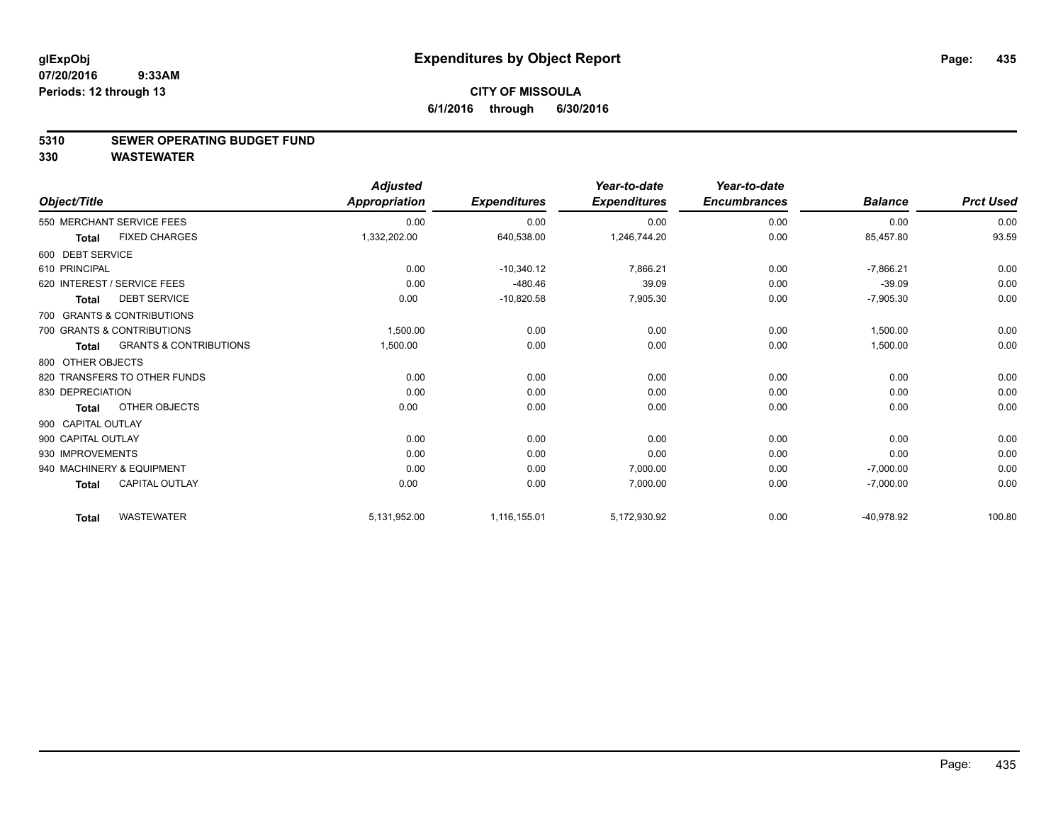#### **5310 SEWER OPERATING BUDGET FUND**

|                             |                                   | <b>Adjusted</b> |                     | Year-to-date        | Year-to-date        |                |                  |
|-----------------------------|-----------------------------------|-----------------|---------------------|---------------------|---------------------|----------------|------------------|
| Object/Title                |                                   | Appropriation   | <b>Expenditures</b> | <b>Expenditures</b> | <b>Encumbrances</b> | <b>Balance</b> | <b>Prct Used</b> |
|                             | 550 MERCHANT SERVICE FEES         | 0.00            | 0.00                | 0.00                | 0.00                | 0.00           | 0.00             |
| <b>Total</b>                | <b>FIXED CHARGES</b>              | 1,332,202.00    | 640,538.00          | 1,246,744.20        | 0.00                | 85,457.80      | 93.59            |
| 600 DEBT SERVICE            |                                   |                 |                     |                     |                     |                |                  |
| 610 PRINCIPAL               |                                   | 0.00            | $-10,340.12$        | 7,866.21            | 0.00                | $-7,866.21$    | 0.00             |
| 620 INTEREST / SERVICE FEES |                                   | 0.00            | $-480.46$           | 39.09               | 0.00                | $-39.09$       | 0.00             |
| <b>Total</b>                | <b>DEBT SERVICE</b>               | 0.00            | $-10,820.58$        | 7,905.30            | 0.00                | $-7,905.30$    | 0.00             |
|                             | 700 GRANTS & CONTRIBUTIONS        |                 |                     |                     |                     |                |                  |
|                             | 700 GRANTS & CONTRIBUTIONS        | 1,500.00        | 0.00                | 0.00                | 0.00                | 1,500.00       | 0.00             |
| <b>Total</b>                | <b>GRANTS &amp; CONTRIBUTIONS</b> | 1,500.00        | 0.00                | 0.00                | 0.00                | 1,500.00       | 0.00             |
| 800 OTHER OBJECTS           |                                   |                 |                     |                     |                     |                |                  |
|                             | 820 TRANSFERS TO OTHER FUNDS      | 0.00            | 0.00                | 0.00                | 0.00                | 0.00           | 0.00             |
| 830 DEPRECIATION            |                                   | 0.00            | 0.00                | 0.00                | 0.00                | 0.00           | 0.00             |
| <b>Total</b>                | OTHER OBJECTS                     | 0.00            | 0.00                | 0.00                | 0.00                | 0.00           | 0.00             |
| 900 CAPITAL OUTLAY          |                                   |                 |                     |                     |                     |                |                  |
| 900 CAPITAL OUTLAY          |                                   | 0.00            | 0.00                | 0.00                | 0.00                | 0.00           | 0.00             |
| 930 IMPROVEMENTS            |                                   | 0.00            | 0.00                | 0.00                | 0.00                | 0.00           | 0.00             |
|                             | 940 MACHINERY & EQUIPMENT         | 0.00            | 0.00                | 7,000.00            | 0.00                | $-7,000.00$    | 0.00             |
| <b>Total</b>                | CAPITAL OUTLAY                    | 0.00            | 0.00                | 7.000.00            | 0.00                | $-7,000.00$    | 0.00             |
| <b>Total</b>                | <b>WASTEWATER</b>                 | 5,131,952.00    | 1,116,155.01        | 5,172,930.92        | 0.00                | -40,978.92     | 100.80           |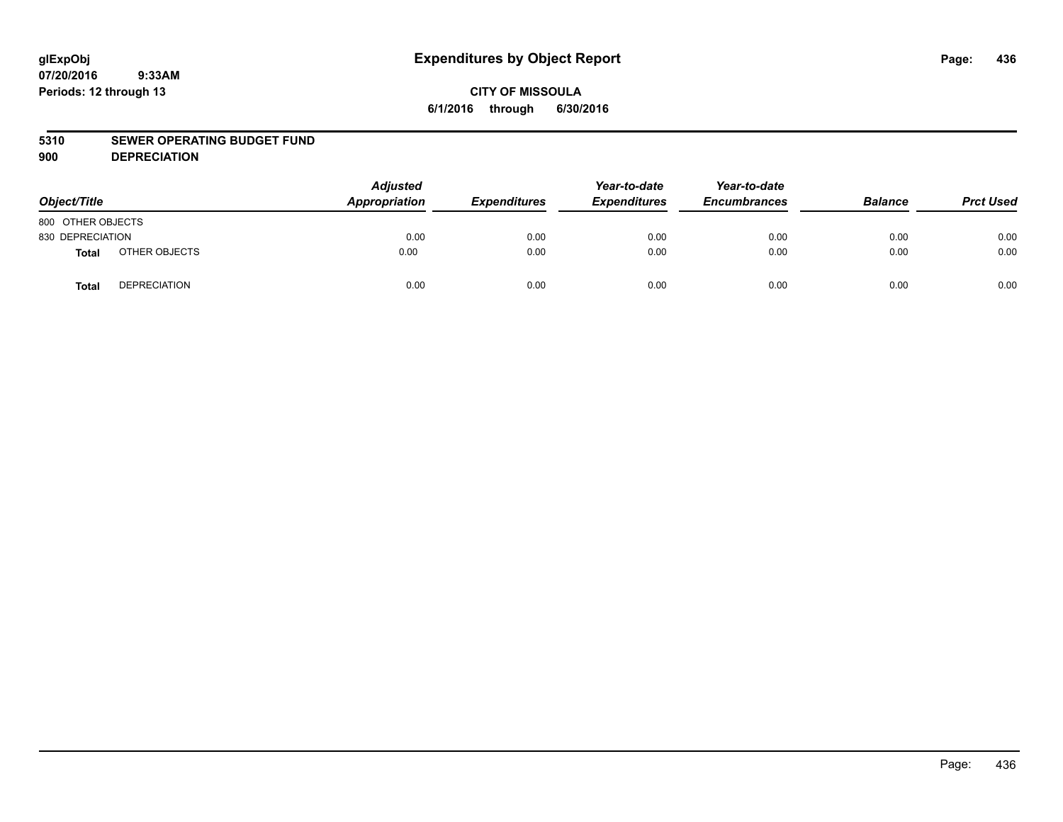# **CITY OF MISSOULA 6/1/2016 through 6/30/2016**

#### **5310 SEWER OPERATING BUDGET FUND**

**900 DEPRECIATION**

| Object/Title      |                     | <b>Adjusted</b><br>Appropriation | <b>Expenditures</b> | Year-to-date<br><b>Expenditures</b> | Year-to-date<br><b>Encumbrances</b> | <b>Balance</b> | <b>Prct Used</b> |
|-------------------|---------------------|----------------------------------|---------------------|-------------------------------------|-------------------------------------|----------------|------------------|
| 800 OTHER OBJECTS |                     |                                  |                     |                                     |                                     |                |                  |
| 830 DEPRECIATION  |                     | 0.00                             | 0.00                | 0.00                                | 0.00                                | 0.00           | 0.00             |
| <b>Total</b>      | OTHER OBJECTS       | 0.00                             | 0.00                | 0.00                                | 0.00                                | 0.00           | 0.00             |
| <b>Total</b>      | <b>DEPRECIATION</b> | 0.00                             | 0.00                | 0.00                                | 0.00                                | 0.00           | 0.00             |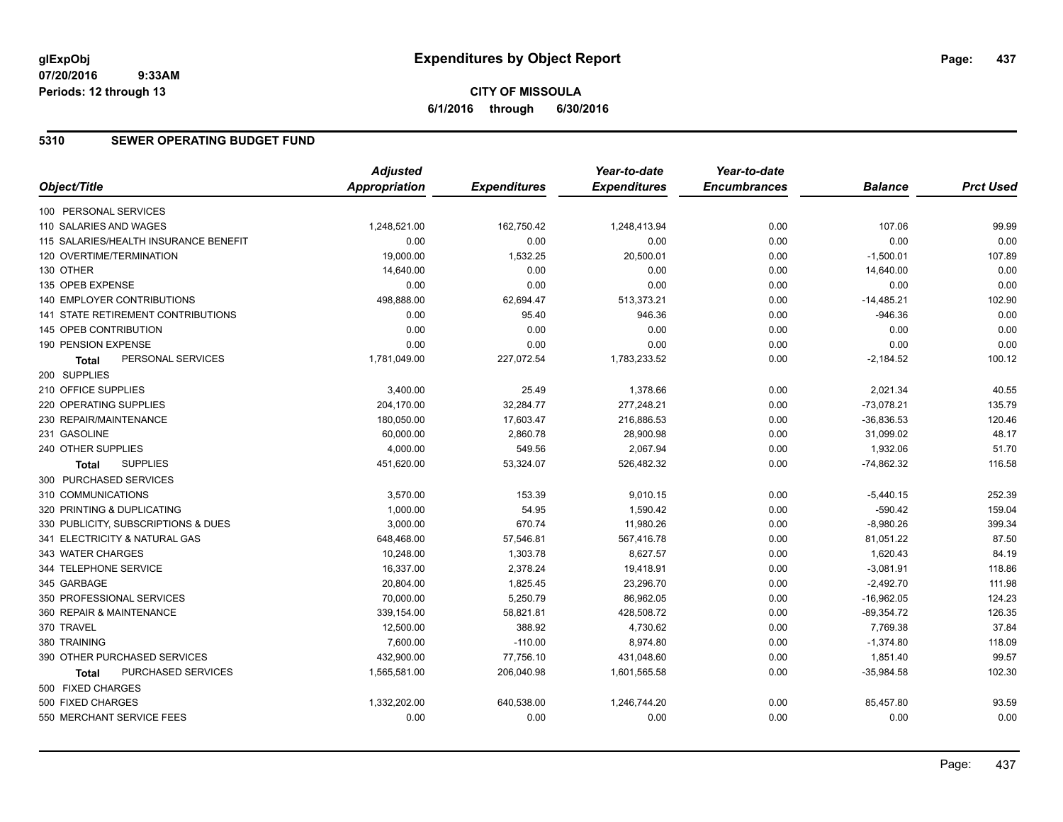# **CITY OF MISSOULA 6/1/2016 through 6/30/2016**

## **5310 SEWER OPERATING BUDGET FUND**

|                                       | <b>Adjusted</b>      |                     | Year-to-date        | Year-to-date        |                |                  |
|---------------------------------------|----------------------|---------------------|---------------------|---------------------|----------------|------------------|
| Object/Title                          | <b>Appropriation</b> | <b>Expenditures</b> | <b>Expenditures</b> | <b>Encumbrances</b> | <b>Balance</b> | <b>Prct Used</b> |
| 100 PERSONAL SERVICES                 |                      |                     |                     |                     |                |                  |
| 110 SALARIES AND WAGES                | 1,248,521.00         | 162,750.42          | 1,248,413.94        | 0.00                | 107.06         | 99.99            |
| 115 SALARIES/HEALTH INSURANCE BENEFIT | 0.00                 | 0.00                | 0.00                | 0.00                | 0.00           | 0.00             |
| 120 OVERTIME/TERMINATION              | 19,000.00            | 1,532.25            | 20,500.01           | 0.00                | $-1,500.01$    | 107.89           |
| 130 OTHER                             | 14,640.00            | 0.00                | 0.00                | 0.00                | 14,640.00      | 0.00             |
| 135 OPEB EXPENSE                      | 0.00                 | 0.00                | 0.00                | 0.00                | 0.00           | 0.00             |
| 140 EMPLOYER CONTRIBUTIONS            | 498,888.00           | 62,694.47           | 513,373.21          | 0.00                | $-14,485.21$   | 102.90           |
| 141 STATE RETIREMENT CONTRIBUTIONS    | 0.00                 | 95.40               | 946.36              | 0.00                | $-946.36$      | 0.00             |
| 145 OPEB CONTRIBUTION                 | 0.00                 | 0.00                | 0.00                | 0.00                | 0.00           | 0.00             |
| 190 PENSION EXPENSE                   | 0.00                 | 0.00                | 0.00                | 0.00                | 0.00           | 0.00             |
| PERSONAL SERVICES<br><b>Total</b>     | 1,781,049.00         | 227,072.54          | 1,783,233.52        | 0.00                | $-2,184.52$    | 100.12           |
| 200 SUPPLIES                          |                      |                     |                     |                     |                |                  |
| 210 OFFICE SUPPLIES                   | 3,400.00             | 25.49               | 1,378.66            | 0.00                | 2,021.34       | 40.55            |
| 220 OPERATING SUPPLIES                | 204,170.00           | 32,284.77           | 277,248.21          | 0.00                | $-73,078.21$   | 135.79           |
| 230 REPAIR/MAINTENANCE                | 180,050.00           | 17,603.47           | 216,886.53          | 0.00                | $-36,836.53$   | 120.46           |
| 231 GASOLINE                          | 60,000.00            | 2,860.78            | 28,900.98           | 0.00                | 31,099.02      | 48.17            |
| 240 OTHER SUPPLIES                    | 4,000.00             | 549.56              | 2,067.94            | 0.00                | 1,932.06       | 51.70            |
| <b>SUPPLIES</b><br>Total              | 451,620.00           | 53,324.07           | 526,482.32          | 0.00                | $-74,862.32$   | 116.58           |
| 300 PURCHASED SERVICES                |                      |                     |                     |                     |                |                  |
| 310 COMMUNICATIONS                    | 3,570.00             | 153.39              | 9,010.15            | 0.00                | $-5,440.15$    | 252.39           |
| 320 PRINTING & DUPLICATING            | 1,000.00             | 54.95               | 1,590.42            | 0.00                | $-590.42$      | 159.04           |
| 330 PUBLICITY, SUBSCRIPTIONS & DUES   | 3,000.00             | 670.74              | 11,980.26           | 0.00                | $-8,980.26$    | 399.34           |
| 341 ELECTRICITY & NATURAL GAS         | 648,468.00           | 57,546.81           | 567,416.78          | 0.00                | 81,051.22      | 87.50            |
| 343 WATER CHARGES                     | 10.248.00            | 1,303.78            | 8.627.57            | 0.00                | 1,620.43       | 84.19            |
| 344 TELEPHONE SERVICE                 | 16,337.00            | 2,378.24            | 19,418.91           | 0.00                | $-3,081.91$    | 118.86           |
| 345 GARBAGE                           | 20,804.00            | 1,825.45            | 23,296.70           | 0.00                | $-2,492.70$    | 111.98           |
| 350 PROFESSIONAL SERVICES             | 70,000.00            | 5,250.79            | 86,962.05           | 0.00                | $-16,962.05$   | 124.23           |
| 360 REPAIR & MAINTENANCE              | 339,154.00           | 58,821.81           | 428,508.72          | 0.00                | $-89,354.72$   | 126.35           |
| 370 TRAVEL                            | 12,500.00            | 388.92              | 4,730.62            | 0.00                | 7,769.38       | 37.84            |
| 380 TRAINING                          | 7,600.00             | $-110.00$           | 8,974.80            | 0.00                | $-1,374.80$    | 118.09           |
| 390 OTHER PURCHASED SERVICES          | 432,900.00           | 77,756.10           | 431,048.60          | 0.00                | 1,851.40       | 99.57            |
| PURCHASED SERVICES<br>Total           | 1,565,581.00         | 206,040.98          | 1,601,565.58        | 0.00                | $-35,984.58$   | 102.30           |
| 500 FIXED CHARGES                     |                      |                     |                     |                     |                |                  |
| 500 FIXED CHARGES                     | 1,332,202.00         | 640,538.00          | 1,246,744.20        | 0.00                | 85,457.80      | 93.59            |
| 550 MERCHANT SERVICE FEES             | 0.00                 | 0.00                | 0.00                | 0.00                | 0.00           | 0.00             |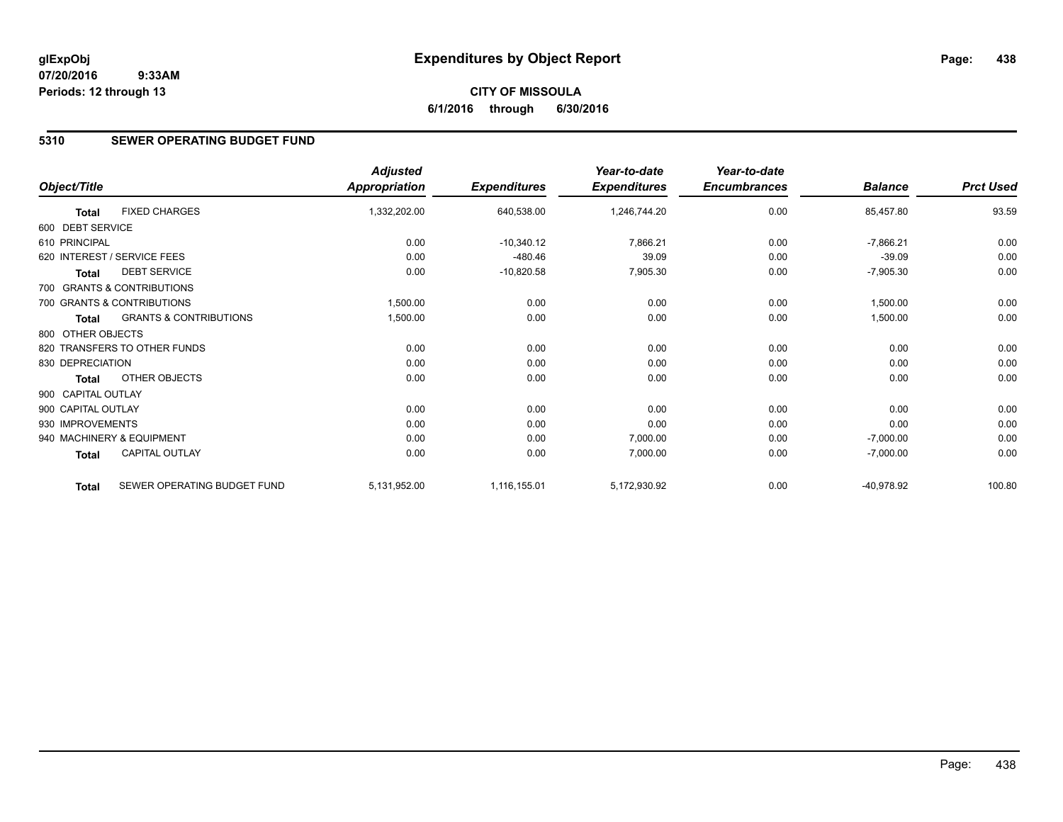# **5310 SEWER OPERATING BUDGET FUND**

|                    |                                   | <b>Adjusted</b> |                     | Year-to-date        | Year-to-date        |                |                  |
|--------------------|-----------------------------------|-----------------|---------------------|---------------------|---------------------|----------------|------------------|
| Object/Title       |                                   | Appropriation   | <b>Expenditures</b> | <b>Expenditures</b> | <b>Encumbrances</b> | <b>Balance</b> | <b>Prct Used</b> |
| <b>Total</b>       | <b>FIXED CHARGES</b>              | 1,332,202.00    | 640,538.00          | 1,246,744.20        | 0.00                | 85,457.80      | 93.59            |
| 600 DEBT SERVICE   |                                   |                 |                     |                     |                     |                |                  |
| 610 PRINCIPAL      |                                   | 0.00            | $-10,340.12$        | 7,866.21            | 0.00                | $-7,866.21$    | 0.00             |
|                    | 620 INTEREST / SERVICE FEES       | 0.00            | $-480.46$           | 39.09               | 0.00                | $-39.09$       | 0.00             |
| <b>Total</b>       | <b>DEBT SERVICE</b>               | 0.00            | $-10,820.58$        | 7,905.30            | 0.00                | $-7,905.30$    | 0.00             |
|                    | 700 GRANTS & CONTRIBUTIONS        |                 |                     |                     |                     |                |                  |
|                    | 700 GRANTS & CONTRIBUTIONS        | 1,500.00        | 0.00                | 0.00                | 0.00                | 1,500.00       | 0.00             |
| <b>Total</b>       | <b>GRANTS &amp; CONTRIBUTIONS</b> | 1,500.00        | 0.00                | 0.00                | 0.00                | 1,500.00       | 0.00             |
| 800 OTHER OBJECTS  |                                   |                 |                     |                     |                     |                |                  |
|                    | 820 TRANSFERS TO OTHER FUNDS      | 0.00            | 0.00                | 0.00                | 0.00                | 0.00           | 0.00             |
| 830 DEPRECIATION   |                                   | 0.00            | 0.00                | 0.00                | 0.00                | 0.00           | 0.00             |
| <b>Total</b>       | OTHER OBJECTS                     | 0.00            | 0.00                | 0.00                | 0.00                | 0.00           | 0.00             |
| 900 CAPITAL OUTLAY |                                   |                 |                     |                     |                     |                |                  |
| 900 CAPITAL OUTLAY |                                   | 0.00            | 0.00                | 0.00                | 0.00                | 0.00           | 0.00             |
| 930 IMPROVEMENTS   |                                   | 0.00            | 0.00                | 0.00                | 0.00                | 0.00           | 0.00             |
|                    | 940 MACHINERY & EQUIPMENT         | 0.00            | 0.00                | 7,000.00            | 0.00                | $-7,000.00$    | 0.00             |
| Total              | <b>CAPITAL OUTLAY</b>             | 0.00            | 0.00                | 7,000.00            | 0.00                | $-7,000.00$    | 0.00             |
| <b>Total</b>       | SEWER OPERATING BUDGET FUND       | 5,131,952.00    | 1,116,155.01        | 5,172,930.92        | 0.00                | $-40,978.92$   | 100.80           |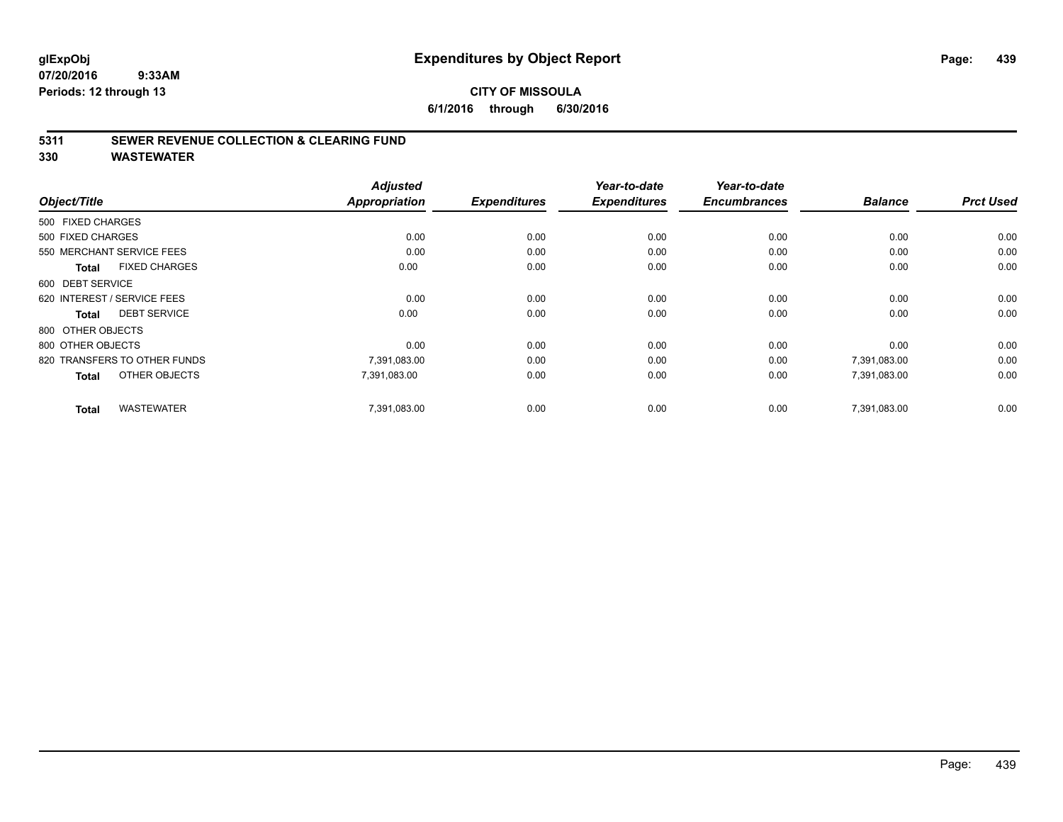#### **5311 SEWER REVENUE COLLECTION & CLEARING FUND**

| Object/Title                         | <b>Adjusted</b><br><b>Appropriation</b> | <b>Expenditures</b> | Year-to-date<br><b>Expenditures</b> | Year-to-date<br><b>Encumbrances</b> | <b>Balance</b> | <b>Prct Used</b> |
|--------------------------------------|-----------------------------------------|---------------------|-------------------------------------|-------------------------------------|----------------|------------------|
| 500 FIXED CHARGES                    |                                         |                     |                                     |                                     |                |                  |
| 500 FIXED CHARGES                    | 0.00                                    | 0.00                | 0.00                                | 0.00                                | 0.00           | 0.00             |
| 550 MERCHANT SERVICE FEES            | 0.00                                    | 0.00                | 0.00                                | 0.00                                | 0.00           | 0.00             |
| <b>FIXED CHARGES</b><br><b>Total</b> | 0.00                                    | 0.00                | 0.00                                | 0.00                                | 0.00           | 0.00             |
| 600 DEBT SERVICE                     |                                         |                     |                                     |                                     |                |                  |
| 620 INTEREST / SERVICE FEES          | 0.00                                    | 0.00                | 0.00                                | 0.00                                | 0.00           | 0.00             |
| <b>DEBT SERVICE</b><br><b>Total</b>  | 0.00                                    | 0.00                | 0.00                                | 0.00                                | 0.00           | 0.00             |
| 800 OTHER OBJECTS                    |                                         |                     |                                     |                                     |                |                  |
| 800 OTHER OBJECTS                    | 0.00                                    | 0.00                | 0.00                                | 0.00                                | 0.00           | 0.00             |
| 820 TRANSFERS TO OTHER FUNDS         | 7,391,083.00                            | 0.00                | 0.00                                | 0.00                                | 7,391,083.00   | 0.00             |
| OTHER OBJECTS<br><b>Total</b>        | 7,391,083.00                            | 0.00                | 0.00                                | 0.00                                | 7,391,083.00   | 0.00             |
| <b>WASTEWATER</b><br><b>Total</b>    | 7,391,083.00                            | 0.00                | 0.00                                | 0.00                                | 7,391,083.00   | 0.00             |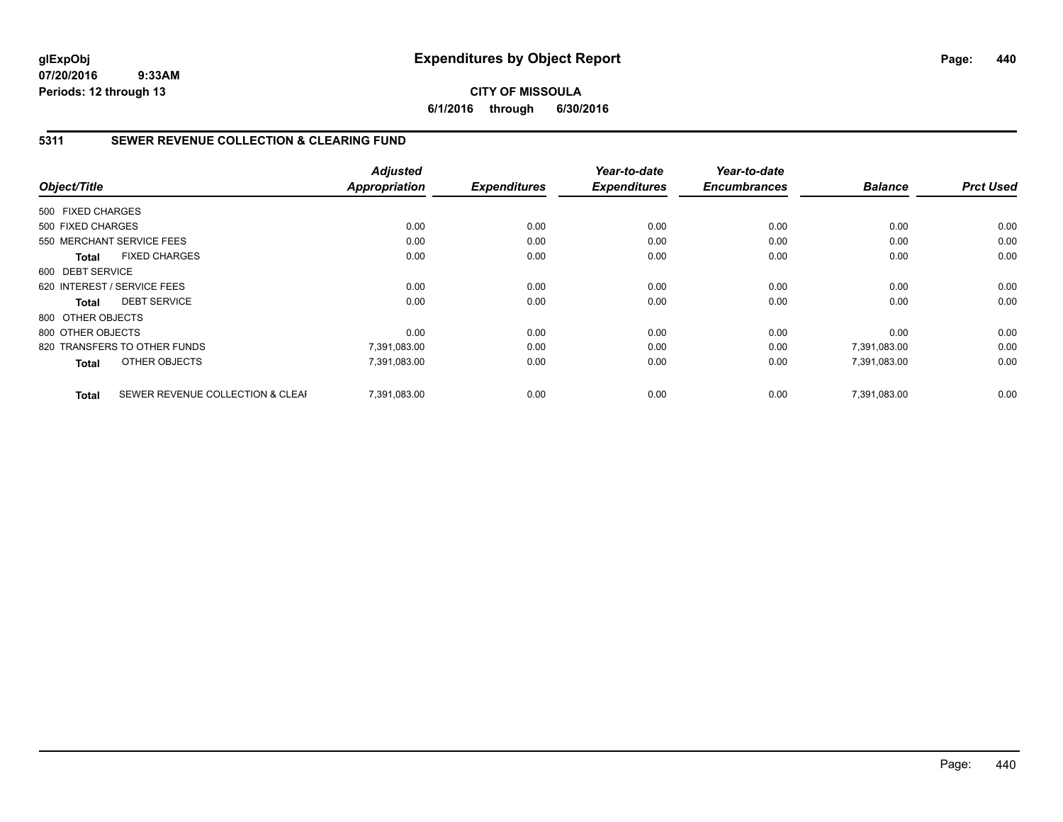# **CITY OF MISSOULA 6/1/2016 through 6/30/2016**

# **5311 SEWER REVENUE COLLECTION & CLEARING FUND**

|                   |                                  | <b>Adjusted</b>      |                     | Year-to-date        | Year-to-date        |                |                  |
|-------------------|----------------------------------|----------------------|---------------------|---------------------|---------------------|----------------|------------------|
| Object/Title      |                                  | <b>Appropriation</b> | <b>Expenditures</b> | <b>Expenditures</b> | <b>Encumbrances</b> | <b>Balance</b> | <b>Prct Used</b> |
| 500 FIXED CHARGES |                                  |                      |                     |                     |                     |                |                  |
| 500 FIXED CHARGES |                                  | 0.00                 | 0.00                | 0.00                | 0.00                | 0.00           | 0.00             |
|                   | 550 MERCHANT SERVICE FEES        | 0.00                 | 0.00                | 0.00                | 0.00                | 0.00           | 0.00             |
| <b>Total</b>      | <b>FIXED CHARGES</b>             | 0.00                 | 0.00                | 0.00                | 0.00                | 0.00           | 0.00             |
| 600 DEBT SERVICE  |                                  |                      |                     |                     |                     |                |                  |
|                   | 620 INTEREST / SERVICE FEES      | 0.00                 | 0.00                | 0.00                | 0.00                | 0.00           | 0.00             |
| <b>Total</b>      | <b>DEBT SERVICE</b>              | 0.00                 | 0.00                | 0.00                | 0.00                | 0.00           | 0.00             |
| 800 OTHER OBJECTS |                                  |                      |                     |                     |                     |                |                  |
| 800 OTHER OBJECTS |                                  | 0.00                 | 0.00                | 0.00                | 0.00                | 0.00           | 0.00             |
|                   | 820 TRANSFERS TO OTHER FUNDS     | 7,391,083.00         | 0.00                | 0.00                | 0.00                | 7,391,083.00   | 0.00             |
| <b>Total</b>      | OTHER OBJECTS                    | 7,391,083.00         | 0.00                | 0.00                | 0.00                | 7,391,083.00   | 0.00             |
| <b>Total</b>      | SEWER REVENUE COLLECTION & CLEAF | 7.391.083.00         | 0.00                | 0.00                | 0.00                | 7,391,083.00   | 0.00             |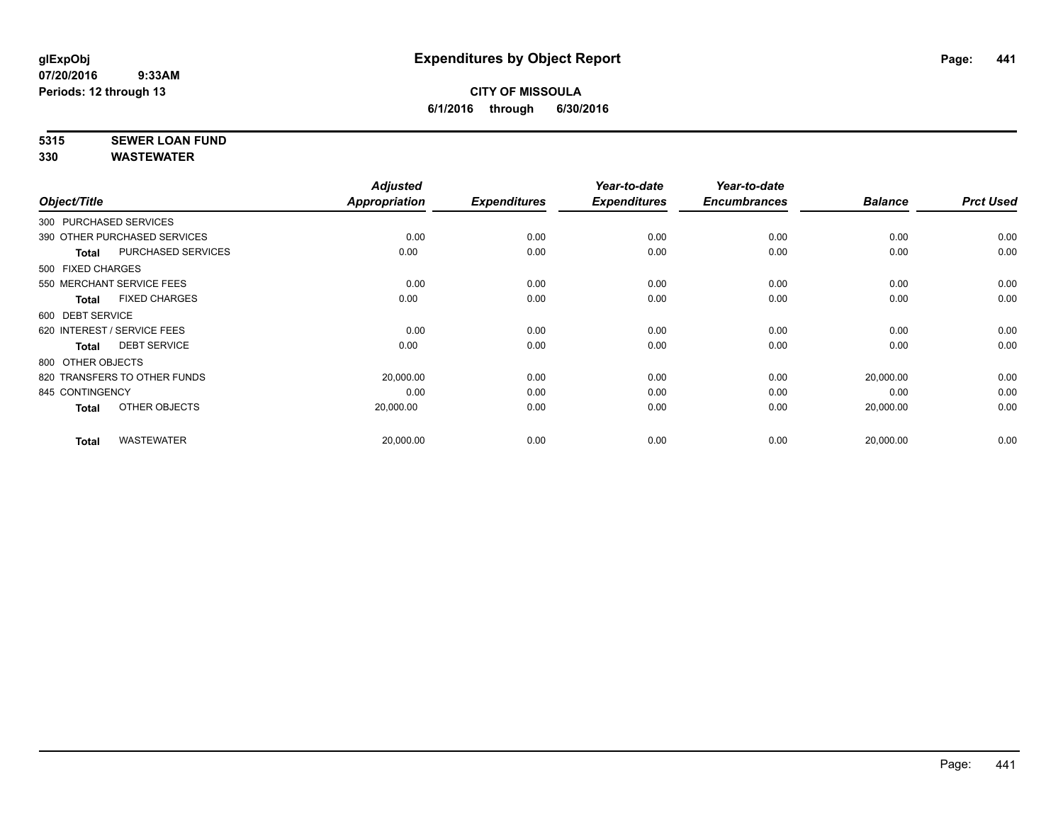# **5315 SEWER LOAN FUND**

|                        |                              | <b>Adjusted</b>      |                     | Year-to-date        | Year-to-date        |                |                  |
|------------------------|------------------------------|----------------------|---------------------|---------------------|---------------------|----------------|------------------|
| Object/Title           |                              | <b>Appropriation</b> | <b>Expenditures</b> | <b>Expenditures</b> | <b>Encumbrances</b> | <b>Balance</b> | <b>Prct Used</b> |
| 300 PURCHASED SERVICES |                              |                      |                     |                     |                     |                |                  |
|                        | 390 OTHER PURCHASED SERVICES | 0.00                 | 0.00                | 0.00                | 0.00                | 0.00           | 0.00             |
| <b>Total</b>           | <b>PURCHASED SERVICES</b>    | 0.00                 | 0.00                | 0.00                | 0.00                | 0.00           | 0.00             |
| 500 FIXED CHARGES      |                              |                      |                     |                     |                     |                |                  |
|                        | 550 MERCHANT SERVICE FEES    | 0.00                 | 0.00                | 0.00                | 0.00                | 0.00           | 0.00             |
| Total                  | <b>FIXED CHARGES</b>         | 0.00                 | 0.00                | 0.00                | 0.00                | 0.00           | 0.00             |
| 600 DEBT SERVICE       |                              |                      |                     |                     |                     |                |                  |
|                        | 620 INTEREST / SERVICE FEES  | 0.00                 | 0.00                | 0.00                | 0.00                | 0.00           | 0.00             |
| <b>Total</b>           | <b>DEBT SERVICE</b>          | 0.00                 | 0.00                | 0.00                | 0.00                | 0.00           | 0.00             |
| 800 OTHER OBJECTS      |                              |                      |                     |                     |                     |                |                  |
|                        | 820 TRANSFERS TO OTHER FUNDS | 20,000.00            | 0.00                | 0.00                | 0.00                | 20,000.00      | 0.00             |
| 845 CONTINGENCY        |                              | 0.00                 | 0.00                | 0.00                | 0.00                | 0.00           | 0.00             |
| <b>Total</b>           | OTHER OBJECTS                | 20,000.00            | 0.00                | 0.00                | 0.00                | 20,000.00      | 0.00             |
| <b>Total</b>           | <b>WASTEWATER</b>            | 20,000.00            | 0.00                | 0.00                | 0.00                | 20,000.00      | 0.00             |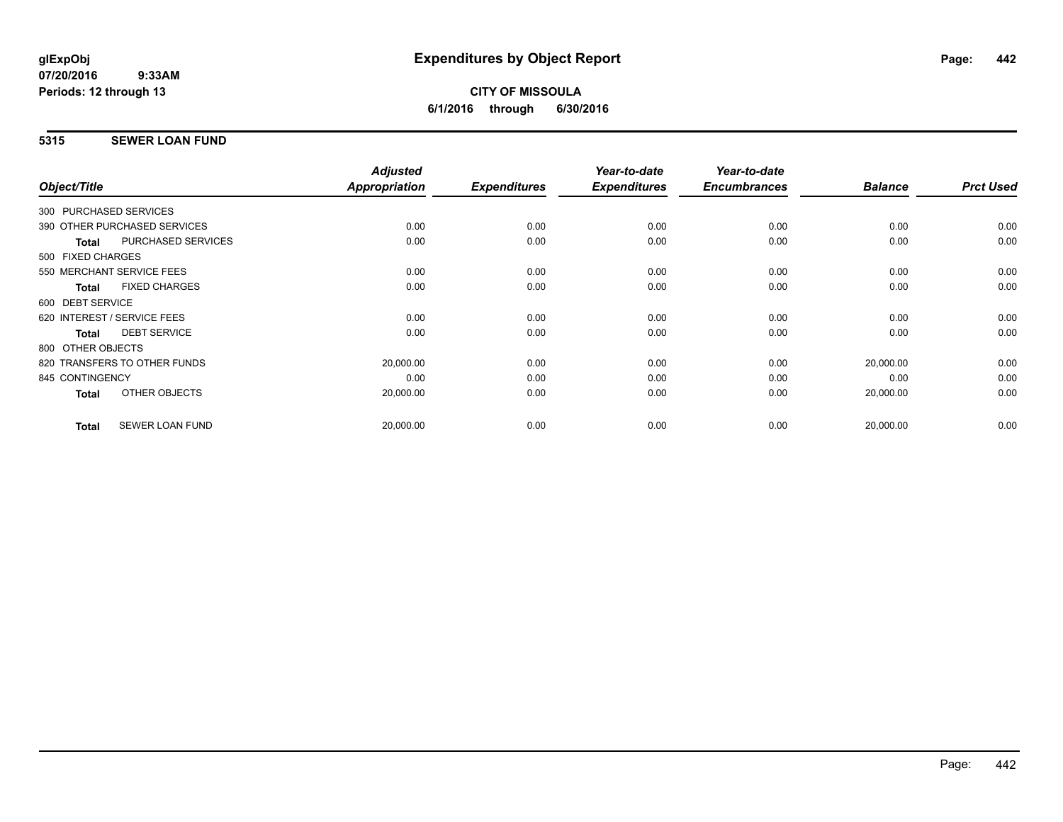# **CITY OF MISSOULA 6/1/2016 through 6/30/2016**

# **5315 SEWER LOAN FUND**

|                        |                              | <b>Adjusted</b> |                     | Year-to-date        | Year-to-date        |                |                  |
|------------------------|------------------------------|-----------------|---------------------|---------------------|---------------------|----------------|------------------|
| Object/Title           |                              | Appropriation   | <b>Expenditures</b> | <b>Expenditures</b> | <b>Encumbrances</b> | <b>Balance</b> | <b>Prct Used</b> |
| 300 PURCHASED SERVICES |                              |                 |                     |                     |                     |                |                  |
|                        | 390 OTHER PURCHASED SERVICES | 0.00            | 0.00                | 0.00                | 0.00                | 0.00           | 0.00             |
| <b>Total</b>           | PURCHASED SERVICES           | 0.00            | 0.00                | 0.00                | 0.00                | 0.00           | 0.00             |
| 500 FIXED CHARGES      |                              |                 |                     |                     |                     |                |                  |
|                        | 550 MERCHANT SERVICE FEES    | 0.00            | 0.00                | 0.00                | 0.00                | 0.00           | 0.00             |
| <b>Total</b>           | <b>FIXED CHARGES</b>         | 0.00            | 0.00                | 0.00                | 0.00                | 0.00           | 0.00             |
| 600 DEBT SERVICE       |                              |                 |                     |                     |                     |                |                  |
|                        | 620 INTEREST / SERVICE FEES  | 0.00            | 0.00                | 0.00                | 0.00                | 0.00           | 0.00             |
| <b>Total</b>           | <b>DEBT SERVICE</b>          | 0.00            | 0.00                | 0.00                | 0.00                | 0.00           | 0.00             |
| 800 OTHER OBJECTS      |                              |                 |                     |                     |                     |                |                  |
|                        | 820 TRANSFERS TO OTHER FUNDS | 20,000.00       | 0.00                | 0.00                | 0.00                | 20,000.00      | 0.00             |
| 845 CONTINGENCY        |                              | 0.00            | 0.00                | 0.00                | 0.00                | 0.00           | 0.00             |
| <b>Total</b>           | OTHER OBJECTS                | 20,000.00       | 0.00                | 0.00                | 0.00                | 20,000.00      | 0.00             |
| <b>Total</b>           | <b>SEWER LOAN FUND</b>       | 20,000.00       | 0.00                | 0.00                | 0.00                | 20,000.00      | 0.00             |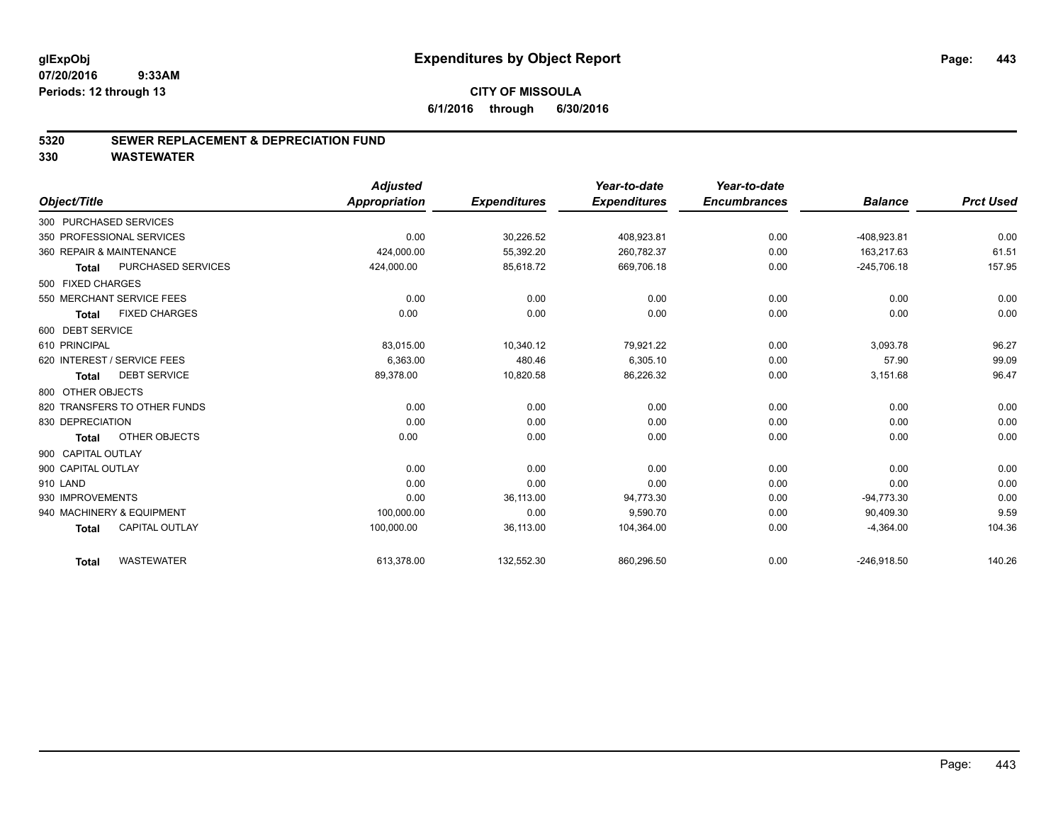#### **5320 SEWER REPLACEMENT & DEPRECIATION FUND**

|                                       | <b>Adjusted</b>      |                     | Year-to-date        | Year-to-date        |                |                  |
|---------------------------------------|----------------------|---------------------|---------------------|---------------------|----------------|------------------|
| Object/Title                          | <b>Appropriation</b> | <b>Expenditures</b> | <b>Expenditures</b> | <b>Encumbrances</b> | <b>Balance</b> | <b>Prct Used</b> |
| 300 PURCHASED SERVICES                |                      |                     |                     |                     |                |                  |
| 350 PROFESSIONAL SERVICES             | 0.00                 | 30,226.52           | 408,923.81          | 0.00                | -408,923.81    | 0.00             |
| 360 REPAIR & MAINTENANCE              | 424,000.00           | 55,392.20           | 260.782.37          | 0.00                | 163.217.63     | 61.51            |
| PURCHASED SERVICES<br><b>Total</b>    | 424,000.00           | 85,618.72           | 669,706.18          | 0.00                | $-245,706.18$  | 157.95           |
| 500 FIXED CHARGES                     |                      |                     |                     |                     |                |                  |
| 550 MERCHANT SERVICE FEES             | 0.00                 | 0.00                | 0.00                | 0.00                | 0.00           | 0.00             |
| <b>FIXED CHARGES</b><br><b>Total</b>  | 0.00                 | 0.00                | 0.00                | 0.00                | 0.00           | 0.00             |
| 600 DEBT SERVICE                      |                      |                     |                     |                     |                |                  |
| 610 PRINCIPAL                         | 83,015.00            | 10,340.12           | 79,921.22           | 0.00                | 3,093.78       | 96.27            |
| 620 INTEREST / SERVICE FEES           | 6,363.00             | 480.46              | 6,305.10            | 0.00                | 57.90          | 99.09            |
| <b>DEBT SERVICE</b><br><b>Total</b>   | 89,378.00            | 10,820.58           | 86,226.32           | 0.00                | 3,151.68       | 96.47            |
| 800 OTHER OBJECTS                     |                      |                     |                     |                     |                |                  |
| 820 TRANSFERS TO OTHER FUNDS          | 0.00                 | 0.00                | 0.00                | 0.00                | 0.00           | 0.00             |
| 830 DEPRECIATION                      | 0.00                 | 0.00                | 0.00                | 0.00                | 0.00           | 0.00             |
| OTHER OBJECTS<br><b>Total</b>         | 0.00                 | 0.00                | 0.00                | 0.00                | 0.00           | 0.00             |
| 900 CAPITAL OUTLAY                    |                      |                     |                     |                     |                |                  |
| 900 CAPITAL OUTLAY                    | 0.00                 | 0.00                | 0.00                | 0.00                | 0.00           | 0.00             |
| 910 LAND                              | 0.00                 | 0.00                | 0.00                | 0.00                | 0.00           | 0.00             |
| 930 IMPROVEMENTS                      | 0.00                 | 36,113.00           | 94,773.30           | 0.00                | $-94,773.30$   | 0.00             |
| 940 MACHINERY & EQUIPMENT             | 100,000.00           | 0.00                | 9,590.70            | 0.00                | 90,409.30      | 9.59             |
| <b>CAPITAL OUTLAY</b><br><b>Total</b> | 100,000.00           | 36,113.00           | 104,364.00          | 0.00                | $-4,364.00$    | 104.36           |
| <b>WASTEWATER</b><br><b>Total</b>     | 613,378.00           | 132,552.30          | 860,296.50          | 0.00                | $-246,918.50$  | 140.26           |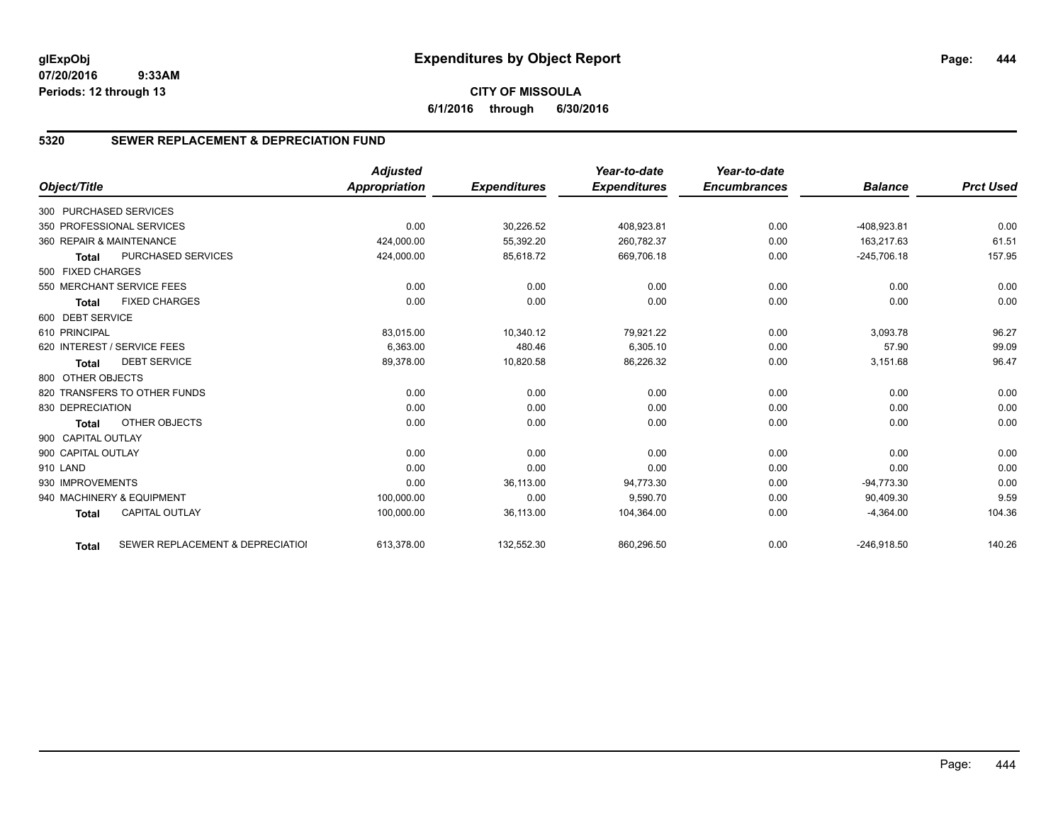# **5320 SEWER REPLACEMENT & DEPRECIATION FUND**

|                        |                                  | <b>Adjusted</b>      |                     | Year-to-date        | Year-to-date        |                |                  |
|------------------------|----------------------------------|----------------------|---------------------|---------------------|---------------------|----------------|------------------|
| Object/Title           |                                  | <b>Appropriation</b> | <b>Expenditures</b> | <b>Expenditures</b> | <b>Encumbrances</b> | <b>Balance</b> | <b>Prct Used</b> |
| 300 PURCHASED SERVICES |                                  |                      |                     |                     |                     |                |                  |
|                        | 350 PROFESSIONAL SERVICES        | 0.00                 | 30,226.52           | 408,923.81          | 0.00                | -408,923.81    | 0.00             |
|                        | 360 REPAIR & MAINTENANCE         | 424,000.00           | 55,392.20           | 260,782.37          | 0.00                | 163.217.63     | 61.51            |
| <b>Total</b>           | <b>PURCHASED SERVICES</b>        | 424,000.00           | 85,618.72           | 669,706.18          | 0.00                | $-245,706.18$  | 157.95           |
| 500 FIXED CHARGES      |                                  |                      |                     |                     |                     |                |                  |
|                        | 550 MERCHANT SERVICE FEES        | 0.00                 | 0.00                | 0.00                | 0.00                | 0.00           | 0.00             |
| <b>Total</b>           | <b>FIXED CHARGES</b>             | 0.00                 | 0.00                | 0.00                | 0.00                | 0.00           | 0.00             |
| 600 DEBT SERVICE       |                                  |                      |                     |                     |                     |                |                  |
| 610 PRINCIPAL          |                                  | 83,015.00            | 10,340.12           | 79,921.22           | 0.00                | 3,093.78       | 96.27            |
|                        | 620 INTEREST / SERVICE FEES      | 6,363.00             | 480.46              | 6,305.10            | 0.00                | 57.90          | 99.09            |
| <b>Total</b>           | <b>DEBT SERVICE</b>              | 89,378.00            | 10,820.58           | 86,226.32           | 0.00                | 3,151.68       | 96.47            |
| 800 OTHER OBJECTS      |                                  |                      |                     |                     |                     |                |                  |
|                        | 820 TRANSFERS TO OTHER FUNDS     | 0.00                 | 0.00                | 0.00                | 0.00                | 0.00           | 0.00             |
| 830 DEPRECIATION       |                                  | 0.00                 | 0.00                | 0.00                | 0.00                | 0.00           | 0.00             |
| <b>Total</b>           | OTHER OBJECTS                    | 0.00                 | 0.00                | 0.00                | 0.00                | 0.00           | 0.00             |
| 900 CAPITAL OUTLAY     |                                  |                      |                     |                     |                     |                |                  |
| 900 CAPITAL OUTLAY     |                                  | 0.00                 | 0.00                | 0.00                | 0.00                | 0.00           | 0.00             |
| 910 LAND               |                                  | 0.00                 | 0.00                | 0.00                | 0.00                | 0.00           | 0.00             |
| 930 IMPROVEMENTS       |                                  | 0.00                 | 36,113.00           | 94,773.30           | 0.00                | $-94,773.30$   | 0.00             |
|                        | 940 MACHINERY & EQUIPMENT        | 100,000.00           | 0.00                | 9.590.70            | 0.00                | 90,409.30      | 9.59             |
| <b>Total</b>           | <b>CAPITAL OUTLAY</b>            | 100,000.00           | 36,113.00           | 104,364.00          | 0.00                | $-4,364.00$    | 104.36           |
| <b>Total</b>           | SEWER REPLACEMENT & DEPRECIATION | 613,378.00           | 132,552.30          | 860,296.50          | 0.00                | $-246,918.50$  | 140.26           |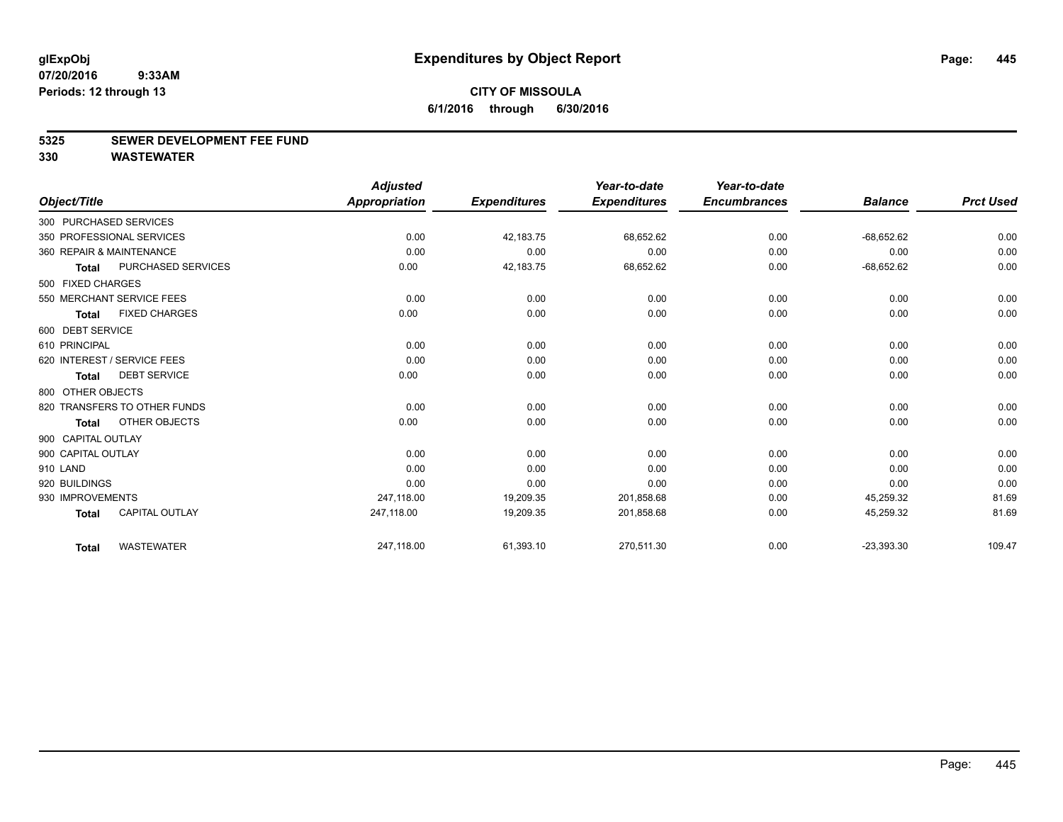#### **5325 SEWER DEVELOPMENT FEE FUND**

|                    |                              | <b>Adjusted</b>      |                     | Year-to-date        | Year-to-date        |                |                  |
|--------------------|------------------------------|----------------------|---------------------|---------------------|---------------------|----------------|------------------|
| Object/Title       |                              | <b>Appropriation</b> | <b>Expenditures</b> | <b>Expenditures</b> | <b>Encumbrances</b> | <b>Balance</b> | <b>Prct Used</b> |
|                    | 300 PURCHASED SERVICES       |                      |                     |                     |                     |                |                  |
|                    | 350 PROFESSIONAL SERVICES    | 0.00                 | 42,183.75           | 68,652.62           | 0.00                | $-68,652.62$   | 0.00             |
|                    | 360 REPAIR & MAINTENANCE     | 0.00                 | 0.00                | 0.00                | 0.00                | 0.00           | 0.00             |
| <b>Total</b>       | PURCHASED SERVICES           | 0.00                 | 42,183.75           | 68,652.62           | 0.00                | $-68,652.62$   | 0.00             |
| 500 FIXED CHARGES  |                              |                      |                     |                     |                     |                |                  |
|                    | 550 MERCHANT SERVICE FEES    | 0.00                 | 0.00                | 0.00                | 0.00                | 0.00           | 0.00             |
| <b>Total</b>       | <b>FIXED CHARGES</b>         | 0.00                 | 0.00                | 0.00                | 0.00                | 0.00           | 0.00             |
| 600 DEBT SERVICE   |                              |                      |                     |                     |                     |                |                  |
| 610 PRINCIPAL      |                              | 0.00                 | 0.00                | 0.00                | 0.00                | 0.00           | 0.00             |
|                    | 620 INTEREST / SERVICE FEES  | 0.00                 | 0.00                | 0.00                | 0.00                | 0.00           | 0.00             |
| <b>Total</b>       | <b>DEBT SERVICE</b>          | 0.00                 | 0.00                | 0.00                | 0.00                | 0.00           | 0.00             |
| 800 OTHER OBJECTS  |                              |                      |                     |                     |                     |                |                  |
|                    | 820 TRANSFERS TO OTHER FUNDS | 0.00                 | 0.00                | 0.00                | 0.00                | 0.00           | 0.00             |
| <b>Total</b>       | OTHER OBJECTS                | 0.00                 | 0.00                | 0.00                | 0.00                | 0.00           | 0.00             |
| 900 CAPITAL OUTLAY |                              |                      |                     |                     |                     |                |                  |
| 900 CAPITAL OUTLAY |                              | 0.00                 | 0.00                | 0.00                | 0.00                | 0.00           | 0.00             |
| 910 LAND           |                              | 0.00                 | 0.00                | 0.00                | 0.00                | 0.00           | 0.00             |
| 920 BUILDINGS      |                              | 0.00                 | 0.00                | 0.00                | 0.00                | 0.00           | 0.00             |
| 930 IMPROVEMENTS   |                              | 247,118.00           | 19,209.35           | 201,858.68          | 0.00                | 45,259.32      | 81.69            |
| <b>Total</b>       | <b>CAPITAL OUTLAY</b>        | 247,118.00           | 19,209.35           | 201,858.68          | 0.00                | 45,259.32      | 81.69            |
| <b>Total</b>       | <b>WASTEWATER</b>            | 247,118.00           | 61,393.10           | 270,511.30          | 0.00                | $-23,393.30$   | 109.47           |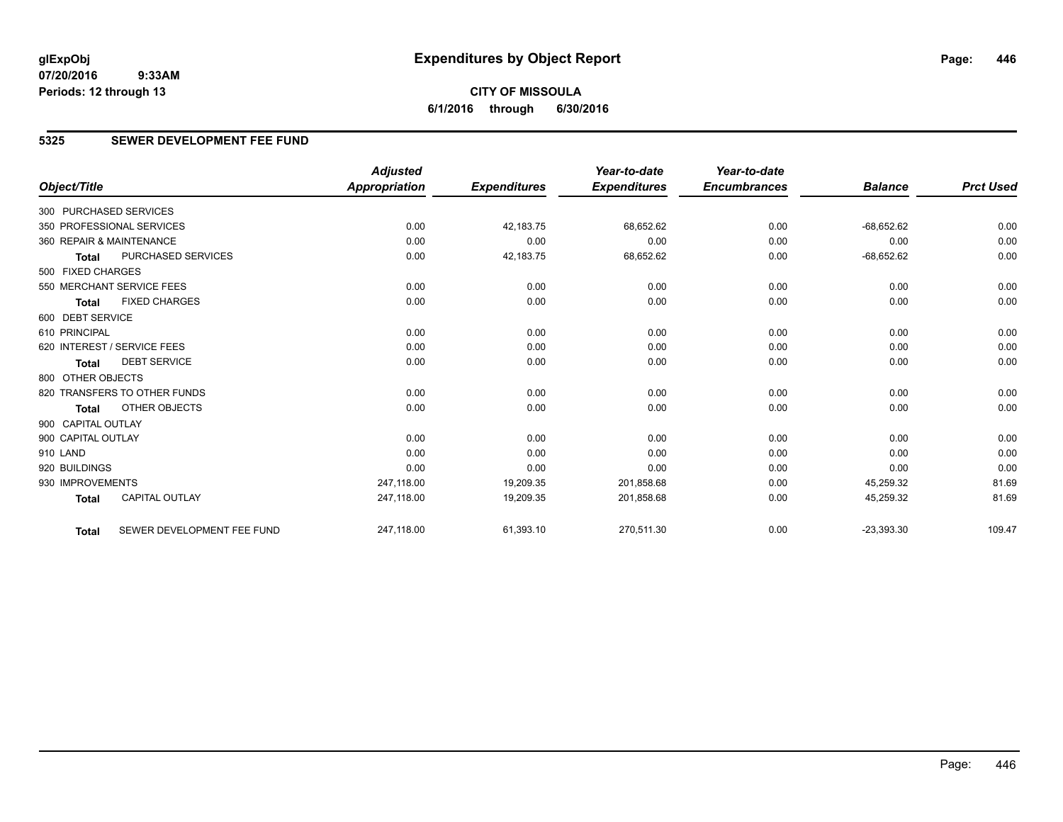**6/1/2016 through 6/30/2016**

## **5325 SEWER DEVELOPMENT FEE FUND**

|                        |                              | <b>Adjusted</b>      |                     | Year-to-date        | Year-to-date        |                |                  |
|------------------------|------------------------------|----------------------|---------------------|---------------------|---------------------|----------------|------------------|
| Object/Title           |                              | <b>Appropriation</b> | <b>Expenditures</b> | <b>Expenditures</b> | <b>Encumbrances</b> | <b>Balance</b> | <b>Prct Used</b> |
| 300 PURCHASED SERVICES |                              |                      |                     |                     |                     |                |                  |
|                        | 350 PROFESSIONAL SERVICES    | 0.00                 | 42,183.75           | 68,652.62           | 0.00                | $-68,652.62$   | 0.00             |
|                        | 360 REPAIR & MAINTENANCE     | 0.00                 | 0.00                | 0.00                | 0.00                | 0.00           | 0.00             |
| <b>Total</b>           | PURCHASED SERVICES           | 0.00                 | 42,183.75           | 68,652.62           | 0.00                | $-68,652.62$   | 0.00             |
| 500 FIXED CHARGES      |                              |                      |                     |                     |                     |                |                  |
|                        | 550 MERCHANT SERVICE FEES    | 0.00                 | 0.00                | 0.00                | 0.00                | 0.00           | 0.00             |
| <b>Total</b>           | <b>FIXED CHARGES</b>         | 0.00                 | 0.00                | 0.00                | 0.00                | 0.00           | 0.00             |
| 600 DEBT SERVICE       |                              |                      |                     |                     |                     |                |                  |
| 610 PRINCIPAL          |                              | 0.00                 | 0.00                | 0.00                | 0.00                | 0.00           | 0.00             |
|                        | 620 INTEREST / SERVICE FEES  | 0.00                 | 0.00                | 0.00                | 0.00                | 0.00           | 0.00             |
| <b>Total</b>           | <b>DEBT SERVICE</b>          | 0.00                 | 0.00                | 0.00                | 0.00                | 0.00           | 0.00             |
| 800 OTHER OBJECTS      |                              |                      |                     |                     |                     |                |                  |
|                        | 820 TRANSFERS TO OTHER FUNDS | 0.00                 | 0.00                | 0.00                | 0.00                | 0.00           | 0.00             |
| <b>Total</b>           | <b>OTHER OBJECTS</b>         | 0.00                 | 0.00                | 0.00                | 0.00                | 0.00           | 0.00             |
| 900 CAPITAL OUTLAY     |                              |                      |                     |                     |                     |                |                  |
| 900 CAPITAL OUTLAY     |                              | 0.00                 | 0.00                | 0.00                | 0.00                | 0.00           | 0.00             |
| 910 LAND               |                              | 0.00                 | 0.00                | 0.00                | 0.00                | 0.00           | 0.00             |
| 920 BUILDINGS          |                              | 0.00                 | 0.00                | 0.00                | 0.00                | 0.00           | 0.00             |
| 930 IMPROVEMENTS       |                              | 247,118.00           | 19,209.35           | 201,858.68          | 0.00                | 45,259.32      | 81.69            |
| <b>Total</b>           | <b>CAPITAL OUTLAY</b>        | 247,118.00           | 19,209.35           | 201,858.68          | 0.00                | 45,259.32      | 81.69            |
| <b>Total</b>           | SEWER DEVELOPMENT FEE FUND   | 247,118.00           | 61,393.10           | 270,511.30          | 0.00                | $-23,393.30$   | 109.47           |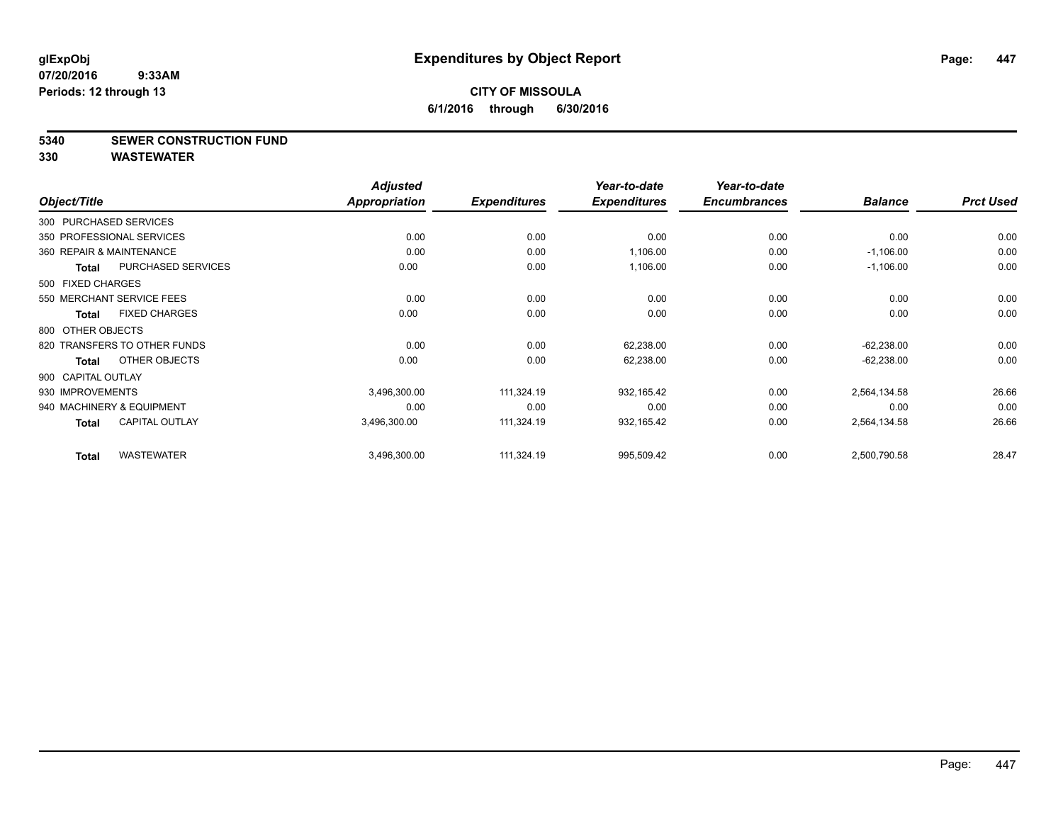#### **5340 SEWER CONSTRUCTION FUND**

| Object/Title       |                              | <b>Adjusted</b><br><b>Appropriation</b> | <b>Expenditures</b> | Year-to-date<br><b>Expenditures</b> | Year-to-date<br><b>Encumbrances</b> | <b>Balance</b> | <b>Prct Used</b> |
|--------------------|------------------------------|-----------------------------------------|---------------------|-------------------------------------|-------------------------------------|----------------|------------------|
|                    | 300 PURCHASED SERVICES       |                                         |                     |                                     |                                     |                |                  |
|                    | 350 PROFESSIONAL SERVICES    | 0.00                                    | 0.00                | 0.00                                | 0.00                                | 0.00           | 0.00             |
|                    | 360 REPAIR & MAINTENANCE     | 0.00                                    | 0.00                | 1,106.00                            | 0.00                                | $-1,106.00$    | 0.00             |
| Total              | PURCHASED SERVICES           | 0.00                                    | 0.00                | 1,106.00                            | 0.00                                | $-1,106.00$    | 0.00             |
| 500 FIXED CHARGES  |                              |                                         |                     |                                     |                                     |                |                  |
|                    | 550 MERCHANT SERVICE FEES    | 0.00                                    | 0.00                | 0.00                                | 0.00                                | 0.00           | 0.00             |
| <b>Total</b>       | <b>FIXED CHARGES</b>         | 0.00                                    | 0.00                | 0.00                                | 0.00                                | 0.00           | 0.00             |
| 800 OTHER OBJECTS  |                              |                                         |                     |                                     |                                     |                |                  |
|                    | 820 TRANSFERS TO OTHER FUNDS | 0.00                                    | 0.00                | 62,238.00                           | 0.00                                | $-62,238.00$   | 0.00             |
| <b>Total</b>       | OTHER OBJECTS                | 0.00                                    | 0.00                | 62,238.00                           | 0.00                                | $-62,238.00$   | 0.00             |
| 900 CAPITAL OUTLAY |                              |                                         |                     |                                     |                                     |                |                  |
| 930 IMPROVEMENTS   |                              | 3,496,300.00                            | 111,324.19          | 932,165.42                          | 0.00                                | 2,564,134.58   | 26.66            |
|                    | 940 MACHINERY & EQUIPMENT    | 0.00                                    | 0.00                | 0.00                                | 0.00                                | 0.00           | 0.00             |
| <b>Total</b>       | <b>CAPITAL OUTLAY</b>        | 3,496,300.00                            | 111,324.19          | 932,165.42                          | 0.00                                | 2,564,134.58   | 26.66            |
| <b>Total</b>       | <b>WASTEWATER</b>            | 3,496,300.00                            | 111,324.19          | 995,509.42                          | 0.00                                | 2,500,790.58   | 28.47            |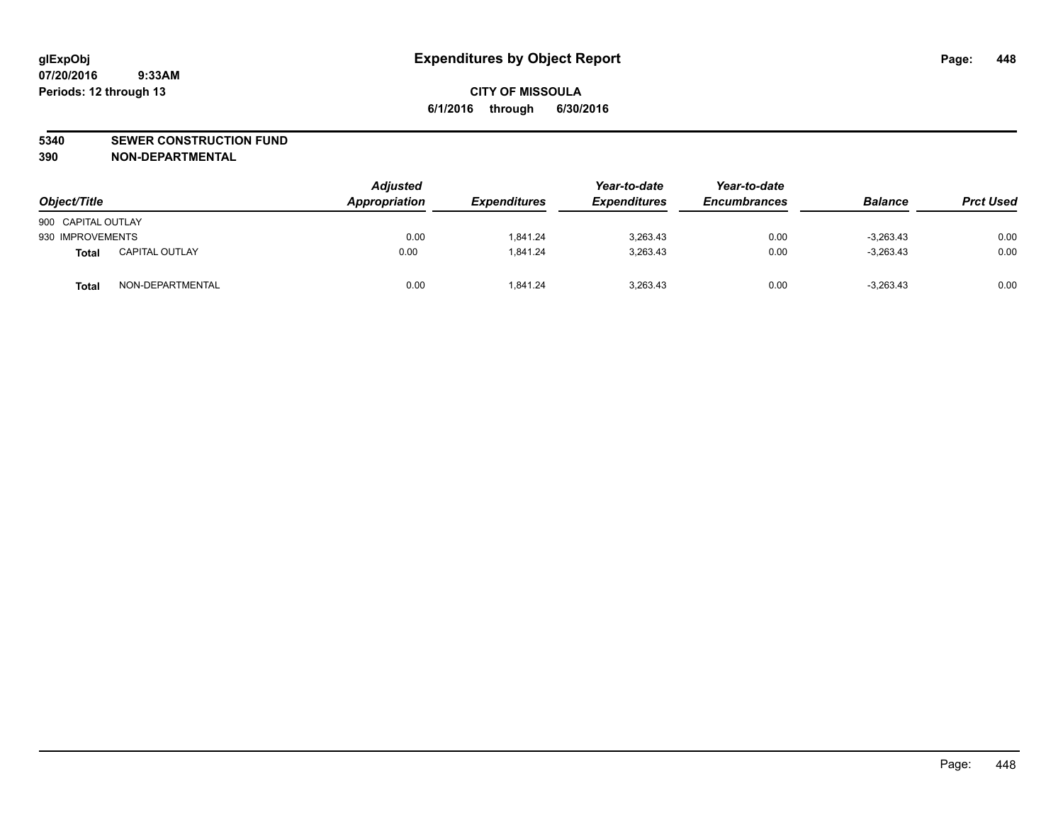#### **5340 SEWER CONSTRUCTION FUND**

**390 NON-DEPARTMENTAL**

| Object/Title       |                       | <b>Adjusted</b><br>Appropriation | <b>Expenditures</b> | Year-to-date<br><b>Expenditures</b> | Year-to-date<br><b>Encumbrances</b> | <b>Balance</b> | <b>Prct Used</b> |
|--------------------|-----------------------|----------------------------------|---------------------|-------------------------------------|-------------------------------------|----------------|------------------|
| 900 CAPITAL OUTLAY |                       |                                  |                     |                                     |                                     |                |                  |
| 930 IMPROVEMENTS   |                       | 0.00                             | 1.841.24            | 3,263.43                            | 0.00                                | $-3,263.43$    | 0.00             |
| Total              | <b>CAPITAL OUTLAY</b> | 0.00                             | 1.841.24            | 3,263.43                            | 0.00                                | $-3,263.43$    | 0.00             |
| <b>Total</b>       | NON-DEPARTMENTAL      | 0.00                             | 1.841.24            | 3,263.43                            | 0.00                                | $-3.263.43$    | 0.00             |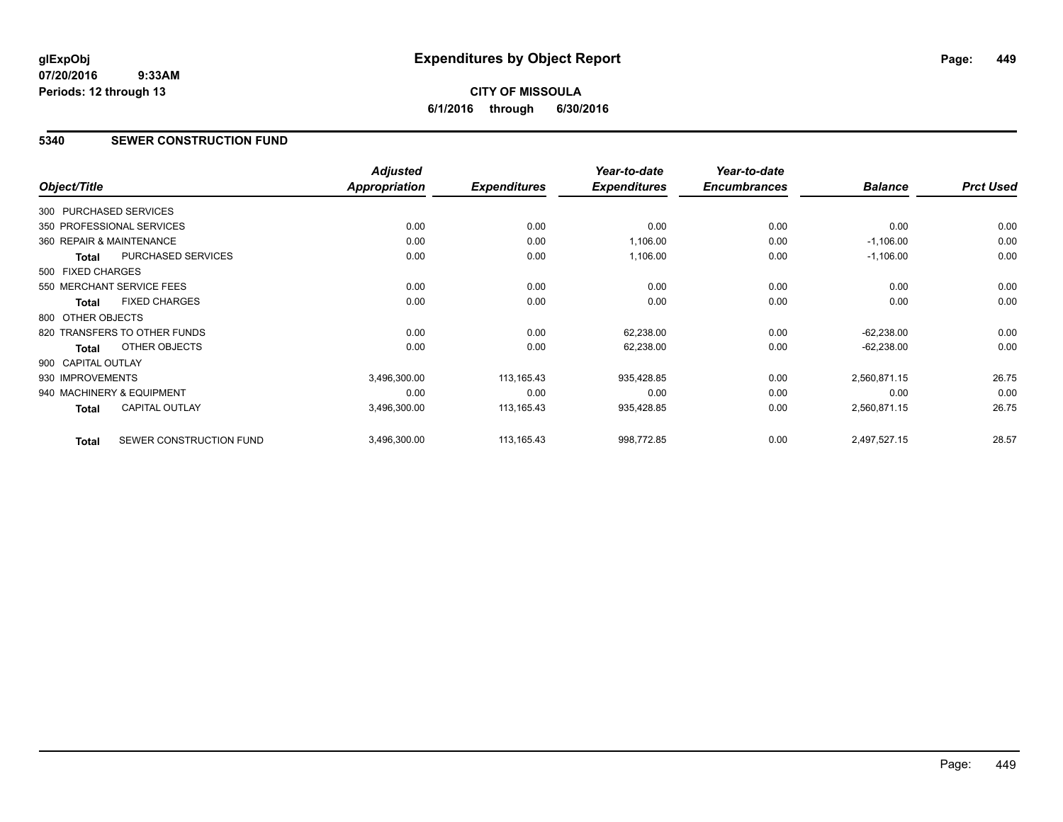# **CITY OF MISSOULA 6/1/2016 through 6/30/2016**

#### **5340 SEWER CONSTRUCTION FUND**

|                    |                              | <b>Adjusted</b>      |                     | Year-to-date        | Year-to-date        |                |                  |
|--------------------|------------------------------|----------------------|---------------------|---------------------|---------------------|----------------|------------------|
| Object/Title       |                              | <b>Appropriation</b> | <b>Expenditures</b> | <b>Expenditures</b> | <b>Encumbrances</b> | <b>Balance</b> | <b>Prct Used</b> |
|                    | 300 PURCHASED SERVICES       |                      |                     |                     |                     |                |                  |
|                    | 350 PROFESSIONAL SERVICES    | 0.00                 | 0.00                | 0.00                | 0.00                | 0.00           | 0.00             |
|                    | 360 REPAIR & MAINTENANCE     | 0.00                 | 0.00                | 1,106.00            | 0.00                | $-1,106.00$    | 0.00             |
| <b>Total</b>       | PURCHASED SERVICES           | 0.00                 | 0.00                | 1,106.00            | 0.00                | $-1,106.00$    | 0.00             |
| 500 FIXED CHARGES  |                              |                      |                     |                     |                     |                |                  |
|                    | 550 MERCHANT SERVICE FEES    | 0.00                 | 0.00                | 0.00                | 0.00                | 0.00           | 0.00             |
| Total              | <b>FIXED CHARGES</b>         | 0.00                 | 0.00                | 0.00                | 0.00                | 0.00           | 0.00             |
| 800 OTHER OBJECTS  |                              |                      |                     |                     |                     |                |                  |
|                    | 820 TRANSFERS TO OTHER FUNDS | 0.00                 | 0.00                | 62,238.00           | 0.00                | $-62,238.00$   | 0.00             |
| Total              | OTHER OBJECTS                | 0.00                 | 0.00                | 62,238.00           | 0.00                | $-62,238.00$   | 0.00             |
| 900 CAPITAL OUTLAY |                              |                      |                     |                     |                     |                |                  |
| 930 IMPROVEMENTS   |                              | 3,496,300.00         | 113,165.43          | 935,428.85          | 0.00                | 2,560,871.15   | 26.75            |
|                    | 940 MACHINERY & EQUIPMENT    | 0.00                 | 0.00                | 0.00                | 0.00                | 0.00           | 0.00             |
| <b>Total</b>       | <b>CAPITAL OUTLAY</b>        | 3,496,300.00         | 113,165.43          | 935,428.85          | 0.00                | 2,560,871.15   | 26.75            |
| <b>Total</b>       | SEWER CONSTRUCTION FUND      | 3,496,300.00         | 113,165.43          | 998,772.85          | 0.00                | 2,497,527.15   | 28.57            |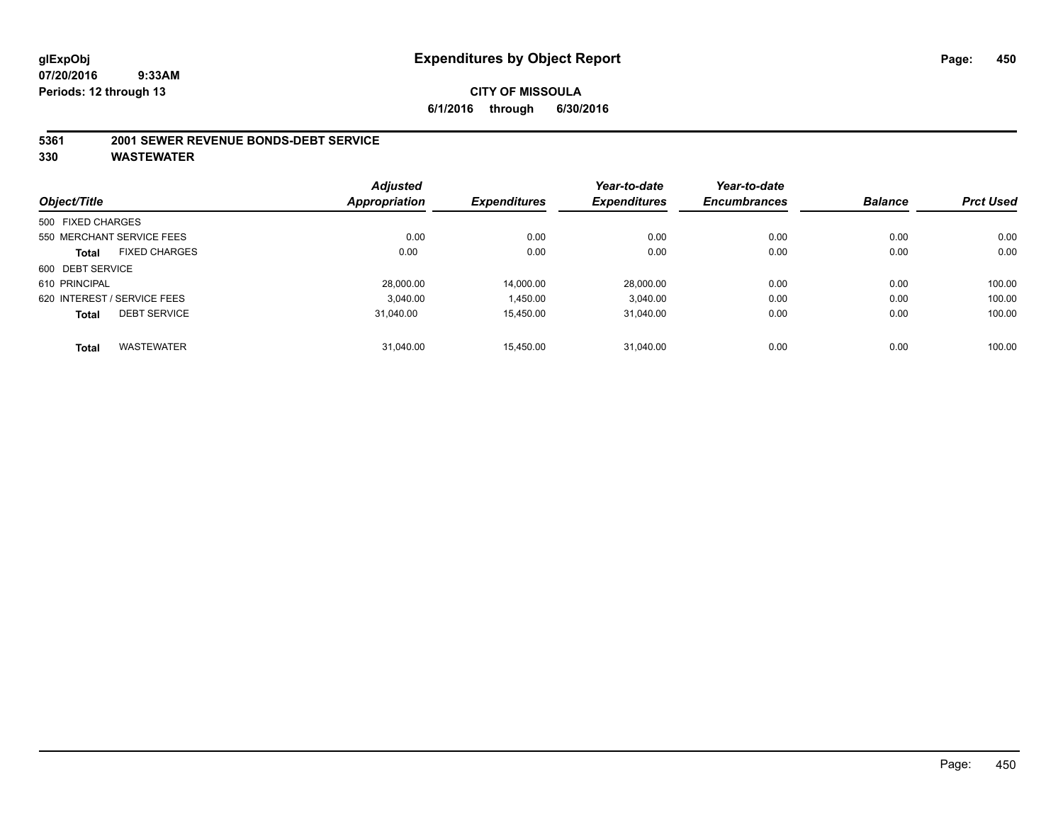#### **5361 2001 SEWER REVENUE BONDS-DEBT SERVICE**

|                   |                             | <b>Adjusted</b>      |                     | Year-to-date        | Year-to-date        |                |                  |
|-------------------|-----------------------------|----------------------|---------------------|---------------------|---------------------|----------------|------------------|
| Object/Title      |                             | <b>Appropriation</b> | <b>Expenditures</b> | <b>Expenditures</b> | <b>Encumbrances</b> | <b>Balance</b> | <b>Prct Used</b> |
| 500 FIXED CHARGES |                             |                      |                     |                     |                     |                |                  |
|                   | 550 MERCHANT SERVICE FEES   | 0.00                 | 0.00                | 0.00                | 0.00                | 0.00           | 0.00             |
| <b>Total</b>      | <b>FIXED CHARGES</b>        | 0.00                 | 0.00                | 0.00                | 0.00                | 0.00           | 0.00             |
| 600 DEBT SERVICE  |                             |                      |                     |                     |                     |                |                  |
| 610 PRINCIPAL     |                             | 28.000.00            | 14,000.00           | 28.000.00           | 0.00                | 0.00           | 100.00           |
|                   | 620 INTEREST / SERVICE FEES | 3,040.00             | 1,450.00            | 3,040.00            | 0.00                | 0.00           | 100.00           |
| <b>Total</b>      | <b>DEBT SERVICE</b>         | 31.040.00            | 15.450.00           | 31.040.00           | 0.00                | 0.00           | 100.00           |
| <b>Total</b>      | <b>WASTEWATER</b>           | 31,040.00            | 15.450.00           | 31.040.00           | 0.00                | 0.00           | 100.00           |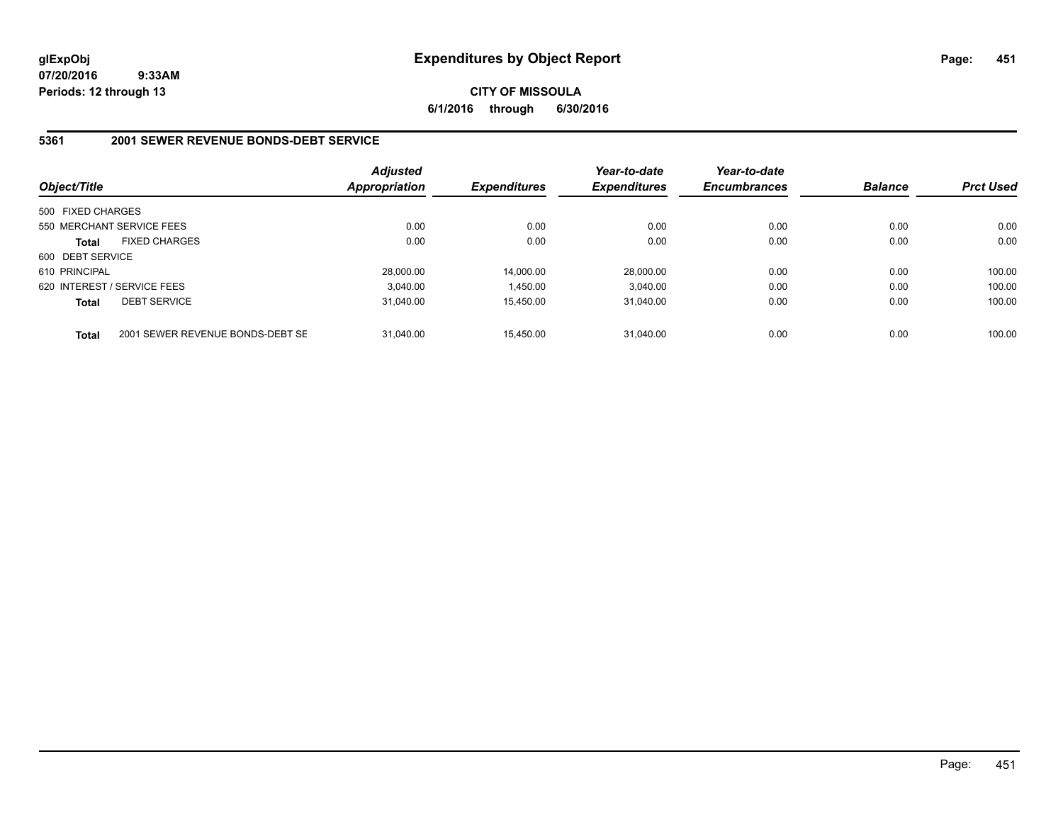#### **CITY OF MISSOULA 6/1/2016 through 6/30/2016**

#### **5361 2001 SEWER REVENUE BONDS-DEBT SERVICE**

| Object/Title      |                                  | <b>Adjusted</b><br><b>Appropriation</b> | <b>Expenditures</b> | Year-to-date<br><b>Expenditures</b> | Year-to-date<br><b>Encumbrances</b> | <b>Balance</b> | <b>Prct Used</b> |
|-------------------|----------------------------------|-----------------------------------------|---------------------|-------------------------------------|-------------------------------------|----------------|------------------|
| 500 FIXED CHARGES |                                  |                                         |                     |                                     |                                     |                |                  |
|                   | 550 MERCHANT SERVICE FEES        | 0.00                                    | 0.00                | 0.00                                | 0.00                                | 0.00           | 0.00             |
| <b>Total</b>      | <b>FIXED CHARGES</b>             | 0.00                                    | 0.00                | 0.00                                | 0.00                                | 0.00           | 0.00             |
| 600 DEBT SERVICE  |                                  |                                         |                     |                                     |                                     |                |                  |
| 610 PRINCIPAL     |                                  | 28,000.00                               | 14,000.00           | 28.000.00                           | 0.00                                | 0.00           | 100.00           |
|                   | 620 INTEREST / SERVICE FEES      | 3.040.00                                | 1,450.00            | 3.040.00                            | 0.00                                | 0.00           | 100.00           |
| <b>Total</b>      | <b>DEBT SERVICE</b>              | 31.040.00                               | 15.450.00           | 31.040.00                           | 0.00                                | 0.00           | 100.00           |
| <b>Total</b>      | 2001 SEWER REVENUE BONDS-DEBT SE | 31.040.00                               | 15.450.00           | 31.040.00                           | 0.00                                | 0.00           | 100.00           |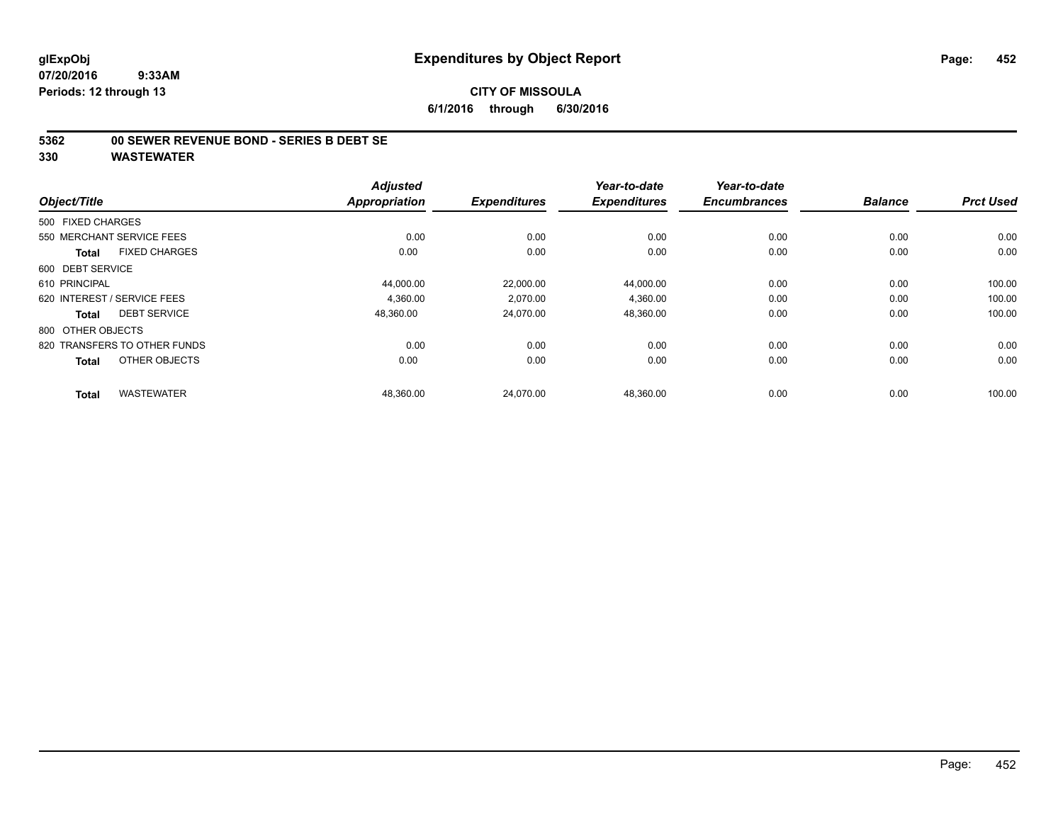**6/1/2016 through 6/30/2016**

#### **5362 00 SEWER REVENUE BOND - SERIES B DEBT SE**

|                   |                              | <b>Adjusted</b> |                     | Year-to-date        | Year-to-date        |                |                  |
|-------------------|------------------------------|-----------------|---------------------|---------------------|---------------------|----------------|------------------|
| Object/Title      |                              | Appropriation   | <b>Expenditures</b> | <b>Expenditures</b> | <b>Encumbrances</b> | <b>Balance</b> | <b>Prct Used</b> |
| 500 FIXED CHARGES |                              |                 |                     |                     |                     |                |                  |
|                   | 550 MERCHANT SERVICE FEES    | 0.00            | 0.00                | 0.00                | 0.00                | 0.00           | 0.00             |
| Total             | <b>FIXED CHARGES</b>         | 0.00            | 0.00                | 0.00                | 0.00                | 0.00           | 0.00             |
| 600 DEBT SERVICE  |                              |                 |                     |                     |                     |                |                  |
| 610 PRINCIPAL     |                              | 44,000.00       | 22,000.00           | 44,000.00           | 0.00                | 0.00           | 100.00           |
|                   | 620 INTEREST / SERVICE FEES  | 4,360.00        | 2,070.00            | 4,360.00            | 0.00                | 0.00           | 100.00           |
| Total             | <b>DEBT SERVICE</b>          | 48,360.00       | 24,070.00           | 48,360.00           | 0.00                | 0.00           | 100.00           |
| 800 OTHER OBJECTS |                              |                 |                     |                     |                     |                |                  |
|                   | 820 TRANSFERS TO OTHER FUNDS | 0.00            | 0.00                | 0.00                | 0.00                | 0.00           | 0.00             |
| <b>Total</b>      | OTHER OBJECTS                | 0.00            | 0.00                | 0.00                | 0.00                | 0.00           | 0.00             |
| <b>Total</b>      | <b>WASTEWATER</b>            | 48,360.00       | 24,070.00           | 48,360.00           | 0.00                | 0.00           | 100.00           |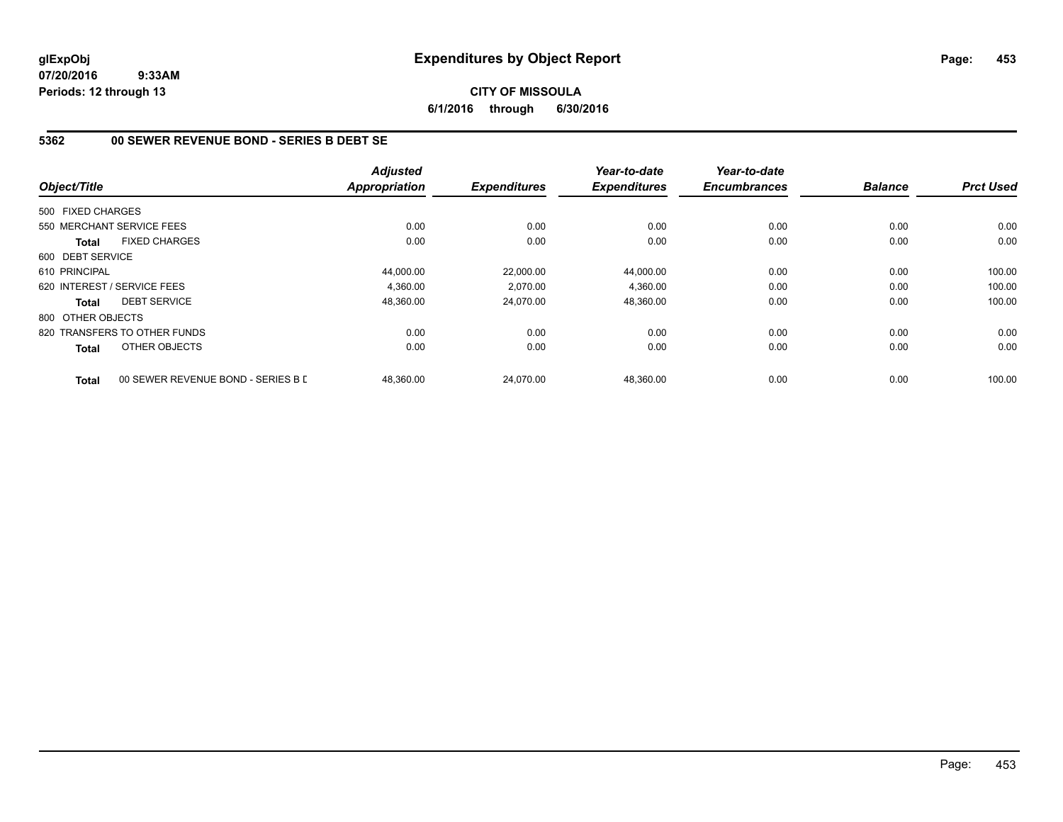**CITY OF MISSOULA 6/1/2016 through 6/30/2016**

# **5362 00 SEWER REVENUE BOND - SERIES B DEBT SE**

|                   |                                    | <b>Adjusted</b> |                     | Year-to-date        | Year-to-date        |                |                  |
|-------------------|------------------------------------|-----------------|---------------------|---------------------|---------------------|----------------|------------------|
| Object/Title      |                                    | Appropriation   | <b>Expenditures</b> | <b>Expenditures</b> | <b>Encumbrances</b> | <b>Balance</b> | <b>Prct Used</b> |
| 500 FIXED CHARGES |                                    |                 |                     |                     |                     |                |                  |
|                   | 550 MERCHANT SERVICE FEES          | 0.00            | 0.00                | 0.00                | 0.00                | 0.00           | 0.00             |
| <b>Total</b>      | <b>FIXED CHARGES</b>               | 0.00            | 0.00                | 0.00                | 0.00                | 0.00           | 0.00             |
| 600 DEBT SERVICE  |                                    |                 |                     |                     |                     |                |                  |
| 610 PRINCIPAL     |                                    | 44,000.00       | 22,000.00           | 44,000.00           | 0.00                | 0.00           | 100.00           |
|                   | 620 INTEREST / SERVICE FEES        | 4.360.00        | 2,070.00            | 4,360.00            | 0.00                | 0.00           | 100.00           |
| <b>Total</b>      | <b>DEBT SERVICE</b>                | 48,360.00       | 24,070.00           | 48,360.00           | 0.00                | 0.00           | 100.00           |
| 800 OTHER OBJECTS |                                    |                 |                     |                     |                     |                |                  |
|                   | 820 TRANSFERS TO OTHER FUNDS       | 0.00            | 0.00                | 0.00                | 0.00                | 0.00           | 0.00             |
| <b>Total</b>      | OTHER OBJECTS                      | 0.00            | 0.00                | 0.00                | 0.00                | 0.00           | 0.00             |
| <b>Total</b>      | 00 SEWER REVENUE BOND - SERIES B L | 48.360.00       | 24.070.00           | 48.360.00           | 0.00                | 0.00           | 100.00           |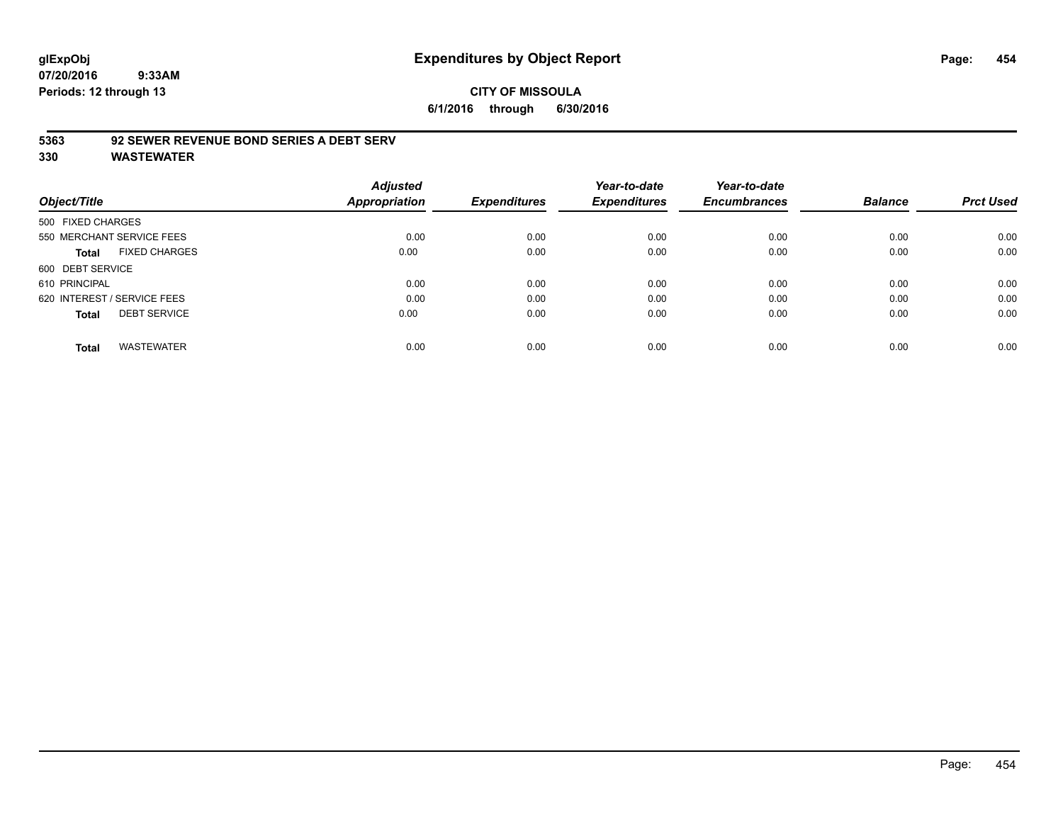# **CITY OF MISSOULA 6/1/2016 through 6/30/2016**

# **5363 92 SEWER REVENUE BOND SERIES A DEBT SERV**

| Object/Title                         | <b>Adjusted</b><br>Appropriation | <b>Expenditures</b> | Year-to-date<br><b>Expenditures</b> | Year-to-date<br><b>Encumbrances</b> | <b>Balance</b> | <b>Prct Used</b> |
|--------------------------------------|----------------------------------|---------------------|-------------------------------------|-------------------------------------|----------------|------------------|
|                                      |                                  |                     |                                     |                                     |                |                  |
| 500 FIXED CHARGES                    |                                  |                     |                                     |                                     |                |                  |
| 550 MERCHANT SERVICE FEES            | 0.00                             | 0.00                | 0.00                                | 0.00                                | 0.00           | 0.00             |
| <b>FIXED CHARGES</b><br><b>Total</b> | 0.00                             | 0.00                | 0.00                                | 0.00                                | 0.00           | 0.00             |
| 600 DEBT SERVICE                     |                                  |                     |                                     |                                     |                |                  |
| 610 PRINCIPAL                        | 0.00                             | 0.00                | 0.00                                | 0.00                                | 0.00           | 0.00             |
| 620 INTEREST / SERVICE FEES          | 0.00                             | 0.00                | 0.00                                | 0.00                                | 0.00           | 0.00             |
| <b>DEBT SERVICE</b><br><b>Total</b>  | 0.00                             | 0.00                | 0.00                                | 0.00                                | 0.00           | 0.00             |
| <b>WASTEWATER</b><br><b>Total</b>    | 0.00                             | 0.00                | 0.00                                | 0.00                                | 0.00           | 0.00             |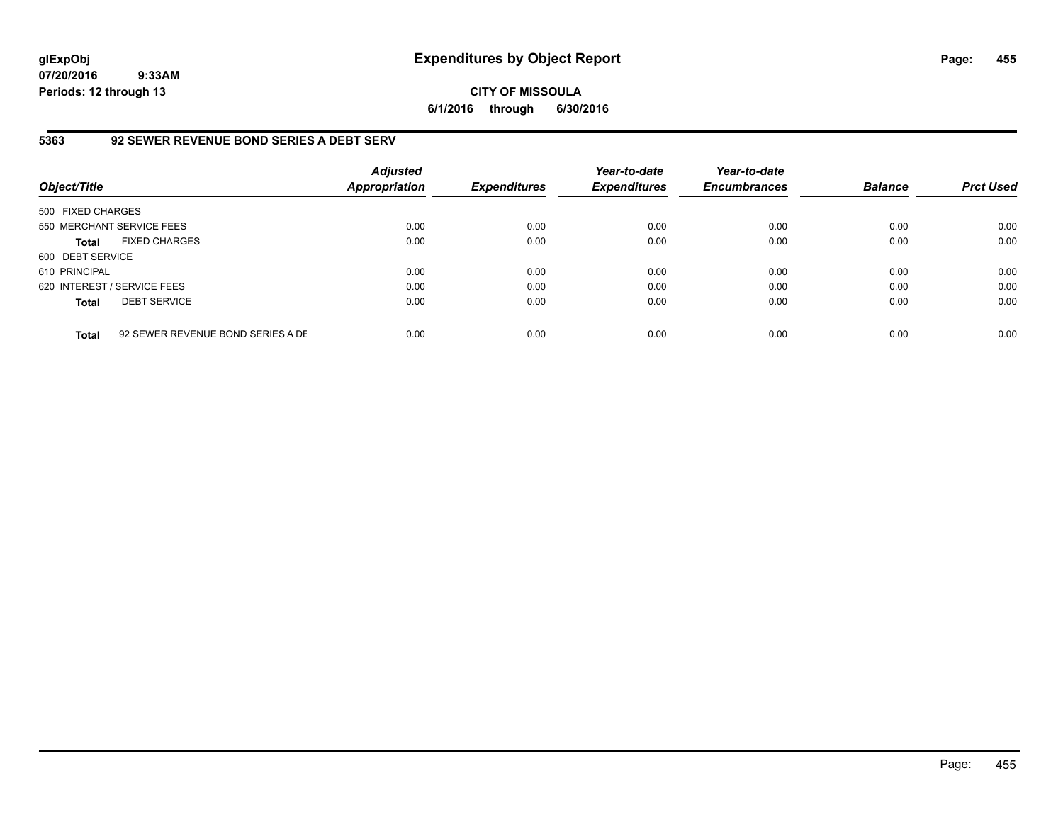**CITY OF MISSOULA 6/1/2016 through 6/30/2016**

# **5363 92 SEWER REVENUE BOND SERIES A DEBT SERV**

| Object/Title                |                                   | <b>Adjusted</b><br><b>Appropriation</b> | <b>Expenditures</b> | Year-to-date<br><b>Expenditures</b> | Year-to-date<br><b>Encumbrances</b> | <b>Balance</b> | <b>Prct Used</b> |
|-----------------------------|-----------------------------------|-----------------------------------------|---------------------|-------------------------------------|-------------------------------------|----------------|------------------|
| 500 FIXED CHARGES           |                                   |                                         |                     |                                     |                                     |                |                  |
| 550 MERCHANT SERVICE FEES   |                                   | 0.00                                    | 0.00                | 0.00                                | 0.00                                | 0.00           | 0.00             |
| <b>Total</b>                | <b>FIXED CHARGES</b>              | 0.00                                    | 0.00                | 0.00                                | 0.00                                | 0.00           | 0.00             |
| 600 DEBT SERVICE            |                                   |                                         |                     |                                     |                                     |                |                  |
| 610 PRINCIPAL               |                                   | 0.00                                    | 0.00                | 0.00                                | 0.00                                | 0.00           | 0.00             |
| 620 INTEREST / SERVICE FEES |                                   | 0.00                                    | 0.00                | 0.00                                | 0.00                                | 0.00           | 0.00             |
| <b>Total</b>                | <b>DEBT SERVICE</b>               | 0.00                                    | 0.00                | 0.00                                | 0.00                                | 0.00           | 0.00             |
| <b>Total</b>                | 92 SEWER REVENUE BOND SERIES A DE | 0.00                                    | 0.00                | 0.00                                | 0.00                                | 0.00           | 0.00             |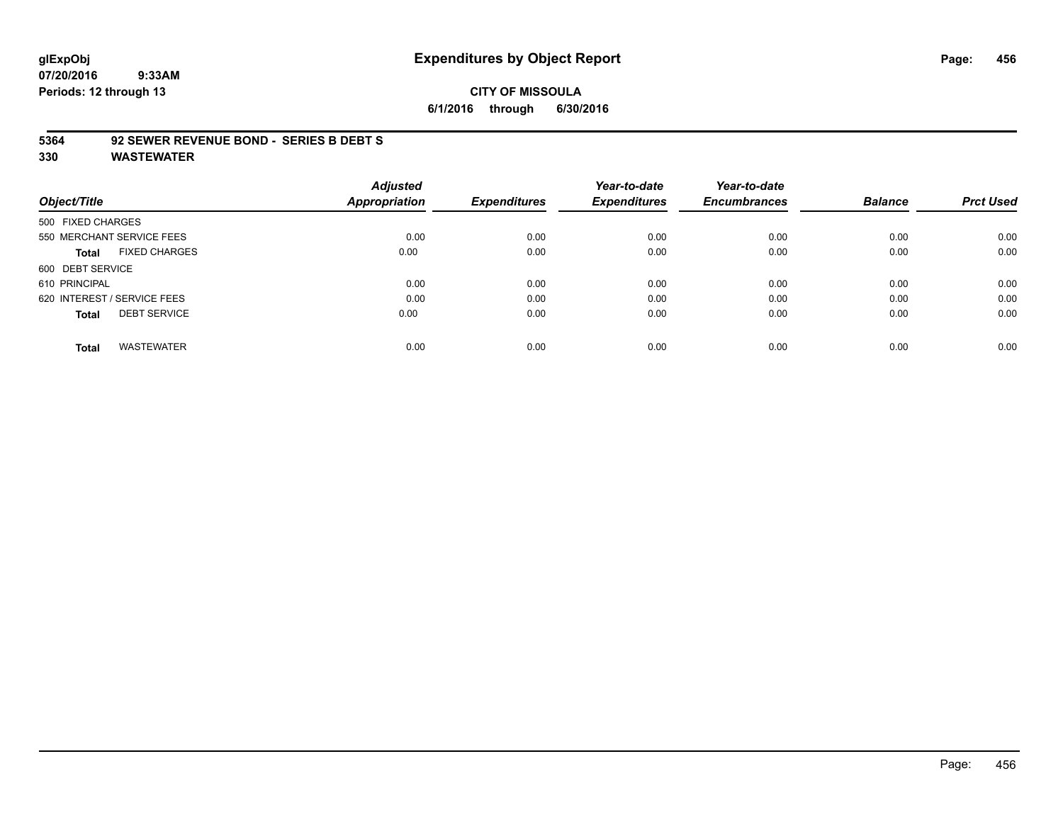# **glExpObj Expenditures by Object Report Page: 456**

**07/20/2016 9:33AM Periods: 12 through 13**

**6/1/2016 through 6/30/2016**

#### **5364 92 SEWER REVENUE BOND - SERIES B DEBT S**

|                             |                      | <b>Adjusted</b>      |                     | Year-to-date        | Year-to-date        |                |                  |
|-----------------------------|----------------------|----------------------|---------------------|---------------------|---------------------|----------------|------------------|
| Object/Title                |                      | <b>Appropriation</b> | <b>Expenditures</b> | <b>Expenditures</b> | <b>Encumbrances</b> | <b>Balance</b> | <b>Prct Used</b> |
| 500 FIXED CHARGES           |                      |                      |                     |                     |                     |                |                  |
| 550 MERCHANT SERVICE FEES   |                      | 0.00                 | 0.00                | 0.00                | 0.00                | 0.00           | 0.00             |
| <b>Total</b>                | <b>FIXED CHARGES</b> | 0.00                 | 0.00                | 0.00                | 0.00                | 0.00           | 0.00             |
| 600 DEBT SERVICE            |                      |                      |                     |                     |                     |                |                  |
| 610 PRINCIPAL               |                      | 0.00                 | 0.00                | 0.00                | 0.00                | 0.00           | 0.00             |
| 620 INTEREST / SERVICE FEES |                      | 0.00                 | 0.00                | 0.00                | 0.00                | 0.00           | 0.00             |
| <b>Total</b>                | <b>DEBT SERVICE</b>  | 0.00                 | 0.00                | 0.00                | 0.00                | 0.00           | 0.00             |
| <b>Total</b>                | <b>WASTEWATER</b>    | 0.00                 | 0.00                | 0.00                | 0.00                | 0.00           | 0.00             |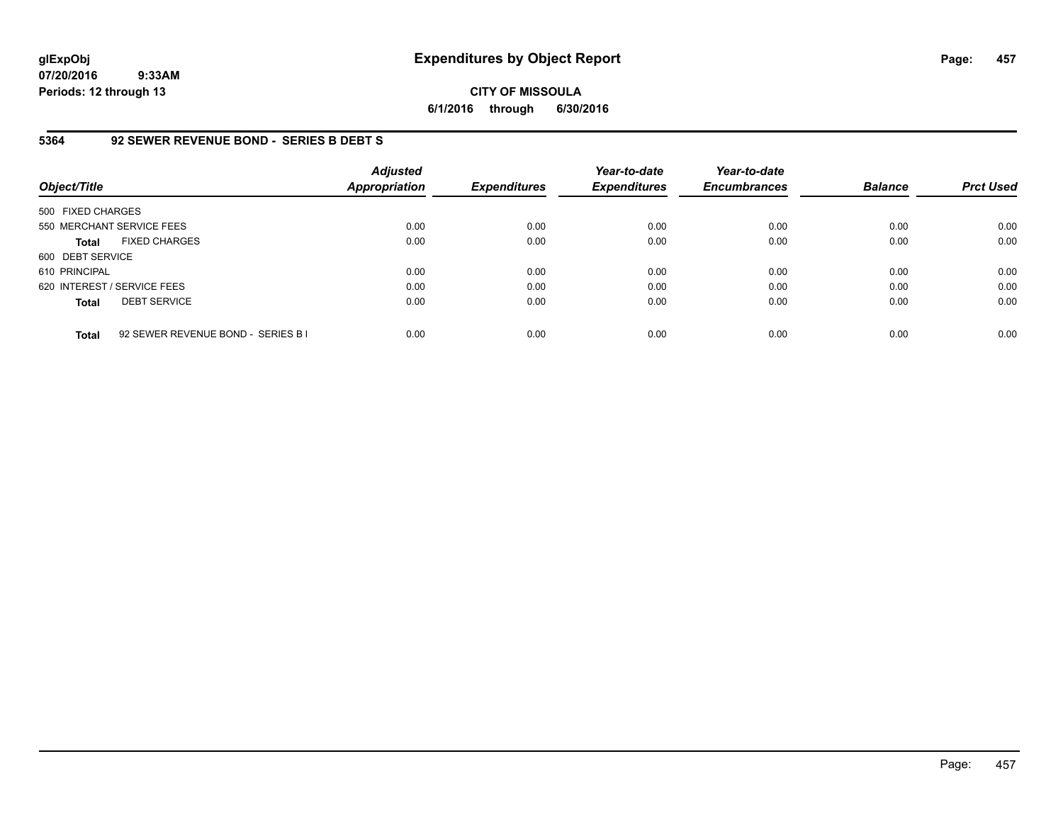**CITY OF MISSOULA 6/1/2016 through 6/30/2016**

# **5364 92 SEWER REVENUE BOND - SERIES B DEBT S**

| Object/Title                |                                    | <b>Adjusted</b><br><b>Appropriation</b> | <b>Expenditures</b> | Year-to-date<br><b>Expenditures</b> | Year-to-date<br><b>Encumbrances</b> | <b>Balance</b> | <b>Prct Used</b> |
|-----------------------------|------------------------------------|-----------------------------------------|---------------------|-------------------------------------|-------------------------------------|----------------|------------------|
| 500 FIXED CHARGES           |                                    |                                         |                     |                                     |                                     |                |                  |
| 550 MERCHANT SERVICE FEES   |                                    | 0.00                                    | 0.00                | 0.00                                | 0.00                                | 0.00           | 0.00             |
| <b>Total</b>                | <b>FIXED CHARGES</b>               | 0.00                                    | 0.00                | 0.00                                | 0.00                                | 0.00           | 0.00             |
| 600 DEBT SERVICE            |                                    |                                         |                     |                                     |                                     |                |                  |
| 610 PRINCIPAL               |                                    | 0.00                                    | 0.00                | 0.00                                | 0.00                                | 0.00           | 0.00             |
| 620 INTEREST / SERVICE FEES |                                    | 0.00                                    | 0.00                | 0.00                                | 0.00                                | 0.00           | 0.00             |
| <b>Total</b>                | <b>DEBT SERVICE</b>                | 0.00                                    | 0.00                | 0.00                                | 0.00                                | 0.00           | 0.00             |
| <b>Total</b>                | 92 SEWER REVENUE BOND - SERIES B I | 0.00                                    | 0.00                | 0.00                                | 0.00                                | 0.00           | 0.00             |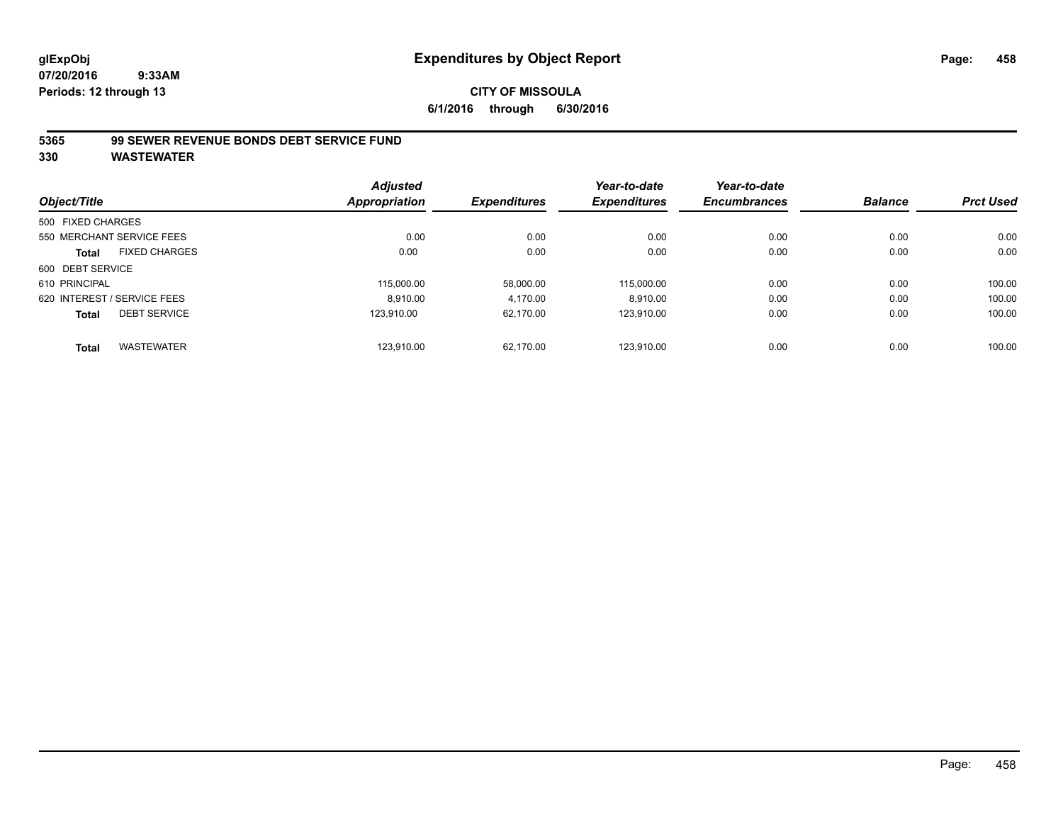#### **CITY OF MISSOULA 6/1/2016 through 6/30/2016**

#### **5365 99 SEWER REVENUE BONDS DEBT SERVICE FUND**

| Object/Title      |                             | <b>Adjusted</b><br>Appropriation | <b>Expenditures</b> | Year-to-date<br><b>Expenditures</b> | Year-to-date<br><b>Encumbrances</b> | <b>Balance</b> | <b>Prct Used</b> |
|-------------------|-----------------------------|----------------------------------|---------------------|-------------------------------------|-------------------------------------|----------------|------------------|
| 500 FIXED CHARGES |                             |                                  |                     |                                     |                                     |                |                  |
|                   | 550 MERCHANT SERVICE FEES   | 0.00                             | 0.00                | 0.00                                | 0.00                                | 0.00           | 0.00             |
| <b>Total</b>      | <b>FIXED CHARGES</b>        | 0.00                             | 0.00                | 0.00                                | 0.00                                | 0.00           | 0.00             |
| 600 DEBT SERVICE  |                             |                                  |                     |                                     |                                     |                |                  |
| 610 PRINCIPAL     |                             | 115.000.00                       | 58,000.00           | 115.000.00                          | 0.00                                | 0.00           | 100.00           |
|                   | 620 INTEREST / SERVICE FEES | 8.910.00                         | 4,170.00            | 8,910.00                            | 0.00                                | 0.00           | 100.00           |
| <b>Total</b>      | <b>DEBT SERVICE</b>         | 123.910.00                       | 62.170.00           | 123.910.00                          | 0.00                                | 0.00           | 100.00           |
| <b>Total</b>      | <b>WASTEWATER</b>           | 123.910.00                       | 62.170.00           | 123.910.00                          | 0.00                                | 0.00           | 100.00           |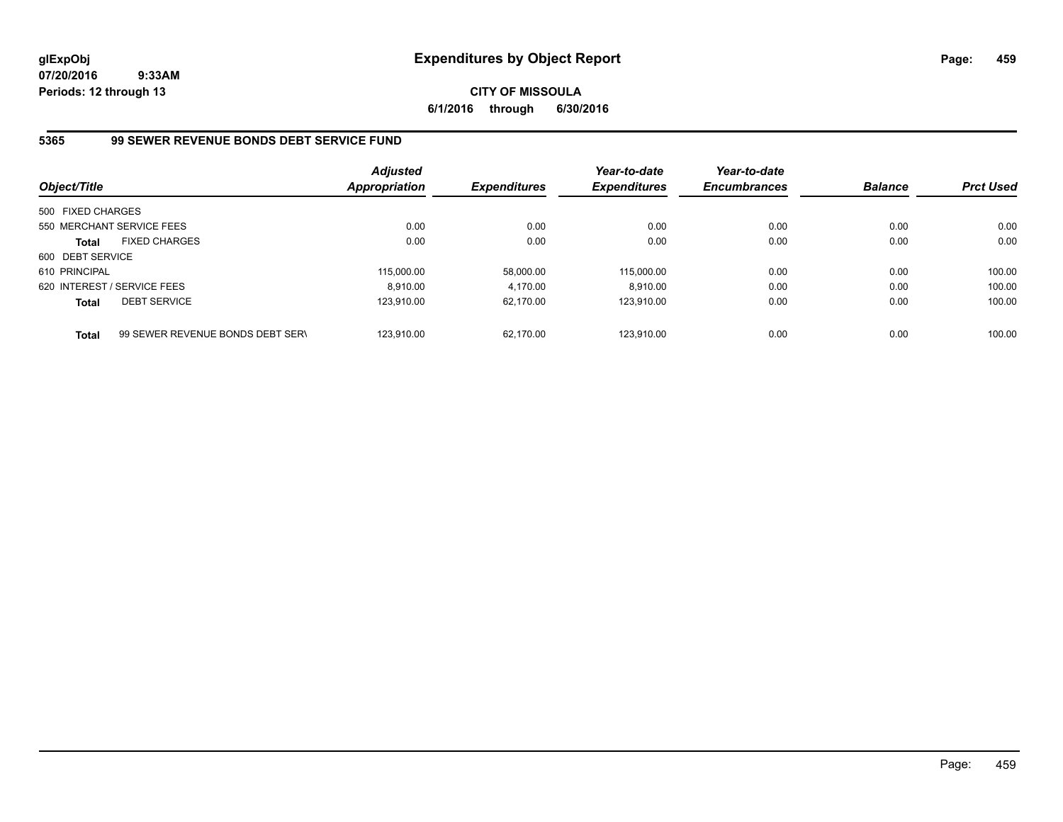**CITY OF MISSOULA 6/1/2016 through 6/30/2016**

# **5365 99 SEWER REVENUE BONDS DEBT SERVICE FUND**

| Object/Title      |                                  | <b>Adjusted</b><br><b>Appropriation</b> | <b>Expenditures</b> | Year-to-date<br><b>Expenditures</b> | Year-to-date<br><b>Encumbrances</b> | <b>Balance</b> | <b>Prct Used</b> |
|-------------------|----------------------------------|-----------------------------------------|---------------------|-------------------------------------|-------------------------------------|----------------|------------------|
| 500 FIXED CHARGES |                                  |                                         |                     |                                     |                                     |                |                  |
|                   | 550 MERCHANT SERVICE FEES        | 0.00                                    | 0.00                | 0.00                                | 0.00                                | 0.00           | 0.00             |
| <b>Total</b>      | <b>FIXED CHARGES</b>             | 0.00                                    | 0.00                | 0.00                                | 0.00                                | 0.00           | 0.00             |
| 600 DEBT SERVICE  |                                  |                                         |                     |                                     |                                     |                |                  |
| 610 PRINCIPAL     |                                  | 115,000.00                              | 58.000.00           | 115.000.00                          | 0.00                                | 0.00           | 100.00           |
|                   | 620 INTEREST / SERVICE FEES      | 8.910.00                                | 4.170.00            | 8.910.00                            | 0.00                                | 0.00           | 100.00           |
| <b>Total</b>      | <b>DEBT SERVICE</b>              | 123.910.00                              | 62.170.00           | 123.910.00                          | 0.00                                | 0.00           | 100.00           |
| <b>Total</b>      | 99 SEWER REVENUE BONDS DEBT SERV | 123.910.00                              | 62.170.00           | 123.910.00                          | 0.00                                | 0.00           | 100.00           |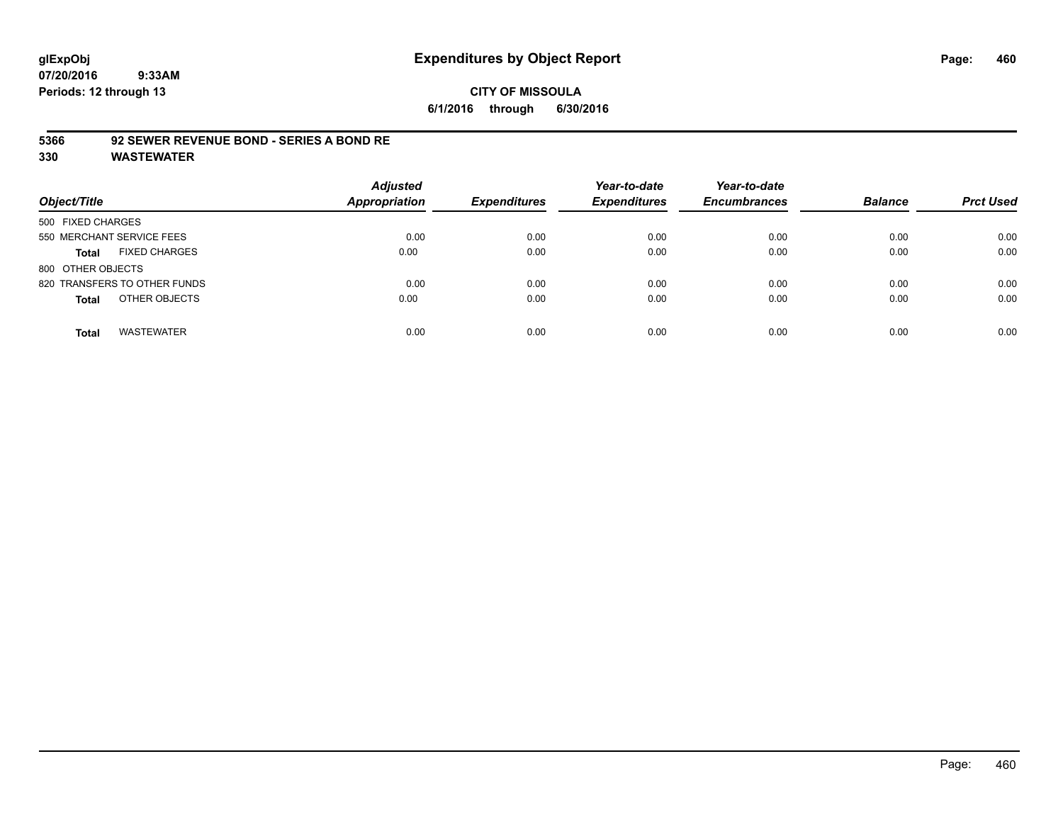# **CITY OF MISSOULA 6/1/2016 through 6/30/2016**

#### **5366 92 SEWER REVENUE BOND - SERIES A BOND RE**

| Object/Title                         | <b>Adjusted</b><br><b>Appropriation</b> | <b>Expenditures</b> | Year-to-date<br><b>Expenditures</b> | Year-to-date<br><b>Encumbrances</b> | <b>Balance</b> | <b>Prct Used</b> |
|--------------------------------------|-----------------------------------------|---------------------|-------------------------------------|-------------------------------------|----------------|------------------|
| 500 FIXED CHARGES                    |                                         |                     |                                     |                                     |                |                  |
| 550 MERCHANT SERVICE FEES            | 0.00                                    | 0.00                | 0.00                                | 0.00                                | 0.00           | 0.00             |
| <b>FIXED CHARGES</b><br><b>Total</b> | 0.00                                    | 0.00                | 0.00                                | 0.00                                | 0.00           | 0.00             |
| 800 OTHER OBJECTS                    |                                         |                     |                                     |                                     |                |                  |
| 820 TRANSFERS TO OTHER FUNDS         | 0.00                                    | 0.00                | 0.00                                | 0.00                                | 0.00           | 0.00             |
| OTHER OBJECTS<br><b>Total</b>        | 0.00                                    | 0.00                | 0.00                                | 0.00                                | 0.00           | 0.00             |
| <b>WASTEWATER</b><br><b>Total</b>    | 0.00                                    | 0.00                | 0.00                                | 0.00                                | 0.00           | 0.00             |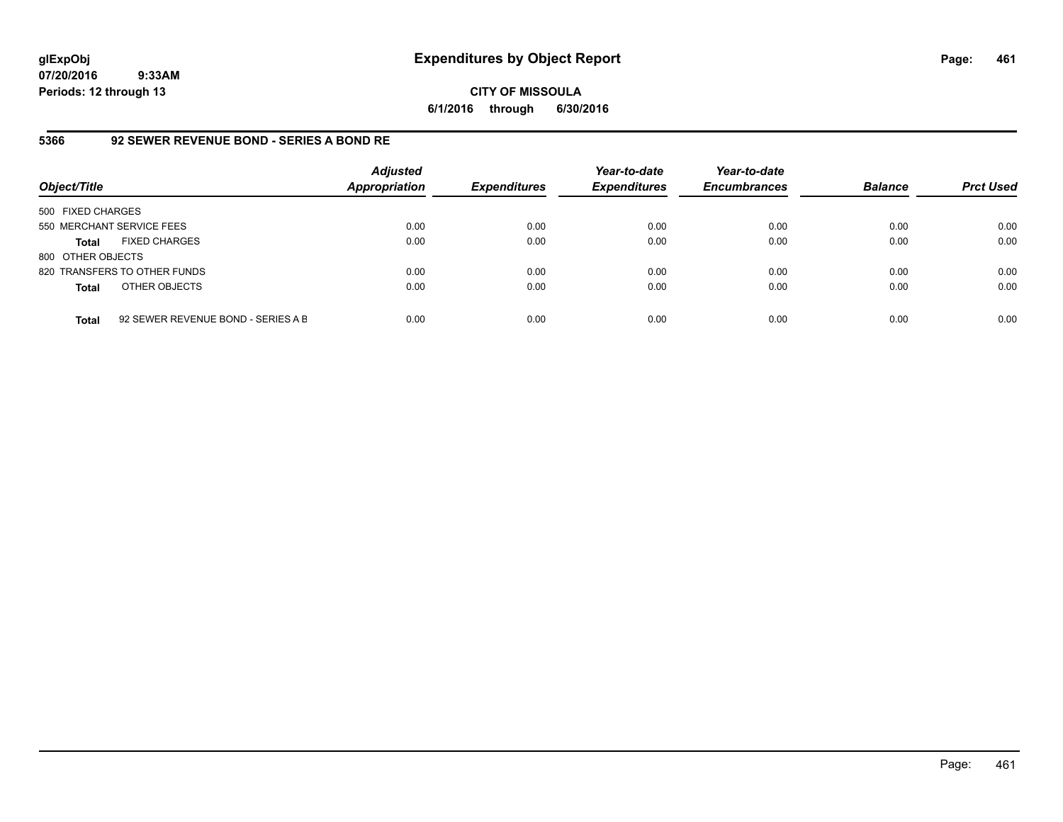#### **CITY OF MISSOULA 6/1/2016 through 6/30/2016**

# **5366 92 SEWER REVENUE BOND - SERIES A BOND RE**

| Object/Title              |                                    | <b>Adjusted</b><br><b>Appropriation</b> | <b>Expenditures</b> | Year-to-date<br><b>Expenditures</b> | Year-to-date<br><b>Encumbrances</b> | <b>Balance</b> | <b>Prct Used</b> |
|---------------------------|------------------------------------|-----------------------------------------|---------------------|-------------------------------------|-------------------------------------|----------------|------------------|
| 500 FIXED CHARGES         |                                    |                                         |                     |                                     |                                     |                |                  |
| 550 MERCHANT SERVICE FEES |                                    | 0.00                                    | 0.00                | 0.00                                | 0.00                                | 0.00           | 0.00             |
| <b>Total</b>              | <b>FIXED CHARGES</b>               | 0.00                                    | 0.00                | 0.00                                | 0.00                                | 0.00           | 0.00             |
| 800 OTHER OBJECTS         |                                    |                                         |                     |                                     |                                     |                |                  |
|                           | 820 TRANSFERS TO OTHER FUNDS       | 0.00                                    | 0.00                | 0.00                                | 0.00                                | 0.00           | 0.00             |
| <b>Total</b>              | OTHER OBJECTS                      | 0.00                                    | 0.00                | 0.00                                | 0.00                                | 0.00           | 0.00             |
| <b>Total</b>              | 92 SEWER REVENUE BOND - SERIES A B | 0.00                                    | 0.00                | 0.00                                | 0.00                                | 0.00           | 0.00             |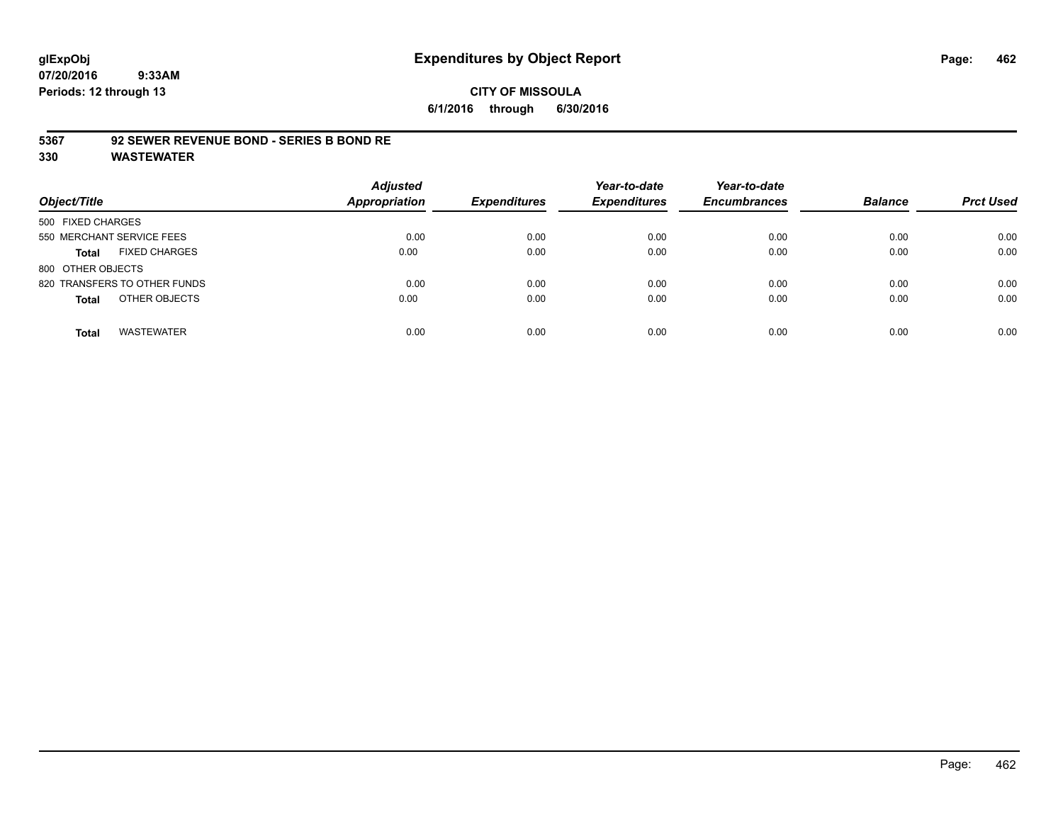## **CITY OF MISSOULA 6/1/2016 through 6/30/2016**

#### **5367 92 SEWER REVENUE BOND - SERIES B BOND RE**

| Object/Title                         | <b>Adjusted</b><br><b>Appropriation</b> | <b>Expenditures</b> | Year-to-date<br><b>Expenditures</b> | Year-to-date<br><b>Encumbrances</b> | <b>Balance</b> | <b>Prct Used</b> |
|--------------------------------------|-----------------------------------------|---------------------|-------------------------------------|-------------------------------------|----------------|------------------|
| 500 FIXED CHARGES                    |                                         |                     |                                     |                                     |                |                  |
| 550 MERCHANT SERVICE FEES            | 0.00                                    | 0.00                | 0.00                                | 0.00                                | 0.00           | 0.00             |
| <b>FIXED CHARGES</b><br><b>Total</b> | 0.00                                    | 0.00                | 0.00                                | 0.00                                | 0.00           | 0.00             |
| 800 OTHER OBJECTS                    |                                         |                     |                                     |                                     |                |                  |
| 820 TRANSFERS TO OTHER FUNDS         | 0.00                                    | 0.00                | 0.00                                | 0.00                                | 0.00           | 0.00             |
| OTHER OBJECTS<br><b>Total</b>        | 0.00                                    | 0.00                | 0.00                                | 0.00                                | 0.00           | 0.00             |
| <b>WASTEWATER</b><br><b>Total</b>    | 0.00                                    | 0.00                | 0.00                                | 0.00                                | 0.00           | 0.00             |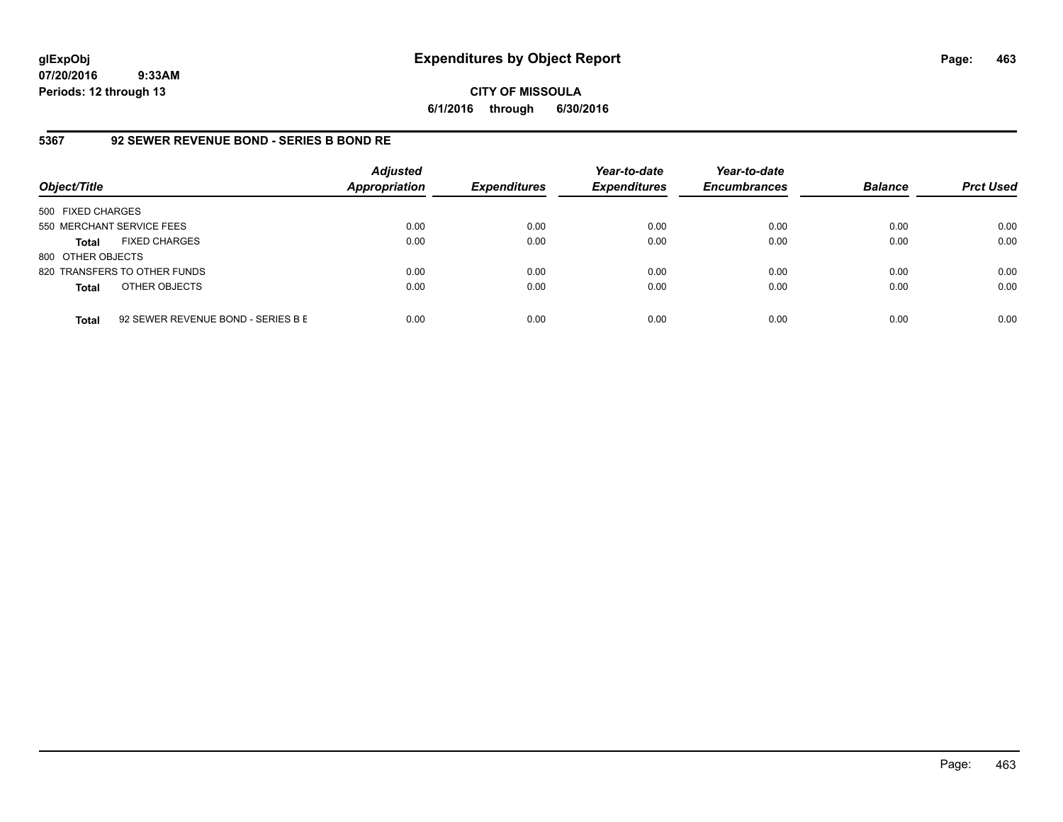**CITY OF MISSOULA 6/1/2016 through 6/30/2016**

# **5367 92 SEWER REVENUE BOND - SERIES B BOND RE**

| Object/Title              |                                    | <b>Adjusted</b><br><b>Appropriation</b> | <b>Expenditures</b> | Year-to-date<br><b>Expenditures</b> | Year-to-date<br><b>Encumbrances</b> | <b>Balance</b> | <b>Prct Used</b> |
|---------------------------|------------------------------------|-----------------------------------------|---------------------|-------------------------------------|-------------------------------------|----------------|------------------|
| 500 FIXED CHARGES         |                                    |                                         |                     |                                     |                                     |                |                  |
| 550 MERCHANT SERVICE FEES |                                    | 0.00                                    | 0.00                | 0.00                                | 0.00                                | 0.00           | 0.00             |
| <b>Total</b>              | <b>FIXED CHARGES</b>               | 0.00                                    | 0.00                | 0.00                                | 0.00                                | 0.00           | 0.00             |
| 800 OTHER OBJECTS         |                                    |                                         |                     |                                     |                                     |                |                  |
|                           | 820 TRANSFERS TO OTHER FUNDS       | 0.00                                    | 0.00                | 0.00                                | 0.00                                | 0.00           | 0.00             |
| <b>Total</b>              | OTHER OBJECTS                      | 0.00                                    | 0.00                | 0.00                                | 0.00                                | 0.00           | 0.00             |
| <b>Total</b>              | 92 SEWER REVENUE BOND - SERIES B E | 0.00                                    | 0.00                | 0.00                                | 0.00                                | 0.00           | 0.00             |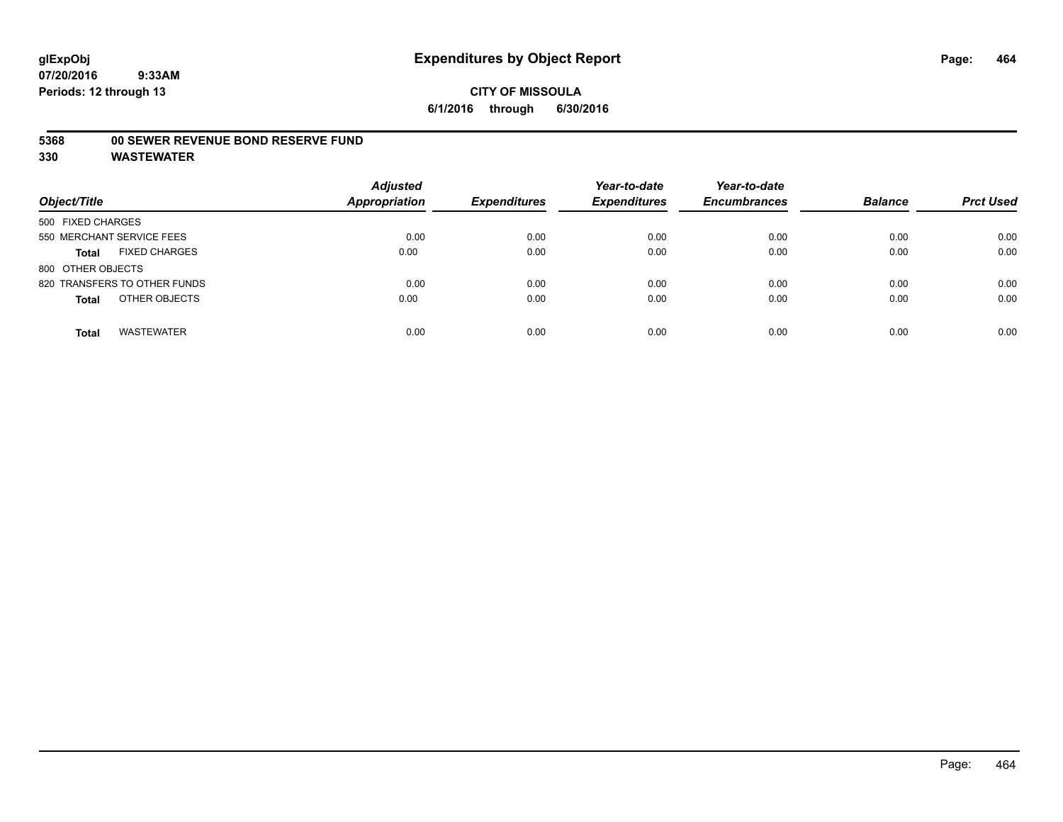#### **5368 00 SEWER REVENUE BOND RESERVE FUND**

| Object/Title                         | <b>Adjusted</b><br><b>Appropriation</b> | <b>Expenditures</b> | Year-to-date<br><b>Expenditures</b> | Year-to-date<br><b>Encumbrances</b> | <b>Balance</b> | <b>Prct Used</b> |
|--------------------------------------|-----------------------------------------|---------------------|-------------------------------------|-------------------------------------|----------------|------------------|
| 500 FIXED CHARGES                    |                                         |                     |                                     |                                     |                |                  |
| 550 MERCHANT SERVICE FEES            | 0.00                                    | 0.00                | 0.00                                | 0.00                                | 0.00           | 0.00             |
| <b>FIXED CHARGES</b><br><b>Total</b> | 0.00                                    | 0.00                | 0.00                                | 0.00                                | 0.00           | 0.00             |
| 800 OTHER OBJECTS                    |                                         |                     |                                     |                                     |                |                  |
| 820 TRANSFERS TO OTHER FUNDS         | 0.00                                    | 0.00                | 0.00                                | 0.00                                | 0.00           | 0.00             |
| OTHER OBJECTS<br><b>Total</b>        | 0.00                                    | 0.00                | 0.00                                | 0.00                                | 0.00           | 0.00             |
| <b>WASTEWATER</b><br><b>Total</b>    | 0.00                                    | 0.00                | 0.00                                | 0.00                                | 0.00           | 0.00             |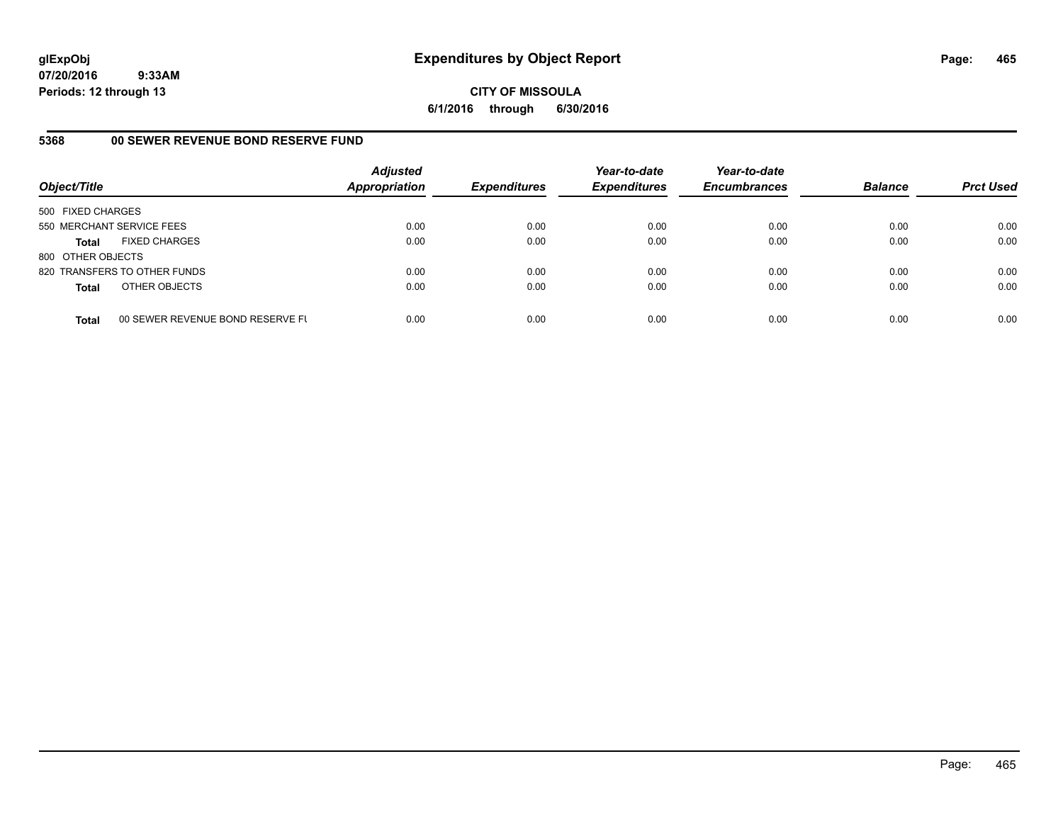**CITY OF MISSOULA 6/1/2016 through 6/30/2016**

# **5368 00 SEWER REVENUE BOND RESERVE FUND**

| Object/Title              |                                  | <b>Adjusted</b><br><b>Appropriation</b> | <b>Expenditures</b> | Year-to-date<br><b>Expenditures</b> | Year-to-date<br><b>Encumbrances</b> | <b>Balance</b> | <b>Prct Used</b> |
|---------------------------|----------------------------------|-----------------------------------------|---------------------|-------------------------------------|-------------------------------------|----------------|------------------|
| 500 FIXED CHARGES         |                                  |                                         |                     |                                     |                                     |                |                  |
| 550 MERCHANT SERVICE FEES |                                  | 0.00                                    | 0.00                | 0.00                                | 0.00                                | 0.00           | 0.00             |
| Total                     | <b>FIXED CHARGES</b>             | 0.00                                    | 0.00                | 0.00                                | 0.00                                | 0.00           | 0.00             |
| 800 OTHER OBJECTS         |                                  |                                         |                     |                                     |                                     |                |                  |
|                           | 820 TRANSFERS TO OTHER FUNDS     | 0.00                                    | 0.00                | 0.00                                | 0.00                                | 0.00           | 0.00             |
| <b>Total</b>              | OTHER OBJECTS                    | 0.00                                    | 0.00                | 0.00                                | 0.00                                | 0.00           | 0.00             |
| <b>Total</b>              | 00 SEWER REVENUE BOND RESERVE FL | 0.00                                    | 0.00                | 0.00                                | 0.00                                | 0.00           | 0.00             |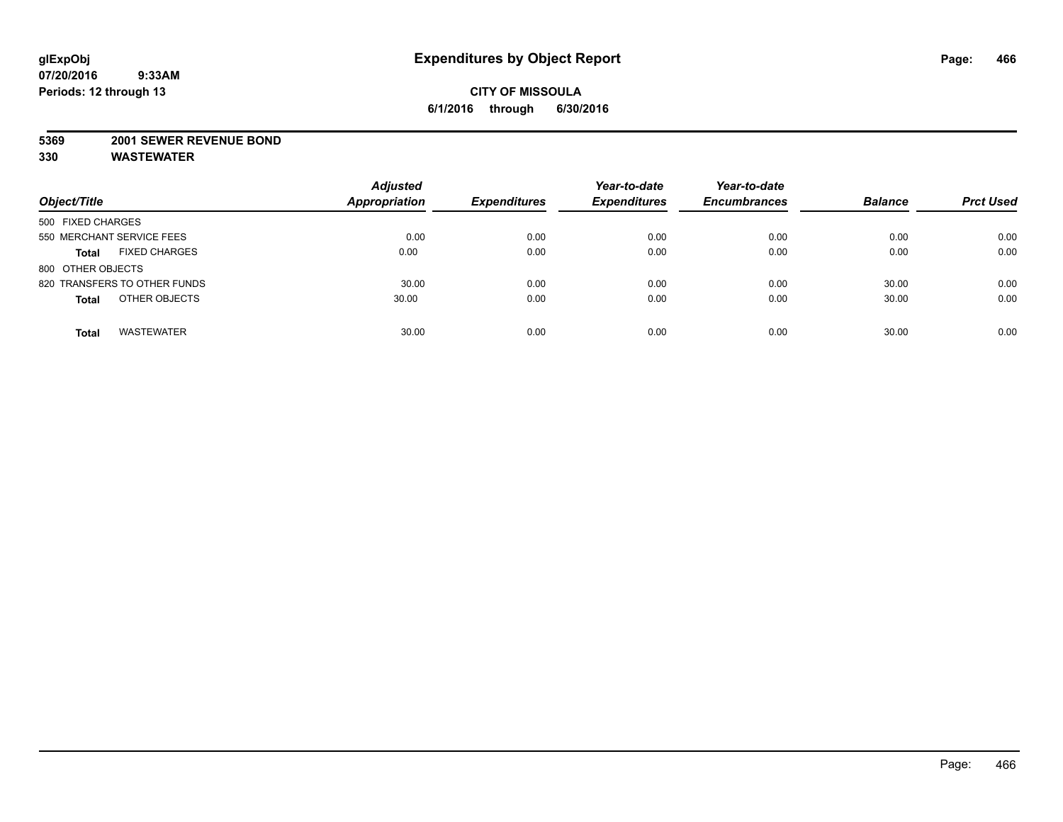#### **5369 2001 SEWER REVENUE BOND**

| Object/Title                         | <b>Adjusted</b><br><b>Appropriation</b> | <b>Expenditures</b> | Year-to-date<br><b>Expenditures</b> | Year-to-date<br><b>Encumbrances</b> | <b>Balance</b> | <b>Prct Used</b> |
|--------------------------------------|-----------------------------------------|---------------------|-------------------------------------|-------------------------------------|----------------|------------------|
| 500 FIXED CHARGES                    |                                         |                     |                                     |                                     |                |                  |
| 550 MERCHANT SERVICE FEES            | 0.00                                    | 0.00                | 0.00                                | 0.00                                | 0.00           | 0.00             |
| <b>FIXED CHARGES</b><br><b>Total</b> | 0.00                                    | 0.00                | 0.00                                | 0.00                                | 0.00           | 0.00             |
| 800 OTHER OBJECTS                    |                                         |                     |                                     |                                     |                |                  |
| 820 TRANSFERS TO OTHER FUNDS         | 30.00                                   | 0.00                | 0.00                                | 0.00                                | 30.00          | 0.00             |
| OTHER OBJECTS<br><b>Total</b>        | 30.00                                   | 0.00                | 0.00                                | 0.00                                | 30.00          | 0.00             |
| <b>WASTEWATER</b><br><b>Total</b>    | 30.00                                   | 0.00                | 0.00                                | 0.00                                | 30.00          | 0.00             |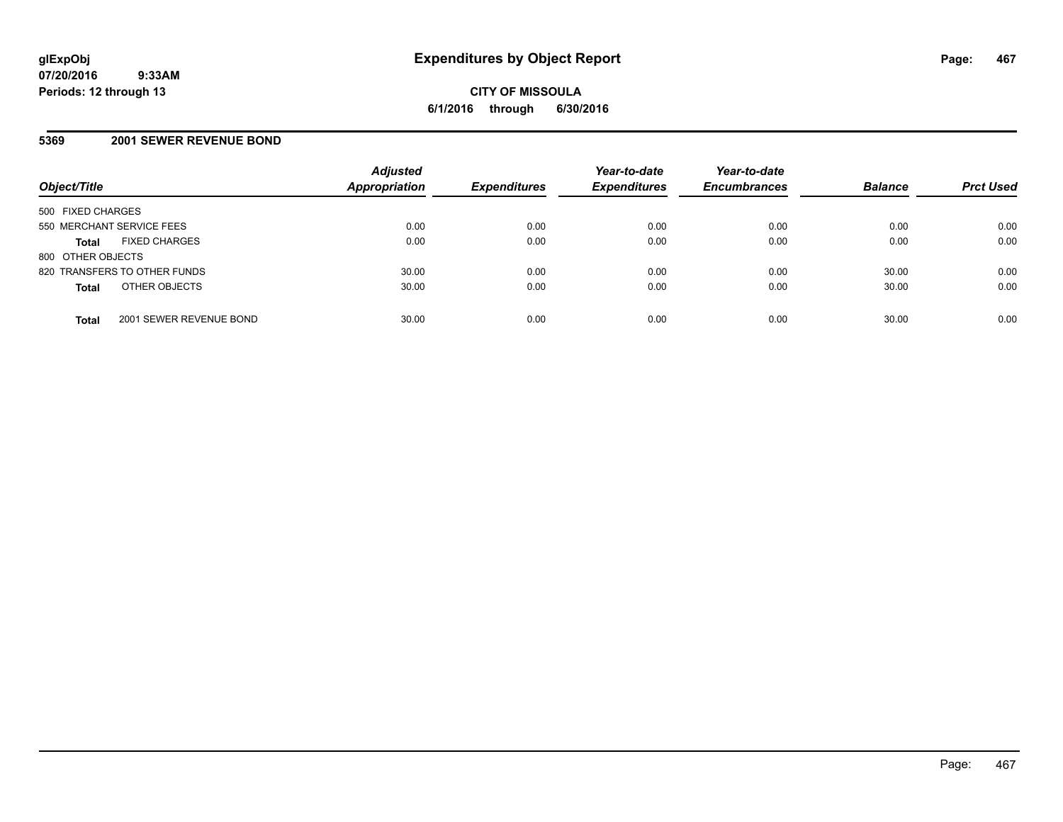# **5369 2001 SEWER REVENUE BOND**

| Object/Title                            | <b>Adjusted</b><br>Appropriation | <b>Expenditures</b> | Year-to-date<br><b>Expenditures</b> | Year-to-date<br><b>Encumbrances</b> | <b>Balance</b> | <b>Prct Used</b> |
|-----------------------------------------|----------------------------------|---------------------|-------------------------------------|-------------------------------------|----------------|------------------|
| 500 FIXED CHARGES                       |                                  |                     |                                     |                                     |                |                  |
| 550 MERCHANT SERVICE FEES               | 0.00                             | 0.00                | 0.00                                | 0.00                                | 0.00           | 0.00             |
| <b>FIXED CHARGES</b><br><b>Total</b>    | 0.00                             | 0.00                | 0.00                                | 0.00                                | 0.00           | 0.00             |
| 800 OTHER OBJECTS                       |                                  |                     |                                     |                                     |                |                  |
| 820 TRANSFERS TO OTHER FUNDS            | 30.00                            | 0.00                | 0.00                                | 0.00                                | 30.00          | 0.00             |
| OTHER OBJECTS<br><b>Total</b>           | 30.00                            | 0.00                | 0.00                                | 0.00                                | 30.00          | 0.00             |
| 2001 SEWER REVENUE BOND<br><b>Total</b> | 30.00                            | 0.00                | 0.00                                | 0.00                                | 30.00          | 0.00             |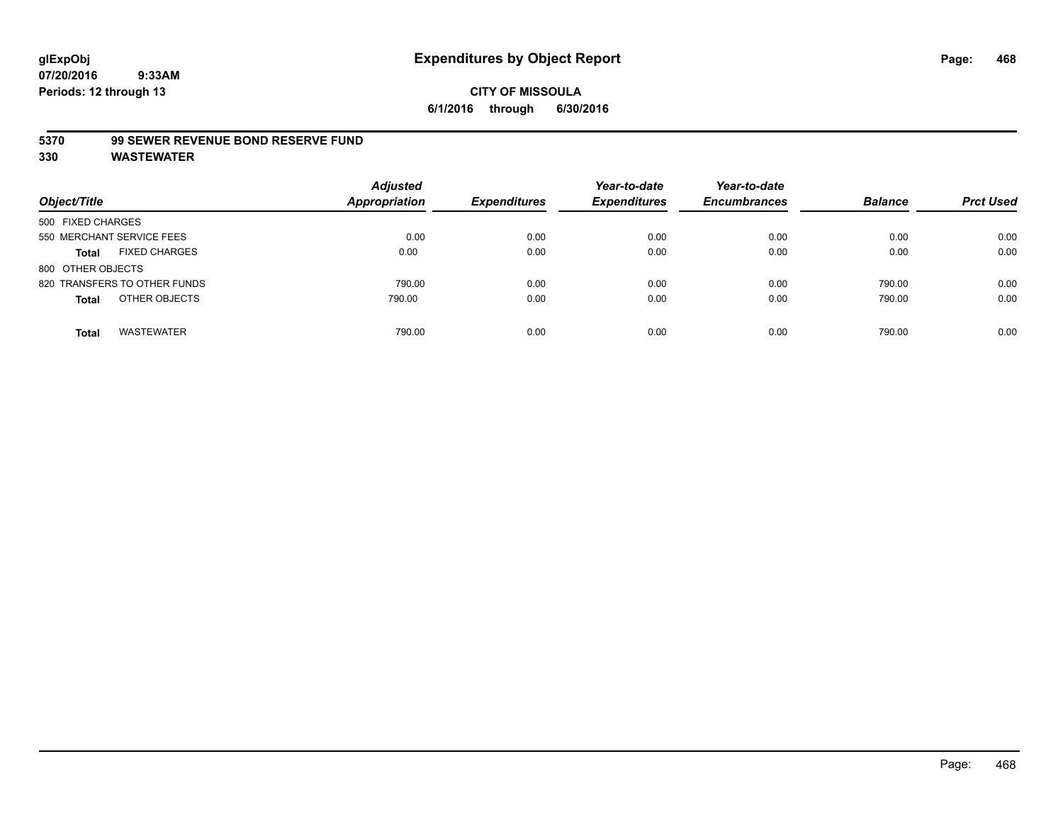#### **5370 99 SEWER REVENUE BOND RESERVE FUND**

| Object/Title                         | <b>Adjusted</b><br>Appropriation | <b>Expenditures</b> | Year-to-date<br><b>Expenditures</b> | Year-to-date<br><b>Encumbrances</b> | <b>Balance</b> | <b>Prct Used</b> |
|--------------------------------------|----------------------------------|---------------------|-------------------------------------|-------------------------------------|----------------|------------------|
| 500 FIXED CHARGES                    |                                  |                     |                                     |                                     |                |                  |
| 550 MERCHANT SERVICE FEES            | 0.00                             | 0.00                | 0.00                                | 0.00                                | 0.00           | 0.00             |
| <b>FIXED CHARGES</b><br><b>Total</b> | 0.00                             | 0.00                | 0.00                                | 0.00                                | 0.00           | 0.00             |
| 800 OTHER OBJECTS                    |                                  |                     |                                     |                                     |                |                  |
| 820 TRANSFERS TO OTHER FUNDS         | 790.00                           | 0.00                | 0.00                                | 0.00                                | 790.00         | 0.00             |
| OTHER OBJECTS<br><b>Total</b>        | 790.00                           | 0.00                | 0.00                                | 0.00                                | 790.00         | 0.00             |
| <b>WASTEWATER</b><br>Total           | 790.00                           | 0.00                | 0.00                                | 0.00                                | 790.00         | 0.00             |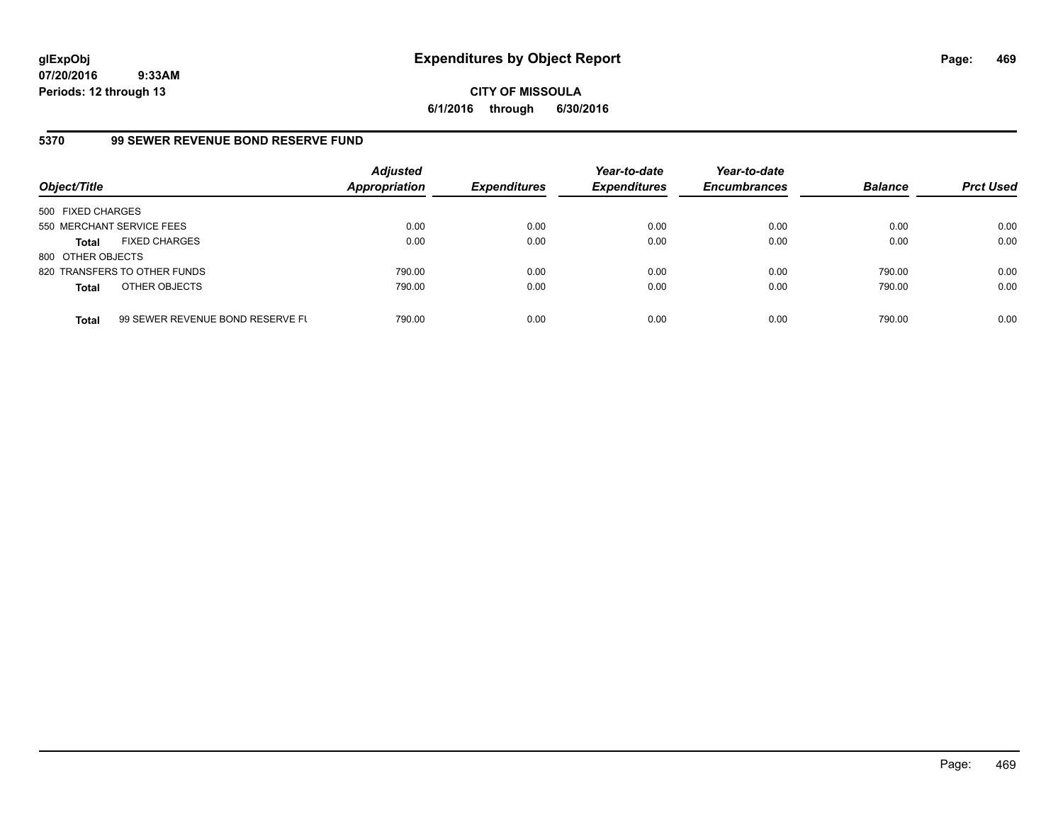**CITY OF MISSOULA 6/1/2016 through 6/30/2016**

# **5370 99 SEWER REVENUE BOND RESERVE FUND**

| Object/Title              |                                  | <b>Adjusted</b><br><b>Appropriation</b> | <b>Expenditures</b> | Year-to-date<br><b>Expenditures</b> | Year-to-date<br><b>Encumbrances</b> | <b>Balance</b> | <b>Prct Used</b> |
|---------------------------|----------------------------------|-----------------------------------------|---------------------|-------------------------------------|-------------------------------------|----------------|------------------|
| 500 FIXED CHARGES         |                                  |                                         |                     |                                     |                                     |                |                  |
| 550 MERCHANT SERVICE FEES |                                  | 0.00                                    | 0.00                | 0.00                                | 0.00                                | 0.00           | 0.00             |
| <b>Total</b>              | <b>FIXED CHARGES</b>             | 0.00                                    | 0.00                | 0.00                                | 0.00                                | 0.00           | 0.00             |
| 800 OTHER OBJECTS         |                                  |                                         |                     |                                     |                                     |                |                  |
|                           | 820 TRANSFERS TO OTHER FUNDS     | 790.00                                  | 0.00                | 0.00                                | 0.00                                | 790.00         | 0.00             |
| <b>Total</b>              | OTHER OBJECTS                    | 790.00                                  | 0.00                | 0.00                                | 0.00                                | 790.00         | 0.00             |
| <b>Total</b>              | 99 SEWER REVENUE BOND RESERVE FL | 790.00                                  | 0.00                | 0.00                                | 0.00                                | 790.00         | 0.00             |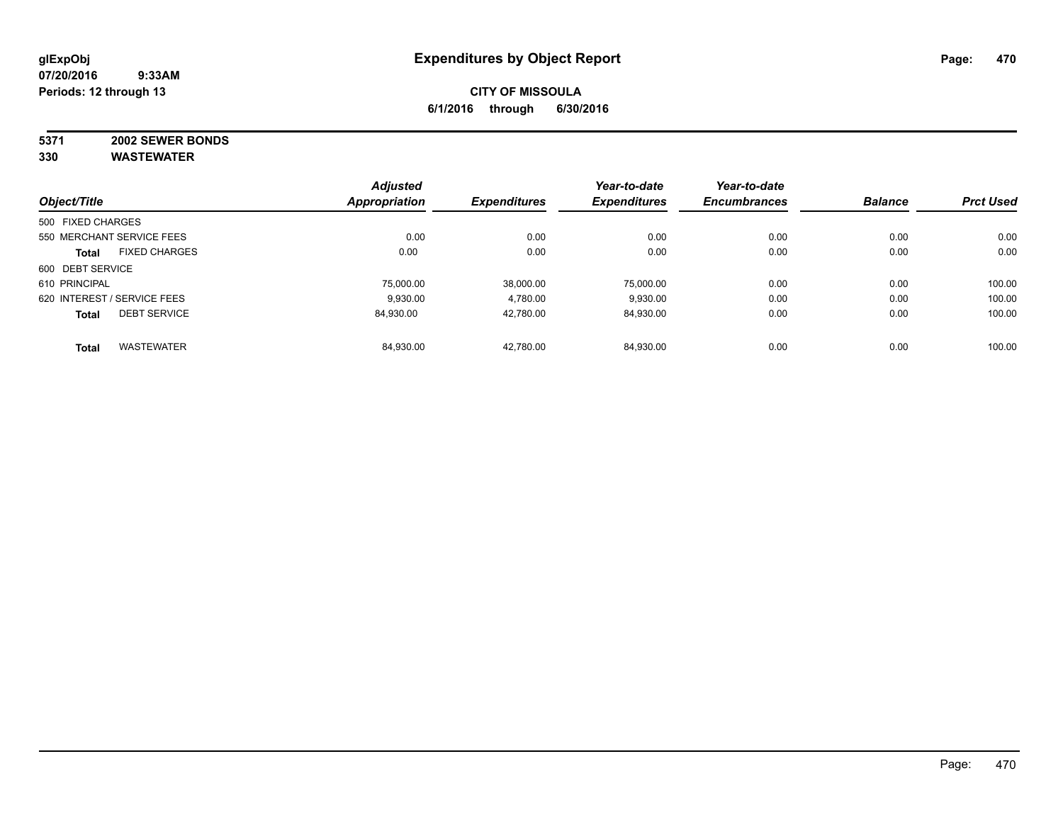# **5371 2002 SEWER BONDS**

| Object/Title                |                      | <b>Adjusted</b><br><b>Appropriation</b> | <b>Expenditures</b> | Year-to-date<br><b>Expenditures</b> | Year-to-date        | <b>Balance</b> | <b>Prct Used</b> |
|-----------------------------|----------------------|-----------------------------------------|---------------------|-------------------------------------|---------------------|----------------|------------------|
|                             |                      |                                         |                     |                                     | <b>Encumbrances</b> |                |                  |
| 500 FIXED CHARGES           |                      |                                         |                     |                                     |                     |                |                  |
| 550 MERCHANT SERVICE FEES   |                      | 0.00                                    | 0.00                | 0.00                                | 0.00                | 0.00           | 0.00             |
| <b>Total</b>                | <b>FIXED CHARGES</b> | 0.00                                    | 0.00                | 0.00                                | 0.00                | 0.00           | 0.00             |
| 600 DEBT SERVICE            |                      |                                         |                     |                                     |                     |                |                  |
| 610 PRINCIPAL               |                      | 75,000.00                               | 38.000.00           | 75.000.00                           | 0.00                | 0.00           | 100.00           |
| 620 INTEREST / SERVICE FEES |                      | 9,930.00                                | 4,780.00            | 9,930.00                            | 0.00                | 0.00           | 100.00           |
| <b>Total</b>                | <b>DEBT SERVICE</b>  | 84.930.00                               | 42.780.00           | 84,930.00                           | 0.00                | 0.00           | 100.00           |
| <b>Total</b>                | <b>WASTEWATER</b>    | 84,930.00                               | 42.780.00           | 84.930.00                           | 0.00                | 0.00           | 100.00           |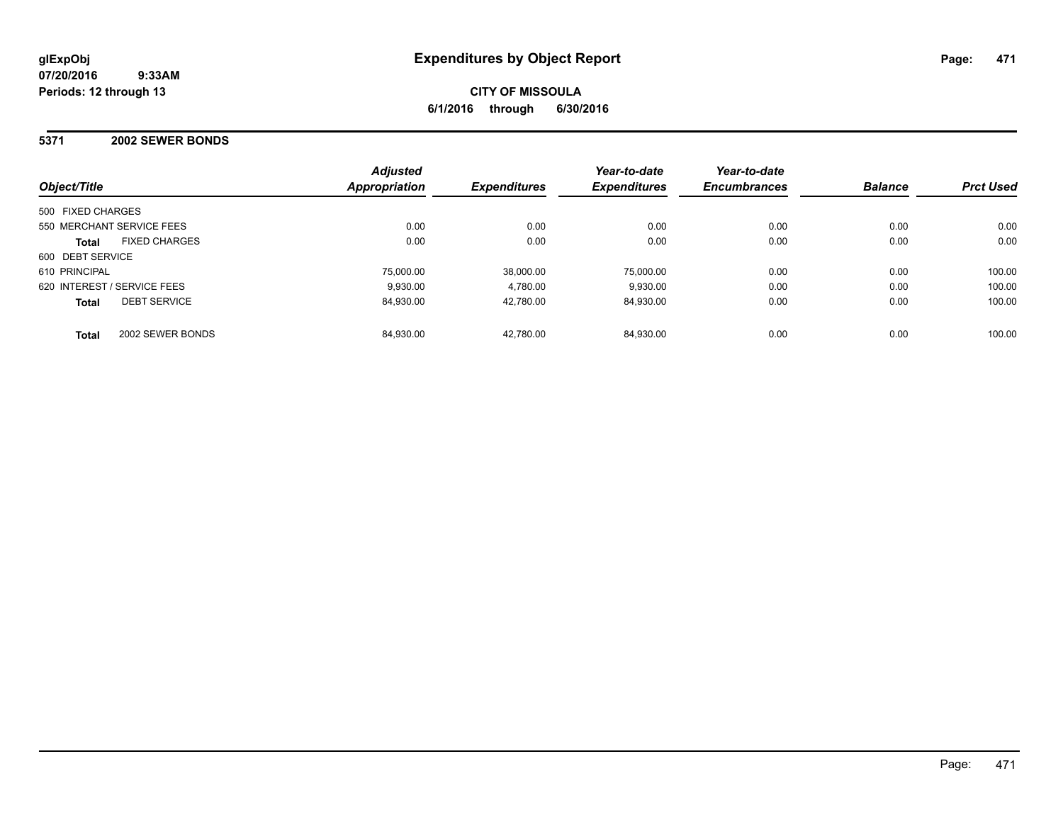### **5371 2002 SEWER BONDS**

| Object/Title                         | <b>Adjusted</b><br>Appropriation | <b>Expenditures</b> | Year-to-date<br><b>Expenditures</b> | Year-to-date<br><b>Encumbrances</b> | <b>Balance</b> | <b>Prct Used</b> |
|--------------------------------------|----------------------------------|---------------------|-------------------------------------|-------------------------------------|----------------|------------------|
| 500 FIXED CHARGES                    |                                  |                     |                                     |                                     |                |                  |
| 550 MERCHANT SERVICE FEES            | 0.00                             | 0.00                | 0.00                                | 0.00                                | 0.00           | 0.00             |
| <b>FIXED CHARGES</b><br><b>Total</b> | 0.00                             | 0.00                | 0.00                                | 0.00                                | 0.00           | 0.00             |
| 600 DEBT SERVICE                     |                                  |                     |                                     |                                     |                |                  |
| 610 PRINCIPAL                        | 75,000.00                        | 38.000.00           | 75.000.00                           | 0.00                                | 0.00           | 100.00           |
| 620 INTEREST / SERVICE FEES          | 9.930.00                         | 4.780.00            | 9.930.00                            | 0.00                                | 0.00           | 100.00           |
| <b>DEBT SERVICE</b><br><b>Total</b>  | 84.930.00                        | 42.780.00           | 84.930.00                           | 0.00                                | 0.00           | 100.00           |
| 2002 SEWER BONDS<br><b>Total</b>     | 84.930.00                        | 42.780.00           | 84.930.00                           | 0.00                                | 0.00           | 100.00           |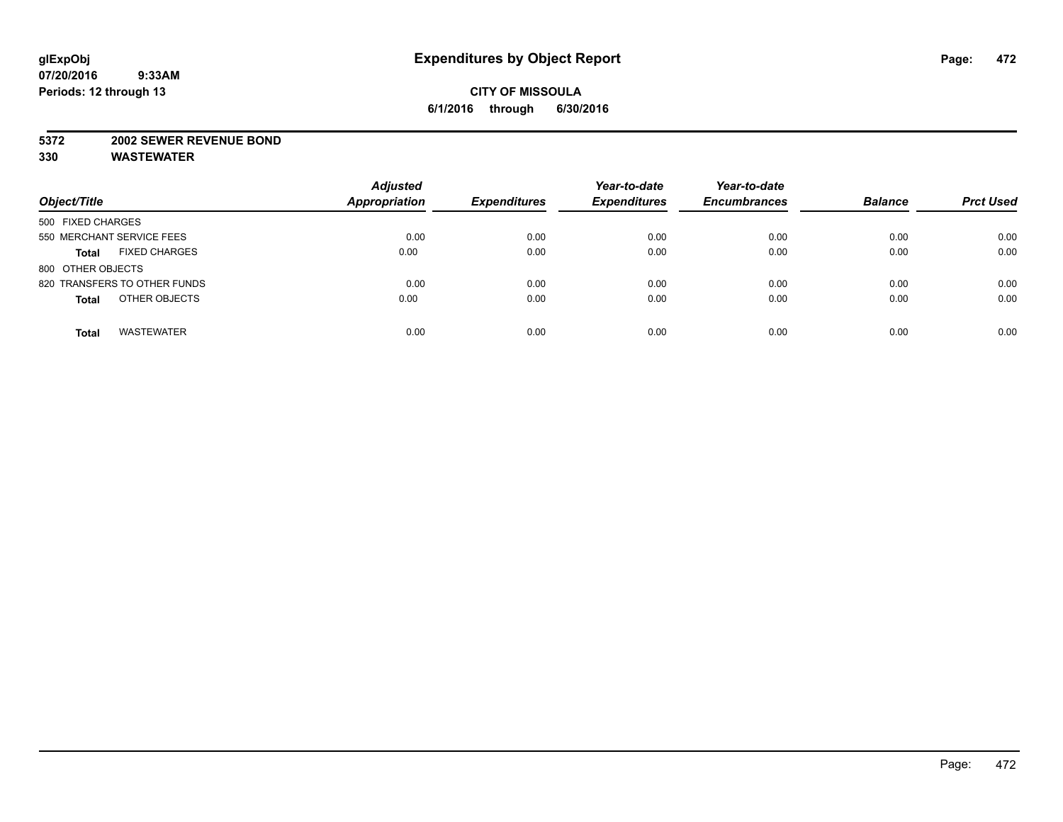#### **5372 2002 SEWER REVENUE BOND**

| Object/Title                         | <b>Adjusted</b><br><b>Appropriation</b> | <b>Expenditures</b> | Year-to-date<br><b>Expenditures</b> | Year-to-date<br><b>Encumbrances</b> | <b>Balance</b> | <b>Prct Used</b> |
|--------------------------------------|-----------------------------------------|---------------------|-------------------------------------|-------------------------------------|----------------|------------------|
| 500 FIXED CHARGES                    |                                         |                     |                                     |                                     |                |                  |
| 550 MERCHANT SERVICE FEES            | 0.00                                    | 0.00                | 0.00                                | 0.00                                | 0.00           | 0.00             |
| <b>FIXED CHARGES</b><br><b>Total</b> | 0.00                                    | 0.00                | 0.00                                | 0.00                                | 0.00           | 0.00             |
| 800 OTHER OBJECTS                    |                                         |                     |                                     |                                     |                |                  |
| 820 TRANSFERS TO OTHER FUNDS         | 0.00                                    | 0.00                | 0.00                                | 0.00                                | 0.00           | 0.00             |
| OTHER OBJECTS<br><b>Total</b>        | 0.00                                    | 0.00                | 0.00                                | 0.00                                | 0.00           | 0.00             |
| <b>WASTEWATER</b><br><b>Total</b>    | 0.00                                    | 0.00                | 0.00                                | 0.00                                | 0.00           | 0.00             |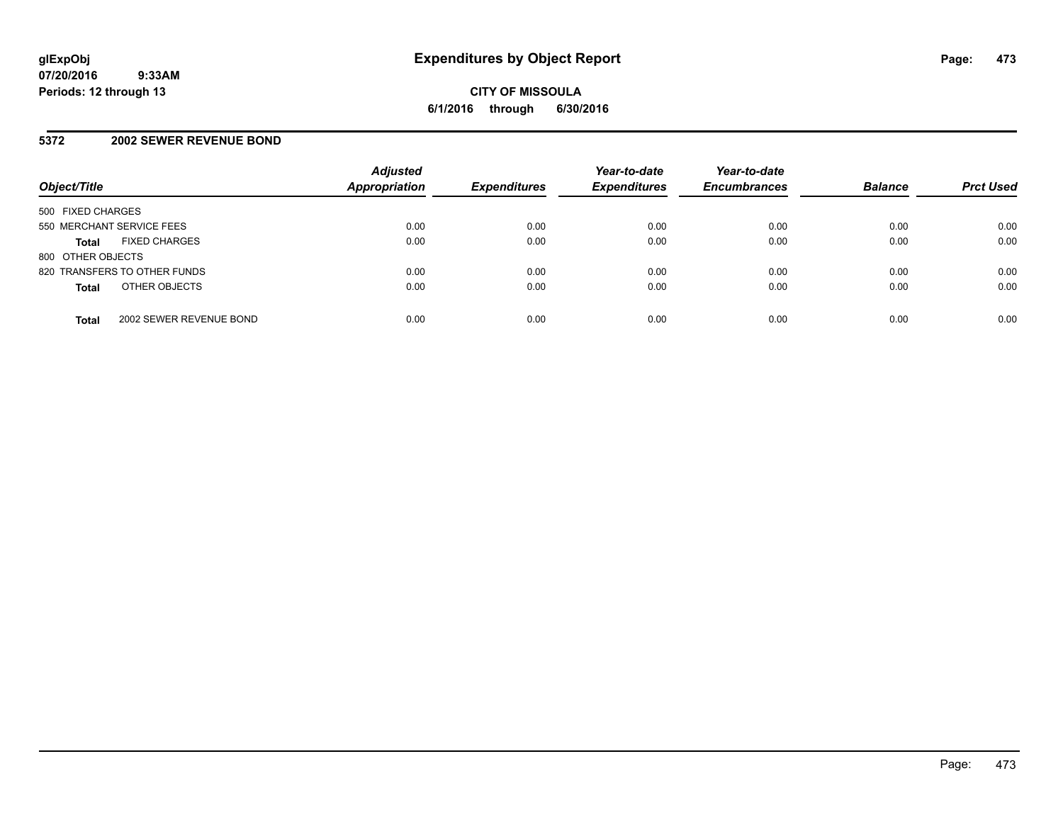# **5372 2002 SEWER REVENUE BOND**

| Object/Title                            | <b>Adjusted</b><br><b>Appropriation</b> | <b>Expenditures</b> | Year-to-date<br><b>Expenditures</b> | Year-to-date<br><b>Encumbrances</b> | <b>Balance</b> | <b>Prct Used</b> |
|-----------------------------------------|-----------------------------------------|---------------------|-------------------------------------|-------------------------------------|----------------|------------------|
| 500 FIXED CHARGES                       |                                         |                     |                                     |                                     |                |                  |
| 550 MERCHANT SERVICE FEES               | 0.00                                    | 0.00                | 0.00                                | 0.00                                | 0.00           | 0.00             |
| <b>FIXED CHARGES</b><br><b>Total</b>    | 0.00                                    | 0.00                | 0.00                                | 0.00                                | 0.00           | 0.00             |
| 800 OTHER OBJECTS                       |                                         |                     |                                     |                                     |                |                  |
| 820 TRANSFERS TO OTHER FUNDS            | 0.00                                    | 0.00                | 0.00                                | 0.00                                | 0.00           | 0.00             |
| OTHER OBJECTS<br><b>Total</b>           | 0.00                                    | 0.00                | 0.00                                | 0.00                                | 0.00           | 0.00             |
| 2002 SEWER REVENUE BOND<br><b>Total</b> | 0.00                                    | 0.00                | 0.00                                | 0.00                                | 0.00           | 0.00             |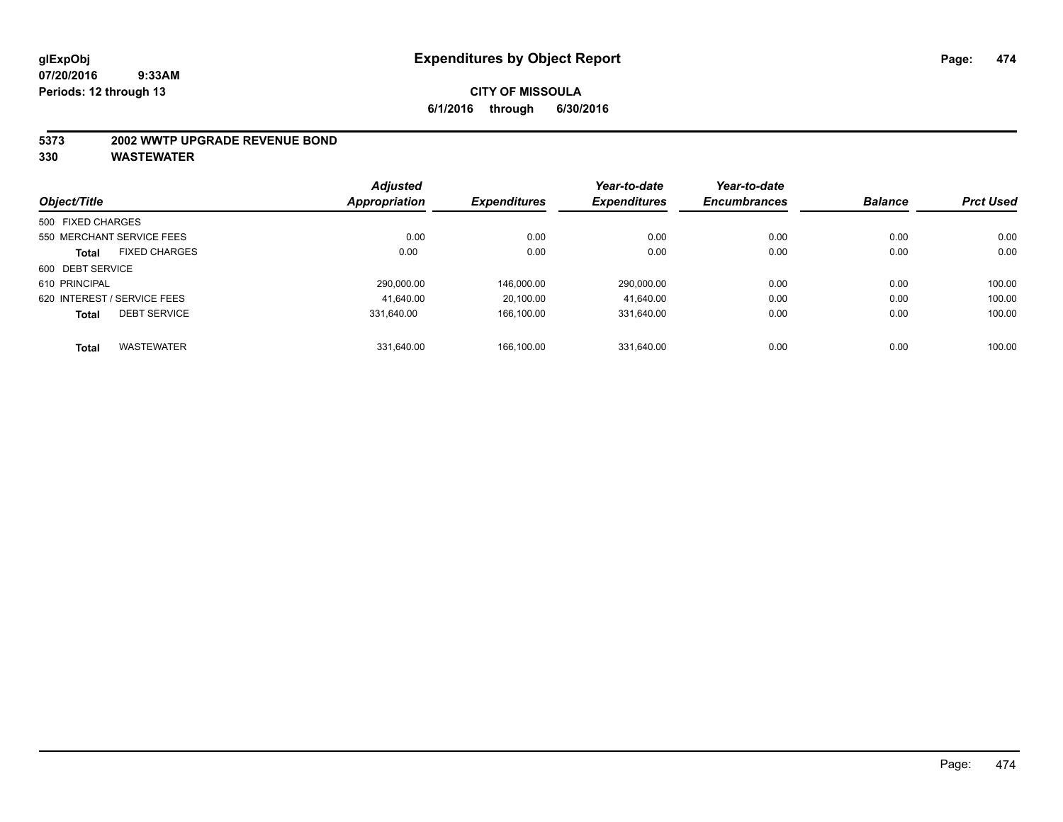#### **5373 2002 WWTP UPGRADE REVENUE BOND**

| Object/Title      |                             | <b>Adjusted</b> | <b>Expenditures</b> | Year-to-date<br><b>Expenditures</b> | Year-to-date        | <b>Balance</b> | <b>Prct Used</b> |
|-------------------|-----------------------------|-----------------|---------------------|-------------------------------------|---------------------|----------------|------------------|
|                   |                             | Appropriation   |                     |                                     | <b>Encumbrances</b> |                |                  |
| 500 FIXED CHARGES |                             |                 |                     |                                     |                     |                |                  |
|                   | 550 MERCHANT SERVICE FEES   | 0.00            | 0.00                | 0.00                                | 0.00                | 0.00           | 0.00             |
| <b>Total</b>      | <b>FIXED CHARGES</b>        | 0.00            | 0.00                | 0.00                                | 0.00                | 0.00           | 0.00             |
| 600 DEBT SERVICE  |                             |                 |                     |                                     |                     |                |                  |
| 610 PRINCIPAL     |                             | 290.000.00      | 146.000.00          | 290,000.00                          | 0.00                | 0.00           | 100.00           |
|                   | 620 INTEREST / SERVICE FEES | 41.640.00       | 20.100.00           | 41.640.00                           | 0.00                | 0.00           | 100.00           |
| <b>Total</b>      | <b>DEBT SERVICE</b>         | 331.640.00      | 166.100.00          | 331.640.00                          | 0.00                | 0.00           | 100.00           |
| <b>Total</b>      | <b>WASTEWATER</b>           | 331.640.00      | 166.100.00          | 331.640.00                          | 0.00                | 0.00           | 100.00           |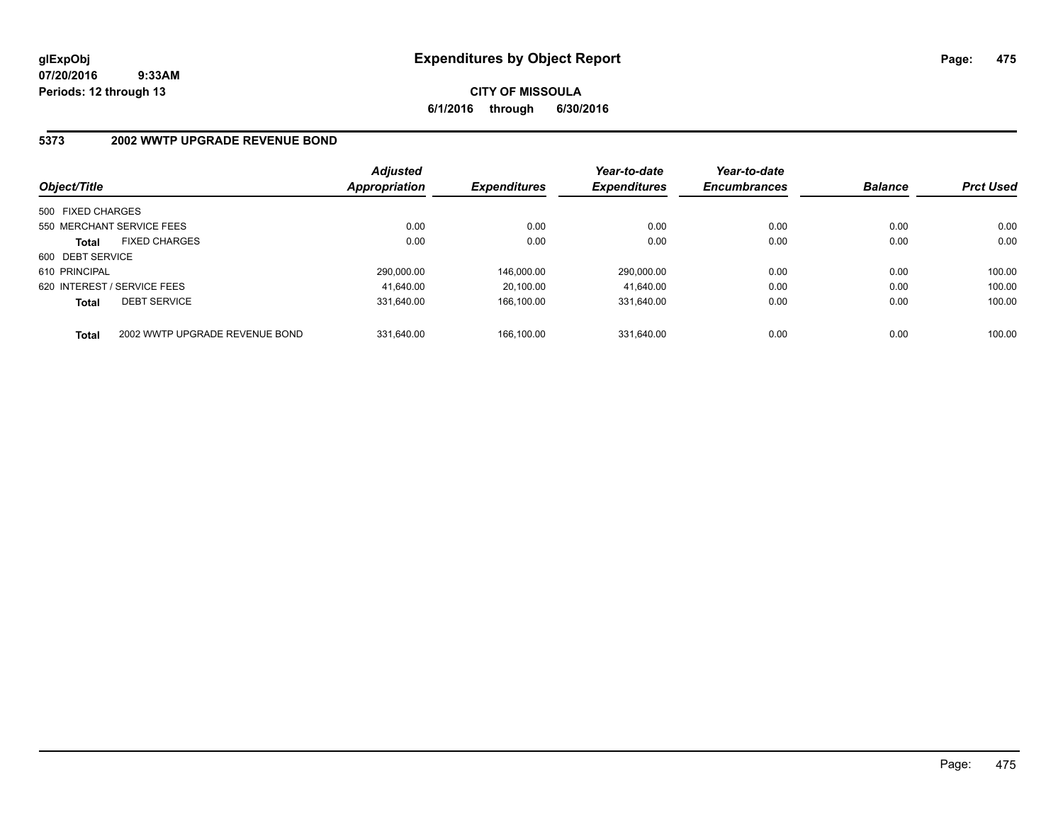**CITY OF MISSOULA 6/1/2016 through 6/30/2016**

# **5373 2002 WWTP UPGRADE REVENUE BOND**

| Object/Title                |                                | <b>Adjusted</b><br><b>Appropriation</b> | <b>Expenditures</b> | Year-to-date<br><b>Expenditures</b> | Year-to-date<br><b>Encumbrances</b> | <b>Balance</b> | <b>Prct Used</b> |
|-----------------------------|--------------------------------|-----------------------------------------|---------------------|-------------------------------------|-------------------------------------|----------------|------------------|
| 500 FIXED CHARGES           |                                |                                         |                     |                                     |                                     |                |                  |
|                             | 550 MERCHANT SERVICE FEES      | 0.00                                    | 0.00                | 0.00                                | 0.00                                | 0.00           | 0.00             |
| <b>Total</b>                | <b>FIXED CHARGES</b>           | 0.00                                    | 0.00                | 0.00                                | 0.00                                | 0.00           | 0.00             |
| 600 DEBT SERVICE            |                                |                                         |                     |                                     |                                     |                |                  |
| 610 PRINCIPAL               |                                | 290.000.00                              | 146.000.00          | 290.000.00                          | 0.00                                | 0.00           | 100.00           |
| 620 INTEREST / SERVICE FEES |                                | 41.640.00                               | 20.100.00           | 41.640.00                           | 0.00                                | 0.00           | 100.00           |
| <b>Total</b>                | <b>DEBT SERVICE</b>            | 331.640.00                              | 166.100.00          | 331.640.00                          | 0.00                                | 0.00           | 100.00           |
| <b>Total</b>                | 2002 WWTP UPGRADE REVENUE BOND | 331.640.00                              | 166.100.00          | 331.640.00                          | 0.00                                | 0.00           | 100.00           |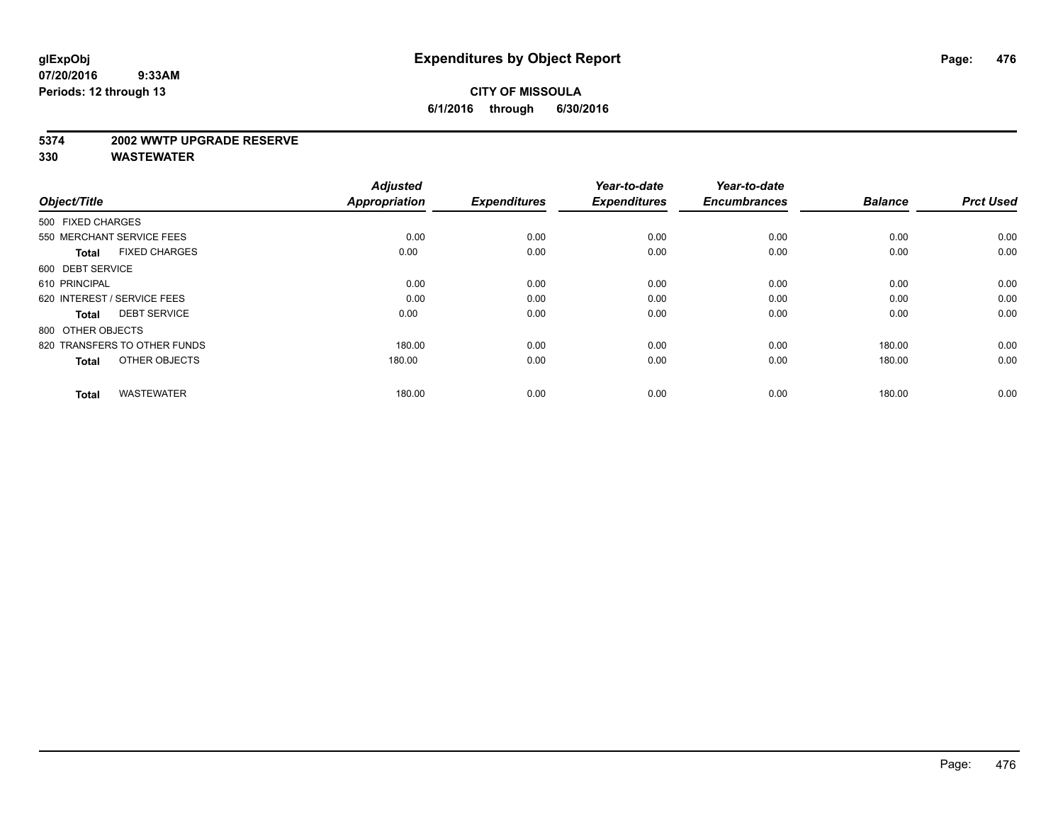#### **5374 2002 WWTP UPGRADE RESERVE**

| Object/Title                         | <b>Adjusted</b><br><b>Appropriation</b> | <b>Expenditures</b> | Year-to-date<br><b>Expenditures</b> | Year-to-date<br><b>Encumbrances</b> | <b>Balance</b> | <b>Prct Used</b> |
|--------------------------------------|-----------------------------------------|---------------------|-------------------------------------|-------------------------------------|----------------|------------------|
| 500 FIXED CHARGES                    |                                         |                     |                                     |                                     |                |                  |
| 550 MERCHANT SERVICE FEES            | 0.00                                    | 0.00                | 0.00                                | 0.00                                | 0.00           | 0.00             |
| <b>FIXED CHARGES</b><br><b>Total</b> | 0.00                                    | 0.00                | 0.00                                | 0.00                                | 0.00           | 0.00             |
| 600 DEBT SERVICE                     |                                         |                     |                                     |                                     |                |                  |
| 610 PRINCIPAL                        | 0.00                                    | 0.00                | 0.00                                | 0.00                                | 0.00           | 0.00             |
| 620 INTEREST / SERVICE FEES          | 0.00                                    | 0.00                | 0.00                                | 0.00                                | 0.00           | 0.00             |
| <b>DEBT SERVICE</b><br><b>Total</b>  | 0.00                                    | 0.00                | 0.00                                | 0.00                                | 0.00           | 0.00             |
| 800 OTHER OBJECTS                    |                                         |                     |                                     |                                     |                |                  |
| 820 TRANSFERS TO OTHER FUNDS         | 180.00                                  | 0.00                | 0.00                                | 0.00                                | 180.00         | 0.00             |
| OTHER OBJECTS<br><b>Total</b>        | 180.00                                  | 0.00                | 0.00                                | 0.00                                | 180.00         | 0.00             |
|                                      |                                         |                     |                                     |                                     |                |                  |
| <b>WASTEWATER</b><br><b>Total</b>    | 180.00                                  | 0.00                | 0.00                                | 0.00                                | 180.00         | 0.00             |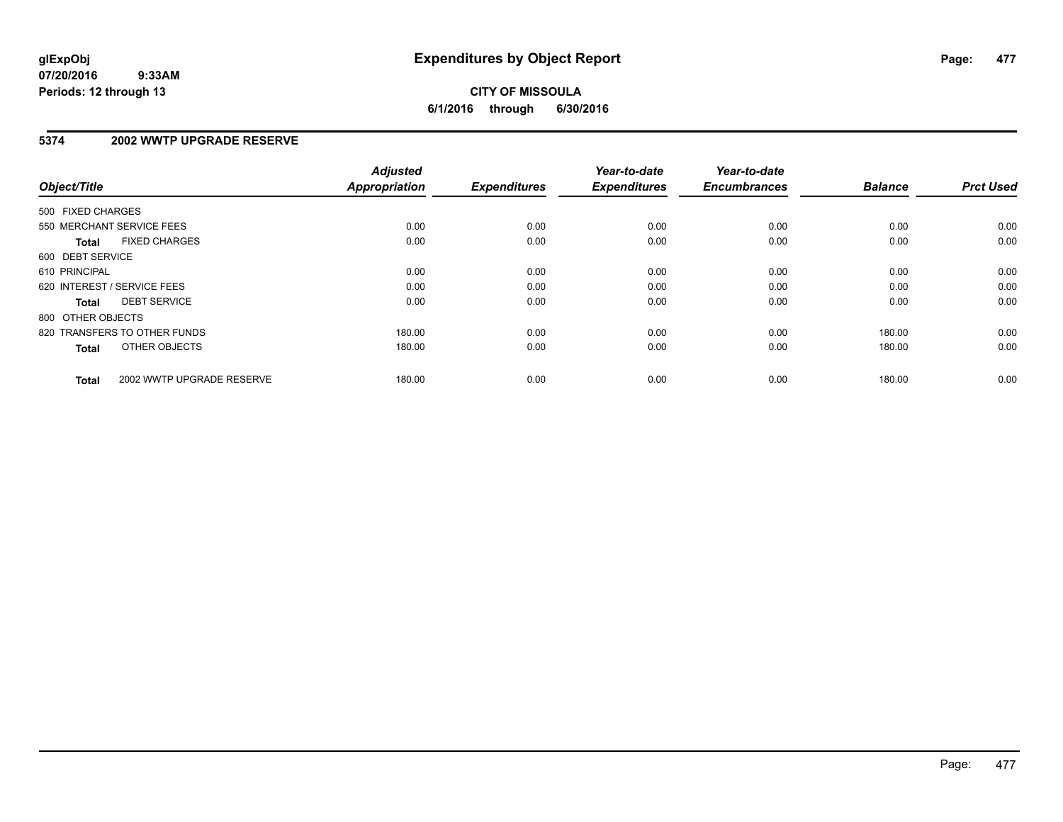# **5374 2002 WWTP UPGRADE RESERVE**

| Object/Title                              | <b>Adjusted</b><br>Appropriation | <b>Expenditures</b> | Year-to-date<br><b>Expenditures</b> | Year-to-date<br><b>Encumbrances</b> | <b>Balance</b> | <b>Prct Used</b> |
|-------------------------------------------|----------------------------------|---------------------|-------------------------------------|-------------------------------------|----------------|------------------|
| 500 FIXED CHARGES                         |                                  |                     |                                     |                                     |                |                  |
| 550 MERCHANT SERVICE FEES                 | 0.00                             | 0.00                | 0.00                                | 0.00                                | 0.00           | 0.00             |
| <b>FIXED CHARGES</b><br><b>Total</b>      | 0.00                             | 0.00                | 0.00                                | 0.00                                | 0.00           | 0.00             |
| 600 DEBT SERVICE                          |                                  |                     |                                     |                                     |                |                  |
| 610 PRINCIPAL                             | 0.00                             | 0.00                | 0.00                                | 0.00                                | 0.00           | 0.00             |
| 620 INTEREST / SERVICE FEES               | 0.00                             | 0.00                | 0.00                                | 0.00                                | 0.00           | 0.00             |
| <b>DEBT SERVICE</b><br><b>Total</b>       | 0.00                             | 0.00                | 0.00                                | 0.00                                | 0.00           | 0.00             |
| 800 OTHER OBJECTS                         |                                  |                     |                                     |                                     |                |                  |
| 820 TRANSFERS TO OTHER FUNDS              | 180.00                           | 0.00                | 0.00                                | 0.00                                | 180.00         | 0.00             |
| <b>OTHER OBJECTS</b><br><b>Total</b>      | 180.00                           | 0.00                | 0.00                                | 0.00                                | 180.00         | 0.00             |
| 2002 WWTP UPGRADE RESERVE<br><b>Total</b> | 180.00                           | 0.00                | 0.00                                | 0.00                                | 180.00         | 0.00             |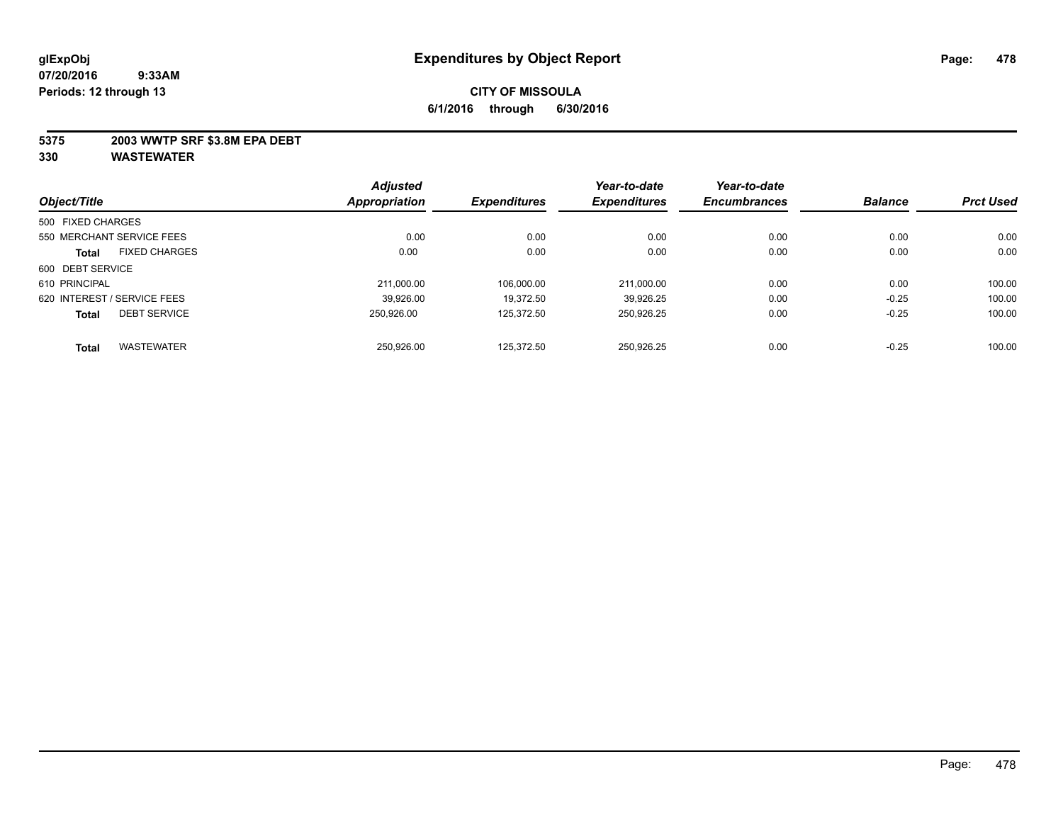### **5375 2003 WWTP SRF \$3.8M EPA DEBT**

| Object/Title      |                             | <b>Adjusted</b><br><b>Appropriation</b> | <b>Expenditures</b> | Year-to-date<br><b>Expenditures</b> | Year-to-date        | <b>Balance</b> | <b>Prct Used</b> |
|-------------------|-----------------------------|-----------------------------------------|---------------------|-------------------------------------|---------------------|----------------|------------------|
|                   |                             |                                         |                     |                                     | <b>Encumbrances</b> |                |                  |
| 500 FIXED CHARGES |                             |                                         |                     |                                     |                     |                |                  |
|                   | 550 MERCHANT SERVICE FEES   | 0.00                                    | 0.00                | 0.00                                | 0.00                | 0.00           | 0.00             |
| <b>Total</b>      | <b>FIXED CHARGES</b>        | 0.00                                    | 0.00                | 0.00                                | 0.00                | 0.00           | 0.00             |
| 600 DEBT SERVICE  |                             |                                         |                     |                                     |                     |                |                  |
| 610 PRINCIPAL     |                             | 211.000.00                              | 106.000.00          | 211,000.00                          | 0.00                | 0.00           | 100.00           |
|                   | 620 INTEREST / SERVICE FEES | 39,926.00                               | 19.372.50           | 39.926.25                           | 0.00                | $-0.25$        | 100.00           |
| <b>Total</b>      | <b>DEBT SERVICE</b>         | 250.926.00                              | 125.372.50          | 250,926.25                          | 0.00                | $-0.25$        | 100.00           |
| <b>Total</b>      | <b>WASTEWATER</b>           | 250.926.00                              | 125.372.50          | 250.926.25                          | 0.00                | $-0.25$        | 100.00           |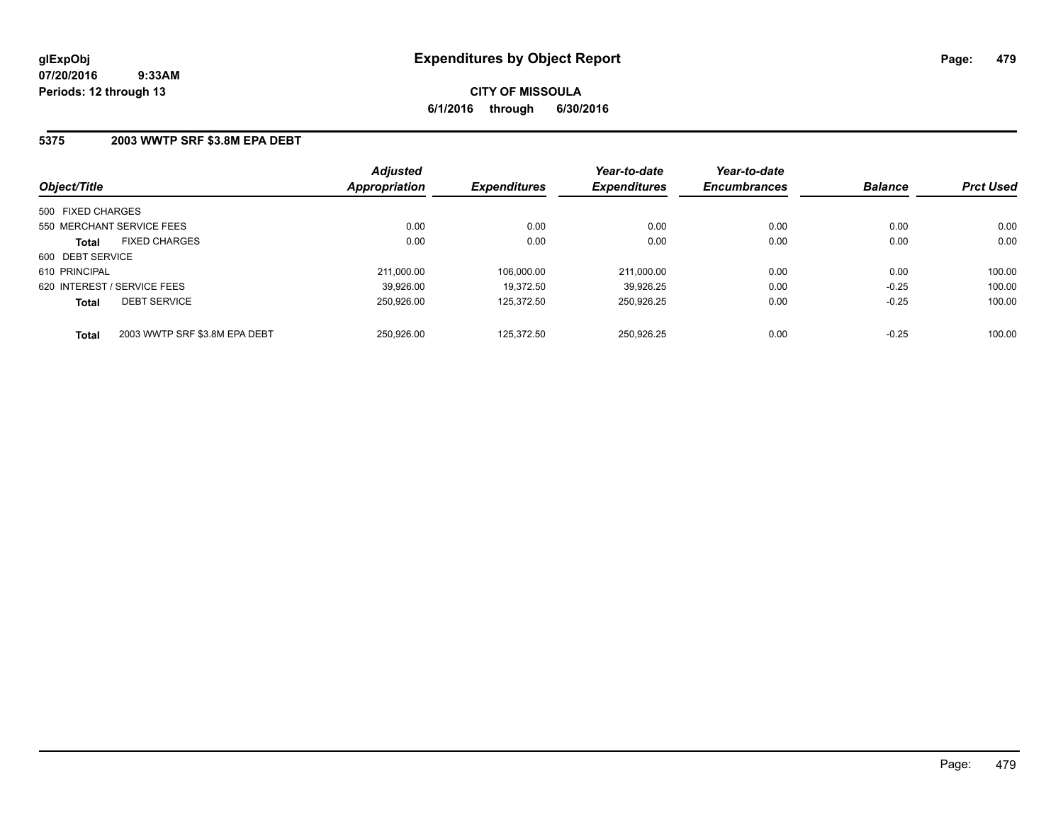### **5375 2003 WWTP SRF \$3.8M EPA DEBT**

| Object/Title                                  | <b>Adjusted</b><br>Appropriation | <b>Expenditures</b> | Year-to-date<br><b>Expenditures</b> | Year-to-date<br><b>Encumbrances</b> | <b>Balance</b> | <b>Prct Used</b> |
|-----------------------------------------------|----------------------------------|---------------------|-------------------------------------|-------------------------------------|----------------|------------------|
| 500 FIXED CHARGES                             |                                  |                     |                                     |                                     |                |                  |
| 550 MERCHANT SERVICE FEES                     | 0.00                             | 0.00                | 0.00                                | 0.00                                | 0.00           | 0.00             |
| <b>FIXED CHARGES</b><br><b>Total</b>          | 0.00                             | 0.00                | 0.00                                | 0.00                                | 0.00           | 0.00             |
| 600 DEBT SERVICE                              |                                  |                     |                                     |                                     |                |                  |
| 610 PRINCIPAL                                 | 211.000.00                       | 106.000.00          | 211.000.00                          | 0.00                                | 0.00           | 100.00           |
| 620 INTEREST / SERVICE FEES                   | 39.926.00                        | 19.372.50           | 39.926.25                           | 0.00                                | $-0.25$        | 100.00           |
| <b>DEBT SERVICE</b><br><b>Total</b>           | 250.926.00                       | 125.372.50          | 250,926.25                          | 0.00                                | $-0.25$        | 100.00           |
| 2003 WWTP SRF \$3.8M EPA DEBT<br><b>Total</b> | 250.926.00                       | 125.372.50          | 250.926.25                          | 0.00                                | $-0.25$        | 100.00           |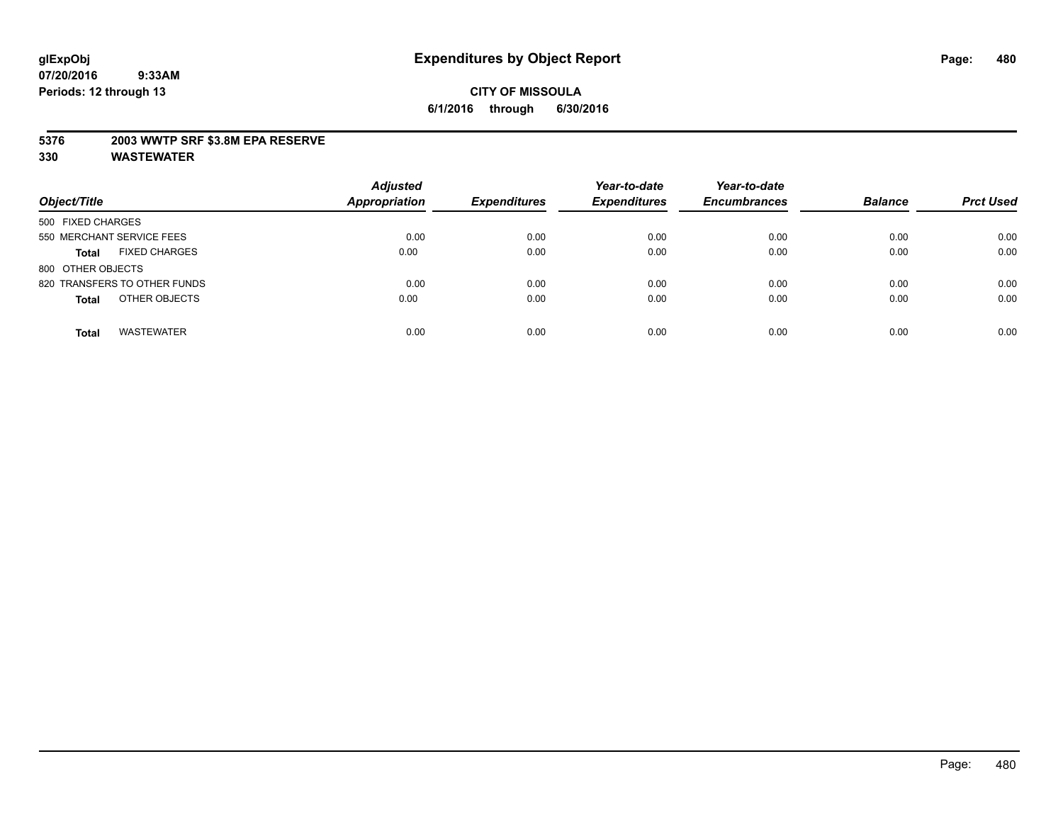### **5376 2003 WWTP SRF \$3.8M EPA RESERVE**

| Object/Title                         | <b>Adjusted</b><br><b>Appropriation</b> | <b>Expenditures</b> | Year-to-date<br><b>Expenditures</b> | Year-to-date<br><b>Encumbrances</b> | <b>Balance</b> | <b>Prct Used</b> |
|--------------------------------------|-----------------------------------------|---------------------|-------------------------------------|-------------------------------------|----------------|------------------|
| 500 FIXED CHARGES                    |                                         |                     |                                     |                                     |                |                  |
| 550 MERCHANT SERVICE FEES            | 0.00                                    | 0.00                | 0.00                                | 0.00                                | 0.00           | 0.00             |
| <b>FIXED CHARGES</b><br><b>Total</b> | 0.00                                    | 0.00                | 0.00                                | 0.00                                | 0.00           | 0.00             |
| 800 OTHER OBJECTS                    |                                         |                     |                                     |                                     |                |                  |
| 820 TRANSFERS TO OTHER FUNDS         | 0.00                                    | 0.00                | 0.00                                | 0.00                                | 0.00           | 0.00             |
| OTHER OBJECTS<br><b>Total</b>        | 0.00                                    | 0.00                | 0.00                                | 0.00                                | 0.00           | 0.00             |
| <b>WASTEWATER</b><br><b>Total</b>    | 0.00                                    | 0.00                | 0.00                                | 0.00                                | 0.00           | 0.00             |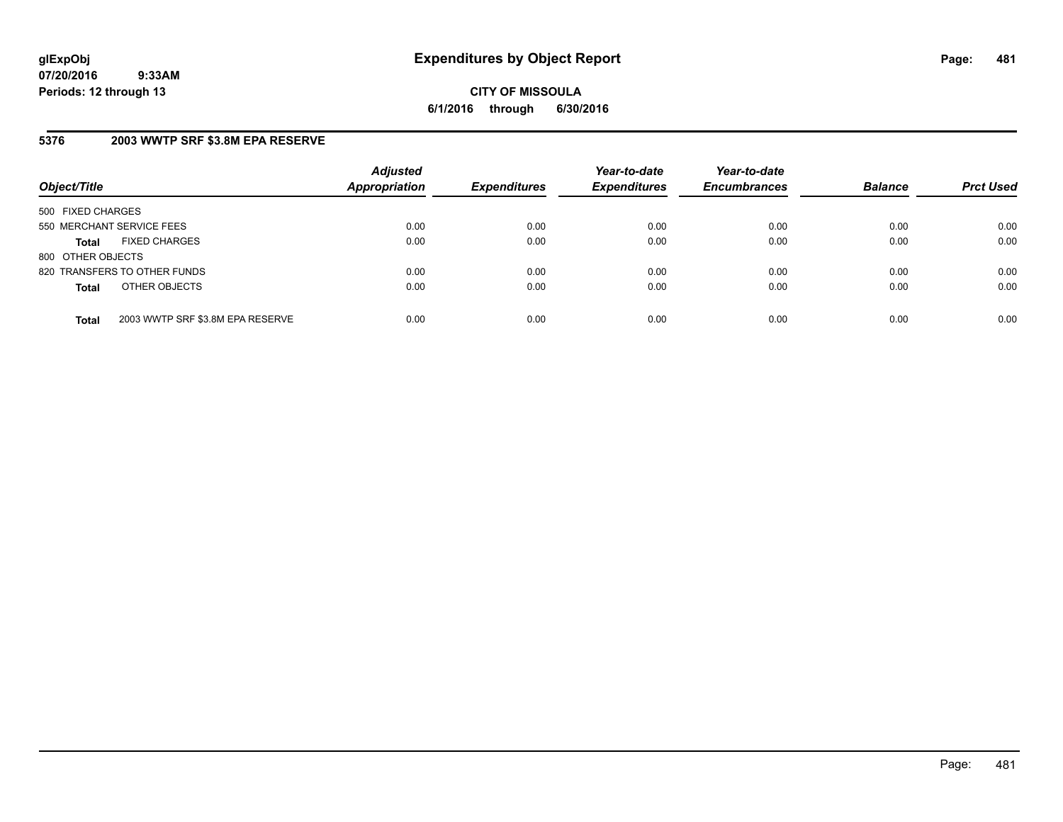**CITY OF MISSOULA 6/1/2016 through 6/30/2016**

# **5376 2003 WWTP SRF \$3.8M EPA RESERVE**

| Object/Title              |                                  | <b>Adjusted</b><br><b>Appropriation</b> | <b>Expenditures</b> | Year-to-date<br><b>Expenditures</b> | Year-to-date<br><b>Encumbrances</b> | <b>Balance</b> | <b>Prct Used</b> |
|---------------------------|----------------------------------|-----------------------------------------|---------------------|-------------------------------------|-------------------------------------|----------------|------------------|
| 500 FIXED CHARGES         |                                  |                                         |                     |                                     |                                     |                |                  |
| 550 MERCHANT SERVICE FEES |                                  | 0.00                                    | 0.00                | 0.00                                | 0.00                                | 0.00           | 0.00             |
| <b>Total</b>              | <b>FIXED CHARGES</b>             | 0.00                                    | 0.00                | 0.00                                | 0.00                                | 0.00           | 0.00             |
| 800 OTHER OBJECTS         |                                  |                                         |                     |                                     |                                     |                |                  |
|                           | 820 TRANSFERS TO OTHER FUNDS     | 0.00                                    | 0.00                | 0.00                                | 0.00                                | 0.00           | 0.00             |
| <b>Total</b>              | OTHER OBJECTS                    | 0.00                                    | 0.00                | 0.00                                | 0.00                                | 0.00           | 0.00             |
| <b>Total</b>              | 2003 WWTP SRF \$3.8M EPA RESERVE | 0.00                                    | 0.00                | 0.00                                | 0.00                                | 0.00           | 0.00             |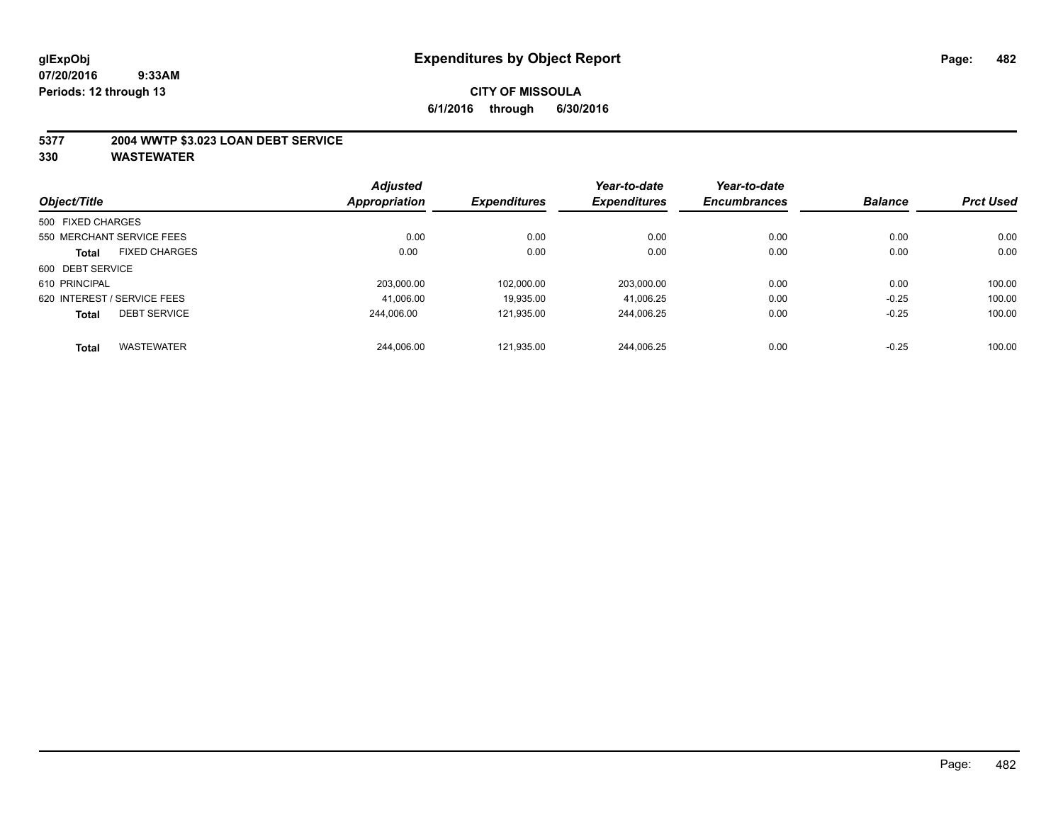### **5377 2004 WWTP \$3.023 LOAN DEBT SERVICE**

|                   |                             | <b>Adjusted</b> |                     | Year-to-date        | Year-to-date        |                |                  |
|-------------------|-----------------------------|-----------------|---------------------|---------------------|---------------------|----------------|------------------|
| Object/Title      |                             | Appropriation   | <b>Expenditures</b> | <b>Expenditures</b> | <b>Encumbrances</b> | <b>Balance</b> | <b>Prct Used</b> |
| 500 FIXED CHARGES |                             |                 |                     |                     |                     |                |                  |
|                   | 550 MERCHANT SERVICE FEES   | 0.00            | 0.00                | 0.00                | 0.00                | 0.00           | 0.00             |
| <b>Total</b>      | <b>FIXED CHARGES</b>        | 0.00            | 0.00                | 0.00                | 0.00                | 0.00           | 0.00             |
| 600 DEBT SERVICE  |                             |                 |                     |                     |                     |                |                  |
| 610 PRINCIPAL     |                             | 203,000.00      | 102,000.00          | 203,000.00          | 0.00                | 0.00           | 100.00           |
|                   | 620 INTEREST / SERVICE FEES | 41,006.00       | 19.935.00           | 41.006.25           | 0.00                | $-0.25$        | 100.00           |
| <b>Total</b>      | <b>DEBT SERVICE</b>         | 244.006.00      | 121.935.00          | 244,006.25          | 0.00                | $-0.25$        | 100.00           |
| <b>Total</b>      | <b>WASTEWATER</b>           | 244.006.00      | 121.935.00          | 244.006.25          | 0.00                | $-0.25$        | 100.00           |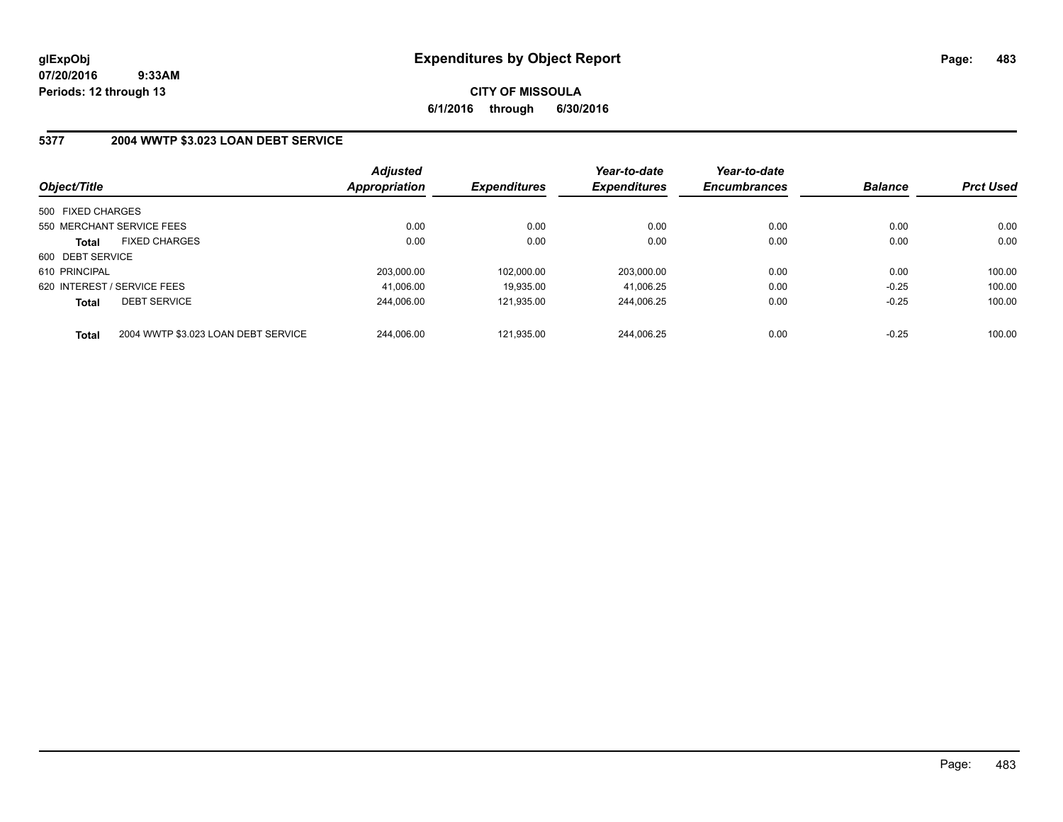**CITY OF MISSOULA 6/1/2016 through 6/30/2016**

### **5377 2004 WWTP \$3.023 LOAN DEBT SERVICE**

| Object/Title                |                                     | <b>Adjusted</b><br>Appropriation | <b>Expenditures</b> | Year-to-date<br><b>Expenditures</b> | Year-to-date<br><b>Encumbrances</b> | <b>Balance</b> | <b>Prct Used</b> |
|-----------------------------|-------------------------------------|----------------------------------|---------------------|-------------------------------------|-------------------------------------|----------------|------------------|
|                             |                                     |                                  |                     |                                     |                                     |                |                  |
| 500 FIXED CHARGES           |                                     |                                  |                     |                                     |                                     |                |                  |
|                             | 550 MERCHANT SERVICE FEES           | 0.00                             | 0.00                | 0.00                                | 0.00                                | 0.00           | 0.00             |
| <b>Total</b>                | <b>FIXED CHARGES</b>                | 0.00                             | 0.00                | 0.00                                | 0.00                                | 0.00           | 0.00             |
| 600 DEBT SERVICE            |                                     |                                  |                     |                                     |                                     |                |                  |
| 610 PRINCIPAL               |                                     | 203,000.00                       | 102.000.00          | 203.000.00                          | 0.00                                | 0.00           | 100.00           |
| 620 INTEREST / SERVICE FEES |                                     | 41.006.00                        | 19.935.00           | 41.006.25                           | 0.00                                | $-0.25$        | 100.00           |
| Total                       | <b>DEBT SERVICE</b>                 | 244.006.00                       | 121.935.00          | 244.006.25                          | 0.00                                | $-0.25$        | 100.00           |
| <b>Total</b>                | 2004 WWTP \$3.023 LOAN DEBT SERVICE | 244.006.00                       | 121.935.00          | 244.006.25                          | 0.00                                | $-0.25$        | 100.00           |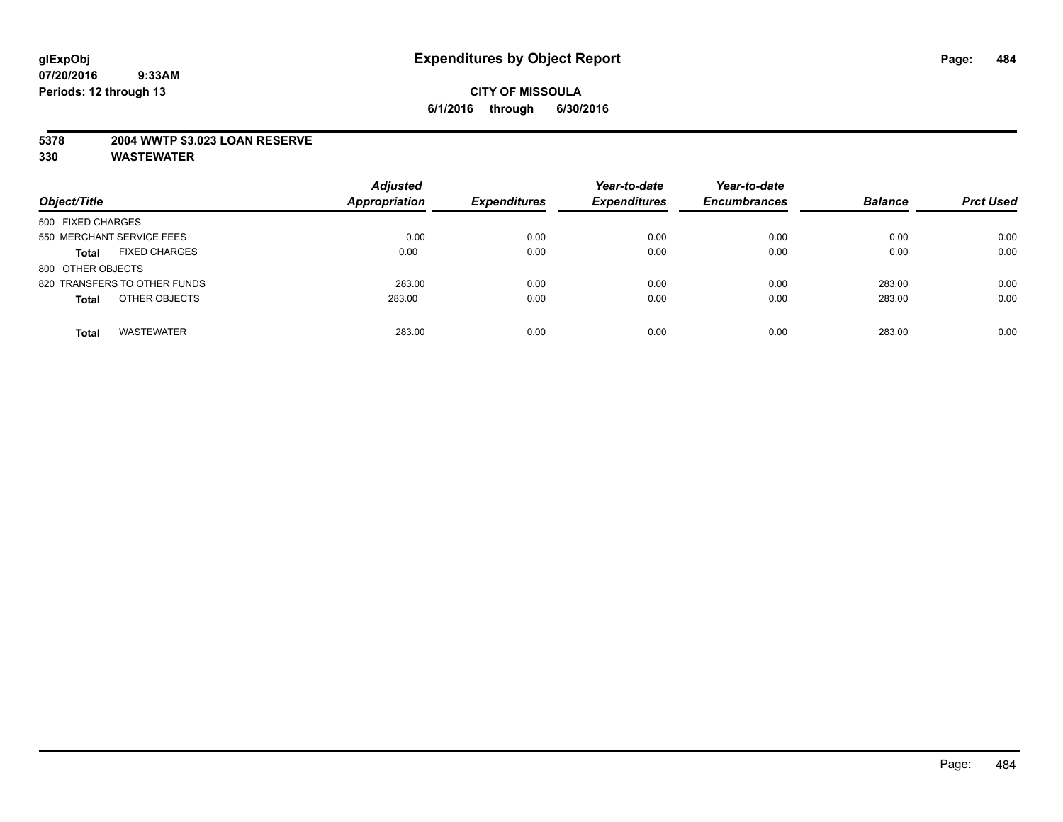### **5378 2004 WWTP \$3.023 LOAN RESERVE**

| Object/Title                         | <b>Adjusted</b><br><b>Appropriation</b> | <b>Expenditures</b> | Year-to-date<br><b>Expenditures</b> | Year-to-date<br><b>Encumbrances</b> | <b>Balance</b> | <b>Prct Used</b> |
|--------------------------------------|-----------------------------------------|---------------------|-------------------------------------|-------------------------------------|----------------|------------------|
| 500 FIXED CHARGES                    |                                         |                     |                                     |                                     |                |                  |
| 550 MERCHANT SERVICE FEES            | 0.00                                    | 0.00                | 0.00                                | 0.00                                | 0.00           | 0.00             |
| <b>FIXED CHARGES</b><br><b>Total</b> | 0.00                                    | 0.00                | 0.00                                | 0.00                                | 0.00           | 0.00             |
| 800 OTHER OBJECTS                    |                                         |                     |                                     |                                     |                |                  |
| 820 TRANSFERS TO OTHER FUNDS         | 283.00                                  | 0.00                | 0.00                                | 0.00                                | 283.00         | 0.00             |
| OTHER OBJECTS<br><b>Total</b>        | 283.00                                  | 0.00                | 0.00                                | 0.00                                | 283.00         | 0.00             |
| <b>WASTEWATER</b><br><b>Total</b>    | 283.00                                  | 0.00                | 0.00                                | 0.00                                | 283.00         | 0.00             |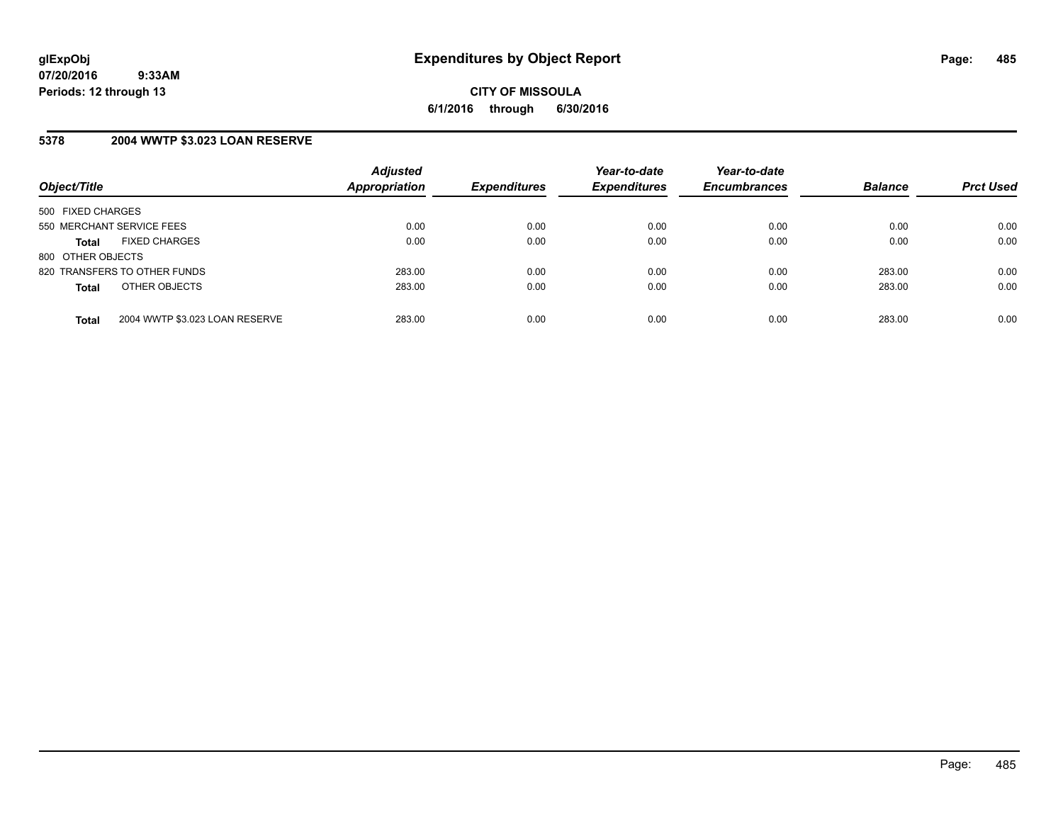# **5378 2004 WWTP \$3.023 LOAN RESERVE**

| Object/Title                 |                                | <b>Adjusted</b><br><b>Appropriation</b> | <b>Expenditures</b> | Year-to-date<br><b>Expenditures</b> | Year-to-date<br><b>Encumbrances</b> | <b>Balance</b> | <b>Prct Used</b> |
|------------------------------|--------------------------------|-----------------------------------------|---------------------|-------------------------------------|-------------------------------------|----------------|------------------|
| 500 FIXED CHARGES            |                                |                                         |                     |                                     |                                     |                |                  |
| 550 MERCHANT SERVICE FEES    |                                | 0.00                                    | 0.00                | 0.00                                | 0.00                                | 0.00           | 0.00             |
| <b>Total</b>                 | <b>FIXED CHARGES</b>           | 0.00                                    | 0.00                | 0.00                                | 0.00                                | 0.00           | 0.00             |
| 800 OTHER OBJECTS            |                                |                                         |                     |                                     |                                     |                |                  |
| 820 TRANSFERS TO OTHER FUNDS |                                | 283.00                                  | 0.00                | 0.00                                | 0.00                                | 283.00         | 0.00             |
| <b>Total</b>                 | OTHER OBJECTS                  | 283.00                                  | 0.00                | 0.00                                | 0.00                                | 283.00         | 0.00             |
| <b>Total</b>                 | 2004 WWTP \$3.023 LOAN RESERVE | 283.00                                  | 0.00                | 0.00                                | 0.00                                | 283.00         | 0.00             |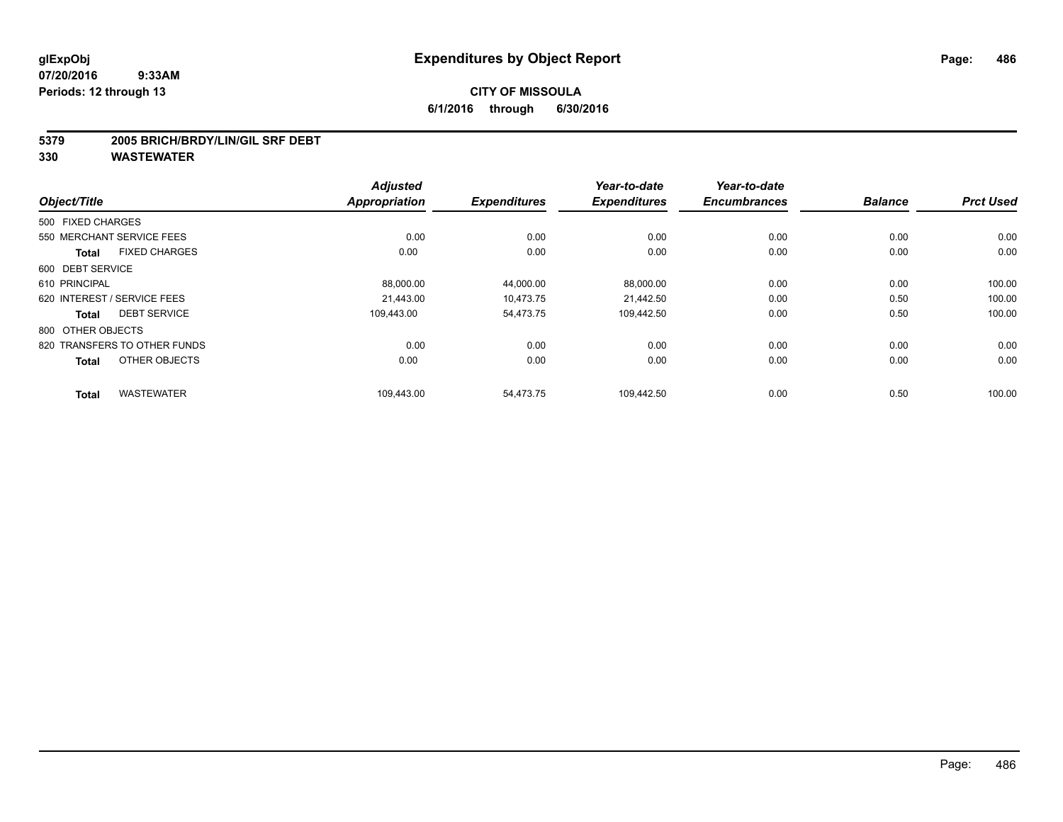#### **5379 2005 BRICH/BRDY/LIN/GIL SRF DEBT**

|                             |                              | <b>Adjusted</b>      | <b>Expenditures</b> | Year-to-date<br><b>Expenditures</b> | Year-to-date<br><b>Encumbrances</b> | <b>Balance</b> | <b>Prct Used</b> |
|-----------------------------|------------------------------|----------------------|---------------------|-------------------------------------|-------------------------------------|----------------|------------------|
| Object/Title                |                              | <b>Appropriation</b> |                     |                                     |                                     |                |                  |
| 500 FIXED CHARGES           |                              |                      |                     |                                     |                                     |                |                  |
| 550 MERCHANT SERVICE FEES   |                              | 0.00                 | 0.00                | 0.00                                | 0.00                                | 0.00           | 0.00             |
| <b>Total</b>                | <b>FIXED CHARGES</b>         | 0.00                 | 0.00                | 0.00                                | 0.00                                | 0.00           | 0.00             |
| 600 DEBT SERVICE            |                              |                      |                     |                                     |                                     |                |                  |
| 610 PRINCIPAL               |                              | 88,000.00            | 44,000.00           | 88,000.00                           | 0.00                                | 0.00           | 100.00           |
| 620 INTEREST / SERVICE FEES |                              | 21,443.00            | 10,473.75           | 21,442.50                           | 0.00                                | 0.50           | 100.00           |
| <b>Total</b>                | <b>DEBT SERVICE</b>          | 109,443.00           | 54,473.75           | 109,442.50                          | 0.00                                | 0.50           | 100.00           |
| 800 OTHER OBJECTS           |                              |                      |                     |                                     |                                     |                |                  |
|                             | 820 TRANSFERS TO OTHER FUNDS | 0.00                 | 0.00                | 0.00                                | 0.00                                | 0.00           | 0.00             |
| <b>Total</b>                | OTHER OBJECTS                | 0.00                 | 0.00                | 0.00                                | 0.00                                | 0.00           | 0.00             |
| <b>Total</b>                | <b>WASTEWATER</b>            | 109,443.00           | 54,473.75           | 109,442.50                          | 0.00                                | 0.50           | 100.00           |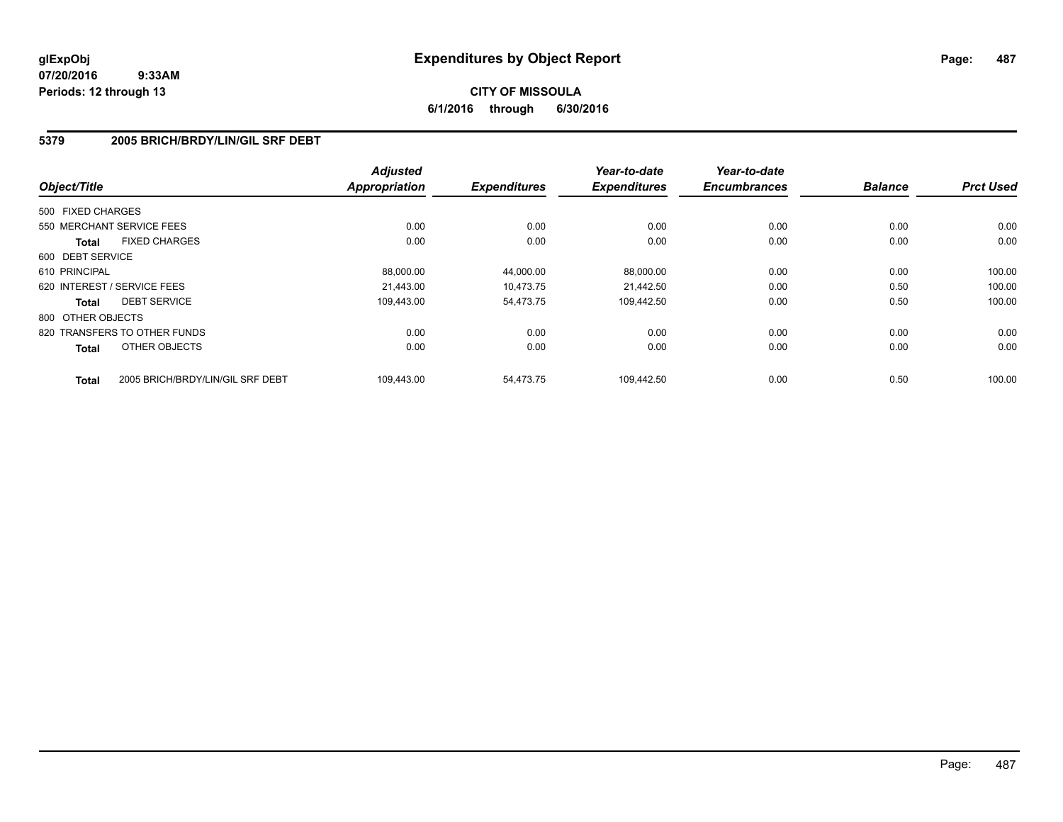# **CITY OF MISSOULA 6/1/2016 through 6/30/2016**

# **5379 2005 BRICH/BRDY/LIN/GIL SRF DEBT**

| Object/Title      |                                  | <b>Adjusted</b>      | <b>Expenditures</b> | Year-to-date<br><b>Expenditures</b> | Year-to-date<br><b>Encumbrances</b> | <b>Balance</b> | <b>Prct Used</b> |
|-------------------|----------------------------------|----------------------|---------------------|-------------------------------------|-------------------------------------|----------------|------------------|
|                   |                                  | <b>Appropriation</b> |                     |                                     |                                     |                |                  |
| 500 FIXED CHARGES |                                  |                      |                     |                                     |                                     |                |                  |
|                   | 550 MERCHANT SERVICE FEES        | 0.00                 | 0.00                | 0.00                                | 0.00                                | 0.00           | 0.00             |
| Total             | <b>FIXED CHARGES</b>             | 0.00                 | 0.00                | 0.00                                | 0.00                                | 0.00           | 0.00             |
| 600 DEBT SERVICE  |                                  |                      |                     |                                     |                                     |                |                  |
| 610 PRINCIPAL     |                                  | 88.000.00            | 44,000.00           | 88,000.00                           | 0.00                                | 0.00           | 100.00           |
|                   | 620 INTEREST / SERVICE FEES      | 21,443.00            | 10,473.75           | 21,442.50                           | 0.00                                | 0.50           | 100.00           |
| Total             | <b>DEBT SERVICE</b>              | 109,443.00           | 54,473.75           | 109,442.50                          | 0.00                                | 0.50           | 100.00           |
| 800 OTHER OBJECTS |                                  |                      |                     |                                     |                                     |                |                  |
|                   | 820 TRANSFERS TO OTHER FUNDS     | 0.00                 | 0.00                | 0.00                                | 0.00                                | 0.00           | 0.00             |
| <b>Total</b>      | OTHER OBJECTS                    | 0.00                 | 0.00                | 0.00                                | 0.00                                | 0.00           | 0.00             |
| <b>Total</b>      | 2005 BRICH/BRDY/LIN/GIL SRF DEBT | 109.443.00           | 54.473.75           | 109.442.50                          | 0.00                                | 0.50           | 100.00           |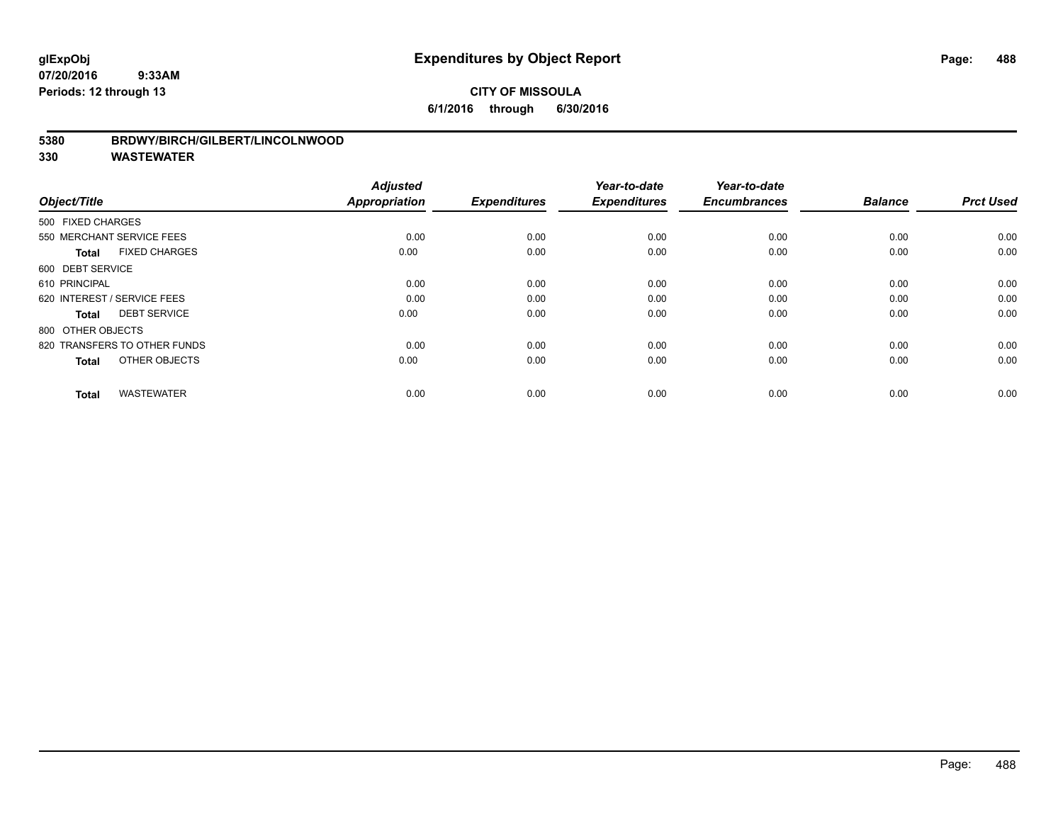# **CITY OF MISSOULA 6/1/2016 through 6/30/2016**

### **5380 BRDWY/BIRCH/GILBERT/LINCOLNWOOD**

| Object/Title                         | <b>Adjusted</b><br><b>Appropriation</b> | <b>Expenditures</b> | Year-to-date<br><b>Expenditures</b> | Year-to-date<br><b>Encumbrances</b> | <b>Balance</b> | <b>Prct Used</b> |
|--------------------------------------|-----------------------------------------|---------------------|-------------------------------------|-------------------------------------|----------------|------------------|
| 500 FIXED CHARGES                    |                                         |                     |                                     |                                     |                |                  |
| 550 MERCHANT SERVICE FEES            | 0.00                                    | 0.00                | 0.00                                | 0.00                                | 0.00           | 0.00             |
| <b>FIXED CHARGES</b><br><b>Total</b> | 0.00                                    | 0.00                | 0.00                                | 0.00                                | 0.00           | 0.00             |
| 600 DEBT SERVICE                     |                                         |                     |                                     |                                     |                |                  |
| 610 PRINCIPAL                        | 0.00                                    | 0.00                | 0.00                                | 0.00                                | 0.00           | 0.00             |
| 620 INTEREST / SERVICE FEES          | 0.00                                    | 0.00                | 0.00                                | 0.00                                | 0.00           | 0.00             |
| <b>DEBT SERVICE</b><br><b>Total</b>  | 0.00                                    | 0.00                | 0.00                                | 0.00                                | 0.00           | 0.00             |
| 800 OTHER OBJECTS                    |                                         |                     |                                     |                                     |                |                  |
| 820 TRANSFERS TO OTHER FUNDS         | 0.00                                    | 0.00                | 0.00                                | 0.00                                | 0.00           | 0.00             |
| OTHER OBJECTS<br><b>Total</b>        | 0.00                                    | 0.00                | 0.00                                | 0.00                                | 0.00           | 0.00             |
|                                      |                                         |                     |                                     |                                     |                |                  |
| <b>WASTEWATER</b><br><b>Total</b>    | 0.00                                    | 0.00                | 0.00                                | 0.00                                | 0.00           | 0.00             |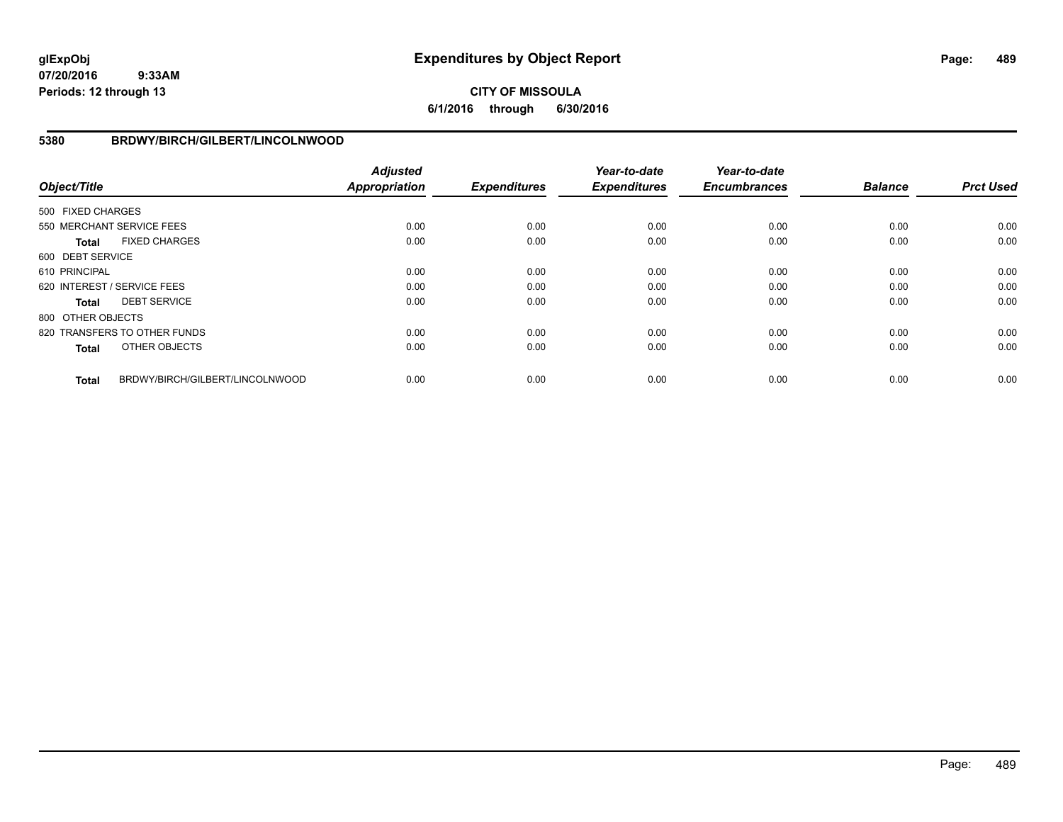# **CITY OF MISSOULA 6/1/2016 through 6/30/2016**

### **5380 BRDWY/BIRCH/GILBERT/LINCOLNWOOD**

| Object/Title      |                                 | <b>Adjusted</b><br><b>Appropriation</b> | <b>Expenditures</b> | Year-to-date<br><b>Expenditures</b> | Year-to-date<br><b>Encumbrances</b> | <b>Balance</b> | <b>Prct Used</b> |
|-------------------|---------------------------------|-----------------------------------------|---------------------|-------------------------------------|-------------------------------------|----------------|------------------|
| 500 FIXED CHARGES |                                 |                                         |                     |                                     |                                     |                |                  |
|                   | 550 MERCHANT SERVICE FEES       | 0.00                                    | 0.00                | 0.00                                | 0.00                                | 0.00           | 0.00             |
| <b>Total</b>      | <b>FIXED CHARGES</b>            | 0.00                                    | 0.00                | 0.00                                | 0.00                                | 0.00           | 0.00             |
| 600 DEBT SERVICE  |                                 |                                         |                     |                                     |                                     |                |                  |
| 610 PRINCIPAL     |                                 | 0.00                                    | 0.00                | 0.00                                | 0.00                                | 0.00           | 0.00             |
|                   | 620 INTEREST / SERVICE FEES     | 0.00                                    | 0.00                | 0.00                                | 0.00                                | 0.00           | 0.00             |
| <b>Total</b>      | <b>DEBT SERVICE</b>             | 0.00                                    | 0.00                | 0.00                                | 0.00                                | 0.00           | 0.00             |
| 800 OTHER OBJECTS |                                 |                                         |                     |                                     |                                     |                |                  |
|                   | 820 TRANSFERS TO OTHER FUNDS    | 0.00                                    | 0.00                | 0.00                                | 0.00                                | 0.00           | 0.00             |
| <b>Total</b>      | OTHER OBJECTS                   | 0.00                                    | 0.00                | 0.00                                | 0.00                                | 0.00           | 0.00             |
| <b>Total</b>      | BRDWY/BIRCH/GILBERT/LINCOLNWOOD | 0.00                                    | 0.00                | 0.00                                | 0.00                                | 0.00           | 0.00             |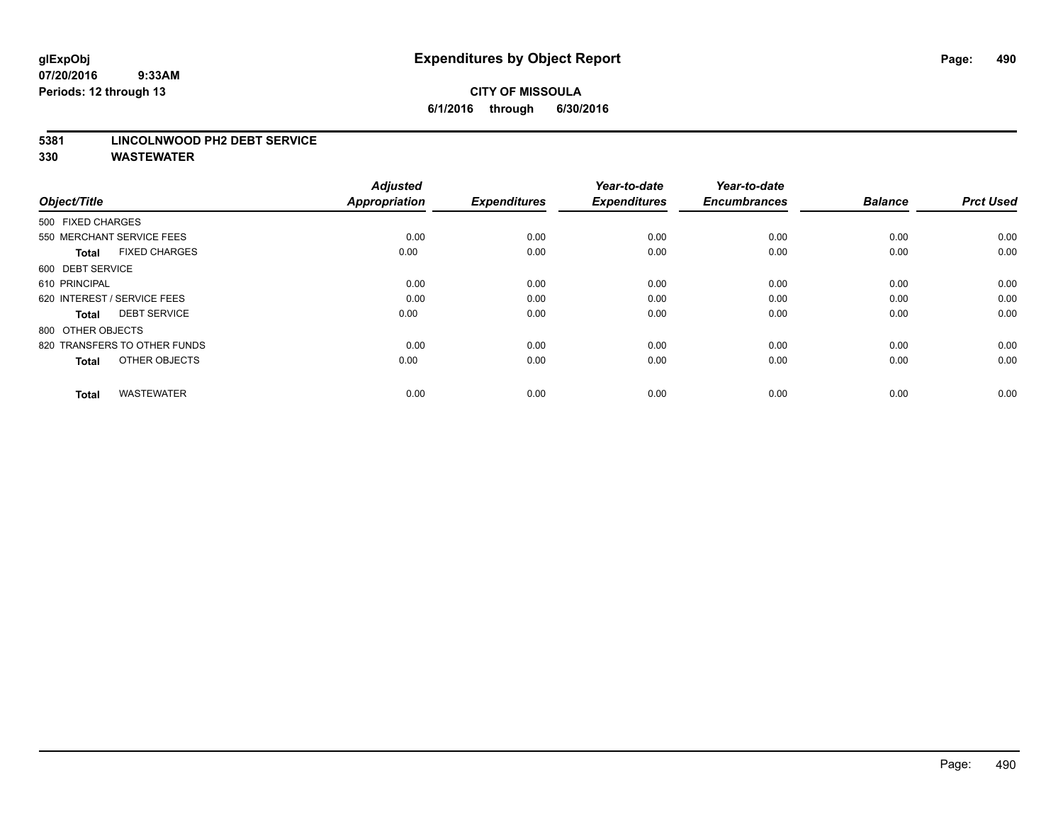# **CITY OF MISSOULA 6/1/2016 through 6/30/2016**

#### **5381 LINCOLNWOOD PH2 DEBT SERVICE**

| Object/Title                         | <b>Adjusted</b><br><b>Appropriation</b> | <b>Expenditures</b> | Year-to-date<br><b>Expenditures</b> | Year-to-date<br><b>Encumbrances</b> | <b>Balance</b> | <b>Prct Used</b> |
|--------------------------------------|-----------------------------------------|---------------------|-------------------------------------|-------------------------------------|----------------|------------------|
| 500 FIXED CHARGES                    |                                         |                     |                                     |                                     |                |                  |
| 550 MERCHANT SERVICE FEES            | 0.00                                    | 0.00                | 0.00                                | 0.00                                | 0.00           | 0.00             |
| <b>FIXED CHARGES</b><br><b>Total</b> | 0.00                                    | 0.00                | 0.00                                | 0.00                                | 0.00           | 0.00             |
| 600 DEBT SERVICE                     |                                         |                     |                                     |                                     |                |                  |
| 610 PRINCIPAL                        | 0.00                                    | 0.00                | 0.00                                | 0.00                                | 0.00           | 0.00             |
| 620 INTEREST / SERVICE FEES          | 0.00                                    | 0.00                | 0.00                                | 0.00                                | 0.00           | 0.00             |
| <b>DEBT SERVICE</b><br><b>Total</b>  | 0.00                                    | 0.00                | 0.00                                | 0.00                                | 0.00           | 0.00             |
| 800 OTHER OBJECTS                    |                                         |                     |                                     |                                     |                |                  |
| 820 TRANSFERS TO OTHER FUNDS         | 0.00                                    | 0.00                | 0.00                                | 0.00                                | 0.00           | 0.00             |
| OTHER OBJECTS<br><b>Total</b>        | 0.00                                    | 0.00                | 0.00                                | 0.00                                | 0.00           | 0.00             |
|                                      |                                         |                     |                                     |                                     |                |                  |
| <b>WASTEWATER</b><br><b>Total</b>    | 0.00                                    | 0.00                | 0.00                                | 0.00                                | 0.00           | 0.00             |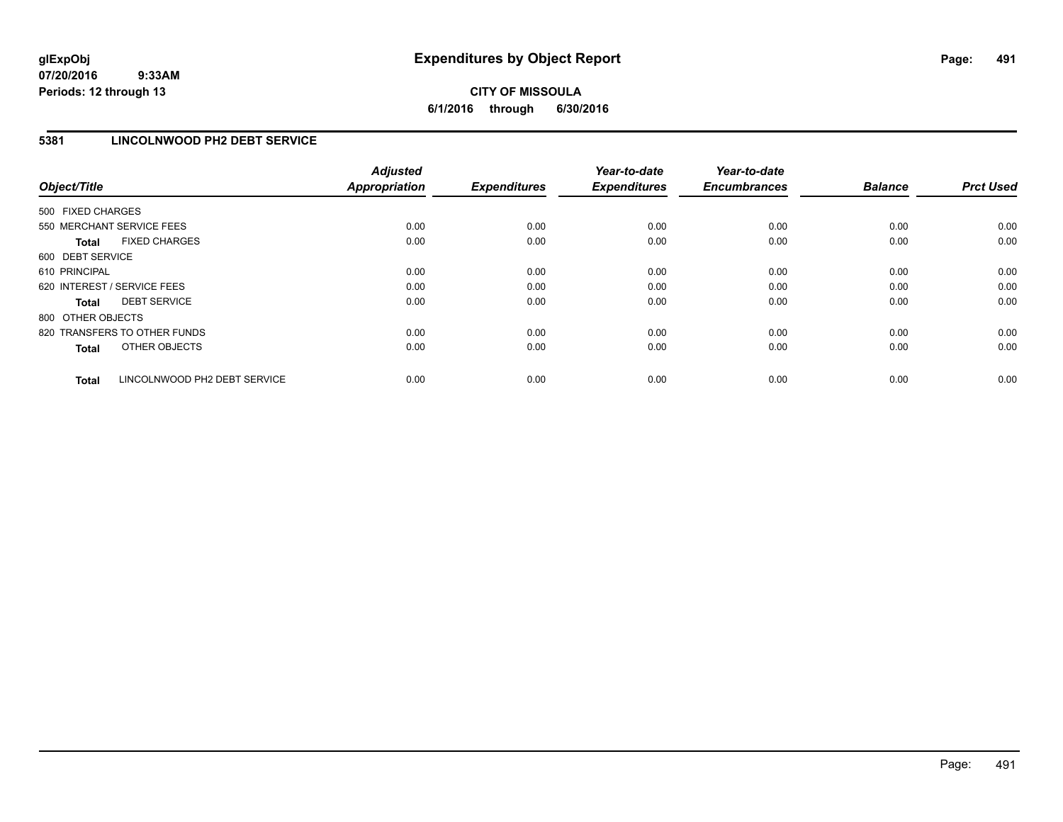# **CITY OF MISSOULA 6/1/2016 through 6/30/2016**

# **5381 LINCOLNWOOD PH2 DEBT SERVICE**

| Object/Title                 |                              | <b>Adjusted</b><br><b>Appropriation</b> | <b>Expenditures</b> | Year-to-date<br><b>Expenditures</b> | Year-to-date<br><b>Encumbrances</b> | <b>Balance</b> | <b>Prct Used</b> |
|------------------------------|------------------------------|-----------------------------------------|---------------------|-------------------------------------|-------------------------------------|----------------|------------------|
| 500 FIXED CHARGES            |                              |                                         |                     |                                     |                                     |                |                  |
| 550 MERCHANT SERVICE FEES    |                              | 0.00                                    | 0.00                | 0.00                                | 0.00                                | 0.00           | 0.00             |
| <b>Total</b>                 | <b>FIXED CHARGES</b>         | 0.00                                    | 0.00                | 0.00                                | 0.00                                | 0.00           | 0.00             |
| 600 DEBT SERVICE             |                              |                                         |                     |                                     |                                     |                |                  |
| 610 PRINCIPAL                |                              | 0.00                                    | 0.00                | 0.00                                | 0.00                                | 0.00           | 0.00             |
| 620 INTEREST / SERVICE FEES  |                              | 0.00                                    | 0.00                | 0.00                                | 0.00                                | 0.00           | 0.00             |
| Total                        | <b>DEBT SERVICE</b>          | 0.00                                    | 0.00                | 0.00                                | 0.00                                | 0.00           | 0.00             |
| 800 OTHER OBJECTS            |                              |                                         |                     |                                     |                                     |                |                  |
| 820 TRANSFERS TO OTHER FUNDS |                              | 0.00                                    | 0.00                | 0.00                                | 0.00                                | 0.00           | 0.00             |
| <b>Total</b>                 | OTHER OBJECTS                | 0.00                                    | 0.00                | 0.00                                | 0.00                                | 0.00           | 0.00             |
| <b>Total</b>                 | LINCOLNWOOD PH2 DEBT SERVICE | 0.00                                    | 0.00                | 0.00                                | 0.00                                | 0.00           | 0.00             |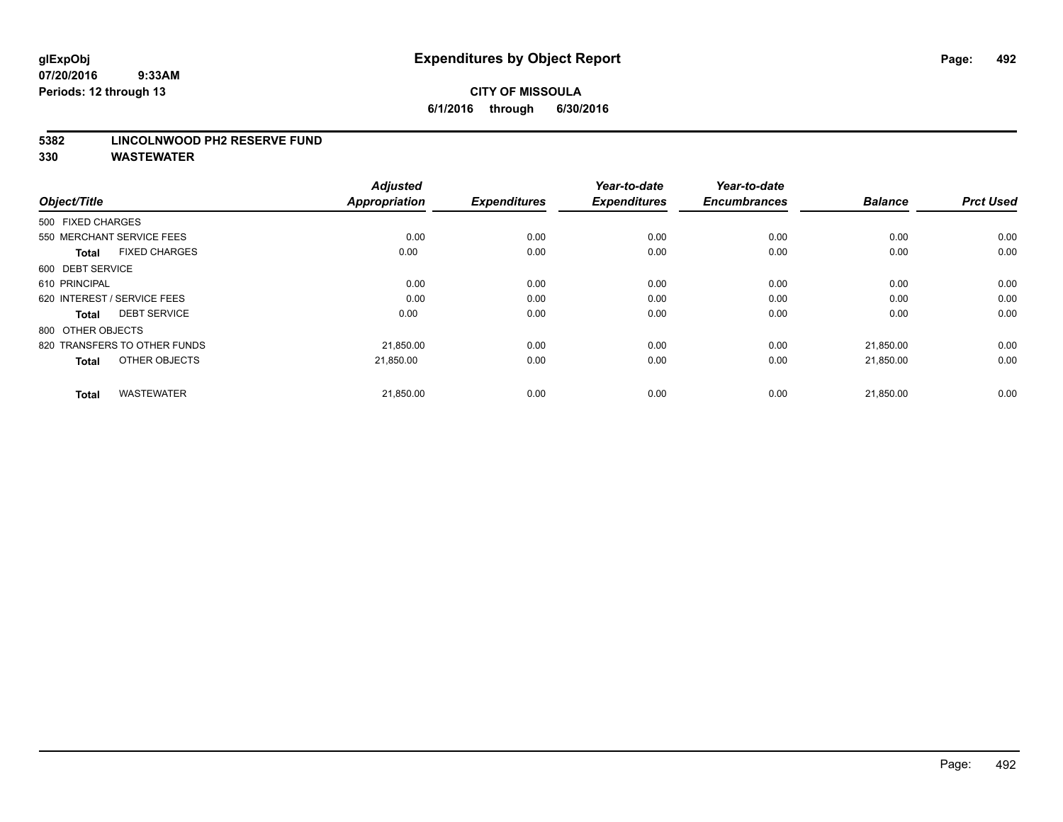#### **5382 LINCOLNWOOD PH2 RESERVE FUND**

| Object/Title                         | <b>Adjusted</b><br><b>Appropriation</b> | <b>Expenditures</b> | Year-to-date<br><b>Expenditures</b> | Year-to-date<br><b>Encumbrances</b> | <b>Balance</b> | <b>Prct Used</b> |
|--------------------------------------|-----------------------------------------|---------------------|-------------------------------------|-------------------------------------|----------------|------------------|
| 500 FIXED CHARGES                    |                                         |                     |                                     |                                     |                |                  |
| 550 MERCHANT SERVICE FEES            | 0.00                                    | 0.00                | 0.00                                | 0.00                                | 0.00           | 0.00             |
| <b>FIXED CHARGES</b><br><b>Total</b> | 0.00                                    | 0.00                | 0.00                                | 0.00                                | 0.00           | 0.00             |
| 600 DEBT SERVICE                     |                                         |                     |                                     |                                     |                |                  |
| 610 PRINCIPAL                        | 0.00                                    | 0.00                | 0.00                                | 0.00                                | 0.00           | 0.00             |
| 620 INTEREST / SERVICE FEES          | 0.00                                    | 0.00                | 0.00                                | 0.00                                | 0.00           | 0.00             |
| <b>DEBT SERVICE</b><br><b>Total</b>  | 0.00                                    | 0.00                | 0.00                                | 0.00                                | 0.00           | 0.00             |
| 800 OTHER OBJECTS                    |                                         |                     |                                     |                                     |                |                  |
| 820 TRANSFERS TO OTHER FUNDS         | 21,850.00                               | 0.00                | 0.00                                | 0.00                                | 21,850.00      | 0.00             |
| OTHER OBJECTS<br><b>Total</b>        | 21,850.00                               | 0.00                | 0.00                                | 0.00                                | 21,850.00      | 0.00             |
|                                      |                                         |                     |                                     |                                     |                |                  |
| <b>WASTEWATER</b><br><b>Total</b>    | 21,850.00                               | 0.00                | 0.00                                | 0.00                                | 21,850.00      | 0.00             |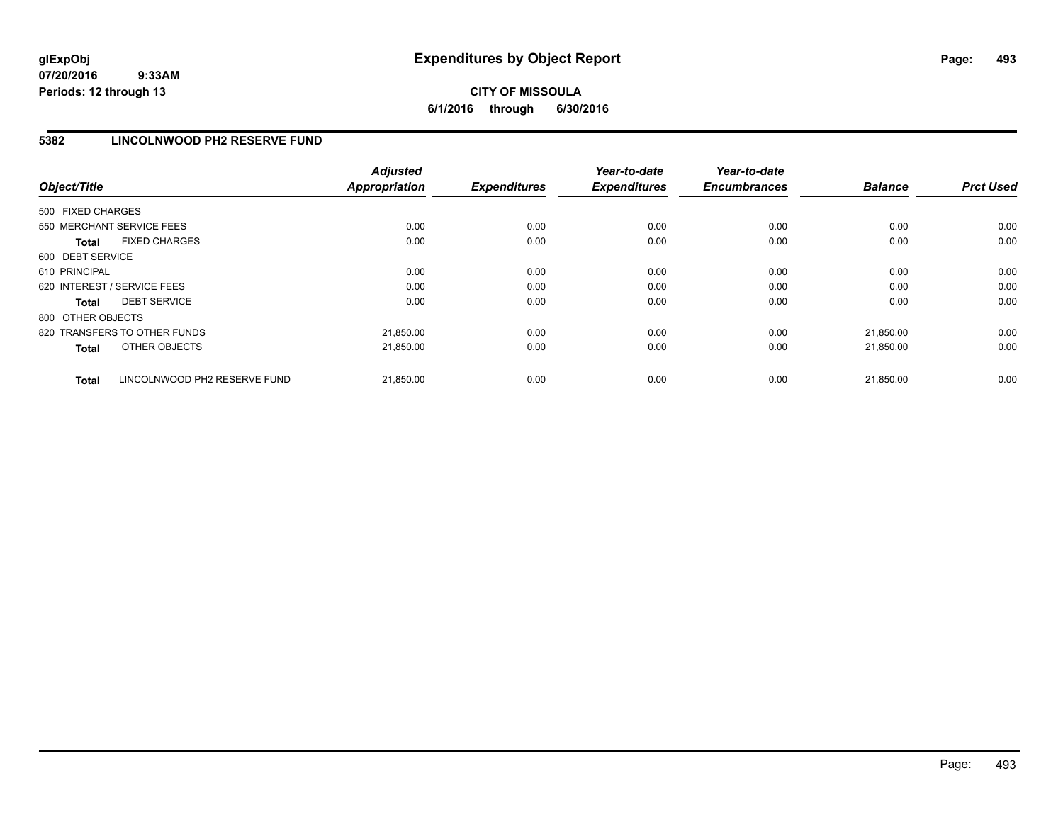# **CITY OF MISSOULA 6/1/2016 through 6/30/2016**

### **5382 LINCOLNWOOD PH2 RESERVE FUND**

| Object/Title                                 | <b>Adjusted</b><br>Appropriation | <b>Expenditures</b> | Year-to-date<br><b>Expenditures</b> | Year-to-date<br><b>Encumbrances</b> | <b>Balance</b> | <b>Prct Used</b> |
|----------------------------------------------|----------------------------------|---------------------|-------------------------------------|-------------------------------------|----------------|------------------|
| 500 FIXED CHARGES                            |                                  |                     |                                     |                                     |                |                  |
| 550 MERCHANT SERVICE FEES                    | 0.00                             | 0.00                | 0.00                                | 0.00                                | 0.00           | 0.00             |
| <b>FIXED CHARGES</b><br><b>Total</b>         | 0.00                             | 0.00                | 0.00                                | 0.00                                | 0.00           | 0.00             |
| 600 DEBT SERVICE                             |                                  |                     |                                     |                                     |                |                  |
| 610 PRINCIPAL                                | 0.00                             | 0.00                | 0.00                                | 0.00                                | 0.00           | 0.00             |
| 620 INTEREST / SERVICE FEES                  | 0.00                             | 0.00                | 0.00                                | 0.00                                | 0.00           | 0.00             |
| <b>DEBT SERVICE</b><br><b>Total</b>          | 0.00                             | 0.00                | 0.00                                | 0.00                                | 0.00           | 0.00             |
| 800 OTHER OBJECTS                            |                                  |                     |                                     |                                     |                |                  |
| 820 TRANSFERS TO OTHER FUNDS                 | 21,850.00                        | 0.00                | 0.00                                | 0.00                                | 21.850.00      | 0.00             |
| OTHER OBJECTS<br><b>Total</b>                | 21,850.00                        | 0.00                | 0.00                                | 0.00                                | 21,850.00      | 0.00             |
| LINCOLNWOOD PH2 RESERVE FUND<br><b>Total</b> | 21,850.00                        | 0.00                | 0.00                                | 0.00                                | 21,850.00      | 0.00             |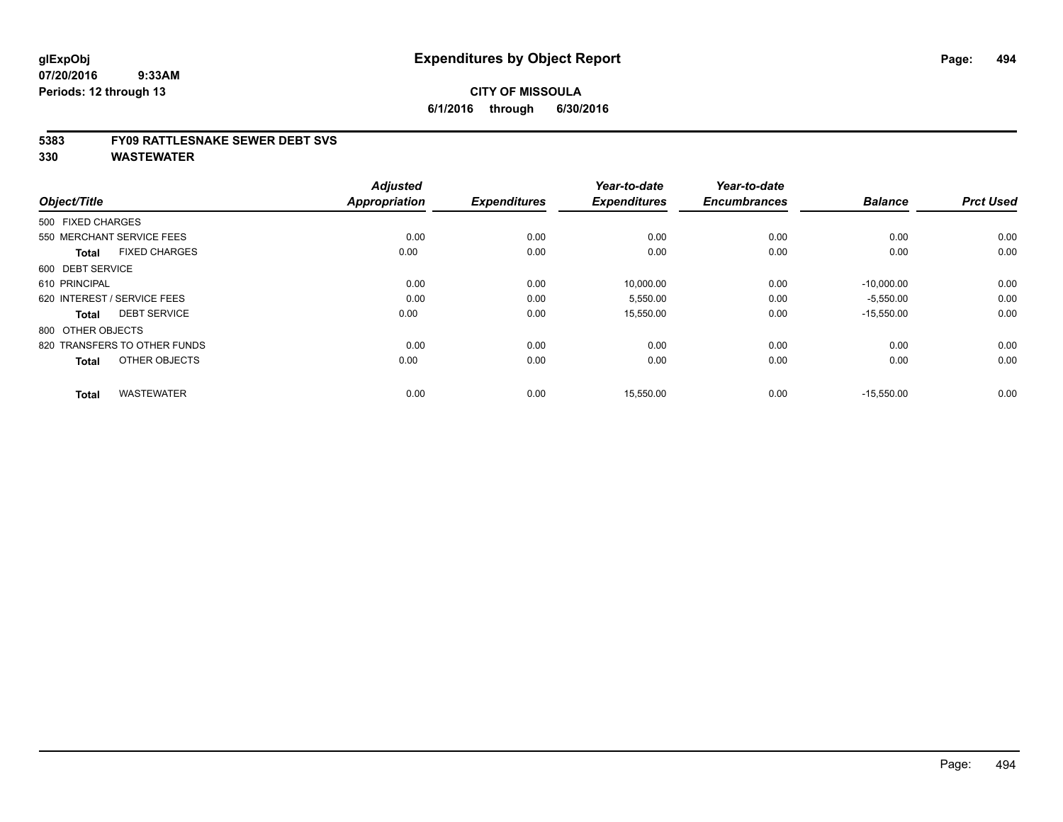#### **5383 FY09 RATTLESNAKE SEWER DEBT SVS**

| Object/Title                         | <b>Adjusted</b><br><b>Appropriation</b> | <b>Expenditures</b> | Year-to-date<br><b>Expenditures</b> | Year-to-date<br><b>Encumbrances</b> | <b>Balance</b> | <b>Prct Used</b> |
|--------------------------------------|-----------------------------------------|---------------------|-------------------------------------|-------------------------------------|----------------|------------------|
| 500 FIXED CHARGES                    |                                         |                     |                                     |                                     |                |                  |
| 550 MERCHANT SERVICE FEES            | 0.00                                    | 0.00                | 0.00                                | 0.00                                | 0.00           | 0.00             |
| <b>FIXED CHARGES</b><br><b>Total</b> | 0.00                                    | 0.00                | 0.00                                | 0.00                                | 0.00           | 0.00             |
| 600 DEBT SERVICE                     |                                         |                     |                                     |                                     |                |                  |
| 610 PRINCIPAL                        | 0.00                                    | 0.00                | 10,000.00                           | 0.00                                | $-10,000.00$   | 0.00             |
| 620 INTEREST / SERVICE FEES          | 0.00                                    | 0.00                | 5,550.00                            | 0.00                                | $-5,550.00$    | 0.00             |
| <b>DEBT SERVICE</b><br><b>Total</b>  | 0.00                                    | 0.00                | 15,550.00                           | 0.00                                | $-15,550.00$   | 0.00             |
| 800 OTHER OBJECTS                    |                                         |                     |                                     |                                     |                |                  |
| 820 TRANSFERS TO OTHER FUNDS         | 0.00                                    | 0.00                | 0.00                                | 0.00                                | 0.00           | 0.00             |
| OTHER OBJECTS<br><b>Total</b>        | 0.00                                    | 0.00                | 0.00                                | 0.00                                | 0.00           | 0.00             |
|                                      |                                         |                     |                                     |                                     |                |                  |
| <b>WASTEWATER</b><br><b>Total</b>    | 0.00                                    | 0.00                | 15,550.00                           | 0.00                                | $-15,550.00$   | 0.00             |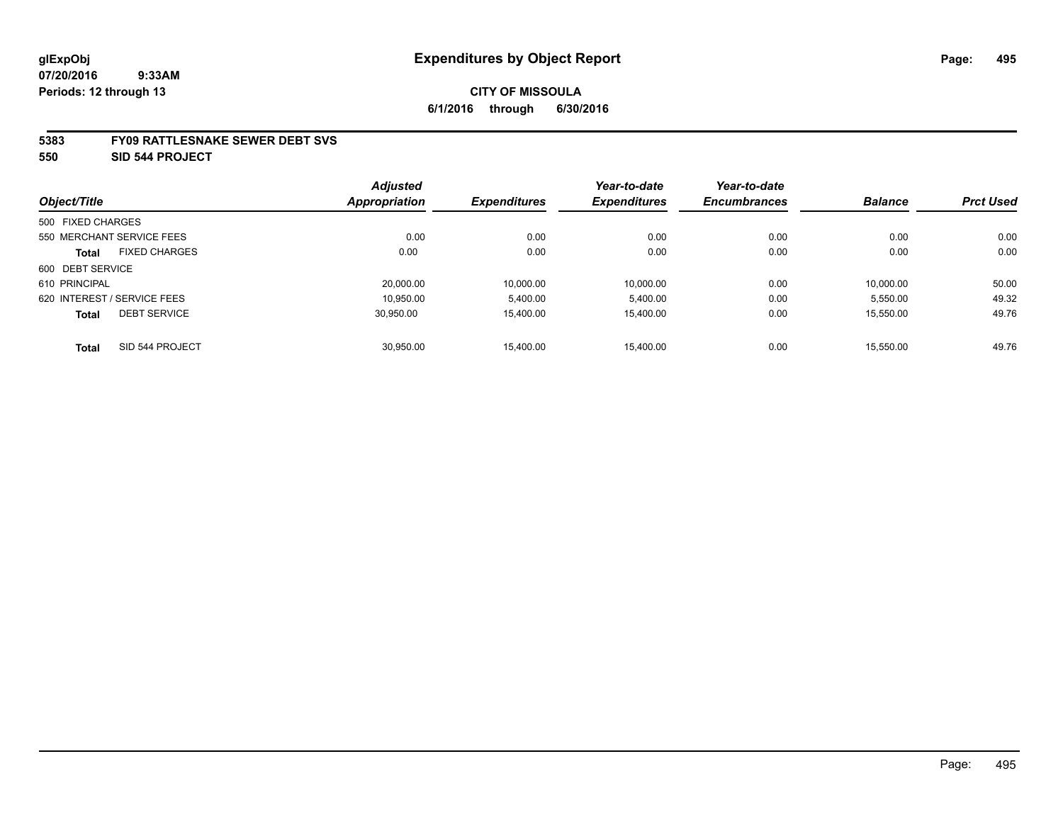#### **5383 FY09 RATTLESNAKE SEWER DEBT SVS**

**550 SID 544 PROJECT**

|                   |                             | <b>Adjusted</b> |                     | Year-to-date        | Year-to-date        |                |                  |
|-------------------|-----------------------------|-----------------|---------------------|---------------------|---------------------|----------------|------------------|
| Object/Title      |                             | Appropriation   | <b>Expenditures</b> | <b>Expenditures</b> | <b>Encumbrances</b> | <b>Balance</b> | <b>Prct Used</b> |
| 500 FIXED CHARGES |                             |                 |                     |                     |                     |                |                  |
|                   | 550 MERCHANT SERVICE FEES   | 0.00            | 0.00                | 0.00                | 0.00                | 0.00           | 0.00             |
| <b>Total</b>      | <b>FIXED CHARGES</b>        | 0.00            | 0.00                | 0.00                | 0.00                | 0.00           | 0.00             |
| 600 DEBT SERVICE  |                             |                 |                     |                     |                     |                |                  |
| 610 PRINCIPAL     |                             | 20,000.00       | 10.000.00           | 10,000.00           | 0.00                | 10.000.00      | 50.00            |
|                   | 620 INTEREST / SERVICE FEES | 10.950.00       | 5.400.00            | 5.400.00            | 0.00                | 5.550.00       | 49.32            |
| <b>Total</b>      | <b>DEBT SERVICE</b>         | 30.950.00       | 15.400.00           | 15.400.00           | 0.00                | 15.550.00      | 49.76            |
| <b>Total</b>      | SID 544 PROJECT             | 30.950.00       | 15.400.00           | 15.400.00           | 0.00                | 15.550.00      | 49.76            |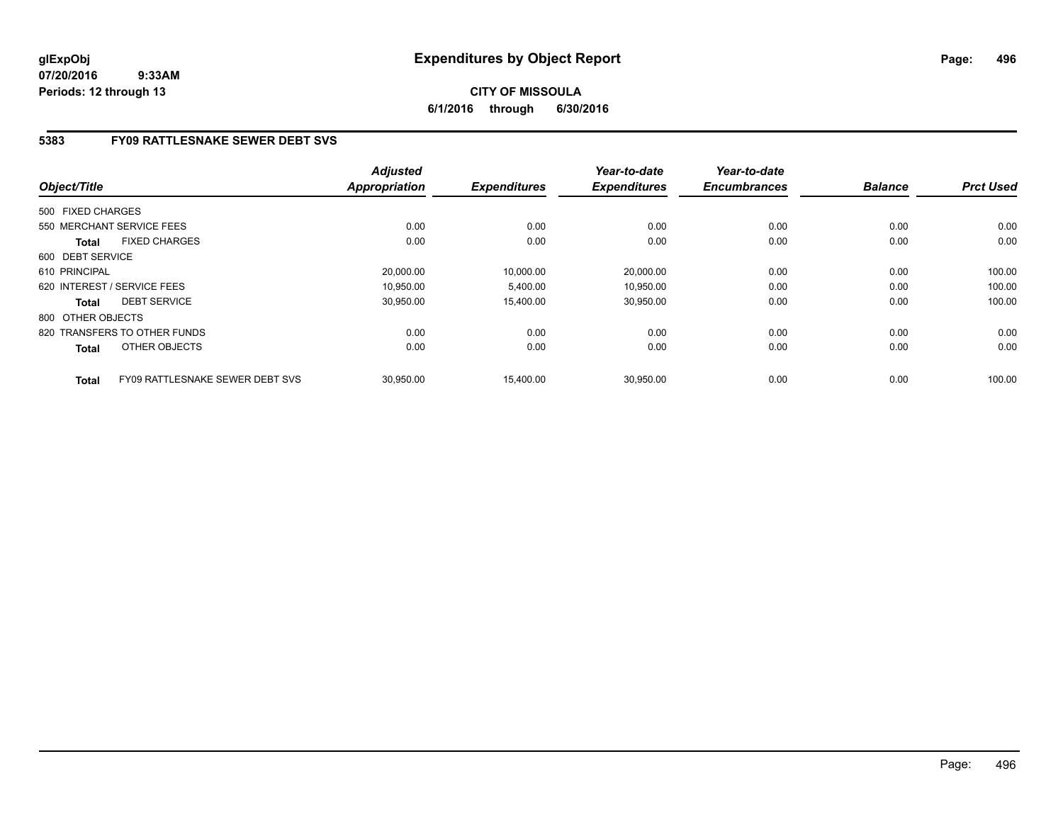# **CITY OF MISSOULA 6/1/2016 through 6/30/2016**

# **5383 FY09 RATTLESNAKE SEWER DEBT SVS**

| Object/Title      |                                 | <b>Adjusted</b><br><b>Appropriation</b> | <b>Expenditures</b> | Year-to-date<br><b>Expenditures</b> | Year-to-date<br><b>Encumbrances</b> | <b>Balance</b> | <b>Prct Used</b> |
|-------------------|---------------------------------|-----------------------------------------|---------------------|-------------------------------------|-------------------------------------|----------------|------------------|
| 500 FIXED CHARGES |                                 |                                         |                     |                                     |                                     |                |                  |
|                   |                                 |                                         |                     |                                     |                                     |                |                  |
|                   | 550 MERCHANT SERVICE FEES       | 0.00                                    | 0.00                | 0.00                                | 0.00                                | 0.00           | 0.00             |
| <b>Total</b>      | <b>FIXED CHARGES</b>            | 0.00                                    | 0.00                | 0.00                                | 0.00                                | 0.00           | 0.00             |
| 600 DEBT SERVICE  |                                 |                                         |                     |                                     |                                     |                |                  |
| 610 PRINCIPAL     |                                 | 20.000.00                               | 10,000.00           | 20.000.00                           | 0.00                                | 0.00           | 100.00           |
|                   | 620 INTEREST / SERVICE FEES     | 10,950.00                               | 5,400.00            | 10,950.00                           | 0.00                                | 0.00           | 100.00           |
| <b>Total</b>      | <b>DEBT SERVICE</b>             | 30,950.00                               | 15,400.00           | 30,950.00                           | 0.00                                | 0.00           | 100.00           |
| 800 OTHER OBJECTS |                                 |                                         |                     |                                     |                                     |                |                  |
|                   | 820 TRANSFERS TO OTHER FUNDS    | 0.00                                    | 0.00                | 0.00                                | 0.00                                | 0.00           | 0.00             |
| <b>Total</b>      | OTHER OBJECTS                   | 0.00                                    | 0.00                | 0.00                                | 0.00                                | 0.00           | 0.00             |
| <b>Total</b>      | FY09 RATTLESNAKE SEWER DEBT SVS | 30,950.00                               | 15.400.00           | 30.950.00                           | 0.00                                | 0.00           | 100.00           |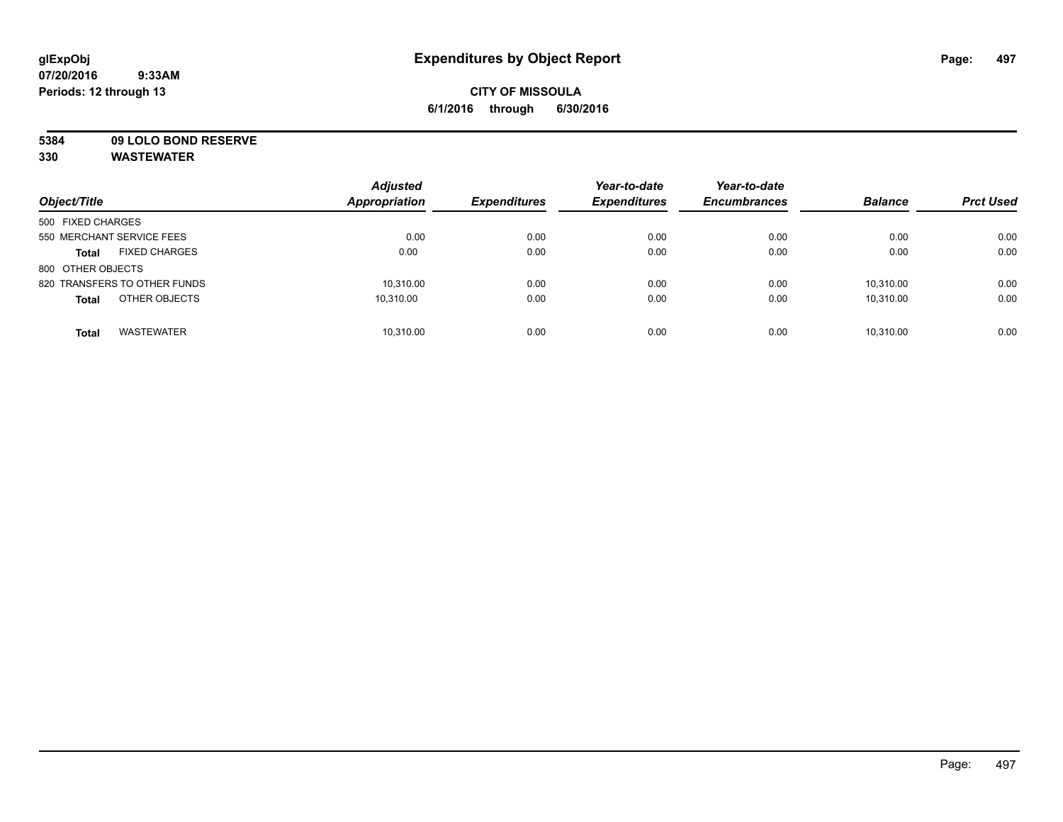# **CITY OF MISSOULA 6/1/2016 through 6/30/2016**

**5384 09 LOLO BOND RESERVE**

| Object/Title                         | <b>Adjusted</b><br><b>Appropriation</b> | <b>Expenditures</b> | Year-to-date<br><b>Expenditures</b> | Year-to-date<br><b>Encumbrances</b> | <b>Balance</b> | <b>Prct Used</b> |
|--------------------------------------|-----------------------------------------|---------------------|-------------------------------------|-------------------------------------|----------------|------------------|
| 500 FIXED CHARGES                    |                                         |                     |                                     |                                     |                |                  |
| 550 MERCHANT SERVICE FEES            | 0.00                                    | 0.00                | 0.00                                | 0.00                                | 0.00           | 0.00             |
| <b>FIXED CHARGES</b><br><b>Total</b> | 0.00                                    | 0.00                | 0.00                                | 0.00                                | 0.00           | 0.00             |
| 800 OTHER OBJECTS                    |                                         |                     |                                     |                                     |                |                  |
| 820 TRANSFERS TO OTHER FUNDS         | 10,310.00                               | 0.00                | 0.00                                | 0.00                                | 10.310.00      | 0.00             |
| OTHER OBJECTS<br><b>Total</b>        | 10.310.00                               | 0.00                | 0.00                                | 0.00                                | 10.310.00      | 0.00             |
| <b>WASTEWATER</b><br><b>Total</b>    | 10,310.00                               | 0.00                | 0.00                                | 0.00                                | 10.310.00      | 0.00             |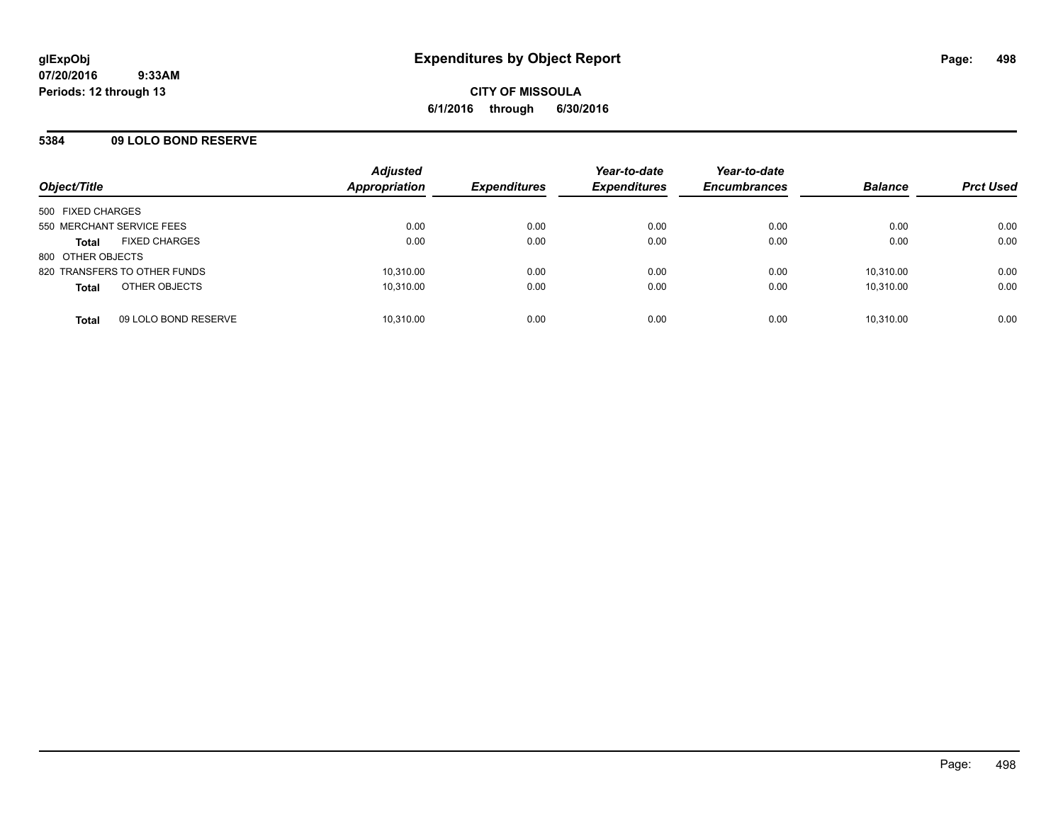# **5384 09 LOLO BOND RESERVE**

| Object/Title                 |                      | <b>Adjusted</b><br>Appropriation | <b>Expenditures</b> | Year-to-date<br><b>Expenditures</b> | Year-to-date<br><b>Encumbrances</b> | <b>Balance</b> | <b>Prct Used</b> |
|------------------------------|----------------------|----------------------------------|---------------------|-------------------------------------|-------------------------------------|----------------|------------------|
| 500 FIXED CHARGES            |                      |                                  |                     |                                     |                                     |                |                  |
| 550 MERCHANT SERVICE FEES    |                      | 0.00                             | 0.00                | 0.00                                | 0.00                                | 0.00           | 0.00             |
| <b>Total</b>                 | <b>FIXED CHARGES</b> | 0.00                             | 0.00                | 0.00                                | 0.00                                | 0.00           | 0.00             |
| 800 OTHER OBJECTS            |                      |                                  |                     |                                     |                                     |                |                  |
| 820 TRANSFERS TO OTHER FUNDS |                      | 10,310.00                        | 0.00                | 0.00                                | 0.00                                | 10.310.00      | 0.00             |
| <b>Total</b>                 | OTHER OBJECTS        | 10,310.00                        | 0.00                | 0.00                                | 0.00                                | 10.310.00      | 0.00             |
| <b>Total</b>                 | 09 LOLO BOND RESERVE | 10,310.00                        | 0.00                | 0.00                                | 0.00                                | 10,310.00      | 0.00             |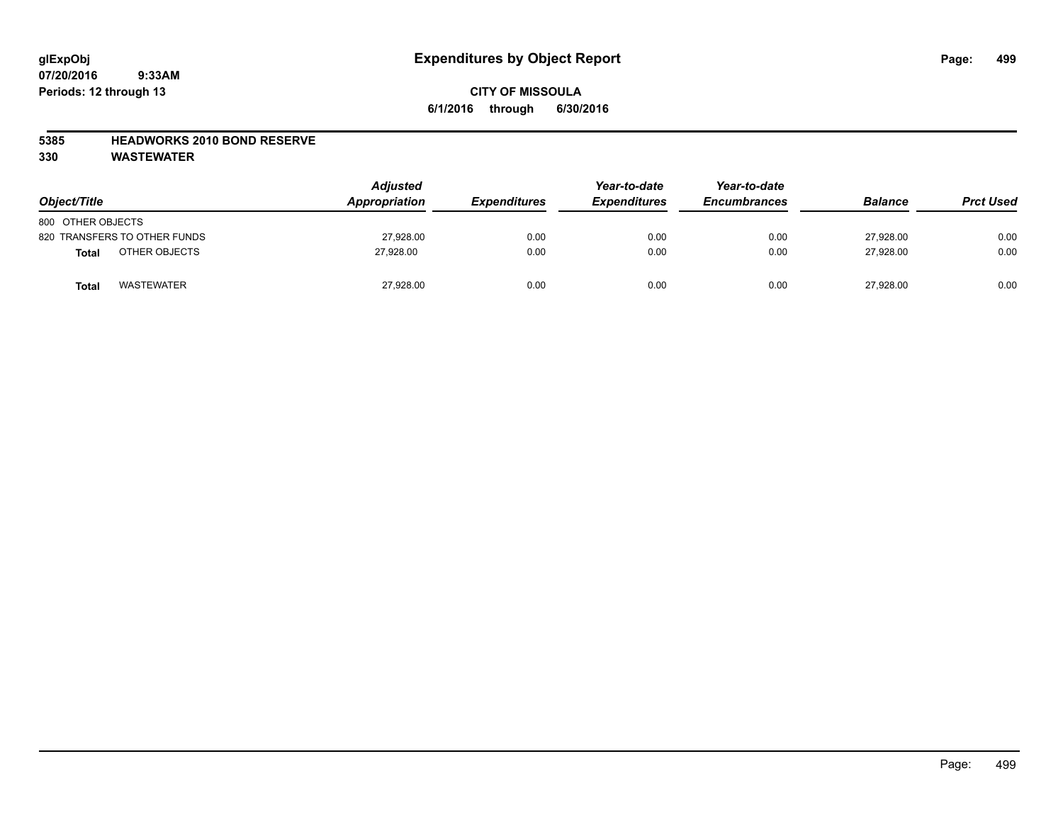# **CITY OF MISSOULA 6/1/2016 through 6/30/2016**

### **5385 HEADWORKS 2010 BOND RESERVE**

| Object/Title                  | <b>Adjusted</b><br><b>Appropriation</b> | <b>Expenditures</b> | Year-to-date<br><b>Expenditures</b> | Year-to-date<br><b>Encumbrances</b> | <b>Balance</b> | <b>Prct Used</b> |
|-------------------------------|-----------------------------------------|---------------------|-------------------------------------|-------------------------------------|----------------|------------------|
| 800 OTHER OBJECTS             |                                         |                     |                                     |                                     |                |                  |
| 820 TRANSFERS TO OTHER FUNDS  | 27,928.00                               | 0.00                | 0.00                                | 0.00                                | 27.928.00      | 0.00             |
| OTHER OBJECTS<br><b>Total</b> | 27.928.00                               | 0.00                | 0.00                                | 0.00                                | 27.928.00      | 0.00             |
| <b>WASTEWATER</b><br>Total    | 27,928.00                               | 0.00                | 0.00                                | 0.00                                | 27,928.00      | 0.00             |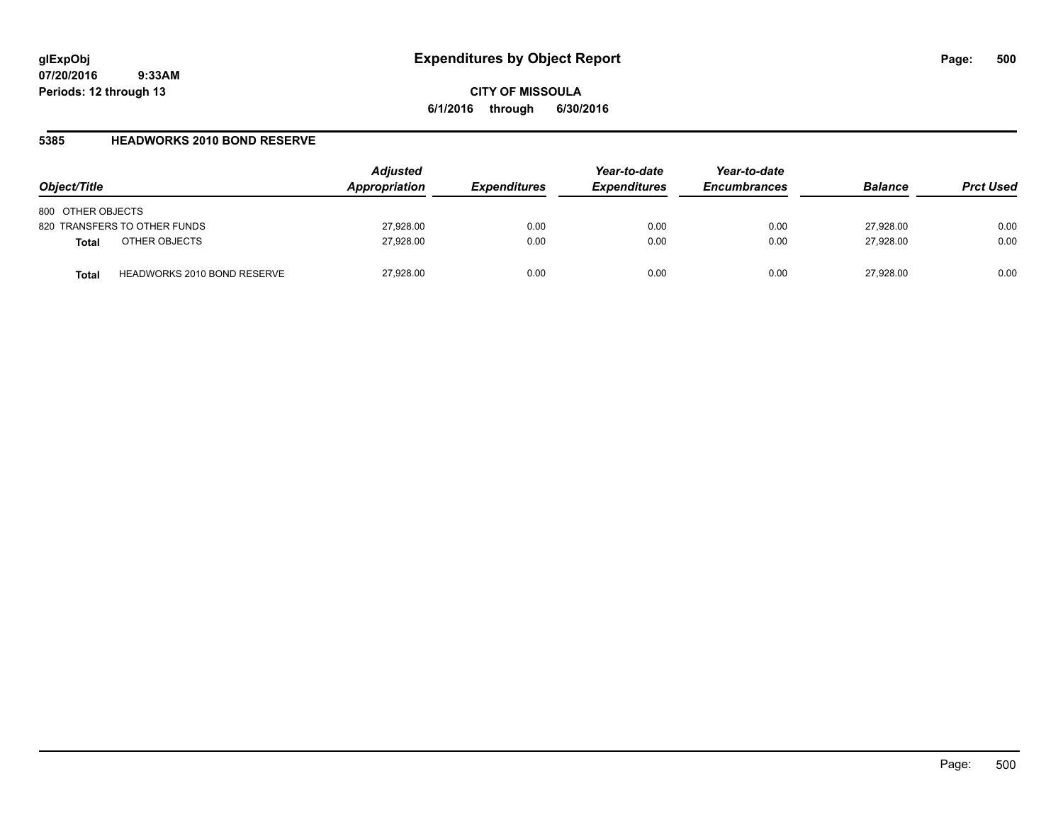**CITY OF MISSOULA 6/1/2016 through 6/30/2016**

### **5385 HEADWORKS 2010 BOND RESERVE**

| Object/Title                                | <b>Adjusted</b><br>Appropriation | <b>Expenditures</b> | Year-to-date<br><b>Expenditures</b> | Year-to-date<br><b>Encumbrances</b> | <b>Balance</b> | <b>Prct Used</b> |
|---------------------------------------------|----------------------------------|---------------------|-------------------------------------|-------------------------------------|----------------|------------------|
| 800 OTHER OBJECTS                           |                                  |                     |                                     |                                     |                |                  |
| 820 TRANSFERS TO OTHER FUNDS                | 27,928.00                        | 0.00                | 0.00                                | 0.00                                | 27,928.00      | 0.00             |
| OTHER OBJECTS<br><b>Total</b>               | 27,928.00                        | 0.00                | 0.00                                | 0.00                                | 27.928.00      | 0.00             |
| <b>HEADWORKS 2010 BOND RESERVE</b><br>Total | 27,928.00                        | 0.00                | 0.00                                | 0.00                                | 27.928.00      | 0.00             |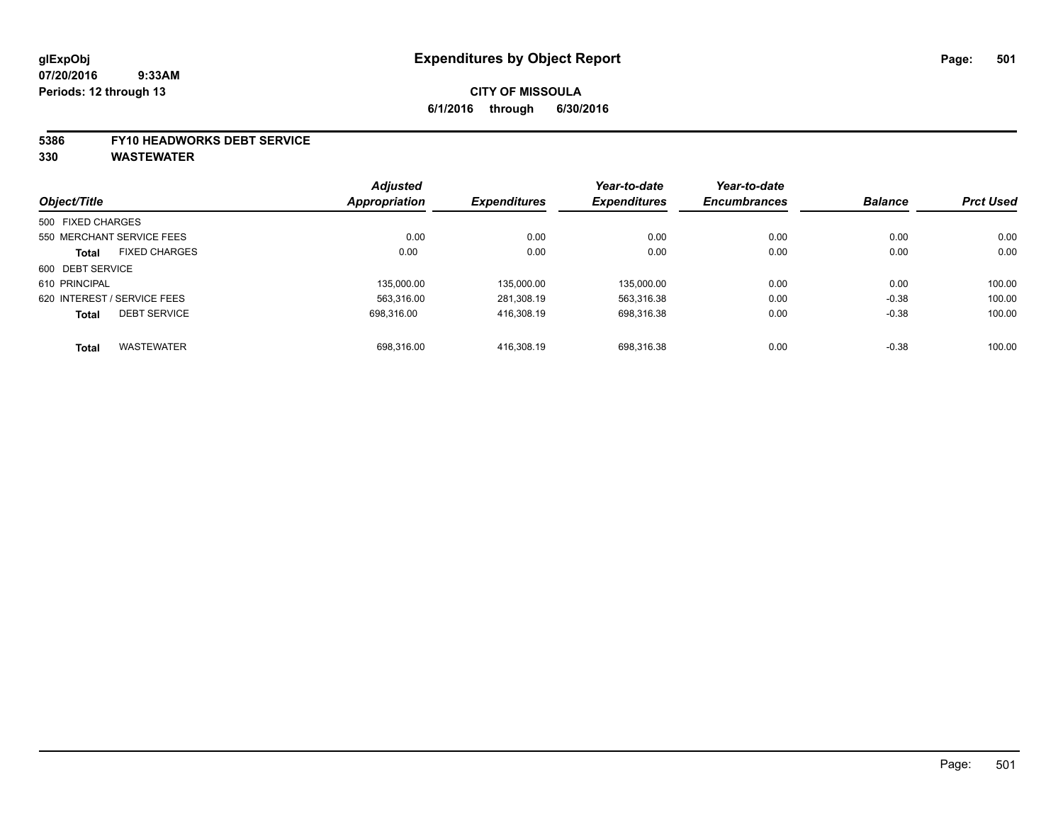# **CITY OF MISSOULA 6/1/2016 through 6/30/2016**

#### **5386 FY10 HEADWORKS DEBT SERVICE**

|                             |                      | <b>Adjusted</b>      |                     | Year-to-date        | Year-to-date        | <b>Balance</b> | <b>Prct Used</b> |
|-----------------------------|----------------------|----------------------|---------------------|---------------------|---------------------|----------------|------------------|
| Object/Title                |                      | <b>Appropriation</b> | <b>Expenditures</b> | <b>Expenditures</b> | <b>Encumbrances</b> |                |                  |
| 500 FIXED CHARGES           |                      |                      |                     |                     |                     |                |                  |
| 550 MERCHANT SERVICE FEES   |                      | 0.00                 | 0.00                | 0.00                | 0.00                | 0.00           | 0.00             |
| <b>Total</b>                | <b>FIXED CHARGES</b> | 0.00                 | 0.00                | 0.00                | 0.00                | 0.00           | 0.00             |
| 600 DEBT SERVICE            |                      |                      |                     |                     |                     |                |                  |
| 610 PRINCIPAL               |                      | 135.000.00           | 135.000.00          | 135.000.00          | 0.00                | 0.00           | 100.00           |
| 620 INTEREST / SERVICE FEES |                      | 563,316.00           | 281,308.19          | 563,316.38          | 0.00                | $-0.38$        | 100.00           |
| <b>Total</b>                | <b>DEBT SERVICE</b>  | 698.316.00           | 416.308.19          | 698.316.38          | 0.00                | $-0.38$        | 100.00           |
| <b>Total</b>                | <b>WASTEWATER</b>    | 698,316.00           | 416.308.19          | 698.316.38          | 0.00                | $-0.38$        | 100.00           |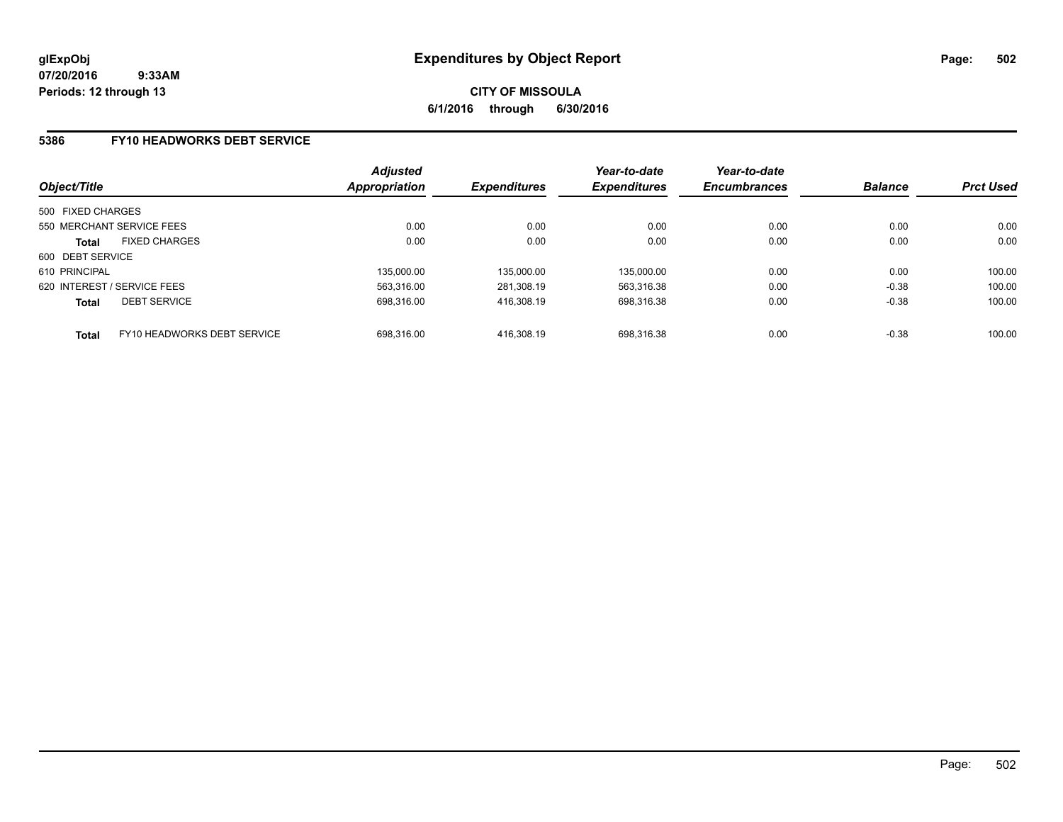### **5386 FY10 HEADWORKS DEBT SERVICE**

| Object/Title                |                             | <b>Adjusted</b><br><b>Appropriation</b> | <b>Expenditures</b> | Year-to-date<br><b>Expenditures</b> | Year-to-date<br><b>Encumbrances</b> | <b>Balance</b> | <b>Prct Used</b> |
|-----------------------------|-----------------------------|-----------------------------------------|---------------------|-------------------------------------|-------------------------------------|----------------|------------------|
| 500 FIXED CHARGES           |                             |                                         |                     |                                     |                                     |                |                  |
|                             | 550 MERCHANT SERVICE FEES   | 0.00                                    | 0.00                | 0.00                                | 0.00                                | 0.00           | 0.00             |
| <b>Total</b>                | <b>FIXED CHARGES</b>        | 0.00                                    | 0.00                | 0.00                                | 0.00                                | 0.00           | 0.00             |
| 600 DEBT SERVICE            |                             |                                         |                     |                                     |                                     |                |                  |
| 610 PRINCIPAL               |                             | 135,000.00                              | 135,000.00          | 135,000.00                          | 0.00                                | 0.00           | 100.00           |
| 620 INTEREST / SERVICE FEES |                             | 563.316.00                              | 281.308.19          | 563,316.38                          | 0.00                                | $-0.38$        | 100.00           |
| <b>Total</b>                | <b>DEBT SERVICE</b>         | 698.316.00                              | 416.308.19          | 698,316.38                          | 0.00                                | $-0.38$        | 100.00           |
| <b>Total</b>                | FY10 HEADWORKS DEBT SERVICE | 698.316.00                              | 416.308.19          | 698.316.38                          | 0.00                                | $-0.38$        | 100.00           |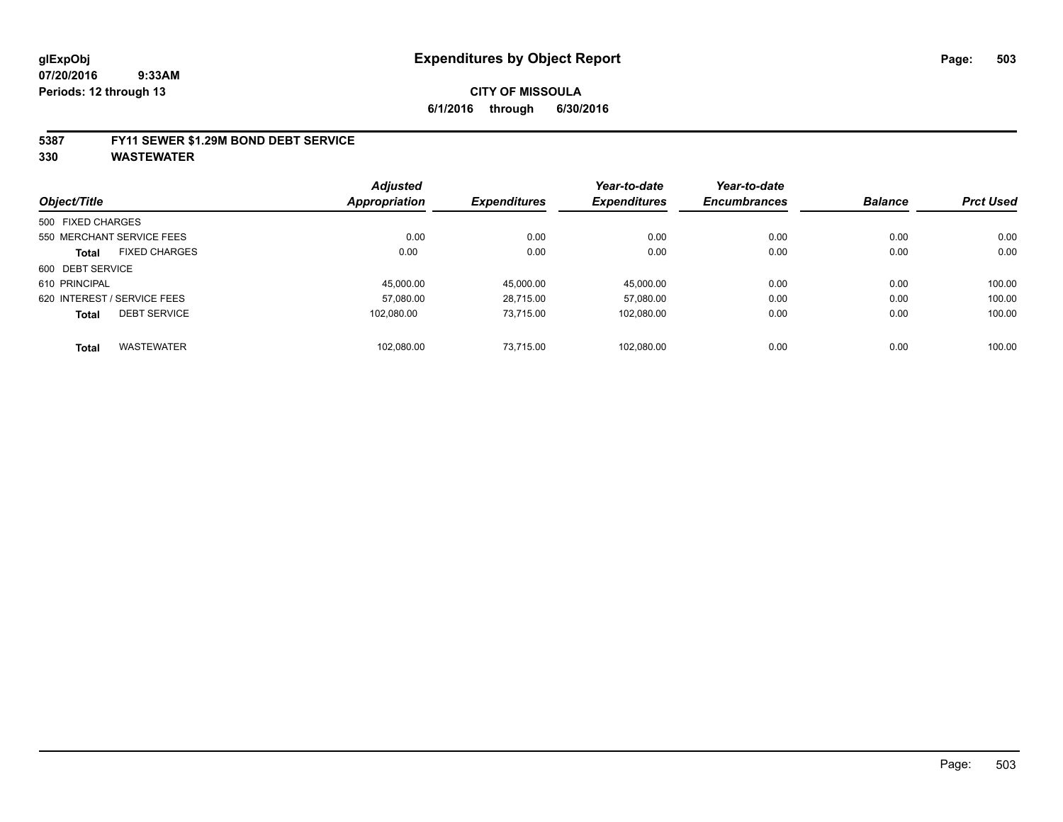#### **5387 FY11 SEWER \$1.29M BOND DEBT SERVICE**

|                   |                             | <b>Adjusted</b>      |                     | Year-to-date        | Year-to-date        |                |                  |
|-------------------|-----------------------------|----------------------|---------------------|---------------------|---------------------|----------------|------------------|
| Object/Title      |                             | <b>Appropriation</b> | <b>Expenditures</b> | <b>Expenditures</b> | <b>Encumbrances</b> | <b>Balance</b> | <b>Prct Used</b> |
| 500 FIXED CHARGES |                             |                      |                     |                     |                     |                |                  |
|                   | 550 MERCHANT SERVICE FEES   | 0.00                 | 0.00                | 0.00                | 0.00                | 0.00           | 0.00             |
| <b>Total</b>      | <b>FIXED CHARGES</b>        | 0.00                 | 0.00                | 0.00                | 0.00                | 0.00           | 0.00             |
| 600 DEBT SERVICE  |                             |                      |                     |                     |                     |                |                  |
| 610 PRINCIPAL     |                             | 45.000.00            | 45.000.00           | 45.000.00           | 0.00                | 0.00           | 100.00           |
|                   | 620 INTEREST / SERVICE FEES | 57.080.00            | 28.715.00           | 57.080.00           | 0.00                | 0.00           | 100.00           |
| <b>Total</b>      | <b>DEBT SERVICE</b>         | 102.080.00           | 73.715.00           | 102,080.00          | 0.00                | 0.00           | 100.00           |
| <b>Total</b>      | <b>WASTEWATER</b>           | 102.080.00           | 73.715.00           | 102.080.00          | 0.00                | 0.00           | 100.00           |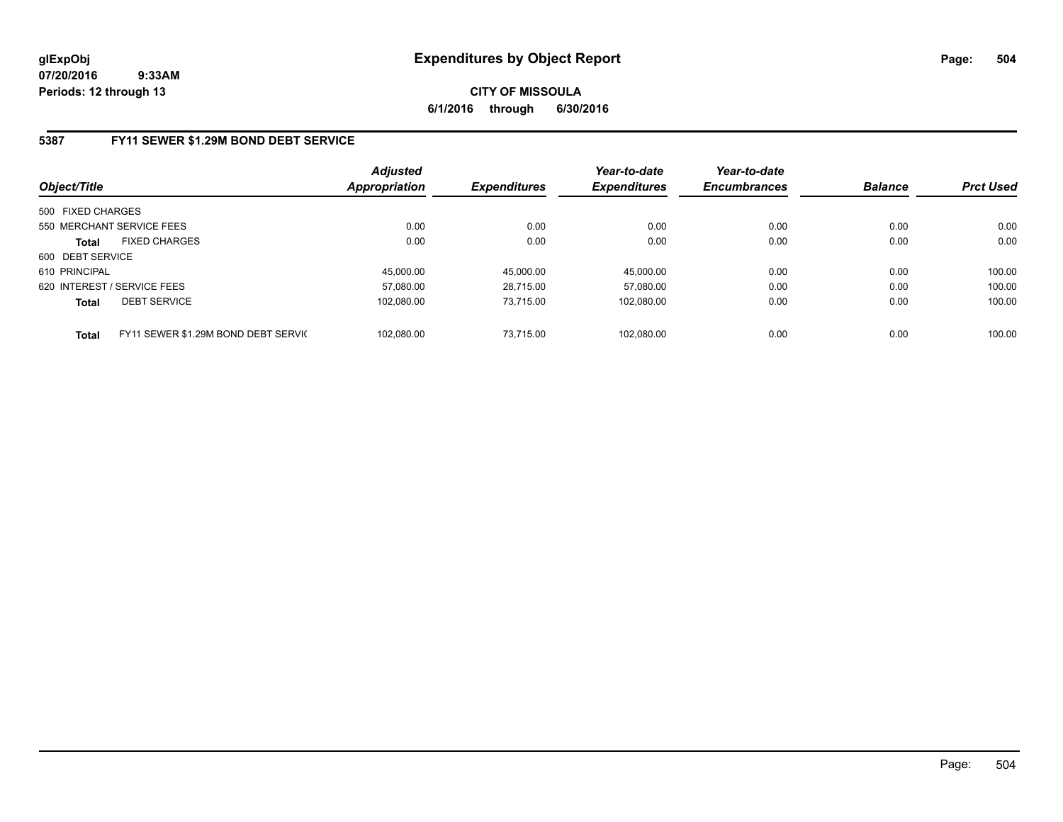**CITY OF MISSOULA 6/1/2016 through 6/30/2016**

### **5387 FY11 SEWER \$1.29M BOND DEBT SERVICE**

| Object/Title      |                                     | <b>Adjusted</b><br>Appropriation | <b>Expenditures</b> | Year-to-date<br><b>Expenditures</b> | Year-to-date<br><b>Encumbrances</b> | <b>Balance</b> | <b>Prct Used</b> |
|-------------------|-------------------------------------|----------------------------------|---------------------|-------------------------------------|-------------------------------------|----------------|------------------|
| 500 FIXED CHARGES |                                     |                                  |                     |                                     |                                     |                |                  |
|                   | 550 MERCHANT SERVICE FEES           | 0.00                             | 0.00                | 0.00                                | 0.00                                | 0.00           | 0.00             |
| <b>Total</b>      | <b>FIXED CHARGES</b>                | 0.00                             | 0.00                | 0.00                                | 0.00                                | 0.00           | 0.00             |
| 600 DEBT SERVICE  |                                     |                                  |                     |                                     |                                     |                |                  |
| 610 PRINCIPAL     |                                     | 45.000.00                        | 45.000.00           | 45.000.00                           | 0.00                                | 0.00           | 100.00           |
|                   | 620 INTEREST / SERVICE FEES         | 57.080.00                        | 28.715.00           | 57.080.00                           | 0.00                                | 0.00           | 100.00           |
| <b>Total</b>      | <b>DEBT SERVICE</b>                 | 102.080.00                       | 73.715.00           | 102,080.00                          | 0.00                                | 0.00           | 100.00           |
| <b>Total</b>      | FY11 SEWER \$1.29M BOND DEBT SERVIC | 102.080.00                       | 73.715.00           | 102.080.00                          | 0.00                                | 0.00           | 100.00           |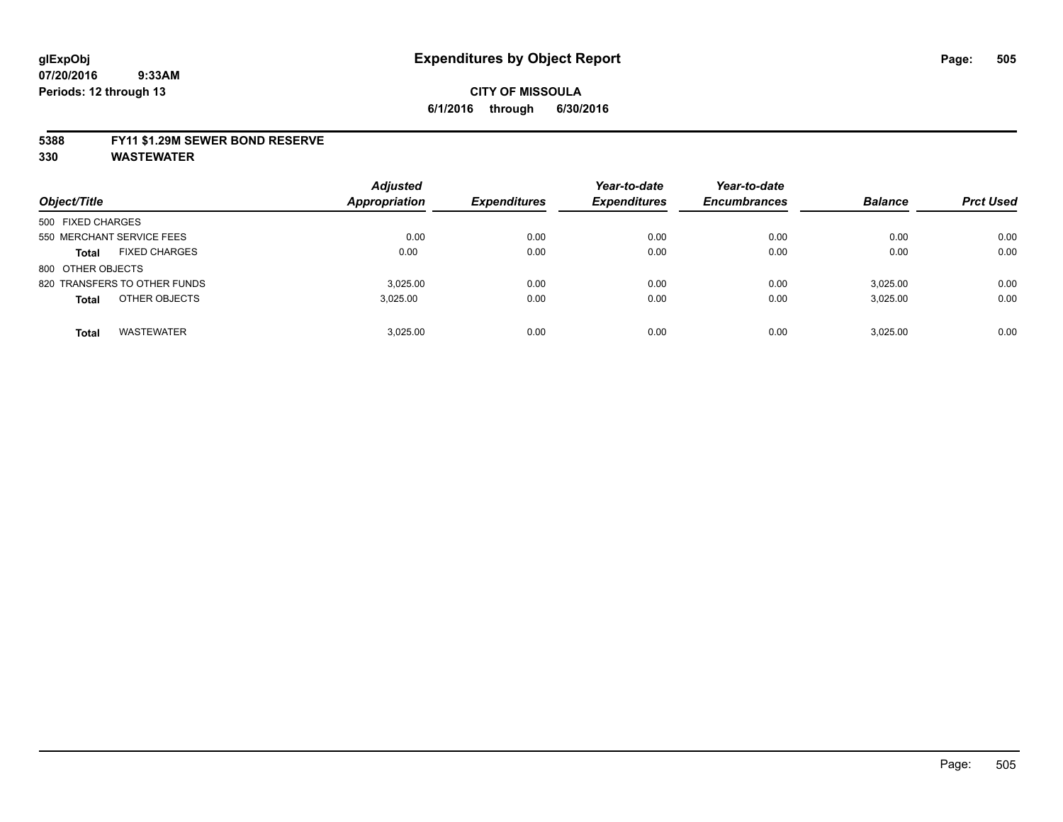### **5388 FY11 \$1.29M SEWER BOND RESERVE**

**330 WASTEWATER**

| Object/Title                         | <b>Adjusted</b><br><b>Appropriation</b> | <b>Expenditures</b> | Year-to-date<br><b>Expenditures</b> | Year-to-date<br><b>Encumbrances</b> | <b>Balance</b> | <b>Prct Used</b> |
|--------------------------------------|-----------------------------------------|---------------------|-------------------------------------|-------------------------------------|----------------|------------------|
| 500 FIXED CHARGES                    |                                         |                     |                                     |                                     |                |                  |
| 550 MERCHANT SERVICE FEES            | 0.00                                    | 0.00                | 0.00                                | 0.00                                | 0.00           | 0.00             |
| <b>FIXED CHARGES</b><br><b>Total</b> | 0.00                                    | 0.00                | 0.00                                | 0.00                                | 0.00           | 0.00             |
| 800 OTHER OBJECTS                    |                                         |                     |                                     |                                     |                |                  |
| 820 TRANSFERS TO OTHER FUNDS         | 3.025.00                                | 0.00                | 0.00                                | 0.00                                | 3.025.00       | 0.00             |
| OTHER OBJECTS<br><b>Total</b>        | 3,025.00                                | 0.00                | 0.00                                | 0.00                                | 3.025.00       | 0.00             |
| <b>WASTEWATER</b><br>Total           | 3.025.00                                | 0.00                | 0.00                                | 0.00                                | 3.025.00       | 0.00             |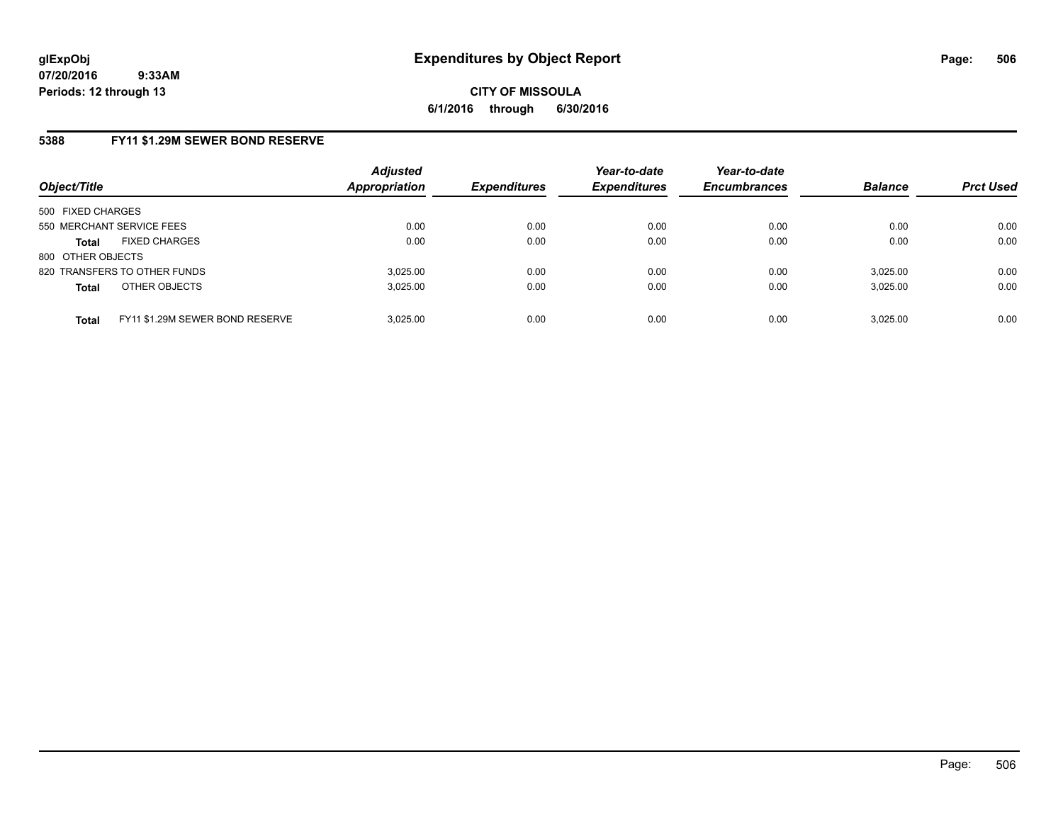## **5388 FY11 \$1.29M SEWER BOND RESERVE**

| Object/Title                                    | <b>Adjusted</b><br><b>Appropriation</b> | <b>Expenditures</b> | Year-to-date<br><b>Expenditures</b> | Year-to-date<br><b>Encumbrances</b> | <b>Balance</b> | <b>Prct Used</b> |
|-------------------------------------------------|-----------------------------------------|---------------------|-------------------------------------|-------------------------------------|----------------|------------------|
| 500 FIXED CHARGES                               |                                         |                     |                                     |                                     |                |                  |
| 550 MERCHANT SERVICE FEES                       | 0.00                                    | 0.00                | 0.00                                | 0.00                                | 0.00           | 0.00             |
| <b>FIXED CHARGES</b><br><b>Total</b>            | 0.00                                    | 0.00                | 0.00                                | 0.00                                | 0.00           | 0.00             |
| 800 OTHER OBJECTS                               |                                         |                     |                                     |                                     |                |                  |
| 820 TRANSFERS TO OTHER FUNDS                    | 3.025.00                                | 0.00                | 0.00                                | 0.00                                | 3,025.00       | 0.00             |
| OTHER OBJECTS<br><b>Total</b>                   | 3,025.00                                | 0.00                | 0.00                                | 0.00                                | 3,025.00       | 0.00             |
| FY11 \$1.29M SEWER BOND RESERVE<br><b>Total</b> | 3.025.00                                | 0.00                | 0.00                                | 0.00                                | 3,025.00       | 0.00             |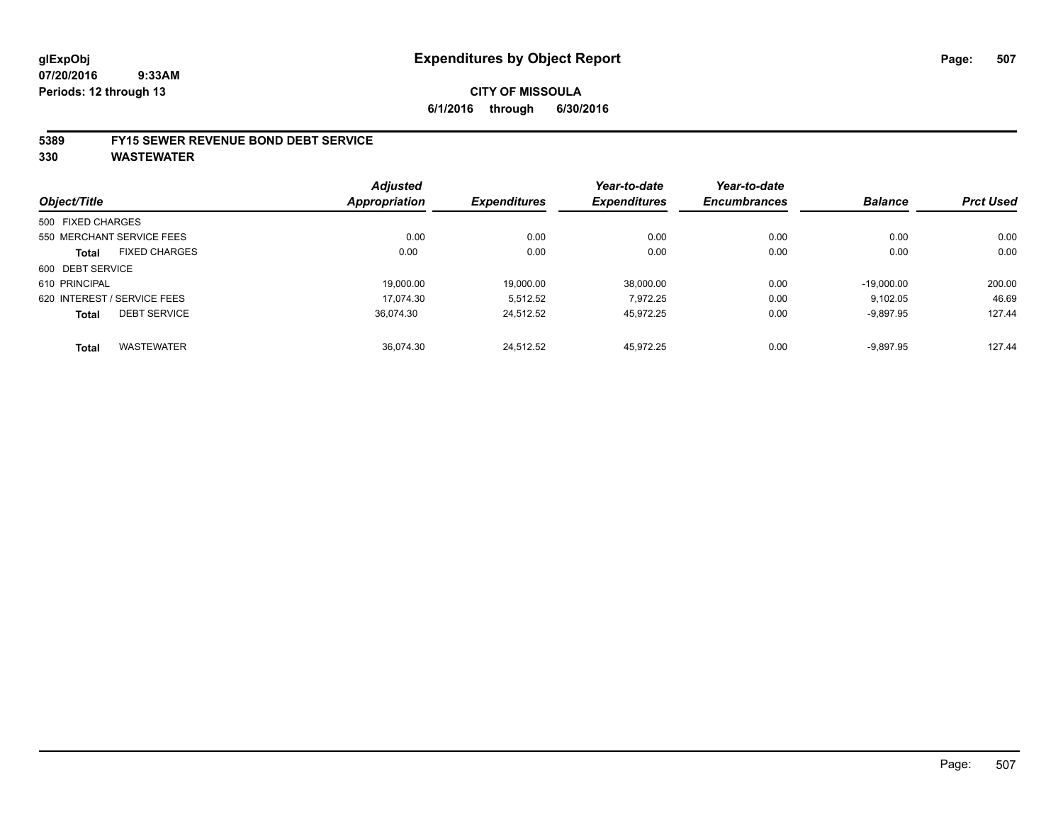# **CITY OF MISSOULA 6/1/2016 through 6/30/2016**

### **5389 FY15 SEWER REVENUE BOND DEBT SERVICE**

**330 WASTEWATER**

|                   |                             | <b>Adjusted</b>      |                     | Year-to-date        | Year-to-date        |                |                  |
|-------------------|-----------------------------|----------------------|---------------------|---------------------|---------------------|----------------|------------------|
| Object/Title      |                             | <b>Appropriation</b> | <b>Expenditures</b> | <b>Expenditures</b> | <b>Encumbrances</b> | <b>Balance</b> | <b>Prct Used</b> |
| 500 FIXED CHARGES |                             |                      |                     |                     |                     |                |                  |
|                   | 550 MERCHANT SERVICE FEES   | 0.00                 | 0.00                | 0.00                | 0.00                | 0.00           | 0.00             |
| <b>Total</b>      | <b>FIXED CHARGES</b>        | 0.00                 | 0.00                | 0.00                | 0.00                | 0.00           | 0.00             |
| 600 DEBT SERVICE  |                             |                      |                     |                     |                     |                |                  |
| 610 PRINCIPAL     |                             | 19.000.00            | 19.000.00           | 38.000.00           | 0.00                | $-19.000.00$   | 200.00           |
|                   | 620 INTEREST / SERVICE FEES | 17.074.30            | 5,512.52            | 7.972.25            | 0.00                | 9,102.05       | 46.69            |
| <b>Total</b>      | <b>DEBT SERVICE</b>         | 36.074.30            | 24.512.52           | 45.972.25           | 0.00                | $-9,897.95$    | 127.44           |
| <b>Total</b>      | <b>WASTEWATER</b>           | 36.074.30            | 24,512.52           | 45.972.25           | 0.00                | $-9,897.95$    | 127.44           |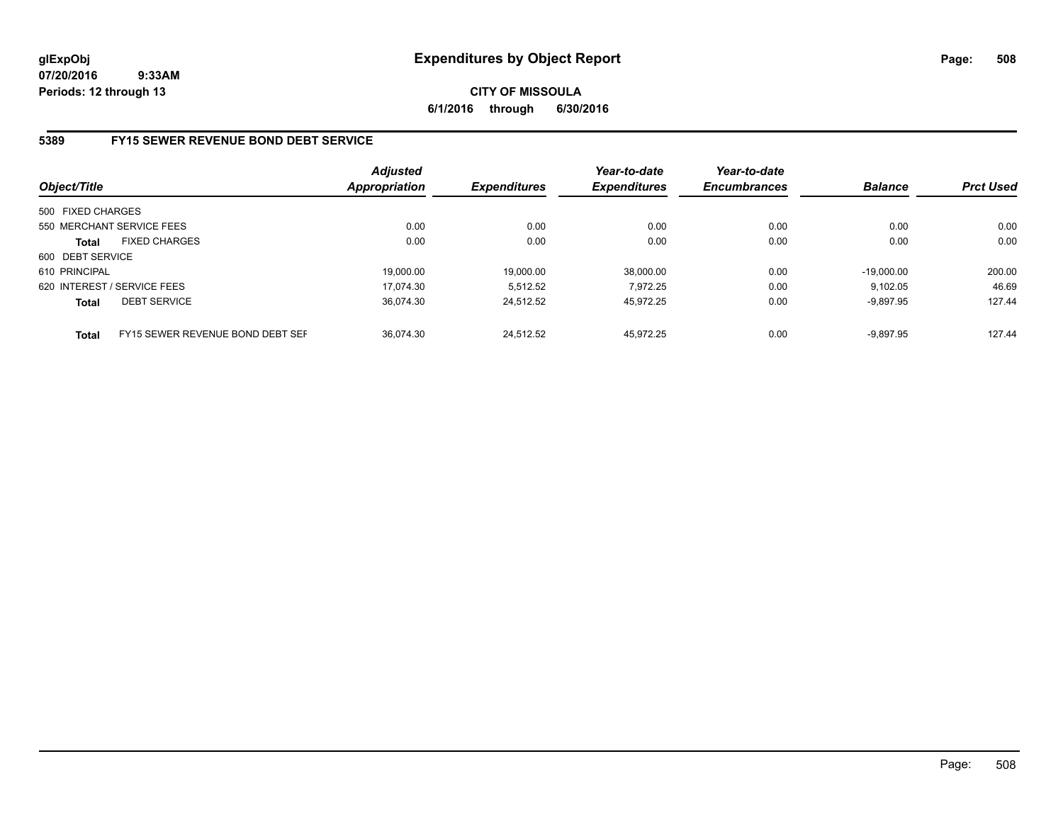**CITY OF MISSOULA 6/1/2016 through 6/30/2016**

## **5389 FY15 SEWER REVENUE BOND DEBT SERVICE**

| Object/Title      |                                  | <b>Adjusted</b><br><b>Appropriation</b> | <b>Expenditures</b> | Year-to-date<br><b>Expenditures</b> | Year-to-date<br><b>Encumbrances</b> | <b>Balance</b> | <b>Prct Used</b> |
|-------------------|----------------------------------|-----------------------------------------|---------------------|-------------------------------------|-------------------------------------|----------------|------------------|
| 500 FIXED CHARGES |                                  |                                         |                     |                                     |                                     |                |                  |
|                   | 550 MERCHANT SERVICE FEES        | 0.00                                    | 0.00                | 0.00                                | 0.00                                | 0.00           | 0.00             |
| <b>Total</b>      | <b>FIXED CHARGES</b>             | 0.00                                    | 0.00                | 0.00                                | 0.00                                | 0.00           | 0.00             |
| 600 DEBT SERVICE  |                                  |                                         |                     |                                     |                                     |                |                  |
| 610 PRINCIPAL     |                                  | 19.000.00                               | 19.000.00           | 38.000.00                           | 0.00                                | $-19.000.00$   | 200.00           |
|                   | 620 INTEREST / SERVICE FEES      | 17.074.30                               | 5.512.52            | 7.972.25                            | 0.00                                | 9.102.05       | 46.69            |
| <b>Total</b>      | <b>DEBT SERVICE</b>              | 36.074.30                               | 24.512.52           | 45.972.25                           | 0.00                                | $-9.897.95$    | 127.44           |
| <b>Total</b>      | FY15 SEWER REVENUE BOND DEBT SEF | 36.074.30                               | 24.512.52           | 45.972.25                           | 0.00                                | $-9.897.95$    | 127.44           |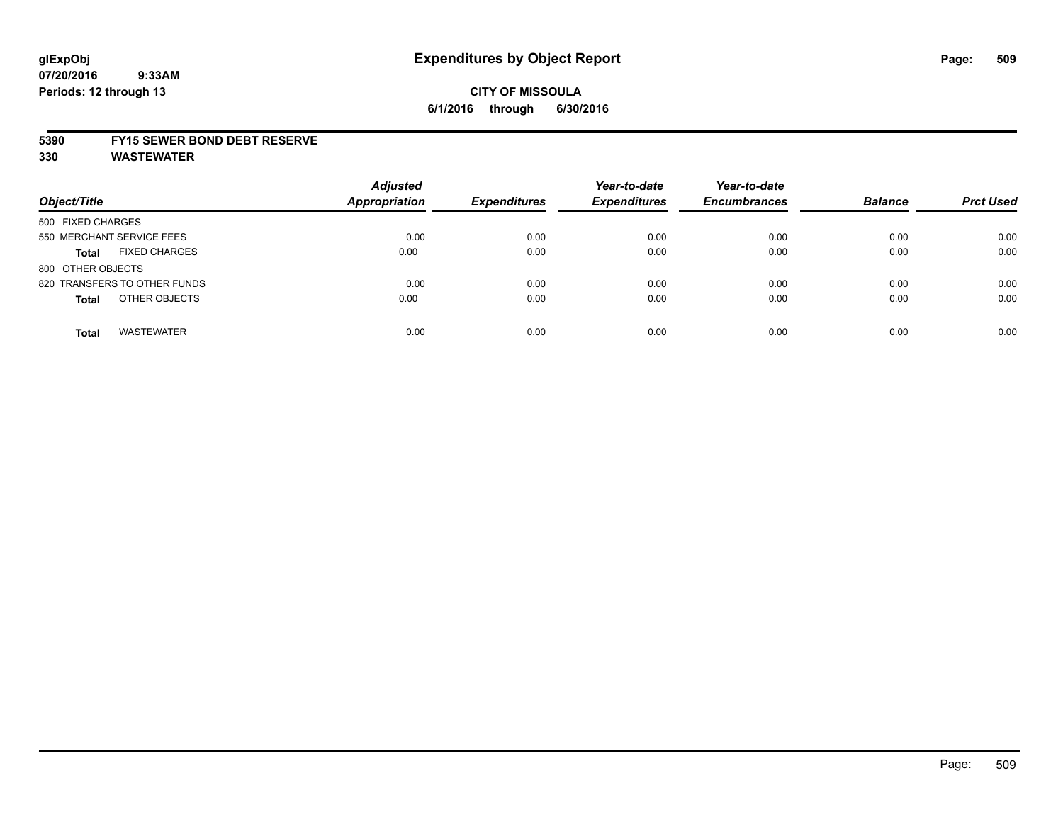# **CITY OF MISSOULA 6/1/2016 through 6/30/2016**

### **5390 FY15 SEWER BOND DEBT RESERVE**

**330 WASTEWATER**

| Object/Title                         | <b>Adjusted</b><br><b>Appropriation</b> | <b>Expenditures</b> | Year-to-date<br><b>Expenditures</b> | Year-to-date<br><b>Encumbrances</b> | <b>Balance</b> | <b>Prct Used</b> |
|--------------------------------------|-----------------------------------------|---------------------|-------------------------------------|-------------------------------------|----------------|------------------|
| 500 FIXED CHARGES                    |                                         |                     |                                     |                                     |                |                  |
| 550 MERCHANT SERVICE FEES            | 0.00                                    | 0.00                | 0.00                                | 0.00                                | 0.00           | 0.00             |
| <b>FIXED CHARGES</b><br><b>Total</b> | 0.00                                    | 0.00                | 0.00                                | 0.00                                | 0.00           | 0.00             |
| 800 OTHER OBJECTS                    |                                         |                     |                                     |                                     |                |                  |
| 820 TRANSFERS TO OTHER FUNDS         | 0.00                                    | 0.00                | 0.00                                | 0.00                                | 0.00           | 0.00             |
| OTHER OBJECTS<br><b>Total</b>        | 0.00                                    | 0.00                | 0.00                                | 0.00                                | 0.00           | 0.00             |
| <b>WASTEWATER</b><br><b>Total</b>    | 0.00                                    | 0.00                | 0.00                                | 0.00                                | 0.00           | 0.00             |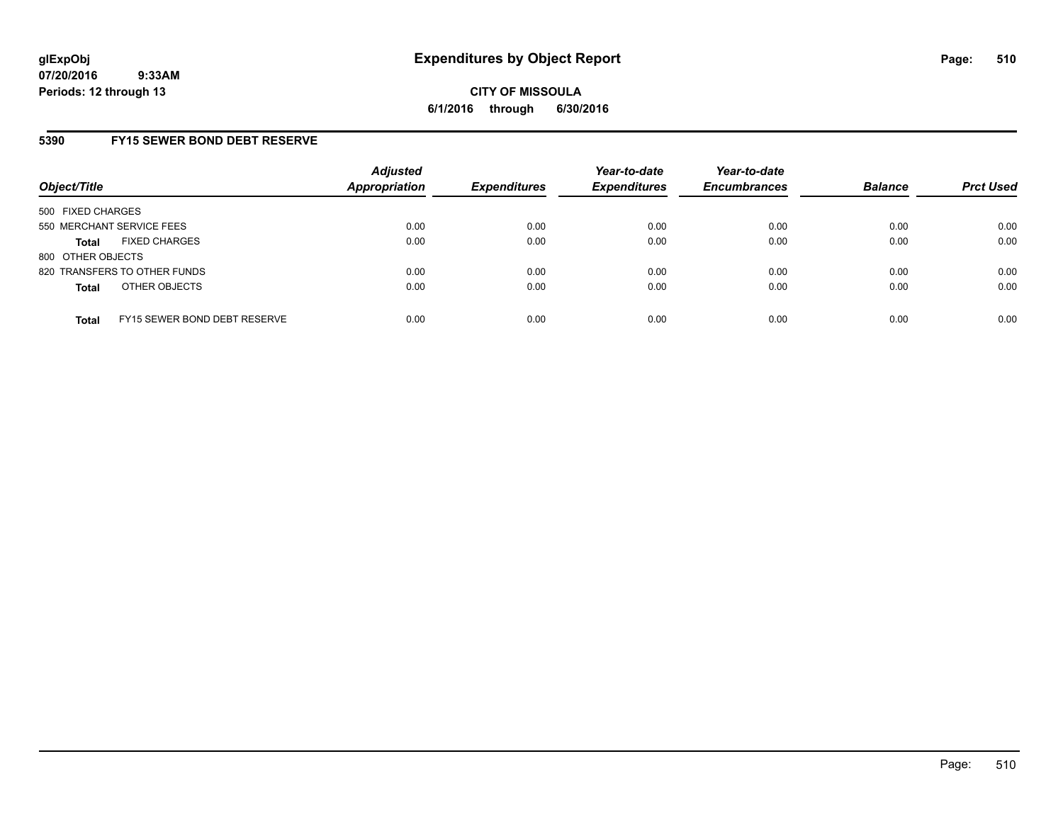## **5390 FY15 SEWER BOND DEBT RESERVE**

| Object/Title              |                              | <b>Adjusted</b><br>Appropriation | <b>Expenditures</b> | Year-to-date<br><b>Expenditures</b> | Year-to-date<br><b>Encumbrances</b> | <b>Balance</b> | <b>Prct Used</b> |
|---------------------------|------------------------------|----------------------------------|---------------------|-------------------------------------|-------------------------------------|----------------|------------------|
| 500 FIXED CHARGES         |                              |                                  |                     |                                     |                                     |                |                  |
| 550 MERCHANT SERVICE FEES |                              | 0.00                             | 0.00                | 0.00                                | 0.00                                | 0.00           | 0.00             |
| <b>Total</b>              | <b>FIXED CHARGES</b>         | 0.00                             | 0.00                | 0.00                                | 0.00                                | 0.00           | 0.00             |
| 800 OTHER OBJECTS         |                              |                                  |                     |                                     |                                     |                |                  |
|                           | 820 TRANSFERS TO OTHER FUNDS | 0.00                             | 0.00                | 0.00                                | 0.00                                | 0.00           | 0.00             |
| <b>Total</b>              | OTHER OBJECTS                | 0.00                             | 0.00                | 0.00                                | 0.00                                | 0.00           | 0.00             |
| <b>Total</b>              | FY15 SEWER BOND DEBT RESERVE | 0.00                             | 0.00                | 0.00                                | 0.00                                | 0.00           | 0.00             |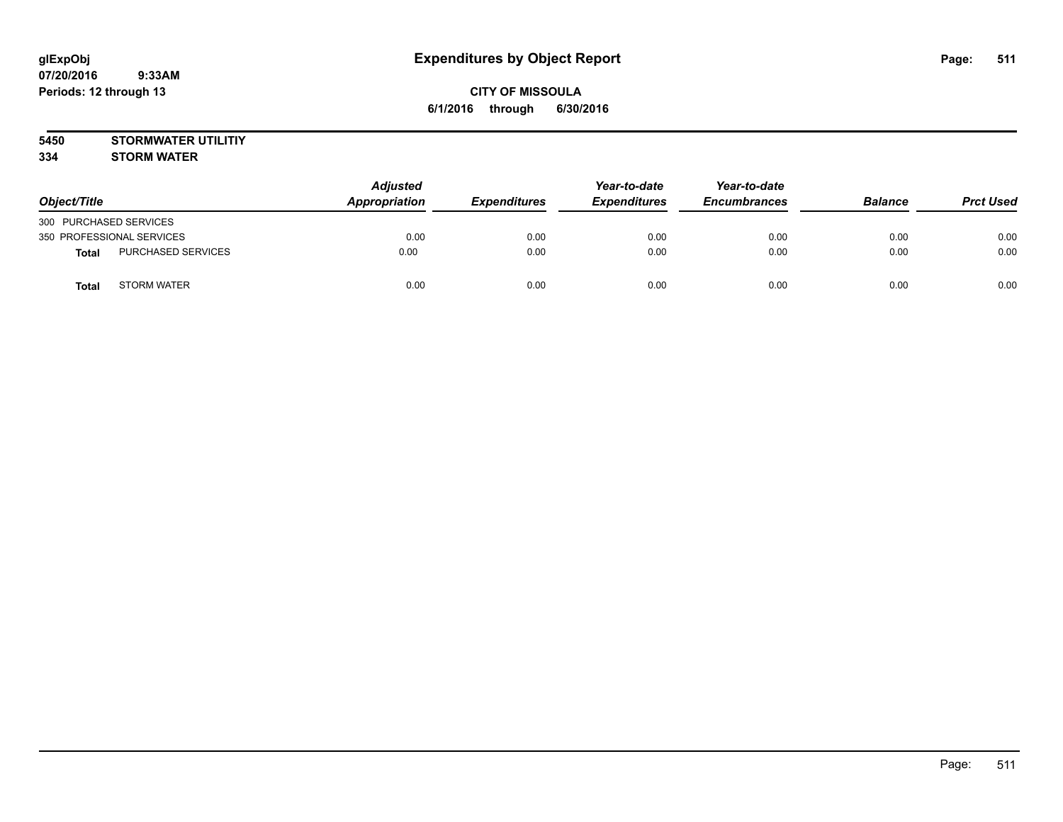**5450 STORMWATER UTILITIY 334 STORM WATER**

| Object/Title                       | <b>Adjusted</b><br>Appropriation | <b>Expenditures</b> | Year-to-date<br><b>Expenditures</b> | Year-to-date<br><b>Encumbrances</b> | <b>Balance</b> | <b>Prct Used</b> |
|------------------------------------|----------------------------------|---------------------|-------------------------------------|-------------------------------------|----------------|------------------|
| 300 PURCHASED SERVICES             |                                  |                     |                                     |                                     |                |                  |
| 350 PROFESSIONAL SERVICES          | 0.00                             | 0.00                | 0.00                                | 0.00                                | 0.00           | 0.00             |
| PURCHASED SERVICES<br><b>Total</b> | 0.00                             | 0.00                | 0.00                                | 0.00                                | 0.00           | 0.00             |
| <b>STORM WATER</b><br><b>Total</b> | 0.00                             | 0.00                | 0.00                                | 0.00                                | 0.00           | 0.00             |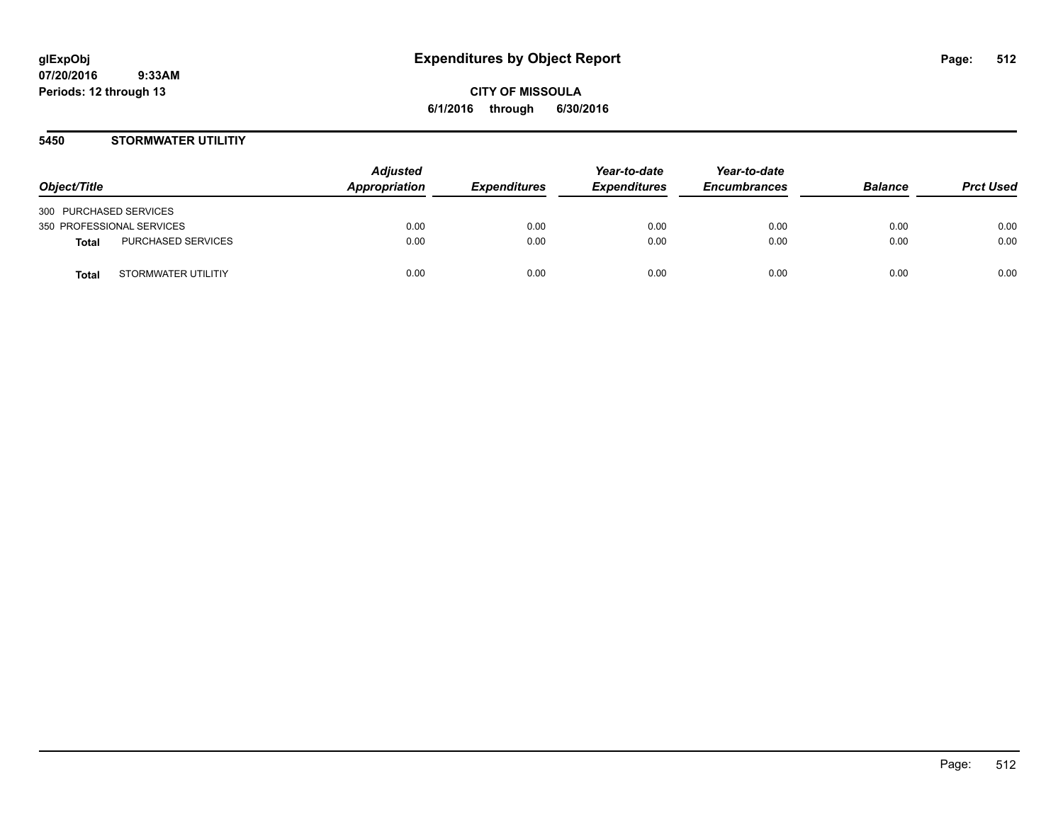## **5450 STORMWATER UTILITIY**

| Object/Title              |                     | <b>Adjusted</b><br>Appropriation | <i><b>Expenditures</b></i> | Year-to-date<br><b>Expenditures</b> | Year-to-date<br><b>Encumbrances</b> | <b>Balance</b> | <b>Prct Used</b> |
|---------------------------|---------------------|----------------------------------|----------------------------|-------------------------------------|-------------------------------------|----------------|------------------|
| 300 PURCHASED SERVICES    |                     |                                  |                            |                                     |                                     |                |                  |
| 350 PROFESSIONAL SERVICES |                     | 0.00                             | 0.00                       | 0.00                                | 0.00                                | 0.00           | 0.00             |
| Total                     | PURCHASED SERVICES  | 0.00                             | 0.00                       | 0.00                                | 0.00                                | 0.00           | 0.00             |
| <b>Total</b>              | STORMWATER UTILITIY | 0.00                             | 0.00                       | 0.00                                | 0.00                                | 0.00           | 0.00             |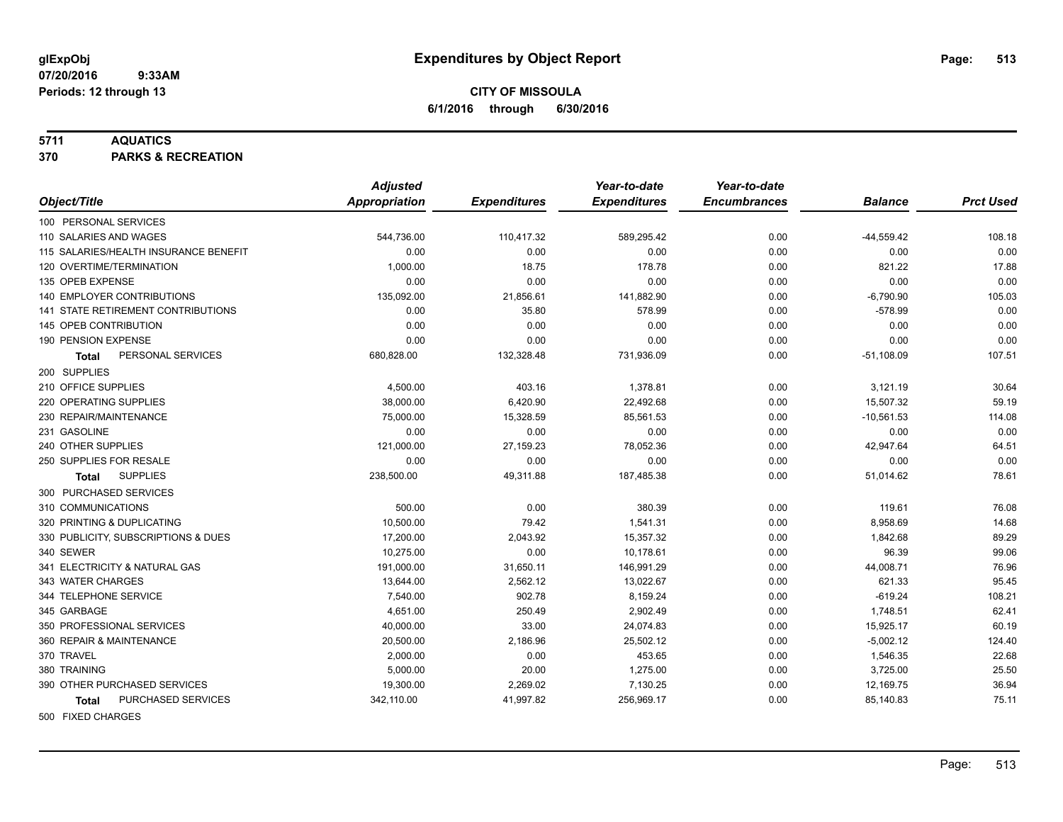#### **5711 AQUATICS**

**370 PARKS & RECREATION**

|                                           | <b>Adjusted</b> |                     | Year-to-date        | Year-to-date        |                |                  |
|-------------------------------------------|-----------------|---------------------|---------------------|---------------------|----------------|------------------|
| Object/Title                              | Appropriation   | <b>Expenditures</b> | <b>Expenditures</b> | <b>Encumbrances</b> | <b>Balance</b> | <b>Prct Used</b> |
| 100 PERSONAL SERVICES                     |                 |                     |                     |                     |                |                  |
| 110 SALARIES AND WAGES                    | 544,736.00      | 110,417.32          | 589,295.42          | 0.00                | $-44,559.42$   | 108.18           |
| 115 SALARIES/HEALTH INSURANCE BENEFIT     | 0.00            | 0.00                | 0.00                | 0.00                | 0.00           | 0.00             |
| 120 OVERTIME/TERMINATION                  | 1,000.00        | 18.75               | 178.78              | 0.00                | 821.22         | 17.88            |
| 135 OPEB EXPENSE                          | 0.00            | 0.00                | 0.00                | 0.00                | 0.00           | 0.00             |
| <b>140 EMPLOYER CONTRIBUTIONS</b>         | 135,092.00      | 21,856.61           | 141,882.90          | 0.00                | $-6,790.90$    | 105.03           |
| <b>141 STATE RETIREMENT CONTRIBUTIONS</b> | 0.00            | 35.80               | 578.99              | 0.00                | $-578.99$      | 0.00             |
| 145 OPEB CONTRIBUTION                     | 0.00            | 0.00                | 0.00                | 0.00                | 0.00           | 0.00             |
| 190 PENSION EXPENSE                       | 0.00            | 0.00                | 0.00                | 0.00                | 0.00           | 0.00             |
| PERSONAL SERVICES<br>Total                | 680,828.00      | 132,328.48          | 731,936.09          | 0.00                | $-51,108.09$   | 107.51           |
| 200 SUPPLIES                              |                 |                     |                     |                     |                |                  |
| 210 OFFICE SUPPLIES                       | 4,500.00        | 403.16              | 1,378.81            | 0.00                | 3,121.19       | 30.64            |
| 220 OPERATING SUPPLIES                    | 38,000.00       | 6,420.90            | 22,492.68           | 0.00                | 15,507.32      | 59.19            |
| 230 REPAIR/MAINTENANCE                    | 75,000.00       | 15,328.59           | 85,561.53           | 0.00                | $-10,561.53$   | 114.08           |
| 231 GASOLINE                              | 0.00            | 0.00                | 0.00                | 0.00                | 0.00           | 0.00             |
| 240 OTHER SUPPLIES                        | 121,000.00      | 27,159.23           | 78,052.36           | 0.00                | 42,947.64      | 64.51            |
| 250 SUPPLIES FOR RESALE                   | 0.00            | 0.00                | 0.00                | 0.00                | 0.00           | 0.00             |
| <b>SUPPLIES</b><br>Total                  | 238,500.00      | 49,311.88           | 187,485.38          | 0.00                | 51,014.62      | 78.61            |
| 300 PURCHASED SERVICES                    |                 |                     |                     |                     |                |                  |
| 310 COMMUNICATIONS                        | 500.00          | 0.00                | 380.39              | 0.00                | 119.61         | 76.08            |
| 320 PRINTING & DUPLICATING                | 10,500.00       | 79.42               | 1,541.31            | 0.00                | 8,958.69       | 14.68            |
| 330 PUBLICITY, SUBSCRIPTIONS & DUES       | 17,200.00       | 2,043.92            | 15,357.32           | 0.00                | 1,842.68       | 89.29            |
| 340 SEWER                                 | 10,275.00       | 0.00                | 10,178.61           | 0.00                | 96.39          | 99.06            |
| 341 ELECTRICITY & NATURAL GAS             | 191,000.00      | 31,650.11           | 146,991.29          | 0.00                | 44,008.71      | 76.96            |
| 343 WATER CHARGES                         | 13,644.00       | 2,562.12            | 13,022.67           | 0.00                | 621.33         | 95.45            |
| 344 TELEPHONE SERVICE                     | 7,540.00        | 902.78              | 8,159.24            | 0.00                | $-619.24$      | 108.21           |
| 345 GARBAGE                               | 4,651.00        | 250.49              | 2,902.49            | 0.00                | 1,748.51       | 62.41            |
| 350 PROFESSIONAL SERVICES                 | 40,000.00       | 33.00               | 24,074.83           | 0.00                | 15,925.17      | 60.19            |
| 360 REPAIR & MAINTENANCE                  | 20,500.00       | 2,186.96            | 25,502.12           | 0.00                | $-5,002.12$    | 124.40           |
| 370 TRAVEL                                | 2,000.00        | 0.00                | 453.65              | 0.00                | 1,546.35       | 22.68            |
| 380 TRAINING                              | 5,000.00        | 20.00               | 1,275.00            | 0.00                | 3,725.00       | 25.50            |
| 390 OTHER PURCHASED SERVICES              | 19,300.00       | 2,269.02            | 7,130.25            | 0.00                | 12,169.75      | 36.94            |
| PURCHASED SERVICES<br><b>Total</b>        | 342,110.00      | 41,997.82           | 256,969.17          | 0.00                | 85,140.83      | 75.11            |
| 500 FIXED CHARGES                         |                 |                     |                     |                     |                |                  |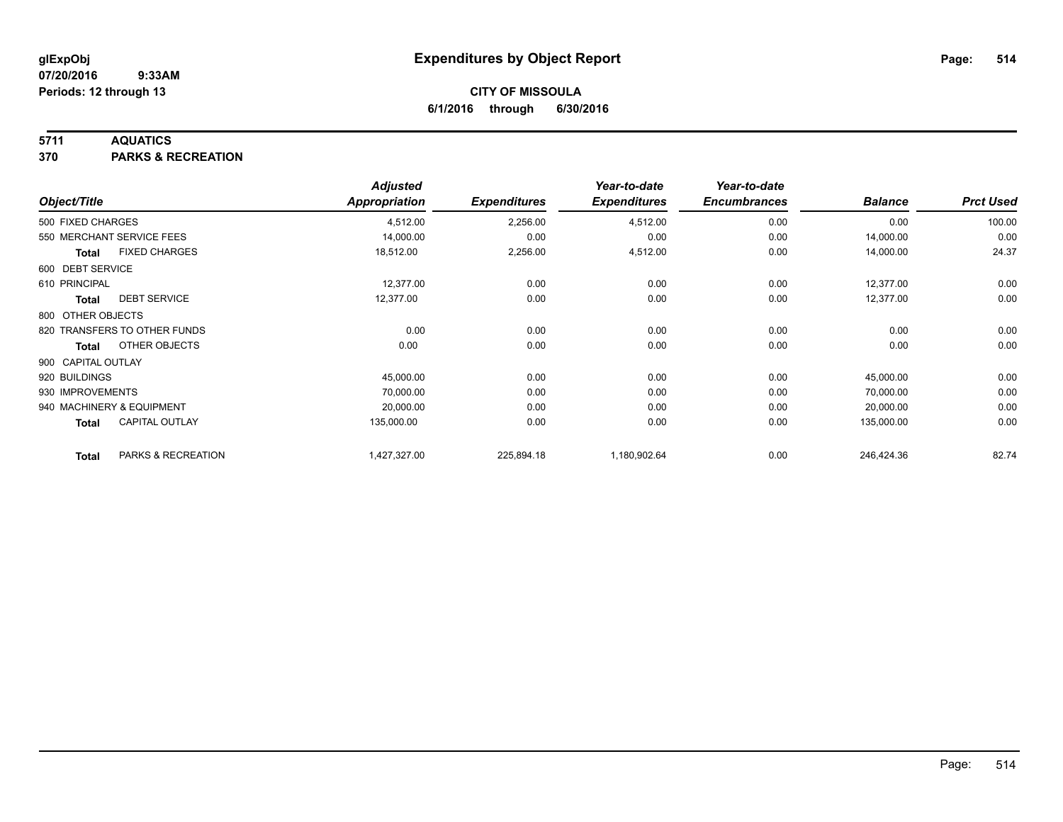## **5711 AQUATICS**

**370 PARKS & RECREATION**

| Object/Title       |                              | <b>Adjusted</b><br><b>Appropriation</b> | <b>Expenditures</b> | Year-to-date<br><b>Expenditures</b> | Year-to-date<br><b>Encumbrances</b> | <b>Balance</b> | <b>Prct Used</b> |
|--------------------|------------------------------|-----------------------------------------|---------------------|-------------------------------------|-------------------------------------|----------------|------------------|
| 500 FIXED CHARGES  |                              | 4,512.00                                | 2,256.00            | 4,512.00                            | 0.00                                | 0.00           | 100.00           |
|                    | 550 MERCHANT SERVICE FEES    | 14,000.00                               | 0.00                | 0.00                                | 0.00                                | 14,000.00      | 0.00             |
| Total              | <b>FIXED CHARGES</b>         | 18,512.00                               | 2,256.00            | 4,512.00                            | 0.00                                | 14,000.00      | 24.37            |
| 600 DEBT SERVICE   |                              |                                         |                     |                                     |                                     |                |                  |
| 610 PRINCIPAL      |                              | 12,377.00                               | 0.00                | 0.00                                | 0.00                                | 12,377.00      | 0.00             |
| Total              | <b>DEBT SERVICE</b>          | 12,377.00                               | 0.00                | 0.00                                | 0.00                                | 12,377.00      | 0.00             |
| 800 OTHER OBJECTS  |                              |                                         |                     |                                     |                                     |                |                  |
|                    | 820 TRANSFERS TO OTHER FUNDS | 0.00                                    | 0.00                | 0.00                                | 0.00                                | 0.00           | 0.00             |
| <b>Total</b>       | OTHER OBJECTS                | 0.00                                    | 0.00                | 0.00                                | 0.00                                | 0.00           | 0.00             |
| 900 CAPITAL OUTLAY |                              |                                         |                     |                                     |                                     |                |                  |
| 920 BUILDINGS      |                              | 45,000.00                               | 0.00                | 0.00                                | 0.00                                | 45,000.00      | 0.00             |
| 930 IMPROVEMENTS   |                              | 70,000.00                               | 0.00                | 0.00                                | 0.00                                | 70,000.00      | 0.00             |
|                    | 940 MACHINERY & EQUIPMENT    | 20,000.00                               | 0.00                | 0.00                                | 0.00                                | 20,000.00      | 0.00             |
| Total              | <b>CAPITAL OUTLAY</b>        | 135,000.00                              | 0.00                | 0.00                                | 0.00                                | 135,000.00     | 0.00             |
| <b>Total</b>       | PARKS & RECREATION           | 1,427,327.00                            | 225,894.18          | 1,180,902.64                        | 0.00                                | 246,424.36     | 82.74            |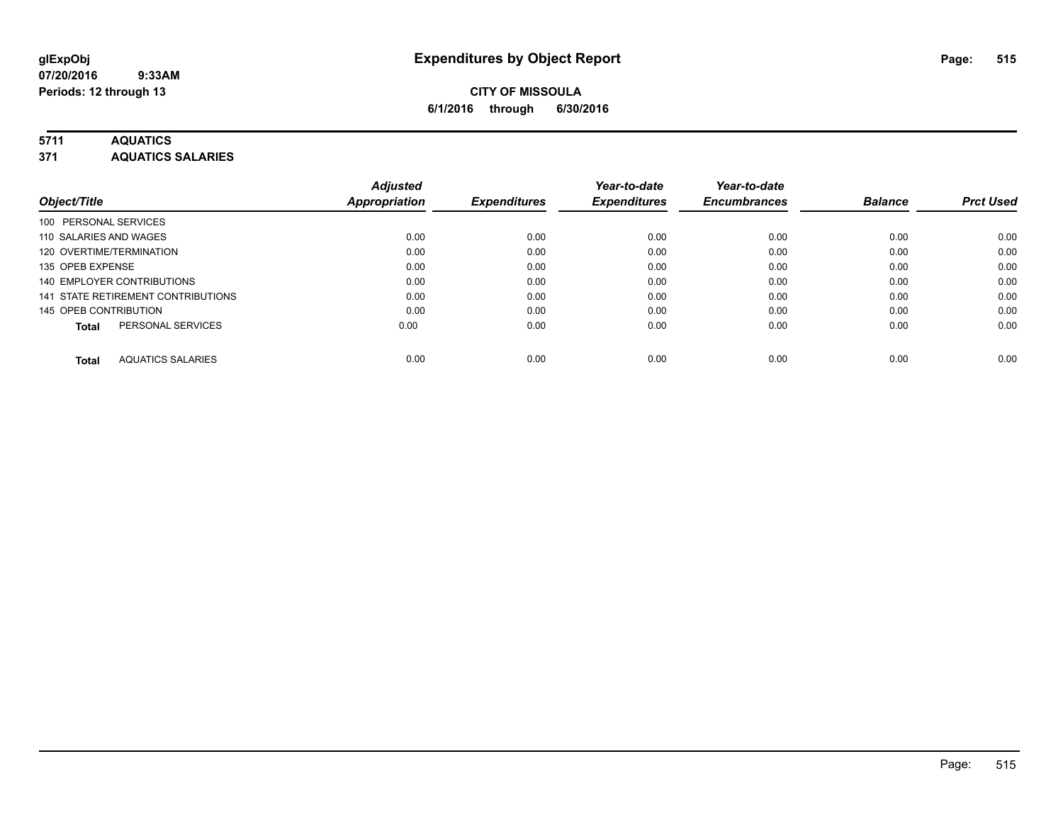## **5711 AQUATICS**

**371 AQUATICS SALARIES**

| Object/Title                             | <b>Adjusted</b><br><b>Appropriation</b> | <b>Expenditures</b> | Year-to-date<br><b>Expenditures</b> | Year-to-date<br><b>Encumbrances</b> | <b>Balance</b> | <b>Prct Used</b> |
|------------------------------------------|-----------------------------------------|---------------------|-------------------------------------|-------------------------------------|----------------|------------------|
| 100 PERSONAL SERVICES                    |                                         |                     |                                     |                                     |                |                  |
| 110 SALARIES AND WAGES                   | 0.00                                    | 0.00                | 0.00                                | 0.00                                | 0.00           | 0.00             |
| 120 OVERTIME/TERMINATION                 | 0.00                                    | 0.00                | 0.00                                | 0.00                                | 0.00           | 0.00             |
| 135 OPEB EXPENSE                         | 0.00                                    | 0.00                | 0.00                                | 0.00                                | 0.00           | 0.00             |
| 140 EMPLOYER CONTRIBUTIONS               | 0.00                                    | 0.00                | 0.00                                | 0.00                                | 0.00           | 0.00             |
| 141 STATE RETIREMENT CONTRIBUTIONS       | 0.00                                    | 0.00                | 0.00                                | 0.00                                | 0.00           | 0.00             |
| 145 OPEB CONTRIBUTION                    | 0.00                                    | 0.00                | 0.00                                | 0.00                                | 0.00           | 0.00             |
| PERSONAL SERVICES<br><b>Total</b>        | 0.00                                    | 0.00                | 0.00                                | 0.00                                | 0.00           | 0.00             |
| <b>AQUATICS SALARIES</b><br><b>Total</b> | 0.00                                    | 0.00                | 0.00                                | 0.00                                | 0.00           | 0.00             |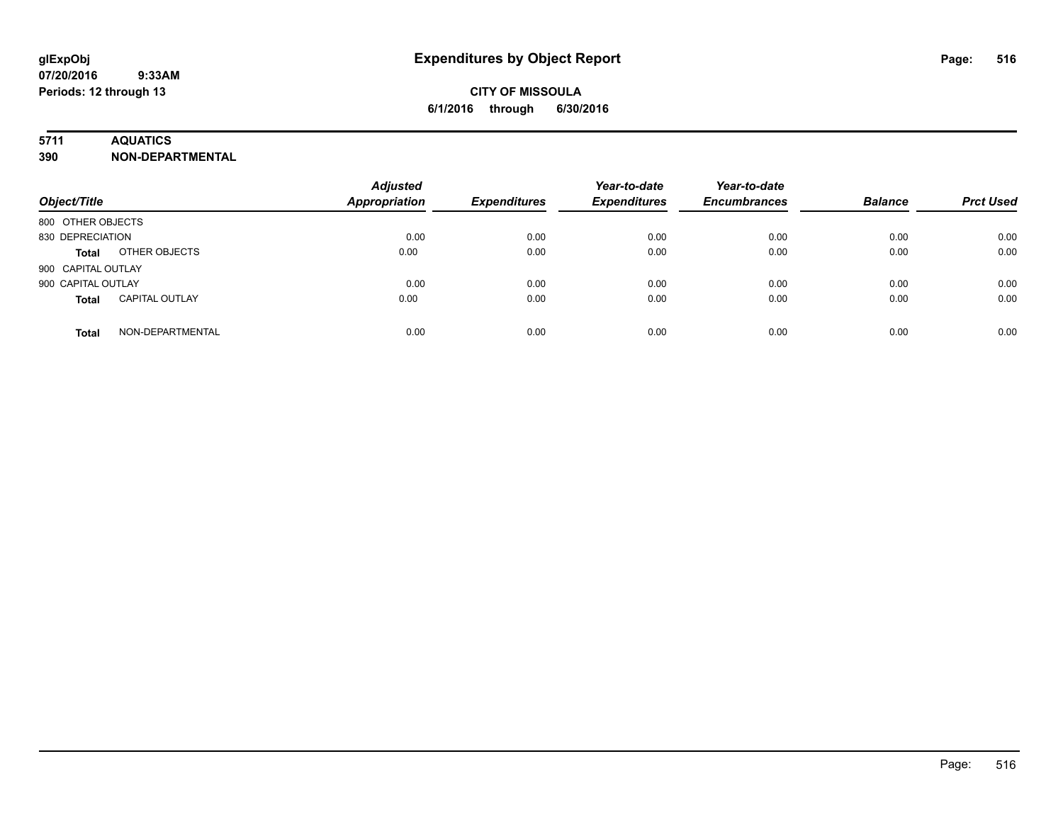## **5711 AQUATICS**

**390 NON-DEPARTMENTAL**

| Object/Title                          | <b>Adjusted</b><br><b>Appropriation</b> | <b>Expenditures</b> | Year-to-date<br><b>Expenditures</b> | Year-to-date<br><b>Encumbrances</b> | <b>Balance</b> | <b>Prct Used</b> |
|---------------------------------------|-----------------------------------------|---------------------|-------------------------------------|-------------------------------------|----------------|------------------|
| 800 OTHER OBJECTS                     |                                         |                     |                                     |                                     |                |                  |
| 830 DEPRECIATION                      | 0.00                                    | 0.00                | 0.00                                | 0.00                                | 0.00           | 0.00             |
| OTHER OBJECTS<br><b>Total</b>         | 0.00                                    | 0.00                | 0.00                                | 0.00                                | 0.00           | 0.00             |
| 900 CAPITAL OUTLAY                    |                                         |                     |                                     |                                     |                |                  |
| 900 CAPITAL OUTLAY                    | 0.00                                    | 0.00                | 0.00                                | 0.00                                | 0.00           | 0.00             |
| <b>CAPITAL OUTLAY</b><br><b>Total</b> | 0.00                                    | 0.00                | 0.00                                | 0.00                                | 0.00           | 0.00             |
| NON-DEPARTMENTAL<br><b>Total</b>      | 0.00                                    | 0.00                | 0.00                                | 0.00                                | 0.00           | 0.00             |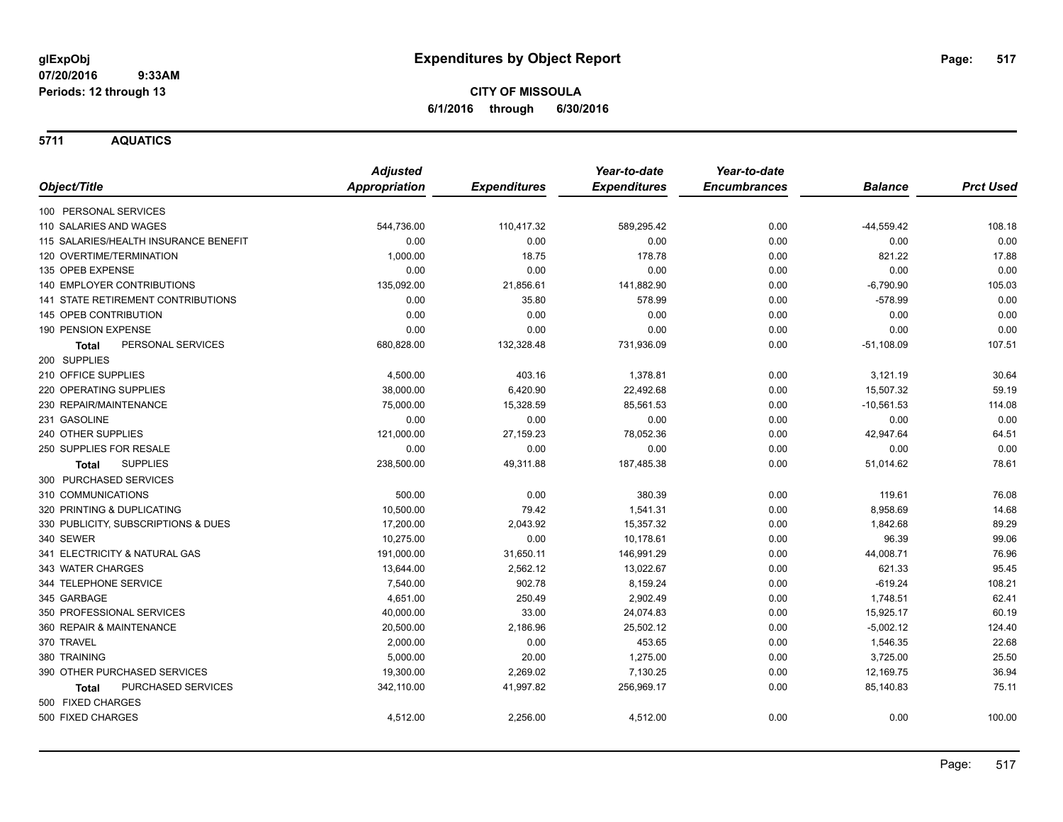**5711 AQUATICS**

|                                       | <b>Adjusted</b>      |                     | Year-to-date        | Year-to-date        |                |                  |
|---------------------------------------|----------------------|---------------------|---------------------|---------------------|----------------|------------------|
| Object/Title                          | <b>Appropriation</b> | <b>Expenditures</b> | <b>Expenditures</b> | <b>Encumbrances</b> | <b>Balance</b> | <b>Prct Used</b> |
| 100 PERSONAL SERVICES                 |                      |                     |                     |                     |                |                  |
| 110 SALARIES AND WAGES                | 544,736.00           | 110,417.32          | 589,295.42          | 0.00                | $-44,559.42$   | 108.18           |
| 115 SALARIES/HEALTH INSURANCE BENEFIT | 0.00                 | 0.00                | 0.00                | 0.00                | 0.00           | 0.00             |
| 120 OVERTIME/TERMINATION              | 1,000.00             | 18.75               | 178.78              | 0.00                | 821.22         | 17.88            |
| 135 OPEB EXPENSE                      | 0.00                 | 0.00                | 0.00                | 0.00                | 0.00           | 0.00             |
| 140 EMPLOYER CONTRIBUTIONS            | 135,092.00           | 21,856.61           | 141,882.90          | 0.00                | $-6,790.90$    | 105.03           |
| 141 STATE RETIREMENT CONTRIBUTIONS    | 0.00                 | 35.80               | 578.99              | 0.00                | $-578.99$      | 0.00             |
| 145 OPEB CONTRIBUTION                 | 0.00                 | 0.00                | 0.00                | 0.00                | 0.00           | 0.00             |
| 190 PENSION EXPENSE                   | 0.00                 | 0.00                | 0.00                | 0.00                | 0.00           | 0.00             |
| PERSONAL SERVICES<br><b>Total</b>     | 680,828.00           | 132,328.48          | 731,936.09          | 0.00                | $-51,108.09$   | 107.51           |
| 200 SUPPLIES                          |                      |                     |                     |                     |                |                  |
| 210 OFFICE SUPPLIES                   | 4,500.00             | 403.16              | 1,378.81            | 0.00                | 3,121.19       | 30.64            |
| 220 OPERATING SUPPLIES                | 38,000.00            | 6,420.90            | 22,492.68           | 0.00                | 15,507.32      | 59.19            |
| 230 REPAIR/MAINTENANCE                | 75,000.00            | 15,328.59           | 85,561.53           | 0.00                | $-10,561.53$   | 114.08           |
| 231 GASOLINE                          | 0.00                 | 0.00                | 0.00                | 0.00                | 0.00           | 0.00             |
| 240 OTHER SUPPLIES                    | 121,000.00           | 27,159.23           | 78,052.36           | 0.00                | 42,947.64      | 64.51            |
| 250 SUPPLIES FOR RESALE               | 0.00                 | 0.00                | 0.00                | 0.00                | 0.00           | 0.00             |
| <b>SUPPLIES</b><br>Total              | 238,500.00           | 49,311.88           | 187,485.38          | 0.00                | 51,014.62      | 78.61            |
| 300 PURCHASED SERVICES                |                      |                     |                     |                     |                |                  |
| 310 COMMUNICATIONS                    | 500.00               | 0.00                | 380.39              | 0.00                | 119.61         | 76.08            |
| 320 PRINTING & DUPLICATING            | 10,500.00            | 79.42               | 1,541.31            | 0.00                | 8,958.69       | 14.68            |
| 330 PUBLICITY, SUBSCRIPTIONS & DUES   | 17,200.00            | 2,043.92            | 15.357.32           | 0.00                | 1,842.68       | 89.29            |
| 340 SEWER                             | 10,275.00            | 0.00                | 10,178.61           | 0.00                | 96.39          | 99.06            |
| 341 ELECTRICITY & NATURAL GAS         | 191,000.00           | 31,650.11           | 146,991.29          | 0.00                | 44,008.71      | 76.96            |
| 343 WATER CHARGES                     | 13,644.00            | 2,562.12            | 13,022.67           | 0.00                | 621.33         | 95.45            |
| 344 TELEPHONE SERVICE                 | 7,540.00             | 902.78              | 8,159.24            | 0.00                | $-619.24$      | 108.21           |
| 345 GARBAGE                           | 4,651.00             | 250.49              | 2,902.49            | 0.00                | 1,748.51       | 62.41            |
| 350 PROFESSIONAL SERVICES             | 40,000.00            | 33.00               | 24,074.83           | 0.00                | 15,925.17      | 60.19            |
| 360 REPAIR & MAINTENANCE              | 20,500.00            | 2,186.96            | 25,502.12           | 0.00                | $-5,002.12$    | 124.40           |
| 370 TRAVEL                            | 2,000.00             | 0.00                | 453.65              | 0.00                | 1,546.35       | 22.68            |
| 380 TRAINING                          | 5,000.00             | 20.00               | 1,275.00            | 0.00                | 3,725.00       | 25.50            |
| 390 OTHER PURCHASED SERVICES          | 19,300.00            | 2,269.02            | 7,130.25            | 0.00                | 12,169.75      | 36.94            |
| PURCHASED SERVICES<br><b>Total</b>    | 342,110.00           | 41,997.82           | 256,969.17          | 0.00                | 85,140.83      | 75.11            |
| 500 FIXED CHARGES                     |                      |                     |                     |                     |                |                  |
| 500 FIXED CHARGES                     | 4,512.00             | 2,256.00            | 4,512.00            | 0.00                | 0.00           | 100.00           |
|                                       |                      |                     |                     |                     |                |                  |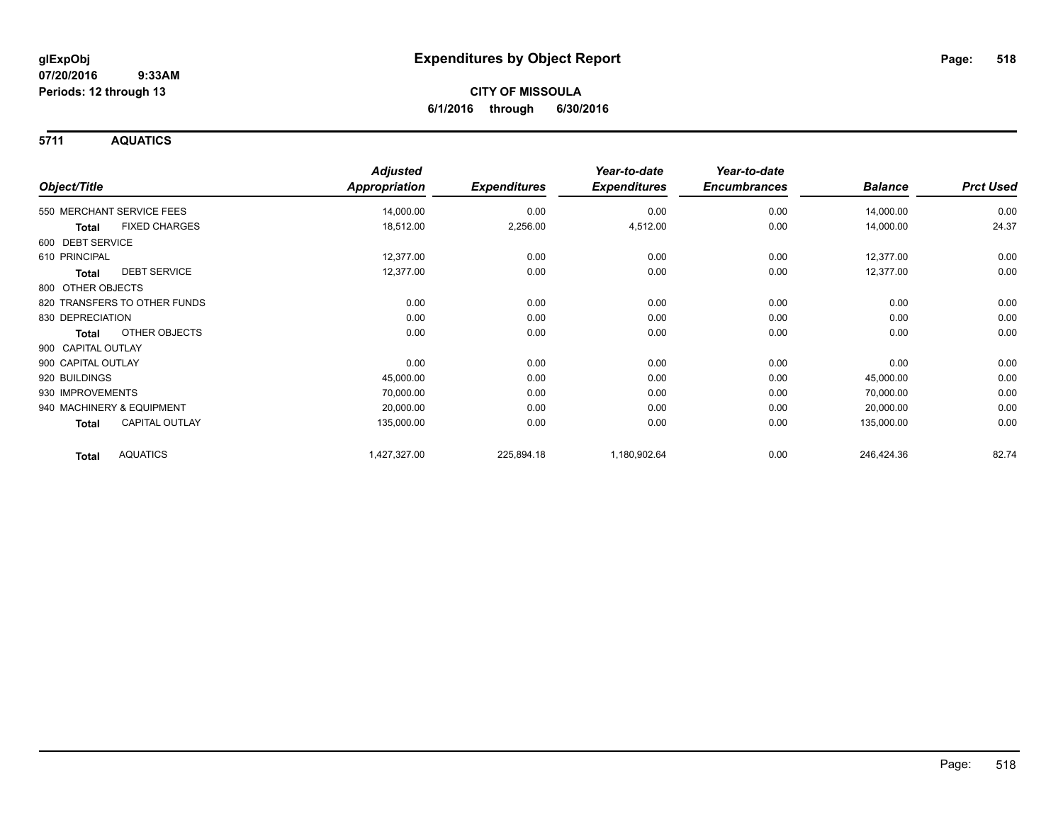**5711 AQUATICS**

| Object/Title                    | <b>Adjusted</b><br>Appropriation | <b>Expenditures</b> | Year-to-date<br><b>Expenditures</b> | Year-to-date<br><b>Encumbrances</b> | <b>Balance</b> | <b>Prct Used</b> |
|---------------------------------|----------------------------------|---------------------|-------------------------------------|-------------------------------------|----------------|------------------|
| 550 MERCHANT SERVICE FEES       | 14,000.00                        | 0.00                | 0.00                                | 0.00                                | 14,000.00      | 0.00             |
| <b>FIXED CHARGES</b><br>Total   | 18,512.00                        | 2,256.00            | 4,512.00                            | 0.00                                | 14,000.00      | 24.37            |
| 600 DEBT SERVICE                |                                  |                     |                                     |                                     |                |                  |
| 610 PRINCIPAL                   | 12,377.00                        | 0.00                | 0.00                                | 0.00                                | 12,377.00      | 0.00             |
| <b>DEBT SERVICE</b><br>Total    | 12,377.00                        | 0.00                | 0.00                                | 0.00                                | 12,377.00      | 0.00             |
| 800 OTHER OBJECTS               |                                  |                     |                                     |                                     |                |                  |
| 820 TRANSFERS TO OTHER FUNDS    | 0.00                             | 0.00                | 0.00                                | 0.00                                | 0.00           | 0.00             |
| 830 DEPRECIATION                | 0.00                             | 0.00                | 0.00                                | 0.00                                | 0.00           | 0.00             |
| OTHER OBJECTS<br>Total          | 0.00                             | 0.00                | 0.00                                | 0.00                                | 0.00           | 0.00             |
| 900 CAPITAL OUTLAY              |                                  |                     |                                     |                                     |                |                  |
| 900 CAPITAL OUTLAY              | 0.00                             | 0.00                | 0.00                                | 0.00                                | 0.00           | 0.00             |
| 920 BUILDINGS                   | 45,000.00                        | 0.00                | 0.00                                | 0.00                                | 45,000.00      | 0.00             |
| 930 IMPROVEMENTS                | 70,000.00                        | 0.00                | 0.00                                | 0.00                                | 70,000.00      | 0.00             |
| 940 MACHINERY & EQUIPMENT       | 20,000.00                        | 0.00                | 0.00                                | 0.00                                | 20,000.00      | 0.00             |
| <b>CAPITAL OUTLAY</b><br>Total  | 135,000.00                       | 0.00                | 0.00                                | 0.00                                | 135,000.00     | 0.00             |
| <b>AQUATICS</b><br><b>Total</b> | 1,427,327.00                     | 225,894.18          | 1,180,902.64                        | 0.00                                | 246,424.36     | 82.74            |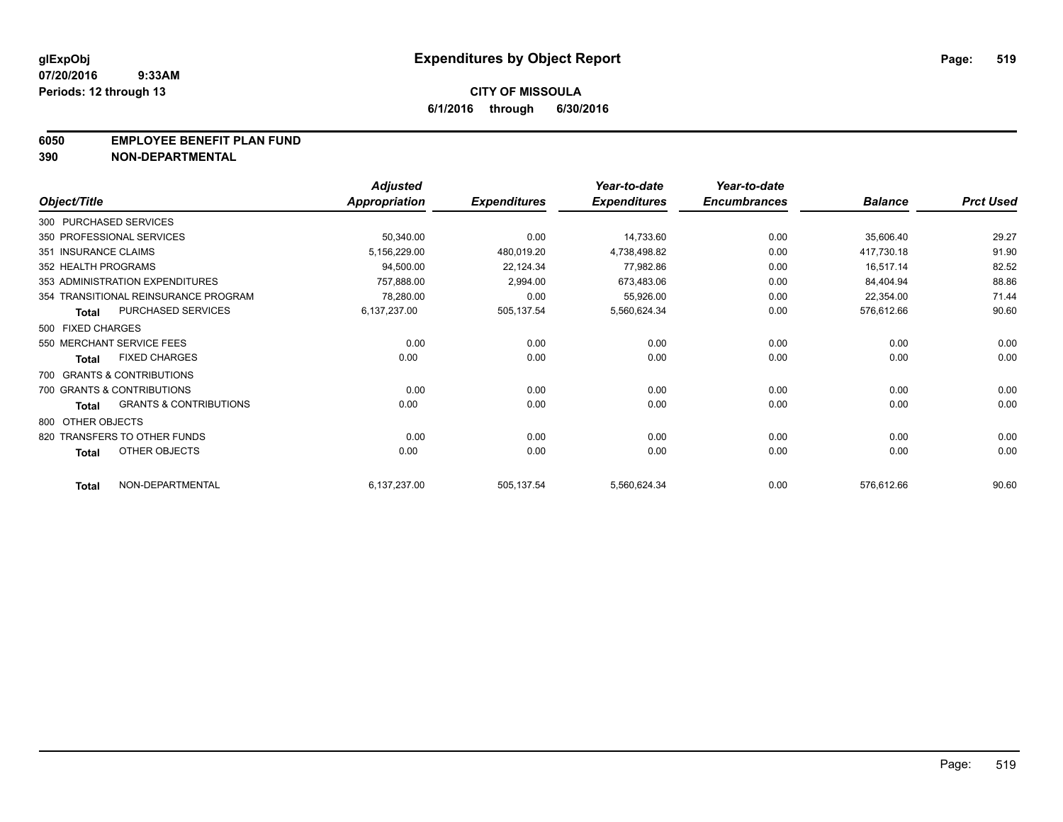#### **6050 EMPLOYEE BENEFIT PLAN FUND**

**390 NON-DEPARTMENTAL**

|                      |                                      | <b>Adjusted</b> |                     | Year-to-date        | Year-to-date        |                |                  |
|----------------------|--------------------------------------|-----------------|---------------------|---------------------|---------------------|----------------|------------------|
| Object/Title         |                                      | Appropriation   | <b>Expenditures</b> | <b>Expenditures</b> | <b>Encumbrances</b> | <b>Balance</b> | <b>Prct Used</b> |
|                      | 300 PURCHASED SERVICES               |                 |                     |                     |                     |                |                  |
|                      | 350 PROFESSIONAL SERVICES            | 50,340.00       | 0.00                | 14,733.60           | 0.00                | 35,606.40      | 29.27            |
| 351 INSURANCE CLAIMS |                                      | 5,156,229.00    | 480,019.20          | 4,738,498.82        | 0.00                | 417,730.18     | 91.90            |
| 352 HEALTH PROGRAMS  |                                      | 94,500.00       | 22,124.34           | 77,982.86           | 0.00                | 16,517.14      | 82.52            |
|                      | 353 ADMINISTRATION EXPENDITURES      | 757,888.00      | 2,994.00            | 673,483.06          | 0.00                | 84,404.94      | 88.86            |
|                      | 354 TRANSITIONAL REINSURANCE PROGRAM | 78,280.00       | 0.00                | 55,926.00           | 0.00                | 22,354.00      | 71.44            |
| <b>Total</b>         | PURCHASED SERVICES                   | 6,137,237.00    | 505,137.54          | 5,560,624.34        | 0.00                | 576,612.66     | 90.60            |
| 500 FIXED CHARGES    |                                      |                 |                     |                     |                     |                |                  |
|                      | 550 MERCHANT SERVICE FEES            | 0.00            | 0.00                | 0.00                | 0.00                | 0.00           | 0.00             |
| <b>Total</b>         | <b>FIXED CHARGES</b>                 | 0.00            | 0.00                | 0.00                | 0.00                | 0.00           | 0.00             |
|                      | 700 GRANTS & CONTRIBUTIONS           |                 |                     |                     |                     |                |                  |
|                      | 700 GRANTS & CONTRIBUTIONS           | 0.00            | 0.00                | 0.00                | 0.00                | 0.00           | 0.00             |
| <b>Total</b>         | <b>GRANTS &amp; CONTRIBUTIONS</b>    | 0.00            | 0.00                | 0.00                | 0.00                | 0.00           | 0.00             |
| 800 OTHER OBJECTS    |                                      |                 |                     |                     |                     |                |                  |
|                      | 820 TRANSFERS TO OTHER FUNDS         | 0.00            | 0.00                | 0.00                | 0.00                | 0.00           | 0.00             |
| <b>Total</b>         | OTHER OBJECTS                        | 0.00            | 0.00                | 0.00                | 0.00                | 0.00           | 0.00             |
| <b>Total</b>         | NON-DEPARTMENTAL                     | 6,137,237.00    | 505,137.54          | 5,560,624.34        | 0.00                | 576,612.66     | 90.60            |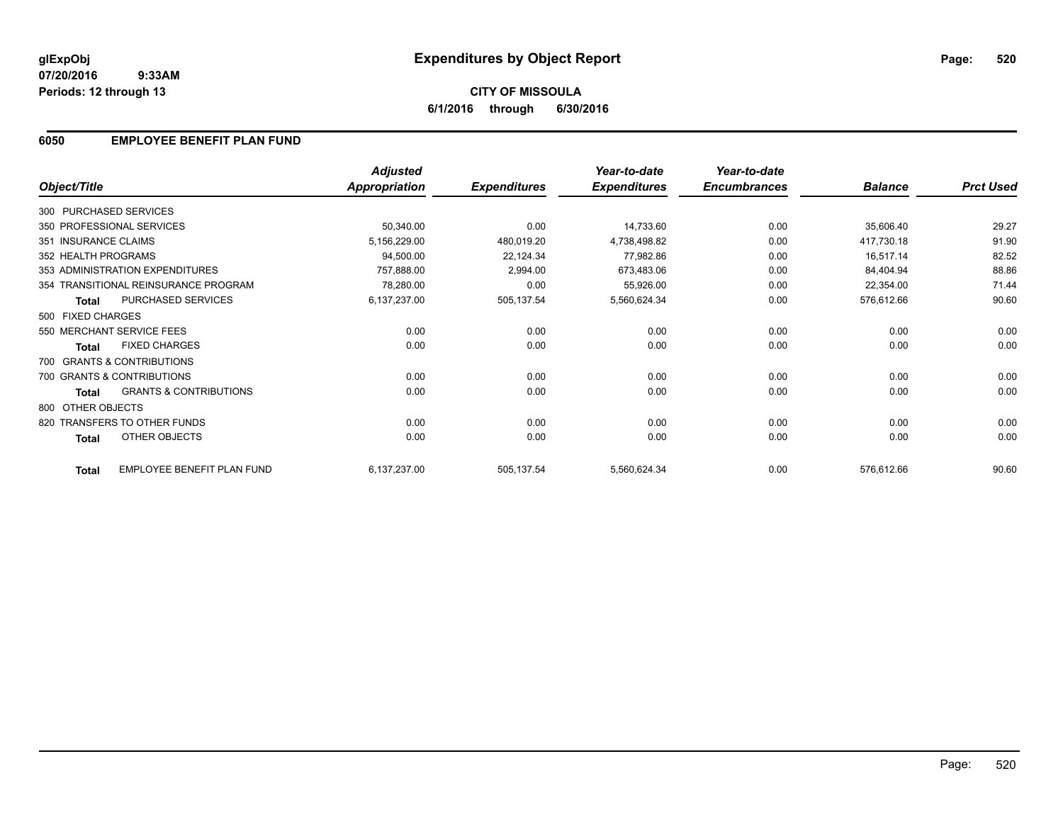# **CITY OF MISSOULA 6/1/2016 through 6/30/2016**

## **6050 EMPLOYEE BENEFIT PLAN FUND**

|                      |                                      | <b>Adjusted</b>      |                     | Year-to-date        | Year-to-date        |                |                  |
|----------------------|--------------------------------------|----------------------|---------------------|---------------------|---------------------|----------------|------------------|
| Object/Title         |                                      | <b>Appropriation</b> | <b>Expenditures</b> | <b>Expenditures</b> | <b>Encumbrances</b> | <b>Balance</b> | <b>Prct Used</b> |
|                      | 300 PURCHASED SERVICES               |                      |                     |                     |                     |                |                  |
|                      | 350 PROFESSIONAL SERVICES            | 50,340.00            | 0.00                | 14,733.60           | 0.00                | 35,606.40      | 29.27            |
| 351 INSURANCE CLAIMS |                                      | 5,156,229.00         | 480,019.20          | 4,738,498.82        | 0.00                | 417,730.18     | 91.90            |
| 352 HEALTH PROGRAMS  |                                      | 94,500.00            | 22,124.34           | 77,982.86           | 0.00                | 16,517.14      | 82.52            |
|                      | 353 ADMINISTRATION EXPENDITURES      | 757,888.00           | 2,994.00            | 673,483.06          | 0.00                | 84,404.94      | 88.86            |
|                      | 354 TRANSITIONAL REINSURANCE PROGRAM | 78,280.00            | 0.00                | 55,926.00           | 0.00                | 22,354.00      | 71.44            |
| <b>Total</b>         | PURCHASED SERVICES                   | 6,137,237.00         | 505,137.54          | 5,560,624.34        | 0.00                | 576,612.66     | 90.60            |
| 500 FIXED CHARGES    |                                      |                      |                     |                     |                     |                |                  |
|                      | 550 MERCHANT SERVICE FEES            | 0.00                 | 0.00                | 0.00                | 0.00                | 0.00           | 0.00             |
| <b>Total</b>         | <b>FIXED CHARGES</b>                 | 0.00                 | 0.00                | 0.00                | 0.00                | 0.00           | 0.00             |
|                      | 700 GRANTS & CONTRIBUTIONS           |                      |                     |                     |                     |                |                  |
|                      | 700 GRANTS & CONTRIBUTIONS           | 0.00                 | 0.00                | 0.00                | 0.00                | 0.00           | 0.00             |
| Total                | <b>GRANTS &amp; CONTRIBUTIONS</b>    | 0.00                 | 0.00                | 0.00                | 0.00                | 0.00           | 0.00             |
| 800 OTHER OBJECTS    |                                      |                      |                     |                     |                     |                |                  |
|                      | 820 TRANSFERS TO OTHER FUNDS         | 0.00                 | 0.00                | 0.00                | 0.00                | 0.00           | 0.00             |
| Total                | OTHER OBJECTS                        | 0.00                 | 0.00                | 0.00                | 0.00                | 0.00           | 0.00             |
| <b>Total</b>         | EMPLOYEE BENEFIT PLAN FUND           | 6,137,237.00         | 505,137.54          | 5,560,624.34        | 0.00                | 576,612.66     | 90.60            |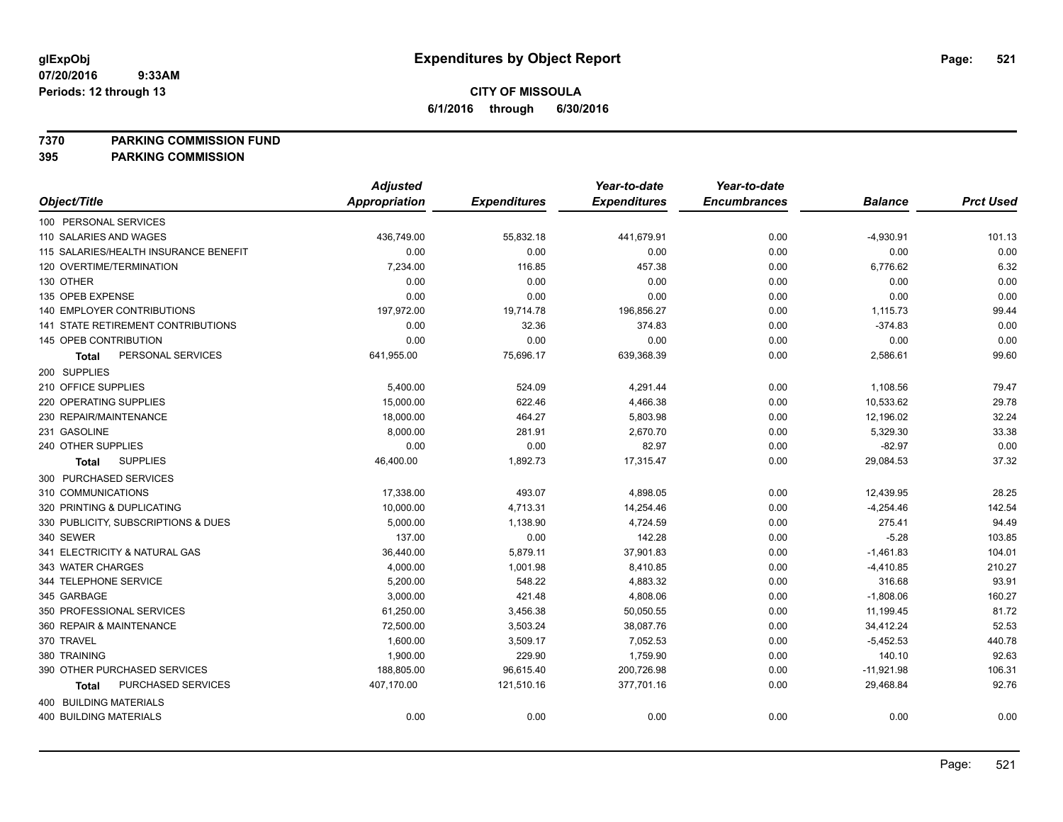**7370 PARKING COMMISSION FUND**

|                                       | <b>Adjusted</b>      |                     | Year-to-date        | Year-to-date        |                |                  |
|---------------------------------------|----------------------|---------------------|---------------------|---------------------|----------------|------------------|
| Object/Title                          | <b>Appropriation</b> | <b>Expenditures</b> | <b>Expenditures</b> | <b>Encumbrances</b> | <b>Balance</b> | <b>Prct Used</b> |
| 100 PERSONAL SERVICES                 |                      |                     |                     |                     |                |                  |
| 110 SALARIES AND WAGES                | 436,749.00           | 55,832.18           | 441,679.91          | 0.00                | $-4,930.91$    | 101.13           |
| 115 SALARIES/HEALTH INSURANCE BENEFIT | 0.00                 | 0.00                | 0.00                | 0.00                | 0.00           | 0.00             |
| 120 OVERTIME/TERMINATION              | 7,234.00             | 116.85              | 457.38              | 0.00                | 6,776.62       | 6.32             |
| 130 OTHER                             | 0.00                 | 0.00                | 0.00                | 0.00                | 0.00           | 0.00             |
| 135 OPEB EXPENSE                      | 0.00                 | 0.00                | 0.00                | 0.00                | 0.00           | 0.00             |
| <b>140 EMPLOYER CONTRIBUTIONS</b>     | 197,972.00           | 19,714.78           | 196,856.27          | 0.00                | 1,115.73       | 99.44            |
| 141 STATE RETIREMENT CONTRIBUTIONS    | 0.00                 | 32.36               | 374.83              | 0.00                | $-374.83$      | 0.00             |
| 145 OPEB CONTRIBUTION                 | 0.00                 | 0.00                | 0.00                | 0.00                | 0.00           | 0.00             |
| PERSONAL SERVICES<br>Total            | 641,955.00           | 75,696.17           | 639,368.39          | 0.00                | 2,586.61       | 99.60            |
| 200 SUPPLIES                          |                      |                     |                     |                     |                |                  |
| 210 OFFICE SUPPLIES                   | 5,400.00             | 524.09              | 4,291.44            | 0.00                | 1,108.56       | 79.47            |
| 220 OPERATING SUPPLIES                | 15,000.00            | 622.46              | 4,466.38            | 0.00                | 10,533.62      | 29.78            |
| 230 REPAIR/MAINTENANCE                | 18,000.00            | 464.27              | 5,803.98            | 0.00                | 12,196.02      | 32.24            |
| 231 GASOLINE                          | 8,000.00             | 281.91              | 2,670.70            | 0.00                | 5,329.30       | 33.38            |
| 240 OTHER SUPPLIES                    | 0.00                 | 0.00                | 82.97               | 0.00                | $-82.97$       | 0.00             |
| <b>SUPPLIES</b><br>Total              | 46,400.00            | 1,892.73            | 17,315.47           | 0.00                | 29,084.53      | 37.32            |
| 300 PURCHASED SERVICES                |                      |                     |                     |                     |                |                  |
| 310 COMMUNICATIONS                    | 17,338.00            | 493.07              | 4,898.05            | 0.00                | 12,439.95      | 28.25            |
| 320 PRINTING & DUPLICATING            | 10,000.00            | 4,713.31            | 14,254.46           | 0.00                | $-4,254.46$    | 142.54           |
| 330 PUBLICITY, SUBSCRIPTIONS & DUES   | 5,000.00             | 1,138.90            | 4,724.59            | 0.00                | 275.41         | 94.49            |
| 340 SEWER                             | 137.00               | 0.00                | 142.28              | 0.00                | $-5.28$        | 103.85           |
| 341 ELECTRICITY & NATURAL GAS         | 36,440.00            | 5,879.11            | 37,901.83           | 0.00                | $-1,461.83$    | 104.01           |
| 343 WATER CHARGES                     | 4,000.00             | 1,001.98            | 8,410.85            | 0.00                | $-4,410.85$    | 210.27           |
| 344 TELEPHONE SERVICE                 | 5,200.00             | 548.22              | 4,883.32            | 0.00                | 316.68         | 93.91            |
| 345 GARBAGE                           | 3,000.00             | 421.48              | 4,808.06            | 0.00                | $-1,808.06$    | 160.27           |
| 350 PROFESSIONAL SERVICES             | 61,250.00            | 3,456.38            | 50,050.55           | 0.00                | 11,199.45      | 81.72            |
| 360 REPAIR & MAINTENANCE              | 72,500.00            | 3,503.24            | 38,087.76           | 0.00                | 34,412.24      | 52.53            |
| 370 TRAVEL                            | 1,600.00             | 3,509.17            | 7,052.53            | 0.00                | $-5,452.53$    | 440.78           |
| 380 TRAINING                          | 1,900.00             | 229.90              | 1,759.90            | 0.00                | 140.10         | 92.63            |
| 390 OTHER PURCHASED SERVICES          | 188,805.00           | 96,615.40           | 200,726.98          | 0.00                | $-11,921.98$   | 106.31           |
| PURCHASED SERVICES<br>Total           | 407,170.00           | 121,510.16          | 377,701.16          | 0.00                | 29,468.84      | 92.76            |
| 400 BUILDING MATERIALS                |                      |                     |                     |                     |                |                  |
| 400 BUILDING MATERIALS                | 0.00                 | 0.00                | 0.00                | 0.00                | 0.00           | 0.00             |
|                                       |                      |                     |                     |                     |                |                  |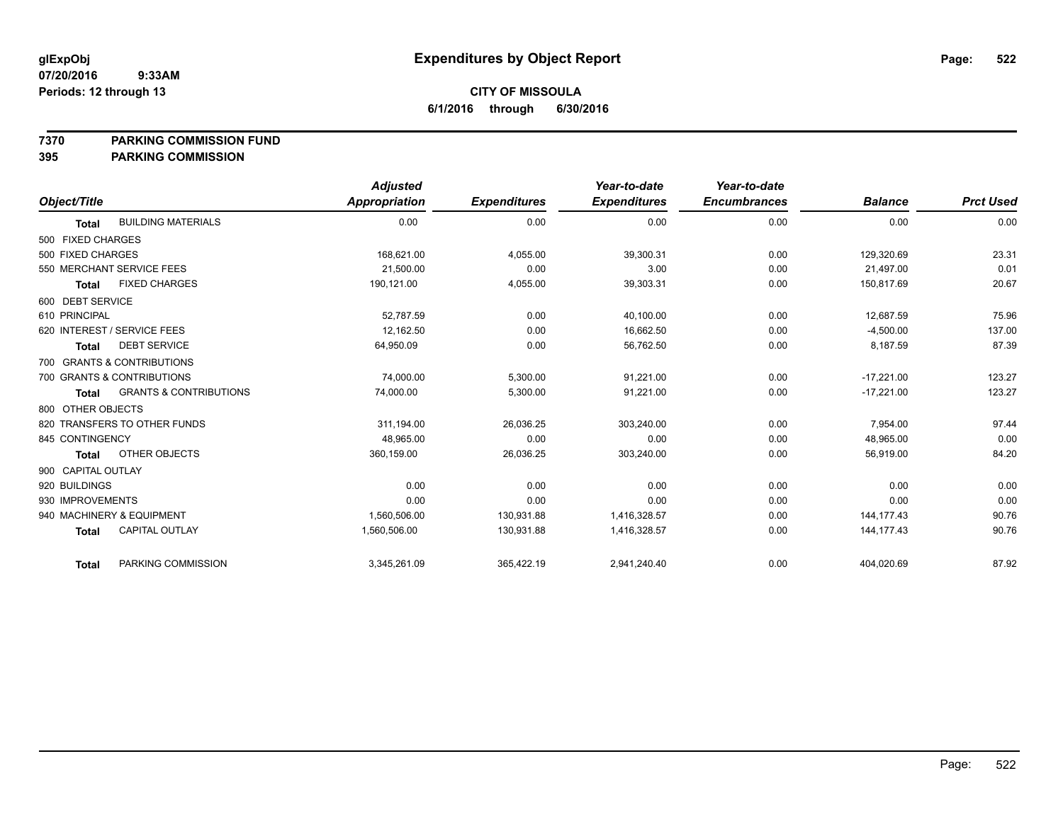### **7370 PARKING COMMISSION FUND**

|                                                   | <b>Adjusted</b> |                     | Year-to-date        | Year-to-date        |                |                  |
|---------------------------------------------------|-----------------|---------------------|---------------------|---------------------|----------------|------------------|
| Object/Title                                      | Appropriation   | <b>Expenditures</b> | <b>Expenditures</b> | <b>Encumbrances</b> | <b>Balance</b> | <b>Prct Used</b> |
| <b>BUILDING MATERIALS</b><br><b>Total</b>         | 0.00            | 0.00                | 0.00                | 0.00                | 0.00           | 0.00             |
| 500 FIXED CHARGES                                 |                 |                     |                     |                     |                |                  |
| 500 FIXED CHARGES                                 | 168,621.00      | 4,055.00            | 39,300.31           | 0.00                | 129,320.69     | 23.31            |
| 550 MERCHANT SERVICE FEES                         | 21,500.00       | 0.00                | 3.00                | 0.00                | 21,497.00      | 0.01             |
| <b>FIXED CHARGES</b><br><b>Total</b>              | 190,121.00      | 4,055.00            | 39,303.31           | 0.00                | 150,817.69     | 20.67            |
| 600 DEBT SERVICE                                  |                 |                     |                     |                     |                |                  |
| 610 PRINCIPAL                                     | 52,787.59       | 0.00                | 40,100.00           | 0.00                | 12,687.59      | 75.96            |
| 620 INTEREST / SERVICE FEES                       | 12,162.50       | 0.00                | 16,662.50           | 0.00                | $-4,500.00$    | 137.00           |
| <b>DEBT SERVICE</b><br><b>Total</b>               | 64,950.09       | 0.00                | 56,762.50           | 0.00                | 8,187.59       | 87.39            |
| 700 GRANTS & CONTRIBUTIONS                        |                 |                     |                     |                     |                |                  |
| 700 GRANTS & CONTRIBUTIONS                        | 74,000.00       | 5,300.00            | 91,221.00           | 0.00                | $-17,221.00$   | 123.27           |
| <b>GRANTS &amp; CONTRIBUTIONS</b><br><b>Total</b> | 74,000.00       | 5,300.00            | 91,221.00           | 0.00                | $-17,221.00$   | 123.27           |
| 800 OTHER OBJECTS                                 |                 |                     |                     |                     |                |                  |
| 820 TRANSFERS TO OTHER FUNDS                      | 311,194.00      | 26,036.25           | 303,240.00          | 0.00                | 7,954.00       | 97.44            |
| 845 CONTINGENCY                                   | 48,965.00       | 0.00                | 0.00                | 0.00                | 48,965.00      | 0.00             |
| OTHER OBJECTS<br><b>Total</b>                     | 360,159.00      | 26,036.25           | 303,240.00          | 0.00                | 56,919.00      | 84.20            |
| 900 CAPITAL OUTLAY                                |                 |                     |                     |                     |                |                  |
| 920 BUILDINGS                                     | 0.00            | 0.00                | 0.00                | 0.00                | 0.00           | 0.00             |
| 930 IMPROVEMENTS                                  | 0.00            | 0.00                | 0.00                | 0.00                | 0.00           | 0.00             |
| 940 MACHINERY & EQUIPMENT                         | 1,560,506.00    | 130,931.88          | 1,416,328.57        | 0.00                | 144, 177. 43   | 90.76            |
| <b>CAPITAL OUTLAY</b><br><b>Total</b>             | 1,560,506.00    | 130,931.88          | 1,416,328.57        | 0.00                | 144, 177. 43   | 90.76            |
| PARKING COMMISSION<br><b>Total</b>                | 3,345,261.09    | 365,422.19          | 2,941,240.40        | 0.00                | 404,020.69     | 87.92            |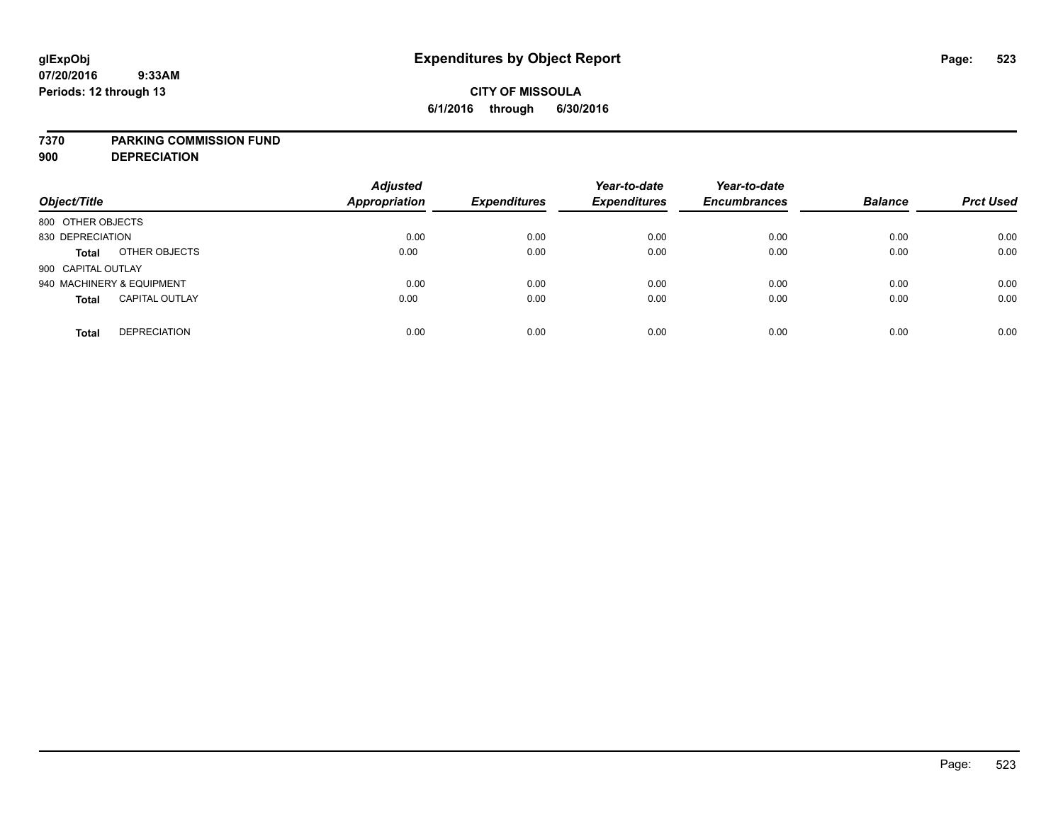# **CITY OF MISSOULA 6/1/2016 through 6/30/2016**

### **7370 PARKING COMMISSION FUND**

**900 DEPRECIATION**

| Object/Title                          | <b>Adjusted</b><br><b>Appropriation</b> | <b>Expenditures</b> | Year-to-date<br><b>Expenditures</b> | Year-to-date<br><b>Encumbrances</b> | <b>Balance</b> | <b>Prct Used</b> |
|---------------------------------------|-----------------------------------------|---------------------|-------------------------------------|-------------------------------------|----------------|------------------|
| 800 OTHER OBJECTS                     |                                         |                     |                                     |                                     |                |                  |
| 830 DEPRECIATION                      | 0.00                                    | 0.00                | 0.00                                | 0.00                                | 0.00           | 0.00             |
| OTHER OBJECTS<br><b>Total</b>         | 0.00                                    | 0.00                | 0.00                                | 0.00                                | 0.00           | 0.00             |
| 900 CAPITAL OUTLAY                    |                                         |                     |                                     |                                     |                |                  |
| 940 MACHINERY & EQUIPMENT             | 0.00                                    | 0.00                | 0.00                                | 0.00                                | 0.00           | 0.00             |
| <b>CAPITAL OUTLAY</b><br><b>Total</b> | 0.00                                    | 0.00                | 0.00                                | 0.00                                | 0.00           | 0.00             |
| <b>DEPRECIATION</b><br><b>Total</b>   | 0.00                                    | 0.00                | 0.00                                | 0.00                                | 0.00           | 0.00             |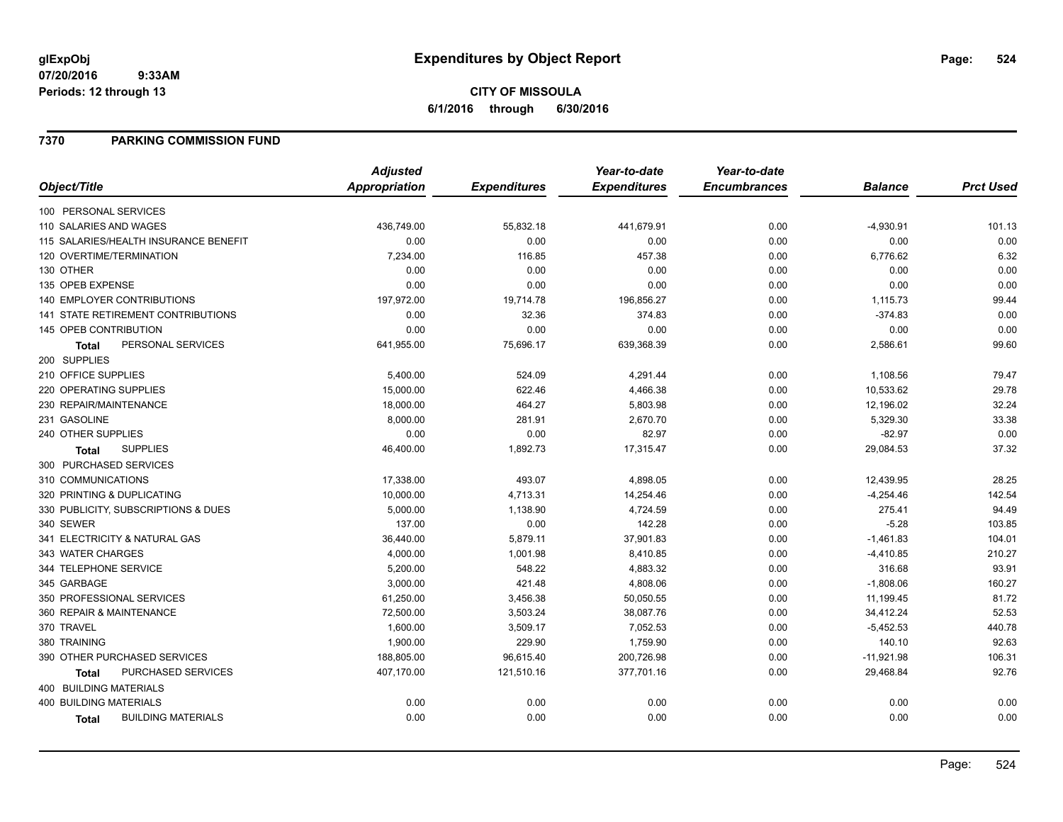# **CITY OF MISSOULA 6/1/2016 through 6/30/2016**

## **7370 PARKING COMMISSION FUND**

|                                           | <b>Adjusted</b>      |                     | Year-to-date        | Year-to-date        |                |                  |
|-------------------------------------------|----------------------|---------------------|---------------------|---------------------|----------------|------------------|
| Object/Title                              | <b>Appropriation</b> | <b>Expenditures</b> | <b>Expenditures</b> | <b>Encumbrances</b> | <b>Balance</b> | <b>Prct Used</b> |
| 100 PERSONAL SERVICES                     |                      |                     |                     |                     |                |                  |
| 110 SALARIES AND WAGES                    | 436,749.00           | 55,832.18           | 441,679.91          | 0.00                | $-4,930.91$    | 101.13           |
| 115 SALARIES/HEALTH INSURANCE BENEFIT     | 0.00                 | 0.00                | 0.00                | 0.00                | 0.00           | 0.00             |
| 120 OVERTIME/TERMINATION                  | 7,234.00             | 116.85              | 457.38              | 0.00                | 6,776.62       | 6.32             |
| 130 OTHER                                 | 0.00                 | 0.00                | 0.00                | 0.00                | 0.00           | 0.00             |
| 135 OPEB EXPENSE                          | 0.00                 | 0.00                | 0.00                | 0.00                | 0.00           | 0.00             |
| 140 EMPLOYER CONTRIBUTIONS                | 197,972.00           | 19,714.78           | 196,856.27          | 0.00                | 1,115.73       | 99.44            |
| 141 STATE RETIREMENT CONTRIBUTIONS        | 0.00                 | 32.36               | 374.83              | 0.00                | $-374.83$      | 0.00             |
| 145 OPEB CONTRIBUTION                     | 0.00                 | 0.00                | 0.00                | 0.00                | 0.00           | 0.00             |
| PERSONAL SERVICES<br><b>Total</b>         | 641,955.00           | 75,696.17           | 639,368.39          | 0.00                | 2,586.61       | 99.60            |
| 200 SUPPLIES                              |                      |                     |                     |                     |                |                  |
| 210 OFFICE SUPPLIES                       | 5,400.00             | 524.09              | 4,291.44            | 0.00                | 1,108.56       | 79.47            |
| 220 OPERATING SUPPLIES                    | 15,000.00            | 622.46              | 4,466.38            | 0.00                | 10,533.62      | 29.78            |
| 230 REPAIR/MAINTENANCE                    | 18,000.00            | 464.27              | 5,803.98            | 0.00                | 12,196.02      | 32.24            |
| 231 GASOLINE                              | 8,000.00             | 281.91              | 2,670.70            | 0.00                | 5,329.30       | 33.38            |
| 240 OTHER SUPPLIES                        | 0.00                 | 0.00                | 82.97               | 0.00                | $-82.97$       | 0.00             |
| <b>SUPPLIES</b><br>Total                  | 46,400.00            | 1,892.73            | 17,315.47           | 0.00                | 29,084.53      | 37.32            |
| 300 PURCHASED SERVICES                    |                      |                     |                     |                     |                |                  |
| 310 COMMUNICATIONS                        | 17,338.00            | 493.07              | 4,898.05            | 0.00                | 12,439.95      | 28.25            |
| 320 PRINTING & DUPLICATING                | 10,000.00            | 4,713.31            | 14,254.46           | 0.00                | $-4,254.46$    | 142.54           |
| 330 PUBLICITY, SUBSCRIPTIONS & DUES       | 5,000.00             | 1,138.90            | 4,724.59            | 0.00                | 275.41         | 94.49            |
| 340 SEWER                                 | 137.00               | 0.00                | 142.28              | 0.00                | $-5.28$        | 103.85           |
| 341 ELECTRICITY & NATURAL GAS             | 36,440.00            | 5,879.11            | 37,901.83           | 0.00                | $-1,461.83$    | 104.01           |
| 343 WATER CHARGES                         | 4,000.00             | 1,001.98            | 8,410.85            | 0.00                | $-4,410.85$    | 210.27           |
| 344 TELEPHONE SERVICE                     | 5,200.00             | 548.22              | 4,883.32            | 0.00                | 316.68         | 93.91            |
| 345 GARBAGE                               | 3,000.00             | 421.48              | 4,808.06            | 0.00                | $-1,808.06$    | 160.27           |
| 350 PROFESSIONAL SERVICES                 | 61,250.00            | 3,456.38            | 50,050.55           | 0.00                | 11,199.45      | 81.72            |
| 360 REPAIR & MAINTENANCE                  | 72,500.00            | 3,503.24            | 38,087.76           | 0.00                | 34,412.24      | 52.53            |
| 370 TRAVEL                                | 1,600.00             | 3,509.17            | 7,052.53            | 0.00                | $-5,452.53$    | 440.78           |
| 380 TRAINING                              | 1,900.00             | 229.90              | 1,759.90            | 0.00                | 140.10         | 92.63            |
| 390 OTHER PURCHASED SERVICES              | 188,805.00           | 96,615.40           | 200,726.98          | 0.00                | $-11,921.98$   | 106.31           |
| PURCHASED SERVICES<br>Total               | 407,170.00           | 121,510.16          | 377,701.16          | 0.00                | 29,468.84      | 92.76            |
| 400 BUILDING MATERIALS                    |                      |                     |                     |                     |                |                  |
| <b>400 BUILDING MATERIALS</b>             | 0.00                 | 0.00                | 0.00                | 0.00                | 0.00           | 0.00             |
| <b>BUILDING MATERIALS</b><br><b>Total</b> | 0.00                 | 0.00                | 0.00                | 0.00                | 0.00           | 0.00             |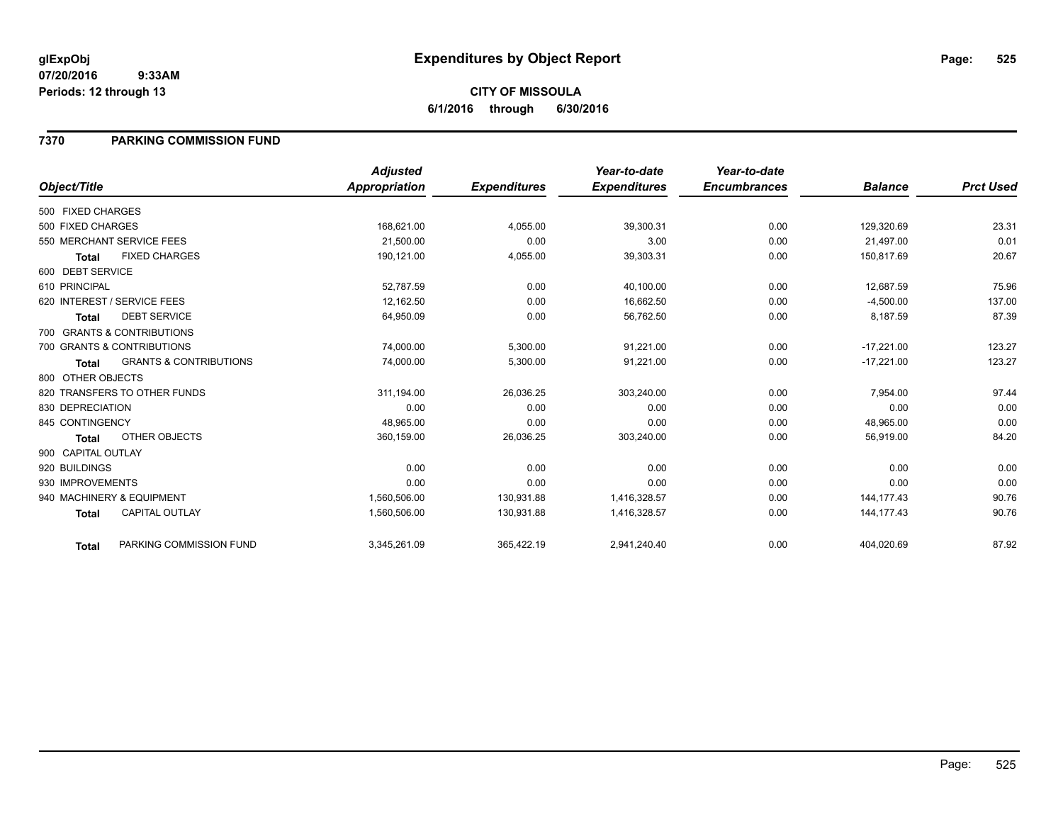# **CITY OF MISSOULA 6/1/2016 through 6/30/2016**

## **7370 PARKING COMMISSION FUND**

|                    |                                   | <b>Adjusted</b> |                     | Year-to-date        | Year-to-date        |                |                  |
|--------------------|-----------------------------------|-----------------|---------------------|---------------------|---------------------|----------------|------------------|
| Object/Title       |                                   | Appropriation   | <b>Expenditures</b> | <b>Expenditures</b> | <b>Encumbrances</b> | <b>Balance</b> | <b>Prct Used</b> |
| 500 FIXED CHARGES  |                                   |                 |                     |                     |                     |                |                  |
| 500 FIXED CHARGES  |                                   | 168,621.00      | 4,055.00            | 39,300.31           | 0.00                | 129,320.69     | 23.31            |
|                    | 550 MERCHANT SERVICE FEES         | 21,500.00       | 0.00                | 3.00                | 0.00                | 21,497.00      | 0.01             |
| <b>Total</b>       | <b>FIXED CHARGES</b>              | 190,121.00      | 4,055.00            | 39,303.31           | 0.00                | 150,817.69     | 20.67            |
| 600 DEBT SERVICE   |                                   |                 |                     |                     |                     |                |                  |
| 610 PRINCIPAL      |                                   | 52,787.59       | 0.00                | 40,100.00           | 0.00                | 12,687.59      | 75.96            |
|                    | 620 INTEREST / SERVICE FEES       | 12,162.50       | 0.00                | 16,662.50           | 0.00                | $-4,500.00$    | 137.00           |
| <b>Total</b>       | <b>DEBT SERVICE</b>               | 64,950.09       | 0.00                | 56,762.50           | 0.00                | 8,187.59       | 87.39            |
|                    | 700 GRANTS & CONTRIBUTIONS        |                 |                     |                     |                     |                |                  |
|                    | 700 GRANTS & CONTRIBUTIONS        | 74,000.00       | 5,300.00            | 91,221.00           | 0.00                | $-17,221.00$   | 123.27           |
| <b>Total</b>       | <b>GRANTS &amp; CONTRIBUTIONS</b> | 74,000.00       | 5,300.00            | 91,221.00           | 0.00                | $-17,221.00$   | 123.27           |
| 800 OTHER OBJECTS  |                                   |                 |                     |                     |                     |                |                  |
|                    | 820 TRANSFERS TO OTHER FUNDS      | 311,194.00      | 26,036.25           | 303,240.00          | 0.00                | 7,954.00       | 97.44            |
| 830 DEPRECIATION   |                                   | 0.00            | 0.00                | 0.00                | 0.00                | 0.00           | 0.00             |
| 845 CONTINGENCY    |                                   | 48,965.00       | 0.00                | 0.00                | 0.00                | 48,965.00      | 0.00             |
| Total              | OTHER OBJECTS                     | 360,159.00      | 26,036.25           | 303,240.00          | 0.00                | 56,919.00      | 84.20            |
| 900 CAPITAL OUTLAY |                                   |                 |                     |                     |                     |                |                  |
| 920 BUILDINGS      |                                   | 0.00            | 0.00                | 0.00                | 0.00                | 0.00           | 0.00             |
| 930 IMPROVEMENTS   |                                   | 0.00            | 0.00                | 0.00                | 0.00                | 0.00           | 0.00             |
|                    | 940 MACHINERY & EQUIPMENT         | 1.560.506.00    | 130.931.88          | 1,416,328.57        | 0.00                | 144.177.43     | 90.76            |
| <b>Total</b>       | <b>CAPITAL OUTLAY</b>             | 1,560,506.00    | 130,931.88          | 1,416,328.57        | 0.00                | 144, 177. 43   | 90.76            |
| <b>Total</b>       | PARKING COMMISSION FUND           | 3,345,261.09    | 365,422.19          | 2,941,240.40        | 0.00                | 404,020.69     | 87.92            |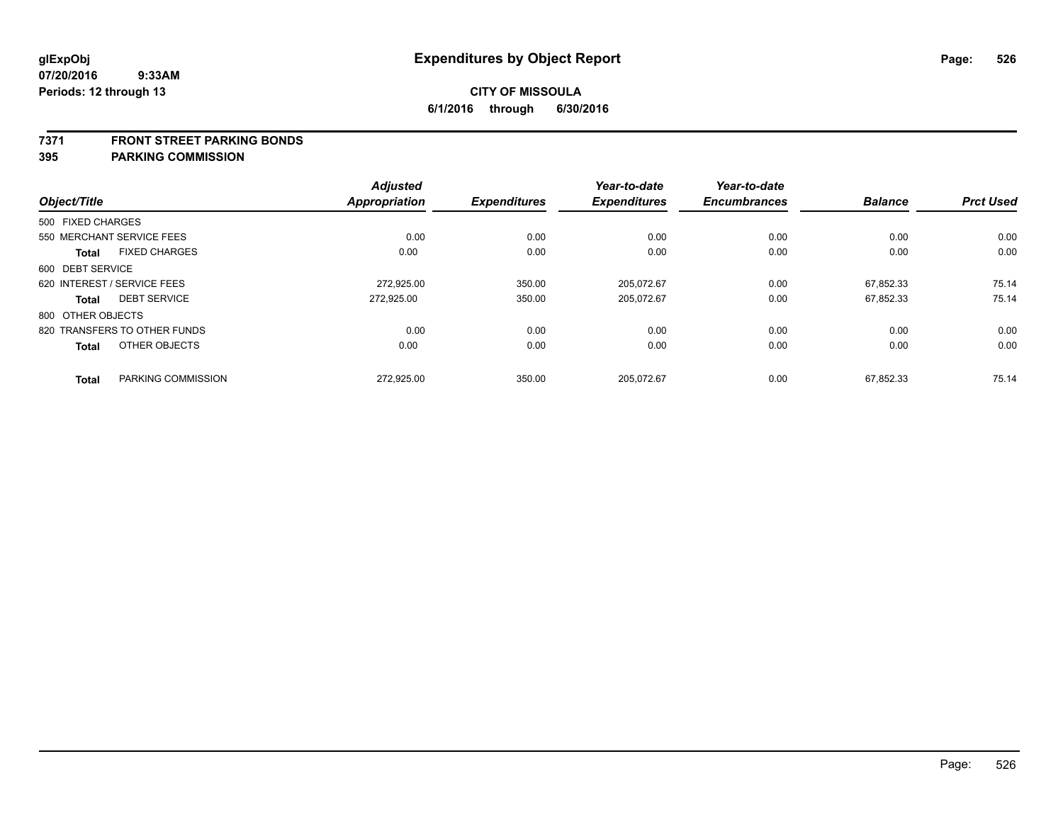#### **7371 FRONT STREET PARKING BONDS**

|                   |                              | <b>Adjusted</b>      |                     | Year-to-date        | Year-to-date        |                |                  |
|-------------------|------------------------------|----------------------|---------------------|---------------------|---------------------|----------------|------------------|
| Object/Title      |                              | <b>Appropriation</b> | <b>Expenditures</b> | <b>Expenditures</b> | <b>Encumbrances</b> | <b>Balance</b> | <b>Prct Used</b> |
| 500 FIXED CHARGES |                              |                      |                     |                     |                     |                |                  |
|                   | 550 MERCHANT SERVICE FEES    | 0.00                 | 0.00                | 0.00                | 0.00                | 0.00           | 0.00             |
| <b>Total</b>      | <b>FIXED CHARGES</b>         | 0.00                 | 0.00                | 0.00                | 0.00                | 0.00           | 0.00             |
| 600 DEBT SERVICE  |                              |                      |                     |                     |                     |                |                  |
|                   | 620 INTEREST / SERVICE FEES  | 272.925.00           | 350.00              | 205.072.67          | 0.00                | 67.852.33      | 75.14            |
| <b>Total</b>      | <b>DEBT SERVICE</b>          | 272,925.00           | 350.00              | 205,072.67          | 0.00                | 67,852.33      | 75.14            |
| 800 OTHER OBJECTS |                              |                      |                     |                     |                     |                |                  |
|                   | 820 TRANSFERS TO OTHER FUNDS | 0.00                 | 0.00                | 0.00                | 0.00                | 0.00           | 0.00             |
| <b>Total</b>      | OTHER OBJECTS                | 0.00                 | 0.00                | 0.00                | 0.00                | 0.00           | 0.00             |
| <b>Total</b>      | PARKING COMMISSION           | 272,925.00           | 350.00              | 205,072.67          | 0.00                | 67,852.33      | 75.14            |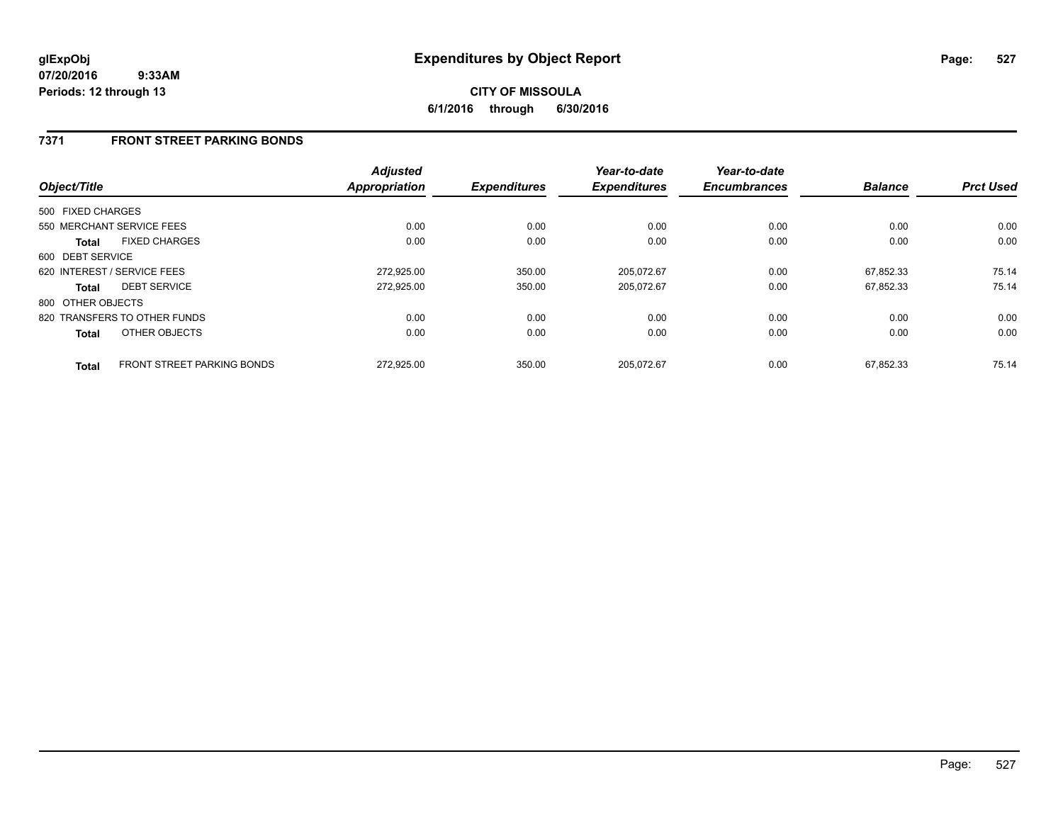## **7371 FRONT STREET PARKING BONDS**

| Object/Title      |                                   | <b>Adjusted</b><br><b>Appropriation</b> | <b>Expenditures</b> | Year-to-date<br><b>Expenditures</b> | Year-to-date<br><b>Encumbrances</b> | <b>Balance</b> | <b>Prct Used</b> |
|-------------------|-----------------------------------|-----------------------------------------|---------------------|-------------------------------------|-------------------------------------|----------------|------------------|
| 500 FIXED CHARGES |                                   |                                         |                     |                                     |                                     |                |                  |
|                   | 550 MERCHANT SERVICE FEES         | 0.00                                    | 0.00                | 0.00                                | 0.00                                | 0.00           | 0.00             |
| Total             | <b>FIXED CHARGES</b>              | 0.00                                    | 0.00                | 0.00                                | 0.00                                | 0.00           | 0.00             |
| 600 DEBT SERVICE  |                                   |                                         |                     |                                     |                                     |                |                  |
|                   | 620 INTEREST / SERVICE FEES       | 272,925.00                              | 350.00              | 205,072.67                          | 0.00                                | 67.852.33      | 75.14            |
| <b>Total</b>      | <b>DEBT SERVICE</b>               | 272.925.00                              | 350.00              | 205.072.67                          | 0.00                                | 67.852.33      | 75.14            |
| 800 OTHER OBJECTS |                                   |                                         |                     |                                     |                                     |                |                  |
|                   | 820 TRANSFERS TO OTHER FUNDS      | 0.00                                    | 0.00                | 0.00                                | 0.00                                | 0.00           | 0.00             |
| <b>Total</b>      | OTHER OBJECTS                     | 0.00                                    | 0.00                | 0.00                                | 0.00                                | 0.00           | 0.00             |
| <b>Total</b>      | <b>FRONT STREET PARKING BONDS</b> | 272.925.00                              | 350.00              | 205.072.67                          | 0.00                                | 67.852.33      | 75.14            |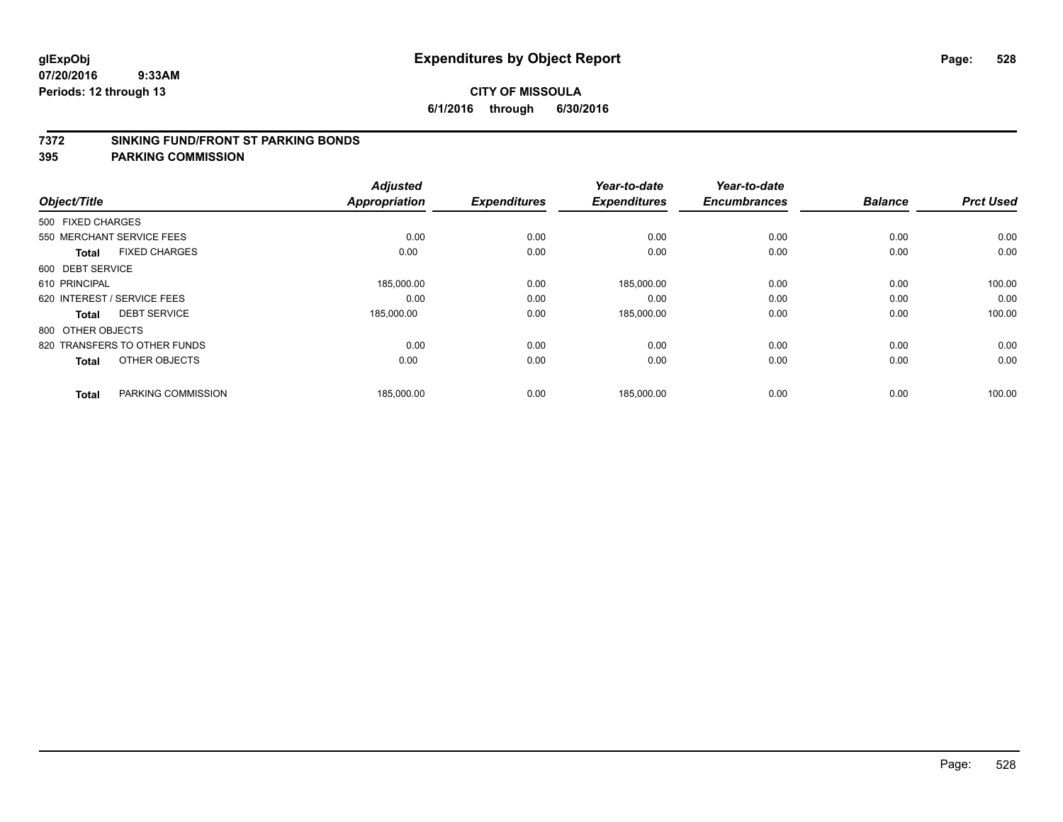#### **7372 SINKING FUND/FRONT ST PARKING BONDS**

| Object/Title                         |                    | <b>Adjusted</b><br><b>Appropriation</b> | <b>Expenditures</b> | Year-to-date<br><b>Expenditures</b> | Year-to-date<br><b>Encumbrances</b> | <b>Balance</b> | <b>Prct Used</b> |
|--------------------------------------|--------------------|-----------------------------------------|---------------------|-------------------------------------|-------------------------------------|----------------|------------------|
| 500 FIXED CHARGES                    |                    |                                         |                     |                                     |                                     |                |                  |
|                                      |                    |                                         |                     |                                     |                                     |                |                  |
| 550 MERCHANT SERVICE FEES            |                    | 0.00                                    | 0.00                | 0.00                                | 0.00                                | 0.00           | 0.00             |
| <b>FIXED CHARGES</b><br><b>Total</b> |                    | 0.00                                    | 0.00                | 0.00                                | 0.00                                | 0.00           | 0.00             |
| 600 DEBT SERVICE                     |                    |                                         |                     |                                     |                                     |                |                  |
| 610 PRINCIPAL                        |                    | 185,000.00                              | 0.00                | 185,000.00                          | 0.00                                | 0.00           | 100.00           |
| 620 INTEREST / SERVICE FEES          |                    | 0.00                                    | 0.00                | 0.00                                | 0.00                                | 0.00           | 0.00             |
| <b>DEBT SERVICE</b><br>Total         |                    | 185,000.00                              | 0.00                | 185,000.00                          | 0.00                                | 0.00           | 100.00           |
| 800 OTHER OBJECTS                    |                    |                                         |                     |                                     |                                     |                |                  |
| 820 TRANSFERS TO OTHER FUNDS         |                    | 0.00                                    | 0.00                | 0.00                                | 0.00                                | 0.00           | 0.00             |
| OTHER OBJECTS<br><b>Total</b>        |                    | 0.00                                    | 0.00                | 0.00                                | 0.00                                | 0.00           | 0.00             |
|                                      |                    |                                         |                     |                                     |                                     |                |                  |
| <b>Total</b>                         | PARKING COMMISSION | 185,000.00                              | 0.00                | 185,000.00                          | 0.00                                | 0.00           | 100.00           |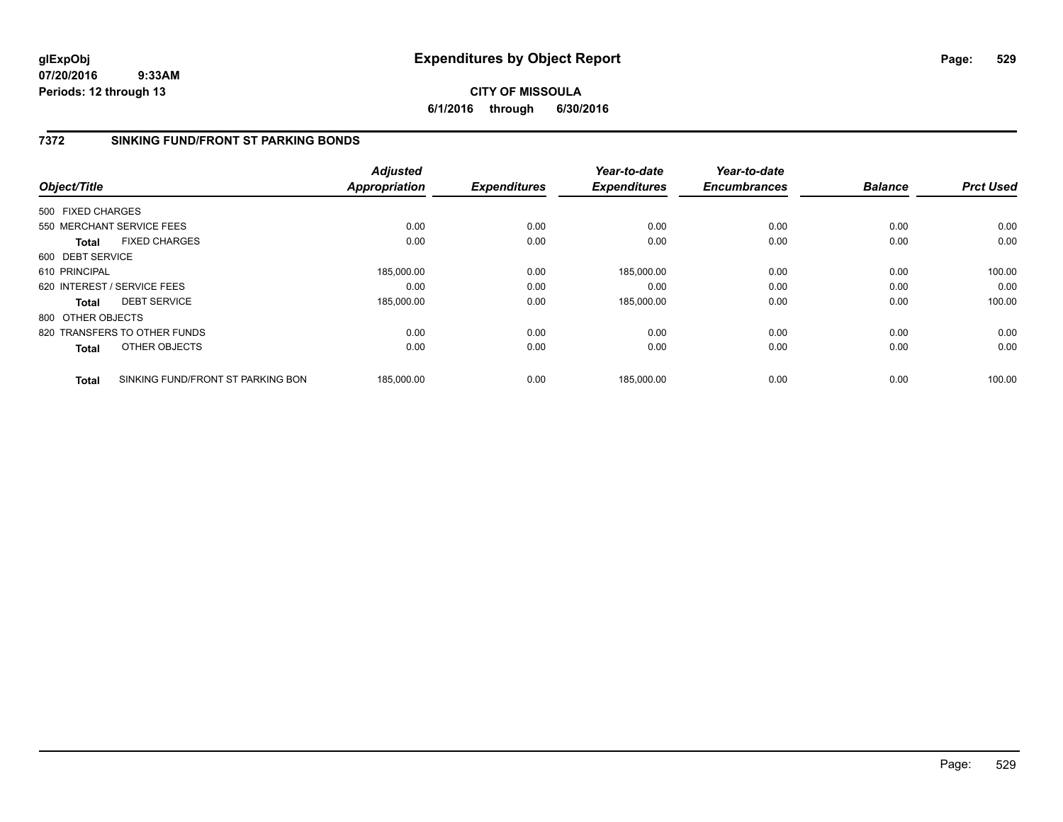## **CITY OF MISSOULA 6/1/2016 through 6/30/2016**

# **7372 SINKING FUND/FRONT ST PARKING BONDS**

|                   |                                   | <b>Adjusted</b>      |                     | Year-to-date        | Year-to-date        |                |                  |
|-------------------|-----------------------------------|----------------------|---------------------|---------------------|---------------------|----------------|------------------|
| Object/Title      |                                   | <b>Appropriation</b> | <b>Expenditures</b> | <b>Expenditures</b> | <b>Encumbrances</b> | <b>Balance</b> | <b>Prct Used</b> |
| 500 FIXED CHARGES |                                   |                      |                     |                     |                     |                |                  |
|                   | 550 MERCHANT SERVICE FEES         | 0.00                 | 0.00                | 0.00                | 0.00                | 0.00           | 0.00             |
| <b>Total</b>      | <b>FIXED CHARGES</b>              | 0.00                 | 0.00                | 0.00                | 0.00                | 0.00           | 0.00             |
| 600 DEBT SERVICE  |                                   |                      |                     |                     |                     |                |                  |
| 610 PRINCIPAL     |                                   | 185,000.00           | 0.00                | 185,000.00          | 0.00                | 0.00           | 100.00           |
|                   | 620 INTEREST / SERVICE FEES       | 0.00                 | 0.00                | 0.00                | 0.00                | 0.00           | 0.00             |
| Total             | <b>DEBT SERVICE</b>               | 185,000.00           | 0.00                | 185,000.00          | 0.00                | 0.00           | 100.00           |
| 800 OTHER OBJECTS |                                   |                      |                     |                     |                     |                |                  |
|                   | 820 TRANSFERS TO OTHER FUNDS      | 0.00                 | 0.00                | 0.00                | 0.00                | 0.00           | 0.00             |
| <b>Total</b>      | OTHER OBJECTS                     | 0.00                 | 0.00                | 0.00                | 0.00                | 0.00           | 0.00             |
| <b>Total</b>      | SINKING FUND/FRONT ST PARKING BON | 185.000.00           | 0.00                | 185.000.00          | 0.00                | 0.00           | 100.00           |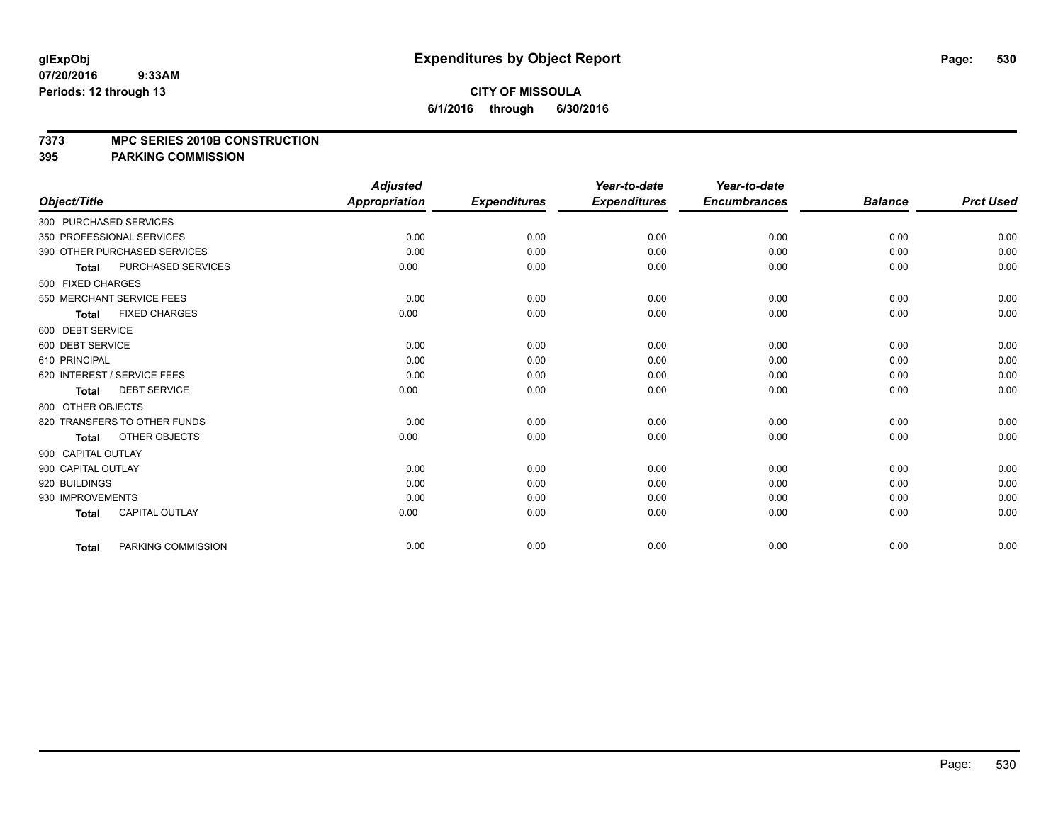#### **7373 MPC SERIES 2010B CONSTRUCTION**

|                        |                              | <b>Adjusted</b> |                     | Year-to-date        | Year-to-date        |                |                  |
|------------------------|------------------------------|-----------------|---------------------|---------------------|---------------------|----------------|------------------|
| Object/Title           |                              | Appropriation   | <b>Expenditures</b> | <b>Expenditures</b> | <b>Encumbrances</b> | <b>Balance</b> | <b>Prct Used</b> |
| 300 PURCHASED SERVICES |                              |                 |                     |                     |                     |                |                  |
|                        | 350 PROFESSIONAL SERVICES    | 0.00            | 0.00                | 0.00                | 0.00                | 0.00           | 0.00             |
|                        | 390 OTHER PURCHASED SERVICES | 0.00            | 0.00                | 0.00                | 0.00                | 0.00           | 0.00             |
| <b>Total</b>           | PURCHASED SERVICES           | 0.00            | 0.00                | 0.00                | 0.00                | 0.00           | 0.00             |
| 500 FIXED CHARGES      |                              |                 |                     |                     |                     |                |                  |
|                        | 550 MERCHANT SERVICE FEES    | 0.00            | 0.00                | 0.00                | 0.00                | 0.00           | 0.00             |
| <b>Total</b>           | <b>FIXED CHARGES</b>         | 0.00            | 0.00                | 0.00                | 0.00                | 0.00           | 0.00             |
| 600 DEBT SERVICE       |                              |                 |                     |                     |                     |                |                  |
| 600 DEBT SERVICE       |                              | 0.00            | 0.00                | 0.00                | 0.00                | 0.00           | 0.00             |
| 610 PRINCIPAL          |                              | 0.00            | 0.00                | 0.00                | 0.00                | 0.00           | 0.00             |
|                        | 620 INTEREST / SERVICE FEES  | 0.00            | 0.00                | 0.00                | 0.00                | 0.00           | 0.00             |
| <b>Total</b>           | <b>DEBT SERVICE</b>          | 0.00            | 0.00                | 0.00                | 0.00                | 0.00           | 0.00             |
| 800 OTHER OBJECTS      |                              |                 |                     |                     |                     |                |                  |
|                        | 820 TRANSFERS TO OTHER FUNDS | 0.00            | 0.00                | 0.00                | 0.00                | 0.00           | 0.00             |
| <b>Total</b>           | OTHER OBJECTS                | 0.00            | 0.00                | 0.00                | 0.00                | 0.00           | 0.00             |
| 900 CAPITAL OUTLAY     |                              |                 |                     |                     |                     |                |                  |
| 900 CAPITAL OUTLAY     |                              | 0.00            | 0.00                | 0.00                | 0.00                | 0.00           | 0.00             |
| 920 BUILDINGS          |                              | 0.00            | 0.00                | 0.00                | 0.00                | 0.00           | 0.00             |
| 930 IMPROVEMENTS       |                              | 0.00            | 0.00                | 0.00                | 0.00                | 0.00           | 0.00             |
| <b>Total</b>           | <b>CAPITAL OUTLAY</b>        | 0.00            | 0.00                | 0.00                | 0.00                | 0.00           | 0.00             |
| <b>Total</b>           | PARKING COMMISSION           | 0.00            | 0.00                | 0.00                | 0.00                | 0.00           | 0.00             |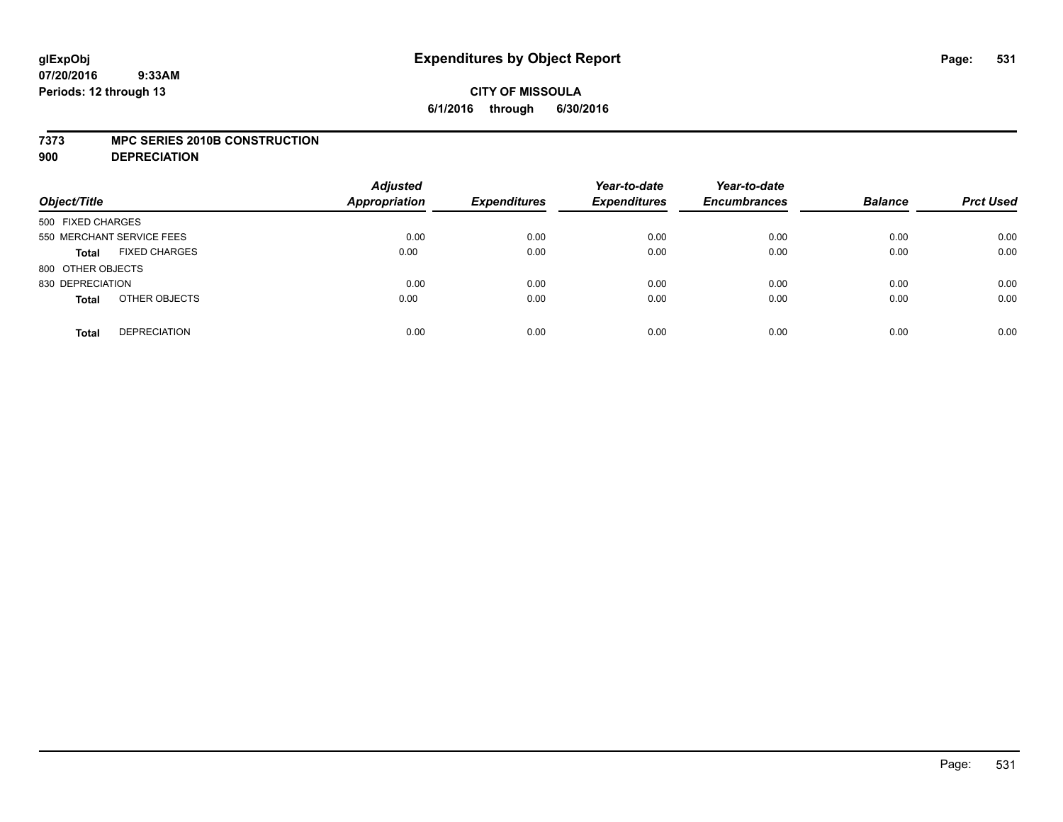### **7373 MPC SERIES 2010B CONSTRUCTION**

**900 DEPRECIATION**

| Object/Title                         | <b>Adjusted</b><br><b>Appropriation</b> | <b>Expenditures</b> | Year-to-date<br><b>Expenditures</b> | Year-to-date<br><b>Encumbrances</b> | <b>Balance</b> | <b>Prct Used</b> |
|--------------------------------------|-----------------------------------------|---------------------|-------------------------------------|-------------------------------------|----------------|------------------|
| 500 FIXED CHARGES                    |                                         |                     |                                     |                                     |                |                  |
| 550 MERCHANT SERVICE FEES            | 0.00                                    | 0.00                | 0.00                                | 0.00                                | 0.00           | 0.00             |
| <b>FIXED CHARGES</b><br><b>Total</b> | 0.00                                    | 0.00                | 0.00                                | 0.00                                | 0.00           | 0.00             |
| 800 OTHER OBJECTS                    |                                         |                     |                                     |                                     |                |                  |
| 830 DEPRECIATION                     | 0.00                                    | 0.00                | 0.00                                | 0.00                                | 0.00           | 0.00             |
| OTHER OBJECTS<br><b>Total</b>        | 0.00                                    | 0.00                | 0.00                                | 0.00                                | 0.00           | 0.00             |
| <b>DEPRECIATION</b><br><b>Total</b>  | 0.00                                    | 0.00                | 0.00                                | 0.00                                | 0.00           | 0.00             |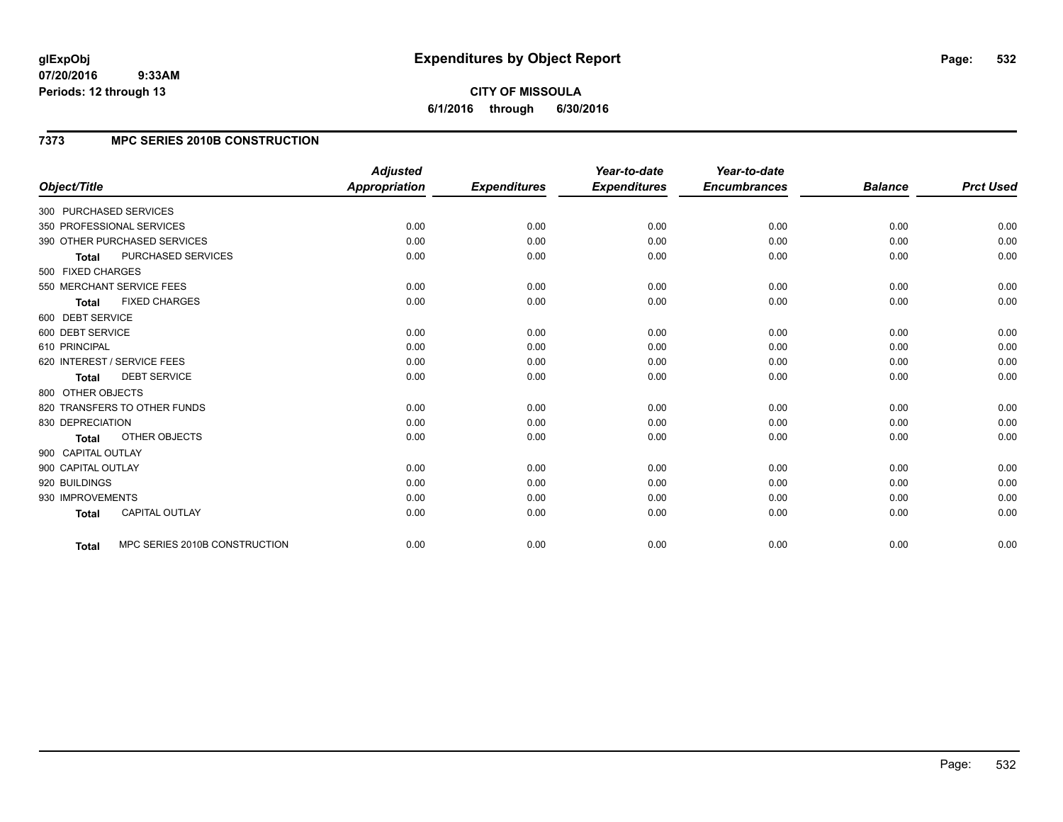## **7373 MPC SERIES 2010B CONSTRUCTION**

| Object/Title           |                               | <b>Adjusted</b><br>Appropriation | <b>Expenditures</b> | Year-to-date<br><b>Expenditures</b> | Year-to-date<br><b>Encumbrances</b> | <b>Balance</b> | <b>Prct Used</b> |
|------------------------|-------------------------------|----------------------------------|---------------------|-------------------------------------|-------------------------------------|----------------|------------------|
| 300 PURCHASED SERVICES |                               |                                  |                     |                                     |                                     |                |                  |
|                        | 350 PROFESSIONAL SERVICES     | 0.00                             | 0.00                | 0.00                                | 0.00                                | 0.00           | 0.00             |
|                        | 390 OTHER PURCHASED SERVICES  | 0.00                             | 0.00                | 0.00                                | 0.00                                | 0.00           | 0.00             |
| <b>Total</b>           | PURCHASED SERVICES            | 0.00                             | 0.00                | 0.00                                | 0.00                                | 0.00           | 0.00             |
| 500 FIXED CHARGES      |                               |                                  |                     |                                     |                                     |                |                  |
|                        | 550 MERCHANT SERVICE FEES     | 0.00                             | 0.00                | 0.00                                | 0.00                                | 0.00           | 0.00             |
| <b>Total</b>           | <b>FIXED CHARGES</b>          | 0.00                             | 0.00                | 0.00                                | 0.00                                | 0.00           | 0.00             |
| 600 DEBT SERVICE       |                               |                                  |                     |                                     |                                     |                |                  |
| 600 DEBT SERVICE       |                               | 0.00                             | 0.00                | 0.00                                | 0.00                                | 0.00           | 0.00             |
| 610 PRINCIPAL          |                               | 0.00                             | 0.00                | 0.00                                | 0.00                                | 0.00           | 0.00             |
|                        | 620 INTEREST / SERVICE FEES   | 0.00                             | 0.00                | 0.00                                | 0.00                                | 0.00           | 0.00             |
| <b>Total</b>           | <b>DEBT SERVICE</b>           | 0.00                             | 0.00                | 0.00                                | 0.00                                | 0.00           | 0.00             |
| 800 OTHER OBJECTS      |                               |                                  |                     |                                     |                                     |                |                  |
|                        | 820 TRANSFERS TO OTHER FUNDS  | 0.00                             | 0.00                | 0.00                                | 0.00                                | 0.00           | 0.00             |
| 830 DEPRECIATION       |                               | 0.00                             | 0.00                | 0.00                                | 0.00                                | 0.00           | 0.00             |
| <b>Total</b>           | OTHER OBJECTS                 | 0.00                             | 0.00                | 0.00                                | 0.00                                | 0.00           | 0.00             |
| 900 CAPITAL OUTLAY     |                               |                                  |                     |                                     |                                     |                |                  |
| 900 CAPITAL OUTLAY     |                               | 0.00                             | 0.00                | 0.00                                | 0.00                                | 0.00           | 0.00             |
| 920 BUILDINGS          |                               | 0.00                             | 0.00                | 0.00                                | 0.00                                | 0.00           | 0.00             |
| 930 IMPROVEMENTS       |                               | 0.00                             | 0.00                | 0.00                                | 0.00                                | 0.00           | 0.00             |
| <b>Total</b>           | <b>CAPITAL OUTLAY</b>         | 0.00                             | 0.00                | 0.00                                | 0.00                                | 0.00           | 0.00             |
| <b>Total</b>           | MPC SERIES 2010B CONSTRUCTION | 0.00                             | 0.00                | 0.00                                | 0.00                                | 0.00           | 0.00             |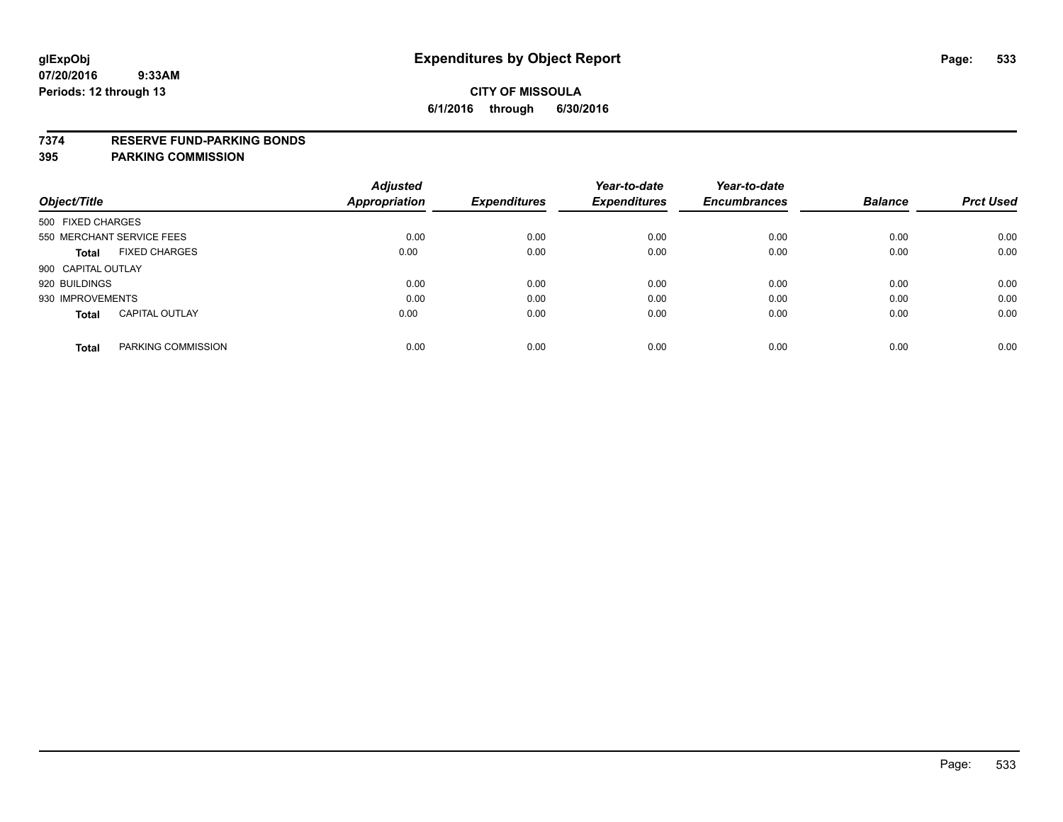### **7374 RESERVE FUND-PARKING BONDS**

| Object/Title              |                       | <b>Adjusted</b><br>Appropriation | <b>Expenditures</b> | Year-to-date<br><b>Expenditures</b> | Year-to-date<br><b>Encumbrances</b> | <b>Balance</b> | <b>Prct Used</b> |
|---------------------------|-----------------------|----------------------------------|---------------------|-------------------------------------|-------------------------------------|----------------|------------------|
| 500 FIXED CHARGES         |                       |                                  |                     |                                     |                                     |                |                  |
| 550 MERCHANT SERVICE FEES |                       | 0.00                             | 0.00                | 0.00                                | 0.00                                | 0.00           | 0.00             |
| Total                     | <b>FIXED CHARGES</b>  | 0.00                             | 0.00                | 0.00                                | 0.00                                | 0.00           | 0.00             |
| 900 CAPITAL OUTLAY        |                       |                                  |                     |                                     |                                     |                |                  |
| 920 BUILDINGS             |                       | 0.00                             | 0.00                | 0.00                                | 0.00                                | 0.00           | 0.00             |
| 930 IMPROVEMENTS          |                       | 0.00                             | 0.00                | 0.00                                | 0.00                                | 0.00           | 0.00             |
| <b>Total</b>              | <b>CAPITAL OUTLAY</b> | 0.00                             | 0.00                | 0.00                                | 0.00                                | 0.00           | 0.00             |
| <b>Total</b>              | PARKING COMMISSION    | 0.00                             | 0.00                | 0.00                                | 0.00                                | 0.00           | 0.00             |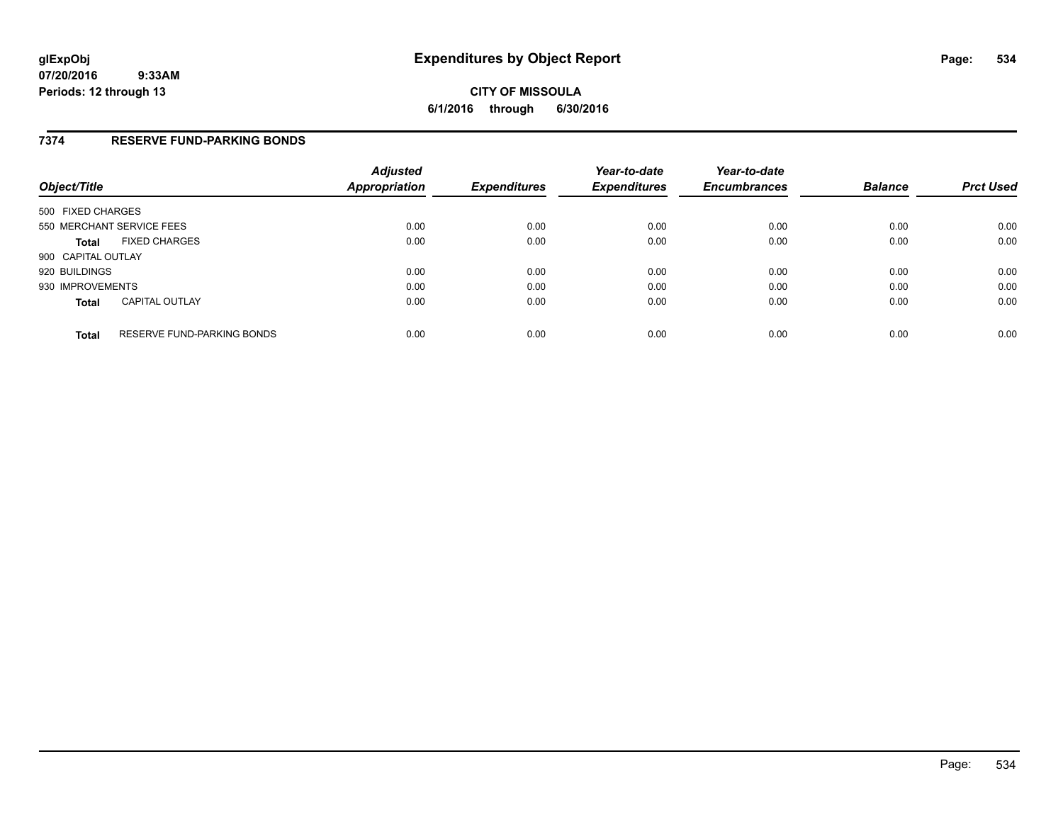**CITY OF MISSOULA 6/1/2016 through 6/30/2016**

## **7374 RESERVE FUND-PARKING BONDS**

| Object/Title              |                                   | <b>Adjusted</b><br><b>Appropriation</b> | <b>Expenditures</b> | Year-to-date<br><b>Expenditures</b> | Year-to-date<br><b>Encumbrances</b> | <b>Balance</b> | <b>Prct Used</b> |
|---------------------------|-----------------------------------|-----------------------------------------|---------------------|-------------------------------------|-------------------------------------|----------------|------------------|
| 500 FIXED CHARGES         |                                   |                                         |                     |                                     |                                     |                |                  |
| 550 MERCHANT SERVICE FEES |                                   | 0.00                                    | 0.00                | 0.00                                | 0.00                                | 0.00           | 0.00             |
| <b>Total</b>              | <b>FIXED CHARGES</b>              | 0.00                                    | 0.00                | 0.00                                | 0.00                                | 0.00           | 0.00             |
| 900 CAPITAL OUTLAY        |                                   |                                         |                     |                                     |                                     |                |                  |
| 920 BUILDINGS             |                                   | 0.00                                    | 0.00                | 0.00                                | 0.00                                | 0.00           | 0.00             |
| 930 IMPROVEMENTS          |                                   | 0.00                                    | 0.00                | 0.00                                | 0.00                                | 0.00           | 0.00             |
| <b>Total</b>              | <b>CAPITAL OUTLAY</b>             | 0.00                                    | 0.00                | 0.00                                | 0.00                                | 0.00           | 0.00             |
| <b>Total</b>              | <b>RESERVE FUND-PARKING BONDS</b> | 0.00                                    | 0.00                | 0.00                                | 0.00                                | 0.00           | 0.00             |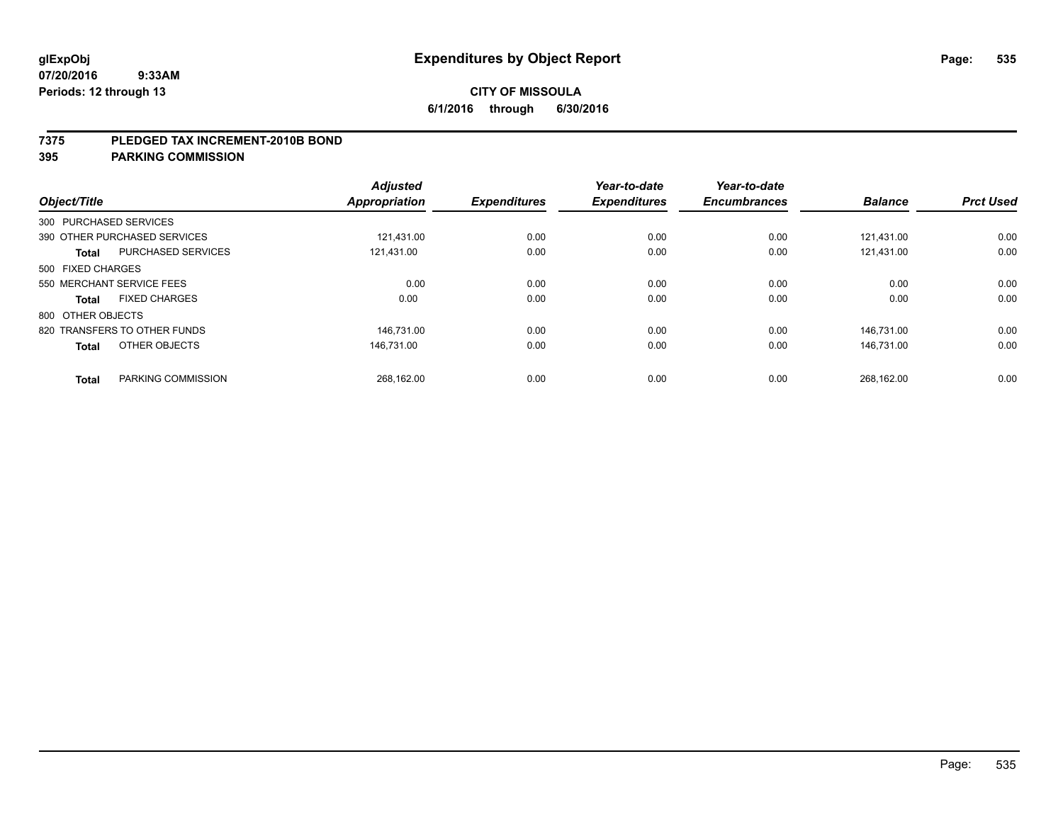#### **7375 PLEDGED TAX INCREMENT-2010B BOND**

| Object/Title           |                              | <b>Adjusted</b><br>Appropriation | <b>Expenditures</b> | Year-to-date<br><b>Expenditures</b> | Year-to-date<br><b>Encumbrances</b> | <b>Balance</b> | <b>Prct Used</b> |
|------------------------|------------------------------|----------------------------------|---------------------|-------------------------------------|-------------------------------------|----------------|------------------|
| 300 PURCHASED SERVICES |                              |                                  |                     |                                     |                                     |                |                  |
|                        | 390 OTHER PURCHASED SERVICES | 121.431.00                       | 0.00                | 0.00                                | 0.00                                | 121.431.00     | 0.00             |
| <b>Total</b>           | PURCHASED SERVICES           | 121,431.00                       | 0.00                | 0.00                                | 0.00                                | 121,431.00     | 0.00             |
| 500 FIXED CHARGES      |                              |                                  |                     |                                     |                                     |                |                  |
|                        | 550 MERCHANT SERVICE FEES    | 0.00                             | 0.00                | 0.00                                | 0.00                                | 0.00           | 0.00             |
| Total                  | <b>FIXED CHARGES</b>         | 0.00                             | 0.00                | 0.00                                | 0.00                                | 0.00           | 0.00             |
| 800 OTHER OBJECTS      |                              |                                  |                     |                                     |                                     |                |                  |
|                        | 820 TRANSFERS TO OTHER FUNDS | 146.731.00                       | 0.00                | 0.00                                | 0.00                                | 146.731.00     | 0.00             |
| <b>Total</b>           | OTHER OBJECTS                | 146.731.00                       | 0.00                | 0.00                                | 0.00                                | 146.731.00     | 0.00             |
|                        |                              |                                  |                     |                                     |                                     |                |                  |
| <b>Total</b>           | PARKING COMMISSION           | 268.162.00                       | 0.00                | 0.00                                | 0.00                                | 268,162.00     | 0.00             |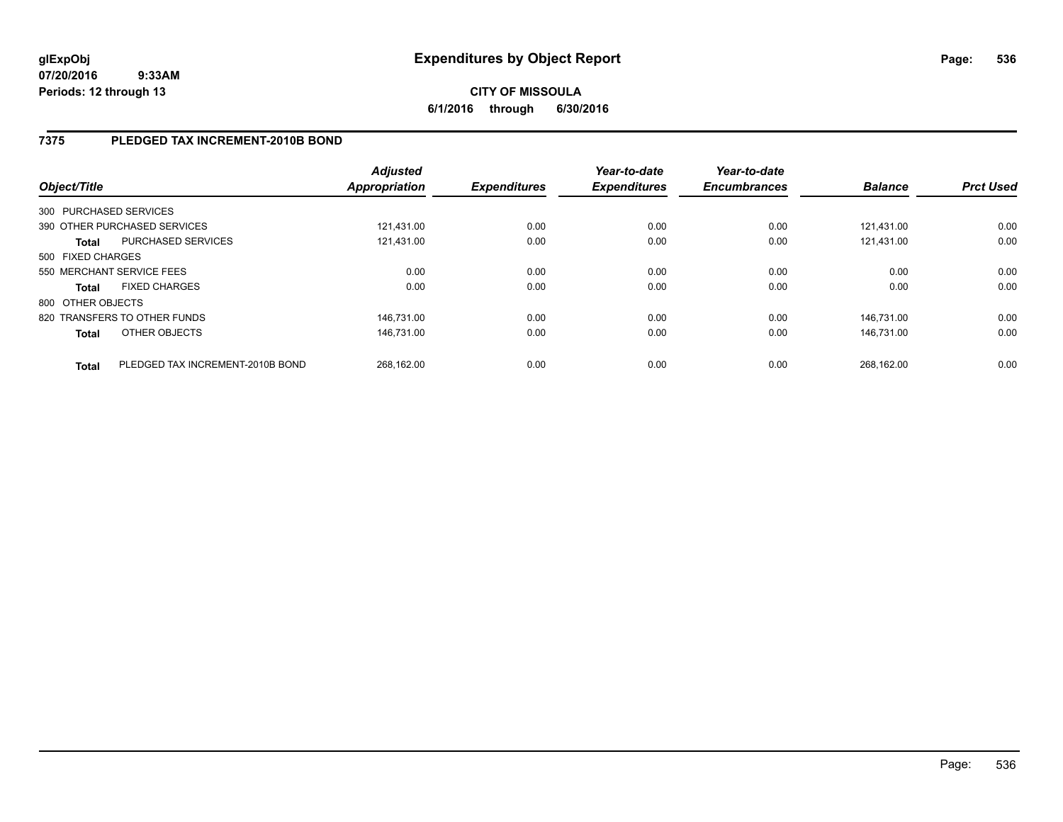# **7375 PLEDGED TAX INCREMENT-2010B BOND**

| Object/Title      |                                  | <b>Adjusted</b><br>Appropriation | <b>Expenditures</b> | Year-to-date<br><b>Expenditures</b> | Year-to-date<br><b>Encumbrances</b> | <b>Balance</b> | <b>Prct Used</b> |
|-------------------|----------------------------------|----------------------------------|---------------------|-------------------------------------|-------------------------------------|----------------|------------------|
|                   | 300 PURCHASED SERVICES           |                                  |                     |                                     |                                     |                |                  |
|                   | 390 OTHER PURCHASED SERVICES     | 121.431.00                       | 0.00                | 0.00                                | 0.00                                | 121.431.00     | 0.00             |
| <b>Total</b>      | PURCHASED SERVICES               | 121.431.00                       | 0.00                | 0.00                                | 0.00                                | 121.431.00     | 0.00             |
| 500 FIXED CHARGES |                                  |                                  |                     |                                     |                                     |                |                  |
|                   | 550 MERCHANT SERVICE FEES        | 0.00                             | 0.00                | 0.00                                | 0.00                                | 0.00           | 0.00             |
| <b>Total</b>      | <b>FIXED CHARGES</b>             | 0.00                             | 0.00                | 0.00                                | 0.00                                | 0.00           | 0.00             |
| 800 OTHER OBJECTS |                                  |                                  |                     |                                     |                                     |                |                  |
|                   | 820 TRANSFERS TO OTHER FUNDS     | 146.731.00                       | 0.00                | 0.00                                | 0.00                                | 146.731.00     | 0.00             |
| <b>Total</b>      | OTHER OBJECTS                    | 146.731.00                       | 0.00                | 0.00                                | 0.00                                | 146.731.00     | 0.00             |
| <b>Total</b>      | PLEDGED TAX INCREMENT-2010B BOND | 268.162.00                       | 0.00                | 0.00                                | 0.00                                | 268.162.00     | 0.00             |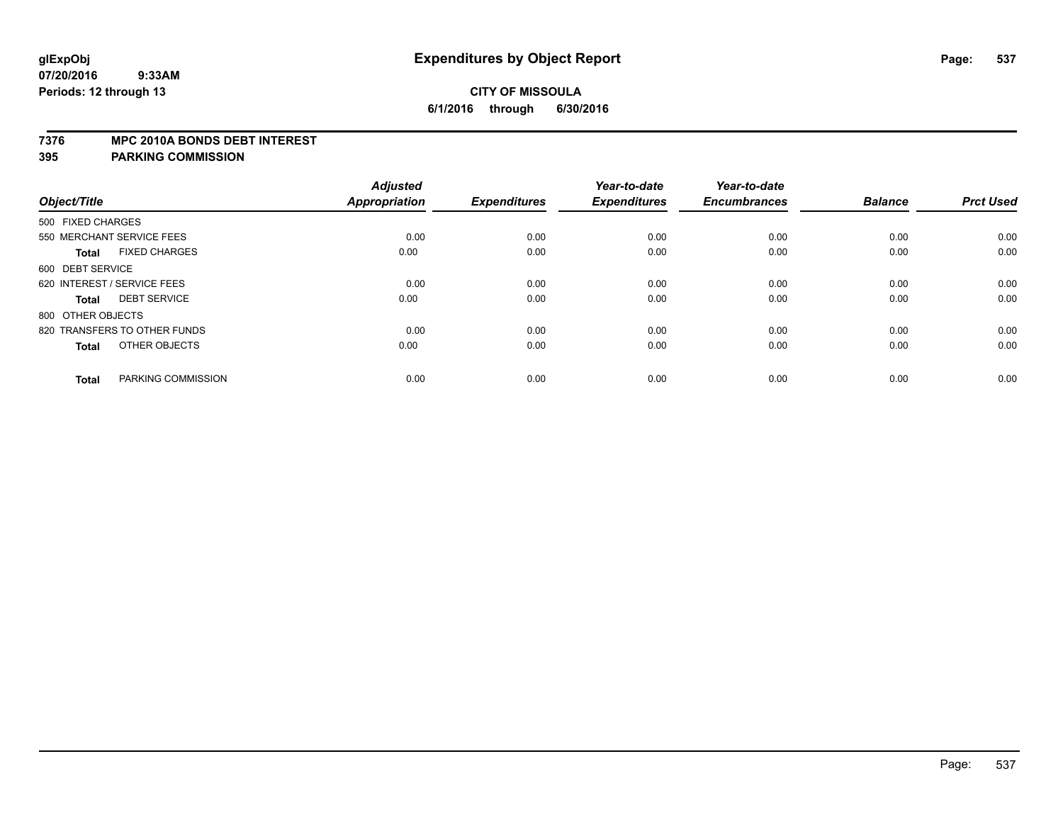#### **7376 MPC 2010A BONDS DEBT INTEREST**

| Object/Title                         | <b>Adjusted</b><br>Appropriation | <b>Expenditures</b> | Year-to-date<br><b>Expenditures</b> | Year-to-date<br><b>Encumbrances</b> | <b>Balance</b> | <b>Prct Used</b> |
|--------------------------------------|----------------------------------|---------------------|-------------------------------------|-------------------------------------|----------------|------------------|
|                                      |                                  |                     |                                     |                                     |                |                  |
| 500 FIXED CHARGES                    |                                  |                     |                                     |                                     |                |                  |
| 550 MERCHANT SERVICE FEES            | 0.00                             | 0.00                | 0.00                                | 0.00                                | 0.00           | 0.00             |
| <b>FIXED CHARGES</b><br><b>Total</b> | 0.00                             | 0.00                | 0.00                                | 0.00                                | 0.00           | 0.00             |
| 600 DEBT SERVICE                     |                                  |                     |                                     |                                     |                |                  |
| 620 INTEREST / SERVICE FEES          | 0.00                             | 0.00                | 0.00                                | 0.00                                | 0.00           | 0.00             |
| <b>DEBT SERVICE</b><br><b>Total</b>  | 0.00                             | 0.00                | 0.00                                | 0.00                                | 0.00           | 0.00             |
| 800 OTHER OBJECTS                    |                                  |                     |                                     |                                     |                |                  |
| 820 TRANSFERS TO OTHER FUNDS         | 0.00                             | 0.00                | 0.00                                | 0.00                                | 0.00           | 0.00             |
| OTHER OBJECTS<br><b>Total</b>        | 0.00                             | 0.00                | 0.00                                | 0.00                                | 0.00           | 0.00             |
| PARKING COMMISSION<br><b>Total</b>   | 0.00                             | 0.00                | 0.00                                | 0.00                                | 0.00           | 0.00             |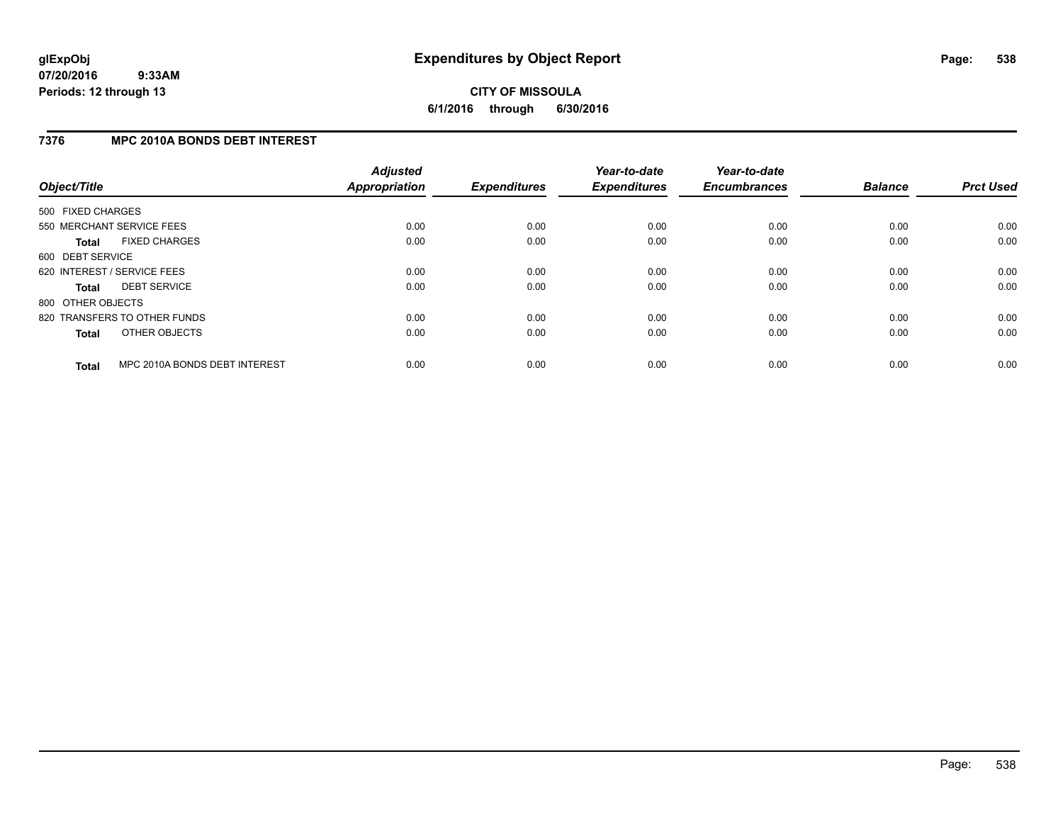# **7376 MPC 2010A BONDS DEBT INTEREST**

| Object/Title      |                               | <b>Adjusted</b><br><b>Appropriation</b> | <b>Expenditures</b> | Year-to-date<br><b>Expenditures</b> | Year-to-date<br><b>Encumbrances</b> | <b>Balance</b> | <b>Prct Used</b> |
|-------------------|-------------------------------|-----------------------------------------|---------------------|-------------------------------------|-------------------------------------|----------------|------------------|
| 500 FIXED CHARGES |                               |                                         |                     |                                     |                                     |                |                  |
|                   | 550 MERCHANT SERVICE FEES     | 0.00                                    | 0.00                | 0.00                                | 0.00                                | 0.00           | 0.00             |
| <b>Total</b>      | <b>FIXED CHARGES</b>          | 0.00                                    | 0.00                | 0.00                                | 0.00                                | 0.00           | 0.00             |
| 600 DEBT SERVICE  |                               |                                         |                     |                                     |                                     |                |                  |
|                   | 620 INTEREST / SERVICE FEES   | 0.00                                    | 0.00                | 0.00                                | 0.00                                | 0.00           | 0.00             |
| <b>Total</b>      | <b>DEBT SERVICE</b>           | 0.00                                    | 0.00                | 0.00                                | 0.00                                | 0.00           | 0.00             |
| 800 OTHER OBJECTS |                               |                                         |                     |                                     |                                     |                |                  |
|                   | 820 TRANSFERS TO OTHER FUNDS  | 0.00                                    | 0.00                | 0.00                                | 0.00                                | 0.00           | 0.00             |
| <b>Total</b>      | OTHER OBJECTS                 | 0.00                                    | 0.00                | 0.00                                | 0.00                                | 0.00           | 0.00             |
| <b>Total</b>      | MPC 2010A BONDS DEBT INTEREST | 0.00                                    | 0.00                | 0.00                                | 0.00                                | 0.00           | 0.00             |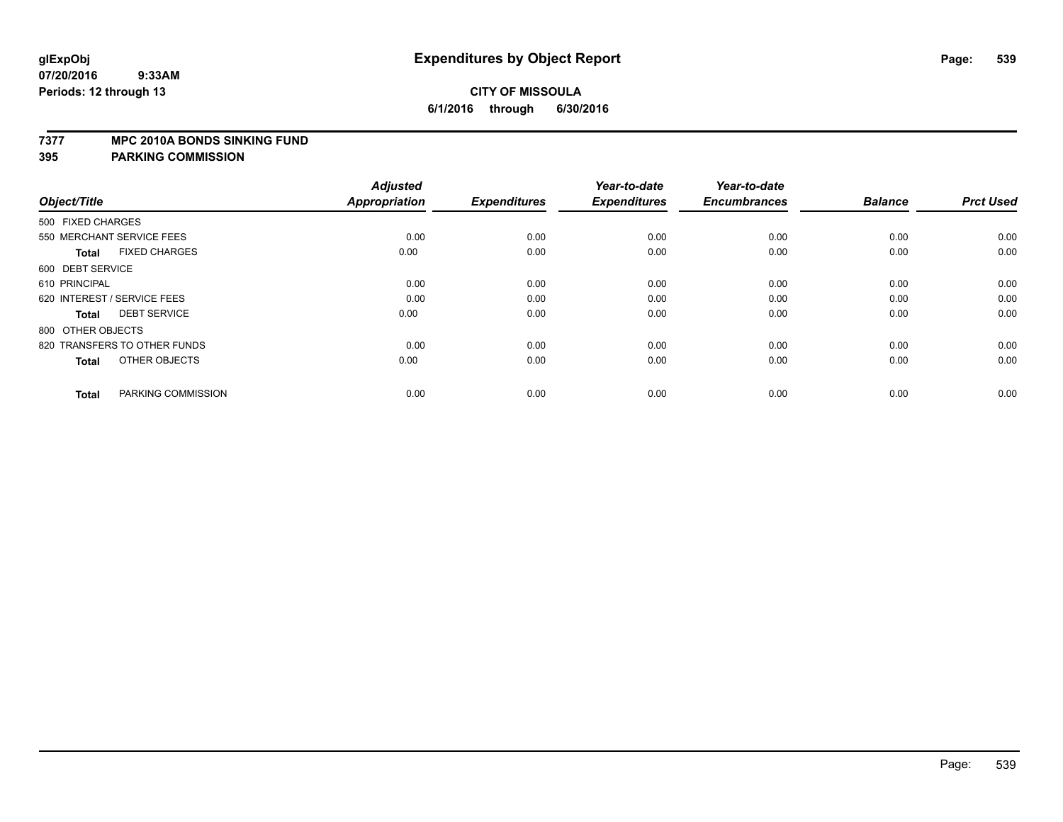#### **7377 MPC 2010A BONDS SINKING FUND**

| Object/Title                         | <b>Adjusted</b><br><b>Appropriation</b> | <b>Expenditures</b> | Year-to-date<br><b>Expenditures</b> | Year-to-date<br><b>Encumbrances</b> | <b>Balance</b> | <b>Prct Used</b> |
|--------------------------------------|-----------------------------------------|---------------------|-------------------------------------|-------------------------------------|----------------|------------------|
| 500 FIXED CHARGES                    |                                         |                     |                                     |                                     |                |                  |
| 550 MERCHANT SERVICE FEES            | 0.00                                    | 0.00                | 0.00                                | 0.00                                | 0.00           | 0.00             |
| <b>FIXED CHARGES</b><br><b>Total</b> | 0.00                                    | 0.00                | 0.00                                | 0.00                                | 0.00           | 0.00             |
| 600 DEBT SERVICE                     |                                         |                     |                                     |                                     |                |                  |
| 610 PRINCIPAL                        | 0.00                                    | 0.00                | 0.00                                | 0.00                                | 0.00           | 0.00             |
| 620 INTEREST / SERVICE FEES          | 0.00                                    | 0.00                | 0.00                                | 0.00                                | 0.00           | 0.00             |
| <b>DEBT SERVICE</b><br><b>Total</b>  | 0.00                                    | 0.00                | 0.00                                | 0.00                                | 0.00           | 0.00             |
| 800 OTHER OBJECTS                    |                                         |                     |                                     |                                     |                |                  |
| 820 TRANSFERS TO OTHER FUNDS         | 0.00                                    | 0.00                | 0.00                                | 0.00                                | 0.00           | 0.00             |
| OTHER OBJECTS<br><b>Total</b>        | 0.00                                    | 0.00                | 0.00                                | 0.00                                | 0.00           | 0.00             |
|                                      |                                         |                     |                                     |                                     |                |                  |
| PARKING COMMISSION<br><b>Total</b>   | 0.00                                    | 0.00                | 0.00                                | 0.00                                | 0.00           | 0.00             |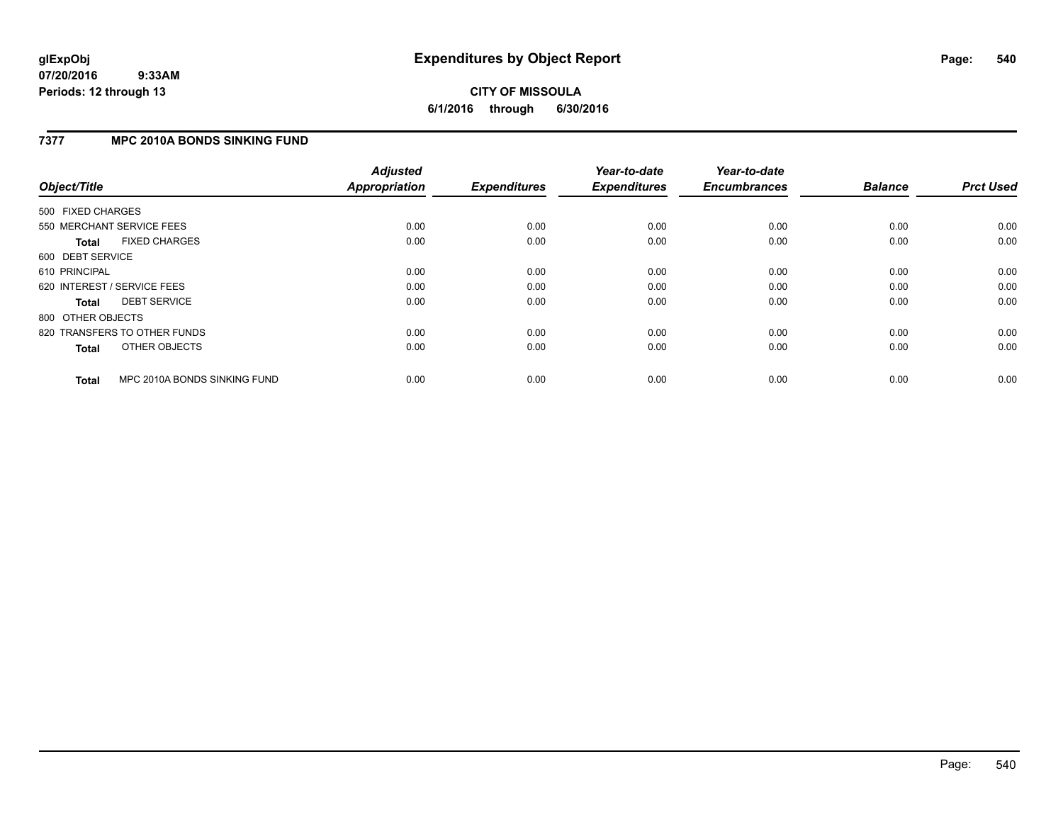# **CITY OF MISSOULA 6/1/2016 through 6/30/2016**

## **7377 MPC 2010A BONDS SINKING FUND**

| Object/Title      |                              | <b>Adjusted</b><br><b>Appropriation</b> | <b>Expenditures</b> | Year-to-date<br><b>Expenditures</b> | Year-to-date<br><b>Encumbrances</b> | <b>Balance</b> | <b>Prct Used</b> |
|-------------------|------------------------------|-----------------------------------------|---------------------|-------------------------------------|-------------------------------------|----------------|------------------|
| 500 FIXED CHARGES |                              |                                         |                     |                                     |                                     |                |                  |
|                   | 550 MERCHANT SERVICE FEES    | 0.00                                    | 0.00                | 0.00                                | 0.00                                | 0.00           | 0.00             |
| <b>Total</b>      | <b>FIXED CHARGES</b>         | 0.00                                    | 0.00                | 0.00                                | 0.00                                | 0.00           | 0.00             |
| 600 DEBT SERVICE  |                              |                                         |                     |                                     |                                     |                |                  |
| 610 PRINCIPAL     |                              | 0.00                                    | 0.00                | 0.00                                | 0.00                                | 0.00           | 0.00             |
|                   | 620 INTEREST / SERVICE FEES  | 0.00                                    | 0.00                | 0.00                                | 0.00                                | 0.00           | 0.00             |
| Total             | <b>DEBT SERVICE</b>          | 0.00                                    | 0.00                | 0.00                                | 0.00                                | 0.00           | 0.00             |
| 800 OTHER OBJECTS |                              |                                         |                     |                                     |                                     |                |                  |
|                   | 820 TRANSFERS TO OTHER FUNDS | 0.00                                    | 0.00                | 0.00                                | 0.00                                | 0.00           | 0.00             |
| <b>Total</b>      | OTHER OBJECTS                | 0.00                                    | 0.00                | 0.00                                | 0.00                                | 0.00           | 0.00             |
| <b>Total</b>      | MPC 2010A BONDS SINKING FUND | 0.00                                    | 0.00                | 0.00                                | 0.00                                | 0.00           | 0.00             |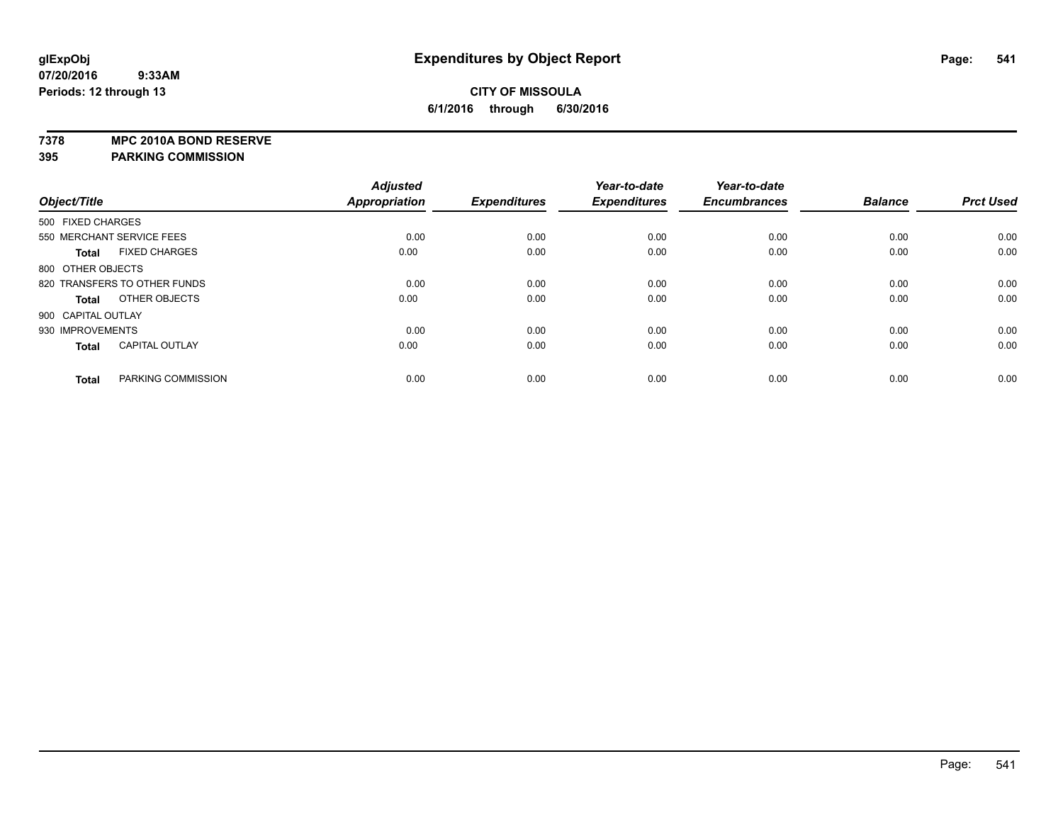**7378 MPC 2010A BOND RESERVE**

**395 PARKING COMMISSION**

|                    |                              | <b>Adjusted</b> |                     | Year-to-date        | Year-to-date        |                |                  |
|--------------------|------------------------------|-----------------|---------------------|---------------------|---------------------|----------------|------------------|
| Object/Title       |                              | Appropriation   | <b>Expenditures</b> | <b>Expenditures</b> | <b>Encumbrances</b> | <b>Balance</b> | <b>Prct Used</b> |
| 500 FIXED CHARGES  |                              |                 |                     |                     |                     |                |                  |
|                    | 550 MERCHANT SERVICE FEES    | 0.00            | 0.00                | 0.00                | 0.00                | 0.00           | 0.00             |
| <b>Total</b>       | <b>FIXED CHARGES</b>         | 0.00            | 0.00                | 0.00                | 0.00                | 0.00           | 0.00             |
| 800 OTHER OBJECTS  |                              |                 |                     |                     |                     |                |                  |
|                    | 820 TRANSFERS TO OTHER FUNDS | 0.00            | 0.00                | 0.00                | 0.00                | 0.00           | 0.00             |
| <b>Total</b>       | OTHER OBJECTS                | 0.00            | 0.00                | 0.00                | 0.00                | 0.00           | 0.00             |
| 900 CAPITAL OUTLAY |                              |                 |                     |                     |                     |                |                  |
| 930 IMPROVEMENTS   |                              | 0.00            | 0.00                | 0.00                | 0.00                | 0.00           | 0.00             |
| <b>Total</b>       | <b>CAPITAL OUTLAY</b>        | 0.00            | 0.00                | 0.00                | 0.00                | 0.00           | 0.00             |
| <b>Total</b>       | PARKING COMMISSION           | 0.00            | 0.00                | 0.00                | 0.00                | 0.00           | 0.00             |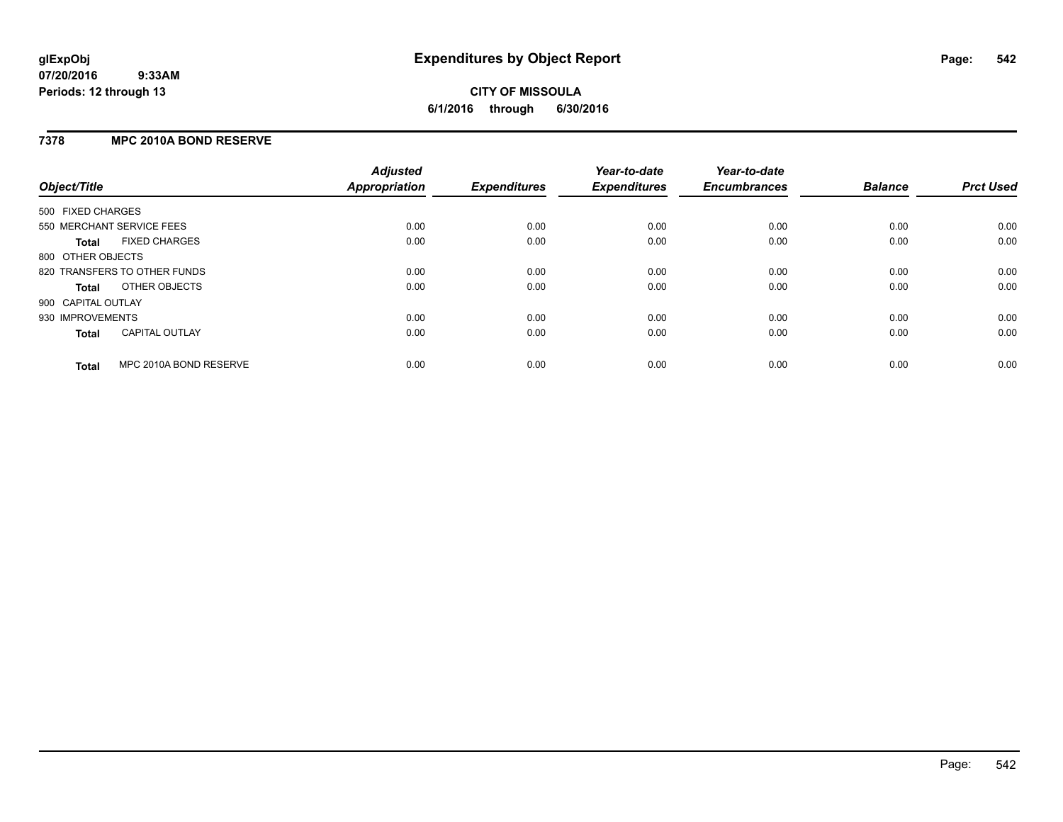### **7378 MPC 2010A BOND RESERVE**

| Object/Title       |                              | <b>Adjusted</b><br><b>Appropriation</b> | <b>Expenditures</b> | Year-to-date<br><b>Expenditures</b> | Year-to-date<br><b>Encumbrances</b> | <b>Balance</b> | <b>Prct Used</b> |
|--------------------|------------------------------|-----------------------------------------|---------------------|-------------------------------------|-------------------------------------|----------------|------------------|
| 500 FIXED CHARGES  |                              |                                         |                     |                                     |                                     |                |                  |
|                    | 550 MERCHANT SERVICE FEES    | 0.00                                    | 0.00                | 0.00                                | 0.00                                | 0.00           | 0.00             |
| <b>Total</b>       | <b>FIXED CHARGES</b>         | 0.00                                    | 0.00                | 0.00                                | 0.00                                | 0.00           | 0.00             |
| 800 OTHER OBJECTS  |                              |                                         |                     |                                     |                                     |                |                  |
|                    | 820 TRANSFERS TO OTHER FUNDS | 0.00                                    | 0.00                | 0.00                                | 0.00                                | 0.00           | 0.00             |
| <b>Total</b>       | OTHER OBJECTS                | 0.00                                    | 0.00                | 0.00                                | 0.00                                | 0.00           | 0.00             |
| 900 CAPITAL OUTLAY |                              |                                         |                     |                                     |                                     |                |                  |
| 930 IMPROVEMENTS   |                              | 0.00                                    | 0.00                | 0.00                                | 0.00                                | 0.00           | 0.00             |
| Total              | <b>CAPITAL OUTLAY</b>        | 0.00                                    | 0.00                | 0.00                                | 0.00                                | 0.00           | 0.00             |
| <b>Total</b>       | MPC 2010A BOND RESERVE       | 0.00                                    | 0.00                | 0.00                                | 0.00                                | 0.00           | 0.00             |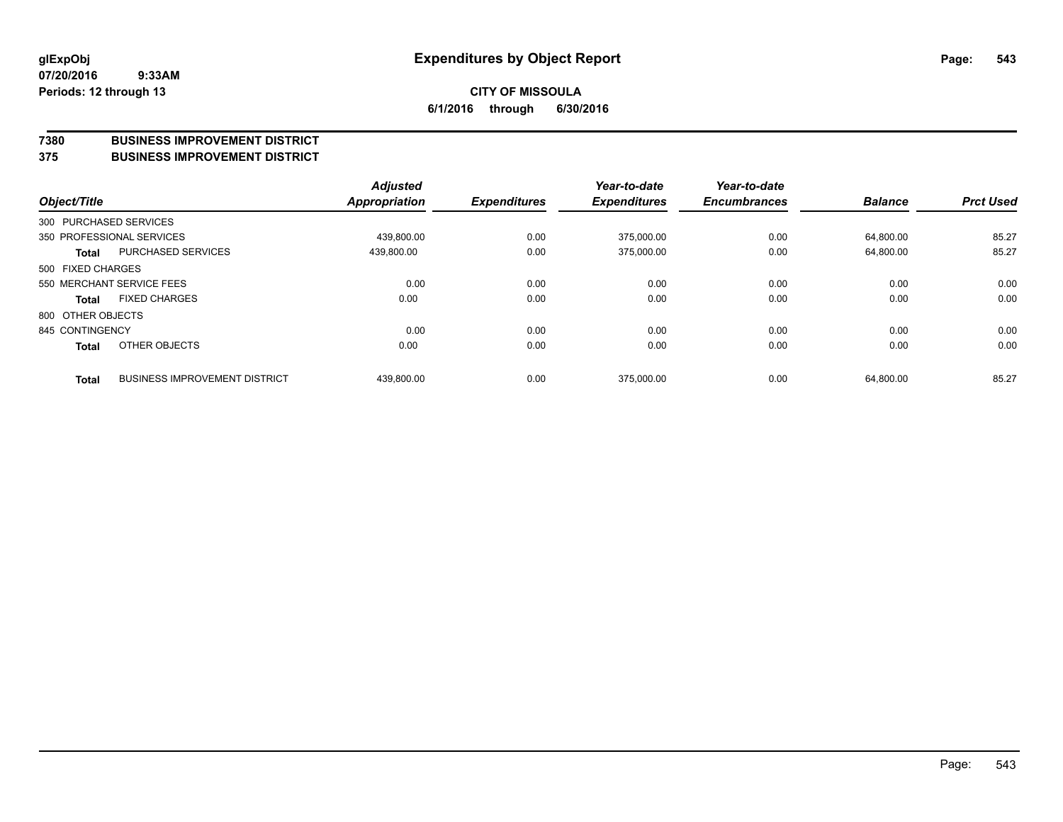#### **7380 BUSINESS IMPROVEMENT DISTRICT**

#### **375 BUSINESS IMPROVEMENT DISTRICT**

| Object/Title |                                                      | <b>Adjusted</b><br>Appropriation | <b>Expenditures</b> | Year-to-date<br><b>Expenditures</b> | Year-to-date<br><b>Encumbrances</b> | <b>Balance</b> | <b>Prct Used</b> |
|--------------|------------------------------------------------------|----------------------------------|---------------------|-------------------------------------|-------------------------------------|----------------|------------------|
|              | 300 PURCHASED SERVICES                               |                                  |                     |                                     |                                     |                |                  |
|              | 350 PROFESSIONAL SERVICES                            | 439.800.00                       | 0.00                | 375.000.00                          | 0.00                                | 64.800.00      | 85.27            |
|              | <b>PURCHASED SERVICES</b><br><b>Total</b>            | 439,800.00                       | 0.00                | 375.000.00                          | 0.00                                | 64,800.00      | 85.27            |
|              | 500 FIXED CHARGES                                    |                                  |                     |                                     |                                     |                |                  |
|              | 550 MERCHANT SERVICE FEES                            | 0.00                             | 0.00                | 0.00                                | 0.00                                | 0.00           | 0.00             |
|              | <b>FIXED CHARGES</b><br><b>Total</b>                 | 0.00                             | 0.00                | 0.00                                | 0.00                                | 0.00           | 0.00             |
|              | 800 OTHER OBJECTS                                    |                                  |                     |                                     |                                     |                |                  |
|              | 845 CONTINGENCY                                      | 0.00                             | 0.00                | 0.00                                | 0.00                                | 0.00           | 0.00             |
|              | OTHER OBJECTS<br><b>Total</b>                        | 0.00                             | 0.00                | 0.00                                | 0.00                                | 0.00           | 0.00             |
|              | <b>BUSINESS IMPROVEMENT DISTRICT</b><br><b>Total</b> | 439,800.00                       | 0.00                | 375.000.00                          | 0.00                                | 64,800.00      | 85.27            |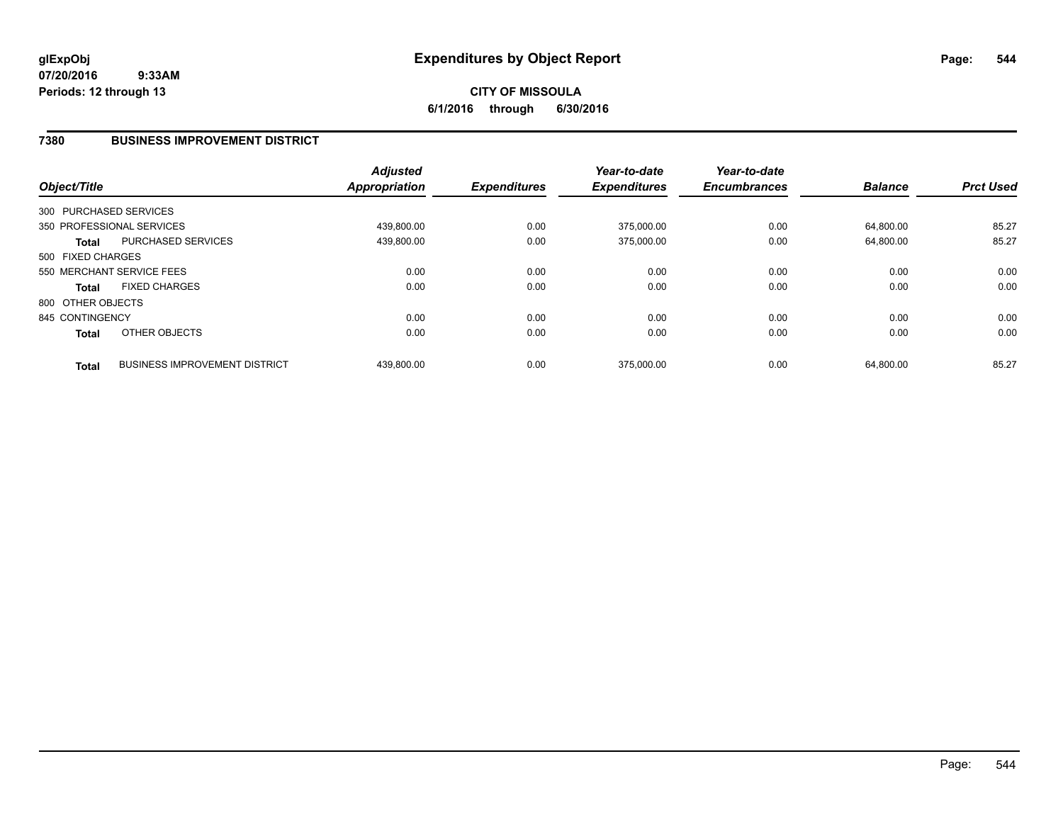# **CITY OF MISSOULA 6/1/2016 through 6/30/2016**

### **7380 BUSINESS IMPROVEMENT DISTRICT**

| Object/Title      |                                      | <b>Adjusted</b><br><b>Appropriation</b> | <b>Expenditures</b> | Year-to-date<br><b>Expenditures</b> | Year-to-date<br><b>Encumbrances</b> | <b>Balance</b> | <b>Prct Used</b> |
|-------------------|--------------------------------------|-----------------------------------------|---------------------|-------------------------------------|-------------------------------------|----------------|------------------|
|                   | 300 PURCHASED SERVICES               |                                         |                     |                                     |                                     |                |                  |
|                   | 350 PROFESSIONAL SERVICES            | 439.800.00                              | 0.00                | 375.000.00                          | 0.00                                | 64.800.00      | 85.27            |
| <b>Total</b>      | <b>PURCHASED SERVICES</b>            | 439,800.00                              | 0.00                | 375,000.00                          | 0.00                                | 64,800.00      | 85.27            |
| 500 FIXED CHARGES |                                      |                                         |                     |                                     |                                     |                |                  |
|                   | 550 MERCHANT SERVICE FEES            | 0.00                                    | 0.00                | 0.00                                | 0.00                                | 0.00           | 0.00             |
| <b>Total</b>      | <b>FIXED CHARGES</b>                 | 0.00                                    | 0.00                | 0.00                                | 0.00                                | 0.00           | 0.00             |
| 800 OTHER OBJECTS |                                      |                                         |                     |                                     |                                     |                |                  |
| 845 CONTINGENCY   |                                      | 0.00                                    | 0.00                | 0.00                                | 0.00                                | 0.00           | 0.00             |
| <b>Total</b>      | OTHER OBJECTS                        | 0.00                                    | 0.00                | 0.00                                | 0.00                                | 0.00           | 0.00             |
| <b>Total</b>      | <b>BUSINESS IMPROVEMENT DISTRICT</b> | 439.800.00                              | 0.00                | 375.000.00                          | 0.00                                | 64.800.00      | 85.27            |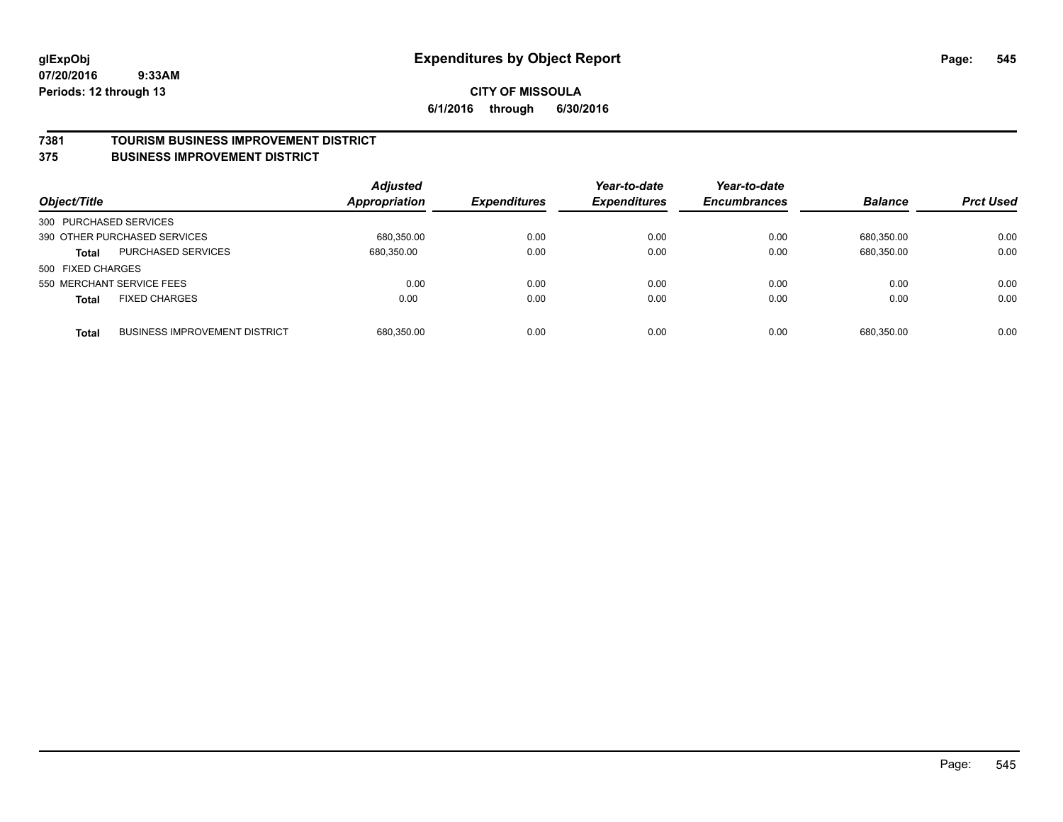#### **7381 TOURISM BUSINESS IMPROVEMENT DISTRICT**

#### **375 BUSINESS IMPROVEMENT DISTRICT**

| Object/Title           |                                      | <b>Adjusted</b><br><b>Appropriation</b> | <b>Expenditures</b> | Year-to-date<br><b>Expenditures</b> | Year-to-date<br><b>Encumbrances</b> | <b>Balance</b> | <b>Prct Used</b> |
|------------------------|--------------------------------------|-----------------------------------------|---------------------|-------------------------------------|-------------------------------------|----------------|------------------|
| 300 PURCHASED SERVICES |                                      |                                         |                     |                                     |                                     |                |                  |
|                        | 390 OTHER PURCHASED SERVICES         | 680,350.00                              | 0.00                | 0.00                                | 0.00                                | 680.350.00     | 0.00             |
| <b>Total</b>           | <b>PURCHASED SERVICES</b>            | 680,350.00                              | 0.00                | 0.00                                | 0.00                                | 680,350.00     | 0.00             |
| 500 FIXED CHARGES      |                                      |                                         |                     |                                     |                                     |                |                  |
|                        | 550 MERCHANT SERVICE FEES            | 0.00                                    | 0.00                | 0.00                                | 0.00                                | 0.00           | 0.00             |
| <b>Total</b>           | <b>FIXED CHARGES</b>                 | 0.00                                    | 0.00                | 0.00                                | 0.00                                | 0.00           | 0.00             |
| <b>Total</b>           | <b>BUSINESS IMPROVEMENT DISTRICT</b> | 680,350.00                              | 0.00                | 0.00                                | 0.00                                | 680.350.00     | 0.00             |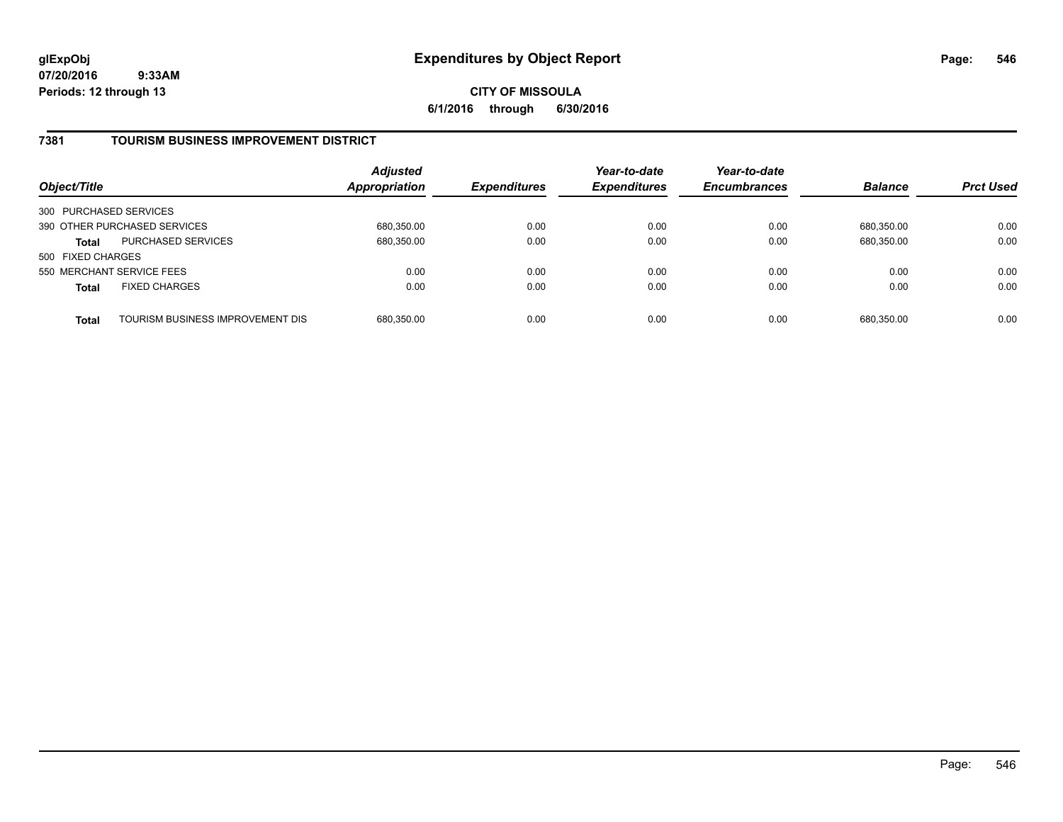### **CITY OF MISSOULA 6/1/2016 through 6/30/2016**

# **7381 TOURISM BUSINESS IMPROVEMENT DISTRICT**

| Object/Title           |                                  | <b>Adjusted</b><br>Appropriation | <b>Expenditures</b> | Year-to-date<br><b>Expenditures</b> | Year-to-date<br><b>Encumbrances</b> | <b>Balance</b> | <b>Prct Used</b> |
|------------------------|----------------------------------|----------------------------------|---------------------|-------------------------------------|-------------------------------------|----------------|------------------|
| 300 PURCHASED SERVICES |                                  |                                  |                     |                                     |                                     |                |                  |
|                        | 390 OTHER PURCHASED SERVICES     | 680,350.00                       | 0.00                | 0.00                                | 0.00                                | 680.350.00     | 0.00             |
| Total                  | <b>PURCHASED SERVICES</b>        | 680,350.00                       | 0.00                | 0.00                                | 0.00                                | 680,350.00     | 0.00             |
| 500 FIXED CHARGES      |                                  |                                  |                     |                                     |                                     |                |                  |
|                        | 550 MERCHANT SERVICE FEES        | 0.00                             | 0.00                | 0.00                                | 0.00                                | 0.00           | 0.00             |
| <b>Total</b>           | <b>FIXED CHARGES</b>             | 0.00                             | 0.00                | 0.00                                | 0.00                                | 0.00           | 0.00             |
| <b>Total</b>           | TOURISM BUSINESS IMPROVEMENT DIS | 680,350.00                       | 0.00                | 0.00                                | 0.00                                | 680,350.00     | 0.00             |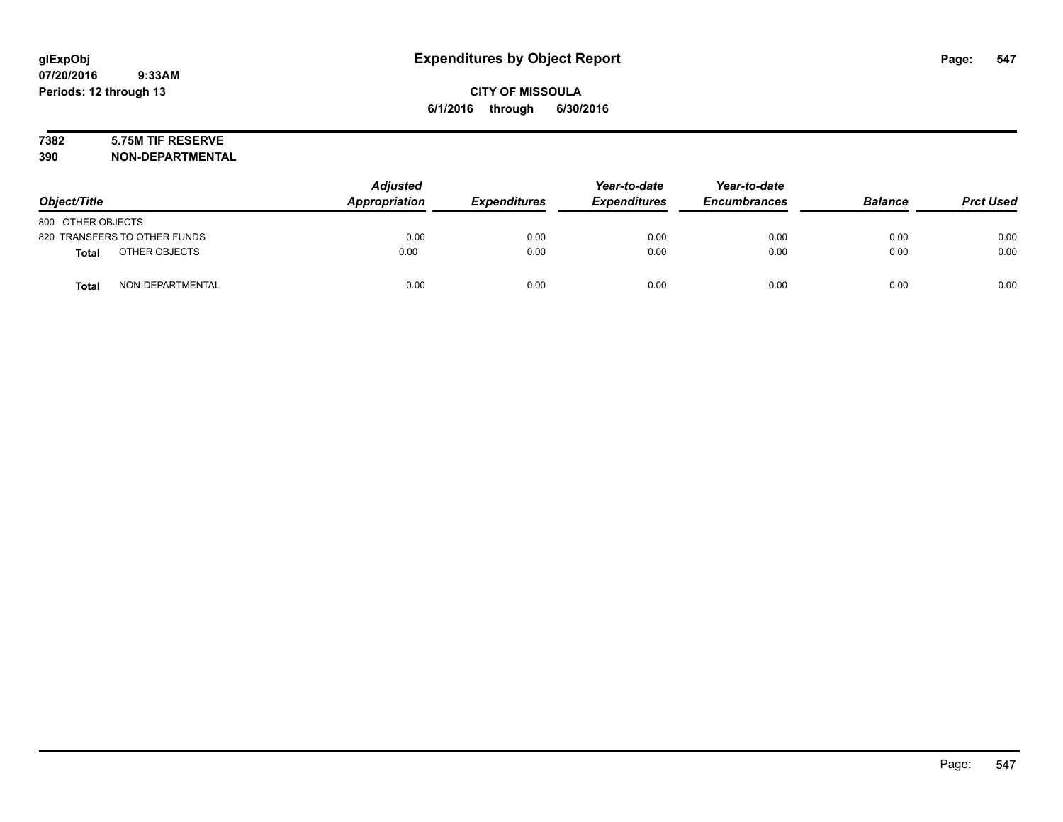# **7382 5.75M TIF RESERVE**

**390 NON-DEPARTMENTAL**

| Object/Title      |                              | <b>Adjusted</b><br>Appropriation | <b>Expenditures</b> | Year-to-date<br><b>Expenditures</b> | Year-to-date<br><b>Encumbrances</b> | <b>Balance</b> | <b>Prct Used</b> |
|-------------------|------------------------------|----------------------------------|---------------------|-------------------------------------|-------------------------------------|----------------|------------------|
| 800 OTHER OBJECTS |                              |                                  |                     |                                     |                                     |                |                  |
|                   | 820 TRANSFERS TO OTHER FUNDS | 0.00                             | 0.00                | 0.00                                | 0.00                                | 0.00           | 0.00             |
| <b>Total</b>      | OTHER OBJECTS                | 0.00                             | 0.00                | 0.00                                | 0.00                                | 0.00           | 0.00             |
| <b>Total</b>      | NON-DEPARTMENTAL             | 0.00                             | 0.00                | 0.00                                | 0.00                                | 0.00           | 0.00             |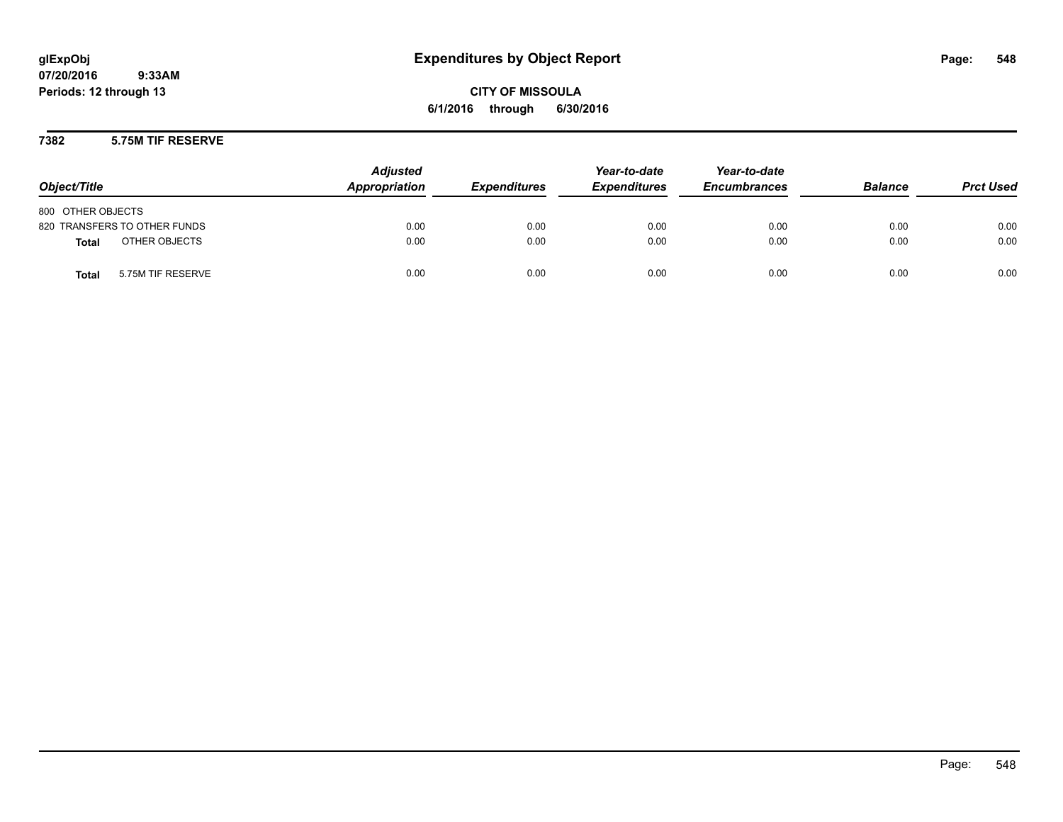**CITY OF MISSOULA 6/1/2016 through 6/30/2016**

### **7382 5.75M TIF RESERVE**

| Object/Title                      | <b>Adjusted</b><br>Appropriation | <b>Expenditures</b> | Year-to-date<br><b>Expenditures</b> | Year-to-date<br><b>Encumbrances</b> | <b>Balance</b> | <b>Prct Used</b> |
|-----------------------------------|----------------------------------|---------------------|-------------------------------------|-------------------------------------|----------------|------------------|
| 800 OTHER OBJECTS                 |                                  |                     |                                     |                                     |                |                  |
| 820 TRANSFERS TO OTHER FUNDS      | 0.00                             | 0.00                | 0.00                                | 0.00                                | 0.00           | 0.00             |
| OTHER OBJECTS<br><b>Total</b>     | 0.00                             | 0.00                | 0.00                                | 0.00                                | 0.00           | 0.00             |
| 5.75M TIF RESERVE<br><b>Total</b> | 0.00                             | 0.00                | 0.00                                | 0.00                                | 0.00           | 0.00             |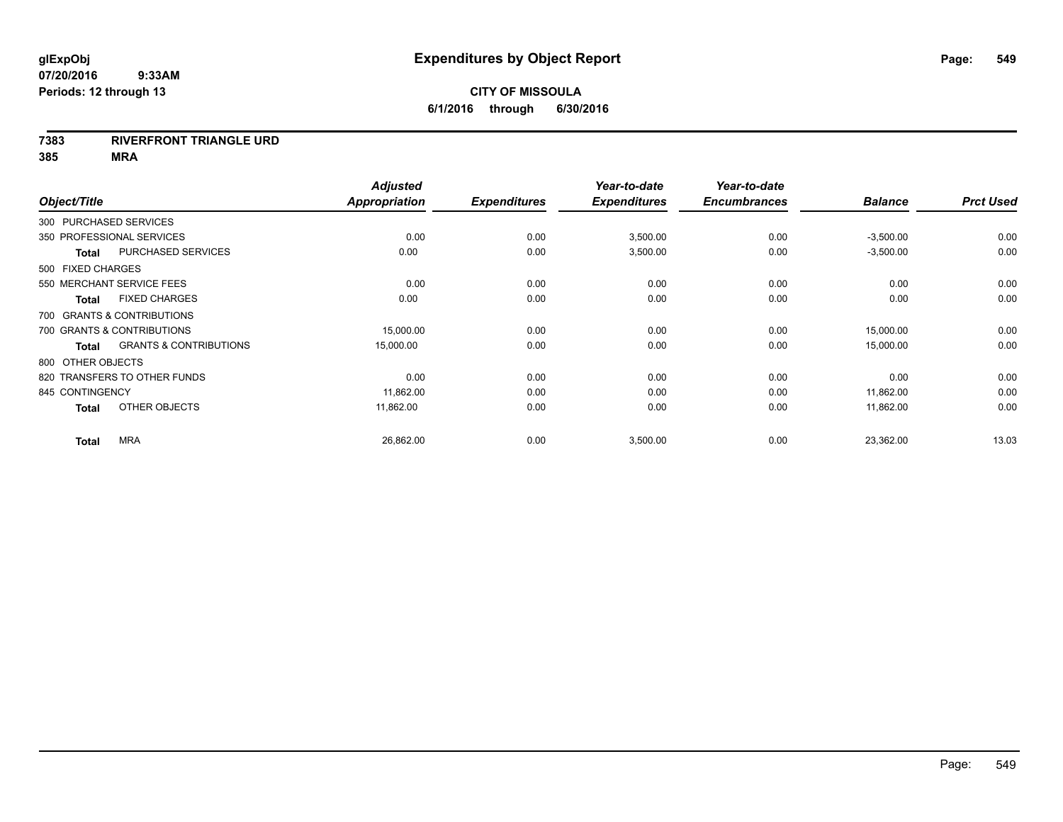### **7383 RIVERFRONT TRIANGLE URD**

| Object/Title                 |                                   | <b>Adjusted</b><br><b>Appropriation</b> | <b>Expenditures</b> | Year-to-date<br><b>Expenditures</b> | Year-to-date<br><b>Encumbrances</b> | <b>Balance</b> | <b>Prct Used</b> |
|------------------------------|-----------------------------------|-----------------------------------------|---------------------|-------------------------------------|-------------------------------------|----------------|------------------|
| 300 PURCHASED SERVICES       |                                   |                                         |                     |                                     |                                     |                |                  |
| 350 PROFESSIONAL SERVICES    |                                   | 0.00                                    | 0.00                | 3,500.00                            | 0.00                                | $-3,500.00$    | 0.00             |
| <b>Total</b>                 | <b>PURCHASED SERVICES</b>         | 0.00                                    | 0.00                | 3,500.00                            | 0.00                                | $-3,500.00$    | 0.00             |
| 500 FIXED CHARGES            |                                   |                                         |                     |                                     |                                     |                |                  |
| 550 MERCHANT SERVICE FEES    |                                   | 0.00                                    | 0.00                | 0.00                                | 0.00                                | 0.00           | 0.00             |
| <b>Total</b>                 | <b>FIXED CHARGES</b>              | 0.00                                    | 0.00                | 0.00                                | 0.00                                | 0.00           | 0.00             |
| 700 GRANTS & CONTRIBUTIONS   |                                   |                                         |                     |                                     |                                     |                |                  |
| 700 GRANTS & CONTRIBUTIONS   |                                   | 15,000.00                               | 0.00                | 0.00                                | 0.00                                | 15,000.00      | 0.00             |
| <b>Total</b>                 | <b>GRANTS &amp; CONTRIBUTIONS</b> | 15,000.00                               | 0.00                | 0.00                                | 0.00                                | 15,000.00      | 0.00             |
| 800 OTHER OBJECTS            |                                   |                                         |                     |                                     |                                     |                |                  |
| 820 TRANSFERS TO OTHER FUNDS |                                   | 0.00                                    | 0.00                | 0.00                                | 0.00                                | 0.00           | 0.00             |
| 845 CONTINGENCY              |                                   | 11,862.00                               | 0.00                | 0.00                                | 0.00                                | 11,862.00      | 0.00             |
| <b>Total</b>                 | OTHER OBJECTS                     | 11,862.00                               | 0.00                | 0.00                                | 0.00                                | 11,862.00      | 0.00             |
| <b>Total</b>                 | <b>MRA</b>                        | 26,862.00                               | 0.00                | 3,500.00                            | 0.00                                | 23,362.00      | 13.03            |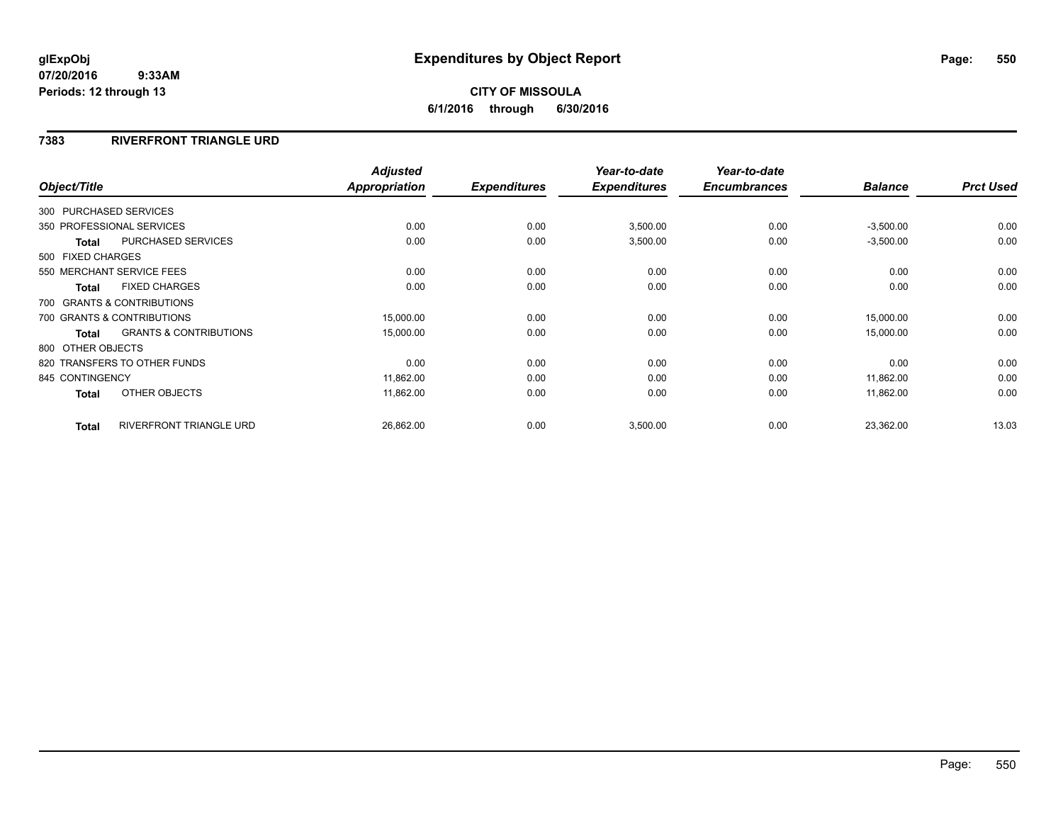# **CITY OF MISSOULA 6/1/2016 through 6/30/2016**

### **7383 RIVERFRONT TRIANGLE URD**

| Object/Title           |                                   | <b>Adjusted</b><br><b>Appropriation</b> | <b>Expenditures</b> | Year-to-date<br><b>Expenditures</b> | Year-to-date<br><b>Encumbrances</b> | <b>Balance</b> | <b>Prct Used</b> |
|------------------------|-----------------------------------|-----------------------------------------|---------------------|-------------------------------------|-------------------------------------|----------------|------------------|
|                        |                                   |                                         |                     |                                     |                                     |                |                  |
| 300 PURCHASED SERVICES |                                   |                                         |                     |                                     |                                     |                |                  |
|                        | 350 PROFESSIONAL SERVICES         | 0.00                                    | 0.00                | 3,500.00                            | 0.00                                | $-3,500.00$    | 0.00             |
| <b>Total</b>           | <b>PURCHASED SERVICES</b>         | 0.00                                    | 0.00                | 3,500.00                            | 0.00                                | $-3,500.00$    | 0.00             |
| 500 FIXED CHARGES      |                                   |                                         |                     |                                     |                                     |                |                  |
|                        | 550 MERCHANT SERVICE FEES         | 0.00                                    | 0.00                | 0.00                                | 0.00                                | 0.00           | 0.00             |
| <b>Total</b>           | <b>FIXED CHARGES</b>              | 0.00                                    | 0.00                | 0.00                                | 0.00                                | 0.00           | 0.00             |
|                        | 700 GRANTS & CONTRIBUTIONS        |                                         |                     |                                     |                                     |                |                  |
|                        | 700 GRANTS & CONTRIBUTIONS        | 15,000.00                               | 0.00                | 0.00                                | 0.00                                | 15,000.00      | 0.00             |
| <b>Total</b>           | <b>GRANTS &amp; CONTRIBUTIONS</b> | 15,000.00                               | 0.00                | 0.00                                | 0.00                                | 15,000.00      | 0.00             |
| 800 OTHER OBJECTS      |                                   |                                         |                     |                                     |                                     |                |                  |
|                        | 820 TRANSFERS TO OTHER FUNDS      | 0.00                                    | 0.00                | 0.00                                | 0.00                                | 0.00           | 0.00             |
| 845 CONTINGENCY        |                                   | 11,862.00                               | 0.00                | 0.00                                | 0.00                                | 11,862.00      | 0.00             |
| <b>Total</b>           | OTHER OBJECTS                     | 11,862.00                               | 0.00                | 0.00                                | 0.00                                | 11,862.00      | 0.00             |
| <b>Total</b>           | <b>RIVERFRONT TRIANGLE URD</b>    | 26,862.00                               | 0.00                | 3,500.00                            | 0.00                                | 23,362.00      | 13.03            |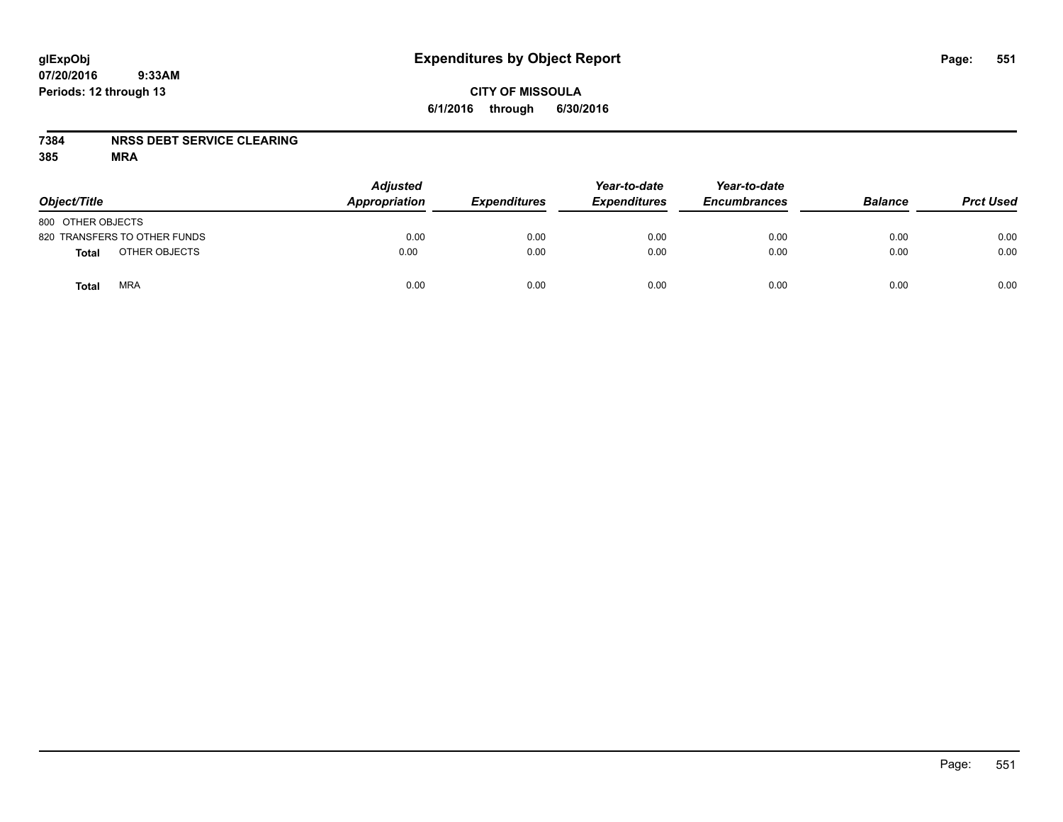# **CITY OF MISSOULA 6/1/2016 through 6/30/2016**

### **7384 NRSS DEBT SERVICE CLEARING**

| Object/Title                 | <b>Adjusted</b><br>Appropriation | <b>Expenditures</b> | Year-to-date<br><b>Expenditures</b> | Year-to-date<br><b>Encumbrances</b> | <b>Balance</b> | <b>Prct Used</b> |
|------------------------------|----------------------------------|---------------------|-------------------------------------|-------------------------------------|----------------|------------------|
| 800 OTHER OBJECTS            |                                  |                     |                                     |                                     |                |                  |
| 820 TRANSFERS TO OTHER FUNDS | 0.00                             | 0.00                | 0.00                                | 0.00                                | 0.00           | 0.00             |
| OTHER OBJECTS<br>Total       | 0.00                             | 0.00                | 0.00                                | 0.00                                | 0.00           | 0.00             |
| <b>MRA</b><br><b>Total</b>   | 0.00                             | 0.00                | 0.00                                | 0.00                                | 0.00           | 0.00             |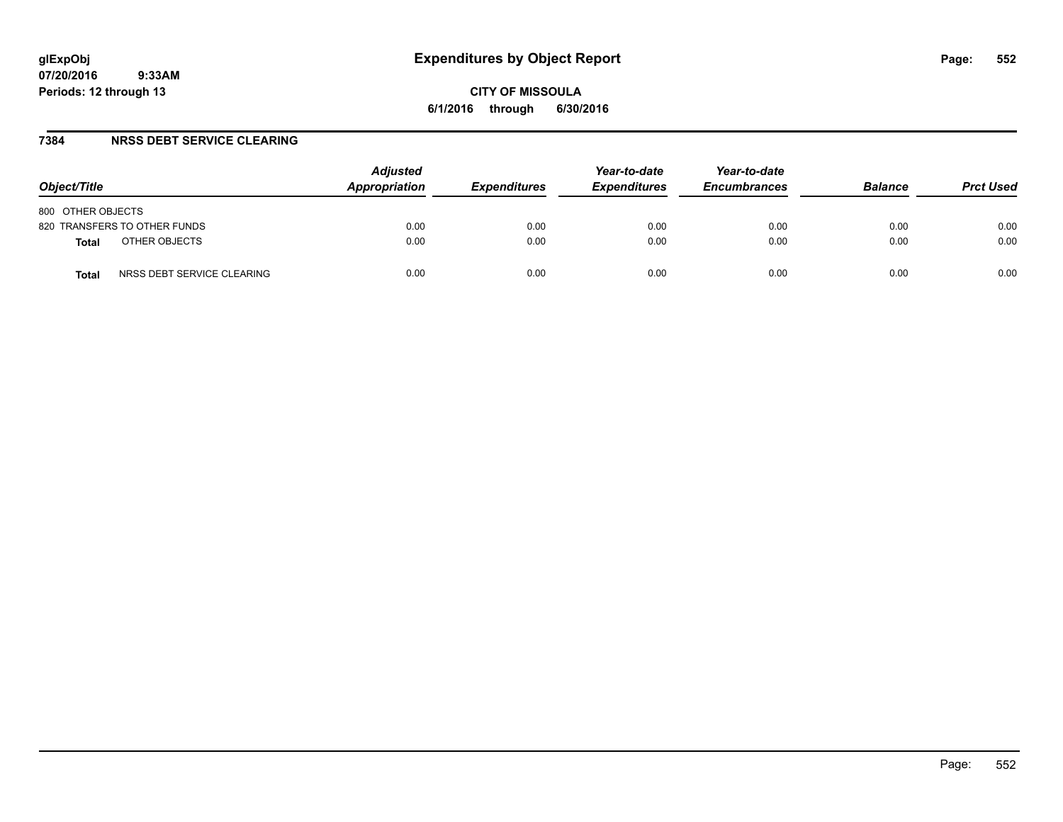### **7384 NRSS DEBT SERVICE CLEARING**

| Object/Title                               | <b>Adjusted</b><br>Appropriation | <b>Expenditures</b> | Year-to-date<br><b>Expenditures</b> | Year-to-date<br><b>Encumbrances</b> | <b>Balance</b> | <b>Prct Used</b> |
|--------------------------------------------|----------------------------------|---------------------|-------------------------------------|-------------------------------------|----------------|------------------|
| 800 OTHER OBJECTS                          |                                  |                     |                                     |                                     |                |                  |
| 820 TRANSFERS TO OTHER FUNDS               | 0.00                             | 0.00                | 0.00                                | 0.00                                | 0.00           | 0.00             |
| OTHER OBJECTS<br><b>Total</b>              | 0.00                             | 0.00                | 0.00                                | 0.00                                | 0.00           | 0.00             |
| NRSS DEBT SERVICE CLEARING<br><b>Total</b> | 0.00                             | 0.00                | 0.00                                | 0.00                                | 0.00           | 0.00             |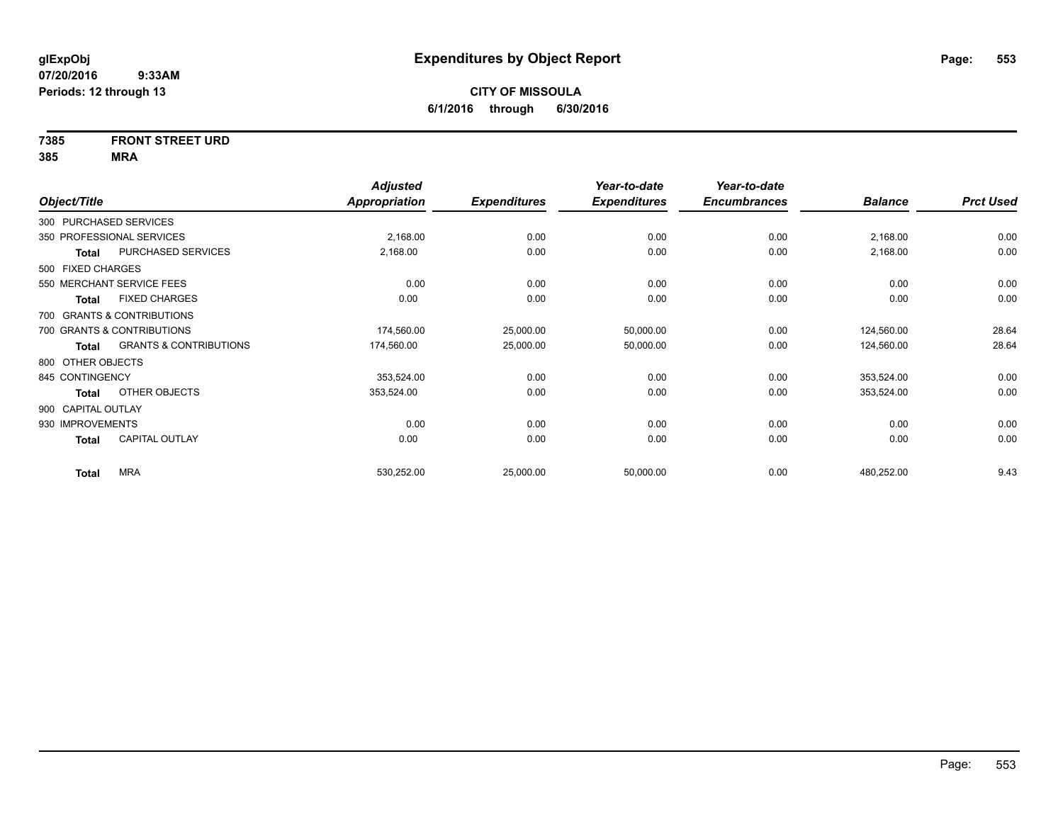# **7385 FRONT STREET URD**

|                    |                                   | <b>Adjusted</b> |                     | Year-to-date        | Year-to-date        |                |                  |
|--------------------|-----------------------------------|-----------------|---------------------|---------------------|---------------------|----------------|------------------|
| Object/Title       |                                   | Appropriation   | <b>Expenditures</b> | <b>Expenditures</b> | <b>Encumbrances</b> | <b>Balance</b> | <b>Prct Used</b> |
|                    | 300 PURCHASED SERVICES            |                 |                     |                     |                     |                |                  |
|                    | 350 PROFESSIONAL SERVICES         | 2,168.00        | 0.00                | 0.00                | 0.00                | 2,168.00       | 0.00             |
| <b>Total</b>       | PURCHASED SERVICES                | 2,168.00        | 0.00                | 0.00                | 0.00                | 2,168.00       | 0.00             |
| 500 FIXED CHARGES  |                                   |                 |                     |                     |                     |                |                  |
|                    | 550 MERCHANT SERVICE FEES         | 0.00            | 0.00                | 0.00                | 0.00                | 0.00           | 0.00             |
| <b>Total</b>       | <b>FIXED CHARGES</b>              | 0.00            | 0.00                | 0.00                | 0.00                | 0.00           | 0.00             |
|                    | 700 GRANTS & CONTRIBUTIONS        |                 |                     |                     |                     |                |                  |
|                    | 700 GRANTS & CONTRIBUTIONS        | 174,560.00      | 25,000.00           | 50,000.00           | 0.00                | 124,560.00     | 28.64            |
| <b>Total</b>       | <b>GRANTS &amp; CONTRIBUTIONS</b> | 174,560.00      | 25,000.00           | 50,000.00           | 0.00                | 124,560.00     | 28.64            |
| 800 OTHER OBJECTS  |                                   |                 |                     |                     |                     |                |                  |
| 845 CONTINGENCY    |                                   | 353,524.00      | 0.00                | 0.00                | 0.00                | 353,524.00     | 0.00             |
| <b>Total</b>       | OTHER OBJECTS                     | 353,524.00      | 0.00                | 0.00                | 0.00                | 353,524.00     | 0.00             |
| 900 CAPITAL OUTLAY |                                   |                 |                     |                     |                     |                |                  |
| 930 IMPROVEMENTS   |                                   | 0.00            | 0.00                | 0.00                | 0.00                | 0.00           | 0.00             |
| <b>Total</b>       | <b>CAPITAL OUTLAY</b>             | 0.00            | 0.00                | 0.00                | 0.00                | 0.00           | 0.00             |
| <b>Total</b>       | <b>MRA</b>                        | 530,252.00      | 25,000.00           | 50,000.00           | 0.00                | 480,252.00     | 9.43             |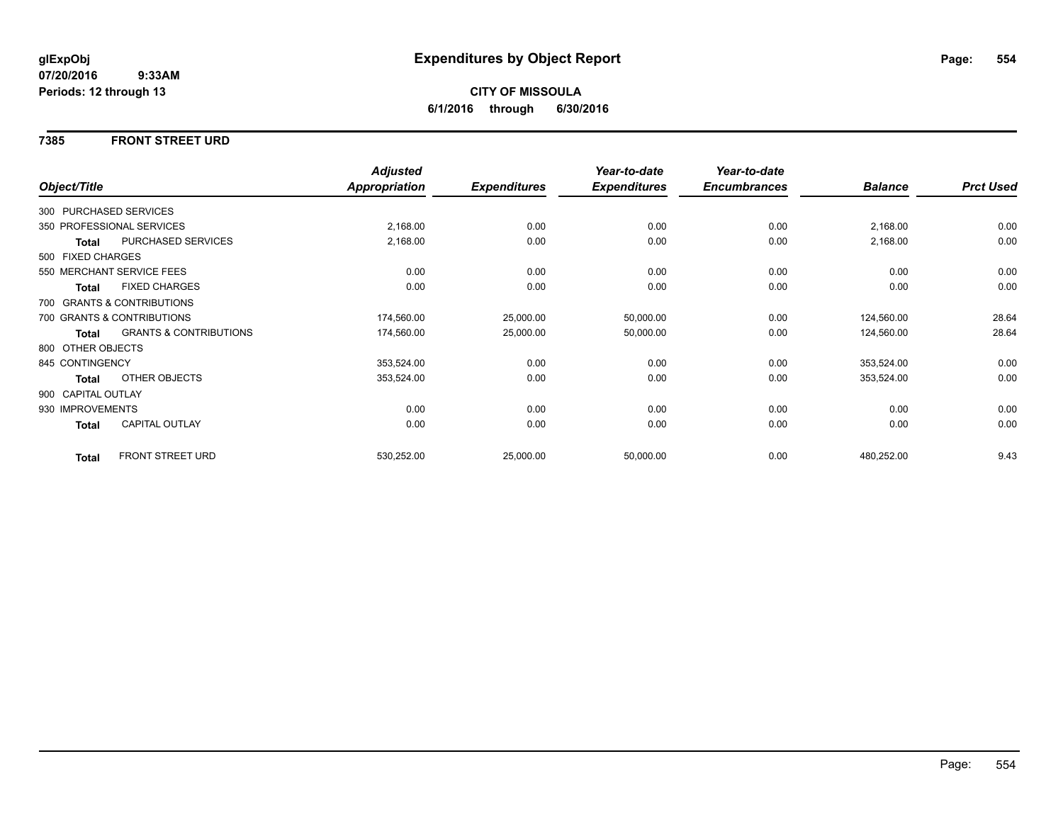### **7385 FRONT STREET URD**

|                    |                                   | <b>Adjusted</b>      |                     | Year-to-date        | Year-to-date        |                |                  |
|--------------------|-----------------------------------|----------------------|---------------------|---------------------|---------------------|----------------|------------------|
| Object/Title       |                                   | <b>Appropriation</b> | <b>Expenditures</b> | <b>Expenditures</b> | <b>Encumbrances</b> | <b>Balance</b> | <b>Prct Used</b> |
|                    | 300 PURCHASED SERVICES            |                      |                     |                     |                     |                |                  |
|                    | 350 PROFESSIONAL SERVICES         | 2,168.00             | 0.00                | 0.00                | 0.00                | 2,168.00       | 0.00             |
| Total              | PURCHASED SERVICES                | 2,168.00             | 0.00                | 0.00                | 0.00                | 2,168.00       | 0.00             |
| 500 FIXED CHARGES  |                                   |                      |                     |                     |                     |                |                  |
|                    | 550 MERCHANT SERVICE FEES         | 0.00                 | 0.00                | 0.00                | 0.00                | 0.00           | 0.00             |
| <b>Total</b>       | <b>FIXED CHARGES</b>              | 0.00                 | 0.00                | 0.00                | 0.00                | 0.00           | 0.00             |
|                    | 700 GRANTS & CONTRIBUTIONS        |                      |                     |                     |                     |                |                  |
|                    | 700 GRANTS & CONTRIBUTIONS        | 174,560.00           | 25,000.00           | 50,000.00           | 0.00                | 124,560.00     | 28.64            |
| <b>Total</b>       | <b>GRANTS &amp; CONTRIBUTIONS</b> | 174,560.00           | 25,000.00           | 50,000.00           | 0.00                | 124,560.00     | 28.64            |
| 800 OTHER OBJECTS  |                                   |                      |                     |                     |                     |                |                  |
| 845 CONTINGENCY    |                                   | 353,524.00           | 0.00                | 0.00                | 0.00                | 353,524.00     | 0.00             |
| Total              | OTHER OBJECTS                     | 353,524.00           | 0.00                | 0.00                | 0.00                | 353,524.00     | 0.00             |
| 900 CAPITAL OUTLAY |                                   |                      |                     |                     |                     |                |                  |
| 930 IMPROVEMENTS   |                                   | 0.00                 | 0.00                | 0.00                | 0.00                | 0.00           | 0.00             |
| Total              | <b>CAPITAL OUTLAY</b>             | 0.00                 | 0.00                | 0.00                | 0.00                | 0.00           | 0.00             |
| <b>Total</b>       | FRONT STREET URD                  | 530,252.00           | 25,000.00           | 50,000.00           | 0.00                | 480,252.00     | 9.43             |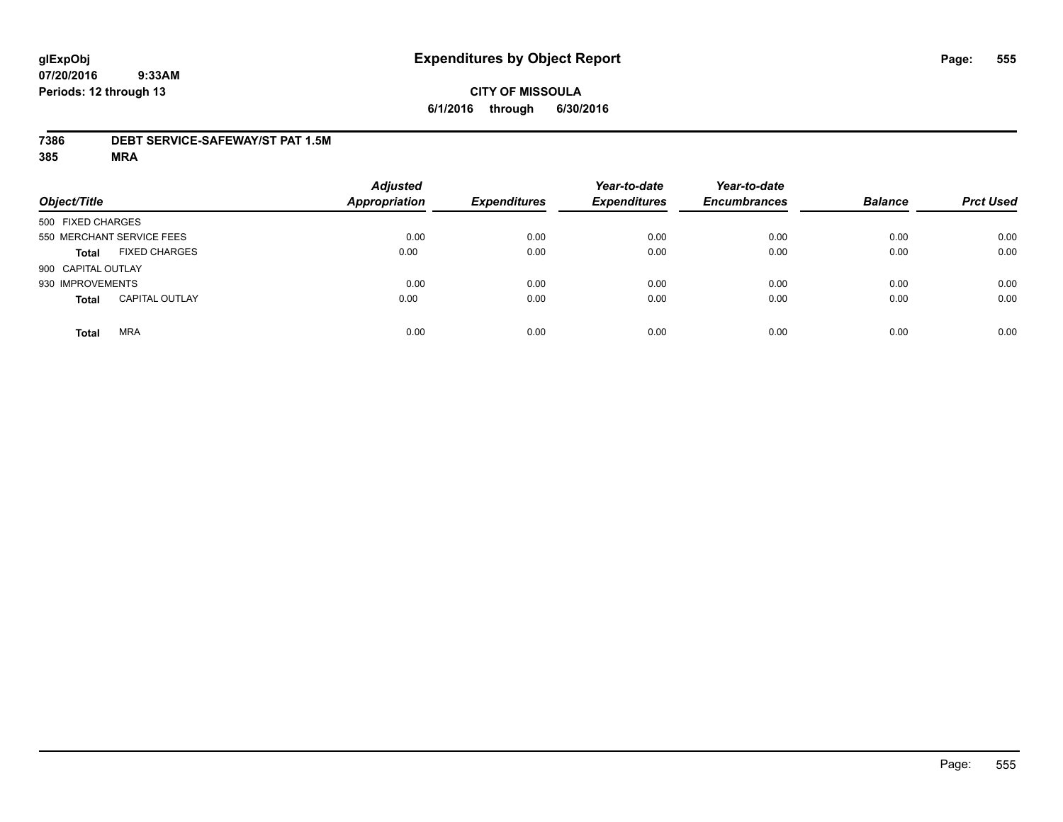### **7386 DEBT SERVICE-SAFEWAY/ST PAT 1.5M**

| Object/Title       |                           | <b>Adjusted</b><br><b>Appropriation</b> | <b>Expenditures</b> | Year-to-date<br><b>Expenditures</b> | Year-to-date<br><b>Encumbrances</b> | <b>Balance</b> | <b>Prct Used</b> |
|--------------------|---------------------------|-----------------------------------------|---------------------|-------------------------------------|-------------------------------------|----------------|------------------|
| 500 FIXED CHARGES  |                           |                                         |                     |                                     |                                     |                |                  |
|                    | 550 MERCHANT SERVICE FEES | 0.00                                    | 0.00                | 0.00                                | 0.00                                | 0.00           | 0.00             |
| <b>Total</b>       | <b>FIXED CHARGES</b>      | 0.00                                    | 0.00                | 0.00                                | 0.00                                | 0.00           | 0.00             |
| 900 CAPITAL OUTLAY |                           |                                         |                     |                                     |                                     |                |                  |
| 930 IMPROVEMENTS   |                           | 0.00                                    | 0.00                | 0.00                                | 0.00                                | 0.00           | 0.00             |
| <b>Total</b>       | <b>CAPITAL OUTLAY</b>     | 0.00                                    | 0.00                | 0.00                                | 0.00                                | 0.00           | 0.00             |
| <b>Total</b>       | <b>MRA</b>                | 0.00                                    | 0.00                | 0.00                                | 0.00                                | 0.00           | 0.00             |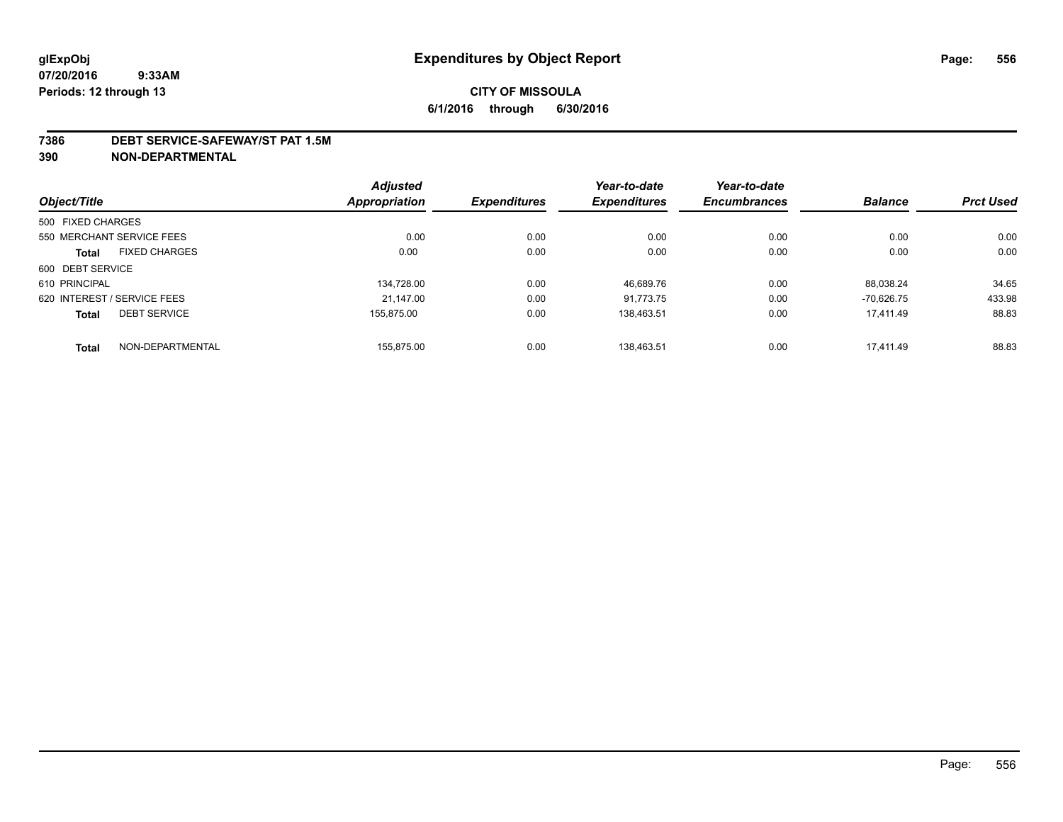#### **7386 DEBT SERVICE-SAFEWAY/ST PAT 1.5M**

**390 NON-DEPARTMENTAL**

|                             |                           | <b>Adjusted</b>      |                     | Year-to-date        | Year-to-date        |                |                  |
|-----------------------------|---------------------------|----------------------|---------------------|---------------------|---------------------|----------------|------------------|
| Object/Title                |                           | <b>Appropriation</b> | <b>Expenditures</b> | <b>Expenditures</b> | <b>Encumbrances</b> | <b>Balance</b> | <b>Prct Used</b> |
| 500 FIXED CHARGES           |                           |                      |                     |                     |                     |                |                  |
|                             | 550 MERCHANT SERVICE FEES | 0.00                 | 0.00                | 0.00                | 0.00                | 0.00           | 0.00             |
| <b>Total</b>                | <b>FIXED CHARGES</b>      | 0.00                 | 0.00                | 0.00                | 0.00                | 0.00           | 0.00             |
| 600 DEBT SERVICE            |                           |                      |                     |                     |                     |                |                  |
| 610 PRINCIPAL               |                           | 134.728.00           | 0.00                | 46.689.76           | 0.00                | 88.038.24      | 34.65            |
| 620 INTEREST / SERVICE FEES |                           | 21.147.00            | 0.00                | 91.773.75           | 0.00                | $-70.626.75$   | 433.98           |
| <b>Total</b>                | <b>DEBT SERVICE</b>       | 155.875.00           | 0.00                | 138.463.51          | 0.00                | 17.411.49      | 88.83            |
| <b>Total</b>                | NON-DEPARTMENTAL          | 155.875.00           | 0.00                | 138.463.51          | 0.00                | 17.411.49      | 88.83            |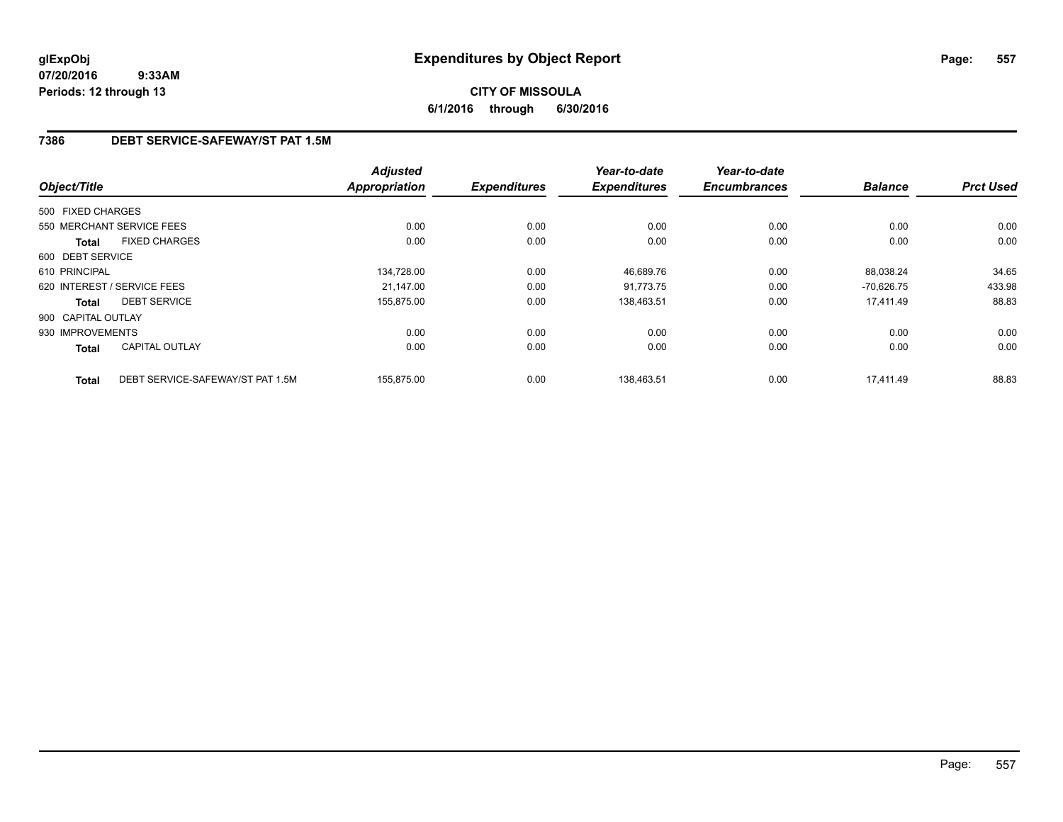# **CITY OF MISSOULA 6/1/2016 through 6/30/2016**

# **7386 DEBT SERVICE-SAFEWAY/ST PAT 1.5M**

|                    |                                  | <b>Adjusted</b> |                     | Year-to-date        | Year-to-date        |                |                  |
|--------------------|----------------------------------|-----------------|---------------------|---------------------|---------------------|----------------|------------------|
| Object/Title       |                                  | Appropriation   | <b>Expenditures</b> | <b>Expenditures</b> | <b>Encumbrances</b> | <b>Balance</b> | <b>Prct Used</b> |
| 500 FIXED CHARGES  |                                  |                 |                     |                     |                     |                |                  |
|                    | 550 MERCHANT SERVICE FEES        | 0.00            | 0.00                | 0.00                | 0.00                | 0.00           | 0.00             |
| <b>Total</b>       | <b>FIXED CHARGES</b>             | 0.00            | 0.00                | 0.00                | 0.00                | 0.00           | 0.00             |
| 600 DEBT SERVICE   |                                  |                 |                     |                     |                     |                |                  |
| 610 PRINCIPAL      |                                  | 134,728.00      | 0.00                | 46,689.76           | 0.00                | 88.038.24      | 34.65            |
|                    | 620 INTEREST / SERVICE FEES      | 21.147.00       | 0.00                | 91.773.75           | 0.00                | $-70.626.75$   | 433.98           |
| <b>Total</b>       | <b>DEBT SERVICE</b>              | 155,875.00      | 0.00                | 138.463.51          | 0.00                | 17,411.49      | 88.83            |
| 900 CAPITAL OUTLAY |                                  |                 |                     |                     |                     |                |                  |
| 930 IMPROVEMENTS   |                                  | 0.00            | 0.00                | 0.00                | 0.00                | 0.00           | 0.00             |
| Total              | <b>CAPITAL OUTLAY</b>            | 0.00            | 0.00                | 0.00                | 0.00                | 0.00           | 0.00             |
| <b>Total</b>       | DEBT SERVICE-SAFEWAY/ST PAT 1.5M | 155,875.00      | 0.00                | 138,463.51          | 0.00                | 17,411.49      | 88.83            |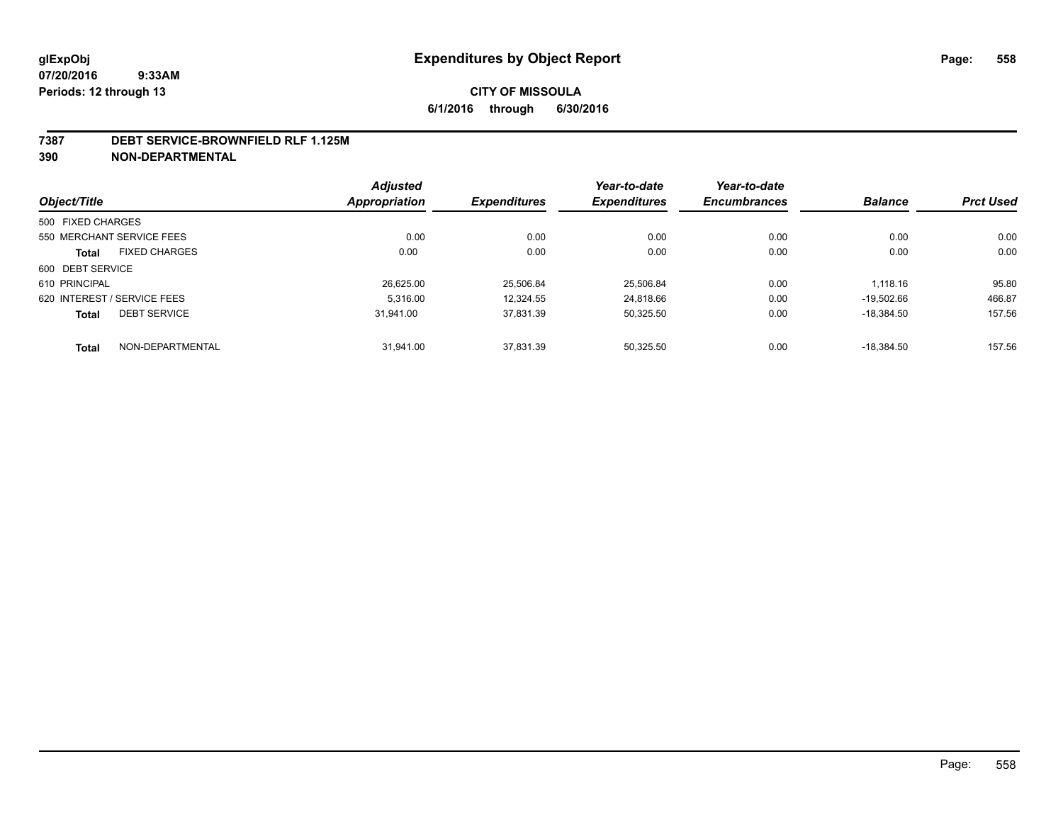#### **7387 DEBT SERVICE-BROWNFIELD RLF 1.125M**

**390 NON-DEPARTMENTAL**

|                   |                             | <b>Adjusted</b> |                     | Year-to-date        | Year-to-date        |                |                  |
|-------------------|-----------------------------|-----------------|---------------------|---------------------|---------------------|----------------|------------------|
| Object/Title      |                             | Appropriation   | <b>Expenditures</b> | <b>Expenditures</b> | <b>Encumbrances</b> | <b>Balance</b> | <b>Prct Used</b> |
| 500 FIXED CHARGES |                             |                 |                     |                     |                     |                |                  |
|                   | 550 MERCHANT SERVICE FEES   | 0.00            | 0.00                | 0.00                | 0.00                | 0.00           | 0.00             |
| <b>Total</b>      | <b>FIXED CHARGES</b>        | 0.00            | 0.00                | 0.00                | 0.00                | 0.00           | 0.00             |
| 600 DEBT SERVICE  |                             |                 |                     |                     |                     |                |                  |
| 610 PRINCIPAL     |                             | 26.625.00       | 25.506.84           | 25,506.84           | 0.00                | 1.118.16       | 95.80            |
|                   | 620 INTEREST / SERVICE FEES | 5.316.00        | 12,324.55           | 24,818.66           | 0.00                | $-19.502.66$   | 466.87           |
| <b>Total</b>      | <b>DEBT SERVICE</b>         | 31.941.00       | 37.831.39           | 50.325.50           | 0.00                | $-18.384.50$   | 157.56           |
| <b>Total</b>      | NON-DEPARTMENTAL            | 31.941.00       | 37.831.39           | 50.325.50           | 0.00                | $-18.384.50$   | 157.56           |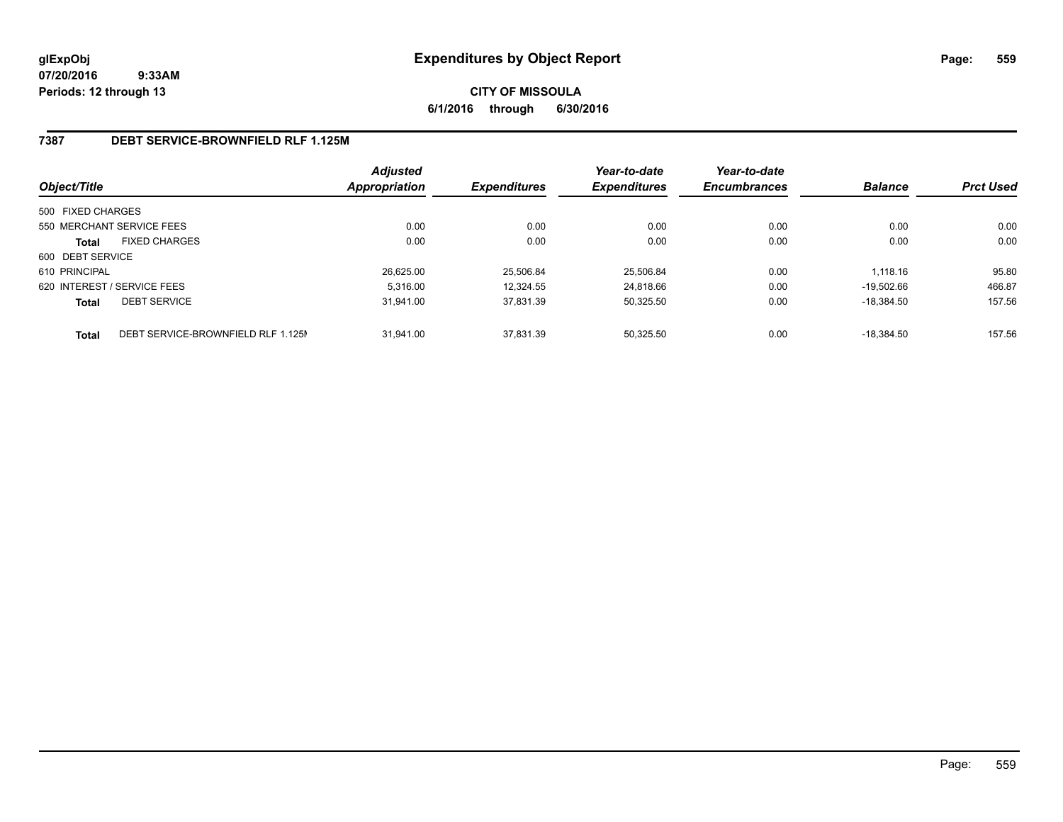**CITY OF MISSOULA 6/1/2016 through 6/30/2016**

## **7387 DEBT SERVICE-BROWNFIELD RLF 1.125M**

| Object/Title      |                                    | <b>Adjusted</b><br>Appropriation | <b>Expenditures</b> | Year-to-date<br><b>Expenditures</b> | Year-to-date<br><b>Encumbrances</b> | <b>Balance</b> | <b>Prct Used</b> |
|-------------------|------------------------------------|----------------------------------|---------------------|-------------------------------------|-------------------------------------|----------------|------------------|
| 500 FIXED CHARGES |                                    |                                  |                     |                                     |                                     |                |                  |
|                   | 550 MERCHANT SERVICE FEES          | 0.00                             | 0.00                | 0.00                                | 0.00                                | 0.00           | 0.00             |
| <b>Total</b>      | <b>FIXED CHARGES</b>               | 0.00                             | 0.00                | 0.00                                | 0.00                                | 0.00           | 0.00             |
| 600 DEBT SERVICE  |                                    |                                  |                     |                                     |                                     |                |                  |
| 610 PRINCIPAL     |                                    | 26.625.00                        | 25.506.84           | 25.506.84                           | 0.00                                | 1.118.16       | 95.80            |
|                   | 620 INTEREST / SERVICE FEES        | 5.316.00                         | 12.324.55           | 24.818.66                           | 0.00                                | $-19.502.66$   | 466.87           |
| <b>Total</b>      | <b>DEBT SERVICE</b>                | 31.941.00                        | 37.831.39           | 50,325.50                           | 0.00                                | $-18.384.50$   | 157.56           |
| <b>Total</b>      | DEBT SERVICE-BROWNFIELD RLF 1.125M | 31.941.00                        | 37.831.39           | 50.325.50                           | 0.00                                | $-18.384.50$   | 157.56           |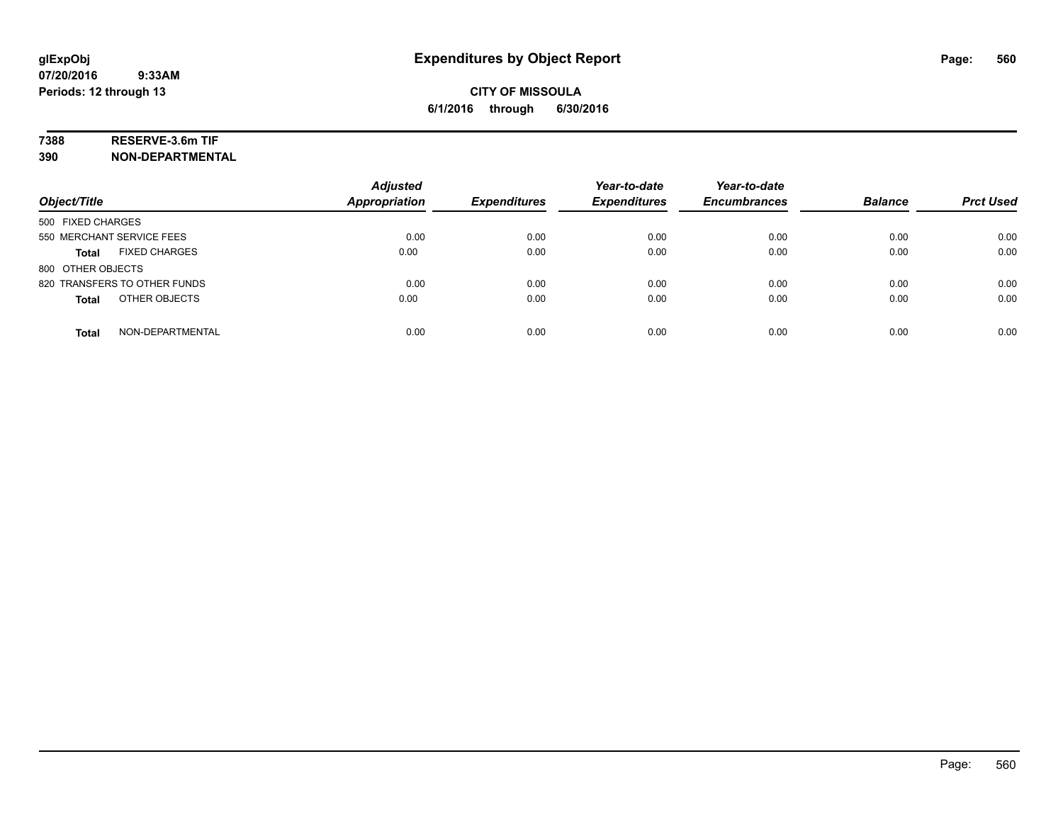## **7388 RESERVE-3.6m TIF**

**390 NON-DEPARTMENTAL**

| Object/Title                         | <b>Adjusted</b><br>Appropriation | <b>Expenditures</b> | Year-to-date<br><b>Expenditures</b> | Year-to-date<br><b>Encumbrances</b> | <b>Balance</b> | <b>Prct Used</b> |
|--------------------------------------|----------------------------------|---------------------|-------------------------------------|-------------------------------------|----------------|------------------|
| 500 FIXED CHARGES                    |                                  |                     |                                     |                                     |                |                  |
| 550 MERCHANT SERVICE FEES            | 0.00                             | 0.00                | 0.00                                | 0.00                                | 0.00           | 0.00             |
| <b>FIXED CHARGES</b><br><b>Total</b> | 0.00                             | 0.00                | 0.00                                | 0.00                                | 0.00           | 0.00             |
| 800 OTHER OBJECTS                    |                                  |                     |                                     |                                     |                |                  |
| 820 TRANSFERS TO OTHER FUNDS         | 0.00                             | 0.00                | 0.00                                | 0.00                                | 0.00           | 0.00             |
| OTHER OBJECTS<br><b>Total</b>        | 0.00                             | 0.00                | 0.00                                | 0.00                                | 0.00           | 0.00             |
| NON-DEPARTMENTAL<br><b>Total</b>     | 0.00                             | 0.00                | 0.00                                | 0.00                                | 0.00           | 0.00             |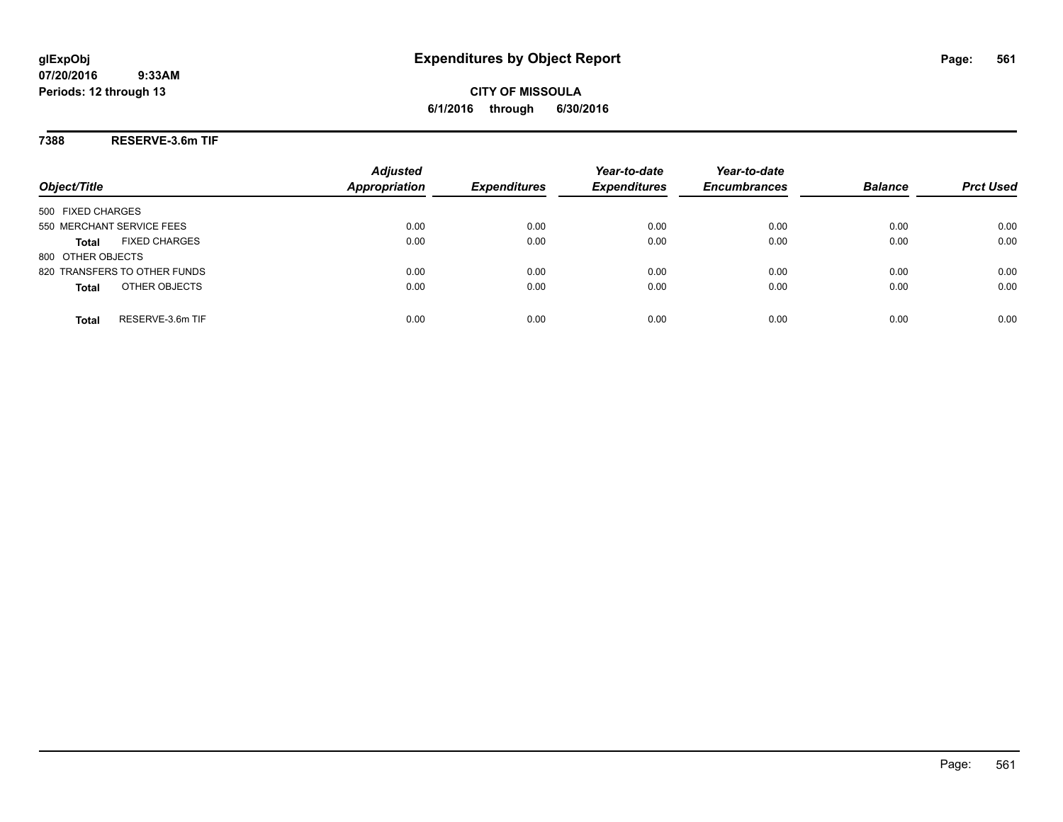**CITY OF MISSOULA 6/1/2016 through 6/30/2016**

**7388 RESERVE-3.6m TIF**

| Object/Title                         | <b>Adjusted</b><br><b>Appropriation</b> | <b>Expenditures</b> | Year-to-date<br><b>Expenditures</b> | Year-to-date<br><b>Encumbrances</b> | <b>Balance</b> | <b>Prct Used</b> |
|--------------------------------------|-----------------------------------------|---------------------|-------------------------------------|-------------------------------------|----------------|------------------|
| 500 FIXED CHARGES                    |                                         |                     |                                     |                                     |                |                  |
| 550 MERCHANT SERVICE FEES            | 0.00                                    | 0.00                | 0.00                                | 0.00                                | 0.00           | 0.00             |
| <b>FIXED CHARGES</b><br><b>Total</b> | 0.00                                    | 0.00                | 0.00                                | 0.00                                | 0.00           | 0.00             |
| 800 OTHER OBJECTS                    |                                         |                     |                                     |                                     |                |                  |
| 820 TRANSFERS TO OTHER FUNDS         | 0.00                                    | 0.00                | 0.00                                | 0.00                                | 0.00           | 0.00             |
| OTHER OBJECTS<br><b>Total</b>        | 0.00                                    | 0.00                | 0.00                                | 0.00                                | 0.00           | 0.00             |
| RESERVE-3.6m TIF<br>Total            | 0.00                                    | 0.00                | 0.00                                | 0.00                                | 0.00           | 0.00             |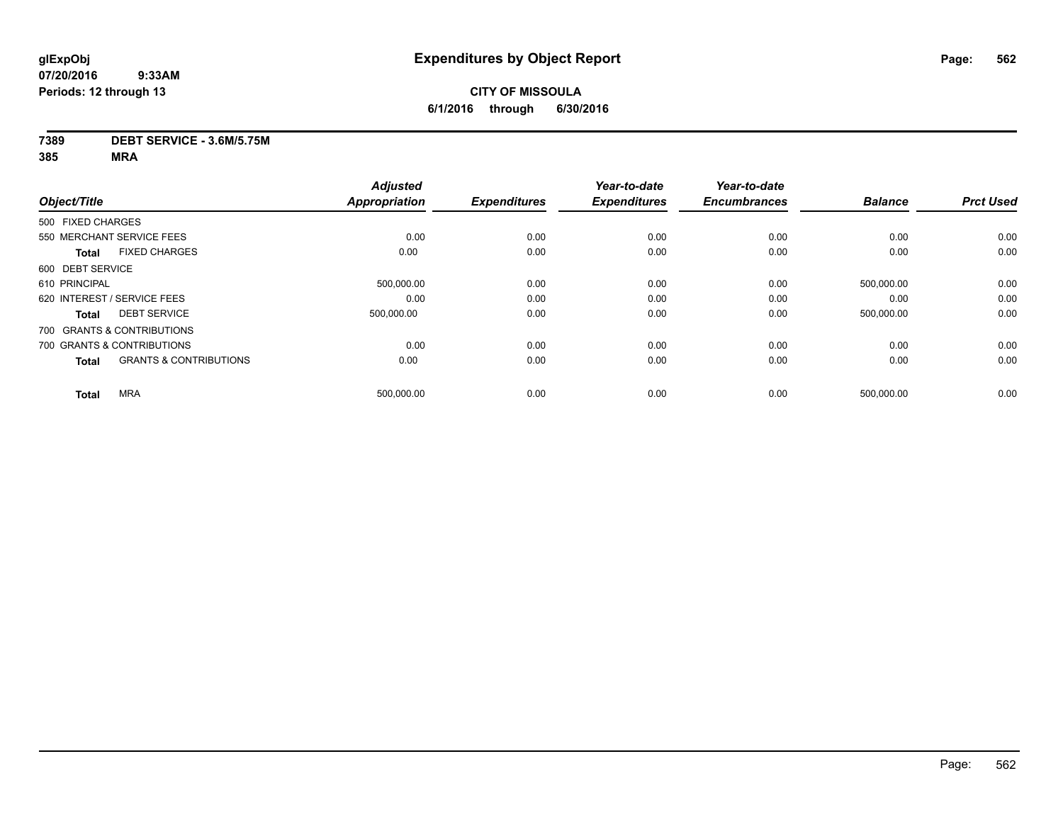# **CITY OF MISSOULA 6/1/2016 through 6/30/2016**

### **7389 DEBT SERVICE - 3.6M/5.75M**

|                   |                                   | <b>Adjusted</b>      |                     | Year-to-date        | Year-to-date        |                |                  |
|-------------------|-----------------------------------|----------------------|---------------------|---------------------|---------------------|----------------|------------------|
| Object/Title      |                                   | <b>Appropriation</b> | <b>Expenditures</b> | <b>Expenditures</b> | <b>Encumbrances</b> | <b>Balance</b> | <b>Prct Used</b> |
| 500 FIXED CHARGES |                                   |                      |                     |                     |                     |                |                  |
|                   | 550 MERCHANT SERVICE FEES         | 0.00                 | 0.00                | 0.00                | 0.00                | 0.00           | 0.00             |
| <b>Total</b>      | <b>FIXED CHARGES</b>              | 0.00                 | 0.00                | 0.00                | 0.00                | 0.00           | 0.00             |
| 600 DEBT SERVICE  |                                   |                      |                     |                     |                     |                |                  |
| 610 PRINCIPAL     |                                   | 500,000.00           | 0.00                | 0.00                | 0.00                | 500,000.00     | 0.00             |
|                   | 620 INTEREST / SERVICE FEES       | 0.00                 | 0.00                | 0.00                | 0.00                | 0.00           | 0.00             |
| <b>Total</b>      | <b>DEBT SERVICE</b>               | 500.000.00           | 0.00                | 0.00                | 0.00                | 500.000.00     | 0.00             |
|                   | 700 GRANTS & CONTRIBUTIONS        |                      |                     |                     |                     |                |                  |
|                   | 700 GRANTS & CONTRIBUTIONS        | 0.00                 | 0.00                | 0.00                | 0.00                | 0.00           | 0.00             |
| <b>Total</b>      | <b>GRANTS &amp; CONTRIBUTIONS</b> | 0.00                 | 0.00                | 0.00                | 0.00                | 0.00           | 0.00             |
| <b>Total</b>      | <b>MRA</b>                        | 500,000.00           | 0.00                | 0.00                | 0.00                | 500,000.00     | 0.00             |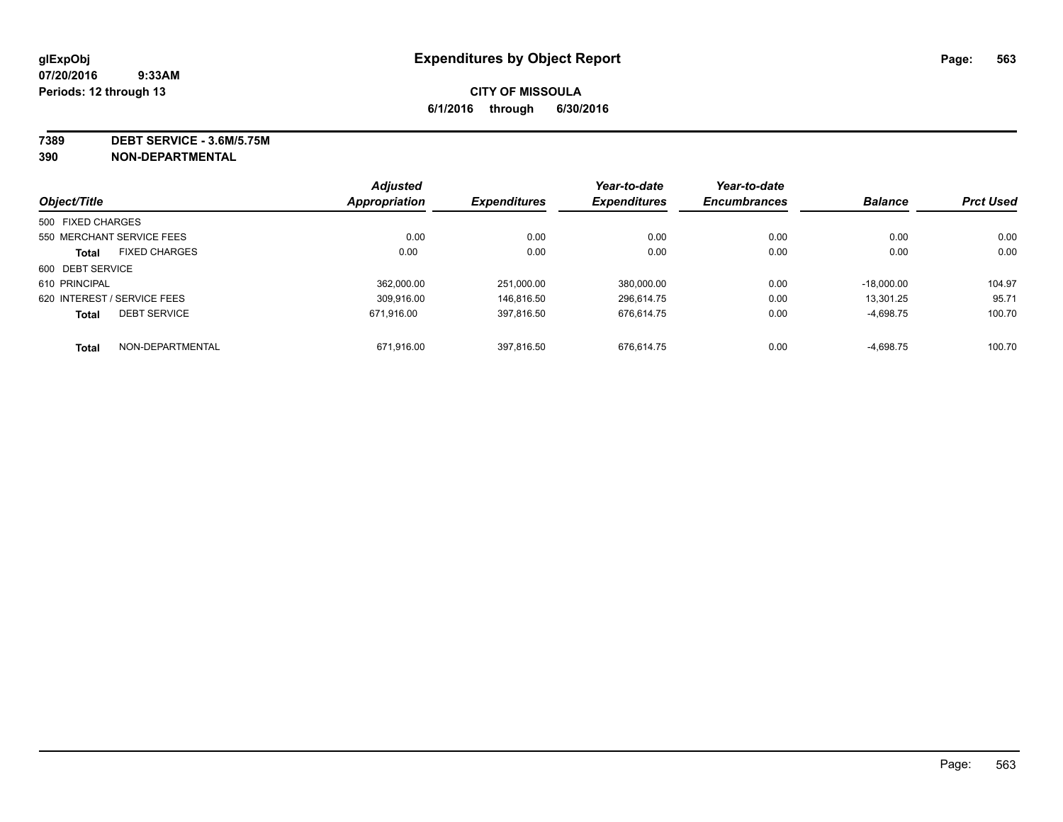**7389 DEBT SERVICE - 3.6M/5.75M**

**390 NON-DEPARTMENTAL**

|                             |                      | <b>Adjusted</b>      |                     | Year-to-date        | Year-to-date        |                |                  |
|-----------------------------|----------------------|----------------------|---------------------|---------------------|---------------------|----------------|------------------|
| Object/Title                |                      | <b>Appropriation</b> | <b>Expenditures</b> | <b>Expenditures</b> | <b>Encumbrances</b> | <b>Balance</b> | <b>Prct Used</b> |
| 500 FIXED CHARGES           |                      |                      |                     |                     |                     |                |                  |
| 550 MERCHANT SERVICE FEES   |                      | 0.00                 | 0.00                | 0.00                | 0.00                | 0.00           | 0.00             |
| <b>Total</b>                | <b>FIXED CHARGES</b> | 0.00                 | 0.00                | 0.00                | 0.00                | 0.00           | 0.00             |
| 600 DEBT SERVICE            |                      |                      |                     |                     |                     |                |                  |
| 610 PRINCIPAL               |                      | 362.000.00           | 251.000.00          | 380.000.00          | 0.00                | $-18.000.00$   | 104.97           |
| 620 INTEREST / SERVICE FEES |                      | 309.916.00           | 146.816.50          | 296.614.75          | 0.00                | 13.301.25      | 95.71            |
| <b>Total</b>                | <b>DEBT SERVICE</b>  | 671.916.00           | 397,816.50          | 676.614.75          | 0.00                | $-4,698.75$    | 100.70           |
| <b>Total</b>                | NON-DEPARTMENTAL     | 671,916.00           | 397.816.50          | 676.614.75          | 0.00                | $-4,698.75$    | 100.70           |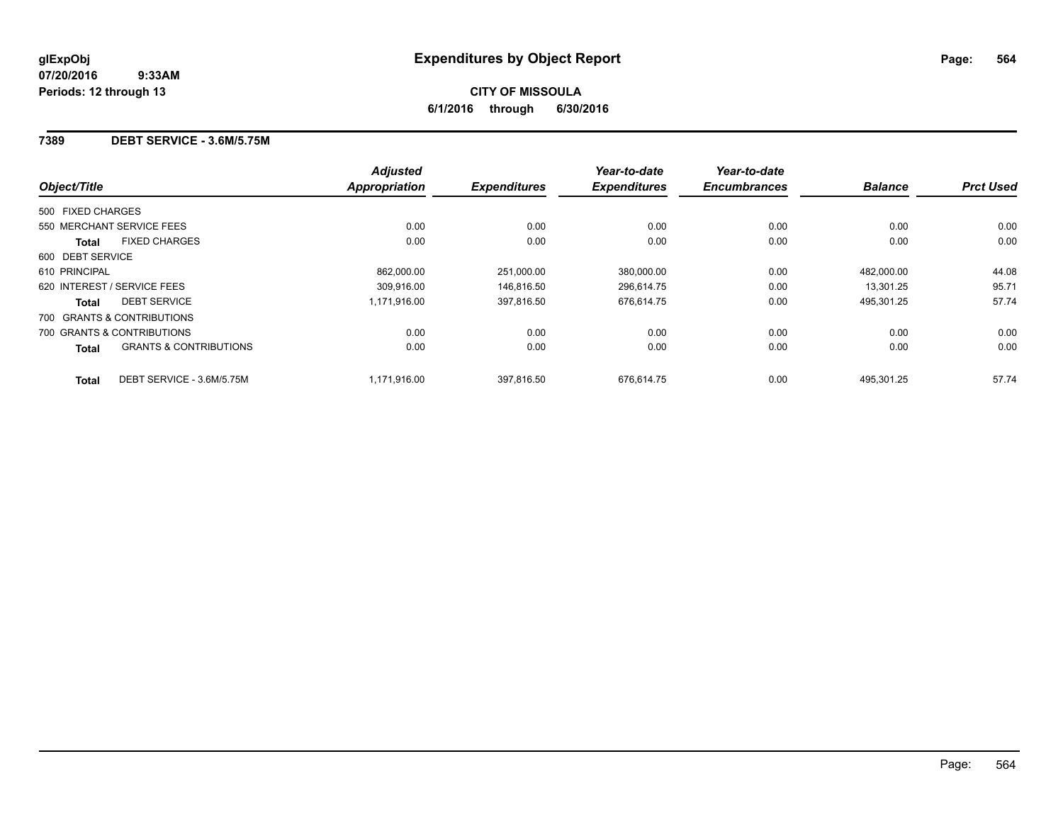### **7389 DEBT SERVICE - 3.6M/5.75M**

| Object/Title                                      | <b>Adjusted</b><br>Appropriation | <b>Expenditures</b> | Year-to-date<br><b>Expenditures</b> | Year-to-date<br><b>Encumbrances</b> | <b>Balance</b> | <b>Prct Used</b> |
|---------------------------------------------------|----------------------------------|---------------------|-------------------------------------|-------------------------------------|----------------|------------------|
| 500 FIXED CHARGES                                 |                                  |                     |                                     |                                     |                |                  |
| 550 MERCHANT SERVICE FEES                         | 0.00                             | 0.00                | 0.00                                | 0.00                                | 0.00           | 0.00             |
| <b>FIXED CHARGES</b><br><b>Total</b>              | 0.00                             | 0.00                | 0.00                                | 0.00                                | 0.00           | 0.00             |
| 600 DEBT SERVICE                                  |                                  |                     |                                     |                                     |                |                  |
| 610 PRINCIPAL                                     | 862.000.00                       | 251.000.00          | 380,000.00                          | 0.00                                | 482.000.00     | 44.08            |
| 620 INTEREST / SERVICE FEES                       | 309.916.00                       | 146.816.50          | 296,614.75                          | 0.00                                | 13.301.25      | 95.71            |
| <b>DEBT SERVICE</b><br><b>Total</b>               | 1.171.916.00                     | 397,816.50          | 676.614.75                          | 0.00                                | 495,301.25     | 57.74            |
| 700 GRANTS & CONTRIBUTIONS                        |                                  |                     |                                     |                                     |                |                  |
| 700 GRANTS & CONTRIBUTIONS                        | 0.00                             | 0.00                | 0.00                                | 0.00                                | 0.00           | 0.00             |
| <b>GRANTS &amp; CONTRIBUTIONS</b><br><b>Total</b> | 0.00                             | 0.00                | 0.00                                | 0.00                                | 0.00           | 0.00             |
| DEBT SERVICE - 3.6M/5.75M<br><b>Total</b>         | 1.171.916.00                     | 397.816.50          | 676.614.75                          | 0.00                                | 495.301.25     | 57.74            |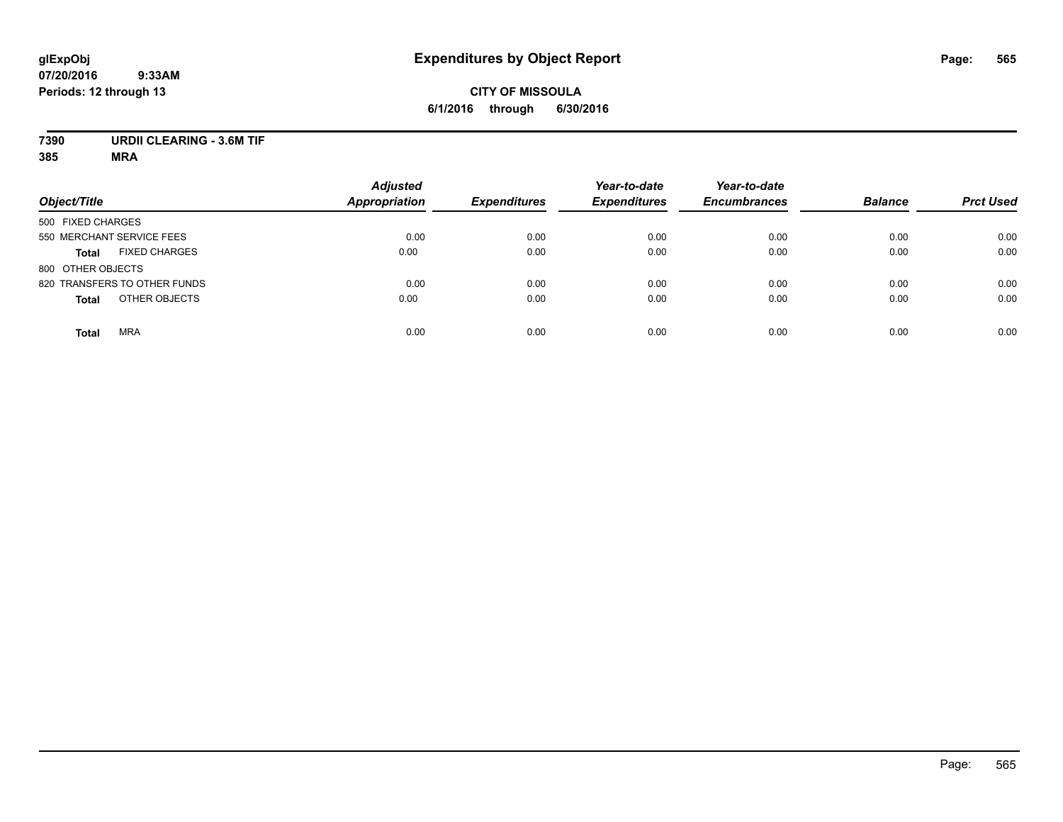# **CITY OF MISSOULA 6/1/2016 through 6/30/2016**

# **7390 URDII CLEARING - 3.6M TIF**

| Object/Title                         | <b>Adjusted</b><br><b>Appropriation</b> | <b>Expenditures</b> | Year-to-date<br><b>Expenditures</b> | Year-to-date<br><b>Encumbrances</b> | <b>Balance</b> | <b>Prct Used</b> |
|--------------------------------------|-----------------------------------------|---------------------|-------------------------------------|-------------------------------------|----------------|------------------|
| 500 FIXED CHARGES                    |                                         |                     |                                     |                                     |                |                  |
| 550 MERCHANT SERVICE FEES            | 0.00                                    | 0.00                | 0.00                                | 0.00                                | 0.00           | 0.00             |
| <b>FIXED CHARGES</b><br><b>Total</b> | 0.00                                    | 0.00                | 0.00                                | 0.00                                | 0.00           | 0.00             |
| 800 OTHER OBJECTS                    |                                         |                     |                                     |                                     |                |                  |
| 820 TRANSFERS TO OTHER FUNDS         | 0.00                                    | 0.00                | 0.00                                | 0.00                                | 0.00           | 0.00             |
| OTHER OBJECTS<br><b>Total</b>        | 0.00                                    | 0.00                | 0.00                                | 0.00                                | 0.00           | 0.00             |
| <b>MRA</b><br><b>Total</b>           | 0.00                                    | 0.00                | 0.00                                | 0.00                                | 0.00           | 0.00             |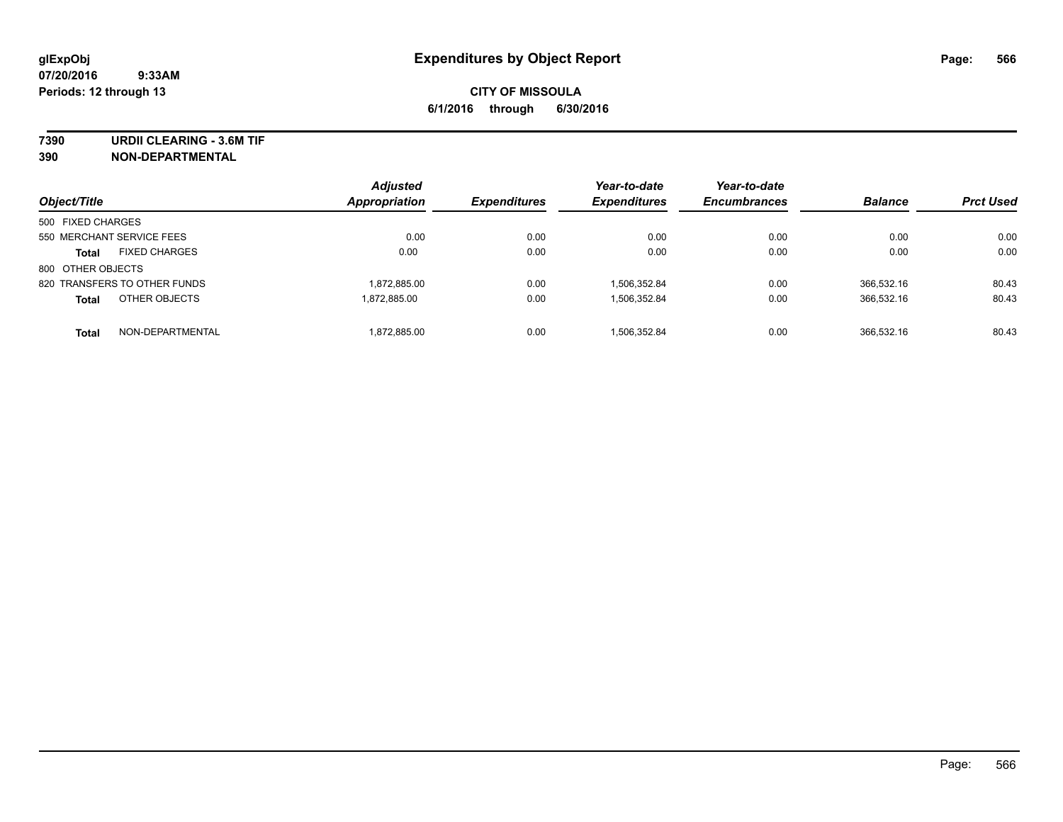**7390 URDII CLEARING - 3.6M TIF**

**390 NON-DEPARTMENTAL**

| Object/Title      |                              | <b>Adjusted</b><br>Appropriation | <b>Expenditures</b> | Year-to-date<br><b>Expenditures</b> | Year-to-date<br><b>Encumbrances</b> | <b>Balance</b> | <b>Prct Used</b> |
|-------------------|------------------------------|----------------------------------|---------------------|-------------------------------------|-------------------------------------|----------------|------------------|
| 500 FIXED CHARGES |                              |                                  |                     |                                     |                                     |                |                  |
|                   | 550 MERCHANT SERVICE FEES    | 0.00                             | 0.00                | 0.00                                | 0.00                                | 0.00           | 0.00             |
| <b>Total</b>      | <b>FIXED CHARGES</b>         | 0.00                             | 0.00                | 0.00                                | 0.00                                | 0.00           | 0.00             |
| 800 OTHER OBJECTS |                              |                                  |                     |                                     |                                     |                |                  |
|                   | 820 TRANSFERS TO OTHER FUNDS | 1,872,885.00                     | 0.00                | 1,506,352.84                        | 0.00                                | 366.532.16     | 80.43            |
| <b>Total</b>      | OTHER OBJECTS                | 1.872.885.00                     | 0.00                | 1,506,352.84                        | 0.00                                | 366,532.16     | 80.43            |
| <b>Total</b>      | NON-DEPARTMENTAL             | 1,872,885.00                     | 0.00                | 1,506,352.84                        | 0.00                                | 366.532.16     | 80.43            |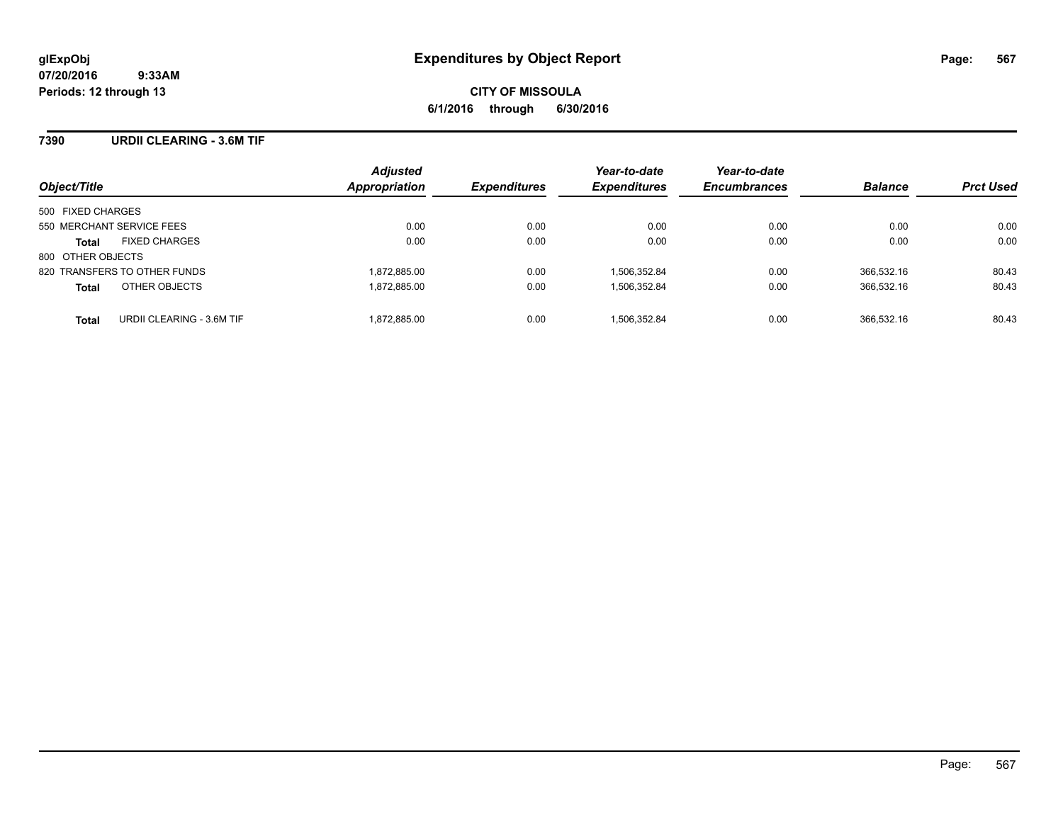### **7390 URDII CLEARING - 3.6M TIF**

| Object/Title                              | <b>Adjusted</b><br>Appropriation | <b>Expenditures</b> | Year-to-date<br><b>Expenditures</b> | Year-to-date<br><b>Encumbrances</b> | <b>Balance</b> | <b>Prct Used</b> |
|-------------------------------------------|----------------------------------|---------------------|-------------------------------------|-------------------------------------|----------------|------------------|
| 500 FIXED CHARGES                         |                                  |                     |                                     |                                     |                |                  |
| 550 MERCHANT SERVICE FEES                 | 0.00                             | 0.00                | 0.00                                | 0.00                                | 0.00           | 0.00             |
| <b>FIXED CHARGES</b><br><b>Total</b>      | 0.00                             | 0.00                | 0.00                                | 0.00                                | 0.00           | 0.00             |
| 800 OTHER OBJECTS                         |                                  |                     |                                     |                                     |                |                  |
| 820 TRANSFERS TO OTHER FUNDS              | 1,872,885.00                     | 0.00                | 1.506.352.84                        | 0.00                                | 366.532.16     | 80.43            |
| OTHER OBJECTS<br><b>Total</b>             | 1,872,885.00                     | 0.00                | 1,506,352.84                        | 0.00                                | 366.532.16     | 80.43            |
| URDII CLEARING - 3.6M TIF<br><b>Total</b> | 1.872.885.00                     | 0.00                | 1.506.352.84                        | 0.00                                | 366.532.16     | 80.43            |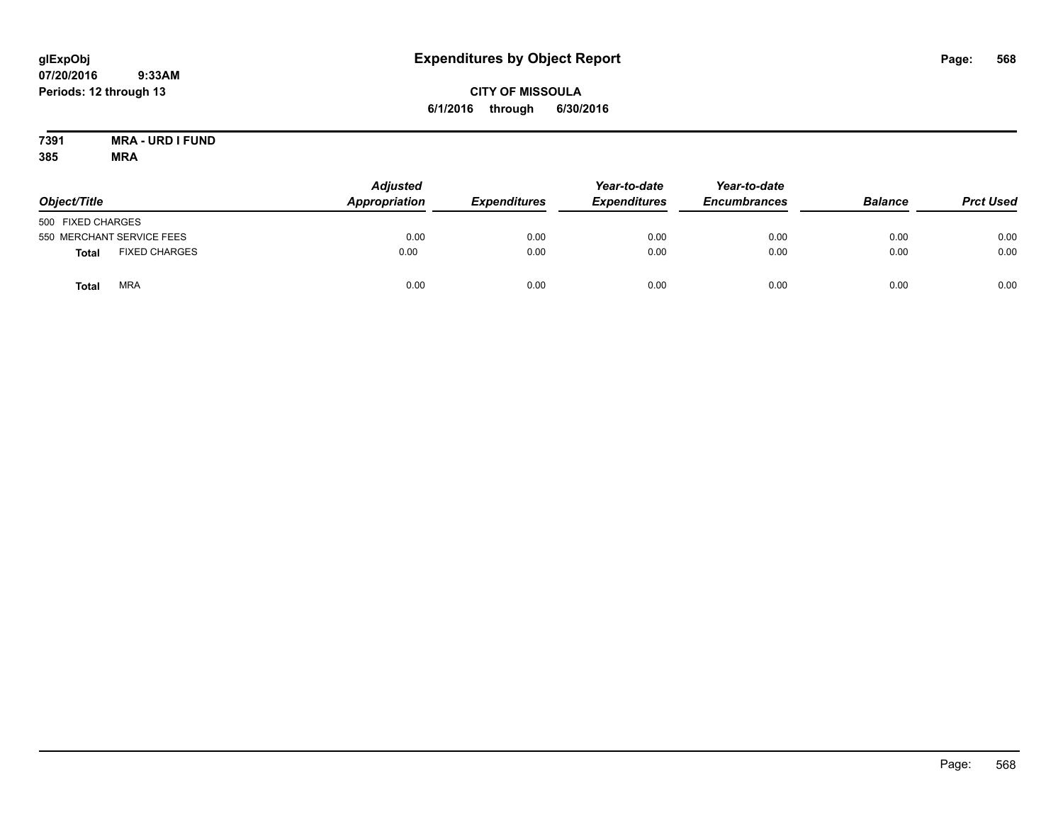# **CITY OF MISSOULA 6/1/2016 through 6/30/2016**

#### **7391 MRA - URD I FUND 385 MRA**

| Object/Title      |                           | <b>Adjusted</b><br><b>Appropriation</b> | <b>Expenditures</b> | Year-to-date<br><b>Expenditures</b> | Year-to-date<br><b>Encumbrances</b> | <b>Balance</b> | <b>Prct Used</b> |
|-------------------|---------------------------|-----------------------------------------|---------------------|-------------------------------------|-------------------------------------|----------------|------------------|
| 500 FIXED CHARGES |                           |                                         |                     |                                     |                                     |                |                  |
|                   | 550 MERCHANT SERVICE FEES | 0.00                                    | 0.00                | 0.00                                | 0.00                                | 0.00           | 0.00             |
| Total             | <b>FIXED CHARGES</b>      | 0.00                                    | 0.00                | 0.00                                | 0.00                                | 0.00           | 0.00             |
| Total             | <b>MRA</b>                | 0.00                                    | 0.00                | 0.00                                | 0.00                                | 0.00           | 0.00             |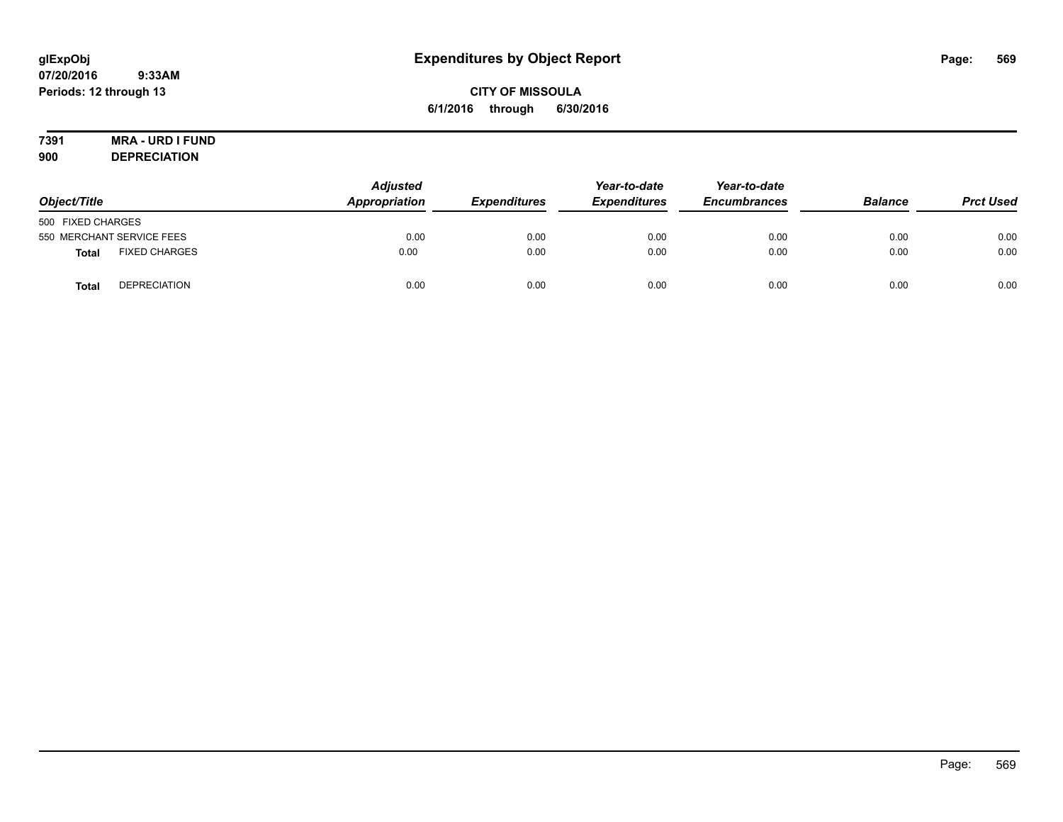# **CITY OF MISSOULA 6/1/2016 through 6/30/2016**

# **7391 MRA - URD I FUND**

**900 DEPRECIATION**

| Object/Title      |                           | <b>Adjusted</b><br>Appropriation | <b>Expenditures</b> | Year-to-date<br><b>Expenditures</b> | Year-to-date<br><b>Encumbrances</b> | <b>Balance</b> | <b>Prct Used</b> |
|-------------------|---------------------------|----------------------------------|---------------------|-------------------------------------|-------------------------------------|----------------|------------------|
| 500 FIXED CHARGES |                           |                                  |                     |                                     |                                     |                |                  |
|                   | 550 MERCHANT SERVICE FEES | 0.00                             | 0.00                | 0.00                                | 0.00                                | 0.00           | 0.00             |
| Total             | <b>FIXED CHARGES</b>      | 0.00                             | 0.00                | 0.00                                | 0.00                                | 0.00           | 0.00             |
| <b>Total</b>      | <b>DEPRECIATION</b>       | 0.00                             | 0.00                | 0.00                                | 0.00                                | 0.00           | 0.00             |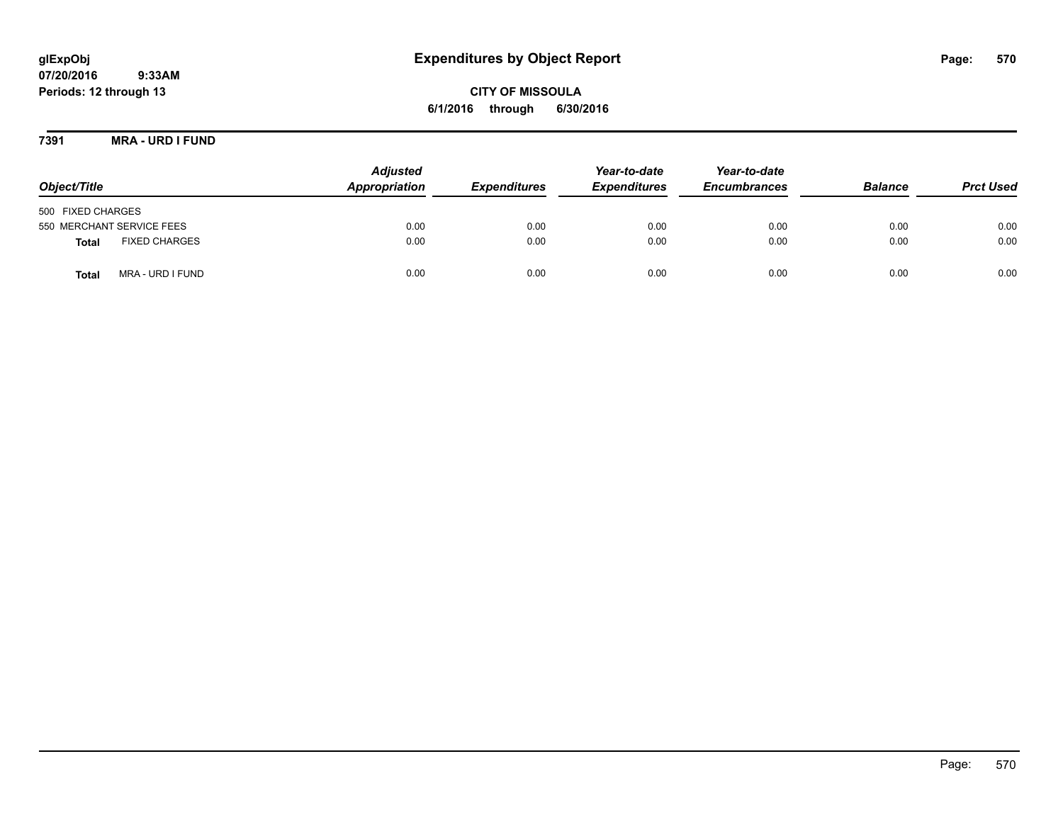# **glExpObj Expenditures by Object Report Page: 570**

**07/20/2016 9:33AM Periods: 12 through 13**

**CITY OF MISSOULA 6/1/2016 through 6/30/2016**

**7391 MRA - URD I FUND**

| Object/Title                         | <b>Adjusted</b><br>Appropriation | <b>Expenditures</b> | Year-to-date<br><b>Expenditures</b> | Year-to-date<br><b>Encumbrances</b> | <b>Balance</b> | <b>Prct Used</b> |
|--------------------------------------|----------------------------------|---------------------|-------------------------------------|-------------------------------------|----------------|------------------|
| 500 FIXED CHARGES                    |                                  |                     |                                     |                                     |                |                  |
| 550 MERCHANT SERVICE FEES            | 0.00                             | 0.00                | 0.00                                | 0.00                                | 0.00           | 0.00             |
| <b>FIXED CHARGES</b><br><b>Total</b> | 0.00                             | 0.00                | 0.00                                | 0.00                                | 0.00           | 0.00             |
| MRA - URD I FUND<br><b>Total</b>     | 0.00                             | 0.00                | 0.00                                | 0.00                                | 0.00           | 0.00             |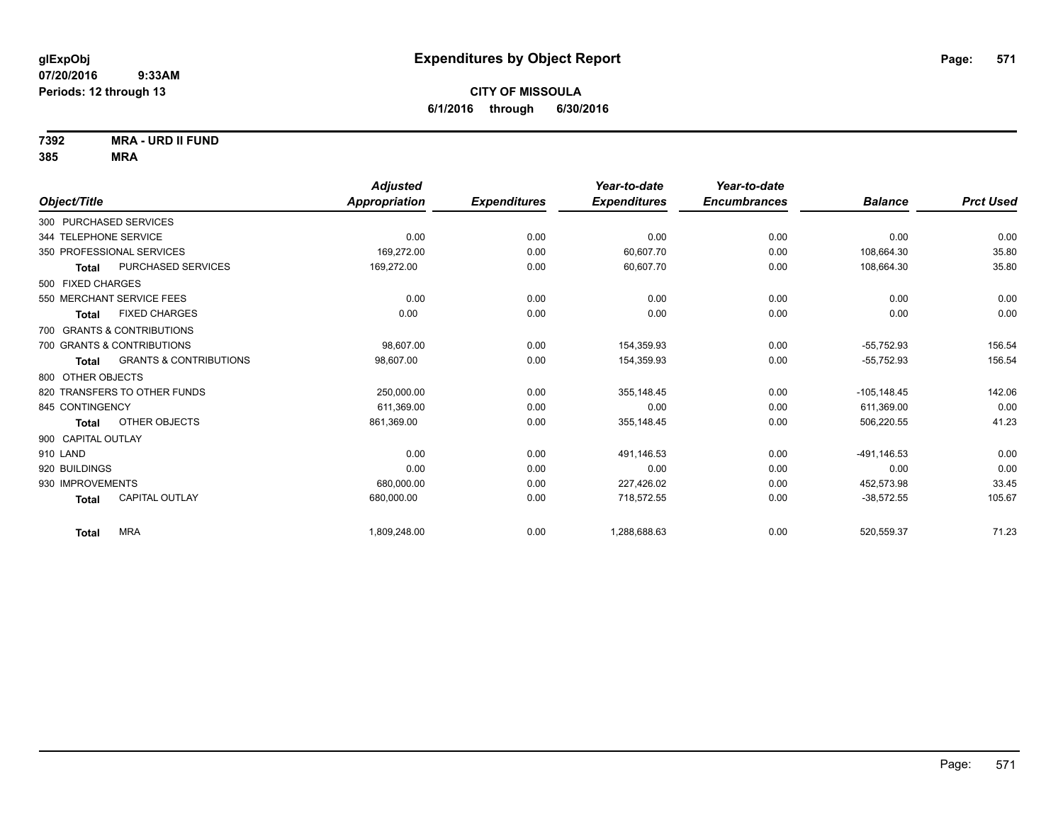**7392 MRA - URD II FUND**

|                                                   | <b>Adjusted</b>      |                     | Year-to-date        | Year-to-date        |                |                  |
|---------------------------------------------------|----------------------|---------------------|---------------------|---------------------|----------------|------------------|
| Object/Title                                      | <b>Appropriation</b> | <b>Expenditures</b> | <b>Expenditures</b> | <b>Encumbrances</b> | <b>Balance</b> | <b>Prct Used</b> |
| 300 PURCHASED SERVICES                            |                      |                     |                     |                     |                |                  |
| 344 TELEPHONE SERVICE                             | 0.00                 | 0.00                | 0.00                | 0.00                | 0.00           | 0.00             |
| 350 PROFESSIONAL SERVICES                         | 169,272.00           | 0.00                | 60.607.70           | 0.00                | 108.664.30     | 35.80            |
| <b>PURCHASED SERVICES</b><br><b>Total</b>         | 169,272.00           | 0.00                | 60,607.70           | 0.00                | 108,664.30     | 35.80            |
| 500 FIXED CHARGES                                 |                      |                     |                     |                     |                |                  |
| 550 MERCHANT SERVICE FEES                         | 0.00                 | 0.00                | 0.00                | 0.00                | 0.00           | 0.00             |
| <b>FIXED CHARGES</b><br>Total                     | 0.00                 | 0.00                | 0.00                | 0.00                | 0.00           | 0.00             |
| 700 GRANTS & CONTRIBUTIONS                        |                      |                     |                     |                     |                |                  |
| 700 GRANTS & CONTRIBUTIONS                        | 98,607.00            | 0.00                | 154,359.93          | 0.00                | $-55,752.93$   | 156.54           |
| <b>GRANTS &amp; CONTRIBUTIONS</b><br><b>Total</b> | 98,607.00            | 0.00                | 154,359.93          | 0.00                | $-55,752.93$   | 156.54           |
| 800 OTHER OBJECTS                                 |                      |                     |                     |                     |                |                  |
| 820 TRANSFERS TO OTHER FUNDS                      | 250,000.00           | 0.00                | 355.148.45          | 0.00                | $-105.148.45$  | 142.06           |
| 845 CONTINGENCY                                   | 611,369.00           | 0.00                | 0.00                | 0.00                | 611,369.00     | 0.00             |
| OTHER OBJECTS<br><b>Total</b>                     | 861,369.00           | 0.00                | 355,148.45          | 0.00                | 506,220.55     | 41.23            |
| 900 CAPITAL OUTLAY                                |                      |                     |                     |                     |                |                  |
| 910 LAND                                          | 0.00                 | 0.00                | 491.146.53          | 0.00                | -491,146.53    | 0.00             |
| 920 BUILDINGS                                     | 0.00                 | 0.00                | 0.00                | 0.00                | 0.00           | 0.00             |
| 930 IMPROVEMENTS                                  | 680,000.00           | 0.00                | 227,426.02          | 0.00                | 452,573.98     | 33.45            |
| <b>CAPITAL OUTLAY</b><br><b>Total</b>             | 680,000.00           | 0.00                | 718,572.55          | 0.00                | $-38,572.55$   | 105.67           |
| <b>MRA</b><br><b>Total</b>                        | 1,809,248.00         | 0.00                | 1,288,688.63        | 0.00                | 520,559.37     | 71.23            |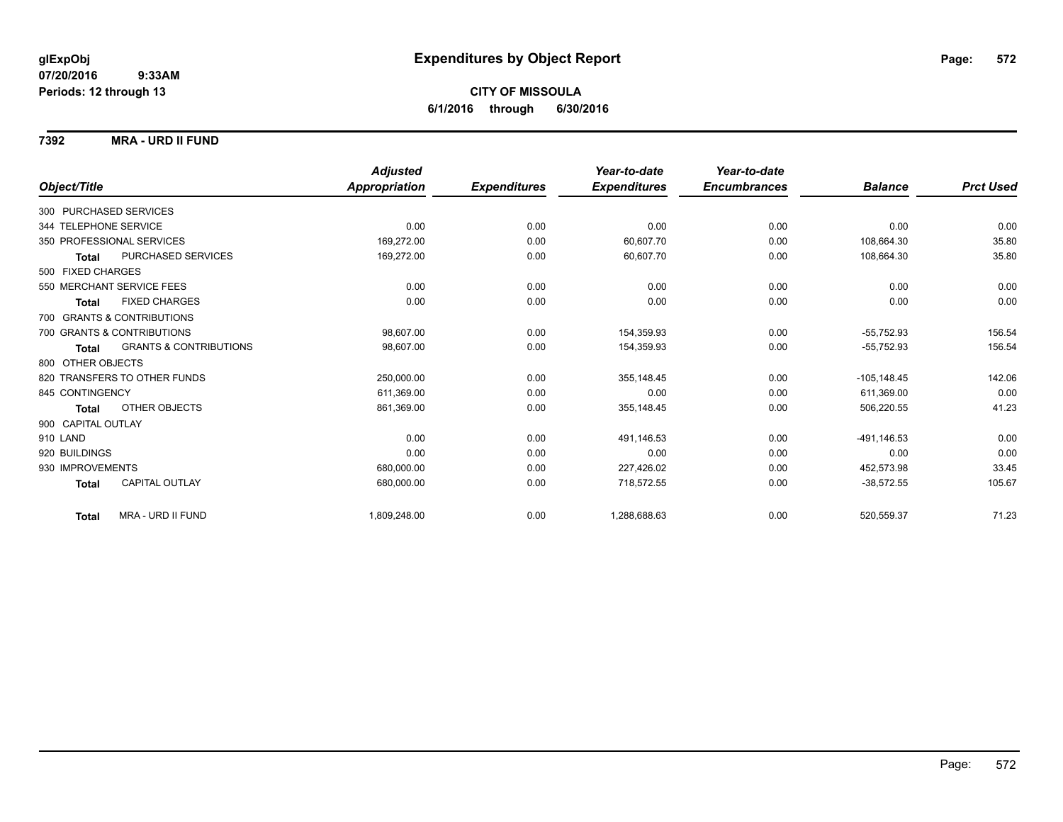### **7392 MRA - URD II FUND**

|                        |                                   | <b>Adjusted</b> |                     | Year-to-date        | Year-to-date        |                |                  |
|------------------------|-----------------------------------|-----------------|---------------------|---------------------|---------------------|----------------|------------------|
| Object/Title           |                                   | Appropriation   | <b>Expenditures</b> | <b>Expenditures</b> | <b>Encumbrances</b> | <b>Balance</b> | <b>Prct Used</b> |
| 300 PURCHASED SERVICES |                                   |                 |                     |                     |                     |                |                  |
| 344 TELEPHONE SERVICE  |                                   | 0.00            | 0.00                | 0.00                | 0.00                | 0.00           | 0.00             |
|                        | 350 PROFESSIONAL SERVICES         | 169,272.00      | 0.00                | 60.607.70           | 0.00                | 108.664.30     | 35.80            |
| <b>Total</b>           | PURCHASED SERVICES                | 169,272.00      | 0.00                | 60,607.70           | 0.00                | 108,664.30     | 35.80            |
| 500 FIXED CHARGES      |                                   |                 |                     |                     |                     |                |                  |
|                        | 550 MERCHANT SERVICE FEES         | 0.00            | 0.00                | 0.00                | 0.00                | 0.00           | 0.00             |
| <b>Total</b>           | <b>FIXED CHARGES</b>              | 0.00            | 0.00                | 0.00                | 0.00                | 0.00           | 0.00             |
|                        | 700 GRANTS & CONTRIBUTIONS        |                 |                     |                     |                     |                |                  |
|                        | 700 GRANTS & CONTRIBUTIONS        | 98.607.00       | 0.00                | 154,359.93          | 0.00                | $-55.752.93$   | 156.54           |
| Total                  | <b>GRANTS &amp; CONTRIBUTIONS</b> | 98.607.00       | 0.00                | 154,359.93          | 0.00                | $-55,752.93$   | 156.54           |
| 800 OTHER OBJECTS      |                                   |                 |                     |                     |                     |                |                  |
|                        | 820 TRANSFERS TO OTHER FUNDS      | 250,000.00      | 0.00                | 355.148.45          | 0.00                | $-105, 148.45$ | 142.06           |
| 845 CONTINGENCY        |                                   | 611,369.00      | 0.00                | 0.00                | 0.00                | 611.369.00     | 0.00             |
| Total                  | OTHER OBJECTS                     | 861,369.00      | 0.00                | 355,148.45          | 0.00                | 506,220.55     | 41.23            |
| 900 CAPITAL OUTLAY     |                                   |                 |                     |                     |                     |                |                  |
| 910 LAND               |                                   | 0.00            | 0.00                | 491,146.53          | 0.00                | -491.146.53    | 0.00             |
| 920 BUILDINGS          |                                   | 0.00            | 0.00                | 0.00                | 0.00                | 0.00           | 0.00             |
| 930 IMPROVEMENTS       |                                   | 680,000.00      | 0.00                | 227,426.02          | 0.00                | 452,573.98     | 33.45            |
| <b>Total</b>           | CAPITAL OUTLAY                    | 680,000.00      | 0.00                | 718,572.55          | 0.00                | $-38,572.55$   | 105.67           |
| <b>Total</b>           | MRA - URD II FUND                 | 1,809,248.00    | 0.00                | 1,288,688.63        | 0.00                | 520,559.37     | 71.23            |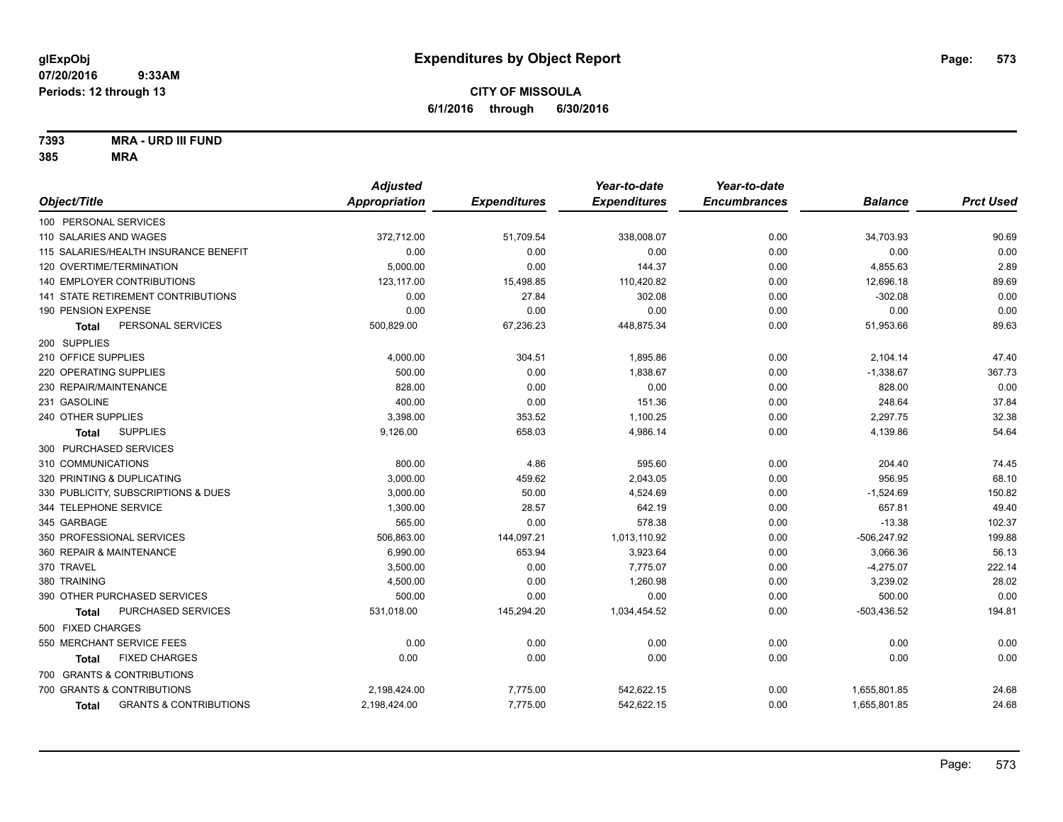**7393 MRA - URD III FUND**

| Object/Title<br><b>Appropriation</b><br><b>Expenditures</b><br><b>Expenditures</b><br><b>Encumbrances</b><br><b>Balance</b><br>100 PERSONAL SERVICES<br>0.00<br>110 SALARIES AND WAGES<br>372,712.00<br>51,709.54<br>338,008.07<br>34,703.93<br>115 SALARIES/HEALTH INSURANCE BENEFIT<br>0.00<br>0.00<br>0.00<br>0.00<br>0.00<br>5,000.00<br>120 OVERTIME/TERMINATION<br>0.00<br>144.37<br>4,855.63<br>0.00<br>140 EMPLOYER CONTRIBUTIONS<br>123,117.00<br>110,420.82<br>12,696.18<br>15,498.85<br>0.00<br>$-302.08$<br>141 STATE RETIREMENT CONTRIBUTIONS<br>0.00<br>27.84<br>302.08<br>0.00<br>190 PENSION EXPENSE<br>0.00<br>0.00<br>0.00<br>0.00<br>0.00<br>PERSONAL SERVICES<br>67,236.23<br>51,953.66<br>500,829.00<br>448,875.34<br>0.00<br>Total<br>200 SUPPLIES<br>210 OFFICE SUPPLIES<br>1,895.86<br>4,000.00<br>304.51<br>0.00<br>2,104.14<br>500.00<br>0.00<br>$-1,338.67$<br>220 OPERATING SUPPLIES<br>1,838.67<br>0.00<br>230 REPAIR/MAINTENANCE<br>828.00<br>0.00<br>828.00<br>0.00<br>0.00<br>248.64<br>231 GASOLINE<br>400.00<br>0.00<br>151.36<br>0.00<br>240 OTHER SUPPLIES<br>3,398.00<br>353.52<br>2,297.75<br>1,100.25<br>0.00<br><b>SUPPLIES</b><br>658.03<br>4,139.86<br>9,126.00<br>4,986.14<br>0.00<br><b>Total</b><br>300 PURCHASED SERVICES<br>310 COMMUNICATIONS<br>800.00<br>4.86<br>595.60<br>0.00<br>204.40<br>956.95<br>320 PRINTING & DUPLICATING<br>3,000.00<br>459.62<br>2,043.05<br>0.00<br>50.00<br>$-1,524.69$<br>330 PUBLICITY, SUBSCRIPTIONS & DUES<br>3,000.00<br>4,524.69<br>0.00 | <b>Prct Used</b><br>90.69<br>0.00<br>2.89 |
|------------------------------------------------------------------------------------------------------------------------------------------------------------------------------------------------------------------------------------------------------------------------------------------------------------------------------------------------------------------------------------------------------------------------------------------------------------------------------------------------------------------------------------------------------------------------------------------------------------------------------------------------------------------------------------------------------------------------------------------------------------------------------------------------------------------------------------------------------------------------------------------------------------------------------------------------------------------------------------------------------------------------------------------------------------------------------------------------------------------------------------------------------------------------------------------------------------------------------------------------------------------------------------------------------------------------------------------------------------------------------------------------------------------------------------------------------------------------------------------------------------------------------|-------------------------------------------|
|                                                                                                                                                                                                                                                                                                                                                                                                                                                                                                                                                                                                                                                                                                                                                                                                                                                                                                                                                                                                                                                                                                                                                                                                                                                                                                                                                                                                                                                                                                                              |                                           |
|                                                                                                                                                                                                                                                                                                                                                                                                                                                                                                                                                                                                                                                                                                                                                                                                                                                                                                                                                                                                                                                                                                                                                                                                                                                                                                                                                                                                                                                                                                                              |                                           |
|                                                                                                                                                                                                                                                                                                                                                                                                                                                                                                                                                                                                                                                                                                                                                                                                                                                                                                                                                                                                                                                                                                                                                                                                                                                                                                                                                                                                                                                                                                                              |                                           |
|                                                                                                                                                                                                                                                                                                                                                                                                                                                                                                                                                                                                                                                                                                                                                                                                                                                                                                                                                                                                                                                                                                                                                                                                                                                                                                                                                                                                                                                                                                                              |                                           |
|                                                                                                                                                                                                                                                                                                                                                                                                                                                                                                                                                                                                                                                                                                                                                                                                                                                                                                                                                                                                                                                                                                                                                                                                                                                                                                                                                                                                                                                                                                                              |                                           |
|                                                                                                                                                                                                                                                                                                                                                                                                                                                                                                                                                                                                                                                                                                                                                                                                                                                                                                                                                                                                                                                                                                                                                                                                                                                                                                                                                                                                                                                                                                                              | 89.69                                     |
|                                                                                                                                                                                                                                                                                                                                                                                                                                                                                                                                                                                                                                                                                                                                                                                                                                                                                                                                                                                                                                                                                                                                                                                                                                                                                                                                                                                                                                                                                                                              | 0.00                                      |
|                                                                                                                                                                                                                                                                                                                                                                                                                                                                                                                                                                                                                                                                                                                                                                                                                                                                                                                                                                                                                                                                                                                                                                                                                                                                                                                                                                                                                                                                                                                              | 0.00                                      |
|                                                                                                                                                                                                                                                                                                                                                                                                                                                                                                                                                                                                                                                                                                                                                                                                                                                                                                                                                                                                                                                                                                                                                                                                                                                                                                                                                                                                                                                                                                                              | 89.63                                     |
|                                                                                                                                                                                                                                                                                                                                                                                                                                                                                                                                                                                                                                                                                                                                                                                                                                                                                                                                                                                                                                                                                                                                                                                                                                                                                                                                                                                                                                                                                                                              |                                           |
|                                                                                                                                                                                                                                                                                                                                                                                                                                                                                                                                                                                                                                                                                                                                                                                                                                                                                                                                                                                                                                                                                                                                                                                                                                                                                                                                                                                                                                                                                                                              | 47.40                                     |
|                                                                                                                                                                                                                                                                                                                                                                                                                                                                                                                                                                                                                                                                                                                                                                                                                                                                                                                                                                                                                                                                                                                                                                                                                                                                                                                                                                                                                                                                                                                              | 367.73                                    |
|                                                                                                                                                                                                                                                                                                                                                                                                                                                                                                                                                                                                                                                                                                                                                                                                                                                                                                                                                                                                                                                                                                                                                                                                                                                                                                                                                                                                                                                                                                                              | 0.00                                      |
|                                                                                                                                                                                                                                                                                                                                                                                                                                                                                                                                                                                                                                                                                                                                                                                                                                                                                                                                                                                                                                                                                                                                                                                                                                                                                                                                                                                                                                                                                                                              | 37.84                                     |
|                                                                                                                                                                                                                                                                                                                                                                                                                                                                                                                                                                                                                                                                                                                                                                                                                                                                                                                                                                                                                                                                                                                                                                                                                                                                                                                                                                                                                                                                                                                              | 32.38                                     |
|                                                                                                                                                                                                                                                                                                                                                                                                                                                                                                                                                                                                                                                                                                                                                                                                                                                                                                                                                                                                                                                                                                                                                                                                                                                                                                                                                                                                                                                                                                                              | 54.64                                     |
|                                                                                                                                                                                                                                                                                                                                                                                                                                                                                                                                                                                                                                                                                                                                                                                                                                                                                                                                                                                                                                                                                                                                                                                                                                                                                                                                                                                                                                                                                                                              |                                           |
|                                                                                                                                                                                                                                                                                                                                                                                                                                                                                                                                                                                                                                                                                                                                                                                                                                                                                                                                                                                                                                                                                                                                                                                                                                                                                                                                                                                                                                                                                                                              | 74.45                                     |
|                                                                                                                                                                                                                                                                                                                                                                                                                                                                                                                                                                                                                                                                                                                                                                                                                                                                                                                                                                                                                                                                                                                                                                                                                                                                                                                                                                                                                                                                                                                              | 68.10                                     |
|                                                                                                                                                                                                                                                                                                                                                                                                                                                                                                                                                                                                                                                                                                                                                                                                                                                                                                                                                                                                                                                                                                                                                                                                                                                                                                                                                                                                                                                                                                                              | 150.82                                    |
| 657.81<br>344 TELEPHONE SERVICE<br>28.57<br>642.19<br>1,300.00<br>0.00                                                                                                                                                                                                                                                                                                                                                                                                                                                                                                                                                                                                                                                                                                                                                                                                                                                                                                                                                                                                                                                                                                                                                                                                                                                                                                                                                                                                                                                       | 49.40                                     |
| 0.00<br>$-13.38$<br>345 GARBAGE<br>565.00<br>578.38<br>0.00                                                                                                                                                                                                                                                                                                                                                                                                                                                                                                                                                                                                                                                                                                                                                                                                                                                                                                                                                                                                                                                                                                                                                                                                                                                                                                                                                                                                                                                                  | 102.37                                    |
| 350 PROFESSIONAL SERVICES<br>506,863.00<br>144,097.21<br>1,013,110.92<br>0.00<br>$-506,247.92$                                                                                                                                                                                                                                                                                                                                                                                                                                                                                                                                                                                                                                                                                                                                                                                                                                                                                                                                                                                                                                                                                                                                                                                                                                                                                                                                                                                                                               | 199.88                                    |
| 653.94<br>3,923.64<br>3,066.36<br>360 REPAIR & MAINTENANCE<br>6,990.00<br>0.00                                                                                                                                                                                                                                                                                                                                                                                                                                                                                                                                                                                                                                                                                                                                                                                                                                                                                                                                                                                                                                                                                                                                                                                                                                                                                                                                                                                                                                               | 56.13                                     |
| 370 TRAVEL<br>3,500.00<br>0.00<br>7,775.07<br>0.00<br>$-4,275.07$                                                                                                                                                                                                                                                                                                                                                                                                                                                                                                                                                                                                                                                                                                                                                                                                                                                                                                                                                                                                                                                                                                                                                                                                                                                                                                                                                                                                                                                            | 222.14                                    |
| 0.00<br>3,239.02<br>380 TRAINING<br>4,500.00<br>1,260.98<br>0.00                                                                                                                                                                                                                                                                                                                                                                                                                                                                                                                                                                                                                                                                                                                                                                                                                                                                                                                                                                                                                                                                                                                                                                                                                                                                                                                                                                                                                                                             | 28.02                                     |
| 390 OTHER PURCHASED SERVICES<br>500.00<br>0.00<br>0.00<br>0.00<br>500.00                                                                                                                                                                                                                                                                                                                                                                                                                                                                                                                                                                                                                                                                                                                                                                                                                                                                                                                                                                                                                                                                                                                                                                                                                                                                                                                                                                                                                                                     | 0.00                                      |
| 531,018.00<br>$-503,436.52$<br>PURCHASED SERVICES<br>145,294.20<br>1,034,454.52<br>0.00<br><b>Total</b>                                                                                                                                                                                                                                                                                                                                                                                                                                                                                                                                                                                                                                                                                                                                                                                                                                                                                                                                                                                                                                                                                                                                                                                                                                                                                                                                                                                                                      | 194.81                                    |
| 500 FIXED CHARGES                                                                                                                                                                                                                                                                                                                                                                                                                                                                                                                                                                                                                                                                                                                                                                                                                                                                                                                                                                                                                                                                                                                                                                                                                                                                                                                                                                                                                                                                                                            |                                           |
| 550 MERCHANT SERVICE FEES<br>0.00<br>0.00<br>0.00<br>0.00<br>0.00                                                                                                                                                                                                                                                                                                                                                                                                                                                                                                                                                                                                                                                                                                                                                                                                                                                                                                                                                                                                                                                                                                                                                                                                                                                                                                                                                                                                                                                            | 0.00                                      |
| <b>FIXED CHARGES</b><br>0.00<br>0.00<br>0.00<br>0.00<br>0.00<br>Total                                                                                                                                                                                                                                                                                                                                                                                                                                                                                                                                                                                                                                                                                                                                                                                                                                                                                                                                                                                                                                                                                                                                                                                                                                                                                                                                                                                                                                                        | 0.00                                      |
| 700 GRANTS & CONTRIBUTIONS                                                                                                                                                                                                                                                                                                                                                                                                                                                                                                                                                                                                                                                                                                                                                                                                                                                                                                                                                                                                                                                                                                                                                                                                                                                                                                                                                                                                                                                                                                   |                                           |
| 700 GRANTS & CONTRIBUTIONS<br>2,198,424.00<br>7,775.00<br>542,622.15<br>0.00<br>1,655,801.85                                                                                                                                                                                                                                                                                                                                                                                                                                                                                                                                                                                                                                                                                                                                                                                                                                                                                                                                                                                                                                                                                                                                                                                                                                                                                                                                                                                                                                 | 24.68                                     |
| 542,622.15<br><b>GRANTS &amp; CONTRIBUTIONS</b><br>2,198,424.00<br>7,775.00<br>0.00<br>1,655,801.85<br><b>Total</b>                                                                                                                                                                                                                                                                                                                                                                                                                                                                                                                                                                                                                                                                                                                                                                                                                                                                                                                                                                                                                                                                                                                                                                                                                                                                                                                                                                                                          | 24.68                                     |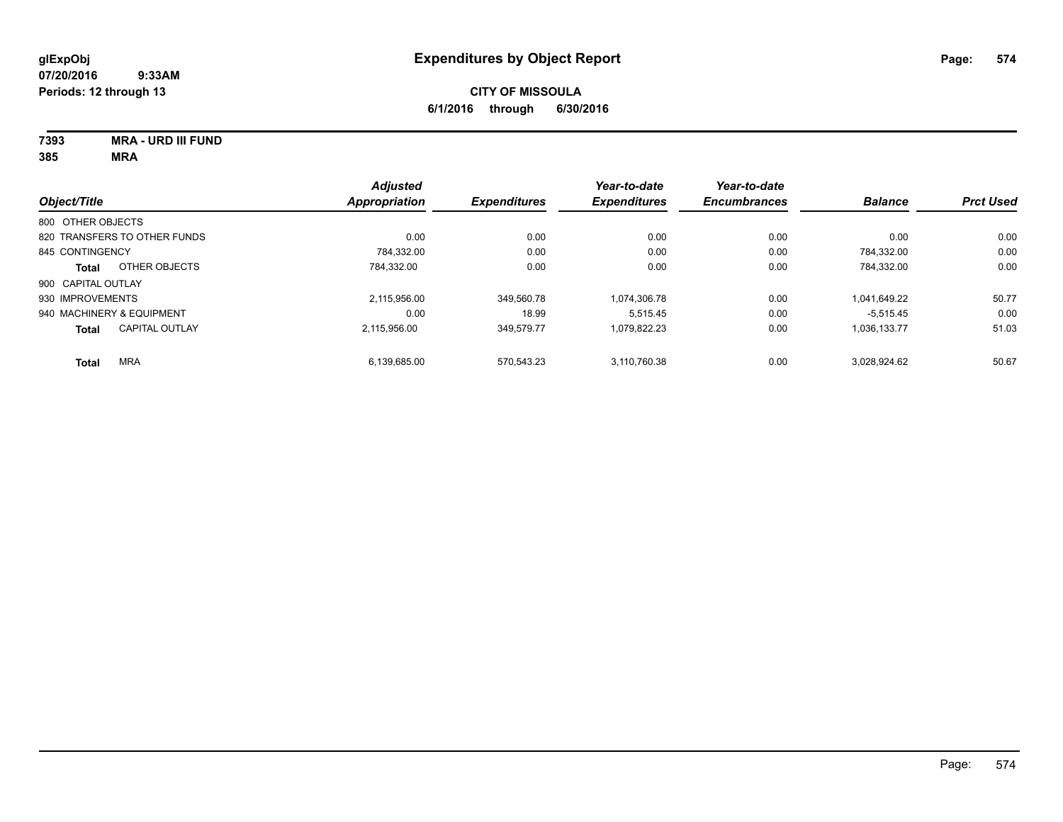**7393 MRA - URD III FUND**

|                                       | <b>Adjusted</b>      |                     | Year-to-date        | Year-to-date        |                |                  |
|---------------------------------------|----------------------|---------------------|---------------------|---------------------|----------------|------------------|
| Object/Title                          | <b>Appropriation</b> | <b>Expenditures</b> | <b>Expenditures</b> | <b>Encumbrances</b> | <b>Balance</b> | <b>Prct Used</b> |
| 800 OTHER OBJECTS                     |                      |                     |                     |                     |                |                  |
| 820 TRANSFERS TO OTHER FUNDS          | 0.00                 | 0.00                | 0.00                | 0.00                | 0.00           | 0.00             |
| 845 CONTINGENCY                       | 784.332.00           | 0.00                | 0.00                | 0.00                | 784.332.00     | 0.00             |
| OTHER OBJECTS<br><b>Total</b>         | 784.332.00           | 0.00                | 0.00                | 0.00                | 784.332.00     | 0.00             |
| 900 CAPITAL OUTLAY                    |                      |                     |                     |                     |                |                  |
| 930 IMPROVEMENTS                      | 2.115.956.00         | 349.560.78          | 1,074,306.78        | 0.00                | 1.041.649.22   | 50.77            |
| 940 MACHINERY & EQUIPMENT             | 0.00                 | 18.99               | 5.515.45            | 0.00                | $-5.515.45$    | 0.00             |
| <b>CAPITAL OUTLAY</b><br><b>Total</b> | 2.115.956.00         | 349.579.77          | 1.079.822.23        | 0.00                | 1.036.133.77   | 51.03            |
| <b>MRA</b><br><b>Total</b>            | 6,139,685.00         | 570.543.23          | 3.110.760.38        | 0.00                | 3.028.924.62   | 50.67            |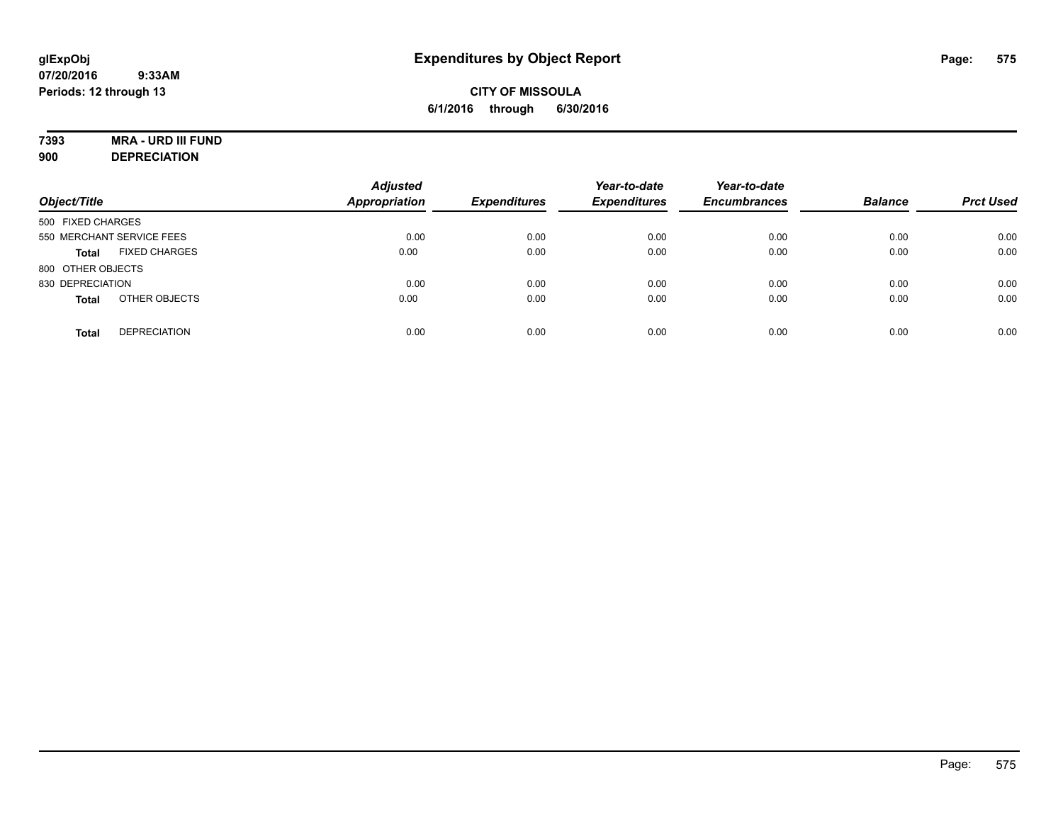# **7393 MRA - URD III FUND**

**900 DEPRECIATION**

| Object/Title                         | <b>Adjusted</b><br><b>Appropriation</b> | <b>Expenditures</b> | Year-to-date<br><b>Expenditures</b> | Year-to-date<br><b>Encumbrances</b> | <b>Balance</b> | <b>Prct Used</b> |
|--------------------------------------|-----------------------------------------|---------------------|-------------------------------------|-------------------------------------|----------------|------------------|
| 500 FIXED CHARGES                    |                                         |                     |                                     |                                     |                |                  |
| 550 MERCHANT SERVICE FEES            | 0.00                                    | 0.00                | 0.00                                | 0.00                                | 0.00           | 0.00             |
| <b>FIXED CHARGES</b><br><b>Total</b> | 0.00                                    | 0.00                | 0.00                                | 0.00                                | 0.00           | 0.00             |
| 800 OTHER OBJECTS                    |                                         |                     |                                     |                                     |                |                  |
| 830 DEPRECIATION                     | 0.00                                    | 0.00                | 0.00                                | 0.00                                | 0.00           | 0.00             |
| OTHER OBJECTS<br><b>Total</b>        | 0.00                                    | 0.00                | 0.00                                | 0.00                                | 0.00           | 0.00             |
| <b>DEPRECIATION</b><br><b>Total</b>  | 0.00                                    | 0.00                | 0.00                                | 0.00                                | 0.00           | 0.00             |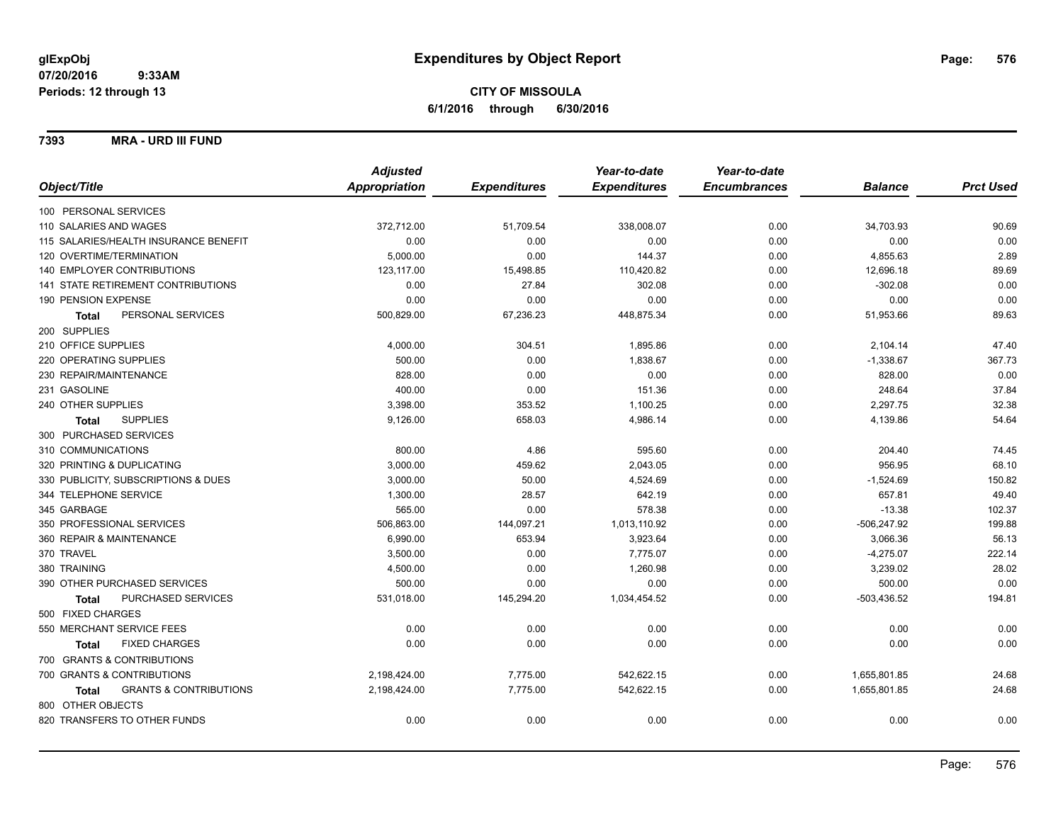### **7393 MRA - URD III FUND**

|                                                   | <b>Adjusted</b> |                     | Year-to-date        | Year-to-date        |                |                  |
|---------------------------------------------------|-----------------|---------------------|---------------------|---------------------|----------------|------------------|
| Object/Title                                      | Appropriation   | <b>Expenditures</b> | <b>Expenditures</b> | <b>Encumbrances</b> | <b>Balance</b> | <b>Prct Used</b> |
| 100 PERSONAL SERVICES                             |                 |                     |                     |                     |                |                  |
| 110 SALARIES AND WAGES                            | 372,712.00      | 51,709.54           | 338,008.07          | 0.00                | 34,703.93      | 90.69            |
| 115 SALARIES/HEALTH INSURANCE BENEFIT             | 0.00            | 0.00                | 0.00                | 0.00                | 0.00           | 0.00             |
| 120 OVERTIME/TERMINATION                          | 5,000.00        | 0.00                | 144.37              | 0.00                | 4,855.63       | 2.89             |
| 140 EMPLOYER CONTRIBUTIONS                        | 123,117.00      | 15,498.85           | 110,420.82          | 0.00                | 12,696.18      | 89.69            |
| <b>141 STATE RETIREMENT CONTRIBUTIONS</b>         | 0.00            | 27.84               | 302.08              | 0.00                | $-302.08$      | 0.00             |
| 190 PENSION EXPENSE                               | 0.00            | 0.00                | 0.00                | 0.00                | 0.00           | 0.00             |
| PERSONAL SERVICES<br><b>Total</b>                 | 500,829.00      | 67,236.23           | 448,875.34          | 0.00                | 51,953.66      | 89.63            |
| 200 SUPPLIES                                      |                 |                     |                     |                     |                |                  |
| 210 OFFICE SUPPLIES                               | 4,000.00        | 304.51              | 1,895.86            | 0.00                | 2,104.14       | 47.40            |
| 220 OPERATING SUPPLIES                            | 500.00          | 0.00                | 1,838.67            | 0.00                | $-1,338.67$    | 367.73           |
| 230 REPAIR/MAINTENANCE                            | 828.00          | 0.00                | 0.00                | 0.00                | 828.00         | 0.00             |
| 231 GASOLINE                                      | 400.00          | 0.00                | 151.36              | 0.00                | 248.64         | 37.84            |
| 240 OTHER SUPPLIES                                | 3,398.00        | 353.52              | 1,100.25            | 0.00                | 2,297.75       | 32.38            |
| <b>SUPPLIES</b><br>Total                          | 9,126.00        | 658.03              | 4,986.14            | 0.00                | 4,139.86       | 54.64            |
| 300 PURCHASED SERVICES                            |                 |                     |                     |                     |                |                  |
| 310 COMMUNICATIONS                                | 800.00          | 4.86                | 595.60              | 0.00                | 204.40         | 74.45            |
| 320 PRINTING & DUPLICATING                        | 3,000.00        | 459.62              | 2,043.05            | 0.00                | 956.95         | 68.10            |
| 330 PUBLICITY, SUBSCRIPTIONS & DUES               | 3,000.00        | 50.00               | 4,524.69            | 0.00                | $-1,524.69$    | 150.82           |
| 344 TELEPHONE SERVICE                             | 1,300.00        | 28.57               | 642.19              | 0.00                | 657.81         | 49.40            |
| 345 GARBAGE                                       | 565.00          | 0.00                | 578.38              | 0.00                | $-13.38$       | 102.37           |
| 350 PROFESSIONAL SERVICES                         | 506,863.00      | 144,097.21          | 1,013,110.92        | 0.00                | $-506,247.92$  | 199.88           |
| 360 REPAIR & MAINTENANCE                          | 6,990.00        | 653.94              | 3,923.64            | 0.00                | 3,066.36       | 56.13            |
| 370 TRAVEL                                        | 3,500.00        | 0.00                | 7,775.07            | 0.00                | $-4,275.07$    | 222.14           |
| 380 TRAINING                                      | 4,500.00        | 0.00                | 1,260.98            | 0.00                | 3,239.02       | 28.02            |
| 390 OTHER PURCHASED SERVICES                      | 500.00          | 0.00                | 0.00                | 0.00                | 500.00         | 0.00             |
| PURCHASED SERVICES<br><b>Total</b>                | 531,018.00      | 145,294.20          | 1,034,454.52        | 0.00                | $-503,436.52$  | 194.81           |
| 500 FIXED CHARGES                                 |                 |                     |                     |                     |                |                  |
| 550 MERCHANT SERVICE FEES                         | 0.00            | 0.00                | 0.00                | 0.00                | 0.00           | 0.00             |
| <b>FIXED CHARGES</b><br><b>Total</b>              | 0.00            | 0.00                | 0.00                | 0.00                | 0.00           | 0.00             |
| 700 GRANTS & CONTRIBUTIONS                        |                 |                     |                     |                     |                |                  |
| 700 GRANTS & CONTRIBUTIONS                        | 2,198,424.00    | 7,775.00            | 542,622.15          | 0.00                | 1,655,801.85   | 24.68            |
| <b>GRANTS &amp; CONTRIBUTIONS</b><br><b>Total</b> | 2,198,424.00    | 7,775.00            | 542,622.15          | 0.00                | 1,655,801.85   | 24.68            |
| 800 OTHER OBJECTS                                 |                 |                     |                     |                     |                |                  |
| 820 TRANSFERS TO OTHER FUNDS                      | 0.00            | 0.00                | 0.00                | 0.00                | 0.00           | 0.00             |
|                                                   |                 |                     |                     |                     |                |                  |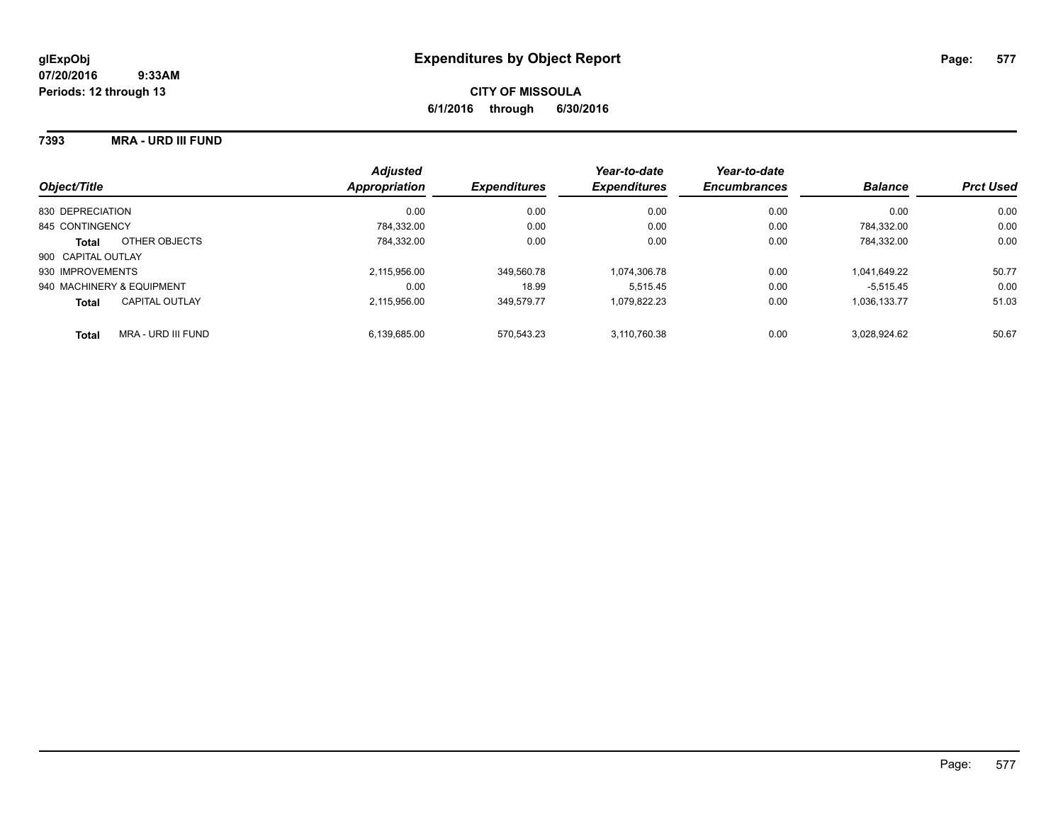### **7393 MRA - URD III FUND**

| Object/Title                       | <b>Adjusted</b><br>Appropriation | <b>Expenditures</b> | Year-to-date<br><b>Expenditures</b> | Year-to-date<br><b>Encumbrances</b> | <b>Balance</b> | <b>Prct Used</b> |
|------------------------------------|----------------------------------|---------------------|-------------------------------------|-------------------------------------|----------------|------------------|
| 830 DEPRECIATION                   | 0.00                             | 0.00                | 0.00                                | 0.00                                | 0.00           | 0.00             |
| 845 CONTINGENCY                    | 784.332.00                       | 0.00                | 0.00                                | 0.00                                | 784.332.00     | 0.00             |
| OTHER OBJECTS<br><b>Total</b>      | 784.332.00                       | 0.00                | 0.00                                | 0.00                                | 784.332.00     | 0.00             |
| 900 CAPITAL OUTLAY                 |                                  |                     |                                     |                                     |                |                  |
| 930 IMPROVEMENTS                   | 2.115.956.00                     | 349.560.78          | 1.074.306.78                        | 0.00                                | 1.041.649.22   | 50.77            |
| 940 MACHINERY & EQUIPMENT          | 0.00                             | 18.99               | 5.515.45                            | 0.00                                | $-5.515.45$    | 0.00             |
| CAPITAL OUTLAY<br><b>Total</b>     | 2.115.956.00                     | 349.579.77          | 1.079.822.23                        | 0.00                                | 1.036.133.77   | 51.03            |
| MRA - URD III FUND<br><b>Total</b> | 6.139.685.00                     | 570.543.23          | 3.110.760.38                        | 0.00                                | 3.028.924.62   | 50.67            |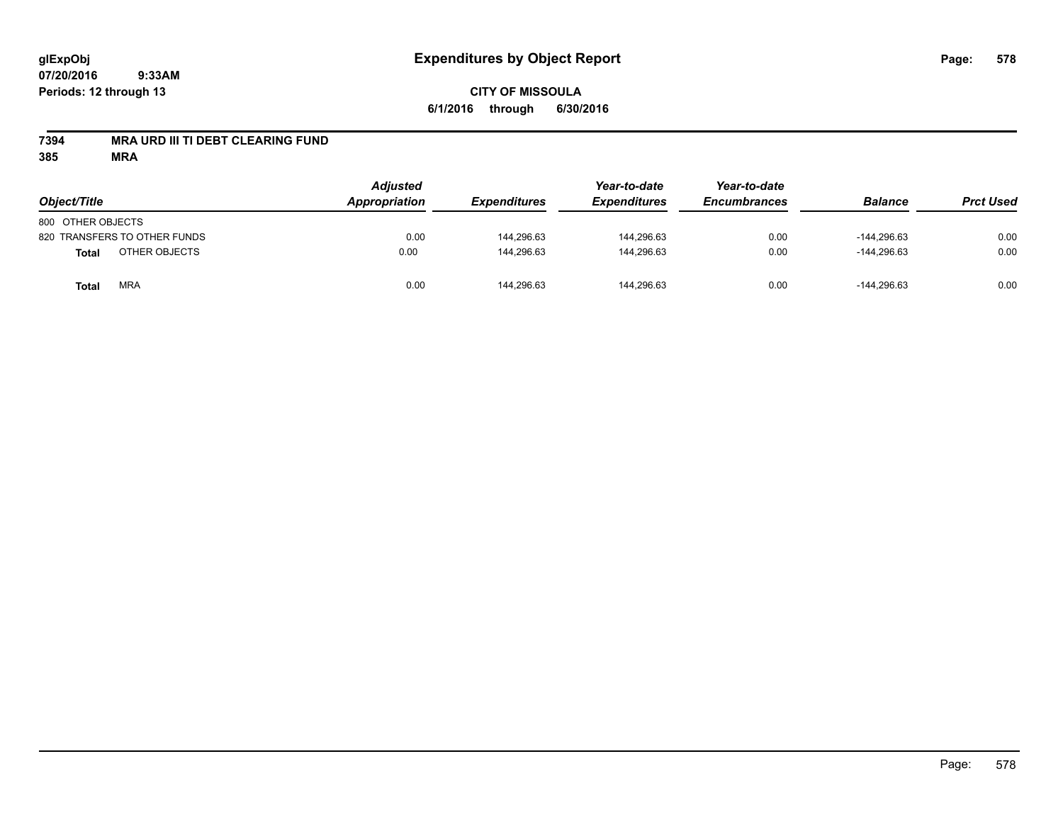## **CITY OF MISSOULA 6/1/2016 through 6/30/2016**

### **7394 MRA URD III TI DEBT CLEARING FUND**

| Object/Title                  | <b>Adjusted</b><br><b>Appropriation</b> | <b>Expenditures</b> | Year-to-date<br><b>Expenditures</b> | Year-to-date<br><b>Encumbrances</b> | <b>Balance</b> | <b>Prct Used</b> |
|-------------------------------|-----------------------------------------|---------------------|-------------------------------------|-------------------------------------|----------------|------------------|
| 800 OTHER OBJECTS             |                                         |                     |                                     |                                     |                |                  |
| 820 TRANSFERS TO OTHER FUNDS  | 0.00                                    | 144.296.63          | 144,296.63                          | 0.00                                | $-144.296.63$  | 0.00             |
| OTHER OBJECTS<br><b>Total</b> | 0.00                                    | 144.296.63          | 144.296.63                          | 0.00                                | $-144.296.63$  | 0.00             |
| <b>MRA</b><br><b>Total</b>    | 0.00                                    | 144,296.63          | 144,296.63                          | 0.00                                | $-144,296.63$  | 0.00             |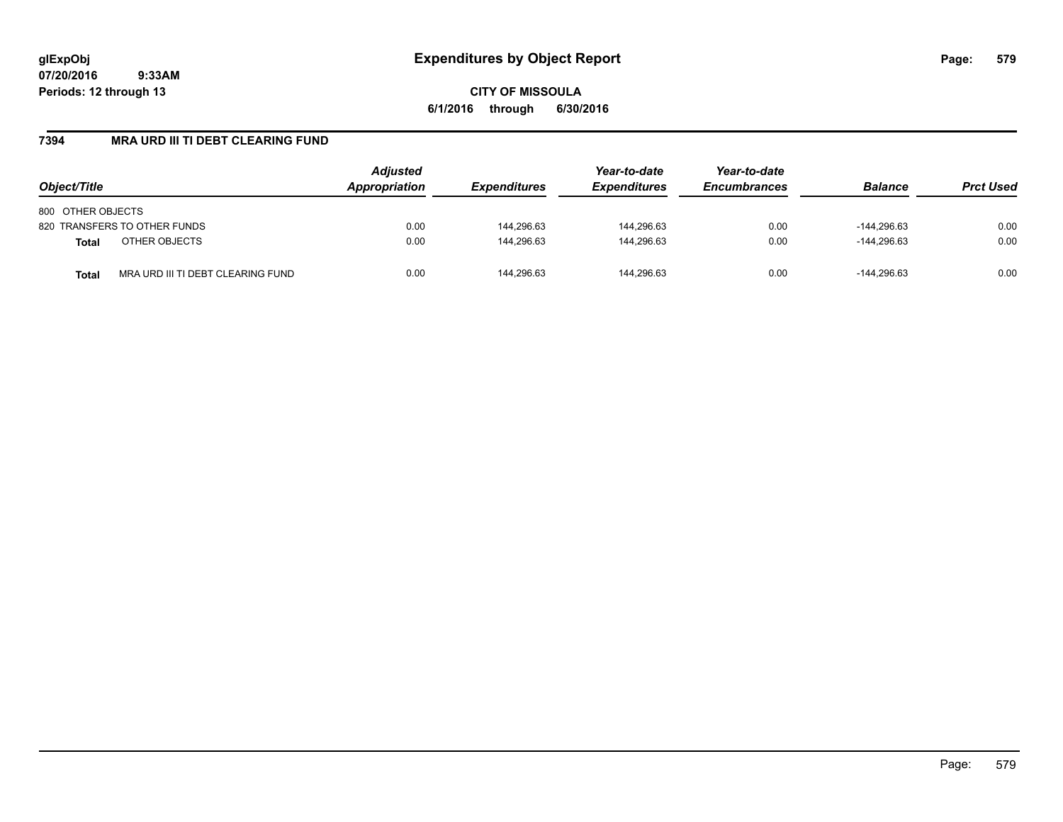**CITY OF MISSOULA 6/1/2016 through 6/30/2016**

### **7394 MRA URD III TI DEBT CLEARING FUND**

| Object/Title                                      | <b>Adjusted</b><br>Appropriation | <b>Expenditures</b> | Year-to-date<br><b>Expenditures</b> | Year-to-date<br><b>Encumbrances</b> | <b>Balance</b> | <b>Prct Used</b> |
|---------------------------------------------------|----------------------------------|---------------------|-------------------------------------|-------------------------------------|----------------|------------------|
| 800 OTHER OBJECTS                                 |                                  |                     |                                     |                                     |                |                  |
| 820 TRANSFERS TO OTHER FUNDS                      | 0.00                             | 144,296.63          | 144,296.63                          | 0.00                                | $-144.296.63$  | 0.00             |
| OTHER OBJECTS<br><b>Total</b>                     | 0.00                             | 144.296.63          | 144.296.63                          | 0.00                                | $-144.296.63$  | 0.00             |
| MRA URD III TI DEBT CLEARING FUND<br><b>Total</b> | 0.00                             | 144.296.63          | 144.296.63                          | 0.00                                | $-144.296.63$  | 0.00             |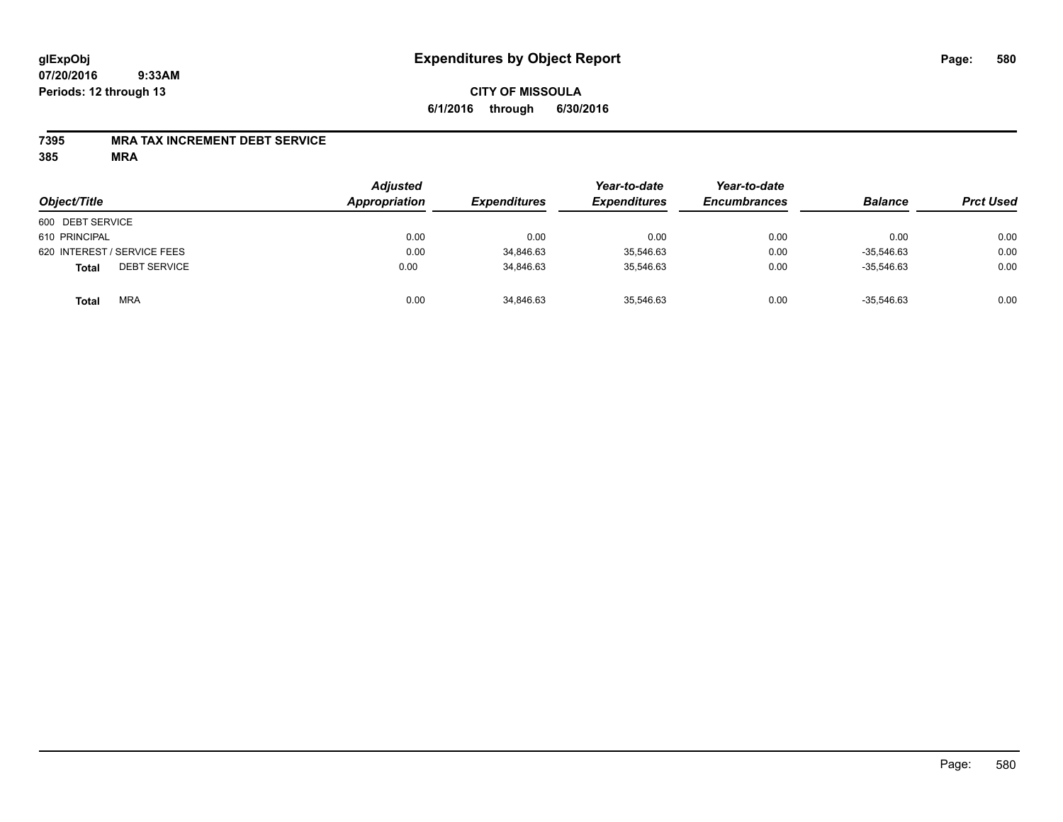### **CITY OF MISSOULA 6/1/2016 through 6/30/2016**

### **7395 MRA TAX INCREMENT DEBT SERVICE**

| Object/Title                        | <b>Adjusted</b><br>Appropriation | <b>Expenditures</b> | Year-to-date<br><b>Expenditures</b> | Year-to-date<br><b>Encumbrances</b> | <b>Balance</b> | <b>Prct Used</b> |
|-------------------------------------|----------------------------------|---------------------|-------------------------------------|-------------------------------------|----------------|------------------|
| 600 DEBT SERVICE                    |                                  |                     |                                     |                                     |                |                  |
| 610 PRINCIPAL                       | 0.00                             | 0.00                | 0.00                                | 0.00                                | 0.00           | 0.00             |
| 620 INTEREST / SERVICE FEES         | 0.00                             | 34,846.63           | 35,546.63                           | 0.00                                | $-35.546.63$   | 0.00             |
| <b>DEBT SERVICE</b><br><b>Total</b> | 0.00                             | 34,846.63           | 35.546.63                           | 0.00                                | $-35.546.63$   | 0.00             |
| <b>MRA</b><br><b>Total</b>          | 0.00                             | 34,846.63           | 35,546.63                           | 0.00                                | $-35,546.63$   | 0.00             |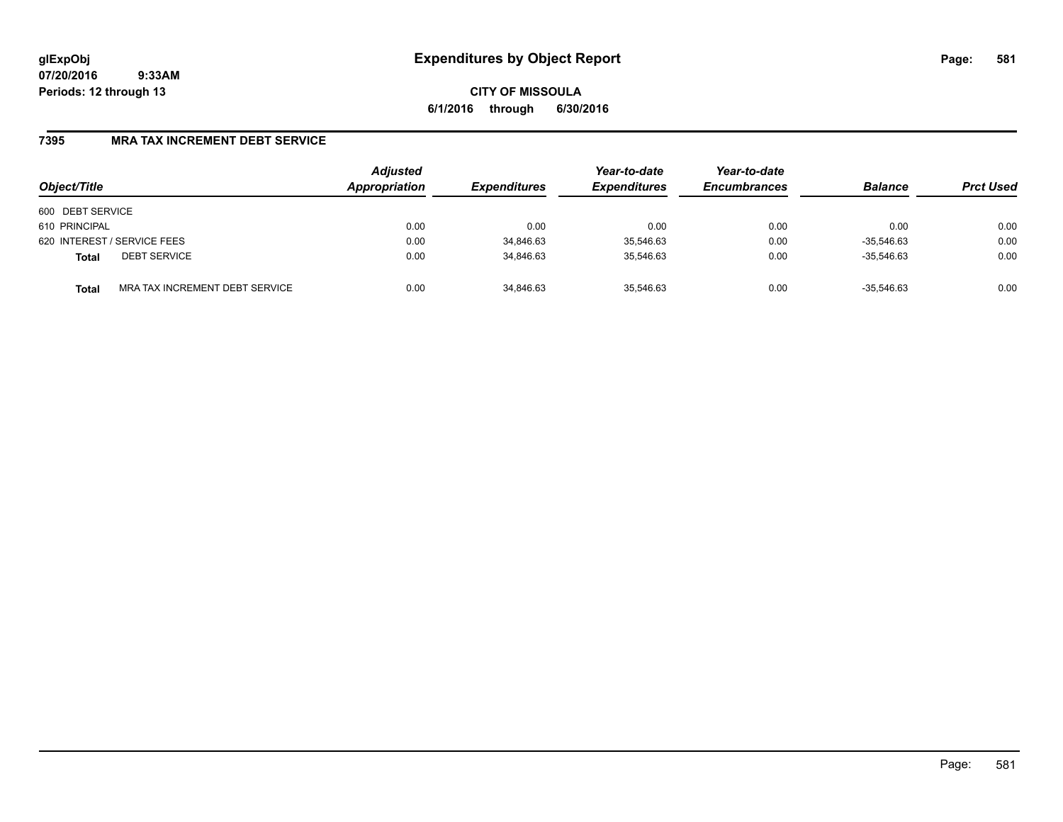**CITY OF MISSOULA 6/1/2016 through 6/30/2016**

### **7395 MRA TAX INCREMENT DEBT SERVICE**

| Object/Title                        |                                | <b>Adjusted</b><br>Appropriation | <b>Expenditures</b> | Year-to-date<br><b>Expenditures</b> | Year-to-date<br><b>Encumbrances</b> | <b>Balance</b> | <b>Prct Used</b> |
|-------------------------------------|--------------------------------|----------------------------------|---------------------|-------------------------------------|-------------------------------------|----------------|------------------|
| 600 DEBT SERVICE                    |                                |                                  |                     |                                     |                                     |                |                  |
| 610 PRINCIPAL                       |                                | 0.00                             | 0.00                | 0.00                                | 0.00                                | 0.00           | 0.00             |
| 620 INTEREST / SERVICE FEES         |                                | 0.00                             | 34,846.63           | 35,546.63                           | 0.00                                | $-35.546.63$   | 0.00             |
| <b>DEBT SERVICE</b><br><b>Total</b> |                                | 0.00                             | 34,846.63           | 35.546.63                           | 0.00                                | $-35.546.63$   | 0.00             |
| <b>Total</b>                        | MRA TAX INCREMENT DEBT SERVICE | 0.00                             | 34,846.63           | 35,546.63                           | 0.00                                | $-35.546.63$   | 0.00             |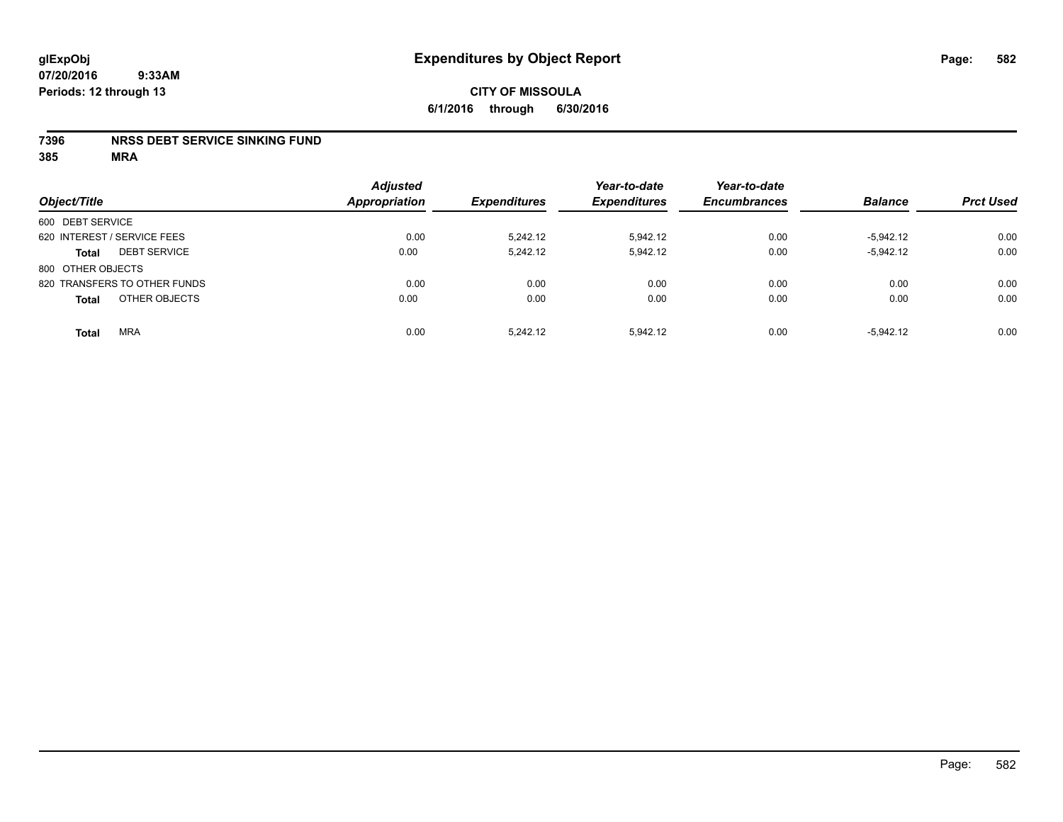### **7396 NRSS DEBT SERVICE SINKING FUND**

| Object/Title                        | <b>Adjusted</b><br><b>Appropriation</b> | <b>Expenditures</b> | Year-to-date<br><b>Expenditures</b> | Year-to-date<br><b>Encumbrances</b> | <b>Balance</b> | <b>Prct Used</b> |
|-------------------------------------|-----------------------------------------|---------------------|-------------------------------------|-------------------------------------|----------------|------------------|
| 600 DEBT SERVICE                    |                                         |                     |                                     |                                     |                |                  |
| 620 INTEREST / SERVICE FEES         | 0.00                                    | 5.242.12            | 5.942.12                            | 0.00                                | $-5.942.12$    | 0.00             |
| <b>DEBT SERVICE</b><br><b>Total</b> | 0.00                                    | 5,242.12            | 5,942.12                            | 0.00                                | $-5,942.12$    | 0.00             |
| 800 OTHER OBJECTS                   |                                         |                     |                                     |                                     |                |                  |
| 820 TRANSFERS TO OTHER FUNDS        | 0.00                                    | 0.00                | 0.00                                | 0.00                                | 0.00           | 0.00             |
| OTHER OBJECTS<br><b>Total</b>       | 0.00                                    | 0.00                | 0.00                                | 0.00                                | 0.00           | 0.00             |
| <b>MRA</b><br><b>Total</b>          | 0.00                                    | 5.242.12            | 5.942.12                            | 0.00                                | $-5.942.12$    | 0.00             |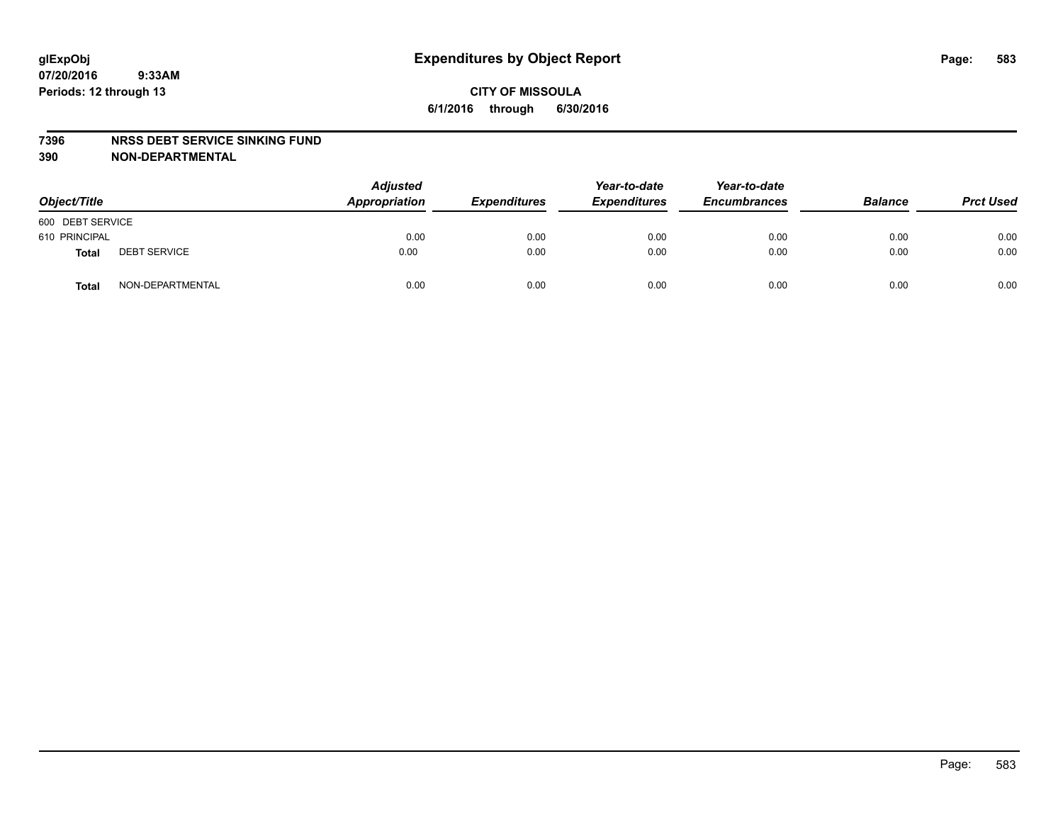#### **7396 NRSS DEBT SERVICE SINKING FUND**

**390 NON-DEPARTMENTAL**

| Object/Title     |                     | <b>Adjusted</b><br>Appropriation | <b>Expenditures</b> | Year-to-date<br><b>Expenditures</b> | Year-to-date<br><b>Encumbrances</b> | <b>Balance</b> | <b>Prct Used</b> |
|------------------|---------------------|----------------------------------|---------------------|-------------------------------------|-------------------------------------|----------------|------------------|
| 600 DEBT SERVICE |                     |                                  |                     |                                     |                                     |                |                  |
| 610 PRINCIPAL    |                     | 0.00                             | 0.00                | 0.00                                | 0.00                                | 0.00           | 0.00             |
| <b>Total</b>     | <b>DEBT SERVICE</b> | 0.00                             | 0.00                | 0.00                                | 0.00                                | 0.00           | 0.00             |
| <b>Total</b>     | NON-DEPARTMENTAL    | 0.00                             | 0.00                | 0.00                                | 0.00                                | 0.00           | 0.00             |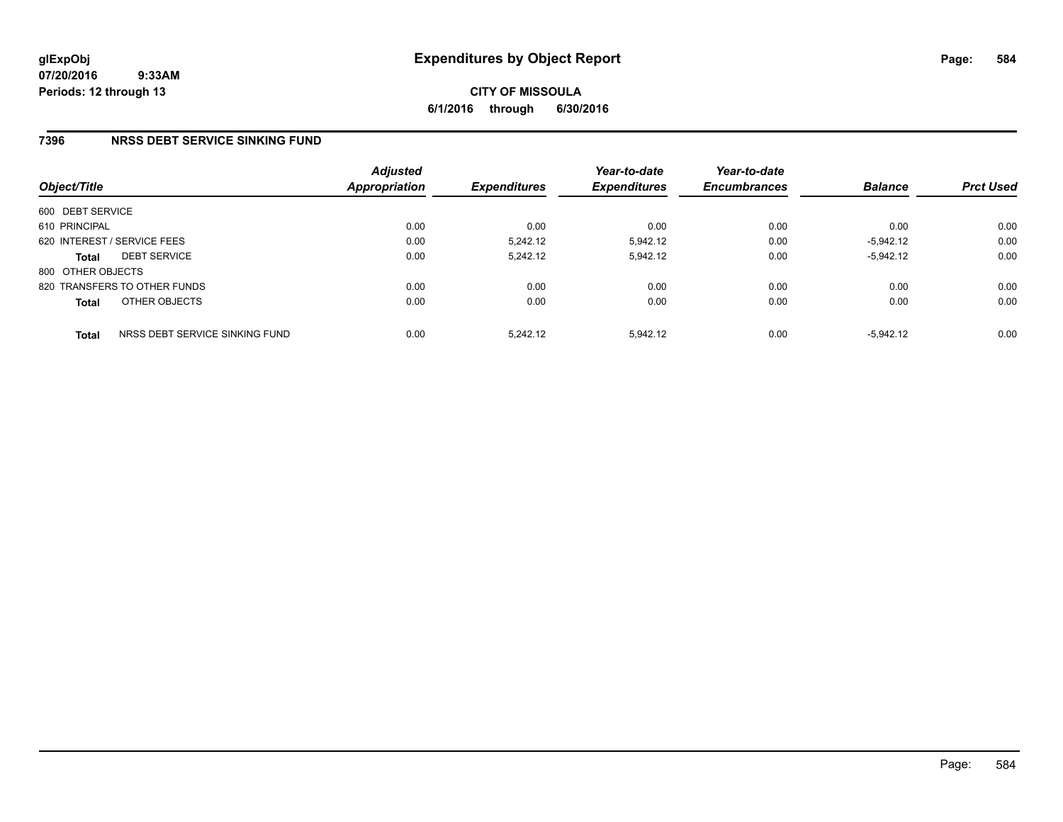**CITY OF MISSOULA 6/1/2016 through 6/30/2016**

### **7396 NRSS DEBT SERVICE SINKING FUND**

|                   |                                | <b>Adjusted</b>      | Year-to-date               | Year-to-date        |                     |                |                  |
|-------------------|--------------------------------|----------------------|----------------------------|---------------------|---------------------|----------------|------------------|
| Object/Title      |                                | <b>Appropriation</b> | <i><b>Expenditures</b></i> | <b>Expenditures</b> | <b>Encumbrances</b> | <b>Balance</b> | <b>Prct Used</b> |
| 600 DEBT SERVICE  |                                |                      |                            |                     |                     |                |                  |
| 610 PRINCIPAL     |                                | 0.00                 | 0.00                       | 0.00                | 0.00                | 0.00           | 0.00             |
|                   | 620 INTEREST / SERVICE FEES    | 0.00                 | 5.242.12                   | 5.942.12            | 0.00                | $-5.942.12$    | 0.00             |
| <b>Total</b>      | <b>DEBT SERVICE</b>            | 0.00                 | 5.242.12                   | 5.942.12            | 0.00                | $-5,942.12$    | 0.00             |
| 800 OTHER OBJECTS |                                |                      |                            |                     |                     |                |                  |
|                   | 820 TRANSFERS TO OTHER FUNDS   | 0.00                 | 0.00                       | 0.00                | 0.00                | 0.00           | 0.00             |
| <b>Total</b>      | OTHER OBJECTS                  | 0.00                 | 0.00                       | 0.00                | 0.00                | 0.00           | 0.00             |
| <b>Total</b>      | NRSS DEBT SERVICE SINKING FUND | 0.00                 | 5.242.12                   | 5.942.12            | 0.00                | $-5.942.12$    | 0.00             |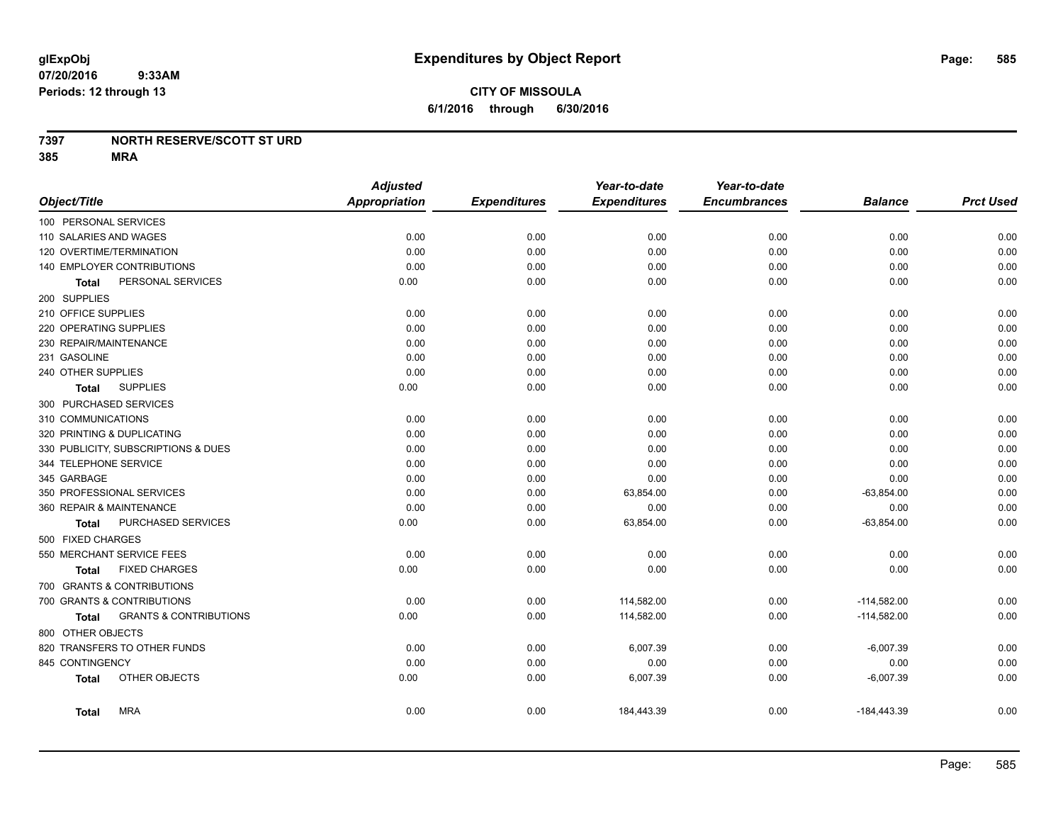# **CITY OF MISSOULA 6/1/2016 through 6/30/2016**

### **7397 NORTH RESERVE/SCOTT ST URD**

|                              |                                     | <b>Adjusted</b>      |                     | Year-to-date        | Year-to-date        |                |                  |
|------------------------------|-------------------------------------|----------------------|---------------------|---------------------|---------------------|----------------|------------------|
| Object/Title                 |                                     | <b>Appropriation</b> | <b>Expenditures</b> | <b>Expenditures</b> | <b>Encumbrances</b> | <b>Balance</b> | <b>Prct Used</b> |
| 100 PERSONAL SERVICES        |                                     |                      |                     |                     |                     |                |                  |
| 110 SALARIES AND WAGES       |                                     | 0.00                 | 0.00                | 0.00                | 0.00                | 0.00           | 0.00             |
| 120 OVERTIME/TERMINATION     |                                     | 0.00                 | 0.00                | 0.00                | 0.00                | 0.00           | 0.00             |
| 140 EMPLOYER CONTRIBUTIONS   |                                     | 0.00                 | 0.00                | 0.00                | 0.00                | 0.00           | 0.00             |
| Total                        | PERSONAL SERVICES                   | 0.00                 | 0.00                | 0.00                | 0.00                | 0.00           | 0.00             |
| 200 SUPPLIES                 |                                     |                      |                     |                     |                     |                |                  |
| 210 OFFICE SUPPLIES          |                                     | 0.00                 | 0.00                | 0.00                | 0.00                | 0.00           | 0.00             |
| 220 OPERATING SUPPLIES       |                                     | 0.00                 | 0.00                | 0.00                | 0.00                | 0.00           | 0.00             |
| 230 REPAIR/MAINTENANCE       |                                     | 0.00                 | 0.00                | 0.00                | 0.00                | 0.00           | 0.00             |
| 231 GASOLINE                 |                                     | 0.00                 | 0.00                | 0.00                | 0.00                | 0.00           | 0.00             |
| 240 OTHER SUPPLIES           |                                     | 0.00                 | 0.00                | 0.00                | 0.00                | 0.00           | 0.00             |
| <b>Total</b>                 | <b>SUPPLIES</b>                     | 0.00                 | 0.00                | 0.00                | 0.00                | 0.00           | 0.00             |
| 300 PURCHASED SERVICES       |                                     |                      |                     |                     |                     |                |                  |
| 310 COMMUNICATIONS           |                                     | 0.00                 | 0.00                | 0.00                | 0.00                | 0.00           | 0.00             |
| 320 PRINTING & DUPLICATING   |                                     | 0.00                 | 0.00                | 0.00                | 0.00                | 0.00           | 0.00             |
|                              | 330 PUBLICITY, SUBSCRIPTIONS & DUES | 0.00                 | 0.00                | 0.00                | 0.00                | 0.00           | 0.00             |
| 344 TELEPHONE SERVICE        |                                     | 0.00                 | 0.00                | 0.00                | 0.00                | 0.00           | 0.00             |
| 345 GARBAGE                  |                                     | 0.00                 | 0.00                | 0.00                | 0.00                | 0.00           | 0.00             |
| 350 PROFESSIONAL SERVICES    |                                     | 0.00                 | 0.00                | 63,854.00           | 0.00                | $-63,854.00$   | 0.00             |
| 360 REPAIR & MAINTENANCE     |                                     | 0.00                 | 0.00                | 0.00                | 0.00                | 0.00           | 0.00             |
| <b>Total</b>                 | PURCHASED SERVICES                  | 0.00                 | 0.00                | 63,854.00           | 0.00                | $-63,854.00$   | 0.00             |
| 500 FIXED CHARGES            |                                     |                      |                     |                     |                     |                |                  |
| 550 MERCHANT SERVICE FEES    |                                     | 0.00                 | 0.00                | 0.00                | 0.00                | 0.00           | 0.00             |
| Total                        | <b>FIXED CHARGES</b>                | 0.00                 | 0.00                | 0.00                | 0.00                | 0.00           | 0.00             |
| 700 GRANTS & CONTRIBUTIONS   |                                     |                      |                     |                     |                     |                |                  |
| 700 GRANTS & CONTRIBUTIONS   |                                     | 0.00                 | 0.00                | 114,582.00          | 0.00                | $-114,582.00$  | 0.00             |
| <b>Total</b>                 | <b>GRANTS &amp; CONTRIBUTIONS</b>   | 0.00                 | 0.00                | 114,582.00          | 0.00                | $-114,582.00$  | 0.00             |
| 800 OTHER OBJECTS            |                                     |                      |                     |                     |                     |                |                  |
| 820 TRANSFERS TO OTHER FUNDS |                                     | 0.00                 | 0.00                | 6,007.39            | 0.00                | $-6,007.39$    | 0.00             |
| 845 CONTINGENCY              |                                     | 0.00                 | 0.00                | 0.00                | 0.00                | 0.00           | 0.00             |
| <b>Total</b>                 | OTHER OBJECTS                       | 0.00                 | 0.00                | 6,007.39            | 0.00                | $-6,007.39$    | 0.00             |
| <b>Total</b>                 | <b>MRA</b>                          | 0.00                 | 0.00                | 184,443.39          | 0.00                | $-184,443.39$  | 0.00             |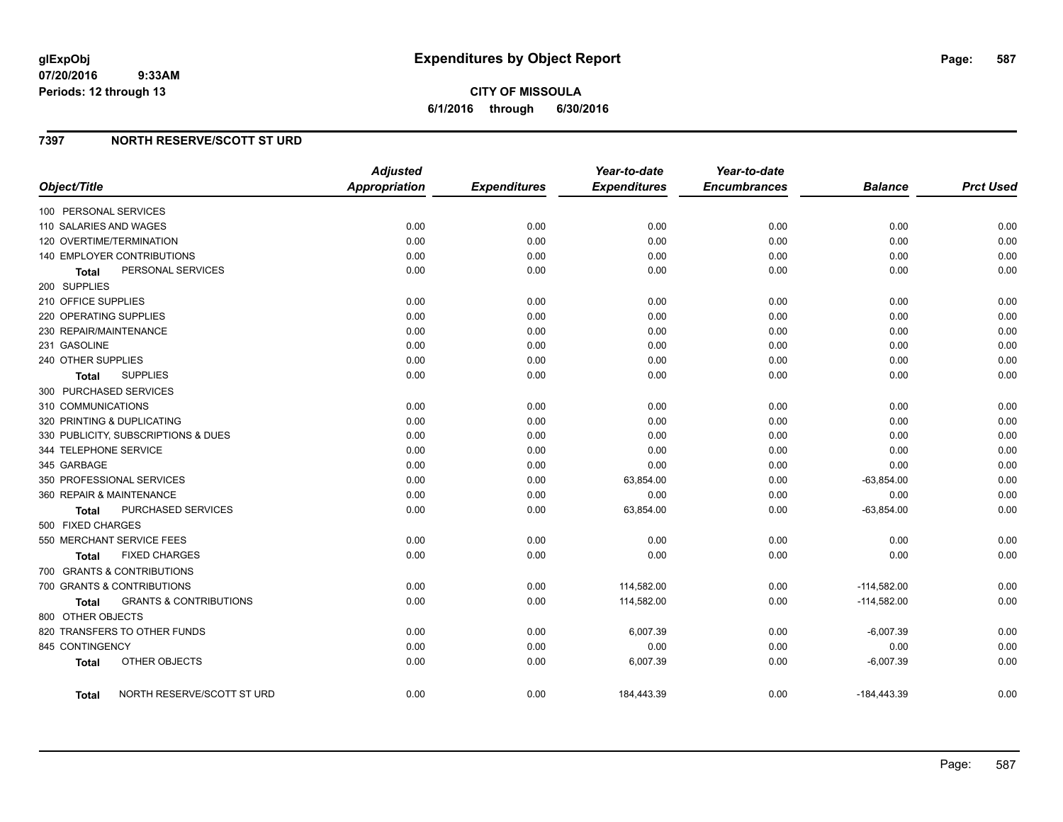**CITY OF MISSOULA 6/1/2016 through 6/30/2016**

### **7397 NORTH RESERVE/SCOTT ST URD**

|                                                   | <b>Adjusted</b> |                     | Year-to-date        | Year-to-date        |                |                  |
|---------------------------------------------------|-----------------|---------------------|---------------------|---------------------|----------------|------------------|
| Object/Title                                      | Appropriation   | <b>Expenditures</b> | <b>Expenditures</b> | <b>Encumbrances</b> | <b>Balance</b> | <b>Prct Used</b> |
| 100 PERSONAL SERVICES                             |                 |                     |                     |                     |                |                  |
| 110 SALARIES AND WAGES                            | 0.00            | 0.00                | 0.00                | 0.00                | 0.00           | 0.00             |
| 120 OVERTIME/TERMINATION                          | 0.00            | 0.00                | 0.00                | 0.00                | 0.00           | 0.00             |
| 140 EMPLOYER CONTRIBUTIONS                        | 0.00            | 0.00                | 0.00                | 0.00                | 0.00           | 0.00             |
| PERSONAL SERVICES<br><b>Total</b>                 | 0.00            | 0.00                | 0.00                | 0.00                | 0.00           | 0.00             |
| 200 SUPPLIES                                      |                 |                     |                     |                     |                |                  |
| 210 OFFICE SUPPLIES                               | 0.00            | 0.00                | 0.00                | 0.00                | 0.00           | 0.00             |
| 220 OPERATING SUPPLIES                            | 0.00            | 0.00                | 0.00                | 0.00                | 0.00           | 0.00             |
| 230 REPAIR/MAINTENANCE                            | 0.00            | 0.00                | 0.00                | 0.00                | 0.00           | 0.00             |
| 231 GASOLINE                                      | 0.00            | 0.00                | 0.00                | 0.00                | 0.00           | 0.00             |
| 240 OTHER SUPPLIES                                | 0.00            | 0.00                | 0.00                | 0.00                | 0.00           | 0.00             |
| <b>SUPPLIES</b><br>Total                          | 0.00            | 0.00                | 0.00                | 0.00                | 0.00           | 0.00             |
| 300 PURCHASED SERVICES                            |                 |                     |                     |                     |                |                  |
| 310 COMMUNICATIONS                                | 0.00            | 0.00                | 0.00                | 0.00                | 0.00           | 0.00             |
| 320 PRINTING & DUPLICATING                        | 0.00            | 0.00                | 0.00                | 0.00                | 0.00           | 0.00             |
| 330 PUBLICITY, SUBSCRIPTIONS & DUES               | 0.00            | 0.00                | 0.00                | 0.00                | 0.00           | 0.00             |
| 344 TELEPHONE SERVICE                             | 0.00            | 0.00                | 0.00                | 0.00                | 0.00           | 0.00             |
| 345 GARBAGE                                       | 0.00            | 0.00                | 0.00                | 0.00                | 0.00           | 0.00             |
| 350 PROFESSIONAL SERVICES                         | 0.00            | 0.00                | 63,854.00           | 0.00                | $-63,854.00$   | 0.00             |
| 360 REPAIR & MAINTENANCE                          | 0.00            | 0.00                | 0.00                | 0.00                | 0.00           | 0.00             |
| PURCHASED SERVICES<br>Total                       | 0.00            | 0.00                | 63,854.00           | 0.00                | $-63,854.00$   | 0.00             |
| 500 FIXED CHARGES                                 |                 |                     |                     |                     |                |                  |
| 550 MERCHANT SERVICE FEES                         | 0.00            | 0.00                | 0.00                | 0.00                | 0.00           | 0.00             |
| <b>FIXED CHARGES</b><br><b>Total</b>              | 0.00            | 0.00                | 0.00                | 0.00                | 0.00           | 0.00             |
| 700 GRANTS & CONTRIBUTIONS                        |                 |                     |                     |                     |                |                  |
| 700 GRANTS & CONTRIBUTIONS                        | 0.00            | 0.00                | 114,582.00          | 0.00                | $-114,582.00$  | 0.00             |
| <b>GRANTS &amp; CONTRIBUTIONS</b><br><b>Total</b> | 0.00            | 0.00                | 114,582.00          | 0.00                | $-114,582.00$  | 0.00             |
| 800 OTHER OBJECTS                                 |                 |                     |                     |                     |                |                  |
| 820 TRANSFERS TO OTHER FUNDS                      | 0.00            | 0.00                | 6,007.39            | 0.00                | $-6,007.39$    | 0.00             |
| 845 CONTINGENCY                                   | 0.00            | 0.00                | 0.00                | 0.00                | 0.00           | 0.00             |
| OTHER OBJECTS<br><b>Total</b>                     | 0.00            | 0.00                | 6,007.39            | 0.00                | $-6,007.39$    | 0.00             |
| NORTH RESERVE/SCOTT ST URD<br><b>Total</b>        | 0.00            | 0.00                | 184,443.39          | 0.00                | $-184,443.39$  | 0.00             |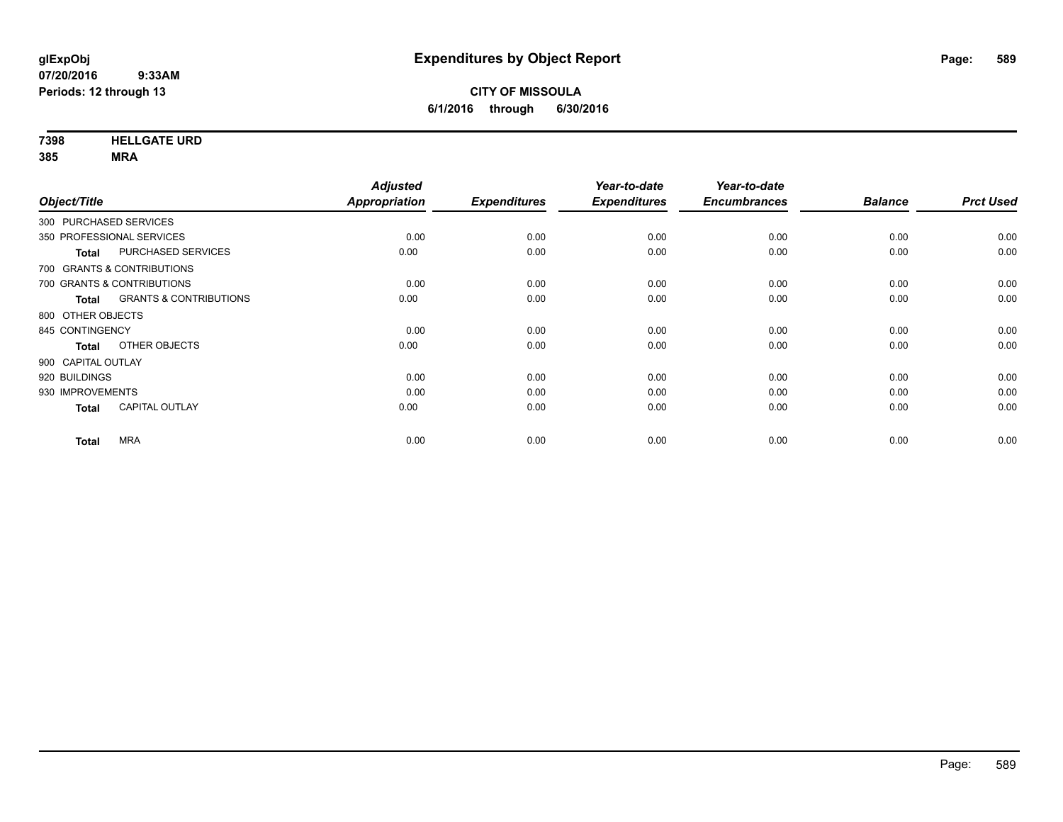**7398 HELLGATE URD**

| <b>Prct Used</b> |
|------------------|
|                  |
| 0.00             |
| 0.00             |
|                  |
| 0.00             |
| 0.00             |
|                  |
| 0.00             |
| 0.00             |
|                  |
| 0.00             |
| 0.00             |
| 0.00             |
| 0.00             |
|                  |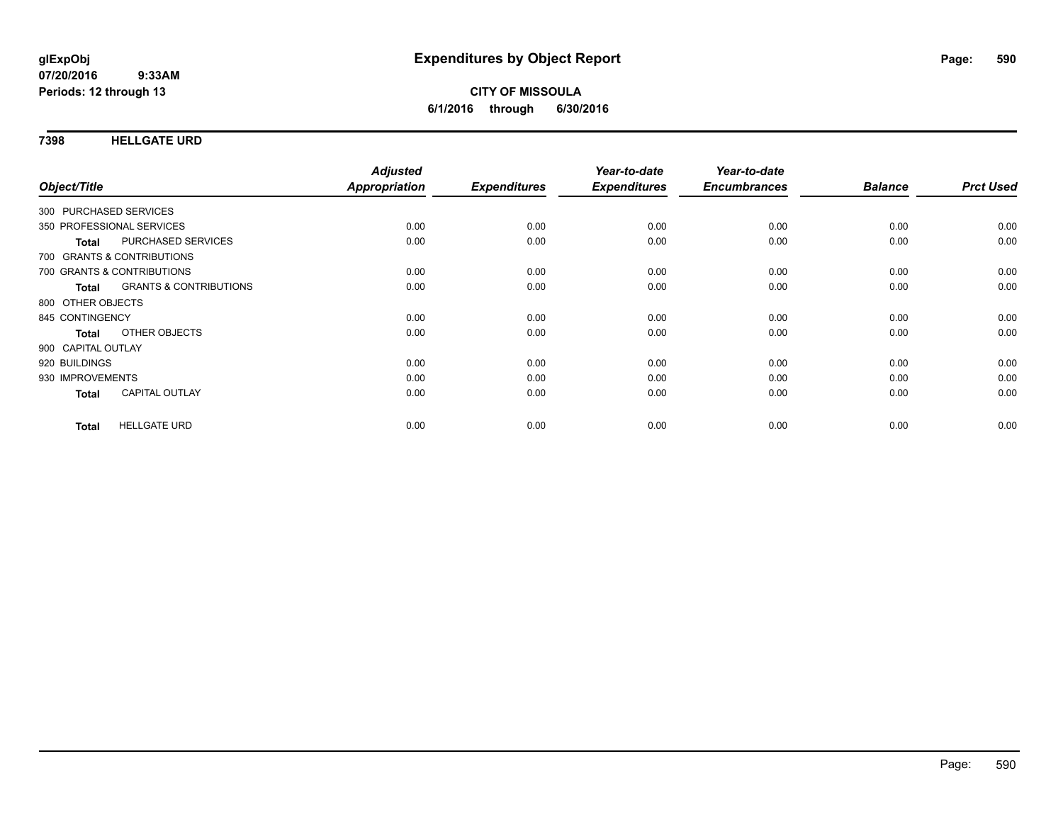### **7398 HELLGATE URD**

| Object/Title                                      | <b>Adjusted</b><br>Appropriation | <b>Expenditures</b> | Year-to-date<br><b>Expenditures</b> | Year-to-date<br><b>Encumbrances</b> | <b>Balance</b> | <b>Prct Used</b> |
|---------------------------------------------------|----------------------------------|---------------------|-------------------------------------|-------------------------------------|----------------|------------------|
|                                                   |                                  |                     |                                     |                                     |                |                  |
| 300 PURCHASED SERVICES                            |                                  |                     |                                     |                                     |                |                  |
| 350 PROFESSIONAL SERVICES                         | 0.00                             | 0.00                | 0.00                                | 0.00                                | 0.00           | 0.00             |
| PURCHASED SERVICES<br><b>Total</b>                | 0.00                             | 0.00                | 0.00                                | 0.00                                | 0.00           | 0.00             |
| 700 GRANTS & CONTRIBUTIONS                        |                                  |                     |                                     |                                     |                |                  |
| 700 GRANTS & CONTRIBUTIONS                        | 0.00                             | 0.00                | 0.00                                | 0.00                                | 0.00           | 0.00             |
| <b>GRANTS &amp; CONTRIBUTIONS</b><br><b>Total</b> | 0.00                             | 0.00                | 0.00                                | 0.00                                | 0.00           | 0.00             |
| 800 OTHER OBJECTS                                 |                                  |                     |                                     |                                     |                |                  |
| 845 CONTINGENCY                                   | 0.00                             | 0.00                | 0.00                                | 0.00                                | 0.00           | 0.00             |
| OTHER OBJECTS<br><b>Total</b>                     | 0.00                             | 0.00                | 0.00                                | 0.00                                | 0.00           | 0.00             |
| 900 CAPITAL OUTLAY                                |                                  |                     |                                     |                                     |                |                  |
| 920 BUILDINGS                                     | 0.00                             | 0.00                | 0.00                                | 0.00                                | 0.00           | 0.00             |
| 930 IMPROVEMENTS                                  | 0.00                             | 0.00                | 0.00                                | 0.00                                | 0.00           | 0.00             |
| <b>CAPITAL OUTLAY</b><br><b>Total</b>             | 0.00                             | 0.00                | 0.00                                | 0.00                                | 0.00           | 0.00             |
| <b>HELLGATE URD</b><br><b>Total</b>               | 0.00                             | 0.00                | 0.00                                | 0.00                                | 0.00           | 0.00             |
|                                                   |                                  |                     |                                     |                                     |                |                  |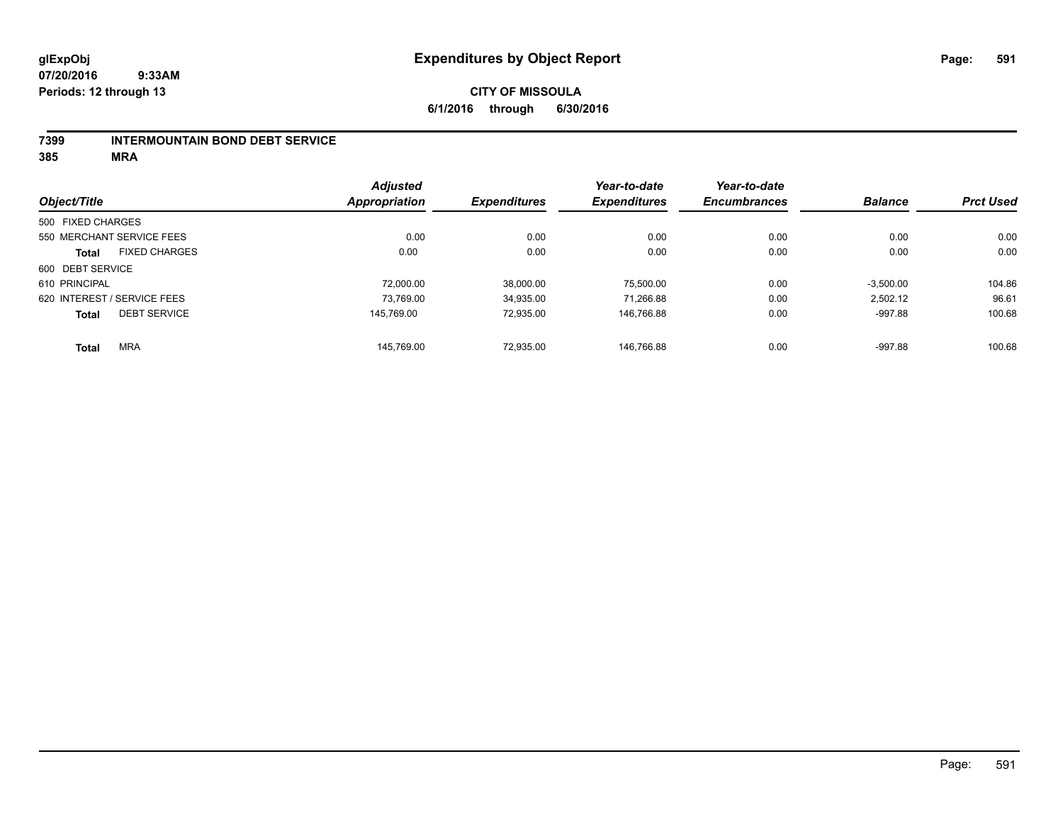#### **7399 INTERMOUNTAIN BOND DEBT SERVICE**

|                   |                             | <b>Adjusted</b> |                     | Year-to-date        | Year-to-date        |                |                  |
|-------------------|-----------------------------|-----------------|---------------------|---------------------|---------------------|----------------|------------------|
| Object/Title      |                             | Appropriation   | <b>Expenditures</b> | <b>Expenditures</b> | <b>Encumbrances</b> | <b>Balance</b> | <b>Prct Used</b> |
| 500 FIXED CHARGES |                             |                 |                     |                     |                     |                |                  |
|                   | 550 MERCHANT SERVICE FEES   | 0.00            | 0.00                | 0.00                | 0.00                | 0.00           | 0.00             |
| <b>Total</b>      | <b>FIXED CHARGES</b>        | 0.00            | 0.00                | 0.00                | 0.00                | 0.00           | 0.00             |
| 600 DEBT SERVICE  |                             |                 |                     |                     |                     |                |                  |
| 610 PRINCIPAL     |                             | 72.000.00       | 38.000.00           | 75.500.00           | 0.00                | $-3,500.00$    | 104.86           |
|                   | 620 INTEREST / SERVICE FEES | 73.769.00       | 34,935.00           | 71.266.88           | 0.00                | 2,502.12       | 96.61            |
| <b>Total</b>      | <b>DEBT SERVICE</b>         | 145.769.00      | 72.935.00           | 146.766.88          | 0.00                | $-997.88$      | 100.68           |
| <b>Total</b>      | <b>MRA</b>                  | 145.769.00      | 72.935.00           | 146.766.88          | 0.00                | $-997.88$      | 100.68           |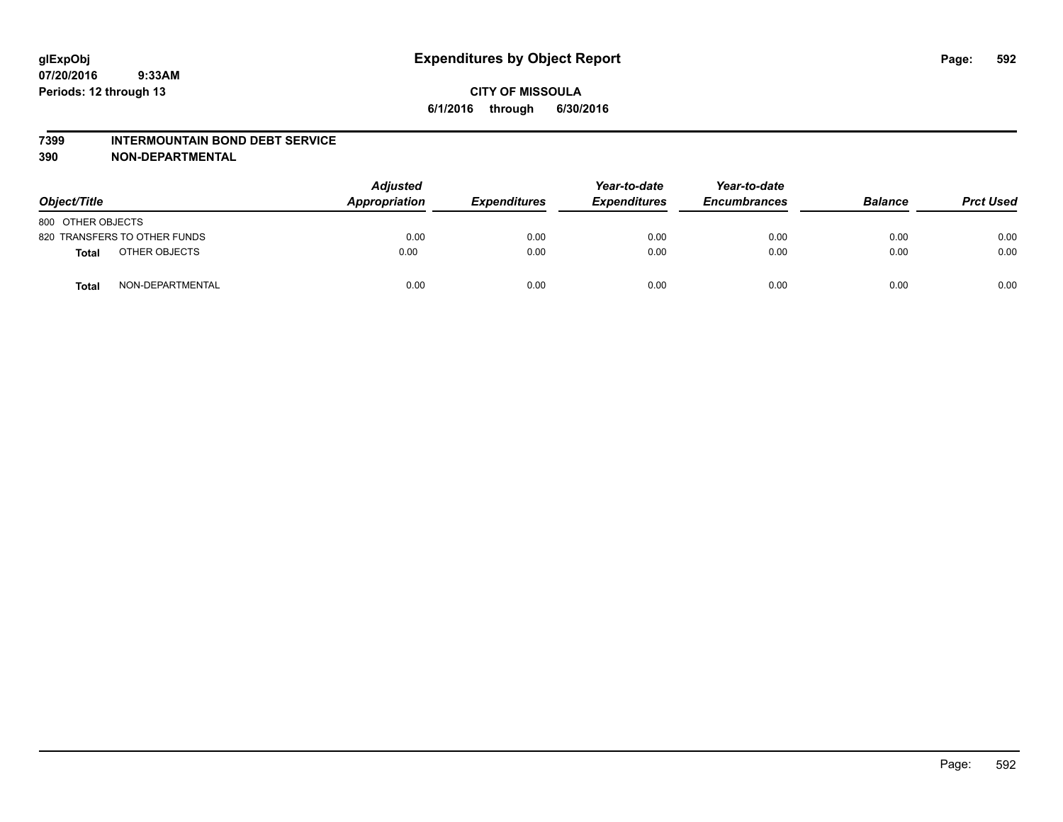#### **7399 INTERMOUNTAIN BOND DEBT SERVICE**

**390 NON-DEPARTMENTAL**

| Object/Title      |                              | <b>Adjusted</b><br>Appropriation | <b>Expenditures</b> | Year-to-date<br><b>Expenditures</b> | Year-to-date<br><b>Encumbrances</b> | <b>Balance</b> | <b>Prct Used</b> |
|-------------------|------------------------------|----------------------------------|---------------------|-------------------------------------|-------------------------------------|----------------|------------------|
| 800 OTHER OBJECTS |                              |                                  |                     |                                     |                                     |                |                  |
|                   | 820 TRANSFERS TO OTHER FUNDS | 0.00                             | 0.00                | 0.00                                | 0.00                                | 0.00           | 0.00             |
| <b>Total</b>      | OTHER OBJECTS                | 0.00                             | 0.00                | 0.00                                | 0.00                                | 0.00           | 0.00             |
| <b>Total</b>      | NON-DEPARTMENTAL             | 0.00                             | 0.00                | 0.00                                | 0.00                                | 0.00           | 0.00             |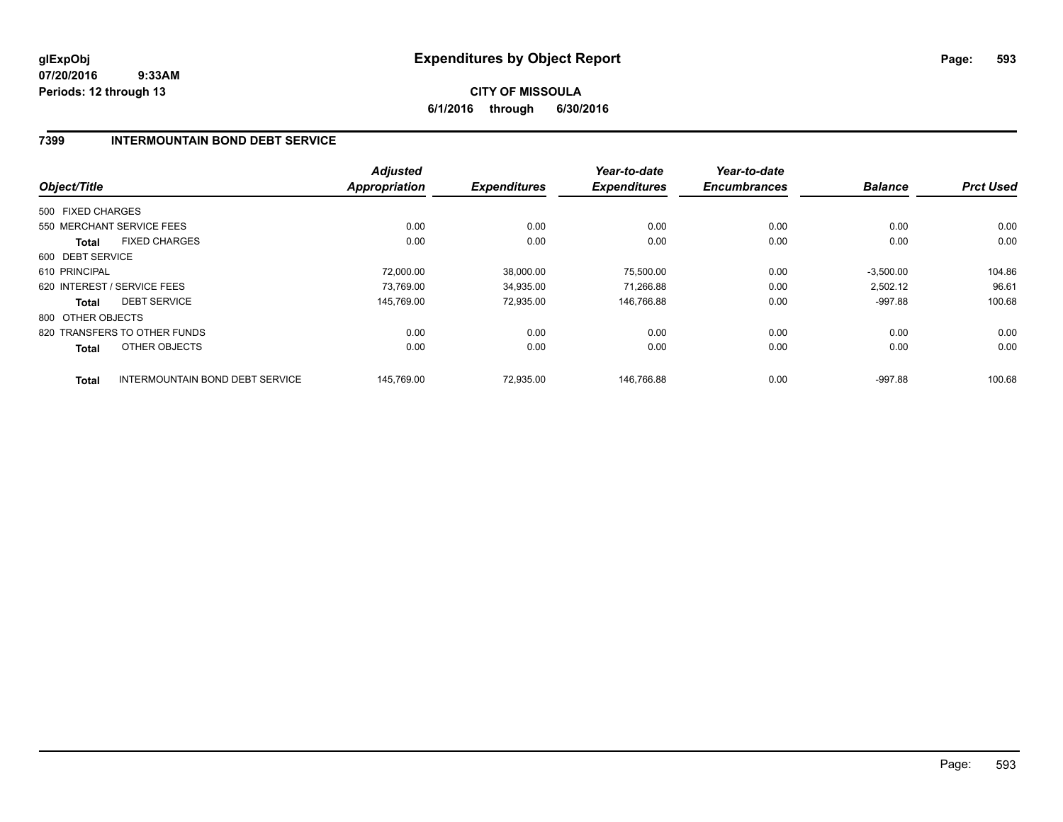# **CITY OF MISSOULA 6/1/2016 through 6/30/2016**

### **7399 INTERMOUNTAIN BOND DEBT SERVICE**

|                   |                                        | <b>Adjusted</b>      |                     | Year-to-date        | Year-to-date        |                |                  |
|-------------------|----------------------------------------|----------------------|---------------------|---------------------|---------------------|----------------|------------------|
| Object/Title      |                                        | <b>Appropriation</b> | <b>Expenditures</b> | <b>Expenditures</b> | <b>Encumbrances</b> | <b>Balance</b> | <b>Prct Used</b> |
| 500 FIXED CHARGES |                                        |                      |                     |                     |                     |                |                  |
|                   | 550 MERCHANT SERVICE FEES              | 0.00                 | 0.00                | 0.00                | 0.00                | 0.00           | 0.00             |
| <b>Total</b>      | <b>FIXED CHARGES</b>                   | 0.00                 | 0.00                | 0.00                | 0.00                | 0.00           | 0.00             |
| 600 DEBT SERVICE  |                                        |                      |                     |                     |                     |                |                  |
| 610 PRINCIPAL     |                                        | 72,000.00            | 38,000.00           | 75,500.00           | 0.00                | $-3,500.00$    | 104.86           |
|                   | 620 INTEREST / SERVICE FEES            | 73,769.00            | 34,935.00           | 71,266.88           | 0.00                | 2,502.12       | 96.61            |
| <b>Total</b>      | <b>DEBT SERVICE</b>                    | 145.769.00           | 72,935.00           | 146,766.88          | 0.00                | $-997.88$      | 100.68           |
| 800 OTHER OBJECTS |                                        |                      |                     |                     |                     |                |                  |
|                   | 820 TRANSFERS TO OTHER FUNDS           | 0.00                 | 0.00                | 0.00                | 0.00                | 0.00           | 0.00             |
| <b>Total</b>      | OTHER OBJECTS                          | 0.00                 | 0.00                | 0.00                | 0.00                | 0.00           | 0.00             |
| <b>Total</b>      | <b>INTERMOUNTAIN BOND DEBT SERVICE</b> | 145.769.00           | 72.935.00           | 146.766.88          | 0.00                | $-997.88$      | 100.68           |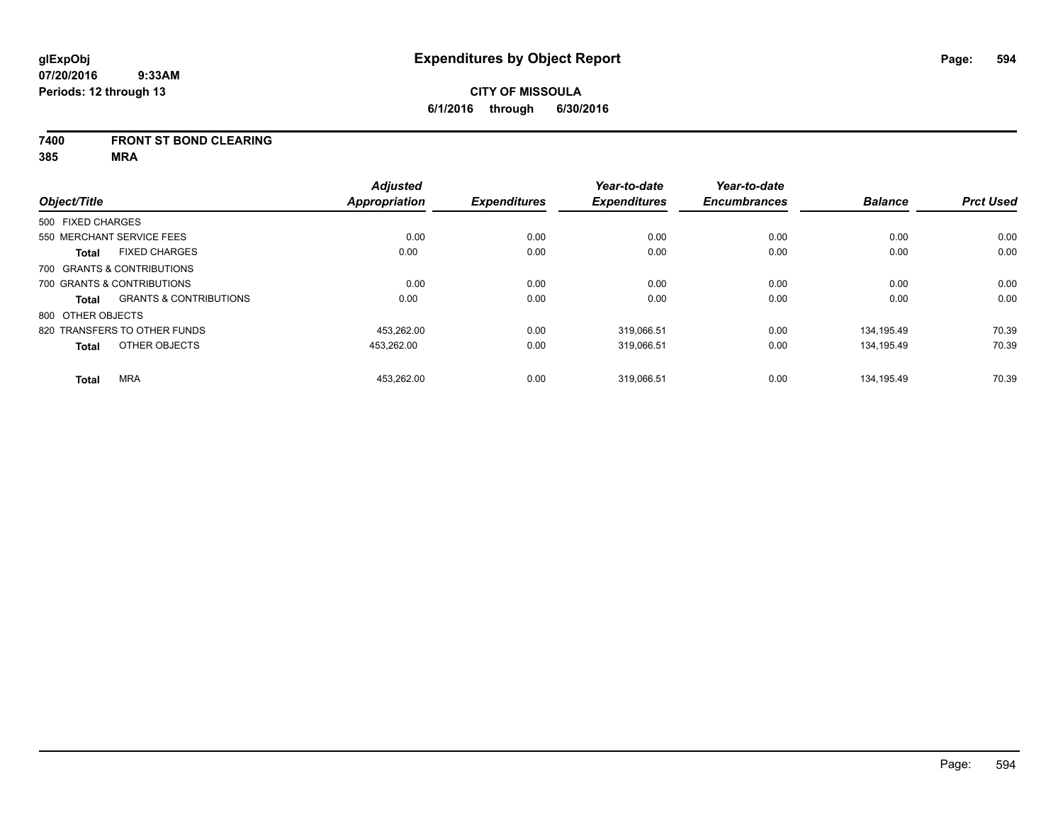### **7400 FRONT ST BOND CLEARING**

|                   |                                   | <b>Adjusted</b> |                     | Year-to-date        | Year-to-date        |                |                  |
|-------------------|-----------------------------------|-----------------|---------------------|---------------------|---------------------|----------------|------------------|
| Object/Title      |                                   | Appropriation   | <b>Expenditures</b> | <b>Expenditures</b> | <b>Encumbrances</b> | <b>Balance</b> | <b>Prct Used</b> |
| 500 FIXED CHARGES |                                   |                 |                     |                     |                     |                |                  |
|                   | 550 MERCHANT SERVICE FEES         | 0.00            | 0.00                | 0.00                | 0.00                | 0.00           | 0.00             |
| <b>Total</b>      | <b>FIXED CHARGES</b>              | 0.00            | 0.00                | 0.00                | 0.00                | 0.00           | 0.00             |
|                   | 700 GRANTS & CONTRIBUTIONS        |                 |                     |                     |                     |                |                  |
|                   | 700 GRANTS & CONTRIBUTIONS        | 0.00            | 0.00                | 0.00                | 0.00                | 0.00           | 0.00             |
| Total             | <b>GRANTS &amp; CONTRIBUTIONS</b> | 0.00            | 0.00                | 0.00                | 0.00                | 0.00           | 0.00             |
| 800 OTHER OBJECTS |                                   |                 |                     |                     |                     |                |                  |
|                   | 820 TRANSFERS TO OTHER FUNDS      | 453.262.00      | 0.00                | 319,066.51          | 0.00                | 134.195.49     | 70.39            |
| <b>Total</b>      | OTHER OBJECTS                     | 453,262.00      | 0.00                | 319,066.51          | 0.00                | 134,195.49     | 70.39            |
| <b>Total</b>      | <b>MRA</b>                        | 453,262.00      | 0.00                | 319,066.51          | 0.00                | 134.195.49     | 70.39            |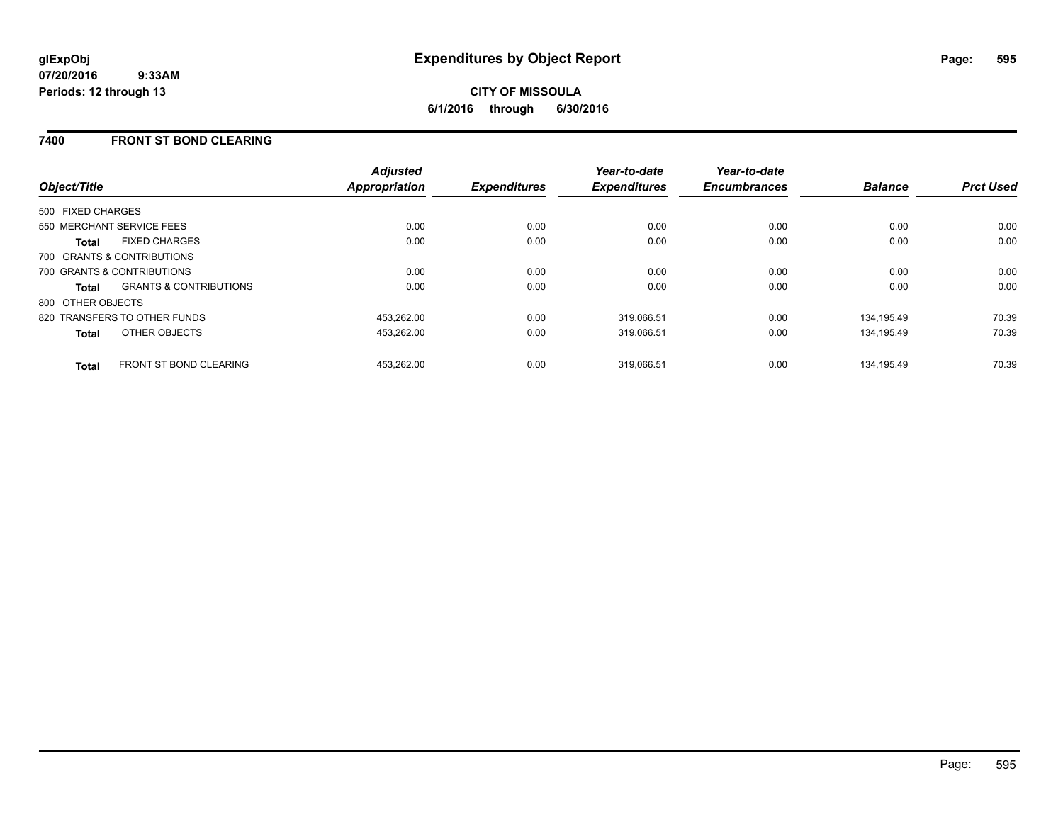# **CITY OF MISSOULA 6/1/2016 through 6/30/2016**

### **7400 FRONT ST BOND CLEARING**

| Object/Title                                      | <b>Adjusted</b><br><b>Appropriation</b> | <b>Expenditures</b> | Year-to-date<br><b>Expenditures</b> | Year-to-date<br><b>Encumbrances</b> | <b>Balance</b> | <b>Prct Used</b> |
|---------------------------------------------------|-----------------------------------------|---------------------|-------------------------------------|-------------------------------------|----------------|------------------|
| 500 FIXED CHARGES                                 |                                         |                     |                                     |                                     |                |                  |
| 550 MERCHANT SERVICE FEES                         | 0.00                                    | 0.00                | 0.00                                | 0.00                                | 0.00           | 0.00             |
| <b>FIXED CHARGES</b><br><b>Total</b>              | 0.00                                    | 0.00                | 0.00                                | 0.00                                | 0.00           | 0.00             |
| 700 GRANTS & CONTRIBUTIONS                        |                                         |                     |                                     |                                     |                |                  |
| 700 GRANTS & CONTRIBUTIONS                        | 0.00                                    | 0.00                | 0.00                                | 0.00                                | 0.00           | 0.00             |
| <b>GRANTS &amp; CONTRIBUTIONS</b><br><b>Total</b> | 0.00                                    | 0.00                | 0.00                                | 0.00                                | 0.00           | 0.00             |
| 800 OTHER OBJECTS                                 |                                         |                     |                                     |                                     |                |                  |
| 820 TRANSFERS TO OTHER FUNDS                      | 453.262.00                              | 0.00                | 319,066.51                          | 0.00                                | 134.195.49     | 70.39            |
| OTHER OBJECTS<br><b>Total</b>                     | 453,262.00                              | 0.00                | 319,066.51                          | 0.00                                | 134.195.49     | 70.39            |
| <b>FRONT ST BOND CLEARING</b><br><b>Total</b>     | 453.262.00                              | 0.00                | 319.066.51                          | 0.00                                | 134.195.49     | 70.39            |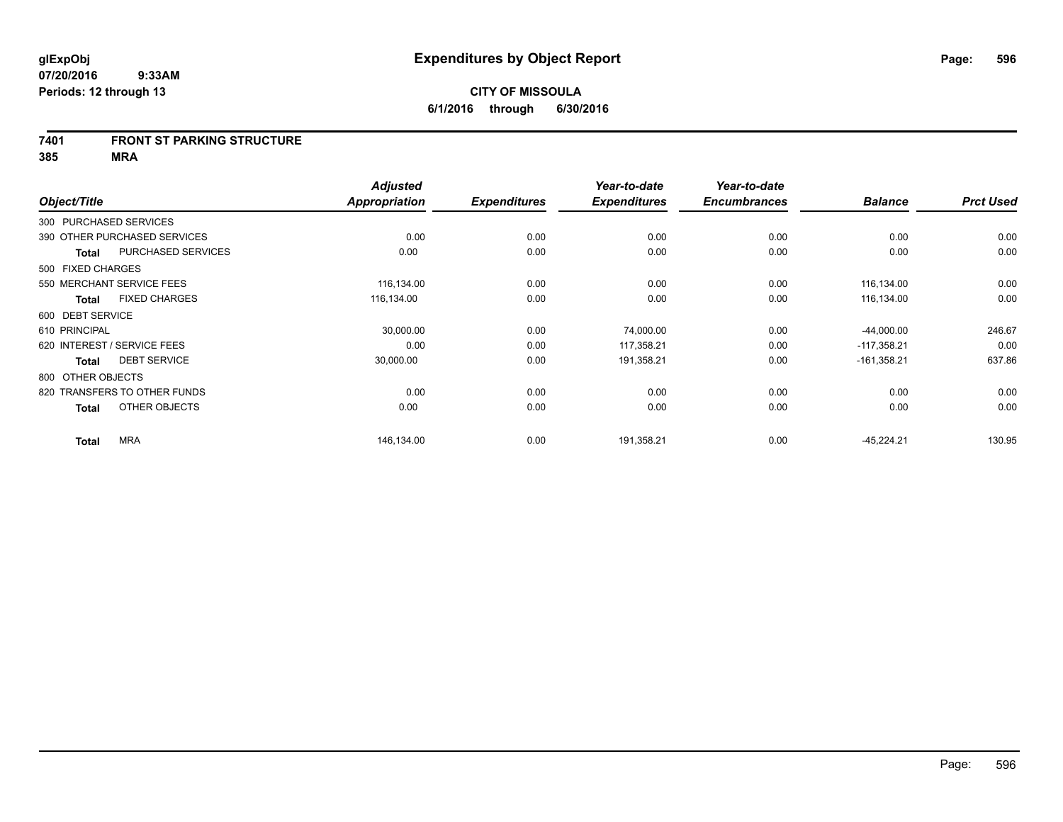#### **7401 FRONT ST PARKING STRUCTURE**

|                        |                              | <b>Adjusted</b> |                     | Year-to-date        | Year-to-date        |                |                  |
|------------------------|------------------------------|-----------------|---------------------|---------------------|---------------------|----------------|------------------|
| Object/Title           |                              | Appropriation   | <b>Expenditures</b> | <b>Expenditures</b> | <b>Encumbrances</b> | <b>Balance</b> | <b>Prct Used</b> |
| 300 PURCHASED SERVICES |                              |                 |                     |                     |                     |                |                  |
|                        | 390 OTHER PURCHASED SERVICES | 0.00            | 0.00                | 0.00                | 0.00                | 0.00           | 0.00             |
| <b>Total</b>           | PURCHASED SERVICES           | 0.00            | 0.00                | 0.00                | 0.00                | 0.00           | 0.00             |
| 500 FIXED CHARGES      |                              |                 |                     |                     |                     |                |                  |
|                        | 550 MERCHANT SERVICE FEES    | 116,134.00      | 0.00                | 0.00                | 0.00                | 116,134.00     | 0.00             |
| <b>Total</b>           | <b>FIXED CHARGES</b>         | 116,134.00      | 0.00                | 0.00                | 0.00                | 116,134.00     | 0.00             |
| 600 DEBT SERVICE       |                              |                 |                     |                     |                     |                |                  |
| 610 PRINCIPAL          |                              | 30,000.00       | 0.00                | 74,000.00           | 0.00                | $-44,000.00$   | 246.67           |
|                        | 620 INTEREST / SERVICE FEES  | 0.00            | 0.00                | 117,358.21          | 0.00                | $-117,358.21$  | 0.00             |
| <b>Total</b>           | <b>DEBT SERVICE</b>          | 30,000.00       | 0.00                | 191,358.21          | 0.00                | $-161,358.21$  | 637.86           |
| 800 OTHER OBJECTS      |                              |                 |                     |                     |                     |                |                  |
|                        | 820 TRANSFERS TO OTHER FUNDS | 0.00            | 0.00                | 0.00                | 0.00                | 0.00           | 0.00             |
| <b>Total</b>           | OTHER OBJECTS                | 0.00            | 0.00                | 0.00                | 0.00                | 0.00           | 0.00             |
| <b>Total</b>           | <b>MRA</b>                   | 146,134.00      | 0.00                | 191,358.21          | 0.00                | $-45,224.21$   | 130.95           |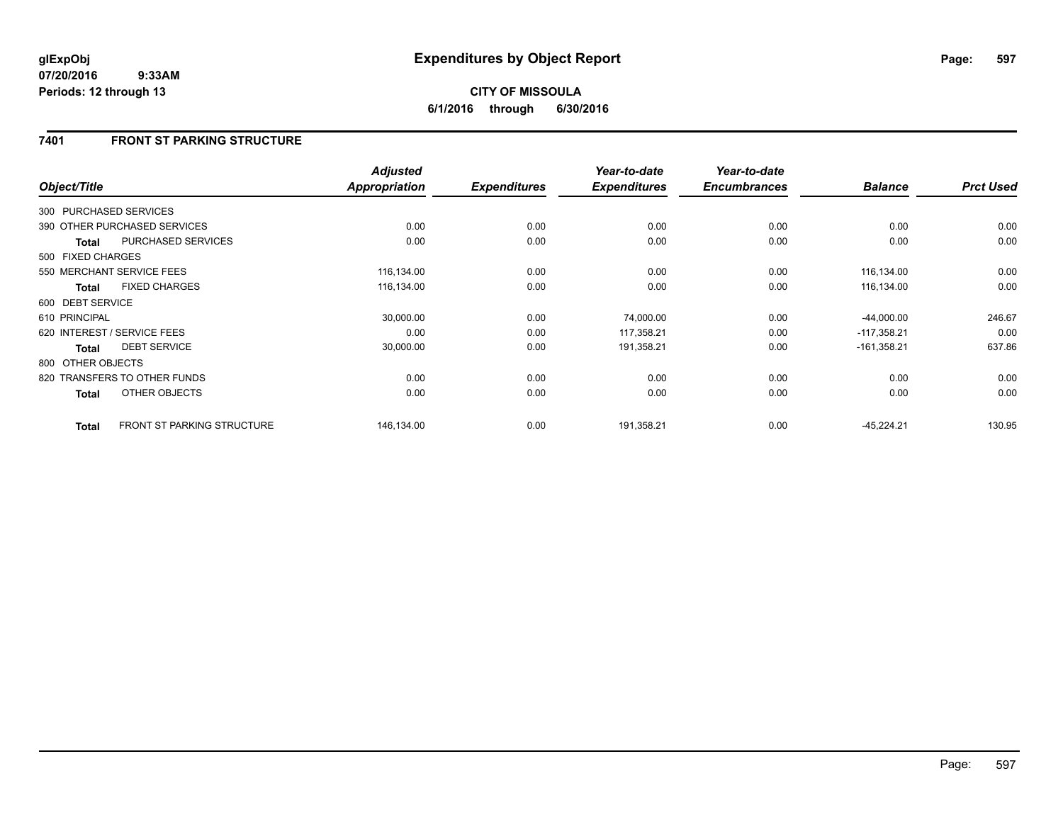# **7401 FRONT ST PARKING STRUCTURE**

|                   |                                   | <b>Adjusted</b> |                     | Year-to-date        | Year-to-date        |                |                  |
|-------------------|-----------------------------------|-----------------|---------------------|---------------------|---------------------|----------------|------------------|
| Object/Title      |                                   | Appropriation   | <b>Expenditures</b> | <b>Expenditures</b> | <b>Encumbrances</b> | <b>Balance</b> | <b>Prct Used</b> |
|                   | 300 PURCHASED SERVICES            |                 |                     |                     |                     |                |                  |
|                   | 390 OTHER PURCHASED SERVICES      | 0.00            | 0.00                | 0.00                | 0.00                | 0.00           | 0.00             |
| Total             | PURCHASED SERVICES                | 0.00            | 0.00                | 0.00                | 0.00                | 0.00           | 0.00             |
| 500 FIXED CHARGES |                                   |                 |                     |                     |                     |                |                  |
|                   | 550 MERCHANT SERVICE FEES         | 116,134.00      | 0.00                | 0.00                | 0.00                | 116,134.00     | 0.00             |
| <b>Total</b>      | <b>FIXED CHARGES</b>              | 116,134.00      | 0.00                | 0.00                | 0.00                | 116,134.00     | 0.00             |
| 600 DEBT SERVICE  |                                   |                 |                     |                     |                     |                |                  |
| 610 PRINCIPAL     |                                   | 30,000.00       | 0.00                | 74,000.00           | 0.00                | $-44,000.00$   | 246.67           |
|                   | 620 INTEREST / SERVICE FEES       | 0.00            | 0.00                | 117,358.21          | 0.00                | $-117.358.21$  | 0.00             |
| <b>Total</b>      | <b>DEBT SERVICE</b>               | 30,000.00       | 0.00                | 191,358.21          | 0.00                | $-161,358.21$  | 637.86           |
| 800 OTHER OBJECTS |                                   |                 |                     |                     |                     |                |                  |
|                   | 820 TRANSFERS TO OTHER FUNDS      | 0.00            | 0.00                | 0.00                | 0.00                | 0.00           | 0.00             |
| <b>Total</b>      | OTHER OBJECTS                     | 0.00            | 0.00                | 0.00                | 0.00                | 0.00           | 0.00             |
| <b>Total</b>      | <b>FRONT ST PARKING STRUCTURE</b> | 146,134.00      | 0.00                | 191,358.21          | 0.00                | $-45,224.21$   | 130.95           |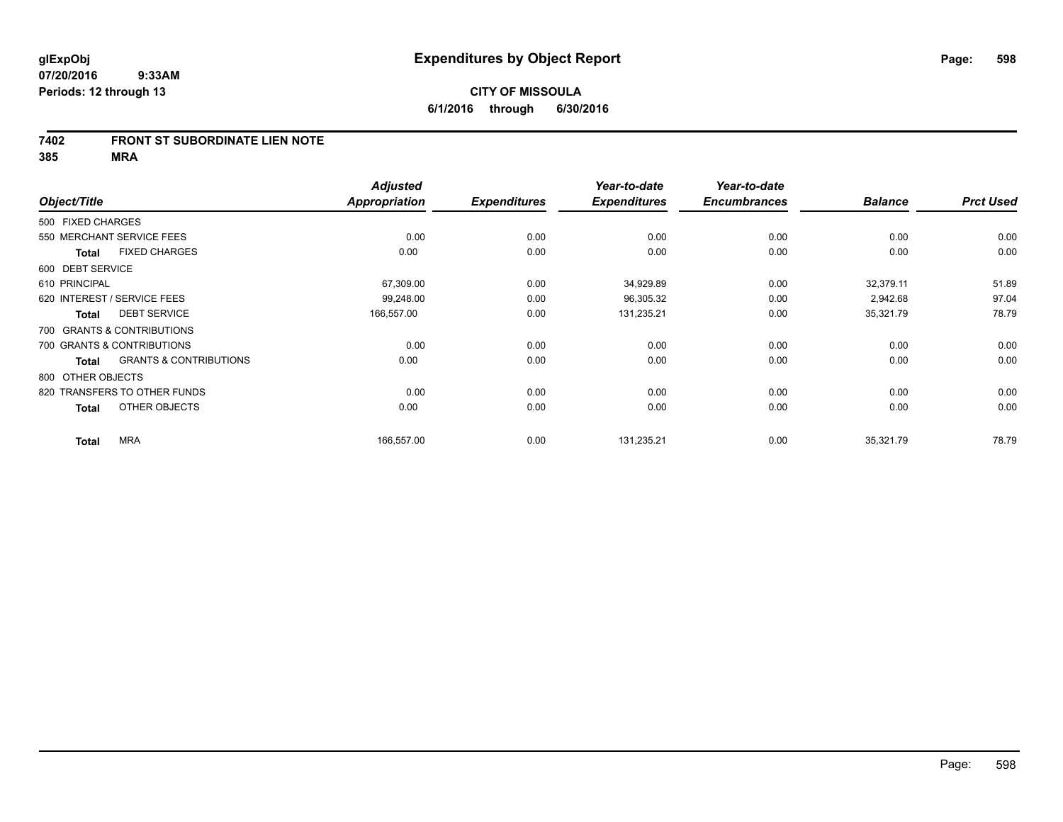#### **7402 FRONT ST SUBORDINATE LIEN NOTE**

|                   |                                   | <b>Adjusted</b> |                     | Year-to-date        | Year-to-date        |                |                  |
|-------------------|-----------------------------------|-----------------|---------------------|---------------------|---------------------|----------------|------------------|
| Object/Title      |                                   | Appropriation   | <b>Expenditures</b> | <b>Expenditures</b> | <b>Encumbrances</b> | <b>Balance</b> | <b>Prct Used</b> |
| 500 FIXED CHARGES |                                   |                 |                     |                     |                     |                |                  |
|                   | 550 MERCHANT SERVICE FEES         | 0.00            | 0.00                | 0.00                | 0.00                | 0.00           | 0.00             |
| <b>Total</b>      | <b>FIXED CHARGES</b>              | 0.00            | 0.00                | 0.00                | 0.00                | 0.00           | 0.00             |
| 600 DEBT SERVICE  |                                   |                 |                     |                     |                     |                |                  |
| 610 PRINCIPAL     |                                   | 67,309.00       | 0.00                | 34,929.89           | 0.00                | 32,379.11      | 51.89            |
|                   | 620 INTEREST / SERVICE FEES       | 99,248.00       | 0.00                | 96,305.32           | 0.00                | 2,942.68       | 97.04            |
| <b>Total</b>      | <b>DEBT SERVICE</b>               | 166,557.00      | 0.00                | 131,235.21          | 0.00                | 35,321.79      | 78.79            |
|                   | 700 GRANTS & CONTRIBUTIONS        |                 |                     |                     |                     |                |                  |
|                   | 700 GRANTS & CONTRIBUTIONS        | 0.00            | 0.00                | 0.00                | 0.00                | 0.00           | 0.00             |
| <b>Total</b>      | <b>GRANTS &amp; CONTRIBUTIONS</b> | 0.00            | 0.00                | 0.00                | 0.00                | 0.00           | 0.00             |
| 800 OTHER OBJECTS |                                   |                 |                     |                     |                     |                |                  |
|                   | 820 TRANSFERS TO OTHER FUNDS      | 0.00            | 0.00                | 0.00                | 0.00                | 0.00           | 0.00             |
| <b>Total</b>      | OTHER OBJECTS                     | 0.00            | 0.00                | 0.00                | 0.00                | 0.00           | 0.00             |
| <b>Total</b>      | <b>MRA</b>                        | 166,557.00      | 0.00                | 131,235.21          | 0.00                | 35,321.79      | 78.79            |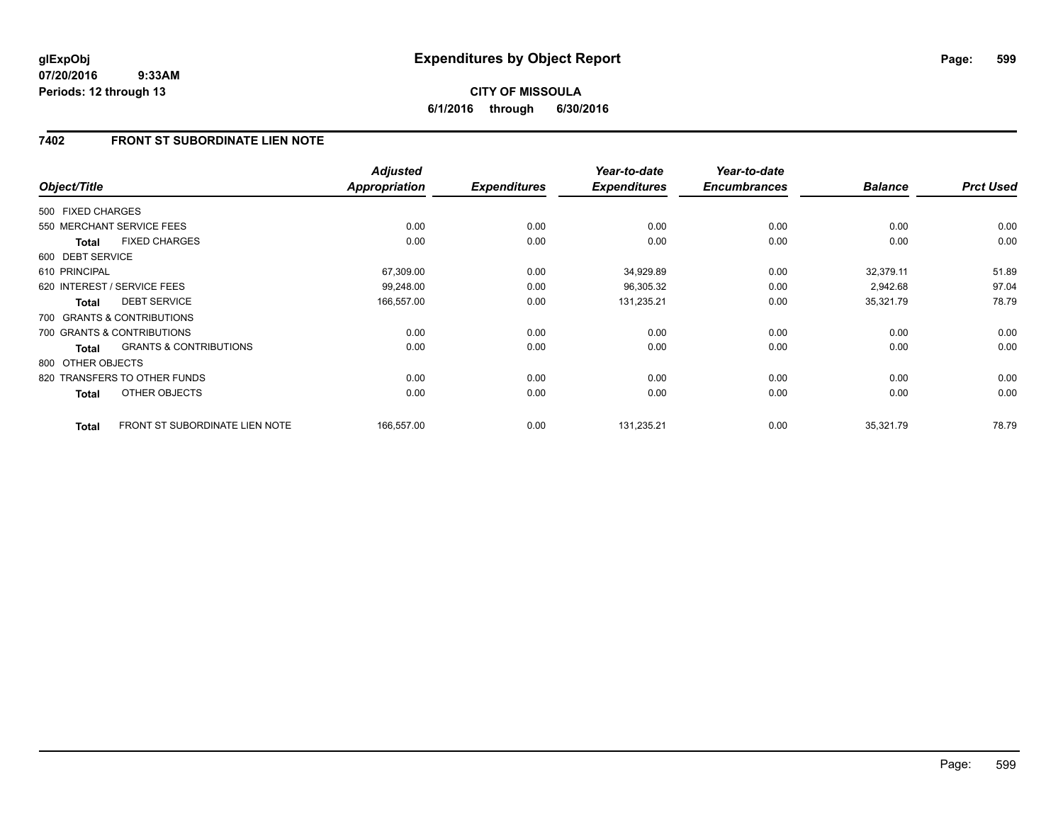# **CITY OF MISSOULA 6/1/2016 through 6/30/2016**

# **7402 FRONT ST SUBORDINATE LIEN NOTE**

| Object/Title      |                                   | <b>Adjusted</b><br><b>Appropriation</b> | <b>Expenditures</b> | Year-to-date<br><b>Expenditures</b> | Year-to-date<br><b>Encumbrances</b> | <b>Balance</b> | <b>Prct Used</b> |
|-------------------|-----------------------------------|-----------------------------------------|---------------------|-------------------------------------|-------------------------------------|----------------|------------------|
| 500 FIXED CHARGES |                                   |                                         |                     |                                     |                                     |                |                  |
|                   | 550 MERCHANT SERVICE FEES         | 0.00                                    | 0.00                | 0.00                                | 0.00                                | 0.00           | 0.00             |
| <b>Total</b>      | <b>FIXED CHARGES</b>              | 0.00                                    | 0.00                | 0.00                                | 0.00                                | 0.00           | 0.00             |
| 600 DEBT SERVICE  |                                   |                                         |                     |                                     |                                     |                |                  |
| 610 PRINCIPAL     |                                   | 67,309.00                               | 0.00                | 34,929.89                           | 0.00                                | 32,379.11      | 51.89            |
|                   | 620 INTEREST / SERVICE FEES       | 99,248.00                               | 0.00                | 96,305.32                           | 0.00                                | 2,942.68       | 97.04            |
| Total             | <b>DEBT SERVICE</b>               | 166,557.00                              | 0.00                | 131,235.21                          | 0.00                                | 35,321.79      | 78.79            |
|                   | 700 GRANTS & CONTRIBUTIONS        |                                         |                     |                                     |                                     |                |                  |
|                   | 700 GRANTS & CONTRIBUTIONS        | 0.00                                    | 0.00                | 0.00                                | 0.00                                | 0.00           | 0.00             |
| <b>Total</b>      | <b>GRANTS &amp; CONTRIBUTIONS</b> | 0.00                                    | 0.00                | 0.00                                | 0.00                                | 0.00           | 0.00             |
| 800 OTHER OBJECTS |                                   |                                         |                     |                                     |                                     |                |                  |
|                   | 820 TRANSFERS TO OTHER FUNDS      | 0.00                                    | 0.00                | 0.00                                | 0.00                                | 0.00           | 0.00             |
| <b>Total</b>      | OTHER OBJECTS                     | 0.00                                    | 0.00                | 0.00                                | 0.00                                | 0.00           | 0.00             |
| <b>Total</b>      | FRONT ST SUBORDINATE LIEN NOTE    | 166,557.00                              | 0.00                | 131,235.21                          | 0.00                                | 35,321.79      | 78.79            |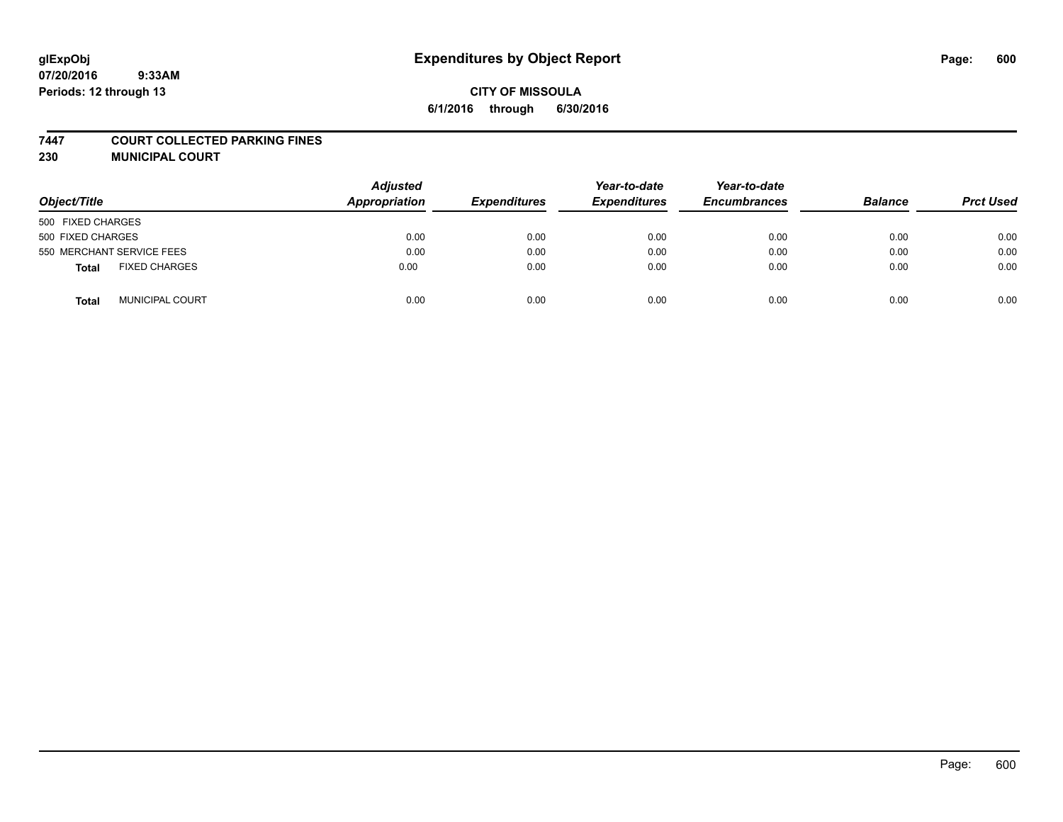#### **7447 COURT COLLECTED PARKING FINES**

**230 MUNICIPAL COURT**

| Object/Title                         | <b>Adjusted</b><br>Appropriation | <b>Expenditures</b> | Year-to-date<br><b>Expenditures</b> | Year-to-date<br><b>Encumbrances</b> | <b>Balance</b> | <b>Prct Used</b> |
|--------------------------------------|----------------------------------|---------------------|-------------------------------------|-------------------------------------|----------------|------------------|
| 500 FIXED CHARGES                    |                                  |                     |                                     |                                     |                |                  |
| 500 FIXED CHARGES                    | 0.00                             | 0.00                | 0.00                                | 0.00                                | 0.00           | 0.00             |
| 550 MERCHANT SERVICE FEES            | 0.00                             | 0.00                | 0.00                                | 0.00                                | 0.00           | 0.00             |
| <b>FIXED CHARGES</b><br><b>Total</b> | 0.00                             | 0.00                | 0.00                                | 0.00                                | 0.00           | 0.00             |
| <b>MUNICIPAL COURT</b><br>Total      | 0.00                             | 0.00                | 0.00                                | 0.00                                | 0.00           | 0.00             |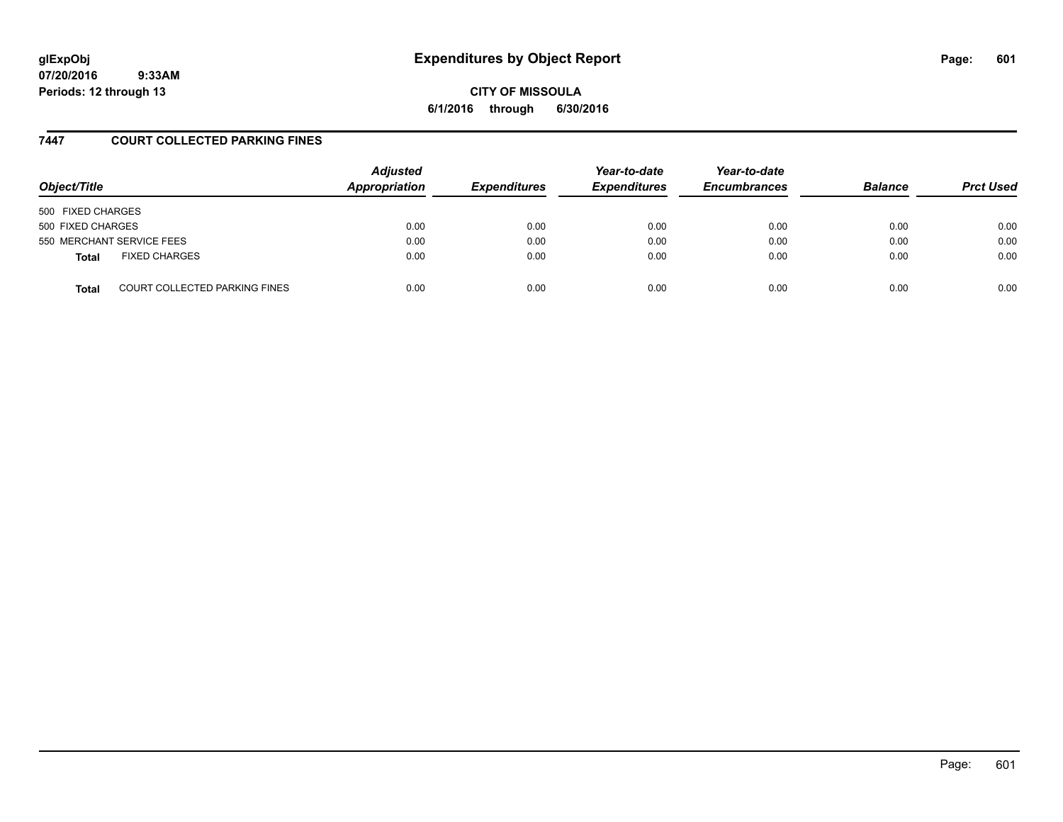# **glExpObj Expenditures by Object Report Page: 601**

**07/20/2016 9:33AM Periods: 12 through 13**

**CITY OF MISSOULA 6/1/2016 through 6/30/2016**

### **7447 COURT COLLECTED PARKING FINES**

| Object/Title      |                               | <b>Adjusted</b><br>Appropriation | <b>Expenditures</b> | Year-to-date<br><b>Expenditures</b> | Year-to-date<br><b>Encumbrances</b> | <b>Balance</b> | <b>Prct Used</b> |
|-------------------|-------------------------------|----------------------------------|---------------------|-------------------------------------|-------------------------------------|----------------|------------------|
| 500 FIXED CHARGES |                               |                                  |                     |                                     |                                     |                |                  |
| 500 FIXED CHARGES |                               | 0.00                             | 0.00                | 0.00                                | 0.00                                | 0.00           | 0.00             |
|                   | 550 MERCHANT SERVICE FEES     | 0.00                             | 0.00                | 0.00                                | 0.00                                | 0.00           | 0.00             |
| <b>Total</b>      | <b>FIXED CHARGES</b>          | 0.00                             | 0.00                | 0.00                                | 0.00                                | 0.00           | 0.00             |
| <b>Total</b>      | COURT COLLECTED PARKING FINES | 0.00                             | 0.00                | 0.00                                | 0.00                                | 0.00           | 0.00             |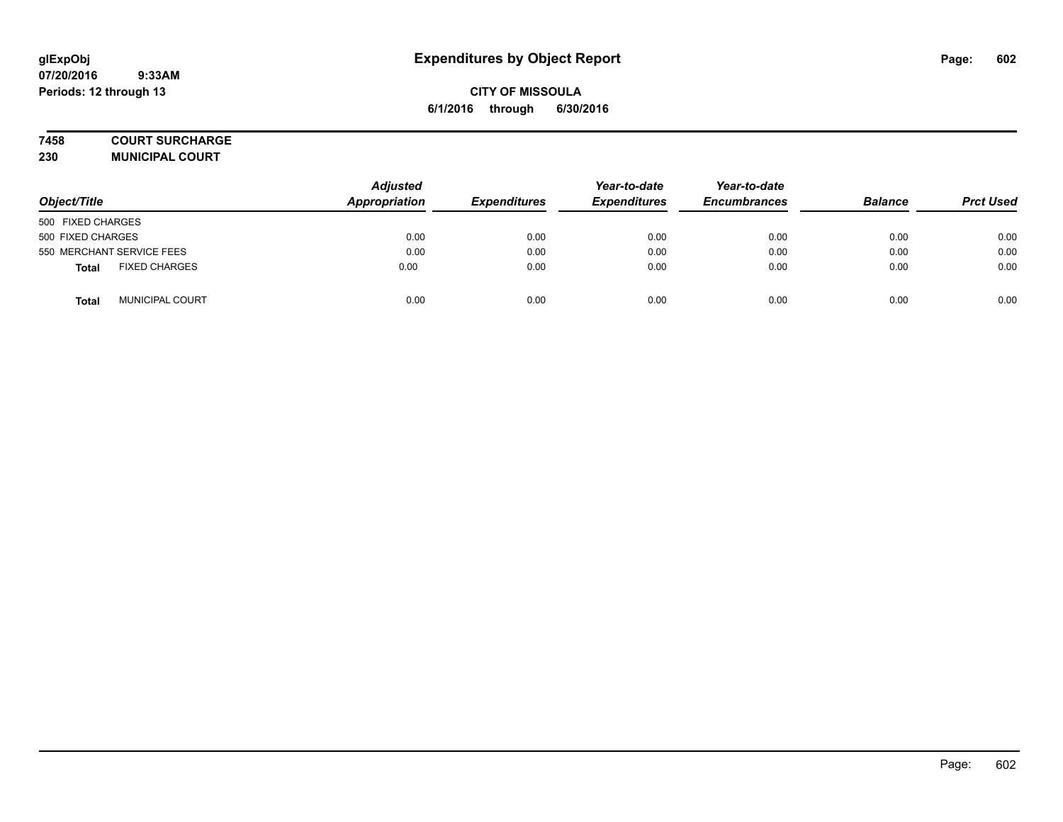### **7458 COURT SURCHARGE**

**230 MUNICIPAL COURT**

| Object/Title                         | <b>Adjusted</b><br>Appropriation | <b>Expenditures</b> | Year-to-date<br><b>Expenditures</b> | Year-to-date<br><b>Encumbrances</b> | <b>Balance</b> | <b>Prct Used</b> |
|--------------------------------------|----------------------------------|---------------------|-------------------------------------|-------------------------------------|----------------|------------------|
| 500 FIXED CHARGES                    |                                  |                     |                                     |                                     |                |                  |
| 500 FIXED CHARGES                    | 0.00                             | 0.00                | 0.00                                | 0.00                                | 0.00           | 0.00             |
| 550 MERCHANT SERVICE FEES            | 0.00                             | 0.00                | 0.00                                | 0.00                                | 0.00           | 0.00             |
| <b>FIXED CHARGES</b><br><b>Total</b> | 0.00                             | 0.00                | 0.00                                | 0.00                                | 0.00           | 0.00             |
| <b>MUNICIPAL COURT</b><br>Total      | 0.00                             | 0.00                | 0.00                                | 0.00                                | 0.00           | 0.00             |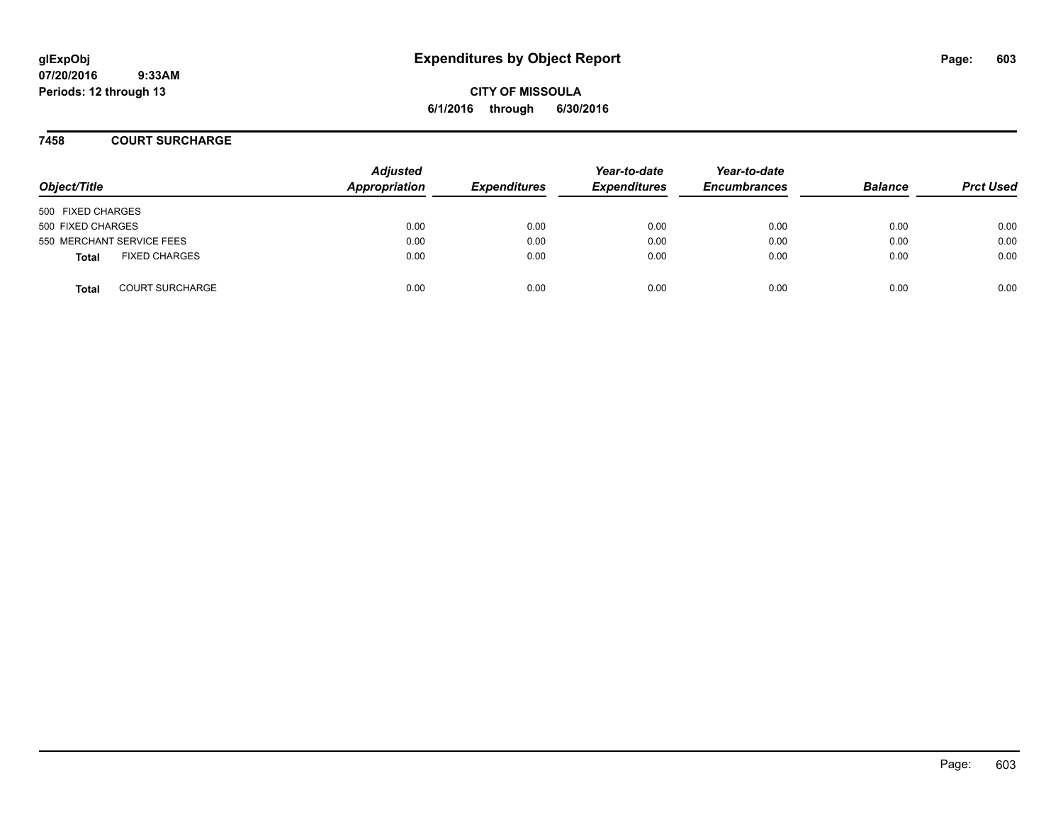**CITY OF MISSOULA 6/1/2016 through 6/30/2016**

### **7458 COURT SURCHARGE**

| Object/Title              |                        | <b>Adjusted</b><br>Appropriation | <b>Expenditures</b> | Year-to-date<br><b>Expenditures</b> | Year-to-date<br><b>Encumbrances</b> | <b>Balance</b> | <b>Prct Used</b> |
|---------------------------|------------------------|----------------------------------|---------------------|-------------------------------------|-------------------------------------|----------------|------------------|
| 500 FIXED CHARGES         |                        |                                  |                     |                                     |                                     |                |                  |
| 500 FIXED CHARGES         |                        | 0.00                             | 0.00                | 0.00                                | 0.00                                | 0.00           | 0.00             |
| 550 MERCHANT SERVICE FEES |                        | 0.00                             | 0.00                | 0.00                                | 0.00                                | 0.00           | 0.00             |
| Total                     | <b>FIXED CHARGES</b>   | 0.00                             | 0.00                | 0.00                                | 0.00                                | 0.00           | 0.00             |
| <b>Total</b>              | <b>COURT SURCHARGE</b> | 0.00                             | 0.00                | 0.00                                | 0.00                                | 0.00           | 0.00             |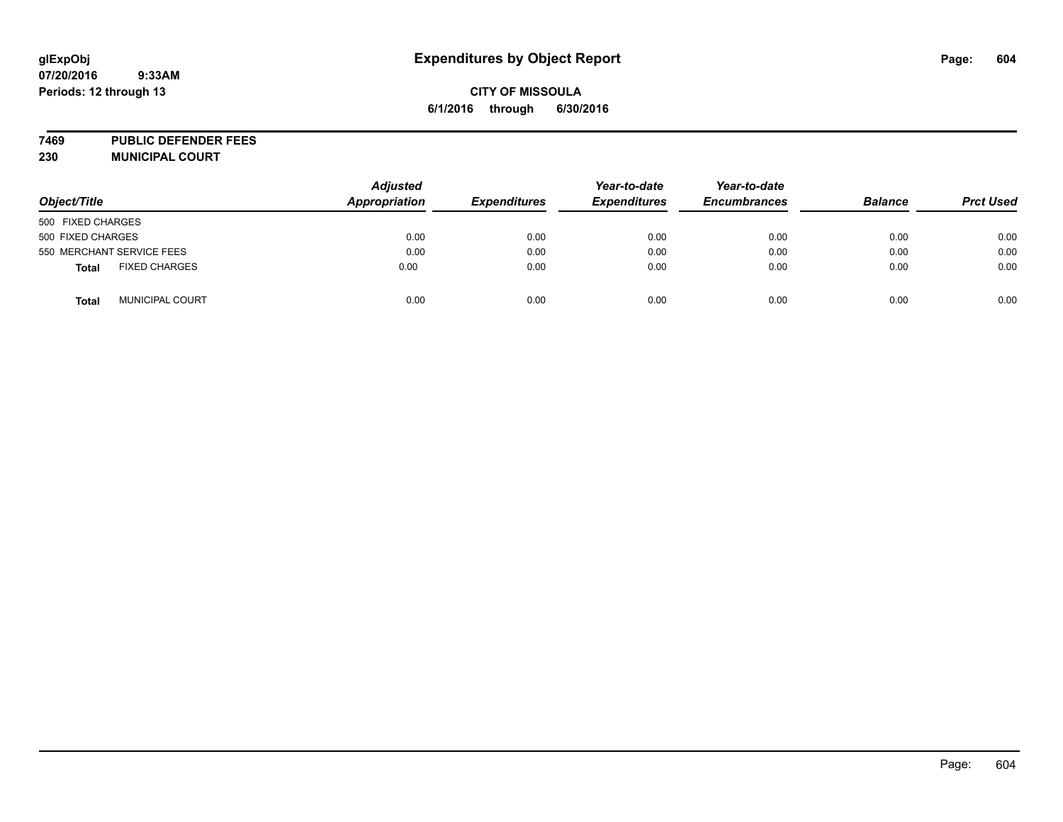# **glExpObj Expenditures by Object Report Page: 604**

#### **07/20/2016 9:33AM Periods: 12 through 13**

### **CITY OF MISSOULA 6/1/2016 through 6/30/2016**

**7469 PUBLIC DEFENDER FEES 230 MUNICIPAL COURT**

|                                        | <b>Adjusted</b>      |                     | Year-to-date        | Year-to-date        |                |                  |
|----------------------------------------|----------------------|---------------------|---------------------|---------------------|----------------|------------------|
| Object/Title                           | <b>Appropriation</b> | <b>Expenditures</b> | <b>Expenditures</b> | <b>Encumbrances</b> | <b>Balance</b> | <b>Prct Used</b> |
| 500 FIXED CHARGES                      |                      |                     |                     |                     |                |                  |
| 500 FIXED CHARGES                      | 0.00                 | 0.00                | 0.00                | 0.00                | 0.00           | 0.00             |
| 550 MERCHANT SERVICE FEES              | 0.00                 | 0.00                | 0.00                | 0.00                | 0.00           | 0.00             |
| <b>FIXED CHARGES</b><br>Total          | 0.00                 | 0.00                | 0.00                | 0.00                | 0.00           | 0.00             |
| <b>MUNICIPAL COURT</b><br><b>Total</b> | 0.00                 | 0.00                | 0.00                | 0.00                | 0.00           | 0.00             |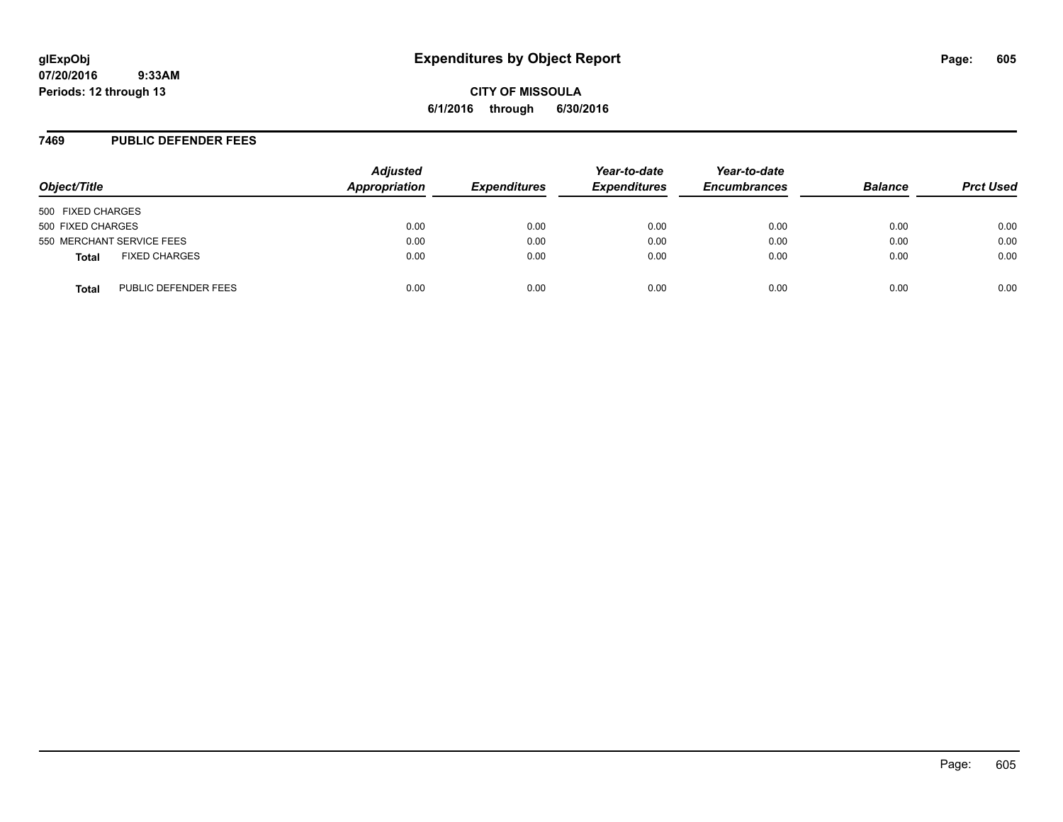# **glExpObj Expenditures by Object Report Page: 605**

**07/20/2016 9:33AM Periods: 12 through 13**

**CITY OF MISSOULA 6/1/2016 through 6/30/2016**

#### **7469 PUBLIC DEFENDER FEES**

| Object/Title                         | <b>Adjusted</b><br><b>Appropriation</b> | <b>Expenditures</b> | Year-to-date<br><b>Expenditures</b> | Year-to-date<br><b>Encumbrances</b> | <b>Balance</b> | <b>Prct Used</b> |
|--------------------------------------|-----------------------------------------|---------------------|-------------------------------------|-------------------------------------|----------------|------------------|
| 500 FIXED CHARGES                    |                                         |                     |                                     |                                     |                |                  |
| 500 FIXED CHARGES                    | 0.00                                    | 0.00                | 0.00                                | 0.00                                | 0.00           | 0.00             |
| 550 MERCHANT SERVICE FEES            | 0.00                                    | 0.00                | 0.00                                | 0.00                                | 0.00           | 0.00             |
| <b>FIXED CHARGES</b><br><b>Total</b> | 0.00                                    | 0.00                | 0.00                                | 0.00                                | 0.00           | 0.00             |
| PUBLIC DEFENDER FEES<br><b>Total</b> | 0.00                                    | 0.00                | 0.00                                | 0.00                                | 0.00           | 0.00             |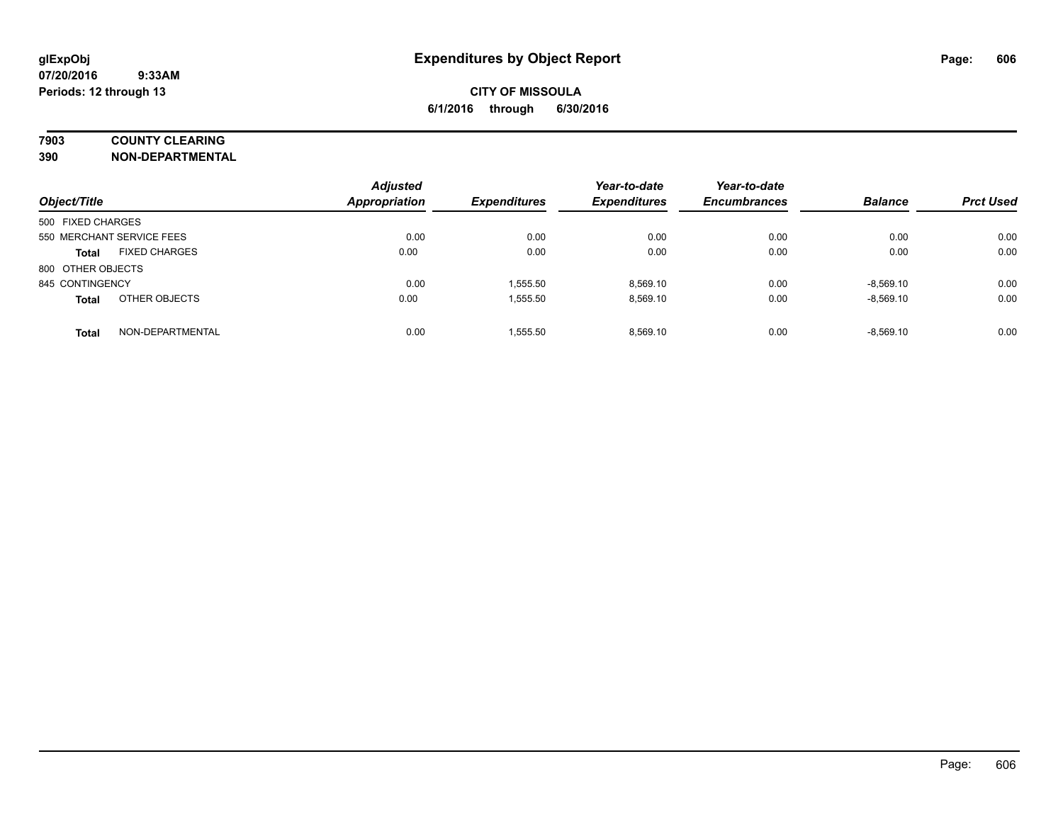### **7903 COUNTY CLEARING**

**390 NON-DEPARTMENTAL**

| Object/Title              |                      | <b>Adjusted</b><br><b>Appropriation</b> | <b>Expenditures</b> | Year-to-date<br><b>Expenditures</b> | Year-to-date<br><b>Encumbrances</b> | <b>Balance</b> | <b>Prct Used</b> |
|---------------------------|----------------------|-----------------------------------------|---------------------|-------------------------------------|-------------------------------------|----------------|------------------|
| 500 FIXED CHARGES         |                      |                                         |                     |                                     |                                     |                |                  |
| 550 MERCHANT SERVICE FEES |                      | 0.00                                    | 0.00                | 0.00                                | 0.00                                | 0.00           | 0.00             |
| <b>Total</b>              | <b>FIXED CHARGES</b> | 0.00                                    | 0.00                | 0.00                                | 0.00                                | 0.00           | 0.00             |
| 800 OTHER OBJECTS         |                      |                                         |                     |                                     |                                     |                |                  |
| 845 CONTINGENCY           |                      | 0.00                                    | 1,555.50            | 8.569.10                            | 0.00                                | $-8,569.10$    | 0.00             |
| <b>Total</b>              | OTHER OBJECTS        | 0.00                                    | 1,555.50            | 8.569.10                            | 0.00                                | $-8,569.10$    | 0.00             |
| <b>Total</b>              | NON-DEPARTMENTAL     | 0.00                                    | 1.555.50            | 8.569.10                            | 0.00                                | $-8.569.10$    | 0.00             |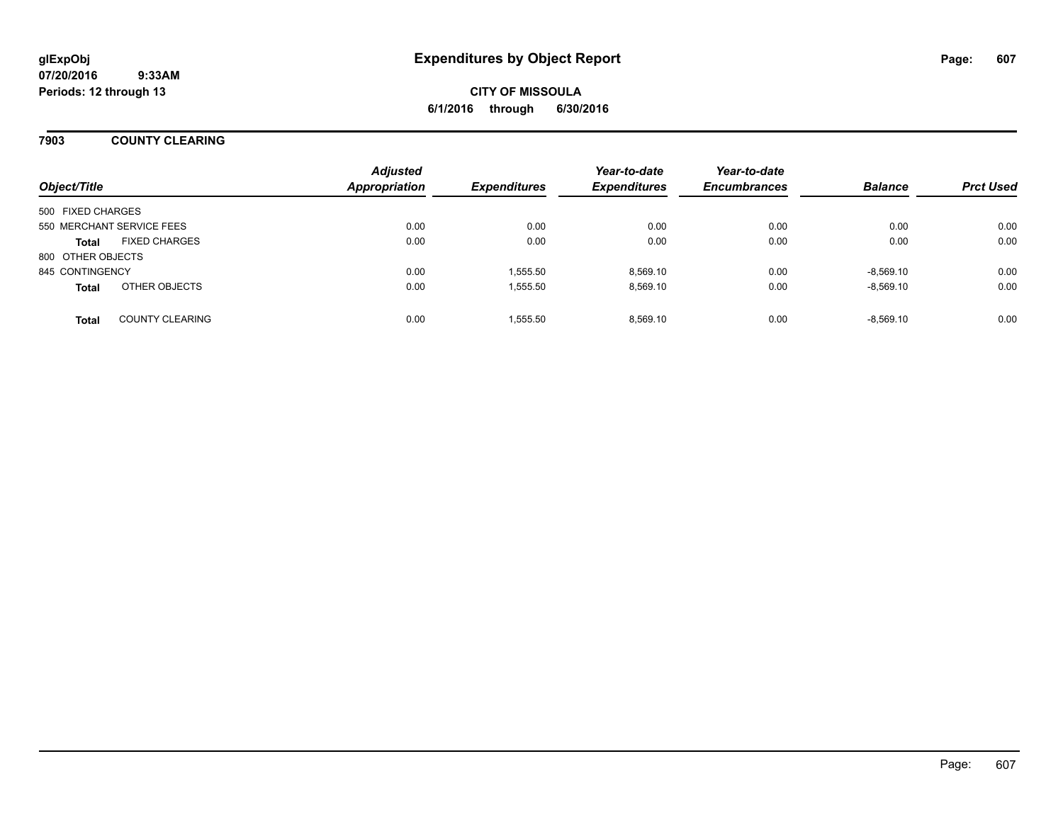# **CITY OF MISSOULA 6/1/2016 through 6/30/2016**

### **7903 COUNTY CLEARING**

| Object/Title                           | <b>Adjusted</b><br><b>Appropriation</b> | <b>Expenditures</b> | Year-to-date<br><b>Expenditures</b> | Year-to-date<br><b>Encumbrances</b> | <b>Balance</b> | <b>Prct Used</b> |
|----------------------------------------|-----------------------------------------|---------------------|-------------------------------------|-------------------------------------|----------------|------------------|
| 500 FIXED CHARGES                      |                                         |                     |                                     |                                     |                |                  |
| 550 MERCHANT SERVICE FEES              | 0.00                                    | 0.00                | 0.00                                | 0.00                                | 0.00           | 0.00             |
| <b>FIXED CHARGES</b><br><b>Total</b>   | 0.00                                    | 0.00                | 0.00                                | 0.00                                | 0.00           | 0.00             |
| 800 OTHER OBJECTS                      |                                         |                     |                                     |                                     |                |                  |
| 845 CONTINGENCY                        | 0.00                                    | 1,555.50            | 8.569.10                            | 0.00                                | $-8,569.10$    | 0.00             |
| OTHER OBJECTS<br><b>Total</b>          | 0.00                                    | 1,555.50            | 8,569.10                            | 0.00                                | $-8,569.10$    | 0.00             |
| <b>COUNTY CLEARING</b><br><b>Total</b> | 0.00                                    | 1.555.50            | 8.569.10                            | 0.00                                | $-8,569.10$    | 0.00             |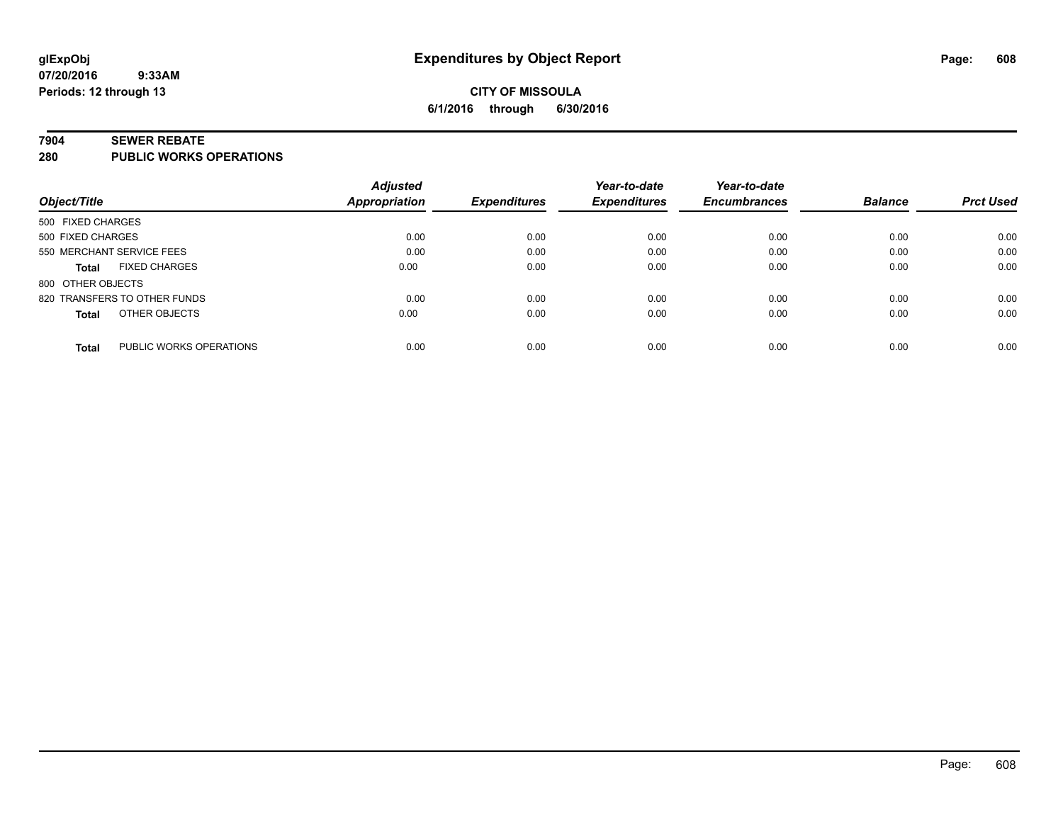#### **7904 SEWER REBATE**

**280 PUBLIC WORKS OPERATIONS**

|                                         | <b>Adjusted</b>      |                     | Year-to-date        | Year-to-date        |                |                  |
|-----------------------------------------|----------------------|---------------------|---------------------|---------------------|----------------|------------------|
| Object/Title                            | <b>Appropriation</b> | <b>Expenditures</b> | <b>Expenditures</b> | <b>Encumbrances</b> | <b>Balance</b> | <b>Prct Used</b> |
| 500 FIXED CHARGES                       |                      |                     |                     |                     |                |                  |
| 500 FIXED CHARGES                       | 0.00                 | 0.00                | 0.00                | 0.00                | 0.00           | 0.00             |
| 550 MERCHANT SERVICE FEES               | 0.00                 | 0.00                | 0.00                | 0.00                | 0.00           | 0.00             |
| <b>FIXED CHARGES</b><br><b>Total</b>    | 0.00                 | 0.00                | 0.00                | 0.00                | 0.00           | 0.00             |
| 800 OTHER OBJECTS                       |                      |                     |                     |                     |                |                  |
| 820 TRANSFERS TO OTHER FUNDS            | 0.00                 | 0.00                | 0.00                | 0.00                | 0.00           | 0.00             |
| OTHER OBJECTS<br><b>Total</b>           | 0.00                 | 0.00                | 0.00                | 0.00                | 0.00           | 0.00             |
| PUBLIC WORKS OPERATIONS<br><b>Total</b> | 0.00                 | 0.00                | 0.00                | 0.00                | 0.00           | 0.00             |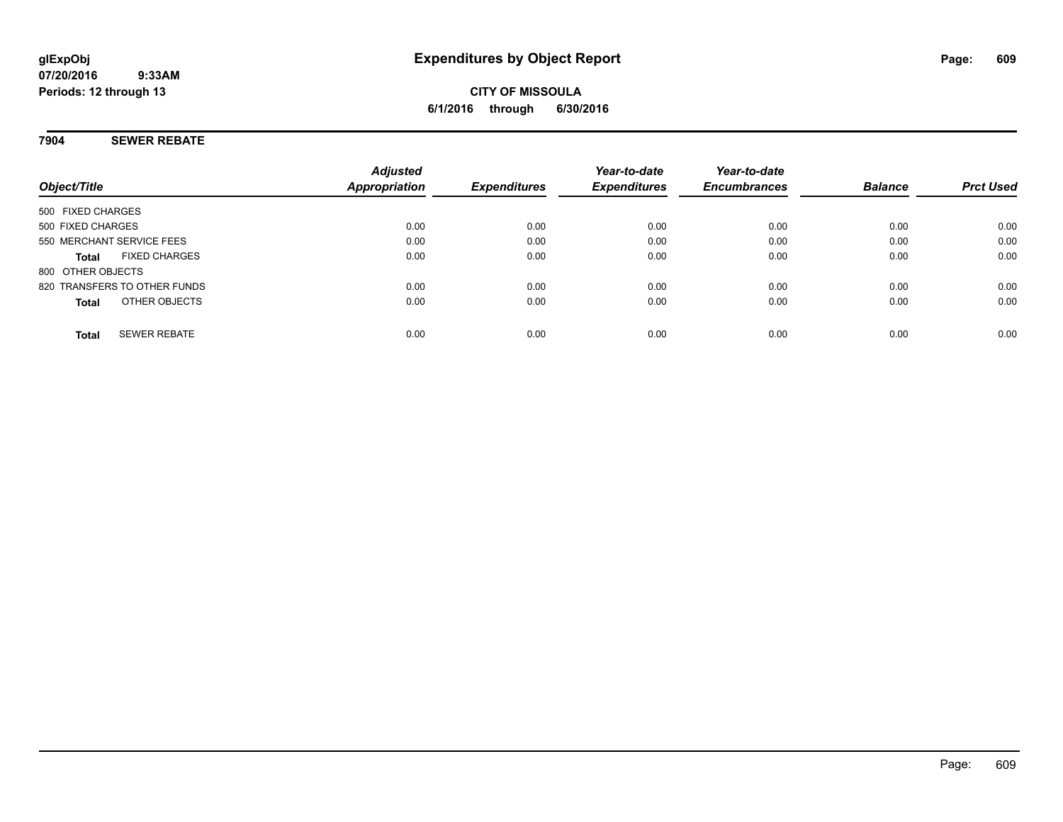# **CITY OF MISSOULA 6/1/2016 through 6/30/2016**

### **7904 SEWER REBATE**

| Object/Title                         | <b>Adjusted</b><br>Appropriation | <b>Expenditures</b> | Year-to-date<br><b>Expenditures</b> | Year-to-date<br><b>Encumbrances</b> | <b>Balance</b> | <b>Prct Used</b> |
|--------------------------------------|----------------------------------|---------------------|-------------------------------------|-------------------------------------|----------------|------------------|
| 500 FIXED CHARGES                    |                                  |                     |                                     |                                     |                |                  |
| 500 FIXED CHARGES                    | 0.00                             | 0.00                | 0.00                                | 0.00                                | 0.00           | 0.00             |
| 550 MERCHANT SERVICE FEES            | 0.00                             | 0.00                | 0.00                                | 0.00                                | 0.00           | 0.00             |
| <b>FIXED CHARGES</b><br><b>Total</b> | 0.00                             | 0.00                | 0.00                                | 0.00                                | 0.00           | 0.00             |
| 800 OTHER OBJECTS                    |                                  |                     |                                     |                                     |                |                  |
| 820 TRANSFERS TO OTHER FUNDS         | 0.00                             | 0.00                | 0.00                                | 0.00                                | 0.00           | 0.00             |
| OTHER OBJECTS<br><b>Total</b>        | 0.00                             | 0.00                | 0.00                                | 0.00                                | 0.00           | 0.00             |
| <b>SEWER REBATE</b><br><b>Total</b>  | 0.00                             | 0.00                | 0.00                                | 0.00                                | 0.00           | 0.00             |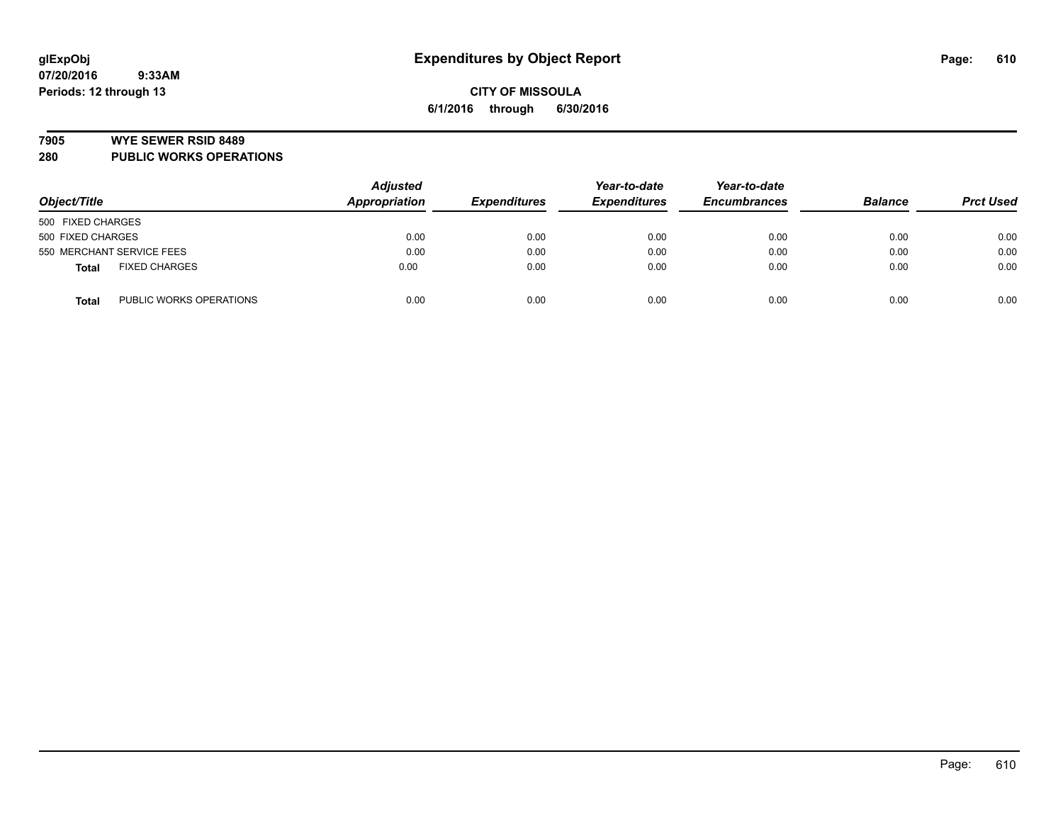#### **7905 WYE SEWER RSID 8489**

**280 PUBLIC WORKS OPERATIONS**

| Object/Title                            | <b>Adjusted</b><br>Appropriation | <b>Expenditures</b> | Year-to-date<br><b>Expenditures</b> | Year-to-date<br><b>Encumbrances</b> | <b>Balance</b> | <b>Prct Used</b> |
|-----------------------------------------|----------------------------------|---------------------|-------------------------------------|-------------------------------------|----------------|------------------|
| 500 FIXED CHARGES                       |                                  |                     |                                     |                                     |                |                  |
| 500 FIXED CHARGES                       | 0.00                             | 0.00                | 0.00                                | 0.00                                | 0.00           | 0.00             |
| 550 MERCHANT SERVICE FEES               | 0.00                             | 0.00                | 0.00                                | 0.00                                | 0.00           | 0.00             |
| <b>FIXED CHARGES</b><br><b>Total</b>    | 0.00                             | 0.00                | 0.00                                | 0.00                                | 0.00           | 0.00             |
| PUBLIC WORKS OPERATIONS<br><b>Total</b> | 0.00                             | 0.00                | 0.00                                | 0.00                                | 0.00           | 0.00             |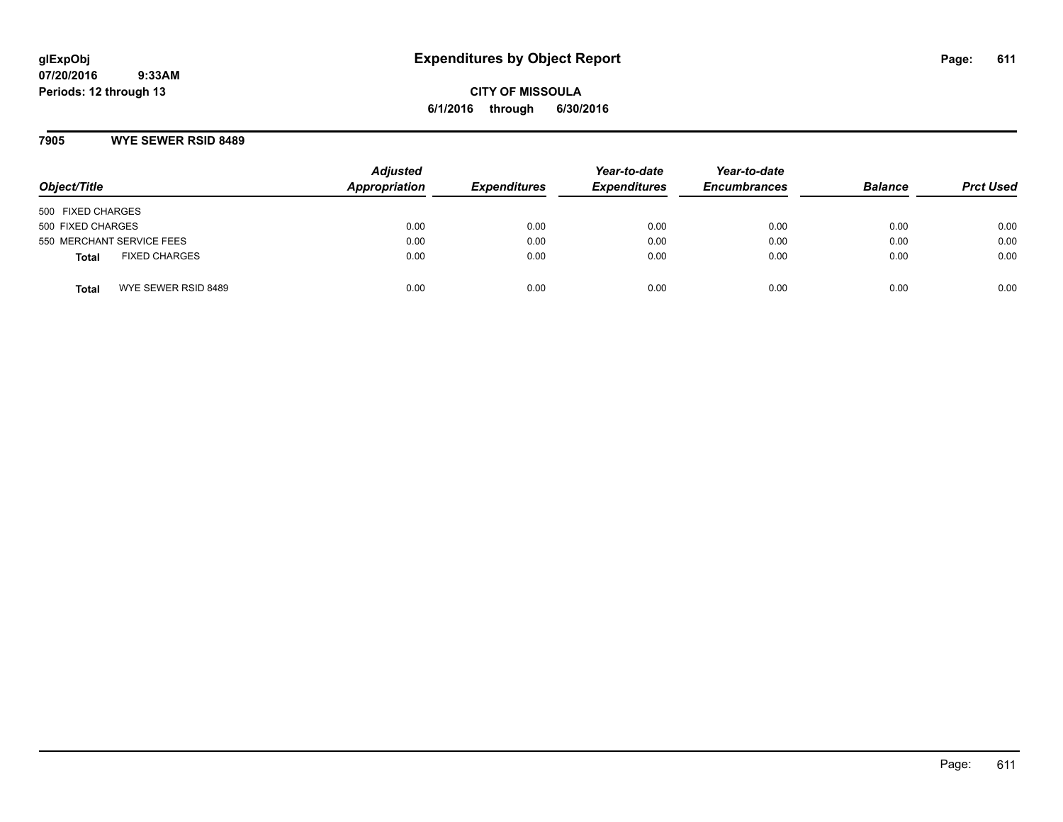**CITY OF MISSOULA 6/1/2016 through 6/30/2016**

### **7905 WYE SEWER RSID 8489**

| Object/Title                         | <b>Adjusted</b><br>Appropriation | <b>Expenditures</b> | Year-to-date<br><b>Expenditures</b> | Year-to-date<br><b>Encumbrances</b> | <b>Balance</b> | <b>Prct Used</b> |
|--------------------------------------|----------------------------------|---------------------|-------------------------------------|-------------------------------------|----------------|------------------|
| 500 FIXED CHARGES                    |                                  |                     |                                     |                                     |                |                  |
| 500 FIXED CHARGES                    | 0.00                             | 0.00                | 0.00                                | 0.00                                | 0.00           | 0.00             |
| 550 MERCHANT SERVICE FEES            | 0.00                             | 0.00                | 0.00                                | 0.00                                | 0.00           | 0.00             |
| <b>FIXED CHARGES</b><br><b>Total</b> | 0.00                             | 0.00                | 0.00                                | 0.00                                | 0.00           | 0.00             |
| WYE SEWER RSID 8489<br>Total         | 0.00                             | 0.00                | 0.00                                | 0.00                                | 0.00           | 0.00             |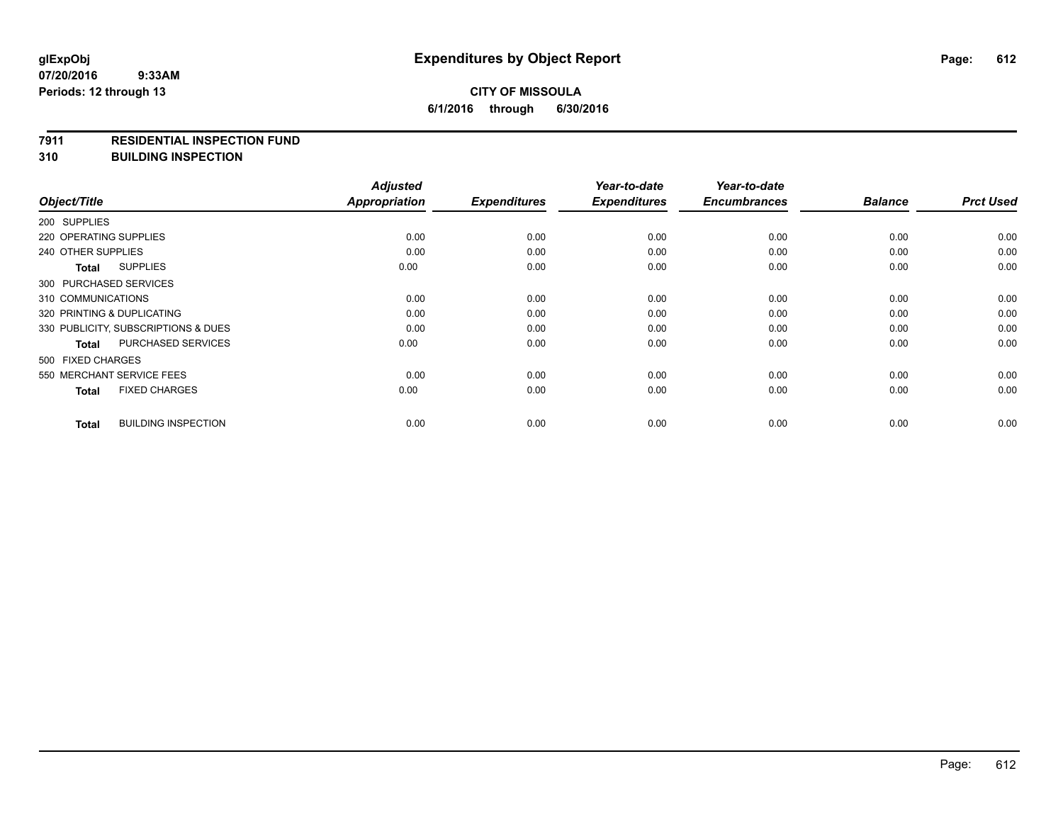#### **7911 RESIDENTIAL INSPECTION FUND**

**310 BUILDING INSPECTION**

|                                            | <b>Adjusted</b>      |                     | Year-to-date        | Year-to-date        |                |                  |
|--------------------------------------------|----------------------|---------------------|---------------------|---------------------|----------------|------------------|
| Object/Title                               | <b>Appropriation</b> | <b>Expenditures</b> | <b>Expenditures</b> | <b>Encumbrances</b> | <b>Balance</b> | <b>Prct Used</b> |
| 200 SUPPLIES                               |                      |                     |                     |                     |                |                  |
| 220 OPERATING SUPPLIES                     | 0.00                 | 0.00                | 0.00                | 0.00                | 0.00           | 0.00             |
| 240 OTHER SUPPLIES                         | 0.00                 | 0.00                | 0.00                | 0.00                | 0.00           | 0.00             |
| <b>SUPPLIES</b><br>Total                   | 0.00                 | 0.00                | 0.00                | 0.00                | 0.00           | 0.00             |
| 300 PURCHASED SERVICES                     |                      |                     |                     |                     |                |                  |
| 310 COMMUNICATIONS                         | 0.00                 | 0.00                | 0.00                | 0.00                | 0.00           | 0.00             |
| 320 PRINTING & DUPLICATING                 | 0.00                 | 0.00                | 0.00                | 0.00                | 0.00           | 0.00             |
| 330 PUBLICITY, SUBSCRIPTIONS & DUES        | 0.00                 | 0.00                | 0.00                | 0.00                | 0.00           | 0.00             |
| <b>PURCHASED SERVICES</b><br>Total         | 0.00                 | 0.00                | 0.00                | 0.00                | 0.00           | 0.00             |
| 500 FIXED CHARGES                          |                      |                     |                     |                     |                |                  |
| 550 MERCHANT SERVICE FEES                  | 0.00                 | 0.00                | 0.00                | 0.00                | 0.00           | 0.00             |
| <b>FIXED CHARGES</b><br><b>Total</b>       | 0.00                 | 0.00                | 0.00                | 0.00                | 0.00           | 0.00             |
| <b>BUILDING INSPECTION</b><br><b>Total</b> | 0.00                 | 0.00                | 0.00                | 0.00                | 0.00           | 0.00             |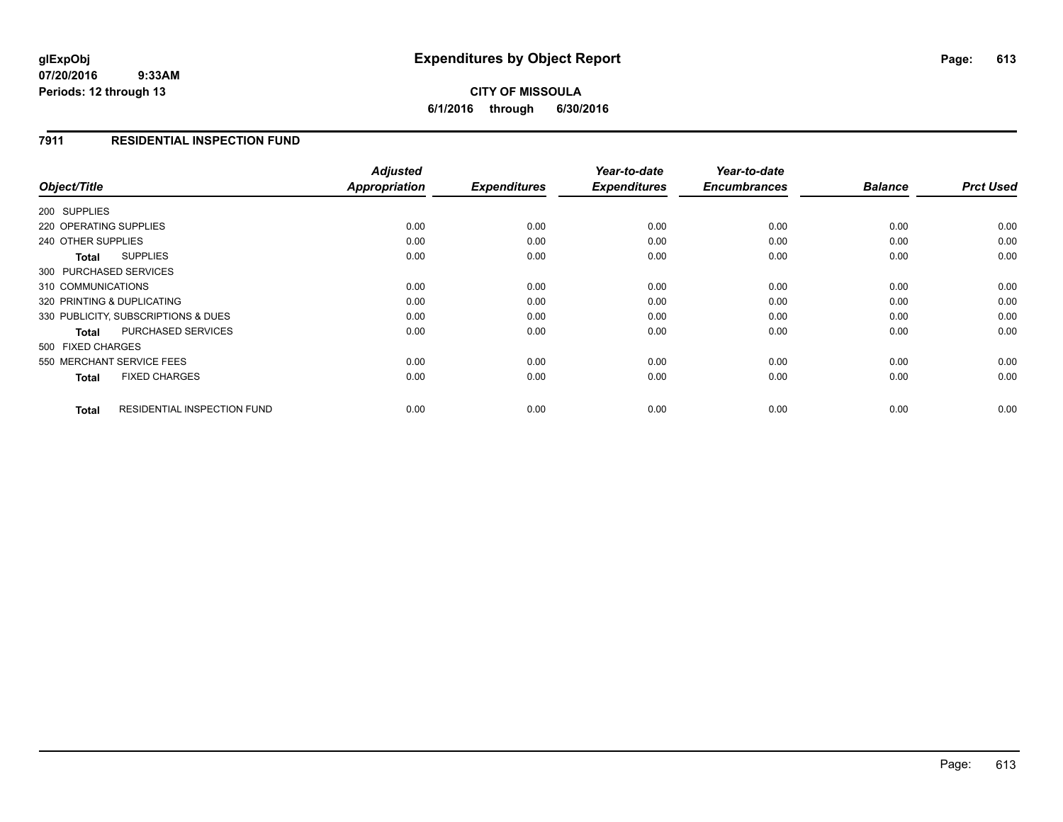**07/20/2016 9:33AM Periods: 12 through 13**

**6/1/2016 through 6/30/2016**

### **7911 RESIDENTIAL INSPECTION FUND**

| Object/Title                                       | <b>Adjusted</b><br>Appropriation | <b>Expenditures</b> | Year-to-date<br><b>Expenditures</b> | Year-to-date<br><b>Encumbrances</b> | <b>Balance</b> | <b>Prct Used</b> |
|----------------------------------------------------|----------------------------------|---------------------|-------------------------------------|-------------------------------------|----------------|------------------|
| 200 SUPPLIES                                       |                                  |                     |                                     |                                     |                |                  |
| 220 OPERATING SUPPLIES                             | 0.00                             | 0.00                | 0.00                                | 0.00                                | 0.00           | 0.00             |
| 240 OTHER SUPPLIES                                 | 0.00                             | 0.00                | 0.00                                | 0.00                                | 0.00           | 0.00             |
| <b>SUPPLIES</b><br>Total                           | 0.00                             | 0.00                | 0.00                                | 0.00                                | 0.00           | 0.00             |
| 300 PURCHASED SERVICES                             |                                  |                     |                                     |                                     |                |                  |
| 310 COMMUNICATIONS                                 | 0.00                             | 0.00                | 0.00                                | 0.00                                | 0.00           | 0.00             |
| 320 PRINTING & DUPLICATING                         | 0.00                             | 0.00                | 0.00                                | 0.00                                | 0.00           | 0.00             |
| 330 PUBLICITY, SUBSCRIPTIONS & DUES                | 0.00                             | 0.00                | 0.00                                | 0.00                                | 0.00           | 0.00             |
| <b>PURCHASED SERVICES</b><br>Total                 | 0.00                             | 0.00                | 0.00                                | 0.00                                | 0.00           | 0.00             |
| 500 FIXED CHARGES                                  |                                  |                     |                                     |                                     |                |                  |
| 550 MERCHANT SERVICE FEES                          | 0.00                             | 0.00                | 0.00                                | 0.00                                | 0.00           | 0.00             |
| <b>FIXED CHARGES</b><br><b>Total</b>               | 0.00                             | 0.00                | 0.00                                | 0.00                                | 0.00           | 0.00             |
| <b>RESIDENTIAL INSPECTION FUND</b><br><b>Total</b> | 0.00                             | 0.00                | 0.00                                | 0.00                                | 0.00           | 0.00             |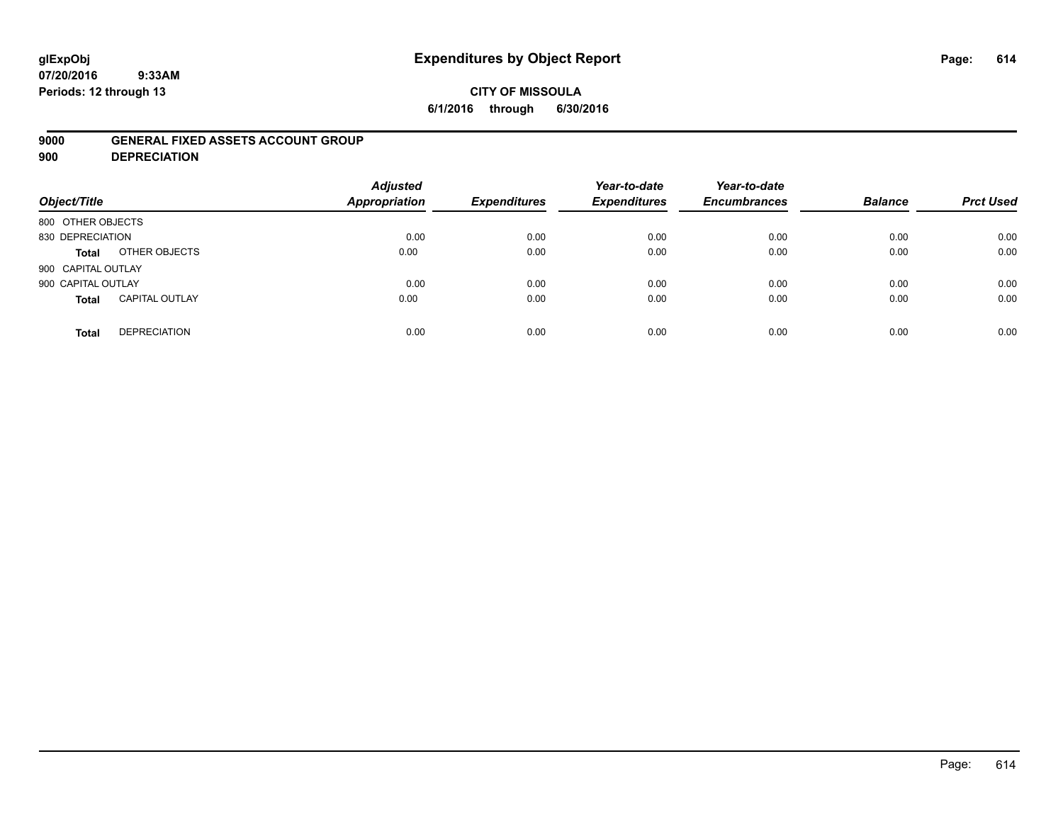# **glExpObj Expenditures by Object Report Page: 614**

**07/20/2016 9:33AM Periods: 12 through 13**

### **CITY OF MISSOULA 6/1/2016 through 6/30/2016**

### **9000 GENERAL FIXED ASSETS ACCOUNT GROUP**

**900 DEPRECIATION**

| Object/Title       |                       | <b>Adjusted</b><br><b>Appropriation</b> | <b>Expenditures</b> | Year-to-date<br><b>Expenditures</b> | Year-to-date<br><b>Encumbrances</b> | <b>Balance</b> | <b>Prct Used</b> |
|--------------------|-----------------------|-----------------------------------------|---------------------|-------------------------------------|-------------------------------------|----------------|------------------|
| 800 OTHER OBJECTS  |                       |                                         |                     |                                     |                                     |                |                  |
| 830 DEPRECIATION   |                       | 0.00                                    | 0.00                | 0.00                                | 0.00                                | 0.00           | 0.00             |
| <b>Total</b>       | OTHER OBJECTS         | 0.00                                    | 0.00                | 0.00                                | 0.00                                | 0.00           | 0.00             |
| 900 CAPITAL OUTLAY |                       |                                         |                     |                                     |                                     |                |                  |
| 900 CAPITAL OUTLAY |                       | 0.00                                    | 0.00                | 0.00                                | 0.00                                | 0.00           | 0.00             |
| <b>Total</b>       | <b>CAPITAL OUTLAY</b> | 0.00                                    | 0.00                | 0.00                                | 0.00                                | 0.00           | 0.00             |
| <b>Total</b>       | <b>DEPRECIATION</b>   | 0.00                                    | 0.00                | 0.00                                | 0.00                                | 0.00           | 0.00             |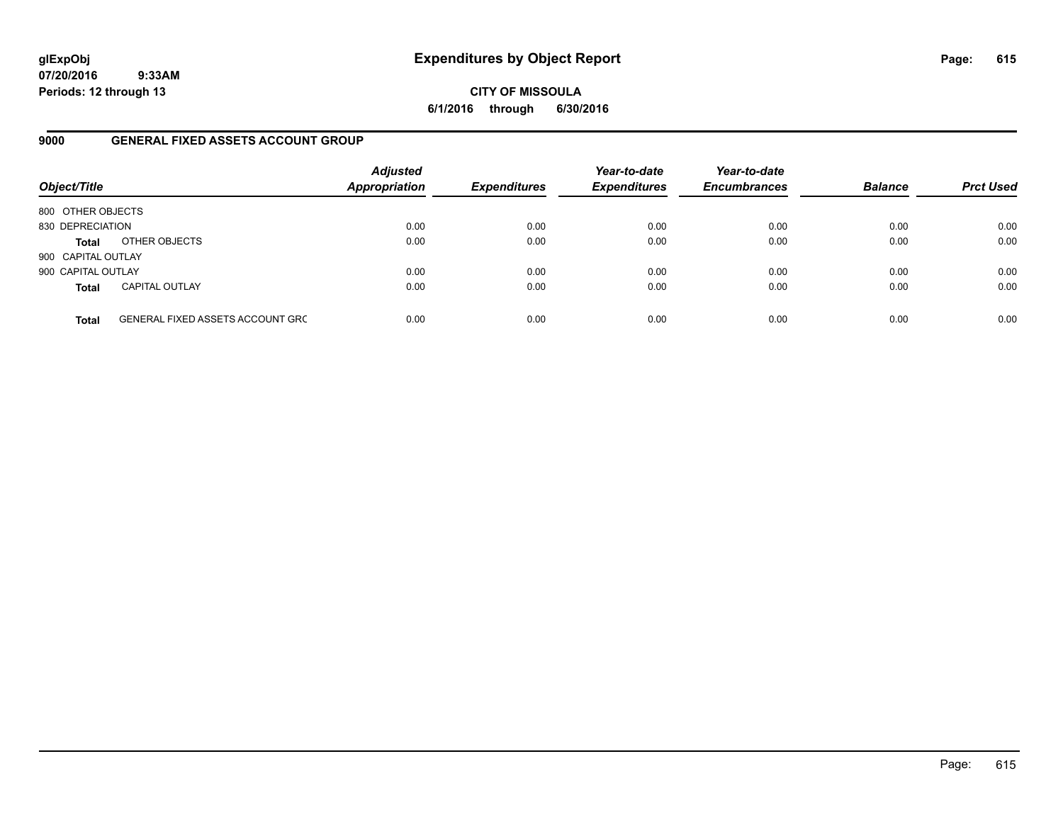**07/20/2016 9:33AM Periods: 12 through 13**

**CITY OF MISSOULA 6/1/2016 through 6/30/2016**

### **9000 GENERAL FIXED ASSETS ACCOUNT GROUP**

| Object/Title       |                                         | <b>Adjusted</b><br><b>Appropriation</b> | <b>Expenditures</b> | Year-to-date<br><b>Expenditures</b> | Year-to-date<br><b>Encumbrances</b> | <b>Balance</b> | <b>Prct Used</b> |
|--------------------|-----------------------------------------|-----------------------------------------|---------------------|-------------------------------------|-------------------------------------|----------------|------------------|
| 800 OTHER OBJECTS  |                                         |                                         |                     |                                     |                                     |                |                  |
| 830 DEPRECIATION   |                                         | 0.00                                    | 0.00                | 0.00                                | 0.00                                | 0.00           | 0.00             |
| <b>Total</b>       | OTHER OBJECTS                           | 0.00                                    | 0.00                | 0.00                                | 0.00                                | 0.00           | 0.00             |
| 900 CAPITAL OUTLAY |                                         |                                         |                     |                                     |                                     |                |                  |
| 900 CAPITAL OUTLAY |                                         | 0.00                                    | 0.00                | 0.00                                | 0.00                                | 0.00           | 0.00             |
| <b>Total</b>       | <b>CAPITAL OUTLAY</b>                   | 0.00                                    | 0.00                | 0.00                                | 0.00                                | 0.00           | 0.00             |
| <b>Total</b>       | <b>GENERAL FIXED ASSETS ACCOUNT GRC</b> | 0.00                                    | 0.00                | 0.00                                | 0.00                                | 0.00           | 0.00             |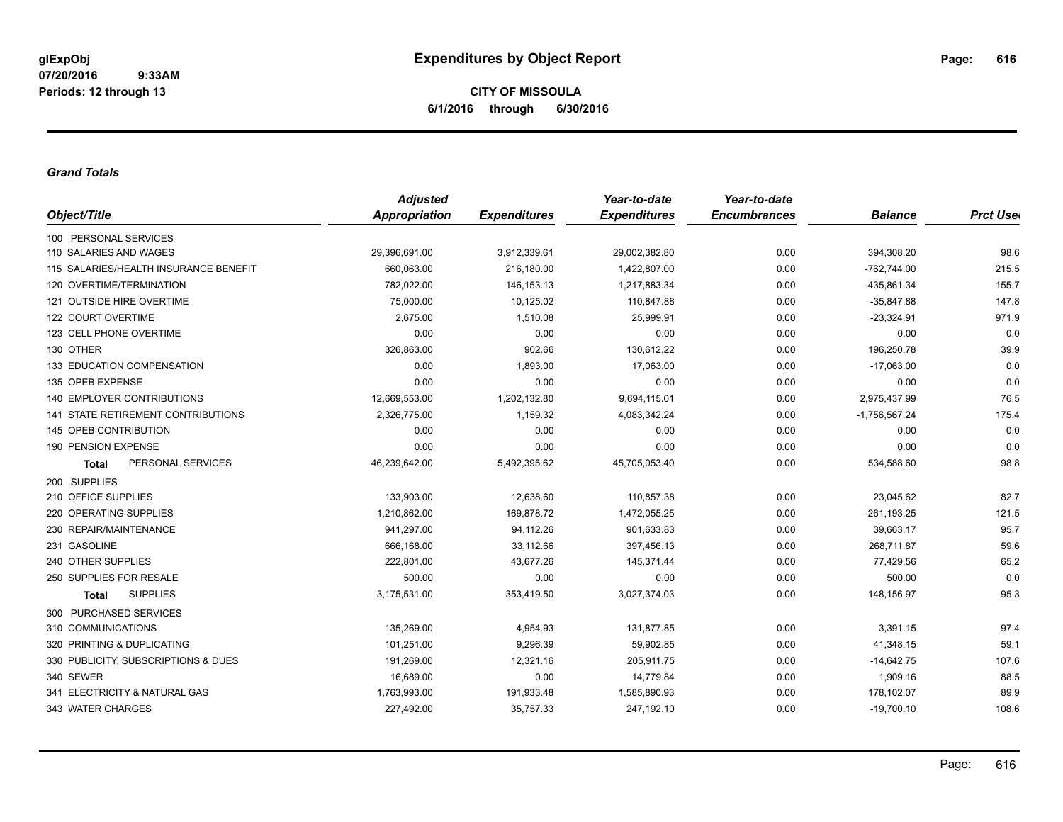**CITY OF MISSOULA 6/1/2016 through 6/30/2016**

#### *Grand Totals*

|                                           | <b>Adjusted</b>      |                     | Year-to-date        | Year-to-date        |                 |                  |
|-------------------------------------------|----------------------|---------------------|---------------------|---------------------|-----------------|------------------|
| Object/Title                              | <b>Appropriation</b> | <b>Expenditures</b> | <b>Expenditures</b> | <b>Encumbrances</b> | <b>Balance</b>  | <b>Prct User</b> |
| 100 PERSONAL SERVICES                     |                      |                     |                     |                     |                 |                  |
| 110 SALARIES AND WAGES                    | 29,396,691.00        | 3,912,339.61        | 29,002,382.80       | 0.00                | 394,308.20      | 98.6             |
| 115 SALARIES/HEALTH INSURANCE BENEFIT     | 660,063.00           | 216,180.00          | 1,422,807.00        | 0.00                | $-762,744.00$   | 215.5            |
| 120 OVERTIME/TERMINATION                  | 782,022.00           | 146, 153. 13        | 1,217,883.34        | 0.00                | -435,861.34     | 155.7            |
| 121 OUTSIDE HIRE OVERTIME                 | 75,000.00            | 10,125.02           | 110,847.88          | 0.00                | $-35,847.88$    | 147.8            |
| 122 COURT OVERTIME                        | 2,675.00             | 1,510.08            | 25,999.91           | 0.00                | $-23,324.91$    | 971.9            |
| 123 CELL PHONE OVERTIME                   | 0.00                 | 0.00                | 0.00                | 0.00                | 0.00            | 0.0              |
| 130 OTHER                                 | 326,863.00           | 902.66              | 130,612.22          | 0.00                | 196,250.78      | 39.9             |
| 133 EDUCATION COMPENSATION                | 0.00                 | 1,893.00            | 17,063.00           | 0.00                | $-17,063.00$    | 0.0              |
| 135 OPEB EXPENSE                          | 0.00                 | 0.00                | 0.00                | 0.00                | 0.00            | 0.0              |
| <b>140 EMPLOYER CONTRIBUTIONS</b>         | 12,669,553.00        | 1,202,132.80        | 9,694,115.01        | 0.00                | 2,975,437.99    | 76.5             |
| <b>141 STATE RETIREMENT CONTRIBUTIONS</b> | 2,326,775.00         | 1,159.32            | 4,083,342.24        | 0.00                | $-1,756,567.24$ | 175.4            |
| 145 OPEB CONTRIBUTION                     | 0.00                 | 0.00                | 0.00                | 0.00                | 0.00            | 0.0              |
| 190 PENSION EXPENSE                       | 0.00                 | 0.00                | 0.00                | 0.00                | 0.00            | 0.0              |
| PERSONAL SERVICES<br><b>Total</b>         | 46,239,642.00        | 5,492,395.62        | 45,705,053.40       | 0.00                | 534,588.60      | 98.8             |
| 200 SUPPLIES                              |                      |                     |                     |                     |                 |                  |
| 210 OFFICE SUPPLIES                       | 133,903.00           | 12,638.60           | 110,857.38          | 0.00                | 23,045.62       | 82.7             |
| 220 OPERATING SUPPLIES                    | 1,210,862.00         | 169,878.72          | 1,472,055.25        | 0.00                | $-261, 193.25$  | 121.5            |
| 230 REPAIR/MAINTENANCE                    | 941,297.00           | 94,112.26           | 901,633.83          | 0.00                | 39,663.17       | 95.7             |
| 231 GASOLINE                              | 666,168.00           | 33,112.66           | 397,456.13          | 0.00                | 268,711.87      | 59.6             |
| 240 OTHER SUPPLIES                        | 222,801.00           | 43,677.26           | 145,371.44          | 0.00                | 77,429.56       | 65.2             |
| 250 SUPPLIES FOR RESALE                   | 500.00               | 0.00                | 0.00                | 0.00                | 500.00          | 0.0              |
| <b>SUPPLIES</b><br><b>Total</b>           | 3,175,531.00         | 353,419.50          | 3,027,374.03        | 0.00                | 148,156.97      | 95.3             |
| 300 PURCHASED SERVICES                    |                      |                     |                     |                     |                 |                  |
| 310 COMMUNICATIONS                        | 135.269.00           | 4,954.93            | 131,877.85          | 0.00                | 3,391.15        | 97.4             |
| 320 PRINTING & DUPLICATING                | 101,251.00           | 9,296.39            | 59,902.85           | 0.00                | 41,348.15       | 59.1             |
| 330 PUBLICITY, SUBSCRIPTIONS & DUES       | 191,269.00           | 12,321.16           | 205,911.75          | 0.00                | $-14,642.75$    | 107.6            |
| 340 SEWER                                 | 16,689.00            | 0.00                | 14,779.84           | 0.00                | 1,909.16        | 88.5             |
| 341 ELECTRICITY & NATURAL GAS             | 1,763,993.00         | 191,933.48          | 1,585,890.93        | 0.00                | 178,102.07      | 89.9             |
| 343 WATER CHARGES                         | 227,492.00           | 35,757.33           | 247,192.10          | 0.00                | $-19,700.10$    | 108.6            |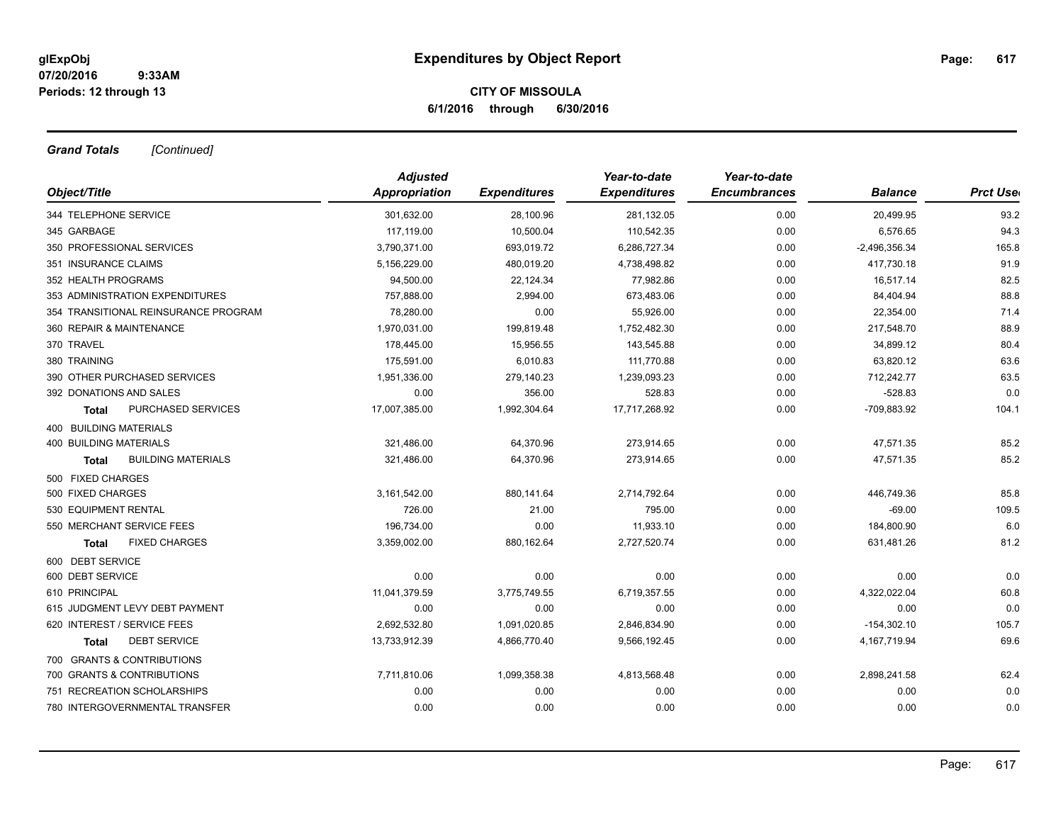## **CITY OF MISSOULA 6/1/2016 through 6/30/2016**

*Grand Totals [Continued]*

|                                      | <b>Adjusted</b> |                     | Year-to-date        | Year-to-date        |                 |                  |
|--------------------------------------|-----------------|---------------------|---------------------|---------------------|-----------------|------------------|
| Object/Title                         | Appropriation   | <b>Expenditures</b> | <b>Expenditures</b> | <b>Encumbrances</b> | <b>Balance</b>  | <b>Prct Uset</b> |
| 344 TELEPHONE SERVICE                | 301,632.00      | 28,100.96           | 281,132.05          | 0.00                | 20,499.95       | 93.2             |
| 345 GARBAGE                          | 117,119.00      | 10,500.04           | 110,542.35          | 0.00                | 6,576.65        | 94.3             |
| 350 PROFESSIONAL SERVICES            | 3,790,371.00    | 693,019.72          | 6,286,727.34        | 0.00                | $-2,496,356.34$ | 165.8            |
| 351 INSURANCE CLAIMS                 | 5,156,229.00    | 480,019.20          | 4,738,498.82        | 0.00                | 417,730.18      | 91.9             |
| 352 HEALTH PROGRAMS                  | 94,500.00       | 22,124.34           | 77,982.86           | 0.00                | 16,517.14       | 82.5             |
| 353 ADMINISTRATION EXPENDITURES      | 757,888.00      | 2,994.00            | 673,483.06          | 0.00                | 84,404.94       | 88.8             |
| 354 TRANSITIONAL REINSURANCE PROGRAM | 78,280.00       | 0.00                | 55,926.00           | 0.00                | 22,354.00       | 71.4             |
| 360 REPAIR & MAINTENANCE             | 1,970,031.00    | 199,819.48          | 1,752,482.30        | 0.00                | 217,548.70      | 88.9             |
| 370 TRAVEL                           | 178,445.00      | 15,956.55           | 143,545.88          | 0.00                | 34,899.12       | 80.4             |
| 380 TRAINING                         | 175,591.00      | 6,010.83            | 111,770.88          | 0.00                | 63,820.12       | 63.6             |
| 390 OTHER PURCHASED SERVICES         | 1,951,336.00    | 279,140.23          | 1,239,093.23        | 0.00                | 712,242.77      | 63.5             |
| 392 DONATIONS AND SALES              | 0.00            | 356.00              | 528.83              | 0.00                | $-528.83$       | 0.0              |
| PURCHASED SERVICES<br><b>Total</b>   | 17,007,385.00   | 1,992,304.64        | 17,717,268.92       | 0.00                | -709,883.92     | 104.1            |
| 400 BUILDING MATERIALS               |                 |                     |                     |                     |                 |                  |
| <b>400 BUILDING MATERIALS</b>        | 321,486.00      | 64,370.96           | 273,914.65          | 0.00                | 47,571.35       | 85.2             |
| <b>BUILDING MATERIALS</b><br>Total   | 321.486.00      | 64,370.96           | 273.914.65          | 0.00                | 47,571.35       | 85.2             |
| 500 FIXED CHARGES                    |                 |                     |                     |                     |                 |                  |
| 500 FIXED CHARGES                    | 3,161,542.00    | 880,141.64          | 2,714,792.64        | 0.00                | 446,749.36      | 85.8             |
| 530 EQUIPMENT RENTAL                 | 726.00          | 21.00               | 795.00              | 0.00                | $-69.00$        | 109.5            |
| 550 MERCHANT SERVICE FEES            | 196,734.00      | 0.00                | 11,933.10           | 0.00                | 184,800.90      | 6.0              |
| <b>FIXED CHARGES</b><br><b>Total</b> | 3,359,002.00    | 880,162.64          | 2,727,520.74        | 0.00                | 631,481.26      | 81.2             |
| 600 DEBT SERVICE                     |                 |                     |                     |                     |                 |                  |
| 600 DEBT SERVICE                     | 0.00            | 0.00                | 0.00                | 0.00                | 0.00            | 0.0              |
| 610 PRINCIPAL                        | 11,041,379.59   | 3,775,749.55        | 6,719,357.55        | 0.00                | 4,322,022.04    | 60.8             |
| 615 JUDGMENT LEVY DEBT PAYMENT       | 0.00            | 0.00                | 0.00                | 0.00                | 0.00            | 0.0              |
| 620 INTEREST / SERVICE FEES          | 2,692,532.80    | 1,091,020.85        | 2,846,834.90        | 0.00                | $-154,302.10$   | 105.7            |
| <b>DEBT SERVICE</b><br>Total         | 13,733,912.39   | 4,866,770.40        | 9,566,192.45        | 0.00                | 4, 167, 719.94  | 69.6             |
| 700 GRANTS & CONTRIBUTIONS           |                 |                     |                     |                     |                 |                  |
| 700 GRANTS & CONTRIBUTIONS           | 7,711,810.06    | 1,099,358.38        | 4,813,568.48        | 0.00                | 2,898,241.58    | 62.4             |
| 751 RECREATION SCHOLARSHIPS          | 0.00            | 0.00                | 0.00                | 0.00                | 0.00            | 0.0              |
| 780 INTERGOVERNMENTAL TRANSFER       | 0.00            | 0.00                | 0.00                | 0.00                | 0.00            | 0.0              |